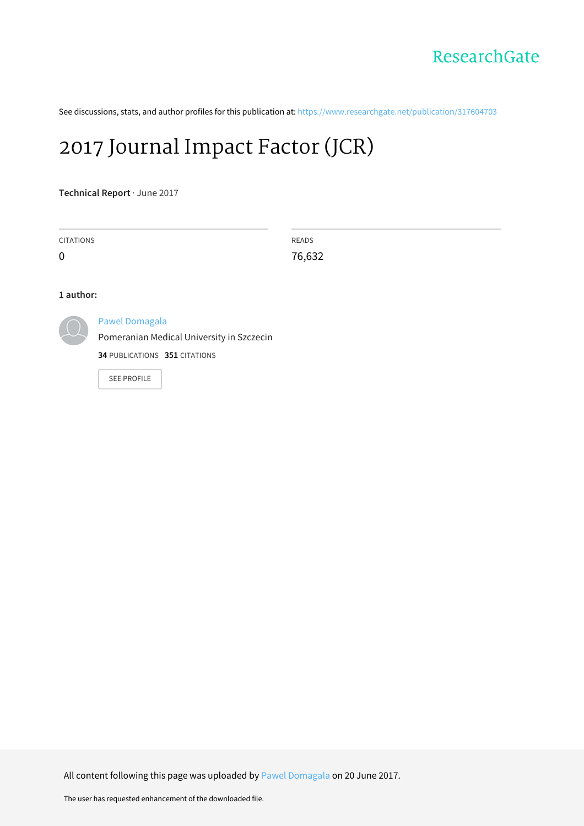See discussions, stats, and author profiles for this publication at: [https://www.researchgate.net/publication/317604703](https://www.researchgate.net/publication/317604703_2017_Journal_Impact_Factor_JCR?enrichId=rgreq-4328a9530fd7b5fa1f4d97074ffb9416-XXX&enrichSource=Y292ZXJQYWdlOzMxNzYwNDcwMztBUzo1MDc0NzQ1ODQwNjQwMDBAMTQ5ODAwMjc3NzM0Mw%3D%3D&el=1_x_2&_esc=publicationCoverPdf)

## 2017 [Journal](https://www.researchgate.net/publication/317604703_2017_Journal_Impact_Factor_JCR?enrichId=rgreq-4328a9530fd7b5fa1f4d97074ffb9416-XXX&enrichSource=Y292ZXJQYWdlOzMxNzYwNDcwMztBUzo1MDc0NzQ1ODQwNjQwMDBAMTQ5ODAwMjc3NzM0Mw%3D%3D&el=1_x_3&_esc=publicationCoverPdf) Impact Factor (JCR)

**Technical Report** · June 2017

CITATIONS

 $\Omega$ 

READS 76,632

## **1 author:**



## Pawel [Domagala](https://www.researchgate.net/profile/Pawel_Domagala?enrichId=rgreq-4328a9530fd7b5fa1f4d97074ffb9416-XXX&enrichSource=Y292ZXJQYWdlOzMxNzYwNDcwMztBUzo1MDc0NzQ1ODQwNjQwMDBAMTQ5ODAwMjc3NzM0Mw%3D%3D&el=1_x_5&_esc=publicationCoverPdf)

[Pomeranian](https://www.researchgate.net/institution/Pomeranian_Medical_University_in_Szczecin?enrichId=rgreq-4328a9530fd7b5fa1f4d97074ffb9416-XXX&enrichSource=Y292ZXJQYWdlOzMxNzYwNDcwMztBUzo1MDc0NzQ1ODQwNjQwMDBAMTQ5ODAwMjc3NzM0Mw%3D%3D&el=1_x_6&_esc=publicationCoverPdf) Medical University in Szczecin

**34** PUBLICATIONS **351** CITATIONS

SEE [PROFILE](https://www.researchgate.net/profile/Pawel_Domagala?enrichId=rgreq-4328a9530fd7b5fa1f4d97074ffb9416-XXX&enrichSource=Y292ZXJQYWdlOzMxNzYwNDcwMztBUzo1MDc0NzQ1ODQwNjQwMDBAMTQ5ODAwMjc3NzM0Mw%3D%3D&el=1_x_7&_esc=publicationCoverPdf)

All content following this page was uploaded by Pawel [Domagala](https://www.researchgate.net/profile/Pawel_Domagala?enrichId=rgreq-4328a9530fd7b5fa1f4d97074ffb9416-XXX&enrichSource=Y292ZXJQYWdlOzMxNzYwNDcwMztBUzo1MDc0NzQ1ODQwNjQwMDBAMTQ5ODAwMjc3NzM0Mw%3D%3D&el=1_x_10&_esc=publicationCoverPdf) on 20 June 2017.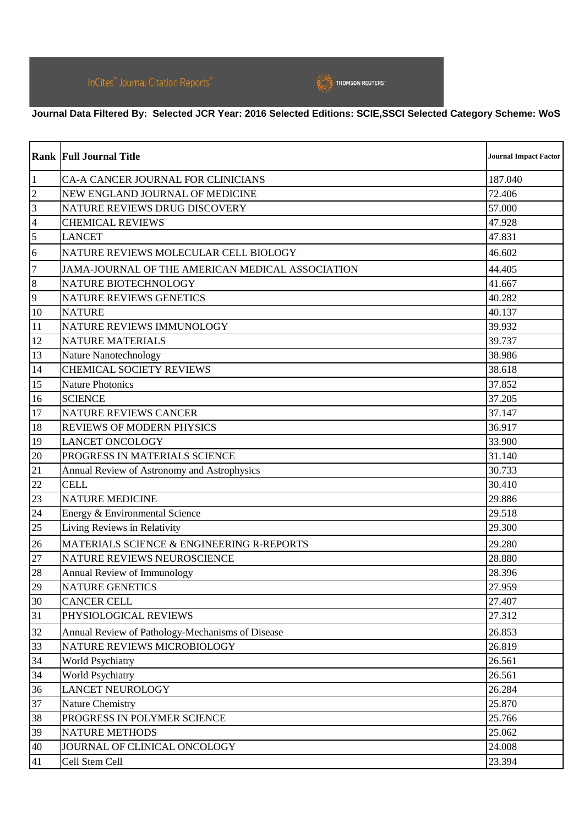

## **Journal Data Filtered By: Selected JCR Year: 2016 Selected Editions: SCIE,SSCI Selected Category Scheme: WoS**

|                | <b>Rank Full Journal Title</b>                   | <b>Journal Impact Factor</b> |
|----------------|--------------------------------------------------|------------------------------|
| $\vert$ 1      | CA-A CANCER JOURNAL FOR CLINICIANS               | 187.040                      |
| $ 2\rangle$    | NEW ENGLAND JOURNAL OF MEDICINE                  | 72.406                       |
| $\vert$ 3      | NATURE REVIEWS DRUG DISCOVERY                    | 57.000                       |
| $\overline{4}$ | <b>CHEMICAL REVIEWS</b>                          | 47.928                       |
| $\overline{5}$ | <b>LANCET</b>                                    | 47.831                       |
| 6              | NATURE REVIEWS MOLECULAR CELL BIOLOGY            | 46.602                       |
| $\overline{7}$ | JAMA-JOURNAL OF THE AMERICAN MEDICAL ASSOCIATION | 44.405                       |
| 8              | NATURE BIOTECHNOLOGY                             | 41.667                       |
| 9              | <b>NATURE REVIEWS GENETICS</b>                   | 40.282                       |
| 10             | <b>NATURE</b>                                    | 40.137                       |
| 11             | NATURE REVIEWS IMMUNOLOGY                        | 39.932                       |
| 12             | <b>NATURE MATERIALS</b>                          | 39.737                       |
| 13             | <b>Nature Nanotechnology</b>                     | 38.986                       |
| 14             | <b>CHEMICAL SOCIETY REVIEWS</b>                  | 38.618                       |
| 15             | <b>Nature Photonics</b>                          | 37.852                       |
| 16             | <b>SCIENCE</b>                                   | 37.205                       |
| 17             | NATURE REVIEWS CANCER                            | 37.147                       |
| 18             | <b>REVIEWS OF MODERN PHYSICS</b>                 | 36.917                       |
| 19             | <b>LANCET ONCOLOGY</b>                           | 33.900                       |
| 20             | PROGRESS IN MATERIALS SCIENCE                    | 31.140                       |
| 21             | Annual Review of Astronomy and Astrophysics      | 30.733                       |
| 22             | <b>CELL</b>                                      | 30.410                       |
| 23             | <b>NATURE MEDICINE</b>                           | 29.886                       |
| 24             | Energy & Environmental Science                   | 29.518                       |
| 25             | Living Reviews in Relativity                     | 29.300                       |
| 26             | MATERIALS SCIENCE & ENGINEERING R-REPORTS        | 29.280                       |
| 27             | NATURE REVIEWS NEUROSCIENCE                      | 28.880                       |
| 28             | Annual Review of Immunology                      | 28.396                       |
| 29             | <b>NATURE GENETICS</b>                           | 27.959                       |
| 30             | <b>CANCER CELL</b>                               | 27.407                       |
| 31             | PHYSIOLOGICAL REVIEWS                            | 27.312                       |
| 32             | Annual Review of Pathology-Mechanisms of Disease | 26.853                       |
| 33             | NATURE REVIEWS MICROBIOLOGY                      | 26.819                       |
| 34             | <b>World Psychiatry</b>                          | 26.561                       |
| 34             | World Psychiatry                                 | 26.561                       |
| 36             | <b>LANCET NEUROLOGY</b>                          | 26.284                       |
| 37             | <b>Nature Chemistry</b>                          | 25.870                       |
| 38             | PROGRESS IN POLYMER SCIENCE                      | 25.766                       |
| 39             | <b>NATURE METHODS</b>                            | 25.062                       |
| 40             | JOURNAL OF CLINICAL ONCOLOGY                     | 24.008                       |
| 41             | Cell Stem Cell                                   | 23.394                       |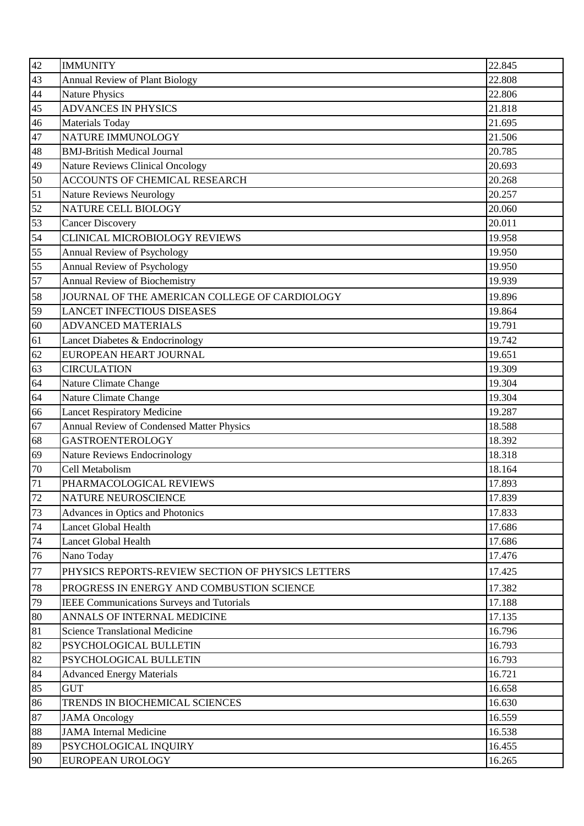| 42      | <b>IMMUNITY</b>                                   | 22.845 |
|---------|---------------------------------------------------|--------|
| 43      | <b>Annual Review of Plant Biology</b>             | 22.808 |
| 44      | <b>Nature Physics</b>                             | 22.806 |
| 45      | <b>ADVANCES IN PHYSICS</b>                        | 21.818 |
| 46      | <b>Materials Today</b>                            | 21.695 |
| 47      | NATURE IMMUNOLOGY                                 | 21.506 |
| 48      | <b>BMJ-British Medical Journal</b>                | 20.785 |
| 49      | <b>Nature Reviews Clinical Oncology</b>           | 20.693 |
| 50      | ACCOUNTS OF CHEMICAL RESEARCH                     | 20.268 |
| 51      | Nature Reviews Neurology                          | 20.257 |
| 52      | NATURE CELL BIOLOGY                               | 20.060 |
| 53      | <b>Cancer Discovery</b>                           | 20.011 |
| 54      | CLINICAL MICROBIOLOGY REVIEWS                     | 19.958 |
| 55      | <b>Annual Review of Psychology</b>                | 19.950 |
| 55      | Annual Review of Psychology                       | 19.950 |
| 57      | <b>Annual Review of Biochemistry</b>              | 19.939 |
| 58      | JOURNAL OF THE AMERICAN COLLEGE OF CARDIOLOGY     | 19.896 |
| 59      | <b>LANCET INFECTIOUS DISEASES</b>                 | 19.864 |
| 60      | <b>ADVANCED MATERIALS</b>                         | 19.791 |
| 61      | Lancet Diabetes & Endocrinology                   | 19.742 |
| 62      | EUROPEAN HEART JOURNAL                            | 19.651 |
| 63      | <b>CIRCULATION</b>                                | 19.309 |
| 64      | Nature Climate Change                             | 19.304 |
| 64      | Nature Climate Change                             | 19.304 |
| 66      | <b>Lancet Respiratory Medicine</b>                | 19.287 |
| 67      | <b>Annual Review of Condensed Matter Physics</b>  | 18.588 |
| 68      | <b>GASTROENTEROLOGY</b>                           | 18.392 |
| 69      | Nature Reviews Endocrinology                      | 18.318 |
| 70      | Cell Metabolism                                   | 18.164 |
| 71      | PHARMACOLOGICAL REVIEWS                           | 17.893 |
| 72      | NATURE NEUROSCIENCE                               | 17.839 |
| 73      | Advances in Optics and Photonics                  | 17.833 |
| 74      | <b>Lancet Global Health</b>                       | 17.686 |
| 74      | Lancet Global Health                              | 17.686 |
| 76      | Nano Today                                        | 17.476 |
| $77 \,$ | PHYSICS REPORTS-REVIEW SECTION OF PHYSICS LETTERS | 17.425 |
| 78      | PROGRESS IN ENERGY AND COMBUSTION SCIENCE         | 17.382 |
| 79      | <b>IEEE Communications Surveys and Tutorials</b>  | 17.188 |
| 80      | ANNALS OF INTERNAL MEDICINE                       | 17.135 |
| 81      | <b>Science Translational Medicine</b>             | 16.796 |
| 82      | PSYCHOLOGICAL BULLETIN                            | 16.793 |
| 82      | PSYCHOLOGICAL BULLETIN                            | 16.793 |
| 84      | <b>Advanced Energy Materials</b>                  | 16.721 |
| 85      | <b>GUT</b>                                        | 16.658 |
| 86      | TRENDS IN BIOCHEMICAL SCIENCES                    | 16.630 |
| 87      | <b>JAMA</b> Oncology                              | 16.559 |
| 88      | <b>JAMA</b> Internal Medicine                     | 16.538 |
| 89      | PSYCHOLOGICAL INQUIRY                             | 16.455 |
| 90      | EUROPEAN UROLOGY                                  | 16.265 |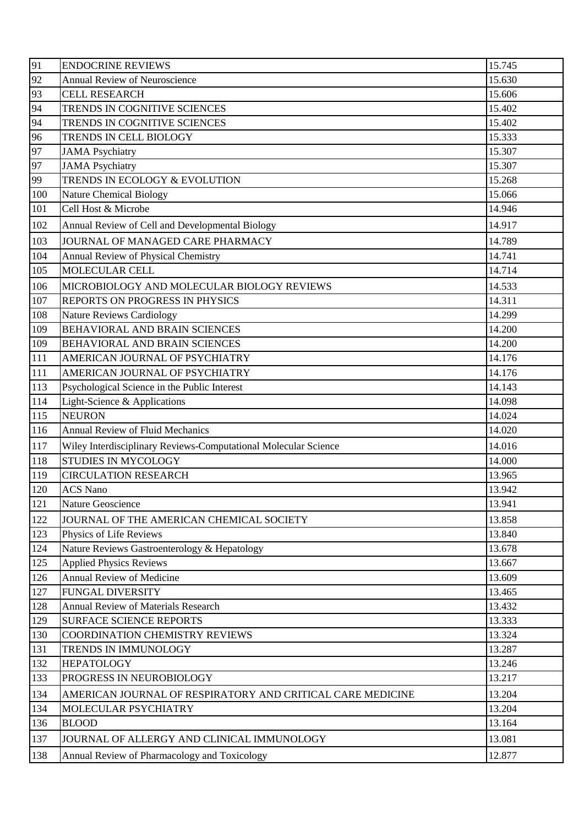| 91  | <b>ENDOCRINE REVIEWS</b>                                        | 15.745 |
|-----|-----------------------------------------------------------------|--------|
| 92  | <b>Annual Review of Neuroscience</b>                            | 15.630 |
| 93  | <b>CELL RESEARCH</b>                                            | 15.606 |
| 94  | TRENDS IN COGNITIVE SCIENCES                                    | 15.402 |
| 94  | TRENDS IN COGNITIVE SCIENCES                                    | 15.402 |
| 96  | TRENDS IN CELL BIOLOGY                                          | 15.333 |
| 97  | <b>JAMA</b> Psychiatry                                          | 15.307 |
| 97  | <b>JAMA</b> Psychiatry                                          | 15.307 |
| 99  | TRENDS IN ECOLOGY & EVOLUTION                                   | 15.268 |
| 100 | <b>Nature Chemical Biology</b>                                  | 15.066 |
| 101 | Cell Host & Microbe                                             | 14.946 |
| 102 | Annual Review of Cell and Developmental Biology                 | 14.917 |
| 103 | JOURNAL OF MANAGED CARE PHARMACY                                | 14.789 |
| 104 | <b>Annual Review of Physical Chemistry</b>                      | 14.741 |
| 105 | MOLECULAR CELL                                                  | 14.714 |
| 106 | MICROBIOLOGY AND MOLECULAR BIOLOGY REVIEWS                      | 14.533 |
| 107 | REPORTS ON PROGRESS IN PHYSICS                                  | 14.311 |
| 108 | <b>Nature Reviews Cardiology</b>                                | 14.299 |
| 109 | <b>BEHAVIORAL AND BRAIN SCIENCES</b>                            | 14.200 |
| 109 | <b>BEHAVIORAL AND BRAIN SCIENCES</b>                            | 14.200 |
| 111 | AMERICAN JOURNAL OF PSYCHIATRY                                  | 14.176 |
| 111 | AMERICAN JOURNAL OF PSYCHIATRY                                  | 14.176 |
| 113 | Psychological Science in the Public Interest                    | 14.143 |
| 114 | Light-Science & Applications                                    | 14.098 |
| 115 | <b>NEURON</b>                                                   | 14.024 |
| 116 | <b>Annual Review of Fluid Mechanics</b>                         | 14.020 |
| 117 | Wiley Interdisciplinary Reviews-Computational Molecular Science | 14.016 |
| 118 | <b>STUDIES IN MYCOLOGY</b>                                      | 14.000 |
| 119 | <b>CIRCULATION RESEARCH</b>                                     | 13.965 |
| 120 | <b>ACS Nano</b>                                                 | 13.942 |
| 121 | <b>Nature Geoscience</b>                                        | 13.941 |
| 122 | JOURNAL OF THE AMERICAN CHEMICAL SOCIETY                        | 13.858 |
| 123 | Physics of Life Reviews                                         | 13.840 |
| 124 | Nature Reviews Gastroenterology & Hepatology                    | 13.678 |
| 125 | <b>Applied Physics Reviews</b>                                  | 13.667 |
| 126 | <b>Annual Review of Medicine</b>                                | 13.609 |
| 127 | <b>FUNGAL DIVERSITY</b>                                         | 13.465 |
| 128 | <b>Annual Review of Materials Research</b>                      | 13.432 |
| 129 | <b>SURFACE SCIENCE REPORTS</b>                                  | 13.333 |
| 130 | <b>COORDINATION CHEMISTRY REVIEWS</b>                           | 13.324 |
| 131 | TRENDS IN IMMUNOLOGY                                            | 13.287 |
| 132 | <b>HEPATOLOGY</b>                                               | 13.246 |
| 133 | PROGRESS IN NEUROBIOLOGY                                        | 13.217 |
| 134 | AMERICAN JOURNAL OF RESPIRATORY AND CRITICAL CARE MEDICINE      | 13.204 |
| 134 | MOLECULAR PSYCHIATRY                                            | 13.204 |
| 136 | <b>BLOOD</b>                                                    | 13.164 |
| 137 | JOURNAL OF ALLERGY AND CLINICAL IMMUNOLOGY                      | 13.081 |
| 138 | Annual Review of Pharmacology and Toxicology                    | 12.877 |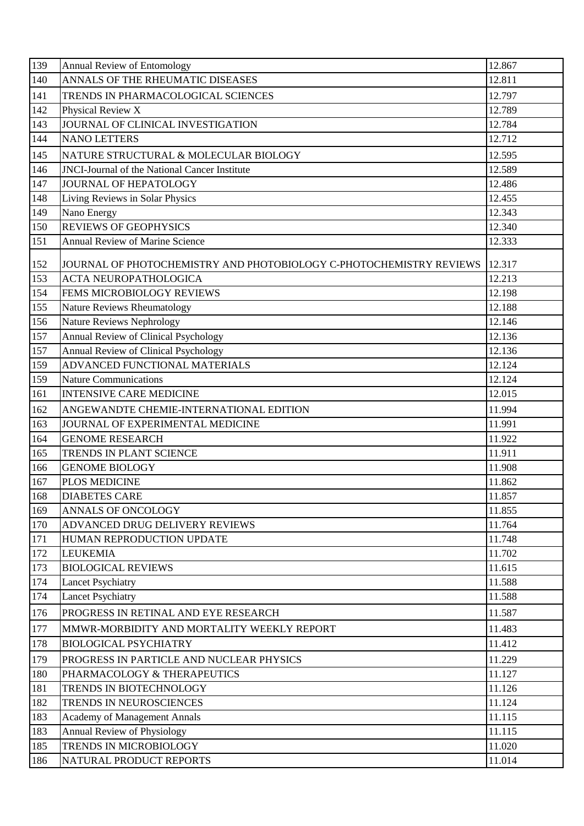| 139 | Annual Review of Entomology                                         | 12.867 |
|-----|---------------------------------------------------------------------|--------|
| 140 | ANNALS OF THE RHEUMATIC DISEASES                                    | 12.811 |
| 141 | TRENDS IN PHARMACOLOGICAL SCIENCES                                  | 12.797 |
| 142 | Physical Review X                                                   | 12.789 |
| 143 | JOURNAL OF CLINICAL INVESTIGATION                                   | 12.784 |
| 144 | <b>NANO LETTERS</b>                                                 | 12.712 |
| 145 | NATURE STRUCTURAL & MOLECULAR BIOLOGY                               | 12.595 |
| 146 | <b>JNCI-Journal of the National Cancer Institute</b>                | 12.589 |
| 147 | <b>JOURNAL OF HEPATOLOGY</b>                                        | 12.486 |
| 148 | Living Reviews in Solar Physics                                     | 12.455 |
| 149 | Nano Energy                                                         | 12.343 |
| 150 | <b>REVIEWS OF GEOPHYSICS</b>                                        | 12.340 |
| 151 | <b>Annual Review of Marine Science</b>                              | 12.333 |
| 152 | JOURNAL OF PHOTOCHEMISTRY AND PHOTOBIOLOGY C-PHOTOCHEMISTRY REVIEWS | 12.317 |
| 153 | <b>ACTA NEUROPATHOLOGICA</b>                                        | 12.213 |
| 154 | <b>FEMS MICROBIOLOGY REVIEWS</b>                                    | 12.198 |
| 155 | Nature Reviews Rheumatology                                         | 12.188 |
| 156 | Nature Reviews Nephrology                                           | 12.146 |
| 157 | Annual Review of Clinical Psychology                                | 12.136 |
| 157 | Annual Review of Clinical Psychology                                | 12.136 |
| 159 | ADVANCED FUNCTIONAL MATERIALS                                       | 12.124 |
| 159 | <b>Nature Communications</b>                                        | 12.124 |
| 161 | <b>INTENSIVE CARE MEDICINE</b>                                      | 12.015 |
| 162 | ANGEWANDTE CHEMIE-INTERNATIONAL EDITION                             | 11.994 |
| 163 | JOURNAL OF EXPERIMENTAL MEDICINE                                    | 11.991 |
| 164 | <b>GENOME RESEARCH</b>                                              | 11.922 |
| 165 | <b>TRENDS IN PLANT SCIENCE</b>                                      | 11.911 |
| 166 | <b>GENOME BIOLOGY</b>                                               | 11.908 |
| 167 | PLOS MEDICINE                                                       | 11.862 |
| 168 | <b>DIABETES CARE</b>                                                | 11.857 |
| 169 | <b>ANNALS OF ONCOLOGY</b>                                           | 11.855 |
| 170 | ADVANCED DRUG DELIVERY REVIEWS                                      | 11.764 |
| 171 | HUMAN REPRODUCTION UPDATE                                           | 11.748 |
| 172 | <b>LEUKEMIA</b>                                                     | 11.702 |
| 173 | <b>BIOLOGICAL REVIEWS</b>                                           | 11.615 |
| 174 | <b>Lancet Psychiatry</b>                                            | 11.588 |
| 174 | <b>Lancet Psychiatry</b>                                            | 11.588 |
| 176 | PROGRESS IN RETINAL AND EYE RESEARCH                                | 11.587 |
| 177 | MMWR-MORBIDITY AND MORTALITY WEEKLY REPORT                          | 11.483 |
| 178 | <b>BIOLOGICAL PSYCHIATRY</b>                                        | 11.412 |
| 179 | PROGRESS IN PARTICLE AND NUCLEAR PHYSICS                            | 11.229 |
| 180 | PHARMACOLOGY & THERAPEUTICS                                         | 11.127 |
| 181 | TRENDS IN BIOTECHNOLOGY                                             | 11.126 |
| 182 | TRENDS IN NEUROSCIENCES                                             | 11.124 |
| 183 | <b>Academy of Management Annals</b>                                 | 11.115 |
| 183 | Annual Review of Physiology                                         | 11.115 |
| 185 | TRENDS IN MICROBIOLOGY                                              | 11.020 |
| 186 | NATURAL PRODUCT REPORTS                                             | 11.014 |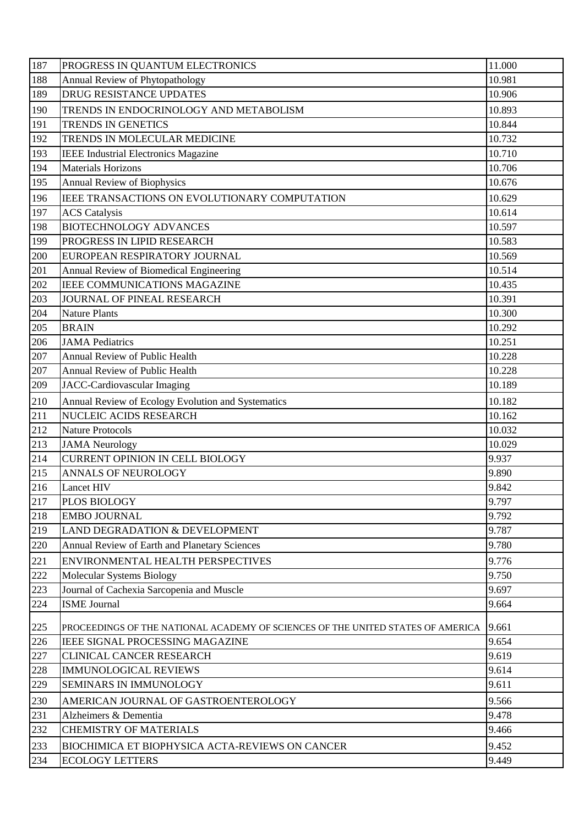| 187        | PROGRESS IN QUANTUM ELECTRONICS                                                 | 11.000 |
|------------|---------------------------------------------------------------------------------|--------|
| 188        | Annual Review of Phytopathology                                                 | 10.981 |
| 189        | <b>DRUG RESISTANCE UPDATES</b>                                                  | 10.906 |
| 190        | TRENDS IN ENDOCRINOLOGY AND METABOLISM                                          | 10.893 |
| 191        | TRENDS IN GENETICS                                                              | 10.844 |
| 192        | TRENDS IN MOLECULAR MEDICINE                                                    | 10.732 |
| 193        | <b>IEEE Industrial Electronics Magazine</b>                                     | 10.710 |
| 194        | <b>Materials Horizons</b>                                                       | 10.706 |
| 195        | Annual Review of Biophysics                                                     | 10.676 |
| 196        | IEEE TRANSACTIONS ON EVOLUTIONARY COMPUTATION                                   | 10.629 |
| 197        | <b>ACS</b> Catalysis                                                            | 10.614 |
| 198        | <b>BIOTECHNOLOGY ADVANCES</b>                                                   | 10.597 |
| 199        | PROGRESS IN LIPID RESEARCH                                                      | 10.583 |
| 200        | EUROPEAN RESPIRATORY JOURNAL                                                    | 10.569 |
| 201        | Annual Review of Biomedical Engineering                                         | 10.514 |
| 202        | IEEE COMMUNICATIONS MAGAZINE                                                    | 10.435 |
| 203        | JOURNAL OF PINEAL RESEARCH                                                      | 10.391 |
| 204        | <b>Nature Plants</b>                                                            | 10.300 |
| 205        | <b>BRAIN</b>                                                                    | 10.292 |
| 206        | <b>JAMA</b> Pediatrics                                                          | 10.251 |
| 207        | Annual Review of Public Health                                                  | 10.228 |
| 207        | Annual Review of Public Health                                                  | 10.228 |
| 209        | JACC-Cardiovascular Imaging                                                     | 10.189 |
| 210        | Annual Review of Ecology Evolution and Systematics                              | 10.182 |
| 211        | NUCLEIC ACIDS RESEARCH                                                          | 10.162 |
| 212        | <b>Nature Protocols</b>                                                         | 10.032 |
| 213        | <b>JAMA</b> Neurology                                                           | 10.029 |
| 214        | CURRENT OPINION IN CELL BIOLOGY                                                 | 9.937  |
| 215        | <b>ANNALS OF NEUROLOGY</b>                                                      | 9.890  |
| 216        | <b>Lancet HIV</b>                                                               | 9.842  |
| 217        | <b>PLOS BIOLOGY</b>                                                             | 9.797  |
| 218        | <b>EMBO JOURNAL</b>                                                             | 9.792  |
| 219        | LAND DEGRADATION & DEVELOPMENT                                                  | 9.787  |
| 220        | <b>Annual Review of Earth and Planetary Sciences</b>                            | 9.780  |
| 221        | ENVIRONMENTAL HEALTH PERSPECTIVES                                               | 9.776  |
| 222        | Molecular Systems Biology                                                       | 9.750  |
| 223        | Journal of Cachexia Sarcopenia and Muscle                                       | 9.697  |
| 224        | <b>ISME Journal</b>                                                             | 9.664  |
| 225        | PROCEEDINGS OF THE NATIONAL ACADEMY OF SCIENCES OF THE UNITED STATES OF AMERICA | 9.661  |
| 226        | <b>IEEE SIGNAL PROCESSING MAGAZINE</b>                                          | 9.654  |
| 227        | <b>CLINICAL CANCER RESEARCH</b>                                                 | 9.619  |
| 228        | <b>IMMUNOLOGICAL REVIEWS</b>                                                    | 9.614  |
| 229        | SEMINARS IN IMMUNOLOGY                                                          | 9.611  |
|            |                                                                                 | 9.566  |
| 230<br>231 | AMERICAN JOURNAL OF GASTROENTEROLOGY<br>Alzheimers & Dementia                   | 9.478  |
| 232        | <b>CHEMISTRY OF MATERIALS</b>                                                   | 9.466  |
|            |                                                                                 |        |
| 233        | <b>BIOCHIMICA ET BIOPHYSICA ACTA-REVIEWS ON CANCER</b>                          | 9.452  |
| 234        | <b>ECOLOGY LETTERS</b>                                                          | 9.449  |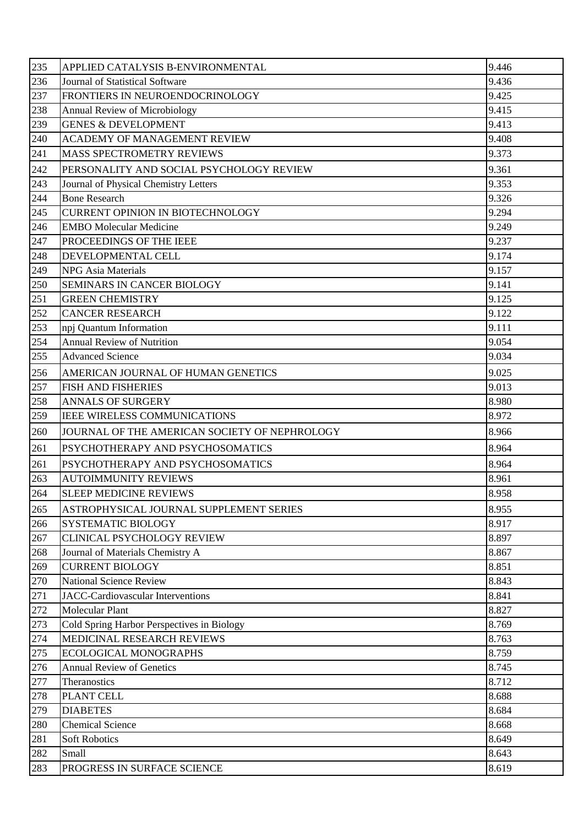| 235 | APPLIED CATALYSIS B-ENVIRONMENTAL             | 9.446 |
|-----|-----------------------------------------------|-------|
| 236 | Journal of Statistical Software               | 9.436 |
| 237 | FRONTIERS IN NEUROENDOCRINOLOGY               | 9.425 |
| 238 | Annual Review of Microbiology                 | 9.415 |
| 239 | <b>GENES &amp; DEVELOPMENT</b>                | 9.413 |
| 240 | <b>ACADEMY OF MANAGEMENT REVIEW</b>           | 9.408 |
| 241 | <b>MASS SPECTROMETRY REVIEWS</b>              | 9.373 |
| 242 | PERSONALITY AND SOCIAL PSYCHOLOGY REVIEW      | 9.361 |
| 243 | Journal of Physical Chemistry Letters         | 9.353 |
| 244 | <b>Bone Research</b>                          | 9.326 |
| 245 | <b>CURRENT OPINION IN BIOTECHNOLOGY</b>       | 9.294 |
| 246 | <b>EMBO Molecular Medicine</b>                | 9.249 |
| 247 | <b>PROCEEDINGS OF THE IEEE</b>                | 9.237 |
| 248 | DEVELOPMENTAL CELL                            | 9.174 |
| 249 | <b>NPG</b> Asia Materials                     | 9.157 |
| 250 | <b>SEMINARS IN CANCER BIOLOGY</b>             | 9.141 |
| 251 | <b>GREEN CHEMISTRY</b>                        | 9.125 |
| 252 | <b>CANCER RESEARCH</b>                        | 9.122 |
| 253 | npj Quantum Information                       | 9.111 |
| 254 | <b>Annual Review of Nutrition</b>             | 9.054 |
| 255 | <b>Advanced Science</b>                       | 9.034 |
| 256 | AMERICAN JOURNAL OF HUMAN GENETICS            | 9.025 |
| 257 | <b>FISH AND FISHERIES</b>                     | 9.013 |
| 258 | <b>ANNALS OF SURGERY</b>                      | 8.980 |
| 259 | <b>IEEE WIRELESS COMMUNICATIONS</b>           | 8.972 |
| 260 | JOURNAL OF THE AMERICAN SOCIETY OF NEPHROLOGY | 8.966 |
| 261 | PSYCHOTHERAPY AND PSYCHOSOMATICS              | 8.964 |
| 261 | PSYCHOTHERAPY AND PSYCHOSOMATICS              | 8.964 |
| 263 | <b>AUTOIMMUNITY REVIEWS</b>                   | 8.961 |
| 264 | <b>SLEEP MEDICINE REVIEWS</b>                 | 8.958 |
| 265 | ASTROPHYSICAL JOURNAL SUPPLEMENT SERIES       | 8.955 |
| 266 | <b>SYSTEMATIC BIOLOGY</b>                     | 8.917 |
| 267 | <b>CLINICAL PSYCHOLOGY REVIEW</b>             | 8.897 |
| 268 | Journal of Materials Chemistry A              | 8.867 |
| 269 | <b>CURRENT BIOLOGY</b>                        | 8.851 |
| 270 | National Science Review                       | 8.843 |
| 271 | JACC-Cardiovascular Interventions             | 8.841 |
| 272 | <b>Molecular Plant</b>                        | 8.827 |
| 273 | Cold Spring Harbor Perspectives in Biology    | 8.769 |
| 274 | MEDICINAL RESEARCH REVIEWS                    | 8.763 |
| 275 | ECOLOGICAL MONOGRAPHS                         | 8.759 |
| 276 | <b>Annual Review of Genetics</b>              | 8.745 |
| 277 | Theranostics                                  | 8.712 |
| 278 | PLANT CELL                                    | 8.688 |
| 279 | <b>DIABETES</b>                               | 8.684 |
| 280 | <b>Chemical Science</b>                       | 8.668 |
| 281 | <b>Soft Robotics</b>                          | 8.649 |
| 282 | Small                                         | 8.643 |
| 283 | PROGRESS IN SURFACE SCIENCE                   | 8.619 |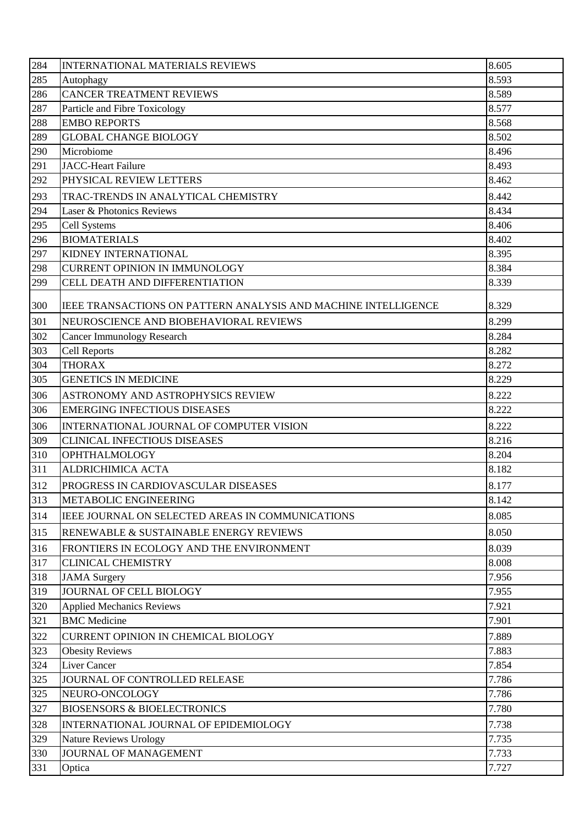| 284 | <b>INTERNATIONAL MATERIALS REVIEWS</b>                         | 8.605 |
|-----|----------------------------------------------------------------|-------|
| 285 | Autophagy                                                      | 8.593 |
| 286 | <b>CANCER TREATMENT REVIEWS</b>                                | 8.589 |
| 287 | Particle and Fibre Toxicology                                  | 8.577 |
| 288 | <b>EMBO REPORTS</b>                                            | 8.568 |
| 289 | <b>GLOBAL CHANGE BIOLOGY</b>                                   | 8.502 |
| 290 | Microbiome                                                     | 8.496 |
| 291 | <b>JACC-Heart Failure</b>                                      | 8.493 |
| 292 | PHYSICAL REVIEW LETTERS                                        | 8.462 |
| 293 | TRAC-TRENDS IN ANALYTICAL CHEMISTRY                            | 8.442 |
| 294 | Laser & Photonics Reviews                                      | 8.434 |
| 295 | <b>Cell Systems</b>                                            | 8.406 |
| 296 | <b>BIOMATERIALS</b>                                            | 8.402 |
| 297 | KIDNEY INTERNATIONAL                                           | 8.395 |
| 298 | <b>CURRENT OPINION IN IMMUNOLOGY</b>                           | 8.384 |
| 299 | CELL DEATH AND DIFFERENTIATION                                 | 8.339 |
| 300 | IEEE TRANSACTIONS ON PATTERN ANALYSIS AND MACHINE INTELLIGENCE | 8.329 |
| 301 | NEUROSCIENCE AND BIOBEHAVIORAL REVIEWS                         | 8.299 |
| 302 | <b>Cancer Immunology Research</b>                              | 8.284 |
| 303 | <b>Cell Reports</b>                                            | 8.282 |
| 304 | <b>THORAX</b>                                                  | 8.272 |
| 305 | <b>GENETICS IN MEDICINE</b>                                    | 8.229 |
| 306 | ASTRONOMY AND ASTROPHYSICS REVIEW                              | 8.222 |
| 306 | <b>EMERGING INFECTIOUS DISEASES</b>                            | 8.222 |
| 306 | INTERNATIONAL JOURNAL OF COMPUTER VISION                       | 8.222 |
| 309 | <b>CLINICAL INFECTIOUS DISEASES</b>                            | 8.216 |
| 310 | <b>OPHTHALMOLOGY</b>                                           | 8.204 |
| 311 | <b>ALDRICHIMICA ACTA</b>                                       | 8.182 |
| 312 | <b>PROGRESS IN CARDIOVASCULAR DISEASES</b>                     | 8.177 |
| 313 | METABOLIC ENGINEERING                                          | 8.142 |
|     |                                                                |       |
| 314 | IEEE JOURNAL ON SELECTED AREAS IN COMMUNICATIONS               | 8.085 |
| 315 | RENEWABLE & SUSTAINABLE ENERGY REVIEWS                         | 8.050 |
| 316 | FRONTIERS IN ECOLOGY AND THE ENVIRONMENT                       | 8.039 |
| 317 | <b>CLINICAL CHEMISTRY</b>                                      | 8.008 |
| 318 | <b>JAMA</b> Surgery                                            | 7.956 |
| 319 | JOURNAL OF CELL BIOLOGY                                        | 7.955 |
| 320 | <b>Applied Mechanics Reviews</b>                               | 7.921 |
| 321 | <b>BMC</b> Medicine                                            | 7.901 |
| 322 | CURRENT OPINION IN CHEMICAL BIOLOGY                            | 7.889 |
| 323 | <b>Obesity Reviews</b>                                         | 7.883 |
| 324 | <b>Liver Cancer</b>                                            | 7.854 |
| 325 | JOURNAL OF CONTROLLED RELEASE                                  | 7.786 |
| 325 | NEURO-ONCOLOGY                                                 | 7.786 |
| 327 | <b>BIOSENSORS &amp; BIOELECTRONICS</b>                         | 7.780 |
| 328 | INTERNATIONAL JOURNAL OF EPIDEMIOLOGY                          | 7.738 |
| 329 | <b>Nature Reviews Urology</b>                                  | 7.735 |
| 330 | JOURNAL OF MANAGEMENT                                          | 7.733 |
| 331 | Optica                                                         | 7.727 |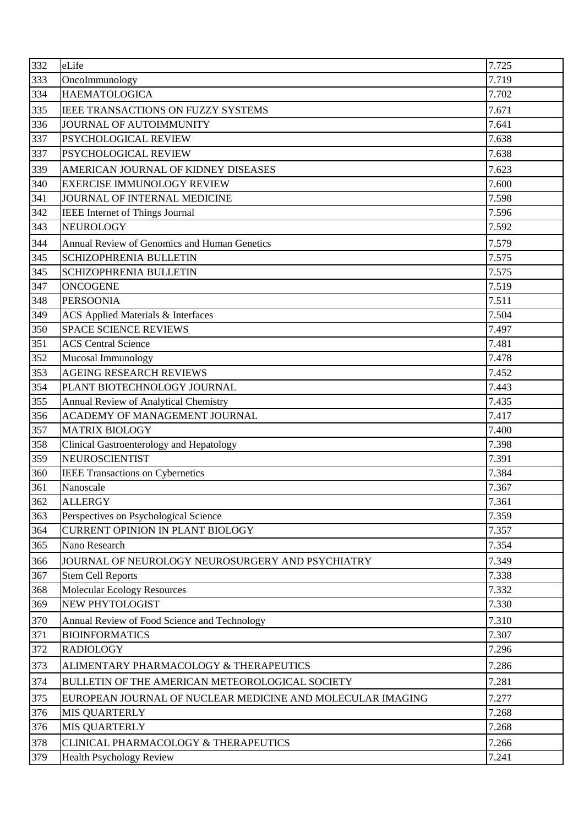| 332 | eLife                                                      | 7.725 |
|-----|------------------------------------------------------------|-------|
| 333 | OncoImmunology                                             | 7.719 |
| 334 | <b>HAEMATOLOGICA</b>                                       | 7.702 |
| 335 | IEEE TRANSACTIONS ON FUZZY SYSTEMS                         | 7.671 |
| 336 | JOURNAL OF AUTOIMMUNITY                                    | 7.641 |
| 337 | PSYCHOLOGICAL REVIEW                                       | 7.638 |
| 337 | PSYCHOLOGICAL REVIEW                                       | 7.638 |
| 339 | AMERICAN JOURNAL OF KIDNEY DISEASES                        | 7.623 |
| 340 | <b>EXERCISE IMMUNOLOGY REVIEW</b>                          | 7.600 |
| 341 | JOURNAL OF INTERNAL MEDICINE                               | 7.598 |
| 342 | IEEE Internet of Things Journal                            | 7.596 |
| 343 | NEUROLOGY                                                  | 7.592 |
| 344 | <b>Annual Review of Genomics and Human Genetics</b>        | 7.579 |
| 345 | <b>SCHIZOPHRENIA BULLETIN</b>                              | 7.575 |
| 345 | SCHIZOPHRENIA BULLETIN                                     | 7.575 |
| 347 | <b>ONCOGENE</b>                                            | 7.519 |
| 348 | <b>PERSOONIA</b>                                           | 7.511 |
| 349 | <b>ACS Applied Materials &amp; Interfaces</b>              | 7.504 |
| 350 | <b>SPACE SCIENCE REVIEWS</b>                               | 7.497 |
| 351 | <b>ACS Central Science</b>                                 | 7.481 |
| 352 | Mucosal Immunology                                         | 7.478 |
| 353 | <b>AGEING RESEARCH REVIEWS</b>                             | 7.452 |
| 354 | PLANT BIOTECHNOLOGY JOURNAL                                | 7.443 |
| 355 | <b>Annual Review of Analytical Chemistry</b>               | 7.435 |
| 356 | ACADEMY OF MANAGEMENT JOURNAL                              | 7.417 |
| 357 | <b>MATRIX BIOLOGY</b>                                      | 7.400 |
| 358 | Clinical Gastroenterology and Hepatology                   | 7.398 |
| 359 | <b>NEUROSCIENTIST</b>                                      | 7.391 |
| 360 | <b>IEEE Transactions on Cybernetics</b>                    | 7.384 |
| 361 | Nanoscale                                                  | 7.367 |
| 362 | <b>ALLERGY</b>                                             | 7.361 |
| 363 | Perspectives on Psychological Science                      | 7.359 |
| 364 | <b>CURRENT OPINION IN PLANT BIOLOGY</b>                    | 7.357 |
| 365 | Nano Research                                              | 7.354 |
| 366 | JOURNAL OF NEUROLOGY NEUROSURGERY AND PSYCHIATRY           | 7.349 |
| 367 | <b>Stem Cell Reports</b>                                   | 7.338 |
| 368 | <b>Molecular Ecology Resources</b>                         | 7.332 |
| 369 | NEW PHYTOLOGIST                                            | 7.330 |
| 370 | Annual Review of Food Science and Technology               | 7.310 |
| 371 | <b>BIOINFORMATICS</b>                                      | 7.307 |
| 372 | <b>RADIOLOGY</b>                                           | 7.296 |
| 373 | ALIMENTARY PHARMACOLOGY & THERAPEUTICS                     | 7.286 |
| 374 | BULLETIN OF THE AMERICAN METEOROLOGICAL SOCIETY            | 7.281 |
| 375 | EUROPEAN JOURNAL OF NUCLEAR MEDICINE AND MOLECULAR IMAGING | 7.277 |
| 376 | <b>MIS QUARTERLY</b>                                       | 7.268 |
| 376 | <b>MIS QUARTERLY</b>                                       | 7.268 |
| 378 | CLINICAL PHARMACOLOGY & THERAPEUTICS                       | 7.266 |
| 379 | <b>Health Psychology Review</b>                            | 7.241 |
|     |                                                            |       |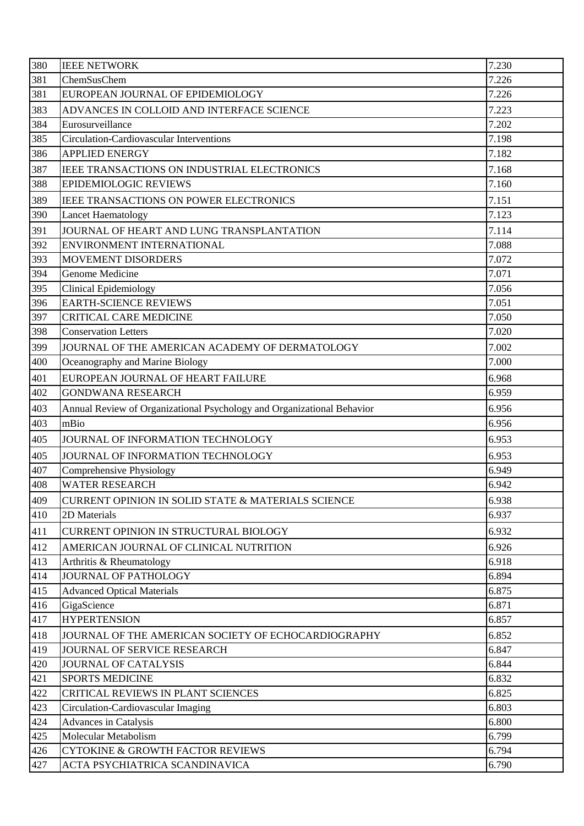| 380 | <b>IEEE NETWORK</b>                                                    | 7.230 |
|-----|------------------------------------------------------------------------|-------|
| 381 | ChemSusChem                                                            | 7.226 |
| 381 | EUROPEAN JOURNAL OF EPIDEMIOLOGY                                       | 7.226 |
| 383 | ADVANCES IN COLLOID AND INTERFACE SCIENCE                              | 7.223 |
| 384 | Eurosurveillance                                                       | 7.202 |
| 385 | Circulation-Cardiovascular Interventions                               | 7.198 |
| 386 | <b>APPLIED ENERGY</b>                                                  | 7.182 |
| 387 | IEEE TRANSACTIONS ON INDUSTRIAL ELECTRONICS                            | 7.168 |
| 388 | <b>EPIDEMIOLOGIC REVIEWS</b>                                           | 7.160 |
| 389 | IEEE TRANSACTIONS ON POWER ELECTRONICS                                 | 7.151 |
| 390 | Lancet Haematology                                                     | 7.123 |
| 391 | JOURNAL OF HEART AND LUNG TRANSPLANTATION                              | 7.114 |
| 392 | ENVIRONMENT INTERNATIONAL                                              | 7.088 |
| 393 | MOVEMENT DISORDERS                                                     | 7.072 |
| 394 | Genome Medicine                                                        | 7.071 |
| 395 | <b>Clinical Epidemiology</b>                                           | 7.056 |
| 396 | <b>EARTH-SCIENCE REVIEWS</b>                                           | 7.051 |
| 397 | <b>CRITICAL CARE MEDICINE</b>                                          | 7.050 |
| 398 | <b>Conservation Letters</b>                                            | 7.020 |
| 399 | JOURNAL OF THE AMERICAN ACADEMY OF DERMATOLOGY                         | 7.002 |
| 400 | Oceanography and Marine Biology                                        | 7.000 |
| 401 | EUROPEAN JOURNAL OF HEART FAILURE                                      | 6.968 |
| 402 | <b>GONDWANA RESEARCH</b>                                               | 6.959 |
| 403 | Annual Review of Organizational Psychology and Organizational Behavior | 6.956 |
| 403 | mBio                                                                   | 6.956 |
| 405 | JOURNAL OF INFORMATION TECHNOLOGY                                      | 6.953 |
| 405 | JOURNAL OF INFORMATION TECHNOLOGY                                      | 6.953 |
| 407 | Comprehensive Physiology                                               | 6.949 |
| 408 | WATER RESEARCH                                                         | 6.942 |
| 409 | CURRENT OPINION IN SOLID STATE & MATERIALS SCIENCE                     | 6.938 |
| 410 | 2D Materials                                                           | 6.937 |
| 411 | CURRENT OPINION IN STRUCTURAL BIOLOGY                                  | 6.932 |
| 412 | AMERICAN JOURNAL OF CLINICAL NUTRITION                                 | 6.926 |
| 413 | Arthritis & Rheumatology                                               | 6.918 |
| 414 | JOURNAL OF PATHOLOGY                                                   | 6.894 |
| 415 | <b>Advanced Optical Materials</b>                                      | 6.875 |
| 416 | GigaScience                                                            | 6.871 |
| 417 | <b>HYPERTENSION</b>                                                    | 6.857 |
| 418 | JOURNAL OF THE AMERICAN SOCIETY OF ECHOCARDIOGRAPHY                    | 6.852 |
| 419 | JOURNAL OF SERVICE RESEARCH                                            | 6.847 |
| 420 | <b>JOURNAL OF CATALYSIS</b>                                            | 6.844 |
| 421 | <b>SPORTS MEDICINE</b>                                                 | 6.832 |
| 422 | CRITICAL REVIEWS IN PLANT SCIENCES                                     | 6.825 |
| 423 | Circulation-Cardiovascular Imaging                                     | 6.803 |
| 424 | <b>Advances in Catalysis</b>                                           | 6.800 |
| 425 | Molecular Metabolism                                                   | 6.799 |
| 426 | <b>CYTOKINE &amp; GROWTH FACTOR REVIEWS</b>                            | 6.794 |
| 427 | ACTA PSYCHIATRICA SCANDINAVICA                                         | 6.790 |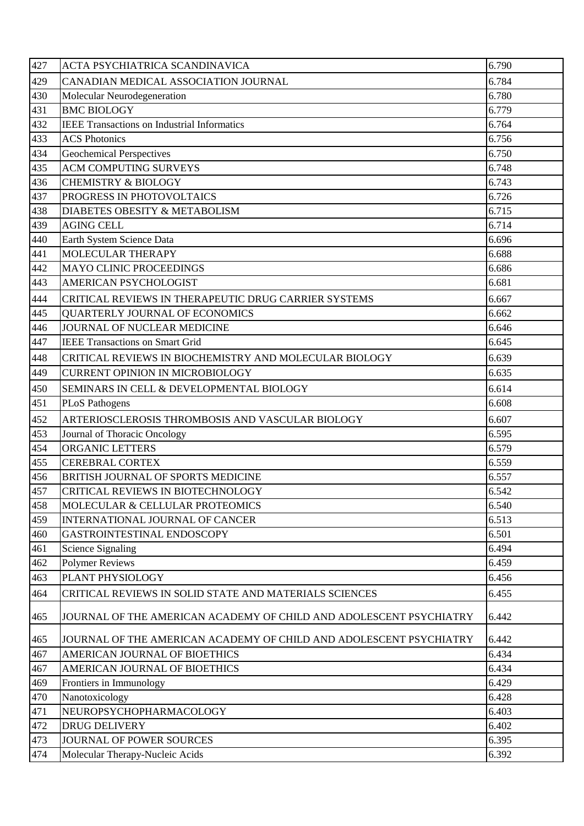| 427 | ACTA PSYCHIATRICA SCANDINAVICA                                     | 6.790 |
|-----|--------------------------------------------------------------------|-------|
| 429 | CANADIAN MEDICAL ASSOCIATION JOURNAL                               | 6.784 |
| 430 | Molecular Neurodegeneration                                        | 6.780 |
| 431 | <b>BMC BIOLOGY</b>                                                 | 6.779 |
| 432 | <b>IEEE Transactions on Industrial Informatics</b>                 | 6.764 |
| 433 | <b>ACS Photonics</b>                                               | 6.756 |
| 434 | <b>Geochemical Perspectives</b>                                    | 6.750 |
| 435 | <b>ACM COMPUTING SURVEYS</b>                                       | 6.748 |
| 436 | <b>CHEMISTRY &amp; BIOLOGY</b>                                     | 6.743 |
| 437 | PROGRESS IN PHOTOVOLTAICS                                          | 6.726 |
| 438 | DIABETES OBESITY & METABOLISM                                      | 6.715 |
| 439 | <b>AGING CELL</b>                                                  | 6.714 |
| 440 | Earth System Science Data                                          | 6.696 |
| 441 | MOLECULAR THERAPY                                                  | 6.688 |
| 442 | <b>MAYO CLINIC PROCEEDINGS</b>                                     | 6.686 |
| 443 | <b>AMERICAN PSYCHOLOGIST</b>                                       | 6.681 |
| 444 | CRITICAL REVIEWS IN THERAPEUTIC DRUG CARRIER SYSTEMS               | 6.667 |
| 445 | <b>QUARTERLY JOURNAL OF ECONOMICS</b>                              | 6.662 |
| 446 | JOURNAL OF NUCLEAR MEDICINE                                        | 6.646 |
| 447 | <b>IEEE Transactions on Smart Grid</b>                             | 6.645 |
| 448 | CRITICAL REVIEWS IN BIOCHEMISTRY AND MOLECULAR BIOLOGY             | 6.639 |
| 449 | <b>CURRENT OPINION IN MICROBIOLOGY</b>                             | 6.635 |
| 450 | SEMINARS IN CELL & DEVELOPMENTAL BIOLOGY                           | 6.614 |
| 451 | <b>PLoS Pathogens</b>                                              | 6.608 |
| 452 | ARTERIOSCLEROSIS THROMBOSIS AND VASCULAR BIOLOGY                   | 6.607 |
| 453 | Journal of Thoracic Oncology                                       | 6.595 |
| 454 | <b>ORGANIC LETTERS</b>                                             | 6.579 |
| 455 | <b>CEREBRAL CORTEX</b>                                             | 6.559 |
| 456 | BRITISH JOURNAL OF SPORTS MEDICINE                                 | 6.557 |
| 457 | CRITICAL REVIEWS IN BIOTECHNOLOGY                                  | 6.542 |
| 458 | MOLECULAR & CELLULAR PROTEOMICS                                    | 6.540 |
| 459 | INTERNATIONAL JOURNAL OF CANCER                                    | 6.513 |
| 460 | GASTROINTESTINAL ENDOSCOPY                                         | 6.501 |
| 461 | <b>Science Signaling</b>                                           | 6.494 |
| 462 | <b>Polymer Reviews</b>                                             | 6.459 |
| 463 | PLANT PHYSIOLOGY                                                   | 6.456 |
| 464 | CRITICAL REVIEWS IN SOLID STATE AND MATERIALS SCIENCES             | 6.455 |
| 465 | JOURNAL OF THE AMERICAN ACADEMY OF CHILD AND ADOLESCENT PSYCHIATRY | 6.442 |
| 465 | JOURNAL OF THE AMERICAN ACADEMY OF CHILD AND ADOLESCENT PSYCHIATRY | 6.442 |
| 467 | AMERICAN JOURNAL OF BIOETHICS                                      | 6.434 |
| 467 | AMERICAN JOURNAL OF BIOETHICS                                      | 6.434 |
| 469 | Frontiers in Immunology                                            | 6.429 |
| 470 | Nanotoxicology                                                     | 6.428 |
| 471 | NEUROPSYCHOPHARMACOLOGY                                            | 6.403 |
| 472 | <b>DRUG DELIVERY</b>                                               | 6.402 |
| 473 | JOURNAL OF POWER SOURCES                                           | 6.395 |
| 474 | Molecular Therapy-Nucleic Acids                                    | 6.392 |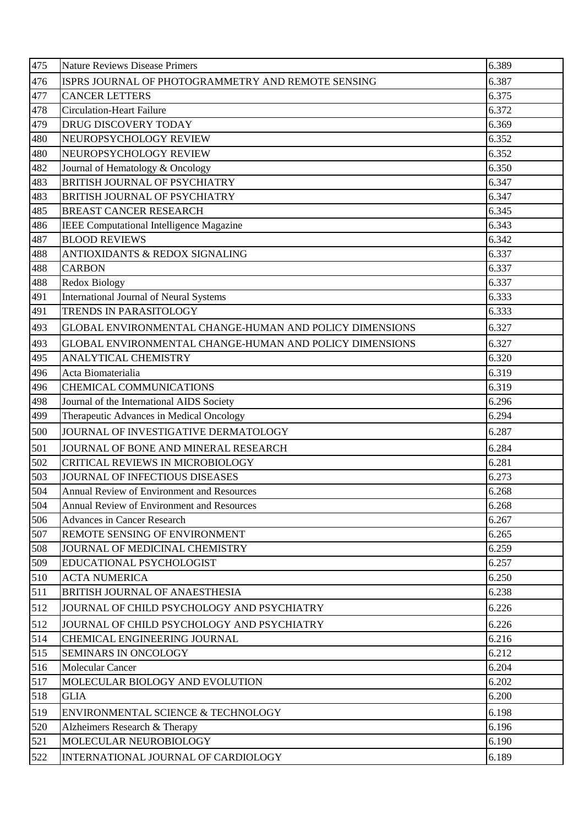| 475        | <b>Nature Reviews Disease Primers</b>                           | 6.389          |
|------------|-----------------------------------------------------------------|----------------|
| 476        | ISPRS JOURNAL OF PHOTOGRAMMETRY AND REMOTE SENSING              | 6.387          |
| 477        | <b>CANCER LETTERS</b>                                           | 6.375          |
| 478        | <b>Circulation-Heart Failure</b>                                | 6.372          |
| 479        | DRUG DISCOVERY TODAY                                            | 6.369          |
| 480        | NEUROPSYCHOLOGY REVIEW                                          | 6.352          |
| 480        | NEUROPSYCHOLOGY REVIEW                                          | 6.352          |
| 482        | Journal of Hematology & Oncology                                | 6.350          |
| 483        | BRITISH JOURNAL OF PSYCHIATRY                                   | 6.347          |
| 483        | BRITISH JOURNAL OF PSYCHIATRY                                   | 6.347          |
| 485        | <b>BREAST CANCER RESEARCH</b>                                   | 6.345          |
| 486        | <b>IEEE Computational Intelligence Magazine</b>                 | 6.343          |
| 487        | <b>BLOOD REVIEWS</b>                                            | 6.342          |
| 488        | ANTIOXIDANTS & REDOX SIGNALING                                  | 6.337          |
| 488        | <b>CARBON</b>                                                   | 6.337          |
| 488        | Redox Biology                                                   | 6.337          |
| 491        | International Journal of Neural Systems                         | 6.333          |
| 491        | TRENDS IN PARASITOLOGY                                          | 6.333          |
| 493        | GLOBAL ENVIRONMENTAL CHANGE-HUMAN AND POLICY DIMENSIONS         | 6.327          |
| 493        | GLOBAL ENVIRONMENTAL CHANGE-HUMAN AND POLICY DIMENSIONS         | 6.327          |
| 495        | ANALYTICAL CHEMISTRY                                            | 6.320          |
| 496        | Acta Biomaterialia                                              | 6.319          |
| 496        | CHEMICAL COMMUNICATIONS                                         | 6.319          |
| 498        | Journal of the International AIDS Society                       | 6.296          |
| 499        | Therapeutic Advances in Medical Oncology                        | 6.294          |
| 500        | JOURNAL OF INVESTIGATIVE DERMATOLOGY                            | 6.287          |
| 501        | JOURNAL OF BONE AND MINERAL RESEARCH                            | 6.284          |
| 502        | CRITICAL REVIEWS IN MICROBIOLOGY                                | 6.281          |
| 503        | JOURNAL OF INFECTIOUS DISEASES                                  | 6.273          |
| 504        | Annual Review of Environment and Resources                      | 6.268          |
| 504        | <b>Annual Review of Environment and Resources</b>               | 6.268          |
| 506        | <b>Advances in Cancer Research</b>                              | 6.267          |
| 507        | REMOTE SENSING OF ENVIRONMENT<br>JOURNAL OF MEDICINAL CHEMISTRY | 6.265          |
| 508<br>509 | EDUCATIONAL PSYCHOLOGIST                                        | 6.259<br>6.257 |
| 510        | <b>ACTA NUMERICA</b>                                            | 6.250          |
| 511        | <b>BRITISH JOURNAL OF ANAESTHESIA</b>                           | 6.238          |
| 512        | JOURNAL OF CHILD PSYCHOLOGY AND PSYCHIATRY                      | 6.226          |
|            |                                                                 |                |
| 512        | JOURNAL OF CHILD PSYCHOLOGY AND PSYCHIATRY                      | 6.226          |
| 514<br>515 | CHEMICAL ENGINEERING JOURNAL<br><b>SEMINARS IN ONCOLOGY</b>     | 6.216<br>6.212 |
| 516        | Molecular Cancer                                                | 6.204          |
| 517        | MOLECULAR BIOLOGY AND EVOLUTION                                 | 6.202          |
| 518        | <b>GLIA</b>                                                     | 6.200          |
|            |                                                                 |                |
| 519        | ENVIRONMENTAL SCIENCE & TECHNOLOGY                              | 6.198<br>6.196 |
| 520<br>521 | Alzheimers Research & Therapy<br>MOLECULAR NEUROBIOLOGY         | 6.190          |
|            |                                                                 |                |
| 522        | INTERNATIONAL JOURNAL OF CARDIOLOGY                             | 6.189          |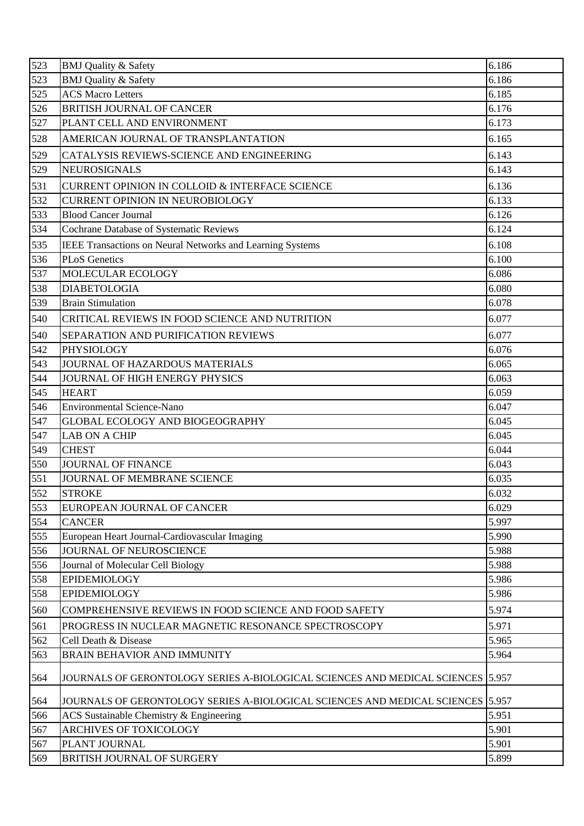| 523 | <b>BMJ Quality &amp; Safety</b>                                                 | 6.186 |
|-----|---------------------------------------------------------------------------------|-------|
| 523 | <b>BMJ</b> Quality & Safety                                                     | 6.186 |
| 525 | <b>ACS Macro Letters</b>                                                        | 6.185 |
| 526 | <b>BRITISH JOURNAL OF CANCER</b>                                                | 6.176 |
| 527 | PLANT CELL AND ENVIRONMENT                                                      | 6.173 |
| 528 | AMERICAN JOURNAL OF TRANSPLANTATION                                             | 6.165 |
| 529 | CATALYSIS REVIEWS-SCIENCE AND ENGINEERING                                       | 6.143 |
| 529 | <b>NEUROSIGNALS</b>                                                             | 6.143 |
| 531 | <b>CURRENT OPINION IN COLLOID &amp; INTERFACE SCIENCE</b>                       | 6.136 |
| 532 | <b>CURRENT OPINION IN NEUROBIOLOGY</b>                                          | 6.133 |
| 533 | <b>Blood Cancer Journal</b>                                                     | 6.126 |
| 534 | Cochrane Database of Systematic Reviews                                         | 6.124 |
| 535 | IEEE Transactions on Neural Networks and Learning Systems                       | 6.108 |
| 536 | <b>PLoS</b> Genetics                                                            | 6.100 |
| 537 | MOLECULAR ECOLOGY                                                               | 6.086 |
| 538 | <b>DIABETOLOGIA</b>                                                             | 6.080 |
| 539 | <b>Brain Stimulation</b>                                                        | 6.078 |
| 540 | CRITICAL REVIEWS IN FOOD SCIENCE AND NUTRITION                                  | 6.077 |
| 540 | SEPARATION AND PURIFICATION REVIEWS                                             | 6.077 |
| 542 | <b>PHYSIOLOGY</b>                                                               | 6.076 |
| 543 | JOURNAL OF HAZARDOUS MATERIALS                                                  | 6.065 |
| 544 | JOURNAL OF HIGH ENERGY PHYSICS                                                  | 6.063 |
| 545 | <b>HEART</b>                                                                    | 6.059 |
| 546 | <b>Environmental Science-Nano</b>                                               | 6.047 |
| 547 | GLOBAL ECOLOGY AND BIOGEOGRAPHY                                                 | 6.045 |
| 547 | <b>LAB ON A CHIP</b>                                                            | 6.045 |
| 549 | <b>CHEST</b>                                                                    | 6.044 |
| 550 | <b>JOURNAL OF FINANCE</b>                                                       | 6.043 |
| 551 | JOURNAL OF MEMBRANE SCIENCE                                                     | 6.035 |
| 552 | <b>STROKE</b>                                                                   | 6.032 |
| 553 | EUROPEAN JOURNAL OF CANCER                                                      | 6.029 |
| 554 | <b>CANCER</b>                                                                   | 5.997 |
| 555 | European Heart Journal-Cardiovascular Imaging                                   | 5.990 |
| 556 | JOURNAL OF NEUROSCIENCE                                                         | 5.988 |
| 556 | Journal of Molecular Cell Biology                                               | 5.988 |
| 558 | <b>EPIDEMIOLOGY</b>                                                             | 5.986 |
| 558 | <b>EPIDEMIOLOGY</b>                                                             | 5.986 |
| 560 | <b>COMPREHENSIVE REVIEWS IN FOOD SCIENCE AND FOOD SAFETY</b>                    | 5.974 |
| 561 | PROGRESS IN NUCLEAR MAGNETIC RESONANCE SPECTROSCOPY                             | 5.971 |
| 562 | Cell Death & Disease                                                            | 5.965 |
| 563 | <b>BRAIN BEHAVIOR AND IMMUNITY</b>                                              | 5.964 |
| 564 | JOURNALS OF GERONTOLOGY SERIES A-BIOLOGICAL SCIENCES AND MEDICAL SCIENCES 5.957 |       |
| 564 | JOURNALS OF GERONTOLOGY SERIES A-BIOLOGICAL SCIENCES AND MEDICAL SCIENCES       | 5.957 |
| 566 | ACS Sustainable Chemistry & Engineering                                         | 5.951 |
| 567 | ARCHIVES OF TOXICOLOGY                                                          | 5.901 |
| 567 | PLANT JOURNAL                                                                   | 5.901 |
| 569 | BRITISH JOURNAL OF SURGERY                                                      | 5.899 |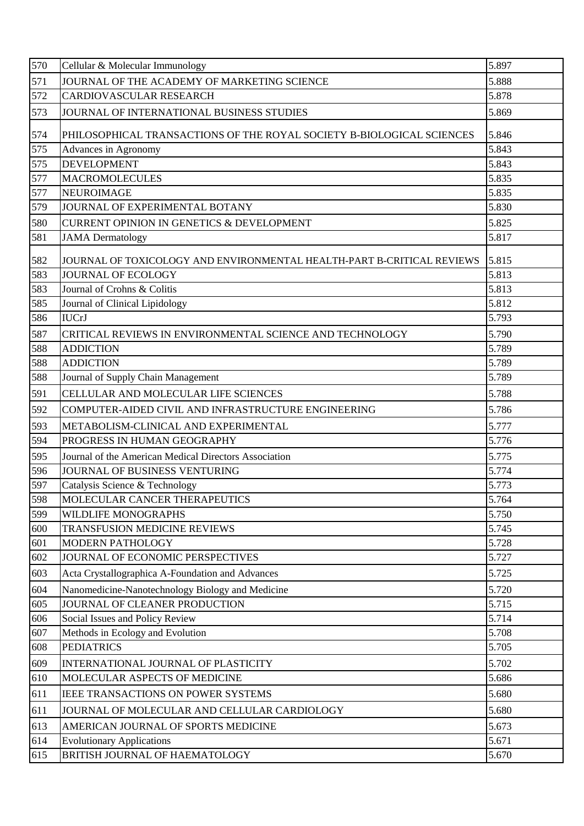| 571<br>JOURNAL OF THE ACADEMY OF MARKETING SCIENCE<br>5.888<br>572<br>5.878<br>CARDIOVASCULAR RESEARCH<br>573<br>JOURNAL OF INTERNATIONAL BUSINESS STUDIES<br>5.869<br>574<br>PHILOSOPHICAL TRANSACTIONS OF THE ROYAL SOCIETY B-BIOLOGICAL SCIENCES<br>5.846<br>575<br>5.843<br>Advances in Agronomy<br>5.843<br>575<br><b>DEVELOPMENT</b><br>577<br>5.835<br><b>MACROMOLECULES</b><br>577<br>5.835<br><b>NEUROIMAGE</b><br>579<br>JOURNAL OF EXPERIMENTAL BOTANY<br>5.830<br>580<br>5.825<br><b>CURRENT OPINION IN GENETICS &amp; DEVELOPMENT</b><br>5.817<br>581<br><b>JAMA</b> Dermatology<br>582<br>5.815<br>JOURNAL OF TOXICOLOGY AND ENVIRONMENTAL HEALTH-PART B-CRITICAL REVIEWS<br>583<br><b>JOURNAL OF ECOLOGY</b><br>5.813<br>583<br>Journal of Crohns & Colitis<br>5.813<br>585<br>Journal of Clinical Lipidology<br>5.812<br>586<br>5.793<br><b>IUCrJ</b><br>5.790<br>587<br>CRITICAL REVIEWS IN ENVIRONMENTAL SCIENCE AND TECHNOLOGY |
|---------------------------------------------------------------------------------------------------------------------------------------------------------------------------------------------------------------------------------------------------------------------------------------------------------------------------------------------------------------------------------------------------------------------------------------------------------------------------------------------------------------------------------------------------------------------------------------------------------------------------------------------------------------------------------------------------------------------------------------------------------------------------------------------------------------------------------------------------------------------------------------------------------------------------------------------------|
|                                                                                                                                                                                                                                                                                                                                                                                                                                                                                                                                                                                                                                                                                                                                                                                                                                                                                                                                                   |
|                                                                                                                                                                                                                                                                                                                                                                                                                                                                                                                                                                                                                                                                                                                                                                                                                                                                                                                                                   |
|                                                                                                                                                                                                                                                                                                                                                                                                                                                                                                                                                                                                                                                                                                                                                                                                                                                                                                                                                   |
|                                                                                                                                                                                                                                                                                                                                                                                                                                                                                                                                                                                                                                                                                                                                                                                                                                                                                                                                                   |
|                                                                                                                                                                                                                                                                                                                                                                                                                                                                                                                                                                                                                                                                                                                                                                                                                                                                                                                                                   |
|                                                                                                                                                                                                                                                                                                                                                                                                                                                                                                                                                                                                                                                                                                                                                                                                                                                                                                                                                   |
|                                                                                                                                                                                                                                                                                                                                                                                                                                                                                                                                                                                                                                                                                                                                                                                                                                                                                                                                                   |
|                                                                                                                                                                                                                                                                                                                                                                                                                                                                                                                                                                                                                                                                                                                                                                                                                                                                                                                                                   |
|                                                                                                                                                                                                                                                                                                                                                                                                                                                                                                                                                                                                                                                                                                                                                                                                                                                                                                                                                   |
|                                                                                                                                                                                                                                                                                                                                                                                                                                                                                                                                                                                                                                                                                                                                                                                                                                                                                                                                                   |
|                                                                                                                                                                                                                                                                                                                                                                                                                                                                                                                                                                                                                                                                                                                                                                                                                                                                                                                                                   |
|                                                                                                                                                                                                                                                                                                                                                                                                                                                                                                                                                                                                                                                                                                                                                                                                                                                                                                                                                   |
|                                                                                                                                                                                                                                                                                                                                                                                                                                                                                                                                                                                                                                                                                                                                                                                                                                                                                                                                                   |
|                                                                                                                                                                                                                                                                                                                                                                                                                                                                                                                                                                                                                                                                                                                                                                                                                                                                                                                                                   |
|                                                                                                                                                                                                                                                                                                                                                                                                                                                                                                                                                                                                                                                                                                                                                                                                                                                                                                                                                   |
|                                                                                                                                                                                                                                                                                                                                                                                                                                                                                                                                                                                                                                                                                                                                                                                                                                                                                                                                                   |
|                                                                                                                                                                                                                                                                                                                                                                                                                                                                                                                                                                                                                                                                                                                                                                                                                                                                                                                                                   |
| 588<br><b>ADDICTION</b><br>5.789                                                                                                                                                                                                                                                                                                                                                                                                                                                                                                                                                                                                                                                                                                                                                                                                                                                                                                                  |
| 588<br>5.789<br><b>ADDICTION</b>                                                                                                                                                                                                                                                                                                                                                                                                                                                                                                                                                                                                                                                                                                                                                                                                                                                                                                                  |
| 5.789<br>588<br>Journal of Supply Chain Management                                                                                                                                                                                                                                                                                                                                                                                                                                                                                                                                                                                                                                                                                                                                                                                                                                                                                                |
| CELLULAR AND MOLECULAR LIFE SCIENCES<br>591<br>5.788                                                                                                                                                                                                                                                                                                                                                                                                                                                                                                                                                                                                                                                                                                                                                                                                                                                                                              |
| 592<br>5.786<br>COMPUTER-AIDED CIVIL AND INFRASTRUCTURE ENGINEERING                                                                                                                                                                                                                                                                                                                                                                                                                                                                                                                                                                                                                                                                                                                                                                                                                                                                               |
| 593<br>METABOLISM-CLINICAL AND EXPERIMENTAL<br>5.777                                                                                                                                                                                                                                                                                                                                                                                                                                                                                                                                                                                                                                                                                                                                                                                                                                                                                              |
| 5.776<br>594<br>PROGRESS IN HUMAN GEOGRAPHY                                                                                                                                                                                                                                                                                                                                                                                                                                                                                                                                                                                                                                                                                                                                                                                                                                                                                                       |
| 5.775<br>595<br>Journal of the American Medical Directors Association                                                                                                                                                                                                                                                                                                                                                                                                                                                                                                                                                                                                                                                                                                                                                                                                                                                                             |
| 5.774<br>596<br>JOURNAL OF BUSINESS VENTURING                                                                                                                                                                                                                                                                                                                                                                                                                                                                                                                                                                                                                                                                                                                                                                                                                                                                                                     |
| Catalysis Science & Technology<br>5.773<br>597                                                                                                                                                                                                                                                                                                                                                                                                                                                                                                                                                                                                                                                                                                                                                                                                                                                                                                    |
| 598<br>MOLECULAR CANCER THERAPEUTICS<br>5.764                                                                                                                                                                                                                                                                                                                                                                                                                                                                                                                                                                                                                                                                                                                                                                                                                                                                                                     |
| 5.750<br>599<br>WILDLIFE MONOGRAPHS                                                                                                                                                                                                                                                                                                                                                                                                                                                                                                                                                                                                                                                                                                                                                                                                                                                                                                               |
| 5.745<br>600<br><b>TRANSFUSION MEDICINE REVIEWS</b>                                                                                                                                                                                                                                                                                                                                                                                                                                                                                                                                                                                                                                                                                                                                                                                                                                                                                               |
| 5.728<br>601<br><b>MODERN PATHOLOGY</b>                                                                                                                                                                                                                                                                                                                                                                                                                                                                                                                                                                                                                                                                                                                                                                                                                                                                                                           |
| 602<br>JOURNAL OF ECONOMIC PERSPECTIVES<br>5.727                                                                                                                                                                                                                                                                                                                                                                                                                                                                                                                                                                                                                                                                                                                                                                                                                                                                                                  |
| 5.725<br>603<br>Acta Crystallographica A-Foundation and Advances                                                                                                                                                                                                                                                                                                                                                                                                                                                                                                                                                                                                                                                                                                                                                                                                                                                                                  |
| 604<br>Nanomedicine-Nanotechnology Biology and Medicine<br>5.720                                                                                                                                                                                                                                                                                                                                                                                                                                                                                                                                                                                                                                                                                                                                                                                                                                                                                  |
| 5.715<br>JOURNAL OF CLEANER PRODUCTION<br>605                                                                                                                                                                                                                                                                                                                                                                                                                                                                                                                                                                                                                                                                                                                                                                                                                                                                                                     |
| 5.714<br>606<br>Social Issues and Policy Review                                                                                                                                                                                                                                                                                                                                                                                                                                                                                                                                                                                                                                                                                                                                                                                                                                                                                                   |
| 5.708<br>607<br>Methods in Ecology and Evolution                                                                                                                                                                                                                                                                                                                                                                                                                                                                                                                                                                                                                                                                                                                                                                                                                                                                                                  |
| <b>PEDIATRICS</b><br>608<br>5.705                                                                                                                                                                                                                                                                                                                                                                                                                                                                                                                                                                                                                                                                                                                                                                                                                                                                                                                 |
| 609<br>INTERNATIONAL JOURNAL OF PLASTICITY<br>5.702                                                                                                                                                                                                                                                                                                                                                                                                                                                                                                                                                                                                                                                                                                                                                                                                                                                                                               |
| 5.686<br>MOLECULAR ASPECTS OF MEDICINE<br>610                                                                                                                                                                                                                                                                                                                                                                                                                                                                                                                                                                                                                                                                                                                                                                                                                                                                                                     |
| 5.680<br>611<br>IEEE TRANSACTIONS ON POWER SYSTEMS                                                                                                                                                                                                                                                                                                                                                                                                                                                                                                                                                                                                                                                                                                                                                                                                                                                                                                |
| 5.680<br>611<br>JOURNAL OF MOLECULAR AND CELLULAR CARDIOLOGY                                                                                                                                                                                                                                                                                                                                                                                                                                                                                                                                                                                                                                                                                                                                                                                                                                                                                      |
| 5.673<br>613<br>AMERICAN JOURNAL OF SPORTS MEDICINE                                                                                                                                                                                                                                                                                                                                                                                                                                                                                                                                                                                                                                                                                                                                                                                                                                                                                               |
| 5.671<br>614<br><b>Evolutionary Applications</b>                                                                                                                                                                                                                                                                                                                                                                                                                                                                                                                                                                                                                                                                                                                                                                                                                                                                                                  |
| 615<br>BRITISH JOURNAL OF HAEMATOLOGY<br>5.670                                                                                                                                                                                                                                                                                                                                                                                                                                                                                                                                                                                                                                                                                                                                                                                                                                                                                                    |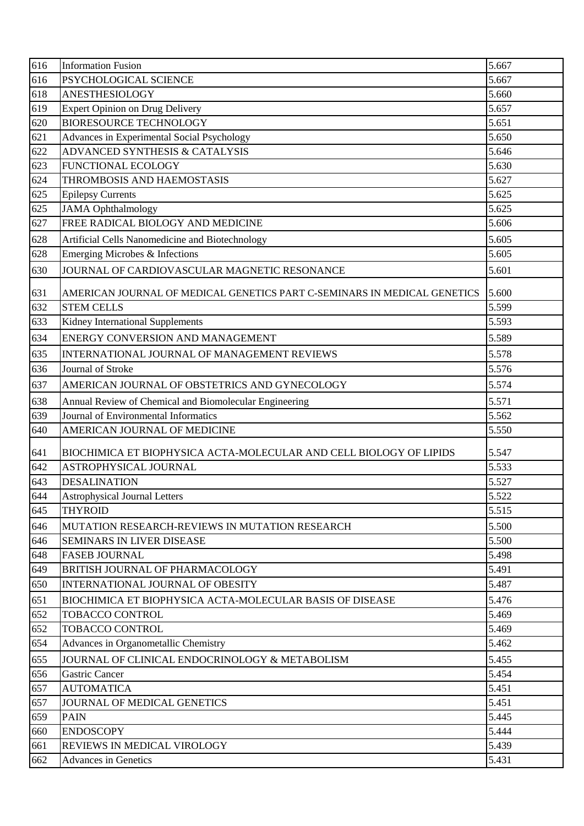| 616 | <b>Information Fusion</b>                                                | 5.667 |
|-----|--------------------------------------------------------------------------|-------|
| 616 | PSYCHOLOGICAL SCIENCE                                                    | 5.667 |
| 618 | <b>ANESTHESIOLOGY</b>                                                    | 5.660 |
| 619 | Expert Opinion on Drug Delivery                                          | 5.657 |
| 620 | <b>BIORESOURCE TECHNOLOGY</b>                                            | 5.651 |
| 621 | Advances in Experimental Social Psychology                               | 5.650 |
| 622 | ADVANCED SYNTHESIS & CATALYSIS                                           | 5.646 |
| 623 | <b>FUNCTIONAL ECOLOGY</b>                                                | 5.630 |
| 624 | THROMBOSIS AND HAEMOSTASIS                                               | 5.627 |
| 625 | <b>Epilepsy Currents</b>                                                 | 5.625 |
| 625 | <b>JAMA</b> Ophthalmology                                                | 5.625 |
| 627 | FREE RADICAL BIOLOGY AND MEDICINE                                        | 5.606 |
| 628 | Artificial Cells Nanomedicine and Biotechnology                          | 5.605 |
| 628 | Emerging Microbes & Infections                                           | 5.605 |
| 630 | JOURNAL OF CARDIOVASCULAR MAGNETIC RESONANCE                             | 5.601 |
| 631 | AMERICAN JOURNAL OF MEDICAL GENETICS PART C-SEMINARS IN MEDICAL GENETICS | 5.600 |
| 632 | <b>STEM CELLS</b>                                                        | 5.599 |
| 633 | Kidney International Supplements                                         | 5.593 |
| 634 | ENERGY CONVERSION AND MANAGEMENT                                         | 5.589 |
| 635 | INTERNATIONAL JOURNAL OF MANAGEMENT REVIEWS                              | 5.578 |
| 636 | Journal of Stroke                                                        | 5.576 |
| 637 | AMERICAN JOURNAL OF OBSTETRICS AND GYNECOLOGY                            | 5.574 |
| 638 | Annual Review of Chemical and Biomolecular Engineering                   | 5.571 |
| 639 | Journal of Environmental Informatics                                     | 5.562 |
| 640 | AMERICAN JOURNAL OF MEDICINE                                             | 5.550 |
| 641 | BIOCHIMICA ET BIOPHYSICA ACTA-MOLECULAR AND CELL BIOLOGY OF LIPIDS       | 5.547 |
| 642 | ASTROPHYSICAL JOURNAL                                                    | 5.533 |
| 643 | <b>DESALINATION</b>                                                      | 5.527 |
| 644 | <b>Astrophysical Journal Letters</b>                                     | 5.522 |
| 645 | <b>THYROID</b>                                                           | 5.515 |
| 646 | MUTATION RESEARCH-REVIEWS IN MUTATION RESEARCH                           | 5.500 |
| 646 | <b>SEMINARS IN LIVER DISEASE</b>                                         | 5.500 |
| 648 | <b>FASEB JOURNAL</b>                                                     | 5.498 |
| 649 | BRITISH JOURNAL OF PHARMACOLOGY                                          | 5.491 |
| 650 | INTERNATIONAL JOURNAL OF OBESITY                                         | 5.487 |
| 651 | <b>BIOCHIMICA ET BIOPHYSICA ACTA-MOLECULAR BASIS OF DISEASE</b>          | 5.476 |
| 652 | TOBACCO CONTROL                                                          | 5.469 |
| 652 | TOBACCO CONTROL                                                          | 5.469 |
| 654 | Advances in Organometallic Chemistry                                     | 5.462 |
| 655 | JOURNAL OF CLINICAL ENDOCRINOLOGY & METABOLISM                           | 5.455 |
| 656 | Gastric Cancer                                                           | 5.454 |
| 657 | <b>AUTOMATICA</b>                                                        | 5.451 |
| 657 | JOURNAL OF MEDICAL GENETICS                                              | 5.451 |
| 659 | <b>PAIN</b>                                                              | 5.445 |
| 660 | <b>ENDOSCOPY</b>                                                         | 5.444 |
| 661 | REVIEWS IN MEDICAL VIROLOGY                                              | 5.439 |
| 662 | Advances in Genetics                                                     | 5.431 |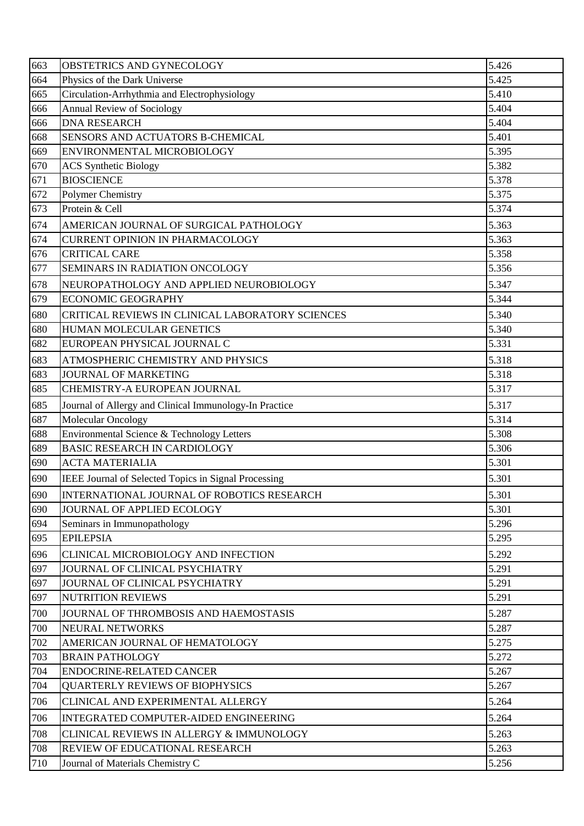| 663 | OBSTETRICS AND GYNECOLOGY                              | 5.426 |
|-----|--------------------------------------------------------|-------|
| 664 | Physics of the Dark Universe                           | 5.425 |
| 665 | Circulation-Arrhythmia and Electrophysiology           | 5.410 |
| 666 | <b>Annual Review of Sociology</b>                      | 5.404 |
| 666 | <b>DNA RESEARCH</b>                                    | 5.404 |
| 668 | SENSORS AND ACTUATORS B-CHEMICAL                       | 5.401 |
| 669 | ENVIRONMENTAL MICROBIOLOGY                             | 5.395 |
| 670 | <b>ACS</b> Synthetic Biology                           | 5.382 |
| 671 | <b>BIOSCIENCE</b>                                      | 5.378 |
| 672 | <b>Polymer Chemistry</b>                               | 5.375 |
| 673 | Protein & Cell                                         | 5.374 |
| 674 | AMERICAN JOURNAL OF SURGICAL PATHOLOGY                 | 5.363 |
| 674 | <b>CURRENT OPINION IN PHARMACOLOGY</b>                 | 5.363 |
| 676 | <b>CRITICAL CARE</b>                                   | 5.358 |
| 677 | SEMINARS IN RADIATION ONCOLOGY                         | 5.356 |
| 678 | NEUROPATHOLOGY AND APPLIED NEUROBIOLOGY                | 5.347 |
| 679 | <b>ECONOMIC GEOGRAPHY</b>                              | 5.344 |
| 680 | CRITICAL REVIEWS IN CLINICAL LABORATORY SCIENCES       | 5.340 |
| 680 | HUMAN MOLECULAR GENETICS                               | 5.340 |
| 682 | EUROPEAN PHYSICAL JOURNAL C                            | 5.331 |
| 683 | ATMOSPHERIC CHEMISTRY AND PHYSICS                      | 5.318 |
| 683 | JOURNAL OF MARKETING                                   | 5.318 |
| 685 | CHEMISTRY-A EUROPEAN JOURNAL                           | 5.317 |
| 685 | Journal of Allergy and Clinical Immunology-In Practice | 5.317 |
| 687 | Molecular Oncology                                     | 5.314 |
| 688 | Environmental Science & Technology Letters             | 5.308 |
| 689 | <b>BASIC RESEARCH IN CARDIOLOGY</b>                    | 5.306 |
| 690 | <b>ACTA MATERIALIA</b>                                 | 5.301 |
| 690 | IEEE Journal of Selected Topics in Signal Processing   | 5.301 |
| 690 | INTERNATIONAL JOURNAL OF ROBOTICS RESEARCH             | 5.301 |
| 690 | JOURNAL OF APPLIED ECOLOGY                             | 5.301 |
| 694 | Seminars in Immunopathology                            | 5.296 |
| 695 | <b>EPILEPSIA</b>                                       | 5.295 |
| 696 | CLINICAL MICROBIOLOGY AND INFECTION                    | 5.292 |
| 697 | JOURNAL OF CLINICAL PSYCHIATRY                         | 5.291 |
| 697 | JOURNAL OF CLINICAL PSYCHIATRY                         | 5.291 |
| 697 | <b>NUTRITION REVIEWS</b>                               | 5.291 |
| 700 | JOURNAL OF THROMBOSIS AND HAEMOSTASIS                  | 5.287 |
| 700 | <b>NEURAL NETWORKS</b>                                 | 5.287 |
| 702 | AMERICAN JOURNAL OF HEMATOLOGY                         | 5.275 |
| 703 | <b>BRAIN PATHOLOGY</b>                                 | 5.272 |
| 704 | ENDOCRINE-RELATED CANCER                               | 5.267 |
| 704 | <b>QUARTERLY REVIEWS OF BIOPHYSICS</b>                 | 5.267 |
| 706 | CLINICAL AND EXPERIMENTAL ALLERGY                      | 5.264 |
| 706 | INTEGRATED COMPUTER-AIDED ENGINEERING                  | 5.264 |
| 708 | CLINICAL REVIEWS IN ALLERGY & IMMUNOLOGY               | 5.263 |
| 708 | REVIEW OF EDUCATIONAL RESEARCH                         | 5.263 |
| 710 | Journal of Materials Chemistry C                       | 5.256 |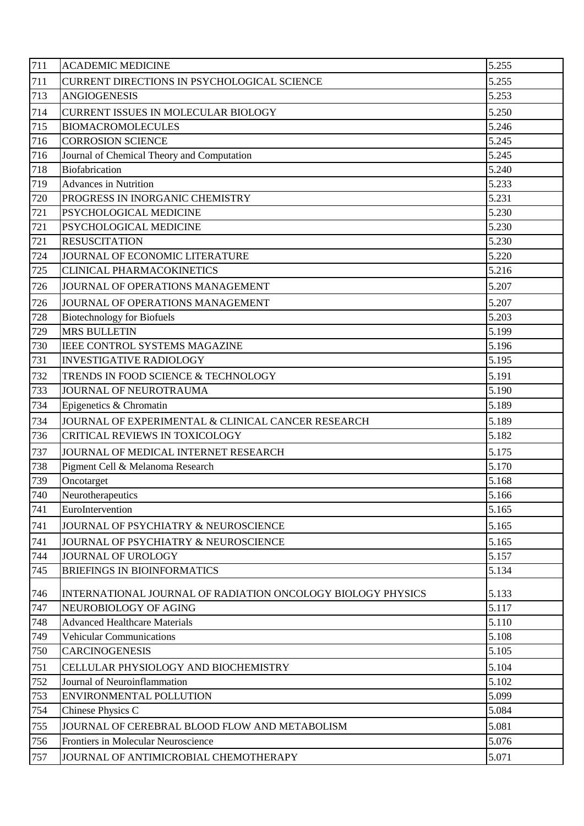| 711        | <b>ACADEMIC MEDICINE</b>                                    | 5.255 |
|------------|-------------------------------------------------------------|-------|
| 711        | CURRENT DIRECTIONS IN PSYCHOLOGICAL SCIENCE                 | 5.255 |
| 713        | <b>ANGIOGENESIS</b>                                         | 5.253 |
| 714        | <b>CURRENT ISSUES IN MOLECULAR BIOLOGY</b>                  | 5.250 |
| 715        | <b>BIOMACROMOLECULES</b>                                    | 5.246 |
| 716        | <b>CORROSION SCIENCE</b>                                    | 5.245 |
| 716        | Journal of Chemical Theory and Computation                  | 5.245 |
| 718        | Biofabrication                                              | 5.240 |
| 719        | <b>Advances in Nutrition</b>                                | 5.233 |
| 720        | PROGRESS IN INORGANIC CHEMISTRY                             | 5.231 |
| 721        | PSYCHOLOGICAL MEDICINE                                      | 5.230 |
| 721        | PSYCHOLOGICAL MEDICINE                                      | 5.230 |
| 721        | <b>RESUSCITATION</b>                                        | 5.230 |
| 724        | JOURNAL OF ECONOMIC LITERATURE                              | 5.220 |
| 725        | <b>CLINICAL PHARMACOKINETICS</b>                            | 5.216 |
| 726        | JOURNAL OF OPERATIONS MANAGEMENT                            | 5.207 |
| 726        | JOURNAL OF OPERATIONS MANAGEMENT                            | 5.207 |
| 728        | <b>Biotechnology for Biofuels</b>                           | 5.203 |
| 729        | <b>MRS BULLETIN</b>                                         | 5.199 |
| 730        | IEEE CONTROL SYSTEMS MAGAZINE                               | 5.196 |
| 731        | <b>INVESTIGATIVE RADIOLOGY</b>                              | 5.195 |
| 732        | TRENDS IN FOOD SCIENCE & TECHNOLOGY                         | 5.191 |
| 733        | JOURNAL OF NEUROTRAUMA                                      | 5.190 |
| 734        | Epigenetics & Chromatin                                     | 5.189 |
| 734        | JOURNAL OF EXPERIMENTAL & CLINICAL CANCER RESEARCH          | 5.189 |
| 736        | CRITICAL REVIEWS IN TOXICOLOGY                              | 5.182 |
| 737        | JOURNAL OF MEDICAL INTERNET RESEARCH                        | 5.175 |
| 738        | Pigment Cell & Melanoma Research                            | 5.170 |
| 739        | Oncotarget                                                  | 5.168 |
| 740        | Neurotherapeutics                                           | 5.166 |
| 741        | EuroIntervention                                            | 5.165 |
| 741        | JOURNAL OF PSYCHIATRY & NEUROSCIENCE                        | 5.165 |
| 741        | JOURNAL OF PSYCHIATRY & NEUROSCIENCE                        | 5.165 |
| 744        | JOURNAL OF UROLOGY                                          | 5.157 |
| 745        | <b>BRIEFINGS IN BIOINFORMATICS</b>                          | 5.134 |
|            | INTERNATIONAL JOURNAL OF RADIATION ONCOLOGY BIOLOGY PHYSICS | 5.133 |
| 746<br>747 | NEUROBIOLOGY OF AGING                                       | 5.117 |
| 748        | <b>Advanced Healthcare Materials</b>                        | 5.110 |
| 749        | <b>Vehicular Communications</b>                             | 5.108 |
| 750        | <b>CARCINOGENESIS</b>                                       | 5.105 |
|            | CELLULAR PHYSIOLOGY AND BIOCHEMISTRY                        | 5.104 |
| 751<br>752 | Journal of Neuroinflammation                                | 5.102 |
| 753        | <b>ENVIRONMENTAL POLLUTION</b>                              | 5.099 |
| 754        | Chinese Physics C                                           | 5.084 |
| 755        | JOURNAL OF CEREBRAL BLOOD FLOW AND METABOLISM               | 5.081 |
| 756        | Frontiers in Molecular Neuroscience                         | 5.076 |
|            |                                                             |       |
| 757        | JOURNAL OF ANTIMICROBIAL CHEMOTHERAPY                       | 5.071 |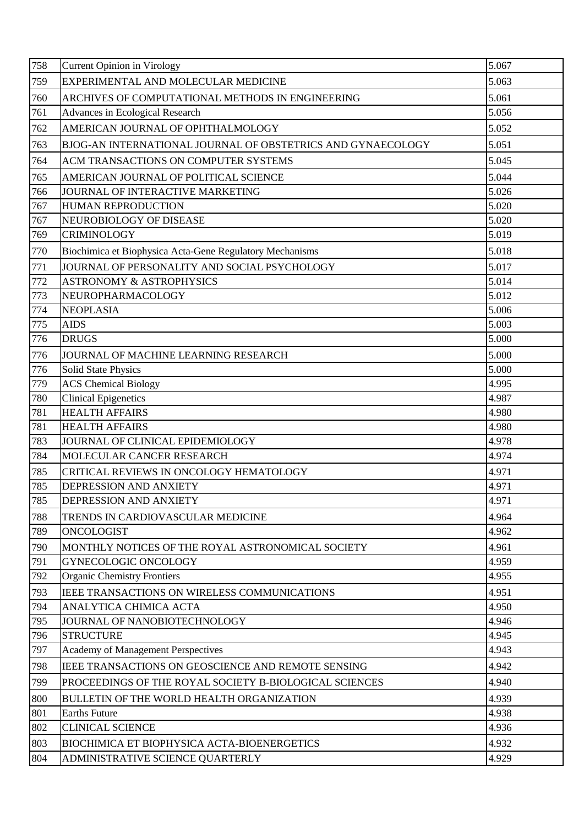| 758 | <b>Current Opinion in Virology</b>                          | 5.067 |
|-----|-------------------------------------------------------------|-------|
| 759 | EXPERIMENTAL AND MOLECULAR MEDICINE                         | 5.063 |
| 760 | ARCHIVES OF COMPUTATIONAL METHODS IN ENGINEERING            | 5.061 |
| 761 | Advances in Ecological Research                             | 5.056 |
| 762 | AMERICAN JOURNAL OF OPHTHALMOLOGY                           | 5.052 |
| 763 | BJOG-AN INTERNATIONAL JOURNAL OF OBSTETRICS AND GYNAECOLOGY | 5.051 |
| 764 | ACM TRANSACTIONS ON COMPUTER SYSTEMS                        | 5.045 |
| 765 | AMERICAN JOURNAL OF POLITICAL SCIENCE                       | 5.044 |
| 766 | JOURNAL OF INTERACTIVE MARKETING                            | 5.026 |
| 767 | HUMAN REPRODUCTION                                          | 5.020 |
| 767 | NEUROBIOLOGY OF DISEASE                                     | 5.020 |
| 769 | <b>CRIMINOLOGY</b>                                          | 5.019 |
| 770 | Biochimica et Biophysica Acta-Gene Regulatory Mechanisms    | 5.018 |
| 771 | JOURNAL OF PERSONALITY AND SOCIAL PSYCHOLOGY                | 5.017 |
| 772 | <b>ASTRONOMY &amp; ASTROPHYSICS</b>                         | 5.014 |
| 773 | NEUROPHARMACOLOGY                                           | 5.012 |
| 774 | <b>NEOPLASIA</b>                                            | 5.006 |
| 775 | <b>AIDS</b>                                                 | 5.003 |
| 776 | <b>DRUGS</b>                                                | 5.000 |
| 776 | JOURNAL OF MACHINE LEARNING RESEARCH                        | 5.000 |
| 776 | <b>Solid State Physics</b>                                  | 5.000 |
| 779 | <b>ACS</b> Chemical Biology                                 | 4.995 |
| 780 | <b>Clinical Epigenetics</b>                                 | 4.987 |
| 781 | <b>HEALTH AFFAIRS</b>                                       | 4.980 |
| 781 | <b>HEALTH AFFAIRS</b>                                       | 4.980 |
| 783 | JOURNAL OF CLINICAL EPIDEMIOLOGY                            | 4.978 |
| 784 | MOLECULAR CANCER RESEARCH                                   | 4.974 |
| 785 | CRITICAL REVIEWS IN ONCOLOGY HEMATOLOGY                     | 4.971 |
| 785 | DEPRESSION AND ANXIETY                                      | 4.971 |
| 785 | DEPRESSION AND ANXIETY                                      | 4.971 |
| 788 | TRENDS IN CARDIOVASCULAR MEDICINE                           | 4.964 |
| 789 | <b>ONCOLOGIST</b>                                           | 4.962 |
| 790 | MONTHLY NOTICES OF THE ROYAL ASTRONOMICAL SOCIETY           | 4.961 |
| 791 | GYNECOLOGIC ONCOLOGY                                        | 4.959 |
| 792 | <b>Organic Chemistry Frontiers</b>                          | 4.955 |
| 793 | IEEE TRANSACTIONS ON WIRELESS COMMUNICATIONS                | 4.951 |
| 794 | ANALYTICA CHIMICA ACTA                                      | 4.950 |
| 795 | JOURNAL OF NANOBIOTECHNOLOGY                                | 4.946 |
| 796 | <b>STRUCTURE</b>                                            | 4.945 |
| 797 | Academy of Management Perspectives                          | 4.943 |
| 798 | IEEE TRANSACTIONS ON GEOSCIENCE AND REMOTE SENSING          | 4.942 |
| 799 | PROCEEDINGS OF THE ROYAL SOCIETY B-BIOLOGICAL SCIENCES      | 4.940 |
| 800 | BULLETIN OF THE WORLD HEALTH ORGANIZATION                   | 4.939 |
| 801 | <b>Earths Future</b>                                        | 4.938 |
| 802 | <b>CLINICAL SCIENCE</b>                                     | 4.936 |
| 803 | BIOCHIMICA ET BIOPHYSICA ACTA-BIOENERGETICS                 | 4.932 |
| 804 | ADMINISTRATIVE SCIENCE QUARTERLY                            | 4.929 |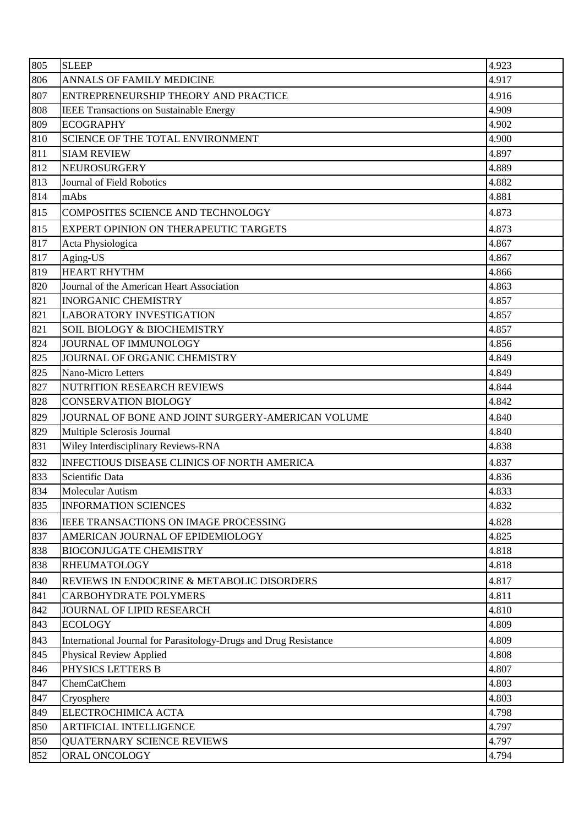| 805 | <b>SLEEP</b>                                                     | 4.923 |
|-----|------------------------------------------------------------------|-------|
| 806 | ANNALS OF FAMILY MEDICINE                                        | 4.917 |
| 807 | ENTREPRENEURSHIP THEORY AND PRACTICE                             | 4.916 |
| 808 | <b>IEEE Transactions on Sustainable Energy</b>                   | 4.909 |
| 809 | <b>ECOGRAPHY</b>                                                 | 4.902 |
| 810 | <b>SCIENCE OF THE TOTAL ENVIRONMENT</b>                          | 4.900 |
| 811 | <b>SIAM REVIEW</b>                                               | 4.897 |
| 812 | <b>NEUROSURGERY</b>                                              | 4.889 |
| 813 | Journal of Field Robotics                                        | 4.882 |
| 814 | mAbs                                                             | 4.881 |
| 815 | <b>COMPOSITES SCIENCE AND TECHNOLOGY</b>                         | 4.873 |
| 815 | EXPERT OPINION ON THERAPEUTIC TARGETS                            | 4.873 |
| 817 | Acta Physiologica                                                | 4.867 |
| 817 | Aging-US                                                         | 4.867 |
| 819 | <b>HEART RHYTHM</b>                                              | 4.866 |
| 820 | Journal of the American Heart Association                        | 4.863 |
| 821 | <b>INORGANIC CHEMISTRY</b>                                       | 4.857 |
| 821 | <b>LABORATORY INVESTIGATION</b>                                  | 4.857 |
| 821 | <b>SOIL BIOLOGY &amp; BIOCHEMISTRY</b>                           | 4.857 |
| 824 | JOURNAL OF IMMUNOLOGY                                            | 4.856 |
| 825 | JOURNAL OF ORGANIC CHEMISTRY                                     | 4.849 |
| 825 | Nano-Micro Letters                                               | 4.849 |
| 827 | NUTRITION RESEARCH REVIEWS                                       | 4.844 |
| 828 | <b>CONSERVATION BIOLOGY</b>                                      | 4.842 |
| 829 | JOURNAL OF BONE AND JOINT SURGERY-AMERICAN VOLUME                | 4.840 |
| 829 | Multiple Sclerosis Journal                                       | 4.840 |
| 831 | Wiley Interdisciplinary Reviews-RNA                              | 4.838 |
| 832 | <b>INFECTIOUS DISEASE CLINICS OF NORTH AMERICA</b>               | 4.837 |
| 833 | Scientific Data                                                  | 4.836 |
| 834 | Molecular Autism                                                 | 4.833 |
| 835 | <b>INFORMATION SCIENCES</b>                                      | 4.832 |
| 836 | IEEE TRANSACTIONS ON IMAGE PROCESSING                            | 4.828 |
| 837 | AMERICAN JOURNAL OF EPIDEMIOLOGY                                 | 4.825 |
| 838 | <b>BIOCONJUGATE CHEMISTRY</b>                                    | 4.818 |
| 838 | <b>RHEUMATOLOGY</b>                                              | 4.818 |
| 840 | REVIEWS IN ENDOCRINE & METABOLIC DISORDERS                       | 4.817 |
| 841 | <b>CARBOHYDRATE POLYMERS</b>                                     | 4.811 |
| 842 | JOURNAL OF LIPID RESEARCH                                        | 4.810 |
| 843 | <b>ECOLOGY</b>                                                   | 4.809 |
| 843 | International Journal for Parasitology-Drugs and Drug Resistance | 4.809 |
| 845 | <b>Physical Review Applied</b>                                   | 4.808 |
| 846 | PHYSICS LETTERS B                                                | 4.807 |
| 847 | ChemCatChem                                                      | 4.803 |
| 847 | Cryosphere                                                       | 4.803 |
| 849 | ELECTROCHIMICA ACTA                                              | 4.798 |
| 850 | <b>ARTIFICIAL INTELLIGENCE</b>                                   | 4.797 |
| 850 | <b>QUATERNARY SCIENCE REVIEWS</b>                                | 4.797 |
| 852 | ORAL ONCOLOGY                                                    | 4.794 |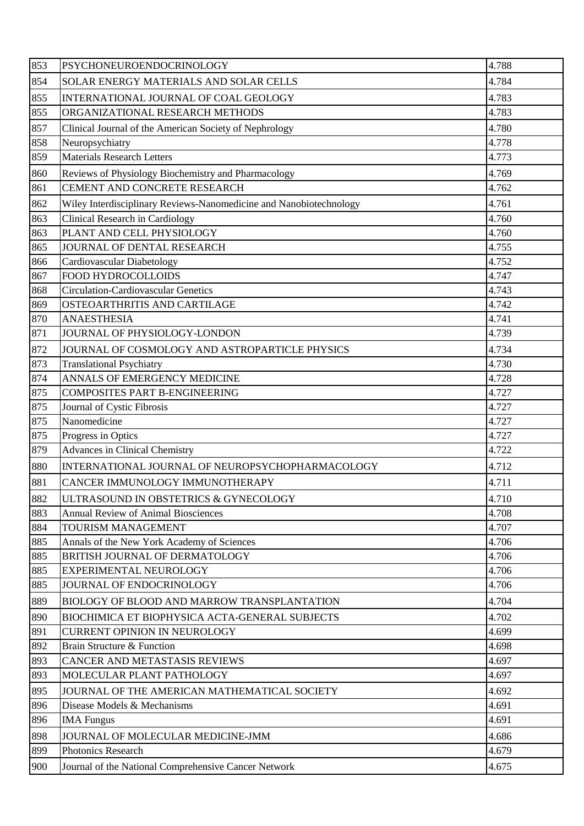| 853 | PSYCHONEUROENDOCRINOLOGY                                           | 4.788 |
|-----|--------------------------------------------------------------------|-------|
| 854 | SOLAR ENERGY MATERIALS AND SOLAR CELLS                             | 4.784 |
| 855 | INTERNATIONAL JOURNAL OF COAL GEOLOGY                              | 4.783 |
| 855 | ORGANIZATIONAL RESEARCH METHODS                                    | 4.783 |
| 857 | Clinical Journal of the American Society of Nephrology             | 4.780 |
| 858 | Neuropsychiatry                                                    | 4.778 |
| 859 | <b>Materials Research Letters</b>                                  | 4.773 |
| 860 | Reviews of Physiology Biochemistry and Pharmacology                | 4.769 |
| 861 | CEMENT AND CONCRETE RESEARCH                                       | 4.762 |
| 862 | Wiley Interdisciplinary Reviews-Nanomedicine and Nanobiotechnology | 4.761 |
| 863 | <b>Clinical Research in Cardiology</b>                             | 4.760 |
| 863 | PLANT AND CELL PHYSIOLOGY                                          | 4.760 |
| 865 | JOURNAL OF DENTAL RESEARCH                                         | 4.755 |
| 866 | Cardiovascular Diabetology                                         | 4.752 |
| 867 | FOOD HYDROCOLLOIDS                                                 | 4.747 |
| 868 | <b>Circulation-Cardiovascular Genetics</b>                         | 4.743 |
| 869 | OSTEOARTHRITIS AND CARTILAGE                                       | 4.742 |
| 870 | <b>ANAESTHESIA</b>                                                 | 4.741 |
| 871 | JOURNAL OF PHYSIOLOGY-LONDON                                       | 4.739 |
| 872 | JOURNAL OF COSMOLOGY AND ASTROPARTICLE PHYSICS                     | 4.734 |
| 873 | <b>Translational Psychiatry</b>                                    | 4.730 |
| 874 | ANNALS OF EMERGENCY MEDICINE                                       | 4.728 |
| 875 | <b>COMPOSITES PART B-ENGINEERING</b>                               | 4.727 |
| 875 | Journal of Cystic Fibrosis                                         | 4.727 |
| 875 | Nanomedicine                                                       | 4.727 |
| 875 | Progress in Optics                                                 | 4.727 |
| 879 | <b>Advances in Clinical Chemistry</b>                              | 4.722 |
| 880 | INTERNATIONAL JOURNAL OF NEUROPSYCHOPHARMACOLOGY                   | 4.712 |
| 881 | CANCER IMMUNOLOGY IMMUNOTHERAPY                                    | 4.711 |
| 882 | ULTRASOUND IN OBSTETRICS & GYNECOLOGY                              | 4.710 |
| 883 | <b>Annual Review of Animal Biosciences</b>                         | 4.708 |
| 884 | <b>TOURISM MANAGEMENT</b>                                          | 4.707 |
| 885 | Annals of the New York Academy of Sciences                         | 4.706 |
| 885 | BRITISH JOURNAL OF DERMATOLOGY                                     | 4.706 |
| 885 | EXPERIMENTAL NEUROLOGY                                             | 4.706 |
| 885 | JOURNAL OF ENDOCRINOLOGY                                           | 4.706 |
| 889 | BIOLOGY OF BLOOD AND MARROW TRANSPLANTATION                        | 4.704 |
| 890 | BIOCHIMICA ET BIOPHYSICA ACTA-GENERAL SUBJECTS                     | 4.702 |
| 891 | <b>CURRENT OPINION IN NEUROLOGY</b>                                | 4.699 |
| 892 | Brain Structure & Function                                         | 4.698 |
| 893 | CANCER AND METASTASIS REVIEWS                                      | 4.697 |
| 893 | MOLECULAR PLANT PATHOLOGY                                          | 4.697 |
| 895 | JOURNAL OF THE AMERICAN MATHEMATICAL SOCIETY                       | 4.692 |
| 896 | Disease Models & Mechanisms                                        | 4.691 |
| 896 | <b>IMA</b> Fungus                                                  | 4.691 |
| 898 | JOURNAL OF MOLECULAR MEDICINE-JMM                                  | 4.686 |
| 899 | Photonics Research                                                 | 4.679 |
| 900 | Journal of the National Comprehensive Cancer Network               | 4.675 |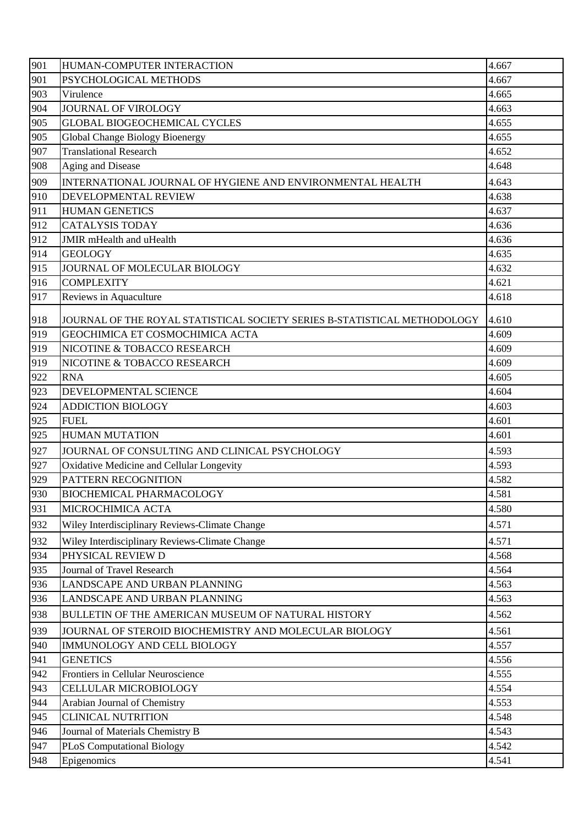| 901 | HUMAN-COMPUTER INTERACTION                                                | 4.667 |
|-----|---------------------------------------------------------------------------|-------|
| 901 | PSYCHOLOGICAL METHODS                                                     | 4.667 |
| 903 | Virulence                                                                 | 4.665 |
| 904 | JOURNAL OF VIROLOGY                                                       | 4.663 |
| 905 | <b>GLOBAL BIOGEOCHEMICAL CYCLES</b>                                       | 4.655 |
| 905 | Global Change Biology Bioenergy                                           | 4.655 |
| 907 | <b>Translational Research</b>                                             | 4.652 |
| 908 | Aging and Disease                                                         | 4.648 |
| 909 | INTERNATIONAL JOURNAL OF HYGIENE AND ENVIRONMENTAL HEALTH                 | 4.643 |
| 910 | DEVELOPMENTAL REVIEW                                                      | 4.638 |
| 911 | <b>HUMAN GENETICS</b>                                                     | 4.637 |
| 912 | <b>CATALYSIS TODAY</b>                                                    | 4.636 |
| 912 | <b>JMIR</b> mHealth and uHealth                                           | 4.636 |
| 914 | <b>GEOLOGY</b>                                                            | 4.635 |
| 915 | JOURNAL OF MOLECULAR BIOLOGY                                              | 4.632 |
| 916 | <b>COMPLEXITY</b>                                                         | 4.621 |
| 917 | Reviews in Aquaculture                                                    | 4.618 |
| 918 | JOURNAL OF THE ROYAL STATISTICAL SOCIETY SERIES B-STATISTICAL METHODOLOGY | 4.610 |
| 919 | GEOCHIMICA ET COSMOCHIMICA ACTA                                           | 4.609 |
| 919 | NICOTINE & TOBACCO RESEARCH                                               | 4.609 |
| 919 | NICOTINE & TOBACCO RESEARCH                                               | 4.609 |
| 922 | <b>RNA</b>                                                                | 4.605 |
| 923 | DEVELOPMENTAL SCIENCE                                                     | 4.604 |
| 924 | <b>ADDICTION BIOLOGY</b>                                                  | 4.603 |
| 925 | <b>FUEL</b>                                                               | 4.601 |
| 925 | <b>HUMAN MUTATION</b>                                                     | 4.601 |
| 927 | JOURNAL OF CONSULTING AND CLINICAL PSYCHOLOGY                             | 4.593 |
| 927 | Oxidative Medicine and Cellular Longevity                                 | 4.593 |
| 929 | PATTERN RECOGNITION                                                       | 4.582 |
| 930 | <b>BIOCHEMICAL PHARMACOLOGY</b>                                           | 4.581 |
| 931 | MICROCHIMICA ACTA                                                         | 4.580 |
| 932 | Wiley Interdisciplinary Reviews-Climate Change                            | 4.571 |
| 932 | Wiley Interdisciplinary Reviews-Climate Change                            | 4.571 |
| 934 | PHYSICAL REVIEW D                                                         | 4.568 |
| 935 | Journal of Travel Research                                                | 4.564 |
| 936 | LANDSCAPE AND URBAN PLANNING                                              | 4.563 |
| 936 | LANDSCAPE AND URBAN PLANNING                                              | 4.563 |
| 938 | BULLETIN OF THE AMERICAN MUSEUM OF NATURAL HISTORY                        | 4.562 |
| 939 | JOURNAL OF STEROID BIOCHEMISTRY AND MOLECULAR BIOLOGY                     | 4.561 |
| 940 | IMMUNOLOGY AND CELL BIOLOGY                                               | 4.557 |
| 941 | <b>GENETICS</b>                                                           | 4.556 |
| 942 | Frontiers in Cellular Neuroscience                                        | 4.555 |
| 943 | CELLULAR MICROBIOLOGY                                                     | 4.554 |
| 944 | Arabian Journal of Chemistry                                              | 4.553 |
| 945 | <b>CLINICAL NUTRITION</b>                                                 | 4.548 |
| 946 | Journal of Materials Chemistry B                                          | 4.543 |
| 947 | PLoS Computational Biology                                                | 4.542 |
| 948 | Epigenomics                                                               | 4.541 |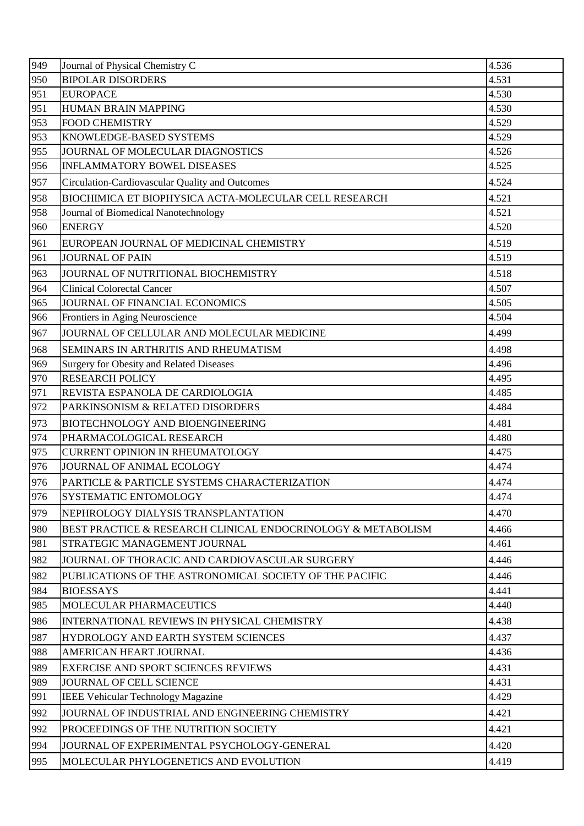| 949 | Journal of Physical Chemistry C                              | 4.536 |
|-----|--------------------------------------------------------------|-------|
| 950 | <b>BIPOLAR DISORDERS</b>                                     | 4.531 |
| 951 | <b>EUROPACE</b>                                              | 4.530 |
| 951 | HUMAN BRAIN MAPPING                                          | 4.530 |
| 953 | <b>FOOD CHEMISTRY</b>                                        | 4.529 |
| 953 | KNOWLEDGE-BASED SYSTEMS                                      | 4.529 |
| 955 | JOURNAL OF MOLECULAR DIAGNOSTICS                             | 4.526 |
| 956 | <b>INFLAMMATORY BOWEL DISEASES</b>                           | 4.525 |
| 957 | Circulation-Cardiovascular Quality and Outcomes              | 4.524 |
| 958 | BIOCHIMICA ET BIOPHYSICA ACTA-MOLECULAR CELL RESEARCH        | 4.521 |
| 958 | Journal of Biomedical Nanotechnology                         | 4.521 |
| 960 | <b>ENERGY</b>                                                | 4.520 |
| 961 | EUROPEAN JOURNAL OF MEDICINAL CHEMISTRY                      | 4.519 |
| 961 | <b>JOURNAL OF PAIN</b>                                       | 4.519 |
| 963 | JOURNAL OF NUTRITIONAL BIOCHEMISTRY                          | 4.518 |
| 964 | <b>Clinical Colorectal Cancer</b>                            | 4.507 |
| 965 | JOURNAL OF FINANCIAL ECONOMICS                               | 4.505 |
| 966 | Frontiers in Aging Neuroscience                              | 4.504 |
| 967 | JOURNAL OF CELLULAR AND MOLECULAR MEDICINE                   | 4.499 |
| 968 | SEMINARS IN ARTHRITIS AND RHEUMATISM                         | 4.498 |
| 969 | <b>Surgery for Obesity and Related Diseases</b>              | 4.496 |
| 970 | <b>RESEARCH POLICY</b>                                       | 4.495 |
| 971 | REVISTA ESPANOLA DE CARDIOLOGIA                              | 4.485 |
| 972 | PARKINSONISM & RELATED DISORDERS                             | 4.484 |
| 973 | BIOTECHNOLOGY AND BIOENGINEERING                             | 4.481 |
| 974 | PHARMACOLOGICAL RESEARCH                                     | 4.480 |
| 975 | <b>CURRENT OPINION IN RHEUMATOLOGY</b>                       | 4.475 |
| 976 | JOURNAL OF ANIMAL ECOLOGY                                    | 4.474 |
| 976 | PARTICLE & PARTICLE SYSTEMS CHARACTERIZATION                 | 4.474 |
| 976 | <b>SYSTEMATIC ENTOMOLOGY</b>                                 | 4.474 |
| 979 | NEPHROLOGY DIALYSIS TRANSPLANTATION                          | 4.470 |
| 980 | BEST PRACTICE & RESEARCH CLINICAL ENDOCRINOLOGY & METABOLISM | 4.466 |
| 981 | STRATEGIC MANAGEMENT JOURNAL                                 | 4.461 |
| 982 | JOURNAL OF THORACIC AND CARDIOVASCULAR SURGERY               | 4.446 |
| 982 | PUBLICATIONS OF THE ASTRONOMICAL SOCIETY OF THE PACIFIC      | 4.446 |
| 984 | <b>BIOESSAYS</b>                                             | 4.441 |
| 985 | MOLECULAR PHARMACEUTICS                                      | 4.440 |
| 986 | INTERNATIONAL REVIEWS IN PHYSICAL CHEMISTRY                  | 4.438 |
| 987 | HYDROLOGY AND EARTH SYSTEM SCIENCES                          | 4.437 |
| 988 | AMERICAN HEART JOURNAL                                       | 4.436 |
| 989 | <b>EXERCISE AND SPORT SCIENCES REVIEWS</b>                   | 4.431 |
| 989 | JOURNAL OF CELL SCIENCE                                      | 4.431 |
| 991 | <b>IEEE Vehicular Technology Magazine</b>                    | 4.429 |
| 992 | JOURNAL OF INDUSTRIAL AND ENGINEERING CHEMISTRY              | 4.421 |
| 992 | PROCEEDINGS OF THE NUTRITION SOCIETY                         | 4.421 |
| 994 | JOURNAL OF EXPERIMENTAL PSYCHOLOGY-GENERAL                   | 4.420 |
| 995 | MOLECULAR PHYLOGENETICS AND EVOLUTION                        | 4.419 |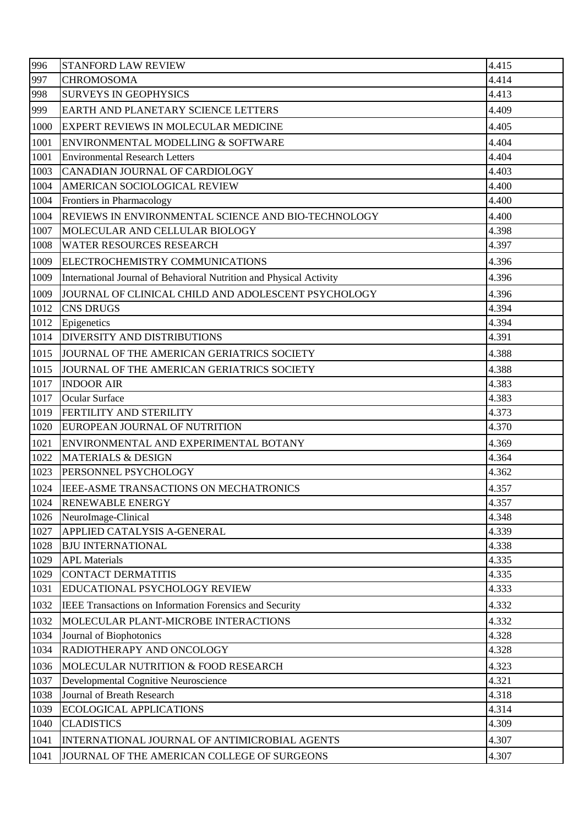| 996  | STANFORD LAW REVIEW                                                 | 4.415 |
|------|---------------------------------------------------------------------|-------|
| 997  | <b>CHROMOSOMA</b>                                                   | 4.414 |
| 998  | <b>SURVEYS IN GEOPHYSICS</b>                                        | 4.413 |
| 999  | EARTH AND PLANETARY SCIENCE LETTERS                                 | 4.409 |
| 1000 | EXPERT REVIEWS IN MOLECULAR MEDICINE                                | 4.405 |
| 1001 | ENVIRONMENTAL MODELLING & SOFTWARE                                  | 4.404 |
| 1001 | <b>Environmental Research Letters</b>                               | 4.404 |
| 1003 | CANADIAN JOURNAL OF CARDIOLOGY                                      | 4.403 |
| 1004 | AMERICAN SOCIOLOGICAL REVIEW                                        | 4.400 |
| 1004 | Frontiers in Pharmacology                                           | 4.400 |
| 1004 | REVIEWS IN ENVIRONMENTAL SCIENCE AND BIO-TECHNOLOGY                 | 4.400 |
| 1007 | MOLECULAR AND CELLULAR BIOLOGY                                      | 4.398 |
| 1008 | <b>WATER RESOURCES RESEARCH</b>                                     | 4.397 |
| 1009 | ELECTROCHEMISTRY COMMUNICATIONS                                     | 4.396 |
| 1009 | International Journal of Behavioral Nutrition and Physical Activity | 4.396 |
| 1009 | JOURNAL OF CLINICAL CHILD AND ADOLESCENT PSYCHOLOGY                 | 4.396 |
| 1012 | <b>CNS DRUGS</b>                                                    | 4.394 |
| 1012 | Epigenetics                                                         | 4.394 |
| 1014 | <b>DIVERSITY AND DISTRIBUTIONS</b>                                  | 4.391 |
| 1015 | JOURNAL OF THE AMERICAN GERIATRICS SOCIETY                          | 4.388 |
| 1015 | JOURNAL OF THE AMERICAN GERIATRICS SOCIETY                          | 4.388 |
| 1017 | <b>INDOOR AIR</b>                                                   | 4.383 |
| 1017 | <b>Ocular Surface</b>                                               | 4.383 |
| 1019 | <b>FERTILITY AND STERILITY</b>                                      | 4.373 |
| 1020 | EUROPEAN JOURNAL OF NUTRITION                                       | 4.370 |
| 1021 | ENVIRONMENTAL AND EXPERIMENTAL BOTANY                               | 4.369 |
| 1022 | <b>MATERIALS &amp; DESIGN</b>                                       | 4.364 |
| 1023 | PERSONNEL PSYCHOLOGY                                                | 4.362 |
| 1024 | IEEE-ASME TRANSACTIONS ON MECHATRONICS                              | 4.357 |
| 1024 | <b>RENEWABLE ENERGY</b>                                             | 4.357 |
| 1026 | NeuroImage-Clinical                                                 | 4.348 |
| 1027 | APPLIED CATALYSIS A-GENERAL                                         | 4.339 |
| 1028 | <b>BJU INTERNATIONAL</b>                                            | 4.338 |
| 1029 | <b>APL Materials</b>                                                | 4.335 |
| 1029 | <b>CONTACT DERMATITIS</b>                                           | 4.335 |
| 1031 | EDUCATIONAL PSYCHOLOGY REVIEW                                       | 4.333 |
| 1032 | IEEE Transactions on Information Forensics and Security             | 4.332 |
| 1032 | MOLECULAR PLANT-MICROBE INTERACTIONS                                | 4.332 |
| 1034 | Journal of Biophotonics                                             | 4.328 |
| 1034 | RADIOTHERAPY AND ONCOLOGY                                           | 4.328 |
| 1036 | MOLECULAR NUTRITION & FOOD RESEARCH                                 | 4.323 |
| 1037 | Developmental Cognitive Neuroscience                                | 4.321 |
| 1038 | Journal of Breath Research                                          | 4.318 |
| 1039 | <b>ECOLOGICAL APPLICATIONS</b>                                      | 4.314 |
| 1040 | <b>CLADISTICS</b>                                                   | 4.309 |
| 1041 | INTERNATIONAL JOURNAL OF ANTIMICROBIAL AGENTS                       | 4.307 |
| 1041 | JOURNAL OF THE AMERICAN COLLEGE OF SURGEONS                         | 4.307 |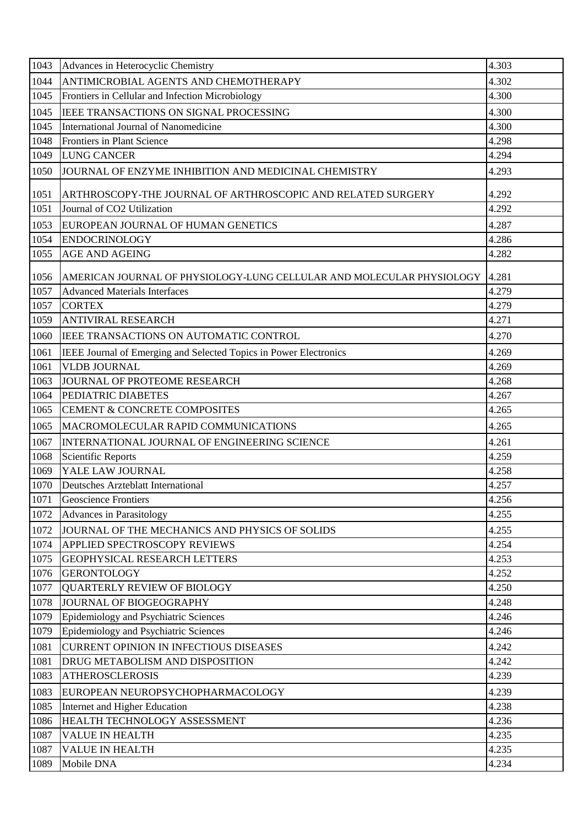| 1043 | Advances in Heterocyclic Chemistry                                    | 4.303 |
|------|-----------------------------------------------------------------------|-------|
| 1044 | ANTIMICROBIAL AGENTS AND CHEMOTHERAPY                                 | 4.302 |
| 1045 | Frontiers in Cellular and Infection Microbiology                      | 4.300 |
| 1045 | IEEE TRANSACTIONS ON SIGNAL PROCESSING                                | 4.300 |
| 1045 | International Journal of Nanomedicine                                 | 4.300 |
| 1048 | Frontiers in Plant Science                                            | 4.298 |
| 1049 | <b>LUNG CANCER</b>                                                    | 4.294 |
| 1050 | JOURNAL OF ENZYME INHIBITION AND MEDICINAL CHEMISTRY                  | 4.293 |
| 1051 | ARTHROSCOPY-THE JOURNAL OF ARTHROSCOPIC AND RELATED SURGERY           | 4.292 |
| 1051 | Journal of CO2 Utilization                                            | 4.292 |
| 1053 | EUROPEAN JOURNAL OF HUMAN GENETICS                                    | 4.287 |
| 1054 | <b>ENDOCRINOLOGY</b>                                                  | 4.286 |
| 1055 | <b>AGE AND AGEING</b>                                                 | 4.282 |
| 1056 | AMERICAN JOURNAL OF PHYSIOLOGY-LUNG CELLULAR AND MOLECULAR PHYSIOLOGY | 4.281 |
| 1057 | <b>Advanced Materials Interfaces</b>                                  | 4.279 |
| 1057 | <b>CORTEX</b>                                                         | 4.279 |
| 1059 | <b>ANTIVIRAL RESEARCH</b>                                             | 4.271 |
| 1060 | IEEE TRANSACTIONS ON AUTOMATIC CONTROL                                | 4.270 |
| 1061 | IEEE Journal of Emerging and Selected Topics in Power Electronics     | 4.269 |
| 1061 | <b>VLDB JOURNAL</b>                                                   | 4.269 |
| 1063 | JOURNAL OF PROTEOME RESEARCH                                          | 4.268 |
| 1064 | PEDIATRIC DIABETES                                                    | 4.267 |
| 1065 | <b>CEMENT &amp; CONCRETE COMPOSITES</b>                               | 4.265 |
| 1065 | MACROMOLECULAR RAPID COMMUNICATIONS                                   | 4.265 |
| 1067 | INTERNATIONAL JOURNAL OF ENGINEERING SCIENCE                          | 4.261 |
| 1068 | Scientific Reports                                                    | 4.259 |
| 1069 | YALE LAW JOURNAL                                                      | 4.258 |
| 1070 | Deutsches Arzteblatt International                                    | 4.257 |
| 1071 | <b>Geoscience Frontiers</b>                                           | 4.256 |
| 1072 | <b>Advances in Parasitology</b>                                       | 4.255 |
| 1072 | JOURNAL OF THE MECHANICS AND PHYSICS OF SOLIDS                        | 4.255 |
| 1074 | APPLIED SPECTROSCOPY REVIEWS                                          | 4.254 |
| 1075 | <b>GEOPHYSICAL RESEARCH LETTERS</b>                                   | 4.253 |
| 1076 | <b>GERONTOLOGY</b>                                                    | 4.252 |
| 1077 | <b>QUARTERLY REVIEW OF BIOLOGY</b>                                    | 4.250 |
| 1078 | JOURNAL OF BIOGEOGRAPHY                                               | 4.248 |
| 1079 | Epidemiology and Psychiatric Sciences                                 | 4.246 |
| 1079 | Epidemiology and Psychiatric Sciences                                 | 4.246 |
| 1081 | <b>CURRENT OPINION IN INFECTIOUS DISEASES</b>                         | 4.242 |
| 1081 | DRUG METABOLISM AND DISPOSITION                                       | 4.242 |
| 1083 | <b>ATHEROSCLEROSIS</b>                                                | 4.239 |
| 1083 | EUROPEAN NEUROPSYCHOPHARMACOLOGY                                      | 4.239 |
| 1085 | Internet and Higher Education                                         | 4.238 |
| 1086 | HEALTH TECHNOLOGY ASSESSMENT                                          | 4.236 |
| 1087 | <b>VALUE IN HEALTH</b>                                                | 4.235 |
| 1087 | <b>VALUE IN HEALTH</b>                                                | 4.235 |
| 1089 | Mobile DNA                                                            | 4.234 |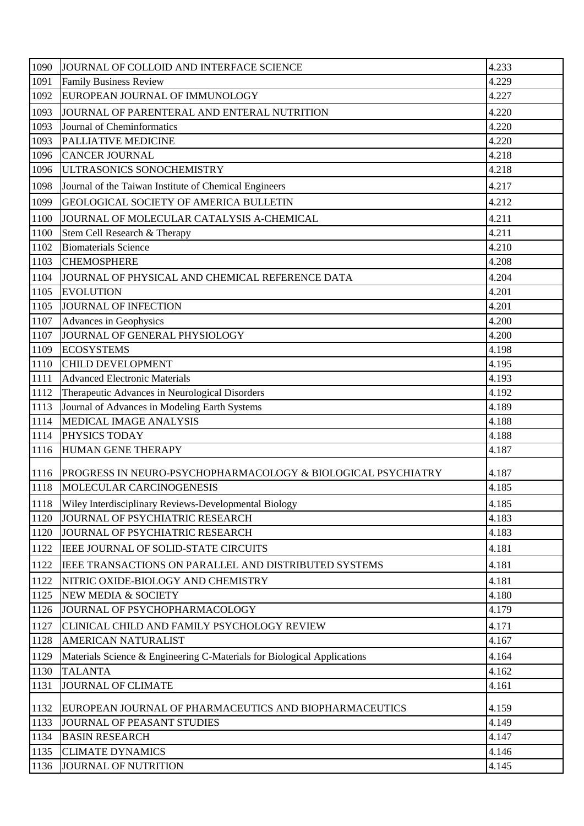| 1090 | JOURNAL OF COLLOID AND INTERFACE SCIENCE                                | 4.233 |
|------|-------------------------------------------------------------------------|-------|
| 1091 | <b>Family Business Review</b>                                           | 4.229 |
| 1092 | EUROPEAN JOURNAL OF IMMUNOLOGY                                          | 4.227 |
| 1093 | JOURNAL OF PARENTERAL AND ENTERAL NUTRITION                             | 4.220 |
| 1093 | Journal of Cheminformatics                                              | 4.220 |
| 1093 | PALLIATIVE MEDICINE                                                     | 4.220 |
| 1096 | <b>CANCER JOURNAL</b>                                                   | 4.218 |
| 1096 | ULTRASONICS SONOCHEMISTRY                                               | 4.218 |
| 1098 | Journal of the Taiwan Institute of Chemical Engineers                   | 4.217 |
| 1099 | GEOLOGICAL SOCIETY OF AMERICA BULLETIN                                  | 4.212 |
| 1100 | JOURNAL OF MOLECULAR CATALYSIS A-CHEMICAL                               | 4.211 |
| 1100 | Stem Cell Research & Therapy                                            | 4.211 |
| 1102 | <b>Biomaterials Science</b>                                             | 4.210 |
| 1103 | <b>CHEMOSPHERE</b>                                                      | 4.208 |
| 1104 | JOURNAL OF PHYSICAL AND CHEMICAL REFERENCE DATA                         | 4.204 |
| 1105 | <b>EVOLUTION</b>                                                        | 4.201 |
| 1105 | JOURNAL OF INFECTION                                                    | 4.201 |
| 1107 | Advances in Geophysics                                                  | 4.200 |
| 1107 | JOURNAL OF GENERAL PHYSIOLOGY                                           | 4.200 |
| 1109 | <b>ECOSYSTEMS</b>                                                       | 4.198 |
| 1110 | <b>CHILD DEVELOPMENT</b>                                                | 4.195 |
| 1111 | <b>Advanced Electronic Materials</b>                                    | 4.193 |
| 1112 | Therapeutic Advances in Neurological Disorders                          | 4.192 |
| 1113 | Journal of Advances in Modeling Earth Systems                           | 4.189 |
| 1114 | <b>MEDICAL IMAGE ANALYSIS</b>                                           | 4.188 |
| 1114 | PHYSICS TODAY                                                           | 4.188 |
| 1116 | HUMAN GENE THERAPY                                                      | 4.187 |
| 1116 | PROGRESS IN NEURO-PSYCHOPHARMACOLOGY & BIOLOGICAL PSYCHIATRY            | 4.187 |
| 1118 | MOLECULAR CARCINOGENESIS                                                | 4.185 |
| 1118 | Wiley Interdisciplinary Reviews-Developmental Biology                   | 4.185 |
| 1120 | JOURNAL OF PSYCHIATRIC RESEARCH                                         | 4.183 |
| 1120 | JOURNAL OF PSYCHIATRIC RESEARCH                                         | 4.183 |
| 1122 | IEEE JOURNAL OF SOLID-STATE CIRCUITS                                    | 4.181 |
| 1122 | IEEE TRANSACTIONS ON PARALLEL AND DISTRIBUTED SYSTEMS                   | 4.181 |
| 1122 | NITRIC OXIDE-BIOLOGY AND CHEMISTRY                                      | 4.181 |
| 1125 | NEW MEDIA & SOCIETY                                                     | 4.180 |
| 1126 | JOURNAL OF PSYCHOPHARMACOLOGY                                           | 4.179 |
| 1127 | CLINICAL CHILD AND FAMILY PSYCHOLOGY REVIEW                             | 4.171 |
| 1128 | <b>AMERICAN NATURALIST</b>                                              | 4.167 |
| 1129 | Materials Science & Engineering C-Materials for Biological Applications | 4.164 |
| 1130 | <b>TALANTA</b>                                                          | 4.162 |
| 1131 | <b>JOURNAL OF CLIMATE</b>                                               | 4.161 |
| 1132 | EUROPEAN JOURNAL OF PHARMACEUTICS AND BIOPHARMACEUTICS                  | 4.159 |
| 1133 | JOURNAL OF PEASANT STUDIES                                              | 4.149 |
| 1134 | <b>BASIN RESEARCH</b>                                                   | 4.147 |
| 1135 | <b>CLIMATE DYNAMICS</b>                                                 | 4.146 |
| 1136 | JOURNAL OF NUTRITION                                                    | 4.145 |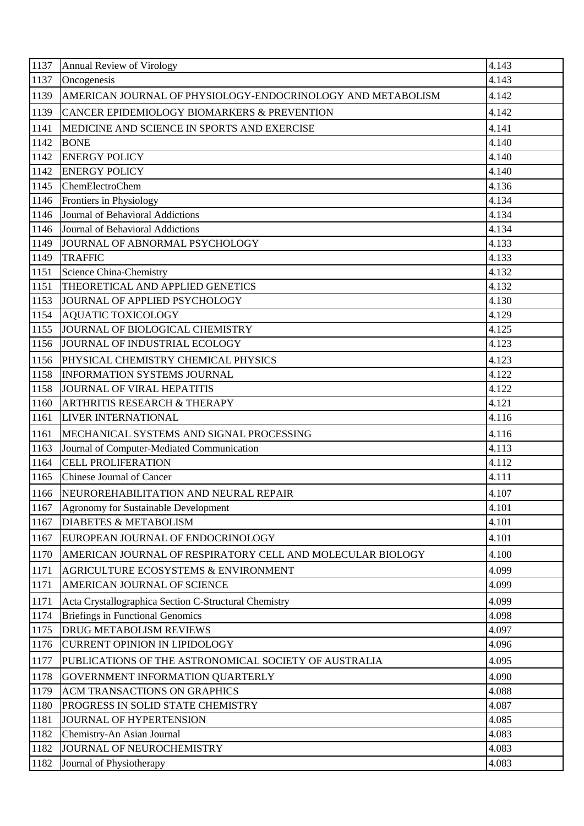| 1137 | <b>Annual Review of Virology</b>                            | 4.143 |
|------|-------------------------------------------------------------|-------|
| 1137 | Oncogenesis                                                 | 4.143 |
| 1139 | AMERICAN JOURNAL OF PHYSIOLOGY-ENDOCRINOLOGY AND METABOLISM | 4.142 |
| 1139 | CANCER EPIDEMIOLOGY BIOMARKERS & PREVENTION                 | 4.142 |
| 1141 | MEDICINE AND SCIENCE IN SPORTS AND EXERCISE                 | 4.141 |
| 1142 | <b>BONE</b>                                                 | 4.140 |
| 1142 | <b>ENERGY POLICY</b>                                        | 4.140 |
| 1142 | <b>ENERGY POLICY</b>                                        | 4.140 |
| 1145 | ChemElectroChem                                             | 4.136 |
| 1146 | Frontiers in Physiology                                     | 4.134 |
| 1146 | Journal of Behavioral Addictions                            | 4.134 |
| 1146 | Journal of Behavioral Addictions                            | 4.134 |
| 1149 | JOURNAL OF ABNORMAL PSYCHOLOGY                              | 4.133 |
| 1149 | <b>TRAFFIC</b>                                              | 4.133 |
| 1151 | Science China-Chemistry                                     | 4.132 |
| 1151 | THEORETICAL AND APPLIED GENETICS                            | 4.132 |
| 1153 | JOURNAL OF APPLIED PSYCHOLOGY                               | 4.130 |
| 1154 | <b>AQUATIC TOXICOLOGY</b>                                   | 4.129 |
| 1155 | JOURNAL OF BIOLOGICAL CHEMISTRY                             | 4.125 |
| 1156 | JOURNAL OF INDUSTRIAL ECOLOGY                               | 4.123 |
| 1156 | PHYSICAL CHEMISTRY CHEMICAL PHYSICS                         | 4.123 |
| 1158 | <b>INFORMATION SYSTEMS JOURNAL</b>                          | 4.122 |
| 1158 | <b>JOURNAL OF VIRAL HEPATITIS</b>                           | 4.122 |
| 1160 | <b>ARTHRITIS RESEARCH &amp; THERAPY</b>                     | 4.121 |
| 1161 | LIVER INTERNATIONAL                                         | 4.116 |
| 1161 | MECHANICAL SYSTEMS AND SIGNAL PROCESSING                    | 4.116 |
| 1163 | Journal of Computer-Mediated Communication                  | 4.113 |
| 1164 | <b>CELL PROLIFERATION</b>                                   | 4.112 |
|      | 1165 Chinese Journal of Cancer                              | 4.111 |
| 1166 | NEUROREHABILITATION AND NEURAL REPAIR                       | 4.107 |
| 1167 | Agronomy for Sustainable Development                        | 4.101 |
| 1167 | <b>DIABETES &amp; METABOLISM</b>                            | 4.101 |
| 1167 | EUROPEAN JOURNAL OF ENDOCRINOLOGY                           | 4.101 |
| 1170 | AMERICAN JOURNAL OF RESPIRATORY CELL AND MOLECULAR BIOLOGY  | 4.100 |
| 1171 | AGRICULTURE ECOSYSTEMS & ENVIRONMENT                        | 4.099 |
| 1171 | AMERICAN JOURNAL OF SCIENCE                                 | 4.099 |
| 1171 | Acta Crystallographica Section C-Structural Chemistry       | 4.099 |
| 1174 | <b>Briefings in Functional Genomics</b>                     | 4.098 |
| 1175 | <b>DRUG METABOLISM REVIEWS</b>                              | 4.097 |
| 1176 | <b>CURRENT OPINION IN LIPIDOLOGY</b>                        | 4.096 |
| 1177 | PUBLICATIONS OF THE ASTRONOMICAL SOCIETY OF AUSTRALIA       | 4.095 |
| 1178 | GOVERNMENT INFORMATION QUARTERLY                            | 4.090 |
| 1179 | <b>ACM TRANSACTIONS ON GRAPHICS</b>                         | 4.088 |
| 1180 | PROGRESS IN SOLID STATE CHEMISTRY                           | 4.087 |
| 1181 | JOURNAL OF HYPERTENSION                                     | 4.085 |
| 1182 | Chemistry-An Asian Journal                                  | 4.083 |
| 1182 | JOURNAL OF NEUROCHEMISTRY                                   | 4.083 |
| 1182 | Journal of Physiotherapy                                    | 4.083 |
|      |                                                             |       |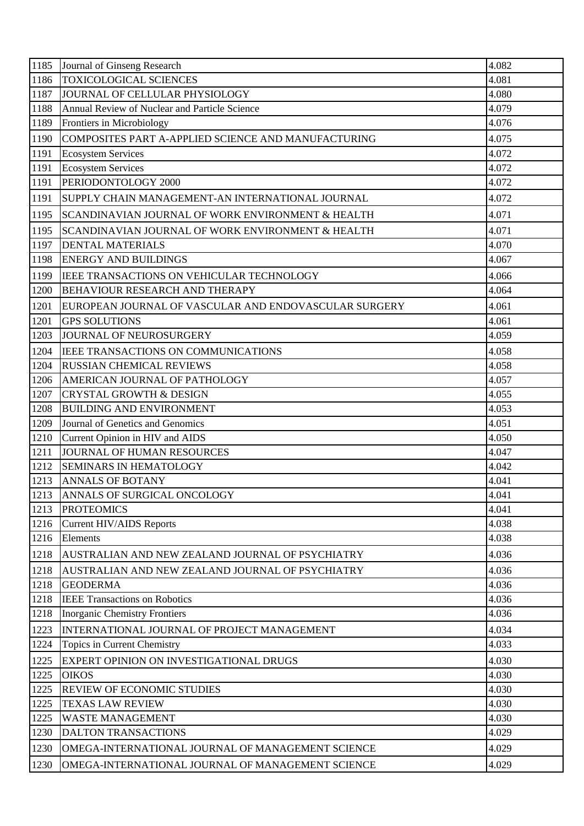| 1185 | Journal of Ginseng Research                           | 4.082 |
|------|-------------------------------------------------------|-------|
| 1186 | <b>TOXICOLOGICAL SCIENCES</b>                         | 4.081 |
| 1187 | JOURNAL OF CELLULAR PHYSIOLOGY                        | 4.080 |
| 1188 | Annual Review of Nuclear and Particle Science         | 4.079 |
| 1189 | Frontiers in Microbiology                             | 4.076 |
| 1190 | COMPOSITES PART A-APPLIED SCIENCE AND MANUFACTURING   | 4.075 |
| 1191 | <b>Ecosystem Services</b>                             | 4.072 |
| 1191 | <b>Ecosystem Services</b>                             | 4.072 |
| 1191 | PERIODONTOLOGY 2000                                   | 4.072 |
| 1191 | SUPPLY CHAIN MANAGEMENT-AN INTERNATIONAL JOURNAL      | 4.072 |
| 1195 | SCANDINAVIAN JOURNAL OF WORK ENVIRONMENT & HEALTH     | 4.071 |
| 1195 | SCANDINAVIAN JOURNAL OF WORK ENVIRONMENT & HEALTH     | 4.071 |
| 1197 | <b>DENTAL MATERIALS</b>                               | 4.070 |
| 1198 | <b>ENERGY AND BUILDINGS</b>                           | 4.067 |
| 1199 | IEEE TRANSACTIONS ON VEHICULAR TECHNOLOGY             | 4.066 |
| 1200 | BEHAVIOUR RESEARCH AND THERAPY                        | 4.064 |
| 1201 | EUROPEAN JOURNAL OF VASCULAR AND ENDOVASCULAR SURGERY | 4.061 |
| 1201 | <b>GPS SOLUTIONS</b>                                  | 4.061 |
| 1203 | JOURNAL OF NEUROSURGERY                               | 4.059 |
| 1204 | IEEE TRANSACTIONS ON COMMUNICATIONS                   | 4.058 |
| 1204 | <b>RUSSIAN CHEMICAL REVIEWS</b>                       | 4.058 |
| 1206 | AMERICAN JOURNAL OF PATHOLOGY                         | 4.057 |
| 1207 | <b>CRYSTAL GROWTH &amp; DESIGN</b>                    | 4.055 |
| 1208 | <b>BUILDING AND ENVIRONMENT</b>                       | 4.053 |
|      |                                                       |       |
| 1209 | Journal of Genetics and Genomics                      | 4.051 |
| 1210 | Current Opinion in HIV and AIDS                       | 4.050 |
| 1211 | JOURNAL OF HUMAN RESOURCES                            | 4.047 |
| 1212 | <b>SEMINARS IN HEMATOLOGY</b>                         | 4.042 |
| 1213 | <b>ANNALS OF BOTANY</b>                               | 4.041 |
| 1213 | ANNALS OF SURGICAL ONCOLOGY                           | 4.041 |
| 1213 | <b>PROTEOMICS</b>                                     | 4.041 |
| 1216 | <b>Current HIV/AIDS Reports</b>                       | 4.038 |
| 1216 | Elements                                              | 4.038 |
| 1218 | AUSTRALIAN AND NEW ZEALAND JOURNAL OF PSYCHIATRY      | 4.036 |
| 1218 | AUSTRALIAN AND NEW ZEALAND JOURNAL OF PSYCHIATRY      | 4.036 |
| 1218 | <b>GEODERMA</b>                                       | 4.036 |
| 1218 | <b>IEEE Transactions on Robotics</b>                  | 4.036 |
| 1218 | <b>Inorganic Chemistry Frontiers</b>                  | 4.036 |
| 1223 | INTERNATIONAL JOURNAL OF PROJECT MANAGEMENT           | 4.034 |
| 1224 | Topics in Current Chemistry                           | 4.033 |
| 1225 | EXPERT OPINION ON INVESTIGATIONAL DRUGS               | 4.030 |
| 1225 | <b>OIKOS</b>                                          | 4.030 |
| 1225 | <b>REVIEW OF ECONOMIC STUDIES</b>                     | 4.030 |
| 1225 | <b>TEXAS LAW REVIEW</b>                               | 4.030 |
| 1225 | <b>WASTE MANAGEMENT</b>                               | 4.030 |
| 1230 | <b>DALTON TRANSACTIONS</b>                            | 4.029 |
| 1230 | OMEGA-INTERNATIONAL JOURNAL OF MANAGEMENT SCIENCE     | 4.029 |
| 1230 | OMEGA-INTERNATIONAL JOURNAL OF MANAGEMENT SCIENCE     | 4.029 |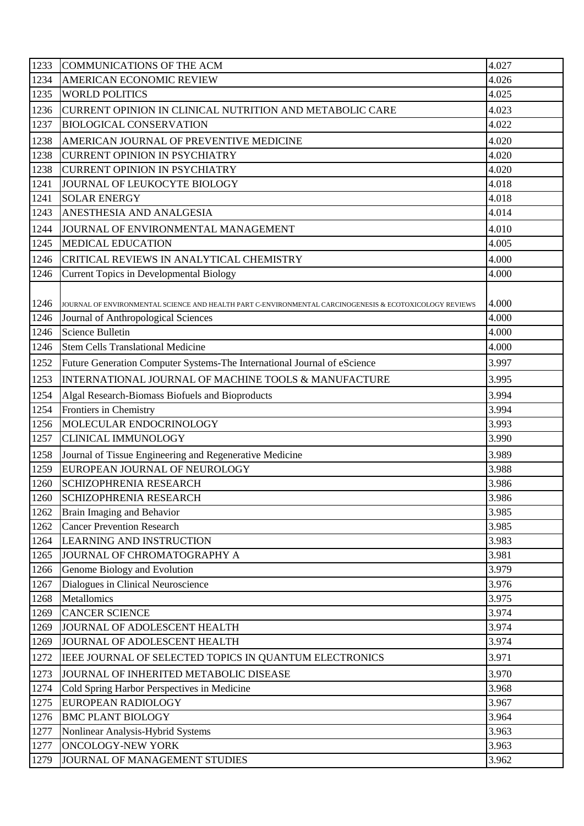| 1233 | COMMUNICATIONS OF THE ACM                                                                               | 4.027 |
|------|---------------------------------------------------------------------------------------------------------|-------|
| 1234 | <b>AMERICAN ECONOMIC REVIEW</b>                                                                         | 4.026 |
| 1235 | <b>WORLD POLITICS</b>                                                                                   | 4.025 |
| 1236 | CURRENT OPINION IN CLINICAL NUTRITION AND METABOLIC CARE                                                | 4.023 |
| 1237 | <b>BIOLOGICAL CONSERVATION</b>                                                                          | 4.022 |
| 1238 | AMERICAN JOURNAL OF PREVENTIVE MEDICINE                                                                 | 4.020 |
| 1238 | <b>CURRENT OPINION IN PSYCHIATRY</b>                                                                    | 4.020 |
| 1238 | <b>CURRENT OPINION IN PSYCHIATRY</b>                                                                    | 4.020 |
| 1241 | JOURNAL OF LEUKOCYTE BIOLOGY                                                                            | 4.018 |
| 1241 | <b>SOLAR ENERGY</b>                                                                                     | 4.018 |
| 1243 | ANESTHESIA AND ANALGESIA                                                                                | 4.014 |
| 1244 | JOURNAL OF ENVIRONMENTAL MANAGEMENT                                                                     | 4.010 |
| 1245 | <b>MEDICAL EDUCATION</b>                                                                                | 4.005 |
| 1246 | CRITICAL REVIEWS IN ANALYTICAL CHEMISTRY                                                                | 4.000 |
| 1246 | <b>Current Topics in Developmental Biology</b>                                                          | 4.000 |
|      |                                                                                                         |       |
| 1246 | JOURNAL OF ENVIRONMENTAL SCIENCE AND HEALTH PART C-ENVIRONMENTAL CARCINOGENESIS & ECOTOXICOLOGY REVIEWS | 4.000 |
| 1246 | Journal of Anthropological Sciences                                                                     | 4.000 |
| 1246 | Science Bulletin                                                                                        | 4.000 |
| 1246 | <b>Stem Cells Translational Medicine</b>                                                                | 4.000 |
| 1252 | Future Generation Computer Systems-The International Journal of eScience                                | 3.997 |
| 1253 | INTERNATIONAL JOURNAL OF MACHINE TOOLS & MANUFACTURE                                                    | 3.995 |
| 1254 | Algal Research-Biomass Biofuels and Bioproducts                                                         | 3.994 |
| 1254 | Frontiers in Chemistry                                                                                  | 3.994 |
| 1256 | MOLECULAR ENDOCRINOLOGY                                                                                 | 3.993 |
| 1257 | <b>CLINICAL IMMUNOLOGY</b>                                                                              | 3.990 |
| 1258 | Journal of Tissue Engineering and Regenerative Medicine                                                 | 3.989 |
| 1259 | EUROPEAN JOURNAL OF NEUROLOGY                                                                           | 3.988 |
| 1260 | <b>SCHIZOPHRENIA RESEARCH</b>                                                                           | 3.986 |
| 1260 | <b>SCHIZOPHRENIA RESEARCH</b>                                                                           | 3.986 |
| 1262 | Brain Imaging and Behavior                                                                              | 3.985 |
| 1262 | <b>Cancer Prevention Research</b>                                                                       | 3.985 |
| 1264 | LEARNING AND INSTRUCTION                                                                                | 3.983 |
| 1265 | JOURNAL OF CHROMATOGRAPHY A                                                                             | 3.981 |
| 1266 | Genome Biology and Evolution                                                                            | 3.979 |
| 1267 | Dialogues in Clinical Neuroscience                                                                      | 3.976 |
| 1268 | Metallomics                                                                                             | 3.975 |
| 1269 | <b>CANCER SCIENCE</b>                                                                                   | 3.974 |
| 1269 | JOURNAL OF ADOLESCENT HEALTH                                                                            | 3.974 |
| 1269 | JOURNAL OF ADOLESCENT HEALTH                                                                            | 3.974 |
| 1272 | IEEE JOURNAL OF SELECTED TOPICS IN QUANTUM ELECTRONICS                                                  | 3.971 |
| 1273 | JOURNAL OF INHERITED METABOLIC DISEASE                                                                  | 3.970 |
| 1274 | Cold Spring Harbor Perspectives in Medicine                                                             | 3.968 |
| 1275 | <b>EUROPEAN RADIOLOGY</b>                                                                               | 3.967 |
| 1276 | <b>BMC PLANT BIOLOGY</b>                                                                                | 3.964 |
| 1277 | Nonlinear Analysis-Hybrid Systems                                                                       | 3.963 |
| 1277 | <b>ONCOLOGY-NEW YORK</b>                                                                                | 3.963 |
| 1279 | JOURNAL OF MANAGEMENT STUDIES                                                                           | 3.962 |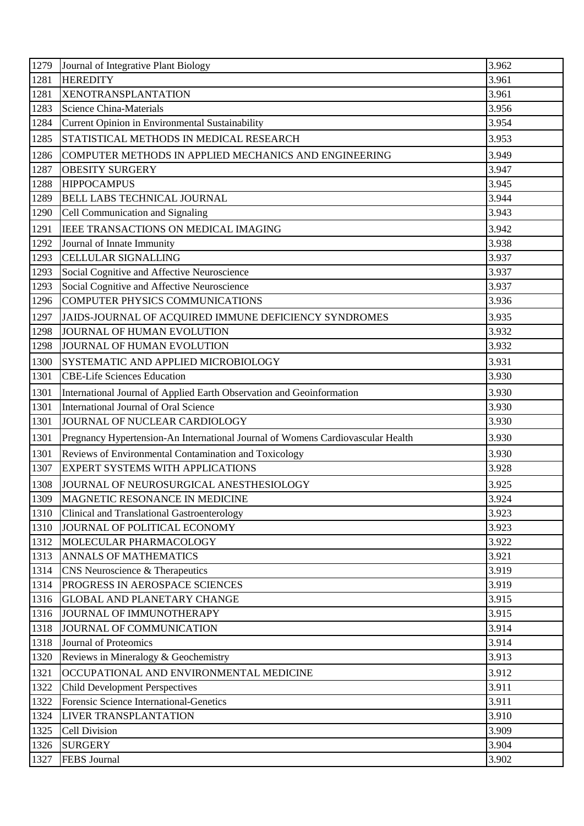| 1279         | Journal of Integrative Plant Biology                                            | 3.962          |
|--------------|---------------------------------------------------------------------------------|----------------|
| 1281         | <b>HEREDITY</b>                                                                 | 3.961          |
| 1281         | <b>XENOTRANSPLANTATION</b>                                                      | 3.961          |
| 1283         | <b>Science China-Materials</b>                                                  | 3.956          |
| 1284         | Current Opinion in Environmental Sustainability                                 | 3.954          |
| 1285         | STATISTICAL METHODS IN MEDICAL RESEARCH                                         | 3.953          |
| 1286         | COMPUTER METHODS IN APPLIED MECHANICS AND ENGINEERING                           | 3.949          |
| 1287         | <b>OBESITY SURGERY</b>                                                          | 3.947          |
| 1288         | <b>HIPPOCAMPUS</b>                                                              | 3.945          |
| 1289         | <b>BELL LABS TECHNICAL JOURNAL</b>                                              | 3.944          |
| 1290         | Cell Communication and Signaling                                                | 3.943          |
| 1291         | IEEE TRANSACTIONS ON MEDICAL IMAGING                                            | 3.942          |
| 1292         | Journal of Innate Immunity                                                      | 3.938          |
| 1293         | <b>CELLULAR SIGNALLING</b>                                                      | 3.937          |
| 1293         | Social Cognitive and Affective Neuroscience                                     | 3.937          |
| 1293         | Social Cognitive and Affective Neuroscience                                     | 3.937          |
| 1296         | <b>COMPUTER PHYSICS COMMUNICATIONS</b>                                          | 3.936          |
| 1297         | JAIDS-JOURNAL OF ACQUIRED IMMUNE DEFICIENCY SYNDROMES                           | 3.935          |
| 1298         | JOURNAL OF HUMAN EVOLUTION                                                      | 3.932          |
| 1298         | JOURNAL OF HUMAN EVOLUTION                                                      | 3.932          |
| 1300         | SYSTEMATIC AND APPLIED MICROBIOLOGY                                             | 3.931          |
| 1301         | <b>CBE-Life Sciences Education</b>                                              | 3.930          |
| 1301         | International Journal of Applied Earth Observation and Geoinformation           | 3.930          |
| 1301         | International Journal of Oral Science                                           | 3.930          |
| 1301         | JOURNAL OF NUCLEAR CARDIOLOGY                                                   | 3.930          |
| 1301         | Pregnancy Hypertension-An International Journal of Womens Cardiovascular Health | 3.930          |
| 1301         | Reviews of Environmental Contamination and Toxicology                           | 3.930          |
| 1307         | <b>EXPERT SYSTEMS WITH APPLICATIONS</b>                                         | 3.928          |
| 1308         | JOURNAL OF NEUROSURGICAL ANESTHESIOLOGY                                         | 3.925          |
| 1309         | MAGNETIC RESONANCE IN MEDICINE                                                  | 3.924          |
| 1310         | <b>Clinical and Translational Gastroenterology</b>                              | 3.923          |
| 1310         | JOURNAL OF POLITICAL ECONOMY                                                    | 3.923          |
| 1312         | MOLECULAR PHARMACOLOGY                                                          | 3.922          |
| 1313         | <b>ANNALS OF MATHEMATICS</b>                                                    | 3.921          |
| 1314         | CNS Neuroscience & Therapeutics                                                 | 3.919          |
| 1314         | PROGRESS IN AEROSPACE SCIENCES                                                  | 3.919          |
| 1316         |                                                                                 |                |
|              | <b>GLOBAL AND PLANETARY CHANGE</b>                                              | 3.915          |
| 1316         | JOURNAL OF IMMUNOTHERAPY                                                        | 3.915          |
| 1318         | JOURNAL OF COMMUNICATION                                                        | 3.914          |
| 1318         | Journal of Proteomics                                                           | 3.914          |
| 1320         | Reviews in Mineralogy & Geochemistry                                            | 3.913          |
| 1321         | OCCUPATIONAL AND ENVIRONMENTAL MEDICINE                                         | 3.912          |
| 1322         | <b>Child Development Perspectives</b>                                           | 3.911          |
| 1322         | Forensic Science International-Genetics                                         | 3.911          |
| 1324         | <b>LIVER TRANSPLANTATION</b>                                                    | 3.910          |
| 1325         | Cell Division                                                                   | 3.909          |
| 1326<br>1327 | <b>SURGERY</b><br>FEBS Journal                                                  | 3.904<br>3.902 |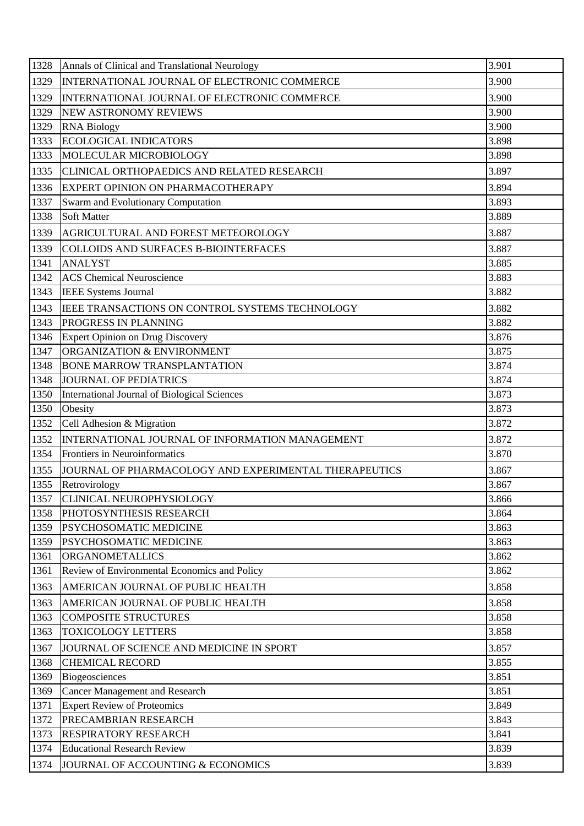| 1328 | Annals of Clinical and Translational Neurology        | 3.901 |
|------|-------------------------------------------------------|-------|
| 1329 | INTERNATIONAL JOURNAL OF ELECTRONIC COMMERCE          | 3.900 |
| 1329 | INTERNATIONAL JOURNAL OF ELECTRONIC COMMERCE          | 3.900 |
| 1329 | <b>NEW ASTRONOMY REVIEWS</b>                          | 3.900 |
| 1329 | <b>RNA Biology</b>                                    | 3.900 |
| 1333 | <b>ECOLOGICAL INDICATORS</b>                          | 3.898 |
| 1333 | MOLECULAR MICROBIOLOGY                                | 3.898 |
| 1335 | CLINICAL ORTHOPAEDICS AND RELATED RESEARCH            | 3.897 |
| 1336 | EXPERT OPINION ON PHARMACOTHERAPY                     | 3.894 |
| 1337 | Swarm and Evolutionary Computation                    | 3.893 |
| 1338 | <b>Soft Matter</b>                                    | 3.889 |
| 1339 | AGRICULTURAL AND FOREST METEOROLOGY                   | 3.887 |
| 1339 | COLLOIDS AND SURFACES B-BIOINTERFACES                 | 3.887 |
| 1341 | <b>ANALYST</b>                                        | 3.885 |
| 1342 | <b>ACS</b> Chemical Neuroscience                      | 3.883 |
| 1343 | <b>IEEE Systems Journal</b>                           | 3.882 |
| 1343 | IEEE TRANSACTIONS ON CONTROL SYSTEMS TECHNOLOGY       | 3.882 |
| 1343 | PROGRESS IN PLANNING                                  | 3.882 |
| 1346 | <b>Expert Opinion on Drug Discovery</b>               | 3.876 |
| 1347 | ORGANIZATION & ENVIRONMENT                            | 3.875 |
| 1348 | <b>BONE MARROW TRANSPLANTATION</b>                    | 3.874 |
| 1348 | <b>JOURNAL OF PEDIATRICS</b>                          | 3.874 |
| 1350 | International Journal of Biological Sciences          | 3.873 |
| 1350 | Obesity                                               | 3.873 |
| 1352 | Cell Adhesion & Migration                             | 3.872 |
| 1352 | INTERNATIONAL JOURNAL OF INFORMATION MANAGEMENT       | 3.872 |
| 1354 | Frontiers in Neuroinformatics                         | 3.870 |
| 1355 | JOURNAL OF PHARMACOLOGY AND EXPERIMENTAL THERAPEUTICS | 3.867 |
| 1355 | Retrovirology                                         | 3.867 |
| 1357 | <b>CLINICAL NEUROPHYSIOLOGY</b>                       | 3.866 |
| 1358 | PHOTOSYNTHESIS RESEARCH                               | 3.864 |
| 1359 | PSYCHOSOMATIC MEDICINE                                | 3.863 |
| 1359 | PSYCHOSOMATIC MEDICINE                                | 3.863 |
| 1361 | <b>ORGANOMETALLICS</b>                                | 3.862 |
| 1361 | Review of Environmental Economics and Policy          | 3.862 |
| 1363 | AMERICAN JOURNAL OF PUBLIC HEALTH                     | 3.858 |
| 1363 | AMERICAN JOURNAL OF PUBLIC HEALTH                     | 3.858 |
| 1363 | <b>COMPOSITE STRUCTURES</b>                           | 3.858 |
| 1363 | <b>TOXICOLOGY LETTERS</b>                             | 3.858 |
| 1367 | JOURNAL OF SCIENCE AND MEDICINE IN SPORT              | 3.857 |
| 1368 | <b>CHEMICAL RECORD</b>                                | 3.855 |
| 1369 | <b>Biogeosciences</b>                                 | 3.851 |
| 1369 | <b>Cancer Management and Research</b>                 | 3.851 |
| 1371 | <b>Expert Review of Proteomics</b>                    | 3.849 |
| 1372 | PRECAMBRIAN RESEARCH                                  | 3.843 |
| 1373 | <b>RESPIRATORY RESEARCH</b>                           | 3.841 |
| 1374 | <b>Educational Research Review</b>                    | 3.839 |
| 1374 | JOURNAL OF ACCOUNTING & ECONOMICS                     | 3.839 |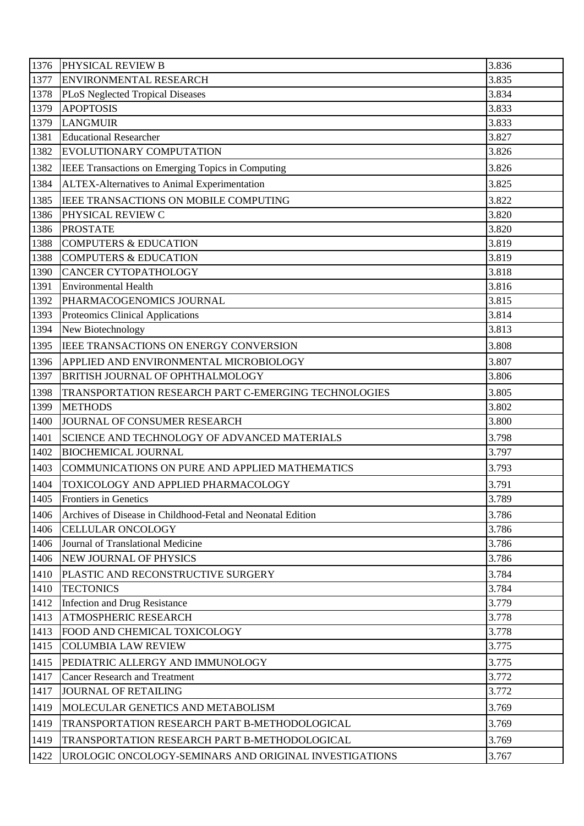| 1376 | PHYSICAL REVIEW B                                           | 3.836 |
|------|-------------------------------------------------------------|-------|
| 1377 | ENVIRONMENTAL RESEARCH                                      | 3.835 |
| 1378 | PLoS Neglected Tropical Diseases                            | 3.834 |
| 1379 | <b>APOPTOSIS</b>                                            | 3.833 |
| 1379 | <b>LANGMUIR</b>                                             | 3.833 |
| 1381 | <b>Educational Researcher</b>                               | 3.827 |
| 1382 | EVOLUTIONARY COMPUTATION                                    | 3.826 |
| 1382 | IEEE Transactions on Emerging Topics in Computing           | 3.826 |
| 1384 | ALTEX-Alternatives to Animal Experimentation                | 3.825 |
| 1385 | IEEE TRANSACTIONS ON MOBILE COMPUTING                       | 3.822 |
| 1386 | PHYSICAL REVIEW C                                           | 3.820 |
| 1386 | <b>PROSTATE</b>                                             | 3.820 |
| 1388 | <b>COMPUTERS &amp; EDUCATION</b>                            | 3.819 |
| 1388 | <b>COMPUTERS &amp; EDUCATION</b>                            | 3.819 |
| 1390 | <b>CANCER CYTOPATHOLOGY</b>                                 | 3.818 |
| 1391 | <b>Environmental Health</b>                                 | 3.816 |
| 1392 | PHARMACOGENOMICS JOURNAL                                    | 3.815 |
| 1393 | Proteomics Clinical Applications                            | 3.814 |
| 1394 | New Biotechnology                                           | 3.813 |
| 1395 | IEEE TRANSACTIONS ON ENERGY CONVERSION                      | 3.808 |
| 1396 | APPLIED AND ENVIRONMENTAL MICROBIOLOGY                      | 3.807 |
| 1397 | <b>BRITISH JOURNAL OF OPHTHALMOLOGY</b>                     | 3.806 |
| 1398 | TRANSPORTATION RESEARCH PART C-EMERGING TECHNOLOGIES        | 3.805 |
| 1399 | <b>METHODS</b>                                              | 3.802 |
| 1400 | JOURNAL OF CONSUMER RESEARCH                                | 3.800 |
| 1401 | SCIENCE AND TECHNOLOGY OF ADVANCED MATERIALS                | 3.798 |
| 1402 | <b>BIOCHEMICAL JOURNAL</b>                                  | 3.797 |
| 1403 | COMMUNICATIONS ON PURE AND APPLIED MATHEMATICS              | 3.793 |
| 1404 | TOXICOLOGY AND APPLIED PHARMACOLOGY                         | 3.791 |
| 1405 | <b>Frontiers in Genetics</b>                                | 3.789 |
| 1406 | Archives of Disease in Childhood-Fetal and Neonatal Edition | 3.786 |
| 1406 | <b>CELLULAR ONCOLOGY</b>                                    | 3.786 |
| 1406 | Journal of Translational Medicine                           | 3.786 |
| 1406 | <b>NEW JOURNAL OF PHYSICS</b>                               | 3.786 |
| 1410 | PLASTIC AND RECONSTRUCTIVE SURGERY                          | 3.784 |
| 1410 | <b>TECTONICS</b>                                            | 3.784 |
| 1412 | Infection and Drug Resistance                               | 3.779 |
| 1413 | <b>ATMOSPHERIC RESEARCH</b>                                 | 3.778 |
| 1413 | FOOD AND CHEMICAL TOXICOLOGY                                | 3.778 |
| 1415 | <b>COLUMBIA LAW REVIEW</b>                                  | 3.775 |
| 1415 | PEDIATRIC ALLERGY AND IMMUNOLOGY                            | 3.775 |
| 1417 | <b>Cancer Research and Treatment</b>                        | 3.772 |
| 1417 | <b>JOURNAL OF RETAILING</b>                                 | 3.772 |
| 1419 | MOLECULAR GENETICS AND METABOLISM                           | 3.769 |
| 1419 | TRANSPORTATION RESEARCH PART B-METHODOLOGICAL               | 3.769 |
| 1419 | TRANSPORTATION RESEARCH PART B-METHODOLOGICAL               | 3.769 |
| 1422 | UROLOGIC ONCOLOGY-SEMINARS AND ORIGINAL INVESTIGATIONS      | 3.767 |
|      |                                                             |       |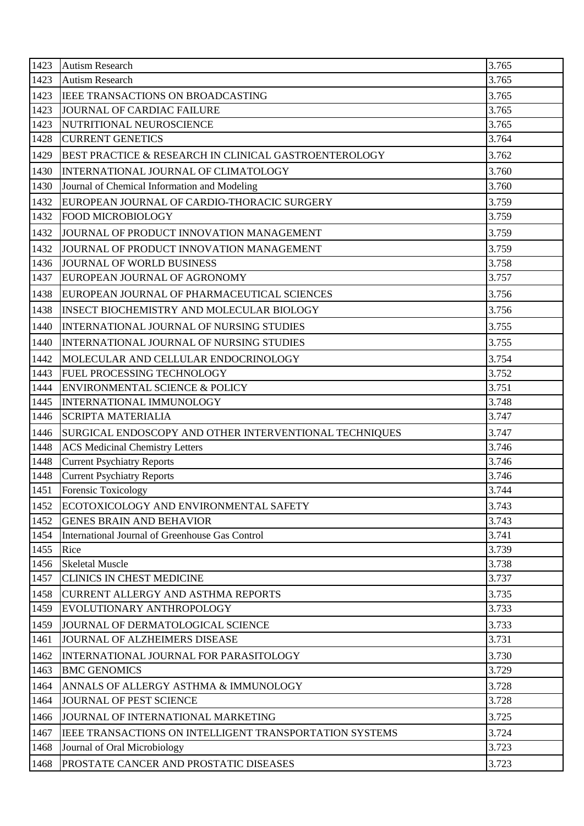| 1423         | <b>Autism Research</b>                                                 | 3.765          |
|--------------|------------------------------------------------------------------------|----------------|
| 1423         | <b>Autism Research</b>                                                 | 3.765          |
| 1423         | IEEE TRANSACTIONS ON BROADCASTING                                      | 3.765          |
| 1423         | <b>JOURNAL OF CARDIAC FAILURE</b>                                      | 3.765          |
| 1423         | NUTRITIONAL NEUROSCIENCE                                               | 3.765          |
| 1428         | <b>CURRENT GENETICS</b>                                                | 3.764          |
| 1429         | BEST PRACTICE & RESEARCH IN CLINICAL GASTROENTEROLOGY                  | 3.762          |
| 1430         | INTERNATIONAL JOURNAL OF CLIMATOLOGY                                   | 3.760          |
| 1430         | Journal of Chemical Information and Modeling                           | 3.760          |
| 1432         | EUROPEAN JOURNAL OF CARDIO-THORACIC SURGERY                            | 3.759          |
| 1432         | <b>FOOD MICROBIOLOGY</b>                                               | 3.759          |
| 1432         | JOURNAL OF PRODUCT INNOVATION MANAGEMENT                               | 3.759          |
| 1432         | JOURNAL OF PRODUCT INNOVATION MANAGEMENT                               | 3.759          |
| 1436         | <b>JOURNAL OF WORLD BUSINESS</b>                                       | 3.758          |
| 1437         | EUROPEAN JOURNAL OF AGRONOMY                                           | 3.757          |
| 1438         | EUROPEAN JOURNAL OF PHARMACEUTICAL SCIENCES                            | 3.756          |
| 1438         | <b>INSECT BIOCHEMISTRY AND MOLECULAR BIOLOGY</b>                       | 3.756          |
| 1440         | INTERNATIONAL JOURNAL OF NURSING STUDIES                               | 3.755          |
| 1440         | INTERNATIONAL JOURNAL OF NURSING STUDIES                               | 3.755          |
| 1442         | MOLECULAR AND CELLULAR ENDOCRINOLOGY                                   | 3.754          |
| 1443         | FUEL PROCESSING TECHNOLOGY                                             | 3.752          |
| 1444         | <b>ENVIRONMENTAL SCIENCE &amp; POLICY</b>                              | 3.751          |
| 1445         | INTERNATIONAL IMMUNOLOGY                                               | 3.748          |
| 1446         | <b>SCRIPTA MATERIALIA</b>                                              | 3.747          |
| 1446         | SURGICAL ENDOSCOPY AND OTHER INTERVENTIONAL TECHNIQUES                 | 3.747          |
| 1448         | <b>ACS Medicinal Chemistry Letters</b>                                 | 3.746          |
| 1448         | <b>Current Psychiatry Reports</b>                                      | 3.746          |
| 1448         | <b>Current Psychiatry Reports</b>                                      | 3.746          |
| 1451         | <b>Forensic Toxicology</b>                                             | 3.744          |
| 1452         | ECOTOXICOLOGY AND ENVIRONMENTAL SAFETY                                 | 3.743          |
| 1452         | <b>GENES BRAIN AND BEHAVIOR</b>                                        | 3.743          |
| 1454         | International Journal of Greenhouse Gas Control                        | 3.741          |
| 1455         | Rice                                                                   | 3.739          |
| 1456<br>1457 | <b>Skeletal Muscle</b><br><b>CLINICS IN CHEST MEDICINE</b>             | 3.738<br>3.737 |
|              |                                                                        |                |
| 1458<br>1459 | <b>CURRENT ALLERGY AND ASTHMA REPORTS</b><br>EVOLUTIONARY ANTHROPOLOGY | 3.735<br>3.733 |
|              |                                                                        |                |
| 1459         | JOURNAL OF DERMATOLOGICAL SCIENCE<br>JOURNAL OF ALZHEIMERS DISEASE     | 3.733<br>3.731 |
| 1461         |                                                                        |                |
| 1462         | INTERNATIONAL JOURNAL FOR PARASITOLOGY                                 | 3.730          |
| 1463         | <b>BMC GENOMICS</b>                                                    | 3.729          |
| 1464         | ANNALS OF ALLERGY ASTHMA & IMMUNOLOGY                                  | 3.728          |
| 1464         | JOURNAL OF PEST SCIENCE                                                | 3.728          |
| 1466         | JOURNAL OF INTERNATIONAL MARKETING                                     | 3.725          |
| 1467         | <b>IEEE TRANSACTIONS ON INTELLIGENT TRANSPORTATION SYSTEMS</b>         | 3.724          |
| 1468         | Journal of Oral Microbiology                                           | 3.723          |
| 1468         | PROSTATE CANCER AND PROSTATIC DISEASES                                 | 3.723          |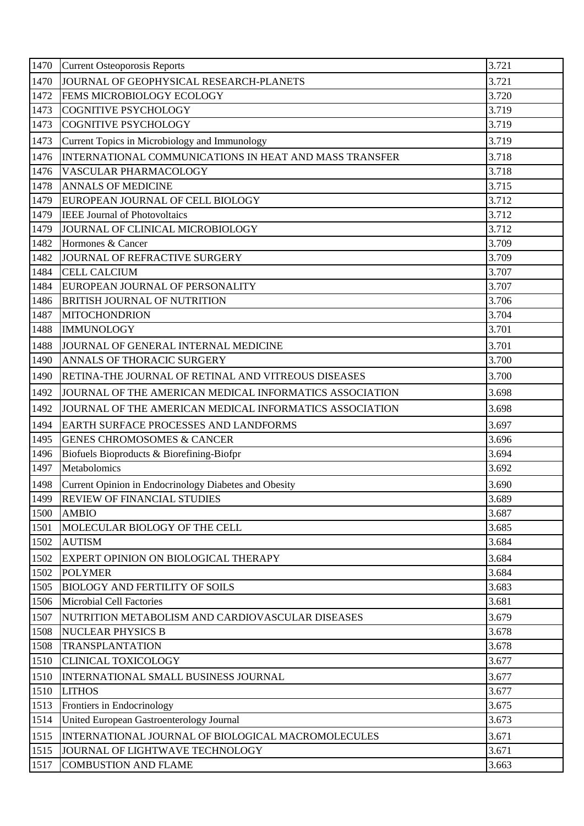| 1470 | <b>Current Osteoporosis Reports</b>                     | 3.721 |
|------|---------------------------------------------------------|-------|
| 1470 | JOURNAL OF GEOPHYSICAL RESEARCH-PLANETS                 | 3.721 |
| 1472 | FEMS MICROBIOLOGY ECOLOGY                               | 3.720 |
| 1473 | <b>COGNITIVE PSYCHOLOGY</b>                             | 3.719 |
| 1473 | <b>COGNITIVE PSYCHOLOGY</b>                             | 3.719 |
| 1473 | Current Topics in Microbiology and Immunology           | 3.719 |
| 1476 | INTERNATIONAL COMMUNICATIONS IN HEAT AND MASS TRANSFER  | 3.718 |
| 1476 | VASCULAR PHARMACOLOGY                                   | 3.718 |
| 1478 | <b>ANNALS OF MEDICINE</b>                               | 3.715 |
| 1479 | EUROPEAN JOURNAL OF CELL BIOLOGY                        | 3.712 |
| 1479 | <b>IEEE Journal of Photovoltaics</b>                    | 3.712 |
| 1479 | JOURNAL OF CLINICAL MICROBIOLOGY                        | 3.712 |
| 1482 | Hormones & Cancer                                       | 3.709 |
| 1482 | JOURNAL OF REFRACTIVE SURGERY                           | 3.709 |
| 1484 | <b>CELL CALCIUM</b>                                     | 3.707 |
| 1484 | EUROPEAN JOURNAL OF PERSONALITY                         | 3.707 |
| 1486 | <b>BRITISH JOURNAL OF NUTRITION</b>                     | 3.706 |
| 1487 | <b>MITOCHONDRION</b>                                    | 3.704 |
| 1488 | <b>IMMUNOLOGY</b>                                       | 3.701 |
| 1488 | JOURNAL OF GENERAL INTERNAL MEDICINE                    | 3.701 |
| 1490 | ANNALS OF THORACIC SURGERY                              | 3.700 |
| 1490 | RETINA-THE JOURNAL OF RETINAL AND VITREOUS DISEASES     | 3.700 |
| 1492 | JOURNAL OF THE AMERICAN MEDICAL INFORMATICS ASSOCIATION | 3.698 |
| 1492 | JOURNAL OF THE AMERICAN MEDICAL INFORMATICS ASSOCIATION | 3.698 |
| 1494 | EARTH SURFACE PROCESSES AND LANDFORMS                   | 3.697 |
| 1495 | <b>GENES CHROMOSOMES &amp; CANCER</b>                   | 3.696 |
| 1496 | Biofuels Bioproducts & Biorefining-Biofpr               | 3.694 |
| 1497 | Metabolomics                                            | 3.692 |
| 1498 | Current Opinion in Endocrinology Diabetes and Obesity   | 3.690 |
| 1499 | <b>REVIEW OF FINANCIAL STUDIES</b>                      | 3.689 |
| 1500 | <b>AMBIO</b>                                            | 3.687 |
| 1501 | MOLECULAR BIOLOGY OF THE CELL                           | 3.685 |
| 1502 | <b>AUTISM</b>                                           | 3.684 |
| 1502 | EXPERT OPINION ON BIOLOGICAL THERAPY                    | 3.684 |
| 1502 | <b>POLYMER</b>                                          | 3.684 |
| 1505 | <b>BIOLOGY AND FERTILITY OF SOILS</b>                   | 3.683 |
| 1506 | <b>Microbial Cell Factories</b>                         | 3.681 |
| 1507 | NUTRITION METABOLISM AND CARDIOVASCULAR DISEASES        | 3.679 |
| 1508 | <b>NUCLEAR PHYSICS B</b>                                | 3.678 |
| 1508 | <b>TRANSPLANTATION</b>                                  | 3.678 |
| 1510 | <b>CLINICAL TOXICOLOGY</b>                              | 3.677 |
| 1510 | INTERNATIONAL SMALL BUSINESS JOURNAL                    | 3.677 |
| 1510 | <b>LITHOS</b>                                           | 3.677 |
| 1513 | Frontiers in Endocrinology                              | 3.675 |
| 1514 | United European Gastroenterology Journal                | 3.673 |
| 1515 | INTERNATIONAL JOURNAL OF BIOLOGICAL MACROMOLECULES      | 3.671 |
| 1515 | JOURNAL OF LIGHTWAVE TECHNOLOGY                         | 3.671 |
| 1517 | <b>COMBUSTION AND FLAME</b>                             | 3.663 |
|      |                                                         |       |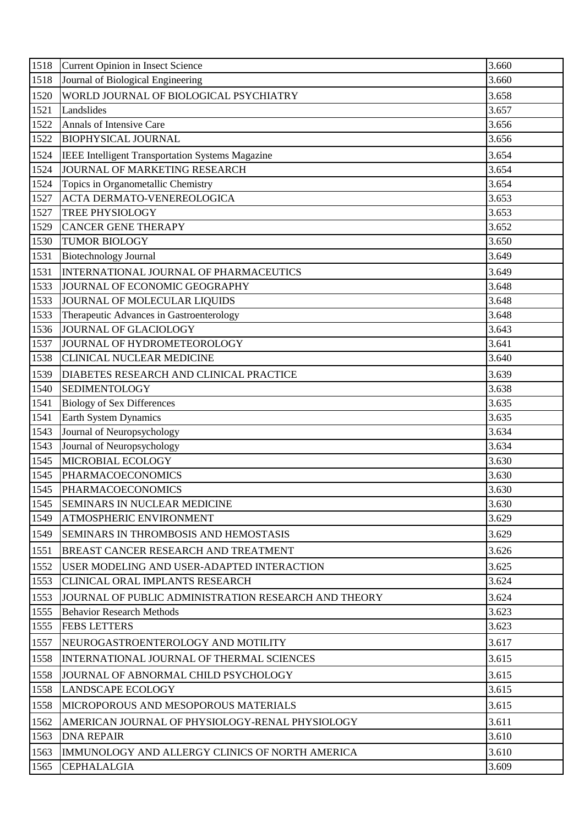| 1518 | Current Opinion in Insect Science                    | 3.660 |
|------|------------------------------------------------------|-------|
| 1518 | Journal of Biological Engineering                    | 3.660 |
| 1520 | WORLD JOURNAL OF BIOLOGICAL PSYCHIATRY               | 3.658 |
| 1521 | Landslides                                           | 3.657 |
| 1522 | <b>Annals of Intensive Care</b>                      | 3.656 |
| 1522 | <b>BIOPHYSICAL JOURNAL</b>                           | 3.656 |
| 1524 | IEEE Intelligent Transportation Systems Magazine     | 3.654 |
| 1524 | JOURNAL OF MARKETING RESEARCH                        | 3.654 |
| 1524 | Topics in Organometallic Chemistry                   | 3.654 |
| 1527 | ACTA DERMATO-VENEREOLOGICA                           | 3.653 |
| 1527 | TREE PHYSIOLOGY                                      | 3.653 |
| 1529 | <b>CANCER GENE THERAPY</b>                           | 3.652 |
| 1530 | <b>TUMOR BIOLOGY</b>                                 | 3.650 |
| 1531 | <b>Biotechnology Journal</b>                         | 3.649 |
| 1531 | INTERNATIONAL JOURNAL OF PHARMACEUTICS               | 3.649 |
| 1533 | JOURNAL OF ECONOMIC GEOGRAPHY                        | 3.648 |
| 1533 | JOURNAL OF MOLECULAR LIQUIDS                         | 3.648 |
| 1533 | Therapeutic Advances in Gastroenterology             | 3.648 |
| 1536 | JOURNAL OF GLACIOLOGY                                | 3.643 |
| 1537 | JOURNAL OF HYDROMETEOROLOGY                          | 3.641 |
| 1538 | <b>CLINICAL NUCLEAR MEDICINE</b>                     | 3.640 |
| 1539 | DIABETES RESEARCH AND CLINICAL PRACTICE              | 3.639 |
| 1540 | <b>SEDIMENTOLOGY</b>                                 | 3.638 |
| 1541 | <b>Biology of Sex Differences</b>                    | 3.635 |
| 1541 | Earth System Dynamics                                | 3.635 |
| 1543 | Journal of Neuropsychology                           | 3.634 |
| 1543 | Journal of Neuropsychology                           | 3.634 |
| 1545 | MICROBIAL ECOLOGY                                    | 3.630 |
| 1545 | <b>PHARMACOECONOMICS</b>                             | 3.630 |
| 1545 | <b>PHARMACOECONOMICS</b>                             | 3.630 |
| 1545 | <b>SEMINARS IN NUCLEAR MEDICINE</b>                  | 3.630 |
| 1549 | <b>ATMOSPHERIC ENVIRONMENT</b>                       | 3.629 |
| 1549 | <b>SEMINARS IN THROMBOSIS AND HEMOSTASIS</b>         | 3.629 |
| 1551 | <b>BREAST CANCER RESEARCH AND TREATMENT</b>          | 3.626 |
| 1552 | USER MODELING AND USER-ADAPTED INTERACTION           | 3.625 |
| 1553 | <b>CLINICAL ORAL IMPLANTS RESEARCH</b>               | 3.624 |
| 1553 | JOURNAL OF PUBLIC ADMINISTRATION RESEARCH AND THEORY | 3.624 |
| 1555 | <b>Behavior Research Methods</b>                     | 3.623 |
| 1555 | <b>FEBS LETTERS</b>                                  | 3.623 |
| 1557 | NEUROGASTROENTEROLOGY AND MOTILITY                   | 3.617 |
| 1558 | INTERNATIONAL JOURNAL OF THERMAL SCIENCES            | 3.615 |
| 1558 | JOURNAL OF ABNORMAL CHILD PSYCHOLOGY                 | 3.615 |
| 1558 | <b>LANDSCAPE ECOLOGY</b>                             | 3.615 |
| 1558 | <b>MICROPOROUS AND MESOPOROUS MATERIALS</b>          | 3.615 |
| 1562 | AMERICAN JOURNAL OF PHYSIOLOGY-RENAL PHYSIOLOGY      | 3.611 |
| 1563 | <b>DNA REPAIR</b>                                    | 3.610 |
| 1563 | IMMUNOLOGY AND ALLERGY CLINICS OF NORTH AMERICA      | 3.610 |
| 1565 | <b>CEPHALALGIA</b>                                   | 3.609 |
|      |                                                      |       |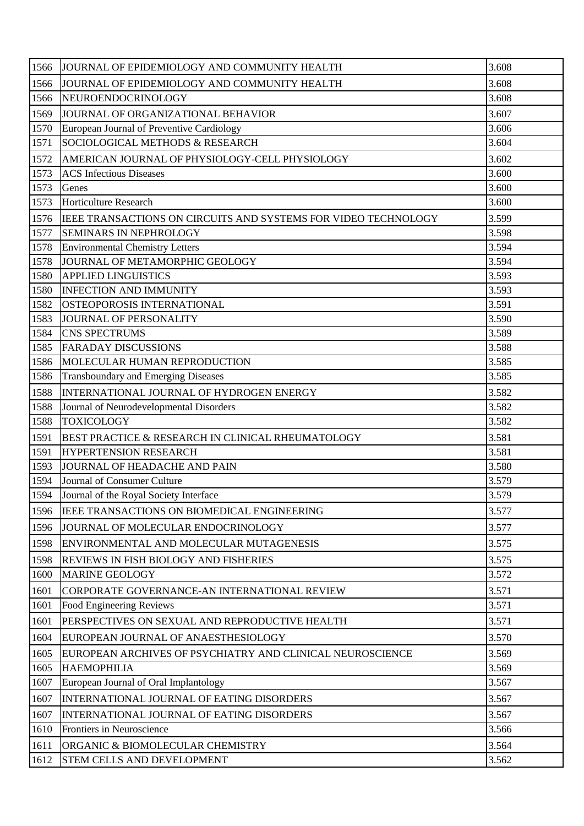| 1566 | JOURNAL OF EPIDEMIOLOGY AND COMMUNITY HEALTH                   | 3.608 |
|------|----------------------------------------------------------------|-------|
| 1566 | JOURNAL OF EPIDEMIOLOGY AND COMMUNITY HEALTH                   | 3.608 |
| 1566 | NEUROENDOCRINOLOGY                                             | 3.608 |
| 1569 | JOURNAL OF ORGANIZATIONAL BEHAVIOR                             | 3.607 |
| 1570 | European Journal of Preventive Cardiology                      | 3.606 |
| 1571 | SOCIOLOGICAL METHODS & RESEARCH                                | 3.604 |
| 1572 | AMERICAN JOURNAL OF PHYSIOLOGY-CELL PHYSIOLOGY                 | 3.602 |
| 1573 | <b>ACS</b> Infectious Diseases                                 | 3.600 |
| 1573 | Genes                                                          | 3.600 |
| 1573 | <b>Horticulture Research</b>                                   | 3.600 |
| 1576 | IEEE TRANSACTIONS ON CIRCUITS AND SYSTEMS FOR VIDEO TECHNOLOGY | 3.599 |
| 1577 | <b>SEMINARS IN NEPHROLOGY</b>                                  | 3.598 |
| 1578 | <b>Environmental Chemistry Letters</b>                         | 3.594 |
| 1578 | JOURNAL OF METAMORPHIC GEOLOGY                                 | 3.594 |
| 1580 | <b>APPLIED LINGUISTICS</b>                                     | 3.593 |
| 1580 | <b>INFECTION AND IMMUNITY</b>                                  | 3.593 |
| 1582 | OSTEOPOROSIS INTERNATIONAL                                     | 3.591 |
| 1583 | JOURNAL OF PERSONALITY                                         | 3.590 |
| 1584 | <b>CNS SPECTRUMS</b>                                           | 3.589 |
| 1585 | <b>FARADAY DISCUSSIONS</b>                                     | 3.588 |
| 1586 | MOLECULAR HUMAN REPRODUCTION                                   | 3.585 |
| 1586 | <b>Transboundary and Emerging Diseases</b>                     | 3.585 |
| 1588 | INTERNATIONAL JOURNAL OF HYDROGEN ENERGY                       | 3.582 |
| 1588 | Journal of Neurodevelopmental Disorders                        | 3.582 |
| 1588 | <b>TOXICOLOGY</b>                                              | 3.582 |
| 1591 | BEST PRACTICE & RESEARCH IN CLINICAL RHEUMATOLOGY              | 3.581 |
| 1591 | <b>HYPERTENSION RESEARCH</b>                                   | 3.581 |
| 1593 | JOURNAL OF HEADACHE AND PAIN                                   | 3.580 |
| 1594 | Journal of Consumer Culture                                    | 3.579 |
| 1594 | Journal of the Royal Society Interface                         | 3.579 |
| 1596 | IEEE TRANSACTIONS ON BIOMEDICAL ENGINEERING                    | 3.577 |
| 1596 | JOURNAL OF MOLECULAR ENDOCRINOLOGY                             | 3.577 |
| 1598 | ENVIRONMENTAL AND MOLECULAR MUTAGENESIS                        | 3.575 |
| 1598 | REVIEWS IN FISH BIOLOGY AND FISHERIES                          | 3.575 |
| 1600 | <b>MARINE GEOLOGY</b>                                          | 3.572 |
| 1601 | CORPORATE GOVERNANCE-AN INTERNATIONAL REVIEW                   | 3.571 |
| 1601 | Food Engineering Reviews                                       | 3.571 |
| 1601 | PERSPECTIVES ON SEXUAL AND REPRODUCTIVE HEALTH                 | 3.571 |
| 1604 | EUROPEAN JOURNAL OF ANAESTHESIOLOGY                            | 3.570 |
| 1605 | EUROPEAN ARCHIVES OF PSYCHIATRY AND CLINICAL NEUROSCIENCE      | 3.569 |
| 1605 | <b>HAEMOPHILIA</b>                                             | 3.569 |
| 1607 | European Journal of Oral Implantology                          | 3.567 |
| 1607 | INTERNATIONAL JOURNAL OF EATING DISORDERS                      | 3.567 |
| 1607 | INTERNATIONAL JOURNAL OF EATING DISORDERS                      | 3.567 |
| 1610 | Frontiers in Neuroscience                                      | 3.566 |
| 1611 | ORGANIC & BIOMOLECULAR CHEMISTRY                               | 3.564 |
| 1612 | STEM CELLS AND DEVELOPMENT                                     | 3.562 |
|      |                                                                |       |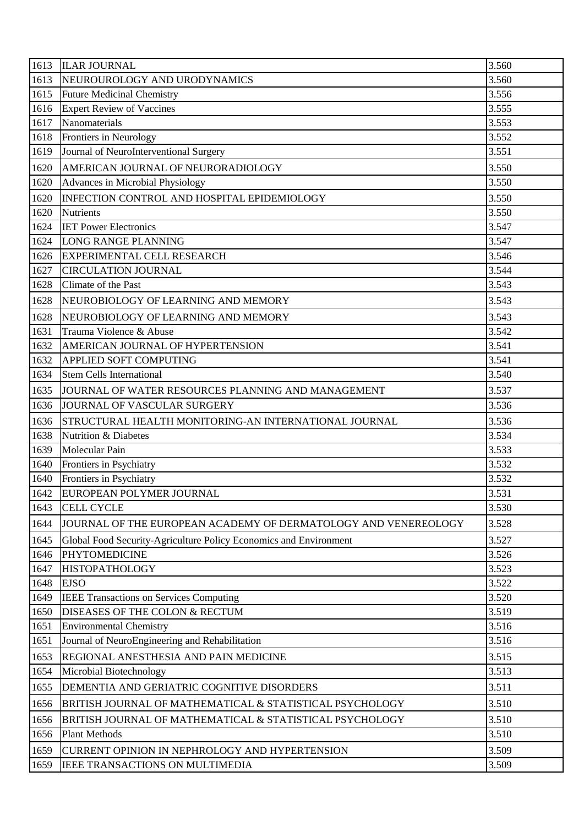| 3.560<br>1613<br>NEUROUROLOGY AND URODYNAMICS<br>3.556<br>1615<br><b>Future Medicinal Chemistry</b><br>3.555<br><b>Expert Review of Vaccines</b><br>1616<br>1617<br>Nanomaterials<br>3.553<br>3.552<br>Frontiers in Neurology<br>1618<br>Journal of NeuroInterventional Surgery<br>3.551<br>1619 |  |
|--------------------------------------------------------------------------------------------------------------------------------------------------------------------------------------------------------------------------------------------------------------------------------------------------|--|
|                                                                                                                                                                                                                                                                                                  |  |
|                                                                                                                                                                                                                                                                                                  |  |
|                                                                                                                                                                                                                                                                                                  |  |
|                                                                                                                                                                                                                                                                                                  |  |
|                                                                                                                                                                                                                                                                                                  |  |
|                                                                                                                                                                                                                                                                                                  |  |
| 1620<br>AMERICAN JOURNAL OF NEURORADIOLOGY<br>3.550                                                                                                                                                                                                                                              |  |
| 3.550<br>1620<br>Advances in Microbial Physiology                                                                                                                                                                                                                                                |  |
| 3.550<br>1620<br>INFECTION CONTROL AND HOSPITAL EPIDEMIOLOGY                                                                                                                                                                                                                                     |  |
| 3.550<br>1620<br><b>Nutrients</b>                                                                                                                                                                                                                                                                |  |
| 3.547<br>1624<br><b>IET Power Electronics</b>                                                                                                                                                                                                                                                    |  |
| 3.547<br>1624<br><b>LONG RANGE PLANNING</b>                                                                                                                                                                                                                                                      |  |
| 3.546<br>1626<br><b>EXPERIMENTAL CELL RESEARCH</b>                                                                                                                                                                                                                                               |  |
| 1627<br><b>CIRCULATION JOURNAL</b><br>3.544                                                                                                                                                                                                                                                      |  |
| 3.543<br>Climate of the Past<br>1628                                                                                                                                                                                                                                                             |  |
| 3.543<br>1628<br>NEUROBIOLOGY OF LEARNING AND MEMORY                                                                                                                                                                                                                                             |  |
| 3.543<br>1628<br>NEUROBIOLOGY OF LEARNING AND MEMORY                                                                                                                                                                                                                                             |  |
| 3.542<br>1631<br>Trauma Violence & Abuse                                                                                                                                                                                                                                                         |  |
| 3.541<br>1632<br>AMERICAN JOURNAL OF HYPERTENSION                                                                                                                                                                                                                                                |  |
| 1632<br>3.541<br>APPLIED SOFT COMPUTING                                                                                                                                                                                                                                                          |  |
| 3.540<br>1634<br><b>Stem Cells International</b>                                                                                                                                                                                                                                                 |  |
| 3.537<br>1635<br>JOURNAL OF WATER RESOURCES PLANNING AND MANAGEMENT                                                                                                                                                                                                                              |  |
| 1636<br>JOURNAL OF VASCULAR SURGERY<br>3.536                                                                                                                                                                                                                                                     |  |
| 3.536<br>1636<br>STRUCTURAL HEALTH MONITORING-AN INTERNATIONAL JOURNAL                                                                                                                                                                                                                           |  |
| 3.534<br>1638<br><b>Nutrition &amp; Diabetes</b>                                                                                                                                                                                                                                                 |  |
| 1639<br>Molecular Pain<br>3.533                                                                                                                                                                                                                                                                  |  |
| 3.532<br>1640<br>Frontiers in Psychiatry                                                                                                                                                                                                                                                         |  |
| 1640<br>3.532<br>Frontiers in Psychiatry                                                                                                                                                                                                                                                         |  |
| 3.531<br>1642<br>EUROPEAN POLYMER JOURNAL                                                                                                                                                                                                                                                        |  |
| 1643<br><b>CELL CYCLE</b><br>3.530                                                                                                                                                                                                                                                               |  |
| 1644<br>JOURNAL OF THE EUROPEAN ACADEMY OF DERMATOLOGY AND VENEREOLOGY<br>3.528                                                                                                                                                                                                                  |  |
| 3.527<br>1645<br>Global Food Security-Agriculture Policy Economics and Environment                                                                                                                                                                                                               |  |
| 3.526<br><b>PHYTOMEDICINE</b><br>1646                                                                                                                                                                                                                                                            |  |
| 1647<br><b>HISTOPATHOLOGY</b><br>3.523                                                                                                                                                                                                                                                           |  |
| 3.522<br>1648<br><b>EJSO</b>                                                                                                                                                                                                                                                                     |  |
| <b>IEEE Transactions on Services Computing</b><br>3.520<br>1649                                                                                                                                                                                                                                  |  |
| DISEASES OF THE COLON & RECTUM<br>3.519<br>1650                                                                                                                                                                                                                                                  |  |
| 1651<br><b>Environmental Chemistry</b><br>3.516                                                                                                                                                                                                                                                  |  |
| Journal of NeuroEngineering and Rehabilitation<br>3.516<br>1651                                                                                                                                                                                                                                  |  |
| 3.515<br>REGIONAL ANESTHESIA AND PAIN MEDICINE<br>1653                                                                                                                                                                                                                                           |  |
| 3.513<br>1654<br>Microbial Biotechnology                                                                                                                                                                                                                                                         |  |
| 1655<br>DEMENTIA AND GERIATRIC COGNITIVE DISORDERS<br>3.511                                                                                                                                                                                                                                      |  |
| BRITISH JOURNAL OF MATHEMATICAL & STATISTICAL PSYCHOLOGY<br>3.510<br>1656                                                                                                                                                                                                                        |  |
| 3.510<br>1656<br>BRITISH JOURNAL OF MATHEMATICAL & STATISTICAL PSYCHOLOGY                                                                                                                                                                                                                        |  |
| <b>Plant Methods</b><br>3.510<br>1656                                                                                                                                                                                                                                                            |  |
| 3.509<br>1659<br>CURRENT OPINION IN NEPHROLOGY AND HYPERTENSION                                                                                                                                                                                                                                  |  |
| 3.509<br>1659<br>IEEE TRANSACTIONS ON MULTIMEDIA                                                                                                                                                                                                                                                 |  |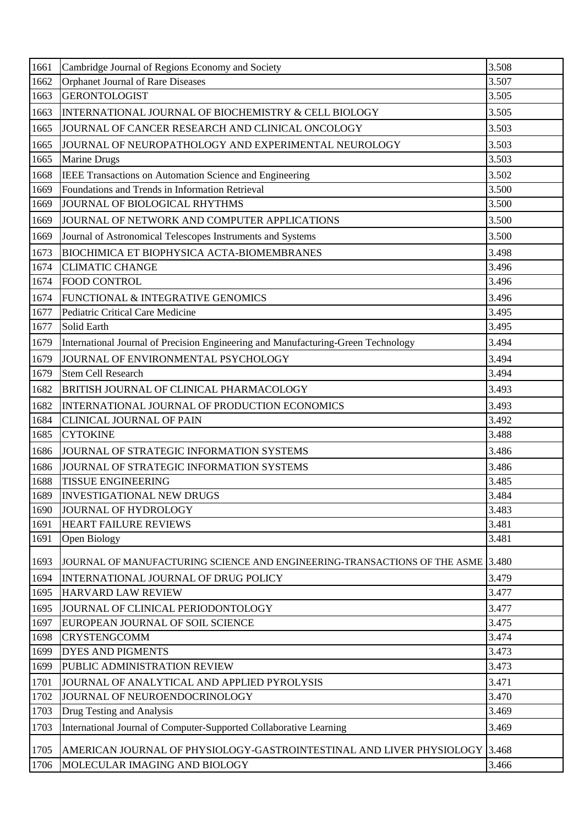| Orphanet Journal of Rare Diseases<br>3.507<br>1662<br><b>GERONTOLOGIST</b><br>3.505<br>1663<br>3.505<br>1663<br>INTERNATIONAL JOURNAL OF BIOCHEMISTRY & CELL BIOLOGY<br>3.503<br>JOURNAL OF CANCER RESEARCH AND CLINICAL ONCOLOGY<br>1665<br>3.503<br>1665<br>JOURNAL OF NEUROPATHOLOGY AND EXPERIMENTAL NEUROLOGY<br>3.503<br>Marine Drugs<br>1665<br>3.502<br>1668<br>IEEE Transactions on Automation Science and Engineering<br>Foundations and Trends in Information Retrieval<br>3.500<br>1669<br>3.500<br>JOURNAL OF BIOLOGICAL RHYTHMS<br>1669<br>3.500<br>JOURNAL OF NETWORK AND COMPUTER APPLICATIONS<br>1669<br>3.500<br>1669<br>Journal of Astronomical Telescopes Instruments and Systems<br>3.498<br>1673<br><b>BIOCHIMICA ET BIOPHYSICA ACTA-BIOMEMBRANES</b><br>3.496<br><b>CLIMATIC CHANGE</b><br>1674<br><b>FOOD CONTROL</b><br>3.496<br>1674<br>3.496<br>FUNCTIONAL & INTEGRATIVE GENOMICS<br>1674<br>3.495<br>Pediatric Critical Care Medicine<br>1677<br>3.495<br>1677<br>Solid Earth<br>International Journal of Precision Engineering and Manufacturing-Green Technology<br>3.494<br>1679<br>1679<br>JOURNAL OF ENVIRONMENTAL PSYCHOLOGY<br>3.494<br>3.494<br>1679<br><b>Stem Cell Research</b><br>3.493<br>1682<br>BRITISH JOURNAL OF CLINICAL PHARMACOLOGY<br>3.493<br>1682<br>INTERNATIONAL JOURNAL OF PRODUCTION ECONOMICS<br>3.492<br>1684<br><b>CLINICAL JOURNAL OF PAIN</b><br><b>CYTOKINE</b><br>3.488<br>1685<br>3.486<br>1686<br>JOURNAL OF STRATEGIC INFORMATION SYSTEMS<br>3.486<br>1686<br>JOURNAL OF STRATEGIC INFORMATION SYSTEMS<br>1688<br>3.485<br><b>TISSUE ENGINEERING</b><br><b>INVESTIGATIONAL NEW DRUGS</b><br>3.484<br>1689<br>3.483<br>1690<br>JOURNAL OF HYDROLOGY<br>3.481<br><b>HEART FAILURE REVIEWS</b><br>1691<br>3.481<br>1691<br>Open Biology<br>1693<br>JOURNAL OF MANUFACTURING SCIENCE AND ENGINEERING-TRANSACTIONS OF THE ASME 3.480<br>3.479<br>1694<br>INTERNATIONAL JOURNAL OF DRUG POLICY<br>3.477<br><b>HARVARD LAW REVIEW</b><br>1695<br>3.477<br>1695<br>JOURNAL OF CLINICAL PERIODONTOLOGY<br>3.475<br>EUROPEAN JOURNAL OF SOIL SCIENCE<br>1697<br>3.474<br><b>CRYSTENGCOMM</b><br>1698<br>3.473<br>1699<br><b>DYES AND PIGMENTS</b><br>3.473<br>PUBLIC ADMINISTRATION REVIEW<br>1699<br>JOURNAL OF ANALYTICAL AND APPLIED PYROLYSIS<br>3.471<br>1701<br>3.470<br>1702<br>JOURNAL OF NEUROENDOCRINOLOGY<br>3.469<br>1703<br>Drug Testing and Analysis<br>3.469<br>1703<br>International Journal of Computer-Supported Collaborative Learning<br>AMERICAN JOURNAL OF PHYSIOLOGY-GASTROINTESTINAL AND LIVER PHYSIOLOGY<br>3.468<br>1705 | 1661 | Cambridge Journal of Regions Economy and Society | 3.508 |
|----------------------------------------------------------------------------------------------------------------------------------------------------------------------------------------------------------------------------------------------------------------------------------------------------------------------------------------------------------------------------------------------------------------------------------------------------------------------------------------------------------------------------------------------------------------------------------------------------------------------------------------------------------------------------------------------------------------------------------------------------------------------------------------------------------------------------------------------------------------------------------------------------------------------------------------------------------------------------------------------------------------------------------------------------------------------------------------------------------------------------------------------------------------------------------------------------------------------------------------------------------------------------------------------------------------------------------------------------------------------------------------------------------------------------------------------------------------------------------------------------------------------------------------------------------------------------------------------------------------------------------------------------------------------------------------------------------------------------------------------------------------------------------------------------------------------------------------------------------------------------------------------------------------------------------------------------------------------------------------------------------------------------------------------------------------------------------------------------------------------------------------------------------------------------------------------------------------------------------------------------------------------------------------------------------------------------------------------------------------------------------------------------------------------------------------------------------------------------------------------------------------------------------------------------------------------------------------------------------|------|--------------------------------------------------|-------|
|                                                                                                                                                                                                                                                                                                                                                                                                                                                                                                                                                                                                                                                                                                                                                                                                                                                                                                                                                                                                                                                                                                                                                                                                                                                                                                                                                                                                                                                                                                                                                                                                                                                                                                                                                                                                                                                                                                                                                                                                                                                                                                                                                                                                                                                                                                                                                                                                                                                                                                                                                                                                          |      |                                                  |       |
|                                                                                                                                                                                                                                                                                                                                                                                                                                                                                                                                                                                                                                                                                                                                                                                                                                                                                                                                                                                                                                                                                                                                                                                                                                                                                                                                                                                                                                                                                                                                                                                                                                                                                                                                                                                                                                                                                                                                                                                                                                                                                                                                                                                                                                                                                                                                                                                                                                                                                                                                                                                                          |      |                                                  |       |
|                                                                                                                                                                                                                                                                                                                                                                                                                                                                                                                                                                                                                                                                                                                                                                                                                                                                                                                                                                                                                                                                                                                                                                                                                                                                                                                                                                                                                                                                                                                                                                                                                                                                                                                                                                                                                                                                                                                                                                                                                                                                                                                                                                                                                                                                                                                                                                                                                                                                                                                                                                                                          |      |                                                  |       |
|                                                                                                                                                                                                                                                                                                                                                                                                                                                                                                                                                                                                                                                                                                                                                                                                                                                                                                                                                                                                                                                                                                                                                                                                                                                                                                                                                                                                                                                                                                                                                                                                                                                                                                                                                                                                                                                                                                                                                                                                                                                                                                                                                                                                                                                                                                                                                                                                                                                                                                                                                                                                          |      |                                                  |       |
|                                                                                                                                                                                                                                                                                                                                                                                                                                                                                                                                                                                                                                                                                                                                                                                                                                                                                                                                                                                                                                                                                                                                                                                                                                                                                                                                                                                                                                                                                                                                                                                                                                                                                                                                                                                                                                                                                                                                                                                                                                                                                                                                                                                                                                                                                                                                                                                                                                                                                                                                                                                                          |      |                                                  |       |
|                                                                                                                                                                                                                                                                                                                                                                                                                                                                                                                                                                                                                                                                                                                                                                                                                                                                                                                                                                                                                                                                                                                                                                                                                                                                                                                                                                                                                                                                                                                                                                                                                                                                                                                                                                                                                                                                                                                                                                                                                                                                                                                                                                                                                                                                                                                                                                                                                                                                                                                                                                                                          |      |                                                  |       |
|                                                                                                                                                                                                                                                                                                                                                                                                                                                                                                                                                                                                                                                                                                                                                                                                                                                                                                                                                                                                                                                                                                                                                                                                                                                                                                                                                                                                                                                                                                                                                                                                                                                                                                                                                                                                                                                                                                                                                                                                                                                                                                                                                                                                                                                                                                                                                                                                                                                                                                                                                                                                          |      |                                                  |       |
|                                                                                                                                                                                                                                                                                                                                                                                                                                                                                                                                                                                                                                                                                                                                                                                                                                                                                                                                                                                                                                                                                                                                                                                                                                                                                                                                                                                                                                                                                                                                                                                                                                                                                                                                                                                                                                                                                                                                                                                                                                                                                                                                                                                                                                                                                                                                                                                                                                                                                                                                                                                                          |      |                                                  |       |
|                                                                                                                                                                                                                                                                                                                                                                                                                                                                                                                                                                                                                                                                                                                                                                                                                                                                                                                                                                                                                                                                                                                                                                                                                                                                                                                                                                                                                                                                                                                                                                                                                                                                                                                                                                                                                                                                                                                                                                                                                                                                                                                                                                                                                                                                                                                                                                                                                                                                                                                                                                                                          |      |                                                  |       |
|                                                                                                                                                                                                                                                                                                                                                                                                                                                                                                                                                                                                                                                                                                                                                                                                                                                                                                                                                                                                                                                                                                                                                                                                                                                                                                                                                                                                                                                                                                                                                                                                                                                                                                                                                                                                                                                                                                                                                                                                                                                                                                                                                                                                                                                                                                                                                                                                                                                                                                                                                                                                          |      |                                                  |       |
|                                                                                                                                                                                                                                                                                                                                                                                                                                                                                                                                                                                                                                                                                                                                                                                                                                                                                                                                                                                                                                                                                                                                                                                                                                                                                                                                                                                                                                                                                                                                                                                                                                                                                                                                                                                                                                                                                                                                                                                                                                                                                                                                                                                                                                                                                                                                                                                                                                                                                                                                                                                                          |      |                                                  |       |
|                                                                                                                                                                                                                                                                                                                                                                                                                                                                                                                                                                                                                                                                                                                                                                                                                                                                                                                                                                                                                                                                                                                                                                                                                                                                                                                                                                                                                                                                                                                                                                                                                                                                                                                                                                                                                                                                                                                                                                                                                                                                                                                                                                                                                                                                                                                                                                                                                                                                                                                                                                                                          |      |                                                  |       |
|                                                                                                                                                                                                                                                                                                                                                                                                                                                                                                                                                                                                                                                                                                                                                                                                                                                                                                                                                                                                                                                                                                                                                                                                                                                                                                                                                                                                                                                                                                                                                                                                                                                                                                                                                                                                                                                                                                                                                                                                                                                                                                                                                                                                                                                                                                                                                                                                                                                                                                                                                                                                          |      |                                                  |       |
|                                                                                                                                                                                                                                                                                                                                                                                                                                                                                                                                                                                                                                                                                                                                                                                                                                                                                                                                                                                                                                                                                                                                                                                                                                                                                                                                                                                                                                                                                                                                                                                                                                                                                                                                                                                                                                                                                                                                                                                                                                                                                                                                                                                                                                                                                                                                                                                                                                                                                                                                                                                                          |      |                                                  |       |
|                                                                                                                                                                                                                                                                                                                                                                                                                                                                                                                                                                                                                                                                                                                                                                                                                                                                                                                                                                                                                                                                                                                                                                                                                                                                                                                                                                                                                                                                                                                                                                                                                                                                                                                                                                                                                                                                                                                                                                                                                                                                                                                                                                                                                                                                                                                                                                                                                                                                                                                                                                                                          |      |                                                  |       |
|                                                                                                                                                                                                                                                                                                                                                                                                                                                                                                                                                                                                                                                                                                                                                                                                                                                                                                                                                                                                                                                                                                                                                                                                                                                                                                                                                                                                                                                                                                                                                                                                                                                                                                                                                                                                                                                                                                                                                                                                                                                                                                                                                                                                                                                                                                                                                                                                                                                                                                                                                                                                          |      |                                                  |       |
|                                                                                                                                                                                                                                                                                                                                                                                                                                                                                                                                                                                                                                                                                                                                                                                                                                                                                                                                                                                                                                                                                                                                                                                                                                                                                                                                                                                                                                                                                                                                                                                                                                                                                                                                                                                                                                                                                                                                                                                                                                                                                                                                                                                                                                                                                                                                                                                                                                                                                                                                                                                                          |      |                                                  |       |
|                                                                                                                                                                                                                                                                                                                                                                                                                                                                                                                                                                                                                                                                                                                                                                                                                                                                                                                                                                                                                                                                                                                                                                                                                                                                                                                                                                                                                                                                                                                                                                                                                                                                                                                                                                                                                                                                                                                                                                                                                                                                                                                                                                                                                                                                                                                                                                                                                                                                                                                                                                                                          |      |                                                  |       |
|                                                                                                                                                                                                                                                                                                                                                                                                                                                                                                                                                                                                                                                                                                                                                                                                                                                                                                                                                                                                                                                                                                                                                                                                                                                                                                                                                                                                                                                                                                                                                                                                                                                                                                                                                                                                                                                                                                                                                                                                                                                                                                                                                                                                                                                                                                                                                                                                                                                                                                                                                                                                          |      |                                                  |       |
|                                                                                                                                                                                                                                                                                                                                                                                                                                                                                                                                                                                                                                                                                                                                                                                                                                                                                                                                                                                                                                                                                                                                                                                                                                                                                                                                                                                                                                                                                                                                                                                                                                                                                                                                                                                                                                                                                                                                                                                                                                                                                                                                                                                                                                                                                                                                                                                                                                                                                                                                                                                                          |      |                                                  |       |
|                                                                                                                                                                                                                                                                                                                                                                                                                                                                                                                                                                                                                                                                                                                                                                                                                                                                                                                                                                                                                                                                                                                                                                                                                                                                                                                                                                                                                                                                                                                                                                                                                                                                                                                                                                                                                                                                                                                                                                                                                                                                                                                                                                                                                                                                                                                                                                                                                                                                                                                                                                                                          |      |                                                  |       |
|                                                                                                                                                                                                                                                                                                                                                                                                                                                                                                                                                                                                                                                                                                                                                                                                                                                                                                                                                                                                                                                                                                                                                                                                                                                                                                                                                                                                                                                                                                                                                                                                                                                                                                                                                                                                                                                                                                                                                                                                                                                                                                                                                                                                                                                                                                                                                                                                                                                                                                                                                                                                          |      |                                                  |       |
|                                                                                                                                                                                                                                                                                                                                                                                                                                                                                                                                                                                                                                                                                                                                                                                                                                                                                                                                                                                                                                                                                                                                                                                                                                                                                                                                                                                                                                                                                                                                                                                                                                                                                                                                                                                                                                                                                                                                                                                                                                                                                                                                                                                                                                                                                                                                                                                                                                                                                                                                                                                                          |      |                                                  |       |
|                                                                                                                                                                                                                                                                                                                                                                                                                                                                                                                                                                                                                                                                                                                                                                                                                                                                                                                                                                                                                                                                                                                                                                                                                                                                                                                                                                                                                                                                                                                                                                                                                                                                                                                                                                                                                                                                                                                                                                                                                                                                                                                                                                                                                                                                                                                                                                                                                                                                                                                                                                                                          |      |                                                  |       |
|                                                                                                                                                                                                                                                                                                                                                                                                                                                                                                                                                                                                                                                                                                                                                                                                                                                                                                                                                                                                                                                                                                                                                                                                                                                                                                                                                                                                                                                                                                                                                                                                                                                                                                                                                                                                                                                                                                                                                                                                                                                                                                                                                                                                                                                                                                                                                                                                                                                                                                                                                                                                          |      |                                                  |       |
|                                                                                                                                                                                                                                                                                                                                                                                                                                                                                                                                                                                                                                                                                                                                                                                                                                                                                                                                                                                                                                                                                                                                                                                                                                                                                                                                                                                                                                                                                                                                                                                                                                                                                                                                                                                                                                                                                                                                                                                                                                                                                                                                                                                                                                                                                                                                                                                                                                                                                                                                                                                                          |      |                                                  |       |
|                                                                                                                                                                                                                                                                                                                                                                                                                                                                                                                                                                                                                                                                                                                                                                                                                                                                                                                                                                                                                                                                                                                                                                                                                                                                                                                                                                                                                                                                                                                                                                                                                                                                                                                                                                                                                                                                                                                                                                                                                                                                                                                                                                                                                                                                                                                                                                                                                                                                                                                                                                                                          |      |                                                  |       |
|                                                                                                                                                                                                                                                                                                                                                                                                                                                                                                                                                                                                                                                                                                                                                                                                                                                                                                                                                                                                                                                                                                                                                                                                                                                                                                                                                                                                                                                                                                                                                                                                                                                                                                                                                                                                                                                                                                                                                                                                                                                                                                                                                                                                                                                                                                                                                                                                                                                                                                                                                                                                          |      |                                                  |       |
|                                                                                                                                                                                                                                                                                                                                                                                                                                                                                                                                                                                                                                                                                                                                                                                                                                                                                                                                                                                                                                                                                                                                                                                                                                                                                                                                                                                                                                                                                                                                                                                                                                                                                                                                                                                                                                                                                                                                                                                                                                                                                                                                                                                                                                                                                                                                                                                                                                                                                                                                                                                                          |      |                                                  |       |
|                                                                                                                                                                                                                                                                                                                                                                                                                                                                                                                                                                                                                                                                                                                                                                                                                                                                                                                                                                                                                                                                                                                                                                                                                                                                                                                                                                                                                                                                                                                                                                                                                                                                                                                                                                                                                                                                                                                                                                                                                                                                                                                                                                                                                                                                                                                                                                                                                                                                                                                                                                                                          |      |                                                  |       |
|                                                                                                                                                                                                                                                                                                                                                                                                                                                                                                                                                                                                                                                                                                                                                                                                                                                                                                                                                                                                                                                                                                                                                                                                                                                                                                                                                                                                                                                                                                                                                                                                                                                                                                                                                                                                                                                                                                                                                                                                                                                                                                                                                                                                                                                                                                                                                                                                                                                                                                                                                                                                          |      |                                                  |       |
|                                                                                                                                                                                                                                                                                                                                                                                                                                                                                                                                                                                                                                                                                                                                                                                                                                                                                                                                                                                                                                                                                                                                                                                                                                                                                                                                                                                                                                                                                                                                                                                                                                                                                                                                                                                                                                                                                                                                                                                                                                                                                                                                                                                                                                                                                                                                                                                                                                                                                                                                                                                                          |      |                                                  |       |
|                                                                                                                                                                                                                                                                                                                                                                                                                                                                                                                                                                                                                                                                                                                                                                                                                                                                                                                                                                                                                                                                                                                                                                                                                                                                                                                                                                                                                                                                                                                                                                                                                                                                                                                                                                                                                                                                                                                                                                                                                                                                                                                                                                                                                                                                                                                                                                                                                                                                                                                                                                                                          |      |                                                  |       |
|                                                                                                                                                                                                                                                                                                                                                                                                                                                                                                                                                                                                                                                                                                                                                                                                                                                                                                                                                                                                                                                                                                                                                                                                                                                                                                                                                                                                                                                                                                                                                                                                                                                                                                                                                                                                                                                                                                                                                                                                                                                                                                                                                                                                                                                                                                                                                                                                                                                                                                                                                                                                          |      |                                                  |       |
|                                                                                                                                                                                                                                                                                                                                                                                                                                                                                                                                                                                                                                                                                                                                                                                                                                                                                                                                                                                                                                                                                                                                                                                                                                                                                                                                                                                                                                                                                                                                                                                                                                                                                                                                                                                                                                                                                                                                                                                                                                                                                                                                                                                                                                                                                                                                                                                                                                                                                                                                                                                                          |      |                                                  |       |
|                                                                                                                                                                                                                                                                                                                                                                                                                                                                                                                                                                                                                                                                                                                                                                                                                                                                                                                                                                                                                                                                                                                                                                                                                                                                                                                                                                                                                                                                                                                                                                                                                                                                                                                                                                                                                                                                                                                                                                                                                                                                                                                                                                                                                                                                                                                                                                                                                                                                                                                                                                                                          |      |                                                  |       |
|                                                                                                                                                                                                                                                                                                                                                                                                                                                                                                                                                                                                                                                                                                                                                                                                                                                                                                                                                                                                                                                                                                                                                                                                                                                                                                                                                                                                                                                                                                                                                                                                                                                                                                                                                                                                                                                                                                                                                                                                                                                                                                                                                                                                                                                                                                                                                                                                                                                                                                                                                                                                          |      |                                                  |       |
|                                                                                                                                                                                                                                                                                                                                                                                                                                                                                                                                                                                                                                                                                                                                                                                                                                                                                                                                                                                                                                                                                                                                                                                                                                                                                                                                                                                                                                                                                                                                                                                                                                                                                                                                                                                                                                                                                                                                                                                                                                                                                                                                                                                                                                                                                                                                                                                                                                                                                                                                                                                                          |      |                                                  |       |
|                                                                                                                                                                                                                                                                                                                                                                                                                                                                                                                                                                                                                                                                                                                                                                                                                                                                                                                                                                                                                                                                                                                                                                                                                                                                                                                                                                                                                                                                                                                                                                                                                                                                                                                                                                                                                                                                                                                                                                                                                                                                                                                                                                                                                                                                                                                                                                                                                                                                                                                                                                                                          |      |                                                  |       |
|                                                                                                                                                                                                                                                                                                                                                                                                                                                                                                                                                                                                                                                                                                                                                                                                                                                                                                                                                                                                                                                                                                                                                                                                                                                                                                                                                                                                                                                                                                                                                                                                                                                                                                                                                                                                                                                                                                                                                                                                                                                                                                                                                                                                                                                                                                                                                                                                                                                                                                                                                                                                          |      |                                                  |       |
|                                                                                                                                                                                                                                                                                                                                                                                                                                                                                                                                                                                                                                                                                                                                                                                                                                                                                                                                                                                                                                                                                                                                                                                                                                                                                                                                                                                                                                                                                                                                                                                                                                                                                                                                                                                                                                                                                                                                                                                                                                                                                                                                                                                                                                                                                                                                                                                                                                                                                                                                                                                                          |      |                                                  |       |
|                                                                                                                                                                                                                                                                                                                                                                                                                                                                                                                                                                                                                                                                                                                                                                                                                                                                                                                                                                                                                                                                                                                                                                                                                                                                                                                                                                                                                                                                                                                                                                                                                                                                                                                                                                                                                                                                                                                                                                                                                                                                                                                                                                                                                                                                                                                                                                                                                                                                                                                                                                                                          |      |                                                  |       |
|                                                                                                                                                                                                                                                                                                                                                                                                                                                                                                                                                                                                                                                                                                                                                                                                                                                                                                                                                                                                                                                                                                                                                                                                                                                                                                                                                                                                                                                                                                                                                                                                                                                                                                                                                                                                                                                                                                                                                                                                                                                                                                                                                                                                                                                                                                                                                                                                                                                                                                                                                                                                          |      |                                                  |       |
|                                                                                                                                                                                                                                                                                                                                                                                                                                                                                                                                                                                                                                                                                                                                                                                                                                                                                                                                                                                                                                                                                                                                                                                                                                                                                                                                                                                                                                                                                                                                                                                                                                                                                                                                                                                                                                                                                                                                                                                                                                                                                                                                                                                                                                                                                                                                                                                                                                                                                                                                                                                                          |      |                                                  |       |
|                                                                                                                                                                                                                                                                                                                                                                                                                                                                                                                                                                                                                                                                                                                                                                                                                                                                                                                                                                                                                                                                                                                                                                                                                                                                                                                                                                                                                                                                                                                                                                                                                                                                                                                                                                                                                                                                                                                                                                                                                                                                                                                                                                                                                                                                                                                                                                                                                                                                                                                                                                                                          | 1706 | MOLECULAR IMAGING AND BIOLOGY                    | 3.466 |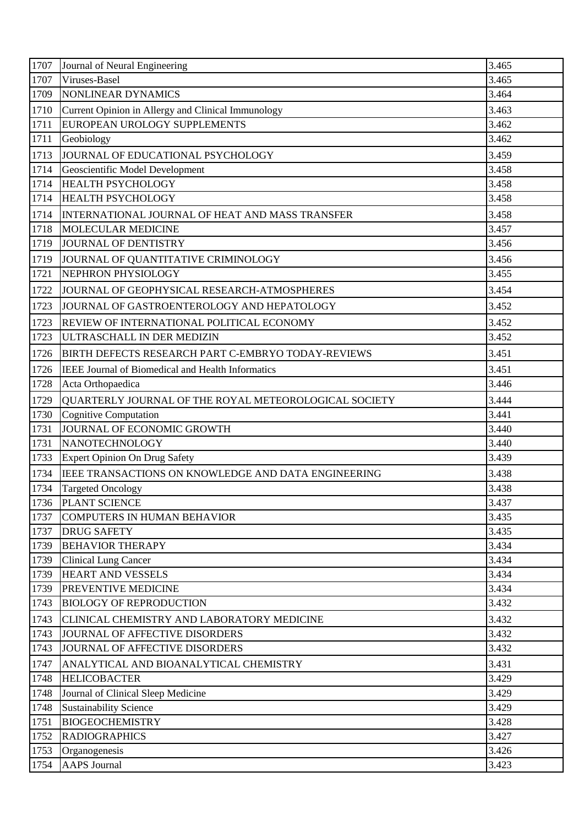| 1707         | Journal of Neural Engineering                          | 3.465          |
|--------------|--------------------------------------------------------|----------------|
| 1707         | Viruses-Basel                                          | 3.465          |
| 1709         | <b>NONLINEAR DYNAMICS</b>                              | 3.464          |
| 1710         | Current Opinion in Allergy and Clinical Immunology     | 3.463          |
| 1711         | EUROPEAN UROLOGY SUPPLEMENTS                           | 3.462          |
| 1711         | Geobiology                                             | 3.462          |
| 1713         | JOURNAL OF EDUCATIONAL PSYCHOLOGY                      | 3.459          |
| 1714         | Geoscientific Model Development                        | 3.458          |
| 1714         | <b>HEALTH PSYCHOLOGY</b>                               | 3.458          |
| 1714         | <b>HEALTH PSYCHOLOGY</b>                               | 3.458          |
| 1714         | <b>INTERNATIONAL JOURNAL OF HEAT AND MASS TRANSFER</b> | 3.458          |
| 1718         | <b>MOLECULAR MEDICINE</b>                              | 3.457          |
| 1719         | JOURNAL OF DENTISTRY                                   | 3.456          |
| 1719         | JOURNAL OF QUANTITATIVE CRIMINOLOGY                    | 3.456          |
| 1721         | NEPHRON PHYSIOLOGY                                     | 3.455          |
| 1722         | JOURNAL OF GEOPHYSICAL RESEARCH-ATMOSPHERES            | 3.454          |
| 1723         | JOURNAL OF GASTROENTEROLOGY AND HEPATOLOGY             | 3.452          |
| 1723         | REVIEW OF INTERNATIONAL POLITICAL ECONOMY              | 3.452          |
| 1723         | ULTRASCHALL IN DER MEDIZIN                             | 3.452          |
| 1726         | BIRTH DEFECTS RESEARCH PART C-EMBRYO TODAY-REVIEWS     | 3.451          |
| 1726         | IEEE Journal of Biomedical and Health Informatics      | 3.451          |
| 1728         | Acta Orthopaedica                                      | 3.446          |
| 1729         | QUARTERLY JOURNAL OF THE ROYAL METEOROLOGICAL SOCIETY  | 3.444          |
| 1730         | Cognitive Computation                                  | 3.441          |
| 1731         | JOURNAL OF ECONOMIC GROWTH                             | 3.440          |
| 1731         | NANOTECHNOLOGY                                         | 3.440          |
| 1733         | <b>Expert Opinion On Drug Safety</b>                   | 3.439          |
| 1734         | IEEE TRANSACTIONS ON KNOWLEDGE AND DATA ENGINEERING    | 3.438          |
| 1734         | <b>Targeted Oncology</b>                               | 3.438          |
| 1736         | PLANT SCIENCE                                          | 3.437          |
| 1737         | <b>COMPUTERS IN HUMAN BEHAVIOR</b>                     | 3.435          |
| 1737         | <b>DRUG SAFETY</b>                                     | 3.435          |
| 1739         | <b>BEHAVIOR THERAPY</b>                                | 3.434          |
| 1739         | <b>Clinical Lung Cancer</b>                            | 3.434          |
| 1739         | <b>HEART AND VESSELS</b>                               | 3.434          |
| 1739         | <b>PREVENTIVE MEDICINE</b>                             | 3.434          |
| 1743         | <b>BIOLOGY OF REPRODUCTION</b>                         | 3.432          |
| 1743         | CLINICAL CHEMISTRY AND LABORATORY MEDICINE             | 3.432          |
| 1743         | JOURNAL OF AFFECTIVE DISORDERS                         | 3.432          |
| 1743         | JOURNAL OF AFFECTIVE DISORDERS                         | 3.432          |
| 1747         | ANALYTICAL AND BIOANALYTICAL CHEMISTRY                 | 3.431          |
| 1748         | <b>HELICOBACTER</b>                                    | 3.429          |
| 1748         | Journal of Clinical Sleep Medicine                     | 3.429          |
| 1748         | <b>Sustainability Science</b>                          | 3.429          |
| 1751<br>1752 | <b>BIOGEOCHEMISTRY</b><br><b>RADIOGRAPHICS</b>         | 3.428<br>3.427 |
| 1753         | Organogenesis                                          | 3.426          |
| 1754         | <b>AAPS</b> Journal                                    | 3.423          |
|              |                                                        |                |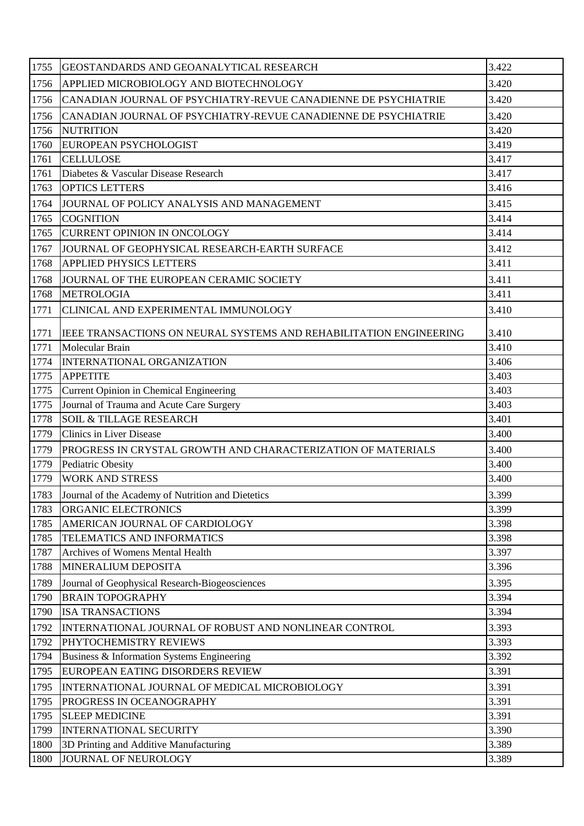| 1755 | GEOSTANDARDS AND GEOANALYTICAL RESEARCH                            | 3.422 |
|------|--------------------------------------------------------------------|-------|
| 1756 | APPLIED MICROBIOLOGY AND BIOTECHNOLOGY                             | 3.420 |
| 1756 | CANADIAN JOURNAL OF PSYCHIATRY-REVUE CANADIENNE DE PSYCHIATRIE     | 3.420 |
| 1756 | CANADIAN JOURNAL OF PSYCHIATRY-REVUE CANADIENNE DE PSYCHIATRIE     | 3.420 |
| 1756 | <b>NUTRITION</b>                                                   | 3.420 |
| 1760 | EUROPEAN PSYCHOLOGIST                                              | 3.419 |
| 1761 | <b>CELLULOSE</b>                                                   | 3.417 |
| 1761 | Diabetes & Vascular Disease Research                               | 3.417 |
| 1763 | <b>OPTICS LETTERS</b>                                              | 3.416 |
| 1764 | JOURNAL OF POLICY ANALYSIS AND MANAGEMENT                          | 3.415 |
| 1765 | <b>COGNITION</b>                                                   | 3.414 |
| 1765 | <b>CURRENT OPINION IN ONCOLOGY</b>                                 | 3.414 |
| 1767 | JOURNAL OF GEOPHYSICAL RESEARCH-EARTH SURFACE                      | 3.412 |
| 1768 | <b>APPLIED PHYSICS LETTERS</b>                                     | 3.411 |
| 1768 | JOURNAL OF THE EUROPEAN CERAMIC SOCIETY                            | 3.411 |
| 1768 | <b>METROLOGIA</b>                                                  | 3.411 |
| 1771 | CLINICAL AND EXPERIMENTAL IMMUNOLOGY                               | 3.410 |
|      |                                                                    |       |
| 1771 | IEEE TRANSACTIONS ON NEURAL SYSTEMS AND REHABILITATION ENGINEERING | 3.410 |
| 1771 | Molecular Brain                                                    | 3.410 |
| 1774 | INTERNATIONAL ORGANIZATION                                         | 3.406 |
| 1775 | <b>APPETITE</b>                                                    | 3.403 |
| 1775 | Current Opinion in Chemical Engineering                            | 3.403 |
| 1775 | Journal of Trauma and Acute Care Surgery                           | 3.403 |
| 1778 | <b>SOIL &amp; TILLAGE RESEARCH</b>                                 | 3.401 |
| 1779 | <b>Clinics in Liver Disease</b>                                    | 3.400 |
| 1779 | PROGRESS IN CRYSTAL GROWTH AND CHARACTERIZATION OF MATERIALS       | 3.400 |
| 1779 | Pediatric Obesity                                                  | 3.400 |
| 1779 | <b>WORK AND STRESS</b>                                             | 3.400 |
| 1783 | Journal of the Academy of Nutrition and Dietetics                  | 3.399 |
| 1783 | ORGANIC ELECTRONICS                                                | 3.399 |
| 1785 | AMERICAN JOURNAL OF CARDIOLOGY                                     | 3.398 |
| 1785 | TELEMATICS AND INFORMATICS                                         | 3.398 |
| 1787 | Archives of Womens Mental Health                                   | 3.397 |
| 1788 | MINERALIUM DEPOSITA                                                | 3.396 |
| 1789 | Journal of Geophysical Research-Biogeosciences                     | 3.395 |
| 1790 | <b>BRAIN TOPOGRAPHY</b>                                            | 3.394 |
| 1790 | <b>ISA TRANSACTIONS</b>                                            | 3.394 |
| 1792 | INTERNATIONAL JOURNAL OF ROBUST AND NONLINEAR CONTROL              | 3.393 |
| 1792 | PHYTOCHEMISTRY REVIEWS                                             | 3.393 |
| 1794 | Business & Information Systems Engineering                         | 3.392 |
| 1795 | EUROPEAN EATING DISORDERS REVIEW                                   | 3.391 |
| 1795 | INTERNATIONAL JOURNAL OF MEDICAL MICROBIOLOGY                      | 3.391 |
| 1795 | PROGRESS IN OCEANOGRAPHY                                           | 3.391 |
| 1795 | <b>SLEEP MEDICINE</b>                                              | 3.391 |
| 1799 | <b>INTERNATIONAL SECURITY</b>                                      | 3.390 |
| 1800 | 3D Printing and Additive Manufacturing                             | 3.389 |
| 1800 | JOURNAL OF NEUROLOGY                                               | 3.389 |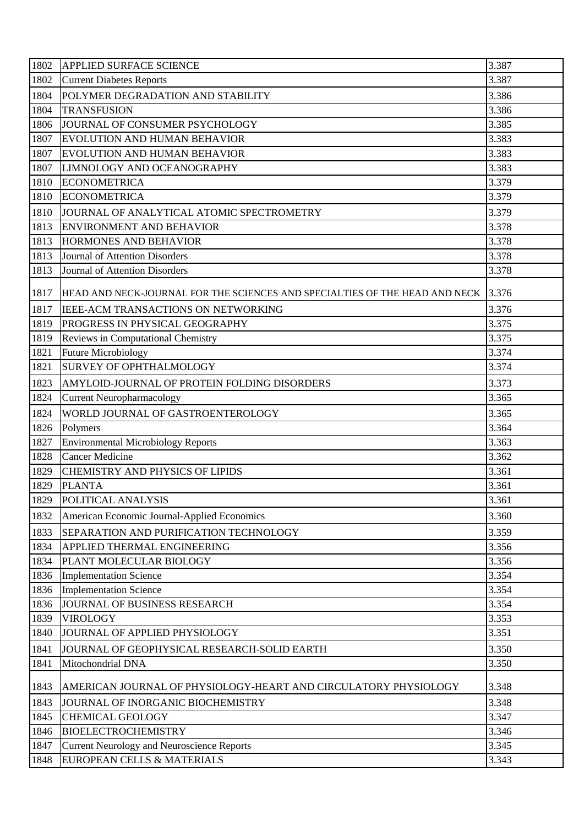| 1802 | <b>APPLIED SURFACE SCIENCE</b>                                              | 3.387 |
|------|-----------------------------------------------------------------------------|-------|
| 1802 | <b>Current Diabetes Reports</b>                                             | 3.387 |
| 1804 | POLYMER DEGRADATION AND STABILITY                                           | 3.386 |
| 1804 | <b>TRANSFUSION</b>                                                          | 3.386 |
| 1806 | JOURNAL OF CONSUMER PSYCHOLOGY                                              | 3.385 |
| 1807 | EVOLUTION AND HUMAN BEHAVIOR                                                | 3.383 |
| 1807 | EVOLUTION AND HUMAN BEHAVIOR                                                | 3.383 |
| 1807 | LIMNOLOGY AND OCEANOGRAPHY                                                  | 3.383 |
| 1810 | <b>ECONOMETRICA</b>                                                         | 3.379 |
| 1810 | <b>ECONOMETRICA</b>                                                         | 3.379 |
| 1810 | JOURNAL OF ANALYTICAL ATOMIC SPECTROMETRY                                   | 3.379 |
| 1813 | <b>ENVIRONMENT AND BEHAVIOR</b>                                             | 3.378 |
| 1813 | HORMONES AND BEHAVIOR                                                       | 3.378 |
| 1813 | Journal of Attention Disorders                                              | 3.378 |
| 1813 | <b>Journal of Attention Disorders</b>                                       | 3.378 |
| 1817 | HEAD AND NECK-JOURNAL FOR THE SCIENCES AND SPECIALTIES OF THE HEAD AND NECK | 3.376 |
| 1817 | IEEE-ACM TRANSACTIONS ON NETWORKING                                         | 3.376 |
| 1819 | PROGRESS IN PHYSICAL GEOGRAPHY                                              | 3.375 |
| 1819 | Reviews in Computational Chemistry                                          | 3.375 |
| 1821 | <b>Future Microbiology</b>                                                  | 3.374 |
| 1821 | <b>SURVEY OF OPHTHALMOLOGY</b>                                              | 3.374 |
| 1823 | AMYLOID-JOURNAL OF PROTEIN FOLDING DISORDERS                                | 3.373 |
| 1824 | <b>Current Neuropharmacology</b>                                            | 3.365 |
| 1824 | WORLD JOURNAL OF GASTROENTEROLOGY                                           | 3.365 |
| 1826 | Polymers                                                                    | 3.364 |
| 1827 | <b>Environmental Microbiology Reports</b>                                   | 3.363 |
| 1828 | <b>Cancer Medicine</b>                                                      | 3.362 |
| 1829 | <b>CHEMISTRY AND PHYSICS OF LIPIDS</b>                                      | 3.361 |
| 1829 | <b>PLANTA</b>                                                               | 3.361 |
| 1829 | POLITICAL ANALYSIS                                                          | 3.361 |
| 1832 | American Economic Journal-Applied Economics                                 | 3.360 |
| 1833 | SEPARATION AND PURIFICATION TECHNOLOGY                                      | 3.359 |
| 1834 | APPLIED THERMAL ENGINEERING                                                 | 3.356 |
| 1834 | PLANT MOLECULAR BIOLOGY                                                     | 3.356 |
| 1836 | <b>Implementation Science</b>                                               | 3.354 |
| 1836 | <b>Implementation Science</b>                                               | 3.354 |
| 1836 | JOURNAL OF BUSINESS RESEARCH                                                | 3.354 |
| 1839 | <b>VIROLOGY</b>                                                             | 3.353 |
| 1840 | JOURNAL OF APPLIED PHYSIOLOGY                                               | 3.351 |
| 1841 | JOURNAL OF GEOPHYSICAL RESEARCH-SOLID EARTH                                 | 3.350 |
| 1841 | Mitochondrial DNA                                                           | 3.350 |
| 1843 | AMERICAN JOURNAL OF PHYSIOLOGY-HEART AND CIRCULATORY PHYSIOLOGY             | 3.348 |
| 1843 | JOURNAL OF INORGANIC BIOCHEMISTRY                                           | 3.348 |
| 1845 | <b>CHEMICAL GEOLOGY</b>                                                     | 3.347 |
| 1846 | <b>BIOELECTROCHEMISTRY</b>                                                  | 3.346 |
| 1847 | <b>Current Neurology and Neuroscience Reports</b>                           | 3.345 |
| 1848 | EUROPEAN CELLS & MATERIALS                                                  | 3.343 |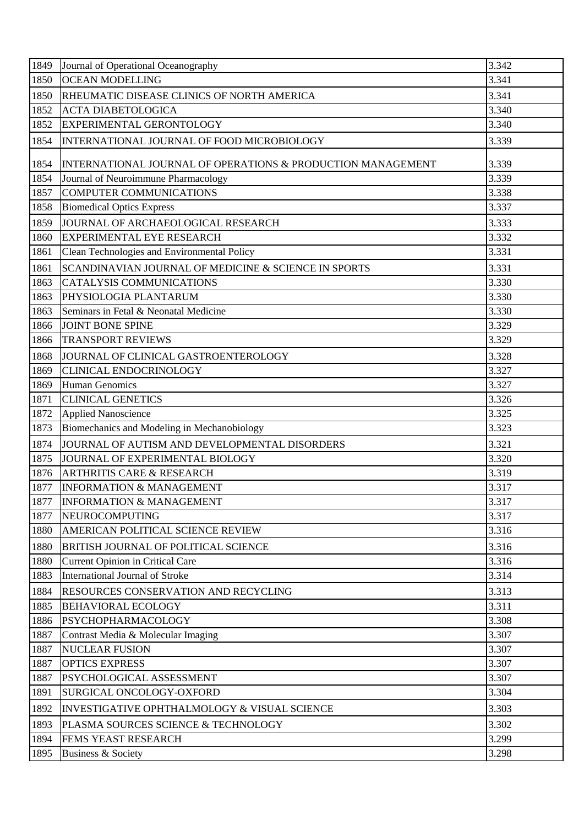| 1849 | Journal of Operational Oceanography                         | 3.342 |
|------|-------------------------------------------------------------|-------|
| 1850 | <b>OCEAN MODELLING</b>                                      | 3.341 |
| 1850 | RHEUMATIC DISEASE CLINICS OF NORTH AMERICA                  | 3.341 |
| 1852 | <b>ACTA DIABETOLOGICA</b>                                   | 3.340 |
| 1852 | EXPERIMENTAL GERONTOLOGY                                    | 3.340 |
| 1854 | INTERNATIONAL JOURNAL OF FOOD MICROBIOLOGY                  | 3.339 |
| 1854 | INTERNATIONAL JOURNAL OF OPERATIONS & PRODUCTION MANAGEMENT | 3.339 |
| 1854 | Journal of Neuroimmune Pharmacology                         | 3.339 |
| 1857 | <b>COMPUTER COMMUNICATIONS</b>                              | 3.338 |
| 1858 | <b>Biomedical Optics Express</b>                            | 3.337 |
| 1859 | JOURNAL OF ARCHAEOLOGICAL RESEARCH                          | 3.333 |
| 1860 | <b>EXPERIMENTAL EYE RESEARCH</b>                            | 3.332 |
| 1861 | Clean Technologies and Environmental Policy                 | 3.331 |
| 1861 | SCANDINAVIAN JOURNAL OF MEDICINE & SCIENCE IN SPORTS        | 3.331 |
| 1863 | <b>CATALYSIS COMMUNICATIONS</b>                             | 3.330 |
| 1863 | PHYSIOLOGIA PLANTARUM                                       | 3.330 |
| 1863 | Seminars in Fetal & Neonatal Medicine                       | 3.330 |
| 1866 | <b>JOINT BONE SPINE</b>                                     | 3.329 |
| 1866 | <b>TRANSPORT REVIEWS</b>                                    | 3.329 |
| 1868 | JOURNAL OF CLINICAL GASTROENTEROLOGY                        | 3.328 |
| 1869 | <b>CLINICAL ENDOCRINOLOGY</b>                               | 3.327 |
| 1869 | <b>Human Genomics</b>                                       | 3.327 |
| 1871 | <b>CLINICAL GENETICS</b>                                    | 3.326 |
| 1872 | <b>Applied Nanoscience</b>                                  | 3.325 |
| 1873 | Biomechanics and Modeling in Mechanobiology                 | 3.323 |
| 1874 | JOURNAL OF AUTISM AND DEVELOPMENTAL DISORDERS               | 3.321 |
| 1875 | JOURNAL OF EXPERIMENTAL BIOLOGY                             | 3.320 |
| 1876 | <b>ARTHRITIS CARE &amp; RESEARCH</b>                        | 3.319 |
| 1877 | <b>INFORMATION &amp; MANAGEMENT</b>                         | 3.317 |
| 1877 | <b>INFORMATION &amp; MANAGEMENT</b>                         | 3.317 |
| 1877 | <b>NEUROCOMPUTING</b>                                       | 3.317 |
| 1880 | AMERICAN POLITICAL SCIENCE REVIEW                           | 3.316 |
| 1880 | <b>BRITISH JOURNAL OF POLITICAL SCIENCE</b>                 | 3.316 |
| 1880 | <b>Current Opinion in Critical Care</b>                     | 3.316 |
| 1883 | <b>International Journal of Stroke</b>                      | 3.314 |
| 1884 | <b>RESOURCES CONSERVATION AND RECYCLING</b>                 | 3.313 |
| 1885 | <b>BEHAVIORAL ECOLOGY</b>                                   | 3.311 |
| 1886 | <b>PSYCHOPHARMACOLOGY</b>                                   | 3.308 |
| 1887 | Contrast Media & Molecular Imaging                          | 3.307 |
| 1887 | <b>NUCLEAR FUSION</b>                                       | 3.307 |
| 1887 | <b>OPTICS EXPRESS</b>                                       | 3.307 |
| 1887 | PSYCHOLOGICAL ASSESSMENT                                    | 3.307 |
| 1891 | SURGICAL ONCOLOGY-OXFORD                                    | 3.304 |
| 1892 | INVESTIGATIVE OPHTHALMOLOGY & VISUAL SCIENCE                | 3.303 |
| 1893 | PLASMA SOURCES SCIENCE & TECHNOLOGY                         | 3.302 |
| 1894 | FEMS YEAST RESEARCH                                         | 3.299 |
| 1895 | <b>Business &amp; Society</b>                               | 3.298 |
|      |                                                             |       |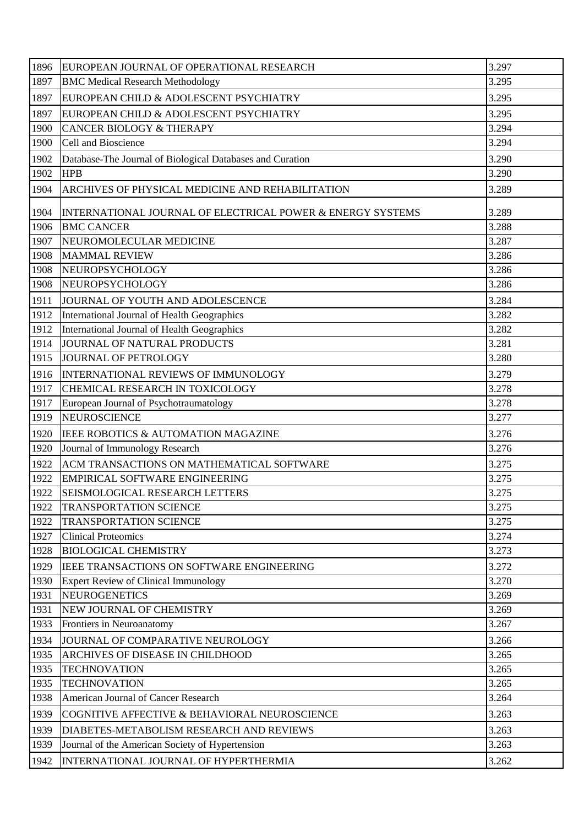| 1896 | EUROPEAN JOURNAL OF OPERATIONAL RESEARCH                   | 3.297 |
|------|------------------------------------------------------------|-------|
| 1897 | <b>BMC Medical Research Methodology</b>                    | 3.295 |
| 1897 | EUROPEAN CHILD & ADOLESCENT PSYCHIATRY                     | 3.295 |
| 1897 | EUROPEAN CHILD & ADOLESCENT PSYCHIATRY                     | 3.295 |
| 1900 | <b>CANCER BIOLOGY &amp; THERAPY</b>                        | 3.294 |
| 1900 | Cell and Bioscience                                        | 3.294 |
| 1902 | Database-The Journal of Biological Databases and Curation  | 3.290 |
| 1902 | <b>HPB</b>                                                 | 3.290 |
| 1904 | ARCHIVES OF PHYSICAL MEDICINE AND REHABILITATION           | 3.289 |
| 1904 | INTERNATIONAL JOURNAL OF ELECTRICAL POWER & ENERGY SYSTEMS | 3.289 |
| 1906 | <b>BMC CANCER</b>                                          | 3.288 |
| 1907 | NEUROMOLECULAR MEDICINE                                    | 3.287 |
| 1908 | <b>MAMMAL REVIEW</b>                                       | 3.286 |
| 1908 | NEUROPSYCHOLOGY                                            | 3.286 |
| 1908 | NEUROPSYCHOLOGY                                            | 3.286 |
| 1911 | JOURNAL OF YOUTH AND ADOLESCENCE                           | 3.284 |
| 1912 | International Journal of Health Geographics                | 3.282 |
| 1912 | International Journal of Health Geographics                | 3.282 |
| 1914 | JOURNAL OF NATURAL PRODUCTS                                | 3.281 |
| 1915 | JOURNAL OF PETROLOGY                                       | 3.280 |
| 1916 | <b>INTERNATIONAL REVIEWS OF IMMUNOLOGY</b>                 | 3.279 |
| 1917 | CHEMICAL RESEARCH IN TOXICOLOGY                            | 3.278 |
| 1917 | European Journal of Psychotraumatology                     | 3.278 |
| 1919 | <b>NEUROSCIENCE</b>                                        | 3.277 |
| 1920 | IEEE ROBOTICS & AUTOMATION MAGAZINE                        | 3.276 |
| 1920 | Journal of Immunology Research                             | 3.276 |
| 1922 | ACM TRANSACTIONS ON MATHEMATICAL SOFTWARE                  | 3.275 |
| 1922 | <b>EMPIRICAL SOFTWARE ENGINEERING</b>                      | 3.275 |
| 1922 | <b>SEISMOLOGICAL RESEARCH LETTERS</b>                      | 3.275 |
| 1922 | <b>TRANSPORTATION SCIENCE</b>                              | 3.275 |
| 1922 | <b>TRANSPORTATION SCIENCE</b>                              | 3.275 |
| 1927 | <b>Clinical Proteomics</b>                                 | 3.274 |
| 1928 | <b>BIOLOGICAL CHEMISTRY</b>                                | 3.273 |
| 1929 | IEEE TRANSACTIONS ON SOFTWARE ENGINEERING                  | 3.272 |
| 1930 | <b>Expert Review of Clinical Immunology</b>                | 3.270 |
| 1931 | <b>NEUROGENETICS</b>                                       | 3.269 |
| 1931 | NEW JOURNAL OF CHEMISTRY                                   | 3.269 |
| 1933 | Frontiers in Neuroanatomy                                  | 3.267 |
| 1934 | JOURNAL OF COMPARATIVE NEUROLOGY                           | 3.266 |
| 1935 | ARCHIVES OF DISEASE IN CHILDHOOD                           | 3.265 |
| 1935 | <b>TECHNOVATION</b>                                        | 3.265 |
| 1935 | <b>TECHNOVATION</b>                                        | 3.265 |
| 1938 | American Journal of Cancer Research                        | 3.264 |
| 1939 | COGNITIVE AFFECTIVE & BEHAVIORAL NEUROSCIENCE              | 3.263 |
| 1939 | DIABETES-METABOLISM RESEARCH AND REVIEWS                   | 3.263 |
| 1939 | Journal of the American Society of Hypertension            | 3.263 |
| 1942 | INTERNATIONAL JOURNAL OF HYPERTHERMIA                      | 3.262 |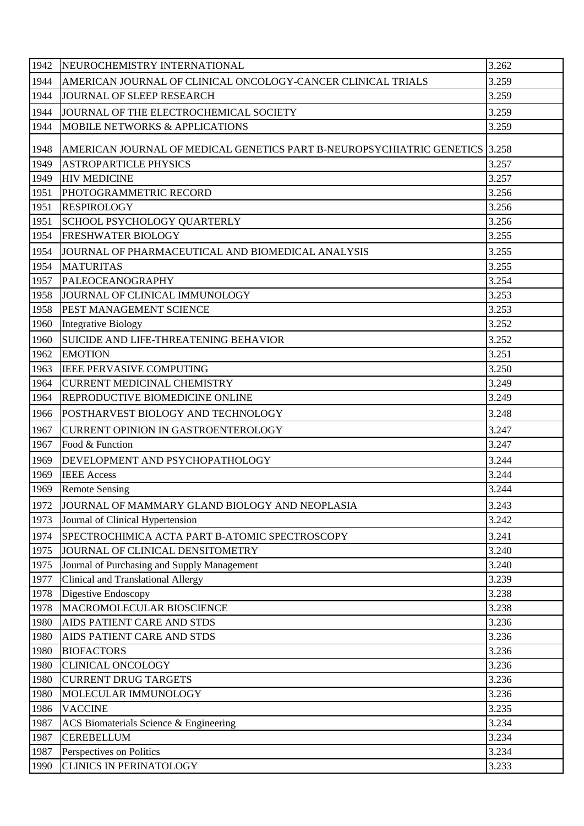| 1942 | NEUROCHEMISTRY INTERNATIONAL                                                | 3.262 |
|------|-----------------------------------------------------------------------------|-------|
| 1944 | AMERICAN JOURNAL OF CLINICAL ONCOLOGY-CANCER CLINICAL TRIALS                | 3.259 |
| 1944 | JOURNAL OF SLEEP RESEARCH                                                   | 3.259 |
| 1944 | JOURNAL OF THE ELECTROCHEMICAL SOCIETY                                      | 3.259 |
| 1944 | <b>MOBILE NETWORKS &amp; APPLICATIONS</b>                                   | 3.259 |
| 1948 | AMERICAN JOURNAL OF MEDICAL GENETICS PART B-NEUROPSYCHIATRIC GENETICS 3.258 |       |
| 1949 | <b>ASTROPARTICLE PHYSICS</b>                                                | 3.257 |
| 1949 | <b>HIV MEDICINE</b>                                                         | 3.257 |
| 1951 | PHOTOGRAMMETRIC RECORD                                                      | 3.256 |
| 1951 | <b>RESPIROLOGY</b>                                                          | 3.256 |
| 1951 | <b>SCHOOL PSYCHOLOGY QUARTERLY</b>                                          | 3.256 |
| 1954 | <b>FRESHWATER BIOLOGY</b>                                                   | 3.255 |
| 1954 | JOURNAL OF PHARMACEUTICAL AND BIOMEDICAL ANALYSIS                           | 3.255 |
| 1954 | <b>MATURITAS</b>                                                            | 3.255 |
| 1957 | <b>PALEOCEANOGRAPHY</b>                                                     | 3.254 |
| 1958 | JOURNAL OF CLINICAL IMMUNOLOGY                                              | 3.253 |
| 1958 | PEST MANAGEMENT SCIENCE                                                     | 3.253 |
| 1960 | Integrative Biology                                                         | 3.252 |
| 1960 | SUICIDE AND LIFE-THREATENING BEHAVIOR                                       | 3.252 |
| 1962 | <b>EMOTION</b>                                                              | 3.251 |
| 1963 | <b>IEEE PERVASIVE COMPUTING</b>                                             | 3.250 |
| 1964 | <b>CURRENT MEDICINAL CHEMISTRY</b>                                          | 3.249 |
| 1964 | <b>REPRODUCTIVE BIOMEDICINE ONLINE</b>                                      | 3.249 |
| 1966 | POSTHARVEST BIOLOGY AND TECHNOLOGY                                          | 3.248 |
| 1967 | <b>CURRENT OPINION IN GASTROENTEROLOGY</b>                                  | 3.247 |
| 1967 | Food & Function                                                             | 3.247 |
| 1969 | DEVELOPMENT AND PSYCHOPATHOLOGY                                             | 3.244 |
| 1969 | <b>IEEE</b> Access                                                          | 3.244 |
| 1969 | <b>Remote Sensing</b>                                                       | 3.244 |
| 1972 | JOURNAL OF MAMMARY GLAND BIOLOGY AND NEOPLASIA                              | 3.243 |
| 1973 | Journal of Clinical Hypertension                                            | 3.242 |
| 1974 | SPECTROCHIMICA ACTA PART B-ATOMIC SPECTROSCOPY                              | 3.241 |
| 1975 | JOURNAL OF CLINICAL DENSITOMETRY                                            | 3.240 |
| 1975 | Journal of Purchasing and Supply Management                                 | 3.240 |
| 1977 | Clinical and Translational Allergy                                          | 3.239 |
| 1978 | Digestive Endoscopy                                                         | 3.238 |
| 1978 | MACROMOLECULAR BIOSCIENCE                                                   | 3.238 |
| 1980 | AIDS PATIENT CARE AND STDS                                                  | 3.236 |
| 1980 | <b>AIDS PATIENT CARE AND STDS</b>                                           | 3.236 |
| 1980 | <b>BIOFACTORS</b>                                                           | 3.236 |
| 1980 | <b>CLINICAL ONCOLOGY</b>                                                    | 3.236 |
| 1980 | <b>CURRENT DRUG TARGETS</b>                                                 | 3.236 |
| 1980 | MOLECULAR IMMUNOLOGY                                                        | 3.236 |
| 1986 | <b>VACCINE</b>                                                              | 3.235 |
| 1987 | ACS Biomaterials Science & Engineering                                      | 3.234 |
| 1987 | <b>CEREBELLUM</b>                                                           | 3.234 |
| 1987 | Perspectives on Politics                                                    | 3.234 |
| 1990 | <b>CLINICS IN PERINATOLOGY</b>                                              | 3.233 |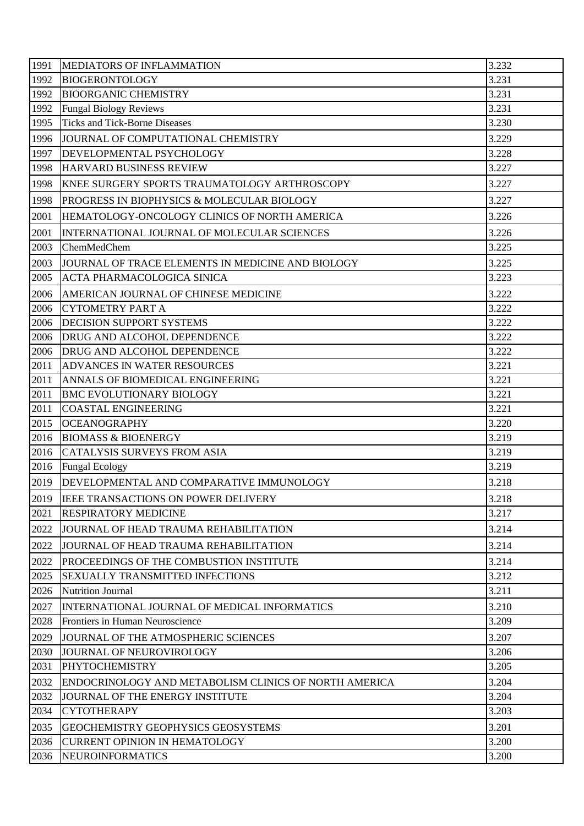| 3.231<br>1992<br><b>BIOGERONTOLOGY</b><br>3.231<br>1992<br><b>BIOORGANIC CHEMISTRY</b><br>3.231<br>1992<br><b>Fungal Biology Reviews</b><br><b>Ticks and Tick-Borne Diseases</b><br>3.230<br>1995<br>3.229<br>1996<br>JOURNAL OF COMPUTATIONAL CHEMISTRY<br>3.228<br>DEVELOPMENTAL PSYCHOLOGY<br>1997<br>HARVARD BUSINESS REVIEW<br>3.227<br>1998<br>1998<br>3.227<br>KNEE SURGERY SPORTS TRAUMATOLOGY ARTHROSCOPY<br>3.227<br>1998<br>PROGRESS IN BIOPHYSICS & MOLECULAR BIOLOGY<br>3.226<br>2001<br>HEMATOLOGY-ONCOLOGY CLINICS OF NORTH AMERICA<br>3.226<br>2001<br>INTERNATIONAL JOURNAL OF MOLECULAR SCIENCES<br>2003<br>3.225<br>ChemMedChem<br>3.225<br>2003<br>JOURNAL OF TRACE ELEMENTS IN MEDICINE AND BIOLOGY<br>3.223<br>2005<br><b>ACTA PHARMACOLOGICA SINICA</b><br>3.222<br>2006<br>AMERICAN JOURNAL OF CHINESE MEDICINE<br>2006<br>3.222<br><b>CYTOMETRY PART A</b><br>3.222<br>DECISION SUPPORT SYSTEMS<br>2006<br>2006<br>3.222<br>DRUG AND ALCOHOL DEPENDENCE<br>3.222<br>2006<br>DRUG AND ALCOHOL DEPENDENCE<br>3.221<br>2011<br>ADVANCES IN WATER RESOURCES<br>3.221<br>2011<br>ANNALS OF BIOMEDICAL ENGINEERING<br>2011<br><b>BMC EVOLUTIONARY BIOLOGY</b><br>3.221<br>3.221<br>2011<br><b>COASTAL ENGINEERING</b><br><b>OCEANOGRAPHY</b><br>3.220<br>2015<br>3.219<br>2016<br><b>BIOMASS &amp; BIOENERGY</b><br>3.219<br>2016<br><b>CATALYSIS SURVEYS FROM ASIA</b><br>3.219<br>2016<br><b>Fungal Ecology</b><br>2019 DEVELOPMENTAL AND COMPARATIVE IMMUNOLOGY<br>3.218<br>3.218<br>2019<br><b>IEEE TRANSACTIONS ON POWER DELIVERY</b><br>2021<br>3.217<br><b>RESPIRATORY MEDICINE</b><br>3.214<br>2022<br>JOURNAL OF HEAD TRAUMA REHABILITATION<br>3.214<br>2022<br>JOURNAL OF HEAD TRAUMA REHABILITATION<br>3.214<br>2022<br>PROCEEDINGS OF THE COMBUSTION INSTITUTE<br>3.212<br>2025<br>SEXUALLY TRANSMITTED INFECTIONS<br>3.211<br>2026<br><b>Nutrition Journal</b><br>3.210<br>2027<br>INTERNATIONAL JOURNAL OF MEDICAL INFORMATICS<br>3.209<br>2028<br>Frontiers in Human Neuroscience<br>3.207<br>2029<br>JOURNAL OF THE ATMOSPHERIC SCIENCES<br>3.206<br>2030<br>JOURNAL OF NEUROVIROLOGY<br>3.205<br>2031<br><b>PHYTOCHEMISTRY</b><br>3.204<br>2032<br>ENDOCRINOLOGY AND METABOLISM CLINICS OF NORTH AMERICA<br>3.204<br>2032<br>JOURNAL OF THE ENERGY INSTITUTE<br><b>CYTOTHERAPY</b><br>3.203<br>2034<br>3.201<br>2035<br>GEOCHEMISTRY GEOPHYSICS GEOSYSTEMS<br>3.200<br>2036<br><b>CURRENT OPINION IN HEMATOLOGY</b><br><b>NEUROINFORMATICS</b><br>3.200<br>2036 | 1991 | MEDIATORS OF INFLAMMATION | 3.232 |
|-----------------------------------------------------------------------------------------------------------------------------------------------------------------------------------------------------------------------------------------------------------------------------------------------------------------------------------------------------------------------------------------------------------------------------------------------------------------------------------------------------------------------------------------------------------------------------------------------------------------------------------------------------------------------------------------------------------------------------------------------------------------------------------------------------------------------------------------------------------------------------------------------------------------------------------------------------------------------------------------------------------------------------------------------------------------------------------------------------------------------------------------------------------------------------------------------------------------------------------------------------------------------------------------------------------------------------------------------------------------------------------------------------------------------------------------------------------------------------------------------------------------------------------------------------------------------------------------------------------------------------------------------------------------------------------------------------------------------------------------------------------------------------------------------------------------------------------------------------------------------------------------------------------------------------------------------------------------------------------------------------------------------------------------------------------------------------------------------------------------------------------------------------------------------------------------------------------------------------------------------------------------------------------------------------------------------------------------------------------------------------------------------------------------------------------------------------------------------------------------------------|------|---------------------------|-------|
|                                                                                                                                                                                                                                                                                                                                                                                                                                                                                                                                                                                                                                                                                                                                                                                                                                                                                                                                                                                                                                                                                                                                                                                                                                                                                                                                                                                                                                                                                                                                                                                                                                                                                                                                                                                                                                                                                                                                                                                                                                                                                                                                                                                                                                                                                                                                                                                                                                                                                                     |      |                           |       |
|                                                                                                                                                                                                                                                                                                                                                                                                                                                                                                                                                                                                                                                                                                                                                                                                                                                                                                                                                                                                                                                                                                                                                                                                                                                                                                                                                                                                                                                                                                                                                                                                                                                                                                                                                                                                                                                                                                                                                                                                                                                                                                                                                                                                                                                                                                                                                                                                                                                                                                     |      |                           |       |
|                                                                                                                                                                                                                                                                                                                                                                                                                                                                                                                                                                                                                                                                                                                                                                                                                                                                                                                                                                                                                                                                                                                                                                                                                                                                                                                                                                                                                                                                                                                                                                                                                                                                                                                                                                                                                                                                                                                                                                                                                                                                                                                                                                                                                                                                                                                                                                                                                                                                                                     |      |                           |       |
|                                                                                                                                                                                                                                                                                                                                                                                                                                                                                                                                                                                                                                                                                                                                                                                                                                                                                                                                                                                                                                                                                                                                                                                                                                                                                                                                                                                                                                                                                                                                                                                                                                                                                                                                                                                                                                                                                                                                                                                                                                                                                                                                                                                                                                                                                                                                                                                                                                                                                                     |      |                           |       |
|                                                                                                                                                                                                                                                                                                                                                                                                                                                                                                                                                                                                                                                                                                                                                                                                                                                                                                                                                                                                                                                                                                                                                                                                                                                                                                                                                                                                                                                                                                                                                                                                                                                                                                                                                                                                                                                                                                                                                                                                                                                                                                                                                                                                                                                                                                                                                                                                                                                                                                     |      |                           |       |
|                                                                                                                                                                                                                                                                                                                                                                                                                                                                                                                                                                                                                                                                                                                                                                                                                                                                                                                                                                                                                                                                                                                                                                                                                                                                                                                                                                                                                                                                                                                                                                                                                                                                                                                                                                                                                                                                                                                                                                                                                                                                                                                                                                                                                                                                                                                                                                                                                                                                                                     |      |                           |       |
|                                                                                                                                                                                                                                                                                                                                                                                                                                                                                                                                                                                                                                                                                                                                                                                                                                                                                                                                                                                                                                                                                                                                                                                                                                                                                                                                                                                                                                                                                                                                                                                                                                                                                                                                                                                                                                                                                                                                                                                                                                                                                                                                                                                                                                                                                                                                                                                                                                                                                                     |      |                           |       |
|                                                                                                                                                                                                                                                                                                                                                                                                                                                                                                                                                                                                                                                                                                                                                                                                                                                                                                                                                                                                                                                                                                                                                                                                                                                                                                                                                                                                                                                                                                                                                                                                                                                                                                                                                                                                                                                                                                                                                                                                                                                                                                                                                                                                                                                                                                                                                                                                                                                                                                     |      |                           |       |
|                                                                                                                                                                                                                                                                                                                                                                                                                                                                                                                                                                                                                                                                                                                                                                                                                                                                                                                                                                                                                                                                                                                                                                                                                                                                                                                                                                                                                                                                                                                                                                                                                                                                                                                                                                                                                                                                                                                                                                                                                                                                                                                                                                                                                                                                                                                                                                                                                                                                                                     |      |                           |       |
|                                                                                                                                                                                                                                                                                                                                                                                                                                                                                                                                                                                                                                                                                                                                                                                                                                                                                                                                                                                                                                                                                                                                                                                                                                                                                                                                                                                                                                                                                                                                                                                                                                                                                                                                                                                                                                                                                                                                                                                                                                                                                                                                                                                                                                                                                                                                                                                                                                                                                                     |      |                           |       |
|                                                                                                                                                                                                                                                                                                                                                                                                                                                                                                                                                                                                                                                                                                                                                                                                                                                                                                                                                                                                                                                                                                                                                                                                                                                                                                                                                                                                                                                                                                                                                                                                                                                                                                                                                                                                                                                                                                                                                                                                                                                                                                                                                                                                                                                                                                                                                                                                                                                                                                     |      |                           |       |
|                                                                                                                                                                                                                                                                                                                                                                                                                                                                                                                                                                                                                                                                                                                                                                                                                                                                                                                                                                                                                                                                                                                                                                                                                                                                                                                                                                                                                                                                                                                                                                                                                                                                                                                                                                                                                                                                                                                                                                                                                                                                                                                                                                                                                                                                                                                                                                                                                                                                                                     |      |                           |       |
|                                                                                                                                                                                                                                                                                                                                                                                                                                                                                                                                                                                                                                                                                                                                                                                                                                                                                                                                                                                                                                                                                                                                                                                                                                                                                                                                                                                                                                                                                                                                                                                                                                                                                                                                                                                                                                                                                                                                                                                                                                                                                                                                                                                                                                                                                                                                                                                                                                                                                                     |      |                           |       |
|                                                                                                                                                                                                                                                                                                                                                                                                                                                                                                                                                                                                                                                                                                                                                                                                                                                                                                                                                                                                                                                                                                                                                                                                                                                                                                                                                                                                                                                                                                                                                                                                                                                                                                                                                                                                                                                                                                                                                                                                                                                                                                                                                                                                                                                                                                                                                                                                                                                                                                     |      |                           |       |
|                                                                                                                                                                                                                                                                                                                                                                                                                                                                                                                                                                                                                                                                                                                                                                                                                                                                                                                                                                                                                                                                                                                                                                                                                                                                                                                                                                                                                                                                                                                                                                                                                                                                                                                                                                                                                                                                                                                                                                                                                                                                                                                                                                                                                                                                                                                                                                                                                                                                                                     |      |                           |       |
|                                                                                                                                                                                                                                                                                                                                                                                                                                                                                                                                                                                                                                                                                                                                                                                                                                                                                                                                                                                                                                                                                                                                                                                                                                                                                                                                                                                                                                                                                                                                                                                                                                                                                                                                                                                                                                                                                                                                                                                                                                                                                                                                                                                                                                                                                                                                                                                                                                                                                                     |      |                           |       |
|                                                                                                                                                                                                                                                                                                                                                                                                                                                                                                                                                                                                                                                                                                                                                                                                                                                                                                                                                                                                                                                                                                                                                                                                                                                                                                                                                                                                                                                                                                                                                                                                                                                                                                                                                                                                                                                                                                                                                                                                                                                                                                                                                                                                                                                                                                                                                                                                                                                                                                     |      |                           |       |
|                                                                                                                                                                                                                                                                                                                                                                                                                                                                                                                                                                                                                                                                                                                                                                                                                                                                                                                                                                                                                                                                                                                                                                                                                                                                                                                                                                                                                                                                                                                                                                                                                                                                                                                                                                                                                                                                                                                                                                                                                                                                                                                                                                                                                                                                                                                                                                                                                                                                                                     |      |                           |       |
|                                                                                                                                                                                                                                                                                                                                                                                                                                                                                                                                                                                                                                                                                                                                                                                                                                                                                                                                                                                                                                                                                                                                                                                                                                                                                                                                                                                                                                                                                                                                                                                                                                                                                                                                                                                                                                                                                                                                                                                                                                                                                                                                                                                                                                                                                                                                                                                                                                                                                                     |      |                           |       |
|                                                                                                                                                                                                                                                                                                                                                                                                                                                                                                                                                                                                                                                                                                                                                                                                                                                                                                                                                                                                                                                                                                                                                                                                                                                                                                                                                                                                                                                                                                                                                                                                                                                                                                                                                                                                                                                                                                                                                                                                                                                                                                                                                                                                                                                                                                                                                                                                                                                                                                     |      |                           |       |
|                                                                                                                                                                                                                                                                                                                                                                                                                                                                                                                                                                                                                                                                                                                                                                                                                                                                                                                                                                                                                                                                                                                                                                                                                                                                                                                                                                                                                                                                                                                                                                                                                                                                                                                                                                                                                                                                                                                                                                                                                                                                                                                                                                                                                                                                                                                                                                                                                                                                                                     |      |                           |       |
|                                                                                                                                                                                                                                                                                                                                                                                                                                                                                                                                                                                                                                                                                                                                                                                                                                                                                                                                                                                                                                                                                                                                                                                                                                                                                                                                                                                                                                                                                                                                                                                                                                                                                                                                                                                                                                                                                                                                                                                                                                                                                                                                                                                                                                                                                                                                                                                                                                                                                                     |      |                           |       |
|                                                                                                                                                                                                                                                                                                                                                                                                                                                                                                                                                                                                                                                                                                                                                                                                                                                                                                                                                                                                                                                                                                                                                                                                                                                                                                                                                                                                                                                                                                                                                                                                                                                                                                                                                                                                                                                                                                                                                                                                                                                                                                                                                                                                                                                                                                                                                                                                                                                                                                     |      |                           |       |
|                                                                                                                                                                                                                                                                                                                                                                                                                                                                                                                                                                                                                                                                                                                                                                                                                                                                                                                                                                                                                                                                                                                                                                                                                                                                                                                                                                                                                                                                                                                                                                                                                                                                                                                                                                                                                                                                                                                                                                                                                                                                                                                                                                                                                                                                                                                                                                                                                                                                                                     |      |                           |       |
|                                                                                                                                                                                                                                                                                                                                                                                                                                                                                                                                                                                                                                                                                                                                                                                                                                                                                                                                                                                                                                                                                                                                                                                                                                                                                                                                                                                                                                                                                                                                                                                                                                                                                                                                                                                                                                                                                                                                                                                                                                                                                                                                                                                                                                                                                                                                                                                                                                                                                                     |      |                           |       |
|                                                                                                                                                                                                                                                                                                                                                                                                                                                                                                                                                                                                                                                                                                                                                                                                                                                                                                                                                                                                                                                                                                                                                                                                                                                                                                                                                                                                                                                                                                                                                                                                                                                                                                                                                                                                                                                                                                                                                                                                                                                                                                                                                                                                                                                                                                                                                                                                                                                                                                     |      |                           |       |
|                                                                                                                                                                                                                                                                                                                                                                                                                                                                                                                                                                                                                                                                                                                                                                                                                                                                                                                                                                                                                                                                                                                                                                                                                                                                                                                                                                                                                                                                                                                                                                                                                                                                                                                                                                                                                                                                                                                                                                                                                                                                                                                                                                                                                                                                                                                                                                                                                                                                                                     |      |                           |       |
|                                                                                                                                                                                                                                                                                                                                                                                                                                                                                                                                                                                                                                                                                                                                                                                                                                                                                                                                                                                                                                                                                                                                                                                                                                                                                                                                                                                                                                                                                                                                                                                                                                                                                                                                                                                                                                                                                                                                                                                                                                                                                                                                                                                                                                                                                                                                                                                                                                                                                                     |      |                           |       |
|                                                                                                                                                                                                                                                                                                                                                                                                                                                                                                                                                                                                                                                                                                                                                                                                                                                                                                                                                                                                                                                                                                                                                                                                                                                                                                                                                                                                                                                                                                                                                                                                                                                                                                                                                                                                                                                                                                                                                                                                                                                                                                                                                                                                                                                                                                                                                                                                                                                                                                     |      |                           |       |
|                                                                                                                                                                                                                                                                                                                                                                                                                                                                                                                                                                                                                                                                                                                                                                                                                                                                                                                                                                                                                                                                                                                                                                                                                                                                                                                                                                                                                                                                                                                                                                                                                                                                                                                                                                                                                                                                                                                                                                                                                                                                                                                                                                                                                                                                                                                                                                                                                                                                                                     |      |                           |       |
|                                                                                                                                                                                                                                                                                                                                                                                                                                                                                                                                                                                                                                                                                                                                                                                                                                                                                                                                                                                                                                                                                                                                                                                                                                                                                                                                                                                                                                                                                                                                                                                                                                                                                                                                                                                                                                                                                                                                                                                                                                                                                                                                                                                                                                                                                                                                                                                                                                                                                                     |      |                           |       |
|                                                                                                                                                                                                                                                                                                                                                                                                                                                                                                                                                                                                                                                                                                                                                                                                                                                                                                                                                                                                                                                                                                                                                                                                                                                                                                                                                                                                                                                                                                                                                                                                                                                                                                                                                                                                                                                                                                                                                                                                                                                                                                                                                                                                                                                                                                                                                                                                                                                                                                     |      |                           |       |
|                                                                                                                                                                                                                                                                                                                                                                                                                                                                                                                                                                                                                                                                                                                                                                                                                                                                                                                                                                                                                                                                                                                                                                                                                                                                                                                                                                                                                                                                                                                                                                                                                                                                                                                                                                                                                                                                                                                                                                                                                                                                                                                                                                                                                                                                                                                                                                                                                                                                                                     |      |                           |       |
|                                                                                                                                                                                                                                                                                                                                                                                                                                                                                                                                                                                                                                                                                                                                                                                                                                                                                                                                                                                                                                                                                                                                                                                                                                                                                                                                                                                                                                                                                                                                                                                                                                                                                                                                                                                                                                                                                                                                                                                                                                                                                                                                                                                                                                                                                                                                                                                                                                                                                                     |      |                           |       |
|                                                                                                                                                                                                                                                                                                                                                                                                                                                                                                                                                                                                                                                                                                                                                                                                                                                                                                                                                                                                                                                                                                                                                                                                                                                                                                                                                                                                                                                                                                                                                                                                                                                                                                                                                                                                                                                                                                                                                                                                                                                                                                                                                                                                                                                                                                                                                                                                                                                                                                     |      |                           |       |
|                                                                                                                                                                                                                                                                                                                                                                                                                                                                                                                                                                                                                                                                                                                                                                                                                                                                                                                                                                                                                                                                                                                                                                                                                                                                                                                                                                                                                                                                                                                                                                                                                                                                                                                                                                                                                                                                                                                                                                                                                                                                                                                                                                                                                                                                                                                                                                                                                                                                                                     |      |                           |       |
|                                                                                                                                                                                                                                                                                                                                                                                                                                                                                                                                                                                                                                                                                                                                                                                                                                                                                                                                                                                                                                                                                                                                                                                                                                                                                                                                                                                                                                                                                                                                                                                                                                                                                                                                                                                                                                                                                                                                                                                                                                                                                                                                                                                                                                                                                                                                                                                                                                                                                                     |      |                           |       |
|                                                                                                                                                                                                                                                                                                                                                                                                                                                                                                                                                                                                                                                                                                                                                                                                                                                                                                                                                                                                                                                                                                                                                                                                                                                                                                                                                                                                                                                                                                                                                                                                                                                                                                                                                                                                                                                                                                                                                                                                                                                                                                                                                                                                                                                                                                                                                                                                                                                                                                     |      |                           |       |
|                                                                                                                                                                                                                                                                                                                                                                                                                                                                                                                                                                                                                                                                                                                                                                                                                                                                                                                                                                                                                                                                                                                                                                                                                                                                                                                                                                                                                                                                                                                                                                                                                                                                                                                                                                                                                                                                                                                                                                                                                                                                                                                                                                                                                                                                                                                                                                                                                                                                                                     |      |                           |       |
|                                                                                                                                                                                                                                                                                                                                                                                                                                                                                                                                                                                                                                                                                                                                                                                                                                                                                                                                                                                                                                                                                                                                                                                                                                                                                                                                                                                                                                                                                                                                                                                                                                                                                                                                                                                                                                                                                                                                                                                                                                                                                                                                                                                                                                                                                                                                                                                                                                                                                                     |      |                           |       |
|                                                                                                                                                                                                                                                                                                                                                                                                                                                                                                                                                                                                                                                                                                                                                                                                                                                                                                                                                                                                                                                                                                                                                                                                                                                                                                                                                                                                                                                                                                                                                                                                                                                                                                                                                                                                                                                                                                                                                                                                                                                                                                                                                                                                                                                                                                                                                                                                                                                                                                     |      |                           |       |
|                                                                                                                                                                                                                                                                                                                                                                                                                                                                                                                                                                                                                                                                                                                                                                                                                                                                                                                                                                                                                                                                                                                                                                                                                                                                                                                                                                                                                                                                                                                                                                                                                                                                                                                                                                                                                                                                                                                                                                                                                                                                                                                                                                                                                                                                                                                                                                                                                                                                                                     |      |                           |       |
|                                                                                                                                                                                                                                                                                                                                                                                                                                                                                                                                                                                                                                                                                                                                                                                                                                                                                                                                                                                                                                                                                                                                                                                                                                                                                                                                                                                                                                                                                                                                                                                                                                                                                                                                                                                                                                                                                                                                                                                                                                                                                                                                                                                                                                                                                                                                                                                                                                                                                                     |      |                           |       |
|                                                                                                                                                                                                                                                                                                                                                                                                                                                                                                                                                                                                                                                                                                                                                                                                                                                                                                                                                                                                                                                                                                                                                                                                                                                                                                                                                                                                                                                                                                                                                                                                                                                                                                                                                                                                                                                                                                                                                                                                                                                                                                                                                                                                                                                                                                                                                                                                                                                                                                     |      |                           |       |
|                                                                                                                                                                                                                                                                                                                                                                                                                                                                                                                                                                                                                                                                                                                                                                                                                                                                                                                                                                                                                                                                                                                                                                                                                                                                                                                                                                                                                                                                                                                                                                                                                                                                                                                                                                                                                                                                                                                                                                                                                                                                                                                                                                                                                                                                                                                                                                                                                                                                                                     |      |                           |       |
|                                                                                                                                                                                                                                                                                                                                                                                                                                                                                                                                                                                                                                                                                                                                                                                                                                                                                                                                                                                                                                                                                                                                                                                                                                                                                                                                                                                                                                                                                                                                                                                                                                                                                                                                                                                                                                                                                                                                                                                                                                                                                                                                                                                                                                                                                                                                                                                                                                                                                                     |      |                           |       |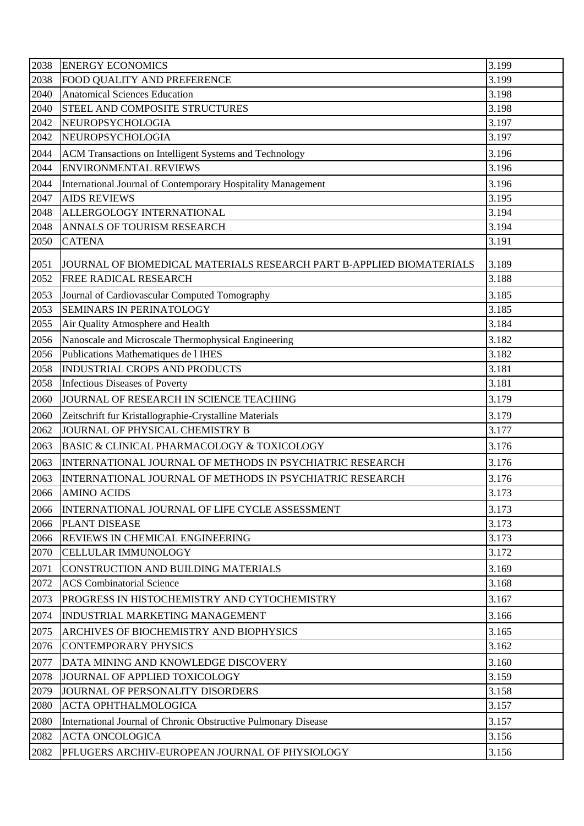| 2038 | <b>ENERGY ECONOMICS</b>                                              | 3.199 |
|------|----------------------------------------------------------------------|-------|
| 2038 | FOOD QUALITY AND PREFERENCE                                          | 3.199 |
| 2040 | <b>Anatomical Sciences Education</b>                                 | 3.198 |
| 2040 | STEEL AND COMPOSITE STRUCTURES                                       | 3.198 |
| 2042 | NEUROPSYCHOLOGIA                                                     | 3.197 |
| 2042 | NEUROPSYCHOLOGIA                                                     | 3.197 |
| 2044 | ACM Transactions on Intelligent Systems and Technology               | 3.196 |
| 2044 | <b>ENVIRONMENTAL REVIEWS</b>                                         | 3.196 |
| 2044 | International Journal of Contemporary Hospitality Management         | 3.196 |
| 2047 | <b>AIDS REVIEWS</b>                                                  | 3.195 |
| 2048 | ALLERGOLOGY INTERNATIONAL                                            | 3.194 |
| 2048 | ANNALS OF TOURISM RESEARCH                                           | 3.194 |
| 2050 | <b>CATENA</b>                                                        | 3.191 |
| 2051 | JOURNAL OF BIOMEDICAL MATERIALS RESEARCH PART B-APPLIED BIOMATERIALS | 3.189 |
| 2052 | FREE RADICAL RESEARCH                                                | 3.188 |
| 2053 | Journal of Cardiovascular Computed Tomography                        | 3.185 |
| 2053 | SEMINARS IN PERINATOLOGY                                             | 3.185 |
| 2055 | Air Quality Atmosphere and Health                                    | 3.184 |
| 2056 | Nanoscale and Microscale Thermophysical Engineering                  | 3.182 |
| 2056 | Publications Mathematiques de l IHES                                 | 3.182 |
| 2058 | <b>INDUSTRIAL CROPS AND PRODUCTS</b>                                 | 3.181 |
| 2058 | <b>Infectious Diseases of Poverty</b>                                | 3.181 |
| 2060 | JOURNAL OF RESEARCH IN SCIENCE TEACHING                              | 3.179 |
| 2060 | Zeitschrift fur Kristallographie-Crystalline Materials               | 3.179 |
| 2062 | JOURNAL OF PHYSICAL CHEMISTRY B                                      | 3.177 |
| 2063 | BASIC & CLINICAL PHARMACOLOGY & TOXICOLOGY                           | 3.176 |
| 2063 | INTERNATIONAL JOURNAL OF METHODS IN PSYCHIATRIC RESEARCH             | 3.176 |
| 2063 | INTERNATIONAL JOURNAL OF METHODS IN PSYCHIATRIC RESEARCH             | 3.176 |
| 2066 | <b>AMINO ACIDS</b>                                                   | 3.173 |
| 2066 | INTERNATIONAL JOURNAL OF LIFE CYCLE ASSESSMENT                       | 3.173 |
| 2066 | <b>PLANT DISEASE</b>                                                 | 3.173 |
| 2066 | <b>REVIEWS IN CHEMICAL ENGINEERING</b>                               | 3.173 |
| 2070 | <b>CELLULAR IMMUNOLOGY</b>                                           | 3.172 |
| 2071 | CONSTRUCTION AND BUILDING MATERIALS                                  | 3.169 |
| 2072 | <b>ACS</b> Combinatorial Science                                     | 3.168 |
| 2073 | PROGRESS IN HISTOCHEMISTRY AND CYTOCHEMISTRY                         | 3.167 |
| 2074 | <b>INDUSTRIAL MARKETING MANAGEMENT</b>                               | 3.166 |
| 2075 | ARCHIVES OF BIOCHEMISTRY AND BIOPHYSICS                              | 3.165 |
| 2076 | <b>CONTEMPORARY PHYSICS</b>                                          | 3.162 |
| 2077 | DATA MINING AND KNOWLEDGE DISCOVERY                                  | 3.160 |
| 2078 | JOURNAL OF APPLIED TOXICOLOGY                                        | 3.159 |
| 2079 | JOURNAL OF PERSONALITY DISORDERS                                     | 3.158 |
| 2080 | <b>ACTA OPHTHALMOLOGICA</b>                                          | 3.157 |
| 2080 | International Journal of Chronic Obstructive Pulmonary Disease       | 3.157 |
| 2082 | <b>ACTA ONCOLOGICA</b>                                               | 3.156 |
| 2082 | PFLUGERS ARCHIV-EUROPEAN JOURNAL OF PHYSIOLOGY                       | 3.156 |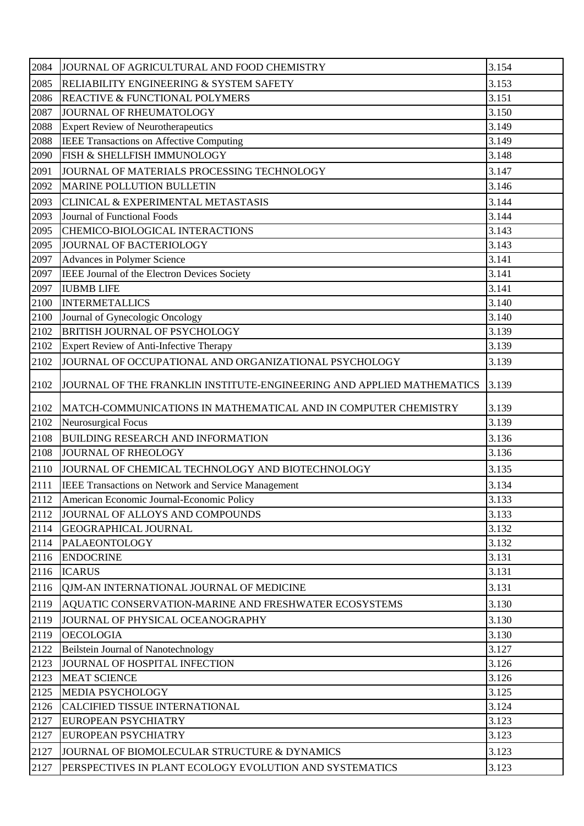| 2084 | JOURNAL OF AGRICULTURAL AND FOOD CHEMISTRY                            | 3.154 |
|------|-----------------------------------------------------------------------|-------|
| 2085 | <b>RELIABILITY ENGINEERING &amp; SYSTEM SAFETY</b>                    | 3.153 |
| 2086 | <b>REACTIVE &amp; FUNCTIONAL POLYMERS</b>                             | 3.151 |
| 2087 | JOURNAL OF RHEUMATOLOGY                                               | 3.150 |
| 2088 | <b>Expert Review of Neurotherapeutics</b>                             | 3.149 |
| 2088 | IEEE Transactions on Affective Computing                              | 3.149 |
| 2090 | FISH & SHELLFISH IMMUNOLOGY                                           | 3.148 |
| 2091 | JOURNAL OF MATERIALS PROCESSING TECHNOLOGY                            | 3.147 |
| 2092 | <b>MARINE POLLUTION BULLETIN</b>                                      | 3.146 |
| 2093 | <b>CLINICAL &amp; EXPERIMENTAL METASTASIS</b>                         | 3.144 |
| 2093 | Journal of Functional Foods                                           | 3.144 |
| 2095 | CHEMICO-BIOLOGICAL INTERACTIONS                                       | 3.143 |
| 2095 | JOURNAL OF BACTERIOLOGY                                               | 3.143 |
| 2097 | Advances in Polymer Science                                           | 3.141 |
| 2097 | IEEE Journal of the Electron Devices Society                          | 3.141 |
| 2097 | <b>IUBMB LIFE</b>                                                     | 3.141 |
| 2100 | <b>INTERMETALLICS</b>                                                 | 3.140 |
| 2100 | Journal of Gynecologic Oncology                                       | 3.140 |
| 2102 | <b>BRITISH JOURNAL OF PSYCHOLOGY</b>                                  | 3.139 |
| 2102 | Expert Review of Anti-Infective Therapy                               | 3.139 |
| 2102 | JOURNAL OF OCCUPATIONAL AND ORGANIZATIONAL PSYCHOLOGY                 | 3.139 |
| 2102 | JOURNAL OF THE FRANKLIN INSTITUTE-ENGINEERING AND APPLIED MATHEMATICS | 3.139 |
| 2102 | MATCH-COMMUNICATIONS IN MATHEMATICAL AND IN COMPUTER CHEMISTRY        | 3.139 |
| 2102 | Neurosurgical Focus                                                   | 3.139 |
| 2108 | <b>BUILDING RESEARCH AND INFORMATION</b>                              | 3.136 |
| 2108 | <b>JOURNAL OF RHEOLOGY</b>                                            | 3.136 |
| 2110 | JOURNAL OF CHEMICAL TECHNOLOGY AND BIOTECHNOLOGY                      | 3.135 |
| 2111 | <b>IEEE Transactions on Network and Service Management</b>            | 3.134 |
| 2112 | American Economic Journal-Economic Policy                             | 3.133 |
| 2112 | JOURNAL OF ALLOYS AND COMPOUNDS                                       | 3.133 |
| 2114 | <b>GEOGRAPHICAL JOURNAL</b>                                           | 3.132 |
| 2114 | PALAEONTOLOGY                                                         | 3.132 |
| 2116 | <b>ENDOCRINE</b>                                                      | 3.131 |
| 2116 | <b>ICARUS</b>                                                         | 3.131 |
| 2116 | OJM-AN INTERNATIONAL JOURNAL OF MEDICINE                              | 3.131 |
| 2119 | AQUATIC CONSERVATION-MARINE AND FRESHWATER ECOSYSTEMS                 | 3.130 |
| 2119 | JOURNAL OF PHYSICAL OCEANOGRAPHY                                      | 3.130 |
| 2119 | <b>OECOLOGIA</b>                                                      | 3.130 |
| 2122 | Beilstein Journal of Nanotechnology                                   | 3.127 |
| 2123 | JOURNAL OF HOSPITAL INFECTION                                         | 3.126 |
| 2123 | <b>MEAT SCIENCE</b>                                                   | 3.126 |
| 2125 | MEDIA PSYCHOLOGY                                                      | 3.125 |
| 2126 | <b>CALCIFIED TISSUE INTERNATIONAL</b>                                 | 3.124 |
| 2127 | <b>EUROPEAN PSYCHIATRY</b>                                            | 3.123 |
| 2127 | <b>EUROPEAN PSYCHIATRY</b>                                            | 3.123 |
| 2127 | JOURNAL OF BIOMOLECULAR STRUCTURE & DYNAMICS                          | 3.123 |
| 2127 | PERSPECTIVES IN PLANT ECOLOGY EVOLUTION AND SYSTEMATICS               | 3.123 |
|      |                                                                       |       |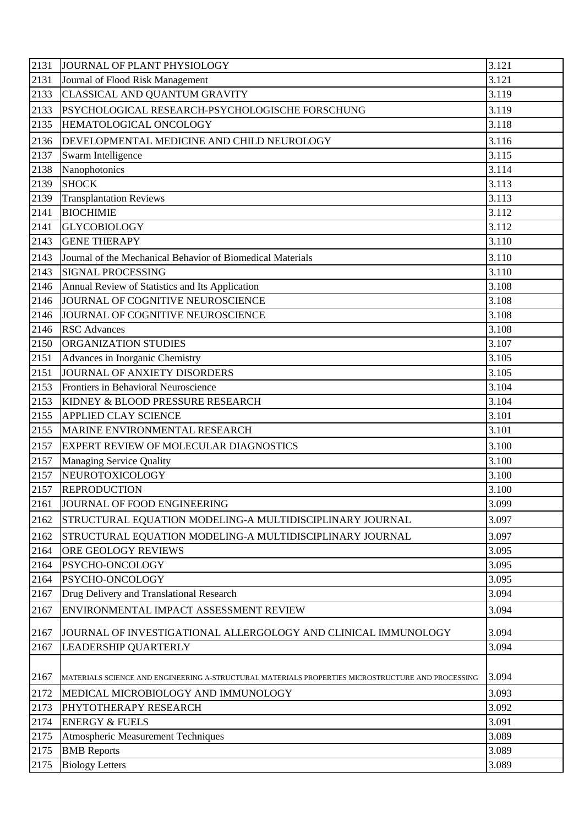| 3.121<br>2131<br>Journal of Flood Risk Management<br>3.119<br>2133<br>CLASSICAL AND QUANTUM GRAVITY<br>2133<br>3.119<br>PSYCHOLOGICAL RESEARCH-PSYCHOLOGISCHE FORSCHUNG<br>3.118<br>2135<br>HEMATOLOGICAL ONCOLOGY<br>3.116<br>2136<br>DEVELOPMENTAL MEDICINE AND CHILD NEUROLOGY<br>3.115<br>2137<br>Swarm Intelligence<br>3.114<br>2138<br>Nanophotonics<br>2139<br>3.113<br><b>SHOCK</b><br>3.113<br>2139<br><b>Transplantation Reviews</b><br>2141<br><b>BIOCHIMIE</b><br>3.112<br>3.112<br>2141<br><b>GLYCOBIOLOGY</b><br><b>GENE THERAPY</b><br>3.110<br>2143<br>2143<br>3.110<br>Journal of the Mechanical Behavior of Biomedical Materials<br>3.110<br>2143<br><b>SIGNAL PROCESSING</b><br>3.108<br>Annual Review of Statistics and Its Application<br>2146<br>2146<br>JOURNAL OF COGNITIVE NEUROSCIENCE<br>3.108 |
|---------------------------------------------------------------------------------------------------------------------------------------------------------------------------------------------------------------------------------------------------------------------------------------------------------------------------------------------------------------------------------------------------------------------------------------------------------------------------------------------------------------------------------------------------------------------------------------------------------------------------------------------------------------------------------------------------------------------------------------------------------------------------------------------------------------------------|
|                                                                                                                                                                                                                                                                                                                                                                                                                                                                                                                                                                                                                                                                                                                                                                                                                           |
|                                                                                                                                                                                                                                                                                                                                                                                                                                                                                                                                                                                                                                                                                                                                                                                                                           |
|                                                                                                                                                                                                                                                                                                                                                                                                                                                                                                                                                                                                                                                                                                                                                                                                                           |
|                                                                                                                                                                                                                                                                                                                                                                                                                                                                                                                                                                                                                                                                                                                                                                                                                           |
|                                                                                                                                                                                                                                                                                                                                                                                                                                                                                                                                                                                                                                                                                                                                                                                                                           |
|                                                                                                                                                                                                                                                                                                                                                                                                                                                                                                                                                                                                                                                                                                                                                                                                                           |
|                                                                                                                                                                                                                                                                                                                                                                                                                                                                                                                                                                                                                                                                                                                                                                                                                           |
|                                                                                                                                                                                                                                                                                                                                                                                                                                                                                                                                                                                                                                                                                                                                                                                                                           |
|                                                                                                                                                                                                                                                                                                                                                                                                                                                                                                                                                                                                                                                                                                                                                                                                                           |
|                                                                                                                                                                                                                                                                                                                                                                                                                                                                                                                                                                                                                                                                                                                                                                                                                           |
|                                                                                                                                                                                                                                                                                                                                                                                                                                                                                                                                                                                                                                                                                                                                                                                                                           |
|                                                                                                                                                                                                                                                                                                                                                                                                                                                                                                                                                                                                                                                                                                                                                                                                                           |
|                                                                                                                                                                                                                                                                                                                                                                                                                                                                                                                                                                                                                                                                                                                                                                                                                           |
|                                                                                                                                                                                                                                                                                                                                                                                                                                                                                                                                                                                                                                                                                                                                                                                                                           |
|                                                                                                                                                                                                                                                                                                                                                                                                                                                                                                                                                                                                                                                                                                                                                                                                                           |
|                                                                                                                                                                                                                                                                                                                                                                                                                                                                                                                                                                                                                                                                                                                                                                                                                           |
| 3.108<br>2146<br>JOURNAL OF COGNITIVE NEUROSCIENCE                                                                                                                                                                                                                                                                                                                                                                                                                                                                                                                                                                                                                                                                                                                                                                        |
| 3.108<br>2146<br><b>RSC</b> Advances                                                                                                                                                                                                                                                                                                                                                                                                                                                                                                                                                                                                                                                                                                                                                                                      |
| 3.107<br>2150<br>ORGANIZATION STUDIES                                                                                                                                                                                                                                                                                                                                                                                                                                                                                                                                                                                                                                                                                                                                                                                     |
| 3.105<br>2151<br>Advances in Inorganic Chemistry                                                                                                                                                                                                                                                                                                                                                                                                                                                                                                                                                                                                                                                                                                                                                                          |
| 3.105<br>JOURNAL OF ANXIETY DISORDERS<br>2151                                                                                                                                                                                                                                                                                                                                                                                                                                                                                                                                                                                                                                                                                                                                                                             |
| 3.104<br>2153<br>Frontiers in Behavioral Neuroscience                                                                                                                                                                                                                                                                                                                                                                                                                                                                                                                                                                                                                                                                                                                                                                     |
| 3.104<br>2153<br>KIDNEY & BLOOD PRESSURE RESEARCH                                                                                                                                                                                                                                                                                                                                                                                                                                                                                                                                                                                                                                                                                                                                                                         |
| 3.101<br>2155<br><b>APPLIED CLAY SCIENCE</b>                                                                                                                                                                                                                                                                                                                                                                                                                                                                                                                                                                                                                                                                                                                                                                              |
| 3.101<br>2155<br>MARINE ENVIRONMENTAL RESEARCH                                                                                                                                                                                                                                                                                                                                                                                                                                                                                                                                                                                                                                                                                                                                                                            |
| 3.100<br>2157<br>EXPERT REVIEW OF MOLECULAR DIAGNOSTICS                                                                                                                                                                                                                                                                                                                                                                                                                                                                                                                                                                                                                                                                                                                                                                   |
| 3.100<br>2157<br><b>Managing Service Quality</b>                                                                                                                                                                                                                                                                                                                                                                                                                                                                                                                                                                                                                                                                                                                                                                          |
| 2157<br>3.100<br>NEUROTOXICOLOGY                                                                                                                                                                                                                                                                                                                                                                                                                                                                                                                                                                                                                                                                                                                                                                                          |
| 2157<br>3.100<br><b>REPRODUCTION</b>                                                                                                                                                                                                                                                                                                                                                                                                                                                                                                                                                                                                                                                                                                                                                                                      |
| 2161<br>JOURNAL OF FOOD ENGINEERING<br>3.099                                                                                                                                                                                                                                                                                                                                                                                                                                                                                                                                                                                                                                                                                                                                                                              |
| 3.097<br>2162<br>STRUCTURAL EQUATION MODELING-A MULTIDISCIPLINARY JOURNAL                                                                                                                                                                                                                                                                                                                                                                                                                                                                                                                                                                                                                                                                                                                                                 |
| 3.097<br>2162<br>STRUCTURAL EQUATION MODELING-A MULTIDISCIPLINARY JOURNAL                                                                                                                                                                                                                                                                                                                                                                                                                                                                                                                                                                                                                                                                                                                                                 |
| 2164<br>ORE GEOLOGY REVIEWS<br>3.095                                                                                                                                                                                                                                                                                                                                                                                                                                                                                                                                                                                                                                                                                                                                                                                      |
| PSYCHO-ONCOLOGY<br>3.095<br>2164                                                                                                                                                                                                                                                                                                                                                                                                                                                                                                                                                                                                                                                                                                                                                                                          |
| 2164<br>PSYCHO-ONCOLOGY<br>3.095                                                                                                                                                                                                                                                                                                                                                                                                                                                                                                                                                                                                                                                                                                                                                                                          |
| 3.094<br>2167<br>Drug Delivery and Translational Research                                                                                                                                                                                                                                                                                                                                                                                                                                                                                                                                                                                                                                                                                                                                                                 |
| 3.094<br>2167<br>ENVIRONMENTAL IMPACT ASSESSMENT REVIEW                                                                                                                                                                                                                                                                                                                                                                                                                                                                                                                                                                                                                                                                                                                                                                   |
| 3.094<br>2167<br>JOURNAL OF INVESTIGATIONAL ALLERGOLOGY AND CLINICAL IMMUNOLOGY                                                                                                                                                                                                                                                                                                                                                                                                                                                                                                                                                                                                                                                                                                                                           |
| 3.094<br>2167<br>LEADERSHIP QUARTERLY                                                                                                                                                                                                                                                                                                                                                                                                                                                                                                                                                                                                                                                                                                                                                                                     |
|                                                                                                                                                                                                                                                                                                                                                                                                                                                                                                                                                                                                                                                                                                                                                                                                                           |
| 3.094<br>2167<br>MATERIALS SCIENCE AND ENGINEERING A-STRUCTURAL MATERIALS PROPERTIES MICROSTRUCTURE AND PROCESSING                                                                                                                                                                                                                                                                                                                                                                                                                                                                                                                                                                                                                                                                                                        |
| 3.093<br>2172<br>MEDICAL MICROBIOLOGY AND IMMUNOLOGY                                                                                                                                                                                                                                                                                                                                                                                                                                                                                                                                                                                                                                                                                                                                                                      |
| 2173<br>3.092<br>PHYTOTHERAPY RESEARCH                                                                                                                                                                                                                                                                                                                                                                                                                                                                                                                                                                                                                                                                                                                                                                                    |
| 2174<br><b>ENERGY &amp; FUELS</b><br>3.091                                                                                                                                                                                                                                                                                                                                                                                                                                                                                                                                                                                                                                                                                                                                                                                |
| 2175<br><b>Atmospheric Measurement Techniques</b><br>3.089                                                                                                                                                                                                                                                                                                                                                                                                                                                                                                                                                                                                                                                                                                                                                                |
| 3.089<br>2175<br><b>BMB</b> Reports                                                                                                                                                                                                                                                                                                                                                                                                                                                                                                                                                                                                                                                                                                                                                                                       |
| <b>Biology Letters</b><br>3.089<br>2175                                                                                                                                                                                                                                                                                                                                                                                                                                                                                                                                                                                                                                                                                                                                                                                   |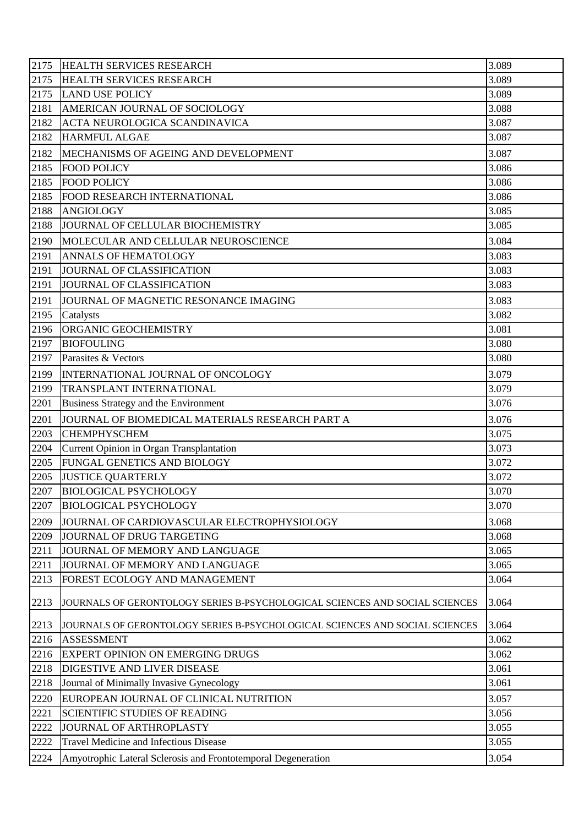| 2175 | <b>HEALTH SERVICES RESEARCH</b>                                             | 3.089 |
|------|-----------------------------------------------------------------------------|-------|
| 2175 | HEALTH SERVICES RESEARCH                                                    | 3.089 |
| 2175 | <b>LAND USE POLICY</b>                                                      | 3.089 |
| 2181 | AMERICAN JOURNAL OF SOCIOLOGY                                               | 3.088 |
| 2182 | ACTA NEUROLOGICA SCANDINAVICA                                               | 3.087 |
| 2182 | <b>HARMFUL ALGAE</b>                                                        | 3.087 |
| 2182 | MECHANISMS OF AGEING AND DEVELOPMENT                                        | 3.087 |
| 2185 | <b>FOOD POLICY</b>                                                          | 3.086 |
| 2185 | <b>FOOD POLICY</b>                                                          | 3.086 |
| 2185 | FOOD RESEARCH INTERNATIONAL                                                 | 3.086 |
| 2188 | ANGIOLOGY                                                                   | 3.085 |
| 2188 | JOURNAL OF CELLULAR BIOCHEMISTRY                                            | 3.085 |
| 2190 | MOLECULAR AND CELLULAR NEUROSCIENCE                                         | 3.084 |
| 2191 | <b>ANNALS OF HEMATOLOGY</b>                                                 | 3.083 |
| 2191 | JOURNAL OF CLASSIFICATION                                                   | 3.083 |
| 2191 | JOURNAL OF CLASSIFICATION                                                   | 3.083 |
| 2191 | JOURNAL OF MAGNETIC RESONANCE IMAGING                                       | 3.083 |
| 2195 | Catalysts                                                                   | 3.082 |
| 2196 | <b>ORGANIC GEOCHEMISTRY</b>                                                 | 3.081 |
| 2197 | <b>BIOFOULING</b>                                                           | 3.080 |
| 2197 | Parasites & Vectors                                                         | 3.080 |
| 2199 | INTERNATIONAL JOURNAL OF ONCOLOGY                                           | 3.079 |
| 2199 | TRANSPLANT INTERNATIONAL                                                    | 3.079 |
| 2201 | Business Strategy and the Environment                                       | 3.076 |
| 2201 | JOURNAL OF BIOMEDICAL MATERIALS RESEARCH PART A                             | 3.076 |
| 2203 | <b>CHEMPHYSCHEM</b>                                                         | 3.075 |
| 2204 | Current Opinion in Organ Transplantation                                    | 3.073 |
| 2205 | FUNGAL GENETICS AND BIOLOGY                                                 | 3.072 |
| 2205 | <b>JUSTICE QUARTERLY</b>                                                    | 3.072 |
| 2207 | <b>BIOLOGICAL PSYCHOLOGY</b>                                                | 3.070 |
| 2207 | <b>BIOLOGICAL PSYCHOLOGY</b>                                                | 3.070 |
| 2209 | JOURNAL OF CARDIOVASCULAR ELECTROPHYSIOLOGY                                 | 3.068 |
| 2209 | JOURNAL OF DRUG TARGETING                                                   | 3.068 |
| 2211 | JOURNAL OF MEMORY AND LANGUAGE                                              | 3.065 |
| 2211 | JOURNAL OF MEMORY AND LANGUAGE                                              | 3.065 |
| 2213 | FOREST ECOLOGY AND MANAGEMENT                                               | 3.064 |
| 2213 | JOURNALS OF GERONTOLOGY SERIES B-PSYCHOLOGICAL SCIENCES AND SOCIAL SCIENCES | 3.064 |
| 2213 | JOURNALS OF GERONTOLOGY SERIES B-PSYCHOLOGICAL SCIENCES AND SOCIAL SCIENCES | 3.064 |
| 2216 | <b>ASSESSMENT</b>                                                           | 3.062 |
| 2216 | <b>EXPERT OPINION ON EMERGING DRUGS</b>                                     | 3.062 |
| 2218 | DIGESTIVE AND LIVER DISEASE                                                 | 3.061 |
| 2218 | Journal of Minimally Invasive Gynecology                                    | 3.061 |
| 2220 | EUROPEAN JOURNAL OF CLINICAL NUTRITION                                      | 3.057 |
| 2221 | <b>SCIENTIFIC STUDIES OF READING</b>                                        | 3.056 |
| 2222 | JOURNAL OF ARTHROPLASTY                                                     | 3.055 |
| 2222 | Travel Medicine and Infectious Disease                                      | 3.055 |
| 2224 | Amyotrophic Lateral Sclerosis and Frontotemporal Degeneration               | 3.054 |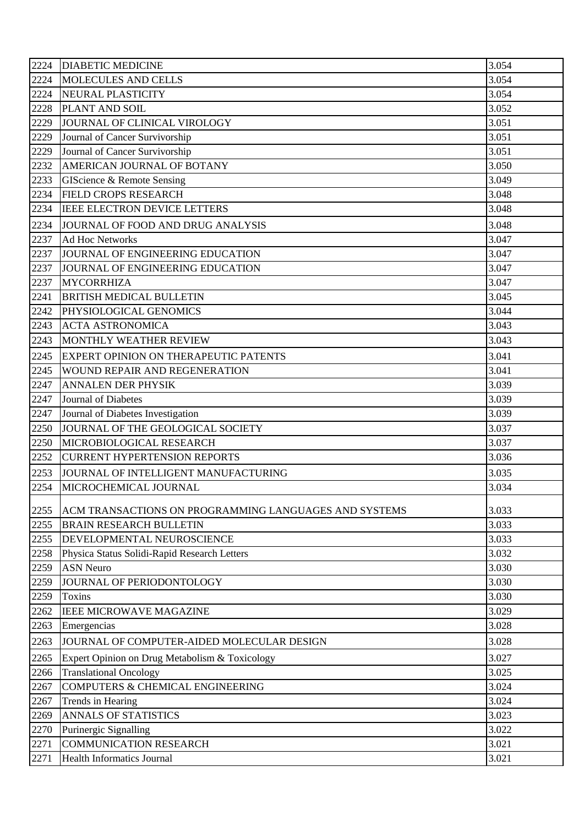| 2224 | <b>DIABETIC MEDICINE</b>                              | 3.054 |
|------|-------------------------------------------------------|-------|
| 2224 | MOLECULES AND CELLS                                   | 3.054 |
| 2224 | NEURAL PLASTICITY                                     | 3.054 |
| 2228 | PLANT AND SOIL                                        | 3.052 |
| 2229 | JOURNAL OF CLINICAL VIROLOGY                          | 3.051 |
| 2229 | Journal of Cancer Survivorship                        | 3.051 |
| 2229 | Journal of Cancer Survivorship                        | 3.051 |
| 2232 | AMERICAN JOURNAL OF BOTANY                            | 3.050 |
| 2233 | GIScience & Remote Sensing                            | 3.049 |
| 2234 | <b>FIELD CROPS RESEARCH</b>                           | 3.048 |
| 2234 | IEEE ELECTRON DEVICE LETTERS                          | 3.048 |
| 2234 | JOURNAL OF FOOD AND DRUG ANALYSIS                     | 3.048 |
| 2237 | <b>Ad Hoc Networks</b>                                | 3.047 |
| 2237 | JOURNAL OF ENGINEERING EDUCATION                      | 3.047 |
| 2237 | JOURNAL OF ENGINEERING EDUCATION                      | 3.047 |
| 2237 | <b>MYCORRHIZA</b>                                     | 3.047 |
| 2241 | <b>BRITISH MEDICAL BULLETIN</b>                       | 3.045 |
| 2242 | PHYSIOLOGICAL GENOMICS                                | 3.044 |
| 2243 | <b>ACTA ASTRONOMICA</b>                               | 3.043 |
| 2243 | MONTHLY WEATHER REVIEW                                | 3.043 |
| 2245 | EXPERT OPINION ON THERAPEUTIC PATENTS                 | 3.041 |
| 2245 | WOUND REPAIR AND REGENERATION                         | 3.041 |
| 2247 | <b>ANNALEN DER PHYSIK</b>                             | 3.039 |
| 2247 | Journal of Diabetes                                   | 3.039 |
| 2247 | Journal of Diabetes Investigation                     | 3.039 |
| 2250 | JOURNAL OF THE GEOLOGICAL SOCIETY                     | 3.037 |
| 2250 | MICROBIOLOGICAL RESEARCH                              | 3.037 |
| 2252 | <b>CURRENT HYPERTENSION REPORTS</b>                   | 3.036 |
| 2253 | JOURNAL OF INTELLIGENT MANUFACTURING                  | 3.035 |
| 2254 | MICROCHEMICAL JOURNAL                                 | 3.034 |
| 2255 | ACM TRANSACTIONS ON PROGRAMMING LANGUAGES AND SYSTEMS | 3.033 |
| 2255 | <b>BRAIN RESEARCH BULLETIN</b>                        | 3.033 |
| 2255 | DEVELOPMENTAL NEUROSCIENCE                            | 3.033 |
| 2258 | Physica Status Solidi-Rapid Research Letters          | 3.032 |
| 2259 | <b>ASN Neuro</b>                                      | 3.030 |
| 2259 | JOURNAL OF PERIODONTOLOGY                             | 3.030 |
| 2259 | <b>Toxins</b>                                         | 3.030 |
| 2262 | <b>IEEE MICROWAVE MAGAZINE</b>                        | 3.029 |
| 2263 | Emergencias                                           | 3.028 |
| 2263 | JOURNAL OF COMPUTER-AIDED MOLECULAR DESIGN            | 3.028 |
| 2265 | Expert Opinion on Drug Metabolism & Toxicology        | 3.027 |
| 2266 | <b>Translational Oncology</b>                         | 3.025 |
| 2267 | <b>COMPUTERS &amp; CHEMICAL ENGINEERING</b>           | 3.024 |
| 2267 | Trends in Hearing                                     | 3.024 |
| 2269 | <b>ANNALS OF STATISTICS</b>                           | 3.023 |
| 2270 | Purinergic Signalling                                 | 3.022 |
| 2271 | <b>COMMUNICATION RESEARCH</b>                         | 3.021 |
| 2271 | <b>Health Informatics Journal</b>                     | 3.021 |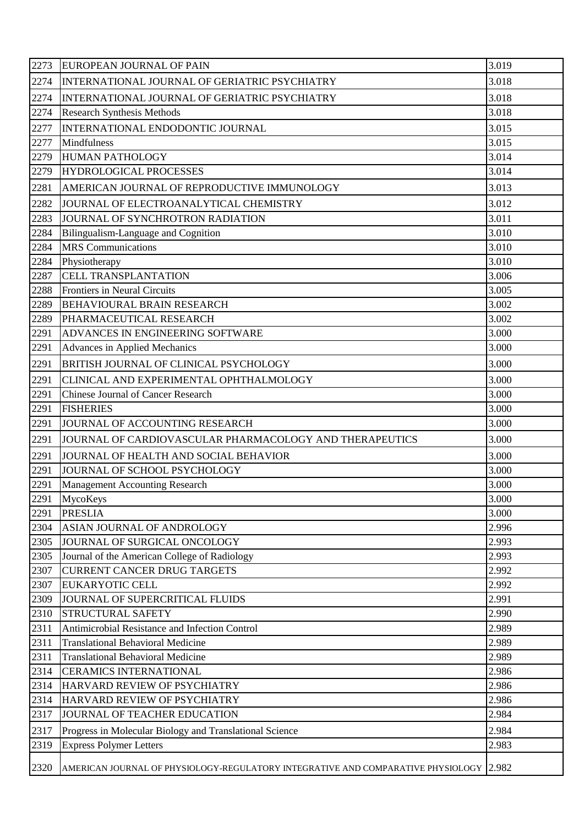| 2273 | <b>EUROPEAN JOURNAL OF PAIN</b>                                                  | 3.019 |
|------|----------------------------------------------------------------------------------|-------|
| 2274 | INTERNATIONAL JOURNAL OF GERIATRIC PSYCHIATRY                                    | 3.018 |
| 2274 | INTERNATIONAL JOURNAL OF GERIATRIC PSYCHIATRY                                    | 3.018 |
| 2274 | <b>Research Synthesis Methods</b>                                                | 3.018 |
| 2277 | INTERNATIONAL ENDODONTIC JOURNAL                                                 | 3.015 |
| 2277 | Mindfulness                                                                      | 3.015 |
| 2279 | <b>HUMAN PATHOLOGY</b>                                                           | 3.014 |
| 2279 | HYDROLOGICAL PROCESSES                                                           | 3.014 |
| 2281 | AMERICAN JOURNAL OF REPRODUCTIVE IMMUNOLOGY                                      | 3.013 |
| 2282 | JOURNAL OF ELECTROANALYTICAL CHEMISTRY                                           | 3.012 |
| 2283 | JOURNAL OF SYNCHROTRON RADIATION                                                 | 3.011 |
| 2284 | Bilingualism-Language and Cognition                                              | 3.010 |
| 2284 | <b>MRS</b> Communications                                                        | 3.010 |
| 2284 | Physiotherapy                                                                    | 3.010 |
| 2287 | <b>CELL TRANSPLANTATION</b>                                                      | 3.006 |
| 2288 | Frontiers in Neural Circuits                                                     | 3.005 |
| 2289 | <b>BEHAVIOURAL BRAIN RESEARCH</b>                                                | 3.002 |
| 2289 | PHARMACEUTICAL RESEARCH                                                          | 3.002 |
| 2291 | ADVANCES IN ENGINEERING SOFTWARE                                                 | 3.000 |
| 2291 | Advances in Applied Mechanics                                                    | 3.000 |
| 2291 | BRITISH JOURNAL OF CLINICAL PSYCHOLOGY                                           | 3.000 |
| 2291 | CLINICAL AND EXPERIMENTAL OPHTHALMOLOGY                                          | 3.000 |
| 2291 | <b>Chinese Journal of Cancer Research</b>                                        | 3.000 |
| 2291 | <b>FISHERIES</b>                                                                 | 3.000 |
| 2291 | JOURNAL OF ACCOUNTING RESEARCH                                                   | 3.000 |
| 2291 | JOURNAL OF CARDIOVASCULAR PHARMACOLOGY AND THERAPEUTICS                          | 3.000 |
| 2291 | JOURNAL OF HEALTH AND SOCIAL BEHAVIOR                                            | 3.000 |
| 2291 | JOURNAL OF SCHOOL PSYCHOLOGY                                                     | 3.000 |
| 2291 | <b>Management Accounting Research</b>                                            | 3.000 |
| 2291 | MycoKeys                                                                         | 3.000 |
| 2291 | <b>PRESLIA</b>                                                                   | 3.000 |
| 2304 | ASIAN JOURNAL OF ANDROLOGY                                                       | 2.996 |
| 2305 | JOURNAL OF SURGICAL ONCOLOGY                                                     | 2.993 |
| 2305 | Journal of the American College of Radiology                                     | 2.993 |
| 2307 | <b>CURRENT CANCER DRUG TARGETS</b>                                               | 2.992 |
| 2307 | <b>EUKARYOTIC CELL</b>                                                           | 2.992 |
| 2309 | JOURNAL OF SUPERCRITICAL FLUIDS                                                  | 2.991 |
| 2310 | STRUCTURAL SAFETY                                                                | 2.990 |
| 2311 | Antimicrobial Resistance and Infection Control                                   | 2.989 |
| 2311 | <b>Translational Behavioral Medicine</b>                                         | 2.989 |
| 2311 | <b>Translational Behavioral Medicine</b>                                         | 2.989 |
| 2314 | <b>CERAMICS INTERNATIONAL</b>                                                    | 2.986 |
| 2314 | HARVARD REVIEW OF PSYCHIATRY                                                     | 2.986 |
| 2314 | HARVARD REVIEW OF PSYCHIATRY                                                     | 2.986 |
| 2317 | JOURNAL OF TEACHER EDUCATION                                                     | 2.984 |
| 2317 | Progress in Molecular Biology and Translational Science                          | 2.984 |
| 2319 | <b>Express Polymer Letters</b>                                                   | 2.983 |
| 2320 | AMERICAN JOURNAL OF PHYSIOLOGY-REGULATORY INTEGRATIVE AND COMPARATIVE PHYSIOLOGY | 2.982 |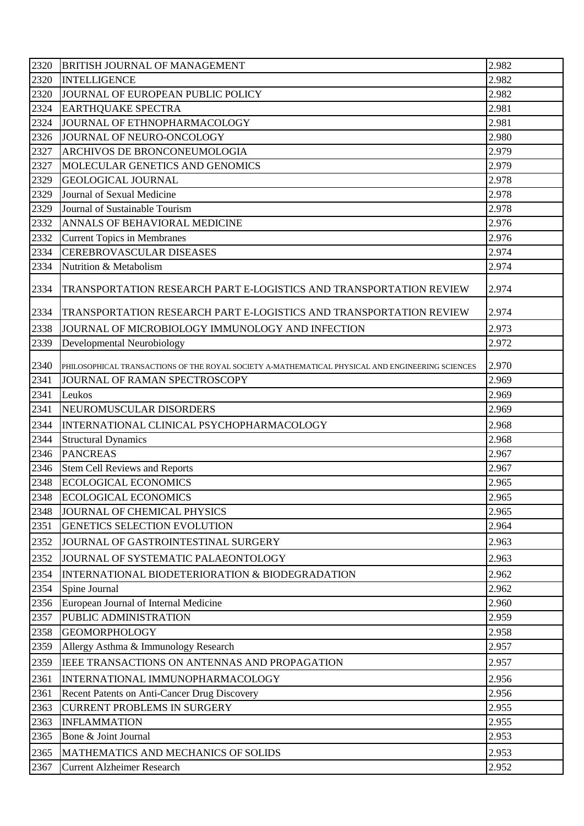| 2320              | <b>BRITISH JOURNAL OF MANAGEMENT</b>                                                             | 2.982 |
|-------------------|--------------------------------------------------------------------------------------------------|-------|
| 2320              | <b>INTELLIGENCE</b>                                                                              | 2.982 |
| 2320              | JOURNAL OF EUROPEAN PUBLIC POLICY                                                                | 2.982 |
| 2324              | <b>EARTHQUAKE SPECTRA</b>                                                                        | 2.981 |
| 2324              | JOURNAL OF ETHNOPHARMACOLOGY                                                                     | 2.981 |
| 2326              | JOURNAL OF NEURO-ONCOLOGY                                                                        | 2.980 |
| 2327              | ARCHIVOS DE BRONCONEUMOLOGIA                                                                     | 2.979 |
| 2327              | MOLECULAR GENETICS AND GENOMICS                                                                  | 2.979 |
| 2329              | <b>GEOLOGICAL JOURNAL</b>                                                                        | 2.978 |
| 2329              | Journal of Sexual Medicine                                                                       | 2.978 |
| 2329              | Journal of Sustainable Tourism                                                                   | 2.978 |
| 2332              | ANNALS OF BEHAVIORAL MEDICINE                                                                    | 2.976 |
| 2332              | <b>Current Topics in Membranes</b>                                                               | 2.976 |
| 2334              | <b>CEREBROVASCULAR DISEASES</b>                                                                  | 2.974 |
| 2334              | Nutrition & Metabolism                                                                           | 2.974 |
| 2334              | TRANSPORTATION RESEARCH PART E-LOGISTICS AND TRANSPORTATION REVIEW                               | 2.974 |
| 2334              | TRANSPORTATION RESEARCH PART E-LOGISTICS AND TRANSPORTATION REVIEW                               | 2.974 |
| 2338              | JOURNAL OF MICROBIOLOGY IMMUNOLOGY AND INFECTION                                                 | 2.973 |
| 2339              | Developmental Neurobiology                                                                       | 2.972 |
| 2340              | PHILOSOPHICAL TRANSACTIONS OF THE ROYAL SOCIETY A-MATHEMATICAL PHYSICAL AND ENGINEERING SCIENCES | 2.970 |
| 2341              | JOURNAL OF RAMAN SPECTROSCOPY                                                                    | 2.969 |
| 2341              | Leukos                                                                                           | 2.969 |
| 2341              | NEUROMUSCULAR DISORDERS                                                                          | 2.969 |
| 2344              | INTERNATIONAL CLINICAL PSYCHOPHARMACOLOGY                                                        | 2.968 |
| 2344              | <b>Structural Dynamics</b>                                                                       | 2.968 |
| 2346              | <b>PANCREAS</b>                                                                                  | 2.967 |
| 2346              | <b>Stem Cell Reviews and Reports</b>                                                             | 2.967 |
| $\overline{2348}$ | <b>ECOLOGICAL ECONOMICS</b>                                                                      | 2.965 |
| 2348              | <b>ECOLOGICAL ECONOMICS</b>                                                                      | 2.965 |
| 2348              | JOURNAL OF CHEMICAL PHYSICS                                                                      | 2.965 |
| 2351              | GENETICS SELECTION EVOLUTION                                                                     | 2.964 |
| 2352              | JOURNAL OF GASTROINTESTINAL SURGERY                                                              | 2.963 |
| 2352              | JOURNAL OF SYSTEMATIC PALAEONTOLOGY                                                              | 2.963 |
| 2354              | INTERNATIONAL BIODETERIORATION & BIODEGRADATION                                                  | 2.962 |
| 2354              | Spine Journal                                                                                    | 2.962 |
| 2356              | European Journal of Internal Medicine                                                            | 2.960 |
| 2357              | PUBLIC ADMINISTRATION                                                                            | 2.959 |
| 2358              | <b>GEOMORPHOLOGY</b>                                                                             | 2.958 |
| 2359              | Allergy Asthma & Immunology Research                                                             | 2.957 |
| 2359              | IEEE TRANSACTIONS ON ANTENNAS AND PROPAGATION                                                    | 2.957 |
| 2361              | INTERNATIONAL IMMUNOPHARMACOLOGY                                                                 | 2.956 |
| 2361              | Recent Patents on Anti-Cancer Drug Discovery                                                     | 2.956 |
| 2363              | <b>CURRENT PROBLEMS IN SURGERY</b>                                                               | 2.955 |
| 2363              | <b>INFLAMMATION</b>                                                                              | 2.955 |
| 2365              | Bone & Joint Journal                                                                             | 2.953 |
| 2365              | MATHEMATICS AND MECHANICS OF SOLIDS                                                              | 2.953 |
| 2367              | <b>Current Alzheimer Research</b>                                                                | 2.952 |
|                   |                                                                                                  |       |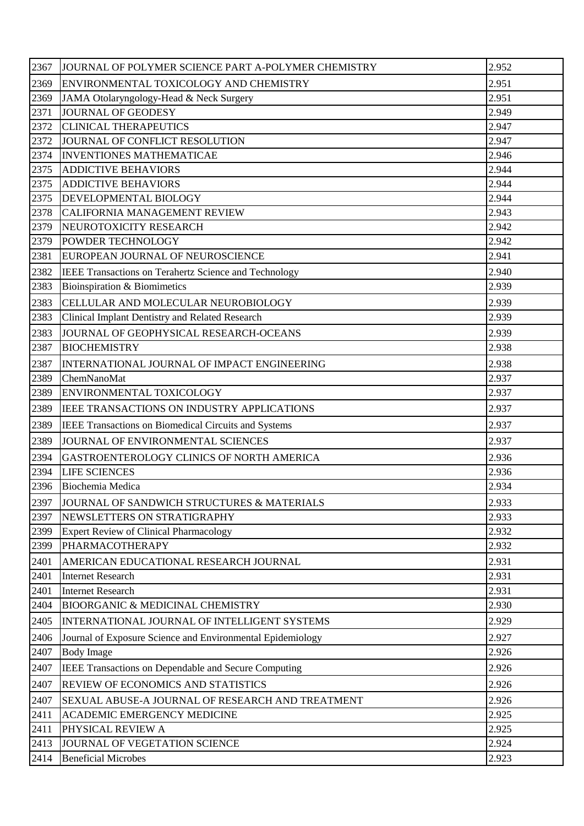| 2367 | JOURNAL OF POLYMER SCIENCE PART A-POLYMER CHEMISTRY        | 2.952 |
|------|------------------------------------------------------------|-------|
| 2369 | ENVIRONMENTAL TOXICOLOGY AND CHEMISTRY                     | 2.951 |
| 2369 | JAMA Otolaryngology-Head & Neck Surgery                    | 2.951 |
| 2371 | JOURNAL OF GEODESY                                         | 2.949 |
| 2372 | <b>CLINICAL THERAPEUTICS</b>                               | 2.947 |
| 2372 | JOURNAL OF CONFLICT RESOLUTION                             | 2.947 |
| 2374 | <b>INVENTIONES MATHEMATICAE</b>                            | 2.946 |
| 2375 | <b>ADDICTIVE BEHAVIORS</b>                                 | 2.944 |
| 2375 | <b>ADDICTIVE BEHAVIORS</b>                                 | 2.944 |
| 2375 | DEVELOPMENTAL BIOLOGY                                      | 2.944 |
| 2378 | <b>CALIFORNIA MANAGEMENT REVIEW</b>                        | 2.943 |
| 2379 | NEUROTOXICITY RESEARCH                                     | 2.942 |
| 2379 | <b>POWDER TECHNOLOGY</b>                                   | 2.942 |
| 2381 | EUROPEAN JOURNAL OF NEUROSCIENCE                           | 2.941 |
| 2382 | IEEE Transactions on Terahertz Science and Technology      | 2.940 |
| 2383 | Bioinspiration & Biomimetics                               | 2.939 |
| 2383 | CELLULAR AND MOLECULAR NEUROBIOLOGY                        | 2.939 |
| 2383 | Clinical Implant Dentistry and Related Research            | 2.939 |
| 2383 | JOURNAL OF GEOPHYSICAL RESEARCH-OCEANS                     | 2.939 |
| 2387 | <b>BIOCHEMISTRY</b>                                        | 2.938 |
| 2387 | INTERNATIONAL JOURNAL OF IMPACT ENGINEERING                | 2.938 |
| 2389 | ChemNanoMat                                                | 2.937 |
| 2389 | ENVIRONMENTAL TOXICOLOGY                                   | 2.937 |
| 2389 | IEEE TRANSACTIONS ON INDUSTRY APPLICATIONS                 | 2.937 |
| 2389 | IEEE Transactions on Biomedical Circuits and Systems       | 2.937 |
| 2389 | JOURNAL OF ENVIRONMENTAL SCIENCES                          | 2.937 |
| 2394 | GASTROENTEROLOGY CLINICS OF NORTH AMERICA                  | 2.936 |
| 2394 | <b>LIFE SCIENCES</b>                                       | 2.936 |
| 2396 | Biochemia Medica                                           | 2.934 |
| 2397 | JOURNAL OF SANDWICH STRUCTURES & MATERIALS                 | 2.933 |
| 2397 | NEWSLETTERS ON STRATIGRAPHY                                | 2.933 |
| 2399 | <b>Expert Review of Clinical Pharmacology</b>              | 2.932 |
| 2399 | PHARMACOTHERAPY                                            | 2.932 |
| 2401 | AMERICAN EDUCATIONAL RESEARCH JOURNAL                      | 2.931 |
| 2401 | <b>Internet Research</b>                                   | 2.931 |
| 2401 | <b>Internet Research</b>                                   | 2.931 |
| 2404 | <b>BIOORGANIC &amp; MEDICINAL CHEMISTRY</b>                | 2.930 |
| 2405 | INTERNATIONAL JOURNAL OF INTELLIGENT SYSTEMS               | 2.929 |
| 2406 | Journal of Exposure Science and Environmental Epidemiology | 2.927 |
| 2407 | <b>Body Image</b>                                          | 2.926 |
| 2407 | IEEE Transactions on Dependable and Secure Computing       | 2.926 |
| 2407 | <b>REVIEW OF ECONOMICS AND STATISTICS</b>                  | 2.926 |
| 2407 | SEXUAL ABUSE-A JOURNAL OF RESEARCH AND TREATMENT           | 2.926 |
| 2411 | <b>ACADEMIC EMERGENCY MEDICINE</b>                         | 2.925 |
| 2411 | PHYSICAL REVIEW A                                          | 2.925 |
| 2413 | JOURNAL OF VEGETATION SCIENCE                              | 2.924 |
| 2414 | <b>Beneficial Microbes</b>                                 | 2.923 |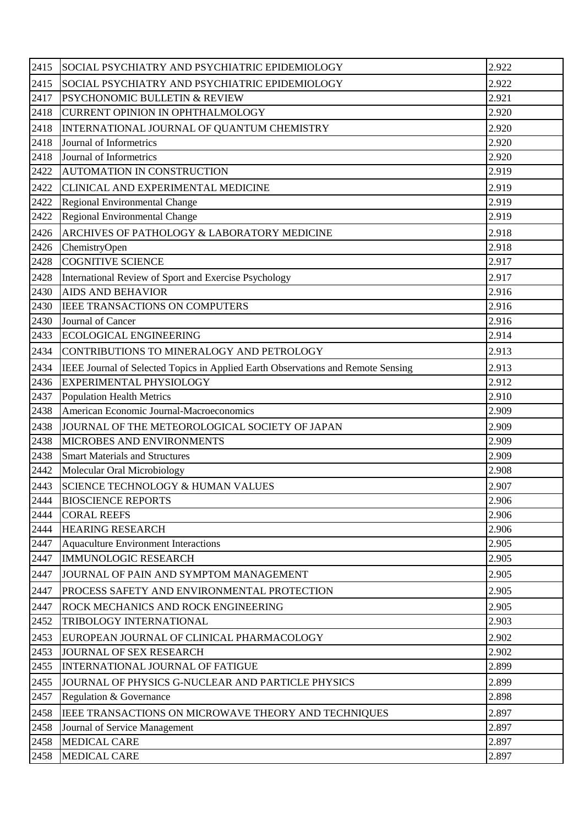| 2415 | SOCIAL PSYCHIATRY AND PSYCHIATRIC EPIDEMIOLOGY                                   | 2.922 |
|------|----------------------------------------------------------------------------------|-------|
| 2415 | SOCIAL PSYCHIATRY AND PSYCHIATRIC EPIDEMIOLOGY                                   | 2.922 |
| 2417 | <b>PSYCHONOMIC BULLETIN &amp; REVIEW</b>                                         | 2.921 |
| 2418 | CURRENT OPINION IN OPHTHALMOLOGY                                                 | 2.920 |
| 2418 | INTERNATIONAL JOURNAL OF QUANTUM CHEMISTRY                                       | 2.920 |
| 2418 | Journal of Informetrics                                                          | 2.920 |
| 2418 | Journal of Informetrics                                                          | 2.920 |
| 2422 | AUTOMATION IN CONSTRUCTION                                                       | 2.919 |
| 2422 | CLINICAL AND EXPERIMENTAL MEDICINE                                               | 2.919 |
| 2422 | Regional Environmental Change                                                    | 2.919 |
| 2422 | Regional Environmental Change                                                    | 2.919 |
| 2426 | ARCHIVES OF PATHOLOGY & LABORATORY MEDICINE                                      | 2.918 |
| 2426 | ChemistryOpen                                                                    | 2.918 |
| 2428 | <b>COGNITIVE SCIENCE</b>                                                         | 2.917 |
| 2428 | International Review of Sport and Exercise Psychology                            | 2.917 |
| 2430 | <b>AIDS AND BEHAVIOR</b>                                                         | 2.916 |
| 2430 | IEEE TRANSACTIONS ON COMPUTERS                                                   | 2.916 |
| 2430 | Journal of Cancer                                                                | 2.916 |
| 2433 | <b>ECOLOGICAL ENGINEERING</b>                                                    | 2.914 |
| 2434 | CONTRIBUTIONS TO MINERALOGY AND PETROLOGY                                        | 2.913 |
| 2434 | IEEE Journal of Selected Topics in Applied Earth Observations and Remote Sensing | 2.913 |
| 2436 | EXPERIMENTAL PHYSIOLOGY                                                          | 2.912 |
| 2437 | <b>Population Health Metrics</b>                                                 | 2.910 |
| 2438 | American Economic Journal-Macroeconomics                                         | 2.909 |
| 2438 | JOURNAL OF THE METEOROLOGICAL SOCIETY OF JAPAN                                   | 2.909 |
| 2438 | MICROBES AND ENVIRONMENTS                                                        | 2.909 |
| 2438 | <b>Smart Materials and Structures</b>                                            | 2.909 |
| 2442 | Molecular Oral Microbiology                                                      | 2.908 |
| 2443 | <b>SCIENCE TECHNOLOGY &amp; HUMAN VALUES</b>                                     | 2.907 |
| 2444 | <b>BIOSCIENCE REPORTS</b>                                                        | 2.906 |
| 2444 | <b>CORAL REEFS</b>                                                               | 2.906 |
| 2444 | <b>HEARING RESEARCH</b>                                                          | 2.906 |
| 2447 | <b>Aquaculture Environment Interactions</b>                                      | 2.905 |
| 2447 | <b>IMMUNOLOGIC RESEARCH</b>                                                      | 2.905 |
| 2447 | JOURNAL OF PAIN AND SYMPTOM MANAGEMENT                                           | 2.905 |
| 2447 | PROCESS SAFETY AND ENVIRONMENTAL PROTECTION                                      | 2.905 |
| 2447 | <b>ROCK MECHANICS AND ROCK ENGINEERING</b>                                       | 2.905 |
| 2452 | TRIBOLOGY INTERNATIONAL                                                          | 2.903 |
| 2453 | EUROPEAN JOURNAL OF CLINICAL PHARMACOLOGY                                        | 2.902 |
| 2453 | JOURNAL OF SEX RESEARCH                                                          | 2.902 |
| 2455 | <b>INTERNATIONAL JOURNAL OF FATIGUE</b>                                          | 2.899 |
| 2455 | JOURNAL OF PHYSICS G-NUCLEAR AND PARTICLE PHYSICS                                | 2.899 |
| 2457 | Regulation & Governance                                                          | 2.898 |
| 2458 | IEEE TRANSACTIONS ON MICROWAVE THEORY AND TECHNIQUES                             | 2.897 |
| 2458 | Journal of Service Management                                                    | 2.897 |
| 2458 | <b>MEDICAL CARE</b>                                                              | 2.897 |
| 2458 | <b>MEDICAL CARE</b>                                                              | 2.897 |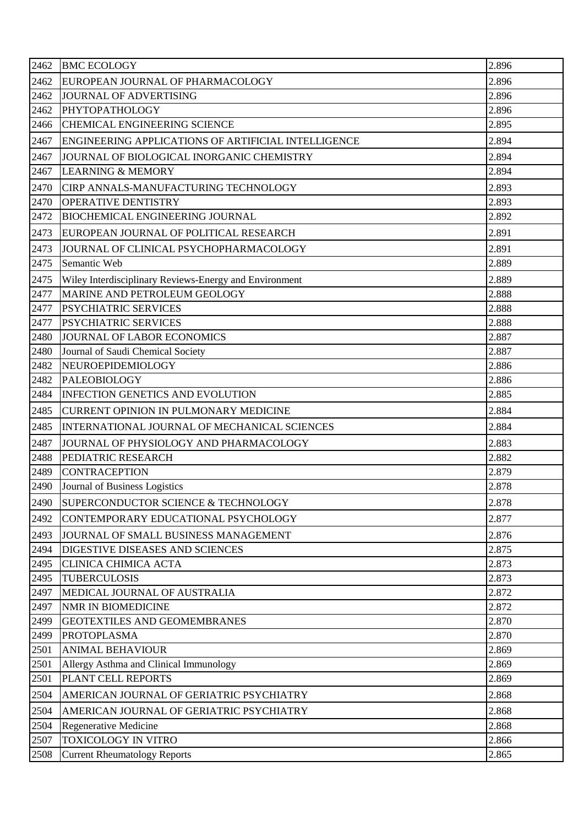| 2462 | <b>BMC ECOLOGY</b>                                     | 2.896 |
|------|--------------------------------------------------------|-------|
| 2462 | EUROPEAN JOURNAL OF PHARMACOLOGY                       | 2.896 |
| 2462 | JOURNAL OF ADVERTISING                                 | 2.896 |
| 2462 | PHYTOPATHOLOGY                                         | 2.896 |
| 2466 | <b>CHEMICAL ENGINEERING SCIENCE</b>                    | 2.895 |
| 2467 | ENGINEERING APPLICATIONS OF ARTIFICIAL INTELLIGENCE    | 2.894 |
| 2467 | JOURNAL OF BIOLOGICAL INORGANIC CHEMISTRY              | 2.894 |
| 2467 | <b>LEARNING &amp; MEMORY</b>                           | 2.894 |
| 2470 | CIRP ANNALS-MANUFACTURING TECHNOLOGY                   | 2.893 |
| 2470 | <b>OPERATIVE DENTISTRY</b>                             | 2.893 |
| 2472 | <b>BIOCHEMICAL ENGINEERING JOURNAL</b>                 | 2.892 |
| 2473 | EUROPEAN JOURNAL OF POLITICAL RESEARCH                 | 2.891 |
| 2473 | JOURNAL OF CLINICAL PSYCHOPHARMACOLOGY                 | 2.891 |
| 2475 | Semantic Web                                           | 2.889 |
| 2475 | Wiley Interdisciplinary Reviews-Energy and Environment | 2.889 |
| 2477 | MARINE AND PETROLEUM GEOLOGY                           | 2.888 |
| 2477 | <b>PSYCHIATRIC SERVICES</b>                            | 2.888 |
| 2477 | <b>PSYCHIATRIC SERVICES</b>                            | 2.888 |
| 2480 | JOURNAL OF LABOR ECONOMICS                             | 2.887 |
| 2480 | Journal of Saudi Chemical Society                      | 2.887 |
| 2482 | NEUROEPIDEMIOLOGY                                      | 2.886 |
| 2482 | <b>PALEOBIOLOGY</b>                                    | 2.886 |
| 2484 | <b>INFECTION GENETICS AND EVOLUTION</b>                | 2.885 |
| 2485 | <b>CURRENT OPINION IN PULMONARY MEDICINE</b>           | 2.884 |
| 2485 | INTERNATIONAL JOURNAL OF MECHANICAL SCIENCES           | 2.884 |
| 2487 | JOURNAL OF PHYSIOLOGY AND PHARMACOLOGY                 | 2.883 |
| 2488 | PEDIATRIC RESEARCH                                     | 2.882 |
| 2489 | <b>CONTRACEPTION</b>                                   | 2.879 |
| 2490 | Journal of Business Logistics                          | 2.878 |
| 2490 | SUPERCONDUCTOR SCIENCE & TECHNOLOGY                    | 2.878 |
| 2492 | CONTEMPORARY EDUCATIONAL PSYCHOLOGY                    | 2.877 |
| 2493 | JOURNAL OF SMALL BUSINESS MANAGEMENT                   | 2.876 |
| 2494 | DIGESTIVE DISEASES AND SCIENCES                        | 2.875 |
| 2495 | <b>CLINICA CHIMICA ACTA</b>                            | 2.873 |
| 2495 | <b>TUBERCULOSIS</b>                                    | 2.873 |
| 2497 | MEDICAL JOURNAL OF AUSTRALIA                           | 2.872 |
| 2497 | NMR IN BIOMEDICINE                                     | 2.872 |
| 2499 | <b>GEOTEXTILES AND GEOMEMBRANES</b>                    | 2.870 |
| 2499 | <b>PROTOPLASMA</b>                                     | 2.870 |
| 2501 | <b>ANIMAL BEHAVIOUR</b>                                | 2.869 |
| 2501 | Allergy Asthma and Clinical Immunology                 | 2.869 |
| 2501 | PLANT CELL REPORTS                                     | 2.869 |
| 2504 | AMERICAN JOURNAL OF GERIATRIC PSYCHIATRY               | 2.868 |
| 2504 | AMERICAN JOURNAL OF GERIATRIC PSYCHIATRY               | 2.868 |
| 2504 | Regenerative Medicine                                  | 2.868 |
| 2507 | <b>TOXICOLOGY IN VITRO</b>                             | 2.866 |
| 2508 | <b>Current Rheumatology Reports</b>                    | 2.865 |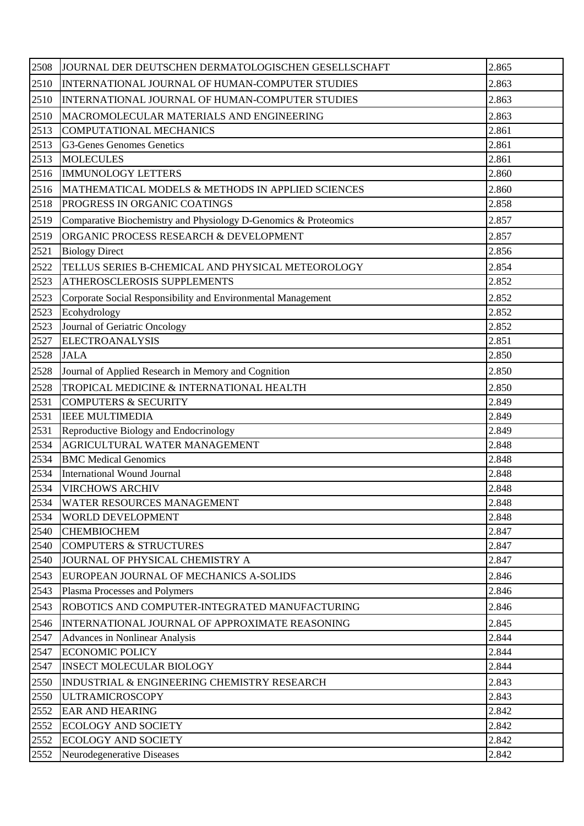| 2508 | JOURNAL DER DEUTSCHEN DERMATOLOGISCHEN GESELLSCHAFT             | 2.865 |
|------|-----------------------------------------------------------------|-------|
| 2510 | INTERNATIONAL JOURNAL OF HUMAN-COMPUTER STUDIES                 | 2.863 |
| 2510 | INTERNATIONAL JOURNAL OF HUMAN-COMPUTER STUDIES                 | 2.863 |
| 2510 | MACROMOLECULAR MATERIALS AND ENGINEERING                        | 2.863 |
| 2513 | <b>COMPUTATIONAL MECHANICS</b>                                  | 2.861 |
| 2513 | G3-Genes Genomes Genetics                                       | 2.861 |
| 2513 | <b>MOLECULES</b>                                                | 2.861 |
| 2516 | <b>IMMUNOLOGY LETTERS</b>                                       | 2.860 |
| 2516 | MATHEMATICAL MODELS & METHODS IN APPLIED SCIENCES               | 2.860 |
| 2518 | PROGRESS IN ORGANIC COATINGS                                    | 2.858 |
| 2519 | Comparative Biochemistry and Physiology D-Genomics & Proteomics | 2.857 |
| 2519 | ORGANIC PROCESS RESEARCH & DEVELOPMENT                          | 2.857 |
| 2521 | <b>Biology Direct</b>                                           | 2.856 |
| 2522 | TELLUS SERIES B-CHEMICAL AND PHYSICAL METEOROLOGY               | 2.854 |
| 2523 | ATHEROSCLEROSIS SUPPLEMENTS                                     | 2.852 |
| 2523 | Corporate Social Responsibility and Environmental Management    | 2.852 |
| 2523 | Ecohydrology                                                    | 2.852 |
| 2523 | Journal of Geriatric Oncology                                   | 2.852 |
| 2527 | <b>ELECTROANALYSIS</b>                                          | 2.851 |
| 2528 | <b>JALA</b>                                                     | 2.850 |
| 2528 | Journal of Applied Research in Memory and Cognition             | 2.850 |
| 2528 | TROPICAL MEDICINE & INTERNATIONAL HEALTH                        | 2.850 |
| 2531 | <b>COMPUTERS &amp; SECURITY</b>                                 | 2.849 |
| 2531 | <b>IEEE MULTIMEDIA</b>                                          | 2.849 |
| 2531 | Reproductive Biology and Endocrinology                          | 2.849 |
| 2534 | AGRICULTURAL WATER MANAGEMENT                                   | 2.848 |
| 2534 | <b>BMC</b> Medical Genomics                                     | 2.848 |
| 2534 | International Wound Journal                                     | 2.848 |
| 2534 | <b>VIRCHOWS ARCHIV</b>                                          | 2.848 |
| 2534 | <b>WATER RESOURCES MANAGEMENT</b>                               | 2.848 |
| 2534 | WORLD DEVELOPMENT                                               | 2.848 |
| 2540 | <b>CHEMBIOCHEM</b>                                              | 2.847 |
| 2540 | <b>COMPUTERS &amp; STRUCTURES</b>                               | 2.847 |
| 2540 | JOURNAL OF PHYSICAL CHEMISTRY A                                 | 2.847 |
| 2543 | EUROPEAN JOURNAL OF MECHANICS A-SOLIDS                          | 2.846 |
| 2543 | Plasma Processes and Polymers                                   | 2.846 |
| 2543 | ROBOTICS AND COMPUTER-INTEGRATED MANUFACTURING                  | 2.846 |
| 2546 | INTERNATIONAL JOURNAL OF APPROXIMATE REASONING                  | 2.845 |
| 2547 | Advances in Nonlinear Analysis                                  | 2.844 |
| 2547 | <b>ECONOMIC POLICY</b>                                          | 2.844 |
| 2547 | <b>INSECT MOLECULAR BIOLOGY</b>                                 | 2.844 |
| 2550 | <b>INDUSTRIAL &amp; ENGINEERING CHEMISTRY RESEARCH</b>          | 2.843 |
| 2550 | <b>ULTRAMICROSCOPY</b>                                          | 2.843 |
| 2552 | <b>EAR AND HEARING</b>                                          | 2.842 |
| 2552 | <b>ECOLOGY AND SOCIETY</b>                                      | 2.842 |
| 2552 | <b>ECOLOGY AND SOCIETY</b>                                      | 2.842 |
| 2552 | Neurodegenerative Diseases                                      | 2.842 |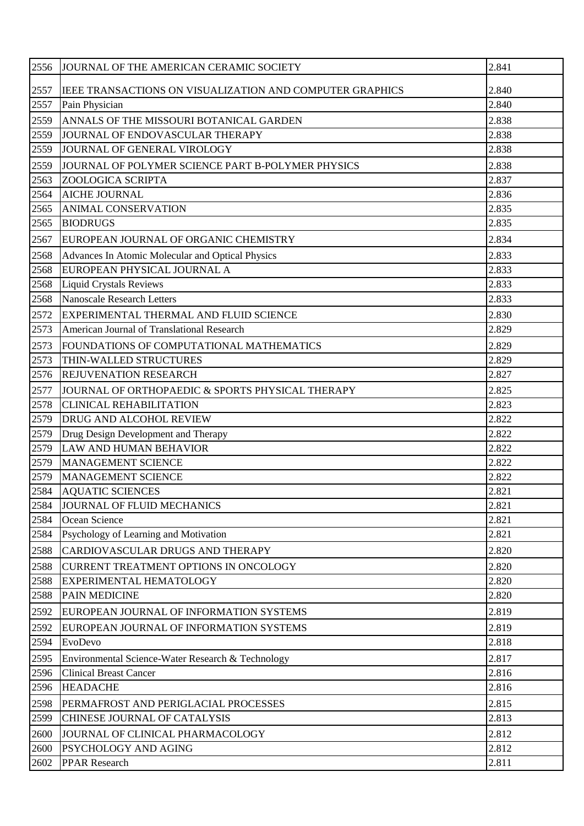| 2556 | JOURNAL OF THE AMERICAN CERAMIC SOCIETY                  | 2.841 |
|------|----------------------------------------------------------|-------|
| 2557 | IEEE TRANSACTIONS ON VISUALIZATION AND COMPUTER GRAPHICS | 2.840 |
| 2557 | Pain Physician                                           | 2.840 |
| 2559 | ANNALS OF THE MISSOURI BOTANICAL GARDEN                  | 2.838 |
| 2559 | JOURNAL OF ENDOVASCULAR THERAPY                          | 2.838 |
| 2559 | JOURNAL OF GENERAL VIROLOGY                              | 2.838 |
| 2559 | JOURNAL OF POLYMER SCIENCE PART B-POLYMER PHYSICS        | 2.838 |
| 2563 | ZOOLOGICA SCRIPTA                                        | 2.837 |
| 2564 | <b>AICHE JOURNAL</b>                                     | 2.836 |
| 2565 | <b>ANIMAL CONSERVATION</b>                               | 2.835 |
| 2565 | <b>BIODRUGS</b>                                          | 2.835 |
| 2567 | EUROPEAN JOURNAL OF ORGANIC CHEMISTRY                    | 2.834 |
| 2568 | Advances In Atomic Molecular and Optical Physics         | 2.833 |
| 2568 | EUROPEAN PHYSICAL JOURNAL A                              | 2.833 |
| 2568 | <b>Liquid Crystals Reviews</b>                           | 2.833 |
| 2568 | <b>Nanoscale Research Letters</b>                        | 2.833 |
| 2572 | EXPERIMENTAL THERMAL AND FLUID SCIENCE                   | 2.830 |
| 2573 | American Journal of Translational Research               | 2.829 |
| 2573 | FOUNDATIONS OF COMPUTATIONAL MATHEMATICS                 | 2.829 |
| 2573 | THIN-WALLED STRUCTURES                                   | 2.829 |
| 2576 | <b>REJUVENATION RESEARCH</b>                             | 2.827 |
| 2577 | JOURNAL OF ORTHOPAEDIC & SPORTS PHYSICAL THERAPY         | 2.825 |
| 2578 | <b>CLINICAL REHABILITATION</b>                           | 2.823 |
| 2579 | DRUG AND ALCOHOL REVIEW                                  | 2.822 |
| 2579 | Drug Design Development and Therapy                      | 2.822 |
| 2579 | <b>LAW AND HUMAN BEHAVIOR</b>                            | 2.822 |
| 2579 | <b>MANAGEMENT SCIENCE</b>                                | 2.822 |
| 2579 | MANAGEMENT SCIENCE                                       | 2.822 |
| 2584 | <b>AQUATIC SCIENCES</b>                                  | 2.821 |
| 2584 | JOURNAL OF FLUID MECHANICS                               | 2.821 |
| 2584 | Ocean Science                                            | 2.821 |
| 2584 | Psychology of Learning and Motivation                    | 2.821 |
| 2588 | CARDIOVASCULAR DRUGS AND THERAPY                         | 2.820 |
| 2588 | CURRENT TREATMENT OPTIONS IN ONCOLOGY                    | 2.820 |
| 2588 | <b>EXPERIMENTAL HEMATOLOGY</b>                           | 2.820 |
| 2588 | <b>PAIN MEDICINE</b>                                     | 2.820 |
| 2592 | EUROPEAN JOURNAL OF INFORMATION SYSTEMS                  | 2.819 |
| 2592 | EUROPEAN JOURNAL OF INFORMATION SYSTEMS                  | 2.819 |
| 2594 | EvoDevo                                                  | 2.818 |
| 2595 | Environmental Science-Water Research & Technology        | 2.817 |
| 2596 | <b>Clinical Breast Cancer</b>                            | 2.816 |
| 2596 | <b>HEADACHE</b>                                          | 2.816 |
| 2598 | PERMAFROST AND PERIGLACIAL PROCESSES                     | 2.815 |
| 2599 | CHINESE JOURNAL OF CATALYSIS                             | 2.813 |
| 2600 | JOURNAL OF CLINICAL PHARMACOLOGY                         | 2.812 |
| 2600 | PSYCHOLOGY AND AGING                                     | 2.812 |
| 2602 | <b>PPAR Research</b>                                     | 2.811 |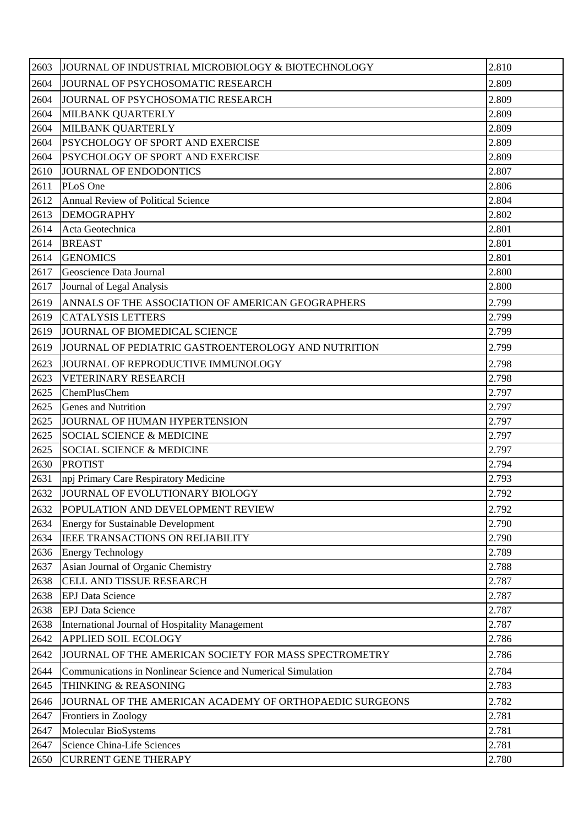| 2603 | JOURNAL OF INDUSTRIAL MICROBIOLOGY & BIOTECHNOLOGY           | 2.810 |
|------|--------------------------------------------------------------|-------|
| 2604 | JOURNAL OF PSYCHOSOMATIC RESEARCH                            | 2.809 |
| 2604 | JOURNAL OF PSYCHOSOMATIC RESEARCH                            | 2.809 |
| 2604 | <b>MILBANK QUARTERLY</b>                                     | 2.809 |
| 2604 | MILBANK QUARTERLY                                            | 2.809 |
| 2604 | <b>PSYCHOLOGY OF SPORT AND EXERCISE</b>                      | 2.809 |
| 2604 | <b>PSYCHOLOGY OF SPORT AND EXERCISE</b>                      | 2.809 |
| 2610 | JOURNAL OF ENDODONTICS                                       | 2.807 |
| 2611 | PLoS One                                                     | 2.806 |
| 2612 | Annual Review of Political Science                           | 2.804 |
| 2613 | <b>DEMOGRAPHY</b>                                            | 2.802 |
| 2614 | Acta Geotechnica                                             | 2.801 |
| 2614 | <b>BREAST</b>                                                | 2.801 |
| 2614 | <b>GENOMICS</b>                                              | 2.801 |
| 2617 | Geoscience Data Journal                                      | 2.800 |
| 2617 | Journal of Legal Analysis                                    | 2.800 |
| 2619 | ANNALS OF THE ASSOCIATION OF AMERICAN GEOGRAPHERS            | 2.799 |
| 2619 | <b>CATALYSIS LETTERS</b>                                     | 2.799 |
| 2619 | JOURNAL OF BIOMEDICAL SCIENCE                                | 2.799 |
| 2619 | JOURNAL OF PEDIATRIC GASTROENTEROLOGY AND NUTRITION          | 2.799 |
| 2623 | JOURNAL OF REPRODUCTIVE IMMUNOLOGY                           | 2.798 |
| 2623 | <b>VETERINARY RESEARCH</b>                                   | 2.798 |
| 2625 | ChemPlusChem                                                 | 2.797 |
| 2625 | <b>Genes and Nutrition</b>                                   | 2.797 |
| 2625 | JOURNAL OF HUMAN HYPERTENSION                                | 2.797 |
| 2625 | <b>SOCIAL SCIENCE &amp; MEDICINE</b>                         | 2.797 |
| 2625 | SOCIAL SCIENCE & MEDICINE                                    | 2.797 |
| 2630 | <b>PROTIST</b>                                               | 2.794 |
| 2631 | npj Primary Care Respiratory Medicine                        | 2.793 |
| 2632 | JOURNAL OF EVOLUTIONARY BIOLOGY                              | 2.792 |
| 2632 | POPULATION AND DEVELOPMENT REVIEW                            | 2.792 |
| 2634 | <b>Energy for Sustainable Development</b>                    | 2.790 |
| 2634 | IEEE TRANSACTIONS ON RELIABILITY                             | 2.790 |
| 2636 | <b>Energy Technology</b>                                     | 2.789 |
| 2637 | Asian Journal of Organic Chemistry                           | 2.788 |
| 2638 | <b>CELL AND TISSUE RESEARCH</b>                              | 2.787 |
| 2638 | <b>EPJ</b> Data Science                                      | 2.787 |
| 2638 | <b>EPJ</b> Data Science                                      | 2.787 |
| 2638 | International Journal of Hospitality Management              | 2.787 |
| 2642 | APPLIED SOIL ECOLOGY                                         | 2.786 |
| 2642 | JOURNAL OF THE AMERICAN SOCIETY FOR MASS SPECTROMETRY        | 2.786 |
| 2644 | Communications in Nonlinear Science and Numerical Simulation | 2.784 |
| 2645 | THINKING & REASONING                                         | 2.783 |
| 2646 | JOURNAL OF THE AMERICAN ACADEMY OF ORTHOPAEDIC SURGEONS      | 2.782 |
| 2647 | Frontiers in Zoology                                         | 2.781 |
| 2647 | Molecular BioSystems                                         | 2.781 |
| 2647 | Science China-Life Sciences                                  | 2.781 |
| 2650 | <b>CURRENT GENE THERAPY</b>                                  | 2.780 |
|      |                                                              |       |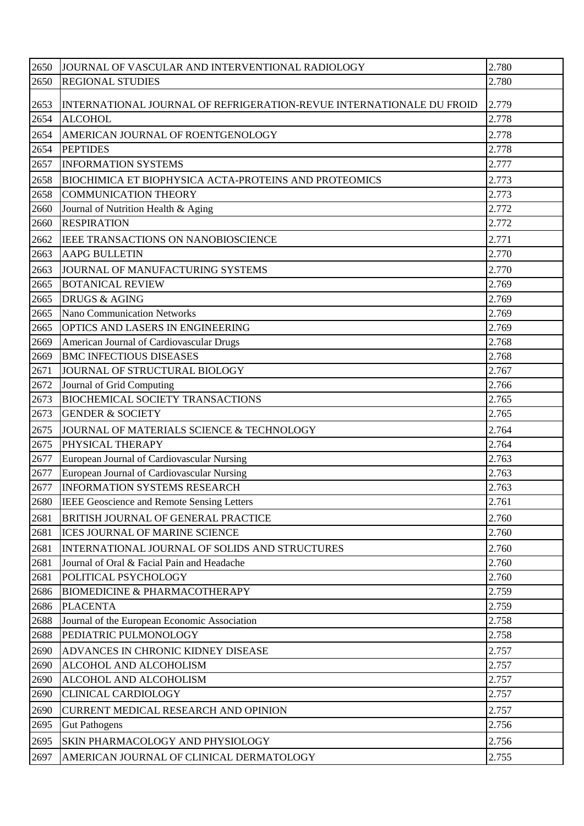| 2650         | JOURNAL OF VASCULAR AND INTERVENTIONAL RADIOLOGY                     | 2.780          |
|--------------|----------------------------------------------------------------------|----------------|
| 2650         | <b>REGIONAL STUDIES</b>                                              | 2.780          |
| 2653         | INTERNATIONAL JOURNAL OF REFRIGERATION-REVUE INTERNATIONALE DU FROID | 2.779          |
| 2654         | <b>ALCOHOL</b>                                                       | 2.778          |
| 2654         | AMERICAN JOURNAL OF ROENTGENOLOGY                                    | 2.778          |
| 2654         | <b>PEPTIDES</b>                                                      | 2.778          |
| 2657         | <b>INFORMATION SYSTEMS</b>                                           | 2.777          |
| 2658         | <b>BIOCHIMICA ET BIOPHYSICA ACTA-PROTEINS AND PROTEOMICS</b>         | 2.773          |
| 2658         | <b>COMMUNICATION THEORY</b>                                          | 2.773          |
| 2660         | Journal of Nutrition Health & Aging                                  | 2.772          |
| 2660         | <b>RESPIRATION</b>                                                   | 2.772          |
| 2662         | IEEE TRANSACTIONS ON NANOBIOSCIENCE                                  | 2.771          |
| 2663         | <b>AAPG BULLETIN</b>                                                 | 2.770          |
| 2663         | JOURNAL OF MANUFACTURING SYSTEMS                                     | 2.770          |
| 2665         | <b>BOTANICAL REVIEW</b>                                              | 2.769          |
| 2665         | <b>DRUGS &amp; AGING</b>                                             | 2.769          |
| 2665         | <b>Nano Communication Networks</b>                                   | 2.769          |
| 2665         | OPTICS AND LASERS IN ENGINEERING                                     | 2.769          |
| 2669         | American Journal of Cardiovascular Drugs                             | 2.768          |
| 2669         | <b>BMC INFECTIOUS DISEASES</b>                                       | 2.768          |
| 2671         | JOURNAL OF STRUCTURAL BIOLOGY                                        | 2.767          |
| 2672         | Journal of Grid Computing                                            | 2.766          |
| 2673         | <b>BIOCHEMICAL SOCIETY TRANSACTIONS</b>                              | 2.765          |
| 2673         | <b>GENDER &amp; SOCIETY</b>                                          | 2.765          |
| 2675         | JOURNAL OF MATERIALS SCIENCE & TECHNOLOGY                            | 2.764          |
| 2675         | PHYSICAL THERAPY                                                     | 2.764          |
| 2677         | European Journal of Cardiovascular Nursing                           | 2.763          |
| 2677         | European Journal of Cardiovascular Nursing                           | 2.763          |
| 2677         | <b>INFORMATION SYSTEMS RESEARCH</b>                                  | 2.763          |
| 2680         | IEEE Geoscience and Remote Sensing Letters                           | 2.761          |
| 2681         | BRITISH JOURNAL OF GENERAL PRACTICE                                  | 2.760          |
| 2681         | ICES JOURNAL OF MARINE SCIENCE                                       | 2.760          |
| 2681         | INTERNATIONAL JOURNAL OF SOLIDS AND STRUCTURES                       | 2.760          |
| 2681         | Journal of Oral & Facial Pain and Headache                           | 2.760          |
| 2681         | POLITICAL PSYCHOLOGY                                                 | 2.760          |
| 2686         | <b>BIOMEDICINE &amp; PHARMACOTHERAPY</b>                             | 2.759<br>2.759 |
| 2686<br>2688 | <b>PLACENTA</b><br>Journal of the European Economic Association      | 2.758          |
| 2688         | PEDIATRIC PULMONOLOGY                                                | 2.758          |
| 2690         | ADVANCES IN CHRONIC KIDNEY DISEASE                                   | 2.757          |
| 2690         | ALCOHOL AND ALCOHOLISM                                               | 2.757          |
| 2690         | ALCOHOL AND ALCOHOLISM                                               | 2.757          |
| 2690         | <b>CLINICAL CARDIOLOGY</b>                                           | 2.757          |
| 2690         | <b>CURRENT MEDICAL RESEARCH AND OPINION</b>                          | 2.757          |
| 2695         | <b>Gut Pathogens</b>                                                 | 2.756          |
|              |                                                                      |                |
| 2695         | SKIN PHARMACOLOGY AND PHYSIOLOGY                                     | 2.756          |
| 2697         | AMERICAN JOURNAL OF CLINICAL DERMATOLOGY                             | 2.755          |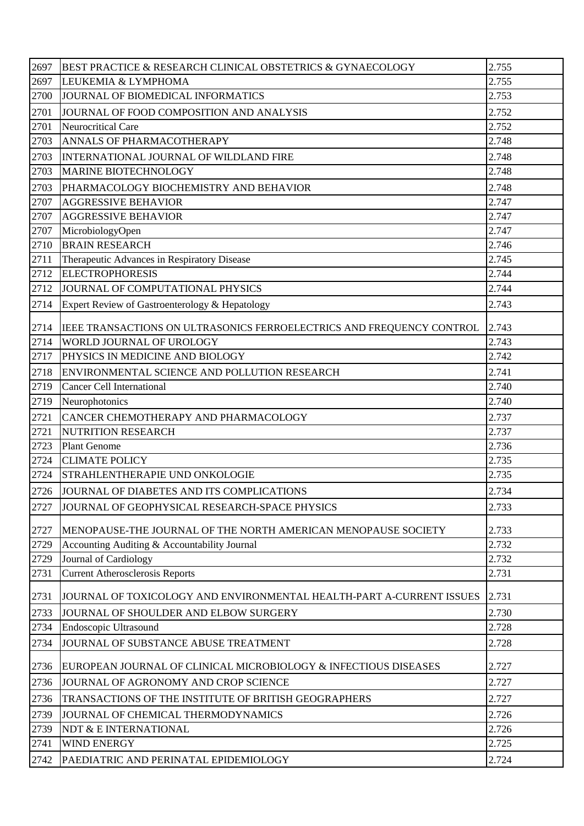| 2697 | BEST PRACTICE & RESEARCH CLINICAL OBSTETRICS & GYNAECOLOGY            | 2.755 |
|------|-----------------------------------------------------------------------|-------|
| 2697 | LEUKEMIA & LYMPHOMA                                                   | 2.755 |
| 2700 | JOURNAL OF BIOMEDICAL INFORMATICS                                     | 2.753 |
| 2701 | JOURNAL OF FOOD COMPOSITION AND ANALYSIS                              | 2.752 |
| 2701 | Neurocritical Care                                                    | 2.752 |
| 2703 | <b>ANNALS OF PHARMACOTHERAPY</b>                                      | 2.748 |
| 2703 | INTERNATIONAL JOURNAL OF WILDLAND FIRE                                | 2.748 |
| 2703 | <b>MARINE BIOTECHNOLOGY</b>                                           | 2.748 |
| 2703 | PHARMACOLOGY BIOCHEMISTRY AND BEHAVIOR                                | 2.748 |
| 2707 | <b>AGGRESSIVE BEHAVIOR</b>                                            | 2.747 |
| 2707 | <b>AGGRESSIVE BEHAVIOR</b>                                            | 2.747 |
| 2707 | MicrobiologyOpen                                                      | 2.747 |
| 2710 | <b>BRAIN RESEARCH</b>                                                 | 2.746 |
| 2711 | Therapeutic Advances in Respiratory Disease                           | 2.745 |
| 2712 | <b>ELECTROPHORESIS</b>                                                | 2.744 |
| 2712 | JOURNAL OF COMPUTATIONAL PHYSICS                                      | 2.744 |
| 2714 | Expert Review of Gastroenterology & Hepatology                        | 2.743 |
| 2714 | IEEE TRANSACTIONS ON ULTRASONICS FERROELECTRICS AND FREQUENCY CONTROL | 2.743 |
| 2714 | <b>WORLD JOURNAL OF UROLOGY</b>                                       | 2.743 |
| 2717 | PHYSICS IN MEDICINE AND BIOLOGY                                       | 2.742 |
| 2718 | ENVIRONMENTAL SCIENCE AND POLLUTION RESEARCH                          | 2.741 |
| 2719 | <b>Cancer Cell International</b>                                      | 2.740 |
| 2719 | Neurophotonics                                                        | 2.740 |
| 2721 | CANCER CHEMOTHERAPY AND PHARMACOLOGY                                  | 2.737 |
| 2721 | NUTRITION RESEARCH                                                    | 2.737 |
| 2723 | <b>Plant Genome</b>                                                   | 2.736 |
| 2724 | <b>CLIMATE POLICY</b>                                                 | 2.735 |
| 2724 | <b>STRAHLENTHERAPIE UND ONKOLOGIE</b>                                 | 2.735 |
| 2726 | JOURNAL OF DIABETES AND ITS COMPLICATIONS                             | 2.734 |
| 2727 | JOURNAL OF GEOPHYSICAL RESEARCH-SPACE PHYSICS                         | 2.733 |
| 2727 | MENOPAUSE-THE JOURNAL OF THE NORTH AMERICAN MENOPAUSE SOCIETY         | 2.733 |
| 2729 | Accounting Auditing & Accountability Journal                          | 2.732 |
| 2729 | Journal of Cardiology                                                 | 2.732 |
| 2731 | <b>Current Atherosclerosis Reports</b>                                | 2.731 |
| 2731 | JOURNAL OF TOXICOLOGY AND ENVIRONMENTAL HEALTH-PART A-CURRENT ISSUES  | 2.731 |
| 2733 | JOURNAL OF SHOULDER AND ELBOW SURGERY                                 | 2.730 |
| 2734 | Endoscopic Ultrasound                                                 | 2.728 |
| 2734 | JOURNAL OF SUBSTANCE ABUSE TREATMENT                                  | 2.728 |
| 2736 | EUROPEAN JOURNAL OF CLINICAL MICROBIOLOGY & INFECTIOUS DISEASES       | 2.727 |
| 2736 | JOURNAL OF AGRONOMY AND CROP SCIENCE                                  | 2.727 |
| 2736 | TRANSACTIONS OF THE INSTITUTE OF BRITISH GEOGRAPHERS                  | 2.727 |
| 2739 | JOURNAL OF CHEMICAL THERMODYNAMICS                                    | 2.726 |
| 2739 | NDT & E INTERNATIONAL                                                 | 2.726 |
| 2741 | <b>WIND ENERGY</b>                                                    | 2.725 |
| 2742 | PAEDIATRIC AND PERINATAL EPIDEMIOLOGY                                 | 2.724 |
|      |                                                                       |       |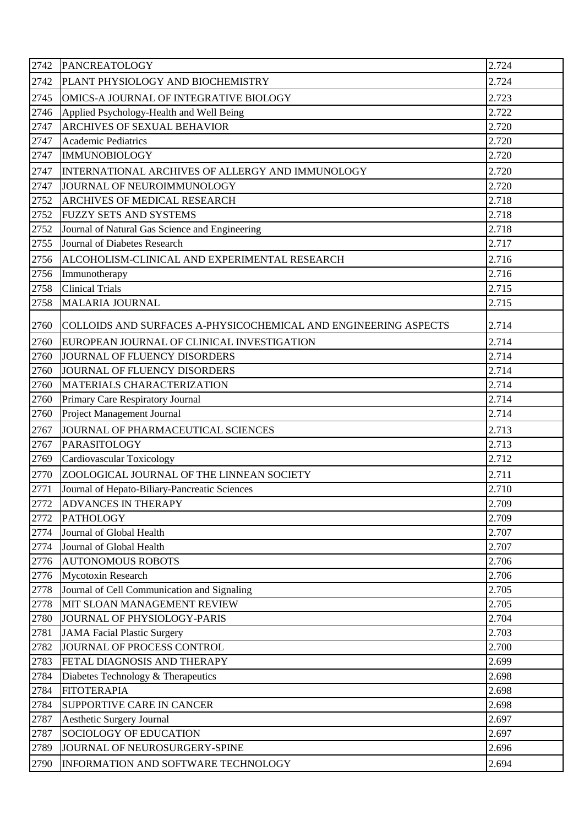| 2742 | PANCREATOLOGY                                                   | 2.724 |
|------|-----------------------------------------------------------------|-------|
| 2742 | PLANT PHYSIOLOGY AND BIOCHEMISTRY                               | 2.724 |
| 2745 | OMICS-A JOURNAL OF INTEGRATIVE BIOLOGY                          | 2.723 |
| 2746 | Applied Psychology-Health and Well Being                        | 2.722 |
| 2747 | <b>ARCHIVES OF SEXUAL BEHAVIOR</b>                              | 2.720 |
| 2747 | <b>Academic Pediatrics</b>                                      | 2.720 |
| 2747 | <b>IMMUNOBIOLOGY</b>                                            | 2.720 |
| 2747 | INTERNATIONAL ARCHIVES OF ALLERGY AND IMMUNOLOGY                | 2.720 |
| 2747 | JOURNAL OF NEUROIMMUNOLOGY                                      | 2.720 |
| 2752 | ARCHIVES OF MEDICAL RESEARCH                                    | 2.718 |
| 2752 | <b>FUZZY SETS AND SYSTEMS</b>                                   | 2.718 |
| 2752 | Journal of Natural Gas Science and Engineering                  | 2.718 |
| 2755 | Journal of Diabetes Research                                    | 2.717 |
| 2756 | ALCOHOLISM-CLINICAL AND EXPERIMENTAL RESEARCH                   | 2.716 |
| 2756 | Immunotherapy                                                   | 2.716 |
| 2758 | <b>Clinical Trials</b>                                          | 2.715 |
| 2758 | <b>MALARIA JOURNAL</b>                                          | 2.715 |
| 2760 | COLLOIDS AND SURFACES A-PHYSICOCHEMICAL AND ENGINEERING ASPECTS | 2.714 |
| 2760 | EUROPEAN JOURNAL OF CLINICAL INVESTIGATION                      | 2.714 |
| 2760 | JOURNAL OF FLUENCY DISORDERS                                    | 2.714 |
| 2760 | JOURNAL OF FLUENCY DISORDERS                                    | 2.714 |
| 2760 | MATERIALS CHARACTERIZATION                                      | 2.714 |
| 2760 | Primary Care Respiratory Journal                                | 2.714 |
| 2760 | Project Management Journal                                      | 2.714 |
| 2767 | JOURNAL OF PHARMACEUTICAL SCIENCES                              | 2.713 |
| 2767 | PARASITOLOGY                                                    | 2.713 |
| 2769 | Cardiovascular Toxicology                                       | 2.712 |
| 2770 | ZOOLOGICAL JOURNAL OF THE LINNEAN SOCIETY                       | 2.711 |
| 2771 | Journal of Hepato-Biliary-Pancreatic Sciences                   | 2.710 |
| 2772 | <b>ADVANCES IN THERAPY</b>                                      | 2.709 |
| 2772 | <b>PATHOLOGY</b>                                                | 2.709 |
| 2774 | Journal of Global Health                                        | 2.707 |
| 2774 | Journal of Global Health                                        | 2.707 |
| 2776 | <b>AUTONOMOUS ROBOTS</b>                                        | 2.706 |
| 2776 | Mycotoxin Research                                              | 2.706 |
| 2778 | Journal of Cell Communication and Signaling                     | 2.705 |
| 2778 | MIT SLOAN MANAGEMENT REVIEW                                     | 2.705 |
| 2780 | JOURNAL OF PHYSIOLOGY-PARIS                                     | 2.704 |
| 2781 | <b>JAMA Facial Plastic Surgery</b>                              | 2.703 |
| 2782 | JOURNAL OF PROCESS CONTROL                                      | 2.700 |
| 2783 | FETAL DIAGNOSIS AND THERAPY                                     | 2.699 |
| 2784 | Diabetes Technology & Therapeutics                              | 2.698 |
| 2784 | <b>FITOTERAPIA</b>                                              | 2.698 |
| 2784 | SUPPORTIVE CARE IN CANCER                                       | 2.698 |
| 2787 | <b>Aesthetic Surgery Journal</b>                                | 2.697 |
| 2787 | SOCIOLOGY OF EDUCATION                                          | 2.697 |
| 2789 | JOURNAL OF NEUROSURGERY-SPINE                                   | 2.696 |
| 2790 | INFORMATION AND SOFTWARE TECHNOLOGY                             | 2.694 |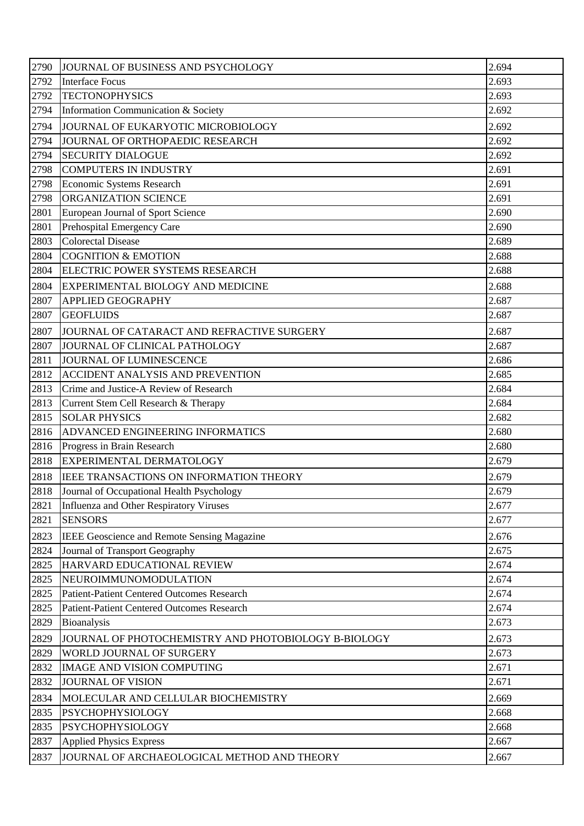| 2790 | JOURNAL OF BUSINESS AND PSYCHOLOGY                   | 2.694 |
|------|------------------------------------------------------|-------|
| 2792 | <b>Interface Focus</b>                               | 2.693 |
| 2792 | <b>TECTONOPHYSICS</b>                                | 2.693 |
| 2794 | Information Communication & Society                  | 2.692 |
| 2794 | JOURNAL OF EUKARYOTIC MICROBIOLOGY                   | 2.692 |
| 2794 | JOURNAL OF ORTHOPAEDIC RESEARCH                      | 2.692 |
| 2794 | <b>SECURITY DIALOGUE</b>                             | 2.692 |
| 2798 | <b>COMPUTERS IN INDUSTRY</b>                         | 2.691 |
| 2798 | Economic Systems Research                            | 2.691 |
| 2798 | ORGANIZATION SCIENCE                                 | 2.691 |
| 2801 | European Journal of Sport Science                    | 2.690 |
| 2801 | Prehospital Emergency Care                           | 2.690 |
| 2803 | <b>Colorectal Disease</b>                            | 2.689 |
| 2804 | <b>COGNITION &amp; EMOTION</b>                       | 2.688 |
| 2804 | ELECTRIC POWER SYSTEMS RESEARCH                      | 2.688 |
| 2804 | EXPERIMENTAL BIOLOGY AND MEDICINE                    | 2.688 |
| 2807 | <b>APPLIED GEOGRAPHY</b>                             | 2.687 |
| 2807 | <b>GEOFLUIDS</b>                                     | 2.687 |
| 2807 | JOURNAL OF CATARACT AND REFRACTIVE SURGERY           | 2.687 |
| 2807 | JOURNAL OF CLINICAL PATHOLOGY                        | 2.687 |
| 2811 | JOURNAL OF LUMINESCENCE                              | 2.686 |
| 2812 | <b>ACCIDENT ANALYSIS AND PREVENTION</b>              | 2.685 |
| 2813 | Crime and Justice-A Review of Research               | 2.684 |
| 2813 | Current Stem Cell Research & Therapy                 | 2.684 |
| 2815 | <b>SOLAR PHYSICS</b>                                 | 2.682 |
| 2816 | <b>ADVANCED ENGINEERING INFORMATICS</b>              | 2.680 |
| 2816 | Progress in Brain Research                           | 2.680 |
| 2818 | <b>EXPERIMENTAL DERMATOLOGY</b>                      | 2.679 |
| 2818 | IEEE TRANSACTIONS ON INFORMATION THEORY              | 2.679 |
| 2818 | Journal of Occupational Health Psychology            | 2.679 |
| 2821 | Influenza and Other Respiratory Viruses              | 2.677 |
| 2821 | <b>SENSORS</b>                                       | 2.677 |
| 2823 | <b>IEEE Geoscience and Remote Sensing Magazine</b>   | 2.676 |
| 2824 | Journal of Transport Geography                       | 2.675 |
| 2825 | HARVARD EDUCATIONAL REVIEW                           | 2.674 |
| 2825 | NEUROIMMUNOMODULATION                                | 2.674 |
| 2825 | <b>Patient-Patient Centered Outcomes Research</b>    | 2.674 |
| 2825 | <b>Patient-Patient Centered Outcomes Research</b>    | 2.674 |
| 2829 | Bioanalysis                                          | 2.673 |
| 2829 | JOURNAL OF PHOTOCHEMISTRY AND PHOTOBIOLOGY B-BIOLOGY | 2.673 |
| 2829 | WORLD JOURNAL OF SURGERY                             | 2.673 |
| 2832 | <b>IMAGE AND VISION COMPUTING</b>                    | 2.671 |
| 2832 | <b>JOURNAL OF VISION</b>                             | 2.671 |
| 2834 | MOLECULAR AND CELLULAR BIOCHEMISTRY                  | 2.669 |
| 2835 | <b>PSYCHOPHYSIOLOGY</b>                              | 2.668 |
| 2835 | <b>PSYCHOPHYSIOLOGY</b>                              | 2.668 |
| 2837 | <b>Applied Physics Express</b>                       | 2.667 |
| 2837 | JOURNAL OF ARCHAEOLOGICAL METHOD AND THEORY          | 2.667 |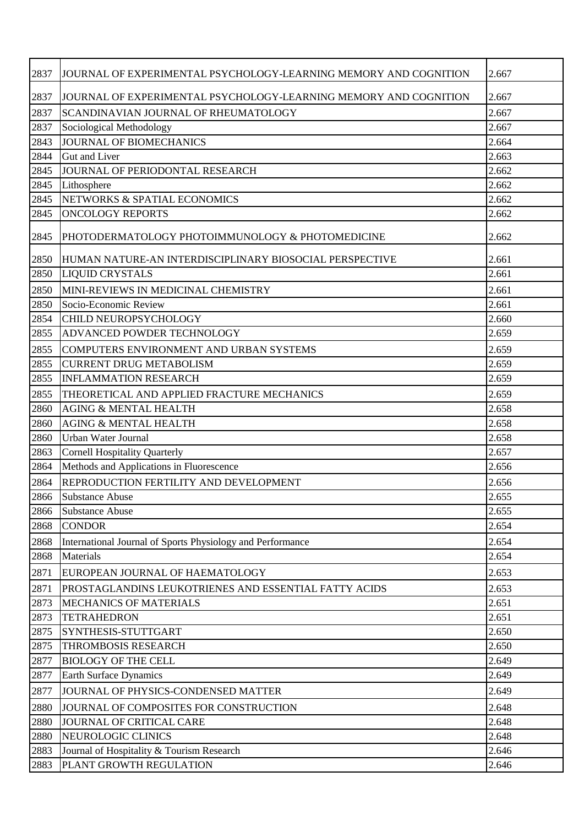| 2837 | JOURNAL OF EXPERIMENTAL PSYCHOLOGY-LEARNING MEMORY AND COGNITION | 2.667 |
|------|------------------------------------------------------------------|-------|
| 2837 | JOURNAL OF EXPERIMENTAL PSYCHOLOGY-LEARNING MEMORY AND COGNITION | 2.667 |
| 2837 | SCANDINAVIAN JOURNAL OF RHEUMATOLOGY                             | 2.667 |
| 2837 | Sociological Methodology                                         | 2.667 |
| 2843 | JOURNAL OF BIOMECHANICS                                          | 2.664 |
| 2844 | <b>Gut and Liver</b>                                             | 2.663 |
| 2845 | JOURNAL OF PERIODONTAL RESEARCH                                  | 2.662 |
| 2845 | Lithosphere                                                      | 2.662 |
| 2845 | NETWORKS & SPATIAL ECONOMICS                                     | 2.662 |
| 2845 | <b>ONCOLOGY REPORTS</b>                                          | 2.662 |
| 2845 | PHOTODERMATOLOGY PHOTOIMMUNOLOGY & PHOTOMEDICINE                 | 2.662 |
| 2850 | HUMAN NATURE-AN INTERDISCIPLINARY BIOSOCIAL PERSPECTIVE          | 2.661 |
| 2850 | <b>LIQUID CRYSTALS</b>                                           | 2.661 |
| 2850 | MINI-REVIEWS IN MEDICINAL CHEMISTRY                              | 2.661 |
| 2850 | Socio-Economic Review                                            | 2.661 |
| 2854 | CHILD NEUROPSYCHOLOGY                                            | 2.660 |
| 2855 | ADVANCED POWDER TECHNOLOGY                                       | 2.659 |
| 2855 | COMPUTERS ENVIRONMENT AND URBAN SYSTEMS                          | 2.659 |
| 2855 | <b>CURRENT DRUG METABOLISM</b>                                   | 2.659 |
| 2855 | <b>INFLAMMATION RESEARCH</b>                                     | 2.659 |
| 2855 | THEORETICAL AND APPLIED FRACTURE MECHANICS                       | 2.659 |
| 2860 | <b>AGING &amp; MENTAL HEALTH</b>                                 | 2.658 |
| 2860 | <b>AGING &amp; MENTAL HEALTH</b>                                 | 2.658 |
| 2860 | <b>Urban Water Journal</b>                                       | 2.658 |
| 2863 | <b>Cornell Hospitality Quarterly</b>                             | 2.657 |
| 2864 | Methods and Applications in Fluorescence                         | 2.656 |
| 2864 | REPRODUCTION FERTILITY AND DEVELOPMENT                           | 2.656 |
| 2866 | <b>Substance Abuse</b>                                           | 2.655 |
| 2866 | <b>Substance Abuse</b>                                           | 2.655 |
| 2868 | <b>CONDOR</b>                                                    | 2.654 |
| 2868 | International Journal of Sports Physiology and Performance       | 2.654 |
| 2868 | Materials                                                        | 2.654 |
| 2871 | EUROPEAN JOURNAL OF HAEMATOLOGY                                  | 2.653 |
| 2871 | PROSTAGLANDINS LEUKOTRIENES AND ESSENTIAL FATTY ACIDS            | 2.653 |
| 2873 | <b>MECHANICS OF MATERIALS</b>                                    | 2.651 |
| 2873 | <b>TETRAHEDRON</b>                                               | 2.651 |
| 2875 | SYNTHESIS-STUTTGART                                              | 2.650 |
| 2875 | THROMBOSIS RESEARCH                                              | 2.650 |
| 2877 | <b>BIOLOGY OF THE CELL</b>                                       | 2.649 |
| 2877 | Earth Surface Dynamics                                           | 2.649 |
| 2877 | JOURNAL OF PHYSICS-CONDENSED MATTER                              | 2.649 |
| 2880 | JOURNAL OF COMPOSITES FOR CONSTRUCTION                           | 2.648 |
| 2880 | JOURNAL OF CRITICAL CARE                                         | 2.648 |
| 2880 | NEUROLOGIC CLINICS                                               | 2.648 |
| 2883 | Journal of Hospitality & Tourism Research                        | 2.646 |
| 2883 | PLANT GROWTH REGULATION                                          | 2.646 |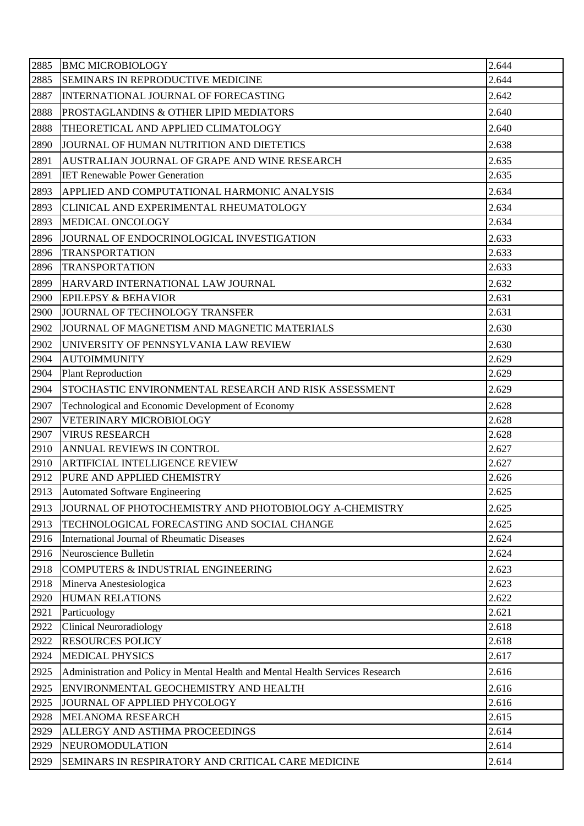| 2885 | <b>BMC MICROBIOLOGY</b>                                                        | 2.644 |
|------|--------------------------------------------------------------------------------|-------|
| 2885 | SEMINARS IN REPRODUCTIVE MEDICINE                                              | 2.644 |
| 2887 | INTERNATIONAL JOURNAL OF FORECASTING                                           | 2.642 |
| 2888 | PROSTAGLANDINS & OTHER LIPID MEDIATORS                                         | 2.640 |
| 2888 | THEORETICAL AND APPLIED CLIMATOLOGY                                            | 2.640 |
| 2890 | JOURNAL OF HUMAN NUTRITION AND DIETETICS                                       | 2.638 |
| 2891 | AUSTRALIAN JOURNAL OF GRAPE AND WINE RESEARCH                                  | 2.635 |
| 2891 | <b>IET Renewable Power Generation</b>                                          | 2.635 |
| 2893 | APPLIED AND COMPUTATIONAL HARMONIC ANALYSIS                                    | 2.634 |
| 2893 | CLINICAL AND EXPERIMENTAL RHEUMATOLOGY                                         | 2.634 |
| 2893 | MEDICAL ONCOLOGY                                                               | 2.634 |
| 2896 | JOURNAL OF ENDOCRINOLOGICAL INVESTIGATION                                      | 2.633 |
| 2896 | <b>TRANSPORTATION</b>                                                          | 2.633 |
| 2896 | <b>TRANSPORTATION</b>                                                          | 2.633 |
| 2899 | HARVARD INTERNATIONAL LAW JOURNAL                                              | 2.632 |
| 2900 | <b>EPILEPSY &amp; BEHAVIOR</b>                                                 | 2.631 |
| 2900 | JOURNAL OF TECHNOLOGY TRANSFER                                                 | 2.631 |
| 2902 | JOURNAL OF MAGNETISM AND MAGNETIC MATERIALS                                    | 2.630 |
| 2902 | UNIVERSITY OF PENNSYLVANIA LAW REVIEW                                          | 2.630 |
| 2904 | <b>AUTOIMMUNITY</b>                                                            | 2.629 |
| 2904 | <b>Plant Reproduction</b>                                                      | 2.629 |
| 2904 | STOCHASTIC ENVIRONMENTAL RESEARCH AND RISK ASSESSMENT                          | 2.629 |
| 2907 | Technological and Economic Development of Economy                              | 2.628 |
| 2907 | VETERINARY MICROBIOLOGY                                                        | 2.628 |
| 2907 | <b>VIRUS RESEARCH</b>                                                          | 2.628 |
| 2910 | ANNUAL REVIEWS IN CONTROL                                                      | 2.627 |
| 2910 | <b>ARTIFICIAL INTELLIGENCE REVIEW</b>                                          | 2.627 |
| 2912 | PURE AND APPLIED CHEMISTRY                                                     | 2.626 |
| 2913 | <b>Automated Software Engineering</b>                                          | 2.625 |
| 2913 | JOURNAL OF PHOTOCHEMISTRY AND PHOTOBIOLOGY A-CHEMISTRY                         | 2.625 |
| 2913 | TECHNOLOGICAL FORECASTING AND SOCIAL CHANGE                                    | 2.625 |
| 2916 | International Journal of Rheumatic Diseases                                    | 2.624 |
| 2916 | Neuroscience Bulletin                                                          | 2.624 |
| 2918 | COMPUTERS & INDUSTRIAL ENGINEERING                                             | 2.623 |
| 2918 | Minerva Anestesiologica                                                        | 2.623 |
| 2920 | <b>HUMAN RELATIONS</b>                                                         | 2.622 |
| 2921 | Particuology                                                                   | 2.621 |
| 2922 | <b>Clinical Neuroradiology</b>                                                 | 2.618 |
| 2922 | <b>RESOURCES POLICY</b>                                                        | 2.618 |
| 2924 | <b>MEDICAL PHYSICS</b>                                                         | 2.617 |
| 2925 | Administration and Policy in Mental Health and Mental Health Services Research | 2.616 |
| 2925 | ENVIRONMENTAL GEOCHEMISTRY AND HEALTH                                          | 2.616 |
| 2925 | JOURNAL OF APPLIED PHYCOLOGY                                                   | 2.616 |
| 2928 | <b>MELANOMA RESEARCH</b>                                                       | 2.615 |
| 2929 | ALLERGY AND ASTHMA PROCEEDINGS                                                 | 2.614 |
| 2929 | NEUROMODULATION                                                                | 2.614 |
| 2929 | SEMINARS IN RESPIRATORY AND CRITICAL CARE MEDICINE                             | 2.614 |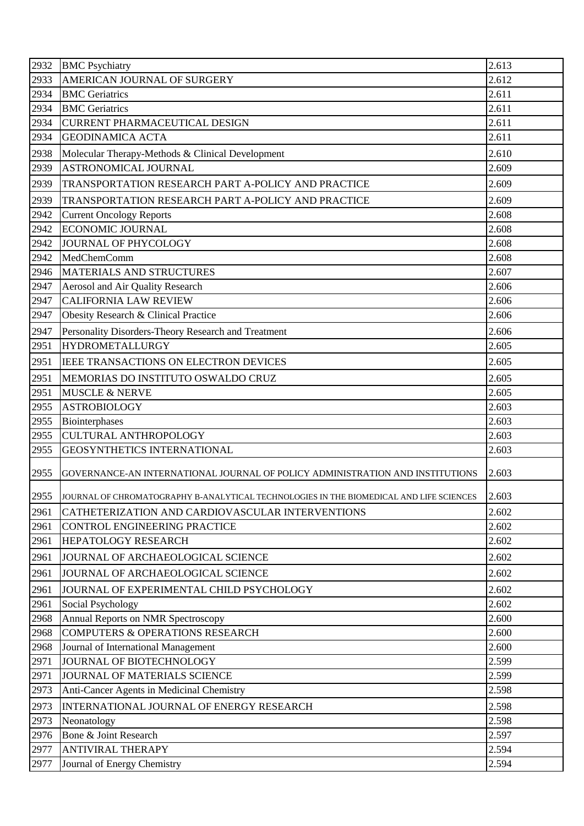| 2933<br>AMERICAN JOURNAL OF SURGERY<br>2.612<br>2.611<br>2934<br><b>BMC</b> Geriatrics<br>2934<br><b>BMC</b> Geriatrics<br>2.611<br>2934<br>2.611<br>CURRENT PHARMACEUTICAL DESIGN<br>2.611<br>2934<br><b>GEODINAMICA ACTA</b><br>2938<br>2.610<br>Molecular Therapy-Methods & Clinical Development<br>2939<br><b>ASTRONOMICAL JOURNAL</b><br>2.609<br>2939<br>2.609<br>TRANSPORTATION RESEARCH PART A-POLICY AND PRACTICE<br>2.609<br>2939<br>TRANSPORTATION RESEARCH PART A-POLICY AND PRACTICE<br>2942<br>2.608<br><b>Current Oncology Reports</b><br>2942<br>2.608<br><b>ECONOMIC JOURNAL</b><br>2942<br><b>JOURNAL OF PHYCOLOGY</b><br>2.608<br>MedChemComm<br>2942<br>2.608<br>2.607<br>2946<br>MATERIALS AND STRUCTURES<br>2947<br>2.606<br>Aerosol and Air Quality Research<br>2947<br><b>CALIFORNIA LAW REVIEW</b><br>2.606<br>2947<br>Obesity Research & Clinical Practice<br>2.606<br>2947<br>2.606<br>Personality Disorders-Theory Research and Treatment<br><b>HYDROMETALLURGY</b><br>2951<br>2.605<br>2.605<br>2951<br>IEEE TRANSACTIONS ON ELECTRON DEVICES<br>2951<br>2.605<br>MEMORIAS DO INSTITUTO OSWALDO CRUZ<br>2.605<br>2951<br><b>MUSCLE &amp; NERVE</b><br>2955<br><b>ASTROBIOLOGY</b><br>2.603<br>2.603<br>2955<br>Biointerphases<br><b>CULTURAL ANTHROPOLOGY</b><br>2.603<br>2955<br>2955<br>GEOSYNTHETICS INTERNATIONAL<br>2.603<br>2955<br>2.603<br>GOVERNANCE-AN INTERNATIONAL JOURNAL OF POLICY ADMINISTRATION AND INSTITUTIONS<br>2955<br>2.603<br>JOURNAL OF CHROMATOGRAPHY B-ANALYTICAL TECHNOLOGIES IN THE BIOMEDICAL AND LIFE SCIENCES<br>2961<br>2.602<br>CATHETERIZATION AND CARDIOVASCULAR INTERVENTIONS<br>2.602<br>2961<br><b>CONTROL ENGINEERING PRACTICE</b><br>2961<br><b>HEPATOLOGY RESEARCH</b><br>2.602<br>2961<br>JOURNAL OF ARCHAEOLOGICAL SCIENCE<br>2.602<br>2961<br>JOURNAL OF ARCHAEOLOGICAL SCIENCE<br>2.602<br>2.602<br>2961<br>JOURNAL OF EXPERIMENTAL CHILD PSYCHOLOGY<br>Social Psychology<br>2.602<br>2961<br>2.600<br>2968<br>Annual Reports on NMR Spectroscopy<br><b>COMPUTERS &amp; OPERATIONS RESEARCH</b><br>2.600<br>2968<br>2968<br>2.600<br>Journal of International Management<br>2971<br>JOURNAL OF BIOTECHNOLOGY<br>2.599<br>2.599<br>2971<br>JOURNAL OF MATERIALS SCIENCE<br>2.598<br>2973<br>Anti-Cancer Agents in Medicinal Chemistry<br>2973<br>INTERNATIONAL JOURNAL OF ENERGY RESEARCH<br>2.598<br>2.598<br>2973<br>Neonatology<br>Bone & Joint Research<br>2.597<br>2976<br>2977<br><b>ANTIVIRAL THERAPY</b><br>2.594<br>2.594<br>2977<br>Journal of Energy Chemistry | 2932 | <b>BMC Psychiatry</b> | 2.613 |
|----------------------------------------------------------------------------------------------------------------------------------------------------------------------------------------------------------------------------------------------------------------------------------------------------------------------------------------------------------------------------------------------------------------------------------------------------------------------------------------------------------------------------------------------------------------------------------------------------------------------------------------------------------------------------------------------------------------------------------------------------------------------------------------------------------------------------------------------------------------------------------------------------------------------------------------------------------------------------------------------------------------------------------------------------------------------------------------------------------------------------------------------------------------------------------------------------------------------------------------------------------------------------------------------------------------------------------------------------------------------------------------------------------------------------------------------------------------------------------------------------------------------------------------------------------------------------------------------------------------------------------------------------------------------------------------------------------------------------------------------------------------------------------------------------------------------------------------------------------------------------------------------------------------------------------------------------------------------------------------------------------------------------------------------------------------------------------------------------------------------------------------------------------------------------------------------------------------------------------------------------------------------------------------------------------------------------------------------------------------------------------------------------------------------------------------------------------------------------------------------------------------------------------------------------|------|-----------------------|-------|
|                                                                                                                                                                                                                                                                                                                                                                                                                                                                                                                                                                                                                                                                                                                                                                                                                                                                                                                                                                                                                                                                                                                                                                                                                                                                                                                                                                                                                                                                                                                                                                                                                                                                                                                                                                                                                                                                                                                                                                                                                                                                                                                                                                                                                                                                                                                                                                                                                                                                                                                                                    |      |                       |       |
|                                                                                                                                                                                                                                                                                                                                                                                                                                                                                                                                                                                                                                                                                                                                                                                                                                                                                                                                                                                                                                                                                                                                                                                                                                                                                                                                                                                                                                                                                                                                                                                                                                                                                                                                                                                                                                                                                                                                                                                                                                                                                                                                                                                                                                                                                                                                                                                                                                                                                                                                                    |      |                       |       |
|                                                                                                                                                                                                                                                                                                                                                                                                                                                                                                                                                                                                                                                                                                                                                                                                                                                                                                                                                                                                                                                                                                                                                                                                                                                                                                                                                                                                                                                                                                                                                                                                                                                                                                                                                                                                                                                                                                                                                                                                                                                                                                                                                                                                                                                                                                                                                                                                                                                                                                                                                    |      |                       |       |
|                                                                                                                                                                                                                                                                                                                                                                                                                                                                                                                                                                                                                                                                                                                                                                                                                                                                                                                                                                                                                                                                                                                                                                                                                                                                                                                                                                                                                                                                                                                                                                                                                                                                                                                                                                                                                                                                                                                                                                                                                                                                                                                                                                                                                                                                                                                                                                                                                                                                                                                                                    |      |                       |       |
|                                                                                                                                                                                                                                                                                                                                                                                                                                                                                                                                                                                                                                                                                                                                                                                                                                                                                                                                                                                                                                                                                                                                                                                                                                                                                                                                                                                                                                                                                                                                                                                                                                                                                                                                                                                                                                                                                                                                                                                                                                                                                                                                                                                                                                                                                                                                                                                                                                                                                                                                                    |      |                       |       |
|                                                                                                                                                                                                                                                                                                                                                                                                                                                                                                                                                                                                                                                                                                                                                                                                                                                                                                                                                                                                                                                                                                                                                                                                                                                                                                                                                                                                                                                                                                                                                                                                                                                                                                                                                                                                                                                                                                                                                                                                                                                                                                                                                                                                                                                                                                                                                                                                                                                                                                                                                    |      |                       |       |
|                                                                                                                                                                                                                                                                                                                                                                                                                                                                                                                                                                                                                                                                                                                                                                                                                                                                                                                                                                                                                                                                                                                                                                                                                                                                                                                                                                                                                                                                                                                                                                                                                                                                                                                                                                                                                                                                                                                                                                                                                                                                                                                                                                                                                                                                                                                                                                                                                                                                                                                                                    |      |                       |       |
|                                                                                                                                                                                                                                                                                                                                                                                                                                                                                                                                                                                                                                                                                                                                                                                                                                                                                                                                                                                                                                                                                                                                                                                                                                                                                                                                                                                                                                                                                                                                                                                                                                                                                                                                                                                                                                                                                                                                                                                                                                                                                                                                                                                                                                                                                                                                                                                                                                                                                                                                                    |      |                       |       |
|                                                                                                                                                                                                                                                                                                                                                                                                                                                                                                                                                                                                                                                                                                                                                                                                                                                                                                                                                                                                                                                                                                                                                                                                                                                                                                                                                                                                                                                                                                                                                                                                                                                                                                                                                                                                                                                                                                                                                                                                                                                                                                                                                                                                                                                                                                                                                                                                                                                                                                                                                    |      |                       |       |
|                                                                                                                                                                                                                                                                                                                                                                                                                                                                                                                                                                                                                                                                                                                                                                                                                                                                                                                                                                                                                                                                                                                                                                                                                                                                                                                                                                                                                                                                                                                                                                                                                                                                                                                                                                                                                                                                                                                                                                                                                                                                                                                                                                                                                                                                                                                                                                                                                                                                                                                                                    |      |                       |       |
|                                                                                                                                                                                                                                                                                                                                                                                                                                                                                                                                                                                                                                                                                                                                                                                                                                                                                                                                                                                                                                                                                                                                                                                                                                                                                                                                                                                                                                                                                                                                                                                                                                                                                                                                                                                                                                                                                                                                                                                                                                                                                                                                                                                                                                                                                                                                                                                                                                                                                                                                                    |      |                       |       |
|                                                                                                                                                                                                                                                                                                                                                                                                                                                                                                                                                                                                                                                                                                                                                                                                                                                                                                                                                                                                                                                                                                                                                                                                                                                                                                                                                                                                                                                                                                                                                                                                                                                                                                                                                                                                                                                                                                                                                                                                                                                                                                                                                                                                                                                                                                                                                                                                                                                                                                                                                    |      |                       |       |
|                                                                                                                                                                                                                                                                                                                                                                                                                                                                                                                                                                                                                                                                                                                                                                                                                                                                                                                                                                                                                                                                                                                                                                                                                                                                                                                                                                                                                                                                                                                                                                                                                                                                                                                                                                                                                                                                                                                                                                                                                                                                                                                                                                                                                                                                                                                                                                                                                                                                                                                                                    |      |                       |       |
|                                                                                                                                                                                                                                                                                                                                                                                                                                                                                                                                                                                                                                                                                                                                                                                                                                                                                                                                                                                                                                                                                                                                                                                                                                                                                                                                                                                                                                                                                                                                                                                                                                                                                                                                                                                                                                                                                                                                                                                                                                                                                                                                                                                                                                                                                                                                                                                                                                                                                                                                                    |      |                       |       |
|                                                                                                                                                                                                                                                                                                                                                                                                                                                                                                                                                                                                                                                                                                                                                                                                                                                                                                                                                                                                                                                                                                                                                                                                                                                                                                                                                                                                                                                                                                                                                                                                                                                                                                                                                                                                                                                                                                                                                                                                                                                                                                                                                                                                                                                                                                                                                                                                                                                                                                                                                    |      |                       |       |
|                                                                                                                                                                                                                                                                                                                                                                                                                                                                                                                                                                                                                                                                                                                                                                                                                                                                                                                                                                                                                                                                                                                                                                                                                                                                                                                                                                                                                                                                                                                                                                                                                                                                                                                                                                                                                                                                                                                                                                                                                                                                                                                                                                                                                                                                                                                                                                                                                                                                                                                                                    |      |                       |       |
|                                                                                                                                                                                                                                                                                                                                                                                                                                                                                                                                                                                                                                                                                                                                                                                                                                                                                                                                                                                                                                                                                                                                                                                                                                                                                                                                                                                                                                                                                                                                                                                                                                                                                                                                                                                                                                                                                                                                                                                                                                                                                                                                                                                                                                                                                                                                                                                                                                                                                                                                                    |      |                       |       |
|                                                                                                                                                                                                                                                                                                                                                                                                                                                                                                                                                                                                                                                                                                                                                                                                                                                                                                                                                                                                                                                                                                                                                                                                                                                                                                                                                                                                                                                                                                                                                                                                                                                                                                                                                                                                                                                                                                                                                                                                                                                                                                                                                                                                                                                                                                                                                                                                                                                                                                                                                    |      |                       |       |
|                                                                                                                                                                                                                                                                                                                                                                                                                                                                                                                                                                                                                                                                                                                                                                                                                                                                                                                                                                                                                                                                                                                                                                                                                                                                                                                                                                                                                                                                                                                                                                                                                                                                                                                                                                                                                                                                                                                                                                                                                                                                                                                                                                                                                                                                                                                                                                                                                                                                                                                                                    |      |                       |       |
|                                                                                                                                                                                                                                                                                                                                                                                                                                                                                                                                                                                                                                                                                                                                                                                                                                                                                                                                                                                                                                                                                                                                                                                                                                                                                                                                                                                                                                                                                                                                                                                                                                                                                                                                                                                                                                                                                                                                                                                                                                                                                                                                                                                                                                                                                                                                                                                                                                                                                                                                                    |      |                       |       |
|                                                                                                                                                                                                                                                                                                                                                                                                                                                                                                                                                                                                                                                                                                                                                                                                                                                                                                                                                                                                                                                                                                                                                                                                                                                                                                                                                                                                                                                                                                                                                                                                                                                                                                                                                                                                                                                                                                                                                                                                                                                                                                                                                                                                                                                                                                                                                                                                                                                                                                                                                    |      |                       |       |
|                                                                                                                                                                                                                                                                                                                                                                                                                                                                                                                                                                                                                                                                                                                                                                                                                                                                                                                                                                                                                                                                                                                                                                                                                                                                                                                                                                                                                                                                                                                                                                                                                                                                                                                                                                                                                                                                                                                                                                                                                                                                                                                                                                                                                                                                                                                                                                                                                                                                                                                                                    |      |                       |       |
|                                                                                                                                                                                                                                                                                                                                                                                                                                                                                                                                                                                                                                                                                                                                                                                                                                                                                                                                                                                                                                                                                                                                                                                                                                                                                                                                                                                                                                                                                                                                                                                                                                                                                                                                                                                                                                                                                                                                                                                                                                                                                                                                                                                                                                                                                                                                                                                                                                                                                                                                                    |      |                       |       |
|                                                                                                                                                                                                                                                                                                                                                                                                                                                                                                                                                                                                                                                                                                                                                                                                                                                                                                                                                                                                                                                                                                                                                                                                                                                                                                                                                                                                                                                                                                                                                                                                                                                                                                                                                                                                                                                                                                                                                                                                                                                                                                                                                                                                                                                                                                                                                                                                                                                                                                                                                    |      |                       |       |
|                                                                                                                                                                                                                                                                                                                                                                                                                                                                                                                                                                                                                                                                                                                                                                                                                                                                                                                                                                                                                                                                                                                                                                                                                                                                                                                                                                                                                                                                                                                                                                                                                                                                                                                                                                                                                                                                                                                                                                                                                                                                                                                                                                                                                                                                                                                                                                                                                                                                                                                                                    |      |                       |       |
|                                                                                                                                                                                                                                                                                                                                                                                                                                                                                                                                                                                                                                                                                                                                                                                                                                                                                                                                                                                                                                                                                                                                                                                                                                                                                                                                                                                                                                                                                                                                                                                                                                                                                                                                                                                                                                                                                                                                                                                                                                                                                                                                                                                                                                                                                                                                                                                                                                                                                                                                                    |      |                       |       |
|                                                                                                                                                                                                                                                                                                                                                                                                                                                                                                                                                                                                                                                                                                                                                                                                                                                                                                                                                                                                                                                                                                                                                                                                                                                                                                                                                                                                                                                                                                                                                                                                                                                                                                                                                                                                                                                                                                                                                                                                                                                                                                                                                                                                                                                                                                                                                                                                                                                                                                                                                    |      |                       |       |
|                                                                                                                                                                                                                                                                                                                                                                                                                                                                                                                                                                                                                                                                                                                                                                                                                                                                                                                                                                                                                                                                                                                                                                                                                                                                                                                                                                                                                                                                                                                                                                                                                                                                                                                                                                                                                                                                                                                                                                                                                                                                                                                                                                                                                                                                                                                                                                                                                                                                                                                                                    |      |                       |       |
|                                                                                                                                                                                                                                                                                                                                                                                                                                                                                                                                                                                                                                                                                                                                                                                                                                                                                                                                                                                                                                                                                                                                                                                                                                                                                                                                                                                                                                                                                                                                                                                                                                                                                                                                                                                                                                                                                                                                                                                                                                                                                                                                                                                                                                                                                                                                                                                                                                                                                                                                                    |      |                       |       |
|                                                                                                                                                                                                                                                                                                                                                                                                                                                                                                                                                                                                                                                                                                                                                                                                                                                                                                                                                                                                                                                                                                                                                                                                                                                                                                                                                                                                                                                                                                                                                                                                                                                                                                                                                                                                                                                                                                                                                                                                                                                                                                                                                                                                                                                                                                                                                                                                                                                                                                                                                    |      |                       |       |
|                                                                                                                                                                                                                                                                                                                                                                                                                                                                                                                                                                                                                                                                                                                                                                                                                                                                                                                                                                                                                                                                                                                                                                                                                                                                                                                                                                                                                                                                                                                                                                                                                                                                                                                                                                                                                                                                                                                                                                                                                                                                                                                                                                                                                                                                                                                                                                                                                                                                                                                                                    |      |                       |       |
|                                                                                                                                                                                                                                                                                                                                                                                                                                                                                                                                                                                                                                                                                                                                                                                                                                                                                                                                                                                                                                                                                                                                                                                                                                                                                                                                                                                                                                                                                                                                                                                                                                                                                                                                                                                                                                                                                                                                                                                                                                                                                                                                                                                                                                                                                                                                                                                                                                                                                                                                                    |      |                       |       |
|                                                                                                                                                                                                                                                                                                                                                                                                                                                                                                                                                                                                                                                                                                                                                                                                                                                                                                                                                                                                                                                                                                                                                                                                                                                                                                                                                                                                                                                                                                                                                                                                                                                                                                                                                                                                                                                                                                                                                                                                                                                                                                                                                                                                                                                                                                                                                                                                                                                                                                                                                    |      |                       |       |
|                                                                                                                                                                                                                                                                                                                                                                                                                                                                                                                                                                                                                                                                                                                                                                                                                                                                                                                                                                                                                                                                                                                                                                                                                                                                                                                                                                                                                                                                                                                                                                                                                                                                                                                                                                                                                                                                                                                                                                                                                                                                                                                                                                                                                                                                                                                                                                                                                                                                                                                                                    |      |                       |       |
|                                                                                                                                                                                                                                                                                                                                                                                                                                                                                                                                                                                                                                                                                                                                                                                                                                                                                                                                                                                                                                                                                                                                                                                                                                                                                                                                                                                                                                                                                                                                                                                                                                                                                                                                                                                                                                                                                                                                                                                                                                                                                                                                                                                                                                                                                                                                                                                                                                                                                                                                                    |      |                       |       |
|                                                                                                                                                                                                                                                                                                                                                                                                                                                                                                                                                                                                                                                                                                                                                                                                                                                                                                                                                                                                                                                                                                                                                                                                                                                                                                                                                                                                                                                                                                                                                                                                                                                                                                                                                                                                                                                                                                                                                                                                                                                                                                                                                                                                                                                                                                                                                                                                                                                                                                                                                    |      |                       |       |
|                                                                                                                                                                                                                                                                                                                                                                                                                                                                                                                                                                                                                                                                                                                                                                                                                                                                                                                                                                                                                                                                                                                                                                                                                                                                                                                                                                                                                                                                                                                                                                                                                                                                                                                                                                                                                                                                                                                                                                                                                                                                                                                                                                                                                                                                                                                                                                                                                                                                                                                                                    |      |                       |       |
|                                                                                                                                                                                                                                                                                                                                                                                                                                                                                                                                                                                                                                                                                                                                                                                                                                                                                                                                                                                                                                                                                                                                                                                                                                                                                                                                                                                                                                                                                                                                                                                                                                                                                                                                                                                                                                                                                                                                                                                                                                                                                                                                                                                                                                                                                                                                                                                                                                                                                                                                                    |      |                       |       |
|                                                                                                                                                                                                                                                                                                                                                                                                                                                                                                                                                                                                                                                                                                                                                                                                                                                                                                                                                                                                                                                                                                                                                                                                                                                                                                                                                                                                                                                                                                                                                                                                                                                                                                                                                                                                                                                                                                                                                                                                                                                                                                                                                                                                                                                                                                                                                                                                                                                                                                                                                    |      |                       |       |
|                                                                                                                                                                                                                                                                                                                                                                                                                                                                                                                                                                                                                                                                                                                                                                                                                                                                                                                                                                                                                                                                                                                                                                                                                                                                                                                                                                                                                                                                                                                                                                                                                                                                                                                                                                                                                                                                                                                                                                                                                                                                                                                                                                                                                                                                                                                                                                                                                                                                                                                                                    |      |                       |       |
|                                                                                                                                                                                                                                                                                                                                                                                                                                                                                                                                                                                                                                                                                                                                                                                                                                                                                                                                                                                                                                                                                                                                                                                                                                                                                                                                                                                                                                                                                                                                                                                                                                                                                                                                                                                                                                                                                                                                                                                                                                                                                                                                                                                                                                                                                                                                                                                                                                                                                                                                                    |      |                       |       |
|                                                                                                                                                                                                                                                                                                                                                                                                                                                                                                                                                                                                                                                                                                                                                                                                                                                                                                                                                                                                                                                                                                                                                                                                                                                                                                                                                                                                                                                                                                                                                                                                                                                                                                                                                                                                                                                                                                                                                                                                                                                                                                                                                                                                                                                                                                                                                                                                                                                                                                                                                    |      |                       |       |
|                                                                                                                                                                                                                                                                                                                                                                                                                                                                                                                                                                                                                                                                                                                                                                                                                                                                                                                                                                                                                                                                                                                                                                                                                                                                                                                                                                                                                                                                                                                                                                                                                                                                                                                                                                                                                                                                                                                                                                                                                                                                                                                                                                                                                                                                                                                                                                                                                                                                                                                                                    |      |                       |       |
|                                                                                                                                                                                                                                                                                                                                                                                                                                                                                                                                                                                                                                                                                                                                                                                                                                                                                                                                                                                                                                                                                                                                                                                                                                                                                                                                                                                                                                                                                                                                                                                                                                                                                                                                                                                                                                                                                                                                                                                                                                                                                                                                                                                                                                                                                                                                                                                                                                                                                                                                                    |      |                       |       |
|                                                                                                                                                                                                                                                                                                                                                                                                                                                                                                                                                                                                                                                                                                                                                                                                                                                                                                                                                                                                                                                                                                                                                                                                                                                                                                                                                                                                                                                                                                                                                                                                                                                                                                                                                                                                                                                                                                                                                                                                                                                                                                                                                                                                                                                                                                                                                                                                                                                                                                                                                    |      |                       |       |
|                                                                                                                                                                                                                                                                                                                                                                                                                                                                                                                                                                                                                                                                                                                                                                                                                                                                                                                                                                                                                                                                                                                                                                                                                                                                                                                                                                                                                                                                                                                                                                                                                                                                                                                                                                                                                                                                                                                                                                                                                                                                                                                                                                                                                                                                                                                                                                                                                                                                                                                                                    |      |                       |       |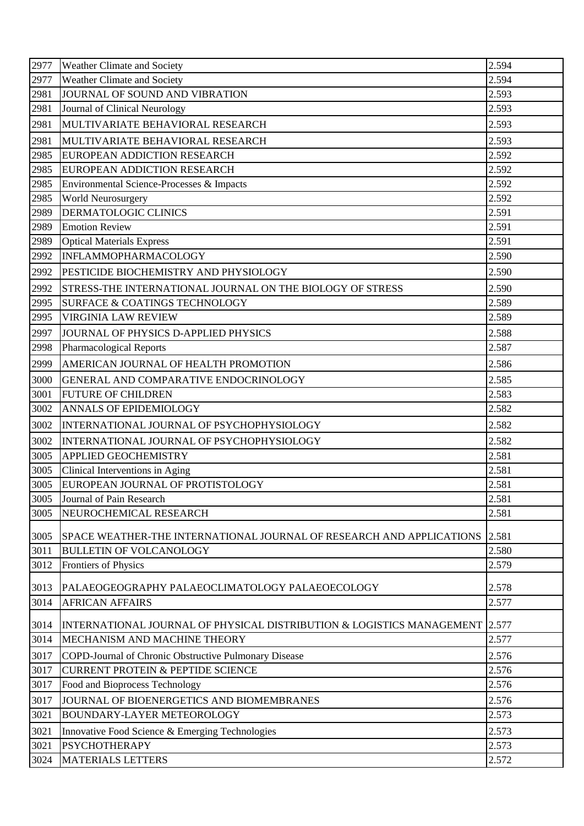| 2977 | Weather Climate and Society                                           | 2.594 |
|------|-----------------------------------------------------------------------|-------|
| 2977 | Weather Climate and Society                                           | 2.594 |
| 2981 | JOURNAL OF SOUND AND VIBRATION                                        | 2.593 |
| 2981 | Journal of Clinical Neurology                                         | 2.593 |
| 2981 | MULTIVARIATE BEHAVIORAL RESEARCH                                      | 2.593 |
| 2981 | MULTIVARIATE BEHAVIORAL RESEARCH                                      | 2.593 |
| 2985 | EUROPEAN ADDICTION RESEARCH                                           | 2.592 |
| 2985 | EUROPEAN ADDICTION RESEARCH                                           | 2.592 |
| 2985 | Environmental Science-Processes & Impacts                             | 2.592 |
| 2985 | World Neurosurgery                                                    | 2.592 |
| 2989 | DERMATOLOGIC CLINICS                                                  | 2.591 |
| 2989 | <b>Emotion Review</b>                                                 | 2.591 |
| 2989 | <b>Optical Materials Express</b>                                      | 2.591 |
| 2992 | <b>INFLAMMOPHARMACOLOGY</b>                                           | 2.590 |
| 2992 | PESTICIDE BIOCHEMISTRY AND PHYSIOLOGY                                 | 2.590 |
| 2992 | STRESS-THE INTERNATIONAL JOURNAL ON THE BIOLOGY OF STRESS             | 2.590 |
| 2995 | <b>SURFACE &amp; COATINGS TECHNOLOGY</b>                              | 2.589 |
| 2995 | <b>VIRGINIA LAW REVIEW</b>                                            | 2.589 |
| 2997 | JOURNAL OF PHYSICS D-APPLIED PHYSICS                                  | 2.588 |
| 2998 | <b>Pharmacological Reports</b>                                        | 2.587 |
| 2999 | AMERICAN JOURNAL OF HEALTH PROMOTION                                  | 2.586 |
| 3000 | GENERAL AND COMPARATIVE ENDOCRINOLOGY                                 | 2.585 |
| 3001 | <b>FUTURE OF CHILDREN</b>                                             | 2.583 |
| 3002 | <b>ANNALS OF EPIDEMIOLOGY</b>                                         | 2.582 |
| 3002 | INTERNATIONAL JOURNAL OF PSYCHOPHYSIOLOGY                             | 2.582 |
| 3002 | INTERNATIONAL JOURNAL OF PSYCHOPHYSIOLOGY                             | 2.582 |
| 3005 | <b>APPLIED GEOCHEMISTRY</b>                                           | 2.581 |
| 3005 | Clinical Interventions in Aging                                       | 2.581 |
| 3005 | EUROPEAN JOURNAL OF PROTISTOLOGY                                      | 2.581 |
| 3005 | Journal of Pain Research                                              | 2.581 |
| 3005 | NEUROCHEMICAL RESEARCH                                                | 2.581 |
| 3005 | SPACE WEATHER-THE INTERNATIONAL JOURNAL OF RESEARCH AND APPLICATIONS  | 2.581 |
| 3011 | <b>BULLETIN OF VOLCANOLOGY</b>                                        | 2.580 |
| 3012 | <b>Frontiers of Physics</b>                                           | 2.579 |
|      |                                                                       |       |
| 3013 | PALAEOGEOGRAPHY PALAEOCLIMATOLOGY PALAEOECOLOGY                       | 2.578 |
| 3014 | <b>AFRICAN AFFAIRS</b>                                                | 2.577 |
| 3014 | INTERNATIONAL JOURNAL OF PHYSICAL DISTRIBUTION & LOGISTICS MANAGEMENT | 2.577 |
| 3014 | MECHANISM AND MACHINE THEORY                                          | 2.577 |
| 3017 | COPD-Journal of Chronic Obstructive Pulmonary Disease                 | 2.576 |
| 3017 | <b>CURRENT PROTEIN &amp; PEPTIDE SCIENCE</b>                          | 2.576 |
| 3017 | Food and Bioprocess Technology                                        | 2.576 |
| 3017 | JOURNAL OF BIOENERGETICS AND BIOMEMBRANES                             | 2.576 |
| 3021 | <b>BOUNDARY-LAYER METEOROLOGY</b>                                     | 2.573 |
| 3021 | Innovative Food Science & Emerging Technologies                       | 2.573 |
| 3021 | <b>PSYCHOTHERAPY</b>                                                  | 2.573 |
| 3024 | <b>MATERIALS LETTERS</b>                                              | 2.572 |
|      |                                                                       |       |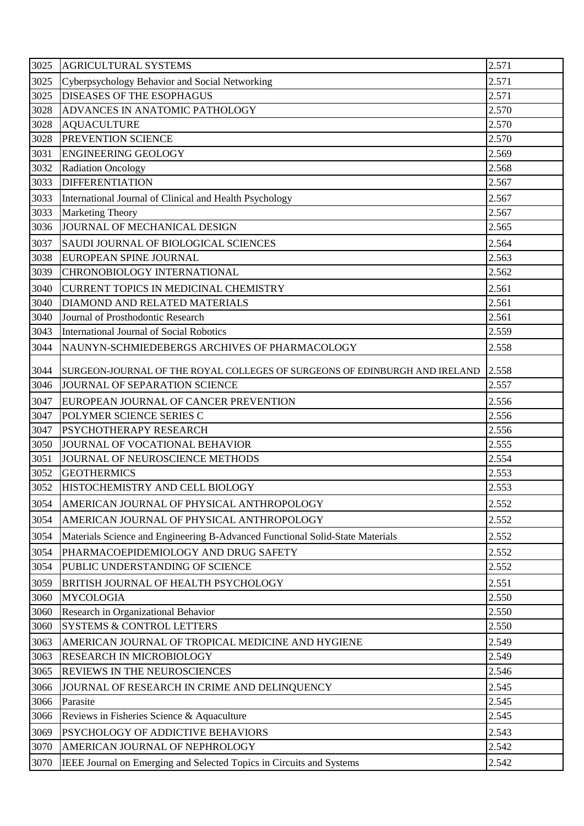| 3025 | <b>AGRICULTURAL SYSTEMS</b>                                                   | 2.571 |
|------|-------------------------------------------------------------------------------|-------|
| 3025 | Cyberpsychology Behavior and Social Networking                                | 2.571 |
| 3025 | <b>DISEASES OF THE ESOPHAGUS</b>                                              | 2.571 |
| 3028 | ADVANCES IN ANATOMIC PATHOLOGY                                                | 2.570 |
| 3028 | <b>AQUACULTURE</b>                                                            | 2.570 |
| 3028 | PREVENTION SCIENCE                                                            | 2.570 |
| 3031 | <b>ENGINEERING GEOLOGY</b>                                                    | 2.569 |
| 3032 | <b>Radiation Oncology</b>                                                     | 2.568 |
| 3033 | <b>DIFFERENTIATION</b>                                                        | 2.567 |
| 3033 | International Journal of Clinical and Health Psychology                       | 2.567 |
| 3033 | <b>Marketing Theory</b>                                                       | 2.567 |
| 3036 | JOURNAL OF MECHANICAL DESIGN                                                  | 2.565 |
| 3037 | SAUDI JOURNAL OF BIOLOGICAL SCIENCES                                          | 2.564 |
| 3038 | <b>EUROPEAN SPINE JOURNAL</b>                                                 | 2.563 |
| 3039 | CHRONOBIOLOGY INTERNATIONAL                                                   | 2.562 |
| 3040 | <b>CURRENT TOPICS IN MEDICINAL CHEMISTRY</b>                                  | 2.561 |
| 3040 | DIAMOND AND RELATED MATERIALS                                                 | 2.561 |
| 3040 | Journal of Prosthodontic Research                                             | 2.561 |
| 3043 | International Journal of Social Robotics                                      | 2.559 |
| 3044 | NAUNYN-SCHMIEDEBERGS ARCHIVES OF PHARMACOLOGY                                 | 2.558 |
| 3044 | SURGEON-JOURNAL OF THE ROYAL COLLEGES OF SURGEONS OF EDINBURGH AND IRELAND    | 2.558 |
| 3046 | JOURNAL OF SEPARATION SCIENCE                                                 | 2.557 |
| 3047 | EUROPEAN JOURNAL OF CANCER PREVENTION                                         | 2.556 |
| 3047 | POLYMER SCIENCE SERIES C                                                      | 2.556 |
| 3047 | <b>PSYCHOTHERAPY RESEARCH</b>                                                 | 2.556 |
| 3050 | JOURNAL OF VOCATIONAL BEHAVIOR                                                | 2.555 |
| 3051 | JOURNAL OF NEUROSCIENCE METHODS                                               | 2.554 |
| 3052 | <b>GEOTHERMICS</b>                                                            | 2.553 |
| 3052 | HISTOCHEMISTRY AND CELL BIOLOGY                                               | 2.553 |
| 3054 | AMERICAN JOURNAL OF PHYSICAL ANTHROPOLOGY                                     | 2.552 |
| 3054 | AMERICAN JOURNAL OF PHYSICAL ANTHROPOLOGY                                     | 2.552 |
| 3054 | Materials Science and Engineering B-Advanced Functional Solid-State Materials | 2.552 |
| 3054 | PHARMACOEPIDEMIOLOGY AND DRUG SAFETY                                          | 2.552 |
| 3054 | PUBLIC UNDERSTANDING OF SCIENCE                                               | 2.552 |
| 3059 | BRITISH JOURNAL OF HEALTH PSYCHOLOGY                                          | 2.551 |
| 3060 | <b>MYCOLOGIA</b>                                                              | 2.550 |
| 3060 | Research in Organizational Behavior                                           | 2.550 |
| 3060 | <b>SYSTEMS &amp; CONTROL LETTERS</b>                                          | 2.550 |
| 3063 | AMERICAN JOURNAL OF TROPICAL MEDICINE AND HYGIENE                             | 2.549 |
| 3063 | <b>RESEARCH IN MICROBIOLOGY</b>                                               | 2.549 |
| 3065 | <b>REVIEWS IN THE NEUROSCIENCES</b>                                           | 2.546 |
| 3066 | JOURNAL OF RESEARCH IN CRIME AND DELINQUENCY                                  | 2.545 |
| 3066 | Parasite                                                                      | 2.545 |
| 3066 | Reviews in Fisheries Science & Aquaculture                                    | 2.545 |
| 3069 | PSYCHOLOGY OF ADDICTIVE BEHAVIORS                                             | 2.543 |
| 3070 | AMERICAN JOURNAL OF NEPHROLOGY                                                | 2.542 |
| 3070 | IEEE Journal on Emerging and Selected Topics in Circuits and Systems          | 2.542 |
|      |                                                                               |       |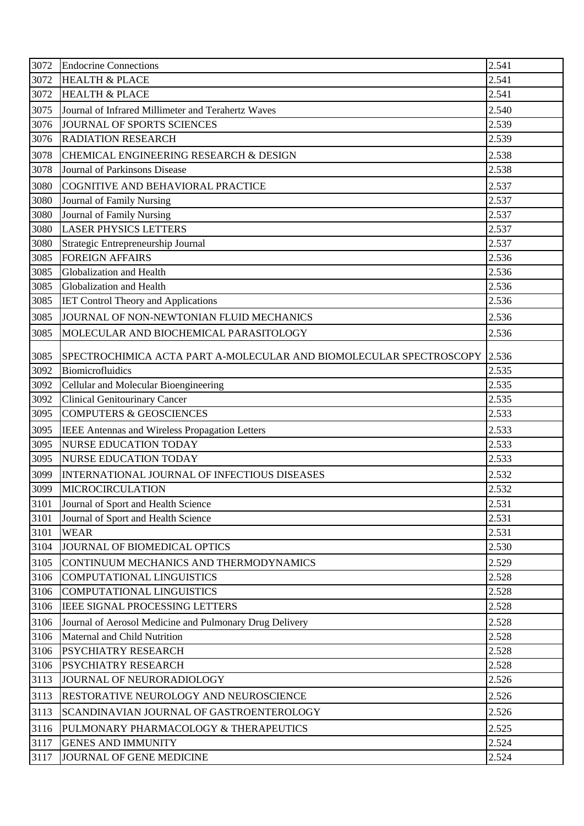| 3072 | <b>Endocrine Connections</b>                                             | 2.541 |
|------|--------------------------------------------------------------------------|-------|
| 3072 | <b>HEALTH &amp; PLACE</b>                                                | 2.541 |
| 3072 | <b>HEALTH &amp; PLACE</b>                                                | 2.541 |
| 3075 | Journal of Infrared Millimeter and Terahertz Waves                       | 2.540 |
| 3076 | JOURNAL OF SPORTS SCIENCES                                               | 2.539 |
| 3076 | <b>RADIATION RESEARCH</b>                                                | 2.539 |
| 3078 | CHEMICAL ENGINEERING RESEARCH & DESIGN                                   | 2.538 |
| 3078 | Journal of Parkinsons Disease                                            | 2.538 |
| 3080 | COGNITIVE AND BEHAVIORAL PRACTICE                                        | 2.537 |
| 3080 | Journal of Family Nursing                                                | 2.537 |
| 3080 | Journal of Family Nursing                                                | 2.537 |
| 3080 | <b>LASER PHYSICS LETTERS</b>                                             | 2.537 |
| 3080 | Strategic Entrepreneurship Journal                                       | 2.537 |
| 3085 | <b>FOREIGN AFFAIRS</b>                                                   | 2.536 |
| 3085 | Globalization and Health                                                 | 2.536 |
| 3085 | Globalization and Health                                                 | 2.536 |
| 3085 | <b>IET Control Theory and Applications</b>                               | 2.536 |
| 3085 | JOURNAL OF NON-NEWTONIAN FLUID MECHANICS                                 | 2.536 |
| 3085 | MOLECULAR AND BIOCHEMICAL PARASITOLOGY                                   | 2.536 |
| 3085 | SPECTROCHIMICA ACTA PART A-MOLECULAR AND BIOMOLECULAR SPECTROSCOPY 2.536 |       |
| 3092 | Biomicrofluidics                                                         | 2.535 |
| 3092 | Cellular and Molecular Bioengineering                                    | 2.535 |
| 3092 | <b>Clinical Genitourinary Cancer</b>                                     | 2.535 |
| 3095 | <b>COMPUTERS &amp; GEOSCIENCES</b>                                       | 2.533 |
| 3095 | IEEE Antennas and Wireless Propagation Letters                           | 2.533 |
| 3095 | <b>NURSE EDUCATION TODAY</b>                                             | 2.533 |
| 3095 | <b>NURSE EDUCATION TODAY</b>                                             | 2.533 |
| 3099 | <b>INTERNATIONAL JOURNAL OF INFECTIOUS DISEASES</b>                      | 2.532 |
| 3099 | <b>MICROCIRCULATION</b>                                                  | 2.532 |
| 3101 | Journal of Sport and Health Science                                      | 2.531 |
| 3101 | Journal of Sport and Health Science                                      | 2.531 |
| 3101 | <b>WEAR</b>                                                              | 2.531 |
| 3104 | JOURNAL OF BIOMEDICAL OPTICS                                             | 2.530 |
| 3105 | CONTINUUM MECHANICS AND THERMODYNAMICS                                   | 2.529 |
| 3106 | COMPUTATIONAL LINGUISTICS                                                | 2.528 |
| 3106 | <b>COMPUTATIONAL LINGUISTICS</b>                                         | 2.528 |
| 3106 | <b>IEEE SIGNAL PROCESSING LETTERS</b>                                    | 2.528 |
| 3106 | Journal of Aerosol Medicine and Pulmonary Drug Delivery                  | 2.528 |
| 3106 | Maternal and Child Nutrition                                             | 2.528 |
| 3106 | <b>PSYCHIATRY RESEARCH</b>                                               | 2.528 |
| 3106 | <b>PSYCHIATRY RESEARCH</b>                                               | 2.528 |
| 3113 | JOURNAL OF NEURORADIOLOGY                                                | 2.526 |
| 3113 | RESTORATIVE NEUROLOGY AND NEUROSCIENCE                                   | 2.526 |
| 3113 | SCANDINAVIAN JOURNAL OF GASTROENTEROLOGY                                 | 2.526 |
| 3116 | PULMONARY PHARMACOLOGY & THERAPEUTICS                                    | 2.525 |
| 3117 | <b>GENES AND IMMUNITY</b>                                                | 2.524 |
| 3117 | JOURNAL OF GENE MEDICINE                                                 | 2.524 |
|      |                                                                          |       |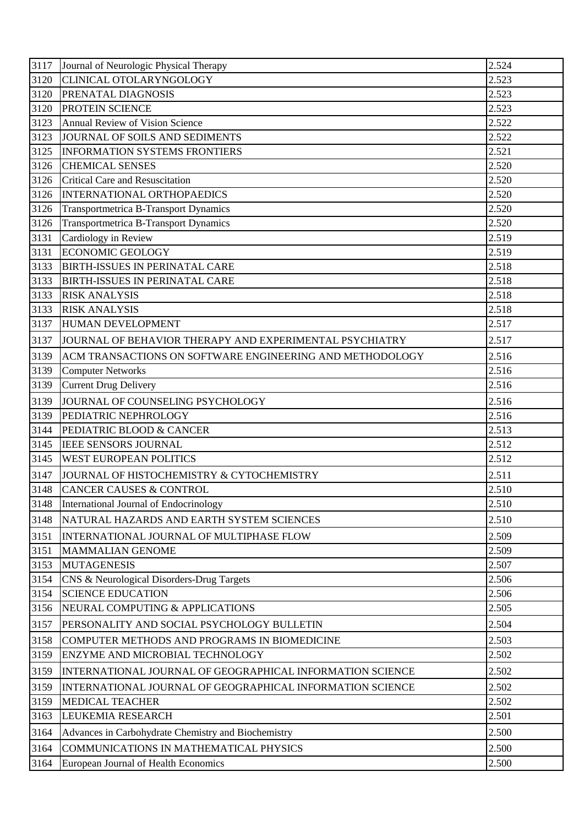| 3117 | Journal of Neurologic Physical Therapy                    | 2.524              |
|------|-----------------------------------------------------------|--------------------|
| 3120 | CLINICAL OTOLARYNGOLOGY                                   | 2.523              |
| 3120 | PRENATAL DIAGNOSIS                                        | 2.523              |
| 3120 | <b>PROTEIN SCIENCE</b>                                    | 2.523              |
| 3123 | Annual Review of Vision Science                           | 2.522              |
| 3123 | JOURNAL OF SOILS AND SEDIMENTS                            | 2.522              |
| 3125 | <b>INFORMATION SYSTEMS FRONTIERS</b>                      | 2.521              |
| 3126 | <b>CHEMICAL SENSES</b>                                    | 2.520              |
| 3126 | <b>Critical Care and Resuscitation</b>                    | 2.520              |
| 3126 | INTERNATIONAL ORTHOPAEDICS                                | 2.520              |
| 3126 | Transportmetrica B-Transport Dynamics                     | 2.520              |
| 3126 | Transportmetrica B-Transport Dynamics                     | 2.520              |
| 3131 | Cardiology in Review                                      | 2.519              |
| 3131 | <b>ECONOMIC GEOLOGY</b>                                   | 2.519              |
| 3133 | <b>BIRTH-ISSUES IN PERINATAL CARE</b>                     | 2.518              |
| 3133 | <b>BIRTH-ISSUES IN PERINATAL CARE</b>                     | 2.518              |
| 3133 | <b>RISK ANALYSIS</b>                                      | 2.518              |
| 3133 | <b>RISK ANALYSIS</b>                                      | 2.518              |
| 3137 | HUMAN DEVELOPMENT                                         | 2.517              |
| 3137 | JOURNAL OF BEHAVIOR THERAPY AND EXPERIMENTAL PSYCHIATRY   | 2.517              |
| 3139 | ACM TRANSACTIONS ON SOFTWARE ENGINEERING AND METHODOLOGY  | 2.516              |
| 3139 | <b>Computer Networks</b>                                  | 2.516              |
| 3139 | <b>Current Drug Delivery</b>                              | 2.516              |
| 3139 | JOURNAL OF COUNSELING PSYCHOLOGY                          | 2.516              |
| 3139 | PEDIATRIC NEPHROLOGY                                      | 2.516              |
| 3144 | PEDIATRIC BLOOD & CANCER                                  | $\overline{2.513}$ |
| 3145 | <b>IEEE SENSORS JOURNAL</b>                               | 2.512              |
| 3145 | <b>WEST EUROPEAN POLITICS</b>                             | 2.512              |
| 3147 | JOURNAL OF HISTOCHEMISTRY & CYTOCHEMISTRY                 | 2.511              |
| 3148 | <b>CANCER CAUSES &amp; CONTROL</b>                        | 2.510              |
| 3148 | International Journal of Endocrinology                    | 2.510              |
| 3148 | NATURAL HAZARDS AND EARTH SYSTEM SCIENCES                 | 2.510              |
| 3151 | INTERNATIONAL JOURNAL OF MULTIPHASE FLOW                  | 2.509              |
| 3151 | <b>MAMMALIAN GENOME</b>                                   | 2.509              |
| 3153 | <b>MUTAGENESIS</b>                                        | 2.507              |
| 3154 | CNS & Neurological Disorders-Drug Targets                 | 2.506              |
| 3154 | <b>SCIENCE EDUCATION</b>                                  | 2.506              |
| 3156 | NEURAL COMPUTING & APPLICATIONS                           | 2.505              |
| 3157 | PERSONALITY AND SOCIAL PSYCHOLOGY BULLETIN                | 2.504              |
| 3158 | COMPUTER METHODS AND PROGRAMS IN BIOMEDICINE              | 2.503              |
| 3159 | ENZYME AND MICROBIAL TECHNOLOGY                           | 2.502              |
| 3159 | INTERNATIONAL JOURNAL OF GEOGRAPHICAL INFORMATION SCIENCE | 2.502              |
| 3159 | INTERNATIONAL JOURNAL OF GEOGRAPHICAL INFORMATION SCIENCE | 2.502              |
| 3159 | <b>MEDICAL TEACHER</b>                                    | 2.502              |
| 3163 | <b>LEUKEMIA RESEARCH</b>                                  | 2.501              |
|      |                                                           | 2.500              |
| 3164 | Advances in Carbohydrate Chemistry and Biochemistry       |                    |
| 3164 | COMMUNICATIONS IN MATHEMATICAL PHYSICS                    | 2.500              |
| 3164 | European Journal of Health Economics                      | 2.500              |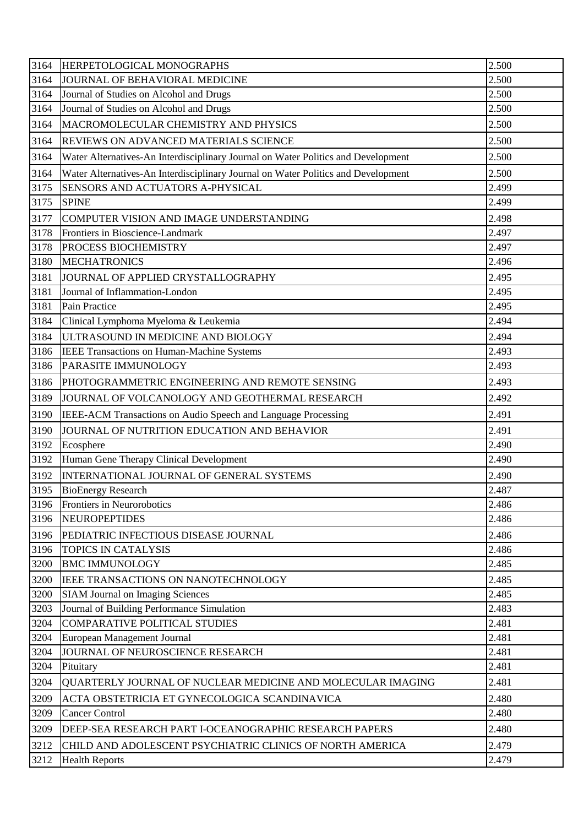| 3164 | <b>HERPETOLOGICAL MONOGRAPHS</b>                                                  | 2.500 |
|------|-----------------------------------------------------------------------------------|-------|
| 3164 | JOURNAL OF BEHAVIORAL MEDICINE                                                    | 2.500 |
| 3164 | Journal of Studies on Alcohol and Drugs                                           | 2.500 |
| 3164 | Journal of Studies on Alcohol and Drugs                                           | 2.500 |
| 3164 | MACROMOLECULAR CHEMISTRY AND PHYSICS                                              | 2.500 |
| 3164 | REVIEWS ON ADVANCED MATERIALS SCIENCE                                             | 2.500 |
| 3164 | Water Alternatives-An Interdisciplinary Journal on Water Politics and Development | 2.500 |
| 3164 | Water Alternatives-An Interdisciplinary Journal on Water Politics and Development | 2.500 |
| 3175 | SENSORS AND ACTUATORS A-PHYSICAL                                                  | 2.499 |
| 3175 | <b>SPINE</b>                                                                      | 2.499 |
| 3177 | COMPUTER VISION AND IMAGE UNDERSTANDING                                           | 2.498 |
| 3178 | Frontiers in Bioscience-Landmark                                                  | 2.497 |
| 3178 | PROCESS BIOCHEMISTRY                                                              | 2.497 |
| 3180 | <b>MECHATRONICS</b>                                                               | 2.496 |
| 3181 | JOURNAL OF APPLIED CRYSTALLOGRAPHY                                                | 2.495 |
| 3181 | Journal of Inflammation-London                                                    | 2.495 |
| 3181 | Pain Practice                                                                     | 2.495 |
| 3184 | Clinical Lymphoma Myeloma & Leukemia                                              | 2.494 |
| 3184 | ULTRASOUND IN MEDICINE AND BIOLOGY                                                | 2.494 |
| 3186 | IEEE Transactions on Human-Machine Systems                                        | 2.493 |
| 3186 | PARASITE IMMUNOLOGY                                                               | 2.493 |
| 3186 | PHOTOGRAMMETRIC ENGINEERING AND REMOTE SENSING                                    | 2.493 |
| 3189 | JOURNAL OF VOLCANOLOGY AND GEOTHERMAL RESEARCH                                    | 2.492 |
| 3190 | IEEE-ACM Transactions on Audio Speech and Language Processing                     | 2.491 |
| 3190 | JOURNAL OF NUTRITION EDUCATION AND BEHAVIOR                                       | 2.491 |
| 3192 | Ecosphere                                                                         | 2.490 |
| 3192 | Human Gene Therapy Clinical Development                                           | 2.490 |
| 3192 | INTERNATIONAL JOURNAL OF GENERAL SYSTEMS                                          | 2.490 |
| 3195 | <b>BioEnergy Research</b>                                                         | 2.487 |
| 3196 | Frontiers in Neurorobotics                                                        | 2.486 |
| 3196 | <b>NEUROPEPTIDES</b>                                                              | 2.486 |
| 3196 | PEDIATRIC INFECTIOUS DISEASE JOURNAL                                              | 2.486 |
| 3196 | <b>TOPICS IN CATALYSIS</b>                                                        | 2.486 |
| 3200 | <b>BMC IMMUNOLOGY</b>                                                             | 2.485 |
| 3200 | IEEE TRANSACTIONS ON NANOTECHNOLOGY                                               | 2.485 |
| 3200 | <b>SIAM Journal on Imaging Sciences</b>                                           | 2.485 |
| 3203 | Journal of Building Performance Simulation                                        | 2.483 |
| 3204 | <b>COMPARATIVE POLITICAL STUDIES</b>                                              | 2.481 |
| 3204 | European Management Journal                                                       | 2.481 |
| 3204 | JOURNAL OF NEUROSCIENCE RESEARCH                                                  | 2.481 |
| 3204 | Pituitary                                                                         | 2.481 |
| 3204 | QUARTERLY JOURNAL OF NUCLEAR MEDICINE AND MOLECULAR IMAGING                       | 2.481 |
| 3209 | ACTA OBSTETRICIA ET GYNECOLOGICA SCANDINAVICA                                     | 2.480 |
| 3209 | <b>Cancer Control</b>                                                             | 2.480 |
| 3209 | DEEP-SEA RESEARCH PART I-OCEANOGRAPHIC RESEARCH PAPERS                            | 2.480 |
| 3212 | CHILD AND ADOLESCENT PSYCHIATRIC CLINICS OF NORTH AMERICA                         | 2.479 |
| 3212 | <b>Health Reports</b>                                                             | 2.479 |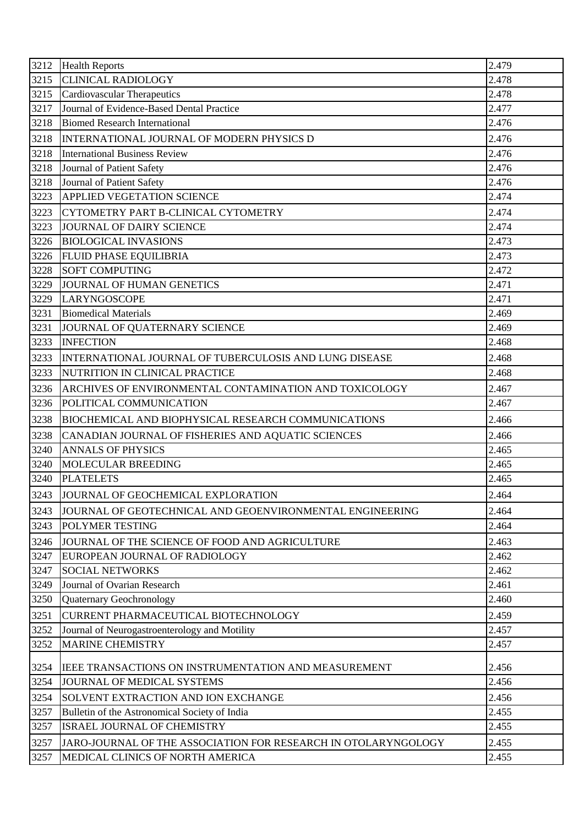| 3212 | <b>Health Reports</b>                                          | 2.479 |
|------|----------------------------------------------------------------|-------|
| 3215 | <b>CLINICAL RADIOLOGY</b>                                      | 2.478 |
| 3215 | Cardiovascular Therapeutics                                    | 2.478 |
| 3217 | Journal of Evidence-Based Dental Practice                      | 2.477 |
| 3218 | <b>Biomed Research International</b>                           | 2.476 |
| 3218 | INTERNATIONAL JOURNAL OF MODERN PHYSICS D                      | 2.476 |
| 3218 | <b>International Business Review</b>                           | 2.476 |
| 3218 | Journal of Patient Safety                                      | 2.476 |
| 3218 | Journal of Patient Safety                                      | 2.476 |
| 3223 | APPLIED VEGETATION SCIENCE                                     | 2.474 |
| 3223 | CYTOMETRY PART B-CLINICAL CYTOMETRY                            | 2.474 |
| 3223 | JOURNAL OF DAIRY SCIENCE                                       | 2.474 |
| 3226 | <b>BIOLOGICAL INVASIONS</b>                                    | 2.473 |
| 3226 | <b>FLUID PHASE EQUILIBRIA</b>                                  | 2.473 |
| 3228 | <b>SOFT COMPUTING</b>                                          | 2.472 |
| 3229 | JOURNAL OF HUMAN GENETICS                                      | 2.471 |
| 3229 | <b>LARYNGOSCOPE</b>                                            | 2.471 |
| 3231 | <b>Biomedical Materials</b>                                    | 2.469 |
| 3231 | JOURNAL OF QUATERNARY SCIENCE                                  | 2.469 |
| 3233 | <b>INFECTION</b>                                               | 2.468 |
| 3233 | INTERNATIONAL JOURNAL OF TUBERCULOSIS AND LUNG DISEASE         | 2.468 |
| 3233 | NUTRITION IN CLINICAL PRACTICE                                 | 2.468 |
| 3236 | ARCHIVES OF ENVIRONMENTAL CONTAMINATION AND TOXICOLOGY         | 2.467 |
| 3236 | POLITICAL COMMUNICATION                                        | 2.467 |
| 3238 | BIOCHEMICAL AND BIOPHYSICAL RESEARCH COMMUNICATIONS            | 2.466 |
| 3238 | CANADIAN JOURNAL OF FISHERIES AND AQUATIC SCIENCES             | 2.466 |
| 3240 | <b>ANNALS OF PHYSICS</b>                                       | 2.465 |
| 3240 | <b>MOLECULAR BREEDING</b>                                      | 2.465 |
| 3240 | <b>PLATELETS</b>                                               | 2.465 |
| 3243 | JOURNAL OF GEOCHEMICAL EXPLORATION                             | 2.464 |
| 3243 | JOURNAL OF GEOTECHNICAL AND GEOENVIRONMENTAL ENGINEERING       | 2.464 |
| 3243 | POLYMER TESTING                                                | 2.464 |
| 3246 | JOURNAL OF THE SCIENCE OF FOOD AND AGRICULTURE                 | 2.463 |
| 3247 | EUROPEAN JOURNAL OF RADIOLOGY                                  | 2.462 |
| 3247 | <b>SOCIAL NETWORKS</b>                                         | 2.462 |
| 3249 | Journal of Ovarian Research                                    | 2.461 |
| 3250 | Quaternary Geochronology                                       | 2.460 |
| 3251 | CURRENT PHARMACEUTICAL BIOTECHNOLOGY                           | 2.459 |
| 3252 | Journal of Neurogastroenterology and Motility                  | 2.457 |
| 3252 | <b>MARINE CHEMISTRY</b>                                        | 2.457 |
| 3254 | IEEE TRANSACTIONS ON INSTRUMENTATION AND MEASUREMENT           | 2.456 |
| 3254 | JOURNAL OF MEDICAL SYSTEMS                                     | 2.456 |
| 3254 | SOLVENT EXTRACTION AND ION EXCHANGE                            | 2.456 |
| 3257 | Bulletin of the Astronomical Society of India                  | 2.455 |
| 3257 | ISRAEL JOURNAL OF CHEMISTRY                                    | 2.455 |
| 3257 | JARO-JOURNAL OF THE ASSOCIATION FOR RESEARCH IN OTOLARYNGOLOGY | 2.455 |
| 3257 | MEDICAL CLINICS OF NORTH AMERICA                               | 2.455 |
|      |                                                                |       |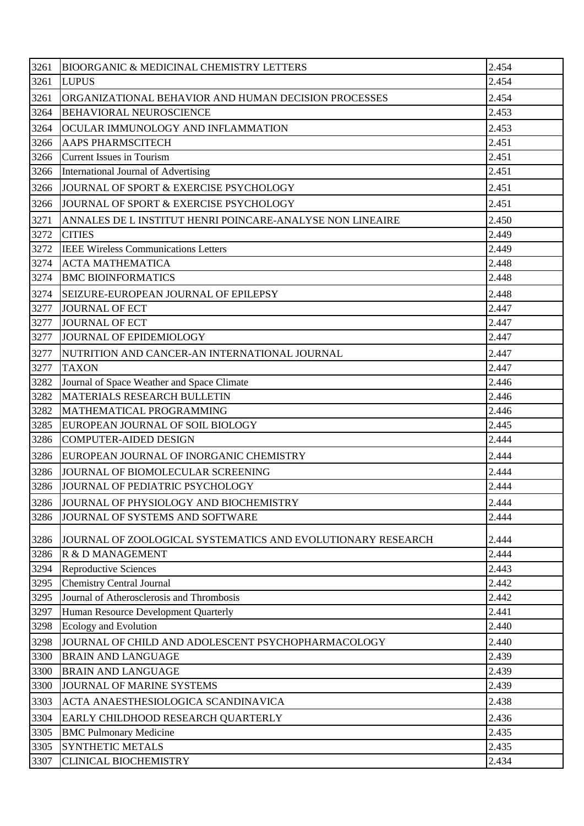| 3261 | <b>BIOORGANIC &amp; MEDICINAL CHEMISTRY LETTERS</b>         | 2.454 |
|------|-------------------------------------------------------------|-------|
| 3261 | <b>LUPUS</b>                                                | 2.454 |
| 3261 | ORGANIZATIONAL BEHAVIOR AND HUMAN DECISION PROCESSES        | 2.454 |
| 3264 | <b>BEHAVIORAL NEUROSCIENCE</b>                              | 2.453 |
| 3264 | OCULAR IMMUNOLOGY AND INFLAMMATION                          | 2.453 |
| 3266 | AAPS PHARMSCITECH                                           | 2.451 |
| 3266 | <b>Current Issues in Tourism</b>                            | 2.451 |
| 3266 | International Journal of Advertising                        | 2.451 |
| 3266 | JOURNAL OF SPORT & EXERCISE PSYCHOLOGY                      | 2.451 |
| 3266 | JOURNAL OF SPORT & EXERCISE PSYCHOLOGY                      | 2.451 |
| 3271 | ANNALES DE L INSTITUT HENRI POINCARE-ANALYSE NON LINEAIRE   | 2.450 |
| 3272 | <b>CITIES</b>                                               | 2.449 |
| 3272 | <b>IEEE Wireless Communications Letters</b>                 | 2.449 |
| 3274 | <b>ACTA MATHEMATICA</b>                                     | 2.448 |
| 3274 | <b>BMC BIOINFORMATICS</b>                                   | 2.448 |
| 3274 | SEIZURE-EUROPEAN JOURNAL OF EPILEPSY                        | 2.448 |
| 3277 | <b>JOURNAL OF ECT</b>                                       | 2.447 |
| 3277 | <b>JOURNAL OF ECT</b>                                       | 2.447 |
| 3277 | JOURNAL OF EPIDEMIOLOGY                                     | 2.447 |
| 3277 | NUTRITION AND CANCER-AN INTERNATIONAL JOURNAL               | 2.447 |
| 3277 | <b>TAXON</b>                                                | 2.447 |
| 3282 | Journal of Space Weather and Space Climate                  | 2.446 |
| 3282 | MATERIALS RESEARCH BULLETIN                                 | 2.446 |
| 3282 | MATHEMATICAL PROGRAMMING                                    | 2.446 |
| 3285 | EUROPEAN JOURNAL OF SOIL BIOLOGY                            | 2.445 |
| 3286 | <b>COMPUTER-AIDED DESIGN</b>                                | 2.444 |
| 3286 | EUROPEAN JOURNAL OF INORGANIC CHEMISTRY                     | 2.444 |
| 3286 | JOURNAL OF BIOMOLECULAR SCREENING                           | 2.444 |
| 3286 | JOURNAL OF PEDIATRIC PSYCHOLOGY                             | 2.444 |
| 3286 | JOURNAL OF PHYSIOLOGY AND BIOCHEMISTRY                      | 2.444 |
| 3286 | JOURNAL OF SYSTEMS AND SOFTWARE                             | 2.444 |
| 3286 | JOURNAL OF ZOOLOGICAL SYSTEMATICS AND EVOLUTIONARY RESEARCH | 2.444 |
| 3286 | R & D MANAGEMENT                                            | 2.444 |
| 3294 | <b>Reproductive Sciences</b>                                | 2.443 |
| 3295 | <b>Chemistry Central Journal</b>                            | 2.442 |
| 3295 | Journal of Atherosclerosis and Thrombosis                   | 2.442 |
| 3297 | Human Resource Development Quarterly                        | 2.441 |
| 3298 | <b>Ecology and Evolution</b>                                | 2.440 |
| 3298 | JOURNAL OF CHILD AND ADOLESCENT PSYCHOPHARMACOLOGY          | 2.440 |
| 3300 | <b>BRAIN AND LANGUAGE</b>                                   | 2.439 |
| 3300 | <b>BRAIN AND LANGUAGE</b>                                   | 2.439 |
| 3300 | JOURNAL OF MARINE SYSTEMS                                   | 2.439 |
| 3303 | ACTA ANAESTHESIOLOGICA SCANDINAVICA                         | 2.438 |
| 3304 | EARLY CHILDHOOD RESEARCH QUARTERLY                          | 2.436 |
| 3305 | <b>BMC Pulmonary Medicine</b>                               | 2.435 |
| 3305 | <b>SYNTHETIC METALS</b>                                     | 2.435 |
| 3307 | <b>CLINICAL BIOCHEMISTRY</b>                                | 2.434 |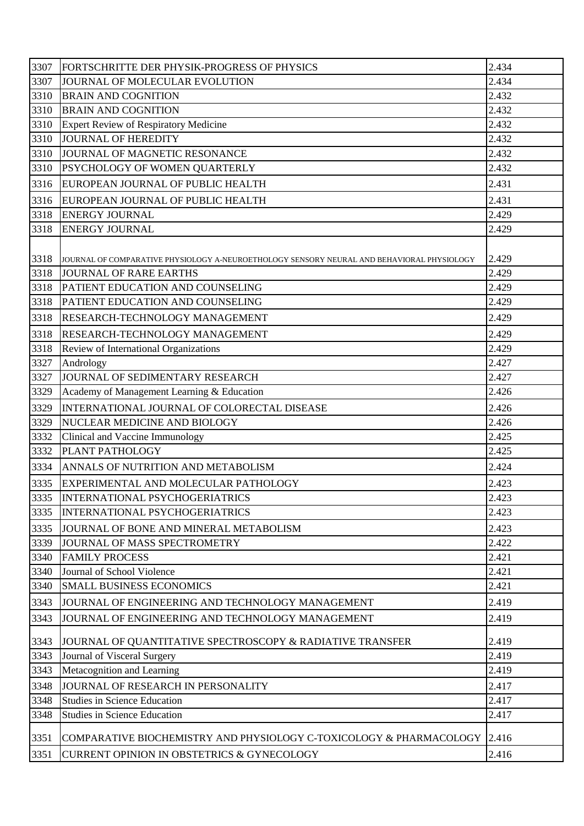| 3307<br>2.434<br>JOURNAL OF MOLECULAR EVOLUTION<br>3310<br><b>BRAIN AND COGNITION</b><br>2.432<br>3310<br>2.432<br><b>BRAIN AND COGNITION</b><br>Expert Review of Respiratory Medicine<br>2.432<br>3310<br>JOURNAL OF HEREDITY<br>2.432<br>3310<br>JOURNAL OF MAGNETIC RESONANCE<br>2.432<br>2.432<br><b>PSYCHOLOGY OF WOMEN QUARTERLY</b><br>3316<br>EUROPEAN JOURNAL OF PUBLIC HEALTH<br>2.431<br>2.431<br>3316<br>EUROPEAN JOURNAL OF PUBLIC HEALTH<br><b>ENERGY JOURNAL</b><br>2.429<br>3318<br>2.429<br><b>ENERGY JOURNAL</b><br>2.429<br>JOURNAL OF COMPARATIVE PHYSIOLOGY A-NEUROETHOLOGY SENSORY NEURAL AND BEHAVIORAL PHYSIOLOGY<br>2.429<br><b>JOURNAL OF RARE EARTHS</b><br>PATIENT EDUCATION AND COUNSELING<br>2.429<br>3318<br>PATIENT EDUCATION AND COUNSELING<br>2.429<br>2.429<br>3318<br><b>RESEARCH-TECHNOLOGY MANAGEMENT</b><br>3318<br>2.429<br><b>RESEARCH-TECHNOLOGY MANAGEMENT</b><br>Review of International Organizations<br>2.429<br>2.427<br>Andrology<br>JOURNAL OF SEDIMENTARY RESEARCH<br>2.427<br>3329<br>Academy of Management Learning & Education<br>2.426<br>INTERNATIONAL JOURNAL OF COLORECTAL DISEASE<br>2.426<br>NUCLEAR MEDICINE AND BIOLOGY<br>2.426<br>Clinical and Vaccine Immunology<br>2.425<br>PLANT PATHOLOGY<br>2.425<br>2.424<br>ANNALS OF NUTRITION AND METABOLISM<br>3335<br>EXPERIMENTAL AND MOLECULAR PATHOLOGY<br>2.423<br><b>INTERNATIONAL PSYCHOGERIATRICS</b><br>2.423<br>2.423<br><b>INTERNATIONAL PSYCHOGERIATRICS</b><br>3335<br>2.423<br>JOURNAL OF BONE AND MINERAL METABOLISM<br>3339<br>2.422<br>JOURNAL OF MASS SPECTROMETRY<br>2.421<br>3340<br><b>FAMILY PROCESS</b><br>3340<br>Journal of School Violence<br>2.421<br><b>SMALL BUSINESS ECONOMICS</b><br>3340<br>2.421<br>JOURNAL OF ENGINEERING AND TECHNOLOGY MANAGEMENT<br>2.419<br>3343<br>2.419<br>JOURNAL OF ENGINEERING AND TECHNOLOGY MANAGEMENT<br>2.419<br>JOURNAL OF QUANTITATIVE SPECTROSCOPY & RADIATIVE TRANSFER<br>3343<br>2.419<br>Journal of Visceral Surgery<br>3343<br>Metacognition and Learning<br>2.419<br>3348<br>JOURNAL OF RESEARCH IN PERSONALITY<br>2.417<br>3348<br><b>Studies in Science Education</b><br>2.417<br>3348<br><b>Studies in Science Education</b><br>2.417<br>COMPARATIVE BIOCHEMISTRY AND PHYSIOLOGY C-TOXICOLOGY & PHARMACOLOGY<br>2.416<br>3351<br>2.416<br><b>CURRENT OPINION IN OBSTETRICS &amp; GYNECOLOGY</b> | 3307 | FORTSCHRITTE DER PHYSIK-PROGRESS OF PHYSICS | 2.434 |
|------------------------------------------------------------------------------------------------------------------------------------------------------------------------------------------------------------------------------------------------------------------------------------------------------------------------------------------------------------------------------------------------------------------------------------------------------------------------------------------------------------------------------------------------------------------------------------------------------------------------------------------------------------------------------------------------------------------------------------------------------------------------------------------------------------------------------------------------------------------------------------------------------------------------------------------------------------------------------------------------------------------------------------------------------------------------------------------------------------------------------------------------------------------------------------------------------------------------------------------------------------------------------------------------------------------------------------------------------------------------------------------------------------------------------------------------------------------------------------------------------------------------------------------------------------------------------------------------------------------------------------------------------------------------------------------------------------------------------------------------------------------------------------------------------------------------------------------------------------------------------------------------------------------------------------------------------------------------------------------------------------------------------------------------------------------------------------------------------------------------------------------------------------------------------------------------------------------------------------------------------------------------------------------------------------------------------------------------------------------------------------|------|---------------------------------------------|-------|
|                                                                                                                                                                                                                                                                                                                                                                                                                                                                                                                                                                                                                                                                                                                                                                                                                                                                                                                                                                                                                                                                                                                                                                                                                                                                                                                                                                                                                                                                                                                                                                                                                                                                                                                                                                                                                                                                                                                                                                                                                                                                                                                                                                                                                                                                                                                                                                                    |      |                                             |       |
|                                                                                                                                                                                                                                                                                                                                                                                                                                                                                                                                                                                                                                                                                                                                                                                                                                                                                                                                                                                                                                                                                                                                                                                                                                                                                                                                                                                                                                                                                                                                                                                                                                                                                                                                                                                                                                                                                                                                                                                                                                                                                                                                                                                                                                                                                                                                                                                    |      |                                             |       |
|                                                                                                                                                                                                                                                                                                                                                                                                                                                                                                                                                                                                                                                                                                                                                                                                                                                                                                                                                                                                                                                                                                                                                                                                                                                                                                                                                                                                                                                                                                                                                                                                                                                                                                                                                                                                                                                                                                                                                                                                                                                                                                                                                                                                                                                                                                                                                                                    |      |                                             |       |
|                                                                                                                                                                                                                                                                                                                                                                                                                                                                                                                                                                                                                                                                                                                                                                                                                                                                                                                                                                                                                                                                                                                                                                                                                                                                                                                                                                                                                                                                                                                                                                                                                                                                                                                                                                                                                                                                                                                                                                                                                                                                                                                                                                                                                                                                                                                                                                                    | 3310 |                                             |       |
|                                                                                                                                                                                                                                                                                                                                                                                                                                                                                                                                                                                                                                                                                                                                                                                                                                                                                                                                                                                                                                                                                                                                                                                                                                                                                                                                                                                                                                                                                                                                                                                                                                                                                                                                                                                                                                                                                                                                                                                                                                                                                                                                                                                                                                                                                                                                                                                    |      |                                             |       |
|                                                                                                                                                                                                                                                                                                                                                                                                                                                                                                                                                                                                                                                                                                                                                                                                                                                                                                                                                                                                                                                                                                                                                                                                                                                                                                                                                                                                                                                                                                                                                                                                                                                                                                                                                                                                                                                                                                                                                                                                                                                                                                                                                                                                                                                                                                                                                                                    |      |                                             |       |
|                                                                                                                                                                                                                                                                                                                                                                                                                                                                                                                                                                                                                                                                                                                                                                                                                                                                                                                                                                                                                                                                                                                                                                                                                                                                                                                                                                                                                                                                                                                                                                                                                                                                                                                                                                                                                                                                                                                                                                                                                                                                                                                                                                                                                                                                                                                                                                                    | 3310 |                                             |       |
|                                                                                                                                                                                                                                                                                                                                                                                                                                                                                                                                                                                                                                                                                                                                                                                                                                                                                                                                                                                                                                                                                                                                                                                                                                                                                                                                                                                                                                                                                                                                                                                                                                                                                                                                                                                                                                                                                                                                                                                                                                                                                                                                                                                                                                                                                                                                                                                    |      |                                             |       |
|                                                                                                                                                                                                                                                                                                                                                                                                                                                                                                                                                                                                                                                                                                                                                                                                                                                                                                                                                                                                                                                                                                                                                                                                                                                                                                                                                                                                                                                                                                                                                                                                                                                                                                                                                                                                                                                                                                                                                                                                                                                                                                                                                                                                                                                                                                                                                                                    |      |                                             |       |
|                                                                                                                                                                                                                                                                                                                                                                                                                                                                                                                                                                                                                                                                                                                                                                                                                                                                                                                                                                                                                                                                                                                                                                                                                                                                                                                                                                                                                                                                                                                                                                                                                                                                                                                                                                                                                                                                                                                                                                                                                                                                                                                                                                                                                                                                                                                                                                                    | 3318 |                                             |       |
|                                                                                                                                                                                                                                                                                                                                                                                                                                                                                                                                                                                                                                                                                                                                                                                                                                                                                                                                                                                                                                                                                                                                                                                                                                                                                                                                                                                                                                                                                                                                                                                                                                                                                                                                                                                                                                                                                                                                                                                                                                                                                                                                                                                                                                                                                                                                                                                    |      |                                             |       |
|                                                                                                                                                                                                                                                                                                                                                                                                                                                                                                                                                                                                                                                                                                                                                                                                                                                                                                                                                                                                                                                                                                                                                                                                                                                                                                                                                                                                                                                                                                                                                                                                                                                                                                                                                                                                                                                                                                                                                                                                                                                                                                                                                                                                                                                                                                                                                                                    |      |                                             |       |
|                                                                                                                                                                                                                                                                                                                                                                                                                                                                                                                                                                                                                                                                                                                                                                                                                                                                                                                                                                                                                                                                                                                                                                                                                                                                                                                                                                                                                                                                                                                                                                                                                                                                                                                                                                                                                                                                                                                                                                                                                                                                                                                                                                                                                                                                                                                                                                                    | 3318 |                                             |       |
|                                                                                                                                                                                                                                                                                                                                                                                                                                                                                                                                                                                                                                                                                                                                                                                                                                                                                                                                                                                                                                                                                                                                                                                                                                                                                                                                                                                                                                                                                                                                                                                                                                                                                                                                                                                                                                                                                                                                                                                                                                                                                                                                                                                                                                                                                                                                                                                    | 3318 |                                             |       |
|                                                                                                                                                                                                                                                                                                                                                                                                                                                                                                                                                                                                                                                                                                                                                                                                                                                                                                                                                                                                                                                                                                                                                                                                                                                                                                                                                                                                                                                                                                                                                                                                                                                                                                                                                                                                                                                                                                                                                                                                                                                                                                                                                                                                                                                                                                                                                                                    | 3318 |                                             |       |
|                                                                                                                                                                                                                                                                                                                                                                                                                                                                                                                                                                                                                                                                                                                                                                                                                                                                                                                                                                                                                                                                                                                                                                                                                                                                                                                                                                                                                                                                                                                                                                                                                                                                                                                                                                                                                                                                                                                                                                                                                                                                                                                                                                                                                                                                                                                                                                                    |      |                                             |       |
|                                                                                                                                                                                                                                                                                                                                                                                                                                                                                                                                                                                                                                                                                                                                                                                                                                                                                                                                                                                                                                                                                                                                                                                                                                                                                                                                                                                                                                                                                                                                                                                                                                                                                                                                                                                                                                                                                                                                                                                                                                                                                                                                                                                                                                                                                                                                                                                    |      |                                             |       |
|                                                                                                                                                                                                                                                                                                                                                                                                                                                                                                                                                                                                                                                                                                                                                                                                                                                                                                                                                                                                                                                                                                                                                                                                                                                                                                                                                                                                                                                                                                                                                                                                                                                                                                                                                                                                                                                                                                                                                                                                                                                                                                                                                                                                                                                                                                                                                                                    |      |                                             |       |
|                                                                                                                                                                                                                                                                                                                                                                                                                                                                                                                                                                                                                                                                                                                                                                                                                                                                                                                                                                                                                                                                                                                                                                                                                                                                                                                                                                                                                                                                                                                                                                                                                                                                                                                                                                                                                                                                                                                                                                                                                                                                                                                                                                                                                                                                                                                                                                                    | 3318 |                                             |       |
|                                                                                                                                                                                                                                                                                                                                                                                                                                                                                                                                                                                                                                                                                                                                                                                                                                                                                                                                                                                                                                                                                                                                                                                                                                                                                                                                                                                                                                                                                                                                                                                                                                                                                                                                                                                                                                                                                                                                                                                                                                                                                                                                                                                                                                                                                                                                                                                    | 3327 |                                             |       |
|                                                                                                                                                                                                                                                                                                                                                                                                                                                                                                                                                                                                                                                                                                                                                                                                                                                                                                                                                                                                                                                                                                                                                                                                                                                                                                                                                                                                                                                                                                                                                                                                                                                                                                                                                                                                                                                                                                                                                                                                                                                                                                                                                                                                                                                                                                                                                                                    | 3327 |                                             |       |
|                                                                                                                                                                                                                                                                                                                                                                                                                                                                                                                                                                                                                                                                                                                                                                                                                                                                                                                                                                                                                                                                                                                                                                                                                                                                                                                                                                                                                                                                                                                                                                                                                                                                                                                                                                                                                                                                                                                                                                                                                                                                                                                                                                                                                                                                                                                                                                                    |      |                                             |       |
|                                                                                                                                                                                                                                                                                                                                                                                                                                                                                                                                                                                                                                                                                                                                                                                                                                                                                                                                                                                                                                                                                                                                                                                                                                                                                                                                                                                                                                                                                                                                                                                                                                                                                                                                                                                                                                                                                                                                                                                                                                                                                                                                                                                                                                                                                                                                                                                    | 3329 |                                             |       |
|                                                                                                                                                                                                                                                                                                                                                                                                                                                                                                                                                                                                                                                                                                                                                                                                                                                                                                                                                                                                                                                                                                                                                                                                                                                                                                                                                                                                                                                                                                                                                                                                                                                                                                                                                                                                                                                                                                                                                                                                                                                                                                                                                                                                                                                                                                                                                                                    | 3329 |                                             |       |
|                                                                                                                                                                                                                                                                                                                                                                                                                                                                                                                                                                                                                                                                                                                                                                                                                                                                                                                                                                                                                                                                                                                                                                                                                                                                                                                                                                                                                                                                                                                                                                                                                                                                                                                                                                                                                                                                                                                                                                                                                                                                                                                                                                                                                                                                                                                                                                                    | 3332 |                                             |       |
|                                                                                                                                                                                                                                                                                                                                                                                                                                                                                                                                                                                                                                                                                                                                                                                                                                                                                                                                                                                                                                                                                                                                                                                                                                                                                                                                                                                                                                                                                                                                                                                                                                                                                                                                                                                                                                                                                                                                                                                                                                                                                                                                                                                                                                                                                                                                                                                    | 3332 |                                             |       |
|                                                                                                                                                                                                                                                                                                                                                                                                                                                                                                                                                                                                                                                                                                                                                                                                                                                                                                                                                                                                                                                                                                                                                                                                                                                                                                                                                                                                                                                                                                                                                                                                                                                                                                                                                                                                                                                                                                                                                                                                                                                                                                                                                                                                                                                                                                                                                                                    | 3334 |                                             |       |
|                                                                                                                                                                                                                                                                                                                                                                                                                                                                                                                                                                                                                                                                                                                                                                                                                                                                                                                                                                                                                                                                                                                                                                                                                                                                                                                                                                                                                                                                                                                                                                                                                                                                                                                                                                                                                                                                                                                                                                                                                                                                                                                                                                                                                                                                                                                                                                                    |      |                                             |       |
|                                                                                                                                                                                                                                                                                                                                                                                                                                                                                                                                                                                                                                                                                                                                                                                                                                                                                                                                                                                                                                                                                                                                                                                                                                                                                                                                                                                                                                                                                                                                                                                                                                                                                                                                                                                                                                                                                                                                                                                                                                                                                                                                                                                                                                                                                                                                                                                    | 3335 |                                             |       |
|                                                                                                                                                                                                                                                                                                                                                                                                                                                                                                                                                                                                                                                                                                                                                                                                                                                                                                                                                                                                                                                                                                                                                                                                                                                                                                                                                                                                                                                                                                                                                                                                                                                                                                                                                                                                                                                                                                                                                                                                                                                                                                                                                                                                                                                                                                                                                                                    | 3335 |                                             |       |
|                                                                                                                                                                                                                                                                                                                                                                                                                                                                                                                                                                                                                                                                                                                                                                                                                                                                                                                                                                                                                                                                                                                                                                                                                                                                                                                                                                                                                                                                                                                                                                                                                                                                                                                                                                                                                                                                                                                                                                                                                                                                                                                                                                                                                                                                                                                                                                                    |      |                                             |       |
|                                                                                                                                                                                                                                                                                                                                                                                                                                                                                                                                                                                                                                                                                                                                                                                                                                                                                                                                                                                                                                                                                                                                                                                                                                                                                                                                                                                                                                                                                                                                                                                                                                                                                                                                                                                                                                                                                                                                                                                                                                                                                                                                                                                                                                                                                                                                                                                    |      |                                             |       |
|                                                                                                                                                                                                                                                                                                                                                                                                                                                                                                                                                                                                                                                                                                                                                                                                                                                                                                                                                                                                                                                                                                                                                                                                                                                                                                                                                                                                                                                                                                                                                                                                                                                                                                                                                                                                                                                                                                                                                                                                                                                                                                                                                                                                                                                                                                                                                                                    |      |                                             |       |
|                                                                                                                                                                                                                                                                                                                                                                                                                                                                                                                                                                                                                                                                                                                                                                                                                                                                                                                                                                                                                                                                                                                                                                                                                                                                                                                                                                                                                                                                                                                                                                                                                                                                                                                                                                                                                                                                                                                                                                                                                                                                                                                                                                                                                                                                                                                                                                                    |      |                                             |       |
|                                                                                                                                                                                                                                                                                                                                                                                                                                                                                                                                                                                                                                                                                                                                                                                                                                                                                                                                                                                                                                                                                                                                                                                                                                                                                                                                                                                                                                                                                                                                                                                                                                                                                                                                                                                                                                                                                                                                                                                                                                                                                                                                                                                                                                                                                                                                                                                    |      |                                             |       |
|                                                                                                                                                                                                                                                                                                                                                                                                                                                                                                                                                                                                                                                                                                                                                                                                                                                                                                                                                                                                                                                                                                                                                                                                                                                                                                                                                                                                                                                                                                                                                                                                                                                                                                                                                                                                                                                                                                                                                                                                                                                                                                                                                                                                                                                                                                                                                                                    | 3343 |                                             |       |
|                                                                                                                                                                                                                                                                                                                                                                                                                                                                                                                                                                                                                                                                                                                                                                                                                                                                                                                                                                                                                                                                                                                                                                                                                                                                                                                                                                                                                                                                                                                                                                                                                                                                                                                                                                                                                                                                                                                                                                                                                                                                                                                                                                                                                                                                                                                                                                                    |      |                                             |       |
|                                                                                                                                                                                                                                                                                                                                                                                                                                                                                                                                                                                                                                                                                                                                                                                                                                                                                                                                                                                                                                                                                                                                                                                                                                                                                                                                                                                                                                                                                                                                                                                                                                                                                                                                                                                                                                                                                                                                                                                                                                                                                                                                                                                                                                                                                                                                                                                    | 3343 |                                             |       |
|                                                                                                                                                                                                                                                                                                                                                                                                                                                                                                                                                                                                                                                                                                                                                                                                                                                                                                                                                                                                                                                                                                                                                                                                                                                                                                                                                                                                                                                                                                                                                                                                                                                                                                                                                                                                                                                                                                                                                                                                                                                                                                                                                                                                                                                                                                                                                                                    |      |                                             |       |
|                                                                                                                                                                                                                                                                                                                                                                                                                                                                                                                                                                                                                                                                                                                                                                                                                                                                                                                                                                                                                                                                                                                                                                                                                                                                                                                                                                                                                                                                                                                                                                                                                                                                                                                                                                                                                                                                                                                                                                                                                                                                                                                                                                                                                                                                                                                                                                                    |      |                                             |       |
|                                                                                                                                                                                                                                                                                                                                                                                                                                                                                                                                                                                                                                                                                                                                                                                                                                                                                                                                                                                                                                                                                                                                                                                                                                                                                                                                                                                                                                                                                                                                                                                                                                                                                                                                                                                                                                                                                                                                                                                                                                                                                                                                                                                                                                                                                                                                                                                    |      |                                             |       |
|                                                                                                                                                                                                                                                                                                                                                                                                                                                                                                                                                                                                                                                                                                                                                                                                                                                                                                                                                                                                                                                                                                                                                                                                                                                                                                                                                                                                                                                                                                                                                                                                                                                                                                                                                                                                                                                                                                                                                                                                                                                                                                                                                                                                                                                                                                                                                                                    |      |                                             |       |
|                                                                                                                                                                                                                                                                                                                                                                                                                                                                                                                                                                                                                                                                                                                                                                                                                                                                                                                                                                                                                                                                                                                                                                                                                                                                                                                                                                                                                                                                                                                                                                                                                                                                                                                                                                                                                                                                                                                                                                                                                                                                                                                                                                                                                                                                                                                                                                                    |      |                                             |       |
|                                                                                                                                                                                                                                                                                                                                                                                                                                                                                                                                                                                                                                                                                                                                                                                                                                                                                                                                                                                                                                                                                                                                                                                                                                                                                                                                                                                                                                                                                                                                                                                                                                                                                                                                                                                                                                                                                                                                                                                                                                                                                                                                                                                                                                                                                                                                                                                    | 3351 |                                             |       |
|                                                                                                                                                                                                                                                                                                                                                                                                                                                                                                                                                                                                                                                                                                                                                                                                                                                                                                                                                                                                                                                                                                                                                                                                                                                                                                                                                                                                                                                                                                                                                                                                                                                                                                                                                                                                                                                                                                                                                                                                                                                                                                                                                                                                                                                                                                                                                                                    |      |                                             |       |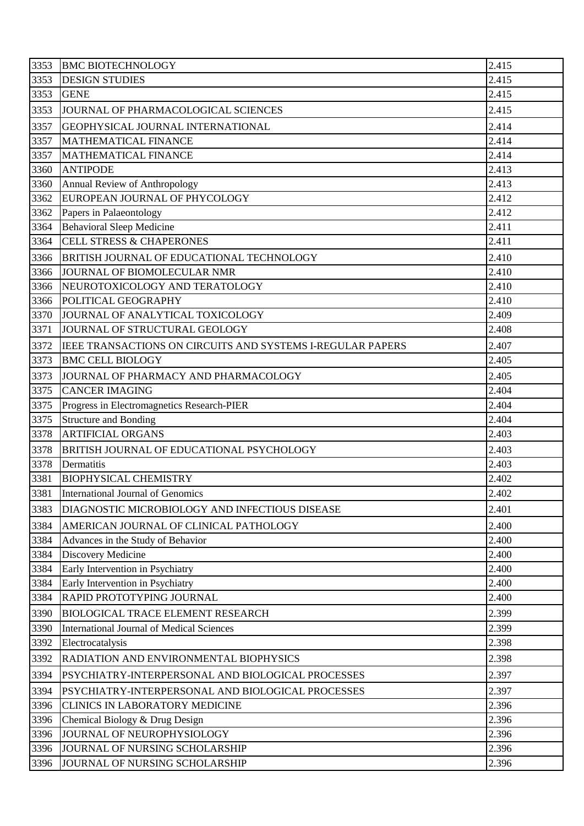| 3353 | <b>BMC BIOTECHNOLOGY</b>                                          | 2.415          |
|------|-------------------------------------------------------------------|----------------|
| 3353 | <b>DESIGN STUDIES</b>                                             | 2.415          |
| 3353 | <b>GENE</b>                                                       | 2.415          |
| 3353 | JOURNAL OF PHARMACOLOGICAL SCIENCES                               | 2.415          |
| 3357 | GEOPHYSICAL JOURNAL INTERNATIONAL                                 | 2.414          |
| 3357 | MATHEMATICAL FINANCE                                              | 2.414          |
| 3357 | <b>MATHEMATICAL FINANCE</b>                                       | 2.414          |
| 3360 | <b>ANTIPODE</b>                                                   | 2.413          |
| 3360 | Annual Review of Anthropology                                     | 2.413          |
| 3362 | EUROPEAN JOURNAL OF PHYCOLOGY                                     | 2.412          |
| 3362 | Papers in Palaeontology                                           | 2.412          |
| 3364 | <b>Behavioral Sleep Medicine</b>                                  | 2.411          |
| 3364 | <b>CELL STRESS &amp; CHAPERONES</b>                               | 2.411          |
| 3366 | BRITISH JOURNAL OF EDUCATIONAL TECHNOLOGY                         | 2.410          |
| 3366 | JOURNAL OF BIOMOLECULAR NMR                                       | 2.410          |
| 3366 | NEUROTOXICOLOGY AND TERATOLOGY                                    | 2.410          |
| 3366 | POLITICAL GEOGRAPHY                                               | 2.410          |
| 3370 | JOURNAL OF ANALYTICAL TOXICOLOGY                                  | 2.409          |
| 3371 | JOURNAL OF STRUCTURAL GEOLOGY                                     | 2.408          |
| 3372 | <b>IEEE TRANSACTIONS ON CIRCUITS AND SYSTEMS I-REGULAR PAPERS</b> | 2.407          |
| 3373 | <b>BMC CELL BIOLOGY</b>                                           | 2.405          |
| 3373 | JOURNAL OF PHARMACY AND PHARMACOLOGY                              | 2.405          |
| 3375 | <b>CANCER IMAGING</b>                                             | 2.404          |
| 3375 | Progress in Electromagnetics Research-PIER                        | 2.404          |
|      | <b>Structure and Bonding</b>                                      | 2.404          |
| 3375 |                                                                   |                |
| 3378 | <b>ARTIFICIAL ORGANS</b>                                          | 2.403          |
| 3378 | BRITISH JOURNAL OF EDUCATIONAL PSYCHOLOGY                         | 2.403          |
| 3378 | Dermatitis                                                        | 2.403          |
| 3381 | <b>BIOPHYSICAL CHEMISTRY</b>                                      | 2.402          |
| 3381 | International Journal of Genomics                                 | 2.402          |
| 3383 | DIAGNOSTIC MICROBIOLOGY AND INFECTIOUS DISEASE                    | 2.401          |
| 3384 | AMERICAN JOURNAL OF CLINICAL PATHOLOGY                            | 2.400          |
| 3384 | Advances in the Study of Behavior                                 | 2.400          |
| 3384 | Discovery Medicine                                                | 2.400          |
| 3384 | Early Intervention in Psychiatry                                  | 2.400          |
| 3384 | Early Intervention in Psychiatry                                  | 2.400          |
| 3384 | RAPID PROTOTYPING JOURNAL                                         | 2.400          |
| 3390 | <b>BIOLOGICAL TRACE ELEMENT RESEARCH</b>                          | 2.399          |
| 3390 | International Journal of Medical Sciences                         | 2.399          |
| 3392 | Electrocatalysis                                                  | 2.398          |
| 3392 | RADIATION AND ENVIRONMENTAL BIOPHYSICS                            | 2.398          |
| 3394 | PSYCHIATRY-INTERPERSONAL AND BIOLOGICAL PROCESSES                 | 2.397          |
| 3394 | PSYCHIATRY-INTERPERSONAL AND BIOLOGICAL PROCESSES                 | 2.397          |
| 3396 | <b>CLINICS IN LABORATORY MEDICINE</b>                             | 2.396          |
| 3396 | Chemical Biology & Drug Design                                    | 2.396          |
| 3396 | JOURNAL OF NEUROPHYSIOLOGY                                        | 2.396          |
| 3396 | JOURNAL OF NURSING SCHOLARSHIP                                    | 2.396<br>2.396 |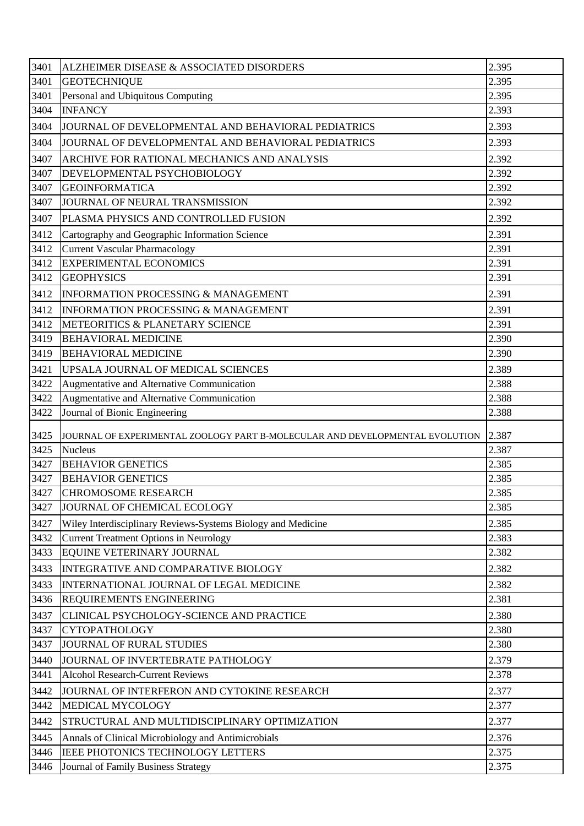| 3401 | ALZHEIMER DISEASE & ASSOCIATED DISORDERS                                     | 2.395 |
|------|------------------------------------------------------------------------------|-------|
| 3401 | <b>GEOTECHNIQUE</b>                                                          | 2.395 |
| 3401 | Personal and Ubiquitous Computing                                            | 2.395 |
| 3404 | <b>INFANCY</b>                                                               | 2.393 |
| 3404 | JOURNAL OF DEVELOPMENTAL AND BEHAVIORAL PEDIATRICS                           | 2.393 |
| 3404 | JOURNAL OF DEVELOPMENTAL AND BEHAVIORAL PEDIATRICS                           | 2.393 |
| 3407 | ARCHIVE FOR RATIONAL MECHANICS AND ANALYSIS                                  | 2.392 |
| 3407 | DEVELOPMENTAL PSYCHOBIOLOGY                                                  | 2.392 |
| 3407 | <b>GEOINFORMATICA</b>                                                        | 2.392 |
| 3407 | JOURNAL OF NEURAL TRANSMISSION                                               | 2.392 |
| 3407 | PLASMA PHYSICS AND CONTROLLED FUSION                                         | 2.392 |
| 3412 | Cartography and Geographic Information Science                               | 2.391 |
| 3412 | <b>Current Vascular Pharmacology</b>                                         | 2.391 |
| 3412 | <b>EXPERIMENTAL ECONOMICS</b>                                                | 2.391 |
| 3412 | <b>GEOPHYSICS</b>                                                            | 2.391 |
| 3412 | <b>INFORMATION PROCESSING &amp; MANAGEMENT</b>                               | 2.391 |
| 3412 | <b>INFORMATION PROCESSING &amp; MANAGEMENT</b>                               | 2.391 |
| 3412 | METEORITICS & PLANETARY SCIENCE                                              | 2.391 |
| 3419 | <b>BEHAVIORAL MEDICINE</b>                                                   | 2.390 |
| 3419 | <b>BEHAVIORAL MEDICINE</b>                                                   | 2.390 |
| 3421 | UPSALA JOURNAL OF MEDICAL SCIENCES                                           | 2.389 |
| 3422 | Augmentative and Alternative Communication                                   | 2.388 |
| 3422 | Augmentative and Alternative Communication                                   | 2.388 |
| 3422 | Journal of Bionic Engineering                                                | 2.388 |
| 3425 | JOURNAL OF EXPERIMENTAL ZOOLOGY PART B-MOLECULAR AND DEVELOPMENTAL EVOLUTION | 2.387 |
| 3425 | <b>Nucleus</b>                                                               | 2.387 |
| 3427 | <b>BEHAVIOR GENETICS</b>                                                     | 2.385 |
| 3427 | <b>BEHAVIOR GENETICS</b>                                                     | 2.385 |
| 3427 | <b>CHROMOSOME RESEARCH</b>                                                   | 2.385 |
| 3427 | JOURNAL OF CHEMICAL ECOLOGY                                                  | 2.385 |
| 3427 | Wiley Interdisciplinary Reviews-Systems Biology and Medicine                 | 2.385 |
| 3432 | <b>Current Treatment Options in Neurology</b>                                | 2.383 |
| 3433 | EQUINE VETERINARY JOURNAL                                                    | 2.382 |
| 3433 | INTEGRATIVE AND COMPARATIVE BIOLOGY                                          | 2.382 |
| 3433 | INTERNATIONAL JOURNAL OF LEGAL MEDICINE                                      | 2.382 |
| 3436 | REQUIREMENTS ENGINEERING                                                     | 2.381 |
| 3437 | CLINICAL PSYCHOLOGY-SCIENCE AND PRACTICE                                     | 2.380 |
| 3437 | <b>CYTOPATHOLOGY</b>                                                         | 2.380 |
| 3437 | <b>JOURNAL OF RURAL STUDIES</b>                                              | 2.380 |
| 3440 | JOURNAL OF INVERTEBRATE PATHOLOGY                                            | 2.379 |
| 3441 | <b>Alcohol Research-Current Reviews</b>                                      | 2.378 |
| 3442 | JOURNAL OF INTERFERON AND CYTOKINE RESEARCH                                  | 2.377 |
| 3442 | MEDICAL MYCOLOGY                                                             | 2.377 |
| 3442 | STRUCTURAL AND MULTIDISCIPLINARY OPTIMIZATION                                | 2.377 |
| 3445 | Annals of Clinical Microbiology and Antimicrobials                           | 2.376 |
| 3446 | IEEE PHOTONICS TECHNOLOGY LETTERS                                            | 2.375 |
| 3446 | Journal of Family Business Strategy                                          | 2.375 |
|      |                                                                              |       |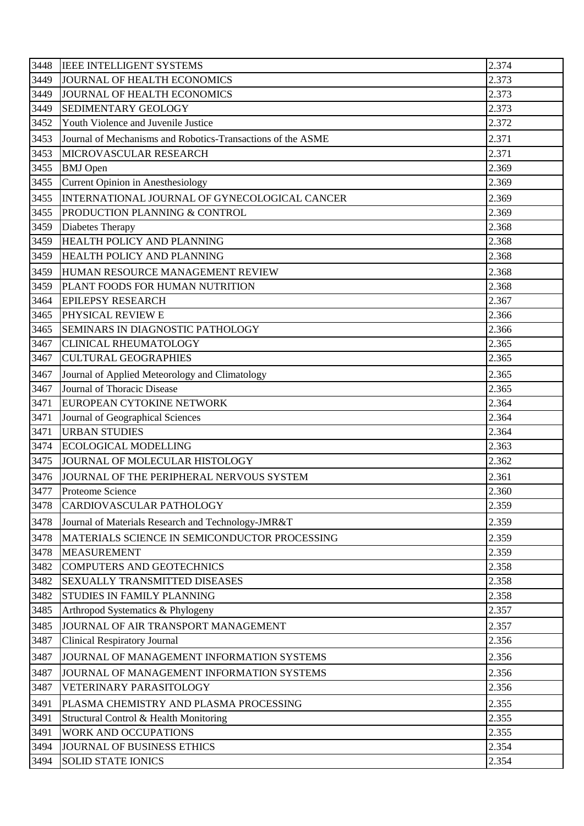| 3448 | <b>IEEE INTELLIGENT SYSTEMS</b>                             | 2.374 |
|------|-------------------------------------------------------------|-------|
| 3449 | JOURNAL OF HEALTH ECONOMICS                                 | 2.373 |
| 3449 | JOURNAL OF HEALTH ECONOMICS                                 | 2.373 |
| 3449 | SEDIMENTARY GEOLOGY                                         | 2.373 |
| 3452 | Youth Violence and Juvenile Justice                         | 2.372 |
| 3453 | Journal of Mechanisms and Robotics-Transactions of the ASME | 2.371 |
| 3453 | MICROVASCULAR RESEARCH                                      | 2.371 |
| 3455 | <b>BMJ</b> Open                                             | 2.369 |
| 3455 | <b>Current Opinion in Anesthesiology</b>                    | 2.369 |
| 3455 | INTERNATIONAL JOURNAL OF GYNECOLOGICAL CANCER               | 2.369 |
| 3455 | PRODUCTION PLANNING & CONTROL                               | 2.369 |
| 3459 | Diabetes Therapy                                            | 2.368 |
| 3459 | HEALTH POLICY AND PLANNING                                  | 2.368 |
| 3459 | <b>HEALTH POLICY AND PLANNING</b>                           | 2.368 |
| 3459 | HUMAN RESOURCE MANAGEMENT REVIEW                            | 2.368 |
| 3459 | PLANT FOODS FOR HUMAN NUTRITION                             | 2.368 |
| 3464 | <b>EPILEPSY RESEARCH</b>                                    | 2.367 |
| 3465 | PHYSICAL REVIEW E                                           | 2.366 |
| 3465 | SEMINARS IN DIAGNOSTIC PATHOLOGY                            | 2.366 |
| 3467 | <b>CLINICAL RHEUMATOLOGY</b>                                | 2.365 |
| 3467 | <b>CULTURAL GEOGRAPHIES</b>                                 | 2.365 |
| 3467 | Journal of Applied Meteorology and Climatology              | 2.365 |
| 3467 | Journal of Thoracic Disease                                 | 2.365 |
| 3471 | EUROPEAN CYTOKINE NETWORK                                   | 2.364 |
| 3471 | Journal of Geographical Sciences                            | 2.364 |
| 3471 | <b>URBAN STUDIES</b>                                        | 2.364 |
| 3474 | <b>ECOLOGICAL MODELLING</b>                                 | 2.363 |
| 3475 | JOURNAL OF MOLECULAR HISTOLOGY                              | 2.362 |
|      | 3476 JJOURNAL OF THE PERIPHERAL NERVOUS SYSTEM              | 2.361 |
| 3477 | Proteome Science                                            | 2.360 |
| 3478 | CARDIOVASCULAR PATHOLOGY                                    | 2.359 |
| 3478 | Journal of Materials Research and Technology-JMR&T          | 2.359 |
| 3478 | MATERIALS SCIENCE IN SEMICONDUCTOR PROCESSING               | 2.359 |
| 3478 | <b>MEASUREMENT</b>                                          | 2.359 |
| 3482 | <b>COMPUTERS AND GEOTECHNICS</b>                            | 2.358 |
| 3482 | <b>SEXUALLY TRANSMITTED DISEASES</b>                        | 2.358 |
| 3482 | STUDIES IN FAMILY PLANNING                                  | 2.358 |
| 3485 | Arthropod Systematics & Phylogeny                           | 2.357 |
| 3485 | JOURNAL OF AIR TRANSPORT MANAGEMENT                         | 2.357 |
| 3487 | <b>Clinical Respiratory Journal</b>                         | 2.356 |
| 3487 | JOURNAL OF MANAGEMENT INFORMATION SYSTEMS                   | 2.356 |
| 3487 | JOURNAL OF MANAGEMENT INFORMATION SYSTEMS                   | 2.356 |
| 3487 | VETERINARY PARASITOLOGY                                     | 2.356 |
| 3491 | PLASMA CHEMISTRY AND PLASMA PROCESSING                      | 2.355 |
| 3491 | Structural Control & Health Monitoring                      | 2.355 |
| 3491 | <b>WORK AND OCCUPATIONS</b>                                 | 2.355 |
| 3494 | JOURNAL OF BUSINESS ETHICS                                  | 2.354 |
| 3494 | <b>SOLID STATE IONICS</b>                                   | 2.354 |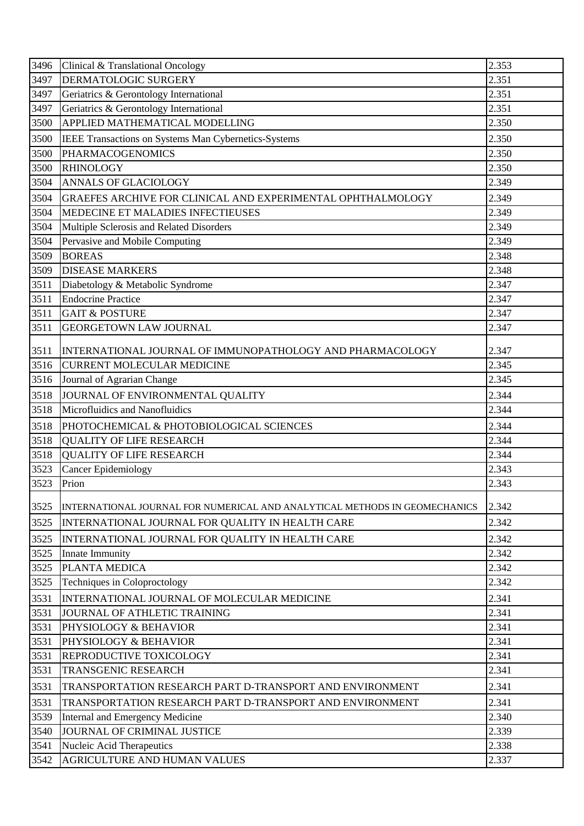| 2.351<br>3497<br>DERMATOLOGIC SURGERY<br>2.351<br>3497<br>Geriatrics & Gerontology International<br>2.351<br>3497<br>Geriatrics & Gerontology International<br>APPLIED MATHEMATICAL MODELLING<br>3500<br>2.350<br>2.350<br>3500<br>IEEE Transactions on Systems Man Cybernetics-Systems<br>2.350<br>3500<br><b>PHARMACOGENOMICS</b><br>2.350<br>3500<br><b>RHINOLOGY</b><br>3504<br>2.349<br><b>ANNALS OF GLACIOLOGY</b><br>2.349<br>3504<br>GRAEFES ARCHIVE FOR CLINICAL AND EXPERIMENTAL OPHTHALMOLOGY<br>3504<br>MEDECINE ET MALADIES INFECTIEUSES<br>2.349<br>3504<br>2.349<br>Multiple Sclerosis and Related Disorders<br>Pervasive and Mobile Computing<br>2.349<br>3504<br><b>BOREAS</b><br>2.348<br>3509<br>3509<br><b>DISEASE MARKERS</b><br>2.348<br>2.347<br>3511<br>Diabetology & Metabolic Syndrome<br><b>Endocrine Practice</b><br>2.347<br>3511<br>2.347<br>3511<br><b>GAIT &amp; POSTURE</b><br>2.347<br>3511<br><b>GEORGETOWN LAW JOURNAL</b><br>INTERNATIONAL JOURNAL OF IMMUNOPATHOLOGY AND PHARMACOLOGY<br>2.347<br>3511<br>2.345<br>3516<br><b>CURRENT MOLECULAR MEDICINE</b><br>2.345<br>3516<br>Journal of Agrarian Change<br>2.344<br>JOURNAL OF ENVIRONMENTAL QUALITY<br>3518<br>Microfluidics and Nanofluidics<br>3518<br>2.344<br>2.344<br>3518<br>PHOTOCHEMICAL & PHOTOBIOLOGICAL SCIENCES<br>2.344<br>3518<br><b>QUALITY OF LIFE RESEARCH</b><br>2.344<br><b>QUALITY OF LIFE RESEARCH</b><br>3518<br>3523<br><b>Cancer Epidemiology</b><br>2.343<br>3523<br>Prion<br>2.343<br>3525<br>2.342<br>INTERNATIONAL JOURNAL FOR NUMERICAL AND ANALYTICAL METHODS IN GEOMECHANICS<br>3525<br>2.342<br>INTERNATIONAL JOURNAL FOR QUALITY IN HEALTH CARE<br>2.342<br>3525<br>INTERNATIONAL JOURNAL FOR QUALITY IN HEALTH CARE<br>2.342<br>3525<br>Innate Immunity<br>PLANTA MEDICA<br>2.342<br>3525<br>2.342<br>3525<br>Techniques in Coloproctology<br>2.341<br>3531<br>INTERNATIONAL JOURNAL OF MOLECULAR MEDICINE<br>2.341<br>3531<br>JOURNAL OF ATHLETIC TRAINING<br>2.341<br>3531<br>PHYSIOLOGY & BEHAVIOR<br>2.341<br>3531<br>PHYSIOLOGY & BEHAVIOR<br>REPRODUCTIVE TOXICOLOGY<br>2.341<br>3531<br>3531<br><b>TRANSGENIC RESEARCH</b><br>2.341<br>3531<br>2.341<br>TRANSPORTATION RESEARCH PART D-TRANSPORT AND ENVIRONMENT<br>2.341<br>3531<br>TRANSPORTATION RESEARCH PART D-TRANSPORT AND ENVIRONMENT<br>2.340<br>3539<br>Internal and Emergency Medicine<br>2.339<br>3540<br>JOURNAL OF CRIMINAL JUSTICE<br>2.338<br>Nucleic Acid Therapeutics<br>3541<br>AGRICULTURE AND HUMAN VALUES<br>2.337<br>3542 | 3496 | Clinical & Translational Oncology | 2.353 |
|--------------------------------------------------------------------------------------------------------------------------------------------------------------------------------------------------------------------------------------------------------------------------------------------------------------------------------------------------------------------------------------------------------------------------------------------------------------------------------------------------------------------------------------------------------------------------------------------------------------------------------------------------------------------------------------------------------------------------------------------------------------------------------------------------------------------------------------------------------------------------------------------------------------------------------------------------------------------------------------------------------------------------------------------------------------------------------------------------------------------------------------------------------------------------------------------------------------------------------------------------------------------------------------------------------------------------------------------------------------------------------------------------------------------------------------------------------------------------------------------------------------------------------------------------------------------------------------------------------------------------------------------------------------------------------------------------------------------------------------------------------------------------------------------------------------------------------------------------------------------------------------------------------------------------------------------------------------------------------------------------------------------------------------------------------------------------------------------------------------------------------------------------------------------------------------------------------------------------------------------------------------------------------------------------------------------------------------------------------------------------------------------------------------------------------------------------------------------------------------------------------------------------------------|------|-----------------------------------|-------|
|                                                                                                                                                                                                                                                                                                                                                                                                                                                                                                                                                                                                                                                                                                                                                                                                                                                                                                                                                                                                                                                                                                                                                                                                                                                                                                                                                                                                                                                                                                                                                                                                                                                                                                                                                                                                                                                                                                                                                                                                                                                                                                                                                                                                                                                                                                                                                                                                                                                                                                                                      |      |                                   |       |
|                                                                                                                                                                                                                                                                                                                                                                                                                                                                                                                                                                                                                                                                                                                                                                                                                                                                                                                                                                                                                                                                                                                                                                                                                                                                                                                                                                                                                                                                                                                                                                                                                                                                                                                                                                                                                                                                                                                                                                                                                                                                                                                                                                                                                                                                                                                                                                                                                                                                                                                                      |      |                                   |       |
|                                                                                                                                                                                                                                                                                                                                                                                                                                                                                                                                                                                                                                                                                                                                                                                                                                                                                                                                                                                                                                                                                                                                                                                                                                                                                                                                                                                                                                                                                                                                                                                                                                                                                                                                                                                                                                                                                                                                                                                                                                                                                                                                                                                                                                                                                                                                                                                                                                                                                                                                      |      |                                   |       |
|                                                                                                                                                                                                                                                                                                                                                                                                                                                                                                                                                                                                                                                                                                                                                                                                                                                                                                                                                                                                                                                                                                                                                                                                                                                                                                                                                                                                                                                                                                                                                                                                                                                                                                                                                                                                                                                                                                                                                                                                                                                                                                                                                                                                                                                                                                                                                                                                                                                                                                                                      |      |                                   |       |
|                                                                                                                                                                                                                                                                                                                                                                                                                                                                                                                                                                                                                                                                                                                                                                                                                                                                                                                                                                                                                                                                                                                                                                                                                                                                                                                                                                                                                                                                                                                                                                                                                                                                                                                                                                                                                                                                                                                                                                                                                                                                                                                                                                                                                                                                                                                                                                                                                                                                                                                                      |      |                                   |       |
|                                                                                                                                                                                                                                                                                                                                                                                                                                                                                                                                                                                                                                                                                                                                                                                                                                                                                                                                                                                                                                                                                                                                                                                                                                                                                                                                                                                                                                                                                                                                                                                                                                                                                                                                                                                                                                                                                                                                                                                                                                                                                                                                                                                                                                                                                                                                                                                                                                                                                                                                      |      |                                   |       |
|                                                                                                                                                                                                                                                                                                                                                                                                                                                                                                                                                                                                                                                                                                                                                                                                                                                                                                                                                                                                                                                                                                                                                                                                                                                                                                                                                                                                                                                                                                                                                                                                                                                                                                                                                                                                                                                                                                                                                                                                                                                                                                                                                                                                                                                                                                                                                                                                                                                                                                                                      |      |                                   |       |
|                                                                                                                                                                                                                                                                                                                                                                                                                                                                                                                                                                                                                                                                                                                                                                                                                                                                                                                                                                                                                                                                                                                                                                                                                                                                                                                                                                                                                                                                                                                                                                                                                                                                                                                                                                                                                                                                                                                                                                                                                                                                                                                                                                                                                                                                                                                                                                                                                                                                                                                                      |      |                                   |       |
|                                                                                                                                                                                                                                                                                                                                                                                                                                                                                                                                                                                                                                                                                                                                                                                                                                                                                                                                                                                                                                                                                                                                                                                                                                                                                                                                                                                                                                                                                                                                                                                                                                                                                                                                                                                                                                                                                                                                                                                                                                                                                                                                                                                                                                                                                                                                                                                                                                                                                                                                      |      |                                   |       |
|                                                                                                                                                                                                                                                                                                                                                                                                                                                                                                                                                                                                                                                                                                                                                                                                                                                                                                                                                                                                                                                                                                                                                                                                                                                                                                                                                                                                                                                                                                                                                                                                                                                                                                                                                                                                                                                                                                                                                                                                                                                                                                                                                                                                                                                                                                                                                                                                                                                                                                                                      |      |                                   |       |
|                                                                                                                                                                                                                                                                                                                                                                                                                                                                                                                                                                                                                                                                                                                                                                                                                                                                                                                                                                                                                                                                                                                                                                                                                                                                                                                                                                                                                                                                                                                                                                                                                                                                                                                                                                                                                                                                                                                                                                                                                                                                                                                                                                                                                                                                                                                                                                                                                                                                                                                                      |      |                                   |       |
|                                                                                                                                                                                                                                                                                                                                                                                                                                                                                                                                                                                                                                                                                                                                                                                                                                                                                                                                                                                                                                                                                                                                                                                                                                                                                                                                                                                                                                                                                                                                                                                                                                                                                                                                                                                                                                                                                                                                                                                                                                                                                                                                                                                                                                                                                                                                                                                                                                                                                                                                      |      |                                   |       |
|                                                                                                                                                                                                                                                                                                                                                                                                                                                                                                                                                                                                                                                                                                                                                                                                                                                                                                                                                                                                                                                                                                                                                                                                                                                                                                                                                                                                                                                                                                                                                                                                                                                                                                                                                                                                                                                                                                                                                                                                                                                                                                                                                                                                                                                                                                                                                                                                                                                                                                                                      |      |                                   |       |
|                                                                                                                                                                                                                                                                                                                                                                                                                                                                                                                                                                                                                                                                                                                                                                                                                                                                                                                                                                                                                                                                                                                                                                                                                                                                                                                                                                                                                                                                                                                                                                                                                                                                                                                                                                                                                                                                                                                                                                                                                                                                                                                                                                                                                                                                                                                                                                                                                                                                                                                                      |      |                                   |       |
|                                                                                                                                                                                                                                                                                                                                                                                                                                                                                                                                                                                                                                                                                                                                                                                                                                                                                                                                                                                                                                                                                                                                                                                                                                                                                                                                                                                                                                                                                                                                                                                                                                                                                                                                                                                                                                                                                                                                                                                                                                                                                                                                                                                                                                                                                                                                                                                                                                                                                                                                      |      |                                   |       |
|                                                                                                                                                                                                                                                                                                                                                                                                                                                                                                                                                                                                                                                                                                                                                                                                                                                                                                                                                                                                                                                                                                                                                                                                                                                                                                                                                                                                                                                                                                                                                                                                                                                                                                                                                                                                                                                                                                                                                                                                                                                                                                                                                                                                                                                                                                                                                                                                                                                                                                                                      |      |                                   |       |
|                                                                                                                                                                                                                                                                                                                                                                                                                                                                                                                                                                                                                                                                                                                                                                                                                                                                                                                                                                                                                                                                                                                                                                                                                                                                                                                                                                                                                                                                                                                                                                                                                                                                                                                                                                                                                                                                                                                                                                                                                                                                                                                                                                                                                                                                                                                                                                                                                                                                                                                                      |      |                                   |       |
|                                                                                                                                                                                                                                                                                                                                                                                                                                                                                                                                                                                                                                                                                                                                                                                                                                                                                                                                                                                                                                                                                                                                                                                                                                                                                                                                                                                                                                                                                                                                                                                                                                                                                                                                                                                                                                                                                                                                                                                                                                                                                                                                                                                                                                                                                                                                                                                                                                                                                                                                      |      |                                   |       |
|                                                                                                                                                                                                                                                                                                                                                                                                                                                                                                                                                                                                                                                                                                                                                                                                                                                                                                                                                                                                                                                                                                                                                                                                                                                                                                                                                                                                                                                                                                                                                                                                                                                                                                                                                                                                                                                                                                                                                                                                                                                                                                                                                                                                                                                                                                                                                                                                                                                                                                                                      |      |                                   |       |
|                                                                                                                                                                                                                                                                                                                                                                                                                                                                                                                                                                                                                                                                                                                                                                                                                                                                                                                                                                                                                                                                                                                                                                                                                                                                                                                                                                                                                                                                                                                                                                                                                                                                                                                                                                                                                                                                                                                                                                                                                                                                                                                                                                                                                                                                                                                                                                                                                                                                                                                                      |      |                                   |       |
|                                                                                                                                                                                                                                                                                                                                                                                                                                                                                                                                                                                                                                                                                                                                                                                                                                                                                                                                                                                                                                                                                                                                                                                                                                                                                                                                                                                                                                                                                                                                                                                                                                                                                                                                                                                                                                                                                                                                                                                                                                                                                                                                                                                                                                                                                                                                                                                                                                                                                                                                      |      |                                   |       |
|                                                                                                                                                                                                                                                                                                                                                                                                                                                                                                                                                                                                                                                                                                                                                                                                                                                                                                                                                                                                                                                                                                                                                                                                                                                                                                                                                                                                                                                                                                                                                                                                                                                                                                                                                                                                                                                                                                                                                                                                                                                                                                                                                                                                                                                                                                                                                                                                                                                                                                                                      |      |                                   |       |
|                                                                                                                                                                                                                                                                                                                                                                                                                                                                                                                                                                                                                                                                                                                                                                                                                                                                                                                                                                                                                                                                                                                                                                                                                                                                                                                                                                                                                                                                                                                                                                                                                                                                                                                                                                                                                                                                                                                                                                                                                                                                                                                                                                                                                                                                                                                                                                                                                                                                                                                                      |      |                                   |       |
|                                                                                                                                                                                                                                                                                                                                                                                                                                                                                                                                                                                                                                                                                                                                                                                                                                                                                                                                                                                                                                                                                                                                                                                                                                                                                                                                                                                                                                                                                                                                                                                                                                                                                                                                                                                                                                                                                                                                                                                                                                                                                                                                                                                                                                                                                                                                                                                                                                                                                                                                      |      |                                   |       |
|                                                                                                                                                                                                                                                                                                                                                                                                                                                                                                                                                                                                                                                                                                                                                                                                                                                                                                                                                                                                                                                                                                                                                                                                                                                                                                                                                                                                                                                                                                                                                                                                                                                                                                                                                                                                                                                                                                                                                                                                                                                                                                                                                                                                                                                                                                                                                                                                                                                                                                                                      |      |                                   |       |
|                                                                                                                                                                                                                                                                                                                                                                                                                                                                                                                                                                                                                                                                                                                                                                                                                                                                                                                                                                                                                                                                                                                                                                                                                                                                                                                                                                                                                                                                                                                                                                                                                                                                                                                                                                                                                                                                                                                                                                                                                                                                                                                                                                                                                                                                                                                                                                                                                                                                                                                                      |      |                                   |       |
|                                                                                                                                                                                                                                                                                                                                                                                                                                                                                                                                                                                                                                                                                                                                                                                                                                                                                                                                                                                                                                                                                                                                                                                                                                                                                                                                                                                                                                                                                                                                                                                                                                                                                                                                                                                                                                                                                                                                                                                                                                                                                                                                                                                                                                                                                                                                                                                                                                                                                                                                      |      |                                   |       |
|                                                                                                                                                                                                                                                                                                                                                                                                                                                                                                                                                                                                                                                                                                                                                                                                                                                                                                                                                                                                                                                                                                                                                                                                                                                                                                                                                                                                                                                                                                                                                                                                                                                                                                                                                                                                                                                                                                                                                                                                                                                                                                                                                                                                                                                                                                                                                                                                                                                                                                                                      |      |                                   |       |
|                                                                                                                                                                                                                                                                                                                                                                                                                                                                                                                                                                                                                                                                                                                                                                                                                                                                                                                                                                                                                                                                                                                                                                                                                                                                                                                                                                                                                                                                                                                                                                                                                                                                                                                                                                                                                                                                                                                                                                                                                                                                                                                                                                                                                                                                                                                                                                                                                                                                                                                                      |      |                                   |       |
|                                                                                                                                                                                                                                                                                                                                                                                                                                                                                                                                                                                                                                                                                                                                                                                                                                                                                                                                                                                                                                                                                                                                                                                                                                                                                                                                                                                                                                                                                                                                                                                                                                                                                                                                                                                                                                                                                                                                                                                                                                                                                                                                                                                                                                                                                                                                                                                                                                                                                                                                      |      |                                   |       |
|                                                                                                                                                                                                                                                                                                                                                                                                                                                                                                                                                                                                                                                                                                                                                                                                                                                                                                                                                                                                                                                                                                                                                                                                                                                                                                                                                                                                                                                                                                                                                                                                                                                                                                                                                                                                                                                                                                                                                                                                                                                                                                                                                                                                                                                                                                                                                                                                                                                                                                                                      |      |                                   |       |
|                                                                                                                                                                                                                                                                                                                                                                                                                                                                                                                                                                                                                                                                                                                                                                                                                                                                                                                                                                                                                                                                                                                                                                                                                                                                                                                                                                                                                                                                                                                                                                                                                                                                                                                                                                                                                                                                                                                                                                                                                                                                                                                                                                                                                                                                                                                                                                                                                                                                                                                                      |      |                                   |       |
|                                                                                                                                                                                                                                                                                                                                                                                                                                                                                                                                                                                                                                                                                                                                                                                                                                                                                                                                                                                                                                                                                                                                                                                                                                                                                                                                                                                                                                                                                                                                                                                                                                                                                                                                                                                                                                                                                                                                                                                                                                                                                                                                                                                                                                                                                                                                                                                                                                                                                                                                      |      |                                   |       |
|                                                                                                                                                                                                                                                                                                                                                                                                                                                                                                                                                                                                                                                                                                                                                                                                                                                                                                                                                                                                                                                                                                                                                                                                                                                                                                                                                                                                                                                                                                                                                                                                                                                                                                                                                                                                                                                                                                                                                                                                                                                                                                                                                                                                                                                                                                                                                                                                                                                                                                                                      |      |                                   |       |
|                                                                                                                                                                                                                                                                                                                                                                                                                                                                                                                                                                                                                                                                                                                                                                                                                                                                                                                                                                                                                                                                                                                                                                                                                                                                                                                                                                                                                                                                                                                                                                                                                                                                                                                                                                                                                                                                                                                                                                                                                                                                                                                                                                                                                                                                                                                                                                                                                                                                                                                                      |      |                                   |       |
|                                                                                                                                                                                                                                                                                                                                                                                                                                                                                                                                                                                                                                                                                                                                                                                                                                                                                                                                                                                                                                                                                                                                                                                                                                                                                                                                                                                                                                                                                                                                                                                                                                                                                                                                                                                                                                                                                                                                                                                                                                                                                                                                                                                                                                                                                                                                                                                                                                                                                                                                      |      |                                   |       |
|                                                                                                                                                                                                                                                                                                                                                                                                                                                                                                                                                                                                                                                                                                                                                                                                                                                                                                                                                                                                                                                                                                                                                                                                                                                                                                                                                                                                                                                                                                                                                                                                                                                                                                                                                                                                                                                                                                                                                                                                                                                                                                                                                                                                                                                                                                                                                                                                                                                                                                                                      |      |                                   |       |
|                                                                                                                                                                                                                                                                                                                                                                                                                                                                                                                                                                                                                                                                                                                                                                                                                                                                                                                                                                                                                                                                                                                                                                                                                                                                                                                                                                                                                                                                                                                                                                                                                                                                                                                                                                                                                                                                                                                                                                                                                                                                                                                                                                                                                                                                                                                                                                                                                                                                                                                                      |      |                                   |       |
|                                                                                                                                                                                                                                                                                                                                                                                                                                                                                                                                                                                                                                                                                                                                                                                                                                                                                                                                                                                                                                                                                                                                                                                                                                                                                                                                                                                                                                                                                                                                                                                                                                                                                                                                                                                                                                                                                                                                                                                                                                                                                                                                                                                                                                                                                                                                                                                                                                                                                                                                      |      |                                   |       |
|                                                                                                                                                                                                                                                                                                                                                                                                                                                                                                                                                                                                                                                                                                                                                                                                                                                                                                                                                                                                                                                                                                                                                                                                                                                                                                                                                                                                                                                                                                                                                                                                                                                                                                                                                                                                                                                                                                                                                                                                                                                                                                                                                                                                                                                                                                                                                                                                                                                                                                                                      |      |                                   |       |
|                                                                                                                                                                                                                                                                                                                                                                                                                                                                                                                                                                                                                                                                                                                                                                                                                                                                                                                                                                                                                                                                                                                                                                                                                                                                                                                                                                                                                                                                                                                                                                                                                                                                                                                                                                                                                                                                                                                                                                                                                                                                                                                                                                                                                                                                                                                                                                                                                                                                                                                                      |      |                                   |       |
|                                                                                                                                                                                                                                                                                                                                                                                                                                                                                                                                                                                                                                                                                                                                                                                                                                                                                                                                                                                                                                                                                                                                                                                                                                                                                                                                                                                                                                                                                                                                                                                                                                                                                                                                                                                                                                                                                                                                                                                                                                                                                                                                                                                                                                                                                                                                                                                                                                                                                                                                      |      |                                   |       |
|                                                                                                                                                                                                                                                                                                                                                                                                                                                                                                                                                                                                                                                                                                                                                                                                                                                                                                                                                                                                                                                                                                                                                                                                                                                                                                                                                                                                                                                                                                                                                                                                                                                                                                                                                                                                                                                                                                                                                                                                                                                                                                                                                                                                                                                                                                                                                                                                                                                                                                                                      |      |                                   |       |
|                                                                                                                                                                                                                                                                                                                                                                                                                                                                                                                                                                                                                                                                                                                                                                                                                                                                                                                                                                                                                                                                                                                                                                                                                                                                                                                                                                                                                                                                                                                                                                                                                                                                                                                                                                                                                                                                                                                                                                                                                                                                                                                                                                                                                                                                                                                                                                                                                                                                                                                                      |      |                                   |       |
|                                                                                                                                                                                                                                                                                                                                                                                                                                                                                                                                                                                                                                                                                                                                                                                                                                                                                                                                                                                                                                                                                                                                                                                                                                                                                                                                                                                                                                                                                                                                                                                                                                                                                                                                                                                                                                                                                                                                                                                                                                                                                                                                                                                                                                                                                                                                                                                                                                                                                                                                      |      |                                   |       |
|                                                                                                                                                                                                                                                                                                                                                                                                                                                                                                                                                                                                                                                                                                                                                                                                                                                                                                                                                                                                                                                                                                                                                                                                                                                                                                                                                                                                                                                                                                                                                                                                                                                                                                                                                                                                                                                                                                                                                                                                                                                                                                                                                                                                                                                                                                                                                                                                                                                                                                                                      |      |                                   |       |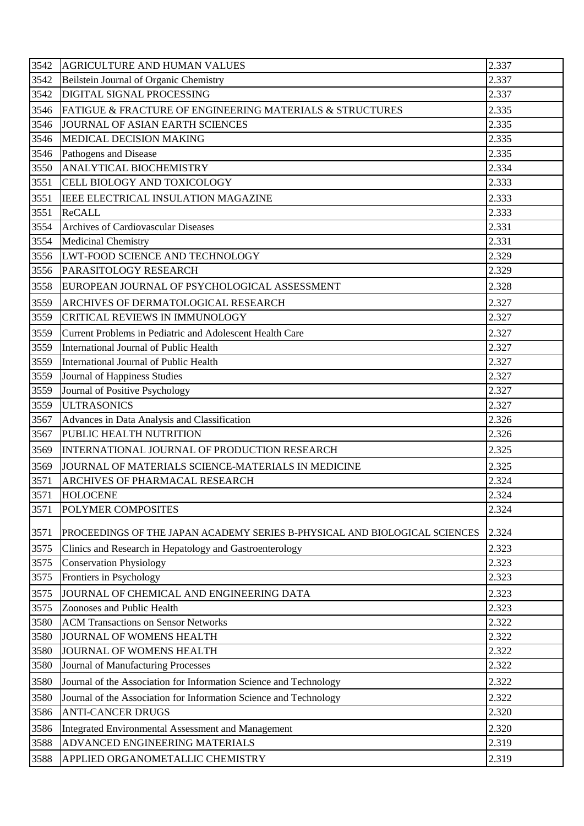| 3542 | <b>AGRICULTURE AND HUMAN VALUES</b>                                        | 2.337 |
|------|----------------------------------------------------------------------------|-------|
| 3542 | Beilstein Journal of Organic Chemistry                                     | 2.337 |
| 3542 | DIGITAL SIGNAL PROCESSING                                                  | 2.337 |
| 3546 | FATIGUE & FRACTURE OF ENGINEERING MATERIALS & STRUCTURES                   | 2.335 |
| 3546 | JOURNAL OF ASIAN EARTH SCIENCES                                            | 2.335 |
| 3546 | MEDICAL DECISION MAKING                                                    | 2.335 |
| 3546 | Pathogens and Disease                                                      | 2.335 |
| 3550 | ANALYTICAL BIOCHEMISTRY                                                    | 2.334 |
| 3551 | CELL BIOLOGY AND TOXICOLOGY                                                | 2.333 |
| 3551 | <b>IEEE ELECTRICAL INSULATION MAGAZINE</b>                                 | 2.333 |
| 3551 | <b>ReCALL</b>                                                              | 2.333 |
| 3554 | Archives of Cardiovascular Diseases                                        | 2.331 |
| 3554 | <b>Medicinal Chemistry</b>                                                 | 2.331 |
| 3556 | LWT-FOOD SCIENCE AND TECHNOLOGY                                            | 2.329 |
| 3556 | PARASITOLOGY RESEARCH                                                      | 2.329 |
| 3558 | EUROPEAN JOURNAL OF PSYCHOLOGICAL ASSESSMENT                               | 2.328 |
| 3559 | ARCHIVES OF DERMATOLOGICAL RESEARCH                                        | 2.327 |
| 3559 | <b>CRITICAL REVIEWS IN IMMUNOLOGY</b>                                      | 2.327 |
| 3559 | Current Problems in Pediatric and Adolescent Health Care                   | 2.327 |
| 3559 | International Journal of Public Health                                     | 2.327 |
| 3559 | International Journal of Public Health                                     | 2.327 |
| 3559 | Journal of Happiness Studies                                               | 2.327 |
| 3559 | Journal of Positive Psychology                                             | 2.327 |
| 3559 | <b>ULTRASONICS</b>                                                         | 2.327 |
| 3567 | Advances in Data Analysis and Classification                               | 2.326 |
| 3567 | PUBLIC HEALTH NUTRITION                                                    | 2.326 |
| 3569 | INTERNATIONAL JOURNAL OF PRODUCTION RESEARCH                               | 2.325 |
| 3569 | JOURNAL OF MATERIALS SCIENCE-MATERIALS IN MEDICINE                         | 2.325 |
| 3571 | <b>ARCHIVES OF PHARMACAL RESEARCH</b>                                      | 2.324 |
| 3571 | <b>HOLOCENE</b>                                                            | 2.324 |
| 3571 | POLYMER COMPOSITES                                                         | 2.324 |
| 3571 | PROCEEDINGS OF THE JAPAN ACADEMY SERIES B-PHYSICAL AND BIOLOGICAL SCIENCES | 2.324 |
| 3575 | Clinics and Research in Hepatology and Gastroenterology                    | 2.323 |
| 3575 | <b>Conservation Physiology</b>                                             | 2.323 |
| 3575 | Frontiers in Psychology                                                    | 2.323 |
| 3575 | JOURNAL OF CHEMICAL AND ENGINEERING DATA                                   | 2.323 |
| 3575 | Zoonoses and Public Health                                                 | 2.323 |
| 3580 | <b>ACM Transactions on Sensor Networks</b>                                 | 2.322 |
| 3580 | JOURNAL OF WOMENS HEALTH                                                   | 2.322 |
| 3580 | JOURNAL OF WOMENS HEALTH                                                   | 2.322 |
| 3580 | Journal of Manufacturing Processes                                         | 2.322 |
| 3580 | Journal of the Association for Information Science and Technology          | 2.322 |
| 3580 | Journal of the Association for Information Science and Technology          | 2.322 |
| 3586 | <b>ANTI-CANCER DRUGS</b>                                                   | 2.320 |
| 3586 | Integrated Environmental Assessment and Management                         | 2.320 |
| 3588 | ADVANCED ENGINEERING MATERIALS                                             | 2.319 |
| 3588 | APPLIED ORGANOMETALLIC CHEMISTRY                                           | 2.319 |
|      |                                                                            |       |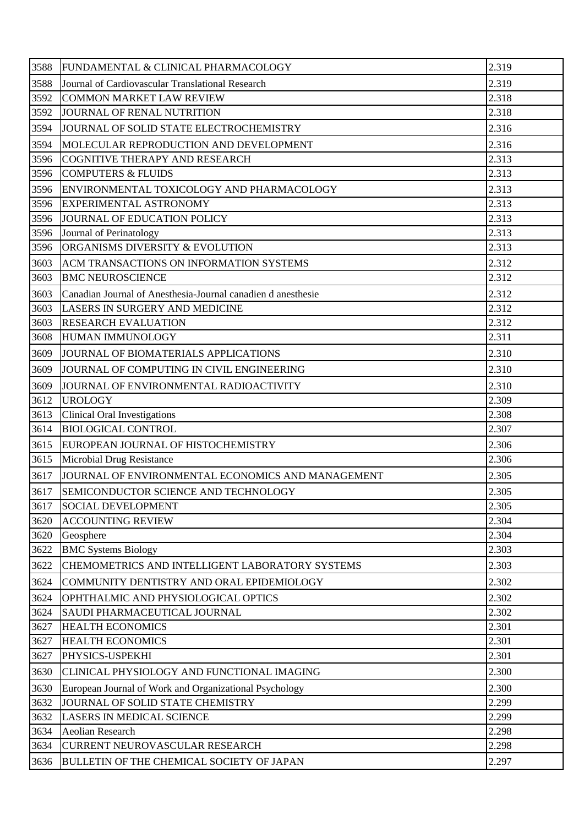| 3588 | FUNDAMENTAL & CLINICAL PHARMACOLOGY                          | 2.319 |
|------|--------------------------------------------------------------|-------|
| 3588 | Journal of Cardiovascular Translational Research             | 2.319 |
| 3592 | <b>COMMON MARKET LAW REVIEW</b>                              | 2.318 |
| 3592 | JOURNAL OF RENAL NUTRITION                                   | 2.318 |
| 3594 | JOURNAL OF SOLID STATE ELECTROCHEMISTRY                      | 2.316 |
| 3594 | MOLECULAR REPRODUCTION AND DEVELOPMENT                       | 2.316 |
| 3596 | <b>COGNITIVE THERAPY AND RESEARCH</b>                        | 2.313 |
| 3596 | <b>COMPUTERS &amp; FLUIDS</b>                                | 2.313 |
| 3596 | ENVIRONMENTAL TOXICOLOGY AND PHARMACOLOGY                    | 2.313 |
| 3596 | <b>EXPERIMENTAL ASTRONOMY</b>                                | 2.313 |
| 3596 | JOURNAL OF EDUCATION POLICY                                  | 2.313 |
| 3596 | Journal of Perinatology                                      | 2.313 |
| 3596 | ORGANISMS DIVERSITY & EVOLUTION                              | 2.313 |
| 3603 | ACM TRANSACTIONS ON INFORMATION SYSTEMS                      | 2.312 |
| 3603 | <b>BMC NEUROSCIENCE</b>                                      | 2.312 |
| 3603 | Canadian Journal of Anesthesia-Journal canadien d anesthesie | 2.312 |
| 3603 | LASERS IN SURGERY AND MEDICINE                               | 2.312 |
| 3603 | <b>RESEARCH EVALUATION</b>                                   | 2.312 |
| 3608 | HUMAN IMMUNOLOGY                                             | 2.311 |
| 3609 | JOURNAL OF BIOMATERIALS APPLICATIONS                         | 2.310 |
| 3609 | JOURNAL OF COMPUTING IN CIVIL ENGINEERING                    | 2.310 |
| 3609 | JOURNAL OF ENVIRONMENTAL RADIOACTIVITY                       | 2.310 |
| 3612 | <b>UROLOGY</b>                                               | 2.309 |
| 3613 | <b>Clinical Oral Investigations</b>                          | 2.308 |
| 3614 | <b>BIOLOGICAL CONTROL</b>                                    | 2.307 |
| 3615 | EUROPEAN JOURNAL OF HISTOCHEMISTRY                           | 2.306 |
| 3615 | Microbial Drug Resistance                                    | 2.306 |
| 3617 | JOURNAL OF ENVIRONMENTAL ECONOMICS AND MANAGEMENT            | 2.305 |
| 3617 | SEMICONDUCTOR SCIENCE AND TECHNOLOGY                         | 2.305 |
| 3617 | <b>SOCIAL DEVELOPMENT</b>                                    | 2.305 |
| 3620 | <b>ACCOUNTING REVIEW</b>                                     | 2.304 |
| 3620 | Geosphere                                                    | 2.304 |
| 3622 | <b>BMC Systems Biology</b>                                   | 2.303 |
| 3622 | CHEMOMETRICS AND INTELLIGENT LABORATORY SYSTEMS              | 2.303 |
| 3624 | COMMUNITY DENTISTRY AND ORAL EPIDEMIOLOGY                    | 2.302 |
| 3624 | OPHTHALMIC AND PHYSIOLOGICAL OPTICS                          | 2.302 |
| 3624 | SAUDI PHARMACEUTICAL JOURNAL                                 | 2.302 |
| 3627 | <b>HEALTH ECONOMICS</b>                                      | 2.301 |
| 3627 | <b>HEALTH ECONOMICS</b>                                      | 2.301 |
| 3627 | PHYSICS-USPEKHI                                              | 2.301 |
| 3630 | CLINICAL PHYSIOLOGY AND FUNCTIONAL IMAGING                   | 2.300 |
| 3630 | European Journal of Work and Organizational Psychology       | 2.300 |
| 3632 | JOURNAL OF SOLID STATE CHEMISTRY                             | 2.299 |
| 3632 | <b>LASERS IN MEDICAL SCIENCE</b>                             | 2.299 |
| 3634 | <b>Aeolian Research</b>                                      | 2.298 |
| 3634 | CURRENT NEUROVASCULAR RESEARCH                               | 2.298 |
| 3636 | <b>BULLETIN OF THE CHEMICAL SOCIETY OF JAPAN</b>             | 2.297 |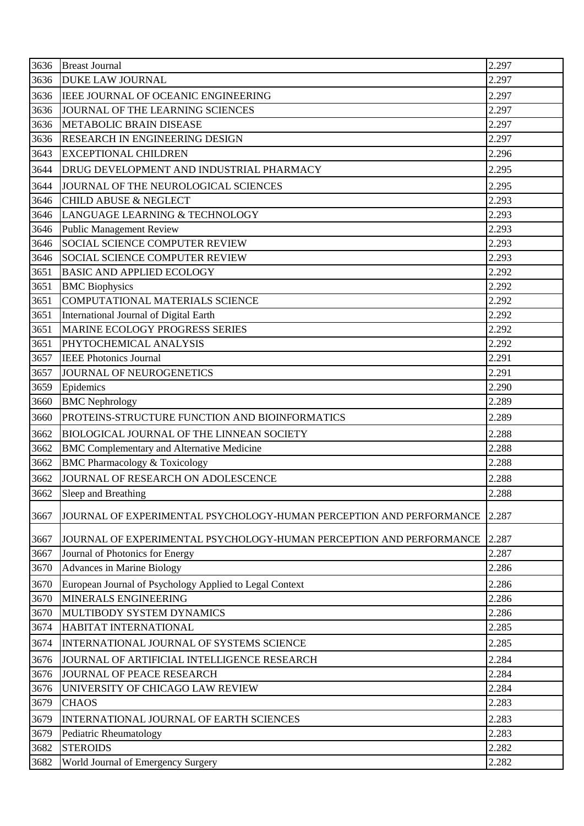| 3636 | <b>Breast Journal</b>                                               | 2.297 |
|------|---------------------------------------------------------------------|-------|
| 3636 | <b>DUKE LAW JOURNAL</b>                                             | 2.297 |
| 3636 | <b>IEEE JOURNAL OF OCEANIC ENGINEERING</b>                          | 2.297 |
| 3636 | JOURNAL OF THE LEARNING SCIENCES                                    | 2.297 |
| 3636 | <b>METABOLIC BRAIN DISEASE</b>                                      | 2.297 |
| 3636 | RESEARCH IN ENGINEERING DESIGN                                      | 2.297 |
| 3643 | <b>EXCEPTIONAL CHILDREN</b>                                         | 2.296 |
| 3644 | DRUG DEVELOPMENT AND INDUSTRIAL PHARMACY                            | 2.295 |
| 3644 | JOURNAL OF THE NEUROLOGICAL SCIENCES                                | 2.295 |
| 3646 | <b>CHILD ABUSE &amp; NEGLECT</b>                                    | 2.293 |
| 3646 | LANGUAGE LEARNING & TECHNOLOGY                                      | 2.293 |
| 3646 | <b>Public Management Review</b>                                     | 2.293 |
| 3646 | SOCIAL SCIENCE COMPUTER REVIEW                                      | 2.293 |
| 3646 | <b>SOCIAL SCIENCE COMPUTER REVIEW</b>                               | 2.293 |
| 3651 | <b>BASIC AND APPLIED ECOLOGY</b>                                    | 2.292 |
| 3651 | <b>BMC</b> Biophysics                                               | 2.292 |
| 3651 | COMPUTATIONAL MATERIALS SCIENCE                                     | 2.292 |
| 3651 | International Journal of Digital Earth                              | 2.292 |
| 3651 | MARINE ECOLOGY PROGRESS SERIES                                      | 2.292 |
| 3651 | PHYTOCHEMICAL ANALYSIS                                              | 2.292 |
| 3657 | <b>IEEE Photonics Journal</b>                                       | 2.291 |
| 3657 | JOURNAL OF NEUROGENETICS                                            | 2.291 |
| 3659 | Epidemics                                                           | 2.290 |
| 3660 | <b>BMC Nephrology</b>                                               | 2.289 |
| 3660 | PROTEINS-STRUCTURE FUNCTION AND BIOINFORMATICS                      | 2.289 |
| 3662 | <b>BIOLOGICAL JOURNAL OF THE LINNEAN SOCIETY</b>                    | 2.288 |
| 3662 | <b>BMC Complementary and Alternative Medicine</b>                   | 2.288 |
| 3662 | <b>BMC Pharmacology &amp; Toxicology</b>                            | 2.288 |
| 3662 | JOURNAL OF RESEARCH ON ADOLESCENCE                                  | 2.288 |
| 3662 | Sleep and Breathing                                                 | 2.288 |
| 3667 | JOURNAL OF EXPERIMENTAL PSYCHOLOGY-HUMAN PERCEPTION AND PERFORMANCE | 2.287 |
| 3667 | JOURNAL OF EXPERIMENTAL PSYCHOLOGY-HUMAN PERCEPTION AND PERFORMANCE | 2.287 |
| 3667 | Journal of Photonics for Energy                                     | 2.287 |
| 3670 | <b>Advances in Marine Biology</b>                                   | 2.286 |
| 3670 | European Journal of Psychology Applied to Legal Context             | 2.286 |
| 3670 | MINERALS ENGINEERING                                                | 2.286 |
| 3670 | MULTIBODY SYSTEM DYNAMICS                                           | 2.286 |
| 3674 | HABITAT INTERNATIONAL                                               | 2.285 |
| 3674 | INTERNATIONAL JOURNAL OF SYSTEMS SCIENCE                            | 2.285 |
| 3676 | JOURNAL OF ARTIFICIAL INTELLIGENCE RESEARCH                         | 2.284 |
| 3676 | JOURNAL OF PEACE RESEARCH                                           | 2.284 |
| 3676 | UNIVERSITY OF CHICAGO LAW REVIEW                                    | 2.284 |
| 3679 | <b>CHAOS</b>                                                        | 2.283 |
|      |                                                                     |       |
| 3679 | INTERNATIONAL JOURNAL OF EARTH SCIENCES                             | 2.283 |
| 3679 | Pediatric Rheumatology                                              | 2.283 |
| 3682 | <b>STEROIDS</b>                                                     | 2.282 |
| 3682 | World Journal of Emergency Surgery                                  | 2.282 |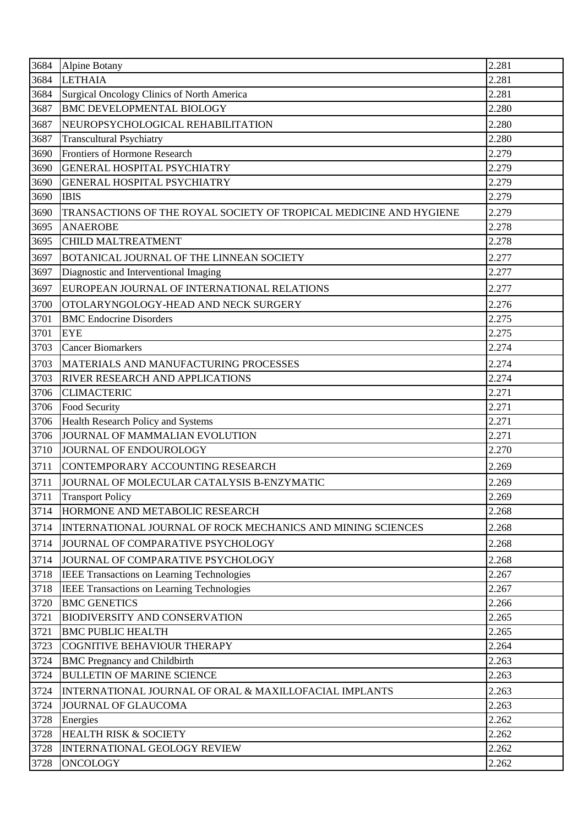| 3684 | <b>Alpine Botany</b>                                               | 2.281 |
|------|--------------------------------------------------------------------|-------|
| 3684 | <b>LETHAIA</b>                                                     | 2.281 |
| 3684 | Surgical Oncology Clinics of North America                         | 2.281 |
| 3687 | <b>BMC DEVELOPMENTAL BIOLOGY</b>                                   | 2.280 |
| 3687 | NEUROPSYCHOLOGICAL REHABILITATION                                  | 2.280 |
| 3687 | <b>Transcultural Psychiatry</b>                                    | 2.280 |
| 3690 | Frontiers of Hormone Research                                      | 2.279 |
| 3690 | <b>GENERAL HOSPITAL PSYCHIATRY</b>                                 | 2.279 |
| 3690 | <b>GENERAL HOSPITAL PSYCHIATRY</b>                                 | 2.279 |
| 3690 | <b>IBIS</b>                                                        | 2.279 |
| 3690 | TRANSACTIONS OF THE ROYAL SOCIETY OF TROPICAL MEDICINE AND HYGIENE | 2.279 |
| 3695 | <b>ANAEROBE</b>                                                    | 2.278 |
| 3695 | <b>CHILD MALTREATMENT</b>                                          | 2.278 |
| 3697 | BOTANICAL JOURNAL OF THE LINNEAN SOCIETY                           | 2.277 |
| 3697 | Diagnostic and Interventional Imaging                              | 2.277 |
| 3697 | EUROPEAN JOURNAL OF INTERNATIONAL RELATIONS                        | 2.277 |
| 3700 | OTOLARYNGOLOGY-HEAD AND NECK SURGERY                               | 2.276 |
| 3701 | <b>BMC</b> Endocrine Disorders                                     | 2.275 |
| 3701 | <b>EYE</b>                                                         | 2.275 |
| 3703 | <b>Cancer Biomarkers</b>                                           | 2.274 |
| 3703 | MATERIALS AND MANUFACTURING PROCESSES                              | 2.274 |
| 3703 | RIVER RESEARCH AND APPLICATIONS                                    | 2.274 |
| 3706 | <b>CLIMACTERIC</b>                                                 | 2.271 |
| 3706 | Food Security                                                      | 2.271 |
| 3706 | Health Research Policy and Systems                                 | 2.271 |
| 3706 | JOURNAL OF MAMMALIAN EVOLUTION                                     | 2.271 |
| 3710 | JOURNAL OF ENDOUROLOGY                                             | 2.270 |
| 3711 | CONTEMPORARY ACCOUNTING RESEARCH                                   | 2.269 |
| 3711 | JOURNAL OF MOLECULAR CATALYSIS B-ENZYMATIC                         | 2.269 |
| 3711 | <b>Transport Policy</b>                                            | 2.269 |
| 3714 | HORMONE AND METABOLIC RESEARCH                                     | 2.268 |
| 3714 | INTERNATIONAL JOURNAL OF ROCK MECHANICS AND MINING SCIENCES        | 2.268 |
| 3714 | JOURNAL OF COMPARATIVE PSYCHOLOGY                                  | 2.268 |
| 3714 | JOURNAL OF COMPARATIVE PSYCHOLOGY                                  | 2.268 |
| 3718 | <b>IEEE Transactions on Learning Technologies</b>                  | 2.267 |
| 3718 | IEEE Transactions on Learning Technologies                         | 2.267 |
| 3720 | <b>BMC GENETICS</b>                                                | 2.266 |
| 3721 | <b>BIODIVERSITY AND CONSERVATION</b>                               | 2.265 |
| 3721 | <b>BMC PUBLIC HEALTH</b>                                           | 2.265 |
| 3723 | COGNITIVE BEHAVIOUR THERAPY                                        | 2.264 |
| 3724 | <b>BMC Pregnancy and Childbirth</b>                                | 2.263 |
| 3724 | <b>BULLETIN OF MARINE SCIENCE</b>                                  | 2.263 |
| 3724 | INTERNATIONAL JOURNAL OF ORAL & MAXILLOFACIAL IMPLANTS             | 2.263 |
| 3724 | JOURNAL OF GLAUCOMA                                                | 2.263 |
| 3728 | Energies                                                           | 2.262 |
| 3728 | <b>HEALTH RISK &amp; SOCIETY</b>                                   | 2.262 |
| 3728 | <b>INTERNATIONAL GEOLOGY REVIEW</b>                                | 2.262 |
| 3728 | <b>ONCOLOGY</b>                                                    | 2.262 |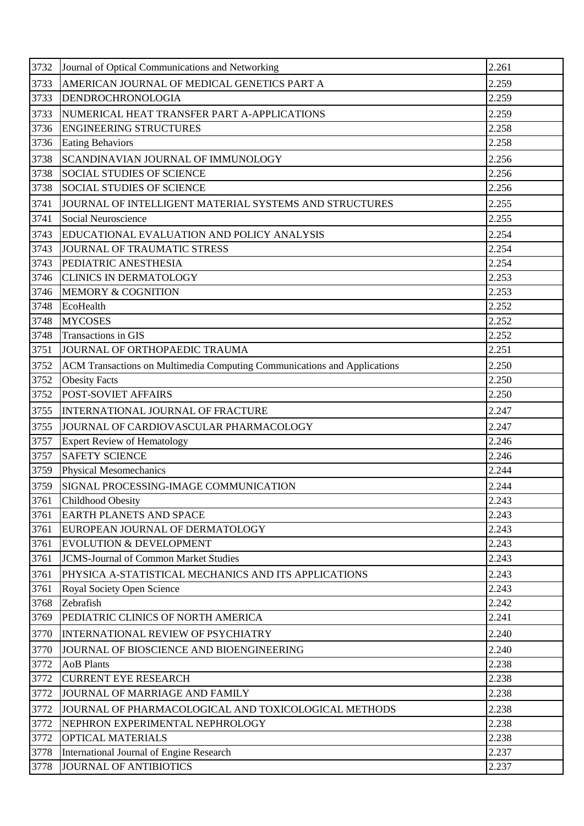| 3732 | Journal of Optical Communications and Networking                         | 2.261 |
|------|--------------------------------------------------------------------------|-------|
| 3733 | AMERICAN JOURNAL OF MEDICAL GENETICS PART A                              | 2.259 |
| 3733 | DENDROCHRONOLOGIA                                                        | 2.259 |
| 3733 | NUMERICAL HEAT TRANSFER PART A-APPLICATIONS                              | 2.259 |
| 3736 | <b>ENGINEERING STRUCTURES</b>                                            | 2.258 |
| 3736 | <b>Eating Behaviors</b>                                                  | 2.258 |
| 3738 | SCANDINAVIAN JOURNAL OF IMMUNOLOGY                                       | 2.256 |
| 3738 | <b>SOCIAL STUDIES OF SCIENCE</b>                                         | 2.256 |
| 3738 | <b>SOCIAL STUDIES OF SCIENCE</b>                                         | 2.256 |
| 3741 | JOURNAL OF INTELLIGENT MATERIAL SYSTEMS AND STRUCTURES                   | 2.255 |
| 3741 | Social Neuroscience                                                      | 2.255 |
| 3743 | <b>EDUCATIONAL EVALUATION AND POLICY ANALYSIS</b>                        | 2.254 |
| 3743 | JOURNAL OF TRAUMATIC STRESS                                              | 2.254 |
| 3743 | PEDIATRIC ANESTHESIA                                                     | 2.254 |
| 3746 | <b>CLINICS IN DERMATOLOGY</b>                                            | 2.253 |
| 3746 | MEMORY & COGNITION                                                       | 2.253 |
| 3748 | EcoHealth                                                                | 2.252 |
| 3748 | <b>MYCOSES</b>                                                           | 2.252 |
| 3748 | Transactions in GIS                                                      | 2.252 |
| 3751 | JOURNAL OF ORTHOPAEDIC TRAUMA                                            | 2.251 |
| 3752 | ACM Transactions on Multimedia Computing Communications and Applications | 2.250 |
| 3752 | <b>Obesity Facts</b>                                                     | 2.250 |
| 3752 | <b>POST-SOVIET AFFAIRS</b>                                               | 2.250 |
| 3755 | INTERNATIONAL JOURNAL OF FRACTURE                                        | 2.247 |
| 3755 | JOURNAL OF CARDIOVASCULAR PHARMACOLOGY                                   | 2.247 |
| 3757 | <b>Expert Review of Hematology</b>                                       | 2.246 |
| 3757 | <b>SAFETY SCIENCE</b>                                                    | 2.246 |
| 3759 | <b>Physical Mesomechanics</b>                                            | 2.244 |
| 3759 | SIGNAL PROCESSING-IMAGE COMMUNICATION                                    | 2.244 |
| 3761 | <b>Childhood Obesity</b>                                                 | 2.243 |
| 3761 | <b>EARTH PLANETS AND SPACE</b>                                           | 2.243 |
| 3761 | EUROPEAN JOURNAL OF DERMATOLOGY                                          | 2.243 |
| 3761 | <b>EVOLUTION &amp; DEVELOPMENT</b>                                       | 2.243 |
| 3761 | <b>JCMS-Journal of Common Market Studies</b>                             | 2.243 |
| 3761 | PHYSICA A-STATISTICAL MECHANICS AND ITS APPLICATIONS                     | 2.243 |
| 3761 | <b>Royal Society Open Science</b>                                        | 2.243 |
| 3768 | Zebrafish                                                                | 2.242 |
| 3769 | PEDIATRIC CLINICS OF NORTH AMERICA                                       | 2.241 |
| 3770 | <b>INTERNATIONAL REVIEW OF PSYCHIATRY</b>                                | 2.240 |
| 3770 | JOURNAL OF BIOSCIENCE AND BIOENGINEERING                                 | 2.240 |
| 3772 | <b>AoB</b> Plants                                                        | 2.238 |
| 3772 | <b>CURRENT EYE RESEARCH</b>                                              | 2.238 |
| 3772 | JOURNAL OF MARRIAGE AND FAMILY                                           | 2.238 |
| 3772 | JOURNAL OF PHARMACOLOGICAL AND TOXICOLOGICAL METHODS                     | 2.238 |
| 3772 | NEPHRON EXPERIMENTAL NEPHROLOGY                                          | 2.238 |
| 3772 | OPTICAL MATERIALS                                                        | 2.238 |
| 3778 | International Journal of Engine Research                                 | 2.237 |
| 3778 | <b>JOURNAL OF ANTIBIOTICS</b>                                            | 2.237 |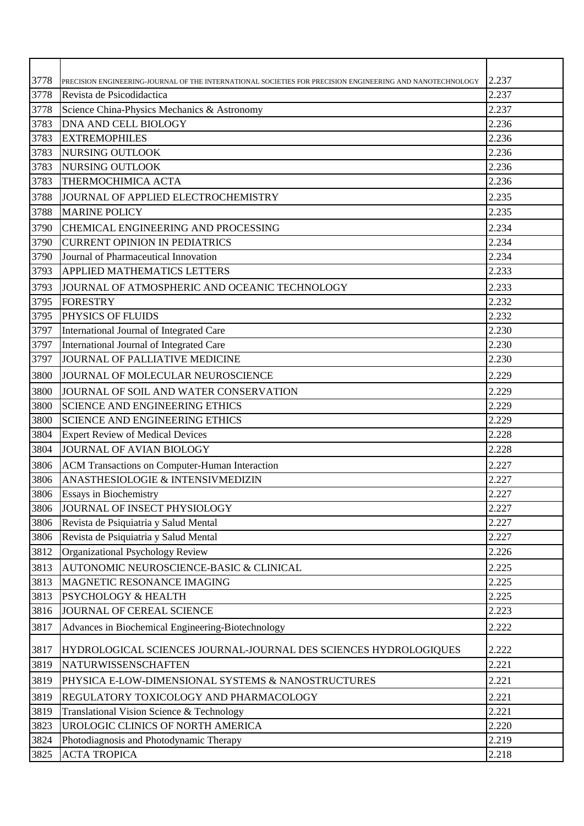| 3778<br>2.237<br>PRECISION ENGINEERING-JOURNAL OF THE INTERNATIONAL SOCIETIES FOR PRECISION ENGINEERING AND NANOTECHNOLOGY<br>3778<br>2.237<br>Revista de Psicodidactica<br>3778<br>2.237<br>Science China-Physics Mechanics & Astronomy<br>3783<br>2.236<br><b>DNA AND CELL BIOLOGY</b><br>3783<br><b>EXTREMOPHILES</b><br>2.236<br>3783<br>2.236<br>NURSING OUTLOOK<br>3783<br>NURSING OUTLOOK<br>2.236<br>3783<br>2.236<br>THERMOCHIMICA ACTA<br>3788<br>2.235<br>JOURNAL OF APPLIED ELECTROCHEMISTRY<br>3788<br><b>MARINE POLICY</b><br>2.235<br>2.234<br>3790<br>CHEMICAL ENGINEERING AND PROCESSING<br>2.234<br>3790<br><b>CURRENT OPINION IN PEDIATRICS</b><br>3790<br>Journal of Pharmaceutical Innovation<br>2.234<br>3793<br><b>APPLIED MATHEMATICS LETTERS</b><br>2.233<br>2.233<br>3793<br>JOURNAL OF ATMOSPHERIC AND OCEANIC TECHNOLOGY<br>3795<br><b>FORESTRY</b><br>2.232<br>PHYSICS OF FLUIDS<br>2.232<br>3795<br>3797<br>International Journal of Integrated Care<br>2.230<br>3797<br>International Journal of Integrated Care<br>2.230<br>JOURNAL OF PALLIATIVE MEDICINE<br>3797<br>2.230<br>2.229<br>3800<br>JOURNAL OF MOLECULAR NEUROSCIENCE<br>3800<br>2.229<br>JOURNAL OF SOIL AND WATER CONSERVATION<br>2.229<br>3800<br><b>SCIENCE AND ENGINEERING ETHICS</b><br>3800<br><b>SCIENCE AND ENGINEERING ETHICS</b><br>2.229<br>3804<br><b>Expert Review of Medical Devices</b><br>2.228 |
|--------------------------------------------------------------------------------------------------------------------------------------------------------------------------------------------------------------------------------------------------------------------------------------------------------------------------------------------------------------------------------------------------------------------------------------------------------------------------------------------------------------------------------------------------------------------------------------------------------------------------------------------------------------------------------------------------------------------------------------------------------------------------------------------------------------------------------------------------------------------------------------------------------------------------------------------------------------------------------------------------------------------------------------------------------------------------------------------------------------------------------------------------------------------------------------------------------------------------------------------------------------------------------------------------------------------------------------------------------------------------------------------------------------|
|                                                                                                                                                                                                                                                                                                                                                                                                                                                                                                                                                                                                                                                                                                                                                                                                                                                                                                                                                                                                                                                                                                                                                                                                                                                                                                                                                                                                              |
|                                                                                                                                                                                                                                                                                                                                                                                                                                                                                                                                                                                                                                                                                                                                                                                                                                                                                                                                                                                                                                                                                                                                                                                                                                                                                                                                                                                                              |
|                                                                                                                                                                                                                                                                                                                                                                                                                                                                                                                                                                                                                                                                                                                                                                                                                                                                                                                                                                                                                                                                                                                                                                                                                                                                                                                                                                                                              |
|                                                                                                                                                                                                                                                                                                                                                                                                                                                                                                                                                                                                                                                                                                                                                                                                                                                                                                                                                                                                                                                                                                                                                                                                                                                                                                                                                                                                              |
|                                                                                                                                                                                                                                                                                                                                                                                                                                                                                                                                                                                                                                                                                                                                                                                                                                                                                                                                                                                                                                                                                                                                                                                                                                                                                                                                                                                                              |
|                                                                                                                                                                                                                                                                                                                                                                                                                                                                                                                                                                                                                                                                                                                                                                                                                                                                                                                                                                                                                                                                                                                                                                                                                                                                                                                                                                                                              |
|                                                                                                                                                                                                                                                                                                                                                                                                                                                                                                                                                                                                                                                                                                                                                                                                                                                                                                                                                                                                                                                                                                                                                                                                                                                                                                                                                                                                              |
|                                                                                                                                                                                                                                                                                                                                                                                                                                                                                                                                                                                                                                                                                                                                                                                                                                                                                                                                                                                                                                                                                                                                                                                                                                                                                                                                                                                                              |
|                                                                                                                                                                                                                                                                                                                                                                                                                                                                                                                                                                                                                                                                                                                                                                                                                                                                                                                                                                                                                                                                                                                                                                                                                                                                                                                                                                                                              |
|                                                                                                                                                                                                                                                                                                                                                                                                                                                                                                                                                                                                                                                                                                                                                                                                                                                                                                                                                                                                                                                                                                                                                                                                                                                                                                                                                                                                              |
|                                                                                                                                                                                                                                                                                                                                                                                                                                                                                                                                                                                                                                                                                                                                                                                                                                                                                                                                                                                                                                                                                                                                                                                                                                                                                                                                                                                                              |
|                                                                                                                                                                                                                                                                                                                                                                                                                                                                                                                                                                                                                                                                                                                                                                                                                                                                                                                                                                                                                                                                                                                                                                                                                                                                                                                                                                                                              |
|                                                                                                                                                                                                                                                                                                                                                                                                                                                                                                                                                                                                                                                                                                                                                                                                                                                                                                                                                                                                                                                                                                                                                                                                                                                                                                                                                                                                              |
|                                                                                                                                                                                                                                                                                                                                                                                                                                                                                                                                                                                                                                                                                                                                                                                                                                                                                                                                                                                                                                                                                                                                                                                                                                                                                                                                                                                                              |
|                                                                                                                                                                                                                                                                                                                                                                                                                                                                                                                                                                                                                                                                                                                                                                                                                                                                                                                                                                                                                                                                                                                                                                                                                                                                                                                                                                                                              |
|                                                                                                                                                                                                                                                                                                                                                                                                                                                                                                                                                                                                                                                                                                                                                                                                                                                                                                                                                                                                                                                                                                                                                                                                                                                                                                                                                                                                              |
|                                                                                                                                                                                                                                                                                                                                                                                                                                                                                                                                                                                                                                                                                                                                                                                                                                                                                                                                                                                                                                                                                                                                                                                                                                                                                                                                                                                                              |
|                                                                                                                                                                                                                                                                                                                                                                                                                                                                                                                                                                                                                                                                                                                                                                                                                                                                                                                                                                                                                                                                                                                                                                                                                                                                                                                                                                                                              |
|                                                                                                                                                                                                                                                                                                                                                                                                                                                                                                                                                                                                                                                                                                                                                                                                                                                                                                                                                                                                                                                                                                                                                                                                                                                                                                                                                                                                              |
|                                                                                                                                                                                                                                                                                                                                                                                                                                                                                                                                                                                                                                                                                                                                                                                                                                                                                                                                                                                                                                                                                                                                                                                                                                                                                                                                                                                                              |
|                                                                                                                                                                                                                                                                                                                                                                                                                                                                                                                                                                                                                                                                                                                                                                                                                                                                                                                                                                                                                                                                                                                                                                                                                                                                                                                                                                                                              |
|                                                                                                                                                                                                                                                                                                                                                                                                                                                                                                                                                                                                                                                                                                                                                                                                                                                                                                                                                                                                                                                                                                                                                                                                                                                                                                                                                                                                              |
|                                                                                                                                                                                                                                                                                                                                                                                                                                                                                                                                                                                                                                                                                                                                                                                                                                                                                                                                                                                                                                                                                                                                                                                                                                                                                                                                                                                                              |
|                                                                                                                                                                                                                                                                                                                                                                                                                                                                                                                                                                                                                                                                                                                                                                                                                                                                                                                                                                                                                                                                                                                                                                                                                                                                                                                                                                                                              |
|                                                                                                                                                                                                                                                                                                                                                                                                                                                                                                                                                                                                                                                                                                                                                                                                                                                                                                                                                                                                                                                                                                                                                                                                                                                                                                                                                                                                              |
| JOURNAL OF AVIAN BIOLOGY<br>3804<br>2.228                                                                                                                                                                                                                                                                                                                                                                                                                                                                                                                                                                                                                                                                                                                                                                                                                                                                                                                                                                                                                                                                                                                                                                                                                                                                                                                                                                    |
| 3806<br>2.227<br>ACM Transactions on Computer-Human Interaction                                                                                                                                                                                                                                                                                                                                                                                                                                                                                                                                                                                                                                                                                                                                                                                                                                                                                                                                                                                                                                                                                                                                                                                                                                                                                                                                              |
| 3806<br>ANASTHESIOLOGIE & INTENSIVMEDIZIN<br>2.227                                                                                                                                                                                                                                                                                                                                                                                                                                                                                                                                                                                                                                                                                                                                                                                                                                                                                                                                                                                                                                                                                                                                                                                                                                                                                                                                                           |
| 3806<br><b>Essays in Biochemistry</b><br>2.227                                                                                                                                                                                                                                                                                                                                                                                                                                                                                                                                                                                                                                                                                                                                                                                                                                                                                                                                                                                                                                                                                                                                                                                                                                                                                                                                                               |
| 3806<br>JOURNAL OF INSECT PHYSIOLOGY<br>2.227                                                                                                                                                                                                                                                                                                                                                                                                                                                                                                                                                                                                                                                                                                                                                                                                                                                                                                                                                                                                                                                                                                                                                                                                                                                                                                                                                                |
| 3806<br>Revista de Psiquiatria y Salud Mental<br>2.227                                                                                                                                                                                                                                                                                                                                                                                                                                                                                                                                                                                                                                                                                                                                                                                                                                                                                                                                                                                                                                                                                                                                                                                                                                                                                                                                                       |
| 3806<br>Revista de Psiquiatria y Salud Mental<br>2.227                                                                                                                                                                                                                                                                                                                                                                                                                                                                                                                                                                                                                                                                                                                                                                                                                                                                                                                                                                                                                                                                                                                                                                                                                                                                                                                                                       |
| 3812<br><b>Organizational Psychology Review</b><br>2.226                                                                                                                                                                                                                                                                                                                                                                                                                                                                                                                                                                                                                                                                                                                                                                                                                                                                                                                                                                                                                                                                                                                                                                                                                                                                                                                                                     |
| AUTONOMIC NEUROSCIENCE-BASIC & CLINICAL<br>3813<br>2.225                                                                                                                                                                                                                                                                                                                                                                                                                                                                                                                                                                                                                                                                                                                                                                                                                                                                                                                                                                                                                                                                                                                                                                                                                                                                                                                                                     |
| 2.225<br>3813<br>MAGNETIC RESONANCE IMAGING                                                                                                                                                                                                                                                                                                                                                                                                                                                                                                                                                                                                                                                                                                                                                                                                                                                                                                                                                                                                                                                                                                                                                                                                                                                                                                                                                                  |
| 3813<br><b>PSYCHOLOGY &amp; HEALTH</b><br>2.225                                                                                                                                                                                                                                                                                                                                                                                                                                                                                                                                                                                                                                                                                                                                                                                                                                                                                                                                                                                                                                                                                                                                                                                                                                                                                                                                                              |
| 3816<br>2.223<br>JOURNAL OF CEREAL SCIENCE                                                                                                                                                                                                                                                                                                                                                                                                                                                                                                                                                                                                                                                                                                                                                                                                                                                                                                                                                                                                                                                                                                                                                                                                                                                                                                                                                                   |
| 3817<br>2.222<br>Advances in Biochemical Engineering-Biotechnology                                                                                                                                                                                                                                                                                                                                                                                                                                                                                                                                                                                                                                                                                                                                                                                                                                                                                                                                                                                                                                                                                                                                                                                                                                                                                                                                           |
| 3817<br>HYDROLOGICAL SCIENCES JOURNAL-JOURNAL DES SCIENCES HYDROLOGIQUES<br>2.222                                                                                                                                                                                                                                                                                                                                                                                                                                                                                                                                                                                                                                                                                                                                                                                                                                                                                                                                                                                                                                                                                                                                                                                                                                                                                                                            |
| 3819<br><b>NATURWISSENSCHAFTEN</b><br>2.221                                                                                                                                                                                                                                                                                                                                                                                                                                                                                                                                                                                                                                                                                                                                                                                                                                                                                                                                                                                                                                                                                                                                                                                                                                                                                                                                                                  |
| 3819<br>PHYSICA E-LOW-DIMENSIONAL SYSTEMS & NANOSTRUCTURES<br>2.221                                                                                                                                                                                                                                                                                                                                                                                                                                                                                                                                                                                                                                                                                                                                                                                                                                                                                                                                                                                                                                                                                                                                                                                                                                                                                                                                          |
| 3819<br>2.221<br>REGULATORY TOXICOLOGY AND PHARMACOLOGY                                                                                                                                                                                                                                                                                                                                                                                                                                                                                                                                                                                                                                                                                                                                                                                                                                                                                                                                                                                                                                                                                                                                                                                                                                                                                                                                                      |
| 2.221<br>3819<br>Translational Vision Science & Technology                                                                                                                                                                                                                                                                                                                                                                                                                                                                                                                                                                                                                                                                                                                                                                                                                                                                                                                                                                                                                                                                                                                                                                                                                                                                                                                                                   |
| UROLOGIC CLINICS OF NORTH AMERICA<br>3823<br>2.220                                                                                                                                                                                                                                                                                                                                                                                                                                                                                                                                                                                                                                                                                                                                                                                                                                                                                                                                                                                                                                                                                                                                                                                                                                                                                                                                                           |
| 3824<br>Photodiagnosis and Photodynamic Therapy<br>2.219                                                                                                                                                                                                                                                                                                                                                                                                                                                                                                                                                                                                                                                                                                                                                                                                                                                                                                                                                                                                                                                                                                                                                                                                                                                                                                                                                     |
| <b>ACTA TROPICA</b><br>2.218<br>3825                                                                                                                                                                                                                                                                                                                                                                                                                                                                                                                                                                                                                                                                                                                                                                                                                                                                                                                                                                                                                                                                                                                                                                                                                                                                                                                                                                         |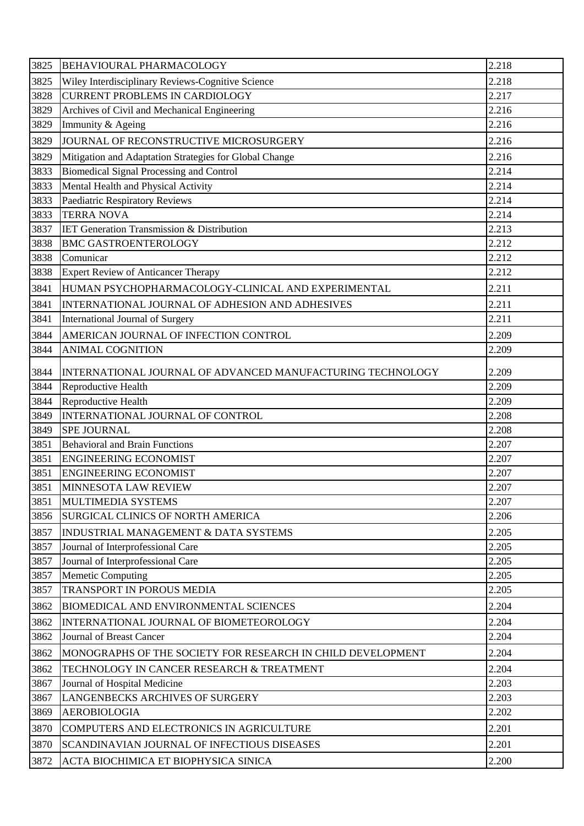| 3825 | <b>BEHAVIOURAL PHARMACOLOGY</b>                             | 2.218 |
|------|-------------------------------------------------------------|-------|
| 3825 | Wiley Interdisciplinary Reviews-Cognitive Science           | 2.218 |
| 3828 | <b>CURRENT PROBLEMS IN CARDIOLOGY</b>                       | 2.217 |
| 3829 | Archives of Civil and Mechanical Engineering                | 2.216 |
| 3829 | Immunity & Ageing                                           | 2.216 |
| 3829 | JOURNAL OF RECONSTRUCTIVE MICROSURGERY                      | 2.216 |
| 3829 | Mitigation and Adaptation Strategies for Global Change      | 2.216 |
| 3833 | Biomedical Signal Processing and Control                    | 2.214 |
| 3833 | Mental Health and Physical Activity                         | 2.214 |
| 3833 | Paediatric Respiratory Reviews                              | 2.214 |
| 3833 | <b>TERRA NOVA</b>                                           | 2.214 |
| 3837 | <b>IET Generation Transmission &amp; Distribution</b>       | 2.213 |
| 3838 | <b>BMC GASTROENTEROLOGY</b>                                 | 2.212 |
| 3838 | Comunicar                                                   | 2.212 |
| 3838 | <b>Expert Review of Anticancer Therapy</b>                  | 2.212 |
| 3841 | HUMAN PSYCHOPHARMACOLOGY-CLINICAL AND EXPERIMENTAL          | 2.211 |
| 3841 | INTERNATIONAL JOURNAL OF ADHESION AND ADHESIVES             | 2.211 |
| 3841 | International Journal of Surgery                            | 2.211 |
| 3844 | AMERICAN JOURNAL OF INFECTION CONTROL                       | 2.209 |
| 3844 | <b>ANIMAL COGNITION</b>                                     | 2.209 |
| 3844 | INTERNATIONAL JOURNAL OF ADVANCED MANUFACTURING TECHNOLOGY  | 2.209 |
| 3844 | Reproductive Health                                         | 2.209 |
| 3844 | Reproductive Health                                         | 2.209 |
| 3849 | INTERNATIONAL JOURNAL OF CONTROL                            | 2.208 |
| 3849 | <b>SPE JOURNAL</b>                                          | 2.208 |
| 3851 | <b>Behavioral and Brain Functions</b>                       | 2.207 |
| 3851 | <b>ENGINEERING ECONOMIST</b>                                | 2.207 |
| 3851 | <b>ENGINEERING ECONOMIST</b>                                | 2.207 |
| 3851 | MINNESOTA LAW REVIEW                                        | 2.207 |
| 3851 | MULTIMEDIA SYSTEMS                                          | 2.207 |
| 3856 | <b>SURGICAL CLINICS OF NORTH AMERICA</b>                    | 2.206 |
| 3857 | <b>INDUSTRIAL MANAGEMENT &amp; DATA SYSTEMS</b>             | 2.205 |
| 3857 | Journal of Interprofessional Care                           | 2.205 |
| 3857 | Journal of Interprofessional Care                           | 2.205 |
| 3857 | <b>Memetic Computing</b>                                    | 2.205 |
| 3857 | TRANSPORT IN POROUS MEDIA                                   | 2.205 |
| 3862 | <b>BIOMEDICAL AND ENVIRONMENTAL SCIENCES</b>                | 2.204 |
| 3862 | INTERNATIONAL JOURNAL OF BIOMETEOROLOGY                     | 2.204 |
| 3862 | Journal of Breast Cancer                                    | 2.204 |
| 3862 | MONOGRAPHS OF THE SOCIETY FOR RESEARCH IN CHILD DEVELOPMENT | 2.204 |
|      |                                                             |       |
| 3862 | TECHNOLOGY IN CANCER RESEARCH & TREATMENT                   | 2.204 |
| 3867 | Journal of Hospital Medicine                                | 2.203 |
| 3867 | LANGENBECKS ARCHIVES OF SURGERY                             | 2.203 |
| 3869 | <b>AEROBIOLOGIA</b>                                         | 2.202 |
| 3870 | COMPUTERS AND ELECTRONICS IN AGRICULTURE                    | 2.201 |
| 3870 | SCANDINAVIAN JOURNAL OF INFECTIOUS DISEASES                 | 2.201 |
| 3872 | ACTA BIOCHIMICA ET BIOPHYSICA SINICA                        | 2.200 |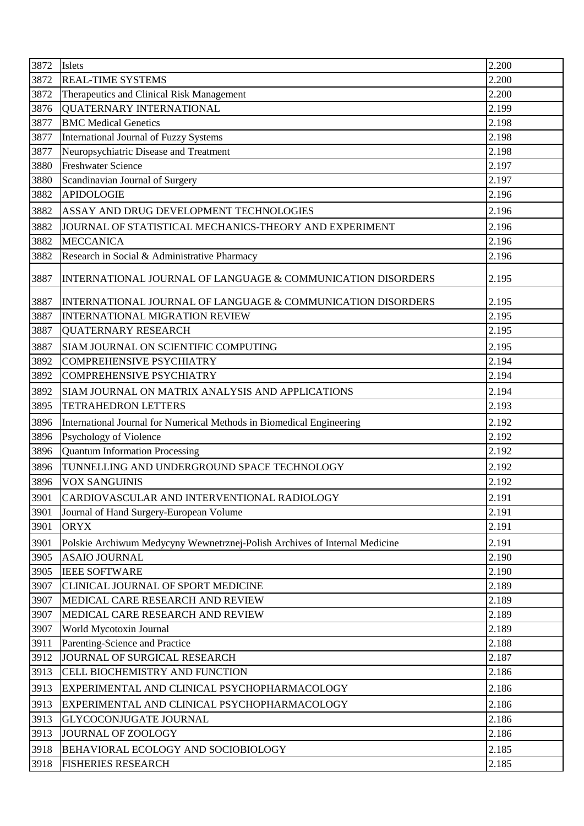| 2.200<br>3872<br><b>REAL-TIME SYSTEMS</b><br>2.200<br>3872<br>Therapeutics and Clinical Risk Management<br>2.199<br><b>QUATERNARY INTERNATIONAL</b><br>3876<br>3877<br><b>BMC Medical Genetics</b><br>2.198<br>2.198<br>International Journal of Fuzzy Systems<br>3877<br>2.198<br>Neuropsychiatric Disease and Treatment<br>3877<br><b>Freshwater Science</b><br>3880<br>2.197<br>Scandinavian Journal of Surgery<br>2.197<br>3880<br>3882<br><b>APIDOLOGIE</b><br>2.196<br>3882<br>ASSAY AND DRUG DEVELOPMENT TECHNOLOGIES<br>2.196<br>2.196<br>3882<br>JOURNAL OF STATISTICAL MECHANICS-THEORY AND EXPERIMENT<br>2.196<br>3882<br><b>MECCANICA</b><br>Research in Social & Administrative Pharmacy<br>2.196<br>3882<br>3887<br>INTERNATIONAL JOURNAL OF LANGUAGE & COMMUNICATION DISORDERS<br>2.195<br>3887<br>INTERNATIONAL JOURNAL OF LANGUAGE & COMMUNICATION DISORDERS<br>2.195<br>2.195<br>3887<br><b>INTERNATIONAL MIGRATION REVIEW</b><br>3887<br>2.195<br><b>QUATERNARY RESEARCH</b><br>3887<br>2.195<br>SIAM JOURNAL ON SCIENTIFIC COMPUTING<br>2.194<br>3892<br><b>COMPREHENSIVE PSYCHIATRY</b><br>2.194<br>3892<br><b>COMPREHENSIVE PSYCHIATRY</b><br>2.194<br>3892<br>SIAM JOURNAL ON MATRIX ANALYSIS AND APPLICATIONS<br>2.193<br>3895<br><b>TETRAHEDRON LETTERS</b><br>2.192<br>3896<br>International Journal for Numerical Methods in Biomedical Engineering<br>2.192<br>Psychology of Violence<br>3896<br><b>Quantum Information Processing</b><br>3896<br>2.192<br>TUNNELLING AND UNDERGROUND SPACE TECHNOLOGY<br>2.192<br>3896<br>3896<br>VOX SANGUINIS<br>2.192<br>2.191<br>3901<br>CARDIOVASCULAR AND INTERVENTIONAL RADIOLOGY<br>2.191<br>3901<br>Journal of Hand Surgery-European Volume<br>2.191<br>3901<br><b>ORYX</b><br>2.191<br>Polskie Archiwum Medycyny Wewnetrznej-Polish Archives of Internal Medicine<br>3901<br><b>ASAIO JOURNAL</b><br>2.190<br>3905<br>2.190<br><b>IEEE SOFTWARE</b><br>3905<br>2.189<br>3907<br><b>CLINICAL JOURNAL OF SPORT MEDICINE</b><br>2.189<br>MEDICAL CARE RESEARCH AND REVIEW<br>3907<br>2.189<br>3907<br>MEDICAL CARE RESEARCH AND REVIEW<br>2.189<br>3907<br>World Mycotoxin Journal<br>2.188<br>Parenting-Science and Practice<br>3911<br>JOURNAL OF SURGICAL RESEARCH<br>3912<br>2.187<br>2.186<br>3913<br>CELL BIOCHEMISTRY AND FUNCTION<br>3913<br>2.186<br>EXPERIMENTAL AND CLINICAL PSYCHOPHARMACOLOGY<br>2.186<br>3913<br>EXPERIMENTAL AND CLINICAL PSYCHOPHARMACOLOGY<br>2.186<br>3913<br><b>GLYCOCONJUGATE JOURNAL</b><br>3913<br>JOURNAL OF ZOOLOGY<br>2.186<br>2.185<br>3918<br>BEHAVIORAL ECOLOGY AND SOCIOBIOLOGY<br>2.185<br>3918<br><b>FISHERIES RESEARCH</b> | 3872 | Islets | 2.200 |
|------------------------------------------------------------------------------------------------------------------------------------------------------------------------------------------------------------------------------------------------------------------------------------------------------------------------------------------------------------------------------------------------------------------------------------------------------------------------------------------------------------------------------------------------------------------------------------------------------------------------------------------------------------------------------------------------------------------------------------------------------------------------------------------------------------------------------------------------------------------------------------------------------------------------------------------------------------------------------------------------------------------------------------------------------------------------------------------------------------------------------------------------------------------------------------------------------------------------------------------------------------------------------------------------------------------------------------------------------------------------------------------------------------------------------------------------------------------------------------------------------------------------------------------------------------------------------------------------------------------------------------------------------------------------------------------------------------------------------------------------------------------------------------------------------------------------------------------------------------------------------------------------------------------------------------------------------------------------------------------------------------------------------------------------------------------------------------------------------------------------------------------------------------------------------------------------------------------------------------------------------------------------------------------------------------------------------------------------------------------------------------------------------------------------------------------------------------------------------------------------------------------------------------------------------------------------------------------------------------------------------------------------|------|--------|-------|
|                                                                                                                                                                                                                                                                                                                                                                                                                                                                                                                                                                                                                                                                                                                                                                                                                                                                                                                                                                                                                                                                                                                                                                                                                                                                                                                                                                                                                                                                                                                                                                                                                                                                                                                                                                                                                                                                                                                                                                                                                                                                                                                                                                                                                                                                                                                                                                                                                                                                                                                                                                                                                                                |      |        |       |
|                                                                                                                                                                                                                                                                                                                                                                                                                                                                                                                                                                                                                                                                                                                                                                                                                                                                                                                                                                                                                                                                                                                                                                                                                                                                                                                                                                                                                                                                                                                                                                                                                                                                                                                                                                                                                                                                                                                                                                                                                                                                                                                                                                                                                                                                                                                                                                                                                                                                                                                                                                                                                                                |      |        |       |
|                                                                                                                                                                                                                                                                                                                                                                                                                                                                                                                                                                                                                                                                                                                                                                                                                                                                                                                                                                                                                                                                                                                                                                                                                                                                                                                                                                                                                                                                                                                                                                                                                                                                                                                                                                                                                                                                                                                                                                                                                                                                                                                                                                                                                                                                                                                                                                                                                                                                                                                                                                                                                                                |      |        |       |
|                                                                                                                                                                                                                                                                                                                                                                                                                                                                                                                                                                                                                                                                                                                                                                                                                                                                                                                                                                                                                                                                                                                                                                                                                                                                                                                                                                                                                                                                                                                                                                                                                                                                                                                                                                                                                                                                                                                                                                                                                                                                                                                                                                                                                                                                                                                                                                                                                                                                                                                                                                                                                                                |      |        |       |
|                                                                                                                                                                                                                                                                                                                                                                                                                                                                                                                                                                                                                                                                                                                                                                                                                                                                                                                                                                                                                                                                                                                                                                                                                                                                                                                                                                                                                                                                                                                                                                                                                                                                                                                                                                                                                                                                                                                                                                                                                                                                                                                                                                                                                                                                                                                                                                                                                                                                                                                                                                                                                                                |      |        |       |
|                                                                                                                                                                                                                                                                                                                                                                                                                                                                                                                                                                                                                                                                                                                                                                                                                                                                                                                                                                                                                                                                                                                                                                                                                                                                                                                                                                                                                                                                                                                                                                                                                                                                                                                                                                                                                                                                                                                                                                                                                                                                                                                                                                                                                                                                                                                                                                                                                                                                                                                                                                                                                                                |      |        |       |
|                                                                                                                                                                                                                                                                                                                                                                                                                                                                                                                                                                                                                                                                                                                                                                                                                                                                                                                                                                                                                                                                                                                                                                                                                                                                                                                                                                                                                                                                                                                                                                                                                                                                                                                                                                                                                                                                                                                                                                                                                                                                                                                                                                                                                                                                                                                                                                                                                                                                                                                                                                                                                                                |      |        |       |
|                                                                                                                                                                                                                                                                                                                                                                                                                                                                                                                                                                                                                                                                                                                                                                                                                                                                                                                                                                                                                                                                                                                                                                                                                                                                                                                                                                                                                                                                                                                                                                                                                                                                                                                                                                                                                                                                                                                                                                                                                                                                                                                                                                                                                                                                                                                                                                                                                                                                                                                                                                                                                                                |      |        |       |
|                                                                                                                                                                                                                                                                                                                                                                                                                                                                                                                                                                                                                                                                                                                                                                                                                                                                                                                                                                                                                                                                                                                                                                                                                                                                                                                                                                                                                                                                                                                                                                                                                                                                                                                                                                                                                                                                                                                                                                                                                                                                                                                                                                                                                                                                                                                                                                                                                                                                                                                                                                                                                                                |      |        |       |
|                                                                                                                                                                                                                                                                                                                                                                                                                                                                                                                                                                                                                                                                                                                                                                                                                                                                                                                                                                                                                                                                                                                                                                                                                                                                                                                                                                                                                                                                                                                                                                                                                                                                                                                                                                                                                                                                                                                                                                                                                                                                                                                                                                                                                                                                                                                                                                                                                                                                                                                                                                                                                                                |      |        |       |
|                                                                                                                                                                                                                                                                                                                                                                                                                                                                                                                                                                                                                                                                                                                                                                                                                                                                                                                                                                                                                                                                                                                                                                                                                                                                                                                                                                                                                                                                                                                                                                                                                                                                                                                                                                                                                                                                                                                                                                                                                                                                                                                                                                                                                                                                                                                                                                                                                                                                                                                                                                                                                                                |      |        |       |
|                                                                                                                                                                                                                                                                                                                                                                                                                                                                                                                                                                                                                                                                                                                                                                                                                                                                                                                                                                                                                                                                                                                                                                                                                                                                                                                                                                                                                                                                                                                                                                                                                                                                                                                                                                                                                                                                                                                                                                                                                                                                                                                                                                                                                                                                                                                                                                                                                                                                                                                                                                                                                                                |      |        |       |
|                                                                                                                                                                                                                                                                                                                                                                                                                                                                                                                                                                                                                                                                                                                                                                                                                                                                                                                                                                                                                                                                                                                                                                                                                                                                                                                                                                                                                                                                                                                                                                                                                                                                                                                                                                                                                                                                                                                                                                                                                                                                                                                                                                                                                                                                                                                                                                                                                                                                                                                                                                                                                                                |      |        |       |
|                                                                                                                                                                                                                                                                                                                                                                                                                                                                                                                                                                                                                                                                                                                                                                                                                                                                                                                                                                                                                                                                                                                                                                                                                                                                                                                                                                                                                                                                                                                                                                                                                                                                                                                                                                                                                                                                                                                                                                                                                                                                                                                                                                                                                                                                                                                                                                                                                                                                                                                                                                                                                                                |      |        |       |
|                                                                                                                                                                                                                                                                                                                                                                                                                                                                                                                                                                                                                                                                                                                                                                                                                                                                                                                                                                                                                                                                                                                                                                                                                                                                                                                                                                                                                                                                                                                                                                                                                                                                                                                                                                                                                                                                                                                                                                                                                                                                                                                                                                                                                                                                                                                                                                                                                                                                                                                                                                                                                                                |      |        |       |
|                                                                                                                                                                                                                                                                                                                                                                                                                                                                                                                                                                                                                                                                                                                                                                                                                                                                                                                                                                                                                                                                                                                                                                                                                                                                                                                                                                                                                                                                                                                                                                                                                                                                                                                                                                                                                                                                                                                                                                                                                                                                                                                                                                                                                                                                                                                                                                                                                                                                                                                                                                                                                                                |      |        |       |
|                                                                                                                                                                                                                                                                                                                                                                                                                                                                                                                                                                                                                                                                                                                                                                                                                                                                                                                                                                                                                                                                                                                                                                                                                                                                                                                                                                                                                                                                                                                                                                                                                                                                                                                                                                                                                                                                                                                                                                                                                                                                                                                                                                                                                                                                                                                                                                                                                                                                                                                                                                                                                                                |      |        |       |
|                                                                                                                                                                                                                                                                                                                                                                                                                                                                                                                                                                                                                                                                                                                                                                                                                                                                                                                                                                                                                                                                                                                                                                                                                                                                                                                                                                                                                                                                                                                                                                                                                                                                                                                                                                                                                                                                                                                                                                                                                                                                                                                                                                                                                                                                                                                                                                                                                                                                                                                                                                                                                                                |      |        |       |
|                                                                                                                                                                                                                                                                                                                                                                                                                                                                                                                                                                                                                                                                                                                                                                                                                                                                                                                                                                                                                                                                                                                                                                                                                                                                                                                                                                                                                                                                                                                                                                                                                                                                                                                                                                                                                                                                                                                                                                                                                                                                                                                                                                                                                                                                                                                                                                                                                                                                                                                                                                                                                                                |      |        |       |
|                                                                                                                                                                                                                                                                                                                                                                                                                                                                                                                                                                                                                                                                                                                                                                                                                                                                                                                                                                                                                                                                                                                                                                                                                                                                                                                                                                                                                                                                                                                                                                                                                                                                                                                                                                                                                                                                                                                                                                                                                                                                                                                                                                                                                                                                                                                                                                                                                                                                                                                                                                                                                                                |      |        |       |
|                                                                                                                                                                                                                                                                                                                                                                                                                                                                                                                                                                                                                                                                                                                                                                                                                                                                                                                                                                                                                                                                                                                                                                                                                                                                                                                                                                                                                                                                                                                                                                                                                                                                                                                                                                                                                                                                                                                                                                                                                                                                                                                                                                                                                                                                                                                                                                                                                                                                                                                                                                                                                                                |      |        |       |
|                                                                                                                                                                                                                                                                                                                                                                                                                                                                                                                                                                                                                                                                                                                                                                                                                                                                                                                                                                                                                                                                                                                                                                                                                                                                                                                                                                                                                                                                                                                                                                                                                                                                                                                                                                                                                                                                                                                                                                                                                                                                                                                                                                                                                                                                                                                                                                                                                                                                                                                                                                                                                                                |      |        |       |
|                                                                                                                                                                                                                                                                                                                                                                                                                                                                                                                                                                                                                                                                                                                                                                                                                                                                                                                                                                                                                                                                                                                                                                                                                                                                                                                                                                                                                                                                                                                                                                                                                                                                                                                                                                                                                                                                                                                                                                                                                                                                                                                                                                                                                                                                                                                                                                                                                                                                                                                                                                                                                                                |      |        |       |
|                                                                                                                                                                                                                                                                                                                                                                                                                                                                                                                                                                                                                                                                                                                                                                                                                                                                                                                                                                                                                                                                                                                                                                                                                                                                                                                                                                                                                                                                                                                                                                                                                                                                                                                                                                                                                                                                                                                                                                                                                                                                                                                                                                                                                                                                                                                                                                                                                                                                                                                                                                                                                                                |      |        |       |
|                                                                                                                                                                                                                                                                                                                                                                                                                                                                                                                                                                                                                                                                                                                                                                                                                                                                                                                                                                                                                                                                                                                                                                                                                                                                                                                                                                                                                                                                                                                                                                                                                                                                                                                                                                                                                                                                                                                                                                                                                                                                                                                                                                                                                                                                                                                                                                                                                                                                                                                                                                                                                                                |      |        |       |
|                                                                                                                                                                                                                                                                                                                                                                                                                                                                                                                                                                                                                                                                                                                                                                                                                                                                                                                                                                                                                                                                                                                                                                                                                                                                                                                                                                                                                                                                                                                                                                                                                                                                                                                                                                                                                                                                                                                                                                                                                                                                                                                                                                                                                                                                                                                                                                                                                                                                                                                                                                                                                                                |      |        |       |
|                                                                                                                                                                                                                                                                                                                                                                                                                                                                                                                                                                                                                                                                                                                                                                                                                                                                                                                                                                                                                                                                                                                                                                                                                                                                                                                                                                                                                                                                                                                                                                                                                                                                                                                                                                                                                                                                                                                                                                                                                                                                                                                                                                                                                                                                                                                                                                                                                                                                                                                                                                                                                                                |      |        |       |
|                                                                                                                                                                                                                                                                                                                                                                                                                                                                                                                                                                                                                                                                                                                                                                                                                                                                                                                                                                                                                                                                                                                                                                                                                                                                                                                                                                                                                                                                                                                                                                                                                                                                                                                                                                                                                                                                                                                                                                                                                                                                                                                                                                                                                                                                                                                                                                                                                                                                                                                                                                                                                                                |      |        |       |
|                                                                                                                                                                                                                                                                                                                                                                                                                                                                                                                                                                                                                                                                                                                                                                                                                                                                                                                                                                                                                                                                                                                                                                                                                                                                                                                                                                                                                                                                                                                                                                                                                                                                                                                                                                                                                                                                                                                                                                                                                                                                                                                                                                                                                                                                                                                                                                                                                                                                                                                                                                                                                                                |      |        |       |
|                                                                                                                                                                                                                                                                                                                                                                                                                                                                                                                                                                                                                                                                                                                                                                                                                                                                                                                                                                                                                                                                                                                                                                                                                                                                                                                                                                                                                                                                                                                                                                                                                                                                                                                                                                                                                                                                                                                                                                                                                                                                                                                                                                                                                                                                                                                                                                                                                                                                                                                                                                                                                                                |      |        |       |
|                                                                                                                                                                                                                                                                                                                                                                                                                                                                                                                                                                                                                                                                                                                                                                                                                                                                                                                                                                                                                                                                                                                                                                                                                                                                                                                                                                                                                                                                                                                                                                                                                                                                                                                                                                                                                                                                                                                                                                                                                                                                                                                                                                                                                                                                                                                                                                                                                                                                                                                                                                                                                                                |      |        |       |
|                                                                                                                                                                                                                                                                                                                                                                                                                                                                                                                                                                                                                                                                                                                                                                                                                                                                                                                                                                                                                                                                                                                                                                                                                                                                                                                                                                                                                                                                                                                                                                                                                                                                                                                                                                                                                                                                                                                                                                                                                                                                                                                                                                                                                                                                                                                                                                                                                                                                                                                                                                                                                                                |      |        |       |
|                                                                                                                                                                                                                                                                                                                                                                                                                                                                                                                                                                                                                                                                                                                                                                                                                                                                                                                                                                                                                                                                                                                                                                                                                                                                                                                                                                                                                                                                                                                                                                                                                                                                                                                                                                                                                                                                                                                                                                                                                                                                                                                                                                                                                                                                                                                                                                                                                                                                                                                                                                                                                                                |      |        |       |
|                                                                                                                                                                                                                                                                                                                                                                                                                                                                                                                                                                                                                                                                                                                                                                                                                                                                                                                                                                                                                                                                                                                                                                                                                                                                                                                                                                                                                                                                                                                                                                                                                                                                                                                                                                                                                                                                                                                                                                                                                                                                                                                                                                                                                                                                                                                                                                                                                                                                                                                                                                                                                                                |      |        |       |
|                                                                                                                                                                                                                                                                                                                                                                                                                                                                                                                                                                                                                                                                                                                                                                                                                                                                                                                                                                                                                                                                                                                                                                                                                                                                                                                                                                                                                                                                                                                                                                                                                                                                                                                                                                                                                                                                                                                                                                                                                                                                                                                                                                                                                                                                                                                                                                                                                                                                                                                                                                                                                                                |      |        |       |
|                                                                                                                                                                                                                                                                                                                                                                                                                                                                                                                                                                                                                                                                                                                                                                                                                                                                                                                                                                                                                                                                                                                                                                                                                                                                                                                                                                                                                                                                                                                                                                                                                                                                                                                                                                                                                                                                                                                                                                                                                                                                                                                                                                                                                                                                                                                                                                                                                                                                                                                                                                                                                                                |      |        |       |
|                                                                                                                                                                                                                                                                                                                                                                                                                                                                                                                                                                                                                                                                                                                                                                                                                                                                                                                                                                                                                                                                                                                                                                                                                                                                                                                                                                                                                                                                                                                                                                                                                                                                                                                                                                                                                                                                                                                                                                                                                                                                                                                                                                                                                                                                                                                                                                                                                                                                                                                                                                                                                                                |      |        |       |
|                                                                                                                                                                                                                                                                                                                                                                                                                                                                                                                                                                                                                                                                                                                                                                                                                                                                                                                                                                                                                                                                                                                                                                                                                                                                                                                                                                                                                                                                                                                                                                                                                                                                                                                                                                                                                                                                                                                                                                                                                                                                                                                                                                                                                                                                                                                                                                                                                                                                                                                                                                                                                                                |      |        |       |
|                                                                                                                                                                                                                                                                                                                                                                                                                                                                                                                                                                                                                                                                                                                                                                                                                                                                                                                                                                                                                                                                                                                                                                                                                                                                                                                                                                                                                                                                                                                                                                                                                                                                                                                                                                                                                                                                                                                                                                                                                                                                                                                                                                                                                                                                                                                                                                                                                                                                                                                                                                                                                                                |      |        |       |
|                                                                                                                                                                                                                                                                                                                                                                                                                                                                                                                                                                                                                                                                                                                                                                                                                                                                                                                                                                                                                                                                                                                                                                                                                                                                                                                                                                                                                                                                                                                                                                                                                                                                                                                                                                                                                                                                                                                                                                                                                                                                                                                                                                                                                                                                                                                                                                                                                                                                                                                                                                                                                                                |      |        |       |
|                                                                                                                                                                                                                                                                                                                                                                                                                                                                                                                                                                                                                                                                                                                                                                                                                                                                                                                                                                                                                                                                                                                                                                                                                                                                                                                                                                                                                                                                                                                                                                                                                                                                                                                                                                                                                                                                                                                                                                                                                                                                                                                                                                                                                                                                                                                                                                                                                                                                                                                                                                                                                                                |      |        |       |
|                                                                                                                                                                                                                                                                                                                                                                                                                                                                                                                                                                                                                                                                                                                                                                                                                                                                                                                                                                                                                                                                                                                                                                                                                                                                                                                                                                                                                                                                                                                                                                                                                                                                                                                                                                                                                                                                                                                                                                                                                                                                                                                                                                                                                                                                                                                                                                                                                                                                                                                                                                                                                                                |      |        |       |
|                                                                                                                                                                                                                                                                                                                                                                                                                                                                                                                                                                                                                                                                                                                                                                                                                                                                                                                                                                                                                                                                                                                                                                                                                                                                                                                                                                                                                                                                                                                                                                                                                                                                                                                                                                                                                                                                                                                                                                                                                                                                                                                                                                                                                                                                                                                                                                                                                                                                                                                                                                                                                                                |      |        |       |
|                                                                                                                                                                                                                                                                                                                                                                                                                                                                                                                                                                                                                                                                                                                                                                                                                                                                                                                                                                                                                                                                                                                                                                                                                                                                                                                                                                                                                                                                                                                                                                                                                                                                                                                                                                                                                                                                                                                                                                                                                                                                                                                                                                                                                                                                                                                                                                                                                                                                                                                                                                                                                                                |      |        |       |
|                                                                                                                                                                                                                                                                                                                                                                                                                                                                                                                                                                                                                                                                                                                                                                                                                                                                                                                                                                                                                                                                                                                                                                                                                                                                                                                                                                                                                                                                                                                                                                                                                                                                                                                                                                                                                                                                                                                                                                                                                                                                                                                                                                                                                                                                                                                                                                                                                                                                                                                                                                                                                                                |      |        |       |
|                                                                                                                                                                                                                                                                                                                                                                                                                                                                                                                                                                                                                                                                                                                                                                                                                                                                                                                                                                                                                                                                                                                                                                                                                                                                                                                                                                                                                                                                                                                                                                                                                                                                                                                                                                                                                                                                                                                                                                                                                                                                                                                                                                                                                                                                                                                                                                                                                                                                                                                                                                                                                                                |      |        |       |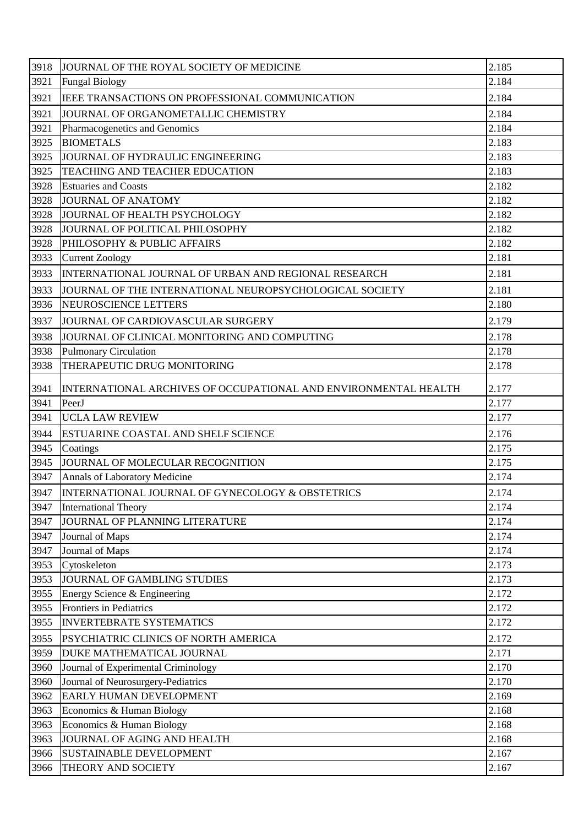| 3918 | JOURNAL OF THE ROYAL SOCIETY OF MEDICINE                        | 2.185 |
|------|-----------------------------------------------------------------|-------|
| 3921 | <b>Fungal Biology</b>                                           | 2.184 |
| 3921 | IEEE TRANSACTIONS ON PROFESSIONAL COMMUNICATION                 | 2.184 |
| 3921 | JOURNAL OF ORGANOMETALLIC CHEMISTRY                             | 2.184 |
| 3921 | Pharmacogenetics and Genomics                                   | 2.184 |
| 3925 | <b>BIOMETALS</b>                                                | 2.183 |
| 3925 | JOURNAL OF HYDRAULIC ENGINEERING                                | 2.183 |
| 3925 | TEACHING AND TEACHER EDUCATION                                  | 2.183 |
| 3928 | <b>Estuaries and Coasts</b>                                     | 2.182 |
| 3928 | JOURNAL OF ANATOMY                                              | 2.182 |
| 3928 | JOURNAL OF HEALTH PSYCHOLOGY                                    | 2.182 |
| 3928 | JOURNAL OF POLITICAL PHILOSOPHY                                 | 2.182 |
| 3928 | PHILOSOPHY & PUBLIC AFFAIRS                                     | 2.182 |
| 3933 | <b>Current Zoology</b>                                          | 2.181 |
| 3933 | INTERNATIONAL JOURNAL OF URBAN AND REGIONAL RESEARCH            | 2.181 |
| 3933 | JOURNAL OF THE INTERNATIONAL NEUROPSYCHOLOGICAL SOCIETY         | 2.181 |
| 3936 | NEUROSCIENCE LETTERS                                            | 2.180 |
| 3937 | JOURNAL OF CARDIOVASCULAR SURGERY                               | 2.179 |
| 3938 | JOURNAL OF CLINICAL MONITORING AND COMPUTING                    | 2.178 |
| 3938 | <b>Pulmonary Circulation</b>                                    | 2.178 |
| 3938 | THERAPEUTIC DRUG MONITORING                                     | 2.178 |
| 3941 | INTERNATIONAL ARCHIVES OF OCCUPATIONAL AND ENVIRONMENTAL HEALTH | 2.177 |
| 3941 | PeerJ                                                           | 2.177 |
| 3941 | <b>UCLA LAW REVIEW</b>                                          | 2.177 |
| 3944 | ESTUARINE COASTAL AND SHELF SCIENCE                             | 2.176 |
| 3945 | Coatings                                                        | 2.175 |
| 3945 | JOURNAL OF MOLECULAR RECOGNITION                                | 2.175 |
| 3947 | Annals of Laboratory Medicine                                   | 2.174 |
| 3947 | INTERNATIONAL JOURNAL OF GYNECOLOGY & OBSTETRICS                | 2.174 |
| 3947 | <b>International Theory</b>                                     | 2.174 |
| 3947 | JOURNAL OF PLANNING LITERATURE                                  | 2.174 |
| 3947 | Journal of Maps                                                 | 2.174 |
| 3947 | Journal of Maps                                                 | 2.174 |
| 3953 | Cytoskeleton                                                    | 2.173 |
| 3953 | JOURNAL OF GAMBLING STUDIES                                     | 2.173 |
| 3955 | Energy Science & Engineering                                    | 2.172 |
| 3955 | Frontiers in Pediatrics                                         | 2.172 |
| 3955 | <b>INVERTEBRATE SYSTEMATICS</b>                                 | 2.172 |
| 3955 | PSYCHIATRIC CLINICS OF NORTH AMERICA                            | 2.172 |
| 3959 | DUKE MATHEMATICAL JOURNAL                                       | 2.171 |
| 3960 | Journal of Experimental Criminology                             | 2.170 |
| 3960 | Journal of Neurosurgery-Pediatrics                              | 2.170 |
| 3962 | EARLY HUMAN DEVELOPMENT                                         | 2.169 |
| 3963 | Economics & Human Biology                                       | 2.168 |
| 3963 | Economics & Human Biology                                       | 2.168 |
| 3963 | JOURNAL OF AGING AND HEALTH                                     | 2.168 |
| 3966 | SUSTAINABLE DEVELOPMENT                                         | 2.167 |
| 3966 | THEORY AND SOCIETY                                              | 2.167 |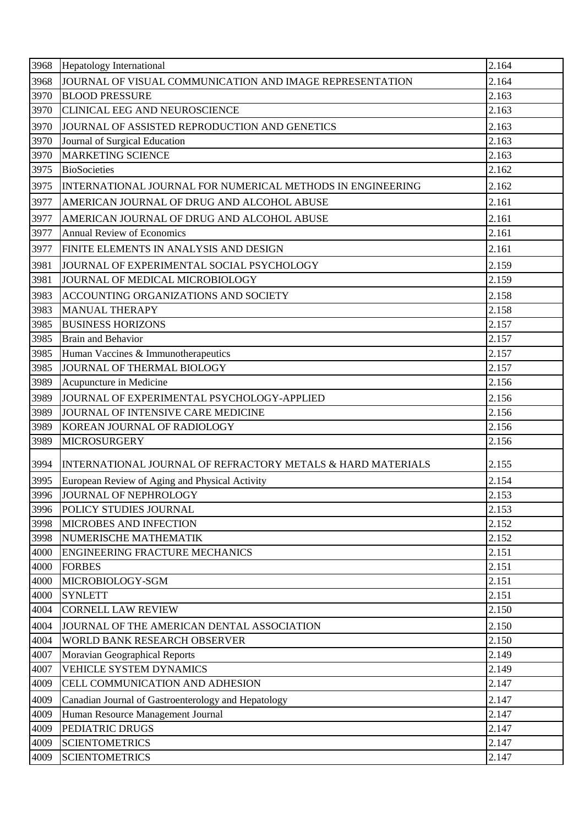| 3968 | <b>Hepatology International</b>                             | 2.164 |
|------|-------------------------------------------------------------|-------|
| 3968 | JOURNAL OF VISUAL COMMUNICATION AND IMAGE REPRESENTATION    | 2.164 |
| 3970 | <b>BLOOD PRESSURE</b>                                       | 2.163 |
| 3970 | <b>CLINICAL EEG AND NEUROSCIENCE</b>                        | 2.163 |
| 3970 | JOURNAL OF ASSISTED REPRODUCTION AND GENETICS               | 2.163 |
| 3970 | Journal of Surgical Education                               | 2.163 |
| 3970 | <b>MARKETING SCIENCE</b>                                    | 2.163 |
| 3975 | <b>BioSocieties</b>                                         | 2.162 |
| 3975 | INTERNATIONAL JOURNAL FOR NUMERICAL METHODS IN ENGINEERING  | 2.162 |
| 3977 | AMERICAN JOURNAL OF DRUG AND ALCOHOL ABUSE                  | 2.161 |
| 3977 | AMERICAN JOURNAL OF DRUG AND ALCOHOL ABUSE                  | 2.161 |
| 3977 | <b>Annual Review of Economics</b>                           | 2.161 |
| 3977 | FINITE ELEMENTS IN ANALYSIS AND DESIGN                      | 2.161 |
| 3981 | JOURNAL OF EXPERIMENTAL SOCIAL PSYCHOLOGY                   | 2.159 |
| 3981 | JOURNAL OF MEDICAL MICROBIOLOGY                             | 2.159 |
| 3983 | ACCOUNTING ORGANIZATIONS AND SOCIETY                        | 2.158 |
| 3983 | <b>MANUAL THERAPY</b>                                       | 2.158 |
| 3985 | <b>BUSINESS HORIZONS</b>                                    | 2.157 |
| 3985 | <b>Brain and Behavior</b>                                   | 2.157 |
| 3985 | Human Vaccines & Immunotherapeutics                         | 2.157 |
| 3985 | JOURNAL OF THERMAL BIOLOGY                                  | 2.157 |
| 3989 | Acupuncture in Medicine                                     | 2.156 |
| 3989 | JOURNAL OF EXPERIMENTAL PSYCHOLOGY-APPLIED                  | 2.156 |
| 3989 | JOURNAL OF INTENSIVE CARE MEDICINE                          | 2.156 |
| 3989 | KOREAN JOURNAL OF RADIOLOGY                                 | 2.156 |
| 3989 | <b>MICROSURGERY</b>                                         | 2.156 |
| 3994 | INTERNATIONAL JOURNAL OF REFRACTORY METALS & HARD MATERIALS | 2.155 |
| 3995 | European Review of Aging and Physical Activity              | 2.154 |
| 3996 | JOURNAL OF NEPHROLOGY                                       | 2.153 |
| 3996 | POLICY STUDIES JOURNAL                                      | 2.153 |
| 3998 | <b>MICROBES AND INFECTION</b>                               | 2.152 |
| 3998 | NUMERISCHE MATHEMATIK                                       | 2.152 |
| 4000 | <b>ENGINEERING FRACTURE MECHANICS</b>                       | 2.151 |
| 4000 | <b>FORBES</b>                                               | 2.151 |
| 4000 | MICROBIOLOGY-SGM                                            | 2.151 |
| 4000 | <b>SYNLETT</b>                                              | 2.151 |
| 4004 | <b>CORNELL LAW REVIEW</b>                                   | 2.150 |
| 4004 | JOURNAL OF THE AMERICAN DENTAL ASSOCIATION                  | 2.150 |
| 4004 | WORLD BANK RESEARCH OBSERVER                                | 2.150 |
| 4007 | Moravian Geographical Reports                               | 2.149 |
| 4007 | <b>VEHICLE SYSTEM DYNAMICS</b>                              | 2.149 |
| 4009 | CELL COMMUNICATION AND ADHESION                             | 2.147 |
| 4009 | Canadian Journal of Gastroenterology and Hepatology         | 2.147 |
| 4009 | Human Resource Management Journal                           | 2.147 |
| 4009 | PEDIATRIC DRUGS                                             | 2.147 |
| 4009 | <b>SCIENTOMETRICS</b>                                       | 2.147 |
| 4009 | <b>SCIENTOMETRICS</b>                                       | 2.147 |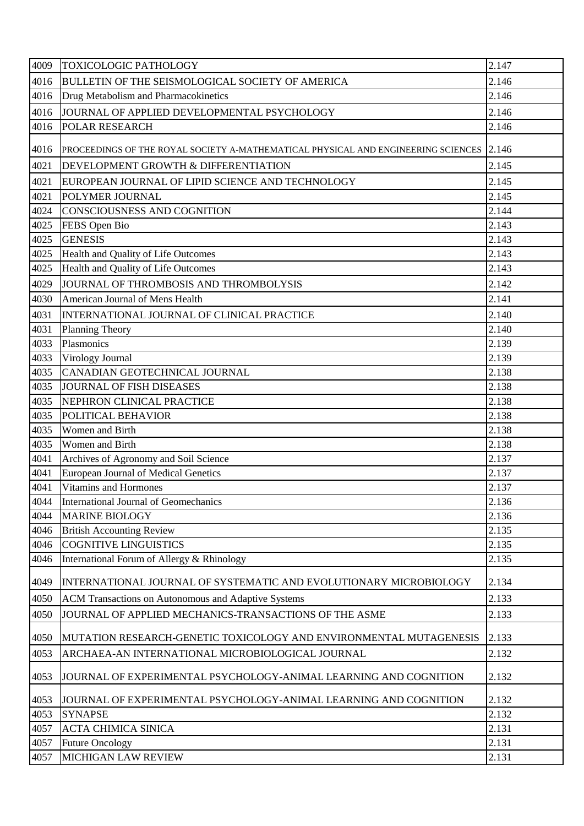| 4009 | <b>TOXICOLOGIC PATHOLOGY</b>                                                            | 2.147 |
|------|-----------------------------------------------------------------------------------------|-------|
| 4016 | BULLETIN OF THE SEISMOLOGICAL SOCIETY OF AMERICA                                        | 2.146 |
| 4016 | Drug Metabolism and Pharmacokinetics                                                    | 2.146 |
| 4016 | JOURNAL OF APPLIED DEVELOPMENTAL PSYCHOLOGY                                             | 2.146 |
| 4016 | POLAR RESEARCH                                                                          | 2.146 |
| 4016 | PROCEEDINGS OF THE ROYAL SOCIETY A-MATHEMATICAL PHYSICAL AND ENGINEERING SCIENCES 2.146 |       |
| 4021 | DEVELOPMENT GROWTH & DIFFERENTIATION                                                    | 2.145 |
| 4021 | EUROPEAN JOURNAL OF LIPID SCIENCE AND TECHNOLOGY                                        | 2.145 |
| 4021 | POLYMER JOURNAL                                                                         | 2.145 |
| 4024 | CONSCIOUSNESS AND COGNITION                                                             | 2.144 |
| 4025 | FEBS Open Bio                                                                           | 2.143 |
| 4025 | <b>GENESIS</b>                                                                          | 2.143 |
| 4025 | Health and Quality of Life Outcomes                                                     | 2.143 |
| 4025 | Health and Quality of Life Outcomes                                                     | 2.143 |
| 4029 | JOURNAL OF THROMBOSIS AND THROMBOLYSIS                                                  | 2.142 |
| 4030 | American Journal of Mens Health                                                         | 2.141 |
| 4031 | INTERNATIONAL JOURNAL OF CLINICAL PRACTICE                                              | 2.140 |
| 4031 | <b>Planning Theory</b>                                                                  | 2.140 |
| 4033 | Plasmonics                                                                              | 2.139 |
| 4033 | Virology Journal                                                                        | 2.139 |
| 4035 | CANADIAN GEOTECHNICAL JOURNAL                                                           | 2.138 |
| 4035 | <b>JOURNAL OF FISH DISEASES</b>                                                         | 2.138 |
| 4035 | NEPHRON CLINICAL PRACTICE                                                               | 2.138 |
| 4035 | POLITICAL BEHAVIOR                                                                      | 2.138 |
| 4035 | Women and Birth                                                                         | 2.138 |
| 4035 | Women and Birth                                                                         | 2.138 |
| 4041 | Archives of Agronomy and Soil Science                                                   | 2.137 |
| 4041 | European Journal of Medical Genetics                                                    | 2.137 |
| 4041 | Vitamins and Hormones                                                                   | 2.137 |
| 4044 | International Journal of Geomechanics                                                   | 2.136 |
| 4044 | <b>MARINE BIOLOGY</b>                                                                   | 2.136 |
| 4046 | <b>British Accounting Review</b>                                                        | 2.135 |
| 4046 | <b>COGNITIVE LINGUISTICS</b>                                                            | 2.135 |
| 4046 | International Forum of Allergy & Rhinology                                              | 2.135 |
| 4049 | INTERNATIONAL JOURNAL OF SYSTEMATIC AND EVOLUTIONARY MICROBIOLOGY                       | 2.134 |
| 4050 | ACM Transactions on Autonomous and Adaptive Systems                                     | 2.133 |
| 4050 | JOURNAL OF APPLIED MECHANICS-TRANSACTIONS OF THE ASME                                   | 2.133 |
| 4050 | MUTATION RESEARCH-GENETIC TOXICOLOGY AND ENVIRONMENTAL MUTAGENESIS                      | 2.133 |
| 4053 | ARCHAEA-AN INTERNATIONAL MICROBIOLOGICAL JOURNAL                                        | 2.132 |
| 4053 | JOURNAL OF EXPERIMENTAL PSYCHOLOGY-ANIMAL LEARNING AND COGNITION                        | 2.132 |
| 4053 | JOURNAL OF EXPERIMENTAL PSYCHOLOGY-ANIMAL LEARNING AND COGNITION                        | 2.132 |
| 4053 | <b>SYNAPSE</b>                                                                          | 2.132 |
| 4057 | <b>ACTA CHIMICA SINICA</b>                                                              | 2.131 |
| 4057 | <b>Future Oncology</b>                                                                  | 2.131 |
| 4057 | MICHIGAN LAW REVIEW                                                                     | 2.131 |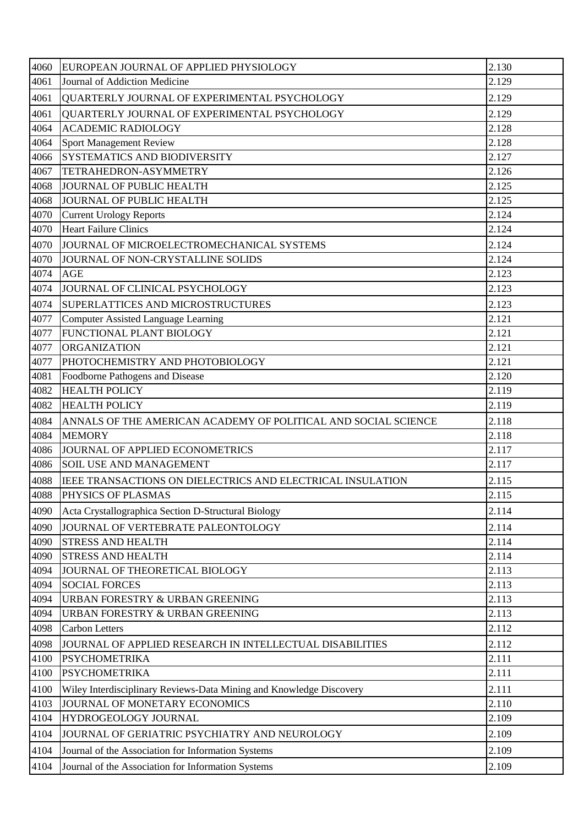| 4060         | EUROPEAN JOURNAL OF APPLIED PHYSIOLOGY                              | 2.130          |
|--------------|---------------------------------------------------------------------|----------------|
| 4061         | Journal of Addiction Medicine                                       | 2.129          |
| 4061         | QUARTERLY JOURNAL OF EXPERIMENTAL PSYCHOLOGY                        | 2.129          |
| 4061         | QUARTERLY JOURNAL OF EXPERIMENTAL PSYCHOLOGY                        | 2.129          |
| 4064         | <b>ACADEMIC RADIOLOGY</b>                                           | 2.128          |
| 4064         | Sport Management Review                                             | 2.128          |
| 4066         | SYSTEMATICS AND BIODIVERSITY                                        | 2.127          |
| 4067         | TETRAHEDRON-ASYMMETRY                                               | 2.126          |
| 4068         | JOURNAL OF PUBLIC HEALTH                                            | 2.125          |
| 4068         | JOURNAL OF PUBLIC HEALTH                                            | 2.125          |
| 4070         | <b>Current Urology Reports</b>                                      | 2.124          |
| 4070         | <b>Heart Failure Clinics</b>                                        | 2.124          |
| 4070         | JOURNAL OF MICROELECTROMECHANICAL SYSTEMS                           | 2.124          |
| 4070         | JOURNAL OF NON-CRYSTALLINE SOLIDS                                   | 2.124          |
| 4074         | <b>AGE</b>                                                          | 2.123          |
| 4074         | JOURNAL OF CLINICAL PSYCHOLOGY                                      | 2.123          |
| 4074         | SUPERLATTICES AND MICROSTRUCTURES                                   | 2.123          |
| 4077         | Computer Assisted Language Learning                                 | 2.121          |
| 4077         | FUNCTIONAL PLANT BIOLOGY                                            | 2.121          |
| 4077         | <b>ORGANIZATION</b>                                                 | 2.121          |
| 4077         | PHOTOCHEMISTRY AND PHOTOBIOLOGY                                     | 2.121          |
| 4081         | Foodborne Pathogens and Disease                                     | 2.120          |
| 4082         | <b>HEALTH POLICY</b>                                                | 2.119          |
| 4082         | <b>HEALTH POLICY</b>                                                | 2.119          |
| 4084         | ANNALS OF THE AMERICAN ACADEMY OF POLITICAL AND SOCIAL SCIENCE      | 2.118          |
| 4084         | <b>MEMORY</b>                                                       | 2.118          |
| 4086         | JOURNAL OF APPLIED ECONOMETRICS                                     | 2.117          |
| 4086         | <b>SOIL USE AND MANAGEMENT</b>                                      | 2.117          |
| 4088         | IEEE TRANSACTIONS ON DIELECTRICS AND ELECTRICAL INSULATION          | 2.115          |
| 4088         | PHYSICS OF PLASMAS                                                  | 2.115          |
| 4090         | Acta Crystallographica Section D-Structural Biology                 | 2.114          |
|              |                                                                     |                |
| 4090         | JOURNAL OF VERTEBRATE PALEONTOLOGY                                  | 2.114          |
| 4090         | <b>STRESS AND HEALTH</b>                                            | 2.114          |
| 4090         | <b>STRESS AND HEALTH</b>                                            | 2.114<br>2.113 |
| 4094<br>4094 | JOURNAL OF THEORETICAL BIOLOGY<br><b>SOCIAL FORCES</b>              | 2.113          |
| 4094         | URBAN FORESTRY & URBAN GREENING                                     | 2.113          |
| 4094         | URBAN FORESTRY & URBAN GREENING                                     | 2.113          |
| 4098         | <b>Carbon Letters</b>                                               | 2.112          |
|              |                                                                     |                |
| 4098         | JOURNAL OF APPLIED RESEARCH IN INTELLECTUAL DISABILITIES            | 2.112          |
| 4100         | <b>PSYCHOMETRIKA</b>                                                | 2.111          |
| 4100         | <b>PSYCHOMETRIKA</b>                                                | 2.111          |
| 4100         | Wiley Interdisciplinary Reviews-Data Mining and Knowledge Discovery | 2.111          |
| 4103         | JOURNAL OF MONETARY ECONOMICS                                       | 2.110          |
| 4104         | HYDROGEOLOGY JOURNAL                                                | 2.109          |
| 4104         | JOURNAL OF GERIATRIC PSYCHIATRY AND NEUROLOGY                       | 2.109          |
| 4104         | Journal of the Association for Information Systems                  | 2.109          |
| 4104         | Journal of the Association for Information Systems                  | 2.109          |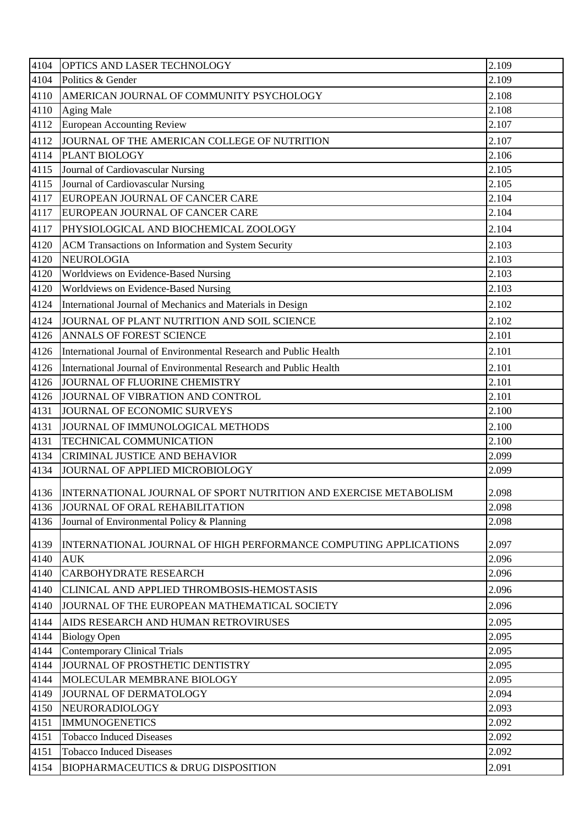| 4104<br>Politics & Gender<br>4110<br>AMERICAN JOURNAL OF COMMUNITY PSYCHOLOGY<br>4110<br><b>Aging Male</b><br>4112<br><b>European Accounting Review</b><br>JOURNAL OF THE AMERICAN COLLEGE OF NUTRITION<br>4112<br>4114<br>PLANT BIOLOGY<br>4115<br>Journal of Cardiovascular Nursing | 2.109<br>2.108<br>2.108<br>2.107<br>2.107<br>2.106<br>2.105<br>2.105<br>2.104<br>2.104<br>2.104 |
|---------------------------------------------------------------------------------------------------------------------------------------------------------------------------------------------------------------------------------------------------------------------------------------|-------------------------------------------------------------------------------------------------|
|                                                                                                                                                                                                                                                                                       |                                                                                                 |
|                                                                                                                                                                                                                                                                                       |                                                                                                 |
|                                                                                                                                                                                                                                                                                       |                                                                                                 |
|                                                                                                                                                                                                                                                                                       |                                                                                                 |
|                                                                                                                                                                                                                                                                                       |                                                                                                 |
|                                                                                                                                                                                                                                                                                       |                                                                                                 |
|                                                                                                                                                                                                                                                                                       |                                                                                                 |
| 4115<br>Journal of Cardiovascular Nursing                                                                                                                                                                                                                                             |                                                                                                 |
| 4117<br>EUROPEAN JOURNAL OF CANCER CARE                                                                                                                                                                                                                                               |                                                                                                 |
| 4117<br>EUROPEAN JOURNAL OF CANCER CARE                                                                                                                                                                                                                                               |                                                                                                 |
| 4117<br>PHYSIOLOGICAL AND BIOCHEMICAL ZOOLOGY                                                                                                                                                                                                                                         |                                                                                                 |
| 4120<br>ACM Transactions on Information and System Security                                                                                                                                                                                                                           | 2.103                                                                                           |
| 4120<br><b>NEUROLOGIA</b>                                                                                                                                                                                                                                                             | 2.103                                                                                           |
| Worldviews on Evidence-Based Nursing<br>4120                                                                                                                                                                                                                                          | 2.103                                                                                           |
| 4120<br>Worldviews on Evidence-Based Nursing                                                                                                                                                                                                                                          | 2.103                                                                                           |
| 4124<br>International Journal of Mechanics and Materials in Design                                                                                                                                                                                                                    | 2.102                                                                                           |
| 4124<br>JOURNAL OF PLANT NUTRITION AND SOIL SCIENCE                                                                                                                                                                                                                                   | 2.102                                                                                           |
| 4126<br>ANNALS OF FOREST SCIENCE                                                                                                                                                                                                                                                      | 2.101                                                                                           |
| 4126<br>International Journal of Environmental Research and Public Health                                                                                                                                                                                                             | 2.101                                                                                           |
| 4126<br>International Journal of Environmental Research and Public Health                                                                                                                                                                                                             | 2.101                                                                                           |
| 4126<br>JOURNAL OF FLUORINE CHEMISTRY                                                                                                                                                                                                                                                 | 2.101                                                                                           |
| 4126<br>JOURNAL OF VIBRATION AND CONTROL                                                                                                                                                                                                                                              | 2.101                                                                                           |
| 4131<br>JOURNAL OF ECONOMIC SURVEYS                                                                                                                                                                                                                                                   | 2.100                                                                                           |
| 4131<br>JOURNAL OF IMMUNOLOGICAL METHODS                                                                                                                                                                                                                                              | 2.100                                                                                           |
| 4131<br>TECHNICAL COMMUNICATION                                                                                                                                                                                                                                                       | 2.100                                                                                           |
| 4134<br><b>CRIMINAL JUSTICE AND BEHAVIOR</b>                                                                                                                                                                                                                                          | 2.099                                                                                           |
| 4134<br>JOURNAL OF APPLIED MICROBIOLOGY                                                                                                                                                                                                                                               | 2.099                                                                                           |
| 4136<br>INTERNATIONAL JOURNAL OF SPORT NUTRITION AND EXERCISE METABOLISM                                                                                                                                                                                                              | 2.098                                                                                           |
| 4136<br>JOURNAL OF ORAL REHABILITATION                                                                                                                                                                                                                                                | 2.098                                                                                           |
| Journal of Environmental Policy & Planning<br>4136                                                                                                                                                                                                                                    | 2.098                                                                                           |
| 4139<br>INTERNATIONAL JOURNAL OF HIGH PERFORMANCE COMPUTING APPLICATIONS                                                                                                                                                                                                              | 2.097                                                                                           |
| 4140<br><b>AUK</b>                                                                                                                                                                                                                                                                    | 2.096                                                                                           |
| 4140<br><b>CARBOHYDRATE RESEARCH</b>                                                                                                                                                                                                                                                  | 2.096                                                                                           |
| 4140<br>CLINICAL AND APPLIED THROMBOSIS-HEMOSTASIS                                                                                                                                                                                                                                    | 2.096                                                                                           |
| 4140<br>JOURNAL OF THE EUROPEAN MATHEMATICAL SOCIETY                                                                                                                                                                                                                                  | 2.096                                                                                           |
| 4144<br>AIDS RESEARCH AND HUMAN RETROVIRUSES                                                                                                                                                                                                                                          | 2.095                                                                                           |
| 4144<br><b>Biology Open</b>                                                                                                                                                                                                                                                           | 2.095                                                                                           |
| <b>Contemporary Clinical Trials</b><br>4144                                                                                                                                                                                                                                           | 2.095                                                                                           |
| JOURNAL OF PROSTHETIC DENTISTRY<br>4144                                                                                                                                                                                                                                               | 2.095                                                                                           |
| 4144<br>MOLECULAR MEMBRANE BIOLOGY                                                                                                                                                                                                                                                    | 2.095                                                                                           |
| 4149<br>JOURNAL OF DERMATOLOGY                                                                                                                                                                                                                                                        | 2.094                                                                                           |
| 4150<br>NEURORADIOLOGY                                                                                                                                                                                                                                                                | 2.093                                                                                           |
| 4151<br><b>IMMUNOGENETICS</b>                                                                                                                                                                                                                                                         | 2.092                                                                                           |
| 4151<br><b>Tobacco Induced Diseases</b>                                                                                                                                                                                                                                               | 2.092                                                                                           |
| 4151<br><b>Tobacco Induced Diseases</b>                                                                                                                                                                                                                                               | 2.092                                                                                           |
| <b>BIOPHARMACEUTICS &amp; DRUG DISPOSITION</b><br>4154                                                                                                                                                                                                                                | 2.091                                                                                           |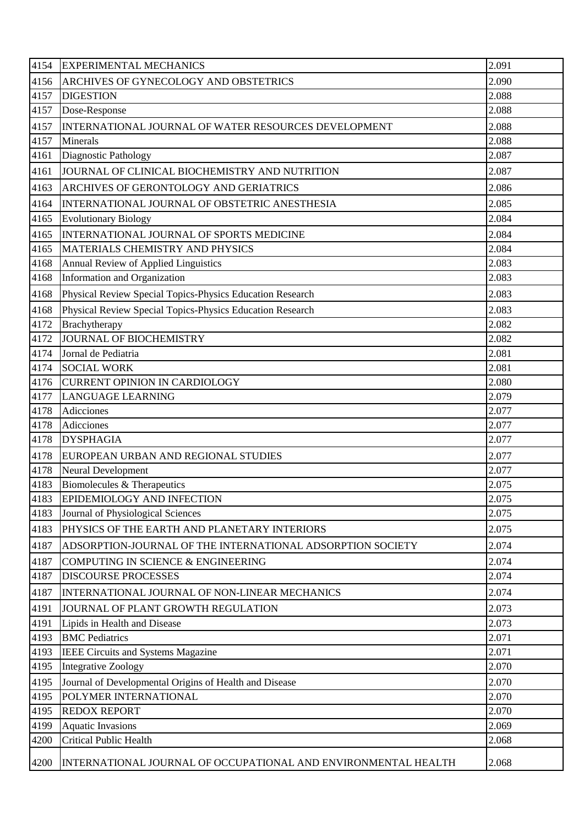| 4154 | <b>EXPERIMENTAL MECHANICS</b>                                  | 2.091 |
|------|----------------------------------------------------------------|-------|
| 4156 | ARCHIVES OF GYNECOLOGY AND OBSTETRICS                          | 2.090 |
| 4157 | <b>DIGESTION</b>                                               | 2.088 |
| 4157 | Dose-Response                                                  | 2.088 |
| 4157 | INTERNATIONAL JOURNAL OF WATER RESOURCES DEVELOPMENT           | 2.088 |
| 4157 | Minerals                                                       | 2.088 |
| 4161 | Diagnostic Pathology                                           | 2.087 |
| 4161 | JOURNAL OF CLINICAL BIOCHEMISTRY AND NUTRITION                 | 2.087 |
| 4163 | ARCHIVES OF GERONTOLOGY AND GERIATRICS                         | 2.086 |
| 4164 | INTERNATIONAL JOURNAL OF OBSTETRIC ANESTHESIA                  | 2.085 |
| 4165 | <b>Evolutionary Biology</b>                                    | 2.084 |
| 4165 | INTERNATIONAL JOURNAL OF SPORTS MEDICINE                       | 2.084 |
| 4165 | MATERIALS CHEMISTRY AND PHYSICS                                | 2.084 |
| 4168 | Annual Review of Applied Linguistics                           | 2.083 |
| 4168 | Information and Organization                                   | 2.083 |
| 4168 | Physical Review Special Topics-Physics Education Research      | 2.083 |
| 4168 | Physical Review Special Topics-Physics Education Research      | 2.083 |
| 4172 | Brachytherapy                                                  | 2.082 |
| 4172 | <b>JOURNAL OF BIOCHEMISTRY</b>                                 | 2.082 |
| 4174 | Jornal de Pediatria                                            | 2.081 |
| 4174 | <b>SOCIAL WORK</b>                                             | 2.081 |
| 4176 | <b>CURRENT OPINION IN CARDIOLOGY</b>                           | 2.080 |
| 4177 | <b>LANGUAGE LEARNING</b>                                       | 2.079 |
| 4178 | Adicciones                                                     | 2.077 |
| 4178 | Adicciones                                                     | 2.077 |
| 4178 | <b>DYSPHAGIA</b>                                               | 2.077 |
| 4178 | EUROPEAN URBAN AND REGIONAL STUDIES                            | 2.077 |
| 4178 | <b>Neural Development</b>                                      | 2.077 |
| 4183 | Biomolecules & Therapeutics                                    | 2.075 |
| 4183 | EPIDEMIOLOGY AND INFECTION                                     | 2.075 |
| 4183 | Journal of Physiological Sciences                              | 2.075 |
| 4183 | PHYSICS OF THE EARTH AND PLANETARY INTERIORS                   | 2.075 |
| 4187 | ADSORPTION-JOURNAL OF THE INTERNATIONAL ADSORPTION SOCIETY     | 2.074 |
| 4187 | COMPUTING IN SCIENCE & ENGINEERING                             | 2.074 |
| 4187 | <b>DISCOURSE PROCESSES</b>                                     | 2.074 |
| 4187 | INTERNATIONAL JOURNAL OF NON-LINEAR MECHANICS                  | 2.074 |
| 4191 | JOURNAL OF PLANT GROWTH REGULATION                             | 2.073 |
| 4191 | Lipids in Health and Disease                                   | 2.073 |
| 4193 | <b>BMC</b> Pediatrics                                          | 2.071 |
| 4193 | IEEE Circuits and Systems Magazine                             | 2.071 |
| 4195 | <b>Integrative Zoology</b>                                     | 2.070 |
| 4195 | Journal of Developmental Origins of Health and Disease         | 2.070 |
| 4195 | POLYMER INTERNATIONAL                                          | 2.070 |
| 4195 | <b>REDOX REPORT</b>                                            | 2.070 |
| 4199 | <b>Aquatic Invasions</b>                                       | 2.069 |
| 4200 | <b>Critical Public Health</b>                                  | 2.068 |
| 4200 | INTERNATIONAL JOURNAL OF OCCUPATIONAL AND ENVIRONMENTAL HEALTH | 2.068 |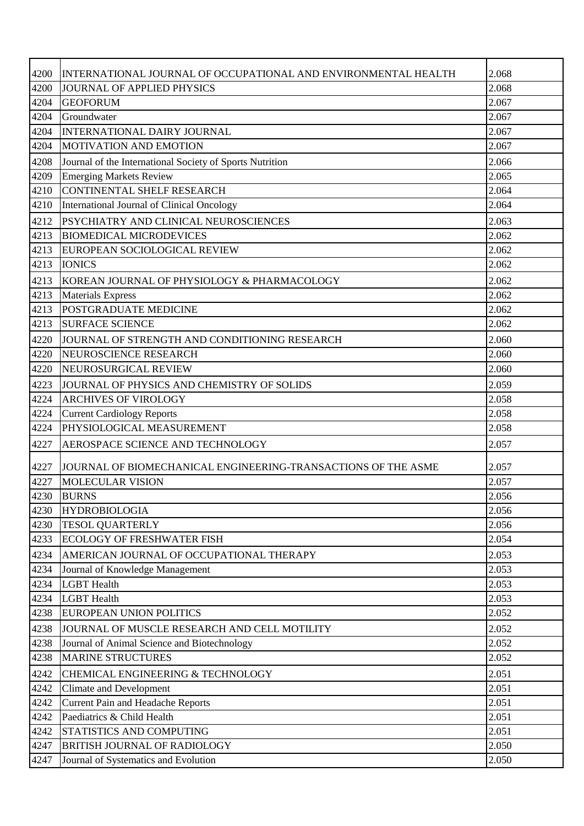| 4200 | INTERNATIONAL JOURNAL OF OCCUPATIONAL AND ENVIRONMENTAL HEALTH | 2.068 |
|------|----------------------------------------------------------------|-------|
| 4200 | JOURNAL OF APPLIED PHYSICS                                     | 2.068 |
| 4204 | <b>GEOFORUM</b>                                                | 2.067 |
| 4204 | Groundwater                                                    | 2.067 |
| 4204 | INTERNATIONAL DAIRY JOURNAL                                    | 2.067 |
| 4204 | <b>MOTIVATION AND EMOTION</b>                                  | 2.067 |
| 4208 | Journal of the International Society of Sports Nutrition       | 2.066 |
| 4209 | <b>Emerging Markets Review</b>                                 | 2.065 |
| 4210 | CONTINENTAL SHELF RESEARCH                                     | 2.064 |
| 4210 | International Journal of Clinical Oncology                     | 2.064 |
| 4212 | PSYCHIATRY AND CLINICAL NEUROSCIENCES                          | 2.063 |
| 4213 | <b>BIOMEDICAL MICRODEVICES</b>                                 | 2.062 |
| 4213 | EUROPEAN SOCIOLOGICAL REVIEW                                   | 2.062 |
| 4213 | <b>IONICS</b>                                                  | 2.062 |
| 4213 | KOREAN JOURNAL OF PHYSIOLOGY & PHARMACOLOGY                    | 2.062 |
| 4213 | <b>Materials Express</b>                                       | 2.062 |
| 4213 | POSTGRADUATE MEDICINE                                          | 2.062 |
| 4213 | <b>SURFACE SCIENCE</b>                                         | 2.062 |
| 4220 | JOURNAL OF STRENGTH AND CONDITIONING RESEARCH                  | 2.060 |
| 4220 | NEUROSCIENCE RESEARCH                                          | 2.060 |
| 4220 | NEUROSURGICAL REVIEW                                           | 2.060 |
| 4223 | JOURNAL OF PHYSICS AND CHEMISTRY OF SOLIDS                     | 2.059 |
| 4224 | <b>ARCHIVES OF VIROLOGY</b>                                    | 2.058 |
| 4224 | <b>Current Cardiology Reports</b>                              | 2.058 |
| 4224 | PHYSIOLOGICAL MEASUREMENT                                      | 2.058 |
| 4227 | AEROSPACE SCIENCE AND TECHNOLOGY                               | 2.057 |
| 4227 | JOURNAL OF BIOMECHANICAL ENGINEERING-TRANSACTIONS OF THE ASME  | 2.057 |
| 4227 | MOLECULAR VISION                                               | 2.057 |
| 4230 | <b>BURNS</b>                                                   | 2.056 |
| 4230 | <b>HYDROBIOLOGIA</b>                                           | 2.056 |
| 4230 | <b>TESOL QUARTERLY</b>                                         | 2.056 |
| 4233 | <b>ECOLOGY OF FRESHWATER FISH</b>                              | 2.054 |
| 4234 | AMERICAN JOURNAL OF OCCUPATIONAL THERAPY                       | 2.053 |
| 4234 | Journal of Knowledge Management                                | 2.053 |
| 4234 | <b>LGBT</b> Health                                             | 2.053 |
| 4234 | <b>LGBT</b> Health                                             | 2.053 |
| 4238 | EUROPEAN UNION POLITICS                                        | 2.052 |
| 4238 | JOURNAL OF MUSCLE RESEARCH AND CELL MOTILITY                   | 2.052 |
| 4238 | Journal of Animal Science and Biotechnology                    | 2.052 |
| 4238 | <b>MARINE STRUCTURES</b>                                       | 2.052 |
| 4242 | CHEMICAL ENGINEERING & TECHNOLOGY                              | 2.051 |
| 4242 | <b>Climate and Development</b>                                 | 2.051 |
| 4242 | <b>Current Pain and Headache Reports</b>                       | 2.051 |
| 4242 | Paediatrics & Child Health                                     | 2.051 |
| 4242 | STATISTICS AND COMPUTING                                       | 2.051 |
| 4247 | <b>BRITISH JOURNAL OF RADIOLOGY</b>                            | 2.050 |
| 4247 | Journal of Systematics and Evolution                           | 2.050 |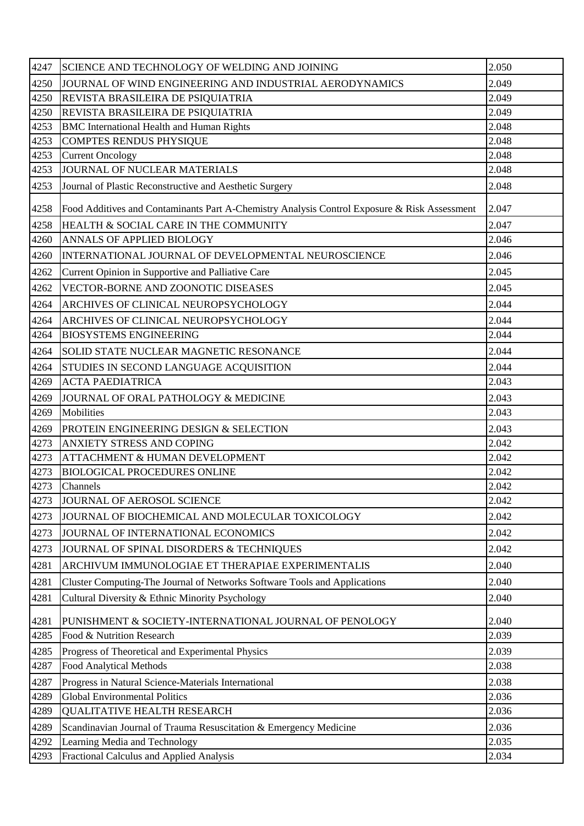| 4247 | SCIENCE AND TECHNOLOGY OF WELDING AND JOINING                                                | 2.050 |
|------|----------------------------------------------------------------------------------------------|-------|
| 4250 | JOURNAL OF WIND ENGINEERING AND INDUSTRIAL AERODYNAMICS                                      | 2.049 |
| 4250 | REVISTA BRASILEIRA DE PSIQUIATRIA                                                            | 2.049 |
| 4250 | REVISTA BRASILEIRA DE PSIQUIATRIA                                                            | 2.049 |
| 4253 | <b>BMC</b> International Health and Human Rights                                             | 2.048 |
| 4253 | <b>COMPTES RENDUS PHYSIQUE</b>                                                               | 2.048 |
| 4253 | <b>Current Oncology</b>                                                                      | 2.048 |
| 4253 | JOURNAL OF NUCLEAR MATERIALS                                                                 | 2.048 |
| 4253 | Journal of Plastic Reconstructive and Aesthetic Surgery                                      | 2.048 |
| 4258 | Food Additives and Contaminants Part A-Chemistry Analysis Control Exposure & Risk Assessment | 2.047 |
| 4258 | HEALTH & SOCIAL CARE IN THE COMMUNITY                                                        | 2.047 |
| 4260 | ANNALS OF APPLIED BIOLOGY                                                                    | 2.046 |
| 4260 | INTERNATIONAL JOURNAL OF DEVELOPMENTAL NEUROSCIENCE                                          | 2.046 |
| 4262 | Current Opinion in Supportive and Palliative Care                                            | 2.045 |
| 4262 | VECTOR-BORNE AND ZOONOTIC DISEASES                                                           | 2.045 |
| 4264 | ARCHIVES OF CLINICAL NEUROPSYCHOLOGY                                                         | 2.044 |
| 4264 | ARCHIVES OF CLINICAL NEUROPSYCHOLOGY                                                         | 2.044 |
| 4264 | <b>BIOSYSTEMS ENGINEERING</b>                                                                | 2.044 |
| 4264 | SOLID STATE NUCLEAR MAGNETIC RESONANCE                                                       | 2.044 |
| 4264 | STUDIES IN SECOND LANGUAGE ACQUISITION                                                       | 2.044 |
| 4269 | <b>ACTA PAEDIATRICA</b>                                                                      | 2.043 |
| 4269 | JOURNAL OF ORAL PATHOLOGY & MEDICINE                                                         | 2.043 |
| 4269 | Mobilities                                                                                   | 2.043 |
| 4269 | PROTEIN ENGINEERING DESIGN & SELECTION                                                       | 2.043 |
| 4273 | ANXIETY STRESS AND COPING                                                                    | 2.042 |
| 4273 | ATTACHMENT & HUMAN DEVELOPMENT                                                               | 2.042 |
| 4273 | <b>BIOLOGICAL PROCEDURES ONLINE</b>                                                          | 2.042 |
| 4273 | Channels                                                                                     | 2.042 |
| 4273 | JOURNAL OF AEROSOL SCIENCE                                                                   | 2.042 |
| 4273 | JOURNAL OF BIOCHEMICAL AND MOLECULAR TOXICOLOGY                                              | 2.042 |
| 4273 | JOURNAL OF INTERNATIONAL ECONOMICS                                                           | 2.042 |
| 4273 | JOURNAL OF SPINAL DISORDERS & TECHNIQUES                                                     | 2.042 |
| 4281 | ARCHIVUM IMMUNOLOGIAE ET THERAPIAE EXPERIMENTALIS                                            | 2.040 |
| 4281 | Cluster Computing-The Journal of Networks Software Tools and Applications                    | 2.040 |
| 4281 | Cultural Diversity & Ethnic Minority Psychology                                              | 2.040 |
| 4281 | PUNISHMENT & SOCIETY-INTERNATIONAL JOURNAL OF PENOLOGY                                       | 2.040 |
| 4285 | Food & Nutrition Research                                                                    | 2.039 |
| 4285 | Progress of Theoretical and Experimental Physics                                             | 2.039 |
| 4287 | <b>Food Analytical Methods</b>                                                               | 2.038 |
| 4287 | Progress in Natural Science-Materials International                                          | 2.038 |
| 4289 | <b>Global Environmental Politics</b>                                                         | 2.036 |
| 4289 | <b>QUALITATIVE HEALTH RESEARCH</b>                                                           | 2.036 |
| 4289 | Scandinavian Journal of Trauma Resuscitation & Emergency Medicine                            | 2.036 |
| 4292 | Learning Media and Technology                                                                | 2.035 |
| 4293 | Fractional Calculus and Applied Analysis                                                     | 2.034 |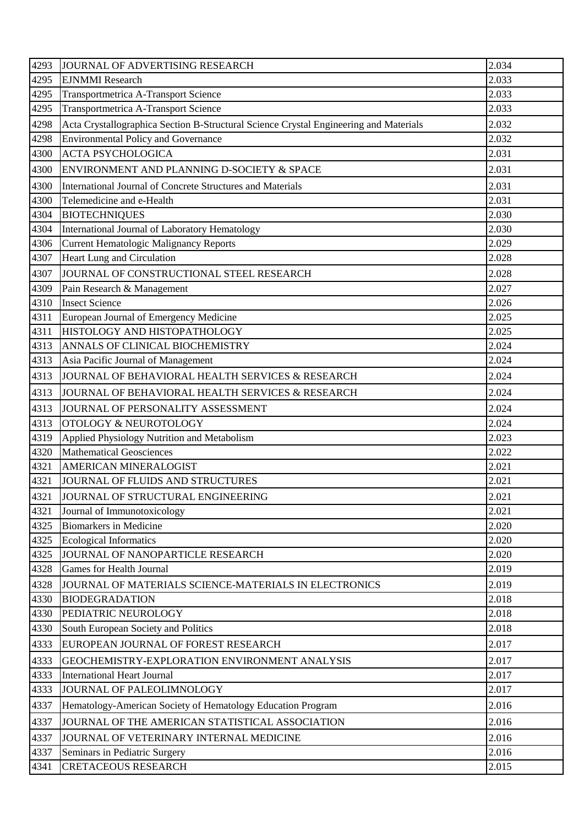| 4293 | JOURNAL OF ADVERTISING RESEARCH                                                       | 2.034 |
|------|---------------------------------------------------------------------------------------|-------|
| 4295 | <b>EJNMMI</b> Research                                                                | 2.033 |
| 4295 | Transportmetrica A-Transport Science                                                  | 2.033 |
| 4295 | Transportmetrica A-Transport Science                                                  | 2.033 |
| 4298 | Acta Crystallographica Section B-Structural Science Crystal Engineering and Materials | 2.032 |
| 4298 | <b>Environmental Policy and Governance</b>                                            | 2.032 |
| 4300 | <b>ACTA PSYCHOLOGICA</b>                                                              | 2.031 |
| 4300 | ENVIRONMENT AND PLANNING D-SOCIETY & SPACE                                            | 2.031 |
| 4300 | International Journal of Concrete Structures and Materials                            | 2.031 |
| 4300 | Telemedicine and e-Health                                                             | 2.031 |
| 4304 | <b>BIOTECHNIQUES</b>                                                                  | 2.030 |
| 4304 | International Journal of Laboratory Hematology                                        | 2.030 |
| 4306 | Current Hematologic Malignancy Reports                                                | 2.029 |
| 4307 | Heart Lung and Circulation                                                            | 2.028 |
| 4307 | JOURNAL OF CONSTRUCTIONAL STEEL RESEARCH                                              | 2.028 |
| 4309 | Pain Research & Management                                                            | 2.027 |
| 4310 | <b>Insect Science</b>                                                                 | 2.026 |
| 4311 | European Journal of Emergency Medicine                                                | 2.025 |
| 4311 | HISTOLOGY AND HISTOPATHOLOGY                                                          | 2.025 |
| 4313 | ANNALS OF CLINICAL BIOCHEMISTRY                                                       | 2.024 |
| 4313 | Asia Pacific Journal of Management                                                    | 2.024 |
| 4313 | JOURNAL OF BEHAVIORAL HEALTH SERVICES & RESEARCH                                      | 2.024 |
| 4313 | JOURNAL OF BEHAVIORAL HEALTH SERVICES & RESEARCH                                      | 2.024 |
| 4313 | JOURNAL OF PERSONALITY ASSESSMENT                                                     | 2.024 |
| 4313 | <b>OTOLOGY &amp; NEUROTOLOGY</b>                                                      | 2.024 |
| 4319 | Applied Physiology Nutrition and Metabolism                                           | 2.023 |
| 4320 | <b>Mathematical Geosciences</b>                                                       | 2.022 |
| 4321 | AMERICAN MINERALOGIST                                                                 | 2.021 |
| 4321 | JOURNAL OF FLUIDS AND STRUCTURES                                                      | 2.021 |
| 4321 | JOURNAL OF STRUCTURAL ENGINEERING                                                     | 2.021 |
| 4321 | Journal of Immunotoxicology                                                           | 2.021 |
| 4325 | <b>Biomarkers in Medicine</b>                                                         | 2.020 |
| 4325 | <b>Ecological Informatics</b>                                                         | 2.020 |
| 4325 | JOURNAL OF NANOPARTICLE RESEARCH                                                      | 2.020 |
| 4328 | <b>Games for Health Journal</b>                                                       | 2.019 |
| 4328 | JOURNAL OF MATERIALS SCIENCE-MATERIALS IN ELECTRONICS                                 | 2.019 |
| 4330 | <b>BIODEGRADATION</b>                                                                 | 2.018 |
| 4330 | PEDIATRIC NEUROLOGY                                                                   | 2.018 |
| 4330 | South European Society and Politics                                                   | 2.018 |
| 4333 | EUROPEAN JOURNAL OF FOREST RESEARCH                                                   | 2.017 |
| 4333 | GEOCHEMISTRY-EXPLORATION ENVIRONMENT ANALYSIS                                         | 2.017 |
| 4333 | <b>International Heart Journal</b>                                                    | 2.017 |
| 4333 | JOURNAL OF PALEOLIMNOLOGY                                                             | 2.017 |
| 4337 | Hematology-American Society of Hematology Education Program                           | 2.016 |
| 4337 | JOURNAL OF THE AMERICAN STATISTICAL ASSOCIATION                                       | 2.016 |
| 4337 | JOURNAL OF VETERINARY INTERNAL MEDICINE                                               | 2.016 |
| 4337 | Seminars in Pediatric Surgery                                                         | 2.016 |
| 4341 | <b>CRETACEOUS RESEARCH</b>                                                            | 2.015 |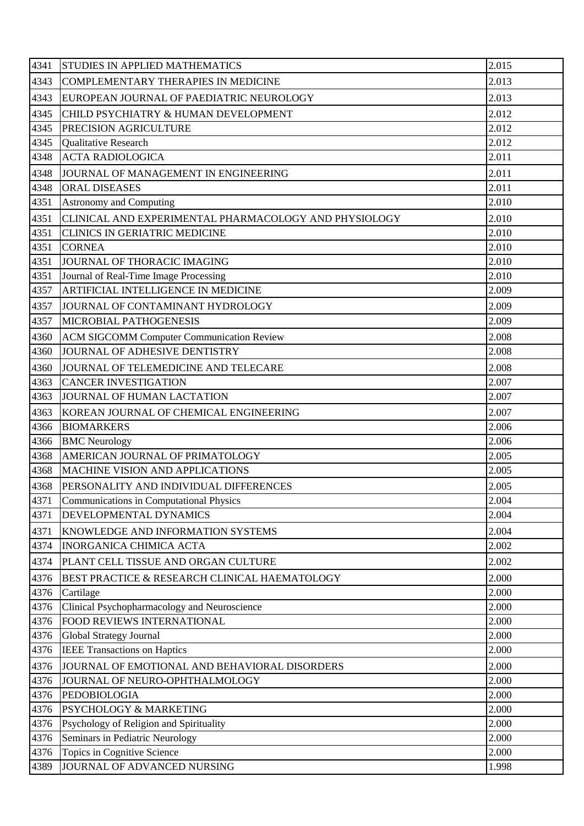| 4341 | STUDIES IN APPLIED MATHEMATICS                        | 2.015 |
|------|-------------------------------------------------------|-------|
| 4343 | <b>COMPLEMENTARY THERAPIES IN MEDICINE</b>            | 2.013 |
| 4343 | EUROPEAN JOURNAL OF PAEDIATRIC NEUROLOGY              | 2.013 |
| 4345 | CHILD PSYCHIATRY & HUMAN DEVELOPMENT                  | 2.012 |
| 4345 | PRECISION AGRICULTURE                                 | 2.012 |
| 4345 | <b>Qualitative Research</b>                           | 2.012 |
| 4348 | <b>ACTA RADIOLOGICA</b>                               | 2.011 |
| 4348 | JOURNAL OF MANAGEMENT IN ENGINEERING                  | 2.011 |
| 4348 | <b>ORAL DISEASES</b>                                  | 2.011 |
| 4351 | <b>Astronomy and Computing</b>                        | 2.010 |
| 4351 | CLINICAL AND EXPERIMENTAL PHARMACOLOGY AND PHYSIOLOGY | 2.010 |
| 4351 | <b>CLINICS IN GERIATRIC MEDICINE</b>                  | 2.010 |
| 4351 | <b>CORNEA</b>                                         | 2.010 |
| 4351 | JOURNAL OF THORACIC IMAGING                           | 2.010 |
| 4351 | Journal of Real-Time Image Processing                 | 2.010 |
| 4357 | ARTIFICIAL INTELLIGENCE IN MEDICINE                   | 2.009 |
| 4357 | JOURNAL OF CONTAMINANT HYDROLOGY                      | 2.009 |
| 4357 | MICROBIAL PATHOGENESIS                                | 2.009 |
| 4360 | <b>ACM SIGCOMM Computer Communication Review</b>      | 2.008 |
| 4360 | JOURNAL OF ADHESIVE DENTISTRY                         | 2.008 |
| 4360 | JOURNAL OF TELEMEDICINE AND TELECARE                  | 2.008 |
| 4363 | <b>CANCER INVESTIGATION</b>                           | 2.007 |
| 4363 | JOURNAL OF HUMAN LACTATION                            | 2.007 |
| 4363 | KOREAN JOURNAL OF CHEMICAL ENGINEERING                | 2.007 |
| 4366 | <b>BIOMARKERS</b>                                     | 2.006 |
| 4366 | <b>BMC</b> Neurology                                  | 2.006 |
| 4368 | AMERICAN JOURNAL OF PRIMATOLOGY                       | 2.005 |
| 4368 | <b>MACHINE VISION AND APPLICATIONS</b>                | 2.005 |
| 4368 | PERSONALITY AND INDIVIDUAL DIFFERENCES                | 2.005 |
| 4371 | <b>Communications in Computational Physics</b>        | 2.004 |
| 4371 | DEVELOPMENTAL DYNAMICS                                | 2.004 |
| 4371 | KNOWLEDGE AND INFORMATION SYSTEMS                     | 2.004 |
| 4374 | <b>INORGANICA CHIMICA ACTA</b>                        | 2.002 |
| 4374 | PLANT CELL TISSUE AND ORGAN CULTURE                   | 2.002 |
| 4376 | BEST PRACTICE & RESEARCH CLINICAL HAEMATOLOGY         | 2.000 |
| 4376 | Cartilage                                             | 2.000 |
| 4376 | Clinical Psychopharmacology and Neuroscience          | 2.000 |
| 4376 | FOOD REVIEWS INTERNATIONAL                            | 2.000 |
| 4376 | Global Strategy Journal                               | 2.000 |
| 4376 | <b>IEEE Transactions on Haptics</b>                   | 2.000 |
| 4376 | JOURNAL OF EMOTIONAL AND BEHAVIORAL DISORDERS         | 2.000 |
| 4376 | JOURNAL OF NEURO-OPHTHALMOLOGY                        | 2.000 |
| 4376 | <b>PEDOBIOLOGIA</b>                                   | 2.000 |
| 4376 | PSYCHOLOGY & MARKETING                                | 2.000 |
| 4376 | Psychology of Religion and Spirituality               | 2.000 |
| 4376 | Seminars in Pediatric Neurology                       | 2.000 |
| 4376 | Topics in Cognitive Science                           | 2.000 |
| 4389 | JOURNAL OF ADVANCED NURSING                           | 1.998 |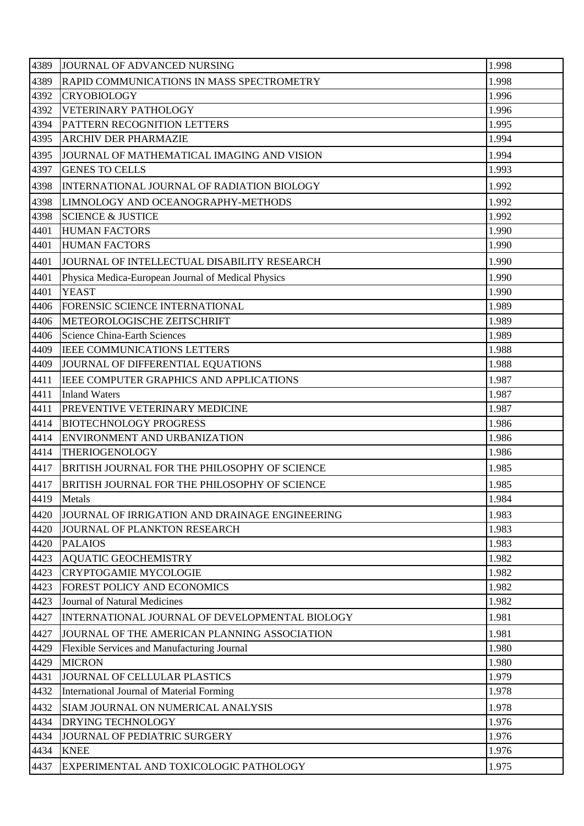| 4389 | JOURNAL OF ADVANCED NURSING                          | 1.998 |
|------|------------------------------------------------------|-------|
| 4389 | RAPID COMMUNICATIONS IN MASS SPECTROMETRY            | 1.998 |
| 4392 | <b>CRYOBIOLOGY</b>                                   | 1.996 |
| 4392 | VETERINARY PATHOLOGY                                 | 1.996 |
| 4394 | PATTERN RECOGNITION LETTERS                          | 1.995 |
| 4395 | <b>ARCHIV DER PHARMAZIE</b>                          | 1.994 |
| 4395 | JOURNAL OF MATHEMATICAL IMAGING AND VISION           | 1.994 |
| 4397 | <b>GENES TO CELLS</b>                                | 1.993 |
| 4398 | INTERNATIONAL JOURNAL OF RADIATION BIOLOGY           | 1.992 |
| 4398 | LIMNOLOGY AND OCEANOGRAPHY-METHODS                   | 1.992 |
| 4398 | <b>SCIENCE &amp; JUSTICE</b>                         | 1.992 |
| 4401 | <b>HUMAN FACTORS</b>                                 | 1.990 |
| 4401 | <b>HUMAN FACTORS</b>                                 | 1.990 |
| 4401 | JOURNAL OF INTELLECTUAL DISABILITY RESEARCH          | 1.990 |
| 4401 | Physica Medica-European Journal of Medical Physics   | 1.990 |
| 4401 | <b>YEAST</b>                                         | 1.990 |
| 4406 | FORENSIC SCIENCE INTERNATIONAL                       | 1.989 |
| 4406 | <b>METEOROLOGISCHE ZEITSCHRIFT</b>                   | 1.989 |
| 4406 | <b>Science China-Earth Sciences</b>                  | 1.989 |
| 4409 | <b>IEEE COMMUNICATIONS LETTERS</b>                   | 1.988 |
| 4409 | JOURNAL OF DIFFERENTIAL EQUATIONS                    | 1.988 |
| 4411 | IEEE COMPUTER GRAPHICS AND APPLICATIONS              | 1.987 |
| 4411 | <b>Inland Waters</b>                                 | 1.987 |
| 4411 | <b>PREVENTIVE VETERINARY MEDICINE</b>                | 1.987 |
| 4414 | <b>BIOTECHNOLOGY PROGRESS</b>                        | 1.986 |
| 4414 | ENVIRONMENT AND URBANIZATION                         | 1.986 |
| 4414 | <b>THERIOGENOLOGY</b>                                | 1.986 |
| 4417 | BRITISH JOURNAL FOR THE PHILOSOPHY OF SCIENCE        | 1.985 |
| 4417 | <b>BRITISH JOURNAL FOR THE PHILOSOPHY OF SCIENCE</b> | 1.985 |
| 4419 | Metals                                               | 1.984 |
| 4420 | JOURNAL OF IRRIGATION AND DRAINAGE ENGINEERING       | 1.983 |
| 4420 | JOURNAL OF PLANKTON RESEARCH                         | 1.983 |
| 4420 | <b>PALAIOS</b>                                       | 1.983 |
| 4423 | <b>AQUATIC GEOCHEMISTRY</b>                          | 1.982 |
| 4423 | <b>CRYPTOGAMIE MYCOLOGIE</b>                         | 1.982 |
| 4423 | FOREST POLICY AND ECONOMICS                          | 1.982 |
| 4423 | Journal of Natural Medicines                         | 1.982 |
| 4427 | INTERNATIONAL JOURNAL OF DEVELOPMENTAL BIOLOGY       | 1.981 |
| 4427 | JOURNAL OF THE AMERICAN PLANNING ASSOCIATION         | 1.981 |
| 4429 | Flexible Services and Manufacturing Journal          | 1.980 |
| 4429 | <b>MICRON</b>                                        | 1.980 |
| 4431 | JOURNAL OF CELLULAR PLASTICS                         | 1.979 |
| 4432 | International Journal of Material Forming            | 1.978 |
| 4432 | SIAM JOURNAL ON NUMERICAL ANALYSIS                   | 1.978 |
| 4434 | DRYING TECHNOLOGY                                    | 1.976 |
| 4434 | JOURNAL OF PEDIATRIC SURGERY                         | 1.976 |
| 4434 | <b>KNEE</b>                                          | 1.976 |
| 4437 | EXPERIMENTAL AND TOXICOLOGIC PATHOLOGY               | 1.975 |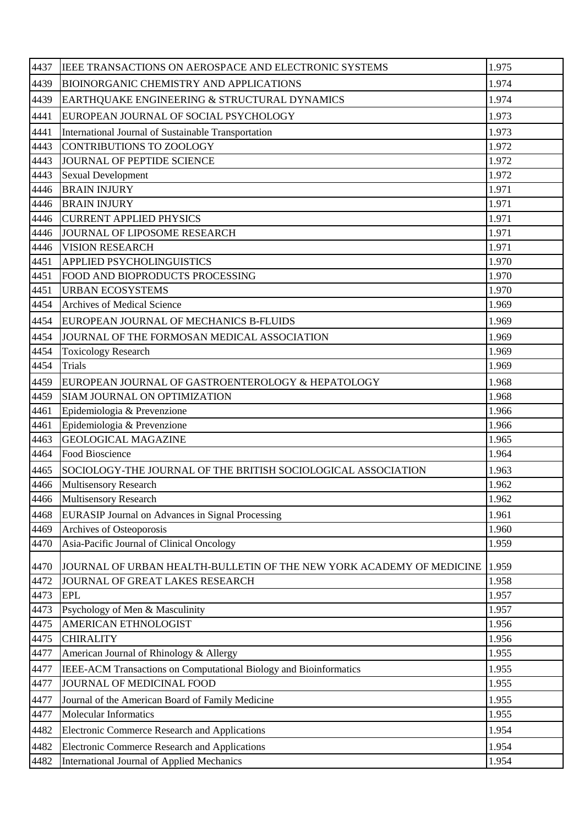| 4437 | <b>IEEE TRANSACTIONS ON AEROSPACE AND ELECTRONIC SYSTEMS</b>         | 1.975 |
|------|----------------------------------------------------------------------|-------|
| 4439 | <b>BIOINORGANIC CHEMISTRY AND APPLICATIONS</b>                       | 1.974 |
| 4439 | EARTHQUAKE ENGINEERING & STRUCTURAL DYNAMICS                         | 1.974 |
| 4441 | EUROPEAN JOURNAL OF SOCIAL PSYCHOLOGY                                | 1.973 |
| 4441 | International Journal of Sustainable Transportation                  | 1.973 |
| 4443 | <b>CONTRIBUTIONS TO ZOOLOGY</b>                                      | 1.972 |
| 4443 | JOURNAL OF PEPTIDE SCIENCE                                           | 1.972 |
| 4443 | <b>Sexual Development</b>                                            | 1.972 |
| 4446 | <b>BRAIN INJURY</b>                                                  | 1.971 |
| 4446 | <b>BRAIN INJURY</b>                                                  | 1.971 |
| 4446 | <b>CURRENT APPLIED PHYSICS</b>                                       | 1.971 |
| 4446 | JOURNAL OF LIPOSOME RESEARCH                                         | 1.971 |
| 4446 | <b>VISION RESEARCH</b>                                               | 1.971 |
| 4451 | <b>APPLIED PSYCHOLINGUISTICS</b>                                     | 1.970 |
| 4451 | FOOD AND BIOPRODUCTS PROCESSING                                      | 1.970 |
| 4451 | <b>URBAN ECOSYSTEMS</b>                                              | 1.970 |
| 4454 | <b>Archives of Medical Science</b>                                   | 1.969 |
| 4454 | EUROPEAN JOURNAL OF MECHANICS B-FLUIDS                               | 1.969 |
| 4454 | JOURNAL OF THE FORMOSAN MEDICAL ASSOCIATION                          | 1.969 |
| 4454 | <b>Toxicology Research</b>                                           | 1.969 |
| 4454 | <b>Trials</b>                                                        | 1.969 |
| 4459 | EUROPEAN JOURNAL OF GASTROENTEROLOGY & HEPATOLOGY                    | 1.968 |
| 4459 | SIAM JOURNAL ON OPTIMIZATION                                         | 1.968 |
| 4461 | Epidemiologia & Prevenzione                                          | 1.966 |
| 4461 | Epidemiologia & Prevenzione                                          | 1.966 |
| 4463 | <b>GEOLOGICAL MAGAZINE</b>                                           | 1.965 |
| 4464 | Food Bioscience                                                      | 1.964 |
| 4465 | SOCIOLOGY-THE JOURNAL OF THE BRITISH SOCIOLOGICAL ASSOCIATION        | 1.963 |
| 4466 | <b>Multisensory Research</b>                                         | 1.962 |
| 4466 | <b>Multisensory Research</b>                                         | 1.962 |
| 4468 | <b>EURASIP Journal on Advances in Signal Processing</b>              | 1.961 |
| 4469 | Archives of Osteoporosis                                             | 1.960 |
| 4470 | Asia-Pacific Journal of Clinical Oncology                            | 1.959 |
| 4470 | JOURNAL OF URBAN HEALTH-BULLETIN OF THE NEW YORK ACADEMY OF MEDICINE | 1.959 |
| 4472 | JOURNAL OF GREAT LAKES RESEARCH                                      | 1.958 |
| 4473 | <b>EPL</b>                                                           | 1.957 |
| 4473 | Psychology of Men & Masculinity                                      | 1.957 |
| 4475 | AMERICAN ETHNOLOGIST                                                 | 1.956 |
| 4475 | <b>CHIRALITY</b>                                                     | 1.956 |
| 4477 | American Journal of Rhinology & Allergy                              | 1.955 |
| 4477 | IEEE-ACM Transactions on Computational Biology and Bioinformatics    | 1.955 |
| 4477 | JOURNAL OF MEDICINAL FOOD                                            | 1.955 |
| 4477 | Journal of the American Board of Family Medicine                     | 1.955 |
| 4477 | <b>Molecular Informatics</b>                                         | 1.955 |
| 4482 | <b>Electronic Commerce Research and Applications</b>                 | 1.954 |
| 4482 | <b>Electronic Commerce Research and Applications</b>                 | 1.954 |
| 4482 | International Journal of Applied Mechanics                           | 1.954 |
|      |                                                                      |       |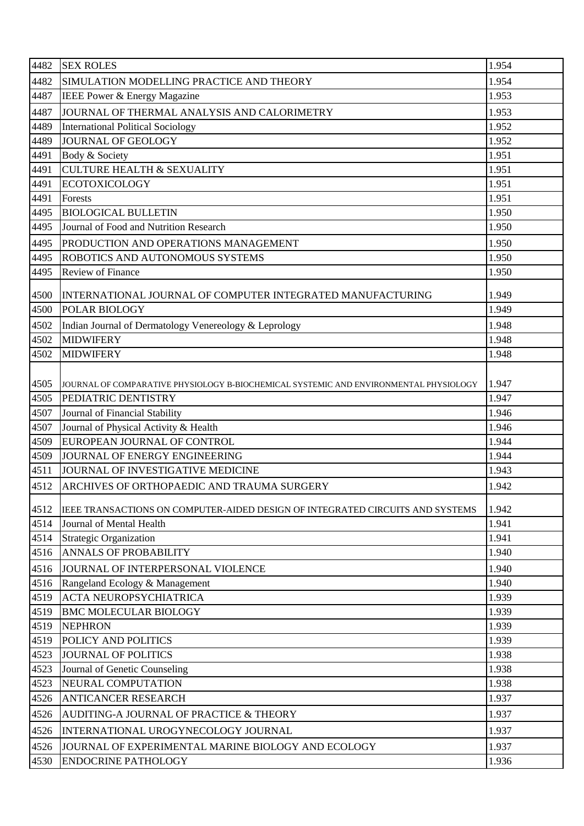| 4482 | <b>SEX ROLES</b>                                                                      | 1.954 |
|------|---------------------------------------------------------------------------------------|-------|
| 4482 | SIMULATION MODELLING PRACTICE AND THEORY                                              | 1.954 |
| 4487 | IEEE Power & Energy Magazine                                                          | 1.953 |
| 4487 | JOURNAL OF THERMAL ANALYSIS AND CALORIMETRY                                           | 1.953 |
| 4489 | <b>International Political Sociology</b>                                              | 1.952 |
| 4489 | <b>JOURNAL OF GEOLOGY</b>                                                             | 1.952 |
| 4491 | Body & Society                                                                        | 1.951 |
| 4491 | <b>CULTURE HEALTH &amp; SEXUALITY</b>                                                 | 1.951 |
| 4491 | <b>ECOTOXICOLOGY</b>                                                                  | 1.951 |
| 4491 | Forests                                                                               | 1.951 |
| 4495 | <b>BIOLOGICAL BULLETIN</b>                                                            | 1.950 |
| 4495 | Journal of Food and Nutrition Research                                                | 1.950 |
| 4495 | PRODUCTION AND OPERATIONS MANAGEMENT                                                  | 1.950 |
| 4495 | ROBOTICS AND AUTONOMOUS SYSTEMS                                                       | 1.950 |
| 4495 | <b>Review of Finance</b>                                                              | 1.950 |
| 4500 | INTERNATIONAL JOURNAL OF COMPUTER INTEGRATED MANUFACTURING                            | 1.949 |
| 4500 | POLAR BIOLOGY                                                                         | 1.949 |
| 4502 | Indian Journal of Dermatology Venereology & Leprology                                 | 1.948 |
| 4502 | <b>MIDWIFERY</b>                                                                      | 1.948 |
| 4502 | <b>MIDWIFERY</b>                                                                      | 1.948 |
| 4505 | JOURNAL OF COMPARATIVE PHYSIOLOGY B-BIOCHEMICAL SYSTEMIC AND ENVIRONMENTAL PHYSIOLOGY | 1.947 |
| 4505 | PEDIATRIC DENTISTRY                                                                   | 1.947 |
| 4507 | Journal of Financial Stability                                                        | 1.946 |
| 4507 | Journal of Physical Activity & Health                                                 | 1.946 |
| 4509 | EUROPEAN JOURNAL OF CONTROL                                                           | 1.944 |
| 4509 | JOURNAL OF ENERGY ENGINEERING                                                         | 1.944 |
| 4511 | JOURNAL OF INVESTIGATIVE MEDICINE                                                     | 1.943 |
| 4512 | ARCHIVES OF ORTHOPAEDIC AND TRAUMA SURGERY                                            | 1.942 |
| 4512 | IEEE TRANSACTIONS ON COMPUTER-AIDED DESIGN OF INTEGRATED CIRCUITS AND SYSTEMS         | 1.942 |
| 4514 | Journal of Mental Health                                                              | 1.941 |
| 4514 | <b>Strategic Organization</b>                                                         | 1.941 |
| 4516 | <b>ANNALS OF PROBABILITY</b>                                                          | 1.940 |
| 4516 | JOURNAL OF INTERPERSONAL VIOLENCE                                                     | 1.940 |
| 4516 | Rangeland Ecology & Management                                                        | 1.940 |
| 4519 | <b>ACTA NEUROPSYCHIATRICA</b>                                                         | 1.939 |
| 4519 | <b>BMC MOLECULAR BIOLOGY</b>                                                          | 1.939 |
| 4519 | <b>NEPHRON</b>                                                                        | 1.939 |
| 4519 | POLICY AND POLITICS                                                                   | 1.939 |
| 4523 | <b>JOURNAL OF POLITICS</b>                                                            | 1.938 |
| 4523 | Journal of Genetic Counseling                                                         | 1.938 |
| 4523 | NEURAL COMPUTATION                                                                    | 1.938 |
| 4526 | <b>ANTICANCER RESEARCH</b>                                                            | 1.937 |
| 4526 | AUDITING-A JOURNAL OF PRACTICE & THEORY                                               | 1.937 |
| 4526 | INTERNATIONAL UROGYNECOLOGY JOURNAL                                                   | 1.937 |
| 4526 | JOURNAL OF EXPERIMENTAL MARINE BIOLOGY AND ECOLOGY                                    | 1.937 |
| 4530 | <b>ENDOCRINE PATHOLOGY</b>                                                            | 1.936 |
|      |                                                                                       |       |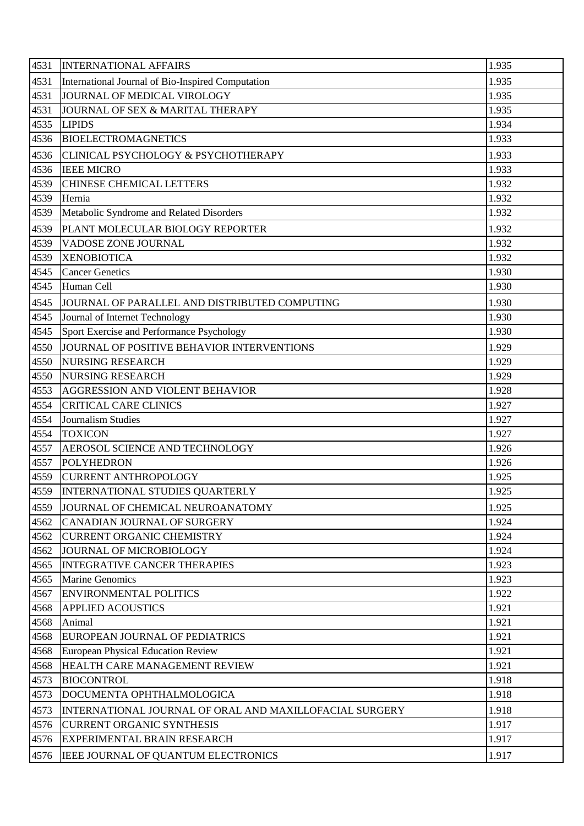| 4531<br>1.935<br>International Journal of Bio-Inspired Computation<br>4531<br>JOURNAL OF MEDICAL VIROLOGY<br>1.935<br>4531<br>JOURNAL OF SEX & MARITAL THERAPY<br>1.935<br>1.934<br>4535<br><b>LIPIDS</b><br><b>BIOELECTROMAGNETICS</b><br>4536<br>1.933<br>1.933<br>4536<br>CLINICAL PSYCHOLOGY & PSYCHOTHERAPY<br><b>IEEE MICRO</b><br>1.933<br>4536<br>4539<br>1.932<br>CHINESE CHEMICAL LETTERS<br>Hernia<br>1.932<br>4539<br>1.932<br>4539<br>Metabolic Syndrome and Related Disorders<br>4539<br>PLANT MOLECULAR BIOLOGY REPORTER<br>1.932<br>4539<br>VADOSE ZONE JOURNAL<br>1.932<br>4539<br><b>XENOBIOTICA</b><br>1.932<br>4545<br>1.930<br><b>Cancer Genetics</b><br>Human Cell<br>4545<br>1.930<br>4545<br>1.930<br>JOURNAL OF PARALLEL AND DISTRIBUTED COMPUTING<br>4545<br>1.930<br>Journal of Internet Technology<br>Sport Exercise and Performance Psychology<br>4545<br>1.930<br>4550<br>JOURNAL OF POSITIVE BEHAVIOR INTERVENTIONS<br>1.929<br>4550<br><b>NURSING RESEARCH</b><br>1.929<br>4550<br><b>NURSING RESEARCH</b><br>1.929<br>4553<br>1.928<br><b>AGGRESSION AND VIOLENT BEHAVIOR</b><br>4554<br><b>CRITICAL CARE CLINICS</b><br>1.927<br>4554<br>Journalism Studies<br>1.927<br>4554<br><b>TOXICON</b><br>1.927<br>4557<br>1.926<br>AEROSOL SCIENCE AND TECHNOLOGY<br><b>POLYHEDRON</b><br>4557<br>1.926<br>4559<br>1.925<br><b>CURRENT ANTHROPOLOGY</b><br>4559<br><b>INTERNATIONAL STUDIES QUARTERLY</b><br>1.925<br>JOURNAL OF CHEMICAL NEUROANATOMY<br>4559<br>1.925<br>1.924<br>4562<br><b>CANADIAN JOURNAL OF SURGERY</b><br>1.924<br>4562<br><b>CURRENT ORGANIC CHEMISTRY</b><br>1.924<br>4562<br>JOURNAL OF MICROBIOLOGY<br>4565<br><b>INTEGRATIVE CANCER THERAPIES</b><br>1.923<br>4565<br><b>Marine Genomics</b><br>1.923<br><b>ENVIRONMENTAL POLITICS</b><br>1.922<br>4567<br><b>APPLIED ACOUSTICS</b><br>1.921<br>4568<br>1.921<br>4568<br>Animal<br>4568<br><b>EUROPEAN JOURNAL OF PEDIATRICS</b><br>1.921<br>4568<br>European Physical Education Review<br>1.921<br>HEALTH CARE MANAGEMENT REVIEW<br>4568<br>1.921<br>1.918<br>4573<br><b>BIOCONTROL</b><br>DOCUMENTA OPHTHALMOLOGICA<br>4573<br>1.918<br>4573<br>1.918<br>INTERNATIONAL JOURNAL OF ORAL AND MAXILLOFACIAL SURGERY<br><b>CURRENT ORGANIC SYNTHESIS</b><br>1.917<br>4576<br>1.917<br>4576<br><b>EXPERIMENTAL BRAIN RESEARCH</b> | 4531 | <b>INTERNATIONAL AFFAIRS</b> | 1.935 |
|----------------------------------------------------------------------------------------------------------------------------------------------------------------------------------------------------------------------------------------------------------------------------------------------------------------------------------------------------------------------------------------------------------------------------------------------------------------------------------------------------------------------------------------------------------------------------------------------------------------------------------------------------------------------------------------------------------------------------------------------------------------------------------------------------------------------------------------------------------------------------------------------------------------------------------------------------------------------------------------------------------------------------------------------------------------------------------------------------------------------------------------------------------------------------------------------------------------------------------------------------------------------------------------------------------------------------------------------------------------------------------------------------------------------------------------------------------------------------------------------------------------------------------------------------------------------------------------------------------------------------------------------------------------------------------------------------------------------------------------------------------------------------------------------------------------------------------------------------------------------------------------------------------------------------------------------------------------------------------------------------------------------------------------------------------------------------------------------------------------------------------------------------------------------------------------------------------------------------------------------------------------------------------------------------------------------------------------|------|------------------------------|-------|
|                                                                                                                                                                                                                                                                                                                                                                                                                                                                                                                                                                                                                                                                                                                                                                                                                                                                                                                                                                                                                                                                                                                                                                                                                                                                                                                                                                                                                                                                                                                                                                                                                                                                                                                                                                                                                                                                                                                                                                                                                                                                                                                                                                                                                                                                                                                                        |      |                              |       |
|                                                                                                                                                                                                                                                                                                                                                                                                                                                                                                                                                                                                                                                                                                                                                                                                                                                                                                                                                                                                                                                                                                                                                                                                                                                                                                                                                                                                                                                                                                                                                                                                                                                                                                                                                                                                                                                                                                                                                                                                                                                                                                                                                                                                                                                                                                                                        |      |                              |       |
|                                                                                                                                                                                                                                                                                                                                                                                                                                                                                                                                                                                                                                                                                                                                                                                                                                                                                                                                                                                                                                                                                                                                                                                                                                                                                                                                                                                                                                                                                                                                                                                                                                                                                                                                                                                                                                                                                                                                                                                                                                                                                                                                                                                                                                                                                                                                        |      |                              |       |
|                                                                                                                                                                                                                                                                                                                                                                                                                                                                                                                                                                                                                                                                                                                                                                                                                                                                                                                                                                                                                                                                                                                                                                                                                                                                                                                                                                                                                                                                                                                                                                                                                                                                                                                                                                                                                                                                                                                                                                                                                                                                                                                                                                                                                                                                                                                                        |      |                              |       |
|                                                                                                                                                                                                                                                                                                                                                                                                                                                                                                                                                                                                                                                                                                                                                                                                                                                                                                                                                                                                                                                                                                                                                                                                                                                                                                                                                                                                                                                                                                                                                                                                                                                                                                                                                                                                                                                                                                                                                                                                                                                                                                                                                                                                                                                                                                                                        |      |                              |       |
|                                                                                                                                                                                                                                                                                                                                                                                                                                                                                                                                                                                                                                                                                                                                                                                                                                                                                                                                                                                                                                                                                                                                                                                                                                                                                                                                                                                                                                                                                                                                                                                                                                                                                                                                                                                                                                                                                                                                                                                                                                                                                                                                                                                                                                                                                                                                        |      |                              |       |
|                                                                                                                                                                                                                                                                                                                                                                                                                                                                                                                                                                                                                                                                                                                                                                                                                                                                                                                                                                                                                                                                                                                                                                                                                                                                                                                                                                                                                                                                                                                                                                                                                                                                                                                                                                                                                                                                                                                                                                                                                                                                                                                                                                                                                                                                                                                                        |      |                              |       |
|                                                                                                                                                                                                                                                                                                                                                                                                                                                                                                                                                                                                                                                                                                                                                                                                                                                                                                                                                                                                                                                                                                                                                                                                                                                                                                                                                                                                                                                                                                                                                                                                                                                                                                                                                                                                                                                                                                                                                                                                                                                                                                                                                                                                                                                                                                                                        |      |                              |       |
|                                                                                                                                                                                                                                                                                                                                                                                                                                                                                                                                                                                                                                                                                                                                                                                                                                                                                                                                                                                                                                                                                                                                                                                                                                                                                                                                                                                                                                                                                                                                                                                                                                                                                                                                                                                                                                                                                                                                                                                                                                                                                                                                                                                                                                                                                                                                        |      |                              |       |
|                                                                                                                                                                                                                                                                                                                                                                                                                                                                                                                                                                                                                                                                                                                                                                                                                                                                                                                                                                                                                                                                                                                                                                                                                                                                                                                                                                                                                                                                                                                                                                                                                                                                                                                                                                                                                                                                                                                                                                                                                                                                                                                                                                                                                                                                                                                                        |      |                              |       |
|                                                                                                                                                                                                                                                                                                                                                                                                                                                                                                                                                                                                                                                                                                                                                                                                                                                                                                                                                                                                                                                                                                                                                                                                                                                                                                                                                                                                                                                                                                                                                                                                                                                                                                                                                                                                                                                                                                                                                                                                                                                                                                                                                                                                                                                                                                                                        |      |                              |       |
|                                                                                                                                                                                                                                                                                                                                                                                                                                                                                                                                                                                                                                                                                                                                                                                                                                                                                                                                                                                                                                                                                                                                                                                                                                                                                                                                                                                                                                                                                                                                                                                                                                                                                                                                                                                                                                                                                                                                                                                                                                                                                                                                                                                                                                                                                                                                        |      |                              |       |
|                                                                                                                                                                                                                                                                                                                                                                                                                                                                                                                                                                                                                                                                                                                                                                                                                                                                                                                                                                                                                                                                                                                                                                                                                                                                                                                                                                                                                                                                                                                                                                                                                                                                                                                                                                                                                                                                                                                                                                                                                                                                                                                                                                                                                                                                                                                                        |      |                              |       |
|                                                                                                                                                                                                                                                                                                                                                                                                                                                                                                                                                                                                                                                                                                                                                                                                                                                                                                                                                                                                                                                                                                                                                                                                                                                                                                                                                                                                                                                                                                                                                                                                                                                                                                                                                                                                                                                                                                                                                                                                                                                                                                                                                                                                                                                                                                                                        |      |                              |       |
|                                                                                                                                                                                                                                                                                                                                                                                                                                                                                                                                                                                                                                                                                                                                                                                                                                                                                                                                                                                                                                                                                                                                                                                                                                                                                                                                                                                                                                                                                                                                                                                                                                                                                                                                                                                                                                                                                                                                                                                                                                                                                                                                                                                                                                                                                                                                        |      |                              |       |
|                                                                                                                                                                                                                                                                                                                                                                                                                                                                                                                                                                                                                                                                                                                                                                                                                                                                                                                                                                                                                                                                                                                                                                                                                                                                                                                                                                                                                                                                                                                                                                                                                                                                                                                                                                                                                                                                                                                                                                                                                                                                                                                                                                                                                                                                                                                                        |      |                              |       |
|                                                                                                                                                                                                                                                                                                                                                                                                                                                                                                                                                                                                                                                                                                                                                                                                                                                                                                                                                                                                                                                                                                                                                                                                                                                                                                                                                                                                                                                                                                                                                                                                                                                                                                                                                                                                                                                                                                                                                                                                                                                                                                                                                                                                                                                                                                                                        |      |                              |       |
|                                                                                                                                                                                                                                                                                                                                                                                                                                                                                                                                                                                                                                                                                                                                                                                                                                                                                                                                                                                                                                                                                                                                                                                                                                                                                                                                                                                                                                                                                                                                                                                                                                                                                                                                                                                                                                                                                                                                                                                                                                                                                                                                                                                                                                                                                                                                        |      |                              |       |
|                                                                                                                                                                                                                                                                                                                                                                                                                                                                                                                                                                                                                                                                                                                                                                                                                                                                                                                                                                                                                                                                                                                                                                                                                                                                                                                                                                                                                                                                                                                                                                                                                                                                                                                                                                                                                                                                                                                                                                                                                                                                                                                                                                                                                                                                                                                                        |      |                              |       |
|                                                                                                                                                                                                                                                                                                                                                                                                                                                                                                                                                                                                                                                                                                                                                                                                                                                                                                                                                                                                                                                                                                                                                                                                                                                                                                                                                                                                                                                                                                                                                                                                                                                                                                                                                                                                                                                                                                                                                                                                                                                                                                                                                                                                                                                                                                                                        |      |                              |       |
|                                                                                                                                                                                                                                                                                                                                                                                                                                                                                                                                                                                                                                                                                                                                                                                                                                                                                                                                                                                                                                                                                                                                                                                                                                                                                                                                                                                                                                                                                                                                                                                                                                                                                                                                                                                                                                                                                                                                                                                                                                                                                                                                                                                                                                                                                                                                        |      |                              |       |
|                                                                                                                                                                                                                                                                                                                                                                                                                                                                                                                                                                                                                                                                                                                                                                                                                                                                                                                                                                                                                                                                                                                                                                                                                                                                                                                                                                                                                                                                                                                                                                                                                                                                                                                                                                                                                                                                                                                                                                                                                                                                                                                                                                                                                                                                                                                                        |      |                              |       |
|                                                                                                                                                                                                                                                                                                                                                                                                                                                                                                                                                                                                                                                                                                                                                                                                                                                                                                                                                                                                                                                                                                                                                                                                                                                                                                                                                                                                                                                                                                                                                                                                                                                                                                                                                                                                                                                                                                                                                                                                                                                                                                                                                                                                                                                                                                                                        |      |                              |       |
|                                                                                                                                                                                                                                                                                                                                                                                                                                                                                                                                                                                                                                                                                                                                                                                                                                                                                                                                                                                                                                                                                                                                                                                                                                                                                                                                                                                                                                                                                                                                                                                                                                                                                                                                                                                                                                                                                                                                                                                                                                                                                                                                                                                                                                                                                                                                        |      |                              |       |
|                                                                                                                                                                                                                                                                                                                                                                                                                                                                                                                                                                                                                                                                                                                                                                                                                                                                                                                                                                                                                                                                                                                                                                                                                                                                                                                                                                                                                                                                                                                                                                                                                                                                                                                                                                                                                                                                                                                                                                                                                                                                                                                                                                                                                                                                                                                                        |      |                              |       |
|                                                                                                                                                                                                                                                                                                                                                                                                                                                                                                                                                                                                                                                                                                                                                                                                                                                                                                                                                                                                                                                                                                                                                                                                                                                                                                                                                                                                                                                                                                                                                                                                                                                                                                                                                                                                                                                                                                                                                                                                                                                                                                                                                                                                                                                                                                                                        |      |                              |       |
|                                                                                                                                                                                                                                                                                                                                                                                                                                                                                                                                                                                                                                                                                                                                                                                                                                                                                                                                                                                                                                                                                                                                                                                                                                                                                                                                                                                                                                                                                                                                                                                                                                                                                                                                                                                                                                                                                                                                                                                                                                                                                                                                                                                                                                                                                                                                        |      |                              |       |
|                                                                                                                                                                                                                                                                                                                                                                                                                                                                                                                                                                                                                                                                                                                                                                                                                                                                                                                                                                                                                                                                                                                                                                                                                                                                                                                                                                                                                                                                                                                                                                                                                                                                                                                                                                                                                                                                                                                                                                                                                                                                                                                                                                                                                                                                                                                                        |      |                              |       |
|                                                                                                                                                                                                                                                                                                                                                                                                                                                                                                                                                                                                                                                                                                                                                                                                                                                                                                                                                                                                                                                                                                                                                                                                                                                                                                                                                                                                                                                                                                                                                                                                                                                                                                                                                                                                                                                                                                                                                                                                                                                                                                                                                                                                                                                                                                                                        |      |                              |       |
|                                                                                                                                                                                                                                                                                                                                                                                                                                                                                                                                                                                                                                                                                                                                                                                                                                                                                                                                                                                                                                                                                                                                                                                                                                                                                                                                                                                                                                                                                                                                                                                                                                                                                                                                                                                                                                                                                                                                                                                                                                                                                                                                                                                                                                                                                                                                        |      |                              |       |
|                                                                                                                                                                                                                                                                                                                                                                                                                                                                                                                                                                                                                                                                                                                                                                                                                                                                                                                                                                                                                                                                                                                                                                                                                                                                                                                                                                                                                                                                                                                                                                                                                                                                                                                                                                                                                                                                                                                                                                                                                                                                                                                                                                                                                                                                                                                                        |      |                              |       |
|                                                                                                                                                                                                                                                                                                                                                                                                                                                                                                                                                                                                                                                                                                                                                                                                                                                                                                                                                                                                                                                                                                                                                                                                                                                                                                                                                                                                                                                                                                                                                                                                                                                                                                                                                                                                                                                                                                                                                                                                                                                                                                                                                                                                                                                                                                                                        |      |                              |       |
|                                                                                                                                                                                                                                                                                                                                                                                                                                                                                                                                                                                                                                                                                                                                                                                                                                                                                                                                                                                                                                                                                                                                                                                                                                                                                                                                                                                                                                                                                                                                                                                                                                                                                                                                                                                                                                                                                                                                                                                                                                                                                                                                                                                                                                                                                                                                        |      |                              |       |
|                                                                                                                                                                                                                                                                                                                                                                                                                                                                                                                                                                                                                                                                                                                                                                                                                                                                                                                                                                                                                                                                                                                                                                                                                                                                                                                                                                                                                                                                                                                                                                                                                                                                                                                                                                                                                                                                                                                                                                                                                                                                                                                                                                                                                                                                                                                                        |      |                              |       |
|                                                                                                                                                                                                                                                                                                                                                                                                                                                                                                                                                                                                                                                                                                                                                                                                                                                                                                                                                                                                                                                                                                                                                                                                                                                                                                                                                                                                                                                                                                                                                                                                                                                                                                                                                                                                                                                                                                                                                                                                                                                                                                                                                                                                                                                                                                                                        |      |                              |       |
|                                                                                                                                                                                                                                                                                                                                                                                                                                                                                                                                                                                                                                                                                                                                                                                                                                                                                                                                                                                                                                                                                                                                                                                                                                                                                                                                                                                                                                                                                                                                                                                                                                                                                                                                                                                                                                                                                                                                                                                                                                                                                                                                                                                                                                                                                                                                        |      |                              |       |
|                                                                                                                                                                                                                                                                                                                                                                                                                                                                                                                                                                                                                                                                                                                                                                                                                                                                                                                                                                                                                                                                                                                                                                                                                                                                                                                                                                                                                                                                                                                                                                                                                                                                                                                                                                                                                                                                                                                                                                                                                                                                                                                                                                                                                                                                                                                                        |      |                              |       |
|                                                                                                                                                                                                                                                                                                                                                                                                                                                                                                                                                                                                                                                                                                                                                                                                                                                                                                                                                                                                                                                                                                                                                                                                                                                                                                                                                                                                                                                                                                                                                                                                                                                                                                                                                                                                                                                                                                                                                                                                                                                                                                                                                                                                                                                                                                                                        |      |                              |       |
|                                                                                                                                                                                                                                                                                                                                                                                                                                                                                                                                                                                                                                                                                                                                                                                                                                                                                                                                                                                                                                                                                                                                                                                                                                                                                                                                                                                                                                                                                                                                                                                                                                                                                                                                                                                                                                                                                                                                                                                                                                                                                                                                                                                                                                                                                                                                        |      |                              |       |
|                                                                                                                                                                                                                                                                                                                                                                                                                                                                                                                                                                                                                                                                                                                                                                                                                                                                                                                                                                                                                                                                                                                                                                                                                                                                                                                                                                                                                                                                                                                                                                                                                                                                                                                                                                                                                                                                                                                                                                                                                                                                                                                                                                                                                                                                                                                                        |      |                              |       |
|                                                                                                                                                                                                                                                                                                                                                                                                                                                                                                                                                                                                                                                                                                                                                                                                                                                                                                                                                                                                                                                                                                                                                                                                                                                                                                                                                                                                                                                                                                                                                                                                                                                                                                                                                                                                                                                                                                                                                                                                                                                                                                                                                                                                                                                                                                                                        |      |                              |       |
|                                                                                                                                                                                                                                                                                                                                                                                                                                                                                                                                                                                                                                                                                                                                                                                                                                                                                                                                                                                                                                                                                                                                                                                                                                                                                                                                                                                                                                                                                                                                                                                                                                                                                                                                                                                                                                                                                                                                                                                                                                                                                                                                                                                                                                                                                                                                        |      |                              |       |
|                                                                                                                                                                                                                                                                                                                                                                                                                                                                                                                                                                                                                                                                                                                                                                                                                                                                                                                                                                                                                                                                                                                                                                                                                                                                                                                                                                                                                                                                                                                                                                                                                                                                                                                                                                                                                                                                                                                                                                                                                                                                                                                                                                                                                                                                                                                                        |      |                              |       |
|                                                                                                                                                                                                                                                                                                                                                                                                                                                                                                                                                                                                                                                                                                                                                                                                                                                                                                                                                                                                                                                                                                                                                                                                                                                                                                                                                                                                                                                                                                                                                                                                                                                                                                                                                                                                                                                                                                                                                                                                                                                                                                                                                                                                                                                                                                                                        |      |                              |       |
|                                                                                                                                                                                                                                                                                                                                                                                                                                                                                                                                                                                                                                                                                                                                                                                                                                                                                                                                                                                                                                                                                                                                                                                                                                                                                                                                                                                                                                                                                                                                                                                                                                                                                                                                                                                                                                                                                                                                                                                                                                                                                                                                                                                                                                                                                                                                        |      |                              |       |
|                                                                                                                                                                                                                                                                                                                                                                                                                                                                                                                                                                                                                                                                                                                                                                                                                                                                                                                                                                                                                                                                                                                                                                                                                                                                                                                                                                                                                                                                                                                                                                                                                                                                                                                                                                                                                                                                                                                                                                                                                                                                                                                                                                                                                                                                                                                                        |      |                              |       |
| 1.917<br>4576<br>IEEE JOURNAL OF QUANTUM ELECTRONICS                                                                                                                                                                                                                                                                                                                                                                                                                                                                                                                                                                                                                                                                                                                                                                                                                                                                                                                                                                                                                                                                                                                                                                                                                                                                                                                                                                                                                                                                                                                                                                                                                                                                                                                                                                                                                                                                                                                                                                                                                                                                                                                                                                                                                                                                                   |      |                              |       |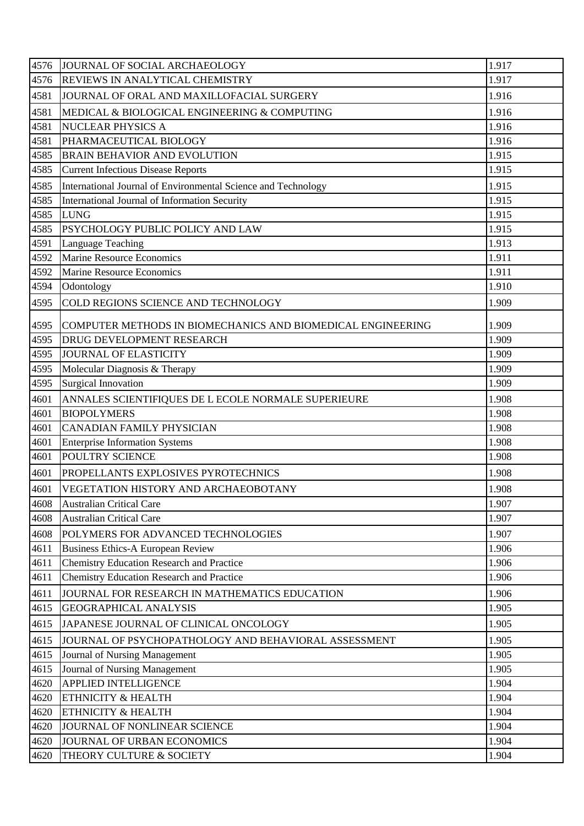| 4576 | JOURNAL OF SOCIAL ARCHAEOLOGY                                 | 1.917 |
|------|---------------------------------------------------------------|-------|
| 4576 | REVIEWS IN ANALYTICAL CHEMISTRY                               | 1.917 |
| 4581 | JOURNAL OF ORAL AND MAXILLOFACIAL SURGERY                     | 1.916 |
| 4581 | MEDICAL & BIOLOGICAL ENGINEERING & COMPUTING                  | 1.916 |
| 4581 | <b>NUCLEAR PHYSICS A</b>                                      | 1.916 |
| 4581 | PHARMACEUTICAL BIOLOGY                                        | 1.916 |
| 4585 | <b>BRAIN BEHAVIOR AND EVOLUTION</b>                           | 1.915 |
| 4585 | <b>Current Infectious Disease Reports</b>                     | 1.915 |
| 4585 | International Journal of Environmental Science and Technology | 1.915 |
| 4585 | International Journal of Information Security                 | 1.915 |
| 4585 | <b>LUNG</b>                                                   | 1.915 |
| 4585 | PSYCHOLOGY PUBLIC POLICY AND LAW                              | 1.915 |
| 4591 | Language Teaching                                             | 1.913 |
| 4592 | <b>Marine Resource Economics</b>                              | 1.911 |
| 4592 | <b>Marine Resource Economics</b>                              | 1.911 |
| 4594 | Odontology                                                    | 1.910 |
| 4595 | COLD REGIONS SCIENCE AND TECHNOLOGY                           | 1.909 |
| 4595 | COMPUTER METHODS IN BIOMECHANICS AND BIOMEDICAL ENGINEERING   | 1.909 |
| 4595 | DRUG DEVELOPMENT RESEARCH                                     | 1.909 |
| 4595 | JOURNAL OF ELASTICITY                                         | 1.909 |
| 4595 | Molecular Diagnosis & Therapy                                 | 1.909 |
| 4595 | <b>Surgical Innovation</b>                                    | 1.909 |
| 4601 | ANNALES SCIENTIFIQUES DE L ECOLE NORMALE SUPERIEURE           | 1.908 |
| 4601 | <b>BIOPOLYMERS</b>                                            | 1.908 |
| 4601 | <b>CANADIAN FAMILY PHYSICIAN</b>                              | 1.908 |
| 4601 | <b>Enterprise Information Systems</b>                         | 1.908 |
| 4601 | POULTRY SCIENCE                                               | 1.908 |
| 4601 | PROPELLANTS EXPLOSIVES PYROTECHNICS                           | 1.908 |
| 4601 | VEGETATION HISTORY AND ARCHAEOBOTANY                          | 1.908 |
| 4608 | <b>Australian Critical Care</b>                               | 1.907 |
| 4608 | <b>Australian Critical Care</b>                               | 1.907 |
| 4608 | POLYMERS FOR ADVANCED TECHNOLOGIES                            | 1.907 |
| 4611 | <b>Business Ethics-A European Review</b>                      | 1.906 |
| 4611 | <b>Chemistry Education Research and Practice</b>              | 1.906 |
| 4611 | Chemistry Education Research and Practice                     | 1.906 |
| 4611 | JOURNAL FOR RESEARCH IN MATHEMATICS EDUCATION                 | 1.906 |
| 4615 | <b>GEOGRAPHICAL ANALYSIS</b>                                  | 1.905 |
| 4615 | JAPANESE JOURNAL OF CLINICAL ONCOLOGY                         | 1.905 |
| 4615 | JOURNAL OF PSYCHOPATHOLOGY AND BEHAVIORAL ASSESSMENT          | 1.905 |
| 4615 | Journal of Nursing Management                                 | 1.905 |
| 4615 | Journal of Nursing Management                                 | 1.905 |
| 4620 | <b>APPLIED INTELLIGENCE</b>                                   | 1.904 |
| 4620 | ETHNICITY & HEALTH                                            | 1.904 |
| 4620 | ETHNICITY & HEALTH                                            | 1.904 |
| 4620 | JOURNAL OF NONLINEAR SCIENCE                                  | 1.904 |
| 4620 | JOURNAL OF URBAN ECONOMICS                                    | 1.904 |
| 4620 | THEORY CULTURE & SOCIETY                                      | 1.904 |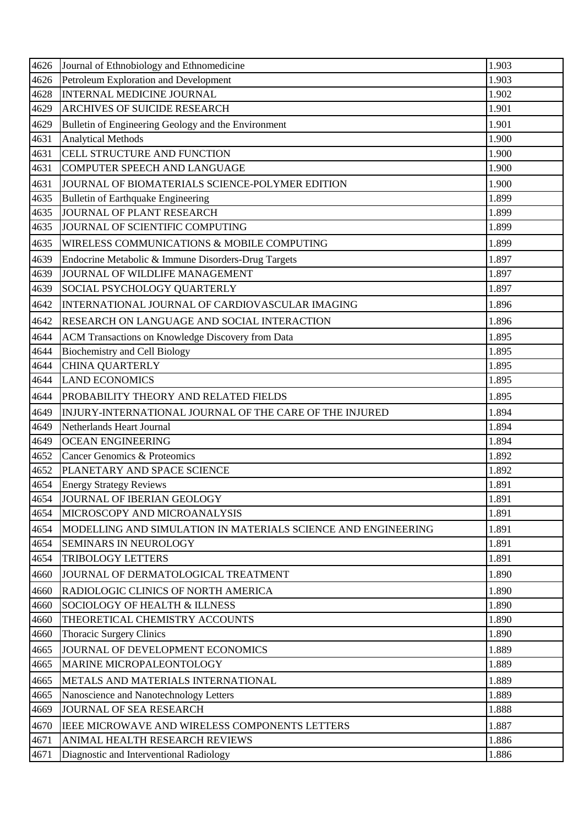| 4626 | Journal of Ethnobiology and Ethnomedicine                     | 1.903 |
|------|---------------------------------------------------------------|-------|
| 4626 | Petroleum Exploration and Development                         | 1.903 |
| 4628 | <b>INTERNAL MEDICINE JOURNAL</b>                              | 1.902 |
| 4629 | <b>ARCHIVES OF SUICIDE RESEARCH</b>                           | 1.901 |
| 4629 | Bulletin of Engineering Geology and the Environment           | 1.901 |
| 4631 | <b>Analytical Methods</b>                                     | 1.900 |
| 4631 | CELL STRUCTURE AND FUNCTION                                   | 1.900 |
| 4631 | <b>COMPUTER SPEECH AND LANGUAGE</b>                           | 1.900 |
| 4631 | JOURNAL OF BIOMATERIALS SCIENCE-POLYMER EDITION               | 1.900 |
| 4635 | <b>Bulletin of Earthquake Engineering</b>                     | 1.899 |
| 4635 | JOURNAL OF PLANT RESEARCH                                     | 1.899 |
| 4635 | JOURNAL OF SCIENTIFIC COMPUTING                               | 1.899 |
| 4635 | WIRELESS COMMUNICATIONS & MOBILE COMPUTING                    | 1.899 |
| 4639 | Endocrine Metabolic & Immune Disorders-Drug Targets           | 1.897 |
| 4639 | JOURNAL OF WILDLIFE MANAGEMENT                                | 1.897 |
| 4639 | SOCIAL PSYCHOLOGY QUARTERLY                                   | 1.897 |
| 4642 | INTERNATIONAL JOURNAL OF CARDIOVASCULAR IMAGING               | 1.896 |
| 4642 | RESEARCH ON LANGUAGE AND SOCIAL INTERACTION                   | 1.896 |
| 4644 | ACM Transactions on Knowledge Discovery from Data             | 1.895 |
| 4644 | <b>Biochemistry and Cell Biology</b>                          | 1.895 |
| 4644 | <b>CHINA QUARTERLY</b>                                        | 1.895 |
| 4644 | <b>LAND ECONOMICS</b>                                         | 1.895 |
| 4644 | PROBABILITY THEORY AND RELATED FIELDS                         | 1.895 |
| 4649 | INJURY-INTERNATIONAL JOURNAL OF THE CARE OF THE INJURED       | 1.894 |
| 4649 | Netherlands Heart Journal                                     | 1.894 |
| 4649 | <b>OCEAN ENGINEERING</b>                                      | 1.894 |
| 4652 | <b>Cancer Genomics &amp; Proteomics</b>                       | 1.892 |
| 4652 | PLANETARY AND SPACE SCIENCE                                   | 1.892 |
| 4654 | <b>Energy Strategy Reviews</b>                                | 1.891 |
| 4654 | JOURNAL OF IBERIAN GEOLOGY                                    | 1.891 |
| 4654 | MICROSCOPY AND MICROANALYSIS                                  | 1.891 |
| 4654 | MODELLING AND SIMULATION IN MATERIALS SCIENCE AND ENGINEERING | 1.891 |
| 4654 | <b>SEMINARS IN NEUROLOGY</b>                                  | 1.891 |
| 4654 | <b>TRIBOLOGY LETTERS</b>                                      | 1.891 |
| 4660 | JOURNAL OF DERMATOLOGICAL TREATMENT                           | 1.890 |
| 4660 | RADIOLOGIC CLINICS OF NORTH AMERICA                           | 1.890 |
| 4660 | SOCIOLOGY OF HEALTH & ILLNESS                                 | 1.890 |
| 4660 | THEORETICAL CHEMISTRY ACCOUNTS                                | 1.890 |
| 4660 | <b>Thoracic Surgery Clinics</b>                               | 1.890 |
| 4665 | JOURNAL OF DEVELOPMENT ECONOMICS                              | 1.889 |
| 4665 | MARINE MICROPALEONTOLOGY                                      | 1.889 |
| 4665 | METALS AND MATERIALS INTERNATIONAL                            | 1.889 |
| 4665 | Nanoscience and Nanotechnology Letters                        | 1.889 |
| 4669 | <b>JOURNAL OF SEA RESEARCH</b>                                | 1.888 |
| 4670 | IEEE MICROWAVE AND WIRELESS COMPONENTS LETTERS                | 1.887 |
| 4671 | ANIMAL HEALTH RESEARCH REVIEWS                                | 1.886 |
| 4671 | Diagnostic and Interventional Radiology                       | 1.886 |
|      |                                                               |       |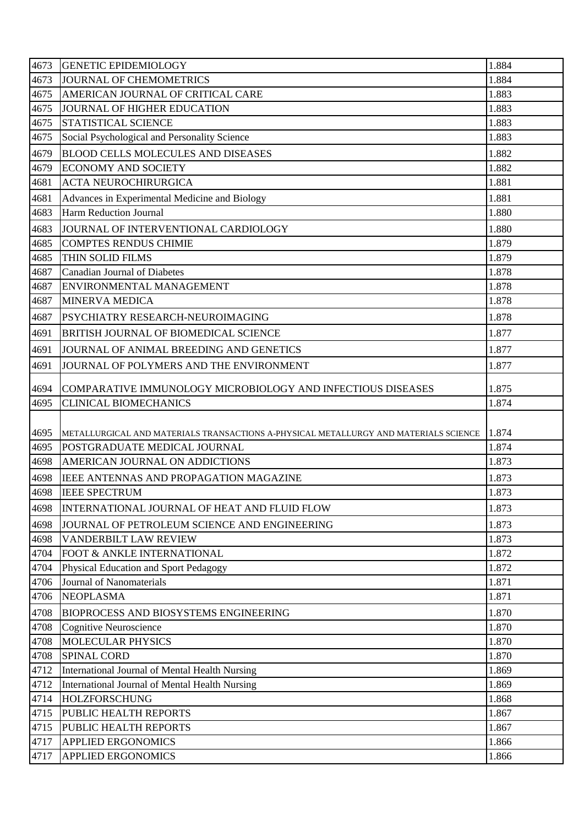| 4673 | <b>GENETIC EPIDEMIOLOGY</b>                                                          | 1.884 |
|------|--------------------------------------------------------------------------------------|-------|
| 4673 | JOURNAL OF CHEMOMETRICS                                                              | 1.884 |
| 4675 | AMERICAN JOURNAL OF CRITICAL CARE                                                    | 1.883 |
| 4675 | JOURNAL OF HIGHER EDUCATION                                                          | 1.883 |
| 4675 | <b>STATISTICAL SCIENCE</b>                                                           | 1.883 |
| 4675 | Social Psychological and Personality Science                                         | 1.883 |
| 4679 | <b>BLOOD CELLS MOLECULES AND DISEASES</b>                                            | 1.882 |
| 4679 | <b>ECONOMY AND SOCIETY</b>                                                           | 1.882 |
| 4681 | <b>ACTA NEUROCHIRURGICA</b>                                                          | 1.881 |
| 4681 | Advances in Experimental Medicine and Biology                                        | 1.881 |
| 4683 | Harm Reduction Journal                                                               | 1.880 |
| 4683 | JOURNAL OF INTERVENTIONAL CARDIOLOGY                                                 | 1.880 |
| 4685 | <b>COMPTES RENDUS CHIMIE</b>                                                         | 1.879 |
| 4685 | THIN SOLID FILMS                                                                     | 1.879 |
| 4687 | <b>Canadian Journal of Diabetes</b>                                                  | 1.878 |
| 4687 | ENVIRONMENTAL MANAGEMENT                                                             | 1.878 |
| 4687 | <b>MINERVA MEDICA</b>                                                                | 1.878 |
| 4687 | PSYCHIATRY RESEARCH-NEUROIMAGING                                                     | 1.878 |
| 4691 | <b>BRITISH JOURNAL OF BIOMEDICAL SCIENCE</b>                                         | 1.877 |
| 4691 | JOURNAL OF ANIMAL BREEDING AND GENETICS                                              | 1.877 |
| 4691 | JOURNAL OF POLYMERS AND THE ENVIRONMENT                                              | 1.877 |
| 4694 | COMPARATIVE IMMUNOLOGY MICROBIOLOGY AND INFECTIOUS DISEASES                          | 1.875 |
| 4695 | <b>CLINICAL BIOMECHANICS</b>                                                         | 1.874 |
|      |                                                                                      |       |
| 4695 | METALLURGICAL AND MATERIALS TRANSACTIONS A-PHYSICAL METALLURGY AND MATERIALS SCIENCE | 1.874 |
| 4695 | POSTGRADUATE MEDICAL JOURNAL                                                         | 1.874 |
| 4698 | AMERICAN JOURNAL ON ADDICTIONS                                                       | 1.873 |
| 4698 | <b>IEEE ANTENNAS AND PROPAGATION MAGAZINE</b>                                        | 1.873 |
| 4698 | <b>IEEE SPECTRUM</b>                                                                 | 1.873 |
| 4698 | INTERNATIONAL JOURNAL OF HEAT AND FLUID FLOW                                         | 1.873 |
| 4698 | JOURNAL OF PETROLEUM SCIENCE AND ENGINEERING                                         | 1.873 |
| 4698 | VANDERBILT LAW REVIEW                                                                | 1.873 |
| 4704 | FOOT & ANKLE INTERNATIONAL                                                           | 1.872 |
| 4704 | Physical Education and Sport Pedagogy                                                | 1.872 |
| 4706 | Journal of Nanomaterials                                                             | 1.871 |
| 4706 | <b>NEOPLASMA</b>                                                                     | 1.871 |
| 4708 | <b>BIOPROCESS AND BIOSYSTEMS ENGINEERING</b>                                         | 1.870 |
| 4708 | Cognitive Neuroscience                                                               | 1.870 |
| 4708 | MOLECULAR PHYSICS                                                                    | 1.870 |
| 4708 | <b>SPINAL CORD</b>                                                                   | 1.870 |
| 4712 | International Journal of Mental Health Nursing                                       | 1.869 |
| 4712 | International Journal of Mental Health Nursing                                       | 1.869 |
| 4714 | <b>HOLZFORSCHUNG</b>                                                                 | 1.868 |
| 4715 | PUBLIC HEALTH REPORTS                                                                | 1.867 |
| 4715 | PUBLIC HEALTH REPORTS                                                                | 1.867 |
| 4717 | <b>APPLIED ERGONOMICS</b>                                                            | 1.866 |
| 4717 | <b>APPLIED ERGONOMICS</b>                                                            | 1.866 |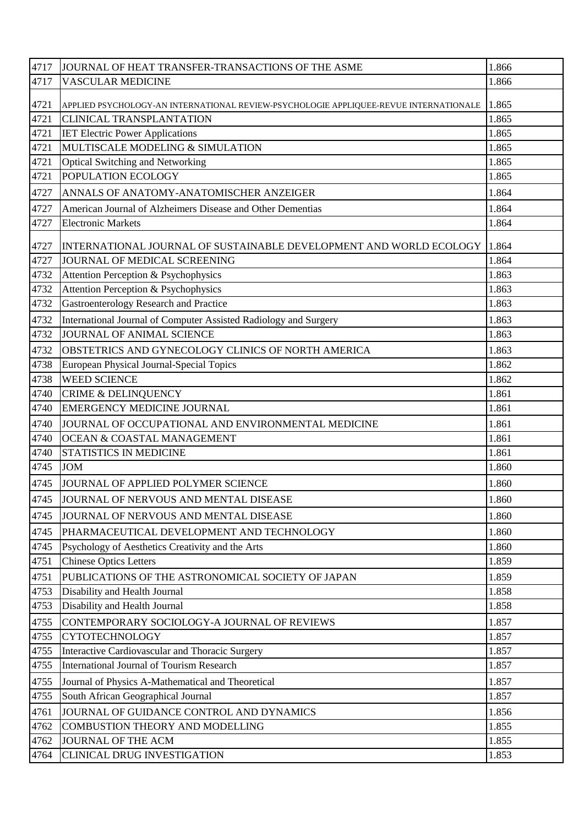| 4717 | JOURNAL OF HEAT TRANSFER-TRANSACTIONS OF THE ASME                                     | 1.866 |
|------|---------------------------------------------------------------------------------------|-------|
| 4717 | <b>VASCULAR MEDICINE</b>                                                              | 1.866 |
| 4721 | APPLIED PSYCHOLOGY-AN INTERNATIONAL REVIEW-PSYCHOLOGIE APPLIQUEE-REVUE INTERNATIONALE | 1.865 |
| 4721 | <b>CLINICAL TRANSPLANTATION</b>                                                       | 1.865 |
| 4721 | <b>IET Electric Power Applications</b>                                                | 1.865 |
| 4721 | MULTISCALE MODELING & SIMULATION                                                      | 1.865 |
| 4721 | Optical Switching and Networking                                                      | 1.865 |
| 4721 | POPULATION ECOLOGY                                                                    | 1.865 |
| 4727 | ANNALS OF ANATOMY-ANATOMISCHER ANZEIGER                                               | 1.864 |
| 4727 | American Journal of Alzheimers Disease and Other Dementias                            | 1.864 |
| 4727 | <b>Electronic Markets</b>                                                             | 1.864 |
| 4727 | INTERNATIONAL JOURNAL OF SUSTAINABLE DEVELOPMENT AND WORLD ECOLOGY   1.864            |       |
| 4727 | JOURNAL OF MEDICAL SCREENING                                                          | 1.864 |
| 4732 | Attention Perception & Psychophysics                                                  | 1.863 |
| 4732 | Attention Perception & Psychophysics                                                  | 1.863 |
| 4732 | Gastroenterology Research and Practice                                                | 1.863 |
| 4732 | International Journal of Computer Assisted Radiology and Surgery                      | 1.863 |
| 4732 | <b>JOURNAL OF ANIMAL SCIENCE</b>                                                      | 1.863 |
| 4732 | OBSTETRICS AND GYNECOLOGY CLINICS OF NORTH AMERICA                                    | 1.863 |
| 4738 | European Physical Journal-Special Topics                                              | 1.862 |
| 4738 | <b>WEED SCIENCE</b>                                                                   | 1.862 |
| 4740 | <b>CRIME &amp; DELINQUENCY</b>                                                        | 1.861 |
| 4740 | <b>EMERGENCY MEDICINE JOURNAL</b>                                                     | 1.861 |
| 4740 | JOURNAL OF OCCUPATIONAL AND ENVIRONMENTAL MEDICINE                                    | 1.861 |
| 4740 | <b>OCEAN &amp; COASTAL MANAGEMENT</b>                                                 | 1.861 |
| 4740 | STATISTICS IN MEDICINE                                                                | 1.861 |
| 4745 | <b>JOM</b>                                                                            | 1.860 |
| 4745 | JOURNAL OF APPLIED POLYMER SCIENCE                                                    | 1.860 |
| 4745 | JOURNAL OF NERVOUS AND MENTAL DISEASE                                                 | 1.860 |
| 4745 | JOURNAL OF NERVOUS AND MENTAL DISEASE                                                 | 1.860 |
| 4745 | PHARMACEUTICAL DEVELOPMENT AND TECHNOLOGY                                             | 1.860 |
| 4745 | Psychology of Aesthetics Creativity and the Arts                                      | 1.860 |
| 4751 | <b>Chinese Optics Letters</b>                                                         | 1.859 |
| 4751 | PUBLICATIONS OF THE ASTRONOMICAL SOCIETY OF JAPAN                                     | 1.859 |
| 4753 | Disability and Health Journal                                                         | 1.858 |
| 4753 | Disability and Health Journal                                                         | 1.858 |
| 4755 | CONTEMPORARY SOCIOLOGY-A JOURNAL OF REVIEWS                                           | 1.857 |
| 4755 | <b>CYTOTECHNOLOGY</b>                                                                 | 1.857 |
| 4755 | Interactive Cardiovascular and Thoracic Surgery                                       | 1.857 |
| 4755 | <b>International Journal of Tourism Research</b>                                      | 1.857 |
| 4755 | Journal of Physics A-Mathematical and Theoretical                                     | 1.857 |
| 4755 | South African Geographical Journal                                                    | 1.857 |
| 4761 | JOURNAL OF GUIDANCE CONTROL AND DYNAMICS                                              | 1.856 |
| 4762 | COMBUSTION THEORY AND MODELLING                                                       | 1.855 |
| 4762 | JOURNAL OF THE ACM                                                                    | 1.855 |
| 4764 | <b>CLINICAL DRUG INVESTIGATION</b>                                                    | 1.853 |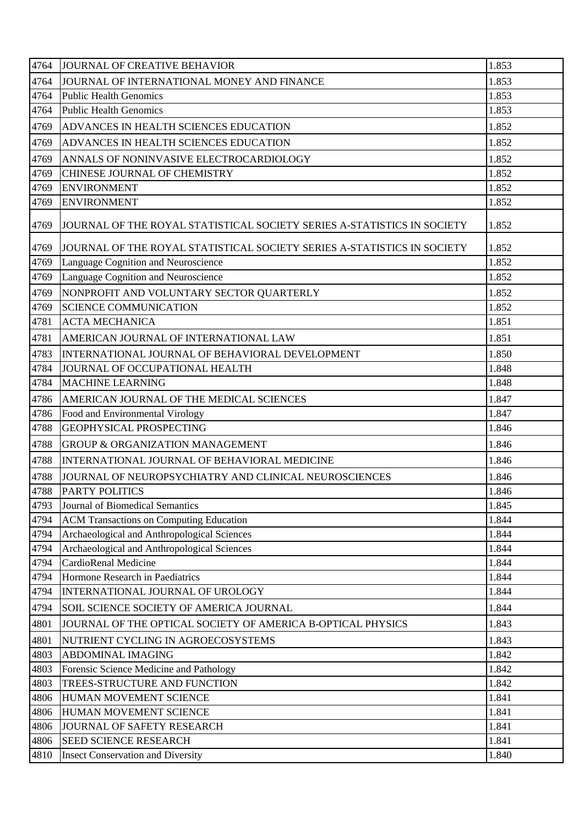| 4764 | JOURNAL OF CREATIVE BEHAVIOR                                            | 1.853 |
|------|-------------------------------------------------------------------------|-------|
| 4764 | JOURNAL OF INTERNATIONAL MONEY AND FINANCE                              | 1.853 |
| 4764 | <b>Public Health Genomics</b>                                           | 1.853 |
| 4764 | <b>Public Health Genomics</b>                                           | 1.853 |
| 4769 | ADVANCES IN HEALTH SCIENCES EDUCATION                                   | 1.852 |
| 4769 | ADVANCES IN HEALTH SCIENCES EDUCATION                                   | 1.852 |
| 4769 | ANNALS OF NONINVASIVE ELECTROCARDIOLOGY                                 | 1.852 |
| 4769 | CHINESE JOURNAL OF CHEMISTRY                                            | 1.852 |
| 4769 | <b>ENVIRONMENT</b>                                                      | 1.852 |
| 4769 | <b>ENVIRONMENT</b>                                                      | 1.852 |
| 4769 | JOURNAL OF THE ROYAL STATISTICAL SOCIETY SERIES A-STATISTICS IN SOCIETY | 1.852 |
| 4769 | JOURNAL OF THE ROYAL STATISTICAL SOCIETY SERIES A-STATISTICS IN SOCIETY | 1.852 |
| 4769 | Language Cognition and Neuroscience                                     | 1.852 |
| 4769 | Language Cognition and Neuroscience                                     | 1.852 |
| 4769 | NONPROFIT AND VOLUNTARY SECTOR QUARTERLY                                | 1.852 |
| 4769 | <b>SCIENCE COMMUNICATION</b>                                            | 1.852 |
| 4781 | <b>ACTA MECHANICA</b>                                                   | 1.851 |
| 4781 | AMERICAN JOURNAL OF INTERNATIONAL LAW                                   | 1.851 |
| 4783 | INTERNATIONAL JOURNAL OF BEHAVIORAL DEVELOPMENT                         | 1.850 |
| 4784 | JOURNAL OF OCCUPATIONAL HEALTH                                          | 1.848 |
| 4784 | <b>MACHINE LEARNING</b>                                                 | 1.848 |
| 4786 | AMERICAN JOURNAL OF THE MEDICAL SCIENCES                                | 1.847 |
| 4786 | Food and Environmental Virology                                         | 1.847 |
| 4788 | <b>GEOPHYSICAL PROSPECTING</b>                                          | 1.846 |
| 4788 | <b>GROUP &amp; ORGANIZATION MANAGEMENT</b>                              | 1.846 |
| 4788 | INTERNATIONAL JOURNAL OF BEHAVIORAL MEDICINE                            | 1.846 |
| 4788 | JOURNAL OF NEUROPSYCHIATRY AND CLINICAL NEUROSCIENCES                   | 1.846 |
| 4788 | <b>PARTY POLITICS</b>                                                   | 1.846 |
| 4793 | Journal of Biomedical Semantics                                         | 1.845 |
| 4794 | <b>ACM Transactions on Computing Education</b>                          | 1.844 |
| 4794 | Archaeological and Anthropological Sciences                             | 1.844 |
| 4794 | Archaeological and Anthropological Sciences                             | 1.844 |
| 4794 | CardioRenal Medicine                                                    | 1.844 |
| 4794 | Hormone Research in Paediatrics                                         | 1.844 |
| 4794 | INTERNATIONAL JOURNAL OF UROLOGY                                        | 1.844 |
| 4794 | SOIL SCIENCE SOCIETY OF AMERICA JOURNAL                                 | 1.844 |
| 4801 | JOURNAL OF THE OPTICAL SOCIETY OF AMERICA B-OPTICAL PHYSICS             | 1.843 |
| 4801 | NUTRIENT CYCLING IN AGROECOSYSTEMS                                      | 1.843 |
| 4803 | <b>ABDOMINAL IMAGING</b>                                                | 1.842 |
| 4803 | Forensic Science Medicine and Pathology                                 | 1.842 |
| 4803 | TREES-STRUCTURE AND FUNCTION                                            | 1.842 |
| 4806 | HUMAN MOVEMENT SCIENCE                                                  | 1.841 |
| 4806 | HUMAN MOVEMENT SCIENCE                                                  | 1.841 |
| 4806 | JOURNAL OF SAFETY RESEARCH                                              | 1.841 |
| 4806 | <b>SEED SCIENCE RESEARCH</b>                                            | 1.841 |
| 4810 | <b>Insect Conservation and Diversity</b>                                | 1.840 |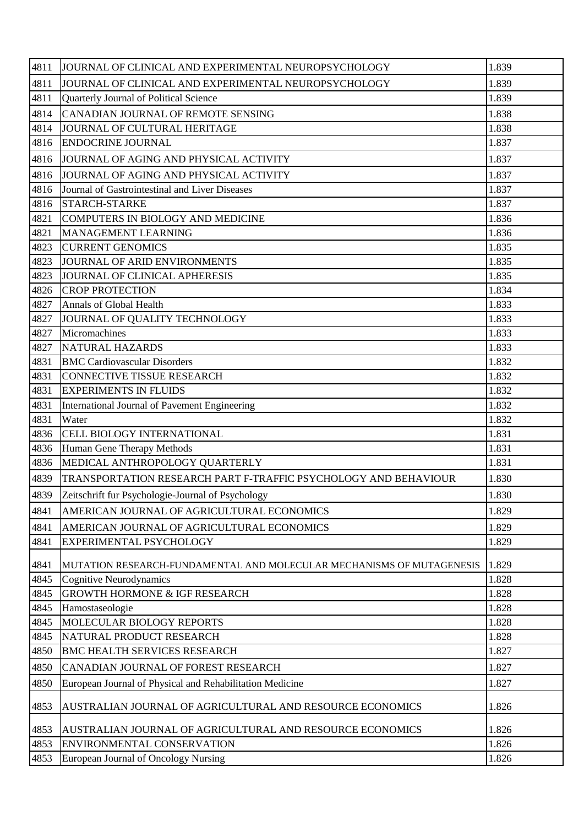| 4811 | JOURNAL OF CLINICAL AND EXPERIMENTAL NEUROPSYCHOLOGY                  | 1.839 |
|------|-----------------------------------------------------------------------|-------|
| 4811 | JOURNAL OF CLINICAL AND EXPERIMENTAL NEUROPSYCHOLOGY                  | 1.839 |
| 4811 | Quarterly Journal of Political Science                                | 1.839 |
| 4814 | CANADIAN JOURNAL OF REMOTE SENSING                                    | 1.838 |
| 4814 | JOURNAL OF CULTURAL HERITAGE                                          | 1.838 |
| 4816 | <b>ENDOCRINE JOURNAL</b>                                              | 1.837 |
| 4816 | JOURNAL OF AGING AND PHYSICAL ACTIVITY                                | 1.837 |
| 4816 | JOURNAL OF AGING AND PHYSICAL ACTIVITY                                | 1.837 |
| 4816 | Journal of Gastrointestinal and Liver Diseases                        | 1.837 |
| 4816 | <b>STARCH-STARKE</b>                                                  | 1.837 |
| 4821 | COMPUTERS IN BIOLOGY AND MEDICINE                                     | 1.836 |
| 4821 | MANAGEMENT LEARNING                                                   | 1.836 |
| 4823 | <b>CURRENT GENOMICS</b>                                               | 1.835 |
| 4823 | JOURNAL OF ARID ENVIRONMENTS                                          | 1.835 |
| 4823 | JOURNAL OF CLINICAL APHERESIS                                         | 1.835 |
| 4826 | <b>CROP PROTECTION</b>                                                | 1.834 |
| 4827 | Annals of Global Health                                               | 1.833 |
| 4827 | JOURNAL OF QUALITY TECHNOLOGY                                         | 1.833 |
| 4827 | Micromachines                                                         | 1.833 |
| 4827 | <b>NATURAL HAZARDS</b>                                                | 1.833 |
| 4831 | <b>BMC Cardiovascular Disorders</b>                                   | 1.832 |
| 4831 | <b>CONNECTIVE TISSUE RESEARCH</b>                                     | 1.832 |
| 4831 | <b>EXPERIMENTS IN FLUIDS</b>                                          | 1.832 |
| 4831 | International Journal of Pavement Engineering                         | 1.832 |
| 4831 | Water                                                                 | 1.832 |
| 4836 | <b>CELL BIOLOGY INTERNATIONAL</b>                                     | 1.831 |
| 4836 | Human Gene Therapy Methods                                            | 1.831 |
| 4836 | MEDICAL ANTHROPOLOGY QUARTERLY                                        | 1.831 |
| 4839 | TRANSPORTATION RESEARCH PART F-TRAFFIC PSYCHOLOGY AND BEHAVIOUR       | 1.830 |
| 4839 | Zeitschrift fur Psychologie-Journal of Psychology                     | 1.830 |
| 4841 | AMERICAN JOURNAL OF AGRICULTURAL ECONOMICS                            | 1.829 |
| 4841 | AMERICAN JOURNAL OF AGRICULTURAL ECONOMICS                            | 1.829 |
| 4841 | EXPERIMENTAL PSYCHOLOGY                                               | 1.829 |
| 4841 | MUTATION RESEARCH-FUNDAMENTAL AND MOLECULAR MECHANISMS OF MUTAGENESIS | 1.829 |
| 4845 | Cognitive Neurodynamics                                               | 1.828 |
| 4845 | <b>GROWTH HORMONE &amp; IGF RESEARCH</b>                              | 1.828 |
| 4845 | Hamostaseologie                                                       | 1.828 |
| 4845 | MOLECULAR BIOLOGY REPORTS                                             | 1.828 |
| 4845 | NATURAL PRODUCT RESEARCH                                              | 1.828 |
| 4850 | <b>BMC HEALTH SERVICES RESEARCH</b>                                   | 1.827 |
| 4850 | CANADIAN JOURNAL OF FOREST RESEARCH                                   | 1.827 |
| 4850 | European Journal of Physical and Rehabilitation Medicine              | 1.827 |
| 4853 | AUSTRALIAN JOURNAL OF AGRICULTURAL AND RESOURCE ECONOMICS             | 1.826 |
| 4853 | AUSTRALIAN JOURNAL OF AGRICULTURAL AND RESOURCE ECONOMICS             | 1.826 |
| 4853 | ENVIRONMENTAL CONSERVATION                                            | 1.826 |
| 4853 | European Journal of Oncology Nursing                                  | 1.826 |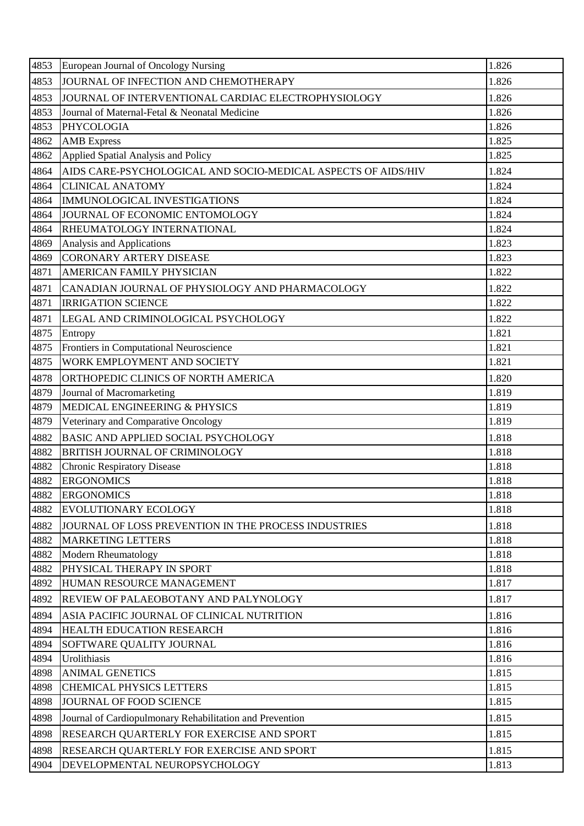| 4853 | European Journal of Oncology Nursing                          | 1.826 |
|------|---------------------------------------------------------------|-------|
| 4853 | JOURNAL OF INFECTION AND CHEMOTHERAPY                         | 1.826 |
| 4853 | JOURNAL OF INTERVENTIONAL CARDIAC ELECTROPHYSIOLOGY           | 1.826 |
| 4853 | Journal of Maternal-Fetal & Neonatal Medicine                 | 1.826 |
| 4853 | PHYCOLOGIA                                                    | 1.826 |
| 4862 | <b>AMB</b> Express                                            | 1.825 |
| 4862 | Applied Spatial Analysis and Policy                           | 1.825 |
| 4864 | AIDS CARE-PSYCHOLOGICAL AND SOCIO-MEDICAL ASPECTS OF AIDS/HIV | 1.824 |
| 4864 | <b>CLINICAL ANATOMY</b>                                       | 1.824 |
| 4864 | IMMUNOLOGICAL INVESTIGATIONS                                  | 1.824 |
| 4864 | JOURNAL OF ECONOMIC ENTOMOLOGY                                | 1.824 |
| 4864 | RHEUMATOLOGY INTERNATIONAL                                    | 1.824 |
| 4869 | Analysis and Applications                                     | 1.823 |
| 4869 | <b>CORONARY ARTERY DISEASE</b>                                | 1.823 |
| 4871 | AMERICAN FAMILY PHYSICIAN                                     | 1.822 |
| 4871 | CANADIAN JOURNAL OF PHYSIOLOGY AND PHARMACOLOGY               | 1.822 |
| 4871 | <b>IRRIGATION SCIENCE</b>                                     | 1.822 |
| 4871 | LEGAL AND CRIMINOLOGICAL PSYCHOLOGY                           | 1.822 |
| 4875 | Entropy                                                       | 1.821 |
| 4875 | Frontiers in Computational Neuroscience                       | 1.821 |
| 4875 | WORK EMPLOYMENT AND SOCIETY                                   | 1.821 |
| 4878 | ORTHOPEDIC CLINICS OF NORTH AMERICA                           | 1.820 |
| 4879 | Journal of Macromarketing                                     | 1.819 |
| 4879 | MEDICAL ENGINEERING & PHYSICS                                 | 1.819 |
| 4879 | Veterinary and Comparative Oncology                           | 1.819 |
| 4882 | BASIC AND APPLIED SOCIAL PSYCHOLOGY                           | 1.818 |
| 4882 | BRITISH JOURNAL OF CRIMINOLOGY                                | 1.818 |
| 4882 | <b>Chronic Respiratory Disease</b>                            | 1.818 |
| 4882 | <b>ERGONOMICS</b>                                             | 1.818 |
| 4882 | <b>ERGONOMICS</b>                                             | 1.818 |
| 4882 | <b>EVOLUTIONARY ECOLOGY</b>                                   | 1.818 |
| 4882 | JOURNAL OF LOSS PREVENTION IN THE PROCESS INDUSTRIES          | 1.818 |
| 4882 | <b>MARKETING LETTERS</b>                                      | 1.818 |
| 4882 | <b>Modern Rheumatology</b>                                    | 1.818 |
| 4882 | PHYSICAL THERAPY IN SPORT                                     | 1.818 |
| 4892 | HUMAN RESOURCE MANAGEMENT                                     | 1.817 |
| 4892 | REVIEW OF PALAEOBOTANY AND PALYNOLOGY                         | 1.817 |
| 4894 | ASIA PACIFIC JOURNAL OF CLINICAL NUTRITION                    | 1.816 |
| 4894 | <b>HEALTH EDUCATION RESEARCH</b>                              | 1.816 |
| 4894 | SOFTWARE QUALITY JOURNAL                                      | 1.816 |
| 4894 | Urolithiasis                                                  | 1.816 |
| 4898 | <b>ANIMAL GENETICS</b>                                        | 1.815 |
| 4898 | <b>CHEMICAL PHYSICS LETTERS</b>                               | 1.815 |
| 4898 | JOURNAL OF FOOD SCIENCE                                       | 1.815 |
| 4898 | Journal of Cardiopulmonary Rehabilitation and Prevention      | 1.815 |
| 4898 | RESEARCH QUARTERLY FOR EXERCISE AND SPORT                     | 1.815 |
| 4898 | RESEARCH QUARTERLY FOR EXERCISE AND SPORT                     | 1.815 |
| 4904 | DEVELOPMENTAL NEUROPSYCHOLOGY                                 | 1.813 |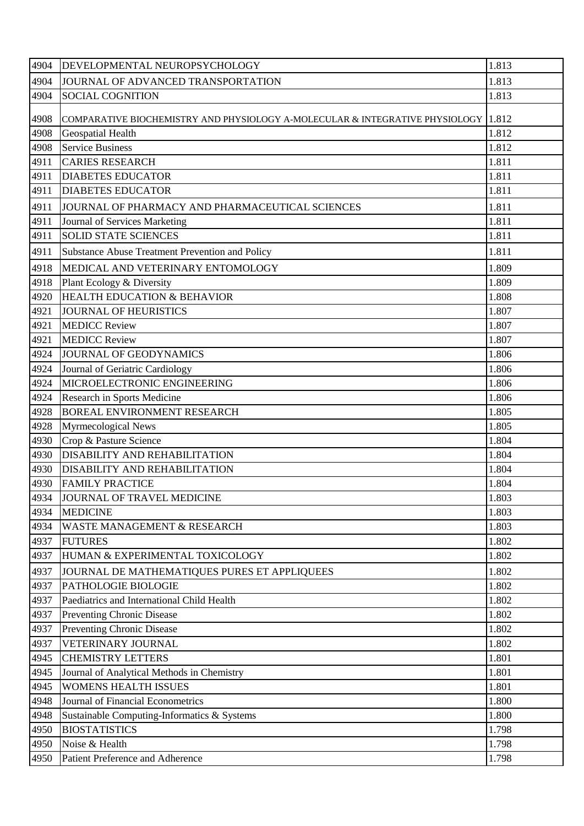| 4904 | DEVELOPMENTAL NEUROPSYCHOLOGY                                                      | 1.813 |
|------|------------------------------------------------------------------------------------|-------|
| 4904 | JOURNAL OF ADVANCED TRANSPORTATION                                                 | 1.813 |
| 4904 | <b>SOCIAL COGNITION</b>                                                            | 1.813 |
| 4908 | COMPARATIVE BIOCHEMISTRY AND PHYSIOLOGY A-MOLECULAR & INTEGRATIVE PHYSIOLOGY 1.812 |       |
| 4908 | Geospatial Health                                                                  | 1.812 |
| 4908 | <b>Service Business</b>                                                            | 1.812 |
| 4911 | <b>CARIES RESEARCH</b>                                                             | 1.811 |
| 4911 | <b>DIABETES EDUCATOR</b>                                                           | 1.811 |
| 4911 | <b>DIABETES EDUCATOR</b>                                                           | 1.811 |
| 4911 | JOURNAL OF PHARMACY AND PHARMACEUTICAL SCIENCES                                    | 1.811 |
| 4911 | Journal of Services Marketing                                                      | 1.811 |
| 4911 | <b>SOLID STATE SCIENCES</b>                                                        | 1.811 |
| 4911 | <b>Substance Abuse Treatment Prevention and Policy</b>                             | 1.811 |
| 4918 | MEDICAL AND VETERINARY ENTOMOLOGY                                                  | 1.809 |
| 4918 | Plant Ecology & Diversity                                                          | 1.809 |
| 4920 | <b>HEALTH EDUCATION &amp; BEHAVIOR</b>                                             | 1.808 |
| 4921 | <b>JOURNAL OF HEURISTICS</b>                                                       | 1.807 |
| 4921 | <b>MEDICC Review</b>                                                               | 1.807 |
| 4921 | <b>MEDICC Review</b>                                                               | 1.807 |
| 4924 | JOURNAL OF GEODYNAMICS                                                             | 1.806 |
| 4924 | Journal of Geriatric Cardiology                                                    | 1.806 |
| 4924 | MICROELECTRONIC ENGINEERING                                                        | 1.806 |
| 4924 | <b>Research in Sports Medicine</b>                                                 | 1.806 |
| 4928 | <b>BOREAL ENVIRONMENT RESEARCH</b>                                                 | 1.805 |
| 4928 | <b>Myrmecological News</b>                                                         | 1.805 |
| 4930 | Crop & Pasture Science                                                             | 1.804 |
| 4930 | <b>DISABILITY AND REHABILITATION</b>                                               | 1.804 |
| 4930 | <b>DISABILITY AND REHABILITATION</b>                                               | 1.804 |
| 4930 | <b>FAMILY PRACTICE</b>                                                             | 1.804 |
| 4934 | JOURNAL OF TRAVEL MEDICINE                                                         | 1.803 |
| 4934 | <b>MEDICINE</b>                                                                    | 1.803 |
| 4934 | <b>WASTE MANAGEMENT &amp; RESEARCH</b>                                             | 1.803 |
| 4937 | <b>FUTURES</b>                                                                     | 1.802 |
| 4937 | HUMAN & EXPERIMENTAL TOXICOLOGY                                                    | 1.802 |
| 4937 | JOURNAL DE MATHEMATIQUES PURES ET APPLIQUEES                                       | 1.802 |
| 4937 | <b>PATHOLOGIE BIOLOGIE</b>                                                         | 1.802 |
| 4937 | Paediatrics and International Child Health                                         | 1.802 |
| 4937 | <b>Preventing Chronic Disease</b>                                                  | 1.802 |
| 4937 | <b>Preventing Chronic Disease</b>                                                  | 1.802 |
| 4937 | VETERINARY JOURNAL                                                                 | 1.802 |
| 4945 | <b>CHEMISTRY LETTERS</b>                                                           | 1.801 |
| 4945 | Journal of Analytical Methods in Chemistry                                         | 1.801 |
| 4945 | <b>WOMENS HEALTH ISSUES</b>                                                        | 1.801 |
| 4948 | Journal of Financial Econometrics                                                  | 1.800 |
| 4948 | Sustainable Computing-Informatics & Systems                                        | 1.800 |
| 4950 | <b>BIOSTATISTICS</b>                                                               | 1.798 |
| 4950 | Noise & Health                                                                     | 1.798 |
| 4950 | Patient Preference and Adherence                                                   | 1.798 |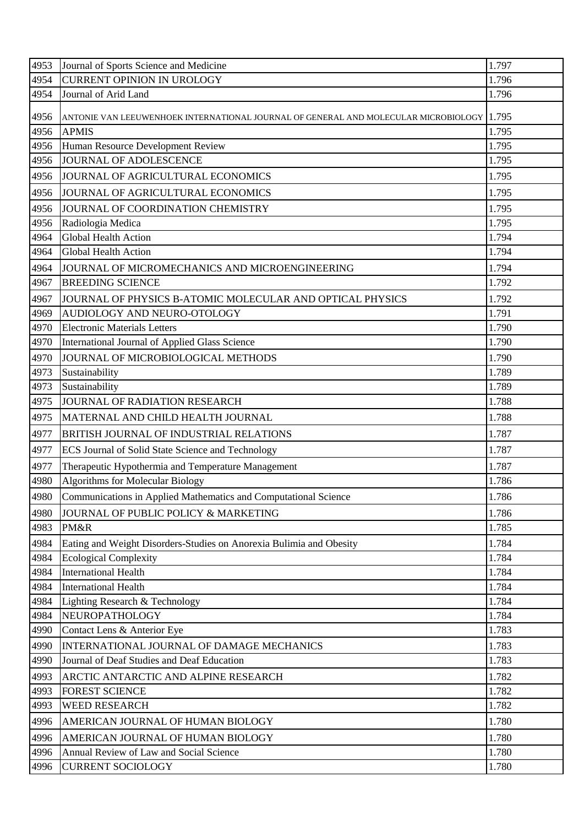| 4953 | Journal of Sports Science and Medicine                                                    | 1.797 |
|------|-------------------------------------------------------------------------------------------|-------|
| 4954 | <b>CURRENT OPINION IN UROLOGY</b>                                                         | 1.796 |
| 4954 | Journal of Arid Land                                                                      | 1.796 |
| 4956 | ANTONIE VAN LEEUWENHOEK INTERNATIONAL JOURNAL OF GENERAL AND MOLECULAR MICROBIOLOGY 1.795 |       |
| 4956 | <b>APMIS</b>                                                                              | 1.795 |
| 4956 | Human Resource Development Review                                                         | 1.795 |
| 4956 | JOURNAL OF ADOLESCENCE                                                                    | 1.795 |
| 4956 | JOURNAL OF AGRICULTURAL ECONOMICS                                                         | 1.795 |
| 4956 | JOURNAL OF AGRICULTURAL ECONOMICS                                                         | 1.795 |
| 4956 | JOURNAL OF COORDINATION CHEMISTRY                                                         | 1.795 |
| 4956 | Radiologia Medica                                                                         | 1.795 |
| 4964 | Global Health Action                                                                      | 1.794 |
| 4964 | <b>Global Health Action</b>                                                               | 1.794 |
| 4964 | JOURNAL OF MICROMECHANICS AND MICROENGINEERING                                            | 1.794 |
| 4967 | <b>BREEDING SCIENCE</b>                                                                   | 1.792 |
| 4967 | JOURNAL OF PHYSICS B-ATOMIC MOLECULAR AND OPTICAL PHYSICS                                 | 1.792 |
| 4969 | AUDIOLOGY AND NEURO-OTOLOGY                                                               | 1.791 |
| 4970 | <b>Electronic Materials Letters</b>                                                       | 1.790 |
| 4970 | International Journal of Applied Glass Science                                            | 1.790 |
| 4970 | JOURNAL OF MICROBIOLOGICAL METHODS                                                        | 1.790 |
| 4973 | Sustainability                                                                            | 1.789 |
| 4973 | Sustainability                                                                            | 1.789 |
| 4975 | JOURNAL OF RADIATION RESEARCH                                                             | 1.788 |
| 4975 | MATERNAL AND CHILD HEALTH JOURNAL                                                         | 1.788 |
| 4977 | BRITISH JOURNAL OF INDUSTRIAL RELATIONS                                                   | 1.787 |
| 4977 | ECS Journal of Solid State Science and Technology                                         | 1.787 |
| 4977 | Therapeutic Hypothermia and Temperature Management                                        | 1.787 |
| 4980 | Algorithms for Molecular Biology                                                          | 1.786 |
| 4980 | Communications in Applied Mathematics and Computational Science                           | 1.786 |
| 4980 | JOURNAL OF PUBLIC POLICY & MARKETING                                                      | 1.786 |
| 4983 | PM&R                                                                                      | 1.785 |
| 4984 | Eating and Weight Disorders-Studies on Anorexia Bulimia and Obesity                       | 1.784 |
| 4984 | <b>Ecological Complexity</b>                                                              | 1.784 |
| 4984 | <b>International Health</b>                                                               | 1.784 |
| 4984 | <b>International Health</b>                                                               | 1.784 |
| 4984 | Lighting Research & Technology                                                            | 1.784 |
| 4984 | NEUROPATHOLOGY                                                                            | 1.784 |
| 4990 | Contact Lens & Anterior Eye                                                               | 1.783 |
| 4990 | INTERNATIONAL JOURNAL OF DAMAGE MECHANICS                                                 | 1.783 |
| 4990 | Journal of Deaf Studies and Deaf Education                                                | 1.783 |
| 4993 | ARCTIC ANTARCTIC AND ALPINE RESEARCH                                                      | 1.782 |
| 4993 | <b>FOREST SCIENCE</b>                                                                     | 1.782 |
| 4993 | WEED RESEARCH                                                                             | 1.782 |
| 4996 | AMERICAN JOURNAL OF HUMAN BIOLOGY                                                         | 1.780 |
| 4996 | AMERICAN JOURNAL OF HUMAN BIOLOGY                                                         | 1.780 |
| 4996 | Annual Review of Law and Social Science                                                   | 1.780 |
| 4996 | <b>CURRENT SOCIOLOGY</b>                                                                  | 1.780 |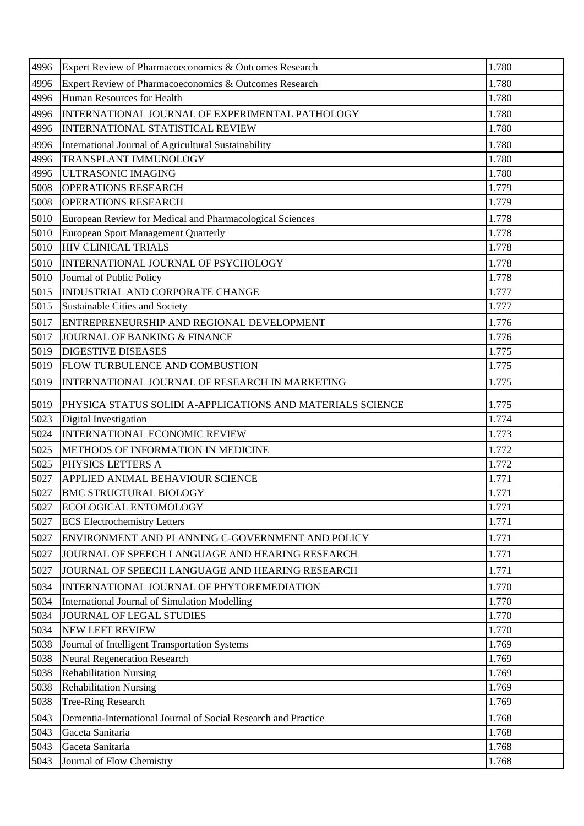| 4996 | Expert Review of Pharmacoeconomics & Outcomes Research         | 1.780 |
|------|----------------------------------------------------------------|-------|
| 4996 | Expert Review of Pharmacoeconomics & Outcomes Research         | 1.780 |
| 4996 | Human Resources for Health                                     | 1.780 |
| 4996 | INTERNATIONAL JOURNAL OF EXPERIMENTAL PATHOLOGY                | 1.780 |
| 4996 | <b>INTERNATIONAL STATISTICAL REVIEW</b>                        | 1.780 |
| 4996 | International Journal of Agricultural Sustainability           | 1.780 |
| 4996 | TRANSPLANT IMMUNOLOGY                                          | 1.780 |
| 4996 | <b>ULTRASONIC IMAGING</b>                                      | 1.780 |
| 5008 | <b>OPERATIONS RESEARCH</b>                                     | 1.779 |
| 5008 | <b>OPERATIONS RESEARCH</b>                                     | 1.779 |
| 5010 | European Review for Medical and Pharmacological Sciences       | 1.778 |
| 5010 | European Sport Management Quarterly                            | 1.778 |
| 5010 | <b>HIV CLINICAL TRIALS</b>                                     | 1.778 |
| 5010 | INTERNATIONAL JOURNAL OF PSYCHOLOGY                            | 1.778 |
| 5010 | Journal of Public Policy                                       | 1.778 |
| 5015 | INDUSTRIAL AND CORPORATE CHANGE                                | 1.777 |
| 5015 | Sustainable Cities and Society                                 | 1.777 |
| 5017 | ENTREPRENEURSHIP AND REGIONAL DEVELOPMENT                      | 1.776 |
| 5017 | JOURNAL OF BANKING & FINANCE                                   | 1.776 |
| 5019 | <b>DIGESTIVE DISEASES</b>                                      | 1.775 |
| 5019 | <b>FLOW TURBULENCE AND COMBUSTION</b>                          | 1.775 |
| 5019 | INTERNATIONAL JOURNAL OF RESEARCH IN MARKETING                 | 1.775 |
| 5019 | PHYSICA STATUS SOLIDI A-APPLICATIONS AND MATERIALS SCIENCE     | 1.775 |
| 5023 | Digital Investigation                                          | 1.774 |
| 5024 | <b>INTERNATIONAL ECONOMIC REVIEW</b>                           | 1.773 |
| 5025 | METHODS OF INFORMATION IN MEDICINE                             | 1.772 |
| 5025 | PHYSICS LETTERS A                                              | 1.772 |
| 5027 | <b>APPLIED ANIMAL BEHAVIOUR SCIENCE</b>                        | 1.771 |
| 5027 | <b>BMC STRUCTURAL BIOLOGY</b>                                  | 1.771 |
| 5027 | ECOLOGICAL ENTOMOLOGY                                          | 1.771 |
| 5027 | <b>ECS</b> Electrochemistry Letters                            | 1.771 |
| 5027 | ENVIRONMENT AND PLANNING C-GOVERNMENT AND POLICY               | 1.771 |
| 5027 | JOURNAL OF SPEECH LANGUAGE AND HEARING RESEARCH                | 1.771 |
| 5027 | JOURNAL OF SPEECH LANGUAGE AND HEARING RESEARCH                | 1.771 |
| 5034 | INTERNATIONAL JOURNAL OF PHYTOREMEDIATION                      | 1.770 |
| 5034 | International Journal of Simulation Modelling                  | 1.770 |
| 5034 | JOURNAL OF LEGAL STUDIES                                       | 1.770 |
| 5034 | <b>NEW LEFT REVIEW</b>                                         | 1.770 |
| 5038 | Journal of Intelligent Transportation Systems                  | 1.769 |
| 5038 | <b>Neural Regeneration Research</b>                            | 1.769 |
| 5038 | <b>Rehabilitation Nursing</b>                                  | 1.769 |
| 5038 | <b>Rehabilitation Nursing</b>                                  | 1.769 |
| 5038 | <b>Tree-Ring Research</b>                                      | 1.769 |
| 5043 | Dementia-International Journal of Social Research and Practice | 1.768 |
| 5043 | Gaceta Sanitaria                                               | 1.768 |
| 5043 | Gaceta Sanitaria                                               | 1.768 |
| 5043 | Journal of Flow Chemistry                                      | 1.768 |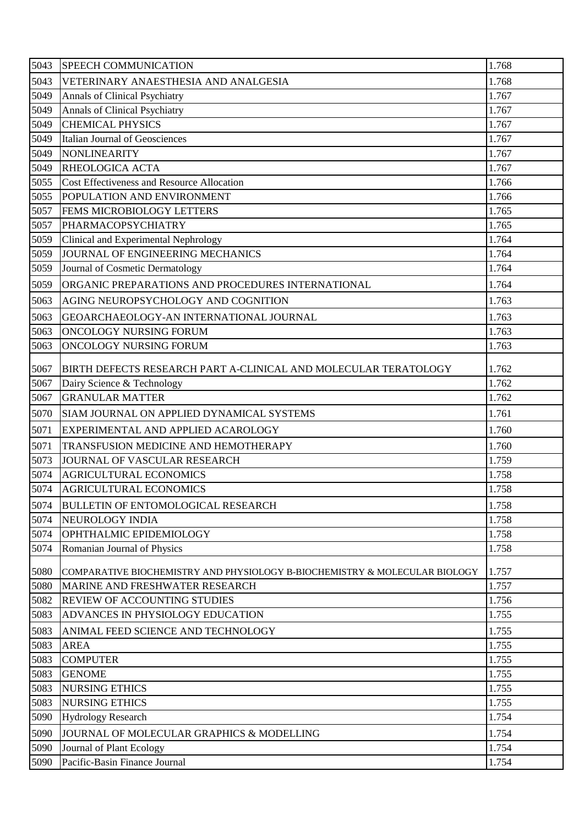| 5043         | SPEECH COMMUNICATION                                                                          | 1.768          |
|--------------|-----------------------------------------------------------------------------------------------|----------------|
| 5043         | VETERINARY ANAESTHESIA AND ANALGESIA                                                          | 1.768          |
| 5049         | Annals of Clinical Psychiatry                                                                 | 1.767          |
| 5049         | Annals of Clinical Psychiatry                                                                 | 1.767          |
| 5049         | <b>CHEMICAL PHYSICS</b>                                                                       | 1.767          |
| 5049         | Italian Journal of Geosciences                                                                | 1.767          |
| 5049         | <b>NONLINEARITY</b>                                                                           | 1.767          |
| 5049         | RHEOLOGICA ACTA                                                                               | 1.767          |
| 5055         | <b>Cost Effectiveness and Resource Allocation</b>                                             | 1.766          |
| 5055         | POPULATION AND ENVIRONMENT                                                                    | 1.766          |
| 5057         | FEMS MICROBIOLOGY LETTERS                                                                     | 1.765          |
| 5057         | PHARMACOPSYCHIATRY                                                                            | 1.765          |
| 5059         | Clinical and Experimental Nephrology                                                          | 1.764          |
| 5059         | JOURNAL OF ENGINEERING MECHANICS                                                              | 1.764          |
| 5059         | Journal of Cosmetic Dermatology                                                               | 1.764          |
| 5059         | ORGANIC PREPARATIONS AND PROCEDURES INTERNATIONAL                                             | 1.764          |
| 5063         | AGING NEUROPSYCHOLOGY AND COGNITION                                                           | 1.763          |
| 5063         | GEOARCHAEOLOGY-AN INTERNATIONAL JOURNAL                                                       | 1.763          |
| 5063         | ONCOLOGY NURSING FORUM                                                                        | 1.763          |
| 5063         | ONCOLOGY NURSING FORUM                                                                        | 1.763          |
|              |                                                                                               | 1.762          |
| 5067<br>5067 | BIRTH DEFECTS RESEARCH PART A-CLINICAL AND MOLECULAR TERATOLOGY<br>Dairy Science & Technology | 1.762          |
| 5067         | <b>GRANULAR MATTER</b>                                                                        | 1.762          |
| 5070         | SIAM JOURNAL ON APPLIED DYNAMICAL SYSTEMS                                                     | 1.761          |
|              |                                                                                               |                |
| 5071         | EXPERIMENTAL AND APPLIED ACAROLOGY                                                            | 1.760          |
| 5071         | TRANSFUSION MEDICINE AND HEMOTHERAPY                                                          | 1.760          |
| 5073         | JOURNAL OF VASCULAR RESEARCH                                                                  | 1.759          |
| 5074<br>5074 | <b>AGRICULTURAL ECONOMICS</b><br><b>AGRICULTURAL ECONOMICS</b>                                | 1.758<br>1.758 |
|              |                                                                                               |                |
| 5074         | <b>BULLETIN OF ENTOMOLOGICAL RESEARCH</b>                                                     | 1.758          |
| 5074         | NEUROLOGY INDIA                                                                               | 1.758          |
| 5074<br>5074 | OPHTHALMIC EPIDEMIOLOGY                                                                       | 1.758<br>1.758 |
|              | Romanian Journal of Physics                                                                   |                |
| 5080         | COMPARATIVE BIOCHEMISTRY AND PHYSIOLOGY B-BIOCHEMISTRY & MOLECULAR BIOLOGY                    | 1.757          |
| 5080         | MARINE AND FRESHWATER RESEARCH                                                                | 1.757          |
| 5082         | <b>REVIEW OF ACCOUNTING STUDIES</b>                                                           | 1.756          |
| 5083         | ADVANCES IN PHYSIOLOGY EDUCATION                                                              | 1.755          |
| 5083         | ANIMAL FEED SCIENCE AND TECHNOLOGY                                                            | 1.755          |
| 5083         | <b>AREA</b>                                                                                   | 1.755          |
| 5083         | <b>COMPUTER</b>                                                                               | 1.755          |
| 5083         | <b>GENOME</b>                                                                                 | 1.755          |
| 5083         | <b>NURSING ETHICS</b>                                                                         | 1.755          |
| 5083         | <b>NURSING ETHICS</b>                                                                         | 1.755          |
| 5090         | <b>Hydrology Research</b>                                                                     | 1.754          |
| 5090         | JOURNAL OF MOLECULAR GRAPHICS & MODELLING                                                     | 1.754          |
| 5090         | Journal of Plant Ecology                                                                      | 1.754          |
| 5090         | Pacific-Basin Finance Journal                                                                 | 1.754          |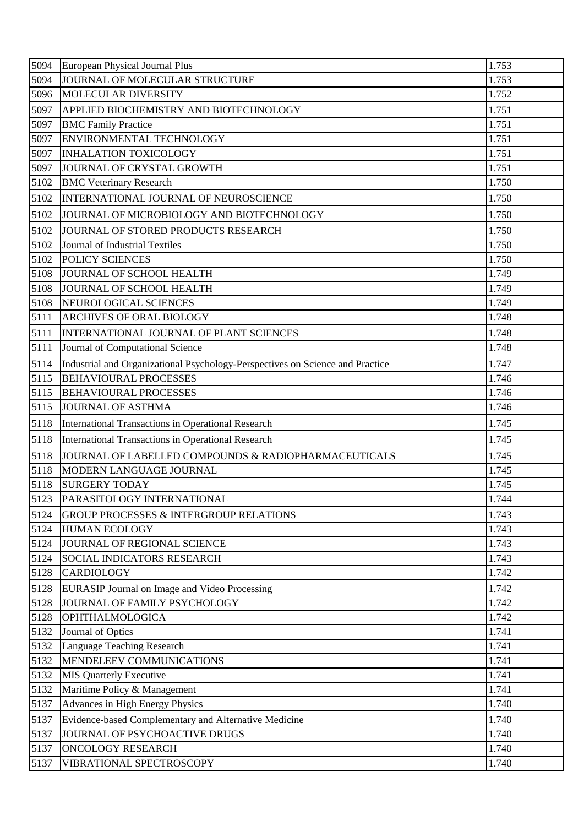| 5094 | European Physical Journal Plus                                                | 1.753 |
|------|-------------------------------------------------------------------------------|-------|
| 5094 | JOURNAL OF MOLECULAR STRUCTURE                                                | 1.753 |
| 5096 | MOLECULAR DIVERSITY                                                           | 1.752 |
| 5097 | APPLIED BIOCHEMISTRY AND BIOTECHNOLOGY                                        | 1.751 |
| 5097 | <b>BMC Family Practice</b>                                                    | 1.751 |
| 5097 | ENVIRONMENTAL TECHNOLOGY                                                      | 1.751 |
| 5097 | <b>INHALATION TOXICOLOGY</b>                                                  | 1.751 |
| 5097 | JOURNAL OF CRYSTAL GROWTH                                                     | 1.751 |
| 5102 | <b>BMC Veterinary Research</b>                                                | 1.750 |
| 5102 | INTERNATIONAL JOURNAL OF NEUROSCIENCE                                         | 1.750 |
| 5102 | JOURNAL OF MICROBIOLOGY AND BIOTECHNOLOGY                                     | 1.750 |
| 5102 | JOURNAL OF STORED PRODUCTS RESEARCH                                           | 1.750 |
| 5102 | Journal of Industrial Textiles                                                | 1.750 |
| 5102 | POLICY SCIENCES                                                               | 1.750 |
| 5108 | JOURNAL OF SCHOOL HEALTH                                                      | 1.749 |
| 5108 | <b>JOURNAL OF SCHOOL HEALTH</b>                                               | 1.749 |
| 5108 | NEUROLOGICAL SCIENCES                                                         | 1.749 |
| 5111 | ARCHIVES OF ORAL BIOLOGY                                                      | 1.748 |
| 5111 | INTERNATIONAL JOURNAL OF PLANT SCIENCES                                       | 1.748 |
| 5111 | Journal of Computational Science                                              | 1.748 |
| 5114 | Industrial and Organizational Psychology-Perspectives on Science and Practice | 1.747 |
| 5115 | <b>BEHAVIOURAL PROCESSES</b>                                                  | 1.746 |
| 5115 | <b>BEHAVIOURAL PROCESSES</b>                                                  | 1.746 |
| 5115 | <b>JOURNAL OF ASTHMA</b>                                                      | 1.746 |
| 5118 | International Transactions in Operational Research                            | 1.745 |
| 5118 | <b>International Transactions in Operational Research</b>                     | 1.745 |
| 5118 | JOURNAL OF LABELLED COMPOUNDS & RADIOPHARMACEUTICALS                          | 1.745 |
| 5118 | MODERN LANGUAGE JOURNAL                                                       | 1.745 |
| 5118 | <b>SURGERY TODAY</b>                                                          | 1.745 |
| 5123 | PARASITOLOGY INTERNATIONAL                                                    | 1.744 |
| 5124 | GROUP PROCESSES & INTERGROUP RELATIONS                                        | 1.743 |
| 5124 | <b>HUMAN ECOLOGY</b>                                                          | 1.743 |
| 5124 | JOURNAL OF REGIONAL SCIENCE                                                   | 1.743 |
| 5124 | <b>SOCIAL INDICATORS RESEARCH</b>                                             | 1.743 |
| 5128 | <b>CARDIOLOGY</b>                                                             | 1.742 |
| 5128 | EURASIP Journal on Image and Video Processing                                 | 1.742 |
| 5128 | JOURNAL OF FAMILY PSYCHOLOGY                                                  | 1.742 |
| 5128 | OPHTHALMOLOGICA                                                               | 1.742 |
| 5132 | Journal of Optics                                                             | 1.741 |
| 5132 | Language Teaching Research                                                    | 1.741 |
| 5132 | MENDELEEV COMMUNICATIONS                                                      | 1.741 |
| 5132 | <b>MIS Quarterly Executive</b>                                                | 1.741 |
| 5132 | Maritime Policy & Management                                                  | 1.741 |
| 5137 | Advances in High Energy Physics                                               | 1.740 |
| 5137 | Evidence-based Complementary and Alternative Medicine                         | 1.740 |
| 5137 | JOURNAL OF PSYCHOACTIVE DRUGS                                                 | 1.740 |
| 5137 | <b>ONCOLOGY RESEARCH</b>                                                      | 1.740 |
| 5137 | VIBRATIONAL SPECTROSCOPY                                                      | 1.740 |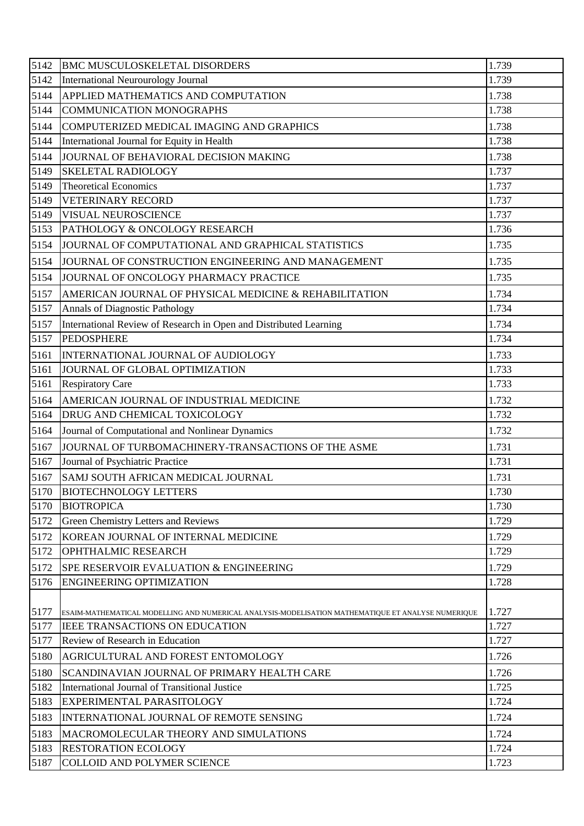| 5142 | <b>BMC MUSCULOSKELETAL DISORDERS</b>                                                               | 1.739 |
|------|----------------------------------------------------------------------------------------------------|-------|
| 5142 | <b>International Neurourology Journal</b>                                                          | 1.739 |
| 5144 | APPLIED MATHEMATICS AND COMPUTATION                                                                | 1.738 |
| 5144 | <b>COMMUNICATION MONOGRAPHS</b>                                                                    | 1.738 |
| 5144 | COMPUTERIZED MEDICAL IMAGING AND GRAPHICS                                                          | 1.738 |
| 5144 | International Journal for Equity in Health                                                         | 1.738 |
| 5144 | JOURNAL OF BEHAVIORAL DECISION MAKING                                                              | 1.738 |
| 5149 | <b>SKELETAL RADIOLOGY</b>                                                                          | 1.737 |
| 5149 | <b>Theoretical Economics</b>                                                                       | 1.737 |
| 5149 | <b>VETERINARY RECORD</b>                                                                           | 1.737 |
| 5149 | VISUAL NEUROSCIENCE                                                                                | 1.737 |
| 5153 | PATHOLOGY & ONCOLOGY RESEARCH                                                                      | 1.736 |
| 5154 | JOURNAL OF COMPUTATIONAL AND GRAPHICAL STATISTICS                                                  | 1.735 |
| 5154 | JOURNAL OF CONSTRUCTION ENGINEERING AND MANAGEMENT                                                 | 1.735 |
| 5154 | JOURNAL OF ONCOLOGY PHARMACY PRACTICE                                                              | 1.735 |
| 5157 | AMERICAN JOURNAL OF PHYSICAL MEDICINE & REHABILITATION                                             | 1.734 |
| 5157 | Annals of Diagnostic Pathology                                                                     | 1.734 |
| 5157 | International Review of Research in Open and Distributed Learning                                  | 1.734 |
| 5157 | <b>PEDOSPHERE</b>                                                                                  | 1.734 |
| 5161 | INTERNATIONAL JOURNAL OF AUDIOLOGY                                                                 | 1.733 |
| 5161 | JOURNAL OF GLOBAL OPTIMIZATION                                                                     | 1.733 |
| 5161 | <b>Respiratory Care</b>                                                                            | 1.733 |
| 5164 | AMERICAN JOURNAL OF INDUSTRIAL MEDICINE                                                            | 1.732 |
| 5164 | DRUG AND CHEMICAL TOXICOLOGY                                                                       | 1.732 |
| 5164 | Journal of Computational and Nonlinear Dynamics                                                    | 1.732 |
| 5167 | JOURNAL OF TURBOMACHINERY-TRANSACTIONS OF THE ASME                                                 | 1.731 |
| 5167 | Journal of Psychiatric Practice                                                                    | 1.731 |
|      | 5167 SAMJ SOUTH AFRICAN MEDICAL JOURNAL                                                            | 1.731 |
| 5170 | <b>BIOTECHNOLOGY LETTERS</b>                                                                       | 1.730 |
| 5170 | <b>BIOTROPICA</b>                                                                                  | 1.730 |
| 5172 | <b>Green Chemistry Letters and Reviews</b>                                                         | 1.729 |
| 5172 | KOREAN JOURNAL OF INTERNAL MEDICINE                                                                | 1.729 |
| 5172 | OPHTHALMIC RESEARCH                                                                                | 1.729 |
| 5172 | SPE RESERVOIR EVALUATION & ENGINEERING                                                             | 1.729 |
| 5176 | <b>ENGINEERING OPTIMIZATION</b>                                                                    | 1.728 |
|      |                                                                                                    |       |
| 5177 | ESAIM-MATHEMATICAL MODELLING AND NUMERICAL ANALYSIS-MODELISATION MATHEMATIQUE ET ANALYSE NUMERIQUE | 1.727 |
| 5177 | <b>IEEE TRANSACTIONS ON EDUCATION</b>                                                              | 1.727 |
| 5177 | Review of Research in Education                                                                    | 1.727 |
| 5180 | AGRICULTURAL AND FOREST ENTOMOLOGY                                                                 | 1.726 |
| 5180 | SCANDINAVIAN JOURNAL OF PRIMARY HEALTH CARE                                                        | 1.726 |
| 5182 | International Journal of Transitional Justice                                                      | 1.725 |
| 5183 | EXPERIMENTAL PARASITOLOGY                                                                          | 1.724 |
| 5183 | INTERNATIONAL JOURNAL OF REMOTE SENSING                                                            | 1.724 |
| 5183 | MACROMOLECULAR THEORY AND SIMULATIONS                                                              | 1.724 |
| 5183 | <b>RESTORATION ECOLOGY</b>                                                                         | 1.724 |
| 5187 | COLLOID AND POLYMER SCIENCE                                                                        | 1.723 |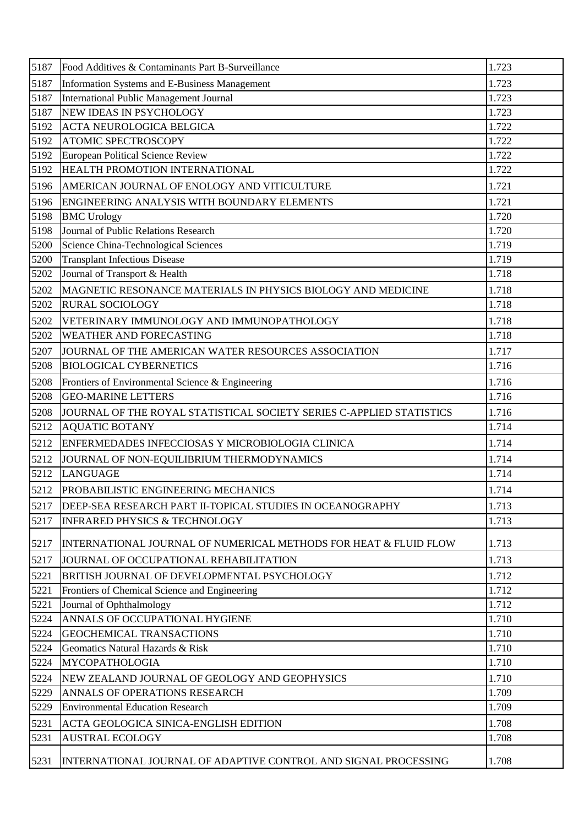| 5187 | Food Additives & Contaminants Part B-Surveillance                    | 1.723 |
|------|----------------------------------------------------------------------|-------|
| 5187 | Information Systems and E-Business Management                        | 1.723 |
| 5187 | <b>International Public Management Journal</b>                       | 1.723 |
| 5187 | NEW IDEAS IN PSYCHOLOGY                                              | 1.723 |
| 5192 | <b>ACTA NEUROLOGICA BELGICA</b>                                      | 1.722 |
| 5192 | <b>ATOMIC SPECTROSCOPY</b>                                           | 1.722 |
| 5192 | European Political Science Review                                    | 1.722 |
| 5192 | <b>HEALTH PROMOTION INTERNATIONAL</b>                                | 1.722 |
| 5196 | AMERICAN JOURNAL OF ENOLOGY AND VITICULTURE                          | 1.721 |
| 5196 | ENGINEERING ANALYSIS WITH BOUNDARY ELEMENTS                          | 1.721 |
| 5198 | <b>BMC Urology</b>                                                   | 1.720 |
| 5198 | Journal of Public Relations Research                                 | 1.720 |
| 5200 | Science China-Technological Sciences                                 | 1.719 |
| 5200 | <b>Transplant Infectious Disease</b>                                 | 1.719 |
| 5202 | Journal of Transport & Health                                        | 1.718 |
| 5202 | MAGNETIC RESONANCE MATERIALS IN PHYSICS BIOLOGY AND MEDICINE         | 1.718 |
| 5202 | <b>RURAL SOCIOLOGY</b>                                               | 1.718 |
| 5202 | VETERINARY IMMUNOLOGY AND IMMUNOPATHOLOGY                            | 1.718 |
| 5202 | <b>WEATHER AND FORECASTING</b>                                       | 1.718 |
| 5207 | JOURNAL OF THE AMERICAN WATER RESOURCES ASSOCIATION                  | 1.717 |
| 5208 | <b>BIOLOGICAL CYBERNETICS</b>                                        | 1.716 |
| 5208 | Frontiers of Environmental Science & Engineering                     | 1.716 |
| 5208 | <b>GEO-MARINE LETTERS</b>                                            | 1.716 |
| 5208 | JOURNAL OF THE ROYAL STATISTICAL SOCIETY SERIES C-APPLIED STATISTICS | 1.716 |
| 5212 | <b>AQUATIC BOTANY</b>                                                | 1.714 |
| 5212 | ENFERMEDADES INFECCIOSAS Y MICROBIOLOGIA CLINICA                     | 1.714 |
| 5212 | JOURNAL OF NON-EQUILIBRIUM THERMODYNAMICS                            | 1.714 |
| 5212 | <b>LANGUAGE</b>                                                      | 1.714 |
| 5212 | PROBABILISTIC ENGINEERING MECHANICS                                  | 1.714 |
| 5217 | DEEP-SEA RESEARCH PART II-TOPICAL STUDIES IN OCEANOGRAPHY            | 1.713 |
| 5217 | <b>INFRARED PHYSICS &amp; TECHNOLOGY</b>                             | 1.713 |
| 5217 | INTERNATIONAL JOURNAL OF NUMERICAL METHODS FOR HEAT & FLUID FLOW     | 1.713 |
| 5217 | JOURNAL OF OCCUPATIONAL REHABILITATION                               | 1.713 |
| 5221 | BRITISH JOURNAL OF DEVELOPMENTAL PSYCHOLOGY                          | 1.712 |
| 5221 | Frontiers of Chemical Science and Engineering                        | 1.712 |
| 5221 | Journal of Ophthalmology                                             | 1.712 |
| 5224 | ANNALS OF OCCUPATIONAL HYGIENE                                       | 1.710 |
| 5224 | <b>GEOCHEMICAL TRANSACTIONS</b>                                      | 1.710 |
| 5224 | Geomatics Natural Hazards & Risk                                     | 1.710 |
| 5224 | MYCOPATHOLOGIA                                                       | 1.710 |
| 5224 | NEW ZEALAND JOURNAL OF GEOLOGY AND GEOPHYSICS                        | 1.710 |
| 5229 | ANNALS OF OPERATIONS RESEARCH                                        | 1.709 |
| 5229 | <b>Environmental Education Research</b>                              | 1.709 |
| 5231 | ACTA GEOLOGICA SINICA-ENGLISH EDITION                                | 1.708 |
| 5231 | <b>AUSTRAL ECOLOGY</b>                                               | 1.708 |
| 5231 | INTERNATIONAL JOURNAL OF ADAPTIVE CONTROL AND SIGNAL PROCESSING      | 1.708 |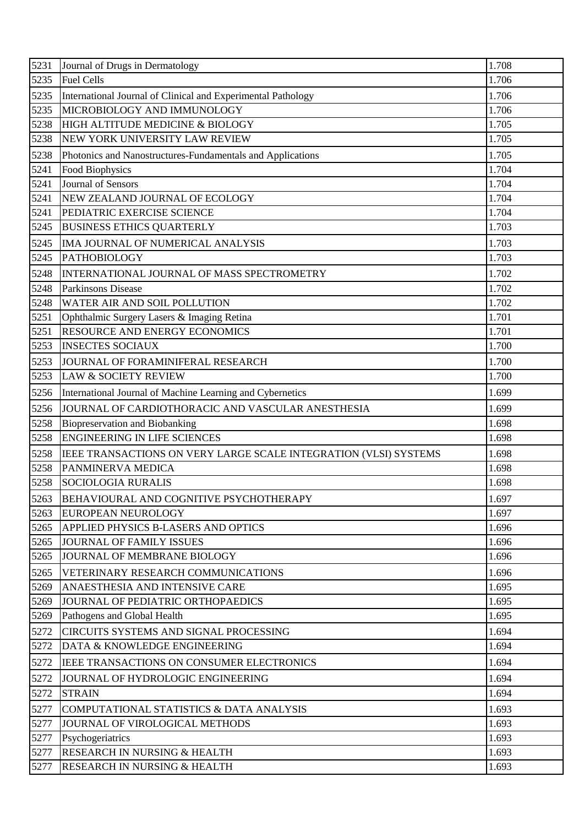| 5231 | Journal of Drugs in Dermatology                                  | 1.708 |
|------|------------------------------------------------------------------|-------|
| 5235 | <b>Fuel Cells</b>                                                | 1.706 |
| 5235 | International Journal of Clinical and Experimental Pathology     | 1.706 |
| 5235 | MICROBIOLOGY AND IMMUNOLOGY                                      | 1.706 |
| 5238 | HIGH ALTITUDE MEDICINE & BIOLOGY                                 | 1.705 |
| 5238 | NEW YORK UNIVERSITY LAW REVIEW                                   | 1.705 |
| 5238 | Photonics and Nanostructures-Fundamentals and Applications       | 1.705 |
| 5241 | Food Biophysics                                                  | 1.704 |
| 5241 | Journal of Sensors                                               | 1.704 |
| 5241 | NEW ZEALAND JOURNAL OF ECOLOGY                                   | 1.704 |
| 5241 | PEDIATRIC EXERCISE SCIENCE                                       | 1.704 |
| 5245 | <b>BUSINESS ETHICS QUARTERLY</b>                                 | 1.703 |
| 5245 | IMA JOURNAL OF NUMERICAL ANALYSIS                                | 1.703 |
| 5245 | <b>PATHOBIOLOGY</b>                                              | 1.703 |
| 5248 | INTERNATIONAL JOURNAL OF MASS SPECTROMETRY                       | 1.702 |
| 5248 | <b>Parkinsons Disease</b>                                        | 1.702 |
| 5248 | WATER AIR AND SOIL POLLUTION                                     | 1.702 |
| 5251 | Ophthalmic Surgery Lasers & Imaging Retina                       | 1.701 |
| 5251 | RESOURCE AND ENERGY ECONOMICS                                    | 1.701 |
| 5253 | <b>INSECTES SOCIAUX</b>                                          | 1.700 |
| 5253 | JOURNAL OF FORAMINIFERAL RESEARCH                                | 1.700 |
| 5253 | <b>LAW &amp; SOCIETY REVIEW</b>                                  | 1.700 |
| 5256 | International Journal of Machine Learning and Cybernetics        | 1.699 |
| 5256 | JOURNAL OF CARDIOTHORACIC AND VASCULAR ANESTHESIA                | 1.699 |
| 5258 | <b>Biopreservation and Biobanking</b>                            | 1.698 |
| 5258 | <b>ENGINEERING IN LIFE SCIENCES</b>                              | 1.698 |
| 5258 | IEEE TRANSACTIONS ON VERY LARGE SCALE INTEGRATION (VLSI) SYSTEMS | 1.698 |
| 5258 | PANMINERVA MEDICA                                                | 1.698 |
|      | 5258 SOCIOLOGIA RURALIS                                          | 1.698 |
| 5263 | BEHAVIOURAL AND COGNITIVE PSYCHOTHERAPY                          | 1.697 |
| 5263 | EUROPEAN NEUROLOGY                                               | 1.697 |
| 5265 | APPLIED PHYSICS B-LASERS AND OPTICS                              | 1.696 |
| 5265 | <b>JOURNAL OF FAMILY ISSUES</b>                                  | 1.696 |
| 5265 | JOURNAL OF MEMBRANE BIOLOGY                                      | 1.696 |
| 5265 | VETERINARY RESEARCH COMMUNICATIONS                               | 1.696 |
| 5269 | ANAESTHESIA AND INTENSIVE CARE                                   | 1.695 |
| 5269 | JOURNAL OF PEDIATRIC ORTHOPAEDICS                                | 1.695 |
| 5269 | Pathogens and Global Health                                      | 1.695 |
| 5272 | CIRCUITS SYSTEMS AND SIGNAL PROCESSING                           | 1.694 |
| 5272 | DATA & KNOWLEDGE ENGINEERING                                     | 1.694 |
| 5272 | IEEE TRANSACTIONS ON CONSUMER ELECTRONICS                        | 1.694 |
| 5272 | JOURNAL OF HYDROLOGIC ENGINEERING                                | 1.694 |
| 5272 | <b>STRAIN</b>                                                    | 1.694 |
| 5277 | COMPUTATIONAL STATISTICS & DATA ANALYSIS                         | 1.693 |
| 5277 | JOURNAL OF VIROLOGICAL METHODS                                   | 1.693 |
| 5277 | Psychogeriatrics                                                 | 1.693 |
| 5277 | RESEARCH IN NURSING & HEALTH                                     | 1.693 |
| 5277 | RESEARCH IN NURSING & HEALTH                                     | 1.693 |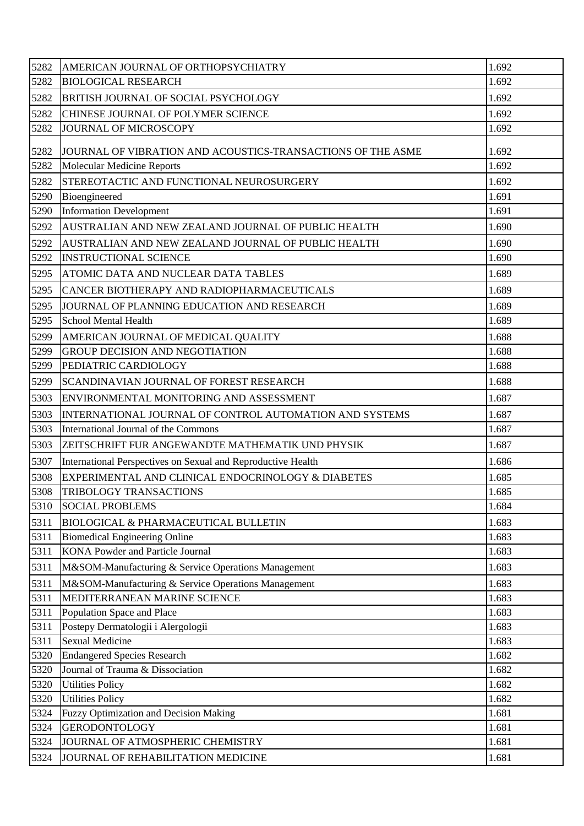| 5282 | AMERICAN JOURNAL OF ORTHOPSYCHIATRY                          | 1.692 |
|------|--------------------------------------------------------------|-------|
| 5282 | <b>BIOLOGICAL RESEARCH</b>                                   | 1.692 |
| 5282 | BRITISH JOURNAL OF SOCIAL PSYCHOLOGY                         | 1.692 |
| 5282 | CHINESE JOURNAL OF POLYMER SCIENCE                           | 1.692 |
| 5282 | <b>JOURNAL OF MICROSCOPY</b>                                 | 1.692 |
| 5282 | JOURNAL OF VIBRATION AND ACOUSTICS-TRANSACTIONS OF THE ASME  | 1.692 |
| 5282 | <b>Molecular Medicine Reports</b>                            | 1.692 |
| 5282 | STEREOTACTIC AND FUNCTIONAL NEUROSURGERY                     | 1.692 |
| 5290 | Bioengineered                                                | 1.691 |
| 5290 | <b>Information Development</b>                               | 1.691 |
| 5292 | AUSTRALIAN AND NEW ZEALAND JOURNAL OF PUBLIC HEALTH          | 1.690 |
| 5292 | AUSTRALIAN AND NEW ZEALAND JOURNAL OF PUBLIC HEALTH          | 1.690 |
| 5292 | <b>INSTRUCTIONAL SCIENCE</b>                                 | 1.690 |
| 5295 | ATOMIC DATA AND NUCLEAR DATA TABLES                          | 1.689 |
| 5295 | CANCER BIOTHERAPY AND RADIOPHARMACEUTICALS                   | 1.689 |
| 5295 | JOURNAL OF PLANNING EDUCATION AND RESEARCH                   | 1.689 |
| 5295 | <b>School Mental Health</b>                                  | 1.689 |
| 5299 | AMERICAN JOURNAL OF MEDICAL QUALITY                          | 1.688 |
| 5299 | <b>GROUP DECISION AND NEGOTIATION</b>                        | 1.688 |
| 5299 | PEDIATRIC CARDIOLOGY                                         | 1.688 |
| 5299 | SCANDINAVIAN JOURNAL OF FOREST RESEARCH                      | 1.688 |
| 5303 | ENVIRONMENTAL MONITORING AND ASSESSMENT                      | 1.687 |
| 5303 | INTERNATIONAL JOURNAL OF CONTROL AUTOMATION AND SYSTEMS      | 1.687 |
| 5303 | International Journal of the Commons                         | 1.687 |
| 5303 | ZEITSCHRIFT FUR ANGEWANDTE MATHEMATIK UND PHYSIK             | 1.687 |
| 5307 | International Perspectives on Sexual and Reproductive Health | 1.686 |
| 5308 | EXPERIMENTAL AND CLINICAL ENDOCRINOLOGY & DIABETES           | 1.685 |
| 5308 | TRIBOLOGY TRANSACTIONS                                       | 1.685 |
| 5310 | <b>SOCIAL PROBLEMS</b>                                       | 1.684 |
| 5311 | <b>BIOLOGICAL &amp; PHARMACEUTICAL BULLETIN</b>              | 1.683 |
| 5311 | <b>Biomedical Engineering Online</b>                         | 1.683 |
| 5311 | <b>KONA Powder and Particle Journal</b>                      | 1.683 |
| 5311 | M&SOM-Manufacturing & Service Operations Management          | 1.683 |
| 5311 | M&SOM-Manufacturing & Service Operations Management          | 1.683 |
| 5311 | MEDITERRANEAN MARINE SCIENCE                                 | 1.683 |
| 5311 | Population Space and Place                                   | 1.683 |
| 5311 | Postepy Dermatologii i Alergologii                           | 1.683 |
| 5311 | <b>Sexual Medicine</b>                                       | 1.683 |
| 5320 | <b>Endangered Species Research</b>                           | 1.682 |
| 5320 | Journal of Trauma & Dissociation                             | 1.682 |
| 5320 | <b>Utilities Policy</b>                                      | 1.682 |
| 5320 | <b>Utilities Policy</b>                                      | 1.682 |
| 5324 | <b>Fuzzy Optimization and Decision Making</b>                | 1.681 |
| 5324 | <b>GERODONTOLOGY</b>                                         | 1.681 |
| 5324 | JOURNAL OF ATMOSPHERIC CHEMISTRY                             | 1.681 |
| 5324 | JOURNAL OF REHABILITATION MEDICINE                           | 1.681 |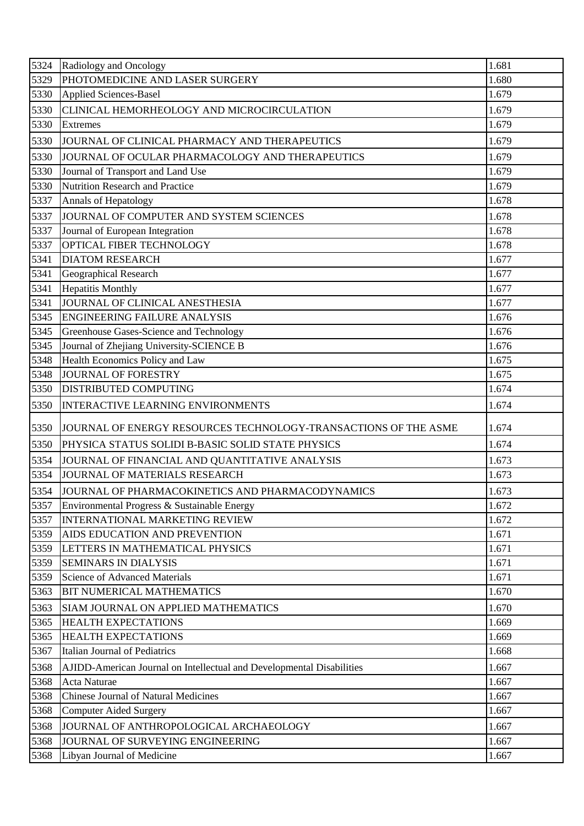| 5324 | Radiology and Oncology                                                | 1.681 |
|------|-----------------------------------------------------------------------|-------|
| 5329 | PHOTOMEDICINE AND LASER SURGERY                                       | 1.680 |
| 5330 | Applied Sciences-Basel                                                | 1.679 |
| 5330 | CLINICAL HEMORHEOLOGY AND MICROCIRCULATION                            | 1.679 |
| 5330 | <b>Extremes</b>                                                       | 1.679 |
| 5330 | JOURNAL OF CLINICAL PHARMACY AND THERAPEUTICS                         | 1.679 |
| 5330 | JOURNAL OF OCULAR PHARMACOLOGY AND THERAPEUTICS                       | 1.679 |
| 5330 | Journal of Transport and Land Use                                     | 1.679 |
| 5330 | Nutrition Research and Practice                                       | 1.679 |
| 5337 | Annals of Hepatology                                                  | 1.678 |
| 5337 | JOURNAL OF COMPUTER AND SYSTEM SCIENCES                               | 1.678 |
| 5337 | Journal of European Integration                                       | 1.678 |
| 5337 | OPTICAL FIBER TECHNOLOGY                                              | 1.678 |
| 5341 | <b>DIATOM RESEARCH</b>                                                | 1.677 |
| 5341 | Geographical Research                                                 | 1.677 |
| 5341 | <b>Hepatitis Monthly</b>                                              | 1.677 |
| 5341 | JOURNAL OF CLINICAL ANESTHESIA                                        | 1.677 |
| 5345 | <b>ENGINEERING FAILURE ANALYSIS</b>                                   | 1.676 |
| 5345 | Greenhouse Gases-Science and Technology                               | 1.676 |
| 5345 | Journal of Zhejiang University-SCIENCE B                              | 1.676 |
| 5348 | Health Economics Policy and Law                                       | 1.675 |
| 5348 | <b>JOURNAL OF FORESTRY</b>                                            | 1.675 |
| 5350 | <b>DISTRIBUTED COMPUTING</b>                                          | 1.674 |
| 5350 | <b>INTERACTIVE LEARNING ENVIRONMENTS</b>                              | 1.674 |
| 5350 | JOURNAL OF ENERGY RESOURCES TECHNOLOGY-TRANSACTIONS OF THE ASME       | 1.674 |
| 5350 | PHYSICA STATUS SOLIDI B-BASIC SOLID STATE PHYSICS                     | 1.674 |
| 5354 | JOURNAL OF FINANCIAL AND QUANTITATIVE ANALYSIS                        | 1.673 |
| 5354 | JOURNAL OF MATERIALS RESEARCH                                         | 1.673 |
| 5354 | JOURNAL OF PHARMACOKINETICS AND PHARMACODYNAMICS                      | 1.673 |
| 5357 | Environmental Progress & Sustainable Energy                           | 1.672 |
| 5357 | <b>INTERNATIONAL MARKETING REVIEW</b>                                 | 1.672 |
| 5359 | AIDS EDUCATION AND PREVENTION                                         | 1.671 |
| 5359 | LETTERS IN MATHEMATICAL PHYSICS                                       | 1.671 |
| 5359 | <b>SEMINARS IN DIALYSIS</b>                                           | 1.671 |
| 5359 | <b>Science of Advanced Materials</b>                                  | 1.671 |
| 5363 | <b>BIT NUMERICAL MATHEMATICS</b>                                      | 1.670 |
| 5363 | SIAM JOURNAL ON APPLIED MATHEMATICS                                   | 1.670 |
| 5365 | <b>HEALTH EXPECTATIONS</b>                                            | 1.669 |
| 5365 | <b>HEALTH EXPECTATIONS</b>                                            | 1.669 |
| 5367 | <b>Italian Journal of Pediatrics</b>                                  | 1.668 |
| 5368 | AJIDD-American Journal on Intellectual and Developmental Disabilities | 1.667 |
| 5368 | Acta Naturae                                                          | 1.667 |
| 5368 | <b>Chinese Journal of Natural Medicines</b>                           | 1.667 |
| 5368 | <b>Computer Aided Surgery</b>                                         | 1.667 |
| 5368 | JOURNAL OF ANTHROPOLOGICAL ARCHAEOLOGY                                | 1.667 |
| 5368 | JOURNAL OF SURVEYING ENGINEERING                                      | 1.667 |
| 5368 | Libyan Journal of Medicine                                            | 1.667 |
|      |                                                                       |       |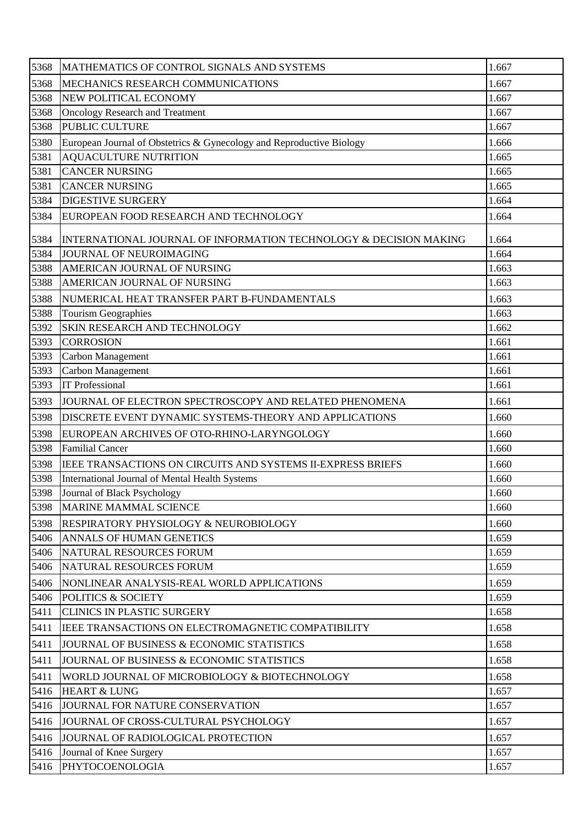| 5368 | MATHEMATICS OF CONTROL SIGNALS AND SYSTEMS                           | 1.667 |
|------|----------------------------------------------------------------------|-------|
| 5368 | MECHANICS RESEARCH COMMUNICATIONS                                    | 1.667 |
| 5368 | NEW POLITICAL ECONOMY                                                | 1.667 |
| 5368 | <b>Oncology Research and Treatment</b>                               | 1.667 |
| 5368 | PUBLIC CULTURE                                                       | 1.667 |
| 5380 | European Journal of Obstetrics & Gynecology and Reproductive Biology | 1.666 |
| 5381 | <b>AQUACULTURE NUTRITION</b>                                         | 1.665 |
| 5381 | <b>CANCER NURSING</b>                                                | 1.665 |
| 5381 | <b>CANCER NURSING</b>                                                | 1.665 |
| 5384 | <b>DIGESTIVE SURGERY</b>                                             | 1.664 |
| 5384 | EUROPEAN FOOD RESEARCH AND TECHNOLOGY                                | 1.664 |
| 5384 | INTERNATIONAL JOURNAL OF INFORMATION TECHNOLOGY & DECISION MAKING    | 1.664 |
| 5384 | JOURNAL OF NEUROIMAGING                                              | 1.664 |
| 5388 | AMERICAN JOURNAL OF NURSING                                          | 1.663 |
| 5388 | AMERICAN JOURNAL OF NURSING                                          | 1.663 |
| 5388 | NUMERICAL HEAT TRANSFER PART B-FUNDAMENTALS                          | 1.663 |
| 5388 | <b>Tourism Geographies</b>                                           | 1.663 |
| 5392 | SKIN RESEARCH AND TECHNOLOGY                                         | 1.662 |
| 5393 | <b>CORROSION</b>                                                     | 1.661 |
| 5393 | Carbon Management                                                    | 1.661 |
| 5393 | Carbon Management                                                    | 1.661 |
| 5393 | <b>IT Professional</b>                                               | 1.661 |
| 5393 | JOURNAL OF ELECTRON SPECTROSCOPY AND RELATED PHENOMENA               | 1.661 |
| 5398 | DISCRETE EVENT DYNAMIC SYSTEMS-THEORY AND APPLICATIONS               | 1.660 |
| 5398 | EUROPEAN ARCHIVES OF OTO-RHINO-LARYNGOLOGY                           | 1.660 |
| 5398 | <b>Familial Cancer</b>                                               | 1.660 |
| 5398 | IEEE TRANSACTIONS ON CIRCUITS AND SYSTEMS II-EXPRESS BRIEFS          | 1.660 |
| 5398 | International Journal of Mental Health Systems                       | 1.660 |
| 5398 | Journal of Black Psychology                                          | 1.660 |
| 5398 | MARINE MAMMAL SCIENCE                                                | 1.660 |
| 5398 | <b>RESPIRATORY PHYSIOLOGY &amp; NEUROBIOLOGY</b>                     | 1.660 |
| 5406 | ANNALS OF HUMAN GENETICS                                             | 1.659 |
| 5406 | NATURAL RESOURCES FORUM                                              | 1.659 |
| 5406 | NATURAL RESOURCES FORUM                                              | 1.659 |
| 5406 | NONLINEAR ANALYSIS-REAL WORLD APPLICATIONS                           | 1.659 |
| 5406 | <b>POLITICS &amp; SOCIETY</b>                                        | 1.659 |
| 5411 | <b>CLINICS IN PLASTIC SURGERY</b>                                    | 1.658 |
| 5411 | IEEE TRANSACTIONS ON ELECTROMAGNETIC COMPATIBILITY                   | 1.658 |
| 5411 | JOURNAL OF BUSINESS & ECONOMIC STATISTICS                            | 1.658 |
| 5411 | JOURNAL OF BUSINESS & ECONOMIC STATISTICS                            | 1.658 |
| 5411 | WORLD JOURNAL OF MICROBIOLOGY & BIOTECHNOLOGY                        | 1.658 |
| 5416 | <b>HEART &amp; LUNG</b>                                              | 1.657 |
| 5416 | JOURNAL FOR NATURE CONSERVATION                                      | 1.657 |
| 5416 | JOURNAL OF CROSS-CULTURAL PSYCHOLOGY                                 | 1.657 |
| 5416 | JOURNAL OF RADIOLOGICAL PROTECTION                                   | 1.657 |
| 5416 | Journal of Knee Surgery                                              | 1.657 |
| 5416 | PHYTOCOENOLOGIA                                                      | 1.657 |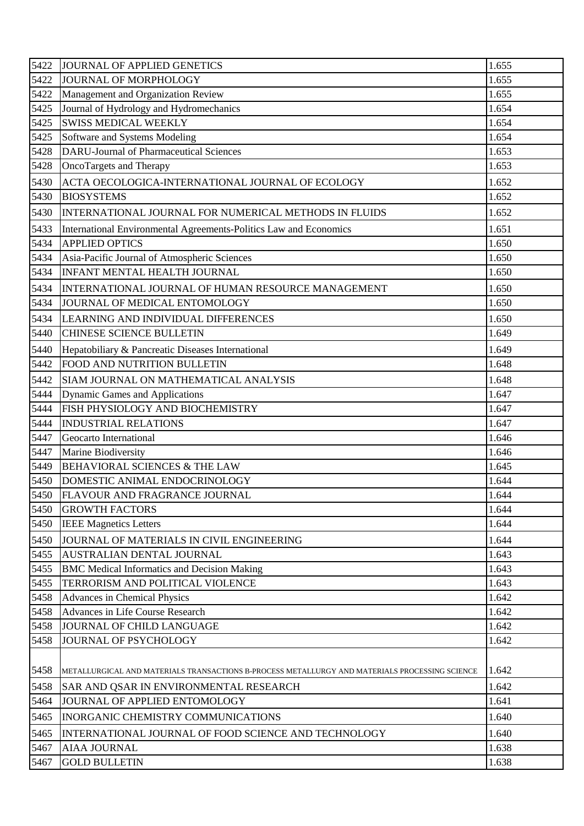| 5422 | JOURNAL OF APPLIED GENETICS                                                                    | 1.655 |
|------|------------------------------------------------------------------------------------------------|-------|
| 5422 | JOURNAL OF MORPHOLOGY                                                                          | 1.655 |
| 5422 | Management and Organization Review                                                             | 1.655 |
| 5425 | Journal of Hydrology and Hydromechanics                                                        | 1.654 |
| 5425 | <b>SWISS MEDICAL WEEKLY</b>                                                                    | 1.654 |
| 5425 | Software and Systems Modeling                                                                  | 1.654 |
| 5428 | <b>DARU-Journal of Pharmaceutical Sciences</b>                                                 | 1.653 |
| 5428 | OncoTargets and Therapy                                                                        | 1.653 |
| 5430 | ACTA OECOLOGICA-INTERNATIONAL JOURNAL OF ECOLOGY                                               | 1.652 |
| 5430 | <b>BIOSYSTEMS</b>                                                                              | 1.652 |
| 5430 | INTERNATIONAL JOURNAL FOR NUMERICAL METHODS IN FLUIDS                                          | 1.652 |
| 5433 | International Environmental Agreements-Politics Law and Economics                              | 1.651 |
| 5434 | <b>APPLIED OPTICS</b>                                                                          | 1.650 |
| 5434 | Asia-Pacific Journal of Atmospheric Sciences                                                   | 1.650 |
| 5434 | <b>INFANT MENTAL HEALTH JOURNAL</b>                                                            | 1.650 |
| 5434 | INTERNATIONAL JOURNAL OF HUMAN RESOURCE MANAGEMENT                                             | 1.650 |
| 5434 | JOURNAL OF MEDICAL ENTOMOLOGY                                                                  | 1.650 |
| 5434 | LEARNING AND INDIVIDUAL DIFFERENCES                                                            | 1.650 |
| 5440 | <b>CHINESE SCIENCE BULLETIN</b>                                                                | 1.649 |
| 5440 | Hepatobiliary & Pancreatic Diseases International                                              | 1.649 |
| 5442 | FOOD AND NUTRITION BULLETIN                                                                    | 1.648 |
| 5442 | SIAM JOURNAL ON MATHEMATICAL ANALYSIS                                                          | 1.648 |
| 5444 | Dynamic Games and Applications                                                                 | 1.647 |
| 5444 | FISH PHYSIOLOGY AND BIOCHEMISTRY                                                               | 1.647 |
| 5444 | <b>INDUSTRIAL RELATIONS</b>                                                                    | 1.647 |
| 5447 | Geocarto International                                                                         | 1.646 |
| 5447 | Marine Biodiversity                                                                            | 1.646 |
| 5449 | <b>BEHAVIORAL SCIENCES &amp; THE LAW</b>                                                       | 1.645 |
| 5450 | DOMESTIC ANIMAL ENDOCRINOLOGY                                                                  | 1.644 |
| 5450 | <b>FLAVOUR AND FRAGRANCE JOURNAL</b>                                                           | 1.644 |
| 5450 | <b>GROWTH FACTORS</b>                                                                          | 1.644 |
| 5450 | <b>IEEE Magnetics Letters</b>                                                                  | 1.644 |
| 5450 | JOURNAL OF MATERIALS IN CIVIL ENGINEERING                                                      | 1.644 |
| 5455 | AUSTRALIAN DENTAL JOURNAL                                                                      | 1.643 |
| 5455 | <b>BMC</b> Medical Informatics and Decision Making                                             | 1.643 |
| 5455 | TERRORISM AND POLITICAL VIOLENCE                                                               | 1.643 |
| 5458 | Advances in Chemical Physics                                                                   | 1.642 |
| 5458 | Advances in Life Course Research                                                               | 1.642 |
| 5458 | JOURNAL OF CHILD LANGUAGE                                                                      | 1.642 |
| 5458 | JOURNAL OF PSYCHOLOGY                                                                          | 1.642 |
|      |                                                                                                |       |
| 5458 | METALLURGICAL AND MATERIALS TRANSACTIONS B-PROCESS METALLURGY AND MATERIALS PROCESSING SCIENCE | 1.642 |
| 5458 | SAR AND QSAR IN ENVIRONMENTAL RESEARCH                                                         | 1.642 |
| 5464 | JOURNAL OF APPLIED ENTOMOLOGY                                                                  | 1.641 |
| 5465 | <b>INORGANIC CHEMISTRY COMMUNICATIONS</b>                                                      | 1.640 |
| 5465 | INTERNATIONAL JOURNAL OF FOOD SCIENCE AND TECHNOLOGY                                           | 1.640 |
| 5467 | <b>AIAA JOURNAL</b>                                                                            | 1.638 |
| 5467 | <b>GOLD BULLETIN</b>                                                                           | 1.638 |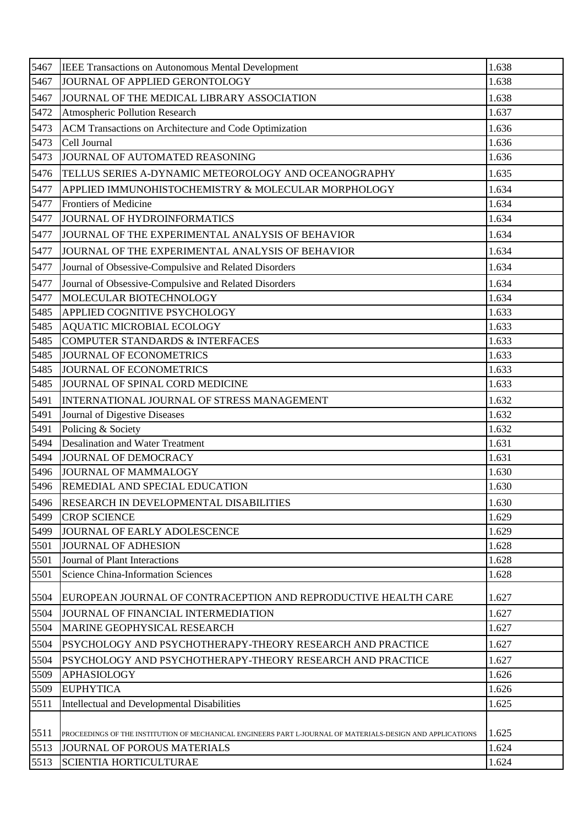| 5467 | IEEE Transactions on Autonomous Mental Development                                                         | 1.638 |
|------|------------------------------------------------------------------------------------------------------------|-------|
| 5467 | JOURNAL OF APPLIED GERONTOLOGY                                                                             | 1.638 |
| 5467 | JOURNAL OF THE MEDICAL LIBRARY ASSOCIATION                                                                 | 1.638 |
| 5472 | Atmospheric Pollution Research                                                                             | 1.637 |
| 5473 | ACM Transactions on Architecture and Code Optimization                                                     | 1.636 |
| 5473 | Cell Journal                                                                                               | 1.636 |
| 5473 | JOURNAL OF AUTOMATED REASONING                                                                             | 1.636 |
| 5476 | TELLUS SERIES A-DYNAMIC METEOROLOGY AND OCEANOGRAPHY                                                       | 1.635 |
| 5477 | APPLIED IMMUNOHISTOCHEMISTRY & MOLECULAR MORPHOLOGY                                                        | 1.634 |
| 5477 | <b>Frontiers of Medicine</b>                                                                               | 1.634 |
| 5477 | JOURNAL OF HYDROINFORMATICS                                                                                | 1.634 |
| 5477 | JOURNAL OF THE EXPERIMENTAL ANALYSIS OF BEHAVIOR                                                           | 1.634 |
| 5477 | JOURNAL OF THE EXPERIMENTAL ANALYSIS OF BEHAVIOR                                                           | 1.634 |
| 5477 | Journal of Obsessive-Compulsive and Related Disorders                                                      | 1.634 |
| 5477 | Journal of Obsessive-Compulsive and Related Disorders                                                      | 1.634 |
| 5477 | MOLECULAR BIOTECHNOLOGY                                                                                    | 1.634 |
| 5485 | <b>APPLIED COGNITIVE PSYCHOLOGY</b>                                                                        | 1.633 |
| 5485 | <b>AQUATIC MICROBIAL ECOLOGY</b>                                                                           | 1.633 |
| 5485 | <b>COMPUTER STANDARDS &amp; INTERFACES</b>                                                                 | 1.633 |
| 5485 | JOURNAL OF ECONOMETRICS                                                                                    | 1.633 |
| 5485 | JOURNAL OF ECONOMETRICS                                                                                    | 1.633 |
| 5485 | JOURNAL OF SPINAL CORD MEDICINE                                                                            | 1.633 |
| 5491 | INTERNATIONAL JOURNAL OF STRESS MANAGEMENT                                                                 | 1.632 |
| 5491 | Journal of Digestive Diseases                                                                              | 1.632 |
| 5491 | Policing & Society                                                                                         | 1.632 |
| 5494 | <b>Desalination and Water Treatment</b>                                                                    | 1.631 |
| 5494 | JOURNAL OF DEMOCRACY                                                                                       | 1.631 |
| 5496 | JOURNAL OF MAMMALOGY                                                                                       | 1.630 |
| 5496 | REMEDIAL AND SPECIAL EDUCATION                                                                             | 1.630 |
| 5496 | <b>RESEARCH IN DEVELOPMENTAL DISABILITIES</b>                                                              | 1.630 |
| 5499 | <b>CROP SCIENCE</b>                                                                                        | 1.629 |
| 5499 | JOURNAL OF EARLY ADOLESCENCE                                                                               | 1.629 |
| 5501 | <b>JOURNAL OF ADHESION</b>                                                                                 | 1.628 |
| 5501 | Journal of Plant Interactions                                                                              | 1.628 |
| 5501 | <b>Science China-Information Sciences</b>                                                                  | 1.628 |
| 5504 | EUROPEAN JOURNAL OF CONTRACEPTION AND REPRODUCTIVE HEALTH CARE                                             | 1.627 |
| 5504 | JOURNAL OF FINANCIAL INTERMEDIATION                                                                        | 1.627 |
| 5504 | MARINE GEOPHYSICAL RESEARCH                                                                                | 1.627 |
| 5504 | PSYCHOLOGY AND PSYCHOTHERAPY-THEORY RESEARCH AND PRACTICE                                                  | 1.627 |
| 5504 | PSYCHOLOGY AND PSYCHOTHERAPY-THEORY RESEARCH AND PRACTICE                                                  | 1.627 |
| 5509 | <b>APHASIOLOGY</b>                                                                                         | 1.626 |
| 5509 | <b>EUPHYTICA</b>                                                                                           | 1.626 |
| 5511 | Intellectual and Developmental Disabilities                                                                | 1.625 |
|      |                                                                                                            |       |
| 5511 | PROCEEDINGS OF THE INSTITUTION OF MECHANICAL ENGINEERS PART L-JOURNAL OF MATERIALS-DESIGN AND APPLICATIONS | 1.625 |
| 5513 | JOURNAL OF POROUS MATERIALS                                                                                | 1.624 |
| 5513 | <b>SCIENTIA HORTICULTURAE</b>                                                                              | 1.624 |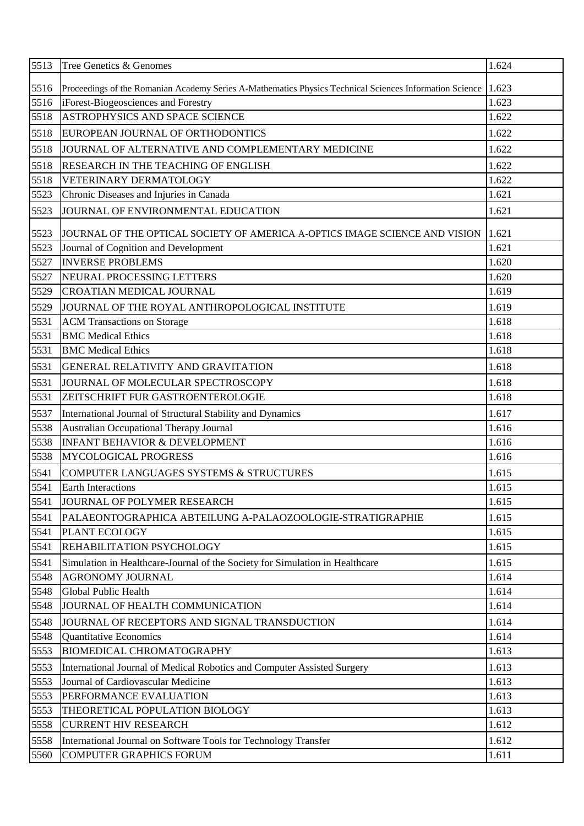| 5516<br>1.623<br>Proceedings of the Romanian Academy Series A-Mathematics Physics Technical Sciences Information Science<br>iForest-Biogeosciences and Forestry<br>1.623<br>5516<br><b>ASTROPHYSICS AND SPACE SCIENCE</b><br>5518<br>1.622<br>5518<br>EUROPEAN JOURNAL OF ORTHODONTICS<br>1.622<br>5518<br>1.622<br>JOURNAL OF ALTERNATIVE AND COMPLEMENTARY MEDICINE<br>5518<br>1.622<br><b>RESEARCH IN THE TEACHING OF ENGLISH</b><br>5518<br>VETERINARY DERMATOLOGY<br>1.622<br>5523<br>1.621<br>Chronic Diseases and Injuries in Canada<br>5523<br>JOURNAL OF ENVIRONMENTAL EDUCATION<br>1.621<br>5523<br>1.621<br>JOURNAL OF THE OPTICAL SOCIETY OF AMERICA A-OPTICS IMAGE SCIENCE AND VISION<br>5523<br>Journal of Cognition and Development<br>1.621<br>5527<br><b>INVERSE PROBLEMS</b><br>1.620<br>5527<br>NEURAL PROCESSING LETTERS<br>1.620<br>5529<br><b>CROATIAN MEDICAL JOURNAL</b><br>1.619<br>1.619<br>5529<br>JOURNAL OF THE ROYAL ANTHROPOLOGICAL INSTITUTE<br>5531<br>1.618<br><b>ACM Transactions on Storage</b><br>5531<br><b>BMC</b> Medical Ethics<br>1.618<br>5531<br>1.618<br><b>BMC</b> Medical Ethics<br>5531<br>1.618<br>GENERAL RELATIVITY AND GRAVITATION<br>5531<br>JOURNAL OF MOLECULAR SPECTROSCOPY<br>1.618<br>1.618<br>5531<br>ZEITSCHRIFT FUR GASTROENTEROLOGIE<br>5537<br>1.617<br>International Journal of Structural Stability and Dynamics<br>5538<br>Australian Occupational Therapy Journal<br>1.616<br><b>INFANT BEHAVIOR &amp; DEVELOPMENT</b><br>5538<br>1.616<br>5538<br><b>MYCOLOGICAL PROGRESS</b><br>1.616<br>5541<br>1.615<br>COMPUTER LANGUAGES SYSTEMS & STRUCTURES<br>1.615<br>5541<br><b>Earth Interactions</b><br>5541<br>JOURNAL OF POLYMER RESEARCH<br>1.615<br>5541<br>1.615<br>PALAEONTOGRAPHICA ABTEILUNG A-PALAOZOOLOGIE-STRATIGRAPHIE<br>1.615<br>5541<br>PLANT ECOLOGY<br>5541<br>1.615<br>REHABILITATION PSYCHOLOGY<br>1.615<br>5541<br>Simulation in Healthcare-Journal of the Society for Simulation in Healthcare<br>1.614<br>5548<br><b>AGRONOMY JOURNAL</b><br>5548<br>Global Public Health<br>1.614<br>1.614<br>5548<br>JOURNAL OF HEALTH COMMUNICATION<br>5548<br>1.614<br>JOURNAL OF RECEPTORS AND SIGNAL TRANSDUCTION<br>5548<br><b>Quantitative Economics</b><br>1.614<br>1.613<br>5553<br><b>BIOMEDICAL CHROMATOGRAPHY</b><br>5553<br>1.613<br>International Journal of Medical Robotics and Computer Assisted Surgery<br>5553<br>Journal of Cardiovascular Medicine<br>1.613<br>1.613<br>5553<br>PERFORMANCE EVALUATION<br>5553<br>1.613<br>THEORETICAL POPULATION BIOLOGY<br><b>CURRENT HIV RESEARCH</b><br>1.612<br>5558<br>1.612<br>5558<br>International Journal on Software Tools for Technology Transfer<br>5560<br><b>COMPUTER GRAPHICS FORUM</b><br>1.611 | 5513 | Tree Genetics & Genomes | 1.624 |
|----------------------------------------------------------------------------------------------------------------------------------------------------------------------------------------------------------------------------------------------------------------------------------------------------------------------------------------------------------------------------------------------------------------------------------------------------------------------------------------------------------------------------------------------------------------------------------------------------------------------------------------------------------------------------------------------------------------------------------------------------------------------------------------------------------------------------------------------------------------------------------------------------------------------------------------------------------------------------------------------------------------------------------------------------------------------------------------------------------------------------------------------------------------------------------------------------------------------------------------------------------------------------------------------------------------------------------------------------------------------------------------------------------------------------------------------------------------------------------------------------------------------------------------------------------------------------------------------------------------------------------------------------------------------------------------------------------------------------------------------------------------------------------------------------------------------------------------------------------------------------------------------------------------------------------------------------------------------------------------------------------------------------------------------------------------------------------------------------------------------------------------------------------------------------------------------------------------------------------------------------------------------------------------------------------------------------------------------------------------------------------------------------------------------------------------------------------------------------------------------------------------------------------------------------------------------------------------------------------------------------------------------------------------------------------------------------------------------------------------------|------|-------------------------|-------|
|                                                                                                                                                                                                                                                                                                                                                                                                                                                                                                                                                                                                                                                                                                                                                                                                                                                                                                                                                                                                                                                                                                                                                                                                                                                                                                                                                                                                                                                                                                                                                                                                                                                                                                                                                                                                                                                                                                                                                                                                                                                                                                                                                                                                                                                                                                                                                                                                                                                                                                                                                                                                                                                                                                                                              |      |                         |       |
|                                                                                                                                                                                                                                                                                                                                                                                                                                                                                                                                                                                                                                                                                                                                                                                                                                                                                                                                                                                                                                                                                                                                                                                                                                                                                                                                                                                                                                                                                                                                                                                                                                                                                                                                                                                                                                                                                                                                                                                                                                                                                                                                                                                                                                                                                                                                                                                                                                                                                                                                                                                                                                                                                                                                              |      |                         |       |
|                                                                                                                                                                                                                                                                                                                                                                                                                                                                                                                                                                                                                                                                                                                                                                                                                                                                                                                                                                                                                                                                                                                                                                                                                                                                                                                                                                                                                                                                                                                                                                                                                                                                                                                                                                                                                                                                                                                                                                                                                                                                                                                                                                                                                                                                                                                                                                                                                                                                                                                                                                                                                                                                                                                                              |      |                         |       |
|                                                                                                                                                                                                                                                                                                                                                                                                                                                                                                                                                                                                                                                                                                                                                                                                                                                                                                                                                                                                                                                                                                                                                                                                                                                                                                                                                                                                                                                                                                                                                                                                                                                                                                                                                                                                                                                                                                                                                                                                                                                                                                                                                                                                                                                                                                                                                                                                                                                                                                                                                                                                                                                                                                                                              |      |                         |       |
|                                                                                                                                                                                                                                                                                                                                                                                                                                                                                                                                                                                                                                                                                                                                                                                                                                                                                                                                                                                                                                                                                                                                                                                                                                                                                                                                                                                                                                                                                                                                                                                                                                                                                                                                                                                                                                                                                                                                                                                                                                                                                                                                                                                                                                                                                                                                                                                                                                                                                                                                                                                                                                                                                                                                              |      |                         |       |
|                                                                                                                                                                                                                                                                                                                                                                                                                                                                                                                                                                                                                                                                                                                                                                                                                                                                                                                                                                                                                                                                                                                                                                                                                                                                                                                                                                                                                                                                                                                                                                                                                                                                                                                                                                                                                                                                                                                                                                                                                                                                                                                                                                                                                                                                                                                                                                                                                                                                                                                                                                                                                                                                                                                                              |      |                         |       |
|                                                                                                                                                                                                                                                                                                                                                                                                                                                                                                                                                                                                                                                                                                                                                                                                                                                                                                                                                                                                                                                                                                                                                                                                                                                                                                                                                                                                                                                                                                                                                                                                                                                                                                                                                                                                                                                                                                                                                                                                                                                                                                                                                                                                                                                                                                                                                                                                                                                                                                                                                                                                                                                                                                                                              |      |                         |       |
|                                                                                                                                                                                                                                                                                                                                                                                                                                                                                                                                                                                                                                                                                                                                                                                                                                                                                                                                                                                                                                                                                                                                                                                                                                                                                                                                                                                                                                                                                                                                                                                                                                                                                                                                                                                                                                                                                                                                                                                                                                                                                                                                                                                                                                                                                                                                                                                                                                                                                                                                                                                                                                                                                                                                              |      |                         |       |
|                                                                                                                                                                                                                                                                                                                                                                                                                                                                                                                                                                                                                                                                                                                                                                                                                                                                                                                                                                                                                                                                                                                                                                                                                                                                                                                                                                                                                                                                                                                                                                                                                                                                                                                                                                                                                                                                                                                                                                                                                                                                                                                                                                                                                                                                                                                                                                                                                                                                                                                                                                                                                                                                                                                                              |      |                         |       |
|                                                                                                                                                                                                                                                                                                                                                                                                                                                                                                                                                                                                                                                                                                                                                                                                                                                                                                                                                                                                                                                                                                                                                                                                                                                                                                                                                                                                                                                                                                                                                                                                                                                                                                                                                                                                                                                                                                                                                                                                                                                                                                                                                                                                                                                                                                                                                                                                                                                                                                                                                                                                                                                                                                                                              |      |                         |       |
|                                                                                                                                                                                                                                                                                                                                                                                                                                                                                                                                                                                                                                                                                                                                                                                                                                                                                                                                                                                                                                                                                                                                                                                                                                                                                                                                                                                                                                                                                                                                                                                                                                                                                                                                                                                                                                                                                                                                                                                                                                                                                                                                                                                                                                                                                                                                                                                                                                                                                                                                                                                                                                                                                                                                              |      |                         |       |
|                                                                                                                                                                                                                                                                                                                                                                                                                                                                                                                                                                                                                                                                                                                                                                                                                                                                                                                                                                                                                                                                                                                                                                                                                                                                                                                                                                                                                                                                                                                                                                                                                                                                                                                                                                                                                                                                                                                                                                                                                                                                                                                                                                                                                                                                                                                                                                                                                                                                                                                                                                                                                                                                                                                                              |      |                         |       |
|                                                                                                                                                                                                                                                                                                                                                                                                                                                                                                                                                                                                                                                                                                                                                                                                                                                                                                                                                                                                                                                                                                                                                                                                                                                                                                                                                                                                                                                                                                                                                                                                                                                                                                                                                                                                                                                                                                                                                                                                                                                                                                                                                                                                                                                                                                                                                                                                                                                                                                                                                                                                                                                                                                                                              |      |                         |       |
|                                                                                                                                                                                                                                                                                                                                                                                                                                                                                                                                                                                                                                                                                                                                                                                                                                                                                                                                                                                                                                                                                                                                                                                                                                                                                                                                                                                                                                                                                                                                                                                                                                                                                                                                                                                                                                                                                                                                                                                                                                                                                                                                                                                                                                                                                                                                                                                                                                                                                                                                                                                                                                                                                                                                              |      |                         |       |
|                                                                                                                                                                                                                                                                                                                                                                                                                                                                                                                                                                                                                                                                                                                                                                                                                                                                                                                                                                                                                                                                                                                                                                                                                                                                                                                                                                                                                                                                                                                                                                                                                                                                                                                                                                                                                                                                                                                                                                                                                                                                                                                                                                                                                                                                                                                                                                                                                                                                                                                                                                                                                                                                                                                                              |      |                         |       |
|                                                                                                                                                                                                                                                                                                                                                                                                                                                                                                                                                                                                                                                                                                                                                                                                                                                                                                                                                                                                                                                                                                                                                                                                                                                                                                                                                                                                                                                                                                                                                                                                                                                                                                                                                                                                                                                                                                                                                                                                                                                                                                                                                                                                                                                                                                                                                                                                                                                                                                                                                                                                                                                                                                                                              |      |                         |       |
|                                                                                                                                                                                                                                                                                                                                                                                                                                                                                                                                                                                                                                                                                                                                                                                                                                                                                                                                                                                                                                                                                                                                                                                                                                                                                                                                                                                                                                                                                                                                                                                                                                                                                                                                                                                                                                                                                                                                                                                                                                                                                                                                                                                                                                                                                                                                                                                                                                                                                                                                                                                                                                                                                                                                              |      |                         |       |
|                                                                                                                                                                                                                                                                                                                                                                                                                                                                                                                                                                                                                                                                                                                                                                                                                                                                                                                                                                                                                                                                                                                                                                                                                                                                                                                                                                                                                                                                                                                                                                                                                                                                                                                                                                                                                                                                                                                                                                                                                                                                                                                                                                                                                                                                                                                                                                                                                                                                                                                                                                                                                                                                                                                                              |      |                         |       |
|                                                                                                                                                                                                                                                                                                                                                                                                                                                                                                                                                                                                                                                                                                                                                                                                                                                                                                                                                                                                                                                                                                                                                                                                                                                                                                                                                                                                                                                                                                                                                                                                                                                                                                                                                                                                                                                                                                                                                                                                                                                                                                                                                                                                                                                                                                                                                                                                                                                                                                                                                                                                                                                                                                                                              |      |                         |       |
|                                                                                                                                                                                                                                                                                                                                                                                                                                                                                                                                                                                                                                                                                                                                                                                                                                                                                                                                                                                                                                                                                                                                                                                                                                                                                                                                                                                                                                                                                                                                                                                                                                                                                                                                                                                                                                                                                                                                                                                                                                                                                                                                                                                                                                                                                                                                                                                                                                                                                                                                                                                                                                                                                                                                              |      |                         |       |
|                                                                                                                                                                                                                                                                                                                                                                                                                                                                                                                                                                                                                                                                                                                                                                                                                                                                                                                                                                                                                                                                                                                                                                                                                                                                                                                                                                                                                                                                                                                                                                                                                                                                                                                                                                                                                                                                                                                                                                                                                                                                                                                                                                                                                                                                                                                                                                                                                                                                                                                                                                                                                                                                                                                                              |      |                         |       |
|                                                                                                                                                                                                                                                                                                                                                                                                                                                                                                                                                                                                                                                                                                                                                                                                                                                                                                                                                                                                                                                                                                                                                                                                                                                                                                                                                                                                                                                                                                                                                                                                                                                                                                                                                                                                                                                                                                                                                                                                                                                                                                                                                                                                                                                                                                                                                                                                                                                                                                                                                                                                                                                                                                                                              |      |                         |       |
|                                                                                                                                                                                                                                                                                                                                                                                                                                                                                                                                                                                                                                                                                                                                                                                                                                                                                                                                                                                                                                                                                                                                                                                                                                                                                                                                                                                                                                                                                                                                                                                                                                                                                                                                                                                                                                                                                                                                                                                                                                                                                                                                                                                                                                                                                                                                                                                                                                                                                                                                                                                                                                                                                                                                              |      |                         |       |
|                                                                                                                                                                                                                                                                                                                                                                                                                                                                                                                                                                                                                                                                                                                                                                                                                                                                                                                                                                                                                                                                                                                                                                                                                                                                                                                                                                                                                                                                                                                                                                                                                                                                                                                                                                                                                                                                                                                                                                                                                                                                                                                                                                                                                                                                                                                                                                                                                                                                                                                                                                                                                                                                                                                                              |      |                         |       |
|                                                                                                                                                                                                                                                                                                                                                                                                                                                                                                                                                                                                                                                                                                                                                                                                                                                                                                                                                                                                                                                                                                                                                                                                                                                                                                                                                                                                                                                                                                                                                                                                                                                                                                                                                                                                                                                                                                                                                                                                                                                                                                                                                                                                                                                                                                                                                                                                                                                                                                                                                                                                                                                                                                                                              |      |                         |       |
|                                                                                                                                                                                                                                                                                                                                                                                                                                                                                                                                                                                                                                                                                                                                                                                                                                                                                                                                                                                                                                                                                                                                                                                                                                                                                                                                                                                                                                                                                                                                                                                                                                                                                                                                                                                                                                                                                                                                                                                                                                                                                                                                                                                                                                                                                                                                                                                                                                                                                                                                                                                                                                                                                                                                              |      |                         |       |
|                                                                                                                                                                                                                                                                                                                                                                                                                                                                                                                                                                                                                                                                                                                                                                                                                                                                                                                                                                                                                                                                                                                                                                                                                                                                                                                                                                                                                                                                                                                                                                                                                                                                                                                                                                                                                                                                                                                                                                                                                                                                                                                                                                                                                                                                                                                                                                                                                                                                                                                                                                                                                                                                                                                                              |      |                         |       |
|                                                                                                                                                                                                                                                                                                                                                                                                                                                                                                                                                                                                                                                                                                                                                                                                                                                                                                                                                                                                                                                                                                                                                                                                                                                                                                                                                                                                                                                                                                                                                                                                                                                                                                                                                                                                                                                                                                                                                                                                                                                                                                                                                                                                                                                                                                                                                                                                                                                                                                                                                                                                                                                                                                                                              |      |                         |       |
|                                                                                                                                                                                                                                                                                                                                                                                                                                                                                                                                                                                                                                                                                                                                                                                                                                                                                                                                                                                                                                                                                                                                                                                                                                                                                                                                                                                                                                                                                                                                                                                                                                                                                                                                                                                                                                                                                                                                                                                                                                                                                                                                                                                                                                                                                                                                                                                                                                                                                                                                                                                                                                                                                                                                              |      |                         |       |
|                                                                                                                                                                                                                                                                                                                                                                                                                                                                                                                                                                                                                                                                                                                                                                                                                                                                                                                                                                                                                                                                                                                                                                                                                                                                                                                                                                                                                                                                                                                                                                                                                                                                                                                                                                                                                                                                                                                                                                                                                                                                                                                                                                                                                                                                                                                                                                                                                                                                                                                                                                                                                                                                                                                                              |      |                         |       |
|                                                                                                                                                                                                                                                                                                                                                                                                                                                                                                                                                                                                                                                                                                                                                                                                                                                                                                                                                                                                                                                                                                                                                                                                                                                                                                                                                                                                                                                                                                                                                                                                                                                                                                                                                                                                                                                                                                                                                                                                                                                                                                                                                                                                                                                                                                                                                                                                                                                                                                                                                                                                                                                                                                                                              |      |                         |       |
|                                                                                                                                                                                                                                                                                                                                                                                                                                                                                                                                                                                                                                                                                                                                                                                                                                                                                                                                                                                                                                                                                                                                                                                                                                                                                                                                                                                                                                                                                                                                                                                                                                                                                                                                                                                                                                                                                                                                                                                                                                                                                                                                                                                                                                                                                                                                                                                                                                                                                                                                                                                                                                                                                                                                              |      |                         |       |
|                                                                                                                                                                                                                                                                                                                                                                                                                                                                                                                                                                                                                                                                                                                                                                                                                                                                                                                                                                                                                                                                                                                                                                                                                                                                                                                                                                                                                                                                                                                                                                                                                                                                                                                                                                                                                                                                                                                                                                                                                                                                                                                                                                                                                                                                                                                                                                                                                                                                                                                                                                                                                                                                                                                                              |      |                         |       |
|                                                                                                                                                                                                                                                                                                                                                                                                                                                                                                                                                                                                                                                                                                                                                                                                                                                                                                                                                                                                                                                                                                                                                                                                                                                                                                                                                                                                                                                                                                                                                                                                                                                                                                                                                                                                                                                                                                                                                                                                                                                                                                                                                                                                                                                                                                                                                                                                                                                                                                                                                                                                                                                                                                                                              |      |                         |       |
|                                                                                                                                                                                                                                                                                                                                                                                                                                                                                                                                                                                                                                                                                                                                                                                                                                                                                                                                                                                                                                                                                                                                                                                                                                                                                                                                                                                                                                                                                                                                                                                                                                                                                                                                                                                                                                                                                                                                                                                                                                                                                                                                                                                                                                                                                                                                                                                                                                                                                                                                                                                                                                                                                                                                              |      |                         |       |
|                                                                                                                                                                                                                                                                                                                                                                                                                                                                                                                                                                                                                                                                                                                                                                                                                                                                                                                                                                                                                                                                                                                                                                                                                                                                                                                                                                                                                                                                                                                                                                                                                                                                                                                                                                                                                                                                                                                                                                                                                                                                                                                                                                                                                                                                                                                                                                                                                                                                                                                                                                                                                                                                                                                                              |      |                         |       |
|                                                                                                                                                                                                                                                                                                                                                                                                                                                                                                                                                                                                                                                                                                                                                                                                                                                                                                                                                                                                                                                                                                                                                                                                                                                                                                                                                                                                                                                                                                                                                                                                                                                                                                                                                                                                                                                                                                                                                                                                                                                                                                                                                                                                                                                                                                                                                                                                                                                                                                                                                                                                                                                                                                                                              |      |                         |       |
|                                                                                                                                                                                                                                                                                                                                                                                                                                                                                                                                                                                                                                                                                                                                                                                                                                                                                                                                                                                                                                                                                                                                                                                                                                                                                                                                                                                                                                                                                                                                                                                                                                                                                                                                                                                                                                                                                                                                                                                                                                                                                                                                                                                                                                                                                                                                                                                                                                                                                                                                                                                                                                                                                                                                              |      |                         |       |
|                                                                                                                                                                                                                                                                                                                                                                                                                                                                                                                                                                                                                                                                                                                                                                                                                                                                                                                                                                                                                                                                                                                                                                                                                                                                                                                                                                                                                                                                                                                                                                                                                                                                                                                                                                                                                                                                                                                                                                                                                                                                                                                                                                                                                                                                                                                                                                                                                                                                                                                                                                                                                                                                                                                                              |      |                         |       |
|                                                                                                                                                                                                                                                                                                                                                                                                                                                                                                                                                                                                                                                                                                                                                                                                                                                                                                                                                                                                                                                                                                                                                                                                                                                                                                                                                                                                                                                                                                                                                                                                                                                                                                                                                                                                                                                                                                                                                                                                                                                                                                                                                                                                                                                                                                                                                                                                                                                                                                                                                                                                                                                                                                                                              |      |                         |       |
|                                                                                                                                                                                                                                                                                                                                                                                                                                                                                                                                                                                                                                                                                                                                                                                                                                                                                                                                                                                                                                                                                                                                                                                                                                                                                                                                                                                                                                                                                                                                                                                                                                                                                                                                                                                                                                                                                                                                                                                                                                                                                                                                                                                                                                                                                                                                                                                                                                                                                                                                                                                                                                                                                                                                              |      |                         |       |
|                                                                                                                                                                                                                                                                                                                                                                                                                                                                                                                                                                                                                                                                                                                                                                                                                                                                                                                                                                                                                                                                                                                                                                                                                                                                                                                                                                                                                                                                                                                                                                                                                                                                                                                                                                                                                                                                                                                                                                                                                                                                                                                                                                                                                                                                                                                                                                                                                                                                                                                                                                                                                                                                                                                                              |      |                         |       |
|                                                                                                                                                                                                                                                                                                                                                                                                                                                                                                                                                                                                                                                                                                                                                                                                                                                                                                                                                                                                                                                                                                                                                                                                                                                                                                                                                                                                                                                                                                                                                                                                                                                                                                                                                                                                                                                                                                                                                                                                                                                                                                                                                                                                                                                                                                                                                                                                                                                                                                                                                                                                                                                                                                                                              |      |                         |       |
|                                                                                                                                                                                                                                                                                                                                                                                                                                                                                                                                                                                                                                                                                                                                                                                                                                                                                                                                                                                                                                                                                                                                                                                                                                                                                                                                                                                                                                                                                                                                                                                                                                                                                                                                                                                                                                                                                                                                                                                                                                                                                                                                                                                                                                                                                                                                                                                                                                                                                                                                                                                                                                                                                                                                              |      |                         |       |
|                                                                                                                                                                                                                                                                                                                                                                                                                                                                                                                                                                                                                                                                                                                                                                                                                                                                                                                                                                                                                                                                                                                                                                                                                                                                                                                                                                                                                                                                                                                                                                                                                                                                                                                                                                                                                                                                                                                                                                                                                                                                                                                                                                                                                                                                                                                                                                                                                                                                                                                                                                                                                                                                                                                                              |      |                         |       |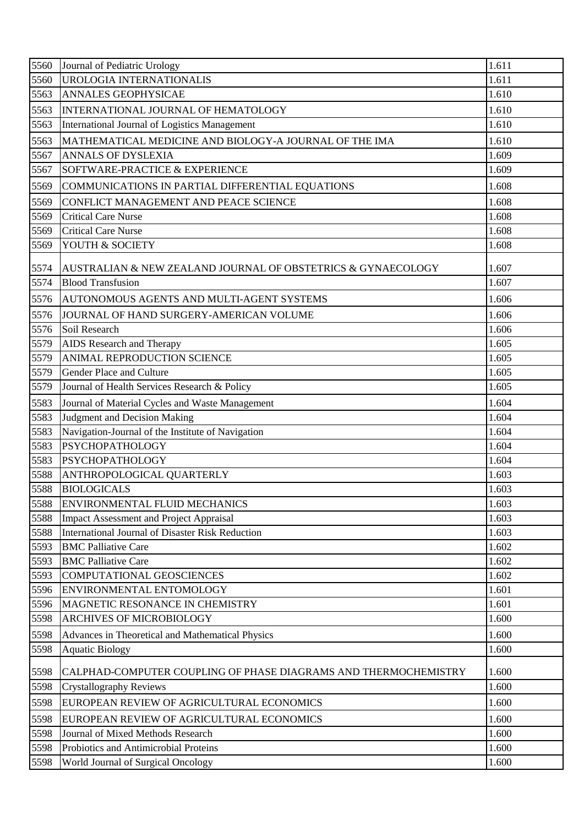| 5560 | Journal of Pediatric Urology                                    | 1.611 |
|------|-----------------------------------------------------------------|-------|
| 5560 | UROLOGIA INTERNATIONALIS                                        | 1.611 |
| 5563 | <b>ANNALES GEOPHYSICAE</b>                                      | 1.610 |
| 5563 | INTERNATIONAL JOURNAL OF HEMATOLOGY                             | 1.610 |
| 5563 | International Journal of Logistics Management                   | 1.610 |
| 5563 | MATHEMATICAL MEDICINE AND BIOLOGY-A JOURNAL OF THE IMA          | 1.610 |
| 5567 | ANNALS OF DYSLEXIA                                              | 1.609 |
| 5567 | SOFTWARE-PRACTICE & EXPERIENCE                                  | 1.609 |
| 5569 | COMMUNICATIONS IN PARTIAL DIFFERENTIAL EQUATIONS                | 1.608 |
| 5569 | CONFLICT MANAGEMENT AND PEACE SCIENCE                           | 1.608 |
| 5569 | <b>Critical Care Nurse</b>                                      | 1.608 |
| 5569 | <b>Critical Care Nurse</b>                                      | 1.608 |
| 5569 | YOUTH & SOCIETY                                                 | 1.608 |
| 5574 | AUSTRALIAN & NEW ZEALAND JOURNAL OF OBSTETRICS & GYNAECOLOGY    | 1.607 |
| 5574 | <b>Blood Transfusion</b>                                        | 1.607 |
| 5576 | AUTONOMOUS AGENTS AND MULTI-AGENT SYSTEMS                       | 1.606 |
| 5576 | JOURNAL OF HAND SURGERY-AMERICAN VOLUME                         | 1.606 |
| 5576 | Soil Research                                                   | 1.606 |
| 5579 | <b>AIDS</b> Research and Therapy                                | 1.605 |
| 5579 | ANIMAL REPRODUCTION SCIENCE                                     | 1.605 |
| 5579 | Gender Place and Culture                                        | 1.605 |
| 5579 | Journal of Health Services Research & Policy                    | 1.605 |
| 5583 | Journal of Material Cycles and Waste Management                 | 1.604 |
| 5583 | Judgment and Decision Making                                    | 1.604 |
| 5583 | Navigation-Journal of the Institute of Navigation               | 1.604 |
| 5583 | <b>PSYCHOPATHOLOGY</b>                                          | 1.604 |
| 5583 | <b>PSYCHOPATHOLOGY</b>                                          | 1.604 |
| 5588 | <b>ANTHROPOLOGICAL QUARTERLY</b>                                | 1.603 |
| 5588 | <b>BIOLOGICALS</b>                                              | 1.603 |
| 5588 | <b>ENVIRONMENTAL FLUID MECHANICS</b>                            | 1.603 |
| 5588 | <b>Impact Assessment and Project Appraisal</b>                  | 1.603 |
| 5588 | International Journal of Disaster Risk Reduction                | 1.603 |
| 5593 | <b>BMC Palliative Care</b>                                      | 1.602 |
| 5593 | <b>BMC Palliative Care</b>                                      | 1.602 |
| 5593 | COMPUTATIONAL GEOSCIENCES                                       | 1.602 |
| 5596 | ENVIRONMENTAL ENTOMOLOGY                                        | 1.601 |
| 5596 | MAGNETIC RESONANCE IN CHEMISTRY                                 | 1.601 |
| 5598 | ARCHIVES OF MICROBIOLOGY                                        | 1.600 |
| 5598 | Advances in Theoretical and Mathematical Physics                | 1.600 |
| 5598 | <b>Aquatic Biology</b>                                          | 1.600 |
| 5598 | CALPHAD-COMPUTER COUPLING OF PHASE DIAGRAMS AND THERMOCHEMISTRY | 1.600 |
| 5598 | <b>Crystallography Reviews</b>                                  | 1.600 |
| 5598 | EUROPEAN REVIEW OF AGRICULTURAL ECONOMICS                       | 1.600 |
| 5598 | EUROPEAN REVIEW OF AGRICULTURAL ECONOMICS                       | 1.600 |
| 5598 | Journal of Mixed Methods Research                               | 1.600 |
| 5598 | Probiotics and Antimicrobial Proteins                           | 1.600 |
| 5598 | World Journal of Surgical Oncology                              | 1.600 |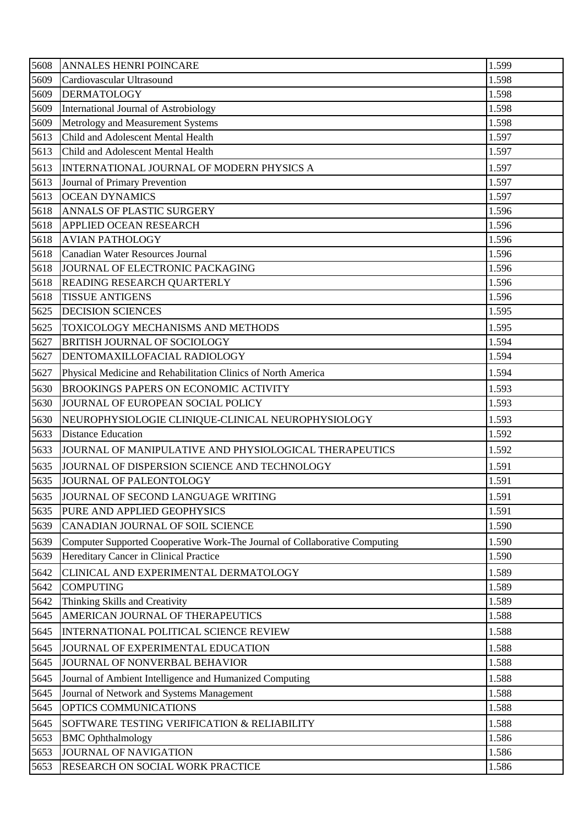| 5609<br>Cardiovascular Ultrasound                                                  | 1.598 |
|------------------------------------------------------------------------------------|-------|
|                                                                                    |       |
| 5609<br><b>DERMATOLOGY</b>                                                         | 1.598 |
| 5609<br>International Journal of Astrobiology                                      | 1.598 |
| Metrology and Measurement Systems<br>5609                                          | 1.598 |
| Child and Adolescent Mental Health<br>5613                                         | 1.597 |
| 5613<br>Child and Adolescent Mental Health                                         | 1.597 |
| 5613<br>INTERNATIONAL JOURNAL OF MODERN PHYSICS A                                  | 1.597 |
| 5613<br>Journal of Primary Prevention                                              | 1.597 |
| 5613<br><b>OCEAN DYNAMICS</b>                                                      | 1.597 |
| 5618<br>ANNALS OF PLASTIC SURGERY                                                  | 1.596 |
| 5618<br>APPLIED OCEAN RESEARCH                                                     | 1.596 |
| 5618<br><b>AVIAN PATHOLOGY</b>                                                     | 1.596 |
| 5618<br>Canadian Water Resources Journal                                           | 1.596 |
| 5618<br>JOURNAL OF ELECTRONIC PACKAGING                                            | 1.596 |
| 5618<br>READING RESEARCH QUARTERLY                                                 | 1.596 |
| 5618<br><b>TISSUE ANTIGENS</b>                                                     | 1.596 |
| 5625<br><b>DECISION SCIENCES</b>                                                   | 1.595 |
| 5625<br>TOXICOLOGY MECHANISMS AND METHODS                                          | 1.595 |
| 5627<br><b>BRITISH JOURNAL OF SOCIOLOGY</b>                                        | 1.594 |
| 5627<br>DENTOMAXILLOFACIAL RADIOLOGY                                               | 1.594 |
| 5627<br>Physical Medicine and Rehabilitation Clinics of North America              | 1.594 |
| 5630<br><b>BROOKINGS PAPERS ON ECONOMIC ACTIVITY</b>                               | 1.593 |
| JOURNAL OF EUROPEAN SOCIAL POLICY<br>5630                                          | 1.593 |
| 5630<br>NEUROPHYSIOLOGIE CLINIQUE-CLINICAL NEUROPHYSIOLOGY                         | 1.593 |
| 5633<br><b>Distance Education</b>                                                  | 1.592 |
| 5633<br>JOURNAL OF MANIPULATIVE AND PHYSIOLOGICAL THERAPEUTICS                     | 1.592 |
| 5635<br>JOURNAL OF DISPERSION SCIENCE AND TECHNOLOGY                               | 1.591 |
| 5635 JJOURNAL OF PALEONTOLOGY                                                      | 1.591 |
| JOURNAL OF SECOND LANGUAGE WRITING<br>5635                                         | 1.591 |
| PURE AND APPLIED GEOPHYSICS<br>5635                                                | 1.591 |
| 5639<br>CANADIAN JOURNAL OF SOIL SCIENCE                                           | 1.590 |
| 5639<br>Computer Supported Cooperative Work-The Journal of Collaborative Computing | 1.590 |
| Hereditary Cancer in Clinical Practice<br>5639                                     | 1.590 |
| CLINICAL AND EXPERIMENTAL DERMATOLOGY<br>5642                                      | 1.589 |
| <b>COMPUTING</b><br>5642                                                           | 1.589 |
| Thinking Skills and Creativity<br>5642                                             | 1.589 |
| AMERICAN JOURNAL OF THERAPEUTICS<br>5645                                           | 1.588 |
| 5645<br>INTERNATIONAL POLITICAL SCIENCE REVIEW                                     | 1.588 |
| 5645<br>JOURNAL OF EXPERIMENTAL EDUCATION                                          | 1.588 |
| 5645<br>JOURNAL OF NONVERBAL BEHAVIOR                                              | 1.588 |
| 5645<br>Journal of Ambient Intelligence and Humanized Computing                    | 1.588 |
| Journal of Network and Systems Management<br>5645                                  | 1.588 |
| OPTICS COMMUNICATIONS<br>5645                                                      | 1.588 |
| 5645<br>SOFTWARE TESTING VERIFICATION & RELIABILITY                                | 1.588 |
| 5653<br><b>BMC</b> Ophthalmology                                                   | 1.586 |
| <b>JOURNAL OF NAVIGATION</b><br>5653                                               | 1.586 |
| 5653<br>RESEARCH ON SOCIAL WORK PRACTICE                                           | 1.586 |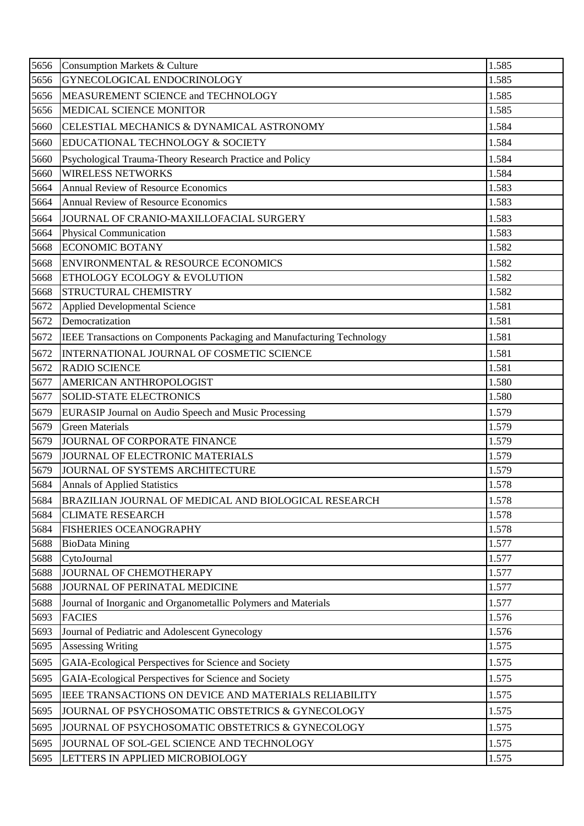| 5656 | <b>Consumption Markets &amp; Culture</b>                               | 1.585 |
|------|------------------------------------------------------------------------|-------|
| 5656 | GYNECOLOGICAL ENDOCRINOLOGY                                            | 1.585 |
| 5656 | MEASUREMENT SCIENCE and TECHNOLOGY                                     | 1.585 |
| 5656 | MEDICAL SCIENCE MONITOR                                                | 1.585 |
| 5660 | CELESTIAL MECHANICS & DYNAMICAL ASTRONOMY                              | 1.584 |
| 5660 | EDUCATIONAL TECHNOLOGY & SOCIETY                                       | 1.584 |
| 5660 | Psychological Trauma-Theory Research Practice and Policy               | 1.584 |
| 5660 | <b>WIRELESS NETWORKS</b>                                               | 1.584 |
| 5664 | <b>Annual Review of Resource Economics</b>                             | 1.583 |
| 5664 | <b>Annual Review of Resource Economics</b>                             | 1.583 |
| 5664 | JOURNAL OF CRANIO-MAXILLOFACIAL SURGERY                                | 1.583 |
| 5664 | Physical Communication                                                 | 1.583 |
| 5668 | <b>ECONOMIC BOTANY</b>                                                 | 1.582 |
| 5668 | ENVIRONMENTAL & RESOURCE ECONOMICS                                     | 1.582 |
| 5668 | ETHOLOGY ECOLOGY & EVOLUTION                                           | 1.582 |
| 5668 | <b>STRUCTURAL CHEMISTRY</b>                                            | 1.582 |
| 5672 | <b>Applied Developmental Science</b>                                   | 1.581 |
| 5672 | Democratization                                                        | 1.581 |
| 5672 | IEEE Transactions on Components Packaging and Manufacturing Technology | 1.581 |
| 5672 | INTERNATIONAL JOURNAL OF COSMETIC SCIENCE                              | 1.581 |
| 5672 | <b>RADIO SCIENCE</b>                                                   | 1.581 |
| 5677 | AMERICAN ANTHROPOLOGIST                                                | 1.580 |
| 5677 | <b>SOLID-STATE ELECTRONICS</b>                                         | 1.580 |
| 5679 | EURASIP Journal on Audio Speech and Music Processing                   | 1.579 |
| 5679 | <b>Green Materials</b>                                                 | 1.579 |
| 5679 | JOURNAL OF CORPORATE FINANCE                                           | 1.579 |
| 5679 | JOURNAL OF ELECTRONIC MATERIALS                                        | 1.579 |
| 5679 | JOURNAL OF SYSTEMS ARCHITECTURE                                        | 1.579 |
| 5684 | <b>Annals of Applied Statistics</b>                                    | 1.578 |
| 5684 | BRAZILIAN JOURNAL OF MEDICAL AND BIOLOGICAL RESEARCH                   | 1.578 |
| 5684 | <b>CLIMATE RESEARCH</b>                                                | 1.578 |
| 5684 | <b>FISHERIES OCEANOGRAPHY</b>                                          | 1.578 |
| 5688 | <b>BioData Mining</b>                                                  | 1.577 |
| 5688 | CytoJournal                                                            | 1.577 |
| 5688 | JOURNAL OF CHEMOTHERAPY                                                | 1.577 |
| 5688 | JOURNAL OF PERINATAL MEDICINE                                          | 1.577 |
| 5688 | Journal of Inorganic and Organometallic Polymers and Materials         | 1.577 |
| 5693 | <b>FACIES</b>                                                          | 1.576 |
| 5693 | Journal of Pediatric and Adolescent Gynecology                         | 1.576 |
| 5695 | <b>Assessing Writing</b>                                               | 1.575 |
| 5695 | GAIA-Ecological Perspectives for Science and Society                   | 1.575 |
| 5695 | GAIA-Ecological Perspectives for Science and Society                   | 1.575 |
| 5695 | IEEE TRANSACTIONS ON DEVICE AND MATERIALS RELIABILITY                  | 1.575 |
| 5695 | JOURNAL OF PSYCHOSOMATIC OBSTETRICS & GYNECOLOGY                       | 1.575 |
| 5695 | JOURNAL OF PSYCHOSOMATIC OBSTETRICS & GYNECOLOGY                       | 1.575 |
| 5695 | JOURNAL OF SOL-GEL SCIENCE AND TECHNOLOGY                              | 1.575 |
| 5695 | LETTERS IN APPLIED MICROBIOLOGY                                        | 1.575 |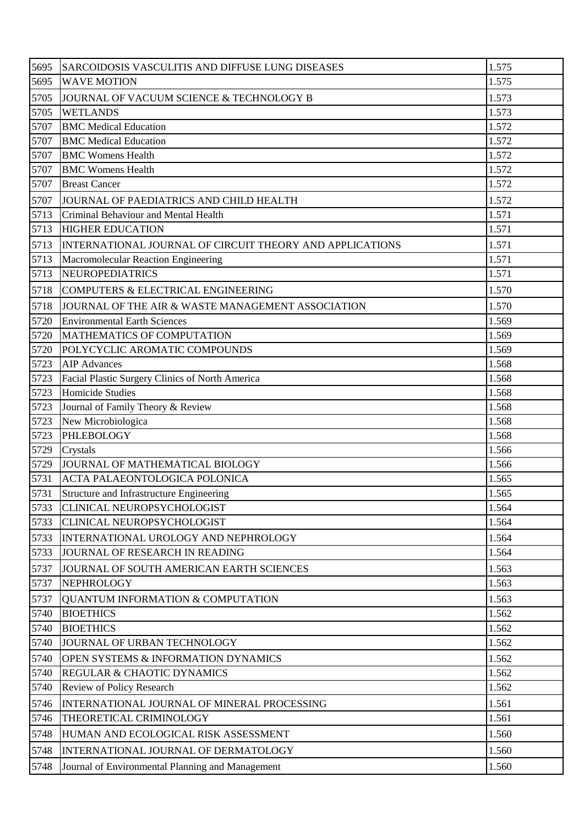| 5695         | SARCOIDOSIS VASCULITIS AND DIFFUSE LUNG DISEASES                       | 1.575          |
|--------------|------------------------------------------------------------------------|----------------|
| 5695         | <b>WAVE MOTION</b>                                                     | 1.575          |
| 5705         | JOURNAL OF VACUUM SCIENCE & TECHNOLOGY B                               | 1.573          |
| 5705         | <b>WETLANDS</b>                                                        | 1.573          |
| 5707         | <b>BMC</b> Medical Education                                           | 1.572          |
| 5707         | <b>BMC</b> Medical Education                                           | 1.572          |
| 5707         | <b>BMC Womens Health</b>                                               | 1.572          |
| 5707         | <b>BMC Womens Health</b>                                               | 1.572          |
| 5707         | <b>Breast Cancer</b>                                                   | 1.572          |
| 5707         | JOURNAL OF PAEDIATRICS AND CHILD HEALTH                                | 1.572          |
| 5713         | Criminal Behaviour and Mental Health                                   | 1.571          |
| 5713         | <b>HIGHER EDUCATION</b>                                                | 1.571          |
| 5713         | INTERNATIONAL JOURNAL OF CIRCUIT THEORY AND APPLICATIONS               | 1.571          |
| 5713         | Macromolecular Reaction Engineering                                    | 1.571          |
| 5713         | <b>NEUROPEDIATRICS</b>                                                 | 1.571          |
| 5718         | COMPUTERS & ELECTRICAL ENGINEERING                                     | 1.570          |
| 5718         | JOURNAL OF THE AIR & WASTE MANAGEMENT ASSOCIATION                      | 1.570          |
| 5720         | <b>Environmental Earth Sciences</b>                                    | 1.569          |
| 5720         | MATHEMATICS OF COMPUTATION                                             | 1.569          |
| 5720         | POLYCYCLIC AROMATIC COMPOUNDS                                          | 1.569          |
| 5723         | <b>AIP</b> Advances                                                    | 1.568          |
| 5723         | Facial Plastic Surgery Clinics of North America                        | 1.568          |
| 5723         | Homicide Studies                                                       | 1.568          |
| 5723         | Journal of Family Theory & Review                                      | 1.568          |
| 5723         | New Microbiologica                                                     | 1.568          |
| 5723         | <b>PHLEBOLOGY</b>                                                      | 1.568          |
| 5729         | Crystals                                                               | 1.566          |
| 5729         | JOURNAL OF MATHEMATICAL BIOLOGY                                        | 1.566          |
| 5731<br>5731 | <b>ACTA PALAEONTOLOGICA POLONICA</b>                                   | 1.565          |
| 5733         | Structure and Infrastructure Engineering<br>CLINICAL NEUROPSYCHOLOGIST | 1.565<br>1.564 |
| 5733         | CLINICAL NEUROPSYCHOLOGIST                                             | 1.564          |
|              | INTERNATIONAL UROLOGY AND NEPHROLOGY                                   | 1.564          |
| 5733<br>5733 | JOURNAL OF RESEARCH IN READING                                         | 1.564          |
|              |                                                                        |                |
| 5737         | JOURNAL OF SOUTH AMERICAN EARTH SCIENCES                               | 1.563          |
| 5737         | NEPHROLOGY                                                             | 1.563          |
| 5737         | QUANTUM INFORMATION & COMPUTATION                                      | 1.563          |
| 5740<br>5740 | <b>BIOETHICS</b><br><b>BIOETHICS</b>                                   | 1.562<br>1.562 |
| 5740         | JOURNAL OF URBAN TECHNOLOGY                                            | 1.562          |
|              |                                                                        |                |
| 5740         | OPEN SYSTEMS & INFORMATION DYNAMICS                                    | 1.562          |
| 5740<br>5740 | REGULAR & CHAOTIC DYNAMICS<br>Review of Policy Research                | 1.562<br>1.562 |
|              |                                                                        |                |
| 5746         | INTERNATIONAL JOURNAL OF MINERAL PROCESSING                            | 1.561          |
| 5746         | THEORETICAL CRIMINOLOGY                                                | 1.561          |
| 5748         | HUMAN AND ECOLOGICAL RISK ASSESSMENT                                   | 1.560          |
| 5748         | INTERNATIONAL JOURNAL OF DERMATOLOGY                                   | 1.560          |
| 5748         | Journal of Environmental Planning and Management                       | 1.560          |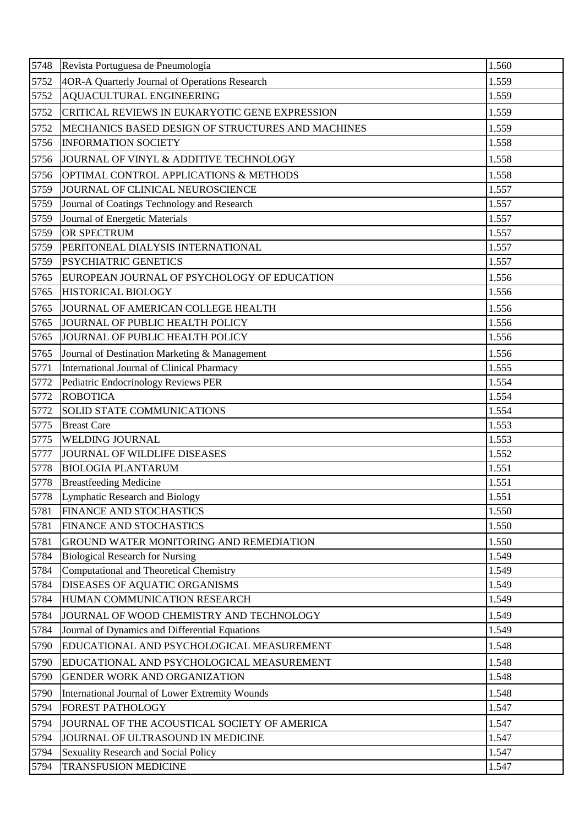| 5748 | Revista Portuguesa de Pneumologia                 | 1.560 |
|------|---------------------------------------------------|-------|
| 5752 | 4OR-A Quarterly Journal of Operations Research    | 1.559 |
| 5752 | AQUACULTURAL ENGINEERING                          | 1.559 |
| 5752 | CRITICAL REVIEWS IN EUKARYOTIC GENE EXPRESSION    | 1.559 |
| 5752 | MECHANICS BASED DESIGN OF STRUCTURES AND MACHINES | 1.559 |
| 5756 | <b>INFORMATION SOCIETY</b>                        | 1.558 |
| 5756 | JOURNAL OF VINYL & ADDITIVE TECHNOLOGY            | 1.558 |
| 5756 | OPTIMAL CONTROL APPLICATIONS & METHODS            | 1.558 |
| 5759 | JOURNAL OF CLINICAL NEUROSCIENCE                  | 1.557 |
| 5759 | Journal of Coatings Technology and Research       | 1.557 |
| 5759 | Journal of Energetic Materials                    | 1.557 |
| 5759 | <b>OR SPECTRUM</b>                                | 1.557 |
| 5759 | PERITONEAL DIALYSIS INTERNATIONAL                 | 1.557 |
| 5759 | <b>PSYCHIATRIC GENETICS</b>                       | 1.557 |
| 5765 | EUROPEAN JOURNAL OF PSYCHOLOGY OF EDUCATION       | 1.556 |
| 5765 | HISTORICAL BIOLOGY                                | 1.556 |
| 5765 | JOURNAL OF AMERICAN COLLEGE HEALTH                | 1.556 |
| 5765 | JOURNAL OF PUBLIC HEALTH POLICY                   | 1.556 |
| 5765 | JOURNAL OF PUBLIC HEALTH POLICY                   | 1.556 |
| 5765 | Journal of Destination Marketing & Management     | 1.556 |
| 5771 | International Journal of Clinical Pharmacy        | 1.555 |
| 5772 | Pediatric Endocrinology Reviews PER               | 1.554 |
| 5772 | <b>ROBOTICA</b>                                   | 1.554 |
| 5772 | <b>SOLID STATE COMMUNICATIONS</b>                 | 1.554 |
|      |                                                   |       |
| 5775 | <b>Breast Care</b>                                | 1.553 |
| 5775 | <b>WELDING JOURNAL</b>                            | 1.553 |
| 5777 | JOURNAL OF WILDLIFE DISEASES                      | 1.552 |
| 5778 | <b>BIOLOGIA PLANTARUM</b>                         | 1.551 |
|      | 5778 Breastfeeding Medicine                       | 1.551 |
| 5778 | Lymphatic Research and Biology                    | 1.551 |
| 5781 | <b>FINANCE AND STOCHASTICS</b>                    | 1.550 |
| 5781 | <b>FINANCE AND STOCHASTICS</b>                    | 1.550 |
| 5781 | <b>GROUND WATER MONITORING AND REMEDIATION</b>    | 1.550 |
| 5784 | <b>Biological Research for Nursing</b>            | 1.549 |
| 5784 | Computational and Theoretical Chemistry           | 1.549 |
| 5784 | DISEASES OF AQUATIC ORGANISMS                     | 1.549 |
| 5784 | HUMAN COMMUNICATION RESEARCH                      | 1.549 |
| 5784 | JOURNAL OF WOOD CHEMISTRY AND TECHNOLOGY          | 1.549 |
| 5784 | Journal of Dynamics and Differential Equations    | 1.549 |
| 5790 | EDUCATIONAL AND PSYCHOLOGICAL MEASUREMENT         | 1.548 |
| 5790 | EDUCATIONAL AND PSYCHOLOGICAL MEASUREMENT         | 1.548 |
| 5790 | <b>GENDER WORK AND ORGANIZATION</b>               | 1.548 |
| 5790 | International Journal of Lower Extremity Wounds   | 1.548 |
| 5794 | <b>FOREST PATHOLOGY</b>                           | 1.547 |
| 5794 | JOURNAL OF THE ACOUSTICAL SOCIETY OF AMERICA      | 1.547 |
| 5794 | JOURNAL OF ULTRASOUND IN MEDICINE                 | 1.547 |
| 5794 | Sexuality Research and Social Policy              | 1.547 |
| 5794 | <b>TRANSFUSION MEDICINE</b>                       | 1.547 |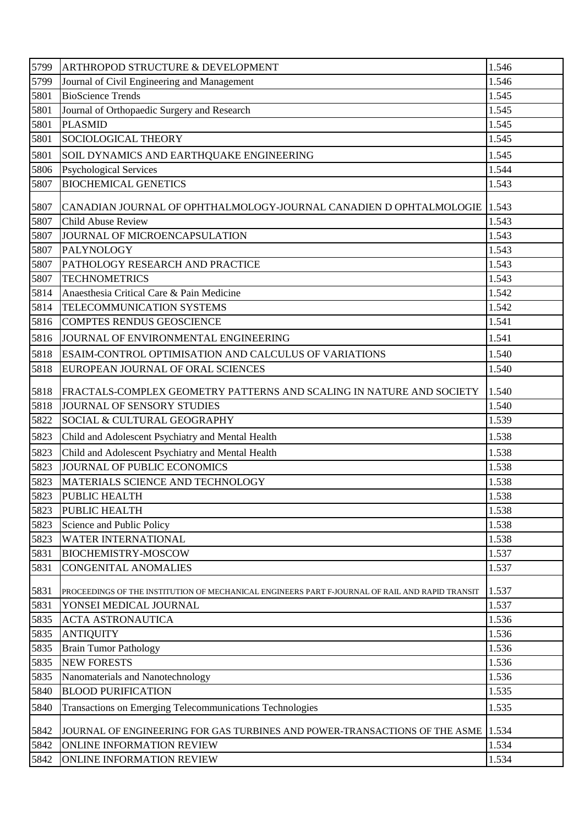| 5799         | ARTHROPOD STRUCTURE & DEVELOPMENT                                                                  | 1.546          |
|--------------|----------------------------------------------------------------------------------------------------|----------------|
| 5799         | Journal of Civil Engineering and Management                                                        | 1.546          |
| 5801         | <b>BioScience Trends</b>                                                                           | 1.545          |
| 5801         | Journal of Orthopaedic Surgery and Research                                                        | 1.545          |
| 5801         | <b>PLASMID</b>                                                                                     | 1.545          |
| 5801         | SOCIOLOGICAL THEORY                                                                                | 1.545          |
| 5801         | SOIL DYNAMICS AND EARTHQUAKE ENGINEERING                                                           | 1.545          |
| 5806         | <b>Psychological Services</b>                                                                      | 1.544          |
| 5807         | <b>BIOCHEMICAL GENETICS</b>                                                                        | 1.543          |
| 5807         | CANADIAN JOURNAL OF OPHTHALMOLOGY-JOURNAL CANADIEN D OPHTALMOLOGIE 1.543                           |                |
| 5807         | <b>Child Abuse Review</b>                                                                          | 1.543          |
| 5807         | JOURNAL OF MICROENCAPSULATION                                                                      | 1.543          |
| 5807         | PALYNOLOGY                                                                                         | 1.543          |
| 5807         | PATHOLOGY RESEARCH AND PRACTICE                                                                    | 1.543          |
| 5807         | <b>TECHNOMETRICS</b>                                                                               | 1.543          |
| 5814         | Anaesthesia Critical Care & Pain Medicine                                                          | 1.542          |
| 5814         | TELECOMMUNICATION SYSTEMS                                                                          | 1.542          |
| 5816         | <b>COMPTES RENDUS GEOSCIENCE</b>                                                                   | 1.541          |
| 5816         | JOURNAL OF ENVIRONMENTAL ENGINEERING                                                               | 1.541          |
| 5818         | ESAIM-CONTROL OPTIMISATION AND CALCULUS OF VARIATIONS                                              | 1.540          |
| 5818         | EUROPEAN JOURNAL OF ORAL SCIENCES                                                                  | 1.540          |
| 5818         |                                                                                                    | 1.540          |
| 5818         | FRACTALS-COMPLEX GEOMETRY PATTERNS AND SCALING IN NATURE AND SOCIETY<br>JOURNAL OF SENSORY STUDIES | 1.540          |
| 5822         | SOCIAL & CULTURAL GEOGRAPHY                                                                        | 1.539          |
| 5823         | Child and Adolescent Psychiatry and Mental Health                                                  | 1.538          |
|              |                                                                                                    |                |
| 5823         | Child and Adolescent Psychiatry and Mental Health                                                  | 1.538          |
| 5823         | JOURNAL OF PUBLIC ECONOMICS                                                                        | 1.538          |
| 5823<br>5823 | MATERIALS SCIENCE AND TECHNOLOGY<br>PUBLIC HEALTH                                                  | 1.538          |
| 5823         | PUBLIC HEALTH                                                                                      | 1.538<br>1.538 |
| 5823         | Science and Public Policy                                                                          | 1.538          |
| 5823         | <b>WATER INTERNATIONAL</b>                                                                         | 1.538          |
| 5831         | <b>BIOCHEMISTRY-MOSCOW</b>                                                                         | 1.537          |
| 5831         | <b>CONGENITAL ANOMALIES</b>                                                                        | 1.537          |
|              |                                                                                                    |                |
| 5831         | PROCEEDINGS OF THE INSTITUTION OF MECHANICAL ENGINEERS PART F-JOURNAL OF RAIL AND RAPID TRANSIT    | 1.537          |
| 5831         | YONSEI MEDICAL JOURNAL                                                                             | 1.537          |
| 5835         | <b>ACTA ASTRONAUTICA</b>                                                                           | 1.536          |
| 5835         | <b>ANTIQUITY</b>                                                                                   | 1.536          |
| 5835         | <b>Brain Tumor Pathology</b>                                                                       | 1.536          |
| 5835         | <b>NEW FORESTS</b>                                                                                 | 1.536          |
| 5835         | Nanomaterials and Nanotechnology                                                                   | 1.536          |
| 5840         | <b>BLOOD PURIFICATION</b>                                                                          | 1.535          |
| 5840         | Transactions on Emerging Telecommunications Technologies                                           | 1.535          |
| 5842         | JOURNAL OF ENGINEERING FOR GAS TURBINES AND POWER-TRANSACTIONS OF THE ASME                         | 1.534          |
| 5842         | ONLINE INFORMATION REVIEW                                                                          | 1.534          |
| 5842         | ONLINE INFORMATION REVIEW                                                                          | 1.534          |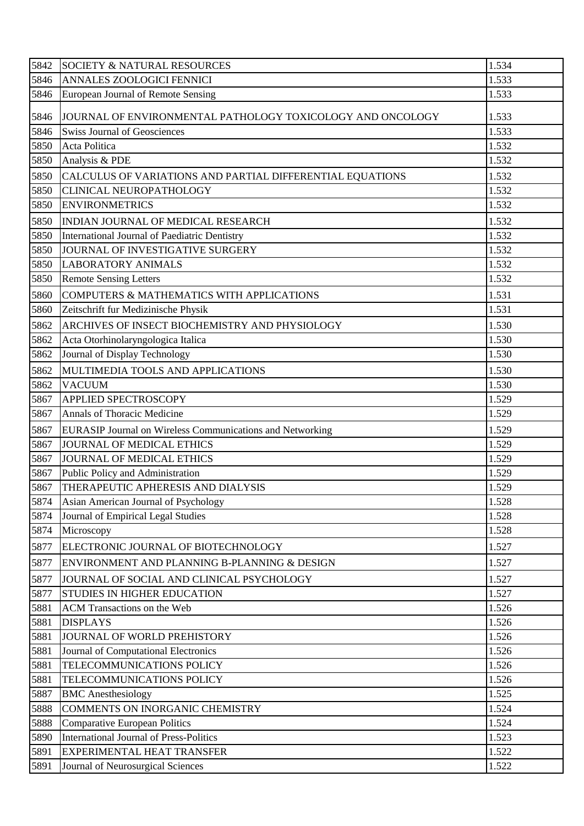| 5842 | <b>SOCIETY &amp; NATURAL RESOURCES</b>                     | 1.534 |
|------|------------------------------------------------------------|-------|
| 5846 | ANNALES ZOOLOGICI FENNICI                                  | 1.533 |
| 5846 | European Journal of Remote Sensing                         | 1.533 |
| 5846 | JOURNAL OF ENVIRONMENTAL PATHOLOGY TOXICOLOGY AND ONCOLOGY | 1.533 |
| 5846 | <b>Swiss Journal of Geosciences</b>                        | 1.533 |
| 5850 | Acta Politica                                              | 1.532 |
| 5850 | Analysis & PDE                                             | 1.532 |
| 5850 | CALCULUS OF VARIATIONS AND PARTIAL DIFFERENTIAL EQUATIONS  | 1.532 |
| 5850 | CLINICAL NEUROPATHOLOGY                                    | 1.532 |
| 5850 | <b>ENVIRONMETRICS</b>                                      | 1.532 |
| 5850 | INDIAN JOURNAL OF MEDICAL RESEARCH                         | 1.532 |
| 5850 | International Journal of Paediatric Dentistry              | 1.532 |
| 5850 | JOURNAL OF INVESTIGATIVE SURGERY                           | 1.532 |
| 5850 | <b>LABORATORY ANIMALS</b>                                  | 1.532 |
| 5850 | <b>Remote Sensing Letters</b>                              | 1.532 |
| 5860 | COMPUTERS & MATHEMATICS WITH APPLICATIONS                  | 1.531 |
| 5860 | Zeitschrift fur Medizinische Physik                        | 1.531 |
| 5862 | ARCHIVES OF INSECT BIOCHEMISTRY AND PHYSIOLOGY             | 1.530 |
| 5862 | Acta Otorhinolaryngologica Italica                         | 1.530 |
| 5862 | Journal of Display Technology                              | 1.530 |
| 5862 | MULTIMEDIA TOOLS AND APPLICATIONS                          | 1.530 |
| 5862 | <b>VACUUM</b>                                              | 1.530 |
| 5867 | APPLIED SPECTROSCOPY                                       | 1.529 |
| 5867 | Annals of Thoracic Medicine                                | 1.529 |
| 5867 | EURASIP Journal on Wireless Communications and Networking  | 1.529 |
| 5867 | <b>JOURNAL OF MEDICAL ETHICS</b>                           | 1.529 |
| 5867 | JOURNAL OF MEDICAL ETHICS                                  | 1.529 |
| 5867 | Public Policy and Administration                           | 1.529 |
| 5867 | THERAPEUTIC APHERESIS AND DIALYSIS                         | 1.529 |
| 5874 | Asian American Journal of Psychology                       | 1.528 |
| 5874 | Journal of Empirical Legal Studies                         | 1.528 |
| 5874 | Microscopy                                                 | 1.528 |
| 5877 | ELECTRONIC JOURNAL OF BIOTECHNOLOGY                        | 1.527 |
| 5877 | ENVIRONMENT AND PLANNING B-PLANNING & DESIGN               | 1.527 |
| 5877 | JOURNAL OF SOCIAL AND CLINICAL PSYCHOLOGY                  | 1.527 |
| 5877 | STUDIES IN HIGHER EDUCATION                                | 1.527 |
| 5881 | <b>ACM</b> Transactions on the Web                         | 1.526 |
| 5881 | <b>DISPLAYS</b>                                            | 1.526 |
| 5881 | JOURNAL OF WORLD PREHISTORY                                | 1.526 |
| 5881 | Journal of Computational Electronics                       | 1.526 |
| 5881 | TELECOMMUNICATIONS POLICY                                  | 1.526 |
| 5881 | TELECOMMUNICATIONS POLICY                                  | 1.526 |
| 5887 | <b>BMC</b> Anesthesiology                                  | 1.525 |
| 5888 | COMMENTS ON INORGANIC CHEMISTRY                            | 1.524 |
| 5888 | <b>Comparative European Politics</b>                       | 1.524 |
| 5890 | <b>International Journal of Press-Politics</b>             | 1.523 |
| 5891 | EXPERIMENTAL HEAT TRANSFER                                 | 1.522 |
| 5891 | Journal of Neurosurgical Sciences                          | 1.522 |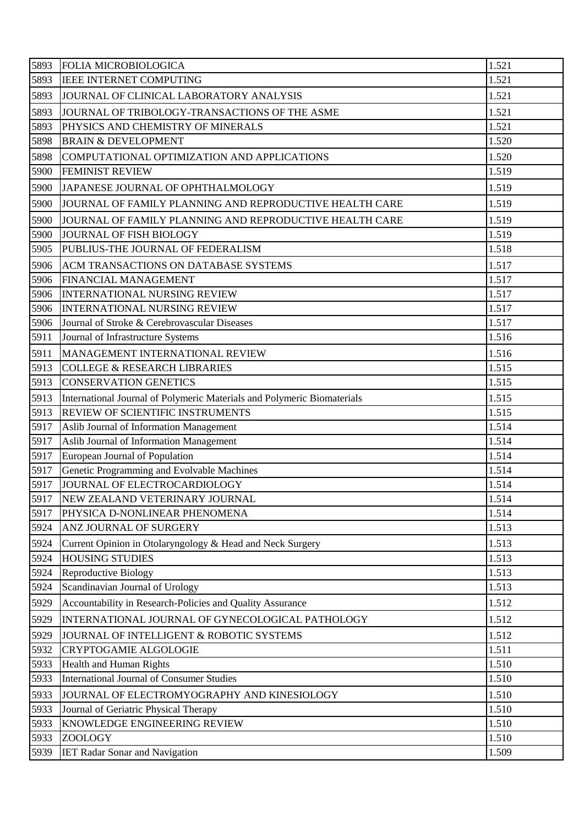| 5893         | <b>FOLIA MICROBIOLOGICA</b>                                                         | 1.521          |
|--------------|-------------------------------------------------------------------------------------|----------------|
| 5893         | <b>IEEE INTERNET COMPUTING</b>                                                      | 1.521          |
| 5893         | JOURNAL OF CLINICAL LABORATORY ANALYSIS                                             | 1.521          |
| 5893         | JOURNAL OF TRIBOLOGY-TRANSACTIONS OF THE ASME                                       | 1.521          |
| 5893         | PHYSICS AND CHEMISTRY OF MINERALS                                                   | 1.521          |
| 5898         | <b>BRAIN &amp; DEVELOPMENT</b>                                                      | 1.520          |
| 5898         | COMPUTATIONAL OPTIMIZATION AND APPLICATIONS                                         | 1.520          |
| 5900         | <b>FEMINIST REVIEW</b>                                                              | 1.519          |
| 5900         | JAPANESE JOURNAL OF OPHTHALMOLOGY                                                   | 1.519          |
| 5900         | JOURNAL OF FAMILY PLANNING AND REPRODUCTIVE HEALTH CARE                             | 1.519          |
| 5900         | JOURNAL OF FAMILY PLANNING AND REPRODUCTIVE HEALTH CARE                             | 1.519          |
| 5900         | <b>JOURNAL OF FISH BIOLOGY</b>                                                      | 1.519          |
| 5905         | PUBLIUS-THE JOURNAL OF FEDERALISM                                                   | 1.518          |
| 5906         | <b>ACM TRANSACTIONS ON DATABASE SYSTEMS</b>                                         | 1.517          |
| 5906         | FINANCIAL MANAGEMENT                                                                | 1.517          |
| 5906         | <b>INTERNATIONAL NURSING REVIEW</b>                                                 | 1.517          |
| 5906         | <b>INTERNATIONAL NURSING REVIEW</b>                                                 | 1.517          |
| 5906         | Journal of Stroke & Cerebrovascular Diseases                                        | 1.517          |
| 5911         | Journal of Infrastructure Systems                                                   | 1.516          |
| 5911         | MANAGEMENT INTERNATIONAL REVIEW                                                     | 1.516          |
| 5913         | <b>COLLEGE &amp; RESEARCH LIBRARIES</b>                                             | 1.515          |
| 5913         | <b>CONSERVATION GENETICS</b>                                                        | 1.515          |
| 5913         | International Journal of Polymeric Materials and Polymeric Biomaterials             | 1.515          |
| 5913         | REVIEW OF SCIENTIFIC INSTRUMENTS                                                    | 1.515          |
| 5917         | Aslib Journal of Information Management                                             | 1.514          |
| 5917         | Aslib Journal of Information Management                                             | 1.514          |
| 5917         | European Journal of Population                                                      | 1.514          |
| 5917         | Genetic Programming and Evolvable Machines                                          | 1.514          |
| 5917         | JOURNAL OF ELECTROCARDIOLOGY                                                        | 1.514          |
| 5917         | NEW ZEALAND VETERINARY JOURNAL<br>PHYSICA D-NONLINEAR PHENOMENA                     | 1.514          |
| 5917<br>5924 | ANZ JOURNAL OF SURGERY                                                              | 1.514<br>1.513 |
|              |                                                                                     |                |
| 5924<br>5924 | Current Opinion in Otolaryngology & Head and Neck Surgery<br><b>HOUSING STUDIES</b> | 1.513<br>1.513 |
| 5924         | <b>Reproductive Biology</b>                                                         | 1.513          |
| 5924         | Scandinavian Journal of Urology                                                     | 1.513          |
| 5929         | Accountability in Research-Policies and Quality Assurance                           | 1.512          |
| 5929         | INTERNATIONAL JOURNAL OF GYNECOLOGICAL PATHOLOGY                                    | 1.512          |
| 5929         | JOURNAL OF INTELLIGENT & ROBOTIC SYSTEMS                                            | 1.512          |
| 5932         | <b>CRYPTOGAMIE ALGOLOGIE</b>                                                        | 1.511          |
| 5933         | Health and Human Rights                                                             | 1.510          |
| 5933         | International Journal of Consumer Studies                                           | 1.510          |
| 5933         | JOURNAL OF ELECTROMYOGRAPHY AND KINESIOLOGY                                         | 1.510          |
| 5933         | Journal of Geriatric Physical Therapy                                               | 1.510          |
| 5933         | KNOWLEDGE ENGINEERING REVIEW                                                        | 1.510          |
| 5933         | <b>ZOOLOGY</b>                                                                      | 1.510          |
| 5939         | <b>IET Radar Sonar and Navigation</b>                                               | 1.509          |
|              |                                                                                     |                |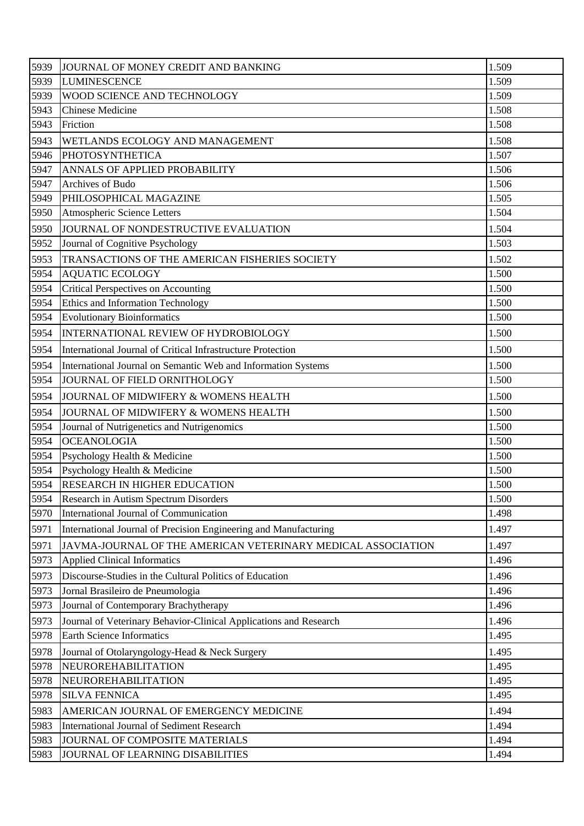| 5939 | JOURNAL OF MONEY CREDIT AND BANKING                               | 1.509 |
|------|-------------------------------------------------------------------|-------|
| 5939 | <b>LUMINESCENCE</b>                                               | 1.509 |
| 5939 | WOOD SCIENCE AND TECHNOLOGY                                       | 1.509 |
| 5943 | <b>Chinese Medicine</b>                                           | 1.508 |
| 5943 | Friction                                                          | 1.508 |
| 5943 | WETLANDS ECOLOGY AND MANAGEMENT                                   | 1.508 |
| 5946 | PHOTOSYNTHETICA                                                   | 1.507 |
| 5947 | ANNALS OF APPLIED PROBABILITY                                     | 1.506 |
| 5947 | <b>Archives of Budo</b>                                           | 1.506 |
| 5949 | PHILOSOPHICAL MAGAZINE                                            | 1.505 |
| 5950 | Atmospheric Science Letters                                       | 1.504 |
| 5950 | JOURNAL OF NONDESTRUCTIVE EVALUATION                              | 1.504 |
| 5952 | Journal of Cognitive Psychology                                   | 1.503 |
| 5953 | TRANSACTIONS OF THE AMERICAN FISHERIES SOCIETY                    | 1.502 |
| 5954 | <b>AQUATIC ECOLOGY</b>                                            | 1.500 |
| 5954 | Critical Perspectives on Accounting                               | 1.500 |
| 5954 | Ethics and Information Technology                                 | 1.500 |
| 5954 | <b>Evolutionary Bioinformatics</b>                                | 1.500 |
| 5954 | INTERNATIONAL REVIEW OF HYDROBIOLOGY                              | 1.500 |
| 5954 | International Journal of Critical Infrastructure Protection       | 1.500 |
| 5954 | International Journal on Semantic Web and Information Systems     | 1.500 |
| 5954 | JOURNAL OF FIELD ORNITHOLOGY                                      | 1.500 |
| 5954 | JOURNAL OF MIDWIFERY & WOMENS HEALTH                              | 1.500 |
| 5954 | JOURNAL OF MIDWIFERY & WOMENS HEALTH                              | 1.500 |
| 5954 | Journal of Nutrigenetics and Nutrigenomics                        | 1.500 |
| 5954 | <b>OCEANOLOGIA</b>                                                | 1.500 |
| 5954 | Psychology Health & Medicine                                      | 1.500 |
| 5954 | Psychology Health & Medicine                                      | 1.500 |
| 5954 | RESEARCH IN HIGHER EDUCATION                                      | 1.500 |
| 5954 | Research in Autism Spectrum Disorders                             | 1.500 |
| 5970 | International Journal of Communication                            | 1.498 |
| 5971 | International Journal of Precision Engineering and Manufacturing  | 1.497 |
| 5971 | JAVMA-JOURNAL OF THE AMERICAN VETERINARY MEDICAL ASSOCIATION      | 1.497 |
| 5973 | <b>Applied Clinical Informatics</b>                               | 1.496 |
| 5973 | Discourse-Studies in the Cultural Politics of Education           | 1.496 |
| 5973 | Jornal Brasileiro de Pneumologia                                  | 1.496 |
| 5973 | Journal of Contemporary Brachytherapy                             | 1.496 |
| 5973 | Journal of Veterinary Behavior-Clinical Applications and Research | 1.496 |
| 5978 | <b>Earth Science Informatics</b>                                  | 1.495 |
| 5978 | Journal of Otolaryngology-Head & Neck Surgery                     | 1.495 |
| 5978 | NEUROREHABILITATION                                               | 1.495 |
| 5978 | NEUROREHABILITATION                                               | 1.495 |
| 5978 | <b>SILVA FENNICA</b>                                              | 1.495 |
| 5983 | AMERICAN JOURNAL OF EMERGENCY MEDICINE                            | 1.494 |
| 5983 | International Journal of Sediment Research                        | 1.494 |
| 5983 | JOURNAL OF COMPOSITE MATERIALS                                    | 1.494 |
| 5983 | JOURNAL OF LEARNING DISABILITIES                                  | 1.494 |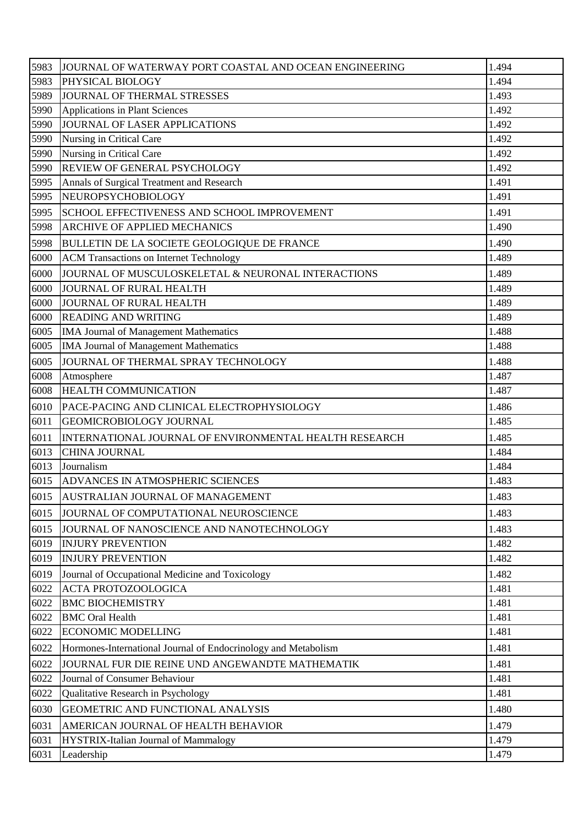| 5983 | JOURNAL OF WATERWAY PORT COASTAL AND OCEAN ENGINEERING         | 1.494 |
|------|----------------------------------------------------------------|-------|
| 5983 | PHYSICAL BIOLOGY                                               | 1.494 |
| 5989 | JOURNAL OF THERMAL STRESSES                                    | 1.493 |
| 5990 | Applications in Plant Sciences                                 | 1.492 |
| 5990 | JOURNAL OF LASER APPLICATIONS                                  | 1.492 |
| 5990 | Nursing in Critical Care                                       | 1.492 |
| 5990 | Nursing in Critical Care                                       | 1.492 |
| 5990 | <b>REVIEW OF GENERAL PSYCHOLOGY</b>                            | 1.492 |
| 5995 | Annals of Surgical Treatment and Research                      | 1.491 |
| 5995 | NEUROPSYCHOBIOLOGY                                             | 1.491 |
| 5995 | SCHOOL EFFECTIVENESS AND SCHOOL IMPROVEMENT                    | 1.491 |
| 5998 | <b>ARCHIVE OF APPLIED MECHANICS</b>                            | 1.490 |
| 5998 | <b>BULLETIN DE LA SOCIETE GEOLOGIQUE DE FRANCE</b>             | 1.490 |
| 6000 | <b>ACM Transactions on Internet Technology</b>                 | 1.489 |
| 6000 | JOURNAL OF MUSCULOSKELETAL & NEURONAL INTERACTIONS             | 1.489 |
| 6000 | JOURNAL OF RURAL HEALTH                                        | 1.489 |
| 6000 | JOURNAL OF RURAL HEALTH                                        | 1.489 |
| 6000 | <b>READING AND WRITING</b>                                     | 1.489 |
| 6005 | <b>IMA Journal of Management Mathematics</b>                   | 1.488 |
| 6005 | IMA Journal of Management Mathematics                          | 1.488 |
| 6005 | JOURNAL OF THERMAL SPRAY TECHNOLOGY                            | 1.488 |
| 6008 | Atmosphere                                                     | 1.487 |
| 6008 | <b>HEALTH COMMUNICATION</b>                                    | 1.487 |
| 6010 | PACE-PACING AND CLINICAL ELECTROPHYSIOLOGY                     | 1.486 |
| 6011 | <b>GEOMICROBIOLOGY JOURNAL</b>                                 | 1.485 |
| 6011 | INTERNATIONAL JOURNAL OF ENVIRONMENTAL HEALTH RESEARCH         | 1.485 |
| 6013 | <b>CHINA JOURNAL</b>                                           | 1.484 |
| 6013 | Journalism                                                     | 1.484 |
| 6015 | ADVANCES IN ATMOSPHERIC SCIENCES                               | 1.483 |
| 6015 | AUSTRALIAN JOURNAL OF MANAGEMENT                               | 1.483 |
| 6015 | JOURNAL OF COMPUTATIONAL NEUROSCIENCE                          | 1.483 |
| 6015 | JOURNAL OF NANOSCIENCE AND NANOTECHNOLOGY                      | 1.483 |
| 6019 | <b>INJURY PREVENTION</b>                                       | 1.482 |
| 6019 | <b>INJURY PREVENTION</b>                                       | 1.482 |
| 6019 | Journal of Occupational Medicine and Toxicology                | 1.482 |
| 6022 | <b>ACTA PROTOZOOLOGICA</b>                                     | 1.481 |
| 6022 | <b>BMC BIOCHEMISTRY</b>                                        | 1.481 |
| 6022 | <b>BMC</b> Oral Health                                         | 1.481 |
| 6022 | <b>ECONOMIC MODELLING</b>                                      | 1.481 |
| 6022 | Hormones-International Journal of Endocrinology and Metabolism | 1.481 |
| 6022 | JOURNAL FUR DIE REINE UND ANGEWANDTE MATHEMATIK                | 1.481 |
| 6022 | Journal of Consumer Behaviour                                  | 1.481 |
| 6022 | Qualitative Research in Psychology                             | 1.481 |
| 6030 | GEOMETRIC AND FUNCTIONAL ANALYSIS                              | 1.480 |
| 6031 | AMERICAN JOURNAL OF HEALTH BEHAVIOR                            | 1.479 |
| 6031 | HYSTRIX-Italian Journal of Mammalogy                           | 1.479 |
| 6031 | Leadership                                                     | 1.479 |
|      |                                                                |       |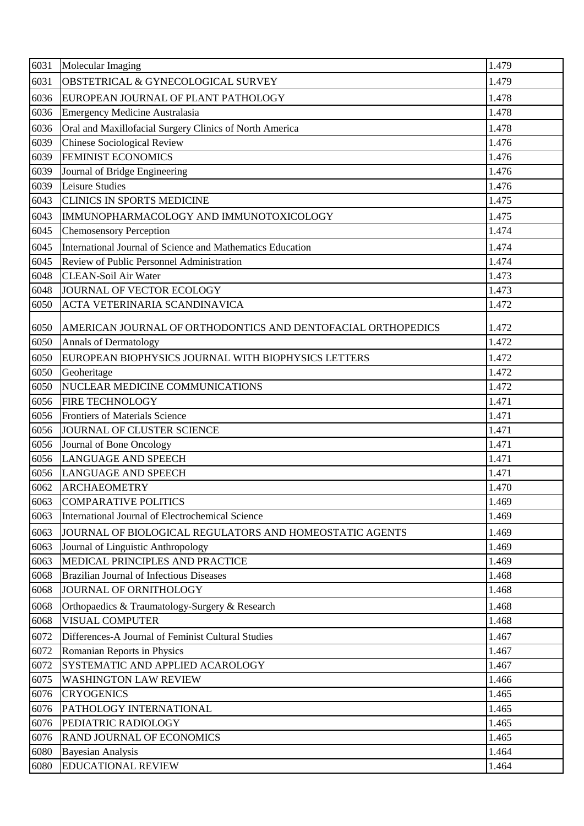| 6031 | Molecular Imaging                                            | 1.479 |
|------|--------------------------------------------------------------|-------|
| 6031 | <b>OBSTETRICAL &amp; GYNECOLOGICAL SURVEY</b>                | 1.479 |
| 6036 | EUROPEAN JOURNAL OF PLANT PATHOLOGY                          | 1.478 |
| 6036 | <b>Emergency Medicine Australasia</b>                        | 1.478 |
| 6036 | Oral and Maxillofacial Surgery Clinics of North America      | 1.478 |
| 6039 | <b>Chinese Sociological Review</b>                           | 1.476 |
| 6039 | <b>FEMINIST ECONOMICS</b>                                    | 1.476 |
| 6039 | Journal of Bridge Engineering                                | 1.476 |
| 6039 | Leisure Studies                                              | 1.476 |
| 6043 | <b>CLINICS IN SPORTS MEDICINE</b>                            | 1.475 |
| 6043 | IMMUNOPHARMACOLOGY AND IMMUNOTOXICOLOGY                      | 1.475 |
| 6045 | <b>Chemosensory Perception</b>                               | 1.474 |
| 6045 | International Journal of Science and Mathematics Education   | 1.474 |
| 6045 | Review of Public Personnel Administration                    | 1.474 |
| 6048 | <b>CLEAN-Soil Air Water</b>                                  | 1.473 |
| 6048 | JOURNAL OF VECTOR ECOLOGY                                    | 1.473 |
| 6050 | ACTA VETERINARIA SCANDINAVICA                                | 1.472 |
| 6050 | AMERICAN JOURNAL OF ORTHODONTICS AND DENTOFACIAL ORTHOPEDICS | 1.472 |
| 6050 | <b>Annals of Dermatology</b>                                 | 1.472 |
| 6050 | EUROPEAN BIOPHYSICS JOURNAL WITH BIOPHYSICS LETTERS          | 1.472 |
| 6050 | Geoheritage                                                  | 1.472 |
| 6050 | NUCLEAR MEDICINE COMMUNICATIONS                              | 1.472 |
| 6056 | <b>FIRE TECHNOLOGY</b>                                       | 1.471 |
| 6056 | <b>Frontiers of Materials Science</b>                        | 1.471 |
| 6056 | JOURNAL OF CLUSTER SCIENCE                                   | 1.471 |
| 6056 | Journal of Bone Oncology                                     | 1.471 |
| 6056 | <b>LANGUAGE AND SPEECH</b>                                   | 1.471 |
| 6056 | <b>LANGUAGE AND SPEECH</b>                                   | 1.471 |
| 6062 | <b>ARCHAEOMETRY</b>                                          | 1.470 |
| 6063 | <b>COMPARATIVE POLITICS</b>                                  | 1.469 |
| 6063 | International Journal of Electrochemical Science             | 1.469 |
| 6063 | JOURNAL OF BIOLOGICAL REGULATORS AND HOMEOSTATIC AGENTS      | 1.469 |
| 6063 | Journal of Linguistic Anthropology                           | 1.469 |
| 6063 | MEDICAL PRINCIPLES AND PRACTICE                              | 1.469 |
| 6068 | <b>Brazilian Journal of Infectious Diseases</b>              | 1.468 |
| 6068 | JOURNAL OF ORNITHOLOGY                                       | 1.468 |
| 6068 | Orthopaedics & Traumatology-Surgery & Research               | 1.468 |
| 6068 | <b>VISUAL COMPUTER</b>                                       | 1.468 |
| 6072 | Differences-A Journal of Feminist Cultural Studies           | 1.467 |
| 6072 | Romanian Reports in Physics                                  | 1.467 |
| 6072 | SYSTEMATIC AND APPLIED ACAROLOGY                             | 1.467 |
| 6075 | <b>WASHINGTON LAW REVIEW</b>                                 | 1.466 |
| 6076 | <b>CRYOGENICS</b>                                            | 1.465 |
| 6076 | PATHOLOGY INTERNATIONAL                                      | 1.465 |
| 6076 | PEDIATRIC RADIOLOGY                                          | 1.465 |
| 6076 | <b>RAND JOURNAL OF ECONOMICS</b>                             | 1.465 |
| 6080 | <b>Bayesian Analysis</b>                                     | 1.464 |
| 6080 | <b>EDUCATIONAL REVIEW</b>                                    | 1.464 |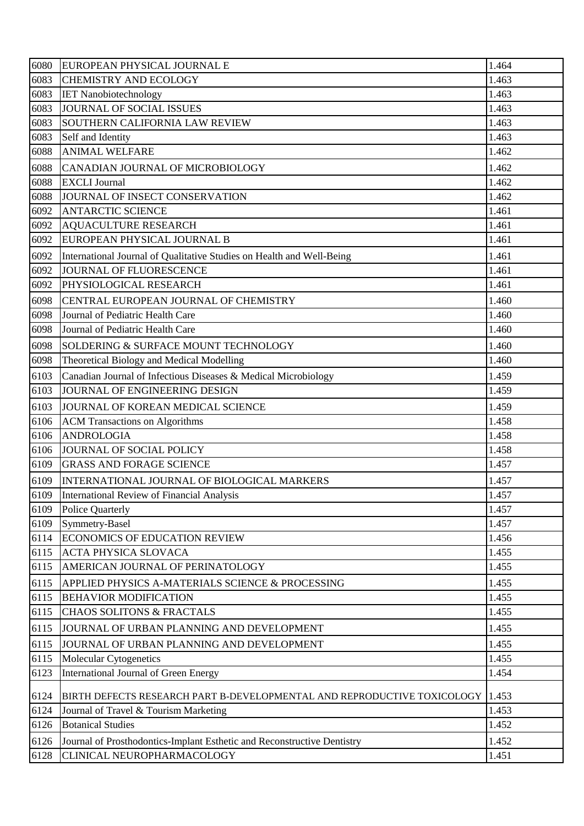| 6080 | EUROPEAN PHYSICAL JOURNAL E                                             | 1.464 |
|------|-------------------------------------------------------------------------|-------|
| 6083 | <b>CHEMISTRY AND ECOLOGY</b>                                            | 1.463 |
| 6083 | <b>IET Nanobiotechnology</b>                                            | 1.463 |
| 6083 | JOURNAL OF SOCIAL ISSUES                                                | 1.463 |
| 6083 | <b>SOUTHERN CALIFORNIA LAW REVIEW</b>                                   | 1.463 |
| 6083 | Self and Identity                                                       | 1.463 |
| 6088 | <b>ANIMAL WELFARE</b>                                                   | 1.462 |
| 6088 | CANADIAN JOURNAL OF MICROBIOLOGY                                        | 1.462 |
| 6088 | <b>EXCLI</b> Journal                                                    | 1.462 |
| 6088 | JOURNAL OF INSECT CONSERVATION                                          | 1.462 |
| 6092 | <b>ANTARCTIC SCIENCE</b>                                                | 1.461 |
| 6092 | <b>AQUACULTURE RESEARCH</b>                                             | 1.461 |
| 6092 | EUROPEAN PHYSICAL JOURNAL B                                             | 1.461 |
| 6092 | International Journal of Qualitative Studies on Health and Well-Being   | 1.461 |
| 6092 | JOURNAL OF FLUORESCENCE                                                 | 1.461 |
| 6092 | PHYSIOLOGICAL RESEARCH                                                  | 1.461 |
| 6098 | CENTRAL EUROPEAN JOURNAL OF CHEMISTRY                                   | 1.460 |
| 6098 | Journal of Pediatric Health Care                                        | 1.460 |
| 6098 | Journal of Pediatric Health Care                                        | 1.460 |
| 6098 | SOLDERING & SURFACE MOUNT TECHNOLOGY                                    | 1.460 |
| 6098 | Theoretical Biology and Medical Modelling                               | 1.460 |
| 6103 | Canadian Journal of Infectious Diseases & Medical Microbiology          | 1.459 |
| 6103 | JOURNAL OF ENGINEERING DESIGN                                           | 1.459 |
| 6103 | JOURNAL OF KOREAN MEDICAL SCIENCE                                       | 1.459 |
| 6106 | <b>ACM Transactions on Algorithms</b>                                   | 1.458 |
| 6106 | <b>ANDROLOGIA</b>                                                       | 1.458 |
| 6106 | JOURNAL OF SOCIAL POLICY                                                | 1.458 |
| 6109 | <b>GRASS AND FORAGE SCIENCE</b>                                         | 1.457 |
| 6109 | INTERNATIONAL JOURNAL OF BIOLOGICAL MARKERS                             | 1.457 |
| 6109 | International Review of Financial Analysis                              | 1.457 |
| 6109 | <b>Police Quarterly</b>                                                 | 1.457 |
| 6109 | Symmetry-Basel                                                          | 1.457 |
| 6114 | ECONOMICS OF EDUCATION REVIEW                                           | 1.456 |
| 6115 | <b>ACTA PHYSICA SLOVACA</b>                                             | 1.455 |
| 6115 | AMERICAN JOURNAL OF PERINATOLOGY                                        | 1.455 |
| 6115 | APPLIED PHYSICS A-MATERIALS SCIENCE & PROCESSING                        | 1.455 |
| 6115 | <b>BEHAVIOR MODIFICATION</b>                                            | 1.455 |
| 6115 | <b>CHAOS SOLITONS &amp; FRACTALS</b>                                    | 1.455 |
| 6115 | JOURNAL OF URBAN PLANNING AND DEVELOPMENT                               | 1.455 |
| 6115 | JOURNAL OF URBAN PLANNING AND DEVELOPMENT                               | 1.455 |
| 6115 | Molecular Cytogenetics                                                  | 1.455 |
| 6123 | International Journal of Green Energy                                   | 1.454 |
| 6124 | BIRTH DEFECTS RESEARCH PART B-DEVELOPMENTAL AND REPRODUCTIVE TOXICOLOGY | 1.453 |
| 6124 | Journal of Travel & Tourism Marketing                                   | 1.453 |
| 6126 | <b>Botanical Studies</b>                                                | 1.452 |
| 6126 | Journal of Prosthodontics-Implant Esthetic and Reconstructive Dentistry | 1.452 |
| 6128 | CLINICAL NEUROPHARMACOLOGY                                              | 1.451 |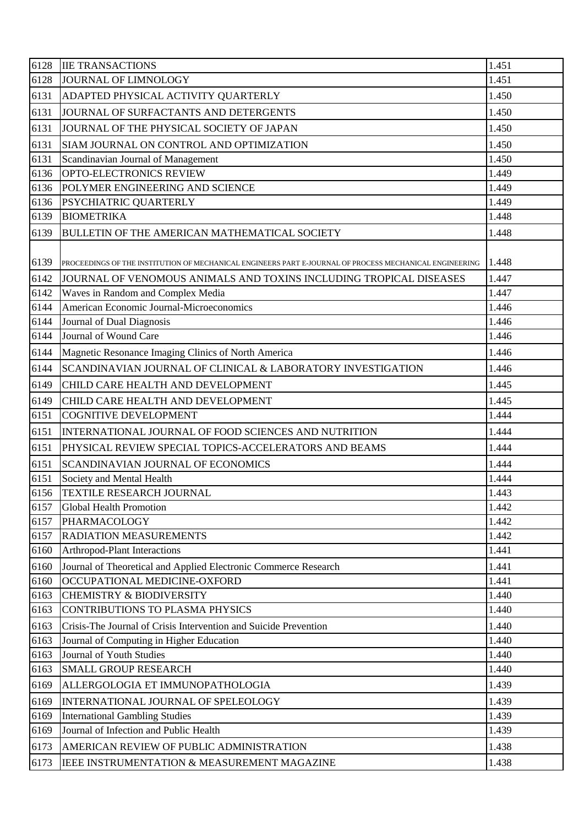| 6128 | <b>IIE TRANSACTIONS</b>                                                                                 | 1.451 |
|------|---------------------------------------------------------------------------------------------------------|-------|
| 6128 | JOURNAL OF LIMNOLOGY                                                                                    | 1.451 |
| 6131 | ADAPTED PHYSICAL ACTIVITY QUARTERLY                                                                     | 1.450 |
| 6131 | JOURNAL OF SURFACTANTS AND DETERGENTS                                                                   | 1.450 |
| 6131 | JOURNAL OF THE PHYSICAL SOCIETY OF JAPAN                                                                | 1.450 |
| 6131 | SIAM JOURNAL ON CONTROL AND OPTIMIZATION                                                                | 1.450 |
| 6131 | Scandinavian Journal of Management                                                                      | 1.450 |
| 6136 | OPTO-ELECTRONICS REVIEW                                                                                 | 1.449 |
| 6136 | POLYMER ENGINEERING AND SCIENCE                                                                         | 1.449 |
| 6136 | <b>PSYCHIATRIC QUARTERLY</b>                                                                            | 1.449 |
| 6139 | <b>BIOMETRIKA</b>                                                                                       | 1.448 |
| 6139 | <b>BULLETIN OF THE AMERICAN MATHEMATICAL SOCIETY</b>                                                    | 1.448 |
| 6139 | PROCEEDINGS OF THE INSTITUTION OF MECHANICAL ENGINEERS PART E-JOURNAL OF PROCESS MECHANICAL ENGINEERING | 1.448 |
| 6142 | JOURNAL OF VENOMOUS ANIMALS AND TOXINS INCLUDING TROPICAL DISEASES                                      | 1.447 |
| 6142 | Waves in Random and Complex Media                                                                       | 1.447 |
| 6144 | American Economic Journal-Microeconomics                                                                | 1.446 |
| 6144 | Journal of Dual Diagnosis                                                                               | 1.446 |
| 6144 | Journal of Wound Care                                                                                   | 1.446 |
| 6144 | Magnetic Resonance Imaging Clinics of North America                                                     | 1.446 |
| 6144 | SCANDINAVIAN JOURNAL OF CLINICAL & LABORATORY INVESTIGATION                                             | 1.446 |
| 6149 | CHILD CARE HEALTH AND DEVELOPMENT                                                                       | 1.445 |
| 6149 | CHILD CARE HEALTH AND DEVELOPMENT                                                                       | 1.445 |
| 6151 | <b>COGNITIVE DEVELOPMENT</b>                                                                            | 1.444 |
| 6151 | INTERNATIONAL JOURNAL OF FOOD SCIENCES AND NUTRITION                                                    | 1.444 |
| 6151 | PHYSICAL REVIEW SPECIAL TOPICS-ACCELERATORS AND BEAMS                                                   | 1.444 |
| 6151 | SCANDINAVIAN JOURNAL OF ECONOMICS                                                                       | 1.444 |
| 6151 | Society and Mental Health                                                                               | 1.444 |
| 6156 | <b>TEXTILE RESEARCH JOURNAL</b>                                                                         | 1.443 |
| 6157 | <b>Global Health Promotion</b>                                                                          | 1.442 |
| 6157 | PHARMACOLOGY                                                                                            | 1.442 |
| 6157 | <b>RADIATION MEASUREMENTS</b>                                                                           | 1.442 |
| 6160 | Arthropod-Plant Interactions                                                                            | 1.441 |
| 6160 | Journal of Theoretical and Applied Electronic Commerce Research                                         | 1.441 |
| 6160 | OCCUPATIONAL MEDICINE-OXFORD                                                                            | 1.441 |
| 6163 | <b>CHEMISTRY &amp; BIODIVERSITY</b>                                                                     | 1.440 |
| 6163 | <b>CONTRIBUTIONS TO PLASMA PHYSICS</b>                                                                  | 1.440 |
| 6163 | Crisis-The Journal of Crisis Intervention and Suicide Prevention                                        | 1.440 |
| 6163 | Journal of Computing in Higher Education                                                                | 1.440 |
| 6163 | Journal of Youth Studies                                                                                | 1.440 |
| 6163 | <b>SMALL GROUP RESEARCH</b>                                                                             | 1.440 |
| 6169 | ALLERGOLOGIA ET IMMUNOPATHOLOGIA                                                                        | 1.439 |
| 6169 | INTERNATIONAL JOURNAL OF SPELEOLOGY                                                                     | 1.439 |
| 6169 | <b>International Gambling Studies</b>                                                                   | 1.439 |
| 6169 | Journal of Infection and Public Health                                                                  | 1.439 |
| 6173 | AMERICAN REVIEW OF PUBLIC ADMINISTRATION                                                                | 1.438 |
| 6173 | IEEE INSTRUMENTATION & MEASUREMENT MAGAZINE                                                             | 1.438 |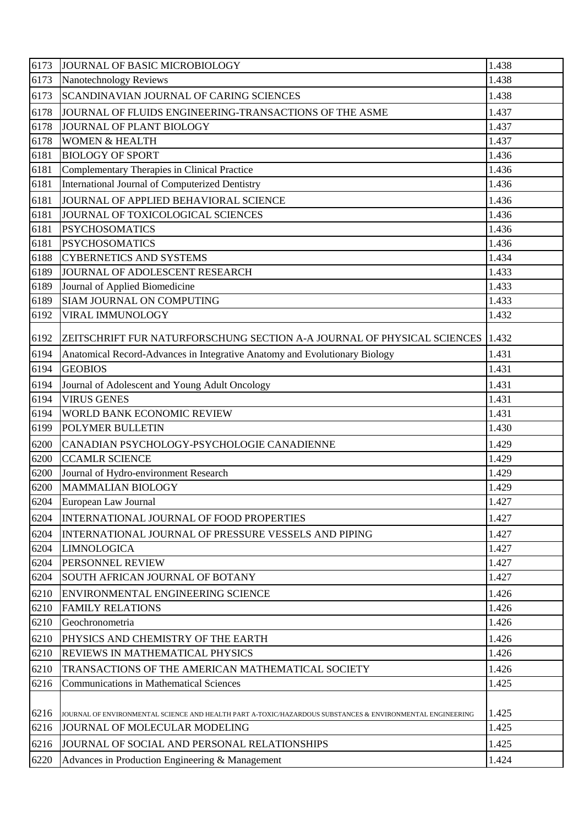| 6173 | JOURNAL OF BASIC MICROBIOLOGY                                                                             | 1.438 |
|------|-----------------------------------------------------------------------------------------------------------|-------|
| 6173 | Nanotechnology Reviews                                                                                    | 1.438 |
| 6173 | SCANDINAVIAN JOURNAL OF CARING SCIENCES                                                                   | 1.438 |
| 6178 | JOURNAL OF FLUIDS ENGINEERING-TRANSACTIONS OF THE ASME                                                    | 1.437 |
| 6178 | JOURNAL OF PLANT BIOLOGY                                                                                  | 1.437 |
| 6178 | <b>WOMEN &amp; HEALTH</b>                                                                                 | 1.437 |
| 6181 | <b>BIOLOGY OF SPORT</b>                                                                                   | 1.436 |
| 6181 | Complementary Therapies in Clinical Practice                                                              | 1.436 |
| 6181 | <b>International Journal of Computerized Dentistry</b>                                                    | 1.436 |
| 6181 | JOURNAL OF APPLIED BEHAVIORAL SCIENCE                                                                     | 1.436 |
| 6181 | JOURNAL OF TOXICOLOGICAL SCIENCES                                                                         | 1.436 |
| 6181 | <b>PSYCHOSOMATICS</b>                                                                                     | 1.436 |
| 6181 | <b>PSYCHOSOMATICS</b>                                                                                     | 1.436 |
| 6188 | <b>CYBERNETICS AND SYSTEMS</b>                                                                            | 1.434 |
| 6189 | JOURNAL OF ADOLESCENT RESEARCH                                                                            | 1.433 |
| 6189 | Journal of Applied Biomedicine                                                                            | 1.433 |
| 6189 | SIAM JOURNAL ON COMPUTING                                                                                 | 1.433 |
| 6192 | VIRAL IMMUNOLOGY                                                                                          | 1.432 |
| 6192 | ZEITSCHRIFT FUR NATURFORSCHUNG SECTION A-A JOURNAL OF PHYSICAL SCIENCES                                   | 1.432 |
| 6194 | Anatomical Record-Advances in Integrative Anatomy and Evolutionary Biology                                | 1.431 |
| 6194 | <b>GEOBIOS</b>                                                                                            | 1.431 |
| 6194 | Journal of Adolescent and Young Adult Oncology                                                            | 1.431 |
| 6194 | <b>VIRUS GENES</b>                                                                                        | 1.431 |
| 6194 | WORLD BANK ECONOMIC REVIEW                                                                                | 1.431 |
| 6199 | POLYMER BULLETIN                                                                                          | 1.430 |
| 6200 | CANADIAN PSYCHOLOGY-PSYCHOLOGIE CANADIENNE                                                                | 1.429 |
| 6200 | <b>CCAMLR SCIENCE</b>                                                                                     | 1.429 |
| 6200 | Journal of Hydro-environment Research                                                                     | 1.429 |
| 6200 | <b>MAMMALIAN BIOLOGY</b>                                                                                  | 1.429 |
| 6204 | European Law Journal                                                                                      | 1.427 |
| 6204 | INTERNATIONAL JOURNAL OF FOOD PROPERTIES                                                                  | 1.427 |
| 6204 | INTERNATIONAL JOURNAL OF PRESSURE VESSELS AND PIPING                                                      | 1.427 |
| 6204 | <b>LIMNOLOGICA</b>                                                                                        | 1.427 |
| 6204 | PERSONNEL REVIEW                                                                                          | 1.427 |
| 6204 | SOUTH AFRICAN JOURNAL OF BOTANY                                                                           | 1.427 |
| 6210 | ENVIRONMENTAL ENGINEERING SCIENCE                                                                         | 1.426 |
| 6210 | <b>FAMILY RELATIONS</b>                                                                                   | 1.426 |
| 6210 | Geochronometria                                                                                           | 1.426 |
| 6210 | PHYSICS AND CHEMISTRY OF THE EARTH                                                                        | 1.426 |
| 6210 | <b>REVIEWS IN MATHEMATICAL PHYSICS</b>                                                                    | 1.426 |
| 6210 | TRANSACTIONS OF THE AMERICAN MATHEMATICAL SOCIETY                                                         | 1.426 |
| 6216 | <b>Communications in Mathematical Sciences</b>                                                            | 1.425 |
|      |                                                                                                           |       |
| 6216 | JOURNAL OF ENVIRONMENTAL SCIENCE AND HEALTH PART A-TOXIC/HAZARDOUS SUBSTANCES & ENVIRONMENTAL ENGINEERING | 1.425 |
| 6216 | JOURNAL OF MOLECULAR MODELING                                                                             | 1.425 |
| 6216 | JOURNAL OF SOCIAL AND PERSONAL RELATIONSHIPS                                                              | 1.425 |
| 6220 | Advances in Production Engineering & Management                                                           | 1.424 |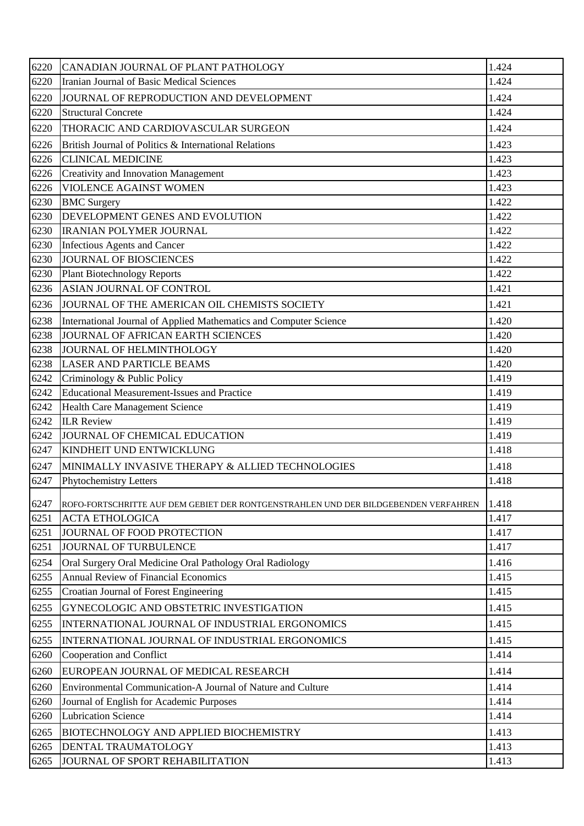| 6220 | CANADIAN JOURNAL OF PLANT PATHOLOGY                                                 | 1.424 |
|------|-------------------------------------------------------------------------------------|-------|
| 6220 | Iranian Journal of Basic Medical Sciences                                           | 1.424 |
| 6220 | JOURNAL OF REPRODUCTION AND DEVELOPMENT                                             | 1.424 |
| 6220 | <b>Structural Concrete</b>                                                          | 1.424 |
| 6220 | THORACIC AND CARDIOVASCULAR SURGEON                                                 | 1.424 |
| 6226 | British Journal of Politics & International Relations                               | 1.423 |
| 6226 | <b>CLINICAL MEDICINE</b>                                                            | 1.423 |
| 6226 | <b>Creativity and Innovation Management</b>                                         | 1.423 |
| 6226 | <b>VIOLENCE AGAINST WOMEN</b>                                                       | 1.423 |
| 6230 | <b>BMC</b> Surgery                                                                  | 1.422 |
| 6230 | DEVELOPMENT GENES AND EVOLUTION                                                     | 1.422 |
| 6230 | <b>IRANIAN POLYMER JOURNAL</b>                                                      | 1.422 |
| 6230 | Infectious Agents and Cancer                                                        | 1.422 |
| 6230 | JOURNAL OF BIOSCIENCES                                                              | 1.422 |
| 6230 | <b>Plant Biotechnology Reports</b>                                                  | 1.422 |
| 6236 | ASIAN JOURNAL OF CONTROL                                                            | 1.421 |
| 6236 | JOURNAL OF THE AMERICAN OIL CHEMISTS SOCIETY                                        | 1.421 |
| 6238 | International Journal of Applied Mathematics and Computer Science                   | 1.420 |
| 6238 | JOURNAL OF AFRICAN EARTH SCIENCES                                                   | 1.420 |
| 6238 | JOURNAL OF HELMINTHOLOGY                                                            | 1.420 |
| 6238 | <b>LASER AND PARTICLE BEAMS</b>                                                     | 1.420 |
| 6242 | Criminology & Public Policy                                                         | 1.419 |
| 6242 | <b>Educational Measurement-Issues and Practice</b>                                  | 1.419 |
| 6242 | Health Care Management Science                                                      | 1.419 |
| 6242 | <b>ILR Review</b>                                                                   | 1.419 |
| 6242 | JOURNAL OF CHEMICAL EDUCATION                                                       | 1.419 |
| 6247 | <b>KINDHEIT UND ENTWICKLUNG</b>                                                     | 1.418 |
| 6247 | MINIMALLY INVASIVE THERAPY & ALLIED TECHNOLOGIES                                    | 1.418 |
| 6247 | Phytochemistry Letters                                                              | 1.418 |
| 6247 | ROFO-FORTSCHRITTE AUF DEM GEBIET DER RONTGENSTRAHLEN UND DER BILDGEBENDEN VERFAHREN | 1.418 |
| 6251 | <b>ACTA ETHOLOGICA</b>                                                              | 1.417 |
| 6251 | JOURNAL OF FOOD PROTECTION                                                          | 1.417 |
| 6251 | JOURNAL OF TURBULENCE                                                               | 1.417 |
| 6254 | Oral Surgery Oral Medicine Oral Pathology Oral Radiology                            | 1.416 |
| 6255 | <b>Annual Review of Financial Economics</b>                                         | 1.415 |
| 6255 | Croatian Journal of Forest Engineering                                              | 1.415 |
| 6255 | GYNECOLOGIC AND OBSTETRIC INVESTIGATION                                             | 1.415 |
| 6255 | INTERNATIONAL JOURNAL OF INDUSTRIAL ERGONOMICS                                      | 1.415 |
| 6255 | INTERNATIONAL JOURNAL OF INDUSTRIAL ERGONOMICS                                      | 1.415 |
| 6260 | Cooperation and Conflict                                                            | 1.414 |
| 6260 | EUROPEAN JOURNAL OF MEDICAL RESEARCH                                                | 1.414 |
| 6260 | Environmental Communication-A Journal of Nature and Culture                         | 1.414 |
| 6260 | Journal of English for Academic Purposes                                            | 1.414 |
| 6260 | <b>Lubrication Science</b>                                                          | 1.414 |
| 6265 | BIOTECHNOLOGY AND APPLIED BIOCHEMISTRY                                              | 1.413 |
| 6265 | DENTAL TRAUMATOLOGY                                                                 | 1.413 |
| 6265 | JOURNAL OF SPORT REHABILITATION                                                     | 1.413 |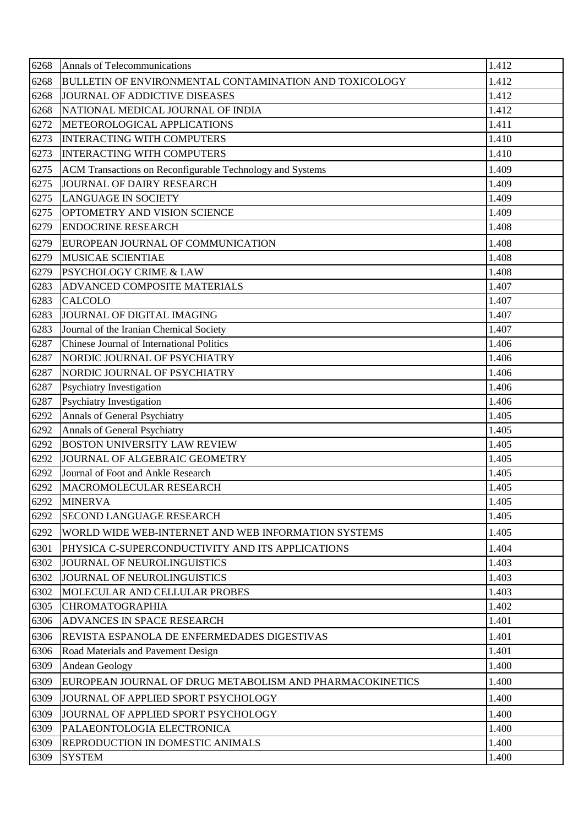| 6268 | Annals of Telecommunications                              | 1.412 |
|------|-----------------------------------------------------------|-------|
| 6268 | BULLETIN OF ENVIRONMENTAL CONTAMINATION AND TOXICOLOGY    | 1.412 |
| 6268 | JOURNAL OF ADDICTIVE DISEASES                             | 1.412 |
| 6268 | NATIONAL MEDICAL JOURNAL OF INDIA                         | 1.412 |
| 6272 | METEOROLOGICAL APPLICATIONS                               | 1.411 |
| 6273 | <b>INTERACTING WITH COMPUTERS</b>                         | 1.410 |
| 6273 | <b>INTERACTING WITH COMPUTERS</b>                         | 1.410 |
| 6275 | ACM Transactions on Reconfigurable Technology and Systems | 1.409 |
| 6275 | JOURNAL OF DAIRY RESEARCH                                 | 1.409 |
| 6275 | <b>LANGUAGE IN SOCIETY</b>                                | 1.409 |
| 6275 | OPTOMETRY AND VISION SCIENCE                              | 1.409 |
| 6279 | <b>ENDOCRINE RESEARCH</b>                                 | 1.408 |
| 6279 | EUROPEAN JOURNAL OF COMMUNICATION                         | 1.408 |
| 6279 | <b>MUSICAE SCIENTIAE</b>                                  | 1.408 |
| 6279 | <b>PSYCHOLOGY CRIME &amp; LAW</b>                         | 1.408 |
| 6283 | <b>ADVANCED COMPOSITE MATERIALS</b>                       | 1.407 |
| 6283 | <b>CALCOLO</b>                                            | 1.407 |
| 6283 | JOURNAL OF DIGITAL IMAGING                                | 1.407 |
| 6283 | Journal of the Iranian Chemical Society                   | 1.407 |
| 6287 | Chinese Journal of International Politics                 | 1.406 |
| 6287 | NORDIC JOURNAL OF PSYCHIATRY                              | 1.406 |
| 6287 | NORDIC JOURNAL OF PSYCHIATRY                              | 1.406 |
| 6287 | <b>Psychiatry Investigation</b>                           | 1.406 |
| 6287 | Psychiatry Investigation                                  | 1.406 |
| 6292 | Annals of General Psychiatry                              | 1.405 |
| 6292 | Annals of General Psychiatry                              | 1.405 |
| 6292 | <b>BOSTON UNIVERSITY LAW REVIEW</b>                       | 1.405 |
| 6292 | JOURNAL OF ALGEBRAIC GEOMETRY                             | 1.405 |
| 6292 | Journal of Foot and Ankle Research                        | 1.405 |
| 6292 | MACROMOLECULAR RESEARCH                                   | 1.405 |
| 6292 | <b>MINERVA</b>                                            | 1.405 |
| 6292 | <b>SECOND LANGUAGE RESEARCH</b>                           | 1.405 |
| 6292 | WORLD WIDE WEB-INTERNET AND WEB INFORMATION SYSTEMS       | 1.405 |
| 6301 | PHYSICA C-SUPERCONDUCTIVITY AND ITS APPLICATIONS          | 1.404 |
| 6302 | JOURNAL OF NEUROLINGUISTICS                               | 1.403 |
| 6302 | JOURNAL OF NEUROLINGUISTICS                               | 1.403 |
| 6302 | MOLECULAR AND CELLULAR PROBES                             | 1.403 |
| 6305 | <b>CHROMATOGRAPHIA</b>                                    | 1.402 |
| 6306 | <b>ADVANCES IN SPACE RESEARCH</b>                         | 1.401 |
| 6306 | REVISTA ESPANOLA DE ENFERMEDADES DIGESTIVAS               | 1.401 |
| 6306 | Road Materials and Pavement Design                        | 1.401 |
| 6309 | <b>Andean Geology</b>                                     | 1.400 |
| 6309 | EUROPEAN JOURNAL OF DRUG METABOLISM AND PHARMACOKINETICS  | 1.400 |
| 6309 | JOURNAL OF APPLIED SPORT PSYCHOLOGY                       | 1.400 |
| 6309 | JOURNAL OF APPLIED SPORT PSYCHOLOGY                       | 1.400 |
| 6309 | PALAEONTOLOGIA ELECTRONICA                                | 1.400 |
| 6309 | <b>REPRODUCTION IN DOMESTIC ANIMALS</b>                   | 1.400 |
| 6309 | <b>SYSTEM</b>                                             | 1.400 |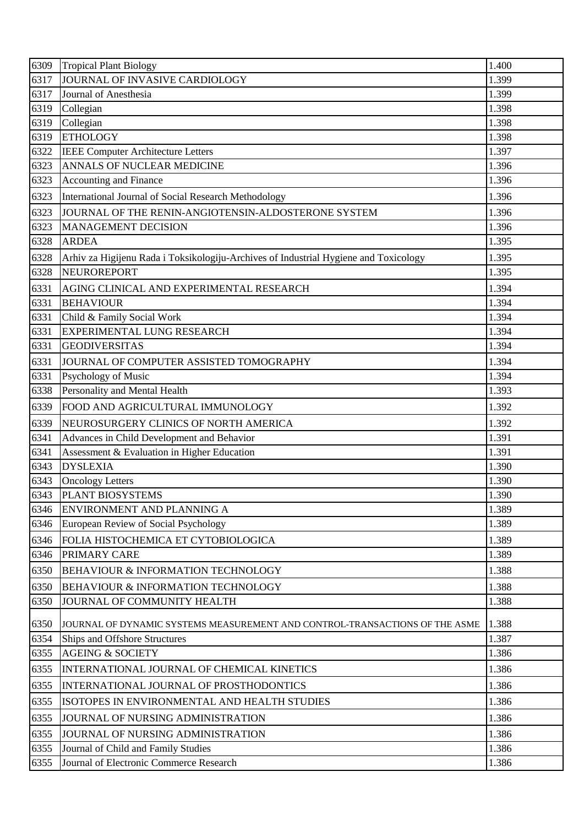| 6309 | <b>Tropical Plant Biology</b>                                                        | 1.400 |
|------|--------------------------------------------------------------------------------------|-------|
| 6317 | JOURNAL OF INVASIVE CARDIOLOGY                                                       | 1.399 |
| 6317 | Journal of Anesthesia                                                                | 1.399 |
| 6319 | Collegian                                                                            | 1.398 |
| 6319 | Collegian                                                                            | 1.398 |
| 6319 | <b>ETHOLOGY</b>                                                                      | 1.398 |
| 6322 | <b>IEEE Computer Architecture Letters</b>                                            | 1.397 |
| 6323 | ANNALS OF NUCLEAR MEDICINE                                                           | 1.396 |
| 6323 | <b>Accounting and Finance</b>                                                        | 1.396 |
| 6323 | International Journal of Social Research Methodology                                 | 1.396 |
| 6323 | JOURNAL OF THE RENIN-ANGIOTENSIN-ALDOSTERONE SYSTEM                                  | 1.396 |
| 6323 | <b>MANAGEMENT DECISION</b>                                                           | 1.396 |
| 6328 | <b>ARDEA</b>                                                                         | 1.395 |
| 6328 | Arhiv za Higijenu Rada i Toksikologiju-Archives of Industrial Hygiene and Toxicology | 1.395 |
| 6328 | NEUROREPORT                                                                          | 1.395 |
| 6331 | AGING CLINICAL AND EXPERIMENTAL RESEARCH                                             | 1.394 |
| 6331 | <b>BEHAVIOUR</b>                                                                     | 1.394 |
| 6331 | Child & Family Social Work                                                           | 1.394 |
| 6331 | EXPERIMENTAL LUNG RESEARCH                                                           | 1.394 |
| 6331 | <b>GEODIVERSITAS</b>                                                                 | 1.394 |
| 6331 | JOURNAL OF COMPUTER ASSISTED TOMOGRAPHY                                              | 1.394 |
| 6331 | Psychology of Music                                                                  | 1.394 |
| 6338 | Personality and Mental Health                                                        | 1.393 |
| 6339 | FOOD AND AGRICULTURAL IMMUNOLOGY                                                     | 1.392 |
| 6339 | NEUROSURGERY CLINICS OF NORTH AMERICA                                                | 1.392 |
| 6341 | Advances in Child Development and Behavior                                           | 1.391 |
| 6341 | Assessment & Evaluation in Higher Education                                          | 1.391 |
| 6343 | <b>DYSLEXIA</b>                                                                      | 1.390 |
| 6343 | <b>Oncology Letters</b>                                                              | 1.390 |
| 6343 | PLANT BIOSYSTEMS                                                                     | 1.390 |
| 6346 | ENVIRONMENT AND PLANNING A                                                           | 1.389 |
| 6346 | European Review of Social Psychology                                                 | 1.389 |
| 6346 | FOLIA HISTOCHEMICA ET CYTOBIOLOGICA                                                  | 1.389 |
| 6346 | PRIMARY CARE                                                                         | 1.389 |
| 6350 | BEHAVIOUR & INFORMATION TECHNOLOGY                                                   | 1.388 |
| 6350 | BEHAVIOUR & INFORMATION TECHNOLOGY                                                   | 1.388 |
| 6350 | JOURNAL OF COMMUNITY HEALTH                                                          | 1.388 |
| 6350 | JOURNAL OF DYNAMIC SYSTEMS MEASUREMENT AND CONTROL-TRANSACTIONS OF THE ASME          | 1.388 |
| 6354 | Ships and Offshore Structures                                                        | 1.387 |
| 6355 | <b>AGEING &amp; SOCIETY</b>                                                          | 1.386 |
| 6355 | INTERNATIONAL JOURNAL OF CHEMICAL KINETICS                                           | 1.386 |
| 6355 | INTERNATIONAL JOURNAL OF PROSTHODONTICS                                              | 1.386 |
| 6355 | ISOTOPES IN ENVIRONMENTAL AND HEALTH STUDIES                                         | 1.386 |
| 6355 | JOURNAL OF NURSING ADMINISTRATION                                                    | 1.386 |
| 6355 | JOURNAL OF NURSING ADMINISTRATION                                                    | 1.386 |
| 6355 | Journal of Child and Family Studies                                                  | 1.386 |
| 6355 | Journal of Electronic Commerce Research                                              | 1.386 |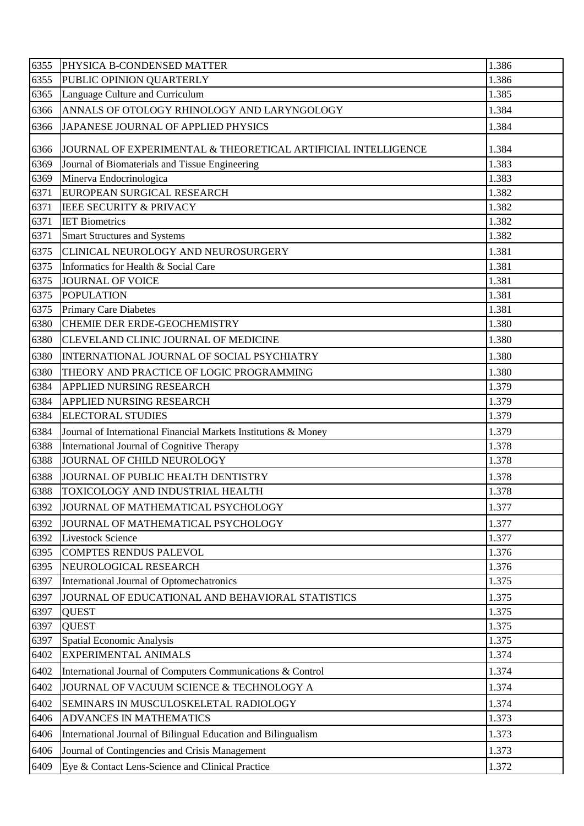| 6355 | PHYSICA B-CONDENSED MATTER                                      | 1.386 |
|------|-----------------------------------------------------------------|-------|
| 6355 | PUBLIC OPINION QUARTERLY                                        | 1.386 |
| 6365 | Language Culture and Curriculum                                 | 1.385 |
| 6366 | ANNALS OF OTOLOGY RHINOLOGY AND LARYNGOLOGY                     | 1.384 |
| 6366 | JAPANESE JOURNAL OF APPLIED PHYSICS                             | 1.384 |
| 6366 | JOURNAL OF EXPERIMENTAL & THEORETICAL ARTIFICIAL INTELLIGENCE   | 1.384 |
| 6369 | Journal of Biomaterials and Tissue Engineering                  | 1.383 |
| 6369 | Minerva Endocrinologica                                         | 1.383 |
| 6371 | EUROPEAN SURGICAL RESEARCH                                      | 1.382 |
| 6371 | <b>IEEE SECURITY &amp; PRIVACY</b>                              | 1.382 |
| 6371 | <b>IET Biometrics</b>                                           | 1.382 |
| 6371 | <b>Smart Structures and Systems</b>                             | 1.382 |
| 6375 | CLINICAL NEUROLOGY AND NEUROSURGERY                             | 1.381 |
| 6375 | Informatics for Health & Social Care                            | 1.381 |
| 6375 | <b>JOURNAL OF VOICE</b>                                         | 1.381 |
| 6375 | <b>POPULATION</b>                                               | 1.381 |
| 6375 | <b>Primary Care Diabetes</b>                                    | 1.381 |
| 6380 | <b>CHEMIE DER ERDE-GEOCHEMISTRY</b>                             | 1.380 |
| 6380 | CLEVELAND CLINIC JOURNAL OF MEDICINE                            | 1.380 |
| 6380 | INTERNATIONAL JOURNAL OF SOCIAL PSYCHIATRY                      | 1.380 |
| 6380 | THEORY AND PRACTICE OF LOGIC PROGRAMMING                        | 1.380 |
| 6384 | APPLIED NURSING RESEARCH                                        | 1.379 |
| 6384 | APPLIED NURSING RESEARCH                                        | 1.379 |
| 6384 | <b>ELECTORAL STUDIES</b>                                        | 1.379 |
| 6384 | Journal of International Financial Markets Institutions & Money | 1.379 |
| 6388 | International Journal of Cognitive Therapy                      | 1.378 |
| 6388 | JOURNAL OF CHILD NEUROLOGY                                      | 1.378 |
| 6388 | JOURNAL OF PUBLIC HEALTH DENTISTRY                              | 1.378 |
| 6388 | TOXICOLOGY AND INDUSTRIAL HEALTH                                | 1.378 |
| 6392 | JOURNAL OF MATHEMATICAL PSYCHOLOGY                              | 1.377 |
| 6392 | JOURNAL OF MATHEMATICAL PSYCHOLOGY                              | 1.377 |
| 6392 | <b>Livestock Science</b>                                        | 1.377 |
| 6395 | <b>COMPTES RENDUS PALEVOL</b>                                   | 1.376 |
| 6395 | NEUROLOGICAL RESEARCH                                           | 1.376 |
| 6397 | International Journal of Optomechatronics                       | 1.375 |
| 6397 | JOURNAL OF EDUCATIONAL AND BEHAVIORAL STATISTICS                | 1.375 |
| 6397 | <b>QUEST</b>                                                    | 1.375 |
| 6397 | <b>QUEST</b>                                                    | 1.375 |
| 6397 | Spatial Economic Analysis                                       | 1.375 |
| 6402 | EXPERIMENTAL ANIMALS                                            | 1.374 |
| 6402 | International Journal of Computers Communications & Control     | 1.374 |
| 6402 | JOURNAL OF VACUUM SCIENCE & TECHNOLOGY A                        | 1.374 |
| 6402 | SEMINARS IN MUSCULOSKELETAL RADIOLOGY                           | 1.374 |
| 6406 | ADVANCES IN MATHEMATICS                                         | 1.373 |
| 6406 | International Journal of Bilingual Education and Bilingualism   | 1.373 |
| 6406 | Journal of Contingencies and Crisis Management                  | 1.373 |
| 6409 | Eye & Contact Lens-Science and Clinical Practice                | 1.372 |
|      |                                                                 |       |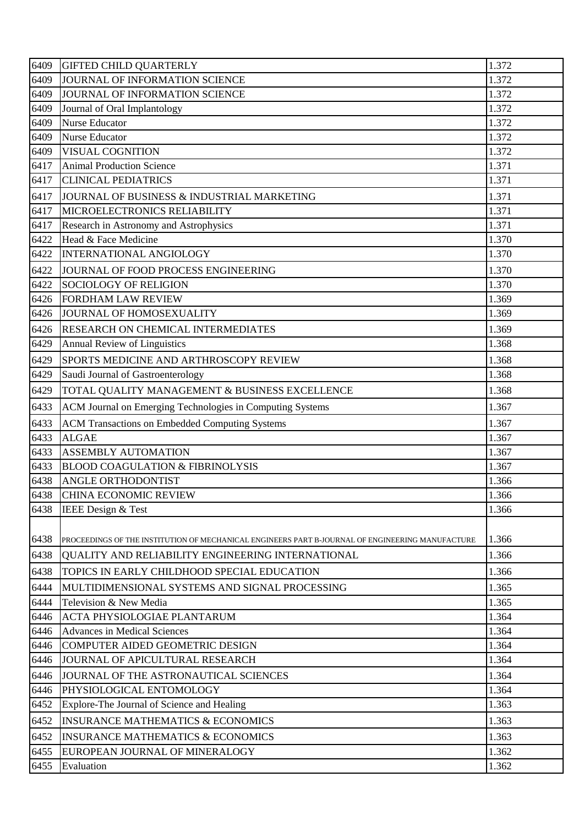| 6409 | <b>GIFTED CHILD QUARTERLY</b>                                                                    | 1.372 |
|------|--------------------------------------------------------------------------------------------------|-------|
| 6409 | JOURNAL OF INFORMATION SCIENCE                                                                   | 1.372 |
| 6409 | JOURNAL OF INFORMATION SCIENCE                                                                   | 1.372 |
| 6409 | Journal of Oral Implantology                                                                     | 1.372 |
| 6409 | <b>Nurse Educator</b>                                                                            | 1.372 |
| 6409 | Nurse Educator                                                                                   | 1.372 |
| 6409 | <b>VISUAL COGNITION</b>                                                                          | 1.372 |
| 6417 | <b>Animal Production Science</b>                                                                 | 1.371 |
| 6417 | <b>CLINICAL PEDIATRICS</b>                                                                       | 1.371 |
| 6417 | JOURNAL OF BUSINESS & INDUSTRIAL MARKETING                                                       | 1.371 |
| 6417 | MICROELECTRONICS RELIABILITY                                                                     | 1.371 |
| 6417 | Research in Astronomy and Astrophysics                                                           | 1.371 |
| 6422 | Head & Face Medicine                                                                             | 1.370 |
| 6422 | <b>INTERNATIONAL ANGIOLOGY</b>                                                                   | 1.370 |
| 6422 | JOURNAL OF FOOD PROCESS ENGINEERING                                                              | 1.370 |
| 6422 | <b>SOCIOLOGY OF RELIGION</b>                                                                     | 1.370 |
| 6426 | <b>FORDHAM LAW REVIEW</b>                                                                        | 1.369 |
| 6426 | JOURNAL OF HOMOSEXUALITY                                                                         | 1.369 |
| 6426 | <b>RESEARCH ON CHEMICAL INTERMEDIATES</b>                                                        | 1.369 |
| 6429 | <b>Annual Review of Linguistics</b>                                                              | 1.368 |
| 6429 | SPORTS MEDICINE AND ARTHROSCOPY REVIEW                                                           | 1.368 |
| 6429 | Saudi Journal of Gastroenterology                                                                | 1.368 |
| 6429 | TOTAL QUALITY MANAGEMENT & BUSINESS EXCELLENCE                                                   | 1.368 |
| 6433 | ACM Journal on Emerging Technologies in Computing Systems                                        | 1.367 |
| 6433 | <b>ACM Transactions on Embedded Computing Systems</b>                                            | 1.367 |
| 6433 | <b>ALGAE</b>                                                                                     | 1.367 |
| 6433 | <b>ASSEMBLY AUTOMATION</b>                                                                       | 1.367 |
| 6433 | <b>BLOOD COAGULATION &amp; FIBRINOLYSIS</b>                                                      | 1.367 |
| 6438 | <b>ANGLE ORTHODONTIST</b>                                                                        | 1.366 |
| 6438 | <b>CHINA ECONOMIC REVIEW</b>                                                                     | 1.366 |
| 6438 | IEEE Design & Test                                                                               | 1.366 |
|      |                                                                                                  |       |
| 6438 | PROCEEDINGS OF THE INSTITUTION OF MECHANICAL ENGINEERS PART B-JOURNAL OF ENGINEERING MANUFACTURE | 1.366 |
| 6438 | QUALITY AND RELIABILITY ENGINEERING INTERNATIONAL                                                | 1.366 |
| 6438 | TOPICS IN EARLY CHILDHOOD SPECIAL EDUCATION                                                      | 1.366 |
| 6444 | MULTIDIMENSIONAL SYSTEMS AND SIGNAL PROCESSING                                                   | 1.365 |
| 6444 | Television & New Media                                                                           | 1.365 |
| 6446 | <b>ACTA PHYSIOLOGIAE PLANTARUM</b>                                                               | 1.364 |
| 6446 | <b>Advances in Medical Sciences</b>                                                              | 1.364 |
| 6446 | COMPUTER AIDED GEOMETRIC DESIGN                                                                  | 1.364 |
| 6446 | JOURNAL OF APICULTURAL RESEARCH                                                                  | 1.364 |
| 6446 | JOURNAL OF THE ASTRONAUTICAL SCIENCES                                                            | 1.364 |
| 6446 | PHYSIOLOGICAL ENTOMOLOGY                                                                         | 1.364 |
| 6452 | Explore-The Journal of Science and Healing                                                       | 1.363 |
| 6452 | <b>INSURANCE MATHEMATICS &amp; ECONOMICS</b>                                                     | 1.363 |
| 6452 | <b>INSURANCE MATHEMATICS &amp; ECONOMICS</b>                                                     | 1.363 |
| 6455 | EUROPEAN JOURNAL OF MINERALOGY                                                                   | 1.362 |
| 6455 | Evaluation                                                                                       | 1.362 |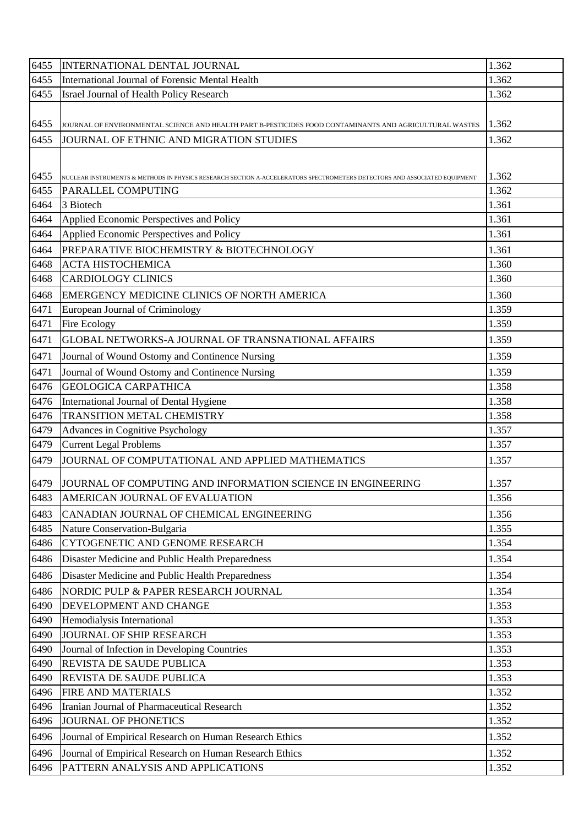| 6455         | INTERNATIONAL DENTAL JOURNAL                                                                                                                    | 1.362          |
|--------------|-------------------------------------------------------------------------------------------------------------------------------------------------|----------------|
| 6455         | International Journal of Forensic Mental Health                                                                                                 | 1.362          |
| 6455         | Israel Journal of Health Policy Research                                                                                                        | 1.362          |
|              |                                                                                                                                                 |                |
| 6455         | JOURNAL OF ENVIRONMENTAL SCIENCE AND HEALTH PART B-PESTICIDES FOOD CONTAMINANTS AND AGRICULTURAL WASTES                                         | 1.362          |
| 6455         | JOURNAL OF ETHNIC AND MIGRATION STUDIES                                                                                                         | 1.362          |
|              |                                                                                                                                                 |                |
|              |                                                                                                                                                 | 1.362          |
| 6455<br>6455 | NUCLEAR INSTRUMENTS & METHODS IN PHYSICS RESEARCH SECTION A-ACCELERATORS SPECTROMETERS DETECTORS AND ASSOCIATED EQUIPMENT<br>PARALLEL COMPUTING | 1.362          |
| 6464         | 3 Biotech                                                                                                                                       | 1.361          |
| 6464         | Applied Economic Perspectives and Policy                                                                                                        | 1.361          |
| 6464         | Applied Economic Perspectives and Policy                                                                                                        | 1.361          |
| 6464         | PREPARATIVE BIOCHEMISTRY & BIOTECHNOLOGY                                                                                                        | 1.361          |
| 6468         | <b>ACTA HISTOCHEMICA</b>                                                                                                                        | 1.360          |
| 6468         | <b>CARDIOLOGY CLINICS</b>                                                                                                                       | 1.360          |
| 6468         | EMERGENCY MEDICINE CLINICS OF NORTH AMERICA                                                                                                     | 1.360          |
| 6471         | European Journal of Criminology                                                                                                                 | 1.359          |
| 6471         | <b>Fire Ecology</b>                                                                                                                             | 1.359          |
| 6471         | GLOBAL NETWORKS-A JOURNAL OF TRANSNATIONAL AFFAIRS                                                                                              | 1.359          |
| 6471         | Journal of Wound Ostomy and Continence Nursing                                                                                                  | 1.359          |
| 6471         | Journal of Wound Ostomy and Continence Nursing                                                                                                  | 1.359          |
| 6476         | <b>GEOLOGICA CARPATHICA</b>                                                                                                                     | 1.358          |
| 6476         | International Journal of Dental Hygiene                                                                                                         | 1.358          |
| 6476         | TRANSITION METAL CHEMISTRY                                                                                                                      | 1.358          |
| 6479         | Advances in Cognitive Psychology                                                                                                                | 1.357          |
| 6479         | <b>Current Legal Problems</b>                                                                                                                   | 1.357          |
| 6479         | JOURNAL OF COMPUTATIONAL AND APPLIED MATHEMATICS                                                                                                | 1.357          |
|              |                                                                                                                                                 |                |
| 6479         | JJOURNAL OF COMPUTING AND INFORMATION SCIENCE IN ENGINEERING                                                                                    | 1.357          |
| 6483         | AMERICAN JOURNAL OF EVALUATION                                                                                                                  | 1.356          |
| 6483         | CANADIAN JOURNAL OF CHEMICAL ENGINEERING                                                                                                        | 1.356          |
| 6485         | Nature Conservation-Bulgaria                                                                                                                    | 1.355          |
| 6486         | CYTOGENETIC AND GENOME RESEARCH                                                                                                                 | 1.354          |
| 6486         | Disaster Medicine and Public Health Preparedness                                                                                                | 1.354          |
| 6486         | Disaster Medicine and Public Health Preparedness                                                                                                | 1.354          |
| 6486         | NORDIC PULP & PAPER RESEARCH JOURNAL                                                                                                            | 1.354          |
| 6490         | DEVELOPMENT AND CHANGE                                                                                                                          | 1.353          |
| 6490         | Hemodialysis International                                                                                                                      | 1.353          |
| 6490         | JOURNAL OF SHIP RESEARCH                                                                                                                        | 1.353          |
| 6490         | Journal of Infection in Developing Countries                                                                                                    | 1.353          |
| 6490         | REVISTA DE SAUDE PUBLICA                                                                                                                        | 1.353          |
| 6490         | REVISTA DE SAUDE PUBLICA                                                                                                                        | 1.353          |
| 6496<br>6496 | FIRE AND MATERIALS<br>Iranian Journal of Pharmaceutical Research                                                                                | 1.352<br>1.352 |
| 6496         | <b>JOURNAL OF PHONETICS</b>                                                                                                                     | 1.352          |
|              |                                                                                                                                                 |                |
| 6496         | Journal of Empirical Research on Human Research Ethics                                                                                          | 1.352          |
| 6496         | Journal of Empirical Research on Human Research Ethics                                                                                          | 1.352          |
| 6496         | PATTERN ANALYSIS AND APPLICATIONS                                                                                                               | 1.352          |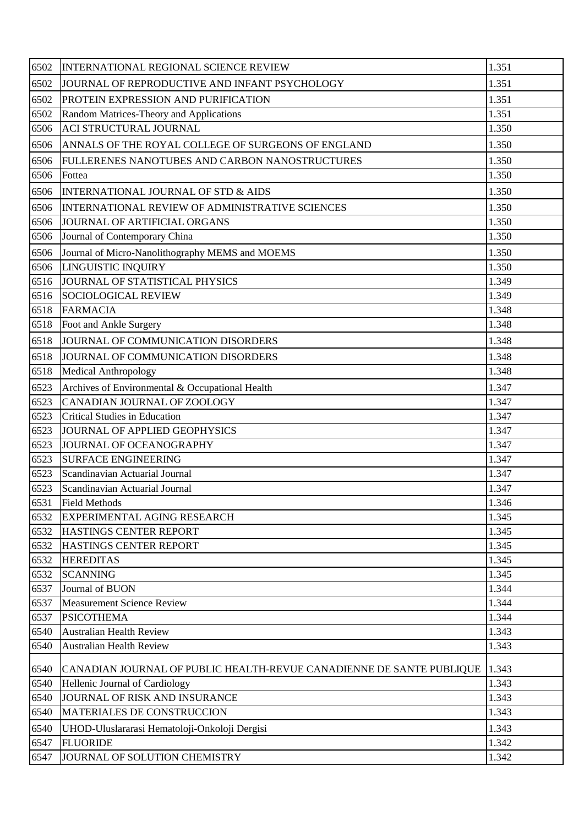| 6502 | <b>INTERNATIONAL REGIONAL SCIENCE REVIEW</b>                         | 1.351 |
|------|----------------------------------------------------------------------|-------|
| 6502 | JOURNAL OF REPRODUCTIVE AND INFANT PSYCHOLOGY                        | 1.351 |
| 6502 | PROTEIN EXPRESSION AND PURIFICATION                                  | 1.351 |
| 6502 | Random Matrices-Theory and Applications                              | 1.351 |
| 6506 | <b>ACI STRUCTURAL JOURNAL</b>                                        | 1.350 |
| 6506 | ANNALS OF THE ROYAL COLLEGE OF SURGEONS OF ENGLAND                   | 1.350 |
| 6506 | FULLERENES NANOTUBES AND CARBON NANOSTRUCTURES                       | 1.350 |
| 6506 | Fottea                                                               | 1.350 |
| 6506 | <b>INTERNATIONAL JOURNAL OF STD &amp; AIDS</b>                       | 1.350 |
| 6506 | <b>INTERNATIONAL REVIEW OF ADMINISTRATIVE SCIENCES</b>               | 1.350 |
| 6506 | JOURNAL OF ARTIFICIAL ORGANS                                         | 1.350 |
| 6506 | Journal of Contemporary China                                        | 1.350 |
| 6506 | Journal of Micro-Nanolithography MEMS and MOEMS                      | 1.350 |
| 6506 | LINGUISTIC INQUIRY                                                   | 1.350 |
| 6516 | JOURNAL OF STATISTICAL PHYSICS                                       | 1.349 |
| 6516 | <b>SOCIOLOGICAL REVIEW</b>                                           | 1.349 |
| 6518 | <b>FARMACIA</b>                                                      | 1.348 |
| 6518 | Foot and Ankle Surgery                                               | 1.348 |
| 6518 | JOURNAL OF COMMUNICATION DISORDERS                                   | 1.348 |
| 6518 | JOURNAL OF COMMUNICATION DISORDERS                                   | 1.348 |
| 6518 | <b>Medical Anthropology</b>                                          | 1.348 |
| 6523 | Archives of Environmental & Occupational Health                      | 1.347 |
| 6523 | CANADIAN JOURNAL OF ZOOLOGY                                          | 1.347 |
| 6523 | <b>Critical Studies in Education</b>                                 | 1.347 |
| 6523 | JOURNAL OF APPLIED GEOPHYSICS                                        | 1.347 |
| 6523 | JOURNAL OF OCEANOGRAPHY                                              | 1.347 |
| 6523 | <b>SURFACE ENGINEERING</b>                                           | 1.347 |
| 6523 | Scandinavian Actuarial Journal                                       | 1.347 |
| 6523 | Scandinavian Actuarial Journal                                       | 1.347 |
| 6531 | <b>Field Methods</b>                                                 | 1.346 |
| 6532 | <b>EXPERIMENTAL AGING RESEARCH</b>                                   | 1.345 |
| 6532 | HASTINGS CENTER REPORT                                               | 1.345 |
| 6532 | HASTINGS CENTER REPORT                                               | 1.345 |
| 6532 | <b>HEREDITAS</b>                                                     | 1.345 |
| 6532 | <b>SCANNING</b>                                                      | 1.345 |
| 6537 | Journal of BUON                                                      | 1.344 |
| 6537 | <b>Measurement Science Review</b>                                    | 1.344 |
| 6537 | <b>PSICOTHEMA</b>                                                    | 1.344 |
| 6540 | <b>Australian Health Review</b>                                      | 1.343 |
| 6540 | <b>Australian Health Review</b>                                      | 1.343 |
| 6540 | CANADIAN JOURNAL OF PUBLIC HEALTH-REVUE CANADIENNE DE SANTE PUBLIQUE | 1.343 |
| 6540 | Hellenic Journal of Cardiology                                       | 1.343 |
| 6540 | JOURNAL OF RISK AND INSURANCE                                        | 1.343 |
| 6540 | MATERIALES DE CONSTRUCCION                                           | 1.343 |
| 6540 | UHOD-Uluslararasi Hematoloji-Onkoloji Dergisi                        | 1.343 |
| 6547 | <b>FLUORIDE</b>                                                      | 1.342 |
| 6547 | JOURNAL OF SOLUTION CHEMISTRY                                        | 1.342 |
|      |                                                                      |       |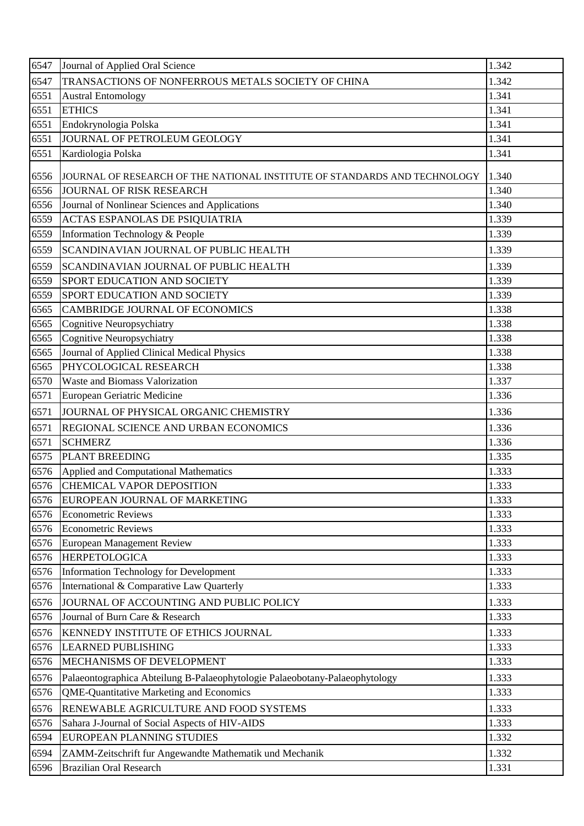| 6547 | Journal of Applied Oral Science                                             | 1.342 |
|------|-----------------------------------------------------------------------------|-------|
| 6547 | TRANSACTIONS OF NONFERROUS METALS SOCIETY OF CHINA                          | 1.342 |
| 6551 | <b>Austral Entomology</b>                                                   | 1.341 |
| 6551 | <b>ETHICS</b>                                                               | 1.341 |
| 6551 | Endokrynologia Polska                                                       | 1.341 |
| 6551 | JOURNAL OF PETROLEUM GEOLOGY                                                | 1.341 |
| 6551 | Kardiologia Polska                                                          | 1.341 |
| 6556 | JOURNAL OF RESEARCH OF THE NATIONAL INSTITUTE OF STANDARDS AND TECHNOLOGY   | 1.340 |
| 6556 | <b>JOURNAL OF RISK RESEARCH</b>                                             | 1.340 |
| 6556 | Journal of Nonlinear Sciences and Applications                              | 1.340 |
| 6559 | ACTAS ESPANOLAS DE PSIQUIATRIA                                              | 1.339 |
| 6559 | Information Technology & People                                             | 1.339 |
| 6559 | SCANDINAVIAN JOURNAL OF PUBLIC HEALTH                                       | 1.339 |
| 6559 | SCANDINAVIAN JOURNAL OF PUBLIC HEALTH                                       | 1.339 |
| 6559 | <b>SPORT EDUCATION AND SOCIETY</b>                                          | 1.339 |
| 6559 | SPORT EDUCATION AND SOCIETY                                                 | 1.339 |
| 6565 | <b>CAMBRIDGE JOURNAL OF ECONOMICS</b>                                       | 1.338 |
| 6565 | Cognitive Neuropsychiatry                                                   | 1.338 |
| 6565 | Cognitive Neuropsychiatry                                                   | 1.338 |
| 6565 | Journal of Applied Clinical Medical Physics                                 | 1.338 |
| 6565 | PHYCOLOGICAL RESEARCH                                                       | 1.338 |
| 6570 | Waste and Biomass Valorization                                              | 1.337 |
| 6571 | European Geriatric Medicine                                                 | 1.336 |
| 6571 | JOURNAL OF PHYSICAL ORGANIC CHEMISTRY                                       | 1.336 |
| 6571 | REGIONAL SCIENCE AND URBAN ECONOMICS                                        | 1.336 |
| 6571 | <b>SCHMERZ</b>                                                              | 1.336 |
| 6575 | <b>PLANT BREEDING</b>                                                       | 1.335 |
| 6576 | Applied and Computational Mathematics                                       | 1.333 |
| 6576 | CHEMICAL VAPOR DEPOSITION                                                   | 1.333 |
| 6576 | EUROPEAN JOURNAL OF MARKETING                                               | 1.333 |
| 6576 | <b>Econometric Reviews</b>                                                  | 1.333 |
| 6576 | <b>Econometric Reviews</b>                                                  | 1.333 |
| 6576 | European Management Review                                                  | 1.333 |
| 6576 | <b>HERPETOLOGICA</b>                                                        | 1.333 |
| 6576 | Information Technology for Development                                      | 1.333 |
| 6576 | International & Comparative Law Quarterly                                   | 1.333 |
| 6576 | JOURNAL OF ACCOUNTING AND PUBLIC POLICY                                     | 1.333 |
| 6576 | Journal of Burn Care & Research                                             | 1.333 |
| 6576 | <b>KENNEDY INSTITUTE OF ETHICS JOURNAL</b>                                  | 1.333 |
| 6576 | <b>LEARNED PUBLISHING</b>                                                   | 1.333 |
| 6576 | MECHANISMS OF DEVELOPMENT                                                   | 1.333 |
| 6576 | Palaeontographica Abteilung B-Palaeophytologie Palaeobotany-Palaeophytology | 1.333 |
| 6576 | <b>QME-Quantitative Marketing and Economics</b>                             | 1.333 |
| 6576 | RENEWABLE AGRICULTURE AND FOOD SYSTEMS                                      | 1.333 |
| 6576 | Sahara J-Journal of Social Aspects of HIV-AIDS                              | 1.333 |
| 6594 | EUROPEAN PLANNING STUDIES                                                   | 1.332 |
| 6594 | ZAMM-Zeitschrift fur Angewandte Mathematik und Mechanik                     | 1.332 |
| 6596 | <b>Brazilian Oral Research</b>                                              | 1.331 |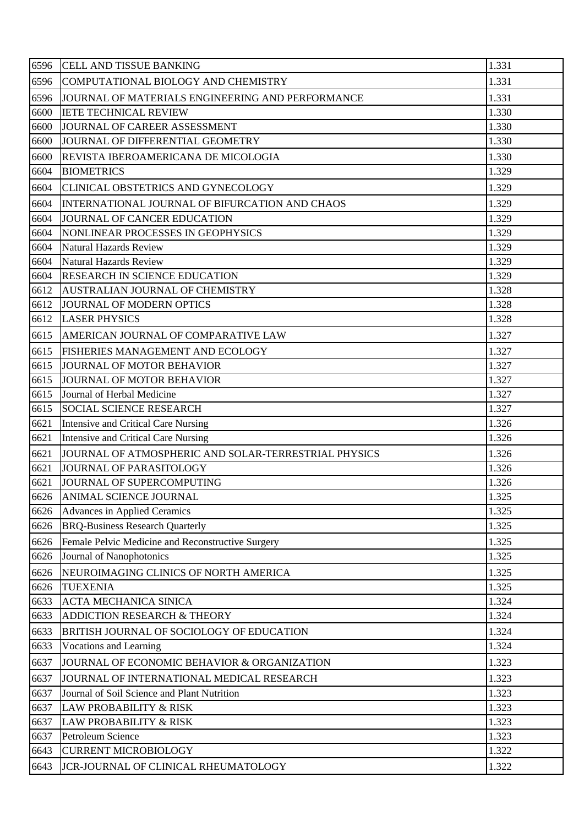| 6596 | <b>CELL AND TISSUE BANKING</b>                       | 1.331 |
|------|------------------------------------------------------|-------|
| 6596 | COMPUTATIONAL BIOLOGY AND CHEMISTRY                  | 1.331 |
| 6596 | JOURNAL OF MATERIALS ENGINEERING AND PERFORMANCE     | 1.331 |
| 6600 | <b>IETE TECHNICAL REVIEW</b>                         | 1.330 |
| 6600 | JOURNAL OF CAREER ASSESSMENT                         | 1.330 |
| 6600 | JOURNAL OF DIFFERENTIAL GEOMETRY                     | 1.330 |
| 6600 | REVISTA IBEROAMERICANA DE MICOLOGIA                  | 1.330 |
| 6604 | <b>BIOMETRICS</b>                                    | 1.329 |
| 6604 | CLINICAL OBSTETRICS AND GYNECOLOGY                   | 1.329 |
| 6604 | INTERNATIONAL JOURNAL OF BIFURCATION AND CHAOS       | 1.329 |
| 6604 | JOURNAL OF CANCER EDUCATION                          | 1.329 |
| 6604 | NONLINEAR PROCESSES IN GEOPHYSICS                    | 1.329 |
| 6604 | <b>Natural Hazards Review</b>                        | 1.329 |
| 6604 | <b>Natural Hazards Review</b>                        | 1.329 |
| 6604 | <b>RESEARCH IN SCIENCE EDUCATION</b>                 | 1.329 |
| 6612 | AUSTRALIAN JOURNAL OF CHEMISTRY                      | 1.328 |
| 6612 | JOURNAL OF MODERN OPTICS                             | 1.328 |
| 6612 | <b>LASER PHYSICS</b>                                 | 1.328 |
| 6615 | AMERICAN JOURNAL OF COMPARATIVE LAW                  | 1.327 |
| 6615 | <b>FISHERIES MANAGEMENT AND ECOLOGY</b>              | 1.327 |
| 6615 | JOURNAL OF MOTOR BEHAVIOR                            | 1.327 |
| 6615 | JOURNAL OF MOTOR BEHAVIOR                            | 1.327 |
| 6615 | Journal of Herbal Medicine                           | 1.327 |
| 6615 | <b>SOCIAL SCIENCE RESEARCH</b>                       | 1.327 |
| 6621 | Intensive and Critical Care Nursing                  | 1.326 |
| 6621 | Intensive and Critical Care Nursing                  | 1.326 |
| 6621 | JOURNAL OF ATMOSPHERIC AND SOLAR-TERRESTRIAL PHYSICS | 1.326 |
| 6621 | JOURNAL OF PARASITOLOGY                              | 1.326 |
|      | 6621 JOURNAL OF SUPERCOMPUTING                       | 1.326 |
| 6626 | ANIMAL SCIENCE JOURNAL                               | 1.325 |
| 6626 | <b>Advances in Applied Ceramics</b>                  | 1.325 |
| 6626 | <b>BRQ-Business Research Quarterly</b>               | 1.325 |
| 6626 | Female Pelvic Medicine and Reconstructive Surgery    | 1.325 |
| 6626 | Journal of Nanophotonics                             | 1.325 |
| 6626 | NEUROIMAGING CLINICS OF NORTH AMERICA                | 1.325 |
| 6626 | <b>TUEXENIA</b>                                      | 1.325 |
| 6633 | <b>ACTA MECHANICA SINICA</b>                         | 1.324 |
| 6633 | ADDICTION RESEARCH & THEORY                          | 1.324 |
| 6633 | BRITISH JOURNAL OF SOCIOLOGY OF EDUCATION            | 1.324 |
| 6633 | Vocations and Learning                               | 1.324 |
| 6637 | JOURNAL OF ECONOMIC BEHAVIOR & ORGANIZATION          | 1.323 |
| 6637 | JOURNAL OF INTERNATIONAL MEDICAL RESEARCH            | 1.323 |
| 6637 | Journal of Soil Science and Plant Nutrition          | 1.323 |
| 6637 | <b>LAW PROBABILITY &amp; RISK</b>                    | 1.323 |
| 6637 | <b>LAW PROBABILITY &amp; RISK</b>                    | 1.323 |
| 6637 | Petroleum Science                                    | 1.323 |
| 6643 | <b>CURRENT MICROBIOLOGY</b>                          | 1.322 |
| 6643 | JCR-JOURNAL OF CLINICAL RHEUMATOLOGY                 | 1.322 |
|      |                                                      |       |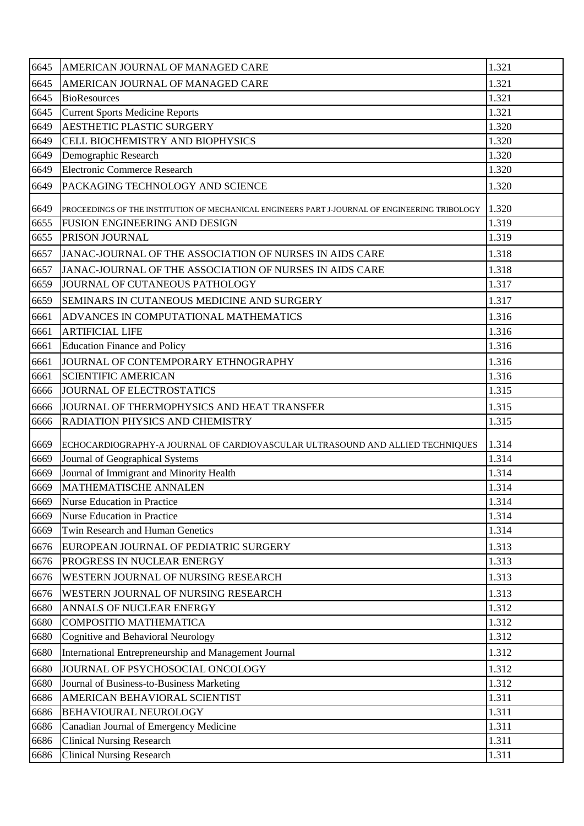| 6645 | AMERICAN JOURNAL OF MANAGED CARE                                                               | 1.321 |
|------|------------------------------------------------------------------------------------------------|-------|
| 6645 | AMERICAN JOURNAL OF MANAGED CARE                                                               | 1.321 |
| 6645 | <b>BioResources</b>                                                                            | 1.321 |
| 6645 | <b>Current Sports Medicine Reports</b>                                                         | 1.321 |
| 6649 | <b>AESTHETIC PLASTIC SURGERY</b>                                                               | 1.320 |
| 6649 | CELL BIOCHEMISTRY AND BIOPHYSICS                                                               | 1.320 |
| 6649 | Demographic Research                                                                           | 1.320 |
| 6649 | Electronic Commerce Research                                                                   | 1.320 |
| 6649 | PACKAGING TECHNOLOGY AND SCIENCE                                                               | 1.320 |
| 6649 | PROCEEDINGS OF THE INSTITUTION OF MECHANICAL ENGINEERS PART J-JOURNAL OF ENGINEERING TRIBOLOGY | 1.320 |
| 6655 | FUSION ENGINEERING AND DESIGN                                                                  | 1.319 |
| 6655 | PRISON JOURNAL                                                                                 | 1.319 |
| 6657 | JANAC-JOURNAL OF THE ASSOCIATION OF NURSES IN AIDS CARE                                        | 1.318 |
| 6657 | JANAC-JOURNAL OF THE ASSOCIATION OF NURSES IN AIDS CARE                                        | 1.318 |
| 6659 | JOURNAL OF CUTANEOUS PATHOLOGY                                                                 | 1.317 |
| 6659 | SEMINARS IN CUTANEOUS MEDICINE AND SURGERY                                                     | 1.317 |
| 6661 | ADVANCES IN COMPUTATIONAL MATHEMATICS                                                          | 1.316 |
| 6661 | <b>ARTIFICIAL LIFE</b>                                                                         | 1.316 |
| 6661 | <b>Education Finance and Policy</b>                                                            | 1.316 |
| 6661 | JOURNAL OF CONTEMPORARY ETHNOGRAPHY                                                            | 1.316 |
| 6661 | <b>SCIENTIFIC AMERICAN</b>                                                                     | 1.316 |
| 6666 | JOURNAL OF ELECTROSTATICS                                                                      | 1.315 |
| 6666 | JOURNAL OF THERMOPHYSICS AND HEAT TRANSFER                                                     | 1.315 |
| 6666 | RADIATION PHYSICS AND CHEMISTRY                                                                | 1.315 |
| 6669 | ECHOCARDIOGRAPHY-A JOURNAL OF CARDIOVASCULAR ULTRASOUND AND ALLIED TECHNIQUES                  | 1.314 |
| 6669 | Journal of Geographical Systems                                                                | 1.314 |
| 6669 | Journal of Immigrant and Minority Health                                                       | 1.314 |
| 6669 | MATHEMATISCHE ANNALEN                                                                          | 1.314 |
| 6669 | <b>Nurse Education in Practice</b>                                                             | 1.314 |
| 6669 | <b>Nurse Education in Practice</b>                                                             | 1.314 |
| 6669 | Twin Research and Human Genetics                                                               | 1.314 |
| 6676 | EUROPEAN JOURNAL OF PEDIATRIC SURGERY                                                          | 1.313 |
| 6676 | PROGRESS IN NUCLEAR ENERGY                                                                     | 1.313 |
| 6676 | WESTERN JOURNAL OF NURSING RESEARCH                                                            | 1.313 |
| 6676 | WESTERN JOURNAL OF NURSING RESEARCH                                                            | 1.313 |
| 6680 | ANNALS OF NUCLEAR ENERGY                                                                       | 1.312 |
| 6680 | COMPOSITIO MATHEMATICA                                                                         | 1.312 |
| 6680 | Cognitive and Behavioral Neurology                                                             | 1.312 |
| 6680 | International Entrepreneurship and Management Journal                                          | 1.312 |
| 6680 | JOURNAL OF PSYCHOSOCIAL ONCOLOGY                                                               | 1.312 |
| 6680 | Journal of Business-to-Business Marketing                                                      | 1.312 |
| 6686 | AMERICAN BEHAVIORAL SCIENTIST                                                                  | 1.311 |
| 6686 | <b>BEHAVIOURAL NEUROLOGY</b>                                                                   | 1.311 |
| 6686 | Canadian Journal of Emergency Medicine                                                         | 1.311 |
| 6686 | <b>Clinical Nursing Research</b>                                                               | 1.311 |
| 6686 | <b>Clinical Nursing Research</b>                                                               | 1.311 |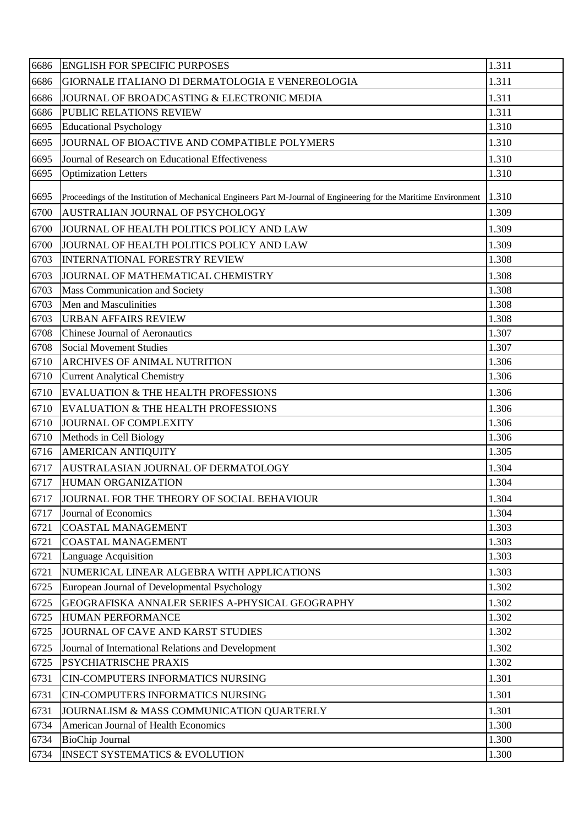| 6686 | <b>ENGLISH FOR SPECIFIC PURPOSES</b>                                                                              | 1.311 |
|------|-------------------------------------------------------------------------------------------------------------------|-------|
| 6686 | GIORNALE ITALIANO DI DERMATOLOGIA E VENEREOLOGIA                                                                  | 1.311 |
| 6686 | JOURNAL OF BROADCASTING & ELECTRONIC MEDIA                                                                        | 1.311 |
| 6686 | PUBLIC RELATIONS REVIEW                                                                                           | 1.311 |
| 6695 | <b>Educational Psychology</b>                                                                                     | 1.310 |
| 6695 | JOURNAL OF BIOACTIVE AND COMPATIBLE POLYMERS                                                                      | 1.310 |
| 6695 | Journal of Research on Educational Effectiveness                                                                  | 1.310 |
| 6695 | <b>Optimization Letters</b>                                                                                       | 1.310 |
| 6695 | Proceedings of the Institution of Mechanical Engineers Part M-Journal of Engineering for the Maritime Environment | 1.310 |
| 6700 | AUSTRALIAN JOURNAL OF PSYCHOLOGY                                                                                  | 1.309 |
| 6700 | JOURNAL OF HEALTH POLITICS POLICY AND LAW                                                                         | 1.309 |
| 6700 | JOURNAL OF HEALTH POLITICS POLICY AND LAW                                                                         | 1.309 |
| 6703 | <b>INTERNATIONAL FORESTRY REVIEW</b>                                                                              | 1.308 |
| 6703 | JOURNAL OF MATHEMATICAL CHEMISTRY                                                                                 | 1.308 |
| 6703 | Mass Communication and Society                                                                                    | 1.308 |
| 6703 | Men and Masculinities                                                                                             | 1.308 |
| 6703 | <b>URBAN AFFAIRS REVIEW</b>                                                                                       | 1.308 |
| 6708 | <b>Chinese Journal of Aeronautics</b>                                                                             | 1.307 |
| 6708 | <b>Social Movement Studies</b>                                                                                    | 1.307 |
| 6710 | <b>ARCHIVES OF ANIMAL NUTRITION</b>                                                                               | 1.306 |
| 6710 | <b>Current Analytical Chemistry</b>                                                                               | 1.306 |
| 6710 | EVALUATION & THE HEALTH PROFESSIONS                                                                               | 1.306 |
| 6710 | EVALUATION & THE HEALTH PROFESSIONS                                                                               | 1.306 |
| 6710 | <b>JOURNAL OF COMPLEXITY</b>                                                                                      | 1.306 |
| 6710 | Methods in Cell Biology                                                                                           | 1.306 |
| 6716 | AMERICAN ANTIQUITY                                                                                                | 1.305 |
| 6717 | AUSTRALASIAN JOURNAL OF DERMATOLOGY                                                                               | 1.304 |
| 6717 | <b>HUMAN ORGANIZATION</b>                                                                                         | 1.304 |
| 6717 | JOURNAL FOR THE THEORY OF SOCIAL BEHAVIOUR                                                                        | 1.304 |
| 6717 | Journal of Economics                                                                                              | 1.304 |
| 6721 | <b>COASTAL MANAGEMENT</b>                                                                                         | 1.303 |
| 6721 | <b>COASTAL MANAGEMENT</b>                                                                                         | 1.303 |
| 6721 | <b>Language Acquisition</b>                                                                                       | 1.303 |
| 6721 | NUMERICAL LINEAR ALGEBRA WITH APPLICATIONS                                                                        | 1.303 |
| 6725 | European Journal of Developmental Psychology                                                                      | 1.302 |
| 6725 | GEOGRAFISKA ANNALER SERIES A-PHYSICAL GEOGRAPHY                                                                   | 1.302 |
| 6725 | <b>HUMAN PERFORMANCE</b>                                                                                          | 1.302 |
| 6725 | JOURNAL OF CAVE AND KARST STUDIES                                                                                 | 1.302 |
| 6725 | Journal of International Relations and Development                                                                | 1.302 |
| 6725 | PSYCHIATRISCHE PRAXIS                                                                                             | 1.302 |
| 6731 | CIN-COMPUTERS INFORMATICS NURSING                                                                                 | 1.301 |
| 6731 | CIN-COMPUTERS INFORMATICS NURSING                                                                                 | 1.301 |
| 6731 | JOURNALISM & MASS COMMUNICATION QUARTERLY                                                                         | 1.301 |
| 6734 | American Journal of Health Economics                                                                              | 1.300 |
| 6734 | <b>BioChip Journal</b>                                                                                            | 1.300 |
| 6734 | <b>INSECT SYSTEMATICS &amp; EVOLUTION</b>                                                                         | 1.300 |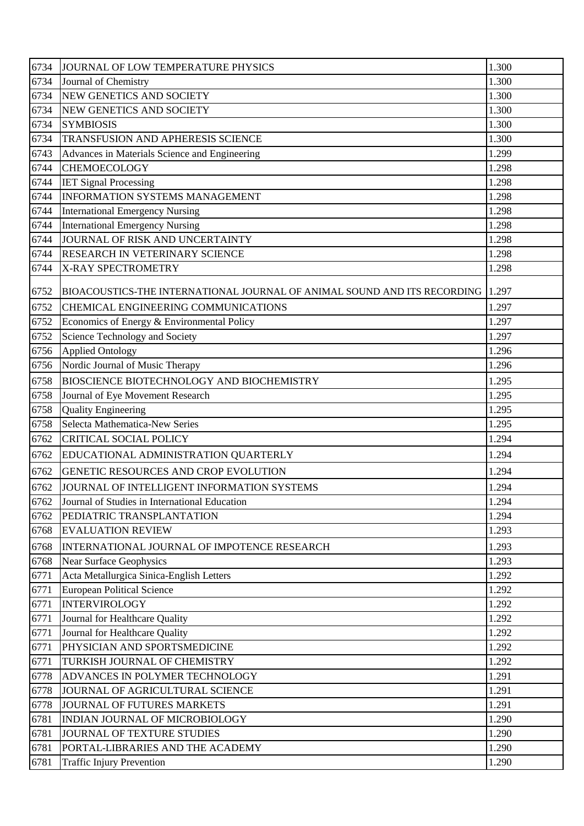| 6734 | JOURNAL OF LOW TEMPERATURE PHYSICS                                             | 1.300 |
|------|--------------------------------------------------------------------------------|-------|
| 6734 | Journal of Chemistry                                                           | 1.300 |
| 6734 | NEW GENETICS AND SOCIETY                                                       | 1.300 |
| 6734 | NEW GENETICS AND SOCIETY                                                       | 1.300 |
| 6734 | <b>SYMBIOSIS</b>                                                               | 1.300 |
| 6734 | TRANSFUSION AND APHERESIS SCIENCE                                              | 1.300 |
| 6743 | Advances in Materials Science and Engineering                                  | 1.299 |
| 6744 | <b>CHEMOECOLOGY</b>                                                            | 1.298 |
| 6744 | <b>IET Signal Processing</b>                                                   | 1.298 |
| 6744 | <b>INFORMATION SYSTEMS MANAGEMENT</b>                                          | 1.298 |
| 6744 | <b>International Emergency Nursing</b>                                         | 1.298 |
| 6744 | <b>International Emergency Nursing</b>                                         | 1.298 |
| 6744 | JOURNAL OF RISK AND UNCERTAINTY                                                | 1.298 |
| 6744 | RESEARCH IN VETERINARY SCIENCE                                                 | 1.298 |
| 6744 | X-RAY SPECTROMETRY                                                             | 1.298 |
| 6752 | BIOACOUSTICS-THE INTERNATIONAL JOURNAL OF ANIMAL SOUND AND ITS RECORDING 1.297 |       |
| 6752 | CHEMICAL ENGINEERING COMMUNICATIONS                                            | 1.297 |
| 6752 | Economics of Energy & Environmental Policy                                     | 1.297 |
| 6752 | Science Technology and Society                                                 | 1.297 |
| 6756 | <b>Applied Ontology</b>                                                        | 1.296 |
| 6756 | Nordic Journal of Music Therapy                                                | 1.296 |
| 6758 | BIOSCIENCE BIOTECHNOLOGY AND BIOCHEMISTRY                                      | 1.295 |
| 6758 | Journal of Eye Movement Research                                               | 1.295 |
| 6758 | <b>Quality Engineering</b>                                                     | 1.295 |
| 6758 | Selecta Mathematica-New Series                                                 | 1.295 |
| 6762 | CRITICAL SOCIAL POLICY                                                         | 1.294 |
| 6762 | EDUCATIONAL ADMINISTRATION QUARTERLY                                           | 1.294 |
| 6762 | GENETIC RESOURCES AND CROP EVOLUTION                                           | 1.294 |
| 6762 | JOURNAL OF INTELLIGENT INFORMATION SYSTEMS                                     | 1.294 |
| 6762 | Journal of Studies in International Education                                  | 1.294 |
| 6762 | PEDIATRIC TRANSPLANTATION                                                      | 1.294 |
| 6768 | <b>EVALUATION REVIEW</b>                                                       | 1.293 |
| 6768 | INTERNATIONAL JOURNAL OF IMPOTENCE RESEARCH                                    | 1.293 |
| 6768 | <b>Near Surface Geophysics</b>                                                 | 1.293 |
| 6771 | Acta Metallurgica Sinica-English Letters                                       | 1.292 |
| 6771 | <b>European Political Science</b>                                              | 1.292 |
| 6771 | <b>INTERVIROLOGY</b>                                                           | 1.292 |
| 6771 | Journal for Healthcare Quality                                                 | 1.292 |
| 6771 | Journal for Healthcare Quality                                                 | 1.292 |
| 6771 | PHYSICIAN AND SPORTSMEDICINE                                                   | 1.292 |
| 6771 | TURKISH JOURNAL OF CHEMISTRY                                                   | 1.292 |
| 6778 | ADVANCES IN POLYMER TECHNOLOGY                                                 | 1.291 |
| 6778 | JOURNAL OF AGRICULTURAL SCIENCE                                                | 1.291 |
| 6778 | JOURNAL OF FUTURES MARKETS                                                     | 1.291 |
| 6781 | INDIAN JOURNAL OF MICROBIOLOGY                                                 | 1.290 |
| 6781 | JOURNAL OF TEXTURE STUDIES                                                     | 1.290 |
| 6781 | PORTAL-LIBRARIES AND THE ACADEMY                                               | 1.290 |
| 6781 | <b>Traffic Injury Prevention</b>                                               | 1.290 |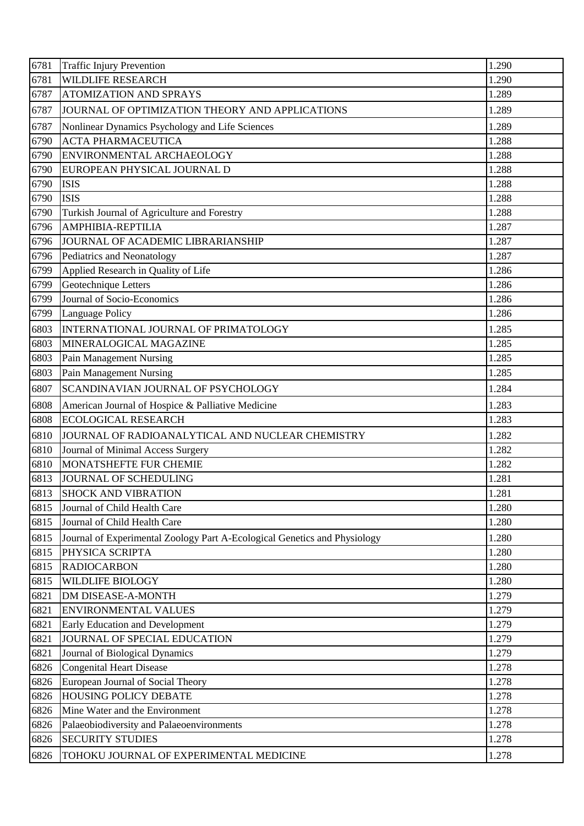| 6781 | <b>Traffic Injury Prevention</b>                                          | 1.290 |
|------|---------------------------------------------------------------------------|-------|
| 6781 | <b>WILDLIFE RESEARCH</b>                                                  | 1.290 |
| 6787 | <b>ATOMIZATION AND SPRAYS</b>                                             | 1.289 |
| 6787 | JOURNAL OF OPTIMIZATION THEORY AND APPLICATIONS                           | 1.289 |
| 6787 | Nonlinear Dynamics Psychology and Life Sciences                           | 1.289 |
| 6790 | <b>ACTA PHARMACEUTICA</b>                                                 | 1.288 |
| 6790 | ENVIRONMENTAL ARCHAEOLOGY                                                 | 1.288 |
| 6790 | EUROPEAN PHYSICAL JOURNAL D                                               | 1.288 |
| 6790 | <b>ISIS</b>                                                               | 1.288 |
| 6790 | <b>ISIS</b>                                                               | 1.288 |
| 6790 | Turkish Journal of Agriculture and Forestry                               | 1.288 |
| 6796 | AMPHIBIA-REPTILIA                                                         | 1.287 |
| 6796 | JOURNAL OF ACADEMIC LIBRARIANSHIP                                         | 1.287 |
| 6796 | Pediatrics and Neonatology                                                | 1.287 |
| 6799 | Applied Research in Quality of Life                                       | 1.286 |
| 6799 | Geotechnique Letters                                                      | 1.286 |
| 6799 | Journal of Socio-Economics                                                | 1.286 |
| 6799 | <b>Language Policy</b>                                                    | 1.286 |
| 6803 | INTERNATIONAL JOURNAL OF PRIMATOLOGY                                      | 1.285 |
| 6803 | MINERALOGICAL MAGAZINE                                                    | 1.285 |
| 6803 | Pain Management Nursing                                                   | 1.285 |
| 6803 | Pain Management Nursing                                                   | 1.285 |
| 6807 | SCANDINAVIAN JOURNAL OF PSYCHOLOGY                                        | 1.284 |
| 6808 | American Journal of Hospice & Palliative Medicine                         | 1.283 |
| 6808 | <b>ECOLOGICAL RESEARCH</b>                                                | 1.283 |
| 6810 | JOURNAL OF RADIOANALYTICAL AND NUCLEAR CHEMISTRY                          | 1.282 |
| 6810 | Journal of Minimal Access Surgery                                         | 1.282 |
| 6810 | MONATSHEFTE FUR CHEMIE                                                    | 1.282 |
|      | 6813 JOURNAL OF SCHEDULING                                                | 1.281 |
| 6813 | <b>SHOCK AND VIBRATION</b>                                                | 1.281 |
| 6815 | Journal of Child Health Care                                              | 1.280 |
| 6815 | Journal of Child Health Care                                              | 1.280 |
| 6815 | Journal of Experimental Zoology Part A-Ecological Genetics and Physiology | 1.280 |
| 6815 | PHYSICA SCRIPTA                                                           | 1.280 |
| 6815 | <b>RADIOCARBON</b>                                                        | 1.280 |
| 6815 | <b>WILDLIFE BIOLOGY</b>                                                   | 1.280 |
| 6821 | DM DISEASE-A-MONTH                                                        | 1.279 |
| 6821 | <b>ENVIRONMENTAL VALUES</b>                                               | 1.279 |
| 6821 | <b>Early Education and Development</b>                                    | 1.279 |
| 6821 | JOURNAL OF SPECIAL EDUCATION                                              | 1.279 |
| 6821 | Journal of Biological Dynamics                                            | 1.279 |
| 6826 | <b>Congenital Heart Disease</b>                                           | 1.278 |
| 6826 | European Journal of Social Theory                                         | 1.278 |
| 6826 | <b>HOUSING POLICY DEBATE</b>                                              | 1.278 |
| 6826 | Mine Water and the Environment                                            | 1.278 |
| 6826 | Palaeobiodiversity and Palaeoenvironments                                 | 1.278 |
| 6826 | <b>SECURITY STUDIES</b>                                                   | 1.278 |
| 6826 | TOHOKU JOURNAL OF EXPERIMENTAL MEDICINE                                   | 1.278 |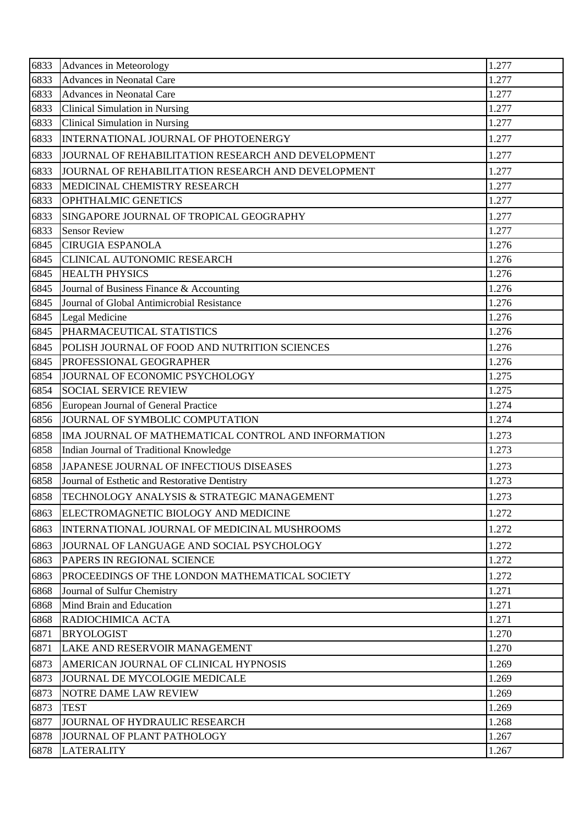| 6833 | Advances in Meteorology                             | 1.277 |
|------|-----------------------------------------------------|-------|
| 6833 | Advances in Neonatal Care                           | 1.277 |
| 6833 | Advances in Neonatal Care                           | 1.277 |
| 6833 | Clinical Simulation in Nursing                      | 1.277 |
| 6833 | Clinical Simulation in Nursing                      | 1.277 |
| 6833 | INTERNATIONAL JOURNAL OF PHOTOENERGY                | 1.277 |
| 6833 | JOURNAL OF REHABILITATION RESEARCH AND DEVELOPMENT  | 1.277 |
| 6833 | JOURNAL OF REHABILITATION RESEARCH AND DEVELOPMENT  | 1.277 |
| 6833 | MEDICINAL CHEMISTRY RESEARCH                        | 1.277 |
| 6833 | <b>OPHTHALMIC GENETICS</b>                          | 1.277 |
| 6833 | SINGAPORE JOURNAL OF TROPICAL GEOGRAPHY             | 1.277 |
| 6833 | <b>Sensor Review</b>                                | 1.277 |
| 6845 | <b>CIRUGIA ESPANOLA</b>                             | 1.276 |
| 6845 | <b>CLINICAL AUTONOMIC RESEARCH</b>                  | 1.276 |
| 6845 | <b>HEALTH PHYSICS</b>                               | 1.276 |
| 6845 | Journal of Business Finance & Accounting            | 1.276 |
| 6845 | Journal of Global Antimicrobial Resistance          | 1.276 |
| 6845 | Legal Medicine                                      | 1.276 |
| 6845 | PHARMACEUTICAL STATISTICS                           | 1.276 |
| 6845 | POLISH JOURNAL OF FOOD AND NUTRITION SCIENCES       | 1.276 |
| 6845 | PROFESSIONAL GEOGRAPHER                             | 1.276 |
| 6854 | JOURNAL OF ECONOMIC PSYCHOLOGY                      | 1.275 |
| 6854 | <b>SOCIAL SERVICE REVIEW</b>                        | 1.275 |
| 6856 | European Journal of General Practice                | 1.274 |
| 6856 | JOURNAL OF SYMBOLIC COMPUTATION                     | 1.274 |
| 6858 | IMA JOURNAL OF MATHEMATICAL CONTROL AND INFORMATION | 1.273 |
| 6858 | Indian Journal of Traditional Knowledge             | 1.273 |
| 6858 | JAPANESE JOURNAL OF INFECTIOUS DISEASES             | 1.273 |
| 6858 | Journal of Esthetic and Restorative Dentistry       | 1.273 |
| 6858 | TECHNOLOGY ANALYSIS & STRATEGIC MANAGEMENT          | 1.273 |
| 6863 | ELECTROMAGNETIC BIOLOGY AND MEDICINE                | 1.272 |
| 6863 | INTERNATIONAL JOURNAL OF MEDICINAL MUSHROOMS        | 1.272 |
| 6863 | JOURNAL OF LANGUAGE AND SOCIAL PSYCHOLOGY           | 1.272 |
| 6863 | <b>PAPERS IN REGIONAL SCIENCE</b>                   | 1.272 |
| 6863 | PROCEEDINGS OF THE LONDON MATHEMATICAL SOCIETY      | 1.272 |
| 6868 | Journal of Sulfur Chemistry                         | 1.271 |
| 6868 | Mind Brain and Education                            | 1.271 |
| 6868 | RADIOCHIMICA ACTA                                   | 1.271 |
| 6871 | <b>BRYOLOGIST</b>                                   | 1.270 |
| 6871 | LAKE AND RESERVOIR MANAGEMENT                       | 1.270 |
| 6873 | AMERICAN JOURNAL OF CLINICAL HYPNOSIS               | 1.269 |
| 6873 | JOURNAL DE MYCOLOGIE MEDICALE                       | 1.269 |
| 6873 | NOTRE DAME LAW REVIEW                               | 1.269 |
| 6873 | <b>TEST</b>                                         | 1.269 |
| 6877 | JOURNAL OF HYDRAULIC RESEARCH                       | 1.268 |
| 6878 | JOURNAL OF PLANT PATHOLOGY                          | 1.267 |
| 6878 | <b>LATERALITY</b>                                   | 1.267 |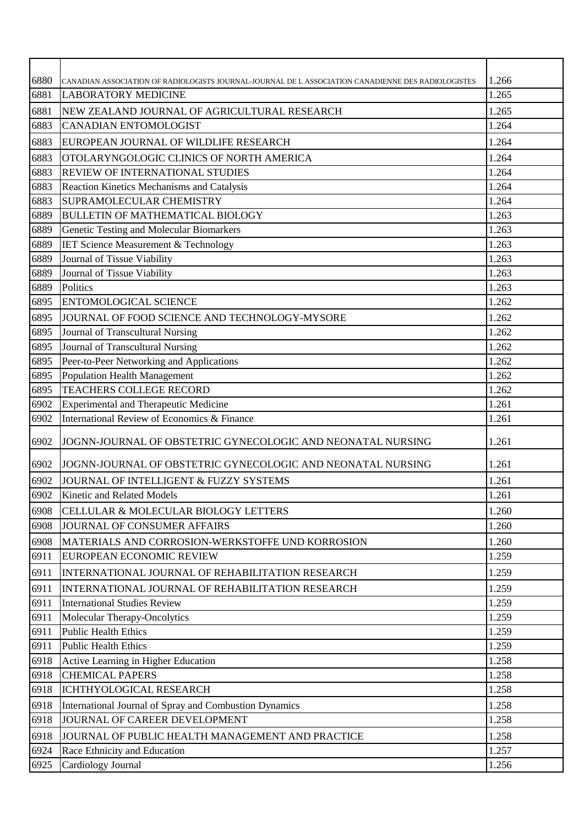| 6880<br>6881 | CANADIAN ASSOCIATION OF RADIOLOGISTS JOURNAL-JOURNAL DE L ASSOCIATION CANADIENNE DES RADIOLOGISTES<br><b>LABORATORY MEDICINE</b> | 1.266<br>1.265 |
|--------------|----------------------------------------------------------------------------------------------------------------------------------|----------------|
|              |                                                                                                                                  |                |
| 6881         | NEW ZEALAND JOURNAL OF AGRICULTURAL RESEARCH                                                                                     | 1.265<br>1.264 |
| 6883         | <b>CANADIAN ENTOMOLOGIST</b>                                                                                                     |                |
| 6883         | EUROPEAN JOURNAL OF WILDLIFE RESEARCH                                                                                            | 1.264          |
| 6883         | OTOLARYNGOLOGIC CLINICS OF NORTH AMERICA                                                                                         | 1.264          |
| 6883         | <b>REVIEW OF INTERNATIONAL STUDIES</b>                                                                                           | 1.264          |
| 6883         | Reaction Kinetics Mechanisms and Catalysis                                                                                       | 1.264          |
| 6883         | SUPRAMOLECULAR CHEMISTRY                                                                                                         | 1.264          |
| 6889         | <b>BULLETIN OF MATHEMATICAL BIOLOGY</b>                                                                                          | 1.263          |
| 6889         | Genetic Testing and Molecular Biomarkers                                                                                         | 1.263          |
| 6889         | <b>IET Science Measurement &amp; Technology</b>                                                                                  | 1.263          |
| 6889<br>6889 | Journal of Tissue Viability<br>Journal of Tissue Viability                                                                       | 1.263<br>1.263 |
| 6889         | Politics                                                                                                                         | 1.263          |
| 6895         | <b>ENTOMOLOGICAL SCIENCE</b>                                                                                                     | 1.262          |
|              |                                                                                                                                  |                |
| 6895<br>6895 | JOURNAL OF FOOD SCIENCE AND TECHNOLOGY-MYSORE                                                                                    | 1.262<br>1.262 |
| 6895         | Journal of Transcultural Nursing<br>Journal of Transcultural Nursing                                                             | 1.262          |
| 6895         | Peer-to-Peer Networking and Applications                                                                                         | 1.262          |
| 6895         | Population Health Management                                                                                                     | 1.262          |
| 6895         | <b>TEACHERS COLLEGE RECORD</b>                                                                                                   | 1.262          |
| 6902         | <b>Experimental and Therapeutic Medicine</b>                                                                                     | 1.261          |
| 6902         | International Review of Economics & Finance                                                                                      | 1.261          |
| 6902         | JOGNN-JOURNAL OF OBSTETRIC GYNECOLOGIC AND NEONATAL NURSING                                                                      | 1.261          |
| 6902         | JOGNN-JOURNAL OF OBSTETRIC GYNECOLOGIC AND NEONATAL NURSING                                                                      | 1.261          |
| 6902         | JOURNAL OF INTELLIGENT & FUZZY SYSTEMS                                                                                           | 1.261          |
| 6902         | Kinetic and Related Models                                                                                                       | 1.261          |
| 6908         | CELLULAR & MOLECULAR BIOLOGY LETTERS                                                                                             | 1.260          |
| 6908         | JOURNAL OF CONSUMER AFFAIRS                                                                                                      | 1.260          |
| 6908         | MATERIALS AND CORROSION-WERKSTOFFE UND KORROSION                                                                                 | 1.260          |
| 6911         | EUROPEAN ECONOMIC REVIEW                                                                                                         | 1.259          |
| 6911         | INTERNATIONAL JOURNAL OF REHABILITATION RESEARCH                                                                                 | 1.259          |
| 6911         | INTERNATIONAL JOURNAL OF REHABILITATION RESEARCH                                                                                 | 1.259          |
| 6911         | <b>International Studies Review</b>                                                                                              | 1.259          |
| 6911         | Molecular Therapy-Oncolytics                                                                                                     | 1.259          |
| 6911         | <b>Public Health Ethics</b>                                                                                                      | 1.259          |
| 6911         | <b>Public Health Ethics</b>                                                                                                      | 1.259          |
| 6918         | Active Learning in Higher Education                                                                                              | 1.258          |
| 6918         | <b>CHEMICAL PAPERS</b>                                                                                                           | 1.258          |
| 6918         | ICHTHYOLOGICAL RESEARCH                                                                                                          | 1.258          |
| 6918         | International Journal of Spray and Combustion Dynamics                                                                           | 1.258          |
| 6918         | JOURNAL OF CAREER DEVELOPMENT                                                                                                    | 1.258          |
| 6918         | JOURNAL OF PUBLIC HEALTH MANAGEMENT AND PRACTICE                                                                                 | 1.258          |
| 6924         | Race Ethnicity and Education                                                                                                     | 1.257          |
| 6925         | Cardiology Journal                                                                                                               | 1.256          |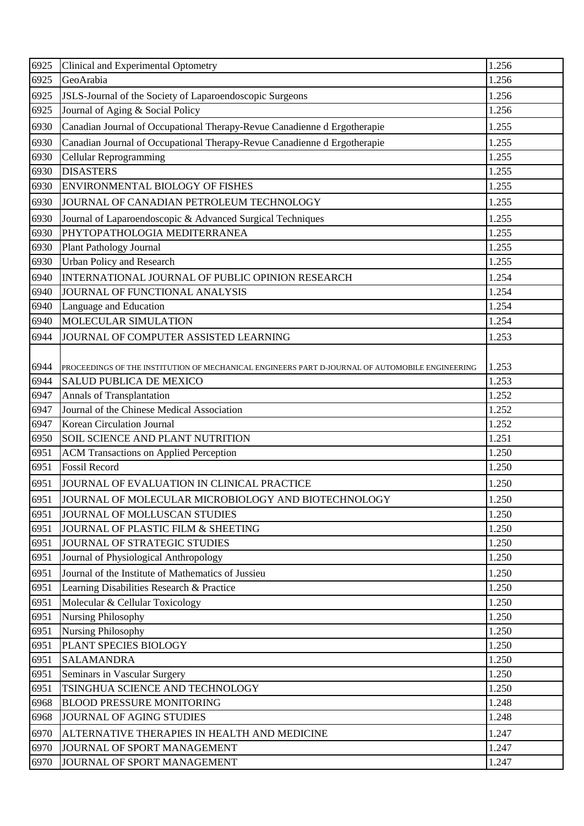| 6925 | Clinical and Experimental Optometry                                                             | 1.256 |
|------|-------------------------------------------------------------------------------------------------|-------|
| 6925 | GeoArabia                                                                                       | 1.256 |
| 6925 | JSLS-Journal of the Society of Laparoendoscopic Surgeons                                        | 1.256 |
| 6925 | Journal of Aging & Social Policy                                                                | 1.256 |
| 6930 | Canadian Journal of Occupational Therapy-Revue Canadienne d Ergotherapie                        | 1.255 |
| 6930 | Canadian Journal of Occupational Therapy-Revue Canadienne d Ergotherapie                        | 1.255 |
| 6930 | Cellular Reprogramming                                                                          | 1.255 |
| 6930 | <b>DISASTERS</b>                                                                                | 1.255 |
| 6930 | ENVIRONMENTAL BIOLOGY OF FISHES                                                                 | 1.255 |
| 6930 | JOURNAL OF CANADIAN PETROLEUM TECHNOLOGY                                                        | 1.255 |
| 6930 | Journal of Laparoendoscopic & Advanced Surgical Techniques                                      | 1.255 |
| 6930 | PHYTOPATHOLOGIA MEDITERRANEA                                                                    | 1.255 |
| 6930 | <b>Plant Pathology Journal</b>                                                                  | 1.255 |
| 6930 | Urban Policy and Research                                                                       | 1.255 |
| 6940 | INTERNATIONAL JOURNAL OF PUBLIC OPINION RESEARCH                                                | 1.254 |
| 6940 | JOURNAL OF FUNCTIONAL ANALYSIS                                                                  | 1.254 |
| 6940 | Language and Education                                                                          | 1.254 |
| 6940 | MOLECULAR SIMULATION                                                                            | 1.254 |
| 6944 | JOURNAL OF COMPUTER ASSISTED LEARNING                                                           | 1.253 |
|      |                                                                                                 |       |
| 6944 | PROCEEDINGS OF THE INSTITUTION OF MECHANICAL ENGINEERS PART D-JOURNAL OF AUTOMOBILE ENGINEERING | 1.253 |
| 6944 | <b>SALUD PUBLICA DE MEXICO</b>                                                                  | 1.253 |
| 6947 | Annals of Transplantation                                                                       | 1.252 |
| 6947 | Journal of the Chinese Medical Association                                                      | 1.252 |
| 6947 | Korean Circulation Journal                                                                      | 1.252 |
| 6950 | SOIL SCIENCE AND PLANT NUTRITION                                                                | 1.251 |
| 6951 | <b>ACM Transactions on Applied Perception</b>                                                   | 1.250 |
| 6951 | <b>Fossil Record</b>                                                                            | 1.250 |
| 6951 | JOURNAL OF EVALUATION IN CLINICAL PRACTICE                                                      | 1.250 |
| 6951 | JOURNAL OF MOLECULAR MICROBIOLOGY AND BIOTECHNOLOGY                                             | 1.250 |
| 6951 | JOURNAL OF MOLLUSCAN STUDIES                                                                    | 1.250 |
| 6951 | JOURNAL OF PLASTIC FILM & SHEETING                                                              | 1.250 |
| 6951 | JOURNAL OF STRATEGIC STUDIES                                                                    | 1.250 |
| 6951 | Journal of Physiological Anthropology                                                           | 1.250 |
| 6951 | Journal of the Institute of Mathematics of Jussieu                                              | 1.250 |
| 6951 | Learning Disabilities Research & Practice                                                       | 1.250 |
| 6951 | Molecular & Cellular Toxicology                                                                 | 1.250 |
| 6951 | <b>Nursing Philosophy</b>                                                                       | 1.250 |
| 6951 | Nursing Philosophy                                                                              | 1.250 |
| 6951 | PLANT SPECIES BIOLOGY                                                                           | 1.250 |
| 6951 | <b>SALAMANDRA</b>                                                                               | 1.250 |
| 6951 | Seminars in Vascular Surgery                                                                    | 1.250 |
| 6951 | TSINGHUA SCIENCE AND TECHNOLOGY                                                                 | 1.250 |
| 6968 | <b>BLOOD PRESSURE MONITORING</b>                                                                | 1.248 |
| 6968 | JOURNAL OF AGING STUDIES                                                                        | 1.248 |
| 6970 | ALTERNATIVE THERAPIES IN HEALTH AND MEDICINE                                                    | 1.247 |
| 6970 | JOURNAL OF SPORT MANAGEMENT                                                                     | 1.247 |
| 6970 | JOURNAL OF SPORT MANAGEMENT                                                                     | 1.247 |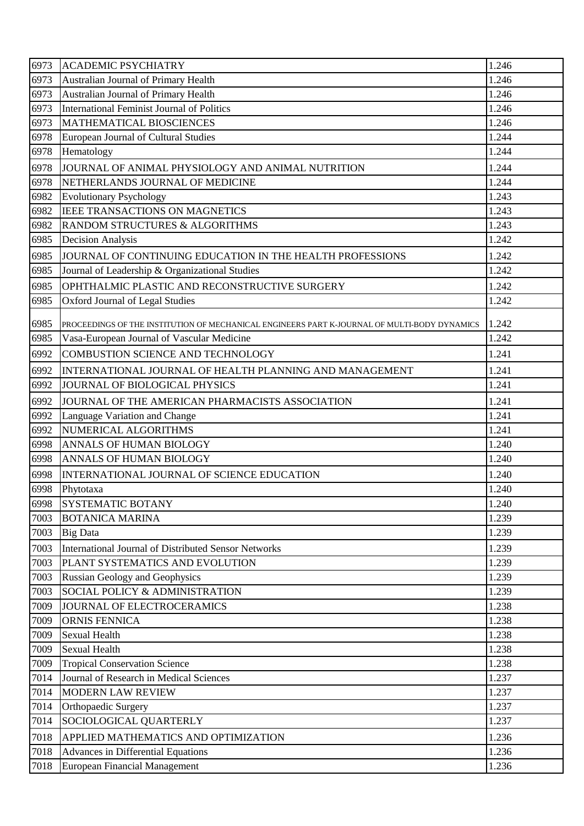| 6973 | <b>ACADEMIC PSYCHIATRY</b>                                                                   | 1.246 |
|------|----------------------------------------------------------------------------------------------|-------|
| 6973 | Australian Journal of Primary Health                                                         | 1.246 |
| 6973 | Australian Journal of Primary Health                                                         | 1.246 |
| 6973 | International Feminist Journal of Politics                                                   | 1.246 |
| 6973 | MATHEMATICAL BIOSCIENCES                                                                     | 1.246 |
| 6978 | European Journal of Cultural Studies                                                         | 1.244 |
| 6978 | Hematology                                                                                   | 1.244 |
| 6978 | JOURNAL OF ANIMAL PHYSIOLOGY AND ANIMAL NUTRITION                                            | 1.244 |
| 6978 | NETHERLANDS JOURNAL OF MEDICINE                                                              | 1.244 |
| 6982 | <b>Evolutionary Psychology</b>                                                               | 1.243 |
| 6982 | IEEE TRANSACTIONS ON MAGNETICS                                                               | 1.243 |
| 6982 | RANDOM STRUCTURES & ALGORITHMS                                                               | 1.243 |
| 6985 | <b>Decision Analysis</b>                                                                     | 1.242 |
| 6985 | JOURNAL OF CONTINUING EDUCATION IN THE HEALTH PROFESSIONS                                    | 1.242 |
| 6985 | Journal of Leadership & Organizational Studies                                               | 1.242 |
| 6985 | OPHTHALMIC PLASTIC AND RECONSTRUCTIVE SURGERY                                                | 1.242 |
| 6985 | Oxford Journal of Legal Studies                                                              | 1.242 |
| 6985 | PROCEEDINGS OF THE INSTITUTION OF MECHANICAL ENGINEERS PART K-JOURNAL OF MULTI-BODY DYNAMICS | 1.242 |
| 6985 | Vasa-European Journal of Vascular Medicine                                                   | 1.242 |
| 6992 | COMBUSTION SCIENCE AND TECHNOLOGY                                                            | 1.241 |
| 6992 | INTERNATIONAL JOURNAL OF HEALTH PLANNING AND MANAGEMENT                                      | 1.241 |
| 6992 | JOURNAL OF BIOLOGICAL PHYSICS                                                                | 1.241 |
| 6992 | JOURNAL OF THE AMERICAN PHARMACISTS ASSOCIATION                                              | 1.241 |
| 6992 | Language Variation and Change                                                                | 1.241 |
| 6992 | NUMERICAL ALGORITHMS                                                                         | 1.241 |
| 6998 | ANNALS OF HUMAN BIOLOGY                                                                      | 1.240 |
| 6998 | ANNALS OF HUMAN BIOLOGY                                                                      | 1.240 |
| 6998 | INTERNATIONAL JOURNAL OF SCIENCE EDUCATION                                                   | 1.240 |
| 6998 | Phytotaxa                                                                                    | 1.240 |
| 6998 | <b>SYSTEMATIC BOTANY</b>                                                                     | 1.240 |
| 7003 | <b>BOTANICA MARINA</b>                                                                       | 1.239 |
| 7003 | <b>Big Data</b>                                                                              | 1.239 |
| 7003 | <b>International Journal of Distributed Sensor Networks</b>                                  | 1.239 |
| 7003 | PLANT SYSTEMATICS AND EVOLUTION                                                              | 1.239 |
| 7003 | <b>Russian Geology and Geophysics</b>                                                        | 1.239 |
| 7003 | SOCIAL POLICY & ADMINISTRATION                                                               | 1.239 |
| 7009 | JOURNAL OF ELECTROCERAMICS                                                                   | 1.238 |
| 7009 | <b>ORNIS FENNICA</b>                                                                         | 1.238 |
| 7009 | <b>Sexual Health</b>                                                                         | 1.238 |
| 7009 | <b>Sexual Health</b>                                                                         | 1.238 |
| 7009 | <b>Tropical Conservation Science</b>                                                         | 1.238 |
| 7014 | Journal of Research in Medical Sciences                                                      | 1.237 |
| 7014 | <b>MODERN LAW REVIEW</b>                                                                     | 1.237 |
| 7014 | Orthopaedic Surgery                                                                          | 1.237 |
| 7014 | SOCIOLOGICAL QUARTERLY                                                                       | 1.237 |
| 7018 | APPLIED MATHEMATICS AND OPTIMIZATION                                                         | 1.236 |
| 7018 | Advances in Differential Equations                                                           | 1.236 |
| 7018 | <b>European Financial Management</b>                                                         | 1.236 |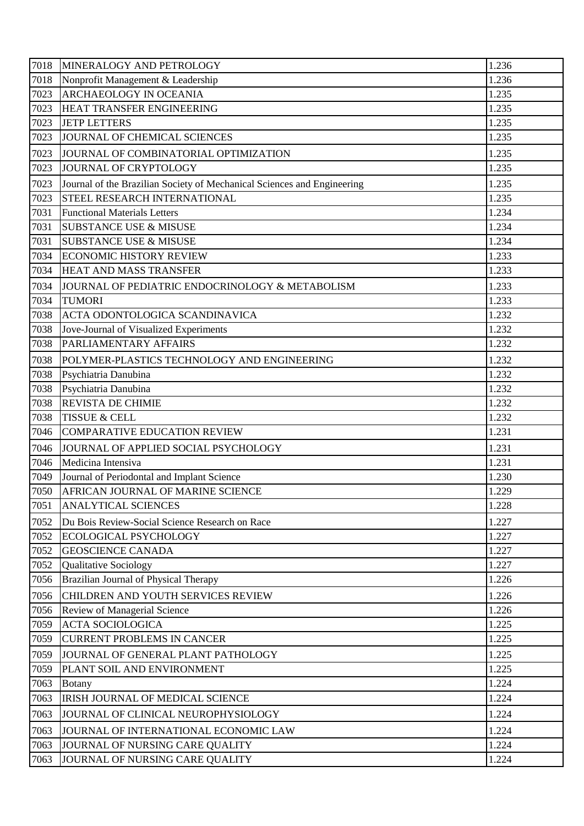| 7018 | MINERALOGY AND PETROLOGY                                                | 1.236 |
|------|-------------------------------------------------------------------------|-------|
| 7018 | Nonprofit Management & Leadership                                       | 1.236 |
| 7023 | <b>ARCHAEOLOGY IN OCEANIA</b>                                           | 1.235 |
| 7023 | HEAT TRANSFER ENGINEERING                                               | 1.235 |
| 7023 | <b>JETP LETTERS</b>                                                     | 1.235 |
| 7023 | JOURNAL OF CHEMICAL SCIENCES                                            | 1.235 |
| 7023 | JOURNAL OF COMBINATORIAL OPTIMIZATION                                   | 1.235 |
| 7023 | JOURNAL OF CRYPTOLOGY                                                   | 1.235 |
| 7023 | Journal of the Brazilian Society of Mechanical Sciences and Engineering | 1.235 |
| 7023 | STEEL RESEARCH INTERNATIONAL                                            | 1.235 |
| 7031 | <b>Functional Materials Letters</b>                                     | 1.234 |
| 7031 | <b>SUBSTANCE USE &amp; MISUSE</b>                                       | 1.234 |
| 7031 | <b>SUBSTANCE USE &amp; MISUSE</b>                                       | 1.234 |
| 7034 | <b>ECONOMIC HISTORY REVIEW</b>                                          | 1.233 |
| 7034 | HEAT AND MASS TRANSFER                                                  | 1.233 |
| 7034 | JOURNAL OF PEDIATRIC ENDOCRINOLOGY & METABOLISM                         | 1.233 |
| 7034 | <b>TUMORI</b>                                                           | 1.233 |
| 7038 | <b>ACTA ODONTOLOGICA SCANDINAVICA</b>                                   | 1.232 |
| 7038 | Jove-Journal of Visualized Experiments                                  | 1.232 |
| 7038 | PARLIAMENTARY AFFAIRS                                                   | 1.232 |
| 7038 | POLYMER-PLASTICS TECHNOLOGY AND ENGINEERING                             | 1.232 |
| 7038 | Psychiatria Danubina                                                    | 1.232 |
| 7038 | Psychiatria Danubina                                                    | 1.232 |
| 7038 | <b>REVISTA DE CHIMIE</b>                                                | 1.232 |
| 7038 | <b>TISSUE &amp; CELL</b>                                                | 1.232 |
| 7046 | <b>COMPARATIVE EDUCATION REVIEW</b>                                     | 1.231 |
| 7046 | JOURNAL OF APPLIED SOCIAL PSYCHOLOGY                                    | 1.231 |
| 7046 | Medicina Intensiva                                                      | 1.231 |
| 7049 | Journal of Periodontal and Implant Science                              | 1.230 |
| 7050 | <b>AFRICAN JOURNAL OF MARINE SCIENCE</b>                                | 1.229 |
| 7051 | <b>ANALYTICAL SCIENCES</b>                                              | 1.228 |
| 7052 | Du Bois Review-Social Science Research on Race                          | 1.227 |
| 7052 | <b>ECOLOGICAL PSYCHOLOGY</b>                                            | 1.227 |
| 7052 | <b>GEOSCIENCE CANADA</b>                                                | 1.227 |
| 7052 | Qualitative Sociology                                                   | 1.227 |
| 7056 | Brazilian Journal of Physical Therapy                                   | 1.226 |
| 7056 | CHILDREN AND YOUTH SERVICES REVIEW                                      | 1.226 |
| 7056 | Review of Managerial Science                                            | 1.226 |
| 7059 | <b>ACTA SOCIOLOGICA</b>                                                 | 1.225 |
| 7059 | <b>CURRENT PROBLEMS IN CANCER</b>                                       | 1.225 |
| 7059 | JOURNAL OF GENERAL PLANT PATHOLOGY                                      | 1.225 |
| 7059 | PLANT SOIL AND ENVIRONMENT                                              | 1.225 |
| 7063 | <b>Botany</b>                                                           | 1.224 |
| 7063 | IRISH JOURNAL OF MEDICAL SCIENCE                                        | 1.224 |
| 7063 | JOURNAL OF CLINICAL NEUROPHYSIOLOGY                                     | 1.224 |
| 7063 | JOURNAL OF INTERNATIONAL ECONOMIC LAW                                   | 1.224 |
| 7063 | JOURNAL OF NURSING CARE QUALITY                                         | 1.224 |
| 7063 | JOURNAL OF NURSING CARE QUALITY                                         | 1.224 |
|      |                                                                         |       |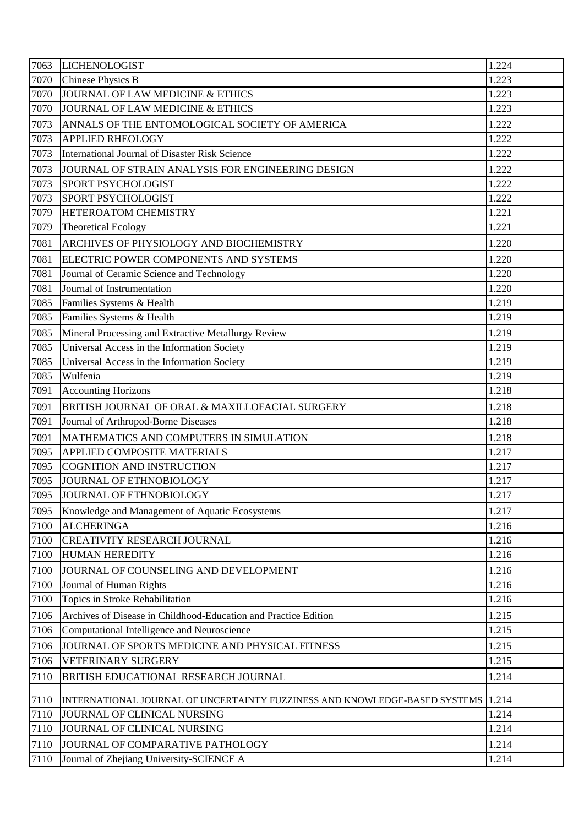| 7063 | <b>LICHENOLOGIST</b>                                                             | 1.224 |
|------|----------------------------------------------------------------------------------|-------|
| 7070 | <b>Chinese Physics B</b>                                                         | 1.223 |
| 7070 | JOURNAL OF LAW MEDICINE & ETHICS                                                 | 1.223 |
| 7070 | JOURNAL OF LAW MEDICINE & ETHICS                                                 | 1.223 |
| 7073 | ANNALS OF THE ENTOMOLOGICAL SOCIETY OF AMERICA                                   | 1.222 |
| 7073 | <b>APPLIED RHEOLOGY</b>                                                          | 1.222 |
| 7073 | International Journal of Disaster Risk Science                                   | 1.222 |
| 7073 | JOURNAL OF STRAIN ANALYSIS FOR ENGINEERING DESIGN                                | 1.222 |
| 7073 | <b>SPORT PSYCHOLOGIST</b>                                                        | 1.222 |
| 7073 | SPORT PSYCHOLOGIST                                                               | 1.222 |
| 7079 | HETEROATOM CHEMISTRY                                                             | 1.221 |
| 7079 | <b>Theoretical Ecology</b>                                                       | 1.221 |
| 7081 | ARCHIVES OF PHYSIOLOGY AND BIOCHEMISTRY                                          | 1.220 |
| 7081 | ELECTRIC POWER COMPONENTS AND SYSTEMS                                            | 1.220 |
| 7081 | Journal of Ceramic Science and Technology                                        | 1.220 |
| 7081 | Journal of Instrumentation                                                       | 1.220 |
| 7085 | Families Systems & Health                                                        | 1.219 |
| 7085 | Families Systems & Health                                                        | 1.219 |
| 7085 | Mineral Processing and Extractive Metallurgy Review                              | 1.219 |
| 7085 | Universal Access in the Information Society                                      | 1.219 |
| 7085 | Universal Access in the Information Society                                      | 1.219 |
| 7085 | Wulfenia                                                                         | 1.219 |
| 7091 | <b>Accounting Horizons</b>                                                       | 1.218 |
| 7091 | BRITISH JOURNAL OF ORAL & MAXILLOFACIAL SURGERY                                  | 1.218 |
| 7091 | Journal of Arthropod-Borne Diseases                                              | 1.218 |
| 7091 | MATHEMATICS AND COMPUTERS IN SIMULATION                                          | 1.218 |
| 7095 | <b>APPLIED COMPOSITE MATERIALS</b>                                               | 1.217 |
| 7095 | <b>COGNITION AND INSTRUCTION</b>                                                 | 1.217 |
| 7095 | JOURNAL OF ETHNOBIOLOGY                                                          | 1.217 |
| 7095 | JOURNAL OF ETHNOBIOLOGY                                                          | 1.217 |
| 7095 | Knowledge and Management of Aquatic Ecosystems                                   | 1.217 |
| 7100 | <b>ALCHERINGA</b>                                                                | 1.216 |
| 7100 | <b>CREATIVITY RESEARCH JOURNAL</b>                                               | 1.216 |
| 7100 | <b>HUMAN HEREDITY</b>                                                            | 1.216 |
| 7100 | JOURNAL OF COUNSELING AND DEVELOPMENT                                            | 1.216 |
| 7100 | Journal of Human Rights                                                          | 1.216 |
| 7100 | Topics in Stroke Rehabilitation                                                  | 1.216 |
| 7106 | Archives of Disease in Childhood-Education and Practice Edition                  | 1.215 |
| 7106 | Computational Intelligence and Neuroscience                                      | 1.215 |
| 7106 | JOURNAL OF SPORTS MEDICINE AND PHYSICAL FITNESS                                  | 1.215 |
| 7106 | VETERINARY SURGERY                                                               | 1.215 |
| 7110 | BRITISH EDUCATIONAL RESEARCH JOURNAL                                             | 1.214 |
| 7110 | INTERNATIONAL JOURNAL OF UNCERTAINTY FUZZINESS AND KNOWLEDGE-BASED SYSTEMS 1.214 |       |
| 7110 | JOURNAL OF CLINICAL NURSING                                                      | 1.214 |
| 7110 | JOURNAL OF CLINICAL NURSING                                                      | 1.214 |
| 7110 | JOURNAL OF COMPARATIVE PATHOLOGY                                                 | 1.214 |
| 7110 | Journal of Zhejiang University-SCIENCE A                                         | 1.214 |
|      |                                                                                  |       |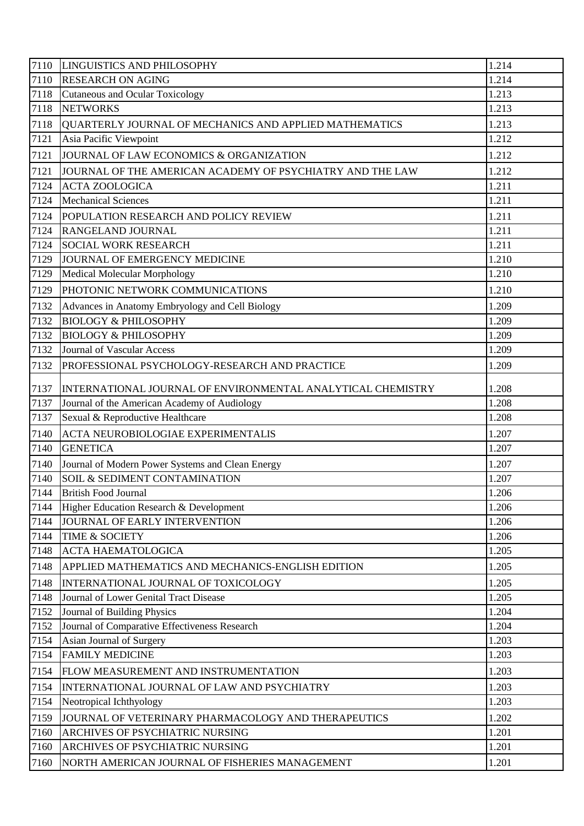| 7110 | LINGUISTICS AND PHILOSOPHY                                  | 1.214 |
|------|-------------------------------------------------------------|-------|
| 7110 | <b>RESEARCH ON AGING</b>                                    | 1.214 |
| 7118 | <b>Cutaneous and Ocular Toxicology</b>                      | 1.213 |
| 7118 | <b>NETWORKS</b>                                             | 1.213 |
| 7118 | QUARTERLY JOURNAL OF MECHANICS AND APPLIED MATHEMATICS      | 1.213 |
| 7121 | Asia Pacific Viewpoint                                      | 1.212 |
| 7121 | JOURNAL OF LAW ECONOMICS & ORGANIZATION                     | 1.212 |
| 7121 | JOURNAL OF THE AMERICAN ACADEMY OF PSYCHIATRY AND THE LAW   | 1.212 |
| 7124 | <b>ACTA ZOOLOGICA</b>                                       | 1.211 |
| 7124 | <b>Mechanical Sciences</b>                                  | 1.211 |
| 7124 | POPULATION RESEARCH AND POLICY REVIEW                       | 1.211 |
| 7124 | <b>RANGELAND JOURNAL</b>                                    | 1.211 |
| 7124 | <b>SOCIAL WORK RESEARCH</b>                                 | 1.211 |
| 7129 | JOURNAL OF EMERGENCY MEDICINE                               | 1.210 |
| 7129 | Medical Molecular Morphology                                | 1.210 |
| 7129 | PHOTONIC NETWORK COMMUNICATIONS                             | 1.210 |
| 7132 | Advances in Anatomy Embryology and Cell Biology             | 1.209 |
| 7132 | <b>BIOLOGY &amp; PHILOSOPHY</b>                             | 1.209 |
| 7132 | <b>BIOLOGY &amp; PHILOSOPHY</b>                             | 1.209 |
| 7132 | <b>Journal of Vascular Access</b>                           | 1.209 |
| 7132 | PROFESSIONAL PSYCHOLOGY-RESEARCH AND PRACTICE               | 1.209 |
| 7137 | INTERNATIONAL JOURNAL OF ENVIRONMENTAL ANALYTICAL CHEMISTRY | 1.208 |
| 7137 | Journal of the American Academy of Audiology                | 1.208 |
| 7137 | Sexual & Reproductive Healthcare                            | 1.208 |
| 7140 | ACTA NEUROBIOLOGIAE EXPERIMENTALIS                          | 1.207 |
| 7140 | <b>GENETICA</b>                                             | 1.207 |
| 7140 | Journal of Modern Power Systems and Clean Energy            | 1.207 |
| 7140 | SOIL & SEDIMENT CONTAMINATION                               | 1.207 |
| 7144 | <b>British Food Journal</b>                                 | 1.206 |
| 7144 | Higher Education Research & Development                     | 1.206 |
| 7144 | JOURNAL OF EARLY INTERVENTION                               | 1.206 |
| 7144 | <b>TIME &amp; SOCIETY</b>                                   | 1.206 |
| 7148 | <b>ACTA HAEMATOLOGICA</b>                                   | 1.205 |
| 7148 | APPLIED MATHEMATICS AND MECHANICS-ENGLISH EDITION           | 1.205 |
| 7148 | INTERNATIONAL JOURNAL OF TOXICOLOGY                         | 1.205 |
| 7148 | Journal of Lower Genital Tract Disease                      | 1.205 |
| 7152 | Journal of Building Physics                                 | 1.204 |
| 7152 | Journal of Comparative Effectiveness Research               | 1.204 |
| 7154 | Asian Journal of Surgery                                    | 1.203 |
| 7154 | <b>FAMILY MEDICINE</b>                                      | 1.203 |
| 7154 | FLOW MEASUREMENT AND INSTRUMENTATION                        | 1.203 |
| 7154 | INTERNATIONAL JOURNAL OF LAW AND PSYCHIATRY                 | 1.203 |
| 7154 | Neotropical Ichthyology                                     | 1.203 |
| 7159 | JOURNAL OF VETERINARY PHARMACOLOGY AND THERAPEUTICS         | 1.202 |
| 7160 | ARCHIVES OF PSYCHIATRIC NURSING                             | 1.201 |
| 7160 | ARCHIVES OF PSYCHIATRIC NURSING                             | 1.201 |
| 7160 | NORTH AMERICAN JOURNAL OF FISHERIES MANAGEMENT              | 1.201 |
|      |                                                             |       |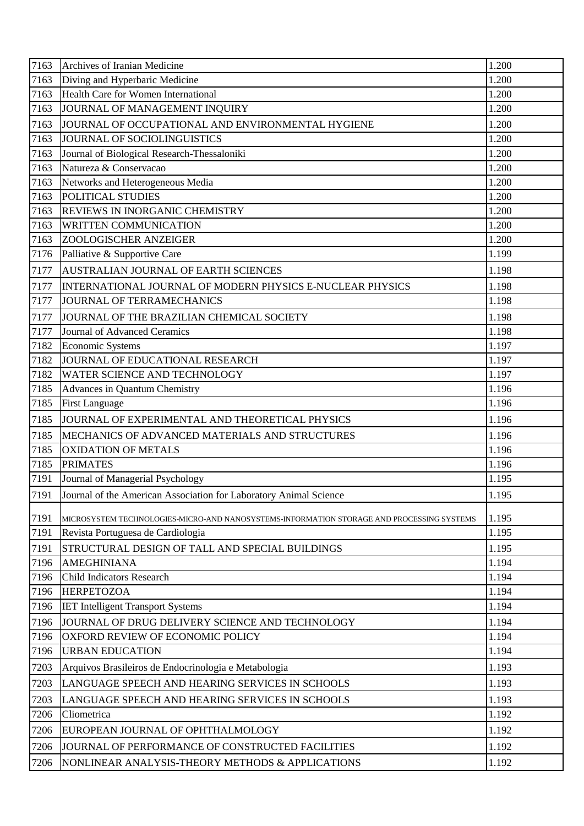| 7163 | Archives of Iranian Medicine                                                              | 1.200 |
|------|-------------------------------------------------------------------------------------------|-------|
| 7163 | Diving and Hyperbaric Medicine                                                            | 1.200 |
| 7163 | <b>Health Care for Women International</b>                                                | 1.200 |
| 7163 | JOURNAL OF MANAGEMENT INQUIRY                                                             | 1.200 |
| 7163 | JOURNAL OF OCCUPATIONAL AND ENVIRONMENTAL HYGIENE                                         | 1.200 |
| 7163 | JOURNAL OF SOCIOLINGUISTICS                                                               | 1.200 |
| 7163 | Journal of Biological Research-Thessaloniki                                               | 1.200 |
| 7163 | Natureza & Conservacao                                                                    | 1.200 |
| 7163 | Networks and Heterogeneous Media                                                          | 1.200 |
| 7163 | POLITICAL STUDIES                                                                         | 1.200 |
| 7163 | <b>REVIEWS IN INORGANIC CHEMISTRY</b>                                                     | 1.200 |
| 7163 | <b>WRITTEN COMMUNICATION</b>                                                              | 1.200 |
| 7163 | ZOOLOGISCHER ANZEIGER                                                                     | 1.200 |
| 7176 | Palliative & Supportive Care                                                              | 1.199 |
| 7177 | <b>AUSTRALIAN JOURNAL OF EARTH SCIENCES</b>                                               | 1.198 |
| 7177 | INTERNATIONAL JOURNAL OF MODERN PHYSICS E-NUCLEAR PHYSICS                                 | 1.198 |
| 7177 | JOURNAL OF TERRAMECHANICS                                                                 | 1.198 |
| 7177 | JOURNAL OF THE BRAZILIAN CHEMICAL SOCIETY                                                 | 1.198 |
| 7177 | Journal of Advanced Ceramics                                                              | 1.198 |
| 7182 | <b>Economic Systems</b>                                                                   | 1.197 |
| 7182 | JOURNAL OF EDUCATIONAL RESEARCH                                                           | 1.197 |
| 7182 | WATER SCIENCE AND TECHNOLOGY                                                              | 1.197 |
| 7185 | <b>Advances in Quantum Chemistry</b>                                                      | 1.196 |
| 7185 | <b>First Language</b>                                                                     | 1.196 |
| 7185 | JOURNAL OF EXPERIMENTAL AND THEORETICAL PHYSICS                                           | 1.196 |
| 7185 | MECHANICS OF ADVANCED MATERIALS AND STRUCTURES                                            | 1.196 |
| 7185 | <b>OXIDATION OF METALS</b>                                                                | 1.196 |
| 7185 | <b>PRIMATES</b>                                                                           | 1.196 |
| 7191 | Journal of Managerial Psychology                                                          | 1.195 |
| 7191 | Journal of the American Association for Laboratory Animal Science                         | 1.195 |
| 7191 | MICROSYSTEM TECHNOLOGIES-MICRO-AND NANOSYSTEMS-INFORMATION STORAGE AND PROCESSING SYSTEMS | 1.195 |
| 7191 | Revista Portuguesa de Cardiologia                                                         | 1.195 |
| 7191 | STRUCTURAL DESIGN OF TALL AND SPECIAL BUILDINGS                                           | 1.195 |
| 7196 | <b>AMEGHINIANA</b>                                                                        | 1.194 |
| 7196 | <b>Child Indicators Research</b>                                                          | 1.194 |
| 7196 | <b>HERPETOZOA</b>                                                                         | 1.194 |
| 7196 | <b>IET Intelligent Transport Systems</b>                                                  | 1.194 |
| 7196 | JOURNAL OF DRUG DELIVERY SCIENCE AND TECHNOLOGY                                           | 1.194 |
| 7196 | OXFORD REVIEW OF ECONOMIC POLICY                                                          | 1.194 |
| 7196 | <b>URBAN EDUCATION</b>                                                                    | 1.194 |
| 7203 | Arquivos Brasileiros de Endocrinologia e Metabologia                                      | 1.193 |
| 7203 | LANGUAGE SPEECH AND HEARING SERVICES IN SCHOOLS                                           | 1.193 |
| 7203 | LANGUAGE SPEECH AND HEARING SERVICES IN SCHOOLS                                           | 1.193 |
| 7206 | Cliometrica                                                                               | 1.192 |
| 7206 | EUROPEAN JOURNAL OF OPHTHALMOLOGY                                                         | 1.192 |
| 7206 | JOURNAL OF PERFORMANCE OF CONSTRUCTED FACILITIES                                          | 1.192 |
| 7206 | NONLINEAR ANALYSIS-THEORY METHODS & APPLICATIONS                                          | 1.192 |
|      |                                                                                           |       |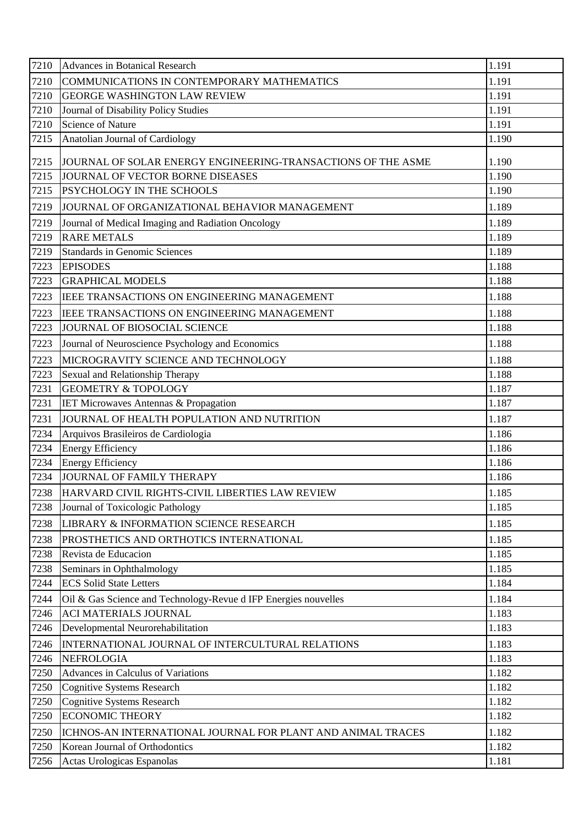| 7210 | <b>Advances in Botanical Research</b>                           | 1.191 |
|------|-----------------------------------------------------------------|-------|
| 7210 | COMMUNICATIONS IN CONTEMPORARY MATHEMATICS                      | 1.191 |
| 7210 | <b>GEORGE WASHINGTON LAW REVIEW</b>                             | 1.191 |
| 7210 | Journal of Disability Policy Studies                            | 1.191 |
| 7210 | <b>Science of Nature</b>                                        | 1.191 |
| 7215 | Anatolian Journal of Cardiology                                 | 1.190 |
| 7215 | JOURNAL OF SOLAR ENERGY ENGINEERING-TRANSACTIONS OF THE ASME    | 1.190 |
| 7215 | JOURNAL OF VECTOR BORNE DISEASES                                | 1.190 |
| 7215 | PSYCHOLOGY IN THE SCHOOLS                                       | 1.190 |
| 7219 | JOURNAL OF ORGANIZATIONAL BEHAVIOR MANAGEMENT                   | 1.189 |
| 7219 | Journal of Medical Imaging and Radiation Oncology               | 1.189 |
| 7219 | <b>RARE METALS</b>                                              | 1.189 |
| 7219 | <b>Standards in Genomic Sciences</b>                            | 1.189 |
| 7223 | <b>EPISODES</b>                                                 | 1.188 |
| 7223 | <b>GRAPHICAL MODELS</b>                                         | 1.188 |
| 7223 | IEEE TRANSACTIONS ON ENGINEERING MANAGEMENT                     | 1.188 |
| 7223 | IEEE TRANSACTIONS ON ENGINEERING MANAGEMENT                     | 1.188 |
| 7223 | JOURNAL OF BIOSOCIAL SCIENCE                                    | 1.188 |
| 7223 | Journal of Neuroscience Psychology and Economics                | 1.188 |
| 7223 | MICROGRAVITY SCIENCE AND TECHNOLOGY                             | 1.188 |
| 7223 | Sexual and Relationship Therapy                                 | 1.188 |
| 7231 | <b>GEOMETRY &amp; TOPOLOGY</b>                                  | 1.187 |
| 7231 | IET Microwaves Antennas & Propagation                           | 1.187 |
| 7231 | JOURNAL OF HEALTH POPULATION AND NUTRITION                      | 1.187 |
| 7234 | Arquivos Brasileiros de Cardiologia                             | 1.186 |
| 7234 | <b>Energy Efficiency</b>                                        | 1.186 |
| 7234 | <b>Energy Efficiency</b>                                        | 1.186 |
| 7234 | JOURNAL OF FAMILY THERAPY                                       | 1.186 |
| 7238 | HARVARD CIVIL RIGHTS-CIVIL LIBERTIES LAW REVIEW                 | 1.185 |
| 7238 | Journal of Toxicologic Pathology                                | 1.185 |
| 7238 | LIBRARY & INFORMATION SCIENCE RESEARCH                          | 1.185 |
| 7238 | PROSTHETICS AND ORTHOTICS INTERNATIONAL                         | 1.185 |
| 7238 | Revista de Educacion                                            | 1.185 |
| 7238 | Seminars in Ophthalmology                                       | 1.185 |
| 7244 | <b>ECS Solid State Letters</b>                                  | 1.184 |
| 7244 | Oil & Gas Science and Technology-Revue d IFP Energies nouvelles | 1.184 |
| 7246 | <b>ACI MATERIALS JOURNAL</b>                                    | 1.183 |
| 7246 | Developmental Neurorehabilitation                               | 1.183 |
| 7246 | INTERNATIONAL JOURNAL OF INTERCULTURAL RELATIONS                | 1.183 |
| 7246 | <b>NEFROLOGIA</b>                                               | 1.183 |
| 7250 | Advances in Calculus of Variations                              | 1.182 |
| 7250 | <b>Cognitive Systems Research</b>                               | 1.182 |
| 7250 | <b>Cognitive Systems Research</b>                               | 1.182 |
| 7250 | <b>ECONOMIC THEORY</b>                                          | 1.182 |
| 7250 | ICHNOS-AN INTERNATIONAL JOURNAL FOR PLANT AND ANIMAL TRACES     | 1.182 |
| 7250 | Korean Journal of Orthodontics                                  | 1.182 |
| 7256 | Actas Urologicas Espanolas                                      | 1.181 |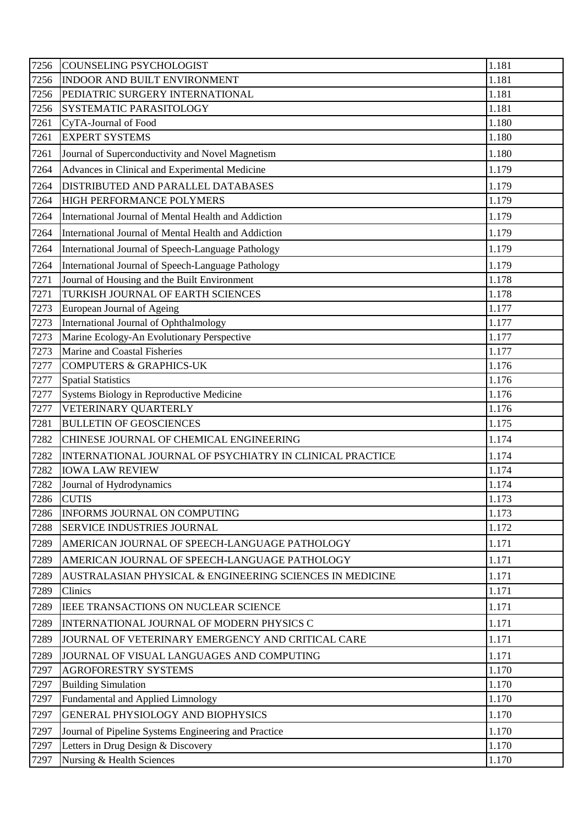| 7256 | <b>COUNSELING PSYCHOLOGIST</b>                           | 1.181 |
|------|----------------------------------------------------------|-------|
| 7256 | INDOOR AND BUILT ENVIRONMENT                             | 1.181 |
| 7256 | PEDIATRIC SURGERY INTERNATIONAL                          | 1.181 |
| 7256 | SYSTEMATIC PARASITOLOGY                                  | 1.181 |
| 7261 | CyTA-Journal of Food                                     | 1.180 |
| 7261 | <b>EXPERT SYSTEMS</b>                                    | 1.180 |
| 7261 | Journal of Superconductivity and Novel Magnetism         | 1.180 |
| 7264 | Advances in Clinical and Experimental Medicine           | 1.179 |
| 7264 | DISTRIBUTED AND PARALLEL DATABASES                       | 1.179 |
| 7264 | HIGH PERFORMANCE POLYMERS                                | 1.179 |
| 7264 | International Journal of Mental Health and Addiction     | 1.179 |
| 7264 | International Journal of Mental Health and Addiction     | 1.179 |
| 7264 | International Journal of Speech-Language Pathology       | 1.179 |
| 7264 | International Journal of Speech-Language Pathology       | 1.179 |
| 7271 | Journal of Housing and the Built Environment             | 1.178 |
| 7271 | TURKISH JOURNAL OF EARTH SCIENCES                        | 1.178 |
| 7273 | European Journal of Ageing                               | 1.177 |
| 7273 | International Journal of Ophthalmology                   | 1.177 |
| 7273 | Marine Ecology-An Evolutionary Perspective               | 1.177 |
| 7273 | Marine and Coastal Fisheries                             | 1.177 |
| 7277 | <b>COMPUTERS &amp; GRAPHICS-UK</b>                       | 1.176 |
| 7277 | <b>Spatial Statistics</b>                                | 1.176 |
| 7277 | Systems Biology in Reproductive Medicine                 | 1.176 |
| 7277 | VETERINARY QUARTERLY                                     | 1.176 |
| 7281 | <b>BULLETIN OF GEOSCIENCES</b>                           | 1.175 |
| 7282 | CHINESE JOURNAL OF CHEMICAL ENGINEERING                  | 1.174 |
| 7282 | INTERNATIONAL JOURNAL OF PSYCHIATRY IN CLINICAL PRACTICE | 1.174 |
| 7282 | <b>IOWA LAW REVIEW</b>                                   | 1.174 |
| 7282 | Journal of Hydrodynamics                                 | 1.174 |
| 7286 | <b>CUTIS</b>                                             | 1.173 |
| 7286 | <b>INFORMS JOURNAL ON COMPUTING</b>                      | 1.173 |
| 7288 | SERVICE INDUSTRIES JOURNAL                               | 1.172 |
| 7289 | AMERICAN JOURNAL OF SPEECH-LANGUAGE PATHOLOGY            | 1.171 |
| 7289 | AMERICAN JOURNAL OF SPEECH-LANGUAGE PATHOLOGY            | 1.171 |
| 7289 | AUSTRALASIAN PHYSICAL & ENGINEERING SCIENCES IN MEDICINE | 1.171 |
| 7289 | Clinics                                                  | 1.171 |
| 7289 | IEEE TRANSACTIONS ON NUCLEAR SCIENCE                     | 1.171 |
| 7289 | INTERNATIONAL JOURNAL OF MODERN PHYSICS C                | 1.171 |
| 7289 | JOURNAL OF VETERINARY EMERGENCY AND CRITICAL CARE        | 1.171 |
| 7289 | JOURNAL OF VISUAL LANGUAGES AND COMPUTING                | 1.171 |
| 7297 | <b>AGROFORESTRY SYSTEMS</b>                              | 1.170 |
| 7297 | <b>Building Simulation</b>                               | 1.170 |
| 7297 | Fundamental and Applied Limnology                        | 1.170 |
| 7297 | GENERAL PHYSIOLOGY AND BIOPHYSICS                        | 1.170 |
| 7297 | Journal of Pipeline Systems Engineering and Practice     | 1.170 |
| 7297 | Letters in Drug Design & Discovery                       | 1.170 |
| 7297 | Nursing & Health Sciences                                | 1.170 |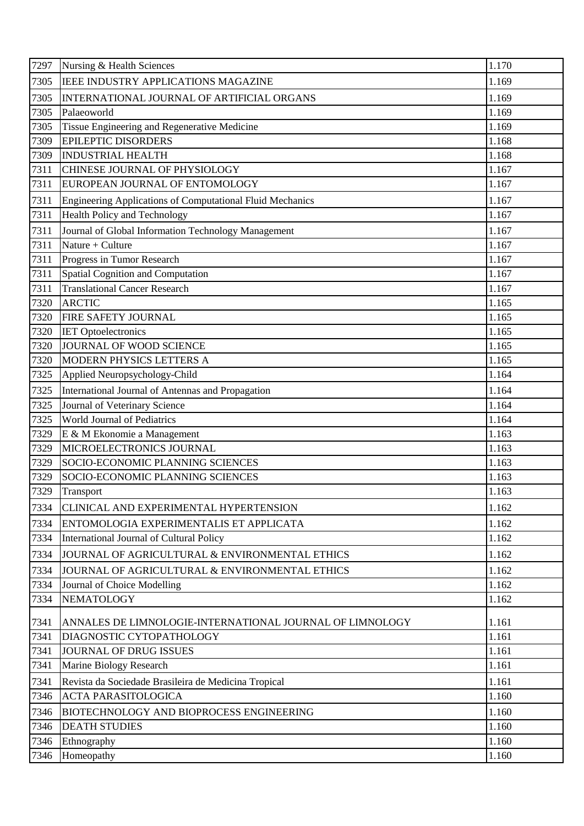| 7297 | Nursing & Health Sciences                                        | 1.170 |
|------|------------------------------------------------------------------|-------|
| 7305 | IEEE INDUSTRY APPLICATIONS MAGAZINE                              | 1.169 |
| 7305 | INTERNATIONAL JOURNAL OF ARTIFICIAL ORGANS                       | 1.169 |
| 7305 | Palaeoworld                                                      | 1.169 |
| 7305 | Tissue Engineering and Regenerative Medicine                     | 1.169 |
| 7309 | <b>EPILEPTIC DISORDERS</b>                                       | 1.168 |
| 7309 | <b>INDUSTRIAL HEALTH</b>                                         | 1.168 |
| 7311 | CHINESE JOURNAL OF PHYSIOLOGY                                    | 1.167 |
| 7311 | EUROPEAN JOURNAL OF ENTOMOLOGY                                   | 1.167 |
| 7311 | <b>Engineering Applications of Computational Fluid Mechanics</b> | 1.167 |
| 7311 | Health Policy and Technology                                     | 1.167 |
| 7311 | Journal of Global Information Technology Management              | 1.167 |
| 7311 | Nature + Culture                                                 | 1.167 |
| 7311 | Progress in Tumor Research                                       | 1.167 |
| 7311 | Spatial Cognition and Computation                                | 1.167 |
| 7311 | <b>Translational Cancer Research</b>                             | 1.167 |
| 7320 | <b>ARCTIC</b>                                                    | 1.165 |
| 7320 | FIRE SAFETY JOURNAL                                              | 1.165 |
| 7320 | <b>IET Optoelectronics</b>                                       | 1.165 |
| 7320 | JOURNAL OF WOOD SCIENCE                                          | 1.165 |
| 7320 | MODERN PHYSICS LETTERS A                                         | 1.165 |
| 7325 | Applied Neuropsychology-Child                                    | 1.164 |
| 7325 | International Journal of Antennas and Propagation                | 1.164 |
| 7325 | Journal of Veterinary Science                                    | 1.164 |
| 7325 | World Journal of Pediatrics                                      | 1.164 |
| 7329 | E & M Ekonomie a Management                                      | 1.163 |
| 7329 | MICROELECTRONICS JOURNAL                                         | 1.163 |
| 7329 | SOCIO-ECONOMIC PLANNING SCIENCES                                 | 1.163 |
| 7329 | SOCIO-ECONOMIC PLANNING SCIENCES                                 | 1.163 |
| 7329 | Transport                                                        | 1.163 |
| 7334 | CLINICAL AND EXPERIMENTAL HYPERTENSION                           | 1.162 |
| 7334 | ENTOMOLOGIA EXPERIMENTALIS ET APPLICATA                          | 1.162 |
| 7334 | International Journal of Cultural Policy                         | 1.162 |
| 7334 | JOURNAL OF AGRICULTURAL & ENVIRONMENTAL ETHICS                   | 1.162 |
| 7334 | JOURNAL OF AGRICULTURAL & ENVIRONMENTAL ETHICS                   | 1.162 |
| 7334 | Journal of Choice Modelling                                      | 1.162 |
| 7334 | <b>NEMATOLOGY</b>                                                | 1.162 |
| 7341 | ANNALES DE LIMNOLOGIE-INTERNATIONAL JOURNAL OF LIMNOLOGY         | 1.161 |
| 7341 | DIAGNOSTIC CYTOPATHOLOGY                                         | 1.161 |
| 7341 | <b>JOURNAL OF DRUG ISSUES</b>                                    | 1.161 |
| 7341 | Marine Biology Research                                          | 1.161 |
| 7341 | Revista da Sociedade Brasileira de Medicina Tropical             | 1.161 |
| 7346 | <b>ACTA PARASITOLOGICA</b>                                       | 1.160 |
| 7346 | <b>BIOTECHNOLOGY AND BIOPROCESS ENGINEERING</b>                  | 1.160 |
| 7346 | <b>DEATH STUDIES</b>                                             | 1.160 |
| 7346 | Ethnography                                                      | 1.160 |
| 7346 | Homeopathy                                                       | 1.160 |
|      |                                                                  |       |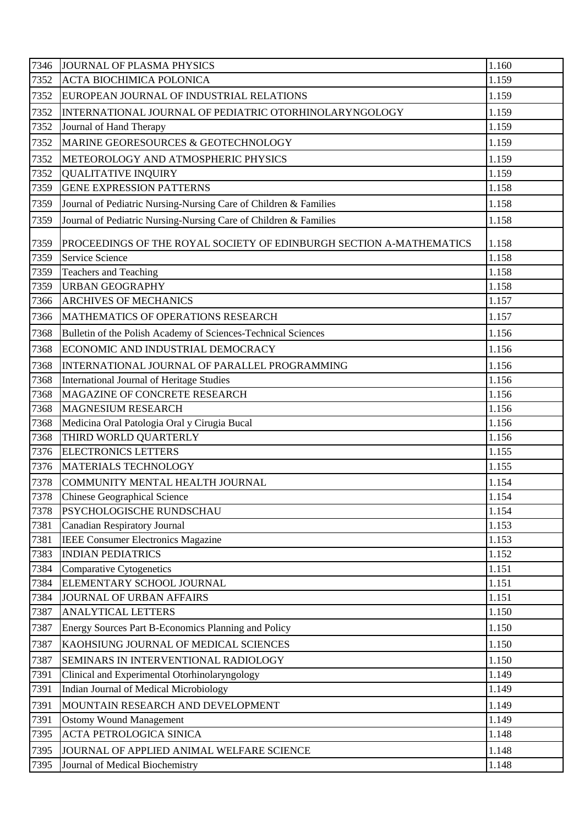| 7346 | JOURNAL OF PLASMA PHYSICS                                           | 1.160 |
|------|---------------------------------------------------------------------|-------|
| 7352 | <b>ACTA BIOCHIMICA POLONICA</b>                                     | 1.159 |
| 7352 | EUROPEAN JOURNAL OF INDUSTRIAL RELATIONS                            | 1.159 |
| 7352 | INTERNATIONAL JOURNAL OF PEDIATRIC OTORHINOLARYNGOLOGY              | 1.159 |
| 7352 | Journal of Hand Therapy                                             | 1.159 |
| 7352 | MARINE GEORESOURCES & GEOTECHNOLOGY                                 | 1.159 |
| 7352 | METEOROLOGY AND ATMOSPHERIC PHYSICS                                 | 1.159 |
| 7352 | <b>QUALITATIVE INQUIRY</b>                                          | 1.159 |
| 7359 | <b>GENE EXPRESSION PATTERNS</b>                                     | 1.158 |
| 7359 | Journal of Pediatric Nursing-Nursing Care of Children & Families    | 1.158 |
| 7359 | Journal of Pediatric Nursing-Nursing Care of Children & Families    | 1.158 |
| 7359 | PROCEEDINGS OF THE ROYAL SOCIETY OF EDINBURGH SECTION A-MATHEMATICS | 1.158 |
| 7359 | Service Science                                                     | 1.158 |
| 7359 | <b>Teachers and Teaching</b>                                        | 1.158 |
| 7359 | <b>URBAN GEOGRAPHY</b>                                              | 1.158 |
| 7366 | <b>ARCHIVES OF MECHANICS</b>                                        | 1.157 |
| 7366 | MATHEMATICS OF OPERATIONS RESEARCH                                  | 1.157 |
| 7368 | Bulletin of the Polish Academy of Sciences-Technical Sciences       | 1.156 |
| 7368 | ECONOMIC AND INDUSTRIAL DEMOCRACY                                   | 1.156 |
| 7368 | INTERNATIONAL JOURNAL OF PARALLEL PROGRAMMING                       | 1.156 |
| 7368 | International Journal of Heritage Studies                           | 1.156 |
| 7368 | MAGAZINE OF CONCRETE RESEARCH                                       | 1.156 |
| 7368 | <b>MAGNESIUM RESEARCH</b>                                           | 1.156 |
| 7368 | Medicina Oral Patologia Oral y Cirugia Bucal                        | 1.156 |
| 7368 | THIRD WORLD QUARTERLY                                               | 1.156 |
| 7376 | <b>ELECTRONICS LETTERS</b>                                          | 1.155 |
| 7376 | <b>MATERIALS TECHNOLOGY</b>                                         | 1.155 |
| 7378 | COMMUNITY MENTAL HEALTH JOURNAL                                     | 1.154 |
| 7378 | <b>Chinese Geographical Science</b>                                 | 1.154 |
| 7378 | PSYCHOLOGISCHE RUNDSCHAU                                            | 1.154 |
| 7381 | <b>Canadian Respiratory Journal</b>                                 | 1.153 |
| 7381 | <b>IEEE Consumer Electronics Magazine</b>                           | 1.153 |
| 7383 | <b>INDIAN PEDIATRICS</b>                                            | 1.152 |
| 7384 | <b>Comparative Cytogenetics</b>                                     | 1.151 |
| 7384 | ELEMENTARY SCHOOL JOURNAL                                           | 1.151 |
| 7384 | JOURNAL OF URBAN AFFAIRS                                            | 1.151 |
| 7387 | <b>ANALYTICAL LETTERS</b>                                           | 1.150 |
| 7387 | Energy Sources Part B-Economics Planning and Policy                 | 1.150 |
| 7387 | KAOHSIUNG JOURNAL OF MEDICAL SCIENCES                               | 1.150 |
| 7387 | SEMINARS IN INTERVENTIONAL RADIOLOGY                                | 1.150 |
| 7391 | Clinical and Experimental Otorhinolaryngology                       | 1.149 |
| 7391 | Indian Journal of Medical Microbiology                              | 1.149 |
| 7391 | MOUNTAIN RESEARCH AND DEVELOPMENT                                   | 1.149 |
| 7391 | <b>Ostomy Wound Management</b>                                      | 1.149 |
| 7395 | ACTA PETROLOGICA SINICA                                             | 1.148 |
| 7395 | JOURNAL OF APPLIED ANIMAL WELFARE SCIENCE                           | 1.148 |
| 7395 | Journal of Medical Biochemistry                                     | 1.148 |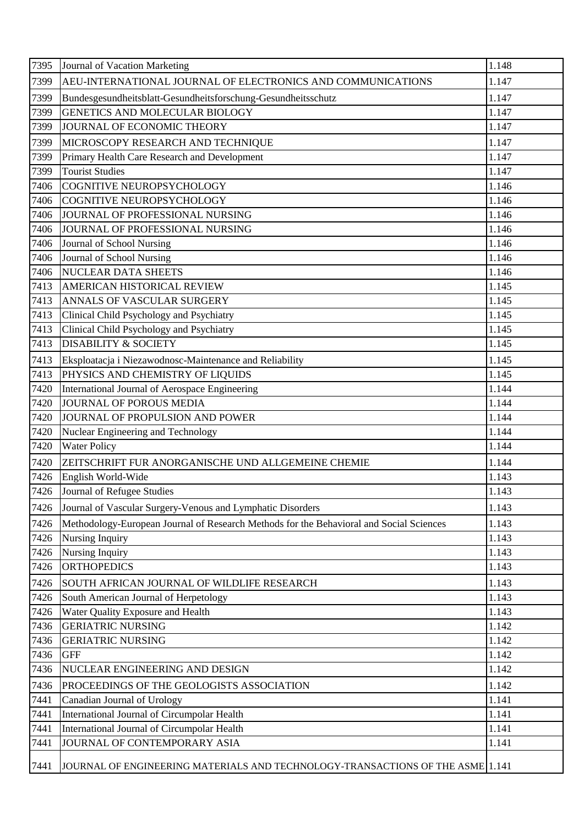| 7395 | Journal of Vacation Marketing                                                           | 1.148 |
|------|-----------------------------------------------------------------------------------------|-------|
| 7399 | AEU-INTERNATIONAL JOURNAL OF ELECTRONICS AND COMMUNICATIONS                             | 1.147 |
| 7399 | Bundesgesundheitsblatt-Gesundheitsforschung-Gesundheitsschutz                           | 1.147 |
| 7399 | GENETICS AND MOLECULAR BIOLOGY                                                          | 1.147 |
| 7399 | JOURNAL OF ECONOMIC THEORY                                                              | 1.147 |
| 7399 | MICROSCOPY RESEARCH AND TECHNIQUE                                                       | 1.147 |
| 7399 | Primary Health Care Research and Development                                            | 1.147 |
| 7399 | <b>Tourist Studies</b>                                                                  | 1.147 |
| 7406 | COGNITIVE NEUROPSYCHOLOGY                                                               | 1.146 |
| 7406 | COGNITIVE NEUROPSYCHOLOGY                                                               | 1.146 |
| 7406 | JOURNAL OF PROFESSIONAL NURSING                                                         | 1.146 |
| 7406 | JOURNAL OF PROFESSIONAL NURSING                                                         | 1.146 |
| 7406 | Journal of School Nursing                                                               | 1.146 |
| 7406 | Journal of School Nursing                                                               | 1.146 |
| 7406 | <b>NUCLEAR DATA SHEETS</b>                                                              | 1.146 |
| 7413 | AMERICAN HISTORICAL REVIEW                                                              | 1.145 |
| 7413 | ANNALS OF VASCULAR SURGERY                                                              | 1.145 |
| 7413 | Clinical Child Psychology and Psychiatry                                                | 1.145 |
| 7413 | Clinical Child Psychology and Psychiatry                                                | 1.145 |
| 7413 | <b>DISABILITY &amp; SOCIETY</b>                                                         | 1.145 |
| 7413 | Eksploatacja i Niezawodnosc-Maintenance and Reliability                                 | 1.145 |
| 7413 | PHYSICS AND CHEMISTRY OF LIQUIDS                                                        | 1.145 |
| 7420 | International Journal of Aerospace Engineering                                          | 1.144 |
| 7420 | <b>JOURNAL OF POROUS MEDIA</b>                                                          | 1.144 |
| 7420 | JOURNAL OF PROPULSION AND POWER                                                         | 1.144 |
| 7420 | Nuclear Engineering and Technology                                                      | 1.144 |
| 7420 | <b>Water Policy</b>                                                                     | 1.144 |
| 7420 | ZEITSCHRIFT FUR ANORGANISCHE UND ALLGEMEINE CHEMIE                                      | 1.144 |
| 7426 | English World-Wide                                                                      | 1.143 |
| 7426 | Journal of Refugee Studies                                                              | 1.143 |
| 7426 | Journal of Vascular Surgery-Venous and Lymphatic Disorders                              | 1.143 |
| 7426 | Methodology-European Journal of Research Methods for the Behavioral and Social Sciences | 1.143 |
| 7426 | Nursing Inquiry                                                                         | 1.143 |
| 7426 | Nursing Inquiry                                                                         | 1.143 |
| 7426 | <b>ORTHOPEDICS</b>                                                                      | 1.143 |
| 7426 | SOUTH AFRICAN JOURNAL OF WILDLIFE RESEARCH                                              | 1.143 |
| 7426 | South American Journal of Herpetology                                                   | 1.143 |
| 7426 | Water Quality Exposure and Health                                                       | 1.143 |
| 7436 | <b>GERIATRIC NURSING</b>                                                                | 1.142 |
| 7436 | <b>GERIATRIC NURSING</b>                                                                | 1.142 |
| 7436 | <b>GFF</b>                                                                              | 1.142 |
| 7436 | NUCLEAR ENGINEERING AND DESIGN                                                          | 1.142 |
| 7436 | PROCEEDINGS OF THE GEOLOGISTS ASSOCIATION                                               | 1.142 |
| 7441 | Canadian Journal of Urology                                                             | 1.141 |
| 7441 | International Journal of Circumpolar Health                                             | 1.141 |
| 7441 | International Journal of Circumpolar Health                                             | 1.141 |
| 7441 | JOURNAL OF CONTEMPORARY ASIA                                                            | 1.141 |
| 7441 | JOURNAL OF ENGINEERING MATERIALS AND TECHNOLOGY-TRANSACTIONS OF THE ASME 1.141          |       |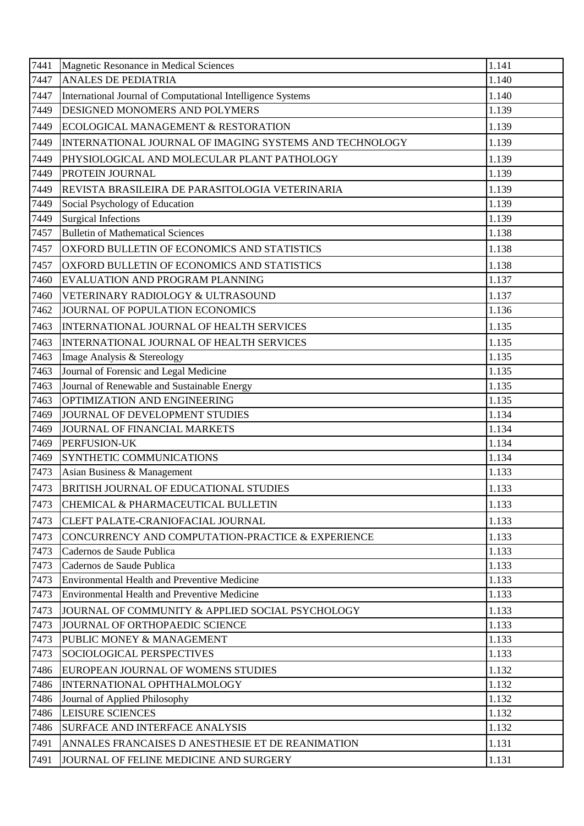| 7441 | Magnetic Resonance in Medical Sciences                      | 1.141 |
|------|-------------------------------------------------------------|-------|
| 7447 | <b>ANALES DE PEDIATRIA</b>                                  | 1.140 |
| 7447 | International Journal of Computational Intelligence Systems | 1.140 |
| 7449 | DESIGNED MONOMERS AND POLYMERS                              | 1.139 |
| 7449 | ECOLOGICAL MANAGEMENT & RESTORATION                         | 1.139 |
| 7449 | INTERNATIONAL JOURNAL OF IMAGING SYSTEMS AND TECHNOLOGY     | 1.139 |
| 7449 | PHYSIOLOGICAL AND MOLECULAR PLANT PATHOLOGY                 | 1.139 |
| 7449 | PROTEIN JOURNAL                                             | 1.139 |
| 7449 | REVISTA BRASILEIRA DE PARASITOLOGIA VETERINARIA             | 1.139 |
| 7449 | Social Psychology of Education                              | 1.139 |
| 7449 | <b>Surgical Infections</b>                                  | 1.139 |
| 7457 | <b>Bulletin of Mathematical Sciences</b>                    | 1.138 |
| 7457 | OXFORD BULLETIN OF ECONOMICS AND STATISTICS                 | 1.138 |
| 7457 | OXFORD BULLETIN OF ECONOMICS AND STATISTICS                 | 1.138 |
| 7460 | EVALUATION AND PROGRAM PLANNING                             | 1.137 |
| 7460 | VETERINARY RADIOLOGY & ULTRASOUND                           | 1.137 |
| 7462 | JOURNAL OF POPULATION ECONOMICS                             | 1.136 |
| 7463 | <b>INTERNATIONAL JOURNAL OF HEALTH SERVICES</b>             | 1.135 |
| 7463 | INTERNATIONAL JOURNAL OF HEALTH SERVICES                    | 1.135 |
| 7463 | Image Analysis & Stereology                                 | 1.135 |
| 7463 | Journal of Forensic and Legal Medicine                      | 1.135 |
| 7463 | Journal of Renewable and Sustainable Energy                 | 1.135 |
| 7463 | OPTIMIZATION AND ENGINEERING                                | 1.135 |
| 7469 | JOURNAL OF DEVELOPMENT STUDIES                              | 1.134 |
| 7469 | JOURNAL OF FINANCIAL MARKETS                                | 1.134 |
| 7469 | PERFUSION-UK                                                | 1.134 |
| 7469 | SYNTHETIC COMMUNICATIONS                                    | 1.134 |
| 7473 | Asian Business & Management                                 | 1.133 |
| 7473 | <b>BRITISH JOURNAL OF EDUCATIONAL STUDIES</b>               | 1.133 |
| 7473 | CHEMICAL & PHARMACEUTICAL BULLETIN                          | 1.133 |
| 7473 | CLEFT PALATE-CRANIOFACIAL JOURNAL                           | 1.133 |
| 7473 | CONCURRENCY AND COMPUTATION-PRACTICE & EXPERIENCE           | 1.133 |
| 7473 | Cadernos de Saude Publica                                   | 1.133 |
| 7473 | Cadernos de Saude Publica                                   | 1.133 |
| 7473 | <b>Environmental Health and Preventive Medicine</b>         | 1.133 |
| 7473 | <b>Environmental Health and Preventive Medicine</b>         | 1.133 |
| 7473 | JOURNAL OF COMMUNITY & APPLIED SOCIAL PSYCHOLOGY            | 1.133 |
| 7473 | JOURNAL OF ORTHOPAEDIC SCIENCE                              | 1.133 |
| 7473 | PUBLIC MONEY & MANAGEMENT                                   | 1.133 |
| 7473 | SOCIOLOGICAL PERSPECTIVES                                   | 1.133 |
| 7486 | EUROPEAN JOURNAL OF WOMENS STUDIES                          | 1.132 |
| 7486 | INTERNATIONAL OPHTHALMOLOGY                                 | 1.132 |
| 7486 | Journal of Applied Philosophy                               | 1.132 |
| 7486 | <b>LEISURE SCIENCES</b>                                     | 1.132 |
| 7486 | <b>SURFACE AND INTERFACE ANALYSIS</b>                       | 1.132 |
| 7491 | ANNALES FRANCAISES D ANESTHESIE ET DE REANIMATION           | 1.131 |
| 7491 | JOURNAL OF FELINE MEDICINE AND SURGERY                      | 1.131 |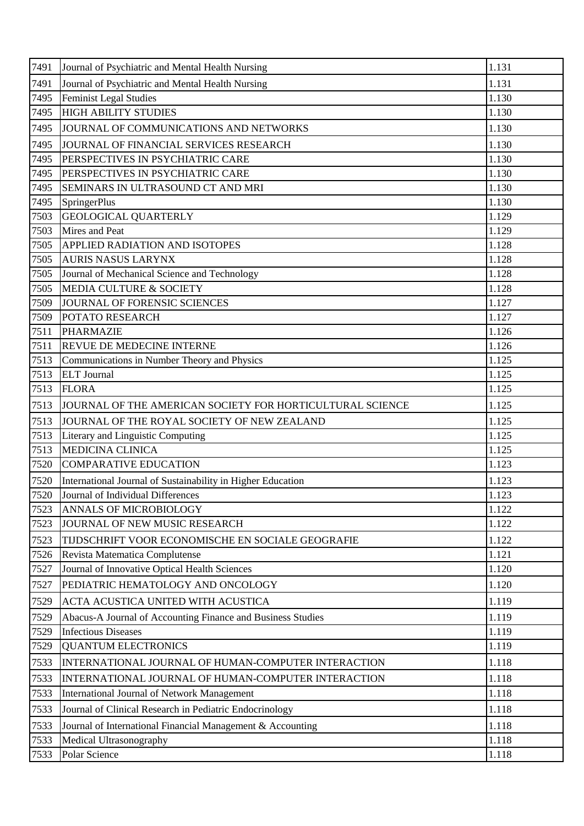| 7491<br>Journal of Psychiatric and Mental Health Nursing<br>1.131<br>Feminist Legal Studies<br>1.130<br>7495<br><b>HIGH ABILITY STUDIES</b><br>7495<br>1.130<br>1.130<br>7495<br>JOURNAL OF COMMUNICATIONS AND NETWORKS<br>7495<br>1.130<br>JOURNAL OF FINANCIAL SERVICES RESEARCH<br>7495<br>1.130<br>PERSPECTIVES IN PSYCHIATRIC CARE<br>7495<br>1.130<br>PERSPECTIVES IN PSYCHIATRIC CARE<br>1.130<br>7495<br>SEMINARS IN ULTRASOUND CT AND MRI<br>7495<br>SpringerPlus<br>1.130<br>7503<br><b>GEOLOGICAL QUARTERLY</b><br>1.129<br>Mires and Peat<br>7503<br>1.129<br>7505<br><b>APPLIED RADIATION AND ISOTOPES</b><br>1.128<br><b>AURIS NASUS LARYNX</b><br>7505<br>1.128<br>Journal of Mechanical Science and Technology<br>1.128<br>7505<br>MEDIA CULTURE & SOCIETY<br>7505<br>1.128<br>1.127<br>7509<br>JOURNAL OF FORENSIC SCIENCES<br>7509<br>POTATO RESEARCH<br>1.127<br>7511<br><b>PHARMAZIE</b><br>1.126<br>7511<br><b>REVUE DE MEDECINE INTERNE</b><br>1.126<br>7513<br>Communications in Number Theory and Physics<br>1.125<br>7513<br><b>ELT</b> Journal<br>1.125<br>7513<br><b>FLORA</b><br>1.125<br>7513<br>JOURNAL OF THE AMERICAN SOCIETY FOR HORTICULTURAL SCIENCE<br>1.125<br>7513<br>1.125<br>JOURNAL OF THE ROYAL SOCIETY OF NEW ZEALAND<br>7513<br>Literary and Linguistic Computing<br>1.125<br><b>MEDICINA CLINICA</b><br>7513<br>1.125<br>7520<br><b>COMPARATIVE EDUCATION</b><br>1.123<br>7520<br>International Journal of Sustainability in Higher Education<br>1.123<br>7520<br>Journal of Individual Differences<br>1.123<br>ANNALS OF MICROBIOLOGY<br>7523<br>1.122<br>7523<br>JOURNAL OF NEW MUSIC RESEARCH<br>1.122<br>7523<br>TIJDSCHRIFT VOOR ECONOMISCHE EN SOCIALE GEOGRAFIE<br>1.122<br>7526<br>Revista Matematica Complutense<br>1.121<br>7527<br>Journal of Innovative Optical Health Sciences<br>1.120<br>1.120<br>7527<br>PEDIATRIC HEMATOLOGY AND ONCOLOGY<br>ACTA ACUSTICA UNITED WITH ACUSTICA<br>1.119<br>7529<br>1.119<br>7529<br>Abacus-A Journal of Accounting Finance and Business Studies<br><b>Infectious Diseases</b><br>7529<br>1.119<br>7529<br><b>QUANTUM ELECTRONICS</b><br>1.119<br>1.118<br>7533<br>INTERNATIONAL JOURNAL OF HUMAN-COMPUTER INTERACTION<br>1.118<br>7533<br>INTERNATIONAL JOURNAL OF HUMAN-COMPUTER INTERACTION<br>7533<br>International Journal of Network Management<br>1.118<br>1.118<br>7533<br>Journal of Clinical Research in Pediatric Endocrinology<br>1.118<br>7533<br>Journal of International Financial Management & Accounting<br>Medical Ultrasonography<br>7533<br>1.118<br>1.118<br>Polar Science<br>7533 | 7491 | Journal of Psychiatric and Mental Health Nursing | 1.131 |
|-------------------------------------------------------------------------------------------------------------------------------------------------------------------------------------------------------------------------------------------------------------------------------------------------------------------------------------------------------------------------------------------------------------------------------------------------------------------------------------------------------------------------------------------------------------------------------------------------------------------------------------------------------------------------------------------------------------------------------------------------------------------------------------------------------------------------------------------------------------------------------------------------------------------------------------------------------------------------------------------------------------------------------------------------------------------------------------------------------------------------------------------------------------------------------------------------------------------------------------------------------------------------------------------------------------------------------------------------------------------------------------------------------------------------------------------------------------------------------------------------------------------------------------------------------------------------------------------------------------------------------------------------------------------------------------------------------------------------------------------------------------------------------------------------------------------------------------------------------------------------------------------------------------------------------------------------------------------------------------------------------------------------------------------------------------------------------------------------------------------------------------------------------------------------------------------------------------------------------------------------------------------------------------------------------------------------------------------------------------------------------------------------------------------------------------------------------------------------------------------------------------------------------------------------------------------------------------------------------|------|--------------------------------------------------|-------|
|                                                                                                                                                                                                                                                                                                                                                                                                                                                                                                                                                                                                                                                                                                                                                                                                                                                                                                                                                                                                                                                                                                                                                                                                                                                                                                                                                                                                                                                                                                                                                                                                                                                                                                                                                                                                                                                                                                                                                                                                                                                                                                                                                                                                                                                                                                                                                                                                                                                                                                                                                                                                       |      |                                                  |       |
|                                                                                                                                                                                                                                                                                                                                                                                                                                                                                                                                                                                                                                                                                                                                                                                                                                                                                                                                                                                                                                                                                                                                                                                                                                                                                                                                                                                                                                                                                                                                                                                                                                                                                                                                                                                                                                                                                                                                                                                                                                                                                                                                                                                                                                                                                                                                                                                                                                                                                                                                                                                                       |      |                                                  |       |
|                                                                                                                                                                                                                                                                                                                                                                                                                                                                                                                                                                                                                                                                                                                                                                                                                                                                                                                                                                                                                                                                                                                                                                                                                                                                                                                                                                                                                                                                                                                                                                                                                                                                                                                                                                                                                                                                                                                                                                                                                                                                                                                                                                                                                                                                                                                                                                                                                                                                                                                                                                                                       |      |                                                  |       |
|                                                                                                                                                                                                                                                                                                                                                                                                                                                                                                                                                                                                                                                                                                                                                                                                                                                                                                                                                                                                                                                                                                                                                                                                                                                                                                                                                                                                                                                                                                                                                                                                                                                                                                                                                                                                                                                                                                                                                                                                                                                                                                                                                                                                                                                                                                                                                                                                                                                                                                                                                                                                       |      |                                                  |       |
|                                                                                                                                                                                                                                                                                                                                                                                                                                                                                                                                                                                                                                                                                                                                                                                                                                                                                                                                                                                                                                                                                                                                                                                                                                                                                                                                                                                                                                                                                                                                                                                                                                                                                                                                                                                                                                                                                                                                                                                                                                                                                                                                                                                                                                                                                                                                                                                                                                                                                                                                                                                                       |      |                                                  |       |
|                                                                                                                                                                                                                                                                                                                                                                                                                                                                                                                                                                                                                                                                                                                                                                                                                                                                                                                                                                                                                                                                                                                                                                                                                                                                                                                                                                                                                                                                                                                                                                                                                                                                                                                                                                                                                                                                                                                                                                                                                                                                                                                                                                                                                                                                                                                                                                                                                                                                                                                                                                                                       |      |                                                  |       |
|                                                                                                                                                                                                                                                                                                                                                                                                                                                                                                                                                                                                                                                                                                                                                                                                                                                                                                                                                                                                                                                                                                                                                                                                                                                                                                                                                                                                                                                                                                                                                                                                                                                                                                                                                                                                                                                                                                                                                                                                                                                                                                                                                                                                                                                                                                                                                                                                                                                                                                                                                                                                       |      |                                                  |       |
|                                                                                                                                                                                                                                                                                                                                                                                                                                                                                                                                                                                                                                                                                                                                                                                                                                                                                                                                                                                                                                                                                                                                                                                                                                                                                                                                                                                                                                                                                                                                                                                                                                                                                                                                                                                                                                                                                                                                                                                                                                                                                                                                                                                                                                                                                                                                                                                                                                                                                                                                                                                                       |      |                                                  |       |
|                                                                                                                                                                                                                                                                                                                                                                                                                                                                                                                                                                                                                                                                                                                                                                                                                                                                                                                                                                                                                                                                                                                                                                                                                                                                                                                                                                                                                                                                                                                                                                                                                                                                                                                                                                                                                                                                                                                                                                                                                                                                                                                                                                                                                                                                                                                                                                                                                                                                                                                                                                                                       |      |                                                  |       |
|                                                                                                                                                                                                                                                                                                                                                                                                                                                                                                                                                                                                                                                                                                                                                                                                                                                                                                                                                                                                                                                                                                                                                                                                                                                                                                                                                                                                                                                                                                                                                                                                                                                                                                                                                                                                                                                                                                                                                                                                                                                                                                                                                                                                                                                                                                                                                                                                                                                                                                                                                                                                       |      |                                                  |       |
|                                                                                                                                                                                                                                                                                                                                                                                                                                                                                                                                                                                                                                                                                                                                                                                                                                                                                                                                                                                                                                                                                                                                                                                                                                                                                                                                                                                                                                                                                                                                                                                                                                                                                                                                                                                                                                                                                                                                                                                                                                                                                                                                                                                                                                                                                                                                                                                                                                                                                                                                                                                                       |      |                                                  |       |
|                                                                                                                                                                                                                                                                                                                                                                                                                                                                                                                                                                                                                                                                                                                                                                                                                                                                                                                                                                                                                                                                                                                                                                                                                                                                                                                                                                                                                                                                                                                                                                                                                                                                                                                                                                                                                                                                                                                                                                                                                                                                                                                                                                                                                                                                                                                                                                                                                                                                                                                                                                                                       |      |                                                  |       |
|                                                                                                                                                                                                                                                                                                                                                                                                                                                                                                                                                                                                                                                                                                                                                                                                                                                                                                                                                                                                                                                                                                                                                                                                                                                                                                                                                                                                                                                                                                                                                                                                                                                                                                                                                                                                                                                                                                                                                                                                                                                                                                                                                                                                                                                                                                                                                                                                                                                                                                                                                                                                       |      |                                                  |       |
|                                                                                                                                                                                                                                                                                                                                                                                                                                                                                                                                                                                                                                                                                                                                                                                                                                                                                                                                                                                                                                                                                                                                                                                                                                                                                                                                                                                                                                                                                                                                                                                                                                                                                                                                                                                                                                                                                                                                                                                                                                                                                                                                                                                                                                                                                                                                                                                                                                                                                                                                                                                                       |      |                                                  |       |
|                                                                                                                                                                                                                                                                                                                                                                                                                                                                                                                                                                                                                                                                                                                                                                                                                                                                                                                                                                                                                                                                                                                                                                                                                                                                                                                                                                                                                                                                                                                                                                                                                                                                                                                                                                                                                                                                                                                                                                                                                                                                                                                                                                                                                                                                                                                                                                                                                                                                                                                                                                                                       |      |                                                  |       |
|                                                                                                                                                                                                                                                                                                                                                                                                                                                                                                                                                                                                                                                                                                                                                                                                                                                                                                                                                                                                                                                                                                                                                                                                                                                                                                                                                                                                                                                                                                                                                                                                                                                                                                                                                                                                                                                                                                                                                                                                                                                                                                                                                                                                                                                                                                                                                                                                                                                                                                                                                                                                       |      |                                                  |       |
|                                                                                                                                                                                                                                                                                                                                                                                                                                                                                                                                                                                                                                                                                                                                                                                                                                                                                                                                                                                                                                                                                                                                                                                                                                                                                                                                                                                                                                                                                                                                                                                                                                                                                                                                                                                                                                                                                                                                                                                                                                                                                                                                                                                                                                                                                                                                                                                                                                                                                                                                                                                                       |      |                                                  |       |
|                                                                                                                                                                                                                                                                                                                                                                                                                                                                                                                                                                                                                                                                                                                                                                                                                                                                                                                                                                                                                                                                                                                                                                                                                                                                                                                                                                                                                                                                                                                                                                                                                                                                                                                                                                                                                                                                                                                                                                                                                                                                                                                                                                                                                                                                                                                                                                                                                                                                                                                                                                                                       |      |                                                  |       |
|                                                                                                                                                                                                                                                                                                                                                                                                                                                                                                                                                                                                                                                                                                                                                                                                                                                                                                                                                                                                                                                                                                                                                                                                                                                                                                                                                                                                                                                                                                                                                                                                                                                                                                                                                                                                                                                                                                                                                                                                                                                                                                                                                                                                                                                                                                                                                                                                                                                                                                                                                                                                       |      |                                                  |       |
|                                                                                                                                                                                                                                                                                                                                                                                                                                                                                                                                                                                                                                                                                                                                                                                                                                                                                                                                                                                                                                                                                                                                                                                                                                                                                                                                                                                                                                                                                                                                                                                                                                                                                                                                                                                                                                                                                                                                                                                                                                                                                                                                                                                                                                                                                                                                                                                                                                                                                                                                                                                                       |      |                                                  |       |
|                                                                                                                                                                                                                                                                                                                                                                                                                                                                                                                                                                                                                                                                                                                                                                                                                                                                                                                                                                                                                                                                                                                                                                                                                                                                                                                                                                                                                                                                                                                                                                                                                                                                                                                                                                                                                                                                                                                                                                                                                                                                                                                                                                                                                                                                                                                                                                                                                                                                                                                                                                                                       |      |                                                  |       |
|                                                                                                                                                                                                                                                                                                                                                                                                                                                                                                                                                                                                                                                                                                                                                                                                                                                                                                                                                                                                                                                                                                                                                                                                                                                                                                                                                                                                                                                                                                                                                                                                                                                                                                                                                                                                                                                                                                                                                                                                                                                                                                                                                                                                                                                                                                                                                                                                                                                                                                                                                                                                       |      |                                                  |       |
|                                                                                                                                                                                                                                                                                                                                                                                                                                                                                                                                                                                                                                                                                                                                                                                                                                                                                                                                                                                                                                                                                                                                                                                                                                                                                                                                                                                                                                                                                                                                                                                                                                                                                                                                                                                                                                                                                                                                                                                                                                                                                                                                                                                                                                                                                                                                                                                                                                                                                                                                                                                                       |      |                                                  |       |
|                                                                                                                                                                                                                                                                                                                                                                                                                                                                                                                                                                                                                                                                                                                                                                                                                                                                                                                                                                                                                                                                                                                                                                                                                                                                                                                                                                                                                                                                                                                                                                                                                                                                                                                                                                                                                                                                                                                                                                                                                                                                                                                                                                                                                                                                                                                                                                                                                                                                                                                                                                                                       |      |                                                  |       |
|                                                                                                                                                                                                                                                                                                                                                                                                                                                                                                                                                                                                                                                                                                                                                                                                                                                                                                                                                                                                                                                                                                                                                                                                                                                                                                                                                                                                                                                                                                                                                                                                                                                                                                                                                                                                                                                                                                                                                                                                                                                                                                                                                                                                                                                                                                                                                                                                                                                                                                                                                                                                       |      |                                                  |       |
|                                                                                                                                                                                                                                                                                                                                                                                                                                                                                                                                                                                                                                                                                                                                                                                                                                                                                                                                                                                                                                                                                                                                                                                                                                                                                                                                                                                                                                                                                                                                                                                                                                                                                                                                                                                                                                                                                                                                                                                                                                                                                                                                                                                                                                                                                                                                                                                                                                                                                                                                                                                                       |      |                                                  |       |
|                                                                                                                                                                                                                                                                                                                                                                                                                                                                                                                                                                                                                                                                                                                                                                                                                                                                                                                                                                                                                                                                                                                                                                                                                                                                                                                                                                                                                                                                                                                                                                                                                                                                                                                                                                                                                                                                                                                                                                                                                                                                                                                                                                                                                                                                                                                                                                                                                                                                                                                                                                                                       |      |                                                  |       |
|                                                                                                                                                                                                                                                                                                                                                                                                                                                                                                                                                                                                                                                                                                                                                                                                                                                                                                                                                                                                                                                                                                                                                                                                                                                                                                                                                                                                                                                                                                                                                                                                                                                                                                                                                                                                                                                                                                                                                                                                                                                                                                                                                                                                                                                                                                                                                                                                                                                                                                                                                                                                       |      |                                                  |       |
|                                                                                                                                                                                                                                                                                                                                                                                                                                                                                                                                                                                                                                                                                                                                                                                                                                                                                                                                                                                                                                                                                                                                                                                                                                                                                                                                                                                                                                                                                                                                                                                                                                                                                                                                                                                                                                                                                                                                                                                                                                                                                                                                                                                                                                                                                                                                                                                                                                                                                                                                                                                                       |      |                                                  |       |
|                                                                                                                                                                                                                                                                                                                                                                                                                                                                                                                                                                                                                                                                                                                                                                                                                                                                                                                                                                                                                                                                                                                                                                                                                                                                                                                                                                                                                                                                                                                                                                                                                                                                                                                                                                                                                                                                                                                                                                                                                                                                                                                                                                                                                                                                                                                                                                                                                                                                                                                                                                                                       |      |                                                  |       |
|                                                                                                                                                                                                                                                                                                                                                                                                                                                                                                                                                                                                                                                                                                                                                                                                                                                                                                                                                                                                                                                                                                                                                                                                                                                                                                                                                                                                                                                                                                                                                                                                                                                                                                                                                                                                                                                                                                                                                                                                                                                                                                                                                                                                                                                                                                                                                                                                                                                                                                                                                                                                       |      |                                                  |       |
|                                                                                                                                                                                                                                                                                                                                                                                                                                                                                                                                                                                                                                                                                                                                                                                                                                                                                                                                                                                                                                                                                                                                                                                                                                                                                                                                                                                                                                                                                                                                                                                                                                                                                                                                                                                                                                                                                                                                                                                                                                                                                                                                                                                                                                                                                                                                                                                                                                                                                                                                                                                                       |      |                                                  |       |
|                                                                                                                                                                                                                                                                                                                                                                                                                                                                                                                                                                                                                                                                                                                                                                                                                                                                                                                                                                                                                                                                                                                                                                                                                                                                                                                                                                                                                                                                                                                                                                                                                                                                                                                                                                                                                                                                                                                                                                                                                                                                                                                                                                                                                                                                                                                                                                                                                                                                                                                                                                                                       |      |                                                  |       |
|                                                                                                                                                                                                                                                                                                                                                                                                                                                                                                                                                                                                                                                                                                                                                                                                                                                                                                                                                                                                                                                                                                                                                                                                                                                                                                                                                                                                                                                                                                                                                                                                                                                                                                                                                                                                                                                                                                                                                                                                                                                                                                                                                                                                                                                                                                                                                                                                                                                                                                                                                                                                       |      |                                                  |       |
|                                                                                                                                                                                                                                                                                                                                                                                                                                                                                                                                                                                                                                                                                                                                                                                                                                                                                                                                                                                                                                                                                                                                                                                                                                                                                                                                                                                                                                                                                                                                                                                                                                                                                                                                                                                                                                                                                                                                                                                                                                                                                                                                                                                                                                                                                                                                                                                                                                                                                                                                                                                                       |      |                                                  |       |
|                                                                                                                                                                                                                                                                                                                                                                                                                                                                                                                                                                                                                                                                                                                                                                                                                                                                                                                                                                                                                                                                                                                                                                                                                                                                                                                                                                                                                                                                                                                                                                                                                                                                                                                                                                                                                                                                                                                                                                                                                                                                                                                                                                                                                                                                                                                                                                                                                                                                                                                                                                                                       |      |                                                  |       |
|                                                                                                                                                                                                                                                                                                                                                                                                                                                                                                                                                                                                                                                                                                                                                                                                                                                                                                                                                                                                                                                                                                                                                                                                                                                                                                                                                                                                                                                                                                                                                                                                                                                                                                                                                                                                                                                                                                                                                                                                                                                                                                                                                                                                                                                                                                                                                                                                                                                                                                                                                                                                       |      |                                                  |       |
|                                                                                                                                                                                                                                                                                                                                                                                                                                                                                                                                                                                                                                                                                                                                                                                                                                                                                                                                                                                                                                                                                                                                                                                                                                                                                                                                                                                                                                                                                                                                                                                                                                                                                                                                                                                                                                                                                                                                                                                                                                                                                                                                                                                                                                                                                                                                                                                                                                                                                                                                                                                                       |      |                                                  |       |
|                                                                                                                                                                                                                                                                                                                                                                                                                                                                                                                                                                                                                                                                                                                                                                                                                                                                                                                                                                                                                                                                                                                                                                                                                                                                                                                                                                                                                                                                                                                                                                                                                                                                                                                                                                                                                                                                                                                                                                                                                                                                                                                                                                                                                                                                                                                                                                                                                                                                                                                                                                                                       |      |                                                  |       |
|                                                                                                                                                                                                                                                                                                                                                                                                                                                                                                                                                                                                                                                                                                                                                                                                                                                                                                                                                                                                                                                                                                                                                                                                                                                                                                                                                                                                                                                                                                                                                                                                                                                                                                                                                                                                                                                                                                                                                                                                                                                                                                                                                                                                                                                                                                                                                                                                                                                                                                                                                                                                       |      |                                                  |       |
|                                                                                                                                                                                                                                                                                                                                                                                                                                                                                                                                                                                                                                                                                                                                                                                                                                                                                                                                                                                                                                                                                                                                                                                                                                                                                                                                                                                                                                                                                                                                                                                                                                                                                                                                                                                                                                                                                                                                                                                                                                                                                                                                                                                                                                                                                                                                                                                                                                                                                                                                                                                                       |      |                                                  |       |
|                                                                                                                                                                                                                                                                                                                                                                                                                                                                                                                                                                                                                                                                                                                                                                                                                                                                                                                                                                                                                                                                                                                                                                                                                                                                                                                                                                                                                                                                                                                                                                                                                                                                                                                                                                                                                                                                                                                                                                                                                                                                                                                                                                                                                                                                                                                                                                                                                                                                                                                                                                                                       |      |                                                  |       |
|                                                                                                                                                                                                                                                                                                                                                                                                                                                                                                                                                                                                                                                                                                                                                                                                                                                                                                                                                                                                                                                                                                                                                                                                                                                                                                                                                                                                                                                                                                                                                                                                                                                                                                                                                                                                                                                                                                                                                                                                                                                                                                                                                                                                                                                                                                                                                                                                                                                                                                                                                                                                       |      |                                                  |       |
|                                                                                                                                                                                                                                                                                                                                                                                                                                                                                                                                                                                                                                                                                                                                                                                                                                                                                                                                                                                                                                                                                                                                                                                                                                                                                                                                                                                                                                                                                                                                                                                                                                                                                                                                                                                                                                                                                                                                                                                                                                                                                                                                                                                                                                                                                                                                                                                                                                                                                                                                                                                                       |      |                                                  |       |
|                                                                                                                                                                                                                                                                                                                                                                                                                                                                                                                                                                                                                                                                                                                                                                                                                                                                                                                                                                                                                                                                                                                                                                                                                                                                                                                                                                                                                                                                                                                                                                                                                                                                                                                                                                                                                                                                                                                                                                                                                                                                                                                                                                                                                                                                                                                                                                                                                                                                                                                                                                                                       |      |                                                  |       |
|                                                                                                                                                                                                                                                                                                                                                                                                                                                                                                                                                                                                                                                                                                                                                                                                                                                                                                                                                                                                                                                                                                                                                                                                                                                                                                                                                                                                                                                                                                                                                                                                                                                                                                                                                                                                                                                                                                                                                                                                                                                                                                                                                                                                                                                                                                                                                                                                                                                                                                                                                                                                       |      |                                                  |       |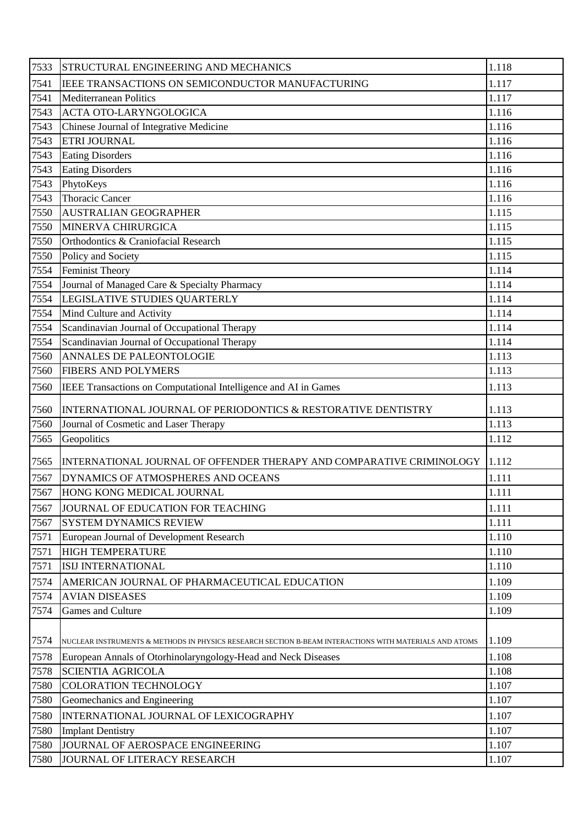| 7533 | STRUCTURAL ENGINEERING AND MECHANICS                                                                   | 1.118 |
|------|--------------------------------------------------------------------------------------------------------|-------|
| 7541 | IEEE TRANSACTIONS ON SEMICONDUCTOR MANUFACTURING                                                       | 1.117 |
| 7541 | <b>Mediterranean Politics</b>                                                                          | 1.117 |
| 7543 | <b>ACTA OTO-LARYNGOLOGICA</b>                                                                          | 1.116 |
| 7543 | Chinese Journal of Integrative Medicine                                                                | 1.116 |
| 7543 | ETRI JOURNAL                                                                                           | 1.116 |
| 7543 | <b>Eating Disorders</b>                                                                                | 1.116 |
| 7543 | <b>Eating Disorders</b>                                                                                | 1.116 |
| 7543 | PhytoKeys                                                                                              | 1.116 |
| 7543 | <b>Thoracic Cancer</b>                                                                                 | 1.116 |
| 7550 | <b>AUSTRALIAN GEOGRAPHER</b>                                                                           | 1.115 |
| 7550 | MINERVA CHIRURGICA                                                                                     | 1.115 |
| 7550 | Orthodontics & Craniofacial Research                                                                   | 1.115 |
| 7550 | Policy and Society                                                                                     | 1.115 |
| 7554 | <b>Feminist Theory</b>                                                                                 | 1.114 |
| 7554 | Journal of Managed Care & Specialty Pharmacy                                                           | 1.114 |
| 7554 | LEGISLATIVE STUDIES QUARTERLY                                                                          | 1.114 |
| 7554 | Mind Culture and Activity                                                                              | 1.114 |
| 7554 | Scandinavian Journal of Occupational Therapy                                                           | 1.114 |
| 7554 | Scandinavian Journal of Occupational Therapy                                                           | 1.114 |
| 7560 | <b>ANNALES DE PALEONTOLOGIE</b>                                                                        | 1.113 |
| 7560 | <b>FIBERS AND POLYMERS</b>                                                                             | 1.113 |
| 7560 | IEEE Transactions on Computational Intelligence and AI in Games                                        | 1.113 |
| 7560 | INTERNATIONAL JOURNAL OF PERIODONTICS & RESTORATIVE DENTISTRY                                          | 1.113 |
| 7560 | Journal of Cosmetic and Laser Therapy                                                                  | 1.113 |
| 7565 | Geopolitics                                                                                            | 1.112 |
| 7565 | INTERNATIONAL JOURNAL OF OFFENDER THERAPY AND COMPARATIVE CRIMINOLOGY                                  | 1.112 |
| 7567 | <b>DYNAMICS OF ATMOSPHERES AND OCEANS</b>                                                              | 1.111 |
| 7567 | HONG KONG MEDICAL JOURNAL                                                                              | 1.111 |
| 7567 | JOURNAL OF EDUCATION FOR TEACHING                                                                      | 1.111 |
| 7567 | <b>SYSTEM DYNAMICS REVIEW</b>                                                                          | 1.111 |
| 7571 | European Journal of Development Research                                                               | 1.110 |
| 7571 | <b>HIGH TEMPERATURE</b>                                                                                | 1.110 |
| 7571 | ISIJ INTERNATIONAL                                                                                     | 1.110 |
| 7574 | AMERICAN JOURNAL OF PHARMACEUTICAL EDUCATION                                                           | 1.109 |
| 7574 | <b>AVIAN DISEASES</b>                                                                                  | 1.109 |
| 7574 | Games and Culture                                                                                      | 1.109 |
|      |                                                                                                        |       |
| 7574 | NUCLEAR INSTRUMENTS & METHODS IN PHYSICS RESEARCH SECTION B-BEAM INTERACTIONS WITH MATERIALS AND ATOMS | 1.109 |
| 7578 | European Annals of Otorhinolaryngology-Head and Neck Diseases                                          | 1.108 |
| 7578 | <b>SCIENTIA AGRICOLA</b>                                                                               | 1.108 |
| 7580 | <b>COLORATION TECHNOLOGY</b>                                                                           | 1.107 |
| 7580 | Geomechanics and Engineering                                                                           | 1.107 |
| 7580 | INTERNATIONAL JOURNAL OF LEXICOGRAPHY                                                                  | 1.107 |
| 7580 | <b>Implant Dentistry</b>                                                                               | 1.107 |
| 7580 | JOURNAL OF AEROSPACE ENGINEERING                                                                       | 1.107 |
| 7580 | JOURNAL OF LITERACY RESEARCH                                                                           | 1.107 |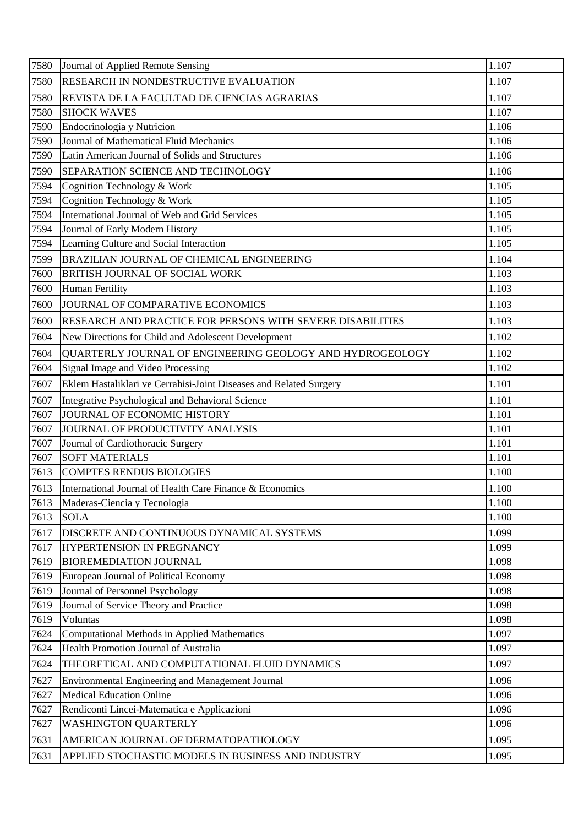| RESEARCH IN NONDESTRUCTIVE EVALUATION<br>1.107<br>7580<br>7580<br>REVISTA DE LA FACULTAD DE CIENCIAS AGRARIAS<br>1.107<br>7580<br><b>SHOCK WAVES</b><br>1.107<br>1.106<br>7590<br>Endocrinologia y Nutricion<br>Journal of Mathematical Fluid Mechanics<br>7590<br>1.106<br>Latin American Journal of Solids and Structures<br>7590<br>1.106<br>SEPARATION SCIENCE AND TECHNOLOGY<br>1.106<br>7590<br>7594<br>Cognition Technology & Work<br>1.105<br>Cognition Technology & Work<br>7594<br>1.105<br>International Journal of Web and Grid Services<br>1.105<br>7594<br>Journal of Early Modern History<br>7594<br>1.105<br>Learning Culture and Social Interaction<br>1.105<br>7594<br>BRAZILIAN JOURNAL OF CHEMICAL ENGINEERING<br>7599<br>1.104<br>1.103<br>7600<br><b>BRITISH JOURNAL OF SOCIAL WORK</b><br>Human Fertility<br>7600<br>1.103<br>JOURNAL OF COMPARATIVE ECONOMICS<br>1.103<br>7600<br>RESEARCH AND PRACTICE FOR PERSONS WITH SEVERE DISABILITIES<br>1.103<br>7600<br>7604<br>1.102<br>New Directions for Child and Adolescent Development<br>1.102<br>7604<br>QUARTERLY JOURNAL OF ENGINEERING GEOLOGY AND HYDROGEOLOGY<br>Signal Image and Video Processing<br>1.102<br>7604<br>7607<br>Eklem Hastaliklari ve Cerrahisi-Joint Diseases and Related Surgery<br>1.101<br>1.101<br>7607<br>Integrative Psychological and Behavioral Science<br>JOURNAL OF ECONOMIC HISTORY<br>7607<br>1.101<br>JOURNAL OF PRODUCTIVITY ANALYSIS<br>1.101<br>7607<br>1.101<br>7607<br>Journal of Cardiothoracic Surgery<br><b>SOFT MATERIALS</b><br>7607<br>1.101<br>7613<br><b>COMPTES RENDUS BIOLOGIES</b><br>1.100<br>7613<br>1.100<br>International Journal of Health Care Finance & Economics<br>7613<br>Maderas-Ciencia y Tecnologia<br>1.100<br>7613<br>1.100<br><b>SOLA</b><br>1.099<br>7617<br>DISCRETE AND CONTINUOUS DYNAMICAL SYSTEMS<br>7617<br>HYPERTENSION IN PREGNANCY<br>1.099<br>7619<br><b>BIOREMEDIATION JOURNAL</b><br>1.098<br>1.098<br>7619<br>European Journal of Political Economy<br>7619<br>Journal of Personnel Psychology<br>1.098<br>Journal of Service Theory and Practice<br>1.098<br>7619<br>7619<br>1.098<br>Voluntas<br>7624<br><b>Computational Methods in Applied Mathematics</b><br>1.097<br>Health Promotion Journal of Australia<br>7624<br>1.097<br>7624<br>THEORETICAL AND COMPUTATIONAL FLUID DYNAMICS<br>1.097<br>7627<br>Environmental Engineering and Management Journal<br>1.096<br><b>Medical Education Online</b><br>1.096<br>7627<br>Rendiconti Lincei-Matematica e Applicazioni<br>7627<br>1.096<br>7627<br>1.096<br><b>WASHINGTON QUARTERLY</b><br>AMERICAN JOURNAL OF DERMATOPATHOLOGY<br>1.095<br>7631 | 7580 | Journal of Applied Remote Sensing                  | 1.107 |
|---------------------------------------------------------------------------------------------------------------------------------------------------------------------------------------------------------------------------------------------------------------------------------------------------------------------------------------------------------------------------------------------------------------------------------------------------------------------------------------------------------------------------------------------------------------------------------------------------------------------------------------------------------------------------------------------------------------------------------------------------------------------------------------------------------------------------------------------------------------------------------------------------------------------------------------------------------------------------------------------------------------------------------------------------------------------------------------------------------------------------------------------------------------------------------------------------------------------------------------------------------------------------------------------------------------------------------------------------------------------------------------------------------------------------------------------------------------------------------------------------------------------------------------------------------------------------------------------------------------------------------------------------------------------------------------------------------------------------------------------------------------------------------------------------------------------------------------------------------------------------------------------------------------------------------------------------------------------------------------------------------------------------------------------------------------------------------------------------------------------------------------------------------------------------------------------------------------------------------------------------------------------------------------------------------------------------------------------------------------------------------------------------------------------------------------------------------------------------------------------------------------------------------------------------------------------------------------------------------------------------------------------------------------|------|----------------------------------------------------|-------|
|                                                                                                                                                                                                                                                                                                                                                                                                                                                                                                                                                                                                                                                                                                                                                                                                                                                                                                                                                                                                                                                                                                                                                                                                                                                                                                                                                                                                                                                                                                                                                                                                                                                                                                                                                                                                                                                                                                                                                                                                                                                                                                                                                                                                                                                                                                                                                                                                                                                                                                                                                                                                                                                               |      |                                                    |       |
|                                                                                                                                                                                                                                                                                                                                                                                                                                                                                                                                                                                                                                                                                                                                                                                                                                                                                                                                                                                                                                                                                                                                                                                                                                                                                                                                                                                                                                                                                                                                                                                                                                                                                                                                                                                                                                                                                                                                                                                                                                                                                                                                                                                                                                                                                                                                                                                                                                                                                                                                                                                                                                                               |      |                                                    |       |
|                                                                                                                                                                                                                                                                                                                                                                                                                                                                                                                                                                                                                                                                                                                                                                                                                                                                                                                                                                                                                                                                                                                                                                                                                                                                                                                                                                                                                                                                                                                                                                                                                                                                                                                                                                                                                                                                                                                                                                                                                                                                                                                                                                                                                                                                                                                                                                                                                                                                                                                                                                                                                                                               |      |                                                    |       |
|                                                                                                                                                                                                                                                                                                                                                                                                                                                                                                                                                                                                                                                                                                                                                                                                                                                                                                                                                                                                                                                                                                                                                                                                                                                                                                                                                                                                                                                                                                                                                                                                                                                                                                                                                                                                                                                                                                                                                                                                                                                                                                                                                                                                                                                                                                                                                                                                                                                                                                                                                                                                                                                               |      |                                                    |       |
|                                                                                                                                                                                                                                                                                                                                                                                                                                                                                                                                                                                                                                                                                                                                                                                                                                                                                                                                                                                                                                                                                                                                                                                                                                                                                                                                                                                                                                                                                                                                                                                                                                                                                                                                                                                                                                                                                                                                                                                                                                                                                                                                                                                                                                                                                                                                                                                                                                                                                                                                                                                                                                                               |      |                                                    |       |
|                                                                                                                                                                                                                                                                                                                                                                                                                                                                                                                                                                                                                                                                                                                                                                                                                                                                                                                                                                                                                                                                                                                                                                                                                                                                                                                                                                                                                                                                                                                                                                                                                                                                                                                                                                                                                                                                                                                                                                                                                                                                                                                                                                                                                                                                                                                                                                                                                                                                                                                                                                                                                                                               |      |                                                    |       |
|                                                                                                                                                                                                                                                                                                                                                                                                                                                                                                                                                                                                                                                                                                                                                                                                                                                                                                                                                                                                                                                                                                                                                                                                                                                                                                                                                                                                                                                                                                                                                                                                                                                                                                                                                                                                                                                                                                                                                                                                                                                                                                                                                                                                                                                                                                                                                                                                                                                                                                                                                                                                                                                               |      |                                                    |       |
|                                                                                                                                                                                                                                                                                                                                                                                                                                                                                                                                                                                                                                                                                                                                                                                                                                                                                                                                                                                                                                                                                                                                                                                                                                                                                                                                                                                                                                                                                                                                                                                                                                                                                                                                                                                                                                                                                                                                                                                                                                                                                                                                                                                                                                                                                                                                                                                                                                                                                                                                                                                                                                                               |      |                                                    |       |
|                                                                                                                                                                                                                                                                                                                                                                                                                                                                                                                                                                                                                                                                                                                                                                                                                                                                                                                                                                                                                                                                                                                                                                                                                                                                                                                                                                                                                                                                                                                                                                                                                                                                                                                                                                                                                                                                                                                                                                                                                                                                                                                                                                                                                                                                                                                                                                                                                                                                                                                                                                                                                                                               |      |                                                    |       |
|                                                                                                                                                                                                                                                                                                                                                                                                                                                                                                                                                                                                                                                                                                                                                                                                                                                                                                                                                                                                                                                                                                                                                                                                                                                                                                                                                                                                                                                                                                                                                                                                                                                                                                                                                                                                                                                                                                                                                                                                                                                                                                                                                                                                                                                                                                                                                                                                                                                                                                                                                                                                                                                               |      |                                                    |       |
|                                                                                                                                                                                                                                                                                                                                                                                                                                                                                                                                                                                                                                                                                                                                                                                                                                                                                                                                                                                                                                                                                                                                                                                                                                                                                                                                                                                                                                                                                                                                                                                                                                                                                                                                                                                                                                                                                                                                                                                                                                                                                                                                                                                                                                                                                                                                                                                                                                                                                                                                                                                                                                                               |      |                                                    |       |
|                                                                                                                                                                                                                                                                                                                                                                                                                                                                                                                                                                                                                                                                                                                                                                                                                                                                                                                                                                                                                                                                                                                                                                                                                                                                                                                                                                                                                                                                                                                                                                                                                                                                                                                                                                                                                                                                                                                                                                                                                                                                                                                                                                                                                                                                                                                                                                                                                                                                                                                                                                                                                                                               |      |                                                    |       |
|                                                                                                                                                                                                                                                                                                                                                                                                                                                                                                                                                                                                                                                                                                                                                                                                                                                                                                                                                                                                                                                                                                                                                                                                                                                                                                                                                                                                                                                                                                                                                                                                                                                                                                                                                                                                                                                                                                                                                                                                                                                                                                                                                                                                                                                                                                                                                                                                                                                                                                                                                                                                                                                               |      |                                                    |       |
|                                                                                                                                                                                                                                                                                                                                                                                                                                                                                                                                                                                                                                                                                                                                                                                                                                                                                                                                                                                                                                                                                                                                                                                                                                                                                                                                                                                                                                                                                                                                                                                                                                                                                                                                                                                                                                                                                                                                                                                                                                                                                                                                                                                                                                                                                                                                                                                                                                                                                                                                                                                                                                                               |      |                                                    |       |
|                                                                                                                                                                                                                                                                                                                                                                                                                                                                                                                                                                                                                                                                                                                                                                                                                                                                                                                                                                                                                                                                                                                                                                                                                                                                                                                                                                                                                                                                                                                                                                                                                                                                                                                                                                                                                                                                                                                                                                                                                                                                                                                                                                                                                                                                                                                                                                                                                                                                                                                                                                                                                                                               |      |                                                    |       |
|                                                                                                                                                                                                                                                                                                                                                                                                                                                                                                                                                                                                                                                                                                                                                                                                                                                                                                                                                                                                                                                                                                                                                                                                                                                                                                                                                                                                                                                                                                                                                                                                                                                                                                                                                                                                                                                                                                                                                                                                                                                                                                                                                                                                                                                                                                                                                                                                                                                                                                                                                                                                                                                               |      |                                                    |       |
|                                                                                                                                                                                                                                                                                                                                                                                                                                                                                                                                                                                                                                                                                                                                                                                                                                                                                                                                                                                                                                                                                                                                                                                                                                                                                                                                                                                                                                                                                                                                                                                                                                                                                                                                                                                                                                                                                                                                                                                                                                                                                                                                                                                                                                                                                                                                                                                                                                                                                                                                                                                                                                                               |      |                                                    |       |
|                                                                                                                                                                                                                                                                                                                                                                                                                                                                                                                                                                                                                                                                                                                                                                                                                                                                                                                                                                                                                                                                                                                                                                                                                                                                                                                                                                                                                                                                                                                                                                                                                                                                                                                                                                                                                                                                                                                                                                                                                                                                                                                                                                                                                                                                                                                                                                                                                                                                                                                                                                                                                                                               |      |                                                    |       |
|                                                                                                                                                                                                                                                                                                                                                                                                                                                                                                                                                                                                                                                                                                                                                                                                                                                                                                                                                                                                                                                                                                                                                                                                                                                                                                                                                                                                                                                                                                                                                                                                                                                                                                                                                                                                                                                                                                                                                                                                                                                                                                                                                                                                                                                                                                                                                                                                                                                                                                                                                                                                                                                               |      |                                                    |       |
|                                                                                                                                                                                                                                                                                                                                                                                                                                                                                                                                                                                                                                                                                                                                                                                                                                                                                                                                                                                                                                                                                                                                                                                                                                                                                                                                                                                                                                                                                                                                                                                                                                                                                                                                                                                                                                                                                                                                                                                                                                                                                                                                                                                                                                                                                                                                                                                                                                                                                                                                                                                                                                                               |      |                                                    |       |
|                                                                                                                                                                                                                                                                                                                                                                                                                                                                                                                                                                                                                                                                                                                                                                                                                                                                                                                                                                                                                                                                                                                                                                                                                                                                                                                                                                                                                                                                                                                                                                                                                                                                                                                                                                                                                                                                                                                                                                                                                                                                                                                                                                                                                                                                                                                                                                                                                                                                                                                                                                                                                                                               |      |                                                    |       |
|                                                                                                                                                                                                                                                                                                                                                                                                                                                                                                                                                                                                                                                                                                                                                                                                                                                                                                                                                                                                                                                                                                                                                                                                                                                                                                                                                                                                                                                                                                                                                                                                                                                                                                                                                                                                                                                                                                                                                                                                                                                                                                                                                                                                                                                                                                                                                                                                                                                                                                                                                                                                                                                               |      |                                                    |       |
|                                                                                                                                                                                                                                                                                                                                                                                                                                                                                                                                                                                                                                                                                                                                                                                                                                                                                                                                                                                                                                                                                                                                                                                                                                                                                                                                                                                                                                                                                                                                                                                                                                                                                                                                                                                                                                                                                                                                                                                                                                                                                                                                                                                                                                                                                                                                                                                                                                                                                                                                                                                                                                                               |      |                                                    |       |
|                                                                                                                                                                                                                                                                                                                                                                                                                                                                                                                                                                                                                                                                                                                                                                                                                                                                                                                                                                                                                                                                                                                                                                                                                                                                                                                                                                                                                                                                                                                                                                                                                                                                                                                                                                                                                                                                                                                                                                                                                                                                                                                                                                                                                                                                                                                                                                                                                                                                                                                                                                                                                                                               |      |                                                    |       |
|                                                                                                                                                                                                                                                                                                                                                                                                                                                                                                                                                                                                                                                                                                                                                                                                                                                                                                                                                                                                                                                                                                                                                                                                                                                                                                                                                                                                                                                                                                                                                                                                                                                                                                                                                                                                                                                                                                                                                                                                                                                                                                                                                                                                                                                                                                                                                                                                                                                                                                                                                                                                                                                               |      |                                                    |       |
|                                                                                                                                                                                                                                                                                                                                                                                                                                                                                                                                                                                                                                                                                                                                                                                                                                                                                                                                                                                                                                                                                                                                                                                                                                                                                                                                                                                                                                                                                                                                                                                                                                                                                                                                                                                                                                                                                                                                                                                                                                                                                                                                                                                                                                                                                                                                                                                                                                                                                                                                                                                                                                                               |      |                                                    |       |
|                                                                                                                                                                                                                                                                                                                                                                                                                                                                                                                                                                                                                                                                                                                                                                                                                                                                                                                                                                                                                                                                                                                                                                                                                                                                                                                                                                                                                                                                                                                                                                                                                                                                                                                                                                                                                                                                                                                                                                                                                                                                                                                                                                                                                                                                                                                                                                                                                                                                                                                                                                                                                                                               |      |                                                    |       |
|                                                                                                                                                                                                                                                                                                                                                                                                                                                                                                                                                                                                                                                                                                                                                                                                                                                                                                                                                                                                                                                                                                                                                                                                                                                                                                                                                                                                                                                                                                                                                                                                                                                                                                                                                                                                                                                                                                                                                                                                                                                                                                                                                                                                                                                                                                                                                                                                                                                                                                                                                                                                                                                               |      |                                                    |       |
|                                                                                                                                                                                                                                                                                                                                                                                                                                                                                                                                                                                                                                                                                                                                                                                                                                                                                                                                                                                                                                                                                                                                                                                                                                                                                                                                                                                                                                                                                                                                                                                                                                                                                                                                                                                                                                                                                                                                                                                                                                                                                                                                                                                                                                                                                                                                                                                                                                                                                                                                                                                                                                                               |      |                                                    |       |
|                                                                                                                                                                                                                                                                                                                                                                                                                                                                                                                                                                                                                                                                                                                                                                                                                                                                                                                                                                                                                                                                                                                                                                                                                                                                                                                                                                                                                                                                                                                                                                                                                                                                                                                                                                                                                                                                                                                                                                                                                                                                                                                                                                                                                                                                                                                                                                                                                                                                                                                                                                                                                                                               |      |                                                    |       |
|                                                                                                                                                                                                                                                                                                                                                                                                                                                                                                                                                                                                                                                                                                                                                                                                                                                                                                                                                                                                                                                                                                                                                                                                                                                                                                                                                                                                                                                                                                                                                                                                                                                                                                                                                                                                                                                                                                                                                                                                                                                                                                                                                                                                                                                                                                                                                                                                                                                                                                                                                                                                                                                               |      |                                                    |       |
|                                                                                                                                                                                                                                                                                                                                                                                                                                                                                                                                                                                                                                                                                                                                                                                                                                                                                                                                                                                                                                                                                                                                                                                                                                                                                                                                                                                                                                                                                                                                                                                                                                                                                                                                                                                                                                                                                                                                                                                                                                                                                                                                                                                                                                                                                                                                                                                                                                                                                                                                                                                                                                                               |      |                                                    |       |
|                                                                                                                                                                                                                                                                                                                                                                                                                                                                                                                                                                                                                                                                                                                                                                                                                                                                                                                                                                                                                                                                                                                                                                                                                                                                                                                                                                                                                                                                                                                                                                                                                                                                                                                                                                                                                                                                                                                                                                                                                                                                                                                                                                                                                                                                                                                                                                                                                                                                                                                                                                                                                                                               |      |                                                    |       |
|                                                                                                                                                                                                                                                                                                                                                                                                                                                                                                                                                                                                                                                                                                                                                                                                                                                                                                                                                                                                                                                                                                                                                                                                                                                                                                                                                                                                                                                                                                                                                                                                                                                                                                                                                                                                                                                                                                                                                                                                                                                                                                                                                                                                                                                                                                                                                                                                                                                                                                                                                                                                                                                               |      |                                                    |       |
|                                                                                                                                                                                                                                                                                                                                                                                                                                                                                                                                                                                                                                                                                                                                                                                                                                                                                                                                                                                                                                                                                                                                                                                                                                                                                                                                                                                                                                                                                                                                                                                                                                                                                                                                                                                                                                                                                                                                                                                                                                                                                                                                                                                                                                                                                                                                                                                                                                                                                                                                                                                                                                                               |      |                                                    |       |
|                                                                                                                                                                                                                                                                                                                                                                                                                                                                                                                                                                                                                                                                                                                                                                                                                                                                                                                                                                                                                                                                                                                                                                                                                                                                                                                                                                                                                                                                                                                                                                                                                                                                                                                                                                                                                                                                                                                                                                                                                                                                                                                                                                                                                                                                                                                                                                                                                                                                                                                                                                                                                                                               |      |                                                    |       |
|                                                                                                                                                                                                                                                                                                                                                                                                                                                                                                                                                                                                                                                                                                                                                                                                                                                                                                                                                                                                                                                                                                                                                                                                                                                                                                                                                                                                                                                                                                                                                                                                                                                                                                                                                                                                                                                                                                                                                                                                                                                                                                                                                                                                                                                                                                                                                                                                                                                                                                                                                                                                                                                               |      |                                                    |       |
|                                                                                                                                                                                                                                                                                                                                                                                                                                                                                                                                                                                                                                                                                                                                                                                                                                                                                                                                                                                                                                                                                                                                                                                                                                                                                                                                                                                                                                                                                                                                                                                                                                                                                                                                                                                                                                                                                                                                                                                                                                                                                                                                                                                                                                                                                                                                                                                                                                                                                                                                                                                                                                                               |      |                                                    |       |
|                                                                                                                                                                                                                                                                                                                                                                                                                                                                                                                                                                                                                                                                                                                                                                                                                                                                                                                                                                                                                                                                                                                                                                                                                                                                                                                                                                                                                                                                                                                                                                                                                                                                                                                                                                                                                                                                                                                                                                                                                                                                                                                                                                                                                                                                                                                                                                                                                                                                                                                                                                                                                                                               |      |                                                    |       |
|                                                                                                                                                                                                                                                                                                                                                                                                                                                                                                                                                                                                                                                                                                                                                                                                                                                                                                                                                                                                                                                                                                                                                                                                                                                                                                                                                                                                                                                                                                                                                                                                                                                                                                                                                                                                                                                                                                                                                                                                                                                                                                                                                                                                                                                                                                                                                                                                                                                                                                                                                                                                                                                               |      |                                                    |       |
|                                                                                                                                                                                                                                                                                                                                                                                                                                                                                                                                                                                                                                                                                                                                                                                                                                                                                                                                                                                                                                                                                                                                                                                                                                                                                                                                                                                                                                                                                                                                                                                                                                                                                                                                                                                                                                                                                                                                                                                                                                                                                                                                                                                                                                                                                                                                                                                                                                                                                                                                                                                                                                                               |      |                                                    |       |
|                                                                                                                                                                                                                                                                                                                                                                                                                                                                                                                                                                                                                                                                                                                                                                                                                                                                                                                                                                                                                                                                                                                                                                                                                                                                                                                                                                                                                                                                                                                                                                                                                                                                                                                                                                                                                                                                                                                                                                                                                                                                                                                                                                                                                                                                                                                                                                                                                                                                                                                                                                                                                                                               |      |                                                    |       |
|                                                                                                                                                                                                                                                                                                                                                                                                                                                                                                                                                                                                                                                                                                                                                                                                                                                                                                                                                                                                                                                                                                                                                                                                                                                                                                                                                                                                                                                                                                                                                                                                                                                                                                                                                                                                                                                                                                                                                                                                                                                                                                                                                                                                                                                                                                                                                                                                                                                                                                                                                                                                                                                               |      |                                                    |       |
|                                                                                                                                                                                                                                                                                                                                                                                                                                                                                                                                                                                                                                                                                                                                                                                                                                                                                                                                                                                                                                                                                                                                                                                                                                                                                                                                                                                                                                                                                                                                                                                                                                                                                                                                                                                                                                                                                                                                                                                                                                                                                                                                                                                                                                                                                                                                                                                                                                                                                                                                                                                                                                                               |      |                                                    |       |
|                                                                                                                                                                                                                                                                                                                                                                                                                                                                                                                                                                                                                                                                                                                                                                                                                                                                                                                                                                                                                                                                                                                                                                                                                                                                                                                                                                                                                                                                                                                                                                                                                                                                                                                                                                                                                                                                                                                                                                                                                                                                                                                                                                                                                                                                                                                                                                                                                                                                                                                                                                                                                                                               |      |                                                    |       |
|                                                                                                                                                                                                                                                                                                                                                                                                                                                                                                                                                                                                                                                                                                                                                                                                                                                                                                                                                                                                                                                                                                                                                                                                                                                                                                                                                                                                                                                                                                                                                                                                                                                                                                                                                                                                                                                                                                                                                                                                                                                                                                                                                                                                                                                                                                                                                                                                                                                                                                                                                                                                                                                               | 7631 | APPLIED STOCHASTIC MODELS IN BUSINESS AND INDUSTRY | 1.095 |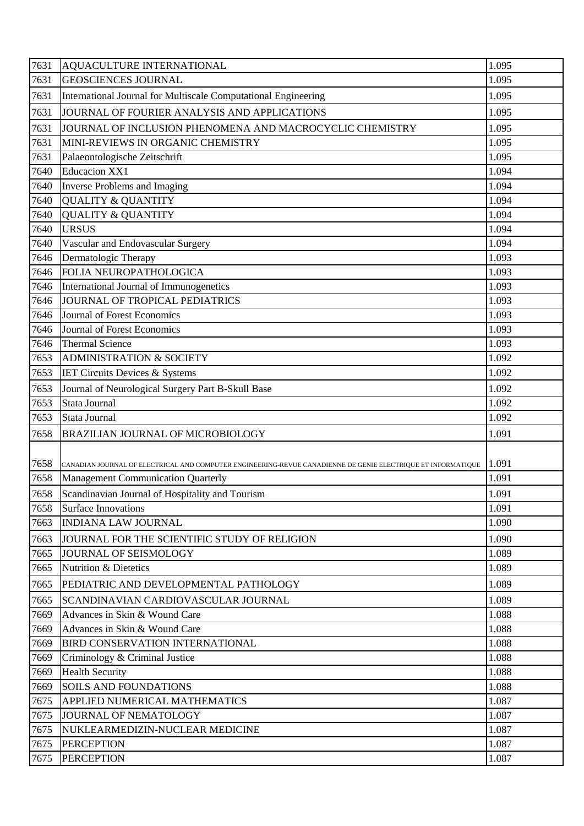| <b>GEOSCIENCES JOURNAL</b><br>1.095<br>7631<br>1.095<br>7631<br>International Journal for Multiscale Computational Engineering<br>7631<br>JOURNAL OF FOURIER ANALYSIS AND APPLICATIONS<br>1.095<br>JOURNAL OF INCLUSION PHENOMENA AND MACROCYCLIC CHEMISTRY<br>1.095<br>7631<br>1.095<br>7631<br>MINI-REVIEWS IN ORGANIC CHEMISTRY<br>1.095<br>7631<br>Palaeontologische Zeitschrift<br><b>Educacion XX1</b><br>7640<br>1.094<br><b>Inverse Problems and Imaging</b><br>1.094<br>7640<br>7640<br><b>QUALITY &amp; QUANTITY</b><br>1.094<br>7640<br><b>QUALITY &amp; QUANTITY</b><br>1.094<br>7640<br><b>URSUS</b><br>1.094<br>7640<br>Vascular and Endovascular Surgery<br>1.094<br>Dermatologic Therapy<br>7646<br>1.093<br>FOLIA NEUROPATHOLOGICA<br>7646<br>1.093<br>International Journal of Immunogenetics<br>7646<br>1.093<br>JOURNAL OF TROPICAL PEDIATRICS<br>1.093<br>7646<br>7646<br>Journal of Forest Economics<br>1.093<br>1.093<br>7646<br>Journal of Forest Economics<br><b>Thermal Science</b><br>7646<br>1.093<br>7653<br><b>ADMINISTRATION &amp; SOCIETY</b><br>1.092<br>7653<br>1.092<br><b>IET Circuits Devices &amp; Systems</b><br>1.092<br>7653<br>Journal of Neurological Surgery Part B-Skull Base<br>7653<br>Stata Journal<br>1.092<br>7653<br>1.092<br>Stata Journal<br>7658<br>BRAZILIAN JOURNAL OF MICROBIOLOGY<br>1.091<br>1.091<br>7658<br>CANADIAN JOURNAL OF ELECTRICAL AND COMPUTER ENGINEERING-REVUE CANADIENNE DE GENIE ELECTRIQUE ET INFORMATIQUE<br>7658   Management Communication Quarterly<br>1.091<br>7658<br>Scandinavian Journal of Hospitality and Tourism<br>1.091<br>1.091<br>7658<br><b>Surface Innovations</b><br>7663<br><b>INDIANA LAW JOURNAL</b><br>1.090<br>1.090<br>7663<br>JOURNAL FOR THE SCIENTIFIC STUDY OF RELIGION<br>1.089<br>JOURNAL OF SEISMOLOGY<br>7665<br>7665<br><b>Nutrition &amp; Dietetics</b><br>1.089<br>1.089<br>PEDIATRIC AND DEVELOPMENTAL PATHOLOGY<br>7665<br>1.089<br>7665<br>SCANDINAVIAN CARDIOVASCULAR JOURNAL<br>7669<br>1.088<br>Advances in Skin & Wound Care<br>1.088<br>7669<br>Advances in Skin & Wound Care<br>1.088<br>7669<br>BIRD CONSERVATION INTERNATIONAL<br>7669<br>Criminology & Criminal Justice<br>1.088<br>7669<br><b>Health Security</b><br>1.088<br><b>SOILS AND FOUNDATIONS</b><br>1.088<br>7669<br>7675<br>APPLIED NUMERICAL MATHEMATICS<br>1.087<br>7675<br>JOURNAL OF NEMATOLOGY<br>1.087<br>1.087<br>7675<br>NUKLEARMEDIZIN-NUCLEAR MEDICINE<br>7675<br><b>PERCEPTION</b><br>1.087<br>1.087<br>7675<br><b>PERCEPTION</b> | 7631 | AQUACULTURE INTERNATIONAL | 1.095 |
|------------------------------------------------------------------------------------------------------------------------------------------------------------------------------------------------------------------------------------------------------------------------------------------------------------------------------------------------------------------------------------------------------------------------------------------------------------------------------------------------------------------------------------------------------------------------------------------------------------------------------------------------------------------------------------------------------------------------------------------------------------------------------------------------------------------------------------------------------------------------------------------------------------------------------------------------------------------------------------------------------------------------------------------------------------------------------------------------------------------------------------------------------------------------------------------------------------------------------------------------------------------------------------------------------------------------------------------------------------------------------------------------------------------------------------------------------------------------------------------------------------------------------------------------------------------------------------------------------------------------------------------------------------------------------------------------------------------------------------------------------------------------------------------------------------------------------------------------------------------------------------------------------------------------------------------------------------------------------------------------------------------------------------------------------------------------------------------------------------------------------------------------------------------------------------------------------------------------------------------------------------------------------------------------------------------------------------------------------------------------------------------------------------------------------------------------------------------------------------------------------------------------------------|------|---------------------------|-------|
|                                                                                                                                                                                                                                                                                                                                                                                                                                                                                                                                                                                                                                                                                                                                                                                                                                                                                                                                                                                                                                                                                                                                                                                                                                                                                                                                                                                                                                                                                                                                                                                                                                                                                                                                                                                                                                                                                                                                                                                                                                                                                                                                                                                                                                                                                                                                                                                                                                                                                                                                    |      |                           |       |
|                                                                                                                                                                                                                                                                                                                                                                                                                                                                                                                                                                                                                                                                                                                                                                                                                                                                                                                                                                                                                                                                                                                                                                                                                                                                                                                                                                                                                                                                                                                                                                                                                                                                                                                                                                                                                                                                                                                                                                                                                                                                                                                                                                                                                                                                                                                                                                                                                                                                                                                                    |      |                           |       |
|                                                                                                                                                                                                                                                                                                                                                                                                                                                                                                                                                                                                                                                                                                                                                                                                                                                                                                                                                                                                                                                                                                                                                                                                                                                                                                                                                                                                                                                                                                                                                                                                                                                                                                                                                                                                                                                                                                                                                                                                                                                                                                                                                                                                                                                                                                                                                                                                                                                                                                                                    |      |                           |       |
|                                                                                                                                                                                                                                                                                                                                                                                                                                                                                                                                                                                                                                                                                                                                                                                                                                                                                                                                                                                                                                                                                                                                                                                                                                                                                                                                                                                                                                                                                                                                                                                                                                                                                                                                                                                                                                                                                                                                                                                                                                                                                                                                                                                                                                                                                                                                                                                                                                                                                                                                    |      |                           |       |
|                                                                                                                                                                                                                                                                                                                                                                                                                                                                                                                                                                                                                                                                                                                                                                                                                                                                                                                                                                                                                                                                                                                                                                                                                                                                                                                                                                                                                                                                                                                                                                                                                                                                                                                                                                                                                                                                                                                                                                                                                                                                                                                                                                                                                                                                                                                                                                                                                                                                                                                                    |      |                           |       |
|                                                                                                                                                                                                                                                                                                                                                                                                                                                                                                                                                                                                                                                                                                                                                                                                                                                                                                                                                                                                                                                                                                                                                                                                                                                                                                                                                                                                                                                                                                                                                                                                                                                                                                                                                                                                                                                                                                                                                                                                                                                                                                                                                                                                                                                                                                                                                                                                                                                                                                                                    |      |                           |       |
|                                                                                                                                                                                                                                                                                                                                                                                                                                                                                                                                                                                                                                                                                                                                                                                                                                                                                                                                                                                                                                                                                                                                                                                                                                                                                                                                                                                                                                                                                                                                                                                                                                                                                                                                                                                                                                                                                                                                                                                                                                                                                                                                                                                                                                                                                                                                                                                                                                                                                                                                    |      |                           |       |
|                                                                                                                                                                                                                                                                                                                                                                                                                                                                                                                                                                                                                                                                                                                                                                                                                                                                                                                                                                                                                                                                                                                                                                                                                                                                                                                                                                                                                                                                                                                                                                                                                                                                                                                                                                                                                                                                                                                                                                                                                                                                                                                                                                                                                                                                                                                                                                                                                                                                                                                                    |      |                           |       |
|                                                                                                                                                                                                                                                                                                                                                                                                                                                                                                                                                                                                                                                                                                                                                                                                                                                                                                                                                                                                                                                                                                                                                                                                                                                                                                                                                                                                                                                                                                                                                                                                                                                                                                                                                                                                                                                                                                                                                                                                                                                                                                                                                                                                                                                                                                                                                                                                                                                                                                                                    |      |                           |       |
|                                                                                                                                                                                                                                                                                                                                                                                                                                                                                                                                                                                                                                                                                                                                                                                                                                                                                                                                                                                                                                                                                                                                                                                                                                                                                                                                                                                                                                                                                                                                                                                                                                                                                                                                                                                                                                                                                                                                                                                                                                                                                                                                                                                                                                                                                                                                                                                                                                                                                                                                    |      |                           |       |
|                                                                                                                                                                                                                                                                                                                                                                                                                                                                                                                                                                                                                                                                                                                                                                                                                                                                                                                                                                                                                                                                                                                                                                                                                                                                                                                                                                                                                                                                                                                                                                                                                                                                                                                                                                                                                                                                                                                                                                                                                                                                                                                                                                                                                                                                                                                                                                                                                                                                                                                                    |      |                           |       |
|                                                                                                                                                                                                                                                                                                                                                                                                                                                                                                                                                                                                                                                                                                                                                                                                                                                                                                                                                                                                                                                                                                                                                                                                                                                                                                                                                                                                                                                                                                                                                                                                                                                                                                                                                                                                                                                                                                                                                                                                                                                                                                                                                                                                                                                                                                                                                                                                                                                                                                                                    |      |                           |       |
|                                                                                                                                                                                                                                                                                                                                                                                                                                                                                                                                                                                                                                                                                                                                                                                                                                                                                                                                                                                                                                                                                                                                                                                                                                                                                                                                                                                                                                                                                                                                                                                                                                                                                                                                                                                                                                                                                                                                                                                                                                                                                                                                                                                                                                                                                                                                                                                                                                                                                                                                    |      |                           |       |
|                                                                                                                                                                                                                                                                                                                                                                                                                                                                                                                                                                                                                                                                                                                                                                                                                                                                                                                                                                                                                                                                                                                                                                                                                                                                                                                                                                                                                                                                                                                                                                                                                                                                                                                                                                                                                                                                                                                                                                                                                                                                                                                                                                                                                                                                                                                                                                                                                                                                                                                                    |      |                           |       |
|                                                                                                                                                                                                                                                                                                                                                                                                                                                                                                                                                                                                                                                                                                                                                                                                                                                                                                                                                                                                                                                                                                                                                                                                                                                                                                                                                                                                                                                                                                                                                                                                                                                                                                                                                                                                                                                                                                                                                                                                                                                                                                                                                                                                                                                                                                                                                                                                                                                                                                                                    |      |                           |       |
|                                                                                                                                                                                                                                                                                                                                                                                                                                                                                                                                                                                                                                                                                                                                                                                                                                                                                                                                                                                                                                                                                                                                                                                                                                                                                                                                                                                                                                                                                                                                                                                                                                                                                                                                                                                                                                                                                                                                                                                                                                                                                                                                                                                                                                                                                                                                                                                                                                                                                                                                    |      |                           |       |
|                                                                                                                                                                                                                                                                                                                                                                                                                                                                                                                                                                                                                                                                                                                                                                                                                                                                                                                                                                                                                                                                                                                                                                                                                                                                                                                                                                                                                                                                                                                                                                                                                                                                                                                                                                                                                                                                                                                                                                                                                                                                                                                                                                                                                                                                                                                                                                                                                                                                                                                                    |      |                           |       |
|                                                                                                                                                                                                                                                                                                                                                                                                                                                                                                                                                                                                                                                                                                                                                                                                                                                                                                                                                                                                                                                                                                                                                                                                                                                                                                                                                                                                                                                                                                                                                                                                                                                                                                                                                                                                                                                                                                                                                                                                                                                                                                                                                                                                                                                                                                                                                                                                                                                                                                                                    |      |                           |       |
|                                                                                                                                                                                                                                                                                                                                                                                                                                                                                                                                                                                                                                                                                                                                                                                                                                                                                                                                                                                                                                                                                                                                                                                                                                                                                                                                                                                                                                                                                                                                                                                                                                                                                                                                                                                                                                                                                                                                                                                                                                                                                                                                                                                                                                                                                                                                                                                                                                                                                                                                    |      |                           |       |
|                                                                                                                                                                                                                                                                                                                                                                                                                                                                                                                                                                                                                                                                                                                                                                                                                                                                                                                                                                                                                                                                                                                                                                                                                                                                                                                                                                                                                                                                                                                                                                                                                                                                                                                                                                                                                                                                                                                                                                                                                                                                                                                                                                                                                                                                                                                                                                                                                                                                                                                                    |      |                           |       |
|                                                                                                                                                                                                                                                                                                                                                                                                                                                                                                                                                                                                                                                                                                                                                                                                                                                                                                                                                                                                                                                                                                                                                                                                                                                                                                                                                                                                                                                                                                                                                                                                                                                                                                                                                                                                                                                                                                                                                                                                                                                                                                                                                                                                                                                                                                                                                                                                                                                                                                                                    |      |                           |       |
|                                                                                                                                                                                                                                                                                                                                                                                                                                                                                                                                                                                                                                                                                                                                                                                                                                                                                                                                                                                                                                                                                                                                                                                                                                                                                                                                                                                                                                                                                                                                                                                                                                                                                                                                                                                                                                                                                                                                                                                                                                                                                                                                                                                                                                                                                                                                                                                                                                                                                                                                    |      |                           |       |
|                                                                                                                                                                                                                                                                                                                                                                                                                                                                                                                                                                                                                                                                                                                                                                                                                                                                                                                                                                                                                                                                                                                                                                                                                                                                                                                                                                                                                                                                                                                                                                                                                                                                                                                                                                                                                                                                                                                                                                                                                                                                                                                                                                                                                                                                                                                                                                                                                                                                                                                                    |      |                           |       |
|                                                                                                                                                                                                                                                                                                                                                                                                                                                                                                                                                                                                                                                                                                                                                                                                                                                                                                                                                                                                                                                                                                                                                                                                                                                                                                                                                                                                                                                                                                                                                                                                                                                                                                                                                                                                                                                                                                                                                                                                                                                                                                                                                                                                                                                                                                                                                                                                                                                                                                                                    |      |                           |       |
|                                                                                                                                                                                                                                                                                                                                                                                                                                                                                                                                                                                                                                                                                                                                                                                                                                                                                                                                                                                                                                                                                                                                                                                                                                                                                                                                                                                                                                                                                                                                                                                                                                                                                                                                                                                                                                                                                                                                                                                                                                                                                                                                                                                                                                                                                                                                                                                                                                                                                                                                    |      |                           |       |
|                                                                                                                                                                                                                                                                                                                                                                                                                                                                                                                                                                                                                                                                                                                                                                                                                                                                                                                                                                                                                                                                                                                                                                                                                                                                                                                                                                                                                                                                                                                                                                                                                                                                                                                                                                                                                                                                                                                                                                                                                                                                                                                                                                                                                                                                                                                                                                                                                                                                                                                                    |      |                           |       |
|                                                                                                                                                                                                                                                                                                                                                                                                                                                                                                                                                                                                                                                                                                                                                                                                                                                                                                                                                                                                                                                                                                                                                                                                                                                                                                                                                                                                                                                                                                                                                                                                                                                                                                                                                                                                                                                                                                                                                                                                                                                                                                                                                                                                                                                                                                                                                                                                                                                                                                                                    |      |                           |       |
|                                                                                                                                                                                                                                                                                                                                                                                                                                                                                                                                                                                                                                                                                                                                                                                                                                                                                                                                                                                                                                                                                                                                                                                                                                                                                                                                                                                                                                                                                                                                                                                                                                                                                                                                                                                                                                                                                                                                                                                                                                                                                                                                                                                                                                                                                                                                                                                                                                                                                                                                    |      |                           |       |
|                                                                                                                                                                                                                                                                                                                                                                                                                                                                                                                                                                                                                                                                                                                                                                                                                                                                                                                                                                                                                                                                                                                                                                                                                                                                                                                                                                                                                                                                                                                                                                                                                                                                                                                                                                                                                                                                                                                                                                                                                                                                                                                                                                                                                                                                                                                                                                                                                                                                                                                                    |      |                           |       |
|                                                                                                                                                                                                                                                                                                                                                                                                                                                                                                                                                                                                                                                                                                                                                                                                                                                                                                                                                                                                                                                                                                                                                                                                                                                                                                                                                                                                                                                                                                                                                                                                                                                                                                                                                                                                                                                                                                                                                                                                                                                                                                                                                                                                                                                                                                                                                                                                                                                                                                                                    |      |                           |       |
|                                                                                                                                                                                                                                                                                                                                                                                                                                                                                                                                                                                                                                                                                                                                                                                                                                                                                                                                                                                                                                                                                                                                                                                                                                                                                                                                                                                                                                                                                                                                                                                                                                                                                                                                                                                                                                                                                                                                                                                                                                                                                                                                                                                                                                                                                                                                                                                                                                                                                                                                    |      |                           |       |
|                                                                                                                                                                                                                                                                                                                                                                                                                                                                                                                                                                                                                                                                                                                                                                                                                                                                                                                                                                                                                                                                                                                                                                                                                                                                                                                                                                                                                                                                                                                                                                                                                                                                                                                                                                                                                                                                                                                                                                                                                                                                                                                                                                                                                                                                                                                                                                                                                                                                                                                                    |      |                           |       |
|                                                                                                                                                                                                                                                                                                                                                                                                                                                                                                                                                                                                                                                                                                                                                                                                                                                                                                                                                                                                                                                                                                                                                                                                                                                                                                                                                                                                                                                                                                                                                                                                                                                                                                                                                                                                                                                                                                                                                                                                                                                                                                                                                                                                                                                                                                                                                                                                                                                                                                                                    |      |                           |       |
|                                                                                                                                                                                                                                                                                                                                                                                                                                                                                                                                                                                                                                                                                                                                                                                                                                                                                                                                                                                                                                                                                                                                                                                                                                                                                                                                                                                                                                                                                                                                                                                                                                                                                                                                                                                                                                                                                                                                                                                                                                                                                                                                                                                                                                                                                                                                                                                                                                                                                                                                    |      |                           |       |
|                                                                                                                                                                                                                                                                                                                                                                                                                                                                                                                                                                                                                                                                                                                                                                                                                                                                                                                                                                                                                                                                                                                                                                                                                                                                                                                                                                                                                                                                                                                                                                                                                                                                                                                                                                                                                                                                                                                                                                                                                                                                                                                                                                                                                                                                                                                                                                                                                                                                                                                                    |      |                           |       |
|                                                                                                                                                                                                                                                                                                                                                                                                                                                                                                                                                                                                                                                                                                                                                                                                                                                                                                                                                                                                                                                                                                                                                                                                                                                                                                                                                                                                                                                                                                                                                                                                                                                                                                                                                                                                                                                                                                                                                                                                                                                                                                                                                                                                                                                                                                                                                                                                                                                                                                                                    |      |                           |       |
|                                                                                                                                                                                                                                                                                                                                                                                                                                                                                                                                                                                                                                                                                                                                                                                                                                                                                                                                                                                                                                                                                                                                                                                                                                                                                                                                                                                                                                                                                                                                                                                                                                                                                                                                                                                                                                                                                                                                                                                                                                                                                                                                                                                                                                                                                                                                                                                                                                                                                                                                    |      |                           |       |
|                                                                                                                                                                                                                                                                                                                                                                                                                                                                                                                                                                                                                                                                                                                                                                                                                                                                                                                                                                                                                                                                                                                                                                                                                                                                                                                                                                                                                                                                                                                                                                                                                                                                                                                                                                                                                                                                                                                                                                                                                                                                                                                                                                                                                                                                                                                                                                                                                                                                                                                                    |      |                           |       |
|                                                                                                                                                                                                                                                                                                                                                                                                                                                                                                                                                                                                                                                                                                                                                                                                                                                                                                                                                                                                                                                                                                                                                                                                                                                                                                                                                                                                                                                                                                                                                                                                                                                                                                                                                                                                                                                                                                                                                                                                                                                                                                                                                                                                                                                                                                                                                                                                                                                                                                                                    |      |                           |       |
|                                                                                                                                                                                                                                                                                                                                                                                                                                                                                                                                                                                                                                                                                                                                                                                                                                                                                                                                                                                                                                                                                                                                                                                                                                                                                                                                                                                                                                                                                                                                                                                                                                                                                                                                                                                                                                                                                                                                                                                                                                                                                                                                                                                                                                                                                                                                                                                                                                                                                                                                    |      |                           |       |
|                                                                                                                                                                                                                                                                                                                                                                                                                                                                                                                                                                                                                                                                                                                                                                                                                                                                                                                                                                                                                                                                                                                                                                                                                                                                                                                                                                                                                                                                                                                                                                                                                                                                                                                                                                                                                                                                                                                                                                                                                                                                                                                                                                                                                                                                                                                                                                                                                                                                                                                                    |      |                           |       |
|                                                                                                                                                                                                                                                                                                                                                                                                                                                                                                                                                                                                                                                                                                                                                                                                                                                                                                                                                                                                                                                                                                                                                                                                                                                                                                                                                                                                                                                                                                                                                                                                                                                                                                                                                                                                                                                                                                                                                                                                                                                                                                                                                                                                                                                                                                                                                                                                                                                                                                                                    |      |                           |       |
|                                                                                                                                                                                                                                                                                                                                                                                                                                                                                                                                                                                                                                                                                                                                                                                                                                                                                                                                                                                                                                                                                                                                                                                                                                                                                                                                                                                                                                                                                                                                                                                                                                                                                                                                                                                                                                                                                                                                                                                                                                                                                                                                                                                                                                                                                                                                                                                                                                                                                                                                    |      |                           |       |
|                                                                                                                                                                                                                                                                                                                                                                                                                                                                                                                                                                                                                                                                                                                                                                                                                                                                                                                                                                                                                                                                                                                                                                                                                                                                                                                                                                                                                                                                                                                                                                                                                                                                                                                                                                                                                                                                                                                                                                                                                                                                                                                                                                                                                                                                                                                                                                                                                                                                                                                                    |      |                           |       |
|                                                                                                                                                                                                                                                                                                                                                                                                                                                                                                                                                                                                                                                                                                                                                                                                                                                                                                                                                                                                                                                                                                                                                                                                                                                                                                                                                                                                                                                                                                                                                                                                                                                                                                                                                                                                                                                                                                                                                                                                                                                                                                                                                                                                                                                                                                                                                                                                                                                                                                                                    |      |                           |       |
|                                                                                                                                                                                                                                                                                                                                                                                                                                                                                                                                                                                                                                                                                                                                                                                                                                                                                                                                                                                                                                                                                                                                                                                                                                                                                                                                                                                                                                                                                                                                                                                                                                                                                                                                                                                                                                                                                                                                                                                                                                                                                                                                                                                                                                                                                                                                                                                                                                                                                                                                    |      |                           |       |
|                                                                                                                                                                                                                                                                                                                                                                                                                                                                                                                                                                                                                                                                                                                                                                                                                                                                                                                                                                                                                                                                                                                                                                                                                                                                                                                                                                                                                                                                                                                                                                                                                                                                                                                                                                                                                                                                                                                                                                                                                                                                                                                                                                                                                                                                                                                                                                                                                                                                                                                                    |      |                           |       |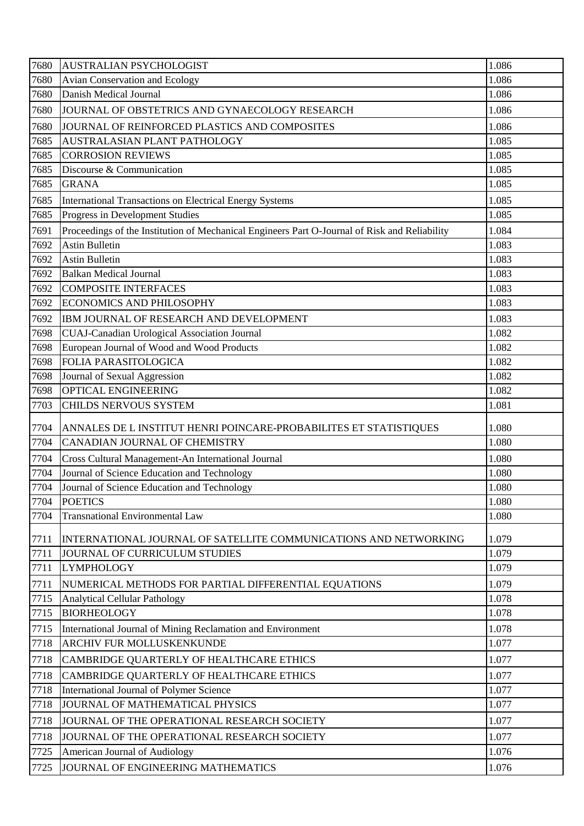| 7680 | <b>AUSTRALIAN PSYCHOLOGIST</b>                                                                | 1.086 |
|------|-----------------------------------------------------------------------------------------------|-------|
| 7680 | Avian Conservation and Ecology                                                                | 1.086 |
| 7680 | Danish Medical Journal                                                                        | 1.086 |
| 7680 | JOURNAL OF OBSTETRICS AND GYNAECOLOGY RESEARCH                                                | 1.086 |
| 7680 | JOURNAL OF REINFORCED PLASTICS AND COMPOSITES                                                 | 1.086 |
| 7685 | AUSTRALASIAN PLANT PATHOLOGY                                                                  | 1.085 |
| 7685 | <b>CORROSION REVIEWS</b>                                                                      | 1.085 |
| 7685 | Discourse & Communication                                                                     | 1.085 |
| 7685 | <b>GRANA</b>                                                                                  | 1.085 |
| 7685 | International Transactions on Electrical Energy Systems                                       | 1.085 |
| 7685 | Progress in Development Studies                                                               | 1.085 |
| 7691 | Proceedings of the Institution of Mechanical Engineers Part O-Journal of Risk and Reliability | 1.084 |
| 7692 | <b>Astin Bulletin</b>                                                                         | 1.083 |
| 7692 | <b>Astin Bulletin</b>                                                                         | 1.083 |
| 7692 | <b>Balkan Medical Journal</b>                                                                 | 1.083 |
| 7692 | <b>COMPOSITE INTERFACES</b>                                                                   | 1.083 |
| 7692 | <b>ECONOMICS AND PHILOSOPHY</b>                                                               | 1.083 |
| 7692 | IBM JOURNAL OF RESEARCH AND DEVELOPMENT                                                       | 1.083 |
| 7698 | CUAJ-Canadian Urological Association Journal                                                  | 1.082 |
| 7698 | European Journal of Wood and Wood Products                                                    | 1.082 |
| 7698 | FOLIA PARASITOLOGICA                                                                          | 1.082 |
| 7698 | Journal of Sexual Aggression                                                                  | 1.082 |
| 7698 | OPTICAL ENGINEERING                                                                           | 1.082 |
| 7703 | CHILDS NERVOUS SYSTEM                                                                         | 1.081 |
| 7704 | ANNALES DE L INSTITUT HENRI POINCARE-PROBABILITES ET STATISTIQUES                             | 1.080 |
| 7704 | CANADIAN JOURNAL OF CHEMISTRY                                                                 | 1.080 |
| 7704 | Cross Cultural Management-An International Journal                                            | 1.080 |
| 7704 | Journal of Science Education and Technology                                                   | 1.080 |
| 7704 | Journal of Science Education and Technology                                                   | 1.080 |
| 7704 | <b>POETICS</b>                                                                                | 1.080 |
| 7704 | <b>Transnational Environmental Law</b>                                                        | 1.080 |
| 7711 | INTERNATIONAL JOURNAL OF SATELLITE COMMUNICATIONS AND NETWORKING                              | 1.079 |
| 7711 | JOURNAL OF CURRICULUM STUDIES                                                                 | 1.079 |
| 7711 | <b>LYMPHOLOGY</b>                                                                             | 1.079 |
| 7711 | NUMERICAL METHODS FOR PARTIAL DIFFERENTIAL EQUATIONS                                          | 1.079 |
| 7715 | <b>Analytical Cellular Pathology</b>                                                          | 1.078 |
| 7715 | <b>BIORHEOLOGY</b>                                                                            | 1.078 |
| 7715 | International Journal of Mining Reclamation and Environment                                   | 1.078 |
| 7718 | ARCHIV FUR MOLLUSKENKUNDE                                                                     | 1.077 |
| 7718 | CAMBRIDGE QUARTERLY OF HEALTHCARE ETHICS                                                      | 1.077 |
| 7718 | CAMBRIDGE QUARTERLY OF HEALTHCARE ETHICS                                                      | 1.077 |
| 7718 | International Journal of Polymer Science                                                      | 1.077 |
| 7718 | JOURNAL OF MATHEMATICAL PHYSICS                                                               | 1.077 |
| 7718 | JOURNAL OF THE OPERATIONAL RESEARCH SOCIETY                                                   | 1.077 |
| 7718 | JOURNAL OF THE OPERATIONAL RESEARCH SOCIETY                                                   | 1.077 |
| 7725 | American Journal of Audiology                                                                 | 1.076 |
|      |                                                                                               |       |
| 7725 | JOURNAL OF ENGINEERING MATHEMATICS                                                            | 1.076 |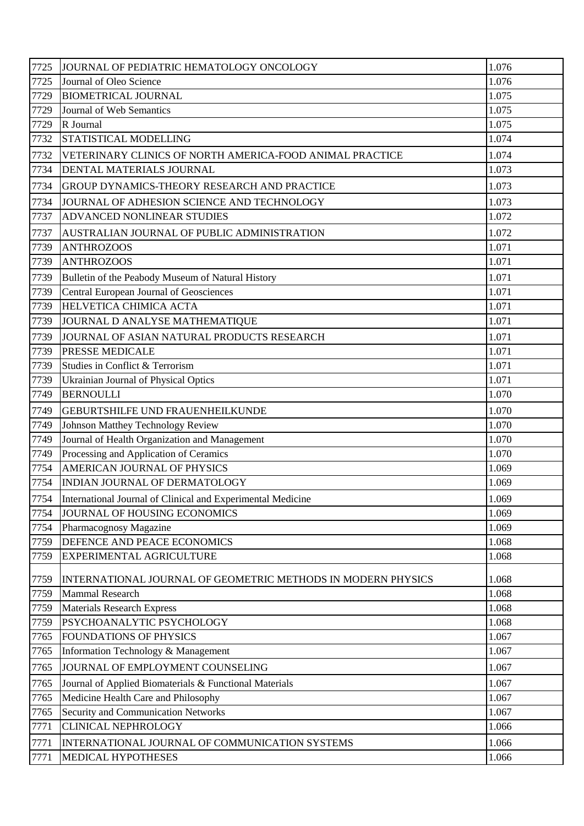| 7725 | JOURNAL OF PEDIATRIC HEMATOLOGY ONCOLOGY                     | 1.076 |
|------|--------------------------------------------------------------|-------|
| 7725 | Journal of Oleo Science                                      | 1.076 |
| 7729 | <b>BIOMETRICAL JOURNAL</b>                                   | 1.075 |
| 7729 | Journal of Web Semantics                                     | 1.075 |
| 7729 | R Journal                                                    | 1.075 |
| 7732 | STATISTICAL MODELLING                                        | 1.074 |
| 7732 | VETERINARY CLINICS OF NORTH AMERICA-FOOD ANIMAL PRACTICE     | 1.074 |
| 7734 | DENTAL MATERIALS JOURNAL                                     | 1.073 |
| 7734 | GROUP DYNAMICS-THEORY RESEARCH AND PRACTICE                  | 1.073 |
| 7734 | JOURNAL OF ADHESION SCIENCE AND TECHNOLOGY                   | 1.073 |
| 7737 | ADVANCED NONLINEAR STUDIES                                   | 1.072 |
| 7737 | AUSTRALIAN JOURNAL OF PUBLIC ADMINISTRATION                  | 1.072 |
| 7739 | <b>ANTHROZOOS</b>                                            | 1.071 |
| 7739 | <b>ANTHROZOOS</b>                                            | 1.071 |
| 7739 | Bulletin of the Peabody Museum of Natural History            | 1.071 |
| 7739 | Central European Journal of Geosciences                      | 1.071 |
| 7739 | HELVETICA CHIMICA ACTA                                       | 1.071 |
| 7739 | JOURNAL D ANALYSE MATHEMATIQUE                               | 1.071 |
| 7739 | JOURNAL OF ASIAN NATURAL PRODUCTS RESEARCH                   | 1.071 |
| 7739 | <b>PRESSE MEDICALE</b>                                       | 1.071 |
| 7739 | Studies in Conflict & Terrorism                              | 1.071 |
| 7739 | Ukrainian Journal of Physical Optics                         | 1.071 |
| 7749 | <b>BERNOULLI</b>                                             | 1.070 |
| 7749 | GEBURTSHILFE UND FRAUENHEILKUNDE                             | 1.070 |
| 7749 | Johnson Matthey Technology Review                            | 1.070 |
| 7749 | Journal of Health Organization and Management                | 1.070 |
| 7749 | Processing and Application of Ceramics                       | 1.070 |
| 7754 | AMERICAN JOURNAL OF PHYSICS                                  | 1.069 |
| 7754 | INDIAN JOURNAL OF DERMATOLOGY                                | 1.069 |
| 7754 | International Journal of Clinical and Experimental Medicine  | 1.069 |
| 7754 | JOURNAL OF HOUSING ECONOMICS                                 | 1.069 |
| 7754 | Pharmacognosy Magazine                                       | 1.069 |
| 7759 | DEFENCE AND PEACE ECONOMICS                                  | 1.068 |
| 7759 | EXPERIMENTAL AGRICULTURE                                     | 1.068 |
| 7759 | INTERNATIONAL JOURNAL OF GEOMETRIC METHODS IN MODERN PHYSICS | 1.068 |
| 7759 | <b>Mammal Research</b>                                       | 1.068 |
| 7759 | <b>Materials Research Express</b>                            | 1.068 |
| 7759 | PSYCHOANALYTIC PSYCHOLOGY                                    | 1.068 |
| 7765 | <b>FOUNDATIONS OF PHYSICS</b>                                | 1.067 |
| 7765 | Information Technology & Management                          | 1.067 |
| 7765 | JOURNAL OF EMPLOYMENT COUNSELING                             | 1.067 |
| 7765 | Journal of Applied Biomaterials & Functional Materials       | 1.067 |
| 7765 | Medicine Health Care and Philosophy                          | 1.067 |
| 7765 | <b>Security and Communication Networks</b>                   | 1.067 |
| 7771 | <b>CLINICAL NEPHROLOGY</b>                                   | 1.066 |
| 7771 | INTERNATIONAL JOURNAL OF COMMUNICATION SYSTEMS               | 1.066 |
| 7771 | MEDICAL HYPOTHESES                                           | 1.066 |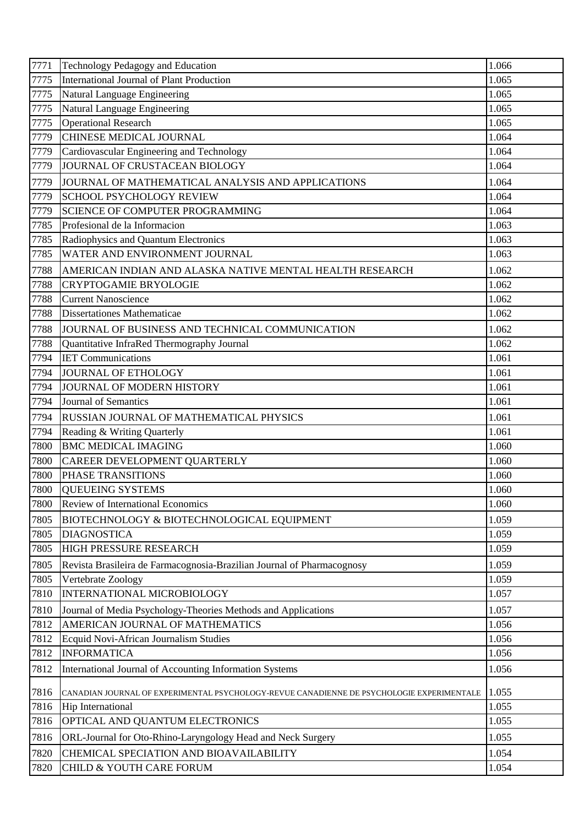| 7771 | Technology Pedagogy and Education                                                         | 1.066 |
|------|-------------------------------------------------------------------------------------------|-------|
| 7775 | International Journal of Plant Production                                                 | 1.065 |
| 7775 | Natural Language Engineering                                                              | 1.065 |
| 7775 | Natural Language Engineering                                                              | 1.065 |
| 7775 | <b>Operational Research</b>                                                               | 1.065 |
| 7779 | <b>CHINESE MEDICAL JOURNAL</b>                                                            | 1.064 |
| 7779 | Cardiovascular Engineering and Technology                                                 | 1.064 |
| 7779 | JOURNAL OF CRUSTACEAN BIOLOGY                                                             | 1.064 |
| 7779 | JOURNAL OF MATHEMATICAL ANALYSIS AND APPLICATIONS                                         | 1.064 |
| 7779 | <b>SCHOOL PSYCHOLOGY REVIEW</b>                                                           | 1.064 |
| 7779 | <b>SCIENCE OF COMPUTER PROGRAMMING</b>                                                    | 1.064 |
| 7785 | Profesional de la Informacion                                                             | 1.063 |
| 7785 | Radiophysics and Quantum Electronics                                                      | 1.063 |
| 7785 | WATER AND ENVIRONMENT JOURNAL                                                             | 1.063 |
| 7788 | AMERICAN INDIAN AND ALASKA NATIVE MENTAL HEALTH RESEARCH                                  | 1.062 |
| 7788 | <b>CRYPTOGAMIE BRYOLOGIE</b>                                                              | 1.062 |
| 7788 | <b>Current Nanoscience</b>                                                                | 1.062 |
| 7788 | <b>Dissertationes Mathematicae</b>                                                        | 1.062 |
| 7788 | JOURNAL OF BUSINESS AND TECHNICAL COMMUNICATION                                           | 1.062 |
| 7788 | Quantitative InfraRed Thermography Journal                                                | 1.062 |
| 7794 | <b>IET Communications</b>                                                                 | 1.061 |
| 7794 | JOURNAL OF ETHOLOGY                                                                       | 1.061 |
| 7794 | JOURNAL OF MODERN HISTORY                                                                 | 1.061 |
| 7794 | Journal of Semantics                                                                      | 1.061 |
| 7794 | <b>RUSSIAN JOURNAL OF MATHEMATICAL PHYSICS</b>                                            | 1.061 |
| 7794 | Reading & Writing Quarterly                                                               | 1.061 |
| 7800 | <b>BMC MEDICAL IMAGING</b>                                                                | 1.060 |
| 7800 | CAREER DEVELOPMENT QUARTERLY                                                              | 1.060 |
| 7800 | PHASE TRANSITIONS                                                                         | 1.060 |
| 7800 | <b>QUEUEING SYSTEMS</b>                                                                   | 1.060 |
| 7800 | <b>Review of International Economics</b>                                                  | 1.060 |
| 7805 | BIOTECHNOLOGY & BIOTECHNOLOGICAL EQUIPMENT                                                | 1.059 |
| 7805 | <b>DIAGNOSTICA</b>                                                                        | 1.059 |
| 7805 | HIGH PRESSURE RESEARCH                                                                    | 1.059 |
| 7805 | Revista Brasileira de Farmacognosia-Brazilian Journal of Pharmacognosy                    | 1.059 |
| 7805 | Vertebrate Zoology                                                                        | 1.059 |
| 7810 | INTERNATIONAL MICROBIOLOGY                                                                | 1.057 |
| 7810 | Journal of Media Psychology-Theories Methods and Applications                             | 1.057 |
| 7812 | AMERICAN JOURNAL OF MATHEMATICS                                                           | 1.056 |
| 7812 | Ecquid Novi-African Journalism Studies                                                    | 1.056 |
| 7812 | <b>INFORMATICA</b>                                                                        | 1.056 |
| 7812 | International Journal of Accounting Information Systems                                   | 1.056 |
| 7816 | CANADIAN JOURNAL OF EXPERIMENTAL PSYCHOLOGY-REVUE CANADIENNE DE PSYCHOLOGIE EXPERIMENTALE | 1.055 |
| 7816 | Hip International                                                                         | 1.055 |
| 7816 | OPTICAL AND QUANTUM ELECTRONICS                                                           | 1.055 |
| 7816 | ORL-Journal for Oto-Rhino-Laryngology Head and Neck Surgery                               | 1.055 |
| 7820 | CHEMICAL SPECIATION AND BIOAVAILABILITY                                                   | 1.054 |
| 7820 | CHILD & YOUTH CARE FORUM                                                                  | 1.054 |
|      |                                                                                           |       |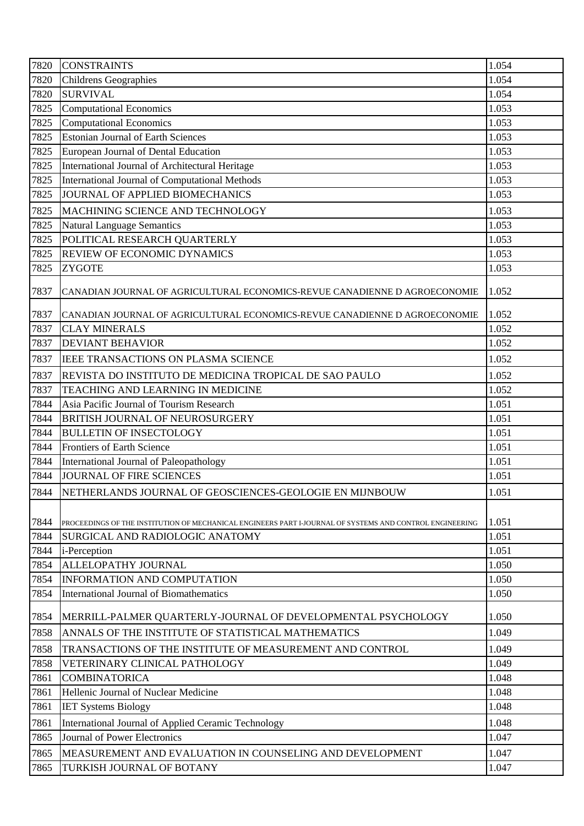| 7820 | <b>CONSTRAINTS</b>                                                                                       | 1.054 |
|------|----------------------------------------------------------------------------------------------------------|-------|
| 7820 | <b>Childrens Geographies</b>                                                                             | 1.054 |
| 7820 | <b>SURVIVAL</b>                                                                                          | 1.054 |
| 7825 | <b>Computational Economics</b>                                                                           | 1.053 |
| 7825 | <b>Computational Economics</b>                                                                           | 1.053 |
| 7825 | <b>Estonian Journal of Earth Sciences</b>                                                                | 1.053 |
| 7825 | European Journal of Dental Education                                                                     | 1.053 |
| 7825 | International Journal of Architectural Heritage                                                          | 1.053 |
| 7825 | International Journal of Computational Methods                                                           | 1.053 |
| 7825 | JOURNAL OF APPLIED BIOMECHANICS                                                                          | 1.053 |
| 7825 | MACHINING SCIENCE AND TECHNOLOGY                                                                         | 1.053 |
| 7825 | <b>Natural Language Semantics</b>                                                                        | 1.053 |
| 7825 | POLITICAL RESEARCH QUARTERLY                                                                             | 1.053 |
| 7825 | <b>REVIEW OF ECONOMIC DYNAMICS</b>                                                                       | 1.053 |
| 7825 | <b>ZYGOTE</b>                                                                                            | 1.053 |
| 7837 | CANADIAN JOURNAL OF AGRICULTURAL ECONOMICS-REVUE CANADIENNE D AGROECONOMIE                               | 1.052 |
| 7837 | CANADIAN JOURNAL OF AGRICULTURAL ECONOMICS-REVUE CANADIENNE D AGROECONOMIE                               | 1.052 |
| 7837 | <b>CLAY MINERALS</b>                                                                                     | 1.052 |
| 7837 | <b>DEVIANT BEHAVIOR</b>                                                                                  | 1.052 |
| 7837 | IEEE TRANSACTIONS ON PLASMA SCIENCE                                                                      | 1.052 |
| 7837 | REVISTA DO INSTITUTO DE MEDICINA TROPICAL DE SAO PAULO                                                   | 1.052 |
| 7837 | TEACHING AND LEARNING IN MEDICINE                                                                        | 1.052 |
| 7844 | Asia Pacific Journal of Tourism Research                                                                 | 1.051 |
| 7844 | BRITISH JOURNAL OF NEUROSURGERY                                                                          | 1.051 |
| 7844 | <b>BULLETIN OF INSECTOLOGY</b>                                                                           | 1.051 |
| 7844 | <b>Frontiers of Earth Science</b>                                                                        | 1.051 |
| 7844 | International Journal of Paleopathology                                                                  | 1.051 |
| 7844 | <b>JOURNAL OF FIRE SCIENCES</b>                                                                          | 1.051 |
| 7844 | NETHERLANDS JOURNAL OF GEOSCIENCES-GEOLOGIE EN MIJNBOUW                                                  | 1.051 |
| 7844 | PROCEEDINGS OF THE INSTITUTION OF MECHANICAL ENGINEERS PART I-JOURNAL OF SYSTEMS AND CONTROL ENGINEERING | 1.051 |
| 7844 | SURGICAL AND RADIOLOGIC ANATOMY                                                                          | 1.051 |
| 7844 | i-Perception                                                                                             | 1.051 |
| 7854 | ALLELOPATHY JOURNAL                                                                                      | 1.050 |
| 7854 | <b>INFORMATION AND COMPUTATION</b>                                                                       | 1.050 |
| 7854 | International Journal of Biomathematics                                                                  | 1.050 |
| 7854 | MERRILL-PALMER QUARTERLY-JOURNAL OF DEVELOPMENTAL PSYCHOLOGY                                             | 1.050 |
| 7858 | ANNALS OF THE INSTITUTE OF STATISTICAL MATHEMATICS                                                       | 1.049 |
| 7858 | TRANSACTIONS OF THE INSTITUTE OF MEASUREMENT AND CONTROL                                                 | 1.049 |
| 7858 | VETERINARY CLINICAL PATHOLOGY                                                                            | 1.049 |
| 7861 | <b>COMBINATORICA</b>                                                                                     | 1.048 |
| 7861 | Hellenic Journal of Nuclear Medicine                                                                     | 1.048 |
| 7861 | <b>IET Systems Biology</b>                                                                               | 1.048 |
| 7861 | International Journal of Applied Ceramic Technology                                                      | 1.048 |
| 7865 | <b>Journal of Power Electronics</b>                                                                      | 1.047 |
| 7865 | MEASUREMENT AND EVALUATION IN COUNSELING AND DEVELOPMENT                                                 | 1.047 |
| 7865 | TURKISH JOURNAL OF BOTANY                                                                                | 1.047 |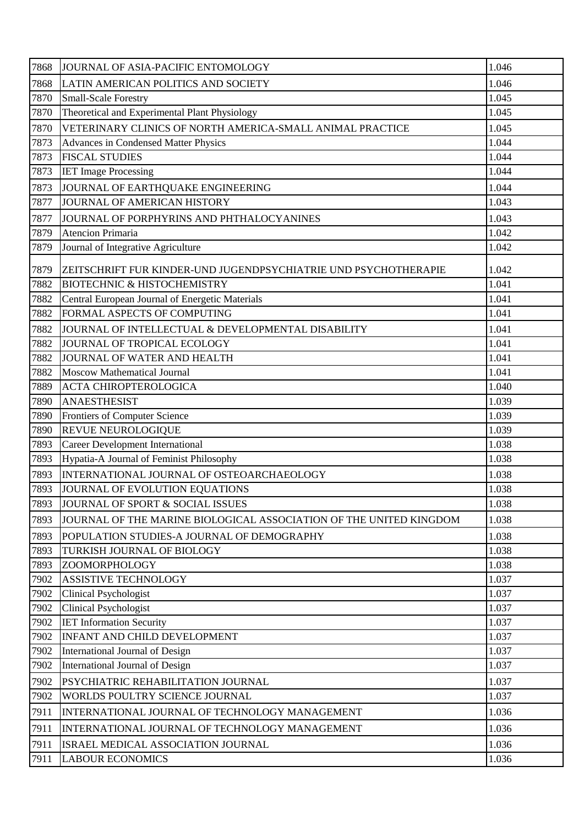| 7868<br>1.046<br>LATIN AMERICAN POLITICS AND SOCIETY<br>7870<br>1.045<br><b>Small-Scale Forestry</b><br>Theoretical and Experimental Plant Physiology<br>7870<br>1.045<br>7870<br>VETERINARY CLINICS OF NORTH AMERICA-SMALL ANIMAL PRACTICE<br>1.045<br>7873<br>1.044<br>Advances in Condensed Matter Physics<br>7873<br><b>FISCAL STUDIES</b><br>1.044<br>1.044<br>7873<br><b>IET Image Processing</b><br>1.044<br>7873<br>JOURNAL OF EARTHQUAKE ENGINEERING<br>7877<br>JOURNAL OF AMERICAN HISTORY<br>1.043<br>1.043<br>7877<br>JOURNAL OF PORPHYRINS AND PHTHALOCYANINES<br>7879<br>Atencion Primaria<br>1.042<br>7879<br>Journal of Integrative Agriculture<br>1.042<br>7879<br>ZEITSCHRIFT FUR KINDER-UND JUGENDPSYCHIATRIE UND PSYCHOTHERAPIE<br>1.042<br>1.041<br>7882<br><b>BIOTECHNIC &amp; HISTOCHEMISTRY</b><br>7882<br>Central European Journal of Energetic Materials<br>1.041<br>FORMAL ASPECTS OF COMPUTING<br>7882<br>1.041<br>7882<br>1.041<br>JOURNAL OF INTELLECTUAL & DEVELOPMENTAL DISABILITY<br>7882<br>1.041<br>JOURNAL OF TROPICAL ECOLOGY<br>7882<br>1.041<br>JOURNAL OF WATER AND HEALTH<br>7882<br>1.041<br><b>Moscow Mathematical Journal</b><br>7889<br>1.040<br><b>ACTA CHIROPTEROLOGICA</b><br>7890<br><b>ANAESTHESIST</b><br>1.039<br>7890<br>Frontiers of Computer Science<br>1.039<br>REVUE NEUROLOGIQUE<br>7890<br>1.039<br><b>Career Development International</b><br>1.038<br>7893<br>Hypatia-A Journal of Feminist Philosophy<br>7893<br>1.038<br>INTERNATIONAL JOURNAL OF OSTEOARCHAEOLOGY<br>7893<br>1.038<br>7893<br>JOURNAL OF EVOLUTION EQUATIONS<br>1.038<br>7893<br>JOURNAL OF SPORT & SOCIAL ISSUES<br>1.038<br>7893<br>JOURNAL OF THE MARINE BIOLOGICAL ASSOCIATION OF THE UNITED KINGDOM<br>1.038<br>1.038<br>7893<br>POPULATION STUDIES-A JOURNAL OF DEMOGRAPHY<br>7893<br>1.038<br>TURKISH JOURNAL OF BIOLOGY<br>7893<br>ZOOMORPHOLOGY<br>1.038<br>7902<br>1.037<br>ASSISTIVE TECHNOLOGY<br>7902<br><b>Clinical Psychologist</b><br>1.037<br>7902<br><b>Clinical Psychologist</b><br>1.037<br>1.037<br>7902<br><b>IET Information Security</b><br>7902<br>INFANT AND CHILD DEVELOPMENT<br>1.037<br>7902<br>1.037<br>International Journal of Design<br>International Journal of Design<br>7902<br>1.037<br>1.037<br>7902<br>PSYCHIATRIC REHABILITATION JOURNAL<br>1.037<br>7902<br>WORLDS POULTRY SCIENCE JOURNAL<br>7911<br>1.036<br>INTERNATIONAL JOURNAL OF TECHNOLOGY MANAGEMENT<br>1.036<br>7911<br>INTERNATIONAL JOURNAL OF TECHNOLOGY MANAGEMENT<br>1.036<br>7911<br>ISRAEL MEDICAL ASSOCIATION JOURNAL<br>1.036<br>7911<br><b>LABOUR ECONOMICS</b> | 7868 | JOURNAL OF ASIA-PACIFIC ENTOMOLOGY | 1.046 |
|--------------------------------------------------------------------------------------------------------------------------------------------------------------------------------------------------------------------------------------------------------------------------------------------------------------------------------------------------------------------------------------------------------------------------------------------------------------------------------------------------------------------------------------------------------------------------------------------------------------------------------------------------------------------------------------------------------------------------------------------------------------------------------------------------------------------------------------------------------------------------------------------------------------------------------------------------------------------------------------------------------------------------------------------------------------------------------------------------------------------------------------------------------------------------------------------------------------------------------------------------------------------------------------------------------------------------------------------------------------------------------------------------------------------------------------------------------------------------------------------------------------------------------------------------------------------------------------------------------------------------------------------------------------------------------------------------------------------------------------------------------------------------------------------------------------------------------------------------------------------------------------------------------------------------------------------------------------------------------------------------------------------------------------------------------------------------------------------------------------------------------------------------------------------------------------------------------------------------------------------------------------------------------------------------------------------------------------------------------------------------------------------------------------------------------------------------------------------------------------------------------------------------------------------------------------------------------------------------------------|------|------------------------------------|-------|
|                                                                                                                                                                                                                                                                                                                                                                                                                                                                                                                                                                                                                                                                                                                                                                                                                                                                                                                                                                                                                                                                                                                                                                                                                                                                                                                                                                                                                                                                                                                                                                                                                                                                                                                                                                                                                                                                                                                                                                                                                                                                                                                                                                                                                                                                                                                                                                                                                                                                                                                                                                                                              |      |                                    |       |
|                                                                                                                                                                                                                                                                                                                                                                                                                                                                                                                                                                                                                                                                                                                                                                                                                                                                                                                                                                                                                                                                                                                                                                                                                                                                                                                                                                                                                                                                                                                                                                                                                                                                                                                                                                                                                                                                                                                                                                                                                                                                                                                                                                                                                                                                                                                                                                                                                                                                                                                                                                                                              |      |                                    |       |
|                                                                                                                                                                                                                                                                                                                                                                                                                                                                                                                                                                                                                                                                                                                                                                                                                                                                                                                                                                                                                                                                                                                                                                                                                                                                                                                                                                                                                                                                                                                                                                                                                                                                                                                                                                                                                                                                                                                                                                                                                                                                                                                                                                                                                                                                                                                                                                                                                                                                                                                                                                                                              |      |                                    |       |
|                                                                                                                                                                                                                                                                                                                                                                                                                                                                                                                                                                                                                                                                                                                                                                                                                                                                                                                                                                                                                                                                                                                                                                                                                                                                                                                                                                                                                                                                                                                                                                                                                                                                                                                                                                                                                                                                                                                                                                                                                                                                                                                                                                                                                                                                                                                                                                                                                                                                                                                                                                                                              |      |                                    |       |
|                                                                                                                                                                                                                                                                                                                                                                                                                                                                                                                                                                                                                                                                                                                                                                                                                                                                                                                                                                                                                                                                                                                                                                                                                                                                                                                                                                                                                                                                                                                                                                                                                                                                                                                                                                                                                                                                                                                                                                                                                                                                                                                                                                                                                                                                                                                                                                                                                                                                                                                                                                                                              |      |                                    |       |
|                                                                                                                                                                                                                                                                                                                                                                                                                                                                                                                                                                                                                                                                                                                                                                                                                                                                                                                                                                                                                                                                                                                                                                                                                                                                                                                                                                                                                                                                                                                                                                                                                                                                                                                                                                                                                                                                                                                                                                                                                                                                                                                                                                                                                                                                                                                                                                                                                                                                                                                                                                                                              |      |                                    |       |
|                                                                                                                                                                                                                                                                                                                                                                                                                                                                                                                                                                                                                                                                                                                                                                                                                                                                                                                                                                                                                                                                                                                                                                                                                                                                                                                                                                                                                                                                                                                                                                                                                                                                                                                                                                                                                                                                                                                                                                                                                                                                                                                                                                                                                                                                                                                                                                                                                                                                                                                                                                                                              |      |                                    |       |
|                                                                                                                                                                                                                                                                                                                                                                                                                                                                                                                                                                                                                                                                                                                                                                                                                                                                                                                                                                                                                                                                                                                                                                                                                                                                                                                                                                                                                                                                                                                                                                                                                                                                                                                                                                                                                                                                                                                                                                                                                                                                                                                                                                                                                                                                                                                                                                                                                                                                                                                                                                                                              |      |                                    |       |
|                                                                                                                                                                                                                                                                                                                                                                                                                                                                                                                                                                                                                                                                                                                                                                                                                                                                                                                                                                                                                                                                                                                                                                                                                                                                                                                                                                                                                                                                                                                                                                                                                                                                                                                                                                                                                                                                                                                                                                                                                                                                                                                                                                                                                                                                                                                                                                                                                                                                                                                                                                                                              |      |                                    |       |
|                                                                                                                                                                                                                                                                                                                                                                                                                                                                                                                                                                                                                                                                                                                                                                                                                                                                                                                                                                                                                                                                                                                                                                                                                                                                                                                                                                                                                                                                                                                                                                                                                                                                                                                                                                                                                                                                                                                                                                                                                                                                                                                                                                                                                                                                                                                                                                                                                                                                                                                                                                                                              |      |                                    |       |
|                                                                                                                                                                                                                                                                                                                                                                                                                                                                                                                                                                                                                                                                                                                                                                                                                                                                                                                                                                                                                                                                                                                                                                                                                                                                                                                                                                                                                                                                                                                                                                                                                                                                                                                                                                                                                                                                                                                                                                                                                                                                                                                                                                                                                                                                                                                                                                                                                                                                                                                                                                                                              |      |                                    |       |
|                                                                                                                                                                                                                                                                                                                                                                                                                                                                                                                                                                                                                                                                                                                                                                                                                                                                                                                                                                                                                                                                                                                                                                                                                                                                                                                                                                                                                                                                                                                                                                                                                                                                                                                                                                                                                                                                                                                                                                                                                                                                                                                                                                                                                                                                                                                                                                                                                                                                                                                                                                                                              |      |                                    |       |
|                                                                                                                                                                                                                                                                                                                                                                                                                                                                                                                                                                                                                                                                                                                                                                                                                                                                                                                                                                                                                                                                                                                                                                                                                                                                                                                                                                                                                                                                                                                                                                                                                                                                                                                                                                                                                                                                                                                                                                                                                                                                                                                                                                                                                                                                                                                                                                                                                                                                                                                                                                                                              |      |                                    |       |
|                                                                                                                                                                                                                                                                                                                                                                                                                                                                                                                                                                                                                                                                                                                                                                                                                                                                                                                                                                                                                                                                                                                                                                                                                                                                                                                                                                                                                                                                                                                                                                                                                                                                                                                                                                                                                                                                                                                                                                                                                                                                                                                                                                                                                                                                                                                                                                                                                                                                                                                                                                                                              |      |                                    |       |
|                                                                                                                                                                                                                                                                                                                                                                                                                                                                                                                                                                                                                                                                                                                                                                                                                                                                                                                                                                                                                                                                                                                                                                                                                                                                                                                                                                                                                                                                                                                                                                                                                                                                                                                                                                                                                                                                                                                                                                                                                                                                                                                                                                                                                                                                                                                                                                                                                                                                                                                                                                                                              |      |                                    |       |
|                                                                                                                                                                                                                                                                                                                                                                                                                                                                                                                                                                                                                                                                                                                                                                                                                                                                                                                                                                                                                                                                                                                                                                                                                                                                                                                                                                                                                                                                                                                                                                                                                                                                                                                                                                                                                                                                                                                                                                                                                                                                                                                                                                                                                                                                                                                                                                                                                                                                                                                                                                                                              |      |                                    |       |
|                                                                                                                                                                                                                                                                                                                                                                                                                                                                                                                                                                                                                                                                                                                                                                                                                                                                                                                                                                                                                                                                                                                                                                                                                                                                                                                                                                                                                                                                                                                                                                                                                                                                                                                                                                                                                                                                                                                                                                                                                                                                                                                                                                                                                                                                                                                                                                                                                                                                                                                                                                                                              |      |                                    |       |
|                                                                                                                                                                                                                                                                                                                                                                                                                                                                                                                                                                                                                                                                                                                                                                                                                                                                                                                                                                                                                                                                                                                                                                                                                                                                                                                                                                                                                                                                                                                                                                                                                                                                                                                                                                                                                                                                                                                                                                                                                                                                                                                                                                                                                                                                                                                                                                                                                                                                                                                                                                                                              |      |                                    |       |
|                                                                                                                                                                                                                                                                                                                                                                                                                                                                                                                                                                                                                                                                                                                                                                                                                                                                                                                                                                                                                                                                                                                                                                                                                                                                                                                                                                                                                                                                                                                                                                                                                                                                                                                                                                                                                                                                                                                                                                                                                                                                                                                                                                                                                                                                                                                                                                                                                                                                                                                                                                                                              |      |                                    |       |
|                                                                                                                                                                                                                                                                                                                                                                                                                                                                                                                                                                                                                                                                                                                                                                                                                                                                                                                                                                                                                                                                                                                                                                                                                                                                                                                                                                                                                                                                                                                                                                                                                                                                                                                                                                                                                                                                                                                                                                                                                                                                                                                                                                                                                                                                                                                                                                                                                                                                                                                                                                                                              |      |                                    |       |
|                                                                                                                                                                                                                                                                                                                                                                                                                                                                                                                                                                                                                                                                                                                                                                                                                                                                                                                                                                                                                                                                                                                                                                                                                                                                                                                                                                                                                                                                                                                                                                                                                                                                                                                                                                                                                                                                                                                                                                                                                                                                                                                                                                                                                                                                                                                                                                                                                                                                                                                                                                                                              |      |                                    |       |
|                                                                                                                                                                                                                                                                                                                                                                                                                                                                                                                                                                                                                                                                                                                                                                                                                                                                                                                                                                                                                                                                                                                                                                                                                                                                                                                                                                                                                                                                                                                                                                                                                                                                                                                                                                                                                                                                                                                                                                                                                                                                                                                                                                                                                                                                                                                                                                                                                                                                                                                                                                                                              |      |                                    |       |
|                                                                                                                                                                                                                                                                                                                                                                                                                                                                                                                                                                                                                                                                                                                                                                                                                                                                                                                                                                                                                                                                                                                                                                                                                                                                                                                                                                                                                                                                                                                                                                                                                                                                                                                                                                                                                                                                                                                                                                                                                                                                                                                                                                                                                                                                                                                                                                                                                                                                                                                                                                                                              |      |                                    |       |
|                                                                                                                                                                                                                                                                                                                                                                                                                                                                                                                                                                                                                                                                                                                                                                                                                                                                                                                                                                                                                                                                                                                                                                                                                                                                                                                                                                                                                                                                                                                                                                                                                                                                                                                                                                                                                                                                                                                                                                                                                                                                                                                                                                                                                                                                                                                                                                                                                                                                                                                                                                                                              |      |                                    |       |
|                                                                                                                                                                                                                                                                                                                                                                                                                                                                                                                                                                                                                                                                                                                                                                                                                                                                                                                                                                                                                                                                                                                                                                                                                                                                                                                                                                                                                                                                                                                                                                                                                                                                                                                                                                                                                                                                                                                                                                                                                                                                                                                                                                                                                                                                                                                                                                                                                                                                                                                                                                                                              |      |                                    |       |
|                                                                                                                                                                                                                                                                                                                                                                                                                                                                                                                                                                                                                                                                                                                                                                                                                                                                                                                                                                                                                                                                                                                                                                                                                                                                                                                                                                                                                                                                                                                                                                                                                                                                                                                                                                                                                                                                                                                                                                                                                                                                                                                                                                                                                                                                                                                                                                                                                                                                                                                                                                                                              |      |                                    |       |
|                                                                                                                                                                                                                                                                                                                                                                                                                                                                                                                                                                                                                                                                                                                                                                                                                                                                                                                                                                                                                                                                                                                                                                                                                                                                                                                                                                                                                                                                                                                                                                                                                                                                                                                                                                                                                                                                                                                                                                                                                                                                                                                                                                                                                                                                                                                                                                                                                                                                                                                                                                                                              |      |                                    |       |
|                                                                                                                                                                                                                                                                                                                                                                                                                                                                                                                                                                                                                                                                                                                                                                                                                                                                                                                                                                                                                                                                                                                                                                                                                                                                                                                                                                                                                                                                                                                                                                                                                                                                                                                                                                                                                                                                                                                                                                                                                                                                                                                                                                                                                                                                                                                                                                                                                                                                                                                                                                                                              |      |                                    |       |
|                                                                                                                                                                                                                                                                                                                                                                                                                                                                                                                                                                                                                                                                                                                                                                                                                                                                                                                                                                                                                                                                                                                                                                                                                                                                                                                                                                                                                                                                                                                                                                                                                                                                                                                                                                                                                                                                                                                                                                                                                                                                                                                                                                                                                                                                                                                                                                                                                                                                                                                                                                                                              |      |                                    |       |
|                                                                                                                                                                                                                                                                                                                                                                                                                                                                                                                                                                                                                                                                                                                                                                                                                                                                                                                                                                                                                                                                                                                                                                                                                                                                                                                                                                                                                                                                                                                                                                                                                                                                                                                                                                                                                                                                                                                                                                                                                                                                                                                                                                                                                                                                                                                                                                                                                                                                                                                                                                                                              |      |                                    |       |
|                                                                                                                                                                                                                                                                                                                                                                                                                                                                                                                                                                                                                                                                                                                                                                                                                                                                                                                                                                                                                                                                                                                                                                                                                                                                                                                                                                                                                                                                                                                                                                                                                                                                                                                                                                                                                                                                                                                                                                                                                                                                                                                                                                                                                                                                                                                                                                                                                                                                                                                                                                                                              |      |                                    |       |
|                                                                                                                                                                                                                                                                                                                                                                                                                                                                                                                                                                                                                                                                                                                                                                                                                                                                                                                                                                                                                                                                                                                                                                                                                                                                                                                                                                                                                                                                                                                                                                                                                                                                                                                                                                                                                                                                                                                                                                                                                                                                                                                                                                                                                                                                                                                                                                                                                                                                                                                                                                                                              |      |                                    |       |
|                                                                                                                                                                                                                                                                                                                                                                                                                                                                                                                                                                                                                                                                                                                                                                                                                                                                                                                                                                                                                                                                                                                                                                                                                                                                                                                                                                                                                                                                                                                                                                                                                                                                                                                                                                                                                                                                                                                                                                                                                                                                                                                                                                                                                                                                                                                                                                                                                                                                                                                                                                                                              |      |                                    |       |
|                                                                                                                                                                                                                                                                                                                                                                                                                                                                                                                                                                                                                                                                                                                                                                                                                                                                                                                                                                                                                                                                                                                                                                                                                                                                                                                                                                                                                                                                                                                                                                                                                                                                                                                                                                                                                                                                                                                                                                                                                                                                                                                                                                                                                                                                                                                                                                                                                                                                                                                                                                                                              |      |                                    |       |
|                                                                                                                                                                                                                                                                                                                                                                                                                                                                                                                                                                                                                                                                                                                                                                                                                                                                                                                                                                                                                                                                                                                                                                                                                                                                                                                                                                                                                                                                                                                                                                                                                                                                                                                                                                                                                                                                                                                                                                                                                                                                                                                                                                                                                                                                                                                                                                                                                                                                                                                                                                                                              |      |                                    |       |
|                                                                                                                                                                                                                                                                                                                                                                                                                                                                                                                                                                                                                                                                                                                                                                                                                                                                                                                                                                                                                                                                                                                                                                                                                                                                                                                                                                                                                                                                                                                                                                                                                                                                                                                                                                                                                                                                                                                                                                                                                                                                                                                                                                                                                                                                                                                                                                                                                                                                                                                                                                                                              |      |                                    |       |
|                                                                                                                                                                                                                                                                                                                                                                                                                                                                                                                                                                                                                                                                                                                                                                                                                                                                                                                                                                                                                                                                                                                                                                                                                                                                                                                                                                                                                                                                                                                                                                                                                                                                                                                                                                                                                                                                                                                                                                                                                                                                                                                                                                                                                                                                                                                                                                                                                                                                                                                                                                                                              |      |                                    |       |
|                                                                                                                                                                                                                                                                                                                                                                                                                                                                                                                                                                                                                                                                                                                                                                                                                                                                                                                                                                                                                                                                                                                                                                                                                                                                                                                                                                                                                                                                                                                                                                                                                                                                                                                                                                                                                                                                                                                                                                                                                                                                                                                                                                                                                                                                                                                                                                                                                                                                                                                                                                                                              |      |                                    |       |
|                                                                                                                                                                                                                                                                                                                                                                                                                                                                                                                                                                                                                                                                                                                                                                                                                                                                                                                                                                                                                                                                                                                                                                                                                                                                                                                                                                                                                                                                                                                                                                                                                                                                                                                                                                                                                                                                                                                                                                                                                                                                                                                                                                                                                                                                                                                                                                                                                                                                                                                                                                                                              |      |                                    |       |
|                                                                                                                                                                                                                                                                                                                                                                                                                                                                                                                                                                                                                                                                                                                                                                                                                                                                                                                                                                                                                                                                                                                                                                                                                                                                                                                                                                                                                                                                                                                                                                                                                                                                                                                                                                                                                                                                                                                                                                                                                                                                                                                                                                                                                                                                                                                                                                                                                                                                                                                                                                                                              |      |                                    |       |
|                                                                                                                                                                                                                                                                                                                                                                                                                                                                                                                                                                                                                                                                                                                                                                                                                                                                                                                                                                                                                                                                                                                                                                                                                                                                                                                                                                                                                                                                                                                                                                                                                                                                                                                                                                                                                                                                                                                                                                                                                                                                                                                                                                                                                                                                                                                                                                                                                                                                                                                                                                                                              |      |                                    |       |
|                                                                                                                                                                                                                                                                                                                                                                                                                                                                                                                                                                                                                                                                                                                                                                                                                                                                                                                                                                                                                                                                                                                                                                                                                                                                                                                                                                                                                                                                                                                                                                                                                                                                                                                                                                                                                                                                                                                                                                                                                                                                                                                                                                                                                                                                                                                                                                                                                                                                                                                                                                                                              |      |                                    |       |
|                                                                                                                                                                                                                                                                                                                                                                                                                                                                                                                                                                                                                                                                                                                                                                                                                                                                                                                                                                                                                                                                                                                                                                                                                                                                                                                                                                                                                                                                                                                                                                                                                                                                                                                                                                                                                                                                                                                                                                                                                                                                                                                                                                                                                                                                                                                                                                                                                                                                                                                                                                                                              |      |                                    |       |
|                                                                                                                                                                                                                                                                                                                                                                                                                                                                                                                                                                                                                                                                                                                                                                                                                                                                                                                                                                                                                                                                                                                                                                                                                                                                                                                                                                                                                                                                                                                                                                                                                                                                                                                                                                                                                                                                                                                                                                                                                                                                                                                                                                                                                                                                                                                                                                                                                                                                                                                                                                                                              |      |                                    |       |
|                                                                                                                                                                                                                                                                                                                                                                                                                                                                                                                                                                                                                                                                                                                                                                                                                                                                                                                                                                                                                                                                                                                                                                                                                                                                                                                                                                                                                                                                                                                                                                                                                                                                                                                                                                                                                                                                                                                                                                                                                                                                                                                                                                                                                                                                                                                                                                                                                                                                                                                                                                                                              |      |                                    |       |
|                                                                                                                                                                                                                                                                                                                                                                                                                                                                                                                                                                                                                                                                                                                                                                                                                                                                                                                                                                                                                                                                                                                                                                                                                                                                                                                                                                                                                                                                                                                                                                                                                                                                                                                                                                                                                                                                                                                                                                                                                                                                                                                                                                                                                                                                                                                                                                                                                                                                                                                                                                                                              |      |                                    |       |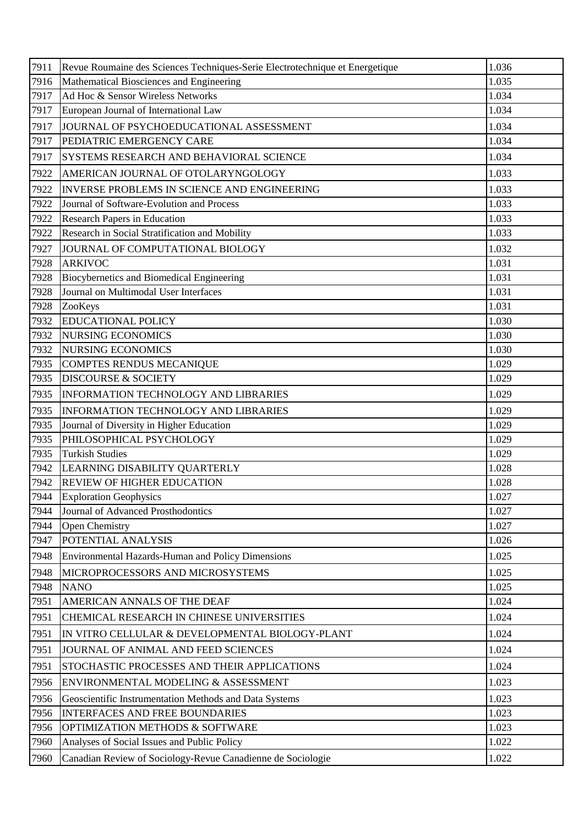| 7911 | Revue Roumaine des Sciences Techniques-Serie Electrotechnique et Energetique | 1.036 |
|------|------------------------------------------------------------------------------|-------|
| 7916 | Mathematical Biosciences and Engineering                                     | 1.035 |
| 7917 | Ad Hoc & Sensor Wireless Networks                                            | 1.034 |
| 7917 | European Journal of International Law                                        | 1.034 |
| 7917 | JOURNAL OF PSYCHOEDUCATIONAL ASSESSMENT                                      | 1.034 |
| 7917 | PEDIATRIC EMERGENCY CARE                                                     | 1.034 |
| 7917 | SYSTEMS RESEARCH AND BEHAVIORAL SCIENCE                                      | 1.034 |
| 7922 | AMERICAN JOURNAL OF OTOLARYNGOLOGY                                           | 1.033 |
| 7922 | INVERSE PROBLEMS IN SCIENCE AND ENGINEERING                                  | 1.033 |
| 7922 | Journal of Software-Evolution and Process                                    | 1.033 |
| 7922 | <b>Research Papers in Education</b>                                          | 1.033 |
| 7922 | Research in Social Stratification and Mobility                               | 1.033 |
| 7927 | JOURNAL OF COMPUTATIONAL BIOLOGY                                             | 1.032 |
| 7928 | <b>ARKIVOC</b>                                                               | 1.031 |
| 7928 | Biocybernetics and Biomedical Engineering                                    | 1.031 |
| 7928 | Journal on Multimodal User Interfaces                                        | 1.031 |
| 7928 | ZooKeys                                                                      | 1.031 |
| 7932 | <b>EDUCATIONAL POLICY</b>                                                    | 1.030 |
| 7932 | <b>NURSING ECONOMICS</b>                                                     | 1.030 |
| 7932 | <b>NURSING ECONOMICS</b>                                                     | 1.030 |
| 7935 | <b>COMPTES RENDUS MECANIQUE</b>                                              | 1.029 |
| 7935 | <b>DISCOURSE &amp; SOCIETY</b>                                               | 1.029 |
| 7935 | INFORMATION TECHNOLOGY AND LIBRARIES                                         | 1.029 |
| 7935 | INFORMATION TECHNOLOGY AND LIBRARIES                                         | 1.029 |
| 7935 | Journal of Diversity in Higher Education                                     | 1.029 |
| 7935 | PHILOSOPHICAL PSYCHOLOGY                                                     | 1.029 |
| 7935 | <b>Turkish Studies</b>                                                       | 1.029 |
| 7942 | LEARNING DISABILITY QUARTERLY                                                | 1.028 |
| 7942 | <b>REVIEW OF HIGHER EDUCATION</b>                                            | 1.028 |
| 7944 | <b>Exploration Geophysics</b>                                                | 1.027 |
| 7944 | Journal of Advanced Prosthodontics                                           | 1.027 |
| 7944 | Open Chemistry                                                               | 1.027 |
| 7947 | POTENTIAL ANALYSIS                                                           | 1.026 |
| 7948 | <b>Environmental Hazards-Human and Policy Dimensions</b>                     | 1.025 |
| 7948 | MICROPROCESSORS AND MICROSYSTEMS                                             | 1.025 |
| 7948 | <b>NANO</b>                                                                  | 1.025 |
| 7951 | AMERICAN ANNALS OF THE DEAF                                                  | 1.024 |
| 7951 | CHEMICAL RESEARCH IN CHINESE UNIVERSITIES                                    | 1.024 |
| 7951 | IN VITRO CELLULAR & DEVELOPMENTAL BIOLOGY-PLANT                              | 1.024 |
| 7951 | JOURNAL OF ANIMAL AND FEED SCIENCES                                          | 1.024 |
| 7951 | STOCHASTIC PROCESSES AND THEIR APPLICATIONS                                  | 1.024 |
| 7956 | ENVIRONMENTAL MODELING & ASSESSMENT                                          | 1.023 |
| 7956 | Geoscientific Instrumentation Methods and Data Systems                       | 1.023 |
| 7956 | <b>INTERFACES AND FREE BOUNDARIES</b>                                        | 1.023 |
| 7956 | OPTIMIZATION METHODS & SOFTWARE                                              | 1.023 |
| 7960 | Analyses of Social Issues and Public Policy                                  | 1.022 |
| 7960 | Canadian Review of Sociology-Revue Canadienne de Sociologie                  | 1.022 |
|      |                                                                              |       |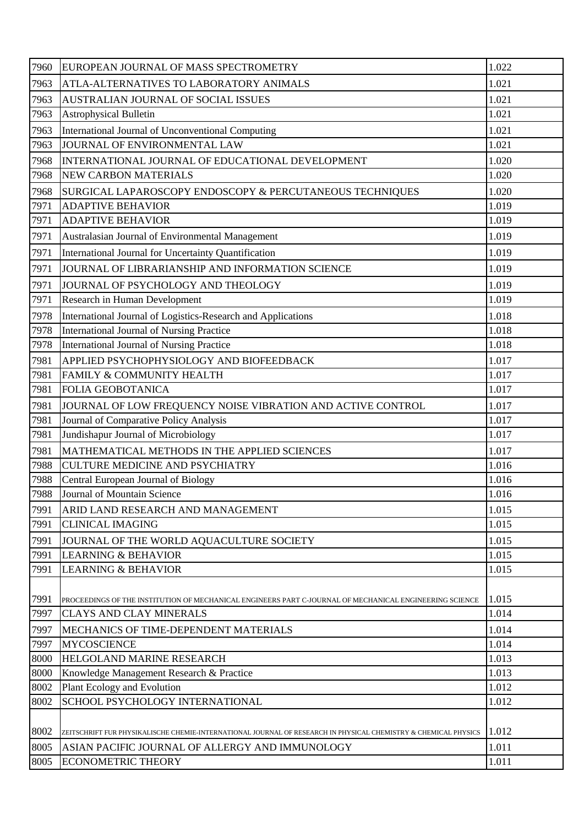| 7960 | EUROPEAN JOURNAL OF MASS SPECTROMETRY                                                                           | 1.022 |
|------|-----------------------------------------------------------------------------------------------------------------|-------|
| 7963 | ATLA-ALTERNATIVES TO LABORATORY ANIMALS                                                                         | 1.021 |
| 7963 | AUSTRALIAN JOURNAL OF SOCIAL ISSUES                                                                             | 1.021 |
| 7963 | <b>Astrophysical Bulletin</b>                                                                                   | 1.021 |
| 7963 | International Journal of Unconventional Computing                                                               | 1.021 |
| 7963 | JOURNAL OF ENVIRONMENTAL LAW                                                                                    | 1.021 |
| 7968 | INTERNATIONAL JOURNAL OF EDUCATIONAL DEVELOPMENT                                                                | 1.020 |
| 7968 | <b>NEW CARBON MATERIALS</b>                                                                                     | 1.020 |
| 7968 | SURGICAL LAPAROSCOPY ENDOSCOPY & PERCUTANEOUS TECHNIQUES                                                        | 1.020 |
| 7971 | <b>ADAPTIVE BEHAVIOR</b>                                                                                        | 1.019 |
| 7971 | <b>ADAPTIVE BEHAVIOR</b>                                                                                        | 1.019 |
| 7971 | Australasian Journal of Environmental Management                                                                | 1.019 |
| 7971 | International Journal for Uncertainty Quantification                                                            | 1.019 |
| 7971 | JOURNAL OF LIBRARIANSHIP AND INFORMATION SCIENCE                                                                | 1.019 |
| 7971 | JOURNAL OF PSYCHOLOGY AND THEOLOGY                                                                              | 1.019 |
| 7971 | <b>Research in Human Development</b>                                                                            | 1.019 |
| 7978 | International Journal of Logistics-Research and Applications                                                    | 1.018 |
| 7978 | International Journal of Nursing Practice                                                                       | 1.018 |
| 7978 | International Journal of Nursing Practice                                                                       | 1.018 |
| 7981 | APPLIED PSYCHOPHYSIOLOGY AND BIOFEEDBACK                                                                        | 1.017 |
| 7981 | FAMILY & COMMUNITY HEALTH                                                                                       | 1.017 |
| 7981 | <b>FOLIA GEOBOTANICA</b>                                                                                        | 1.017 |
| 7981 | JOURNAL OF LOW FREQUENCY NOISE VIBRATION AND ACTIVE CONTROL                                                     | 1.017 |
| 7981 | Journal of Comparative Policy Analysis                                                                          | 1.017 |
| 7981 | Jundishapur Journal of Microbiology                                                                             | 1.017 |
| 7981 | MATHEMATICAL METHODS IN THE APPLIED SCIENCES                                                                    | 1.017 |
| 7988 | <b>CULTURE MEDICINE AND PSYCHIATRY</b>                                                                          | 1.016 |
| 7988 | Central European Journal of Biology                                                                             | 1.016 |
| 7988 | Journal of Mountain Science                                                                                     | 1.016 |
| 7991 | ARID LAND RESEARCH AND MANAGEMENT                                                                               | 1.015 |
| 7991 | <b>CLINICAL IMAGING</b>                                                                                         | 1.015 |
| 7991 | JOURNAL OF THE WORLD AQUACULTURE SOCIETY                                                                        | 1.015 |
| 7991 | <b>LEARNING &amp; BEHAVIOR</b>                                                                                  | 1.015 |
| 7991 | <b>LEARNING &amp; BEHAVIOR</b>                                                                                  | 1.015 |
|      |                                                                                                                 |       |
| 7991 | PROCEEDINGS OF THE INSTITUTION OF MECHANICAL ENGINEERS PART C-JOURNAL OF MECHANICAL ENGINEERING SCIENCE         | 1.015 |
| 7997 | <b>CLAYS AND CLAY MINERALS</b>                                                                                  | 1.014 |
| 7997 | MECHANICS OF TIME-DEPENDENT MATERIALS                                                                           | 1.014 |
| 7997 | <b>MYCOSCIENCE</b>                                                                                              | 1.014 |
| 8000 | HELGOLAND MARINE RESEARCH                                                                                       | 1.013 |
| 8000 | Knowledge Management Research & Practice                                                                        | 1.013 |
| 8002 | Plant Ecology and Evolution                                                                                     | 1.012 |
| 8002 | SCHOOL PSYCHOLOGY INTERNATIONAL                                                                                 | 1.012 |
|      |                                                                                                                 |       |
| 8002 | ZEITSCHRIFT FUR PHYSIKALISCHE CHEMIE-INTERNATIONAL JOURNAL OF RESEARCH IN PHYSICAL CHEMISTRY & CHEMICAL PHYSICS | 1.012 |
| 8005 | ASIAN PACIFIC JOURNAL OF ALLERGY AND IMMUNOLOGY                                                                 | 1.011 |
| 8005 | <b>ECONOMETRIC THEORY</b>                                                                                       | 1.011 |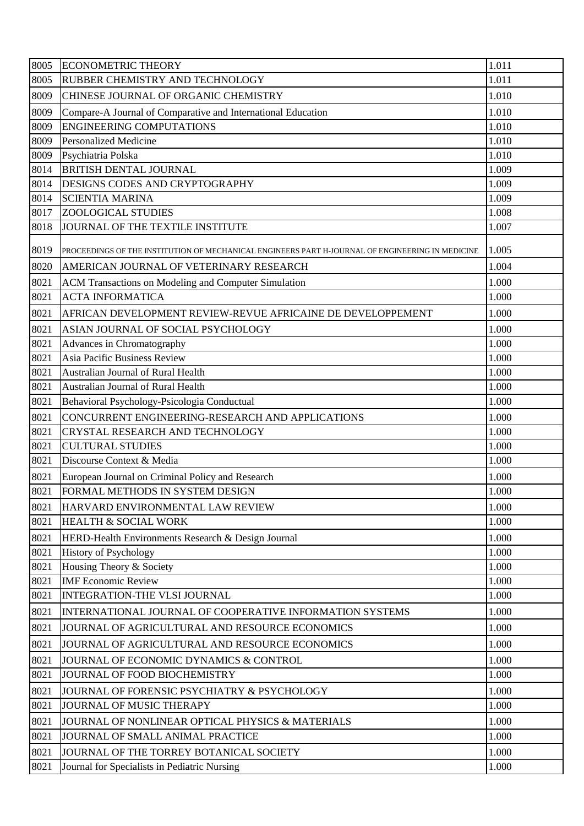| 8005 | <b>ECONOMETRIC THEORY</b>                                                                        | 1.011 |
|------|--------------------------------------------------------------------------------------------------|-------|
| 8005 | RUBBER CHEMISTRY AND TECHNOLOGY                                                                  | 1.011 |
| 8009 | CHINESE JOURNAL OF ORGANIC CHEMISTRY                                                             | 1.010 |
| 8009 | Compare-A Journal of Comparative and International Education                                     | 1.010 |
| 8009 | <b>ENGINEERING COMPUTATIONS</b>                                                                  | 1.010 |
| 8009 | <b>Personalized Medicine</b>                                                                     | 1.010 |
| 8009 | Psychiatria Polska                                                                               | 1.010 |
| 8014 | <b>BRITISH DENTAL JOURNAL</b>                                                                    | 1.009 |
| 8014 | DESIGNS CODES AND CRYPTOGRAPHY                                                                   | 1.009 |
| 8014 | <b>SCIENTIA MARINA</b>                                                                           | 1.009 |
| 8017 | <b>ZOOLOGICAL STUDIES</b>                                                                        | 1.008 |
| 8018 | JOURNAL OF THE TEXTILE INSTITUTE                                                                 | 1.007 |
| 8019 | PROCEEDINGS OF THE INSTITUTION OF MECHANICAL ENGINEERS PART H-JOURNAL OF ENGINEERING IN MEDICINE | 1.005 |
| 8020 | AMERICAN JOURNAL OF VETERINARY RESEARCH                                                          | 1.004 |
| 8021 | ACM Transactions on Modeling and Computer Simulation                                             | 1.000 |
| 8021 | <b>ACTA INFORMATICA</b>                                                                          | 1.000 |
| 8021 | AFRICAN DEVELOPMENT REVIEW-REVUE AFRICAINE DE DEVELOPPEMENT                                      | 1.000 |
| 8021 | ASIAN JOURNAL OF SOCIAL PSYCHOLOGY                                                               | 1.000 |
| 8021 | Advances in Chromatography                                                                       | 1.000 |
| 8021 | <b>Asia Pacific Business Review</b>                                                              | 1.000 |
| 8021 | Australian Journal of Rural Health                                                               | 1.000 |
| 8021 | Australian Journal of Rural Health                                                               | 1.000 |
| 8021 | Behavioral Psychology-Psicologia Conductual                                                      | 1.000 |
| 8021 | CONCURRENT ENGINEERING-RESEARCH AND APPLICATIONS                                                 | 1.000 |
| 8021 | CRYSTAL RESEARCH AND TECHNOLOGY                                                                  | 1.000 |
| 8021 | <b>CULTURAL STUDIES</b>                                                                          | 1.000 |
| 8021 | Discourse Context & Media                                                                        | 1.000 |
| 8021 | European Journal on Criminal Policy and Research                                                 | 1.000 |
| 8021 | FORMAL METHODS IN SYSTEM DESIGN                                                                  | 1.000 |
| 8021 | HARVARD ENVIRONMENTAL LAW REVIEW                                                                 | 1.000 |
| 8021 | HEALTH & SOCIAL WORK                                                                             | 1.000 |
| 8021 | HERD-Health Environments Research & Design Journal                                               | 1.000 |
| 8021 | <b>History of Psychology</b>                                                                     | 1.000 |
| 8021 | Housing Theory & Society                                                                         | 1.000 |
| 8021 | <b>IMF</b> Economic Review                                                                       | 1.000 |
| 8021 | INTEGRATION-THE VLSI JOURNAL                                                                     | 1.000 |
| 8021 | INTERNATIONAL JOURNAL OF COOPERATIVE INFORMATION SYSTEMS                                         | 1.000 |
| 8021 | JOURNAL OF AGRICULTURAL AND RESOURCE ECONOMICS                                                   | 1.000 |
| 8021 | JOURNAL OF AGRICULTURAL AND RESOURCE ECONOMICS                                                   | 1.000 |
| 8021 | JOURNAL OF ECONOMIC DYNAMICS & CONTROL                                                           | 1.000 |
| 8021 | JOURNAL OF FOOD BIOCHEMISTRY                                                                     | 1.000 |
| 8021 | JOURNAL OF FORENSIC PSYCHIATRY & PSYCHOLOGY                                                      | 1.000 |
| 8021 | JOURNAL OF MUSIC THERAPY                                                                         | 1.000 |
| 8021 | JOURNAL OF NONLINEAR OPTICAL PHYSICS & MATERIALS                                                 | 1.000 |
| 8021 | JOURNAL OF SMALL ANIMAL PRACTICE                                                                 | 1.000 |
| 8021 | JOURNAL OF THE TORREY BOTANICAL SOCIETY                                                          | 1.000 |
| 8021 | Journal for Specialists in Pediatric Nursing                                                     | 1.000 |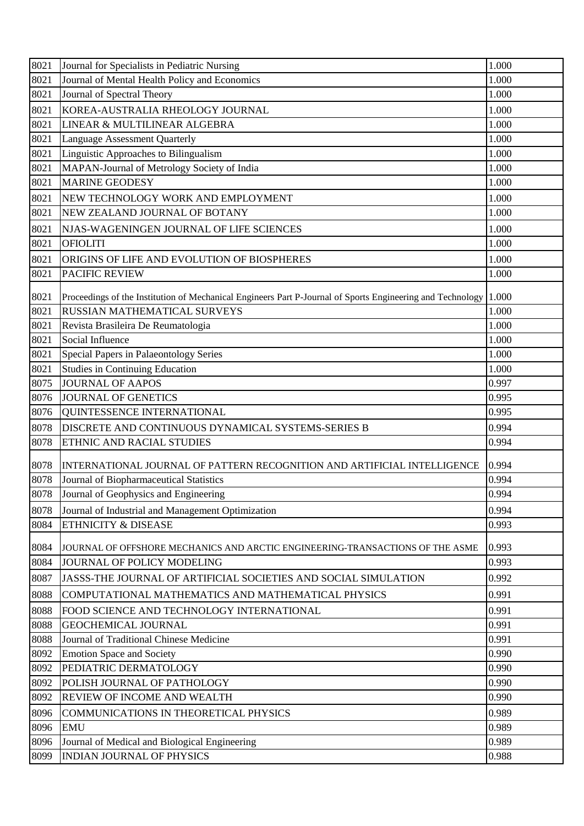| 8021         | Journal for Specialists in Pediatric Nursing                                                                                               | 1.000          |
|--------------|--------------------------------------------------------------------------------------------------------------------------------------------|----------------|
| 8021         | Journal of Mental Health Policy and Economics                                                                                              | 1.000          |
| 8021         | Journal of Spectral Theory                                                                                                                 | 1.000          |
| 8021         | KOREA-AUSTRALIA RHEOLOGY JOURNAL                                                                                                           | 1.000          |
| 8021         | LINEAR & MULTILINEAR ALGEBRA                                                                                                               | 1.000          |
| 8021         | <b>Language Assessment Quarterly</b>                                                                                                       | 1.000          |
| 8021         | Linguistic Approaches to Bilingualism                                                                                                      | 1.000          |
| 8021         | MAPAN-Journal of Metrology Society of India                                                                                                | 1.000          |
| 8021         | <b>MARINE GEODESY</b>                                                                                                                      | 1.000          |
| 8021         | NEW TECHNOLOGY WORK AND EMPLOYMENT                                                                                                         | 1.000          |
| 8021         | NEW ZEALAND JOURNAL OF BOTANY                                                                                                              | 1.000          |
| 8021         | NJAS-WAGENINGEN JOURNAL OF LIFE SCIENCES                                                                                                   | 1.000          |
| 8021         | <b>OFIOLITI</b>                                                                                                                            | 1.000          |
| 8021         | ORIGINS OF LIFE AND EVOLUTION OF BIOSPHERES                                                                                                | 1.000          |
| 8021         | <b>PACIFIC REVIEW</b>                                                                                                                      | 1.000          |
|              |                                                                                                                                            |                |
| 8021         | Proceedings of the Institution of Mechanical Engineers Part P-Journal of Sports Engineering and Technology<br>RUSSIAN MATHEMATICAL SURVEYS | 1.000          |
| 8021         |                                                                                                                                            | 1.000          |
| 8021<br>8021 | Revista Brasileira De Reumatologia<br>Social Influence                                                                                     | 1.000<br>1.000 |
| 8021         | Special Papers in Palaeontology Series                                                                                                     | 1.000          |
| 8021         | <b>Studies in Continuing Education</b>                                                                                                     | 1.000          |
| 8075         | <b>JOURNAL OF AAPOS</b>                                                                                                                    | 0.997          |
| 8076         | <b>JOURNAL OF GENETICS</b>                                                                                                                 | 0.995          |
| 8076         | QUINTESSENCE INTERNATIONAL                                                                                                                 | 0.995          |
| 8078         | DISCRETE AND CONTINUOUS DYNAMICAL SYSTEMS-SERIES B                                                                                         | 0.994          |
| 8078         | ETHNIC AND RACIAL STUDIES                                                                                                                  | 0.994          |
|              |                                                                                                                                            |                |
| 8078         | INTERNATIONAL JOURNAL OF PATTERN RECOGNITION AND ARTIFICIAL INTELLIGENCE                                                                   | 0.994          |
| 8078         | Journal of Biopharmaceutical Statistics                                                                                                    | 0.994          |
| 8078         | Journal of Geophysics and Engineering                                                                                                      | 0.994          |
| 8078         | Journal of Industrial and Management Optimization                                                                                          | 0.994          |
| 8084         | ETHNICITY & DISEASE                                                                                                                        | 0.993          |
| 8084         | JOURNAL OF OFFSHORE MECHANICS AND ARCTIC ENGINEERING-TRANSACTIONS OF THE ASME                                                              | 0.993          |
| 8084         | JOURNAL OF POLICY MODELING                                                                                                                 | 0.993          |
| 8087         | JASSS-THE JOURNAL OF ARTIFICIAL SOCIETIES AND SOCIAL SIMULATION                                                                            | 0.992          |
| 8088         | COMPUTATIONAL MATHEMATICS AND MATHEMATICAL PHYSICS                                                                                         | 0.991          |
| 8088         | FOOD SCIENCE AND TECHNOLOGY INTERNATIONAL                                                                                                  | 0.991          |
| 8088         | <b>GEOCHEMICAL JOURNAL</b>                                                                                                                 | 0.991          |
| 8088         | Journal of Traditional Chinese Medicine                                                                                                    | 0.991          |
| 8092         | <b>Emotion Space and Society</b>                                                                                                           | 0.990          |
| 8092         | PEDIATRIC DERMATOLOGY                                                                                                                      | 0.990          |
| 8092         | POLISH JOURNAL OF PATHOLOGY                                                                                                                | 0.990          |
| 8092         | REVIEW OF INCOME AND WEALTH                                                                                                                | 0.990          |
| 8096         | COMMUNICATIONS IN THEORETICAL PHYSICS                                                                                                      | 0.989          |
| 8096         | <b>EMU</b>                                                                                                                                 | 0.989          |
| 8096         | Journal of Medical and Biological Engineering                                                                                              | 0.989          |
| 8099         | <b>INDIAN JOURNAL OF PHYSICS</b>                                                                                                           | 0.988          |
|              |                                                                                                                                            |                |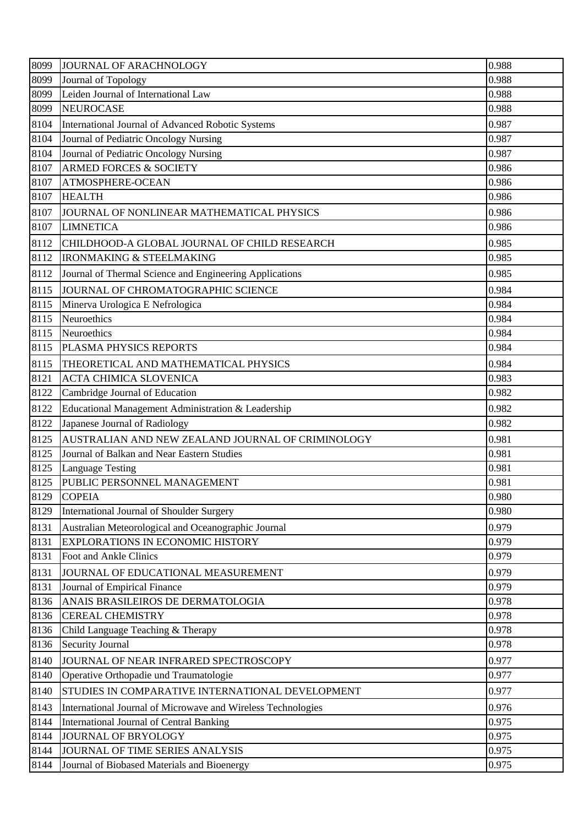| 8099 | JOURNAL OF ARACHNOLOGY                                       | 0.988 |
|------|--------------------------------------------------------------|-------|
| 8099 | Journal of Topology                                          | 0.988 |
| 8099 | Leiden Journal of International Law                          | 0.988 |
| 8099 | <b>NEUROCASE</b>                                             | 0.988 |
| 8104 | International Journal of Advanced Robotic Systems            | 0.987 |
| 8104 | Journal of Pediatric Oncology Nursing                        | 0.987 |
| 8104 | Journal of Pediatric Oncology Nursing                        | 0.987 |
| 8107 | <b>ARMED FORCES &amp; SOCIETY</b>                            | 0.986 |
| 8107 | ATMOSPHERE-OCEAN                                             | 0.986 |
| 8107 | <b>HEALTH</b>                                                | 0.986 |
| 8107 | JOURNAL OF NONLINEAR MATHEMATICAL PHYSICS                    | 0.986 |
| 8107 | <b>LIMNETICA</b>                                             | 0.986 |
| 8112 | CHILDHOOD-A GLOBAL JOURNAL OF CHILD RESEARCH                 | 0.985 |
| 8112 | <b>IRONMAKING &amp; STEELMAKING</b>                          | 0.985 |
| 8112 | Journal of Thermal Science and Engineering Applications      | 0.985 |
| 8115 | JOURNAL OF CHROMATOGRAPHIC SCIENCE                           | 0.984 |
| 8115 | Minerva Urologica E Nefrologica                              | 0.984 |
| 8115 | Neuroethics                                                  | 0.984 |
| 8115 | Neuroethics                                                  | 0.984 |
| 8115 | PLASMA PHYSICS REPORTS                                       | 0.984 |
| 8115 | THEORETICAL AND MATHEMATICAL PHYSICS                         | 0.984 |
| 8121 | <b>ACTA CHIMICA SLOVENICA</b>                                | 0.983 |
| 8122 | Cambridge Journal of Education                               | 0.982 |
| 8122 | Educational Management Administration & Leadership           | 0.982 |
| 8122 | Japanese Journal of Radiology                                | 0.982 |
| 8125 | AUSTRALIAN AND NEW ZEALAND JOURNAL OF CRIMINOLOGY            | 0.981 |
| 8125 | Journal of Balkan and Near Eastern Studies                   | 0.981 |
| 8125 | <b>Language Testing</b>                                      | 0.981 |
|      | 8125 PUBLIC PERSONNEL MANAGEMENT                             | 0.981 |
| 8129 | <b>COPEIA</b>                                                | 0.980 |
| 8129 | International Journal of Shoulder Surgery                    | 0.980 |
| 8131 | Australian Meteorological and Oceanographic Journal          | 0.979 |
| 8131 | <b>EXPLORATIONS IN ECONOMIC HISTORY</b>                      | 0.979 |
| 8131 | Foot and Ankle Clinics                                       | 0.979 |
| 8131 | JOURNAL OF EDUCATIONAL MEASUREMENT                           | 0.979 |
| 8131 | Journal of Empirical Finance                                 | 0.979 |
| 8136 | ANAIS BRASILEIROS DE DERMATOLOGIA                            | 0.978 |
| 8136 | <b>CEREAL CHEMISTRY</b>                                      | 0.978 |
| 8136 | Child Language Teaching & Therapy                            | 0.978 |
| 8136 | <b>Security Journal</b>                                      | 0.978 |
| 8140 | JOURNAL OF NEAR INFRARED SPECTROSCOPY                        | 0.977 |
| 8140 | Operative Orthopadie und Traumatologie                       | 0.977 |
| 8140 | STUDIES IN COMPARATIVE INTERNATIONAL DEVELOPMENT             | 0.977 |
| 8143 | International Journal of Microwave and Wireless Technologies | 0.976 |
| 8144 | <b>International Journal of Central Banking</b>              | 0.975 |
| 8144 | <b>JOURNAL OF BRYOLOGY</b>                                   | 0.975 |
| 8144 | JOURNAL OF TIME SERIES ANALYSIS                              | 0.975 |
| 8144 | Journal of Biobased Materials and Bioenergy                  | 0.975 |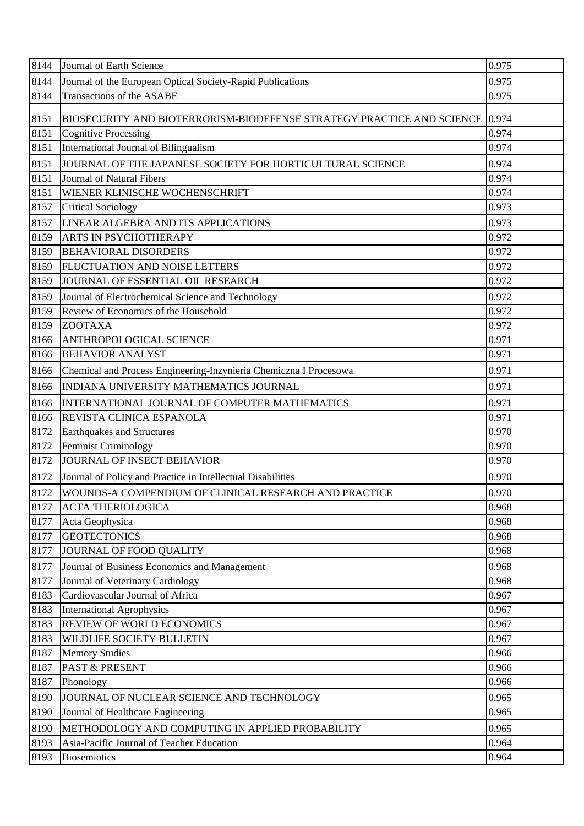| 8144 | Journal of Earth Science                                                    | 0.975 |
|------|-----------------------------------------------------------------------------|-------|
| 8144 | Journal of the European Optical Society-Rapid Publications                  | 0.975 |
| 8144 | Transactions of the ASABE                                                   | 0.975 |
| 8151 | BIOSECURITY AND BIOTERRORISM-BIODEFENSE STRATEGY PRACTICE AND SCIENCE 0.974 |       |
| 8151 | <b>Cognitive Processing</b>                                                 | 0.974 |
| 8151 | International Journal of Bilingualism                                       | 0.974 |
| 8151 | JOURNAL OF THE JAPANESE SOCIETY FOR HORTICULTURAL SCIENCE                   | 0.974 |
| 8151 | Journal of Natural Fibers                                                   | 0.974 |
| 8151 | WIENER KLINISCHE WOCHENSCHRIFT                                              | 0.974 |
| 8157 | <b>Critical Sociology</b>                                                   | 0.973 |
| 8157 | LINEAR ALGEBRA AND ITS APPLICATIONS                                         | 0.973 |
| 8159 | ARTS IN PSYCHOTHERAPY                                                       | 0.972 |
| 8159 | <b>BEHAVIORAL DISORDERS</b>                                                 | 0.972 |
| 8159 | FLUCTUATION AND NOISE LETTERS                                               | 0.972 |
| 8159 | JOURNAL OF ESSENTIAL OIL RESEARCH                                           | 0.972 |
| 8159 | Journal of Electrochemical Science and Technology                           | 0.972 |
| 8159 | Review of Economics of the Household                                        | 0.972 |
| 8159 | <b>ZOOTAXA</b>                                                              | 0.972 |
| 8166 | ANTHROPOLOGICAL SCIENCE                                                     | 0.971 |
| 8166 | <b>BEHAVIOR ANALYST</b>                                                     | 0.971 |
| 8166 | Chemical and Process Engineering-Inzynieria Chemiczna I Procesowa           | 0.971 |
| 8166 | INDIANA UNIVERSITY MATHEMATICS JOURNAL                                      | 0.971 |
| 8166 | INTERNATIONAL JOURNAL OF COMPUTER MATHEMATICS                               | 0.971 |
| 8166 | REVISTA CLINICA ESPANOLA                                                    | 0.971 |
| 8172 | <b>Earthquakes and Structures</b>                                           | 0.970 |
| 8172 | Feminist Criminology                                                        | 0.970 |
| 8172 | JOURNAL OF INSECT BEHAVIOR                                                  | 0.970 |
| 8172 | Journal of Policy and Practice in Intellectual Disabilities                 | 0.970 |
| 8172 | WOUNDS-A COMPENDIUM OF CLINICAL RESEARCH AND PRACTICE                       | 0.970 |
| 8177 | <b>ACTA THERIOLOGICA</b>                                                    | 0.968 |
| 8177 | Acta Geophysica                                                             | 0.968 |
| 8177 | <b>GEOTECTONICS</b>                                                         | 0.968 |
| 8177 | JOURNAL OF FOOD QUALITY                                                     | 0.968 |
| 8177 | Journal of Business Economics and Management                                | 0.968 |
| 8177 | Journal of Veterinary Cardiology                                            | 0.968 |
| 8183 | Cardiovascular Journal of Africa                                            | 0.967 |
| 8183 | <b>International Agrophysics</b>                                            | 0.967 |
| 8183 | <b>REVIEW OF WORLD ECONOMICS</b>                                            | 0.967 |
| 8183 | WILDLIFE SOCIETY BULLETIN                                                   | 0.967 |
| 8187 | <b>Memory Studies</b>                                                       | 0.966 |
| 8187 | <b>PAST &amp; PRESENT</b>                                                   | 0.966 |
| 8187 | Phonology                                                                   | 0.966 |
| 8190 | JOURNAL OF NUCLEAR SCIENCE AND TECHNOLOGY                                   | 0.965 |
| 8190 | Journal of Healthcare Engineering                                           | 0.965 |
| 8190 | METHODOLOGY AND COMPUTING IN APPLIED PROBABILITY                            | 0.965 |
| 8193 | Asia-Pacific Journal of Teacher Education                                   | 0.964 |
| 8193 | <b>Biosemiotics</b>                                                         | 0.964 |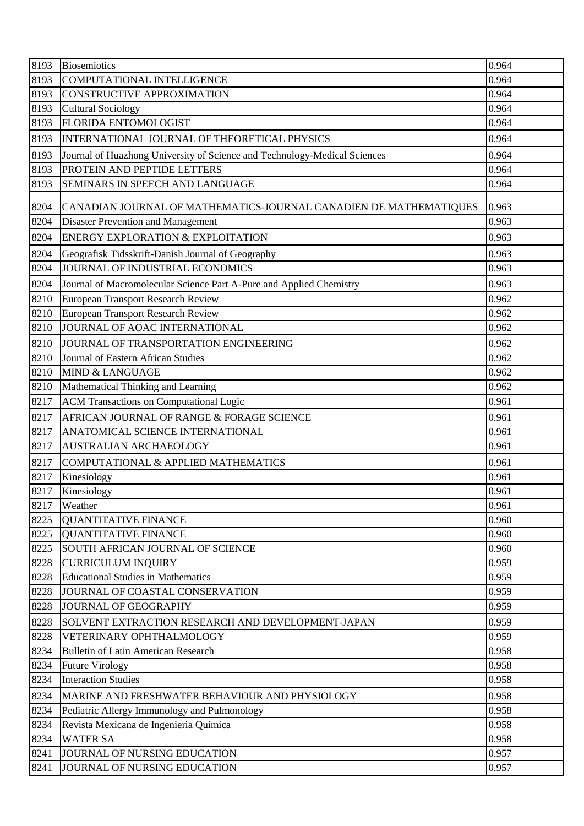| 8193 | Biosemiotics                                                              | 0.964 |
|------|---------------------------------------------------------------------------|-------|
| 8193 | <b>COMPUTATIONAL INTELLIGENCE</b>                                         | 0.964 |
| 8193 | <b>CONSTRUCTIVE APPROXIMATION</b>                                         | 0.964 |
| 8193 | <b>Cultural Sociology</b>                                                 | 0.964 |
| 8193 | <b>FLORIDA ENTOMOLOGIST</b>                                               | 0.964 |
| 8193 | INTERNATIONAL JOURNAL OF THEORETICAL PHYSICS                              | 0.964 |
| 8193 | Journal of Huazhong University of Science and Technology-Medical Sciences | 0.964 |
| 8193 | PROTEIN AND PEPTIDE LETTERS                                               | 0.964 |
| 8193 | SEMINARS IN SPEECH AND LANGUAGE                                           | 0.964 |
| 8204 | CANADIAN JOURNAL OF MATHEMATICS-JOURNAL CANADIEN DE MATHEMATIQUES         | 0.963 |
| 8204 | <b>Disaster Prevention and Management</b>                                 | 0.963 |
| 8204 | ENERGY EXPLORATION & EXPLOITATION                                         | 0.963 |
| 8204 | Geografisk Tidsskrift-Danish Journal of Geography                         | 0.963 |
| 8204 | JOURNAL OF INDUSTRIAL ECONOMICS                                           | 0.963 |
| 8204 | Journal of Macromolecular Science Part A-Pure and Applied Chemistry       | 0.963 |
| 8210 | European Transport Research Review                                        | 0.962 |
| 8210 | European Transport Research Review                                        | 0.962 |
| 8210 | JOURNAL OF AOAC INTERNATIONAL                                             | 0.962 |
| 8210 | JOURNAL OF TRANSPORTATION ENGINEERING                                     | 0.962 |
| 8210 | Journal of Eastern African Studies                                        | 0.962 |
| 8210 | <b>MIND &amp; LANGUAGE</b>                                                | 0.962 |
| 8210 | Mathematical Thinking and Learning                                        | 0.962 |
| 8217 | <b>ACM Transactions on Computational Logic</b>                            | 0.961 |
| 8217 | AFRICAN JOURNAL OF RANGE & FORAGE SCIENCE                                 | 0.961 |
| 8217 | ANATOMICAL SCIENCE INTERNATIONAL                                          | 0.961 |
| 8217 | <b>AUSTRALIAN ARCHAEOLOGY</b>                                             | 0.961 |
| 8217 | COMPUTATIONAL & APPLIED MATHEMATICS                                       | 0.961 |
| 8217 | Kinesiology                                                               | 0.961 |
| 8217 | Kinesiology                                                               | 0.961 |
| 8217 | Weather                                                                   | 0.961 |
| 8225 | <b>QUANTITATIVE FINANCE</b>                                               | 0.960 |
| 8225 | <b>QUANTITATIVE FINANCE</b>                                               | 0.960 |
| 8225 | SOUTH AFRICAN JOURNAL OF SCIENCE                                          | 0.960 |
| 8228 | <b>CURRICULUM INQUIRY</b>                                                 | 0.959 |
| 8228 | <b>Educational Studies in Mathematics</b>                                 | 0.959 |
| 8228 | JOURNAL OF COASTAL CONSERVATION                                           | 0.959 |
| 8228 | JOURNAL OF GEOGRAPHY                                                      | 0.959 |
| 8228 | SOLVENT EXTRACTION RESEARCH AND DEVELOPMENT-JAPAN                         | 0.959 |
| 8228 | VETERINARY OPHTHALMOLOGY                                                  | 0.959 |
| 8234 | <b>Bulletin of Latin American Research</b>                                | 0.958 |
| 8234 | <b>Future Virology</b>                                                    | 0.958 |
| 8234 | <b>Interaction Studies</b>                                                | 0.958 |
| 8234 | MARINE AND FRESHWATER BEHAVIOUR AND PHYSIOLOGY                            | 0.958 |
| 8234 | Pediatric Allergy Immunology and Pulmonology                              | 0.958 |
| 8234 | Revista Mexicana de Ingenieria Quimica                                    | 0.958 |
| 8234 | <b>WATER SA</b>                                                           | 0.958 |
| 8241 | JOURNAL OF NURSING EDUCATION                                              | 0.957 |
| 8241 | JOURNAL OF NURSING EDUCATION                                              | 0.957 |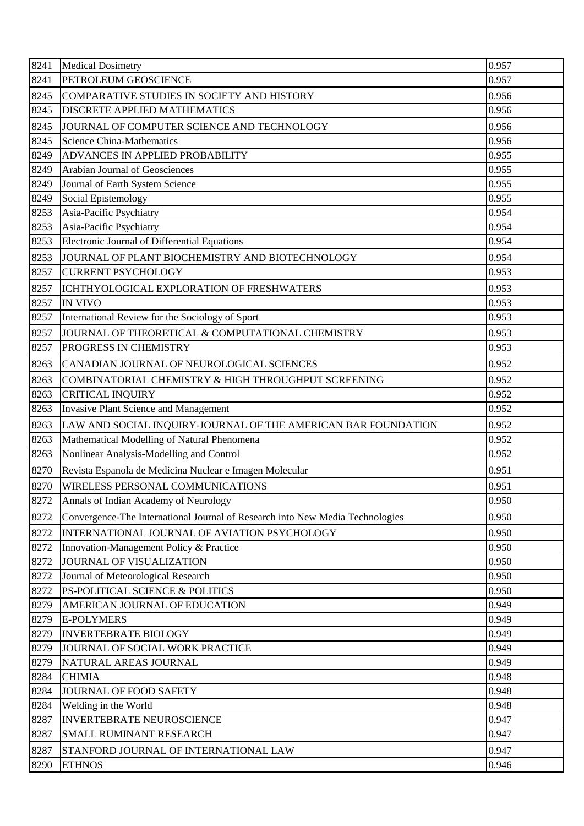| 8241 | <b>Medical Dosimetry</b>                                                      | 0.957 |
|------|-------------------------------------------------------------------------------|-------|
| 8241 | PETROLEUM GEOSCIENCE                                                          | 0.957 |
| 8245 | COMPARATIVE STUDIES IN SOCIETY AND HISTORY                                    | 0.956 |
| 8245 | <b>DISCRETE APPLIED MATHEMATICS</b>                                           | 0.956 |
| 8245 | JOURNAL OF COMPUTER SCIENCE AND TECHNOLOGY                                    | 0.956 |
| 8245 | <b>Science China-Mathematics</b>                                              | 0.956 |
| 8249 | ADVANCES IN APPLIED PROBABILITY                                               | 0.955 |
| 8249 | Arabian Journal of Geosciences                                                | 0.955 |
| 8249 | Journal of Earth System Science                                               | 0.955 |
| 8249 | Social Epistemology                                                           | 0.955 |
| 8253 | Asia-Pacific Psychiatry                                                       | 0.954 |
| 8253 | Asia-Pacific Psychiatry                                                       | 0.954 |
| 8253 | Electronic Journal of Differential Equations                                  | 0.954 |
| 8253 | JOURNAL OF PLANT BIOCHEMISTRY AND BIOTECHNOLOGY                               | 0.954 |
| 8257 | <b>CURRENT PSYCHOLOGY</b>                                                     | 0.953 |
| 8257 | ICHTHYOLOGICAL EXPLORATION OF FRESHWATERS                                     | 0.953 |
| 8257 | <b>IN VIVO</b>                                                                | 0.953 |
| 8257 | International Review for the Sociology of Sport                               | 0.953 |
| 8257 | JOURNAL OF THEORETICAL & COMPUTATIONAL CHEMISTRY                              | 0.953 |
| 8257 | PROGRESS IN CHEMISTRY                                                         | 0.953 |
| 8263 | CANADIAN JOURNAL OF NEUROLOGICAL SCIENCES                                     | 0.952 |
| 8263 | COMBINATORIAL CHEMISTRY & HIGH THROUGHPUT SCREENING                           | 0.952 |
| 8263 | <b>CRITICAL INQUIRY</b>                                                       | 0.952 |
| 8263 | <b>Invasive Plant Science and Management</b>                                  | 0.952 |
| 8263 | LAW AND SOCIAL INQUIRY-JOURNAL OF THE AMERICAN BAR FOUNDATION                 | 0.952 |
| 8263 | Mathematical Modelling of Natural Phenomena                                   | 0.952 |
| 8263 | Nonlinear Analysis-Modelling and Control                                      | 0.952 |
| 8270 | Revista Espanola de Medicina Nuclear e Imagen Molecular                       | 0.951 |
| 8270 | WIRELESS PERSONAL COMMUNICATIONS                                              | 0.951 |
| 8272 | Annals of Indian Academy of Neurology                                         | 0.950 |
| 8272 | Convergence-The International Journal of Research into New Media Technologies | 0.950 |
| 8272 | INTERNATIONAL JOURNAL OF AVIATION PSYCHOLOGY                                  | 0.950 |
| 8272 | Innovation-Management Policy & Practice                                       | 0.950 |
| 8272 | <b>JOURNAL OF VISUALIZATION</b>                                               | 0.950 |
| 8272 | Journal of Meteorological Research                                            | 0.950 |
| 8272 | PS-POLITICAL SCIENCE & POLITICS                                               | 0.950 |
| 8279 | AMERICAN JOURNAL OF EDUCATION                                                 | 0.949 |
| 8279 | <b>E-POLYMERS</b>                                                             | 0.949 |
| 8279 | <b>INVERTEBRATE BIOLOGY</b>                                                   | 0.949 |
| 8279 | JOURNAL OF SOCIAL WORK PRACTICE                                               | 0.949 |
| 8279 | NATURAL AREAS JOURNAL                                                         | 0.949 |
| 8284 | <b>CHIMIA</b>                                                                 | 0.948 |
| 8284 | JOURNAL OF FOOD SAFETY                                                        | 0.948 |
| 8284 | Welding in the World                                                          | 0.948 |
| 8287 | <b>INVERTEBRATE NEUROSCIENCE</b>                                              | 0.947 |
| 8287 | SMALL RUMINANT RESEARCH                                                       | 0.947 |
| 8287 | STANFORD JOURNAL OF INTERNATIONAL LAW                                         | 0.947 |
| 8290 | <b>ETHNOS</b>                                                                 | 0.946 |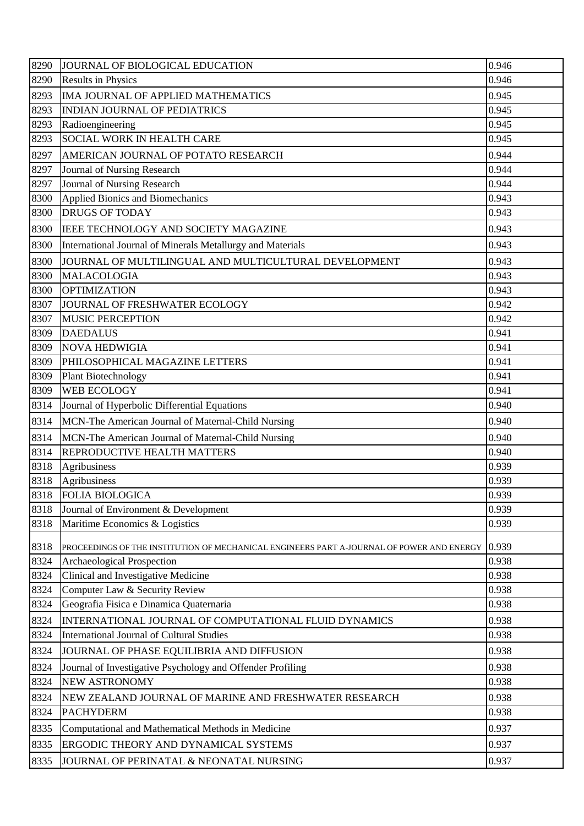| 8290 | JOURNAL OF BIOLOGICAL EDUCATION                                                           | 0.946 |
|------|-------------------------------------------------------------------------------------------|-------|
| 8290 | <b>Results in Physics</b>                                                                 | 0.946 |
| 8293 | IMA JOURNAL OF APPLIED MATHEMATICS                                                        | 0.945 |
| 8293 | <b>INDIAN JOURNAL OF PEDIATRICS</b>                                                       | 0.945 |
| 8293 | Radioengineering                                                                          | 0.945 |
| 8293 | <b>SOCIAL WORK IN HEALTH CARE</b>                                                         | 0.945 |
| 8297 | AMERICAN JOURNAL OF POTATO RESEARCH                                                       | 0.944 |
| 8297 | Journal of Nursing Research                                                               | 0.944 |
| 8297 | Journal of Nursing Research                                                               | 0.944 |
| 8300 | Applied Bionics and Biomechanics                                                          | 0.943 |
| 8300 | <b>DRUGS OF TODAY</b>                                                                     | 0.943 |
| 8300 | IEEE TECHNOLOGY AND SOCIETY MAGAZINE                                                      | 0.943 |
| 8300 | International Journal of Minerals Metallurgy and Materials                                | 0.943 |
| 8300 | JOURNAL OF MULTILINGUAL AND MULTICULTURAL DEVELOPMENT                                     | 0.943 |
| 8300 | MALACOLOGIA                                                                               | 0.943 |
| 8300 | <b>OPTIMIZATION</b>                                                                       | 0.943 |
| 8307 | JOURNAL OF FRESHWATER ECOLOGY                                                             | 0.942 |
| 8307 | <b>MUSIC PERCEPTION</b>                                                                   | 0.942 |
| 8309 | <b>DAEDALUS</b>                                                                           | 0.941 |
| 8309 | <b>NOVA HEDWIGIA</b>                                                                      | 0.941 |
| 8309 | PHILOSOPHICAL MAGAZINE LETTERS                                                            | 0.941 |
| 8309 | <b>Plant Biotechnology</b>                                                                | 0.941 |
| 8309 | <b>WEB ECOLOGY</b>                                                                        | 0.941 |
| 8314 | Journal of Hyperbolic Differential Equations                                              | 0.940 |
| 8314 | MCN-The American Journal of Maternal-Child Nursing                                        | 0.940 |
| 8314 | MCN-The American Journal of Maternal-Child Nursing                                        | 0.940 |
| 8314 | <b>REPRODUCTIVE HEALTH MATTERS</b>                                                        | 0.940 |
| 8318 | Agribusiness                                                                              | 0.939 |
| 8318 | Agribusiness                                                                              | 0.939 |
| 8318 | <b>FOLIA BIOLOGICA</b>                                                                    | 0.939 |
| 8318 | Journal of Environment & Development                                                      | 0.939 |
| 8318 | Maritime Economics & Logistics                                                            | 0.939 |
| 8318 | PROCEEDINGS OF THE INSTITUTION OF MECHANICAL ENGINEERS PART A-JOURNAL OF POWER AND ENERGY | 0.939 |
| 8324 | Archaeological Prospection                                                                | 0.938 |
| 8324 | Clinical and Investigative Medicine                                                       | 0.938 |
| 8324 | Computer Law & Security Review                                                            | 0.938 |
| 8324 | Geografia Fisica e Dinamica Quaternaria                                                   | 0.938 |
| 8324 | INTERNATIONAL JOURNAL OF COMPUTATIONAL FLUID DYNAMICS                                     | 0.938 |
| 8324 | International Journal of Cultural Studies                                                 | 0.938 |
| 8324 | JOURNAL OF PHASE EQUILIBRIA AND DIFFUSION                                                 | 0.938 |
| 8324 | Journal of Investigative Psychology and Offender Profiling                                | 0.938 |
| 8324 | <b>NEW ASTRONOMY</b>                                                                      | 0.938 |
| 8324 | NEW ZEALAND JOURNAL OF MARINE AND FRESHWATER RESEARCH                                     | 0.938 |
| 8324 | <b>PACHYDERM</b>                                                                          | 0.938 |
| 8335 | Computational and Mathematical Methods in Medicine                                        | 0.937 |
|      |                                                                                           |       |
| 8335 | ERGODIC THEORY AND DYNAMICAL SYSTEMS                                                      | 0.937 |
| 8335 | JOURNAL OF PERINATAL & NEONATAL NURSING                                                   | 0.937 |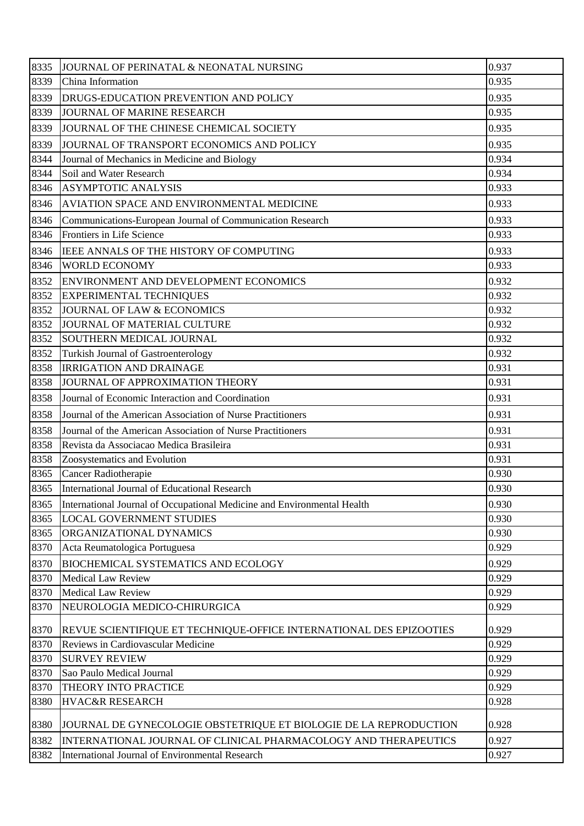| 8335 | JOURNAL OF PERINATAL & NEONATAL NURSING                                 | 0.937 |
|------|-------------------------------------------------------------------------|-------|
| 8339 | China Information                                                       | 0.935 |
| 8339 | DRUGS-EDUCATION PREVENTION AND POLICY                                   | 0.935 |
| 8339 | <b>JOURNAL OF MARINE RESEARCH</b>                                       | 0.935 |
| 8339 | JOURNAL OF THE CHINESE CHEMICAL SOCIETY                                 | 0.935 |
| 8339 | JOURNAL OF TRANSPORT ECONOMICS AND POLICY                               | 0.935 |
| 8344 | Journal of Mechanics in Medicine and Biology                            | 0.934 |
| 8344 | Soil and Water Research                                                 | 0.934 |
| 8346 | <b>ASYMPTOTIC ANALYSIS</b>                                              | 0.933 |
| 8346 | AVIATION SPACE AND ENVIRONMENTAL MEDICINE                               | 0.933 |
| 8346 | Communications-European Journal of Communication Research               | 0.933 |
| 8346 | Frontiers in Life Science                                               | 0.933 |
| 8346 | IEEE ANNALS OF THE HISTORY OF COMPUTING                                 | 0.933 |
| 8346 | <b>WORLD ECONOMY</b>                                                    | 0.933 |
| 8352 | ENVIRONMENT AND DEVELOPMENT ECONOMICS                                   | 0.932 |
| 8352 | <b>EXPERIMENTAL TECHNIQUES</b>                                          | 0.932 |
| 8352 | JOURNAL OF LAW & ECONOMICS                                              | 0.932 |
| 8352 | JOURNAL OF MATERIAL CULTURE                                             | 0.932 |
| 8352 | SOUTHERN MEDICAL JOURNAL                                                | 0.932 |
| 8352 | Turkish Journal of Gastroenterology                                     | 0.932 |
| 8358 | <b>IRRIGATION AND DRAINAGE</b>                                          | 0.931 |
| 8358 | JOURNAL OF APPROXIMATION THEORY                                         | 0.931 |
| 8358 | Journal of Economic Interaction and Coordination                        | 0.931 |
| 8358 | Journal of the American Association of Nurse Practitioners              | 0.931 |
| 8358 | Journal of the American Association of Nurse Practitioners              | 0.931 |
| 8358 | Revista da Associacao Medica Brasileira                                 | 0.931 |
| 8358 | Zoosystematics and Evolution                                            | 0.931 |
| 8365 | Cancer Radiotherapie                                                    | 0.930 |
| 8365 | International Journal of Educational Research                           | 0.930 |
| 8365 | International Journal of Occupational Medicine and Environmental Health | 0.930 |
| 8365 | <b>LOCAL GOVERNMENT STUDIES</b>                                         | 0.930 |
| 8365 | ORGANIZATIONAL DYNAMICS                                                 | 0.930 |
| 8370 | Acta Reumatologica Portuguesa                                           | 0.929 |
| 8370 | <b>BIOCHEMICAL SYSTEMATICS AND ECOLOGY</b>                              | 0.929 |
| 8370 | <b>Medical Law Review</b>                                               | 0.929 |
| 8370 | <b>Medical Law Review</b>                                               | 0.929 |
| 8370 | NEUROLOGIA MEDICO-CHIRURGICA                                            | 0.929 |
| 8370 | REVUE SCIENTIFIQUE ET TECHNIQUE-OFFICE INTERNATIONAL DES EPIZOOTIES     | 0.929 |
| 8370 | Reviews in Cardiovascular Medicine                                      | 0.929 |
| 8370 | <b>SURVEY REVIEW</b>                                                    | 0.929 |
| 8370 | Sao Paulo Medical Journal                                               | 0.929 |
| 8370 | THEORY INTO PRACTICE                                                    | 0.929 |
| 8380 | HVAC&R RESEARCH                                                         | 0.928 |
| 8380 | JOURNAL DE GYNECOLOGIE OBSTETRIQUE ET BIOLOGIE DE LA REPRODUCTION       | 0.928 |
| 8382 | INTERNATIONAL JOURNAL OF CLINICAL PHARMACOLOGY AND THERAPEUTICS         | 0.927 |
| 8382 | <b>International Journal of Environmental Research</b>                  | 0.927 |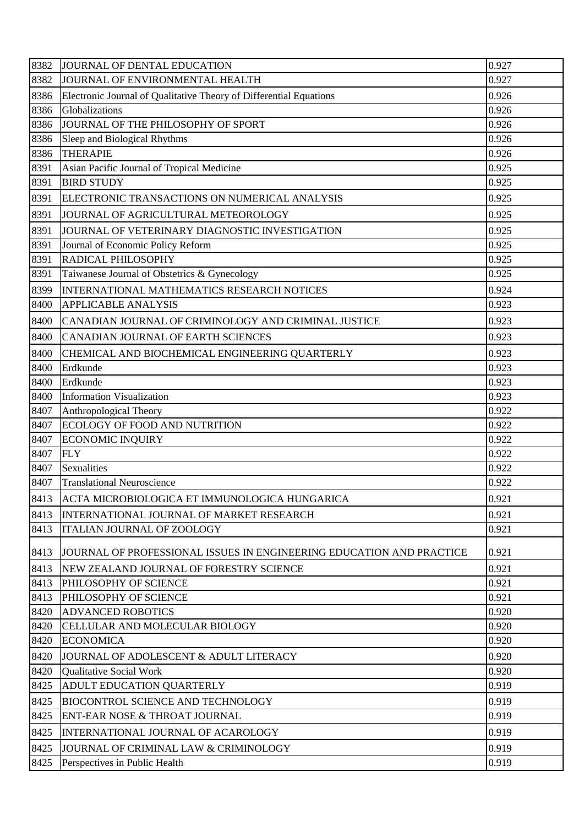| 8382 | JOURNAL OF DENTAL EDUCATION                                          | 0.927 |
|------|----------------------------------------------------------------------|-------|
| 8382 | JOURNAL OF ENVIRONMENTAL HEALTH                                      | 0.927 |
| 8386 | Electronic Journal of Qualitative Theory of Differential Equations   | 0.926 |
| 8386 | Globalizations                                                       | 0.926 |
| 8386 | JOURNAL OF THE PHILOSOPHY OF SPORT                                   | 0.926 |
| 8386 | Sleep and Biological Rhythms                                         | 0.926 |
| 8386 | <b>THERAPIE</b>                                                      | 0.926 |
| 8391 | Asian Pacific Journal of Tropical Medicine                           | 0.925 |
| 8391 | <b>BIRD STUDY</b>                                                    | 0.925 |
| 8391 | ELECTRONIC TRANSACTIONS ON NUMERICAL ANALYSIS                        | 0.925 |
| 8391 | JOURNAL OF AGRICULTURAL METEOROLOGY                                  | 0.925 |
| 8391 | JOURNAL OF VETERINARY DIAGNOSTIC INVESTIGATION                       | 0.925 |
| 8391 | Journal of Economic Policy Reform                                    | 0.925 |
| 8391 | <b>RADICAL PHILOSOPHY</b>                                            | 0.925 |
| 8391 | Taiwanese Journal of Obstetrics & Gynecology                         | 0.925 |
| 8399 | INTERNATIONAL MATHEMATICS RESEARCH NOTICES                           | 0.924 |
| 8400 | <b>APPLICABLE ANALYSIS</b>                                           | 0.923 |
| 8400 | CANADIAN JOURNAL OF CRIMINOLOGY AND CRIMINAL JUSTICE                 | 0.923 |
| 8400 | CANADIAN JOURNAL OF EARTH SCIENCES                                   | 0.923 |
| 8400 | CHEMICAL AND BIOCHEMICAL ENGINEERING QUARTERLY                       | 0.923 |
| 8400 | Erdkunde                                                             | 0.923 |
| 8400 | Erdkunde                                                             | 0.923 |
| 8400 | <b>Information Visualization</b>                                     | 0.923 |
| 8407 | Anthropological Theory                                               | 0.922 |
| 8407 | ECOLOGY OF FOOD AND NUTRITION                                        | 0.922 |
| 8407 | <b>ECONOMIC INQUIRY</b>                                              | 0.922 |
| 8407 | <b>FLY</b>                                                           | 0.922 |
| 8407 | Sexualities                                                          | 0.922 |
| 8407 | <b>Translational Neuroscience</b>                                    | 0.922 |
| 8413 | ACTA MICROBIOLOGICA ET IMMUNOLOGICA HUNGARICA                        | 0.921 |
| 8413 | INTERNATIONAL JOURNAL OF MARKET RESEARCH                             | 0.921 |
| 8413 | <b>ITALIAN JOURNAL OF ZOOLOGY</b>                                    | 0.921 |
| 8413 | JOURNAL OF PROFESSIONAL ISSUES IN ENGINEERING EDUCATION AND PRACTICE | 0.921 |
| 8413 | NEW ZEALAND JOURNAL OF FORESTRY SCIENCE                              | 0.921 |
| 8413 | PHILOSOPHY OF SCIENCE                                                | 0.921 |
| 8413 | PHILOSOPHY OF SCIENCE                                                | 0.921 |
| 8420 | <b>ADVANCED ROBOTICS</b>                                             | 0.920 |
| 8420 | CELLULAR AND MOLECULAR BIOLOGY                                       | 0.920 |
| 8420 | <b>ECONOMICA</b>                                                     | 0.920 |
| 8420 | JOURNAL OF ADOLESCENT & ADULT LITERACY                               | 0.920 |
| 8420 | <b>Qualitative Social Work</b>                                       | 0.920 |
| 8425 | ADULT EDUCATION QUARTERLY                                            | 0.919 |
| 8425 | <b>BIOCONTROL SCIENCE AND TECHNOLOGY</b>                             | 0.919 |
| 8425 | ENT-EAR NOSE & THROAT JOURNAL                                        | 0.919 |
| 8425 | INTERNATIONAL JOURNAL OF ACAROLOGY                                   | 0.919 |
| 8425 | JOURNAL OF CRIMINAL LAW & CRIMINOLOGY                                | 0.919 |
| 8425 | Perspectives in Public Health                                        | 0.919 |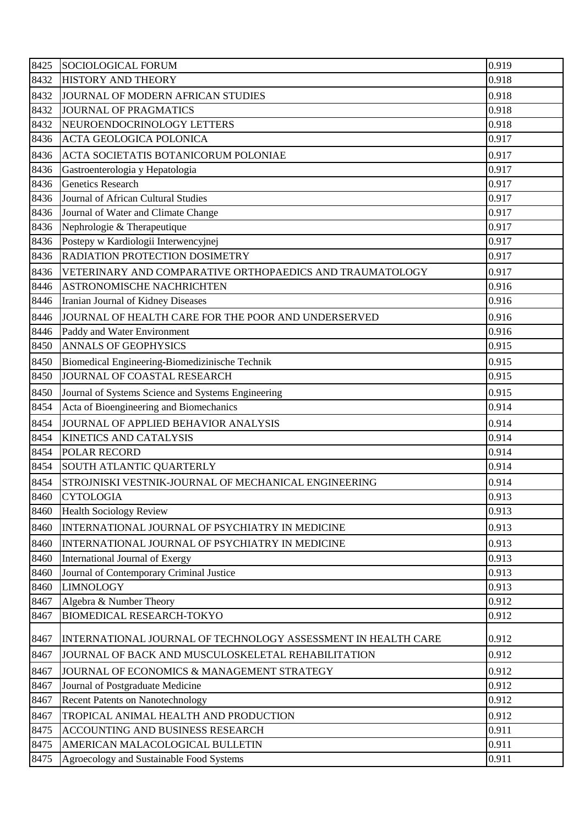| 8425 | <b>SOCIOLOGICAL FORUM</b>                                     | 0.919 |
|------|---------------------------------------------------------------|-------|
| 8432 | <b>HISTORY AND THEORY</b>                                     | 0.918 |
| 8432 | JOURNAL OF MODERN AFRICAN STUDIES                             | 0.918 |
| 8432 | <b>JOURNAL OF PRAGMATICS</b>                                  | 0.918 |
| 8432 | NEUROENDOCRINOLOGY LETTERS                                    | 0.918 |
| 8436 | <b>ACTA GEOLOGICA POLONICA</b>                                | 0.917 |
| 8436 | ACTA SOCIETATIS BOTANICORUM POLONIAE                          | 0.917 |
| 8436 | Gastroenterologia y Hepatologia                               | 0.917 |
| 8436 | <b>Genetics Research</b>                                      | 0.917 |
| 8436 | Journal of African Cultural Studies                           | 0.917 |
| 8436 | Journal of Water and Climate Change                           | 0.917 |
| 8436 | Nephrologie & Therapeutique                                   | 0.917 |
| 8436 | Postepy w Kardiologii Interwencyjnej                          | 0.917 |
| 8436 | <b>RADIATION PROTECTION DOSIMETRY</b>                         | 0.917 |
| 8436 | VETERINARY AND COMPARATIVE ORTHOPAEDICS AND TRAUMATOLOGY      | 0.917 |
| 8446 | <b>ASTRONOMISCHE NACHRICHTEN</b>                              | 0.916 |
| 8446 | Iranian Journal of Kidney Diseases                            | 0.916 |
| 8446 | JOURNAL OF HEALTH CARE FOR THE POOR AND UNDERSERVED           | 0.916 |
| 8446 | Paddy and Water Environment                                   | 0.916 |
| 8450 | <b>ANNALS OF GEOPHYSICS</b>                                   | 0.915 |
| 8450 | Biomedical Engineering-Biomedizinische Technik                | 0.915 |
| 8450 | JOURNAL OF COASTAL RESEARCH                                   | 0.915 |
| 8450 | Journal of Systems Science and Systems Engineering            | 0.915 |
| 8454 | Acta of Bioengineering and Biomechanics                       | 0.914 |
| 8454 | JOURNAL OF APPLIED BEHAVIOR ANALYSIS                          | 0.914 |
| 8454 | <b>KINETICS AND CATALYSIS</b>                                 | 0.914 |
| 8454 | POLAR RECORD                                                  | 0.914 |
| 8454 | <b>SOUTH ATLANTIC QUARTERLY</b>                               | 0.914 |
| 8454 | STROJNISKI VESTNIK-JOURNAL OF MECHANICAL ENGINEERING          | 0.914 |
| 8460 | <b>CYTOLOGIA</b>                                              | 0.913 |
| 8460 | <b>Health Sociology Review</b>                                | 0.913 |
| 8460 | INTERNATIONAL JOURNAL OF PSYCHIATRY IN MEDICINE               | 0.913 |
| 8460 | INTERNATIONAL JOURNAL OF PSYCHIATRY IN MEDICINE               | 0.913 |
| 8460 | International Journal of Exergy                               | 0.913 |
| 8460 | Journal of Contemporary Criminal Justice                      | 0.913 |
| 8460 | <b>LIMNOLOGY</b>                                              | 0.913 |
| 8467 | Algebra & Number Theory                                       | 0.912 |
| 8467 | <b>BIOMEDICAL RESEARCH-TOKYO</b>                              | 0.912 |
| 8467 | INTERNATIONAL JOURNAL OF TECHNOLOGY ASSESSMENT IN HEALTH CARE | 0.912 |
| 8467 | JOURNAL OF BACK AND MUSCULOSKELETAL REHABILITATION            | 0.912 |
| 8467 | JOURNAL OF ECONOMICS & MANAGEMENT STRATEGY                    | 0.912 |
| 8467 | Journal of Postgraduate Medicine                              | 0.912 |
| 8467 | <b>Recent Patents on Nanotechnology</b>                       | 0.912 |
| 8467 | TROPICAL ANIMAL HEALTH AND PRODUCTION                         | 0.912 |
| 8475 | ACCOUNTING AND BUSINESS RESEARCH                              | 0.911 |
| 8475 | AMERICAN MALACOLOGICAL BULLETIN                               | 0.911 |
| 8475 | Agroecology and Sustainable Food Systems                      | 0.911 |
|      |                                                               |       |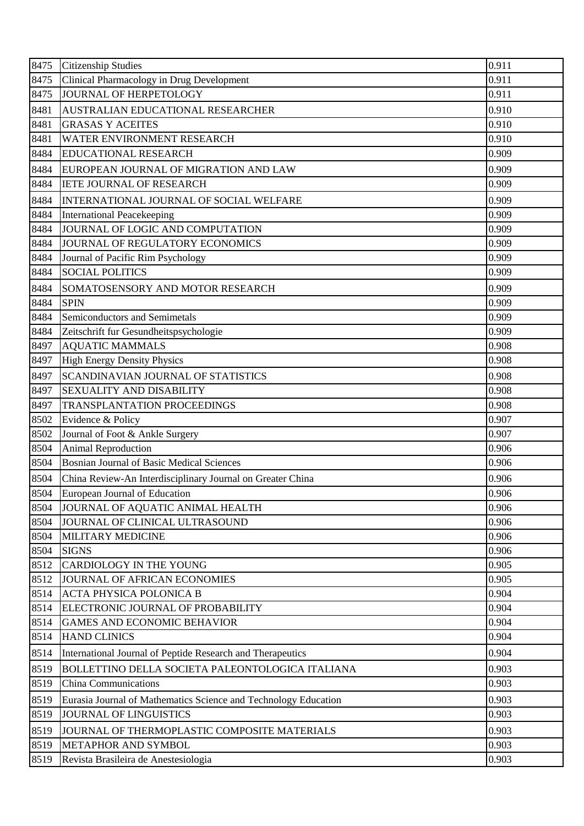| 8475 | <b>Citizenship Studies</b>                                      | 0.911 |
|------|-----------------------------------------------------------------|-------|
| 8475 | Clinical Pharmacology in Drug Development                       | 0.911 |
| 8475 | <b>JOURNAL OF HERPETOLOGY</b>                                   | 0.911 |
| 8481 | AUSTRALIAN EDUCATIONAL RESEARCHER                               | 0.910 |
| 8481 | <b>GRASAS Y ACEITES</b>                                         | 0.910 |
| 8481 | WATER ENVIRONMENT RESEARCH                                      | 0.910 |
| 8484 | <b>EDUCATIONAL RESEARCH</b>                                     | 0.909 |
| 8484 | EUROPEAN JOURNAL OF MIGRATION AND LAW                           | 0.909 |
| 8484 | <b>IETE JOURNAL OF RESEARCH</b>                                 | 0.909 |
| 8484 | INTERNATIONAL JOURNAL OF SOCIAL WELFARE                         | 0.909 |
| 8484 | <b>International Peacekeeping</b>                               | 0.909 |
| 8484 | JOURNAL OF LOGIC AND COMPUTATION                                | 0.909 |
| 8484 | JOURNAL OF REGULATORY ECONOMICS                                 | 0.909 |
| 8484 | Journal of Pacific Rim Psychology                               | 0.909 |
| 8484 | <b>SOCIAL POLITICS</b>                                          | 0.909 |
| 8484 | SOMATOSENSORY AND MOTOR RESEARCH                                | 0.909 |
| 8484 | <b>SPIN</b>                                                     | 0.909 |
| 8484 | Semiconductors and Semimetals                                   | 0.909 |
| 8484 | Zeitschrift fur Gesundheitspsychologie                          | 0.909 |
| 8497 | <b>AQUATIC MAMMALS</b>                                          | 0.908 |
| 8497 | <b>High Energy Density Physics</b>                              | 0.908 |
| 8497 | SCANDINAVIAN JOURNAL OF STATISTICS                              | 0.908 |
| 8497 | SEXUALITY AND DISABILITY                                        | 0.908 |
| 8497 | TRANSPLANTATION PROCEEDINGS                                     | 0.908 |
| 8502 | Evidence & Policy                                               | 0.907 |
| 8502 | Journal of Foot & Ankle Surgery                                 | 0.907 |
| 8504 | Animal Reproduction                                             | 0.906 |
| 8504 | <b>Bosnian Journal of Basic Medical Sciences</b>                | 0.906 |
| 8504 | China Review-An Interdisciplinary Journal on Greater China      | 0.906 |
| 8504 | European Journal of Education                                   | 0.906 |
| 8504 | JOURNAL OF AQUATIC ANIMAL HEALTH                                | 0.906 |
| 8504 | JOURNAL OF CLINICAL ULTRASOUND                                  | 0.906 |
| 8504 | <b>MILITARY MEDICINE</b>                                        | 0.906 |
| 8504 | <b>SIGNS</b>                                                    | 0.906 |
| 8512 | CARDIOLOGY IN THE YOUNG                                         | 0.905 |
| 8512 | JOURNAL OF AFRICAN ECONOMIES                                    | 0.905 |
| 8514 | <b>ACTA PHYSICA POLONICA B</b>                                  | 0.904 |
| 8514 | ELECTRONIC JOURNAL OF PROBABILITY                               | 0.904 |
| 8514 | <b>GAMES AND ECONOMIC BEHAVIOR</b>                              | 0.904 |
| 8514 | <b>HAND CLINICS</b>                                             | 0.904 |
| 8514 | International Journal of Peptide Research and Therapeutics      | 0.904 |
| 8519 | BOLLETTINO DELLA SOCIETA PALEONTOLOGICA ITALIANA                | 0.903 |
| 8519 | <b>China Communications</b>                                     | 0.903 |
| 8519 | Eurasia Journal of Mathematics Science and Technology Education | 0.903 |
| 8519 | JOURNAL OF LINGUISTICS                                          | 0.903 |
| 8519 | JOURNAL OF THERMOPLASTIC COMPOSITE MATERIALS                    | 0.903 |
| 8519 | METAPHOR AND SYMBOL                                             | 0.903 |
| 8519 | Revista Brasileira de Anestesiologia                            | 0.903 |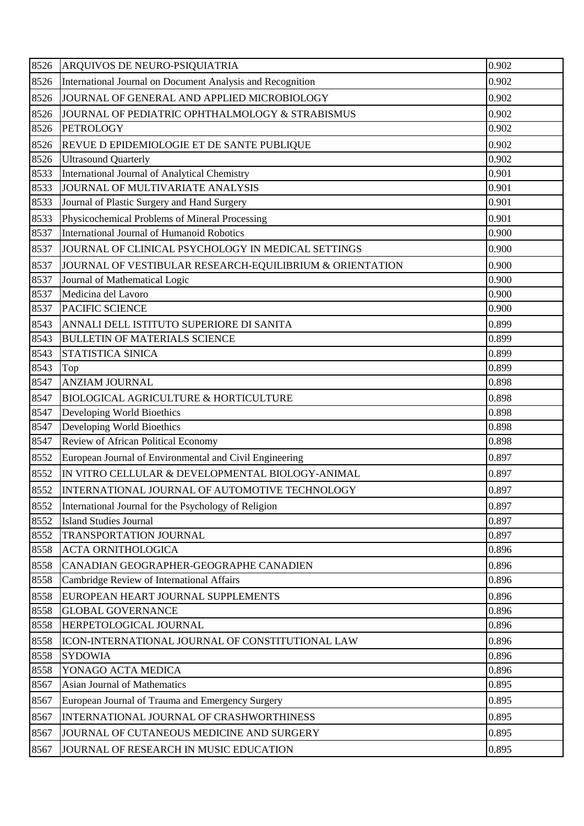| 8526 | <b>ARQUIVOS DE NEURO-PSIQUIATRIA</b>                       | 0.902 |
|------|------------------------------------------------------------|-------|
| 8526 | International Journal on Document Analysis and Recognition | 0.902 |
| 8526 | JOURNAL OF GENERAL AND APPLIED MICROBIOLOGY                | 0.902 |
| 8526 | JOURNAL OF PEDIATRIC OPHTHALMOLOGY & STRABISMUS            | 0.902 |
| 8526 | <b>PETROLOGY</b>                                           | 0.902 |
| 8526 | <b>REVUE D EPIDEMIOLOGIE ET DE SANTE PUBLIQUE</b>          | 0.902 |
| 8526 | <b>Ultrasound Quarterly</b>                                | 0.902 |
| 8533 | International Journal of Analytical Chemistry              | 0.901 |
| 8533 | JOURNAL OF MULTIVARIATE ANALYSIS                           | 0.901 |
| 8533 | Journal of Plastic Surgery and Hand Surgery                | 0.901 |
| 8533 | Physicochemical Problems of Mineral Processing             | 0.901 |
| 8537 | International Journal of Humanoid Robotics                 | 0.900 |
| 8537 | JOURNAL OF CLINICAL PSYCHOLOGY IN MEDICAL SETTINGS         | 0.900 |
| 8537 | JOURNAL OF VESTIBULAR RESEARCH-EQUILIBRIUM & ORIENTATION   | 0.900 |
| 8537 | Journal of Mathematical Logic                              | 0.900 |
| 8537 | Medicina del Lavoro                                        | 0.900 |
| 8537 | <b>PACIFIC SCIENCE</b>                                     | 0.900 |
| 8543 | ANNALI DELL ISTITUTO SUPERIORE DI SANITA                   | 0.899 |
| 8543 | <b>BULLETIN OF MATERIALS SCIENCE</b>                       | 0.899 |
| 8543 | <b>STATISTICA SINICA</b>                                   | 0.899 |
| 8543 | Top                                                        | 0.899 |
| 8547 | <b>ANZIAM JOURNAL</b>                                      | 0.898 |
| 8547 | <b>BIOLOGICAL AGRICULTURE &amp; HORTICULTURE</b>           | 0.898 |
| 8547 | Developing World Bioethics                                 | 0.898 |
| 8547 | Developing World Bioethics                                 | 0.898 |
| 8547 | Review of African Political Economy                        | 0.898 |
| 8552 | European Journal of Environmental and Civil Engineering    | 0.897 |
| 8552 | IN VITRO CELLULAR & DEVELOPMENTAL BIOLOGY-ANIMAL           | 0.897 |
| 8552 | INTERNATIONAL JOURNAL OF AUTOMOTIVE TECHNOLOGY             | 0.897 |
| 8552 | International Journal for the Psychology of Religion       | 0.897 |
| 8552 | <b>Island Studies Journal</b>                              | 0.897 |
| 8552 | TRANSPORTATION JOURNAL                                     | 0.897 |
| 8558 | <b>ACTA ORNITHOLOGICA</b>                                  | 0.896 |
| 8558 | CANADIAN GEOGRAPHER-GEOGRAPHE CANADIEN                     | 0.896 |
| 8558 | Cambridge Review of International Affairs                  | 0.896 |
| 8558 | EUROPEAN HEART JOURNAL SUPPLEMENTS                         | 0.896 |
| 8558 | <b>GLOBAL GOVERNANCE</b>                                   | 0.896 |
| 8558 | HERPETOLOGICAL JOURNAL                                     | 0.896 |
| 8558 | ICON-INTERNATIONAL JOURNAL OF CONSTITUTIONAL LAW           | 0.896 |
| 8558 | <b>SYDOWIA</b>                                             | 0.896 |
| 8558 | YONAGO ACTA MEDICA                                         | 0.896 |
| 8567 | Asian Journal of Mathematics                               | 0.895 |
| 8567 | European Journal of Trauma and Emergency Surgery           | 0.895 |
| 8567 | INTERNATIONAL JOURNAL OF CRASHWORTHINESS                   | 0.895 |
| 8567 | JOURNAL OF CUTANEOUS MEDICINE AND SURGERY                  | 0.895 |
| 8567 | JOURNAL OF RESEARCH IN MUSIC EDUCATION                     | 0.895 |
|      |                                                            |       |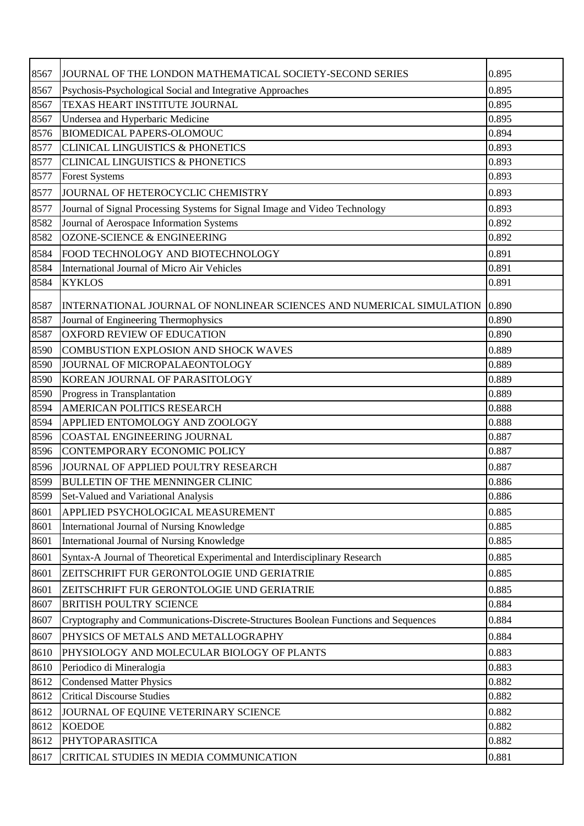| 8567 | JJOURNAL OF THE LONDON MATHEMATICAL SOCIETY-SECOND SERIES                           | 0.895 |
|------|-------------------------------------------------------------------------------------|-------|
| 8567 | Psychosis-Psychological Social and Integrative Approaches                           | 0.895 |
| 8567 | TEXAS HEART INSTITUTE JOURNAL                                                       | 0.895 |
| 8567 | Undersea and Hyperbaric Medicine                                                    | 0.895 |
| 8576 | <b>BIOMEDICAL PAPERS-OLOMOUC</b>                                                    | 0.894 |
| 8577 | <b>CLINICAL LINGUISTICS &amp; PHONETICS</b>                                         | 0.893 |
| 8577 | <b>CLINICAL LINGUISTICS &amp; PHONETICS</b>                                         | 0.893 |
| 8577 | <b>Forest Systems</b>                                                               | 0.893 |
| 8577 | JOURNAL OF HETEROCYCLIC CHEMISTRY                                                   | 0.893 |
| 8577 | Journal of Signal Processing Systems for Signal Image and Video Technology          | 0.893 |
| 8582 | Journal of Aerospace Information Systems                                            | 0.892 |
| 8582 | OZONE-SCIENCE & ENGINEERING                                                         | 0.892 |
| 8584 | FOOD TECHNOLOGY AND BIOTECHNOLOGY                                                   | 0.891 |
| 8584 | International Journal of Micro Air Vehicles                                         | 0.891 |
| 8584 | <b>KYKLOS</b>                                                                       | 0.891 |
|      |                                                                                     |       |
| 8587 | INTERNATIONAL JOURNAL OF NONLINEAR SCIENCES AND NUMERICAL SIMULATION                | 0.890 |
| 8587 | Journal of Engineering Thermophysics                                                | 0.890 |
| 8587 | <b>OXFORD REVIEW OF EDUCATION</b>                                                   | 0.890 |
| 8590 | <b>COMBUSTION EXPLOSION AND SHOCK WAVES</b>                                         | 0.889 |
| 8590 | JOURNAL OF MICROPALAEONTOLOGY                                                       | 0.889 |
| 8590 | KOREAN JOURNAL OF PARASITOLOGY                                                      | 0.889 |
| 8590 | Progress in Transplantation                                                         | 0.889 |
| 8594 | <b>AMERICAN POLITICS RESEARCH</b>                                                   | 0.888 |
| 8594 | APPLIED ENTOMOLOGY AND ZOOLOGY                                                      | 0.888 |
| 8596 | <b>COASTAL ENGINEERING JOURNAL</b>                                                  | 0.887 |
| 8596 | CONTEMPORARY ECONOMIC POLICY                                                        | 0.887 |
| 8596 | JOURNAL OF APPLIED POULTRY RESEARCH                                                 | 0.887 |
| 8599 | <b>BULLETIN OF THE MENNINGER CLINIC</b>                                             | 0.886 |
| 8599 | Set-Valued and Variational Analysis                                                 | 0.886 |
| 8601 | APPLIED PSYCHOLOGICAL MEASUREMENT                                                   | 0.885 |
| 8601 | International Journal of Nursing Knowledge                                          | 0.885 |
| 8601 | International Journal of Nursing Knowledge                                          | 0.885 |
| 8601 | Syntax-A Journal of Theoretical Experimental and Interdisciplinary Research         | 0.885 |
| 8601 | ZEITSCHRIFT FUR GERONTOLOGIE UND GERIATRIE                                          | 0.885 |
| 8601 | ZEITSCHRIFT FUR GERONTOLOGIE UND GERIATRIE                                          | 0.885 |
| 8607 | <b>BRITISH POULTRY SCIENCE</b>                                                      | 0.884 |
| 8607 | Cryptography and Communications-Discrete-Structures Boolean Functions and Sequences | 0.884 |
| 8607 | PHYSICS OF METALS AND METALLOGRAPHY                                                 | 0.884 |
| 8610 | PHYSIOLOGY AND MOLECULAR BIOLOGY OF PLANTS                                          | 0.883 |
| 8610 | Periodico di Mineralogia                                                            | 0.883 |
| 8612 | <b>Condensed Matter Physics</b>                                                     | 0.882 |
| 8612 | <b>Critical Discourse Studies</b>                                                   | 0.882 |
| 8612 | JOURNAL OF EQUINE VETERINARY SCIENCE                                                | 0.882 |
| 8612 | <b>KOEDOE</b>                                                                       | 0.882 |
| 8612 | PHYTOPARASITICA                                                                     | 0.882 |
| 8617 | CRITICAL STUDIES IN MEDIA COMMUNICATION                                             | 0.881 |
|      |                                                                                     |       |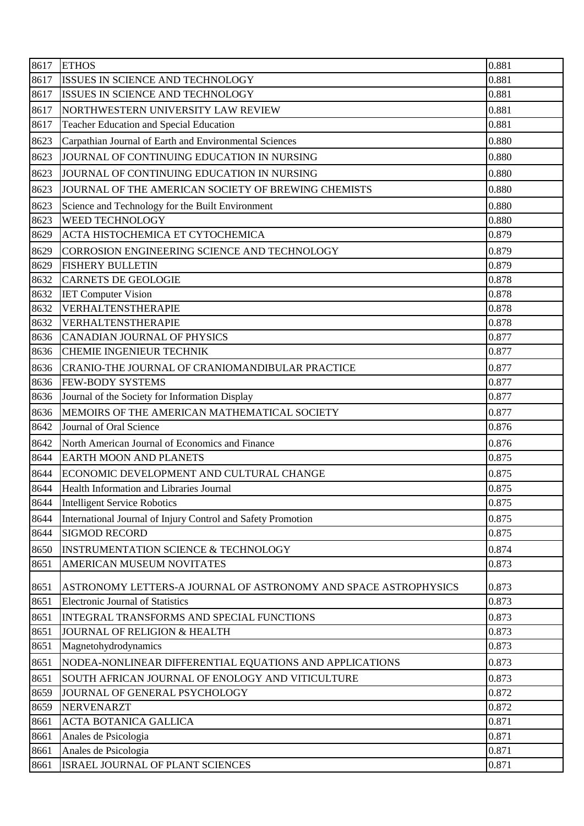| 8617 | <b>ETHOS</b>                                                    | 0.881 |
|------|-----------------------------------------------------------------|-------|
| 8617 | ISSUES IN SCIENCE AND TECHNOLOGY                                | 0.881 |
| 8617 | ISSUES IN SCIENCE AND TECHNOLOGY                                | 0.881 |
| 8617 | NORTHWESTERN UNIVERSITY LAW REVIEW                              | 0.881 |
| 8617 | <b>Teacher Education and Special Education</b>                  | 0.881 |
| 8623 | Carpathian Journal of Earth and Environmental Sciences          | 0.880 |
| 8623 | JOURNAL OF CONTINUING EDUCATION IN NURSING                      | 0.880 |
| 8623 | JOURNAL OF CONTINUING EDUCATION IN NURSING                      | 0.880 |
| 8623 | JOURNAL OF THE AMERICAN SOCIETY OF BREWING CHEMISTS             | 0.880 |
| 8623 | Science and Technology for the Built Environment                | 0.880 |
| 8623 | <b>WEED TECHNOLOGY</b>                                          | 0.880 |
| 8629 | ACTA HISTOCHEMICA ET CYTOCHEMICA                                | 0.879 |
| 8629 | CORROSION ENGINEERING SCIENCE AND TECHNOLOGY                    | 0.879 |
| 8629 | <b>FISHERY BULLETIN</b>                                         | 0.879 |
| 8632 | <b>CARNETS DE GEOLOGIE</b>                                      | 0.878 |
| 8632 | <b>IET Computer Vision</b>                                      | 0.878 |
| 8632 | VERHALTENSTHERAPIE                                              | 0.878 |
| 8632 | VERHALTENSTHERAPIE                                              | 0.878 |
| 8636 | <b>CANADIAN JOURNAL OF PHYSICS</b>                              | 0.877 |
| 8636 | <b>CHEMIE INGENIEUR TECHNIK</b>                                 | 0.877 |
| 8636 | CRANIO-THE JOURNAL OF CRANIOMANDIBULAR PRACTICE                 | 0.877 |
| 8636 | <b>FEW-BODY SYSTEMS</b>                                         | 0.877 |
| 8636 | Journal of the Society for Information Display                  | 0.877 |
| 8636 | MEMOIRS OF THE AMERICAN MATHEMATICAL SOCIETY                    | 0.877 |
| 8642 | Journal of Oral Science                                         | 0.876 |
| 8642 | North American Journal of Economics and Finance                 | 0.876 |
| 8644 | <b>EARTH MOON AND PLANETS</b>                                   | 0.875 |
| 8644 | ECONOMIC DEVELOPMENT AND CULTURAL CHANGE                        | 0.875 |
| 8644 | Health Information and Libraries Journal                        | 0.875 |
| 8644 | <b>Intelligent Service Robotics</b>                             | 0.875 |
| 8644 | International Journal of Injury Control and Safety Promotion    | 0.875 |
| 8644 | <b>SIGMOD RECORD</b>                                            | 0.875 |
| 8650 | <b>INSTRUMENTATION SCIENCE &amp; TECHNOLOGY</b>                 | 0.874 |
| 8651 | AMERICAN MUSEUM NOVITATES                                       | 0.873 |
| 8651 | ASTRONOMY LETTERS-A JOURNAL OF ASTRONOMY AND SPACE ASTROPHYSICS | 0.873 |
| 8651 | <b>Electronic Journal of Statistics</b>                         | 0.873 |
| 8651 | INTEGRAL TRANSFORMS AND SPECIAL FUNCTIONS                       | 0.873 |
| 8651 | JOURNAL OF RELIGION & HEALTH                                    | 0.873 |
| 8651 | Magnetohydrodynamics                                            | 0.873 |
| 8651 | NODEA-NONLINEAR DIFFERENTIAL EQUATIONS AND APPLICATIONS         | 0.873 |
| 8651 | SOUTH AFRICAN JOURNAL OF ENOLOGY AND VITICULTURE                | 0.873 |
| 8659 | JOURNAL OF GENERAL PSYCHOLOGY                                   | 0.872 |
| 8659 | <b>NERVENARZT</b>                                               | 0.872 |
| 8661 | <b>ACTA BOTANICA GALLICA</b>                                    | 0.871 |
| 8661 | Anales de Psicologia                                            | 0.871 |
| 8661 | Anales de Psicologia                                            | 0.871 |
| 8661 | ISRAEL JOURNAL OF PLANT SCIENCES                                | 0.871 |
|      |                                                                 |       |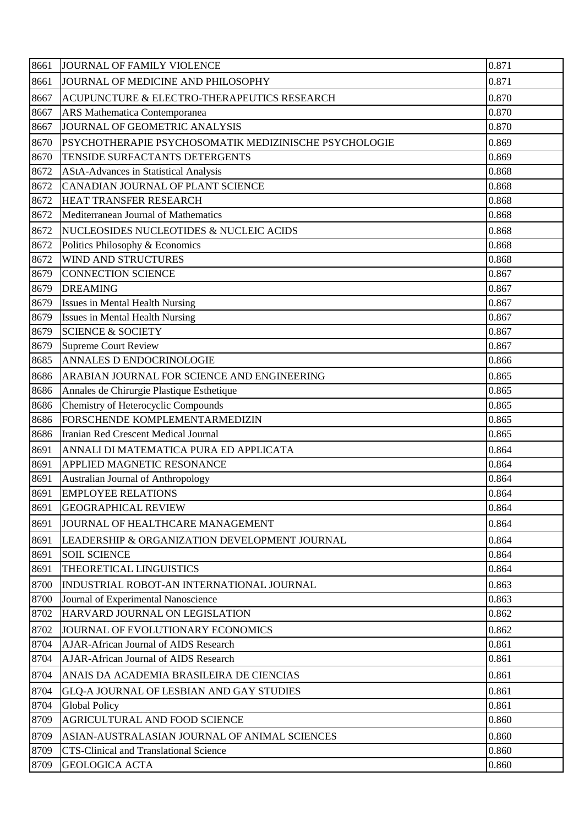| 8661 | JOURNAL OF FAMILY VIOLENCE                            | 0.871 |
|------|-------------------------------------------------------|-------|
| 8661 | JOURNAL OF MEDICINE AND PHILOSOPHY                    | 0.871 |
| 8667 | ACUPUNCTURE & ELECTRO-THERAPEUTICS RESEARCH           | 0.870 |
| 8667 | ARS Mathematica Contemporanea                         | 0.870 |
| 8667 | JOURNAL OF GEOMETRIC ANALYSIS                         | 0.870 |
| 8670 | PSYCHOTHERAPIE PSYCHOSOMATIK MEDIZINISCHE PSYCHOLOGIE | 0.869 |
| 8670 | TENSIDE SURFACTANTS DETERGENTS                        | 0.869 |
| 8672 | <b>AStA-Advances in Statistical Analysis</b>          | 0.868 |
| 8672 | CANADIAN JOURNAL OF PLANT SCIENCE                     | 0.868 |
| 8672 | HEAT TRANSFER RESEARCH                                | 0.868 |
| 8672 | Mediterranean Journal of Mathematics                  | 0.868 |
| 8672 | NUCLEOSIDES NUCLEOTIDES & NUCLEIC ACIDS               | 0.868 |
| 8672 | Politics Philosophy & Economics                       | 0.868 |
| 8672 | <b>WIND AND STRUCTURES</b>                            | 0.868 |
| 8679 | <b>CONNECTION SCIENCE</b>                             | 0.867 |
| 8679 | <b>DREAMING</b>                                       | 0.867 |
| 8679 | <b>Issues in Mental Health Nursing</b>                | 0.867 |
| 8679 | <b>Issues in Mental Health Nursing</b>                | 0.867 |
| 8679 | <b>SCIENCE &amp; SOCIETY</b>                          | 0.867 |
| 8679 | Supreme Court Review                                  | 0.867 |
| 8685 | <b>ANNALES D ENDOCRINOLOGIE</b>                       | 0.866 |
| 8686 | ARABIAN JOURNAL FOR SCIENCE AND ENGINEERING           | 0.865 |
| 8686 | Annales de Chirurgie Plastique Esthetique             | 0.865 |
| 8686 | Chemistry of Heterocyclic Compounds                   | 0.865 |
| 8686 | FORSCHENDE KOMPLEMENTARMEDIZIN                        | 0.865 |
| 8686 | Iranian Red Crescent Medical Journal                  | 0.865 |
| 8691 | ANNALI DI MATEMATICA PURA ED APPLICATA                | 0.864 |
| 8691 | APPLIED MAGNETIC RESONANCE                            | 0.864 |
| 8691 | Australian Journal of Anthropology                    | 0.864 |
| 8691 | <b>EMPLOYEE RELATIONS</b>                             | 0.864 |
| 8691 | <b>GEOGRAPHICAL REVIEW</b>                            | 0.864 |
| 8691 | JOURNAL OF HEALTHCARE MANAGEMENT                      | 0.864 |
| 8691 | LEADERSHIP & ORGANIZATION DEVELOPMENT JOURNAL         | 0.864 |
| 8691 | <b>SOIL SCIENCE</b>                                   | 0.864 |
| 8691 | THEORETICAL LINGUISTICS                               | 0.864 |
| 8700 | INDUSTRIAL ROBOT-AN INTERNATIONAL JOURNAL             | 0.863 |
| 8700 | Journal of Experimental Nanoscience                   | 0.863 |
| 8702 | HARVARD JOURNAL ON LEGISLATION                        | 0.862 |
| 8702 | JOURNAL OF EVOLUTIONARY ECONOMICS                     | 0.862 |
| 8704 | <b>AJAR-African Journal of AIDS Research</b>          | 0.861 |
| 8704 | AJAR-African Journal of AIDS Research                 | 0.861 |
| 8704 | ANAIS DA ACADEMIA BRASILEIRA DE CIENCIAS              | 0.861 |
| 8704 | GLQ-A JOURNAL OF LESBIAN AND GAY STUDIES              | 0.861 |
| 8704 | <b>Global Policy</b>                                  | 0.861 |
| 8709 | AGRICULTURAL AND FOOD SCIENCE                         | 0.860 |
| 8709 | ASIAN-AUSTRALASIAN JOURNAL OF ANIMAL SCIENCES         | 0.860 |
| 8709 | <b>CTS-Clinical and Translational Science</b>         | 0.860 |
| 8709 | <b>GEOLOGICA ACTA</b>                                 | 0.860 |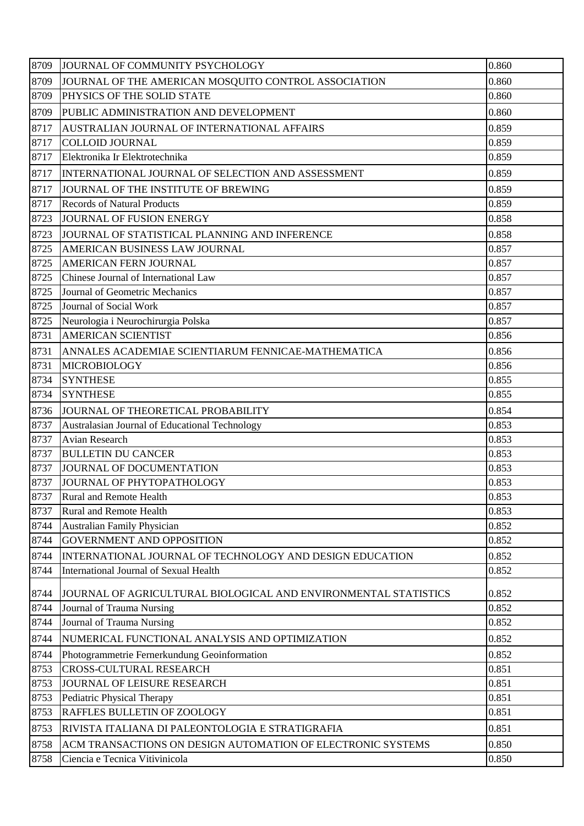| 8709 | JOURNAL OF COMMUNITY PSYCHOLOGY                                 | 0.860 |
|------|-----------------------------------------------------------------|-------|
| 8709 | JOURNAL OF THE AMERICAN MOSQUITO CONTROL ASSOCIATION            | 0.860 |
| 8709 | PHYSICS OF THE SOLID STATE                                      | 0.860 |
| 8709 | PUBLIC ADMINISTRATION AND DEVELOPMENT                           | 0.860 |
| 8717 | AUSTRALIAN JOURNAL OF INTERNATIONAL AFFAIRS                     | 0.859 |
| 8717 | <b>COLLOID JOURNAL</b>                                          | 0.859 |
| 8717 | Elektronika Ir Elektrotechnika                                  | 0.859 |
| 8717 | INTERNATIONAL JOURNAL OF SELECTION AND ASSESSMENT               | 0.859 |
| 8717 | JOURNAL OF THE INSTITUTE OF BREWING                             | 0.859 |
| 8717 | <b>Records of Natural Products</b>                              | 0.859 |
| 8723 | JOURNAL OF FUSION ENERGY                                        | 0.858 |
| 8723 | JOURNAL OF STATISTICAL PLANNING AND INFERENCE                   | 0.858 |
| 8725 | AMERICAN BUSINESS LAW JOURNAL                                   | 0.857 |
| 8725 | <b>AMERICAN FERN JOURNAL</b>                                    | 0.857 |
| 8725 | Chinese Journal of International Law                            | 0.857 |
| 8725 | Journal of Geometric Mechanics                                  | 0.857 |
| 8725 | Journal of Social Work                                          | 0.857 |
| 8725 | Neurologia i Neurochirurgia Polska                              | 0.857 |
| 8731 | <b>AMERICAN SCIENTIST</b>                                       | 0.856 |
| 8731 | ANNALES ACADEMIAE SCIENTIARUM FENNICAE-MATHEMATICA              | 0.856 |
| 8731 | <b>MICROBIOLOGY</b>                                             | 0.856 |
| 8734 | <b>SYNTHESE</b>                                                 | 0.855 |
| 8734 | <b>SYNTHESE</b>                                                 | 0.855 |
| 8736 | JOURNAL OF THEORETICAL PROBABILITY                              | 0.854 |
| 8737 | Australasian Journal of Educational Technology                  | 0.853 |
| 8737 | Avian Research                                                  | 0.853 |
| 8737 | <b>BULLETIN DU CANCER</b>                                       | 0.853 |
| 8737 | JOURNAL OF DOCUMENTATION                                        | 0.853 |
|      | 8737 JOURNAL OF PHYTOPATHOLOGY                                  | 0.853 |
| 8737 | <b>Rural and Remote Health</b>                                  | 0.853 |
| 8737 | <b>Rural and Remote Health</b>                                  | 0.853 |
| 8744 | Australian Family Physician                                     | 0.852 |
| 8744 | <b>GOVERNMENT AND OPPOSITION</b>                                | 0.852 |
| 8744 | INTERNATIONAL JOURNAL OF TECHNOLOGY AND DESIGN EDUCATION        | 0.852 |
| 8744 | International Journal of Sexual Health                          | 0.852 |
| 8744 | JOURNAL OF AGRICULTURAL BIOLOGICAL AND ENVIRONMENTAL STATISTICS | 0.852 |
| 8744 | Journal of Trauma Nursing                                       | 0.852 |
| 8744 | Journal of Trauma Nursing                                       | 0.852 |
| 8744 | NUMERICAL FUNCTIONAL ANALYSIS AND OPTIMIZATION                  | 0.852 |
| 8744 | Photogrammetrie Fernerkundung Geoinformation                    | 0.852 |
| 8753 | CROSS-CULTURAL RESEARCH                                         | 0.851 |
| 8753 | JOURNAL OF LEISURE RESEARCH                                     | 0.851 |
| 8753 | Pediatric Physical Therapy                                      | 0.851 |
| 8753 | RAFFLES BULLETIN OF ZOOLOGY                                     | 0.851 |
| 8753 | RIVISTA ITALIANA DI PALEONTOLOGIA E STRATIGRAFIA                | 0.851 |
| 8758 | ACM TRANSACTIONS ON DESIGN AUTOMATION OF ELECTRONIC SYSTEMS     | 0.850 |
| 8758 | Ciencia e Tecnica Vitivinicola                                  | 0.850 |
|      |                                                                 |       |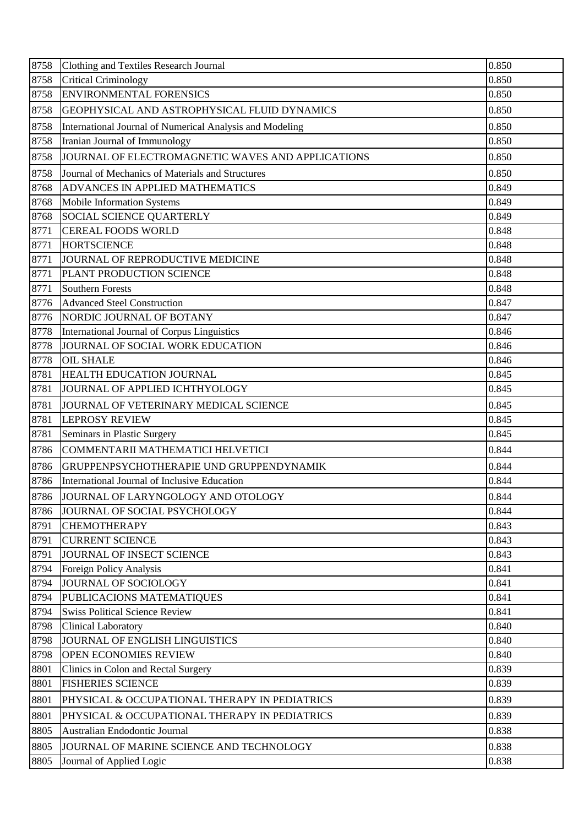| 8758 | Clothing and Textiles Research Journal                   | 0.850 |
|------|----------------------------------------------------------|-------|
| 8758 | <b>Critical Criminology</b>                              | 0.850 |
| 8758 | <b>ENVIRONMENTAL FORENSICS</b>                           | 0.850 |
| 8758 | GEOPHYSICAL AND ASTROPHYSICAL FLUID DYNAMICS             | 0.850 |
| 8758 | International Journal of Numerical Analysis and Modeling | 0.850 |
| 8758 | Iranian Journal of Immunology                            | 0.850 |
| 8758 | JOURNAL OF ELECTROMAGNETIC WAVES AND APPLICATIONS        | 0.850 |
| 8758 | Journal of Mechanics of Materials and Structures         | 0.850 |
| 8768 | ADVANCES IN APPLIED MATHEMATICS                          | 0.849 |
| 8768 | Mobile Information Systems                               | 0.849 |
| 8768 | SOCIAL SCIENCE QUARTERLY                                 | 0.849 |
| 8771 | <b>CEREAL FOODS WORLD</b>                                | 0.848 |
| 8771 | <b>HORTSCIENCE</b>                                       | 0.848 |
| 8771 | JOURNAL OF REPRODUCTIVE MEDICINE                         | 0.848 |
| 8771 | PLANT PRODUCTION SCIENCE                                 | 0.848 |
| 8771 | <b>Southern Forests</b>                                  | 0.848 |
| 8776 | <b>Advanced Steel Construction</b>                       | 0.847 |
| 8776 | NORDIC JOURNAL OF BOTANY                                 | 0.847 |
| 8778 | International Journal of Corpus Linguistics              | 0.846 |
| 8778 | JOURNAL OF SOCIAL WORK EDUCATION                         | 0.846 |
| 8778 | <b>OIL SHALE</b>                                         | 0.846 |
| 8781 | HEALTH EDUCATION JOURNAL                                 | 0.845 |
| 8781 | JOURNAL OF APPLIED ICHTHYOLOGY                           | 0.845 |
| 8781 | JOURNAL OF VETERINARY MEDICAL SCIENCE                    | 0.845 |
| 8781 | <b>LEPROSY REVIEW</b>                                    | 0.845 |
| 8781 | Seminars in Plastic Surgery                              | 0.845 |
| 8786 | COMMENTARII MATHEMATICI HELVETICI                        | 0.844 |
| 8786 | GRUPPENPSYCHOTHERAPIE UND GRUPPENDYNAMIK                 | 0.844 |
| 8786 | International Journal of Inclusive Education             | 0.844 |
| 8786 | JOURNAL OF LARYNGOLOGY AND OTOLOGY                       | 0.844 |
| 8786 | JOURNAL OF SOCIAL PSYCHOLOGY                             | 0.844 |
| 8791 | <b>CHEMOTHERAPY</b>                                      | 0.843 |
| 8791 | <b>CURRENT SCIENCE</b>                                   | 0.843 |
| 8791 | JOURNAL OF INSECT SCIENCE                                | 0.843 |
| 8794 | Foreign Policy Analysis                                  | 0.841 |
| 8794 | JOURNAL OF SOCIOLOGY                                     | 0.841 |
| 8794 | PUBLICACIONS MATEMATIQUES                                | 0.841 |
| 8794 | <b>Swiss Political Science Review</b>                    | 0.841 |
| 8798 | <b>Clinical Laboratory</b>                               | 0.840 |
| 8798 | JOURNAL OF ENGLISH LINGUISTICS                           | 0.840 |
| 8798 | OPEN ECONOMIES REVIEW                                    | 0.840 |
| 8801 | Clinics in Colon and Rectal Surgery                      | 0.839 |
| 8801 | <b>FISHERIES SCIENCE</b>                                 | 0.839 |
| 8801 | PHYSICAL & OCCUPATIONAL THERAPY IN PEDIATRICS            | 0.839 |
| 8801 | PHYSICAL & OCCUPATIONAL THERAPY IN PEDIATRICS            | 0.839 |
| 8805 | Australian Endodontic Journal                            | 0.838 |
| 8805 | JOURNAL OF MARINE SCIENCE AND TECHNOLOGY                 | 0.838 |
| 8805 | Journal of Applied Logic                                 | 0.838 |
|      |                                                          |       |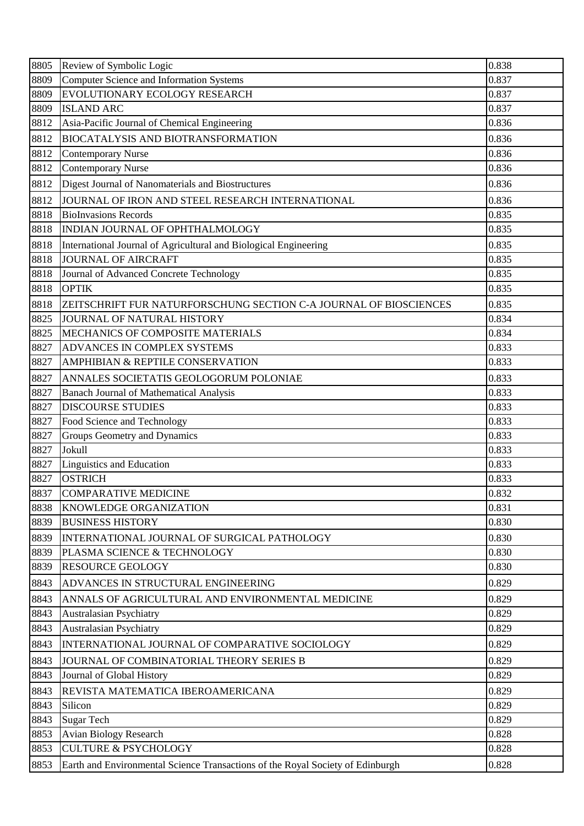| 8805 | Review of Symbolic Logic                                                       | 0.838 |
|------|--------------------------------------------------------------------------------|-------|
| 8809 | <b>Computer Science and Information Systems</b>                                | 0.837 |
| 8809 | EVOLUTIONARY ECOLOGY RESEARCH                                                  | 0.837 |
| 8809 | <b>ISLAND ARC</b>                                                              | 0.837 |
| 8812 | Asia-Pacific Journal of Chemical Engineering                                   | 0.836 |
| 8812 | <b>BIOCATALYSIS AND BIOTRANSFORMATION</b>                                      | 0.836 |
| 8812 | <b>Contemporary Nurse</b>                                                      | 0.836 |
| 8812 | <b>Contemporary Nurse</b>                                                      | 0.836 |
| 8812 | Digest Journal of Nanomaterials and Biostructures                              | 0.836 |
| 8812 | JOURNAL OF IRON AND STEEL RESEARCH INTERNATIONAL                               | 0.836 |
| 8818 | <b>BioInvasions Records</b>                                                    | 0.835 |
| 8818 | INDIAN JOURNAL OF OPHTHALMOLOGY                                                | 0.835 |
| 8818 | International Journal of Agricultural and Biological Engineering               | 0.835 |
| 8818 | <b>JOURNAL OF AIRCRAFT</b>                                                     | 0.835 |
| 8818 | Journal of Advanced Concrete Technology                                        | 0.835 |
| 8818 | <b>OPTIK</b>                                                                   | 0.835 |
| 8818 | ZEITSCHRIFT FUR NATURFORSCHUNG SECTION C-A JOURNAL OF BIOSCIENCES              | 0.835 |
| 8825 | JOURNAL OF NATURAL HISTORY                                                     | 0.834 |
| 8825 | MECHANICS OF COMPOSITE MATERIALS                                               | 0.834 |
| 8827 | ADVANCES IN COMPLEX SYSTEMS                                                    | 0.833 |
| 8827 | AMPHIBIAN & REPTILE CONSERVATION                                               | 0.833 |
| 8827 | ANNALES SOCIETATIS GEOLOGORUM POLONIAE                                         | 0.833 |
| 8827 | <b>Banach Journal of Mathematical Analysis</b>                                 | 0.833 |
| 8827 | <b>DISCOURSE STUDIES</b>                                                       | 0.833 |
| 8827 | Food Science and Technology                                                    | 0.833 |
| 8827 | <b>Groups Geometry and Dynamics</b>                                            | 0.833 |
| 8827 | Jokull                                                                         | 0.833 |
| 8827 | Linguistics and Education                                                      | 0.833 |
| 8827 | <b>OSTRICH</b>                                                                 | 0.833 |
| 8837 | <b>COMPARATIVE MEDICINE</b>                                                    | 0.832 |
| 8838 | KNOWLEDGE ORGANIZATION                                                         | 0.831 |
| 8839 | <b>BUSINESS HISTORY</b>                                                        | 0.830 |
| 8839 | INTERNATIONAL JOURNAL OF SURGICAL PATHOLOGY                                    | 0.830 |
| 8839 | PLASMA SCIENCE & TECHNOLOGY                                                    | 0.830 |
| 8839 | <b>RESOURCE GEOLOGY</b>                                                        | 0.830 |
| 8843 | ADVANCES IN STRUCTURAL ENGINEERING                                             | 0.829 |
| 8843 | ANNALS OF AGRICULTURAL AND ENVIRONMENTAL MEDICINE                              | 0.829 |
| 8843 | <b>Australasian Psychiatry</b>                                                 | 0.829 |
| 8843 | <b>Australasian Psychiatry</b>                                                 | 0.829 |
| 8843 | INTERNATIONAL JOURNAL OF COMPARATIVE SOCIOLOGY                                 | 0.829 |
| 8843 | JOURNAL OF COMBINATORIAL THEORY SERIES B                                       | 0.829 |
| 8843 | Journal of Global History                                                      | 0.829 |
| 8843 | REVISTA MATEMATICA IBEROAMERICANA                                              | 0.829 |
| 8843 | Silicon                                                                        | 0.829 |
| 8843 | <b>Sugar Tech</b>                                                              | 0.829 |
| 8853 | <b>Avian Biology Research</b>                                                  | 0.828 |
| 8853 | <b>CULTURE &amp; PSYCHOLOGY</b>                                                | 0.828 |
| 8853 | Earth and Environmental Science Transactions of the Royal Society of Edinburgh | 0.828 |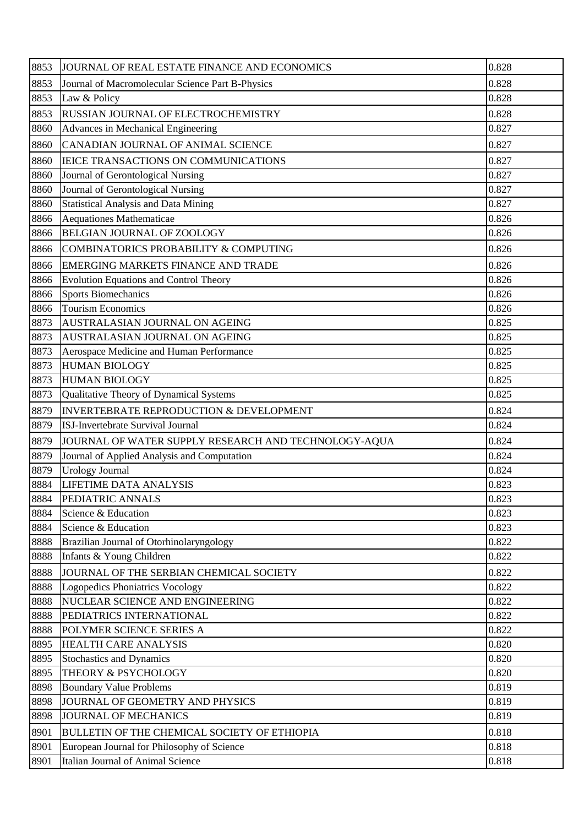| 8853 | JOURNAL OF REAL ESTATE FINANCE AND ECONOMICS         | 0.828 |
|------|------------------------------------------------------|-------|
| 8853 | Journal of Macromolecular Science Part B-Physics     | 0.828 |
| 8853 | Law & Policy                                         | 0.828 |
| 8853 | RUSSIAN JOURNAL OF ELECTROCHEMISTRY                  | 0.828 |
| 8860 | Advances in Mechanical Engineering                   | 0.827 |
| 8860 | CANADIAN JOURNAL OF ANIMAL SCIENCE                   | 0.827 |
| 8860 | <b>IEICE TRANSACTIONS ON COMMUNICATIONS</b>          | 0.827 |
| 8860 | Journal of Gerontological Nursing                    | 0.827 |
| 8860 | Journal of Gerontological Nursing                    | 0.827 |
| 8860 | <b>Statistical Analysis and Data Mining</b>          | 0.827 |
| 8866 | Aequationes Mathematicae                             | 0.826 |
| 8866 | BELGIAN JOURNAL OF ZOOLOGY                           | 0.826 |
| 8866 | COMBINATORICS PROBABILITY & COMPUTING                | 0.826 |
| 8866 | <b>EMERGING MARKETS FINANCE AND TRADE</b>            | 0.826 |
| 8866 | <b>Evolution Equations and Control Theory</b>        | 0.826 |
| 8866 | <b>Sports Biomechanics</b>                           | 0.826 |
| 8866 | <b>Tourism Economics</b>                             | 0.826 |
| 8873 | AUSTRALASIAN JOURNAL ON AGEING                       | 0.825 |
| 8873 | AUSTRALASIAN JOURNAL ON AGEING                       | 0.825 |
| 8873 | Aerospace Medicine and Human Performance             | 0.825 |
| 8873 | <b>HUMAN BIOLOGY</b>                                 | 0.825 |
| 8873 | <b>HUMAN BIOLOGY</b>                                 | 0.825 |
| 8873 | Qualitative Theory of Dynamical Systems              | 0.825 |
| 8879 | INVERTEBRATE REPRODUCTION & DEVELOPMENT              | 0.824 |
| 8879 | <b>ISJ-Invertebrate Survival Journal</b>             | 0.824 |
| 8879 | JOURNAL OF WATER SUPPLY RESEARCH AND TECHNOLOGY-AQUA | 0.824 |
| 8879 | Journal of Applied Analysis and Computation          | 0.824 |
| 8879 | Urology Journal                                      | 0.824 |
| 8884 | <b>LIFETIME DATA ANALYSIS</b>                        | 0.823 |
| 8884 | PEDIATRIC ANNALS                                     | 0.823 |
| 8884 | Science & Education                                  | 0.823 |
| 8884 | Science & Education                                  | 0.823 |
| 8888 | Brazilian Journal of Otorhinolaryngology             | 0.822 |
| 8888 | Infants & Young Children                             | 0.822 |
| 8888 | JOURNAL OF THE SERBIAN CHEMICAL SOCIETY              | 0.822 |
| 8888 | Logopedics Phoniatrics Vocology                      | 0.822 |
| 8888 | NUCLEAR SCIENCE AND ENGINEERING                      | 0.822 |
| 8888 | PEDIATRICS INTERNATIONAL                             | 0.822 |
| 8888 | POLYMER SCIENCE SERIES A                             | 0.822 |
| 8895 | <b>HEALTH CARE ANALYSIS</b>                          | 0.820 |
| 8895 | <b>Stochastics and Dynamics</b>                      | 0.820 |
| 8895 | THEORY & PSYCHOLOGY                                  | 0.820 |
| 8898 | <b>Boundary Value Problems</b>                       | 0.819 |
| 8898 | JOURNAL OF GEOMETRY AND PHYSICS                      | 0.819 |
| 8898 | <b>JOURNAL OF MECHANICS</b>                          | 0.819 |
| 8901 | BULLETIN OF THE CHEMICAL SOCIETY OF ETHIOPIA         | 0.818 |
| 8901 | European Journal for Philosophy of Science           | 0.818 |
| 8901 | Italian Journal of Animal Science                    | 0.818 |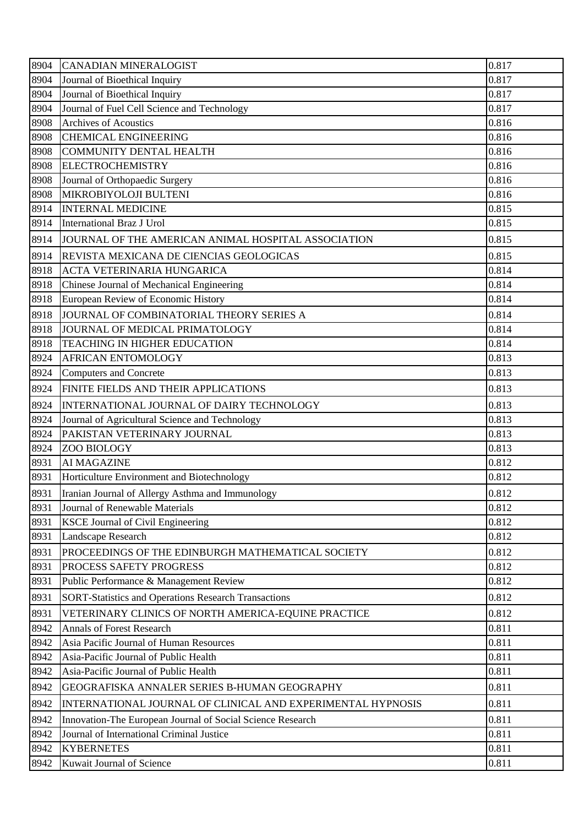| 8904 | <b>CANADIAN MINERALOGIST</b>                                | 0.817 |
|------|-------------------------------------------------------------|-------|
| 8904 | Journal of Bioethical Inquiry                               | 0.817 |
| 8904 | Journal of Bioethical Inquiry                               | 0.817 |
| 8904 | Journal of Fuel Cell Science and Technology                 | 0.817 |
| 8908 | <b>Archives of Acoustics</b>                                | 0.816 |
| 8908 | <b>CHEMICAL ENGINEERING</b>                                 | 0.816 |
| 8908 | <b>COMMUNITY DENTAL HEALTH</b>                              | 0.816 |
| 8908 | <b>ELECTROCHEMISTRY</b>                                     | 0.816 |
| 8908 | Journal of Orthopaedic Surgery                              | 0.816 |
| 8908 | MIKROBIYOLOJI BULTENI                                       | 0.816 |
| 8914 | <b>INTERNAL MEDICINE</b>                                    | 0.815 |
| 8914 | International Braz J Urol                                   | 0.815 |
| 8914 | JOURNAL OF THE AMERICAN ANIMAL HOSPITAL ASSOCIATION         | 0.815 |
| 8914 | REVISTA MEXICANA DE CIENCIAS GEOLOGICAS                     | 0.815 |
| 8918 | <b>ACTA VETERINARIA HUNGARICA</b>                           | 0.814 |
| 8918 | Chinese Journal of Mechanical Engineering                   | 0.814 |
| 8918 | European Review of Economic History                         | 0.814 |
| 8918 | JOURNAL OF COMBINATORIAL THEORY SERIES A                    | 0.814 |
| 8918 | JOURNAL OF MEDICAL PRIMATOLOGY                              | 0.814 |
| 8918 | TEACHING IN HIGHER EDUCATION                                | 0.814 |
| 8924 | <b>AFRICAN ENTOMOLOGY</b>                                   | 0.813 |
| 8924 | <b>Computers and Concrete</b>                               | 0.813 |
| 8924 | FINITE FIELDS AND THEIR APPLICATIONS                        | 0.813 |
| 8924 | INTERNATIONAL JOURNAL OF DAIRY TECHNOLOGY                   | 0.813 |
| 8924 | Journal of Agricultural Science and Technology              | 0.813 |
| 8924 | PAKISTAN VETERINARY JOURNAL                                 | 0.813 |
| 8924 | ZOO BIOLOGY                                                 | 0.813 |
| 8931 | <b>AI MAGAZINE</b>                                          | 0.812 |
| 8931 | Horticulture Environment and Biotechnology                  | 0.812 |
| 8931 | Iranian Journal of Allergy Asthma and Immunology            | 0.812 |
| 8931 | Journal of Renewable Materials                              | 0.812 |
| 8931 | <b>KSCE Journal of Civil Engineering</b>                    | 0.812 |
| 8931 | Landscape Research                                          | 0.812 |
| 8931 | PROCEEDINGS OF THE EDINBURGH MATHEMATICAL SOCIETY           | 0.812 |
| 8931 | PROCESS SAFETY PROGRESS                                     | 0.812 |
| 8931 | Public Performance & Management Review                      | 0.812 |
| 8931 | <b>SORT-Statistics and Operations Research Transactions</b> | 0.812 |
| 8931 | VETERINARY CLINICS OF NORTH AMERICA-EQUINE PRACTICE         | 0.812 |
| 8942 | <b>Annals of Forest Research</b>                            | 0.811 |
| 8942 | Asia Pacific Journal of Human Resources                     | 0.811 |
| 8942 | Asia-Pacific Journal of Public Health                       | 0.811 |
| 8942 | Asia-Pacific Journal of Public Health                       | 0.811 |
| 8942 | GEOGRAFISKA ANNALER SERIES B-HUMAN GEOGRAPHY                | 0.811 |
| 8942 | INTERNATIONAL JOURNAL OF CLINICAL AND EXPERIMENTAL HYPNOSIS | 0.811 |
| 8942 | Innovation-The European Journal of Social Science Research  | 0.811 |
| 8942 | Journal of International Criminal Justice                   | 0.811 |
| 8942 | <b>KYBERNETES</b>                                           | 0.811 |
| 8942 | Kuwait Journal of Science                                   | 0.811 |
|      |                                                             |       |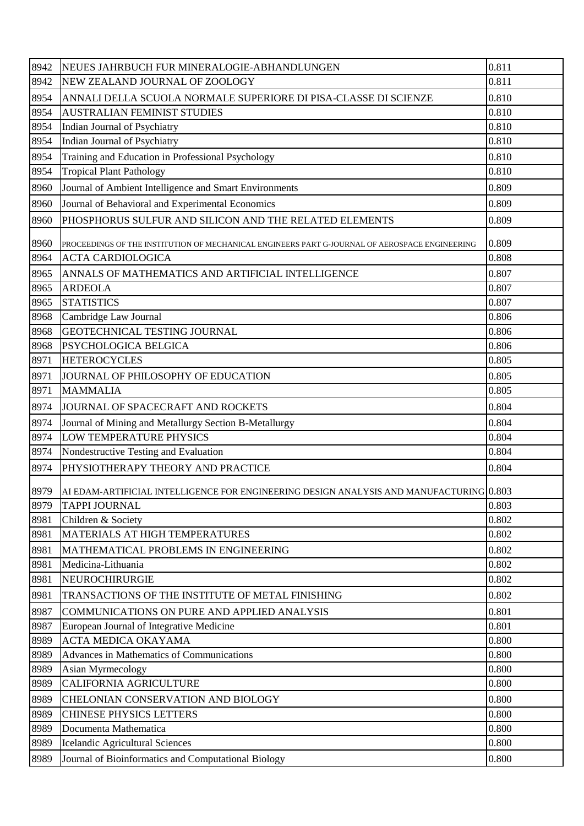| 8942 | NEUES JAHRBUCH FUR MINERALOGIE-ABHANDLUNGEN                                                    | 0.811 |
|------|------------------------------------------------------------------------------------------------|-------|
| 8942 | NEW ZEALAND JOURNAL OF ZOOLOGY                                                                 | 0.811 |
| 8954 | ANNALI DELLA SCUOLA NORMALE SUPERIORE DI PISA-CLASSE DI SCIENZE                                | 0.810 |
| 8954 | <b>AUSTRALIAN FEMINIST STUDIES</b>                                                             | 0.810 |
| 8954 | Indian Journal of Psychiatry                                                                   | 0.810 |
| 8954 | Indian Journal of Psychiatry                                                                   | 0.810 |
| 8954 | Training and Education in Professional Psychology                                              | 0.810 |
| 8954 | <b>Tropical Plant Pathology</b>                                                                | 0.810 |
| 8960 | Journal of Ambient Intelligence and Smart Environments                                         | 0.809 |
| 8960 | Journal of Behavioral and Experimental Economics                                               | 0.809 |
| 8960 | PHOSPHORUS SULFUR AND SILICON AND THE RELATED ELEMENTS                                         | 0.809 |
| 8960 | PROCEEDINGS OF THE INSTITUTION OF MECHANICAL ENGINEERS PART G-JOURNAL OF AEROSPACE ENGINEERING | 0.809 |
| 8964 | <b>ACTA CARDIOLOGICA</b>                                                                       | 0.808 |
| 8965 | ANNALS OF MATHEMATICS AND ARTIFICIAL INTELLIGENCE                                              | 0.807 |
| 8965 | <b>ARDEOLA</b>                                                                                 | 0.807 |
| 8965 | <b>STATISTICS</b>                                                                              | 0.807 |
| 8968 | Cambridge Law Journal                                                                          | 0.806 |
| 8968 | GEOTECHNICAL TESTING JOURNAL                                                                   | 0.806 |
| 8968 | PSYCHOLOGICA BELGICA                                                                           | 0.806 |
| 8971 | <b>HETEROCYCLES</b>                                                                            | 0.805 |
| 8971 | JOURNAL OF PHILOSOPHY OF EDUCATION                                                             | 0.805 |
| 8971 | <b>MAMMALIA</b>                                                                                | 0.805 |
| 8974 | JOURNAL OF SPACECRAFT AND ROCKETS                                                              | 0.804 |
| 8974 | Journal of Mining and Metallurgy Section B-Metallurgy                                          | 0.804 |
| 8974 | <b>LOW TEMPERATURE PHYSICS</b>                                                                 | 0.804 |
| 8974 | Nondestructive Testing and Evaluation                                                          | 0.804 |
| 8974 | PHYSIOTHERAPY THEORY AND PRACTICE                                                              | 0.804 |
| 8979 | AI EDAM-ARTIFICIAL INTELLIGENCE FOR ENGINEERING DESIGN ANALYSIS AND MANUFACTURING 0.803        |       |
| 8979 | <b>TAPPI JOURNAL</b>                                                                           | 0.803 |
| 8981 | Children & Society                                                                             | 0.802 |
| 8981 | MATERIALS AT HIGH TEMPERATURES                                                                 | 0.802 |
| 8981 | MATHEMATICAL PROBLEMS IN ENGINEERING                                                           | 0.802 |
| 8981 | Medicina-Lithuania                                                                             | 0.802 |
| 8981 | NEUROCHIRURGIE                                                                                 | 0.802 |
| 8981 | TRANSACTIONS OF THE INSTITUTE OF METAL FINISHING                                               | 0.802 |
| 8987 | COMMUNICATIONS ON PURE AND APPLIED ANALYSIS                                                    | 0.801 |
| 8987 | European Journal of Integrative Medicine                                                       | 0.801 |
| 8989 | ACTA MEDICA OKAYAMA                                                                            | 0.800 |
| 8989 | Advances in Mathematics of Communications                                                      | 0.800 |
| 8989 | Asian Myrmecology                                                                              | 0.800 |
| 8989 | <b>CALIFORNIA AGRICULTURE</b>                                                                  | 0.800 |
| 8989 | CHELONIAN CONSERVATION AND BIOLOGY                                                             | 0.800 |
| 8989 | <b>CHINESE PHYSICS LETTERS</b>                                                                 | 0.800 |
| 8989 | Documenta Mathematica                                                                          | 0.800 |
| 8989 | Icelandic Agricultural Sciences                                                                | 0.800 |
| 8989 | Journal of Bioinformatics and Computational Biology                                            | 0.800 |
|      |                                                                                                |       |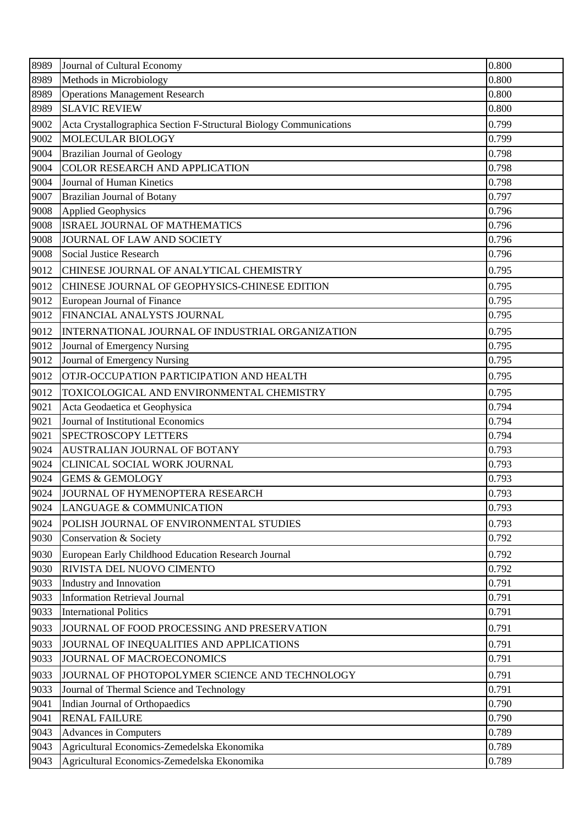| 8989 | Journal of Cultural Economy                                        | 0.800 |
|------|--------------------------------------------------------------------|-------|
| 8989 | Methods in Microbiology                                            | 0.800 |
| 8989 | <b>Operations Management Research</b>                              | 0.800 |
| 8989 | <b>SLAVIC REVIEW</b>                                               | 0.800 |
| 9002 | Acta Crystallographica Section F-Structural Biology Communications | 0.799 |
| 9002 | MOLECULAR BIOLOGY                                                  | 0.799 |
| 9004 | <b>Brazilian Journal of Geology</b>                                | 0.798 |
| 9004 | COLOR RESEARCH AND APPLICATION                                     | 0.798 |
| 9004 | Journal of Human Kinetics                                          | 0.798 |
| 9007 | Brazilian Journal of Botany                                        | 0.797 |
| 9008 | <b>Applied Geophysics</b>                                          | 0.796 |
| 9008 | <b>ISRAEL JOURNAL OF MATHEMATICS</b>                               | 0.796 |
| 9008 | JOURNAL OF LAW AND SOCIETY                                         | 0.796 |
| 9008 | Social Justice Research                                            | 0.796 |
| 9012 | CHINESE JOURNAL OF ANALYTICAL CHEMISTRY                            | 0.795 |
| 9012 | CHINESE JOURNAL OF GEOPHYSICS-CHINESE EDITION                      | 0.795 |
| 9012 | European Journal of Finance                                        | 0.795 |
| 9012 | FINANCIAL ANALYSTS JOURNAL                                         | 0.795 |
| 9012 | INTERNATIONAL JOURNAL OF INDUSTRIAL ORGANIZATION                   | 0.795 |
| 9012 | Journal of Emergency Nursing                                       | 0.795 |
| 9012 | Journal of Emergency Nursing                                       | 0.795 |
| 9012 | OTJR-OCCUPATION PARTICIPATION AND HEALTH                           | 0.795 |
| 9012 | TOXICOLOGICAL AND ENVIRONMENTAL CHEMISTRY                          | 0.795 |
| 9021 | Acta Geodaetica et Geophysica                                      | 0.794 |
| 9021 | Journal of Institutional Economics                                 | 0.794 |
| 9021 | SPECTROSCOPY LETTERS                                               | 0.794 |
| 9024 | AUSTRALIAN JOURNAL OF BOTANY                                       | 0.793 |
| 9024 | CLINICAL SOCIAL WORK JOURNAL                                       | 0.793 |
| 9024 | <b>GEMS &amp; GEMOLOGY</b>                                         | 0.793 |
| 9024 | JOURNAL OF HYMENOPTERA RESEARCH                                    | 0.793 |
| 9024 | LANGUAGE & COMMUNICATION                                           | 0.793 |
| 9024 | POLISH JOURNAL OF ENVIRONMENTAL STUDIES                            | 0.793 |
| 9030 | Conservation & Society                                             | 0.792 |
| 9030 | European Early Childhood Education Research Journal                | 0.792 |
| 9030 | RIVISTA DEL NUOVO CIMENTO                                          | 0.792 |
| 9033 | Industry and Innovation                                            | 0.791 |
| 9033 | <b>Information Retrieval Journal</b>                               | 0.791 |
| 9033 | <b>International Politics</b>                                      | 0.791 |
| 9033 | JOURNAL OF FOOD PROCESSING AND PRESERVATION                        | 0.791 |
| 9033 | JOURNAL OF INEQUALITIES AND APPLICATIONS                           | 0.791 |
| 9033 | JOURNAL OF MACROECONOMICS                                          | 0.791 |
| 9033 | JOURNAL OF PHOTOPOLYMER SCIENCE AND TECHNOLOGY                     | 0.791 |
| 9033 | Journal of Thermal Science and Technology                          | 0.791 |
| 9041 | Indian Journal of Orthopaedics                                     | 0.790 |
| 9041 | <b>RENAL FAILURE</b>                                               | 0.790 |
| 9043 | Advances in Computers                                              | 0.789 |
| 9043 | Agricultural Economics-Zemedelska Ekonomika                        | 0.789 |
| 9043 | Agricultural Economics-Zemedelska Ekonomika                        | 0.789 |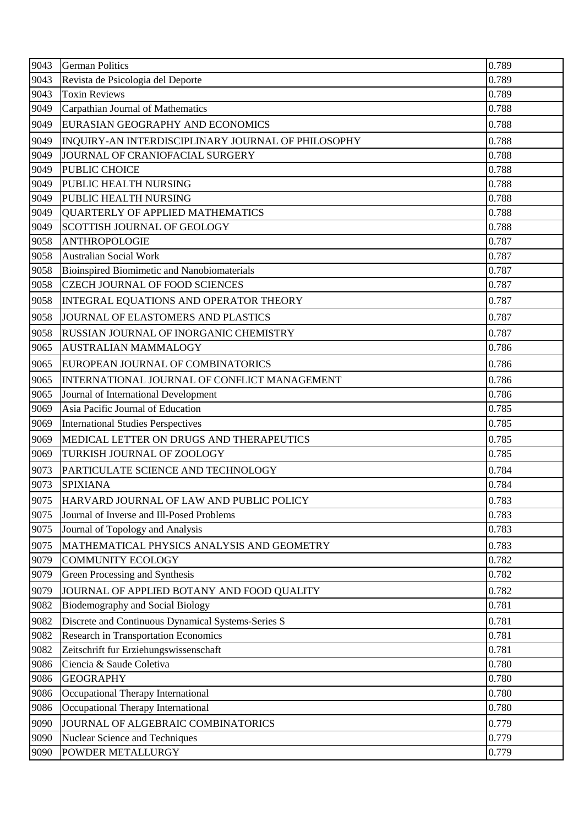| 0.789<br>9043<br>Revista de Psicologia del Deporte<br>0.789<br>9043<br><b>Toxin Reviews</b><br>Carpathian Journal of Mathematics<br>0.788<br>9049<br>0.788<br>9049<br>EURASIAN GEOGRAPHY AND ECONOMICS<br>0.788<br>9049<br>INQUIRY-AN INTERDISCIPLINARY JOURNAL OF PHILOSOPHY<br>0.788<br>9049<br>JOURNAL OF CRANIOFACIAL SURGERY<br>9049<br>PUBLIC CHOICE<br>0.788<br>0.788<br>9049<br>PUBLIC HEALTH NURSING<br>PUBLIC HEALTH NURSING<br>0.788<br>9049<br>9049<br>QUARTERLY OF APPLIED MATHEMATICS<br>0.788<br>9049<br><b>SCOTTISH JOURNAL OF GEOLOGY</b><br>0.788<br>9058<br><b>ANTHROPOLOGIE</b><br>0.787<br>0.787<br>9058<br><b>Australian Social Work</b><br><b>Bioinspired Biomimetic and Nanobiomaterials</b><br>0.787<br>9058<br><b>CZECH JOURNAL OF FOOD SCIENCES</b><br>0.787<br>9058<br>0.787<br>9058<br>INTEGRAL EQUATIONS AND OPERATOR THEORY<br>0.787<br>9058<br>JOURNAL OF ELASTOMERS AND PLASTICS<br>0.787<br>9058<br><b>RUSSIAN JOURNAL OF INORGANIC CHEMISTRY</b><br>0.786<br>9065<br><b>AUSTRALIAN MAMMALOGY</b><br>0.786<br>9065<br>EUROPEAN JOURNAL OF COMBINATORICS<br>0.786<br>9065<br>INTERNATIONAL JOURNAL OF CONFLICT MANAGEMENT<br>0.786<br>9065<br>Journal of International Development<br>Asia Pacific Journal of Education<br>0.785<br>9069<br>9069<br><b>International Studies Perspectives</b><br>0.785<br>9069<br>MEDICAL LETTER ON DRUGS AND THERAPEUTICS<br>0.785<br>0.785<br>9069<br>TURKISH JOURNAL OF ZOOLOGY<br>9073<br>0.784<br>PARTICULATE SCIENCE AND TECHNOLOGY<br>9073<br><b>SPIXIANA</b><br>0.784<br>9075<br>0.783<br>HARVARD JOURNAL OF LAW AND PUBLIC POLICY<br>0.783<br>9075<br>Journal of Inverse and Ill-Posed Problems<br>9075<br>0.783<br>Journal of Topology and Analysis<br>9075<br>MATHEMATICAL PHYSICS ANALYSIS AND GEOMETRY<br>0.783<br>9079<br><b>COMMUNITY ECOLOGY</b><br>0.782<br>9079<br>0.782<br>Green Processing and Synthesis<br>9079<br>JOURNAL OF APPLIED BOTANY AND FOOD QUALITY<br>0.782<br>0.781<br>9082<br>Biodemography and Social Biology<br>0.781<br>9082<br>Discrete and Continuous Dynamical Systems-Series S<br><b>Research in Transportation Economics</b><br>0.781<br>9082<br>Zeitschrift fur Erziehungswissenschaft<br>0.781<br>9082<br>9086<br>Ciencia & Saude Coletiva<br>0.780<br>0.780<br>9086<br><b>GEOGRAPHY</b><br>9086<br>Occupational Therapy International<br>0.780<br>0.780<br>9086<br>Occupational Therapy International<br>0.779<br>9090<br>JOURNAL OF ALGEBRAIC COMBINATORICS<br>9090<br>Nuclear Science and Techniques<br>0.779<br>9090<br>POWDER METALLURGY<br>0.779 | 9043 | <b>German Politics</b> | 0.789 |
|---------------------------------------------------------------------------------------------------------------------------------------------------------------------------------------------------------------------------------------------------------------------------------------------------------------------------------------------------------------------------------------------------------------------------------------------------------------------------------------------------------------------------------------------------------------------------------------------------------------------------------------------------------------------------------------------------------------------------------------------------------------------------------------------------------------------------------------------------------------------------------------------------------------------------------------------------------------------------------------------------------------------------------------------------------------------------------------------------------------------------------------------------------------------------------------------------------------------------------------------------------------------------------------------------------------------------------------------------------------------------------------------------------------------------------------------------------------------------------------------------------------------------------------------------------------------------------------------------------------------------------------------------------------------------------------------------------------------------------------------------------------------------------------------------------------------------------------------------------------------------------------------------------------------------------------------------------------------------------------------------------------------------------------------------------------------------------------------------------------------------------------------------------------------------------------------------------------------------------------------------------------------------------------------------------------------------------------------------------------------------------------------------------------------------------------------------------------------------------------------------------------------------------------------------------------------|------|------------------------|-------|
|                                                                                                                                                                                                                                                                                                                                                                                                                                                                                                                                                                                                                                                                                                                                                                                                                                                                                                                                                                                                                                                                                                                                                                                                                                                                                                                                                                                                                                                                                                                                                                                                                                                                                                                                                                                                                                                                                                                                                                                                                                                                                                                                                                                                                                                                                                                                                                                                                                                                                                                                                                     |      |                        |       |
|                                                                                                                                                                                                                                                                                                                                                                                                                                                                                                                                                                                                                                                                                                                                                                                                                                                                                                                                                                                                                                                                                                                                                                                                                                                                                                                                                                                                                                                                                                                                                                                                                                                                                                                                                                                                                                                                                                                                                                                                                                                                                                                                                                                                                                                                                                                                                                                                                                                                                                                                                                     |      |                        |       |
|                                                                                                                                                                                                                                                                                                                                                                                                                                                                                                                                                                                                                                                                                                                                                                                                                                                                                                                                                                                                                                                                                                                                                                                                                                                                                                                                                                                                                                                                                                                                                                                                                                                                                                                                                                                                                                                                                                                                                                                                                                                                                                                                                                                                                                                                                                                                                                                                                                                                                                                                                                     |      |                        |       |
|                                                                                                                                                                                                                                                                                                                                                                                                                                                                                                                                                                                                                                                                                                                                                                                                                                                                                                                                                                                                                                                                                                                                                                                                                                                                                                                                                                                                                                                                                                                                                                                                                                                                                                                                                                                                                                                                                                                                                                                                                                                                                                                                                                                                                                                                                                                                                                                                                                                                                                                                                                     |      |                        |       |
|                                                                                                                                                                                                                                                                                                                                                                                                                                                                                                                                                                                                                                                                                                                                                                                                                                                                                                                                                                                                                                                                                                                                                                                                                                                                                                                                                                                                                                                                                                                                                                                                                                                                                                                                                                                                                                                                                                                                                                                                                                                                                                                                                                                                                                                                                                                                                                                                                                                                                                                                                                     |      |                        |       |
|                                                                                                                                                                                                                                                                                                                                                                                                                                                                                                                                                                                                                                                                                                                                                                                                                                                                                                                                                                                                                                                                                                                                                                                                                                                                                                                                                                                                                                                                                                                                                                                                                                                                                                                                                                                                                                                                                                                                                                                                                                                                                                                                                                                                                                                                                                                                                                                                                                                                                                                                                                     |      |                        |       |
|                                                                                                                                                                                                                                                                                                                                                                                                                                                                                                                                                                                                                                                                                                                                                                                                                                                                                                                                                                                                                                                                                                                                                                                                                                                                                                                                                                                                                                                                                                                                                                                                                                                                                                                                                                                                                                                                                                                                                                                                                                                                                                                                                                                                                                                                                                                                                                                                                                                                                                                                                                     |      |                        |       |
|                                                                                                                                                                                                                                                                                                                                                                                                                                                                                                                                                                                                                                                                                                                                                                                                                                                                                                                                                                                                                                                                                                                                                                                                                                                                                                                                                                                                                                                                                                                                                                                                                                                                                                                                                                                                                                                                                                                                                                                                                                                                                                                                                                                                                                                                                                                                                                                                                                                                                                                                                                     |      |                        |       |
|                                                                                                                                                                                                                                                                                                                                                                                                                                                                                                                                                                                                                                                                                                                                                                                                                                                                                                                                                                                                                                                                                                                                                                                                                                                                                                                                                                                                                                                                                                                                                                                                                                                                                                                                                                                                                                                                                                                                                                                                                                                                                                                                                                                                                                                                                                                                                                                                                                                                                                                                                                     |      |                        |       |
|                                                                                                                                                                                                                                                                                                                                                                                                                                                                                                                                                                                                                                                                                                                                                                                                                                                                                                                                                                                                                                                                                                                                                                                                                                                                                                                                                                                                                                                                                                                                                                                                                                                                                                                                                                                                                                                                                                                                                                                                                                                                                                                                                                                                                                                                                                                                                                                                                                                                                                                                                                     |      |                        |       |
|                                                                                                                                                                                                                                                                                                                                                                                                                                                                                                                                                                                                                                                                                                                                                                                                                                                                                                                                                                                                                                                                                                                                                                                                                                                                                                                                                                                                                                                                                                                                                                                                                                                                                                                                                                                                                                                                                                                                                                                                                                                                                                                                                                                                                                                                                                                                                                                                                                                                                                                                                                     |      |                        |       |
|                                                                                                                                                                                                                                                                                                                                                                                                                                                                                                                                                                                                                                                                                                                                                                                                                                                                                                                                                                                                                                                                                                                                                                                                                                                                                                                                                                                                                                                                                                                                                                                                                                                                                                                                                                                                                                                                                                                                                                                                                                                                                                                                                                                                                                                                                                                                                                                                                                                                                                                                                                     |      |                        |       |
|                                                                                                                                                                                                                                                                                                                                                                                                                                                                                                                                                                                                                                                                                                                                                                                                                                                                                                                                                                                                                                                                                                                                                                                                                                                                                                                                                                                                                                                                                                                                                                                                                                                                                                                                                                                                                                                                                                                                                                                                                                                                                                                                                                                                                                                                                                                                                                                                                                                                                                                                                                     |      |                        |       |
|                                                                                                                                                                                                                                                                                                                                                                                                                                                                                                                                                                                                                                                                                                                                                                                                                                                                                                                                                                                                                                                                                                                                                                                                                                                                                                                                                                                                                                                                                                                                                                                                                                                                                                                                                                                                                                                                                                                                                                                                                                                                                                                                                                                                                                                                                                                                                                                                                                                                                                                                                                     |      |                        |       |
|                                                                                                                                                                                                                                                                                                                                                                                                                                                                                                                                                                                                                                                                                                                                                                                                                                                                                                                                                                                                                                                                                                                                                                                                                                                                                                                                                                                                                                                                                                                                                                                                                                                                                                                                                                                                                                                                                                                                                                                                                                                                                                                                                                                                                                                                                                                                                                                                                                                                                                                                                                     |      |                        |       |
|                                                                                                                                                                                                                                                                                                                                                                                                                                                                                                                                                                                                                                                                                                                                                                                                                                                                                                                                                                                                                                                                                                                                                                                                                                                                                                                                                                                                                                                                                                                                                                                                                                                                                                                                                                                                                                                                                                                                                                                                                                                                                                                                                                                                                                                                                                                                                                                                                                                                                                                                                                     |      |                        |       |
|                                                                                                                                                                                                                                                                                                                                                                                                                                                                                                                                                                                                                                                                                                                                                                                                                                                                                                                                                                                                                                                                                                                                                                                                                                                                                                                                                                                                                                                                                                                                                                                                                                                                                                                                                                                                                                                                                                                                                                                                                                                                                                                                                                                                                                                                                                                                                                                                                                                                                                                                                                     |      |                        |       |
|                                                                                                                                                                                                                                                                                                                                                                                                                                                                                                                                                                                                                                                                                                                                                                                                                                                                                                                                                                                                                                                                                                                                                                                                                                                                                                                                                                                                                                                                                                                                                                                                                                                                                                                                                                                                                                                                                                                                                                                                                                                                                                                                                                                                                                                                                                                                                                                                                                                                                                                                                                     |      |                        |       |
|                                                                                                                                                                                                                                                                                                                                                                                                                                                                                                                                                                                                                                                                                                                                                                                                                                                                                                                                                                                                                                                                                                                                                                                                                                                                                                                                                                                                                                                                                                                                                                                                                                                                                                                                                                                                                                                                                                                                                                                                                                                                                                                                                                                                                                                                                                                                                                                                                                                                                                                                                                     |      |                        |       |
|                                                                                                                                                                                                                                                                                                                                                                                                                                                                                                                                                                                                                                                                                                                                                                                                                                                                                                                                                                                                                                                                                                                                                                                                                                                                                                                                                                                                                                                                                                                                                                                                                                                                                                                                                                                                                                                                                                                                                                                                                                                                                                                                                                                                                                                                                                                                                                                                                                                                                                                                                                     |      |                        |       |
|                                                                                                                                                                                                                                                                                                                                                                                                                                                                                                                                                                                                                                                                                                                                                                                                                                                                                                                                                                                                                                                                                                                                                                                                                                                                                                                                                                                                                                                                                                                                                                                                                                                                                                                                                                                                                                                                                                                                                                                                                                                                                                                                                                                                                                                                                                                                                                                                                                                                                                                                                                     |      |                        |       |
|                                                                                                                                                                                                                                                                                                                                                                                                                                                                                                                                                                                                                                                                                                                                                                                                                                                                                                                                                                                                                                                                                                                                                                                                                                                                                                                                                                                                                                                                                                                                                                                                                                                                                                                                                                                                                                                                                                                                                                                                                                                                                                                                                                                                                                                                                                                                                                                                                                                                                                                                                                     |      |                        |       |
|                                                                                                                                                                                                                                                                                                                                                                                                                                                                                                                                                                                                                                                                                                                                                                                                                                                                                                                                                                                                                                                                                                                                                                                                                                                                                                                                                                                                                                                                                                                                                                                                                                                                                                                                                                                                                                                                                                                                                                                                                                                                                                                                                                                                                                                                                                                                                                                                                                                                                                                                                                     |      |                        |       |
|                                                                                                                                                                                                                                                                                                                                                                                                                                                                                                                                                                                                                                                                                                                                                                                                                                                                                                                                                                                                                                                                                                                                                                                                                                                                                                                                                                                                                                                                                                                                                                                                                                                                                                                                                                                                                                                                                                                                                                                                                                                                                                                                                                                                                                                                                                                                                                                                                                                                                                                                                                     |      |                        |       |
|                                                                                                                                                                                                                                                                                                                                                                                                                                                                                                                                                                                                                                                                                                                                                                                                                                                                                                                                                                                                                                                                                                                                                                                                                                                                                                                                                                                                                                                                                                                                                                                                                                                                                                                                                                                                                                                                                                                                                                                                                                                                                                                                                                                                                                                                                                                                                                                                                                                                                                                                                                     |      |                        |       |
|                                                                                                                                                                                                                                                                                                                                                                                                                                                                                                                                                                                                                                                                                                                                                                                                                                                                                                                                                                                                                                                                                                                                                                                                                                                                                                                                                                                                                                                                                                                                                                                                                                                                                                                                                                                                                                                                                                                                                                                                                                                                                                                                                                                                                                                                                                                                                                                                                                                                                                                                                                     |      |                        |       |
|                                                                                                                                                                                                                                                                                                                                                                                                                                                                                                                                                                                                                                                                                                                                                                                                                                                                                                                                                                                                                                                                                                                                                                                                                                                                                                                                                                                                                                                                                                                                                                                                                                                                                                                                                                                                                                                                                                                                                                                                                                                                                                                                                                                                                                                                                                                                                                                                                                                                                                                                                                     |      |                        |       |
|                                                                                                                                                                                                                                                                                                                                                                                                                                                                                                                                                                                                                                                                                                                                                                                                                                                                                                                                                                                                                                                                                                                                                                                                                                                                                                                                                                                                                                                                                                                                                                                                                                                                                                                                                                                                                                                                                                                                                                                                                                                                                                                                                                                                                                                                                                                                                                                                                                                                                                                                                                     |      |                        |       |
|                                                                                                                                                                                                                                                                                                                                                                                                                                                                                                                                                                                                                                                                                                                                                                                                                                                                                                                                                                                                                                                                                                                                                                                                                                                                                                                                                                                                                                                                                                                                                                                                                                                                                                                                                                                                                                                                                                                                                                                                                                                                                                                                                                                                                                                                                                                                                                                                                                                                                                                                                                     |      |                        |       |
|                                                                                                                                                                                                                                                                                                                                                                                                                                                                                                                                                                                                                                                                                                                                                                                                                                                                                                                                                                                                                                                                                                                                                                                                                                                                                                                                                                                                                                                                                                                                                                                                                                                                                                                                                                                                                                                                                                                                                                                                                                                                                                                                                                                                                                                                                                                                                                                                                                                                                                                                                                     |      |                        |       |
|                                                                                                                                                                                                                                                                                                                                                                                                                                                                                                                                                                                                                                                                                                                                                                                                                                                                                                                                                                                                                                                                                                                                                                                                                                                                                                                                                                                                                                                                                                                                                                                                                                                                                                                                                                                                                                                                                                                                                                                                                                                                                                                                                                                                                                                                                                                                                                                                                                                                                                                                                                     |      |                        |       |
|                                                                                                                                                                                                                                                                                                                                                                                                                                                                                                                                                                                                                                                                                                                                                                                                                                                                                                                                                                                                                                                                                                                                                                                                                                                                                                                                                                                                                                                                                                                                                                                                                                                                                                                                                                                                                                                                                                                                                                                                                                                                                                                                                                                                                                                                                                                                                                                                                                                                                                                                                                     |      |                        |       |
|                                                                                                                                                                                                                                                                                                                                                                                                                                                                                                                                                                                                                                                                                                                                                                                                                                                                                                                                                                                                                                                                                                                                                                                                                                                                                                                                                                                                                                                                                                                                                                                                                                                                                                                                                                                                                                                                                                                                                                                                                                                                                                                                                                                                                                                                                                                                                                                                                                                                                                                                                                     |      |                        |       |
|                                                                                                                                                                                                                                                                                                                                                                                                                                                                                                                                                                                                                                                                                                                                                                                                                                                                                                                                                                                                                                                                                                                                                                                                                                                                                                                                                                                                                                                                                                                                                                                                                                                                                                                                                                                                                                                                                                                                                                                                                                                                                                                                                                                                                                                                                                                                                                                                                                                                                                                                                                     |      |                        |       |
|                                                                                                                                                                                                                                                                                                                                                                                                                                                                                                                                                                                                                                                                                                                                                                                                                                                                                                                                                                                                                                                                                                                                                                                                                                                                                                                                                                                                                                                                                                                                                                                                                                                                                                                                                                                                                                                                                                                                                                                                                                                                                                                                                                                                                                                                                                                                                                                                                                                                                                                                                                     |      |                        |       |
|                                                                                                                                                                                                                                                                                                                                                                                                                                                                                                                                                                                                                                                                                                                                                                                                                                                                                                                                                                                                                                                                                                                                                                                                                                                                                                                                                                                                                                                                                                                                                                                                                                                                                                                                                                                                                                                                                                                                                                                                                                                                                                                                                                                                                                                                                                                                                                                                                                                                                                                                                                     |      |                        |       |
|                                                                                                                                                                                                                                                                                                                                                                                                                                                                                                                                                                                                                                                                                                                                                                                                                                                                                                                                                                                                                                                                                                                                                                                                                                                                                                                                                                                                                                                                                                                                                                                                                                                                                                                                                                                                                                                                                                                                                                                                                                                                                                                                                                                                                                                                                                                                                                                                                                                                                                                                                                     |      |                        |       |
|                                                                                                                                                                                                                                                                                                                                                                                                                                                                                                                                                                                                                                                                                                                                                                                                                                                                                                                                                                                                                                                                                                                                                                                                                                                                                                                                                                                                                                                                                                                                                                                                                                                                                                                                                                                                                                                                                                                                                                                                                                                                                                                                                                                                                                                                                                                                                                                                                                                                                                                                                                     |      |                        |       |
|                                                                                                                                                                                                                                                                                                                                                                                                                                                                                                                                                                                                                                                                                                                                                                                                                                                                                                                                                                                                                                                                                                                                                                                                                                                                                                                                                                                                                                                                                                                                                                                                                                                                                                                                                                                                                                                                                                                                                                                                                                                                                                                                                                                                                                                                                                                                                                                                                                                                                                                                                                     |      |                        |       |
|                                                                                                                                                                                                                                                                                                                                                                                                                                                                                                                                                                                                                                                                                                                                                                                                                                                                                                                                                                                                                                                                                                                                                                                                                                                                                                                                                                                                                                                                                                                                                                                                                                                                                                                                                                                                                                                                                                                                                                                                                                                                                                                                                                                                                                                                                                                                                                                                                                                                                                                                                                     |      |                        |       |
|                                                                                                                                                                                                                                                                                                                                                                                                                                                                                                                                                                                                                                                                                                                                                                                                                                                                                                                                                                                                                                                                                                                                                                                                                                                                                                                                                                                                                                                                                                                                                                                                                                                                                                                                                                                                                                                                                                                                                                                                                                                                                                                                                                                                                                                                                                                                                                                                                                                                                                                                                                     |      |                        |       |
|                                                                                                                                                                                                                                                                                                                                                                                                                                                                                                                                                                                                                                                                                                                                                                                                                                                                                                                                                                                                                                                                                                                                                                                                                                                                                                                                                                                                                                                                                                                                                                                                                                                                                                                                                                                                                                                                                                                                                                                                                                                                                                                                                                                                                                                                                                                                                                                                                                                                                                                                                                     |      |                        |       |
|                                                                                                                                                                                                                                                                                                                                                                                                                                                                                                                                                                                                                                                                                                                                                                                                                                                                                                                                                                                                                                                                                                                                                                                                                                                                                                                                                                                                                                                                                                                                                                                                                                                                                                                                                                                                                                                                                                                                                                                                                                                                                                                                                                                                                                                                                                                                                                                                                                                                                                                                                                     |      |                        |       |
|                                                                                                                                                                                                                                                                                                                                                                                                                                                                                                                                                                                                                                                                                                                                                                                                                                                                                                                                                                                                                                                                                                                                                                                                                                                                                                                                                                                                                                                                                                                                                                                                                                                                                                                                                                                                                                                                                                                                                                                                                                                                                                                                                                                                                                                                                                                                                                                                                                                                                                                                                                     |      |                        |       |
|                                                                                                                                                                                                                                                                                                                                                                                                                                                                                                                                                                                                                                                                                                                                                                                                                                                                                                                                                                                                                                                                                                                                                                                                                                                                                                                                                                                                                                                                                                                                                                                                                                                                                                                                                                                                                                                                                                                                                                                                                                                                                                                                                                                                                                                                                                                                                                                                                                                                                                                                                                     |      |                        |       |
|                                                                                                                                                                                                                                                                                                                                                                                                                                                                                                                                                                                                                                                                                                                                                                                                                                                                                                                                                                                                                                                                                                                                                                                                                                                                                                                                                                                                                                                                                                                                                                                                                                                                                                                                                                                                                                                                                                                                                                                                                                                                                                                                                                                                                                                                                                                                                                                                                                                                                                                                                                     |      |                        |       |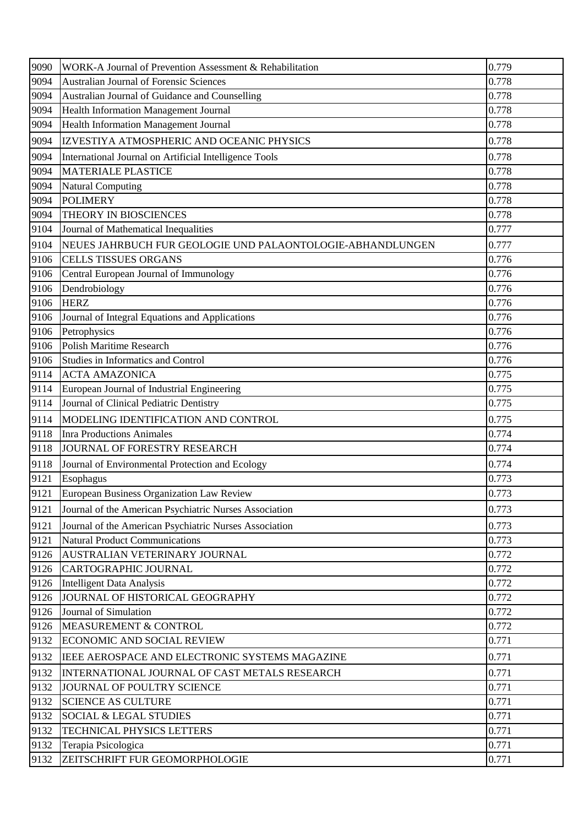| 9090 | WORK-A Journal of Prevention Assessment & Rehabilitation   | 0.779 |
|------|------------------------------------------------------------|-------|
| 9094 | Australian Journal of Forensic Sciences                    | 0.778 |
| 9094 | Australian Journal of Guidance and Counselling             | 0.778 |
| 9094 | Health Information Management Journal                      | 0.778 |
| 9094 | Health Information Management Journal                      | 0.778 |
| 9094 | IZVESTIYA ATMOSPHERIC AND OCEANIC PHYSICS                  | 0.778 |
| 9094 | International Journal on Artificial Intelligence Tools     | 0.778 |
| 9094 | <b>MATERIALE PLASTICE</b>                                  | 0.778 |
| 9094 | <b>Natural Computing</b>                                   | 0.778 |
| 9094 | <b>POLIMERY</b>                                            | 0.778 |
| 9094 | THEORY IN BIOSCIENCES                                      | 0.778 |
| 9104 | Journal of Mathematical Inequalities                       | 0.777 |
| 9104 | NEUES JAHRBUCH FUR GEOLOGIE UND PALAONTOLOGIE-ABHANDLUNGEN | 0.777 |
| 9106 | <b>CELLS TISSUES ORGANS</b>                                | 0.776 |
| 9106 | Central European Journal of Immunology                     | 0.776 |
| 9106 | Dendrobiology                                              | 0.776 |
| 9106 | <b>HERZ</b>                                                | 0.776 |
| 9106 | Journal of Integral Equations and Applications             | 0.776 |
| 9106 | Petrophysics                                               | 0.776 |
| 9106 | Polish Maritime Research                                   | 0.776 |
| 9106 | Studies in Informatics and Control                         | 0.776 |
| 9114 | <b>ACTA AMAZONICA</b>                                      | 0.775 |
| 9114 | European Journal of Industrial Engineering                 | 0.775 |
| 9114 | Journal of Clinical Pediatric Dentistry                    | 0.775 |
| 9114 | MODELING IDENTIFICATION AND CONTROL                        | 0.775 |
| 9118 | <b>Inra Productions Animales</b>                           | 0.774 |
| 9118 | JOURNAL OF FORESTRY RESEARCH                               | 0.774 |
| 9118 | Journal of Environmental Protection and Ecology            | 0.774 |
| 9121 | Esophagus                                                  | 0.773 |
| 9121 | European Business Organization Law Review                  | 0.773 |
| 9121 | Journal of the American Psychiatric Nurses Association     | 0.773 |
| 9121 | Journal of the American Psychiatric Nurses Association     | 0.773 |
| 9121 | <b>Natural Product Communications</b>                      | 0.773 |
| 9126 | AUSTRALIAN VETERINARY JOURNAL                              | 0.772 |
| 9126 | CARTOGRAPHIC JOURNAL                                       | 0.772 |
| 9126 | Intelligent Data Analysis                                  | 0.772 |
| 9126 | JOURNAL OF HISTORICAL GEOGRAPHY                            | 0.772 |
| 9126 | Journal of Simulation                                      | 0.772 |
| 9126 | MEASUREMENT & CONTROL                                      | 0.772 |
| 9132 | <b>ECONOMIC AND SOCIAL REVIEW</b>                          | 0.771 |
| 9132 | IEEE AEROSPACE AND ELECTRONIC SYSTEMS MAGAZINE             | 0.771 |
| 9132 | INTERNATIONAL JOURNAL OF CAST METALS RESEARCH              | 0.771 |
| 9132 | JOURNAL OF POULTRY SCIENCE                                 | 0.771 |
| 9132 | <b>SCIENCE AS CULTURE</b>                                  | 0.771 |
| 9132 | <b>SOCIAL &amp; LEGAL STUDIES</b>                          | 0.771 |
| 9132 | TECHNICAL PHYSICS LETTERS                                  | 0.771 |
| 9132 | Terapia Psicologica                                        | 0.771 |
| 9132 | ZEITSCHRIFT FUR GEOMORPHOLOGIE                             | 0.771 |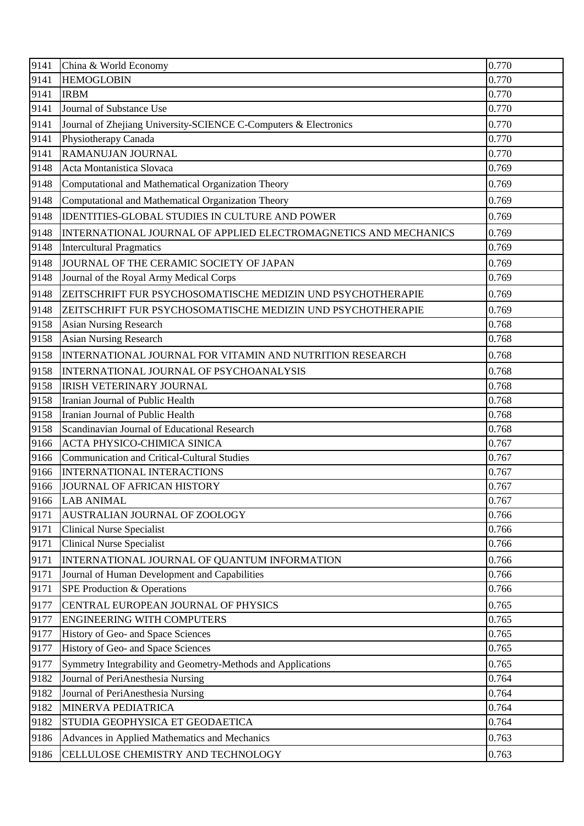| 9141         | China & World Economy                                                                             | 0.770          |
|--------------|---------------------------------------------------------------------------------------------------|----------------|
| 9141         | <b>HEMOGLOBIN</b>                                                                                 | 0.770          |
| 9141         | <b>IRBM</b>                                                                                       | 0.770          |
| 9141         | Journal of Substance Use                                                                          | 0.770          |
| 9141         | Journal of Zhejiang University-SCIENCE C-Computers & Electronics                                  | 0.770          |
| 9141         | Physiotherapy Canada                                                                              | 0.770          |
| 9141         | RAMANUJAN JOURNAL                                                                                 | 0.770          |
| 9148         | Acta Montanistica Slovaca                                                                         | 0.769          |
| 9148         | Computational and Mathematical Organization Theory                                                | 0.769          |
| 9148         | Computational and Mathematical Organization Theory                                                | 0.769          |
| 9148         | <b>IDENTITIES-GLOBAL STUDIES IN CULTURE AND POWER</b>                                             | 0.769          |
| 9148         | INTERNATIONAL JOURNAL OF APPLIED ELECTROMAGNETICS AND MECHANICS                                   | 0.769          |
| 9148         | <b>Intercultural Pragmatics</b>                                                                   | 0.769          |
| 9148         | JOURNAL OF THE CERAMIC SOCIETY OF JAPAN                                                           | 0.769          |
| 9148         | Journal of the Royal Army Medical Corps                                                           | 0.769          |
| 9148         | ZEITSCHRIFT FUR PSYCHOSOMATISCHE MEDIZIN UND PSYCHOTHERAPIE                                       | 0.769          |
| 9148         | ZEITSCHRIFT FUR PSYCHOSOMATISCHE MEDIZIN UND PSYCHOTHERAPIE                                       | 0.769          |
| 9158         | <b>Asian Nursing Research</b>                                                                     | 0.768          |
| 9158         | <b>Asian Nursing Research</b>                                                                     | 0.768          |
| 9158         | INTERNATIONAL JOURNAL FOR VITAMIN AND NUTRITION RESEARCH                                          | 0.768          |
| 9158         | INTERNATIONAL JOURNAL OF PSYCHOANALYSIS                                                           | 0.768          |
| 9158         | <b>IRISH VETERINARY JOURNAL</b>                                                                   | 0.768          |
| 9158         | Iranian Journal of Public Health                                                                  | 0.768          |
| 9158         | Iranian Journal of Public Health                                                                  | 0.768          |
| 9158         | Scandinavian Journal of Educational Research                                                      | 0.768          |
| 9166         | ACTA PHYSICO-CHIMICA SINICA                                                                       | 0.767          |
| 9166         | <b>Communication and Critical-Cultural Studies</b>                                                | 0.767          |
| 9166         | <b>INTERNATIONAL INTERACTIONS</b>                                                                 | 0.767          |
| 9166         | JOURNAL OF AFRICAN HISTORY                                                                        | 0.767          |
| 9166         | <b>LAB ANIMAL</b>                                                                                 | 0.767          |
| 9171         | AUSTRALIAN JOURNAL OF ZOOLOGY                                                                     | 0.766          |
| 9171         | <b>Clinical Nurse Specialist</b>                                                                  | 0.766          |
| 9171         | <b>Clinical Nurse Specialist</b>                                                                  | 0.766          |
| 9171         | INTERNATIONAL JOURNAL OF QUANTUM INFORMATION                                                      | 0.766          |
| 9171         | Journal of Human Development and Capabilities                                                     | 0.766          |
| 9171         | SPE Production & Operations                                                                       | 0.766          |
| 9177         | CENTRAL EUROPEAN JOURNAL OF PHYSICS                                                               | 0.765          |
| 9177<br>9177 | <b>ENGINEERING WITH COMPUTERS</b><br>History of Geo- and Space Sciences                           | 0.765<br>0.765 |
| 9177         | History of Geo- and Space Sciences                                                                | 0.765          |
|              |                                                                                                   |                |
| 9177<br>9182 | Symmetry Integrability and Geometry-Methods and Applications<br>Journal of PeriAnesthesia Nursing | 0.765<br>0.764 |
| 9182         | Journal of PeriAnesthesia Nursing                                                                 | 0.764          |
| 9182         | MINERVA PEDIATRICA                                                                                | 0.764          |
| 9182         | STUDIA GEOPHYSICA ET GEODAETICA                                                                   | 0.764          |
| 9186         |                                                                                                   | 0.763          |
|              | Advances in Applied Mathematics and Mechanics                                                     |                |
| 9186         | CELLULOSE CHEMISTRY AND TECHNOLOGY                                                                | 0.763          |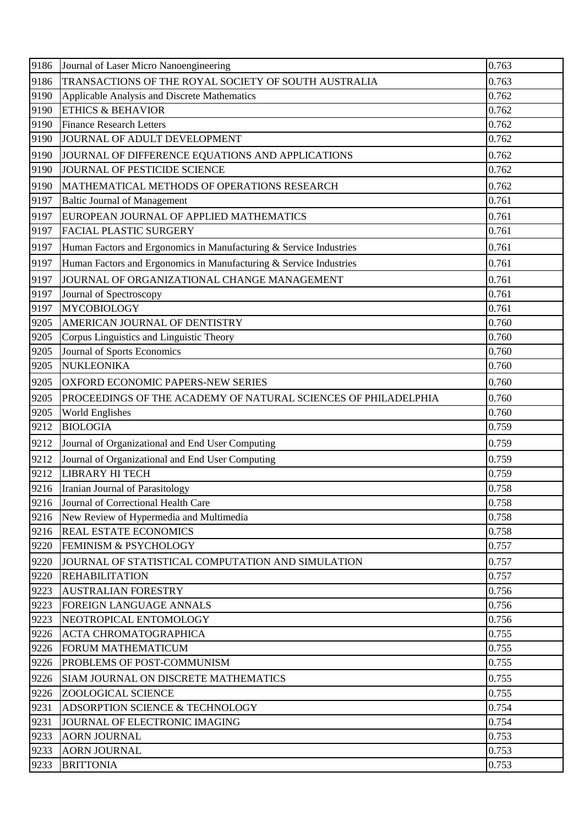| TRANSACTIONS OF THE ROYAL SOCIETY OF SOUTH AUSTRALIA<br>9186<br>0.763<br>9190<br>Applicable Analysis and Discrete Mathematics<br>0.762<br>9190<br><b>ETHICS &amp; BEHAVIOR</b><br>0.762<br>9190<br>0.762<br><b>Finance Research Letters</b><br>9190<br>JOURNAL OF ADULT DEVELOPMENT<br>0.762<br>9190<br>0.762<br>JOURNAL OF DIFFERENCE EQUATIONS AND APPLICATIONS<br>9190<br>JOURNAL OF PESTICIDE SCIENCE<br>0.762<br>9190<br>0.762<br>MATHEMATICAL METHODS OF OPERATIONS RESEARCH<br>9197<br><b>Baltic Journal of Management</b><br>0.761<br>EUROPEAN JOURNAL OF APPLIED MATHEMATICS<br>0.761<br>9197<br>9197<br><b>FACIAL PLASTIC SURGERY</b><br>0.761<br>9197<br>Human Factors and Ergonomics in Manufacturing & Service Industries<br>0.761<br>Human Factors and Ergonomics in Manufacturing & Service Industries<br>0.761<br>9197<br>JOURNAL OF ORGANIZATIONAL CHANGE MANAGEMENT<br>9197<br>0.761<br>9197<br>0.761<br>Journal of Spectroscopy<br><b>MYCOBIOLOGY</b><br>9197<br>0.761<br>9205<br>AMERICAN JOURNAL OF DENTISTRY<br>0.760<br>9205<br>Corpus Linguistics and Linguistic Theory<br>0.760<br>9205<br>Journal of Sports Economics<br>0.760<br><b>NUKLEONIKA</b><br>9205<br>0.760<br>9205<br>OXFORD ECONOMIC PAPERS-NEW SERIES<br>0.760<br>9205<br>0.760<br>PROCEEDINGS OF THE ACADEMY OF NATURAL SCIENCES OF PHILADELPHIA<br>9205<br>0.760<br><b>World Englishes</b><br>9212<br><b>BIOLOGIA</b><br>0.759<br>9212<br>0.759<br>Journal of Organizational and End User Computing<br>Journal of Organizational and End User Computing<br>9212<br>0.759<br><b>LIBRARY HI TECH</b><br>9212<br>0.759<br>0.758<br>Iranian Journal of Parasitology<br>9216<br>Journal of Correctional Health Care<br>0.758<br>9216<br>New Review of Hypermedia and Multimedia<br>0.758<br><b>REAL ESTATE ECONOMICS</b><br>9216<br>0.758<br>9220<br><b>FEMINISM &amp; PSYCHOLOGY</b><br>0.757<br>9220<br>0.757<br>JOURNAL OF STATISTICAL COMPUTATION AND SIMULATION<br>9220<br><b>REHABILITATION</b><br>0.757<br>9223<br><b>AUSTRALIAN FORESTRY</b><br>0.756<br>0.756<br>9223<br><b>FOREIGN LANGUAGE ANNALS</b><br>9223<br>NEOTROPICAL ENTOMOLOGY<br>0.756<br>0.755<br>9226<br><b>ACTA CHROMATOGRAPHICA</b><br>0.755<br>9226<br><b>FORUM MATHEMATICUM</b><br>0.755<br>9226<br>PROBLEMS OF POST-COMMUNISM<br>0.755<br>9226<br>SIAM JOURNAL ON DISCRETE MATHEMATICS<br>9226<br><b>ZOOLOGICAL SCIENCE</b><br>0.755<br>0.754<br>9231<br>ADSORPTION SCIENCE & TECHNOLOGY<br>0.754<br>9231<br>JOURNAL OF ELECTRONIC IMAGING<br>9233<br><b>AORN JOURNAL</b><br>0.753<br><b>AORN JOURNAL</b><br>9233<br>0.753<br>0.753<br>9233<br><b>BRITTONIA</b> | 9186 | Journal of Laser Micro Nanoengineering | 0.763 |
|--------------------------------------------------------------------------------------------------------------------------------------------------------------------------------------------------------------------------------------------------------------------------------------------------------------------------------------------------------------------------------------------------------------------------------------------------------------------------------------------------------------------------------------------------------------------------------------------------------------------------------------------------------------------------------------------------------------------------------------------------------------------------------------------------------------------------------------------------------------------------------------------------------------------------------------------------------------------------------------------------------------------------------------------------------------------------------------------------------------------------------------------------------------------------------------------------------------------------------------------------------------------------------------------------------------------------------------------------------------------------------------------------------------------------------------------------------------------------------------------------------------------------------------------------------------------------------------------------------------------------------------------------------------------------------------------------------------------------------------------------------------------------------------------------------------------------------------------------------------------------------------------------------------------------------------------------------------------------------------------------------------------------------------------------------------------------------------------------------------------------------------------------------------------------------------------------------------------------------------------------------------------------------------------------------------------------------------------------------------------------------------------------------------------------------------------------------------------------------------------------------------------------------------------------------------------------------------------------------------------------------|------|----------------------------------------|-------|
|                                                                                                                                                                                                                                                                                                                                                                                                                                                                                                                                                                                                                                                                                                                                                                                                                                                                                                                                                                                                                                                                                                                                                                                                                                                                                                                                                                                                                                                                                                                                                                                                                                                                                                                                                                                                                                                                                                                                                                                                                                                                                                                                                                                                                                                                                                                                                                                                                                                                                                                                                                                                                                |      |                                        |       |
|                                                                                                                                                                                                                                                                                                                                                                                                                                                                                                                                                                                                                                                                                                                                                                                                                                                                                                                                                                                                                                                                                                                                                                                                                                                                                                                                                                                                                                                                                                                                                                                                                                                                                                                                                                                                                                                                                                                                                                                                                                                                                                                                                                                                                                                                                                                                                                                                                                                                                                                                                                                                                                |      |                                        |       |
|                                                                                                                                                                                                                                                                                                                                                                                                                                                                                                                                                                                                                                                                                                                                                                                                                                                                                                                                                                                                                                                                                                                                                                                                                                                                                                                                                                                                                                                                                                                                                                                                                                                                                                                                                                                                                                                                                                                                                                                                                                                                                                                                                                                                                                                                                                                                                                                                                                                                                                                                                                                                                                |      |                                        |       |
|                                                                                                                                                                                                                                                                                                                                                                                                                                                                                                                                                                                                                                                                                                                                                                                                                                                                                                                                                                                                                                                                                                                                                                                                                                                                                                                                                                                                                                                                                                                                                                                                                                                                                                                                                                                                                                                                                                                                                                                                                                                                                                                                                                                                                                                                                                                                                                                                                                                                                                                                                                                                                                |      |                                        |       |
|                                                                                                                                                                                                                                                                                                                                                                                                                                                                                                                                                                                                                                                                                                                                                                                                                                                                                                                                                                                                                                                                                                                                                                                                                                                                                                                                                                                                                                                                                                                                                                                                                                                                                                                                                                                                                                                                                                                                                                                                                                                                                                                                                                                                                                                                                                                                                                                                                                                                                                                                                                                                                                |      |                                        |       |
|                                                                                                                                                                                                                                                                                                                                                                                                                                                                                                                                                                                                                                                                                                                                                                                                                                                                                                                                                                                                                                                                                                                                                                                                                                                                                                                                                                                                                                                                                                                                                                                                                                                                                                                                                                                                                                                                                                                                                                                                                                                                                                                                                                                                                                                                                                                                                                                                                                                                                                                                                                                                                                |      |                                        |       |
|                                                                                                                                                                                                                                                                                                                                                                                                                                                                                                                                                                                                                                                                                                                                                                                                                                                                                                                                                                                                                                                                                                                                                                                                                                                                                                                                                                                                                                                                                                                                                                                                                                                                                                                                                                                                                                                                                                                                                                                                                                                                                                                                                                                                                                                                                                                                                                                                                                                                                                                                                                                                                                |      |                                        |       |
|                                                                                                                                                                                                                                                                                                                                                                                                                                                                                                                                                                                                                                                                                                                                                                                                                                                                                                                                                                                                                                                                                                                                                                                                                                                                                                                                                                                                                                                                                                                                                                                                                                                                                                                                                                                                                                                                                                                                                                                                                                                                                                                                                                                                                                                                                                                                                                                                                                                                                                                                                                                                                                |      |                                        |       |
|                                                                                                                                                                                                                                                                                                                                                                                                                                                                                                                                                                                                                                                                                                                                                                                                                                                                                                                                                                                                                                                                                                                                                                                                                                                                                                                                                                                                                                                                                                                                                                                                                                                                                                                                                                                                                                                                                                                                                                                                                                                                                                                                                                                                                                                                                                                                                                                                                                                                                                                                                                                                                                |      |                                        |       |
|                                                                                                                                                                                                                                                                                                                                                                                                                                                                                                                                                                                                                                                                                                                                                                                                                                                                                                                                                                                                                                                                                                                                                                                                                                                                                                                                                                                                                                                                                                                                                                                                                                                                                                                                                                                                                                                                                                                                                                                                                                                                                                                                                                                                                                                                                                                                                                                                                                                                                                                                                                                                                                |      |                                        |       |
|                                                                                                                                                                                                                                                                                                                                                                                                                                                                                                                                                                                                                                                                                                                                                                                                                                                                                                                                                                                                                                                                                                                                                                                                                                                                                                                                                                                                                                                                                                                                                                                                                                                                                                                                                                                                                                                                                                                                                                                                                                                                                                                                                                                                                                                                                                                                                                                                                                                                                                                                                                                                                                |      |                                        |       |
|                                                                                                                                                                                                                                                                                                                                                                                                                                                                                                                                                                                                                                                                                                                                                                                                                                                                                                                                                                                                                                                                                                                                                                                                                                                                                                                                                                                                                                                                                                                                                                                                                                                                                                                                                                                                                                                                                                                                                                                                                                                                                                                                                                                                                                                                                                                                                                                                                                                                                                                                                                                                                                |      |                                        |       |
|                                                                                                                                                                                                                                                                                                                                                                                                                                                                                                                                                                                                                                                                                                                                                                                                                                                                                                                                                                                                                                                                                                                                                                                                                                                                                                                                                                                                                                                                                                                                                                                                                                                                                                                                                                                                                                                                                                                                                                                                                                                                                                                                                                                                                                                                                                                                                                                                                                                                                                                                                                                                                                |      |                                        |       |
|                                                                                                                                                                                                                                                                                                                                                                                                                                                                                                                                                                                                                                                                                                                                                                                                                                                                                                                                                                                                                                                                                                                                                                                                                                                                                                                                                                                                                                                                                                                                                                                                                                                                                                                                                                                                                                                                                                                                                                                                                                                                                                                                                                                                                                                                                                                                                                                                                                                                                                                                                                                                                                |      |                                        |       |
|                                                                                                                                                                                                                                                                                                                                                                                                                                                                                                                                                                                                                                                                                                                                                                                                                                                                                                                                                                                                                                                                                                                                                                                                                                                                                                                                                                                                                                                                                                                                                                                                                                                                                                                                                                                                                                                                                                                                                                                                                                                                                                                                                                                                                                                                                                                                                                                                                                                                                                                                                                                                                                |      |                                        |       |
|                                                                                                                                                                                                                                                                                                                                                                                                                                                                                                                                                                                                                                                                                                                                                                                                                                                                                                                                                                                                                                                                                                                                                                                                                                                                                                                                                                                                                                                                                                                                                                                                                                                                                                                                                                                                                                                                                                                                                                                                                                                                                                                                                                                                                                                                                                                                                                                                                                                                                                                                                                                                                                |      |                                        |       |
|                                                                                                                                                                                                                                                                                                                                                                                                                                                                                                                                                                                                                                                                                                                                                                                                                                                                                                                                                                                                                                                                                                                                                                                                                                                                                                                                                                                                                                                                                                                                                                                                                                                                                                                                                                                                                                                                                                                                                                                                                                                                                                                                                                                                                                                                                                                                                                                                                                                                                                                                                                                                                                |      |                                        |       |
|                                                                                                                                                                                                                                                                                                                                                                                                                                                                                                                                                                                                                                                                                                                                                                                                                                                                                                                                                                                                                                                                                                                                                                                                                                                                                                                                                                                                                                                                                                                                                                                                                                                                                                                                                                                                                                                                                                                                                                                                                                                                                                                                                                                                                                                                                                                                                                                                                                                                                                                                                                                                                                |      |                                        |       |
|                                                                                                                                                                                                                                                                                                                                                                                                                                                                                                                                                                                                                                                                                                                                                                                                                                                                                                                                                                                                                                                                                                                                                                                                                                                                                                                                                                                                                                                                                                                                                                                                                                                                                                                                                                                                                                                                                                                                                                                                                                                                                                                                                                                                                                                                                                                                                                                                                                                                                                                                                                                                                                |      |                                        |       |
|                                                                                                                                                                                                                                                                                                                                                                                                                                                                                                                                                                                                                                                                                                                                                                                                                                                                                                                                                                                                                                                                                                                                                                                                                                                                                                                                                                                                                                                                                                                                                                                                                                                                                                                                                                                                                                                                                                                                                                                                                                                                                                                                                                                                                                                                                                                                                                                                                                                                                                                                                                                                                                |      |                                        |       |
|                                                                                                                                                                                                                                                                                                                                                                                                                                                                                                                                                                                                                                                                                                                                                                                                                                                                                                                                                                                                                                                                                                                                                                                                                                                                                                                                                                                                                                                                                                                                                                                                                                                                                                                                                                                                                                                                                                                                                                                                                                                                                                                                                                                                                                                                                                                                                                                                                                                                                                                                                                                                                                |      |                                        |       |
|                                                                                                                                                                                                                                                                                                                                                                                                                                                                                                                                                                                                                                                                                                                                                                                                                                                                                                                                                                                                                                                                                                                                                                                                                                                                                                                                                                                                                                                                                                                                                                                                                                                                                                                                                                                                                                                                                                                                                                                                                                                                                                                                                                                                                                                                                                                                                                                                                                                                                                                                                                                                                                |      |                                        |       |
|                                                                                                                                                                                                                                                                                                                                                                                                                                                                                                                                                                                                                                                                                                                                                                                                                                                                                                                                                                                                                                                                                                                                                                                                                                                                                                                                                                                                                                                                                                                                                                                                                                                                                                                                                                                                                                                                                                                                                                                                                                                                                                                                                                                                                                                                                                                                                                                                                                                                                                                                                                                                                                |      |                                        |       |
|                                                                                                                                                                                                                                                                                                                                                                                                                                                                                                                                                                                                                                                                                                                                                                                                                                                                                                                                                                                                                                                                                                                                                                                                                                                                                                                                                                                                                                                                                                                                                                                                                                                                                                                                                                                                                                                                                                                                                                                                                                                                                                                                                                                                                                                                                                                                                                                                                                                                                                                                                                                                                                |      |                                        |       |
|                                                                                                                                                                                                                                                                                                                                                                                                                                                                                                                                                                                                                                                                                                                                                                                                                                                                                                                                                                                                                                                                                                                                                                                                                                                                                                                                                                                                                                                                                                                                                                                                                                                                                                                                                                                                                                                                                                                                                                                                                                                                                                                                                                                                                                                                                                                                                                                                                                                                                                                                                                                                                                |      |                                        |       |
|                                                                                                                                                                                                                                                                                                                                                                                                                                                                                                                                                                                                                                                                                                                                                                                                                                                                                                                                                                                                                                                                                                                                                                                                                                                                                                                                                                                                                                                                                                                                                                                                                                                                                                                                                                                                                                                                                                                                                                                                                                                                                                                                                                                                                                                                                                                                                                                                                                                                                                                                                                                                                                |      |                                        |       |
|                                                                                                                                                                                                                                                                                                                                                                                                                                                                                                                                                                                                                                                                                                                                                                                                                                                                                                                                                                                                                                                                                                                                                                                                                                                                                                                                                                                                                                                                                                                                                                                                                                                                                                                                                                                                                                                                                                                                                                                                                                                                                                                                                                                                                                                                                                                                                                                                                                                                                                                                                                                                                                |      |                                        |       |
|                                                                                                                                                                                                                                                                                                                                                                                                                                                                                                                                                                                                                                                                                                                                                                                                                                                                                                                                                                                                                                                                                                                                                                                                                                                                                                                                                                                                                                                                                                                                                                                                                                                                                                                                                                                                                                                                                                                                                                                                                                                                                                                                                                                                                                                                                                                                                                                                                                                                                                                                                                                                                                | 9216 |                                        |       |
|                                                                                                                                                                                                                                                                                                                                                                                                                                                                                                                                                                                                                                                                                                                                                                                                                                                                                                                                                                                                                                                                                                                                                                                                                                                                                                                                                                                                                                                                                                                                                                                                                                                                                                                                                                                                                                                                                                                                                                                                                                                                                                                                                                                                                                                                                                                                                                                                                                                                                                                                                                                                                                |      |                                        |       |
|                                                                                                                                                                                                                                                                                                                                                                                                                                                                                                                                                                                                                                                                                                                                                                                                                                                                                                                                                                                                                                                                                                                                                                                                                                                                                                                                                                                                                                                                                                                                                                                                                                                                                                                                                                                                                                                                                                                                                                                                                                                                                                                                                                                                                                                                                                                                                                                                                                                                                                                                                                                                                                |      |                                        |       |
|                                                                                                                                                                                                                                                                                                                                                                                                                                                                                                                                                                                                                                                                                                                                                                                                                                                                                                                                                                                                                                                                                                                                                                                                                                                                                                                                                                                                                                                                                                                                                                                                                                                                                                                                                                                                                                                                                                                                                                                                                                                                                                                                                                                                                                                                                                                                                                                                                                                                                                                                                                                                                                |      |                                        |       |
|                                                                                                                                                                                                                                                                                                                                                                                                                                                                                                                                                                                                                                                                                                                                                                                                                                                                                                                                                                                                                                                                                                                                                                                                                                                                                                                                                                                                                                                                                                                                                                                                                                                                                                                                                                                                                                                                                                                                                                                                                                                                                                                                                                                                                                                                                                                                                                                                                                                                                                                                                                                                                                |      |                                        |       |
|                                                                                                                                                                                                                                                                                                                                                                                                                                                                                                                                                                                                                                                                                                                                                                                                                                                                                                                                                                                                                                                                                                                                                                                                                                                                                                                                                                                                                                                                                                                                                                                                                                                                                                                                                                                                                                                                                                                                                                                                                                                                                                                                                                                                                                                                                                                                                                                                                                                                                                                                                                                                                                |      |                                        |       |
|                                                                                                                                                                                                                                                                                                                                                                                                                                                                                                                                                                                                                                                                                                                                                                                                                                                                                                                                                                                                                                                                                                                                                                                                                                                                                                                                                                                                                                                                                                                                                                                                                                                                                                                                                                                                                                                                                                                                                                                                                                                                                                                                                                                                                                                                                                                                                                                                                                                                                                                                                                                                                                |      |                                        |       |
|                                                                                                                                                                                                                                                                                                                                                                                                                                                                                                                                                                                                                                                                                                                                                                                                                                                                                                                                                                                                                                                                                                                                                                                                                                                                                                                                                                                                                                                                                                                                                                                                                                                                                                                                                                                                                                                                                                                                                                                                                                                                                                                                                                                                                                                                                                                                                                                                                                                                                                                                                                                                                                |      |                                        |       |
|                                                                                                                                                                                                                                                                                                                                                                                                                                                                                                                                                                                                                                                                                                                                                                                                                                                                                                                                                                                                                                                                                                                                                                                                                                                                                                                                                                                                                                                                                                                                                                                                                                                                                                                                                                                                                                                                                                                                                                                                                                                                                                                                                                                                                                                                                                                                                                                                                                                                                                                                                                                                                                |      |                                        |       |
|                                                                                                                                                                                                                                                                                                                                                                                                                                                                                                                                                                                                                                                                                                                                                                                                                                                                                                                                                                                                                                                                                                                                                                                                                                                                                                                                                                                                                                                                                                                                                                                                                                                                                                                                                                                                                                                                                                                                                                                                                                                                                                                                                                                                                                                                                                                                                                                                                                                                                                                                                                                                                                |      |                                        |       |
|                                                                                                                                                                                                                                                                                                                                                                                                                                                                                                                                                                                                                                                                                                                                                                                                                                                                                                                                                                                                                                                                                                                                                                                                                                                                                                                                                                                                                                                                                                                                                                                                                                                                                                                                                                                                                                                                                                                                                                                                                                                                                                                                                                                                                                                                                                                                                                                                                                                                                                                                                                                                                                |      |                                        |       |
|                                                                                                                                                                                                                                                                                                                                                                                                                                                                                                                                                                                                                                                                                                                                                                                                                                                                                                                                                                                                                                                                                                                                                                                                                                                                                                                                                                                                                                                                                                                                                                                                                                                                                                                                                                                                                                                                                                                                                                                                                                                                                                                                                                                                                                                                                                                                                                                                                                                                                                                                                                                                                                |      |                                        |       |
|                                                                                                                                                                                                                                                                                                                                                                                                                                                                                                                                                                                                                                                                                                                                                                                                                                                                                                                                                                                                                                                                                                                                                                                                                                                                                                                                                                                                                                                                                                                                                                                                                                                                                                                                                                                                                                                                                                                                                                                                                                                                                                                                                                                                                                                                                                                                                                                                                                                                                                                                                                                                                                |      |                                        |       |
|                                                                                                                                                                                                                                                                                                                                                                                                                                                                                                                                                                                                                                                                                                                                                                                                                                                                                                                                                                                                                                                                                                                                                                                                                                                                                                                                                                                                                                                                                                                                                                                                                                                                                                                                                                                                                                                                                                                                                                                                                                                                                                                                                                                                                                                                                                                                                                                                                                                                                                                                                                                                                                |      |                                        |       |
|                                                                                                                                                                                                                                                                                                                                                                                                                                                                                                                                                                                                                                                                                                                                                                                                                                                                                                                                                                                                                                                                                                                                                                                                                                                                                                                                                                                                                                                                                                                                                                                                                                                                                                                                                                                                                                                                                                                                                                                                                                                                                                                                                                                                                                                                                                                                                                                                                                                                                                                                                                                                                                |      |                                        |       |
|                                                                                                                                                                                                                                                                                                                                                                                                                                                                                                                                                                                                                                                                                                                                                                                                                                                                                                                                                                                                                                                                                                                                                                                                                                                                                                                                                                                                                                                                                                                                                                                                                                                                                                                                                                                                                                                                                                                                                                                                                                                                                                                                                                                                                                                                                                                                                                                                                                                                                                                                                                                                                                |      |                                        |       |
|                                                                                                                                                                                                                                                                                                                                                                                                                                                                                                                                                                                                                                                                                                                                                                                                                                                                                                                                                                                                                                                                                                                                                                                                                                                                                                                                                                                                                                                                                                                                                                                                                                                                                                                                                                                                                                                                                                                                                                                                                                                                                                                                                                                                                                                                                                                                                                                                                                                                                                                                                                                                                                |      |                                        |       |
|                                                                                                                                                                                                                                                                                                                                                                                                                                                                                                                                                                                                                                                                                                                                                                                                                                                                                                                                                                                                                                                                                                                                                                                                                                                                                                                                                                                                                                                                                                                                                                                                                                                                                                                                                                                                                                                                                                                                                                                                                                                                                                                                                                                                                                                                                                                                                                                                                                                                                                                                                                                                                                |      |                                        |       |
|                                                                                                                                                                                                                                                                                                                                                                                                                                                                                                                                                                                                                                                                                                                                                                                                                                                                                                                                                                                                                                                                                                                                                                                                                                                                                                                                                                                                                                                                                                                                                                                                                                                                                                                                                                                                                                                                                                                                                                                                                                                                                                                                                                                                                                                                                                                                                                                                                                                                                                                                                                                                                                |      |                                        |       |
|                                                                                                                                                                                                                                                                                                                                                                                                                                                                                                                                                                                                                                                                                                                                                                                                                                                                                                                                                                                                                                                                                                                                                                                                                                                                                                                                                                                                                                                                                                                                                                                                                                                                                                                                                                                                                                                                                                                                                                                                                                                                                                                                                                                                                                                                                                                                                                                                                                                                                                                                                                                                                                |      |                                        |       |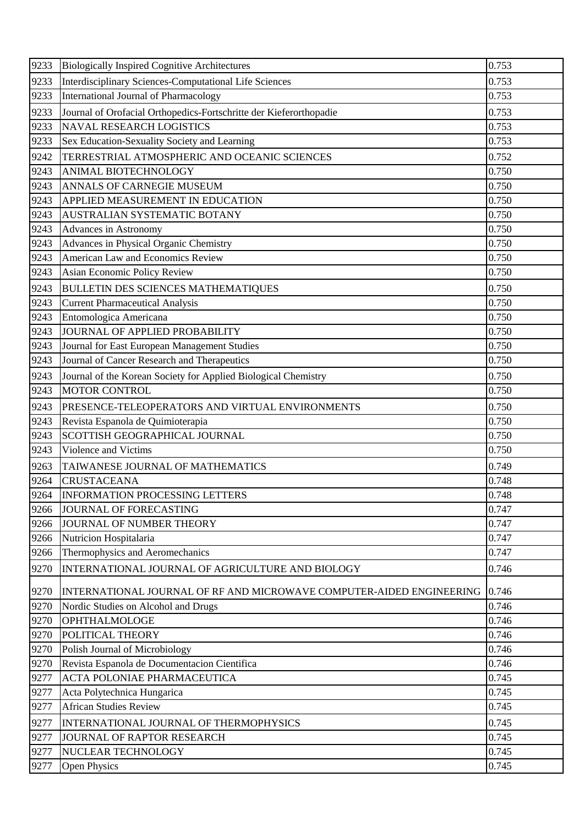| 9233 | <b>Biologically Inspired Cognitive Architectures</b>                 | 0.753 |
|------|----------------------------------------------------------------------|-------|
| 9233 | Interdisciplinary Sciences-Computational Life Sciences               | 0.753 |
| 9233 | International Journal of Pharmacology                                | 0.753 |
| 9233 | Journal of Orofacial Orthopedics-Fortschritte der Kieferorthopadie   | 0.753 |
| 9233 | <b>NAVAL RESEARCH LOGISTICS</b>                                      | 0.753 |
| 9233 | Sex Education-Sexuality Society and Learning                         | 0.753 |
| 9242 | TERRESTRIAL ATMOSPHERIC AND OCEANIC SCIENCES                         | 0.752 |
| 9243 | ANIMAL BIOTECHNOLOGY                                                 | 0.750 |
| 9243 | ANNALS OF CARNEGIE MUSEUM                                            | 0.750 |
| 9243 | APPLIED MEASUREMENT IN EDUCATION                                     | 0.750 |
| 9243 | AUSTRALIAN SYSTEMATIC BOTANY                                         | 0.750 |
| 9243 | Advances in Astronomy                                                | 0.750 |
| 9243 | Advances in Physical Organic Chemistry                               | 0.750 |
| 9243 | American Law and Economics Review                                    | 0.750 |
| 9243 | Asian Economic Policy Review                                         | 0.750 |
| 9243 | <b>BULLETIN DES SCIENCES MATHEMATIQUES</b>                           | 0.750 |
| 9243 | <b>Current Pharmaceutical Analysis</b>                               | 0.750 |
| 9243 | Entomologica Americana                                               | 0.750 |
| 9243 | JOURNAL OF APPLIED PROBABILITY                                       | 0.750 |
| 9243 | Journal for East European Management Studies                         | 0.750 |
| 9243 | Journal of Cancer Research and Therapeutics                          | 0.750 |
| 9243 | Journal of the Korean Society for Applied Biological Chemistry       | 0.750 |
| 9243 | <b>MOTOR CONTROL</b>                                                 | 0.750 |
| 9243 | PRESENCE-TELEOPERATORS AND VIRTUAL ENVIRONMENTS                      | 0.750 |
| 9243 | Revista Espanola de Quimioterapia                                    | 0.750 |
| 9243 | SCOTTISH GEOGRAPHICAL JOURNAL                                        | 0.750 |
| 9243 | Violence and Victims                                                 | 0.750 |
| 9263 | TAIWANESE JOURNAL OF MATHEMATICS                                     | 0.749 |
| 9264 | <b>CRUSTACEANA</b>                                                   | 0.748 |
| 9264 | <b>INFORMATION PROCESSING LETTERS</b>                                | 0.748 |
| 9266 | JOURNAL OF FORECASTING                                               | 0.747 |
| 9266 | JOURNAL OF NUMBER THEORY                                             | 0.747 |
| 9266 | Nutricion Hospitalaria                                               | 0.747 |
| 9266 | Thermophysics and Aeromechanics                                      | 0.747 |
| 9270 | INTERNATIONAL JOURNAL OF AGRICULTURE AND BIOLOGY                     | 0.746 |
| 9270 | INTERNATIONAL JOURNAL OF RF AND MICROWAVE COMPUTER-AIDED ENGINEERING | 0.746 |
| 9270 | Nordic Studies on Alcohol and Drugs                                  | 0.746 |
| 9270 | OPHTHALMOLOGE                                                        | 0.746 |
| 9270 | POLITICAL THEORY                                                     | 0.746 |
| 9270 | Polish Journal of Microbiology                                       | 0.746 |
| 9270 | Revista Espanola de Documentacion Científica                         | 0.746 |
| 9277 | ACTA POLONIAE PHARMACEUTICA                                          | 0.745 |
| 9277 | Acta Polytechnica Hungarica                                          | 0.745 |
| 9277 | <b>African Studies Review</b>                                        | 0.745 |
| 9277 | INTERNATIONAL JOURNAL OF THERMOPHYSICS                               | 0.745 |
| 9277 | JOURNAL OF RAPTOR RESEARCH                                           | 0.745 |
| 9277 | NUCLEAR TECHNOLOGY                                                   | 0.745 |
| 9277 | Open Physics                                                         | 0.745 |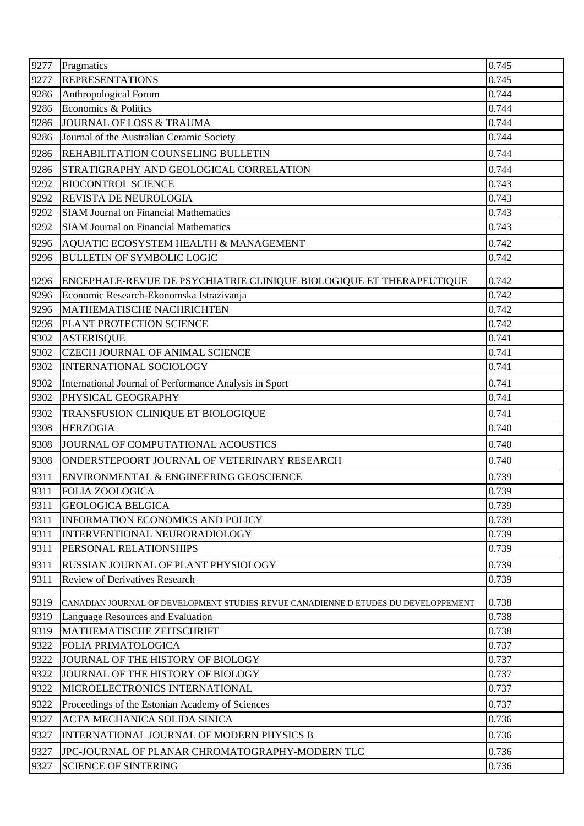| 9277 | Pragmatics                                                                         | 0.745 |
|------|------------------------------------------------------------------------------------|-------|
| 9277 | <b>REPRESENTATIONS</b>                                                             | 0.745 |
| 9286 | Anthropological Forum                                                              | 0.744 |
| 9286 | Economics & Politics                                                               | 0.744 |
| 9286 | JOURNAL OF LOSS & TRAUMA                                                           | 0.744 |
| 9286 | Journal of the Australian Ceramic Society                                          | 0.744 |
| 9286 | REHABILITATION COUNSELING BULLETIN                                                 | 0.744 |
| 9286 | STRATIGRAPHY AND GEOLOGICAL CORRELATION                                            | 0.744 |
| 9292 | <b>BIOCONTROL SCIENCE</b>                                                          | 0.743 |
| 9292 | REVISTA DE NEUROLOGIA                                                              | 0.743 |
| 9292 | <b>SIAM Journal on Financial Mathematics</b>                                       | 0.743 |
| 9292 | <b>SIAM Journal on Financial Mathematics</b>                                       | 0.743 |
| 9296 | AQUATIC ECOSYSTEM HEALTH & MANAGEMENT                                              | 0.742 |
| 9296 | <b>BULLETIN OF SYMBOLIC LOGIC</b>                                                  | 0.742 |
| 9296 | ENCEPHALE-REVUE DE PSYCHIATRIE CLINIQUE BIOLOGIQUE ET THERAPEUTIQUE                | 0.742 |
| 9296 | Economic Research-Ekonomska Istrazivanja                                           | 0.742 |
| 9296 | MATHEMATISCHE NACHRICHTEN                                                          | 0.742 |
| 9296 | PLANT PROTECTION SCIENCE                                                           | 0.742 |
| 9302 | <b>ASTERISQUE</b>                                                                  | 0.741 |
| 9302 | <b>CZECH JOURNAL OF ANIMAL SCIENCE</b>                                             | 0.741 |
| 9302 | INTERNATIONAL SOCIOLOGY                                                            | 0.741 |
| 9302 | International Journal of Performance Analysis in Sport                             | 0.741 |
| 9302 | PHYSICAL GEOGRAPHY                                                                 | 0.741 |
| 9302 | TRANSFUSION CLINIQUE ET BIOLOGIQUE                                                 | 0.741 |
| 9308 | <b>HERZOGIA</b>                                                                    | 0.740 |
| 9308 | JOURNAL OF COMPUTATIONAL ACOUSTICS                                                 | 0.740 |
| 9308 | ONDERSTEPOORT JOURNAL OF VETERINARY RESEARCH                                       | 0.740 |
| 9311 | ENVIRONMENTAL & ENGINEERING GEOSCIENCE                                             | 0.739 |
| 9311 | <b>FOLIA ZOOLOGICA</b>                                                             | 0.739 |
| 9311 | <b>GEOLOGICA BELGICA</b>                                                           | 0.739 |
| 9311 | <b>INFORMATION ECONOMICS AND POLICY</b>                                            | 0.739 |
| 9311 | INTERVENTIONAL NEURORADIOLOGY                                                      | 0.739 |
| 9311 | PERSONAL RELATIONSHIPS                                                             | 0.739 |
| 9311 | RUSSIAN JOURNAL OF PLANT PHYSIOLOGY                                                | 0.739 |
| 9311 | <b>Review of Derivatives Research</b>                                              | 0.739 |
| 9319 | CANADIAN JOURNAL OF DEVELOPMENT STUDIES-REVUE CANADIENNE D ETUDES DU DEVELOPPEMENT | 0.738 |
| 9319 | Language Resources and Evaluation                                                  | 0.738 |
| 9319 | MATHEMATISCHE ZEITSCHRIFT                                                          | 0.738 |
| 9322 | <b>FOLIA PRIMATOLOGICA</b>                                                         | 0.737 |
| 9322 | JOURNAL OF THE HISTORY OF BIOLOGY                                                  | 0.737 |
| 9322 | JOURNAL OF THE HISTORY OF BIOLOGY                                                  | 0.737 |
| 9322 | MICROELECTRONICS INTERNATIONAL                                                     | 0.737 |
| 9322 | Proceedings of the Estonian Academy of Sciences                                    | 0.737 |
| 9327 | ACTA MECHANICA SOLIDA SINICA                                                       | 0.736 |
| 9327 | INTERNATIONAL JOURNAL OF MODERN PHYSICS B                                          | 0.736 |
| 9327 | JPC-JOURNAL OF PLANAR CHROMATOGRAPHY-MODERN TLC                                    | 0.736 |
| 9327 | <b>SCIENCE OF SINTERING</b>                                                        | 0.736 |
|      |                                                                                    |       |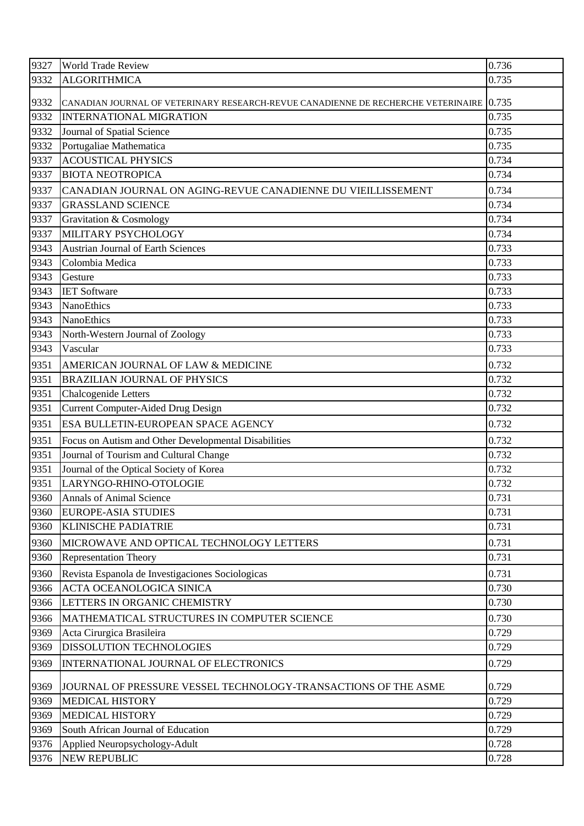| 9327 | <b>World Trade Review</b>                                                               | 0.736 |
|------|-----------------------------------------------------------------------------------------|-------|
| 9332 | <b>ALGORITHMICA</b>                                                                     | 0.735 |
| 9332 | CANADIAN JOURNAL OF VETERINARY RESEARCH-REVUE CANADIENNE DE RECHERCHE VETERINAIRE 0.735 |       |
| 9332 | <b>INTERNATIONAL MIGRATION</b>                                                          | 0.735 |
| 9332 | Journal of Spatial Science                                                              | 0.735 |
| 9332 | Portugaliae Mathematica                                                                 | 0.735 |
| 9337 | <b>ACOUSTICAL PHYSICS</b>                                                               | 0.734 |
| 9337 | <b>BIOTA NEOTROPICA</b>                                                                 | 0.734 |
| 9337 | CANADIAN JOURNAL ON AGING-REVUE CANADIENNE DU VIEILLISSEMENT                            | 0.734 |
| 9337 | <b>GRASSLAND SCIENCE</b>                                                                | 0.734 |
| 9337 | Gravitation & Cosmology                                                                 | 0.734 |
| 9337 | MILITARY PSYCHOLOGY                                                                     | 0.734 |
| 9343 | <b>Austrian Journal of Earth Sciences</b>                                               | 0.733 |
| 9343 | Colombia Medica                                                                         | 0.733 |
| 9343 | Gesture                                                                                 | 0.733 |
| 9343 | <b>IET Software</b>                                                                     | 0.733 |
| 9343 | <b>NanoEthics</b>                                                                       | 0.733 |
| 9343 | <b>NanoEthics</b>                                                                       | 0.733 |
| 9343 | North-Western Journal of Zoology                                                        | 0.733 |
| 9343 | Vascular                                                                                | 0.733 |
| 9351 | AMERICAN JOURNAL OF LAW & MEDICINE                                                      | 0.732 |
| 9351 | <b>BRAZILIAN JOURNAL OF PHYSICS</b>                                                     | 0.732 |
| 9351 | Chalcogenide Letters                                                                    | 0.732 |
| 9351 | <b>Current Computer-Aided Drug Design</b>                                               | 0.732 |
| 9351 | ESA BULLETIN-EUROPEAN SPACE AGENCY                                                      | 0.732 |
| 9351 | Focus on Autism and Other Developmental Disabilities                                    | 0.732 |
| 9351 | Journal of Tourism and Cultural Change                                                  | 0.732 |
| 9351 | Journal of the Optical Society of Korea                                                 | 0.732 |
| 9351 | LARYNGO-RHINO-OTOLOGIE                                                                  | 0.732 |
| 9360 | <b>Annals of Animal Science</b>                                                         | 0.731 |
| 9360 | <b>EUROPE-ASIA STUDIES</b>                                                              | 0.731 |
| 9360 | <b>KLINISCHE PADIATRIE</b>                                                              | 0.731 |
| 9360 | MICROWAVE AND OPTICAL TECHNOLOGY LETTERS                                                | 0.731 |
| 9360 | <b>Representation Theory</b>                                                            | 0.731 |
| 9360 | Revista Espanola de Investigaciones Sociologicas                                        | 0.731 |
| 9366 | ACTA OCEANOLOGICA SINICA                                                                | 0.730 |
| 9366 | LETTERS IN ORGANIC CHEMISTRY                                                            | 0.730 |
| 9366 | MATHEMATICAL STRUCTURES IN COMPUTER SCIENCE                                             | 0.730 |
| 9369 | Acta Cirurgica Brasileira                                                               | 0.729 |
| 9369 | <b>DISSOLUTION TECHNOLOGIES</b>                                                         | 0.729 |
| 9369 | INTERNATIONAL JOURNAL OF ELECTRONICS                                                    | 0.729 |
|      |                                                                                         |       |
| 9369 | JOURNAL OF PRESSURE VESSEL TECHNOLOGY-TRANSACTIONS OF THE ASME                          | 0.729 |
| 9369 | <b>MEDICAL HISTORY</b>                                                                  | 0.729 |
| 9369 | <b>MEDICAL HISTORY</b>                                                                  | 0.729 |
| 9369 | South African Journal of Education                                                      | 0.729 |
| 9376 | Applied Neuropsychology-Adult                                                           | 0.728 |
| 9376 | NEW REPUBLIC                                                                            | 0.728 |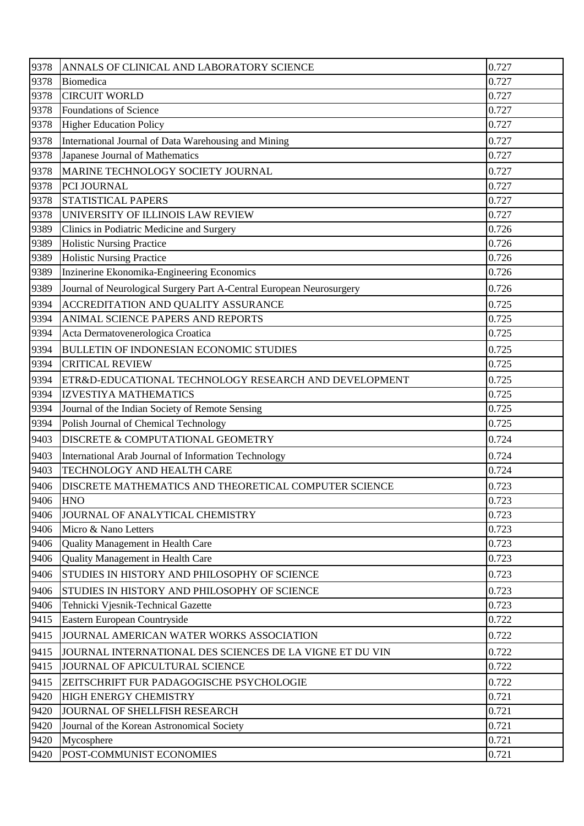| 9378 | ANNALS OF CLINICAL AND LABORATORY SCIENCE                            | 0.727 |
|------|----------------------------------------------------------------------|-------|
| 9378 | Biomedica                                                            | 0.727 |
| 9378 | <b>CIRCUIT WORLD</b>                                                 | 0.727 |
| 9378 | Foundations of Science                                               | 0.727 |
| 9378 | <b>Higher Education Policy</b>                                       | 0.727 |
| 9378 | International Journal of Data Warehousing and Mining                 | 0.727 |
| 9378 | Japanese Journal of Mathematics                                      | 0.727 |
| 9378 | MARINE TECHNOLOGY SOCIETY JOURNAL                                    | 0.727 |
| 9378 | PCI JOURNAL                                                          | 0.727 |
| 9378 | STATISTICAL PAPERS                                                   | 0.727 |
| 9378 | UNIVERSITY OF ILLINOIS LAW REVIEW                                    | 0.727 |
| 9389 | Clinics in Podiatric Medicine and Surgery                            | 0.726 |
| 9389 | <b>Holistic Nursing Practice</b>                                     | 0.726 |
| 9389 | <b>Holistic Nursing Practice</b>                                     | 0.726 |
| 9389 | Inzinerine Ekonomika-Engineering Economics                           | 0.726 |
| 9389 | Journal of Neurological Surgery Part A-Central European Neurosurgery | 0.726 |
| 9394 | ACCREDITATION AND QUALITY ASSURANCE                                  | 0.725 |
| 9394 | ANIMAL SCIENCE PAPERS AND REPORTS                                    | 0.725 |
| 9394 | Acta Dermatovenerologica Croatica                                    | 0.725 |
| 9394 | <b>BULLETIN OF INDONESIAN ECONOMIC STUDIES</b>                       | 0.725 |
| 9394 | <b>CRITICAL REVIEW</b>                                               | 0.725 |
| 9394 | ETR&D-EDUCATIONAL TECHNOLOGY RESEARCH AND DEVELOPMENT                | 0.725 |
| 9394 | <b>IZVESTIYA MATHEMATICS</b>                                         | 0.725 |
| 9394 | Journal of the Indian Society of Remote Sensing                      | 0.725 |
| 9394 | Polish Journal of Chemical Technology                                | 0.725 |
| 9403 | DISCRETE & COMPUTATIONAL GEOMETRY                                    | 0.724 |
| 9403 | International Arab Journal of Information Technology                 | 0.724 |
| 9403 | TECHNOLOGY AND HEALTH CARE                                           | 0.724 |
| 9406 | <b>DISCRETE MATHEMATICS AND THEORETICAL COMPUTER SCIENCE</b>         | 0.723 |
| 9406 | <b>HNO</b>                                                           | 0.723 |
| 9406 | JOURNAL OF ANALYTICAL CHEMISTRY                                      | 0.723 |
| 9406 | Micro & Nano Letters                                                 | 0.723 |
| 9406 | Quality Management in Health Care                                    | 0.723 |
| 9406 | Quality Management in Health Care                                    | 0.723 |
| 9406 | STUDIES IN HISTORY AND PHILOSOPHY OF SCIENCE                         | 0.723 |
| 9406 | STUDIES IN HISTORY AND PHILOSOPHY OF SCIENCE                         | 0.723 |
| 9406 | Tehnicki Vjesnik-Technical Gazette                                   | 0.723 |
| 9415 | Eastern European Countryside                                         | 0.722 |
| 9415 | JOURNAL AMERICAN WATER WORKS ASSOCIATION                             | 0.722 |
| 9415 | JOURNAL INTERNATIONAL DES SCIENCES DE LA VIGNE ET DU VIN             | 0.722 |
| 9415 | JOURNAL OF APICULTURAL SCIENCE                                       | 0.722 |
| 9415 | ZEITSCHRIFT FUR PADAGOGISCHE PSYCHOLOGIE                             | 0.722 |
| 9420 | HIGH ENERGY CHEMISTRY                                                | 0.721 |
| 9420 | JOURNAL OF SHELLFISH RESEARCH                                        | 0.721 |
| 9420 | Journal of the Korean Astronomical Society                           | 0.721 |
| 9420 | Mycosphere                                                           | 0.721 |
| 9420 | POST-COMMUNIST ECONOMIES                                             | 0.721 |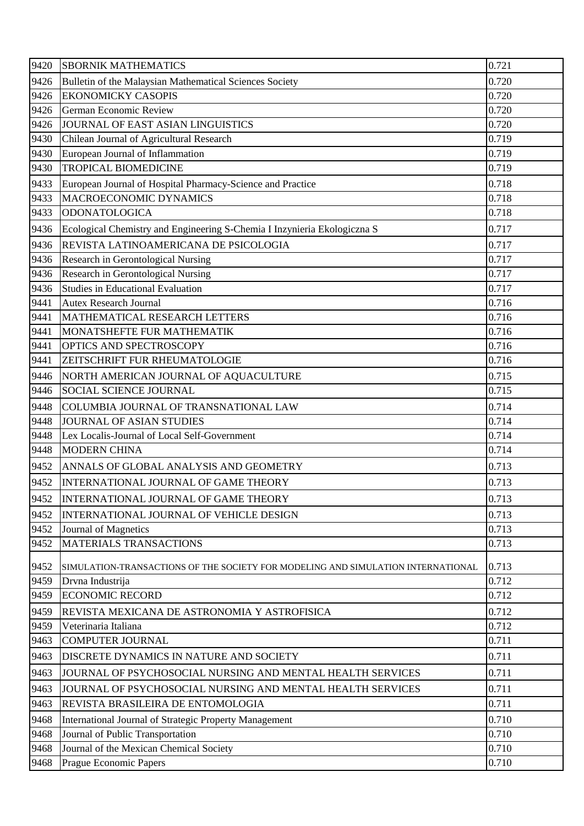| 9420 | <b>SBORNIK MATHEMATICS</b>                                                       | 0.721 |
|------|----------------------------------------------------------------------------------|-------|
| 9426 | Bulletin of the Malaysian Mathematical Sciences Society                          | 0.720 |
| 9426 | <b>EKONOMICKY CASOPIS</b>                                                        | 0.720 |
| 9426 | German Economic Review                                                           | 0.720 |
| 9426 | JOURNAL OF EAST ASIAN LINGUISTICS                                                | 0.720 |
| 9430 | Chilean Journal of Agricultural Research                                         | 0.719 |
| 9430 | European Journal of Inflammation                                                 | 0.719 |
| 9430 | <b>TROPICAL BIOMEDICINE</b>                                                      | 0.719 |
| 9433 | European Journal of Hospital Pharmacy-Science and Practice                       | 0.718 |
| 9433 | MACROECONOMIC DYNAMICS                                                           | 0.718 |
| 9433 | ODONATOLOGICA                                                                    | 0.718 |
| 9436 | Ecological Chemistry and Engineering S-Chemia I Inzynieria Ekologiczna S         | 0.717 |
| 9436 | REVISTA LATINOAMERICANA DE PSICOLOGIA                                            | 0.717 |
| 9436 | <b>Research in Gerontological Nursing</b>                                        | 0.717 |
| 9436 | Research in Gerontological Nursing                                               | 0.717 |
| 9436 | <b>Studies in Educational Evaluation</b>                                         | 0.717 |
| 9441 | <b>Autex Research Journal</b>                                                    | 0.716 |
| 9441 | MATHEMATICAL RESEARCH LETTERS                                                    | 0.716 |
| 9441 | MONATSHEFTE FUR MATHEMATIK                                                       | 0.716 |
| 9441 | OPTICS AND SPECTROSCOPY                                                          | 0.716 |
| 9441 | ZEITSCHRIFT FUR RHEUMATOLOGIE                                                    | 0.716 |
| 9446 | NORTH AMERICAN JOURNAL OF AQUACULTURE                                            | 0.715 |
| 9446 | <b>SOCIAL SCIENCE JOURNAL</b>                                                    | 0.715 |
| 9448 | COLUMBIA JOURNAL OF TRANSNATIONAL LAW                                            | 0.714 |
| 9448 | <b>JOURNAL OF ASIAN STUDIES</b>                                                  | 0.714 |
| 9448 | Lex Localis-Journal of Local Self-Government                                     | 0.714 |
| 9448 | <b>MODERN CHINA</b>                                                              | 0.714 |
| 9452 | ANNALS OF GLOBAL ANALYSIS AND GEOMETRY                                           | 0.713 |
| 9452 | INTERNATIONAL JOURNAL OF GAME THEORY                                             | 0.713 |
| 9452 | INTERNATIONAL JOURNAL OF GAME THEORY                                             | 0.713 |
| 9452 | INTERNATIONAL JOURNAL OF VEHICLE DESIGN                                          | 0.713 |
| 9452 | Journal of Magnetics                                                             | 0.713 |
| 9452 | <b>MATERIALS TRANSACTIONS</b>                                                    | 0.713 |
| 9452 | SIMULATION-TRANSACTIONS OF THE SOCIETY FOR MODELING AND SIMULATION INTERNATIONAL | 0.713 |
| 9459 | Drvna Industrija                                                                 | 0.712 |
| 9459 | <b>ECONOMIC RECORD</b>                                                           | 0.712 |
| 9459 | REVISTA MEXICANA DE ASTRONOMIA Y ASTROFISICA                                     | 0.712 |
| 9459 | Veterinaria Italiana                                                             | 0.712 |
| 9463 | <b>COMPUTER JOURNAL</b>                                                          | 0.711 |
| 9463 | DISCRETE DYNAMICS IN NATURE AND SOCIETY                                          | 0.711 |
| 9463 | JOURNAL OF PSYCHOSOCIAL NURSING AND MENTAL HEALTH SERVICES                       | 0.711 |
| 9463 | JOURNAL OF PSYCHOSOCIAL NURSING AND MENTAL HEALTH SERVICES                       | 0.711 |
| 9463 | REVISTA BRASILEIRA DE ENTOMOLOGIA                                                | 0.711 |
| 9468 | International Journal of Strategic Property Management                           | 0.710 |
| 9468 | Journal of Public Transportation                                                 | 0.710 |
| 9468 | Journal of the Mexican Chemical Society                                          | 0.710 |
| 9468 | Prague Economic Papers                                                           | 0.710 |
|      |                                                                                  |       |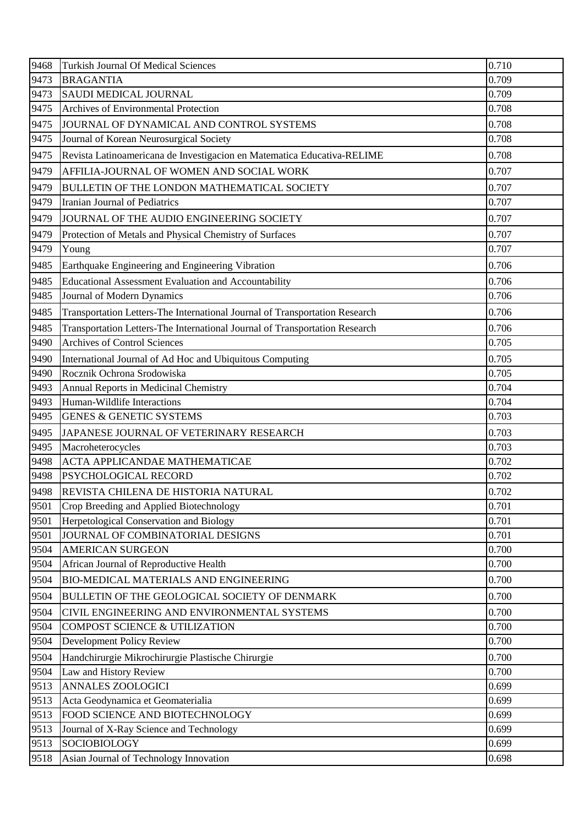| 9468 | <b>Turkish Journal Of Medical Sciences</b>                                  | 0.710 |
|------|-----------------------------------------------------------------------------|-------|
| 9473 | <b>BRAGANTIA</b>                                                            | 0.709 |
| 9473 | SAUDI MEDICAL JOURNAL                                                       | 0.709 |
| 9475 | Archives of Environmental Protection                                        | 0.708 |
| 9475 | JOURNAL OF DYNAMICAL AND CONTROL SYSTEMS                                    | 0.708 |
| 9475 | Journal of Korean Neurosurgical Society                                     | 0.708 |
| 9475 | Revista Latinoamericana de Investigacion en Matematica Educativa-RELIME     | 0.708 |
| 9479 | AFFILIA-JOURNAL OF WOMEN AND SOCIAL WORK                                    | 0.707 |
| 9479 | BULLETIN OF THE LONDON MATHEMATICAL SOCIETY                                 | 0.707 |
| 9479 | Iranian Journal of Pediatrics                                               | 0.707 |
| 9479 | JOURNAL OF THE AUDIO ENGINEERING SOCIETY                                    | 0.707 |
| 9479 | Protection of Metals and Physical Chemistry of Surfaces                     | 0.707 |
| 9479 | Young                                                                       | 0.707 |
| 9485 | Earthquake Engineering and Engineering Vibration                            | 0.706 |
| 9485 | Educational Assessment Evaluation and Accountability                        | 0.706 |
| 9485 | Journal of Modern Dynamics                                                  | 0.706 |
| 9485 | Transportation Letters-The International Journal of Transportation Research | 0.706 |
| 9485 | Transportation Letters-The International Journal of Transportation Research | 0.706 |
| 9490 | <b>Archives of Control Sciences</b>                                         | 0.705 |
| 9490 | International Journal of Ad Hoc and Ubiquitous Computing                    | 0.705 |
| 9490 | Rocznik Ochrona Srodowiska                                                  | 0.705 |
| 9493 | Annual Reports in Medicinal Chemistry                                       | 0.704 |
| 9493 | Human-Wildlife Interactions                                                 | 0.704 |
| 9495 | <b>GENES &amp; GENETIC SYSTEMS</b>                                          | 0.703 |
| 9495 | JAPANESE JOURNAL OF VETERINARY RESEARCH                                     | 0.703 |
| 9495 | Macroheterocycles                                                           | 0.703 |
| 9498 | <b>ACTA APPLICANDAE MATHEMATICAE</b>                                        | 0.702 |
| 9498 | <b>PSYCHOLOGICAL RECORD</b>                                                 | 0.702 |
| 9498 | REVISTA CHILENA DE HISTORIA NATURAL                                         | 0.702 |
| 9501 | Crop Breeding and Applied Biotechnology                                     | 0.701 |
| 9501 | Herpetological Conservation and Biology                                     | 0.701 |
| 9501 | JOURNAL OF COMBINATORIAL DESIGNS                                            | 0.701 |
| 9504 | <b>AMERICAN SURGEON</b>                                                     | 0.700 |
| 9504 | African Journal of Reproductive Health                                      | 0.700 |
| 9504 | <b>BIO-MEDICAL MATERIALS AND ENGINEERING</b>                                | 0.700 |
| 9504 | BULLETIN OF THE GEOLOGICAL SOCIETY OF DENMARK                               | 0.700 |
| 9504 | CIVIL ENGINEERING AND ENVIRONMENTAL SYSTEMS                                 | 0.700 |
| 9504 | <b>COMPOST SCIENCE &amp; UTILIZATION</b>                                    | 0.700 |
| 9504 | <b>Development Policy Review</b>                                            | 0.700 |
| 9504 | Handchirurgie Mikrochirurgie Plastische Chirurgie                           | 0.700 |
| 9504 | Law and History Review                                                      | 0.700 |
| 9513 | <b>ANNALES ZOOLOGICI</b>                                                    | 0.699 |
| 9513 | Acta Geodynamica et Geomaterialia                                           | 0.699 |
| 9513 | FOOD SCIENCE AND BIOTECHNOLOGY                                              | 0.699 |
| 9513 | Journal of X-Ray Science and Technology                                     | 0.699 |
| 9513 | <b>SOCIOBIOLOGY</b>                                                         | 0.699 |
| 9518 | Asian Journal of Technology Innovation                                      | 0.698 |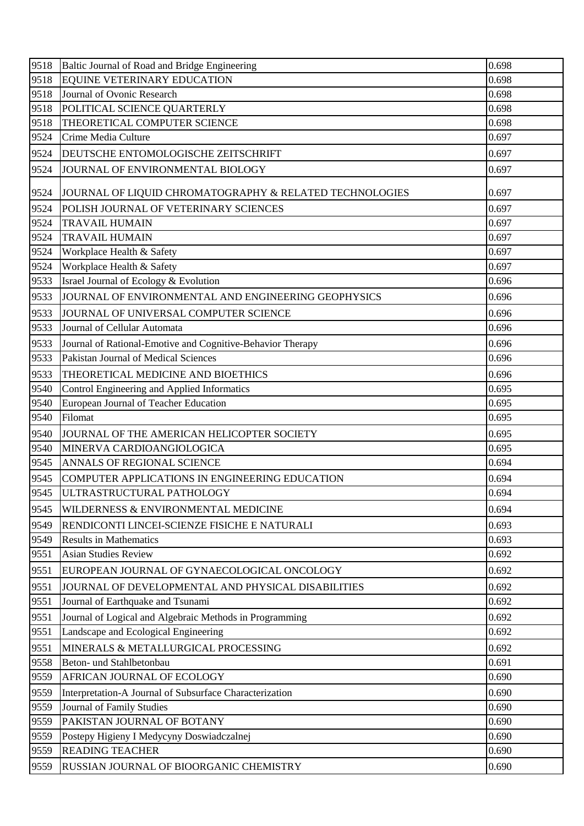| EQUINE VETERINARY EDUCATION<br>9518<br>0.698<br>Journal of Ovonic Research<br>9518<br>0.698<br>9518<br>POLITICAL SCIENCE QUARTERLY<br>0.698<br>THEORETICAL COMPUTER SCIENCE<br>9518<br>0.698<br>9524<br>0.697<br>Crime Media Culture<br>0.697<br>9524<br>DEUTSCHE ENTOMOLOGISCHE ZEITSCHRIFT |  |
|----------------------------------------------------------------------------------------------------------------------------------------------------------------------------------------------------------------------------------------------------------------------------------------------|--|
|                                                                                                                                                                                                                                                                                              |  |
|                                                                                                                                                                                                                                                                                              |  |
|                                                                                                                                                                                                                                                                                              |  |
|                                                                                                                                                                                                                                                                                              |  |
|                                                                                                                                                                                                                                                                                              |  |
|                                                                                                                                                                                                                                                                                              |  |
| 0.697<br>9524<br>JOURNAL OF ENVIRONMENTAL BIOLOGY                                                                                                                                                                                                                                            |  |
| 9524<br>JOURNAL OF LIQUID CHROMATOGRAPHY & RELATED TECHNOLOGIES<br>0.697                                                                                                                                                                                                                     |  |
| 0.697<br>9524<br>POLISH JOURNAL OF VETERINARY SCIENCES                                                                                                                                                                                                                                       |  |
| 9524<br><b>TRAVAIL HUMAIN</b><br>0.697                                                                                                                                                                                                                                                       |  |
| 9524<br>0.697<br><b>TRAVAIL HUMAIN</b>                                                                                                                                                                                                                                                       |  |
| 9524<br>Workplace Health & Safety<br>0.697                                                                                                                                                                                                                                                   |  |
| 9524<br>Workplace Health & Safety<br>0.697                                                                                                                                                                                                                                                   |  |
| Israel Journal of Ecology & Evolution<br>9533<br>0.696                                                                                                                                                                                                                                       |  |
| 9533<br>JOURNAL OF ENVIRONMENTAL AND ENGINEERING GEOPHYSICS<br>0.696                                                                                                                                                                                                                         |  |
| 9533<br>JOURNAL OF UNIVERSAL COMPUTER SCIENCE<br>0.696                                                                                                                                                                                                                                       |  |
| 9533<br>0.696<br>Journal of Cellular Automata                                                                                                                                                                                                                                                |  |
| 0.696<br>9533<br>Journal of Rational-Emotive and Cognitive-Behavior Therapy                                                                                                                                                                                                                  |  |
| Pakistan Journal of Medical Sciences<br>0.696<br>9533                                                                                                                                                                                                                                        |  |
| 0.696<br>9533<br>THEORETICAL MEDICINE AND BIOETHICS                                                                                                                                                                                                                                          |  |
| Control Engineering and Applied Informatics<br>0.695<br>9540                                                                                                                                                                                                                                 |  |
| European Journal of Teacher Education<br>9540<br>0.695                                                                                                                                                                                                                                       |  |
| 9540<br>Filomat<br>0.695                                                                                                                                                                                                                                                                     |  |
| 0.695<br>9540<br>JOURNAL OF THE AMERICAN HELICOPTER SOCIETY                                                                                                                                                                                                                                  |  |
| 0.695<br>9540<br>MINERVA CARDIOANGIOLOGICA                                                                                                                                                                                                                                                   |  |
| 9545<br>ANNALS OF REGIONAL SCIENCE<br>0.694                                                                                                                                                                                                                                                  |  |
| 9545<br>0.694<br>COMPUTER APPLICATIONS IN ENGINEERING EDUCATION                                                                                                                                                                                                                              |  |
| 9545<br>ULTRASTRUCTURAL PATHOLOGY<br>0.694                                                                                                                                                                                                                                                   |  |
| 0.694<br>9545<br>WILDERNESS & ENVIRONMENTAL MEDICINE                                                                                                                                                                                                                                         |  |
| 9549<br>0.693<br>RENDICONTI LINCEI-SCIENZE FISICHE E NATURALI                                                                                                                                                                                                                                |  |
| 0.693<br>9549<br><b>Results in Mathematics</b>                                                                                                                                                                                                                                               |  |
| 0.692<br>9551<br><b>Asian Studies Review</b>                                                                                                                                                                                                                                                 |  |
| 0.692<br>9551<br>EUROPEAN JOURNAL OF GYNAECOLOGICAL ONCOLOGY                                                                                                                                                                                                                                 |  |
| 0.692<br>9551<br>JOURNAL OF DEVELOPMENTAL AND PHYSICAL DISABILITIES                                                                                                                                                                                                                          |  |
| Journal of Earthquake and Tsunami<br>0.692<br>9551                                                                                                                                                                                                                                           |  |
| 0.692<br>Journal of Logical and Algebraic Methods in Programming<br>9551                                                                                                                                                                                                                     |  |
| Landscape and Ecological Engineering<br>0.692<br>9551                                                                                                                                                                                                                                        |  |
| MINERALS & METALLURGICAL PROCESSING<br>0.692<br>9551                                                                                                                                                                                                                                         |  |
| 0.691<br>9558<br>Beton- und Stahlbetonbau                                                                                                                                                                                                                                                    |  |
| 9559<br>AFRICAN JOURNAL OF ECOLOGY<br>0.690                                                                                                                                                                                                                                                  |  |
| 0.690<br>9559<br>Interpretation-A Journal of Subsurface Characterization                                                                                                                                                                                                                     |  |
| Journal of Family Studies<br>0.690<br>9559                                                                                                                                                                                                                                                   |  |
| PAKISTAN JOURNAL OF BOTANY<br>9559<br>0.690                                                                                                                                                                                                                                                  |  |
| 9559<br>Postepy Higieny I Medycyny Doswiadczalnej<br>0.690                                                                                                                                                                                                                                   |  |
| <b>READING TEACHER</b><br>9559<br>0.690                                                                                                                                                                                                                                                      |  |
| 0.690<br>9559<br>RUSSIAN JOURNAL OF BIOORGANIC CHEMISTRY                                                                                                                                                                                                                                     |  |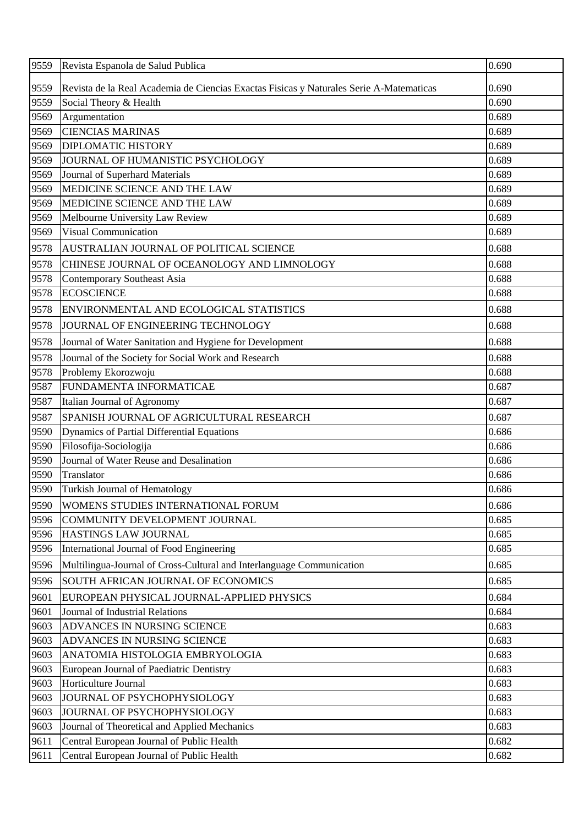| 9559 | Revista Espanola de Salud Publica                                                       | 0.690 |
|------|-----------------------------------------------------------------------------------------|-------|
| 9559 | Revista de la Real Academia de Ciencias Exactas Físicas y Naturales Serie A-Matematicas | 0.690 |
| 9559 | Social Theory & Health                                                                  | 0.690 |
| 9569 | Argumentation                                                                           | 0.689 |
| 9569 | <b>CIENCIAS MARINAS</b>                                                                 | 0.689 |
| 9569 | <b>DIPLOMATIC HISTORY</b>                                                               | 0.689 |
| 9569 | JOURNAL OF HUMANISTIC PSYCHOLOGY                                                        | 0.689 |
| 9569 | Journal of Superhard Materials                                                          | 0.689 |
| 9569 | MEDICINE SCIENCE AND THE LAW                                                            | 0.689 |
| 9569 | MEDICINE SCIENCE AND THE LAW                                                            | 0.689 |
| 9569 | Melbourne University Law Review                                                         | 0.689 |
| 9569 | <b>Visual Communication</b>                                                             | 0.689 |
| 9578 | AUSTRALIAN JOURNAL OF POLITICAL SCIENCE                                                 | 0.688 |
| 9578 | CHINESE JOURNAL OF OCEANOLOGY AND LIMNOLOGY                                             | 0.688 |
| 9578 | <b>Contemporary Southeast Asia</b>                                                      | 0.688 |
| 9578 | <b>ECOSCIENCE</b>                                                                       | 0.688 |
| 9578 | ENVIRONMENTAL AND ECOLOGICAL STATISTICS                                                 | 0.688 |
| 9578 | JOURNAL OF ENGINEERING TECHNOLOGY                                                       | 0.688 |
| 9578 | Journal of Water Sanitation and Hygiene for Development                                 | 0.688 |
| 9578 | Journal of the Society for Social Work and Research                                     | 0.688 |
| 9578 | Problemy Ekorozwoju                                                                     | 0.688 |
| 9587 | FUNDAMENTA INFORMATICAE                                                                 | 0.687 |
| 9587 | Italian Journal of Agronomy                                                             | 0.687 |
| 9587 | SPANISH JOURNAL OF AGRICULTURAL RESEARCH                                                | 0.687 |
| 9590 | Dynamics of Partial Differential Equations                                              | 0.686 |
| 9590 | Filosofija-Sociologija                                                                  | 0.686 |
| 9590 | Journal of Water Reuse and Desalination                                                 | 0.686 |
| 9590 | Translator                                                                              | 0.686 |
| 9590 | <b>Turkish Journal of Hematology</b>                                                    | 0.686 |
| 9590 | WOMENS STUDIES INTERNATIONAL FORUM                                                      | 0.686 |
| 9596 | COMMUNITY DEVELOPMENT JOURNAL                                                           | 0.685 |
| 9596 | HASTINGS LAW JOURNAL                                                                    | 0.685 |
| 9596 | International Journal of Food Engineering                                               | 0.685 |
| 9596 | Multilingua-Journal of Cross-Cultural and Interlanguage Communication                   | 0.685 |
| 9596 | SOUTH AFRICAN JOURNAL OF ECONOMICS                                                      | 0.685 |
| 9601 | EUROPEAN PHYSICAL JOURNAL-APPLIED PHYSICS                                               | 0.684 |
| 9601 | Journal of Industrial Relations                                                         | 0.684 |
| 9603 | ADVANCES IN NURSING SCIENCE                                                             | 0.683 |
| 9603 | ADVANCES IN NURSING SCIENCE                                                             | 0.683 |
| 9603 | ANATOMIA HISTOLOGIA EMBRYOLOGIA                                                         | 0.683 |
| 9603 | European Journal of Paediatric Dentistry                                                | 0.683 |
| 9603 | Horticulture Journal                                                                    | 0.683 |
| 9603 | JOURNAL OF PSYCHOPHYSIOLOGY                                                             | 0.683 |
| 9603 | JOURNAL OF PSYCHOPHYSIOLOGY                                                             | 0.683 |
| 9603 | Journal of Theoretical and Applied Mechanics                                            | 0.683 |
| 9611 | Central European Journal of Public Health                                               | 0.682 |
| 9611 | Central European Journal of Public Health                                               | 0.682 |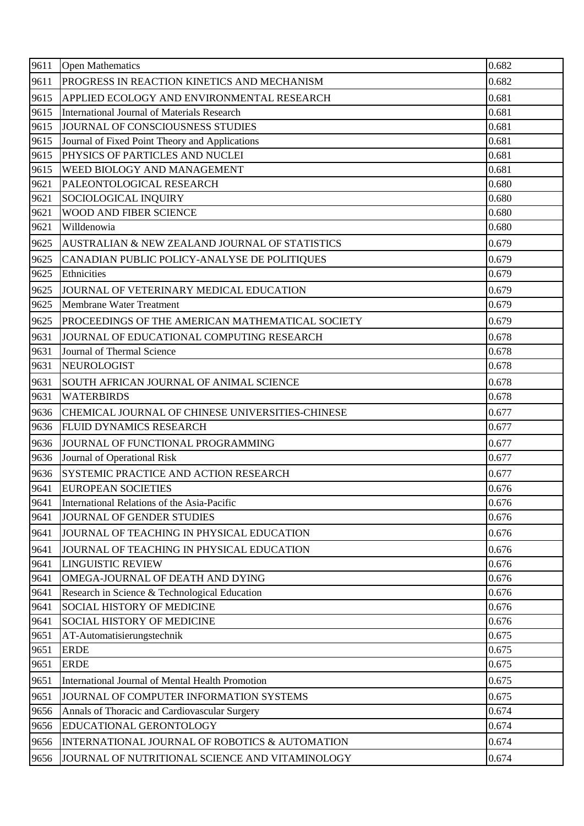| 9611<br>PROGRESS IN REACTION KINETICS AND MECHANISM<br>0.682<br>0.681<br>9615<br>APPLIED ECOLOGY AND ENVIRONMENTAL RESEARCH<br>0.681<br>9615<br>International Journal of Materials Research<br>0.681<br>9615<br>JOURNAL OF CONSCIOUSNESS STUDIES<br>9615<br>Journal of Fixed Point Theory and Applications<br>0.681<br>9615<br>PHYSICS OF PARTICLES AND NUCLEI<br>0.681<br>9615<br>0.681<br>WEED BIOLOGY AND MANAGEMENT<br>9621<br>0.680<br>PALEONTOLOGICAL RESEARCH<br>9621<br>0.680<br>SOCIOLOGICAL INQUIRY<br>WOOD AND FIBER SCIENCE<br>9621<br>0.680<br>9621<br>0.680<br>Willdenowia<br>9625<br>0.679<br>AUSTRALIAN & NEW ZEALAND JOURNAL OF STATISTICS<br>9625<br>0.679<br>CANADIAN PUBLIC POLICY-ANALYSE DE POLITIQUES<br>9625<br>0.679<br>Ethnicities<br>0.679<br>9625<br>JOURNAL OF VETERINARY MEDICAL EDUCATION<br>0.679<br>9625<br><b>Membrane Water Treatment</b><br>0.679<br>9625<br>PROCEEDINGS OF THE AMERICAN MATHEMATICAL SOCIETY<br>0.678<br>9631<br>JOURNAL OF EDUCATIONAL COMPUTING RESEARCH<br>0.678<br>9631<br>Journal of Thermal Science<br>9631<br><b>NEUROLOGIST</b><br>0.678<br>9631<br>SOUTH AFRICAN JOURNAL OF ANIMAL SCIENCE<br>0.678<br><b>WATERBIRDS</b><br>0.678<br>9631<br>0.677<br>9636<br>CHEMICAL JOURNAL OF CHINESE UNIVERSITIES-CHINESE<br>0.677<br>9636<br>FLUID DYNAMICS RESEARCH<br>9636<br>0.677<br>JOURNAL OF FUNCTIONAL PROGRAMMING<br>9636<br>Journal of Operational Risk<br>0.677<br>SYSTEMIC PRACTICE AND ACTION RESEARCH<br>0.677<br>9636<br>9641<br>0.676<br><b>EUROPEAN SOCIETIES</b><br>International Relations of the Asia-Pacific<br>0.676<br>9641<br>9641<br><b>JOURNAL OF GENDER STUDIES</b><br>0.676<br>9641<br>0.676<br>JOURNAL OF TEACHING IN PHYSICAL EDUCATION<br>0.676<br>9641<br>JOURNAL OF TEACHING IN PHYSICAL EDUCATION<br>9641<br><b>LINGUISTIC REVIEW</b><br>0.676<br>9641<br>OMEGA-JOURNAL OF DEATH AND DYING<br>0.676<br>0.676<br>9641<br>Research in Science & Technological Education<br>9641<br>SOCIAL HISTORY OF MEDICINE<br>0.676<br>0.676<br><b>SOCIAL HISTORY OF MEDICINE</b><br>9641<br>AT-Automatisierungstechnik<br>0.675<br>9651<br>0.675<br><b>ERDE</b><br>9651<br>9651<br><b>ERDE</b><br>0.675<br>9651<br>0.675<br>International Journal of Mental Health Promotion<br>0.675<br>9651<br>JOURNAL OF COMPUTER INFORMATION SYSTEMS<br>Annals of Thoracic and Cardiovascular Surgery<br>0.674<br>9656<br>9656<br>EDUCATIONAL GERONTOLOGY<br>0.674<br>INTERNATIONAL JOURNAL OF ROBOTICS & AUTOMATION<br>0.674<br>9656<br>JOURNAL OF NUTRITIONAL SCIENCE AND VITAMINOLOGY<br>0.674<br>9656 | 9611 | <b>Open Mathematics</b> | 0.682 |
|-----------------------------------------------------------------------------------------------------------------------------------------------------------------------------------------------------------------------------------------------------------------------------------------------------------------------------------------------------------------------------------------------------------------------------------------------------------------------------------------------------------------------------------------------------------------------------------------------------------------------------------------------------------------------------------------------------------------------------------------------------------------------------------------------------------------------------------------------------------------------------------------------------------------------------------------------------------------------------------------------------------------------------------------------------------------------------------------------------------------------------------------------------------------------------------------------------------------------------------------------------------------------------------------------------------------------------------------------------------------------------------------------------------------------------------------------------------------------------------------------------------------------------------------------------------------------------------------------------------------------------------------------------------------------------------------------------------------------------------------------------------------------------------------------------------------------------------------------------------------------------------------------------------------------------------------------------------------------------------------------------------------------------------------------------------------------------------------------------------------------------------------------------------------------------------------------------------------------------------------------------------------------------------------------------------------------------------------------------------------------------------------------------------------------------------------------------------------------------------------------------------------------------------------------------------------------|------|-------------------------|-------|
|                                                                                                                                                                                                                                                                                                                                                                                                                                                                                                                                                                                                                                                                                                                                                                                                                                                                                                                                                                                                                                                                                                                                                                                                                                                                                                                                                                                                                                                                                                                                                                                                                                                                                                                                                                                                                                                                                                                                                                                                                                                                                                                                                                                                                                                                                                                                                                                                                                                                                                                                                                       |      |                         |       |
|                                                                                                                                                                                                                                                                                                                                                                                                                                                                                                                                                                                                                                                                                                                                                                                                                                                                                                                                                                                                                                                                                                                                                                                                                                                                                                                                                                                                                                                                                                                                                                                                                                                                                                                                                                                                                                                                                                                                                                                                                                                                                                                                                                                                                                                                                                                                                                                                                                                                                                                                                                       |      |                         |       |
|                                                                                                                                                                                                                                                                                                                                                                                                                                                                                                                                                                                                                                                                                                                                                                                                                                                                                                                                                                                                                                                                                                                                                                                                                                                                                                                                                                                                                                                                                                                                                                                                                                                                                                                                                                                                                                                                                                                                                                                                                                                                                                                                                                                                                                                                                                                                                                                                                                                                                                                                                                       |      |                         |       |
|                                                                                                                                                                                                                                                                                                                                                                                                                                                                                                                                                                                                                                                                                                                                                                                                                                                                                                                                                                                                                                                                                                                                                                                                                                                                                                                                                                                                                                                                                                                                                                                                                                                                                                                                                                                                                                                                                                                                                                                                                                                                                                                                                                                                                                                                                                                                                                                                                                                                                                                                                                       |      |                         |       |
|                                                                                                                                                                                                                                                                                                                                                                                                                                                                                                                                                                                                                                                                                                                                                                                                                                                                                                                                                                                                                                                                                                                                                                                                                                                                                                                                                                                                                                                                                                                                                                                                                                                                                                                                                                                                                                                                                                                                                                                                                                                                                                                                                                                                                                                                                                                                                                                                                                                                                                                                                                       |      |                         |       |
|                                                                                                                                                                                                                                                                                                                                                                                                                                                                                                                                                                                                                                                                                                                                                                                                                                                                                                                                                                                                                                                                                                                                                                                                                                                                                                                                                                                                                                                                                                                                                                                                                                                                                                                                                                                                                                                                                                                                                                                                                                                                                                                                                                                                                                                                                                                                                                                                                                                                                                                                                                       |      |                         |       |
|                                                                                                                                                                                                                                                                                                                                                                                                                                                                                                                                                                                                                                                                                                                                                                                                                                                                                                                                                                                                                                                                                                                                                                                                                                                                                                                                                                                                                                                                                                                                                                                                                                                                                                                                                                                                                                                                                                                                                                                                                                                                                                                                                                                                                                                                                                                                                                                                                                                                                                                                                                       |      |                         |       |
|                                                                                                                                                                                                                                                                                                                                                                                                                                                                                                                                                                                                                                                                                                                                                                                                                                                                                                                                                                                                                                                                                                                                                                                                                                                                                                                                                                                                                                                                                                                                                                                                                                                                                                                                                                                                                                                                                                                                                                                                                                                                                                                                                                                                                                                                                                                                                                                                                                                                                                                                                                       |      |                         |       |
|                                                                                                                                                                                                                                                                                                                                                                                                                                                                                                                                                                                                                                                                                                                                                                                                                                                                                                                                                                                                                                                                                                                                                                                                                                                                                                                                                                                                                                                                                                                                                                                                                                                                                                                                                                                                                                                                                                                                                                                                                                                                                                                                                                                                                                                                                                                                                                                                                                                                                                                                                                       |      |                         |       |
|                                                                                                                                                                                                                                                                                                                                                                                                                                                                                                                                                                                                                                                                                                                                                                                                                                                                                                                                                                                                                                                                                                                                                                                                                                                                                                                                                                                                                                                                                                                                                                                                                                                                                                                                                                                                                                                                                                                                                                                                                                                                                                                                                                                                                                                                                                                                                                                                                                                                                                                                                                       |      |                         |       |
|                                                                                                                                                                                                                                                                                                                                                                                                                                                                                                                                                                                                                                                                                                                                                                                                                                                                                                                                                                                                                                                                                                                                                                                                                                                                                                                                                                                                                                                                                                                                                                                                                                                                                                                                                                                                                                                                                                                                                                                                                                                                                                                                                                                                                                                                                                                                                                                                                                                                                                                                                                       |      |                         |       |
|                                                                                                                                                                                                                                                                                                                                                                                                                                                                                                                                                                                                                                                                                                                                                                                                                                                                                                                                                                                                                                                                                                                                                                                                                                                                                                                                                                                                                                                                                                                                                                                                                                                                                                                                                                                                                                                                                                                                                                                                                                                                                                                                                                                                                                                                                                                                                                                                                                                                                                                                                                       |      |                         |       |
|                                                                                                                                                                                                                                                                                                                                                                                                                                                                                                                                                                                                                                                                                                                                                                                                                                                                                                                                                                                                                                                                                                                                                                                                                                                                                                                                                                                                                                                                                                                                                                                                                                                                                                                                                                                                                                                                                                                                                                                                                                                                                                                                                                                                                                                                                                                                                                                                                                                                                                                                                                       |      |                         |       |
|                                                                                                                                                                                                                                                                                                                                                                                                                                                                                                                                                                                                                                                                                                                                                                                                                                                                                                                                                                                                                                                                                                                                                                                                                                                                                                                                                                                                                                                                                                                                                                                                                                                                                                                                                                                                                                                                                                                                                                                                                                                                                                                                                                                                                                                                                                                                                                                                                                                                                                                                                                       |      |                         |       |
|                                                                                                                                                                                                                                                                                                                                                                                                                                                                                                                                                                                                                                                                                                                                                                                                                                                                                                                                                                                                                                                                                                                                                                                                                                                                                                                                                                                                                                                                                                                                                                                                                                                                                                                                                                                                                                                                                                                                                                                                                                                                                                                                                                                                                                                                                                                                                                                                                                                                                                                                                                       |      |                         |       |
|                                                                                                                                                                                                                                                                                                                                                                                                                                                                                                                                                                                                                                                                                                                                                                                                                                                                                                                                                                                                                                                                                                                                                                                                                                                                                                                                                                                                                                                                                                                                                                                                                                                                                                                                                                                                                                                                                                                                                                                                                                                                                                                                                                                                                                                                                                                                                                                                                                                                                                                                                                       |      |                         |       |
|                                                                                                                                                                                                                                                                                                                                                                                                                                                                                                                                                                                                                                                                                                                                                                                                                                                                                                                                                                                                                                                                                                                                                                                                                                                                                                                                                                                                                                                                                                                                                                                                                                                                                                                                                                                                                                                                                                                                                                                                                                                                                                                                                                                                                                                                                                                                                                                                                                                                                                                                                                       |      |                         |       |
|                                                                                                                                                                                                                                                                                                                                                                                                                                                                                                                                                                                                                                                                                                                                                                                                                                                                                                                                                                                                                                                                                                                                                                                                                                                                                                                                                                                                                                                                                                                                                                                                                                                                                                                                                                                                                                                                                                                                                                                                                                                                                                                                                                                                                                                                                                                                                                                                                                                                                                                                                                       |      |                         |       |
|                                                                                                                                                                                                                                                                                                                                                                                                                                                                                                                                                                                                                                                                                                                                                                                                                                                                                                                                                                                                                                                                                                                                                                                                                                                                                                                                                                                                                                                                                                                                                                                                                                                                                                                                                                                                                                                                                                                                                                                                                                                                                                                                                                                                                                                                                                                                                                                                                                                                                                                                                                       |      |                         |       |
|                                                                                                                                                                                                                                                                                                                                                                                                                                                                                                                                                                                                                                                                                                                                                                                                                                                                                                                                                                                                                                                                                                                                                                                                                                                                                                                                                                                                                                                                                                                                                                                                                                                                                                                                                                                                                                                                                                                                                                                                                                                                                                                                                                                                                                                                                                                                                                                                                                                                                                                                                                       |      |                         |       |
|                                                                                                                                                                                                                                                                                                                                                                                                                                                                                                                                                                                                                                                                                                                                                                                                                                                                                                                                                                                                                                                                                                                                                                                                                                                                                                                                                                                                                                                                                                                                                                                                                                                                                                                                                                                                                                                                                                                                                                                                                                                                                                                                                                                                                                                                                                                                                                                                                                                                                                                                                                       |      |                         |       |
|                                                                                                                                                                                                                                                                                                                                                                                                                                                                                                                                                                                                                                                                                                                                                                                                                                                                                                                                                                                                                                                                                                                                                                                                                                                                                                                                                                                                                                                                                                                                                                                                                                                                                                                                                                                                                                                                                                                                                                                                                                                                                                                                                                                                                                                                                                                                                                                                                                                                                                                                                                       |      |                         |       |
|                                                                                                                                                                                                                                                                                                                                                                                                                                                                                                                                                                                                                                                                                                                                                                                                                                                                                                                                                                                                                                                                                                                                                                                                                                                                                                                                                                                                                                                                                                                                                                                                                                                                                                                                                                                                                                                                                                                                                                                                                                                                                                                                                                                                                                                                                                                                                                                                                                                                                                                                                                       |      |                         |       |
|                                                                                                                                                                                                                                                                                                                                                                                                                                                                                                                                                                                                                                                                                                                                                                                                                                                                                                                                                                                                                                                                                                                                                                                                                                                                                                                                                                                                                                                                                                                                                                                                                                                                                                                                                                                                                                                                                                                                                                                                                                                                                                                                                                                                                                                                                                                                                                                                                                                                                                                                                                       |      |                         |       |
|                                                                                                                                                                                                                                                                                                                                                                                                                                                                                                                                                                                                                                                                                                                                                                                                                                                                                                                                                                                                                                                                                                                                                                                                                                                                                                                                                                                                                                                                                                                                                                                                                                                                                                                                                                                                                                                                                                                                                                                                                                                                                                                                                                                                                                                                                                                                                                                                                                                                                                                                                                       |      |                         |       |
|                                                                                                                                                                                                                                                                                                                                                                                                                                                                                                                                                                                                                                                                                                                                                                                                                                                                                                                                                                                                                                                                                                                                                                                                                                                                                                                                                                                                                                                                                                                                                                                                                                                                                                                                                                                                                                                                                                                                                                                                                                                                                                                                                                                                                                                                                                                                                                                                                                                                                                                                                                       |      |                         |       |
|                                                                                                                                                                                                                                                                                                                                                                                                                                                                                                                                                                                                                                                                                                                                                                                                                                                                                                                                                                                                                                                                                                                                                                                                                                                                                                                                                                                                                                                                                                                                                                                                                                                                                                                                                                                                                                                                                                                                                                                                                                                                                                                                                                                                                                                                                                                                                                                                                                                                                                                                                                       |      |                         |       |
|                                                                                                                                                                                                                                                                                                                                                                                                                                                                                                                                                                                                                                                                                                                                                                                                                                                                                                                                                                                                                                                                                                                                                                                                                                                                                                                                                                                                                                                                                                                                                                                                                                                                                                                                                                                                                                                                                                                                                                                                                                                                                                                                                                                                                                                                                                                                                                                                                                                                                                                                                                       |      |                         |       |
|                                                                                                                                                                                                                                                                                                                                                                                                                                                                                                                                                                                                                                                                                                                                                                                                                                                                                                                                                                                                                                                                                                                                                                                                                                                                                                                                                                                                                                                                                                                                                                                                                                                                                                                                                                                                                                                                                                                                                                                                                                                                                                                                                                                                                                                                                                                                                                                                                                                                                                                                                                       |      |                         |       |
|                                                                                                                                                                                                                                                                                                                                                                                                                                                                                                                                                                                                                                                                                                                                                                                                                                                                                                                                                                                                                                                                                                                                                                                                                                                                                                                                                                                                                                                                                                                                                                                                                                                                                                                                                                                                                                                                                                                                                                                                                                                                                                                                                                                                                                                                                                                                                                                                                                                                                                                                                                       |      |                         |       |
|                                                                                                                                                                                                                                                                                                                                                                                                                                                                                                                                                                                                                                                                                                                                                                                                                                                                                                                                                                                                                                                                                                                                                                                                                                                                                                                                                                                                                                                                                                                                                                                                                                                                                                                                                                                                                                                                                                                                                                                                                                                                                                                                                                                                                                                                                                                                                                                                                                                                                                                                                                       |      |                         |       |
|                                                                                                                                                                                                                                                                                                                                                                                                                                                                                                                                                                                                                                                                                                                                                                                                                                                                                                                                                                                                                                                                                                                                                                                                                                                                                                                                                                                                                                                                                                                                                                                                                                                                                                                                                                                                                                                                                                                                                                                                                                                                                                                                                                                                                                                                                                                                                                                                                                                                                                                                                                       |      |                         |       |
|                                                                                                                                                                                                                                                                                                                                                                                                                                                                                                                                                                                                                                                                                                                                                                                                                                                                                                                                                                                                                                                                                                                                                                                                                                                                                                                                                                                                                                                                                                                                                                                                                                                                                                                                                                                                                                                                                                                                                                                                                                                                                                                                                                                                                                                                                                                                                                                                                                                                                                                                                                       |      |                         |       |
|                                                                                                                                                                                                                                                                                                                                                                                                                                                                                                                                                                                                                                                                                                                                                                                                                                                                                                                                                                                                                                                                                                                                                                                                                                                                                                                                                                                                                                                                                                                                                                                                                                                                                                                                                                                                                                                                                                                                                                                                                                                                                                                                                                                                                                                                                                                                                                                                                                                                                                                                                                       |      |                         |       |
|                                                                                                                                                                                                                                                                                                                                                                                                                                                                                                                                                                                                                                                                                                                                                                                                                                                                                                                                                                                                                                                                                                                                                                                                                                                                                                                                                                                                                                                                                                                                                                                                                                                                                                                                                                                                                                                                                                                                                                                                                                                                                                                                                                                                                                                                                                                                                                                                                                                                                                                                                                       |      |                         |       |
|                                                                                                                                                                                                                                                                                                                                                                                                                                                                                                                                                                                                                                                                                                                                                                                                                                                                                                                                                                                                                                                                                                                                                                                                                                                                                                                                                                                                                                                                                                                                                                                                                                                                                                                                                                                                                                                                                                                                                                                                                                                                                                                                                                                                                                                                                                                                                                                                                                                                                                                                                                       |      |                         |       |
|                                                                                                                                                                                                                                                                                                                                                                                                                                                                                                                                                                                                                                                                                                                                                                                                                                                                                                                                                                                                                                                                                                                                                                                                                                                                                                                                                                                                                                                                                                                                                                                                                                                                                                                                                                                                                                                                                                                                                                                                                                                                                                                                                                                                                                                                                                                                                                                                                                                                                                                                                                       |      |                         |       |
|                                                                                                                                                                                                                                                                                                                                                                                                                                                                                                                                                                                                                                                                                                                                                                                                                                                                                                                                                                                                                                                                                                                                                                                                                                                                                                                                                                                                                                                                                                                                                                                                                                                                                                                                                                                                                                                                                                                                                                                                                                                                                                                                                                                                                                                                                                                                                                                                                                                                                                                                                                       |      |                         |       |
|                                                                                                                                                                                                                                                                                                                                                                                                                                                                                                                                                                                                                                                                                                                                                                                                                                                                                                                                                                                                                                                                                                                                                                                                                                                                                                                                                                                                                                                                                                                                                                                                                                                                                                                                                                                                                                                                                                                                                                                                                                                                                                                                                                                                                                                                                                                                                                                                                                                                                                                                                                       |      |                         |       |
|                                                                                                                                                                                                                                                                                                                                                                                                                                                                                                                                                                                                                                                                                                                                                                                                                                                                                                                                                                                                                                                                                                                                                                                                                                                                                                                                                                                                                                                                                                                                                                                                                                                                                                                                                                                                                                                                                                                                                                                                                                                                                                                                                                                                                                                                                                                                                                                                                                                                                                                                                                       |      |                         |       |
|                                                                                                                                                                                                                                                                                                                                                                                                                                                                                                                                                                                                                                                                                                                                                                                                                                                                                                                                                                                                                                                                                                                                                                                                                                                                                                                                                                                                                                                                                                                                                                                                                                                                                                                                                                                                                                                                                                                                                                                                                                                                                                                                                                                                                                                                                                                                                                                                                                                                                                                                                                       |      |                         |       |
|                                                                                                                                                                                                                                                                                                                                                                                                                                                                                                                                                                                                                                                                                                                                                                                                                                                                                                                                                                                                                                                                                                                                                                                                                                                                                                                                                                                                                                                                                                                                                                                                                                                                                                                                                                                                                                                                                                                                                                                                                                                                                                                                                                                                                                                                                                                                                                                                                                                                                                                                                                       |      |                         |       |
|                                                                                                                                                                                                                                                                                                                                                                                                                                                                                                                                                                                                                                                                                                                                                                                                                                                                                                                                                                                                                                                                                                                                                                                                                                                                                                                                                                                                                                                                                                                                                                                                                                                                                                                                                                                                                                                                                                                                                                                                                                                                                                                                                                                                                                                                                                                                                                                                                                                                                                                                                                       |      |                         |       |
|                                                                                                                                                                                                                                                                                                                                                                                                                                                                                                                                                                                                                                                                                                                                                                                                                                                                                                                                                                                                                                                                                                                                                                                                                                                                                                                                                                                                                                                                                                                                                                                                                                                                                                                                                                                                                                                                                                                                                                                                                                                                                                                                                                                                                                                                                                                                                                                                                                                                                                                                                                       |      |                         |       |
|                                                                                                                                                                                                                                                                                                                                                                                                                                                                                                                                                                                                                                                                                                                                                                                                                                                                                                                                                                                                                                                                                                                                                                                                                                                                                                                                                                                                                                                                                                                                                                                                                                                                                                                                                                                                                                                                                                                                                                                                                                                                                                                                                                                                                                                                                                                                                                                                                                                                                                                                                                       |      |                         |       |
|                                                                                                                                                                                                                                                                                                                                                                                                                                                                                                                                                                                                                                                                                                                                                                                                                                                                                                                                                                                                                                                                                                                                                                                                                                                                                                                                                                                                                                                                                                                                                                                                                                                                                                                                                                                                                                                                                                                                                                                                                                                                                                                                                                                                                                                                                                                                                                                                                                                                                                                                                                       |      |                         |       |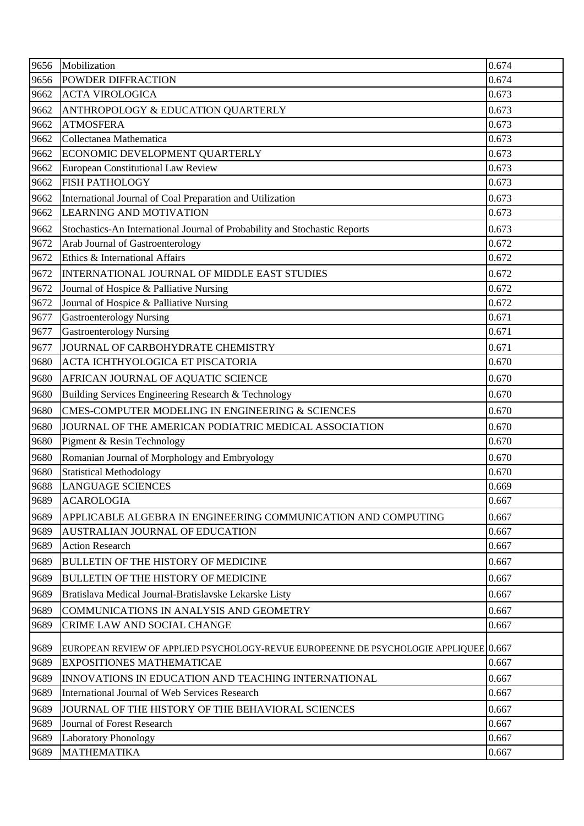| 9656         | Mobilization                                                                                                              | 0.674 |
|--------------|---------------------------------------------------------------------------------------------------------------------------|-------|
| 9656         | POWDER DIFFRACTION                                                                                                        | 0.674 |
| 9662         | <b>ACTA VIROLOGICA</b>                                                                                                    | 0.673 |
| 9662         | ANTHROPOLOGY & EDUCATION QUARTERLY                                                                                        | 0.673 |
| 9662         | <b>ATMOSFERA</b>                                                                                                          | 0.673 |
| 9662         | Collectanea Mathematica                                                                                                   | 0.673 |
| 9662         | ECONOMIC DEVELOPMENT QUARTERLY                                                                                            | 0.673 |
| 9662         | European Constitutional Law Review                                                                                        | 0.673 |
| 9662         | <b>FISH PATHOLOGY</b>                                                                                                     | 0.673 |
| 9662         | International Journal of Coal Preparation and Utilization                                                                 | 0.673 |
| 9662         | <b>LEARNING AND MOTIVATION</b>                                                                                            | 0.673 |
| 9662         | Stochastics-An International Journal of Probability and Stochastic Reports                                                | 0.673 |
| 9672         | Arab Journal of Gastroenterology                                                                                          | 0.672 |
| 9672         | Ethics & International Affairs                                                                                            | 0.672 |
| 9672         | INTERNATIONAL JOURNAL OF MIDDLE EAST STUDIES                                                                              | 0.672 |
| 9672         | Journal of Hospice & Palliative Nursing                                                                                   | 0.672 |
| 9672         | Journal of Hospice & Palliative Nursing                                                                                   | 0.672 |
| 9677         | <b>Gastroenterology Nursing</b>                                                                                           | 0.671 |
| 9677         | <b>Gastroenterology Nursing</b>                                                                                           | 0.671 |
| 9677         | JOURNAL OF CARBOHYDRATE CHEMISTRY                                                                                         | 0.671 |
| 9680         | ACTA ICHTHYOLOGICA ET PISCATORIA                                                                                          | 0.670 |
| 9680         | AFRICAN JOURNAL OF AQUATIC SCIENCE                                                                                        | 0.670 |
| 9680         | Building Services Engineering Research & Technology                                                                       | 0.670 |
| 9680         | CMES-COMPUTER MODELING IN ENGINEERING & SCIENCES                                                                          | 0.670 |
| 9680         | JOURNAL OF THE AMERICAN PODIATRIC MEDICAL ASSOCIATION                                                                     | 0.670 |
| 9680         | Pigment & Resin Technology                                                                                                | 0.670 |
| 9680         | Romanian Journal of Morphology and Embryology                                                                             | 0.670 |
| 9680         | <b>Statistical Methodology</b>                                                                                            | 0.670 |
| 9688         | <b>LANGUAGE SCIENCES</b>                                                                                                  | 0.669 |
| 9689         | <b>ACAROLOGIA</b>                                                                                                         | 0.667 |
| 9689         | APPLICABLE ALGEBRA IN ENGINEERING COMMUNICATION AND COMPUTING                                                             | 0.667 |
| 9689         | AUSTRALIAN JOURNAL OF EDUCATION                                                                                           | 0.667 |
| 9689         | <b>Action Research</b>                                                                                                    | 0.667 |
| 9689         | <b>BULLETIN OF THE HISTORY OF MEDICINE</b>                                                                                | 0.667 |
| 9689         | <b>BULLETIN OF THE HISTORY OF MEDICINE</b>                                                                                | 0.667 |
| 9689         | Bratislava Medical Journal-Bratislavske Lekarske Listy                                                                    | 0.667 |
| 9689         | COMMUNICATIONS IN ANALYSIS AND GEOMETRY                                                                                   | 0.667 |
| 9689         | CRIME LAW AND SOCIAL CHANGE                                                                                               | 0.667 |
|              |                                                                                                                           |       |
| 9689<br>9689 | EUROPEAN REVIEW OF APPLIED PSYCHOLOGY-REVUE EUROPEENNE DE PSYCHOLOGIE APPLIQUEE 0.667<br><b>EXPOSITIONES MATHEMATICAE</b> | 0.667 |
| 9689         | INNOVATIONS IN EDUCATION AND TEACHING INTERNATIONAL                                                                       | 0.667 |
| 9689         | International Journal of Web Services Research                                                                            | 0.667 |
| 9689         | JOURNAL OF THE HISTORY OF THE BEHAVIORAL SCIENCES                                                                         | 0.667 |
| 9689         | Journal of Forest Research                                                                                                | 0.667 |
| 9689         | <b>Laboratory Phonology</b>                                                                                               | 0.667 |
| 9689         | <b>MATHEMATIKA</b>                                                                                                        | 0.667 |
|              |                                                                                                                           |       |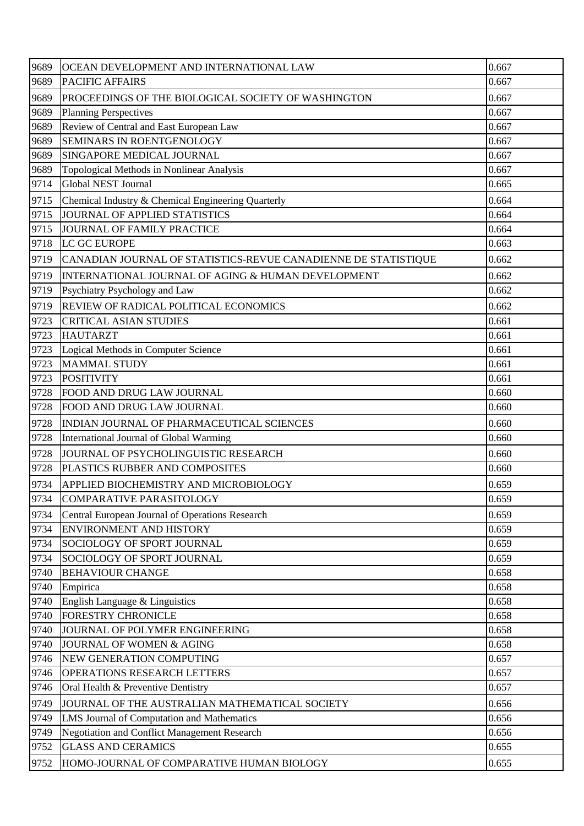| 9689 | OCEAN DEVELOPMENT AND INTERNATIONAL LAW                        | 0.667 |
|------|----------------------------------------------------------------|-------|
| 9689 | <b>PACIFIC AFFAIRS</b>                                         | 0.667 |
| 9689 | PROCEEDINGS OF THE BIOLOGICAL SOCIETY OF WASHINGTON            | 0.667 |
| 9689 | <b>Planning Perspectives</b>                                   | 0.667 |
| 9689 | Review of Central and East European Law                        | 0.667 |
| 9689 | SEMINARS IN ROENTGENOLOGY                                      | 0.667 |
| 9689 | SINGAPORE MEDICAL JOURNAL                                      | 0.667 |
| 9689 | Topological Methods in Nonlinear Analysis                      | 0.667 |
| 9714 | <b>Global NEST Journal</b>                                     | 0.665 |
| 9715 | Chemical Industry & Chemical Engineering Quarterly             | 0.664 |
| 9715 | JOURNAL OF APPLIED STATISTICS                                  | 0.664 |
| 9715 | JOURNAL OF FAMILY PRACTICE                                     | 0.664 |
| 9718 | LC GC EUROPE                                                   | 0.663 |
| 9719 | CANADIAN JOURNAL OF STATISTICS-REVUE CANADIENNE DE STATISTIQUE | 0.662 |
| 9719 | INTERNATIONAL JOURNAL OF AGING & HUMAN DEVELOPMENT             | 0.662 |
| 9719 | Psychiatry Psychology and Law                                  | 0.662 |
| 9719 | REVIEW OF RADICAL POLITICAL ECONOMICS                          | 0.662 |
| 9723 | <b>CRITICAL ASIAN STUDIES</b>                                  | 0.661 |
| 9723 | <b>HAUTARZT</b>                                                | 0.661 |
| 9723 | Logical Methods in Computer Science                            | 0.661 |
| 9723 | <b>MAMMAL STUDY</b>                                            | 0.661 |
| 9723 | <b>POSITIVITY</b>                                              | 0.661 |
| 9728 | FOOD AND DRUG LAW JOURNAL                                      | 0.660 |
| 9728 | FOOD AND DRUG LAW JOURNAL                                      | 0.660 |
| 9728 | INDIAN JOURNAL OF PHARMACEUTICAL SCIENCES                      | 0.660 |
| 9728 | International Journal of Global Warming                        | 0.660 |
| 9728 | JOURNAL OF PSYCHOLINGUISTIC RESEARCH                           | 0.660 |
| 9728 | PLASTICS RUBBER AND COMPOSITES                                 | 0.660 |
| 9734 | APPLIED BIOCHEMISTRY AND MICROBIOLOGY                          | 0.659 |
| 9734 | <b>COMPARATIVE PARASITOLOGY</b>                                | 0.659 |
| 9734 | Central European Journal of Operations Research                | 0.659 |
| 9734 | <b>ENVIRONMENT AND HISTORY</b>                                 | 0.659 |
| 9734 | SOCIOLOGY OF SPORT JOURNAL                                     | 0.659 |
| 9734 | SOCIOLOGY OF SPORT JOURNAL                                     | 0.659 |
| 9740 | <b>BEHAVIOUR CHANGE</b>                                        | 0.658 |
| 9740 | Empirica                                                       | 0.658 |
| 9740 | English Language & Linguistics                                 | 0.658 |
| 9740 | <b>FORESTRY CHRONICLE</b>                                      | 0.658 |
| 9740 | JOURNAL OF POLYMER ENGINEERING                                 | 0.658 |
| 9740 | JOURNAL OF WOMEN & AGING                                       | 0.658 |
| 9746 | NEW GENERATION COMPUTING                                       | 0.657 |
| 9746 | OPERATIONS RESEARCH LETTERS                                    | 0.657 |
| 9746 | Oral Health & Preventive Dentistry                             | 0.657 |
| 9749 | JOURNAL OF THE AUSTRALIAN MATHEMATICAL SOCIETY                 | 0.656 |
| 9749 | LMS Journal of Computation and Mathematics                     | 0.656 |
| 9749 | Negotiation and Conflict Management Research                   | 0.656 |
| 9752 | <b>GLASS AND CERAMICS</b>                                      | 0.655 |
| 9752 | HOMO-JOURNAL OF COMPARATIVE HUMAN BIOLOGY                      | 0.655 |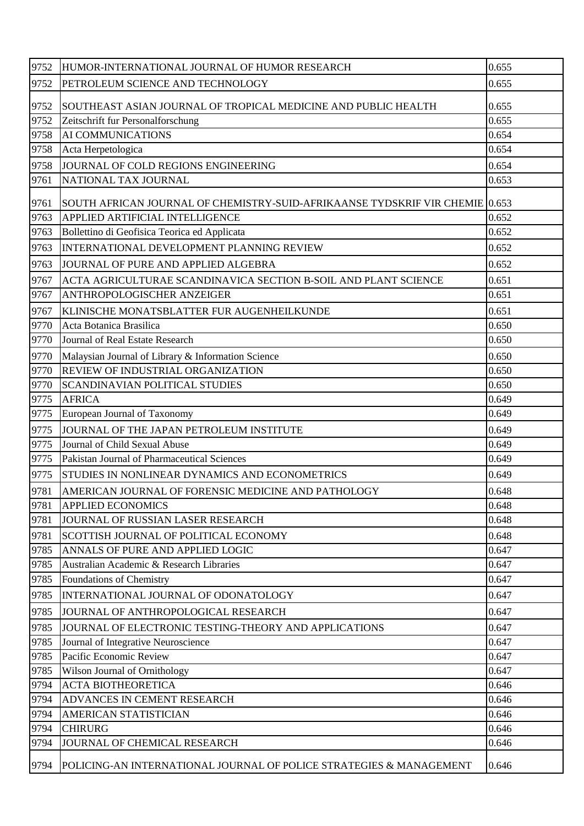| 9752 | HUMOR-INTERNATIONAL JOURNAL OF HUMOR RESEARCH                                | 0.655 |
|------|------------------------------------------------------------------------------|-------|
| 9752 | PETROLEUM SCIENCE AND TECHNOLOGY                                             | 0.655 |
| 9752 | SOUTHEAST ASIAN JOURNAL OF TROPICAL MEDICINE AND PUBLIC HEALTH               | 0.655 |
| 9752 | Zeitschrift fur Personalforschung                                            | 0.655 |
| 9758 | AI COMMUNICATIONS                                                            | 0.654 |
| 9758 | Acta Herpetologica                                                           | 0.654 |
| 9758 | JOURNAL OF COLD REGIONS ENGINEERING                                          | 0.654 |
| 9761 | NATIONAL TAX JOURNAL                                                         | 0.653 |
| 9761 | SOUTH AFRICAN JOURNAL OF CHEMISTRY-SUID-AFRIKAANSE TYDSKRIF VIR CHEMIE 0.653 |       |
| 9763 | APPLIED ARTIFICIAL INTELLIGENCE                                              | 0.652 |
| 9763 | Bollettino di Geofisica Teorica ed Applicata                                 | 0.652 |
| 9763 | INTERNATIONAL DEVELOPMENT PLANNING REVIEW                                    | 0.652 |
| 9763 | JOURNAL OF PURE AND APPLIED ALGEBRA                                          | 0.652 |
| 9767 | ACTA AGRICULTURAE SCANDINAVICA SECTION B-SOIL AND PLANT SCIENCE              | 0.651 |
| 9767 | ANTHROPOLOGISCHER ANZEIGER                                                   | 0.651 |
| 9767 | KLINISCHE MONATSBLATTER FUR AUGENHEILKUNDE                                   | 0.651 |
| 9770 | Acta Botanica Brasilica                                                      | 0.650 |
| 9770 | Journal of Real Estate Research                                              | 0.650 |
| 9770 | Malaysian Journal of Library & Information Science                           | 0.650 |
| 9770 | REVIEW OF INDUSTRIAL ORGANIZATION                                            | 0.650 |
| 9770 | SCANDINAVIAN POLITICAL STUDIES                                               | 0.650 |
| 9775 | <b>AFRICA</b>                                                                | 0.649 |
| 9775 | European Journal of Taxonomy                                                 | 0.649 |
| 9775 | JOURNAL OF THE JAPAN PETROLEUM INSTITUTE                                     | 0.649 |
| 9775 | Journal of Child Sexual Abuse                                                | 0.649 |
| 9775 | Pakistan Journal of Pharmaceutical Sciences                                  | 0.649 |
| 9775 | STUDIES IN NONLINEAR DYNAMICS AND ECONOMETRICS                               | 0.649 |
| 9781 | AMERICAN JOURNAL OF FORENSIC MEDICINE AND PATHOLOGY                          | 0.648 |
| 9781 | <b>APPLIED ECONOMICS</b>                                                     | 0.648 |
| 9781 | JOURNAL OF RUSSIAN LASER RESEARCH                                            | 0.648 |
| 9781 | SCOTTISH JOURNAL OF POLITICAL ECONOMY                                        | 0.648 |
| 9785 | ANNALS OF PURE AND APPLIED LOGIC                                             | 0.647 |
| 9785 | Australian Academic & Research Libraries                                     | 0.647 |
| 9785 | Foundations of Chemistry                                                     | 0.647 |
| 9785 | INTERNATIONAL JOURNAL OF ODONATOLOGY                                         | 0.647 |
| 9785 | JOURNAL OF ANTHROPOLOGICAL RESEARCH                                          | 0.647 |
| 9785 | JOURNAL OF ELECTRONIC TESTING-THEORY AND APPLICATIONS                        | 0.647 |
| 9785 | Journal of Integrative Neuroscience                                          | 0.647 |
| 9785 | Pacific Economic Review                                                      | 0.647 |
| 9785 | Wilson Journal of Ornithology                                                | 0.647 |
| 9794 | <b>ACTA BIOTHEORETICA</b>                                                    | 0.646 |
| 9794 | ADVANCES IN CEMENT RESEARCH                                                  | 0.646 |
| 9794 | <b>AMERICAN STATISTICIAN</b>                                                 | 0.646 |
| 9794 | <b>CHIRURG</b>                                                               | 0.646 |
| 9794 | JOURNAL OF CHEMICAL RESEARCH                                                 | 0.646 |
| 9794 | POLICING-AN INTERNATIONAL JOURNAL OF POLICE STRATEGIES & MANAGEMENT          | 0.646 |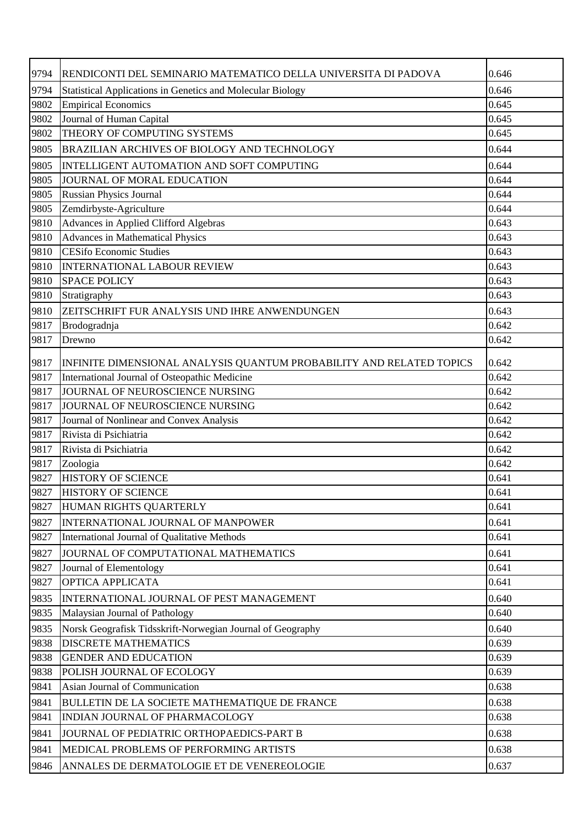| 9794 | RENDICONTI DEL SEMINARIO MATEMATICO DELLA UNIVERSITA DI PADOVA       | 0.646 |
|------|----------------------------------------------------------------------|-------|
| 9794 | <b>Statistical Applications in Genetics and Molecular Biology</b>    | 0.646 |
| 9802 | <b>Empirical Economics</b>                                           | 0.645 |
| 9802 | Journal of Human Capital                                             | 0.645 |
| 9802 | THEORY OF COMPUTING SYSTEMS                                          | 0.645 |
| 9805 | <b>BRAZILIAN ARCHIVES OF BIOLOGY AND TECHNOLOGY</b>                  | 0.644 |
| 9805 | INTELLIGENT AUTOMATION AND SOFT COMPUTING                            | 0.644 |
| 9805 | JOURNAL OF MORAL EDUCATION                                           | 0.644 |
| 9805 | <b>Russian Physics Journal</b>                                       | 0.644 |
| 9805 | Zemdirbyste-Agriculture                                              | 0.644 |
| 9810 | Advances in Applied Clifford Algebras                                | 0.643 |
| 9810 | Advances in Mathematical Physics                                     | 0.643 |
| 9810 | <b>CESifo Economic Studies</b>                                       | 0.643 |
| 9810 | <b>INTERNATIONAL LABOUR REVIEW</b>                                   | 0.643 |
| 9810 | <b>SPACE POLICY</b>                                                  | 0.643 |
| 9810 | Stratigraphy                                                         | 0.643 |
| 9810 | ZEITSCHRIFT FUR ANALYSIS UND IHRE ANWENDUNGEN                        | 0.643 |
| 9817 | Brodogradnja                                                         | 0.642 |
| 9817 | Drewno                                                               | 0.642 |
| 9817 | INFINITE DIMENSIONAL ANALYSIS QUANTUM PROBABILITY AND RELATED TOPICS | 0.642 |
| 9817 | International Journal of Osteopathic Medicine                        | 0.642 |
| 9817 | JOURNAL OF NEUROSCIENCE NURSING                                      | 0.642 |
| 9817 | JOURNAL OF NEUROSCIENCE NURSING                                      | 0.642 |
| 9817 | Journal of Nonlinear and Convex Analysis                             | 0.642 |
| 9817 | Rivista di Psichiatria                                               | 0.642 |
| 9817 | Rivista di Psichiatria                                               | 0.642 |
| 9817 | Zoologia                                                             | 0.642 |
| 9827 | <b>HISTORY OF SCIENCE</b>                                            | 0.641 |
| 9827 | <b>HISTORY OF SCIENCE</b>                                            | 0.641 |
| 9827 | HUMAN RIGHTS QUARTERLY                                               | 0.641 |
| 9827 | INTERNATIONAL JOURNAL OF MANPOWER                                    | 0.641 |
| 9827 | International Journal of Qualitative Methods                         | 0.641 |
| 9827 | JOURNAL OF COMPUTATIONAL MATHEMATICS                                 | 0.641 |
| 9827 | Journal of Elementology                                              | 0.641 |
| 9827 | OPTICA APPLICATA                                                     | 0.641 |
| 9835 | INTERNATIONAL JOURNAL OF PEST MANAGEMENT                             | 0.640 |
| 9835 | Malaysian Journal of Pathology                                       | 0.640 |
| 9835 | Norsk Geografisk Tidsskrift-Norwegian Journal of Geography           | 0.640 |
| 9838 | <b>DISCRETE MATHEMATICS</b>                                          | 0.639 |
| 9838 | <b>GENDER AND EDUCATION</b>                                          | 0.639 |
| 9838 | POLISH JOURNAL OF ECOLOGY                                            | 0.639 |
| 9841 | Asian Journal of Communication                                       | 0.638 |
| 9841 | BULLETIN DE LA SOCIETE MATHEMATIQUE DE FRANCE                        | 0.638 |
| 9841 | INDIAN JOURNAL OF PHARMACOLOGY                                       | 0.638 |
| 9841 | JOURNAL OF PEDIATRIC ORTHOPAEDICS-PART B                             | 0.638 |
| 9841 | MEDICAL PROBLEMS OF PERFORMING ARTISTS                               | 0.638 |
| 9846 | ANNALES DE DERMATOLOGIE ET DE VENEREOLOGIE                           | 0.637 |
|      |                                                                      |       |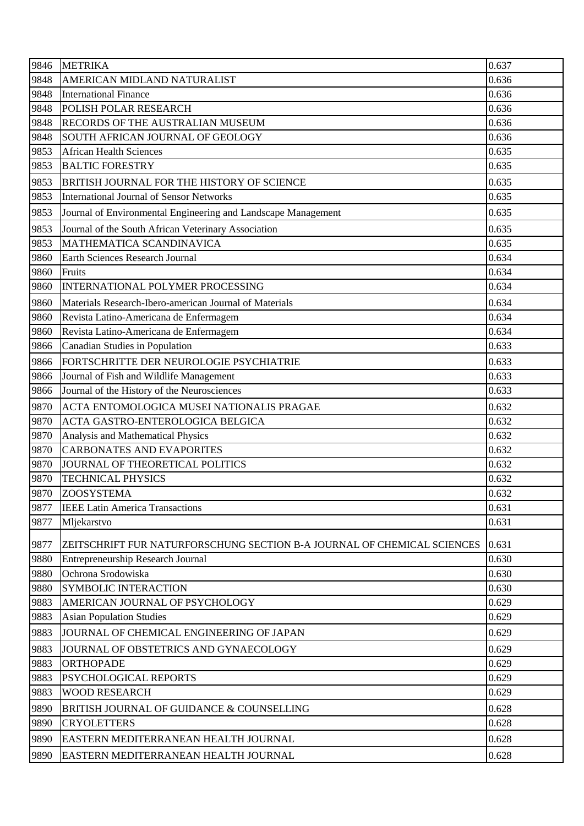| 9846 | <b>METRIKA</b>                                                          | 0.637 |
|------|-------------------------------------------------------------------------|-------|
| 9848 | AMERICAN MIDLAND NATURALIST                                             | 0.636 |
| 9848 | <b>International Finance</b>                                            | 0.636 |
| 9848 | POLISH POLAR RESEARCH                                                   | 0.636 |
| 9848 | RECORDS OF THE AUSTRALIAN MUSEUM                                        | 0.636 |
| 9848 | SOUTH AFRICAN JOURNAL OF GEOLOGY                                        | 0.636 |
| 9853 | <b>African Health Sciences</b>                                          | 0.635 |
| 9853 | <b>BALTIC FORESTRY</b>                                                  | 0.635 |
| 9853 | BRITISH JOURNAL FOR THE HISTORY OF SCIENCE                              | 0.635 |
| 9853 | <b>International Journal of Sensor Networks</b>                         | 0.635 |
| 9853 | Journal of Environmental Engineering and Landscape Management           | 0.635 |
| 9853 | Journal of the South African Veterinary Association                     | 0.635 |
| 9853 | MATHEMATICA SCANDINAVICA                                                | 0.635 |
| 9860 | Earth Sciences Research Journal                                         | 0.634 |
| 9860 | Fruits                                                                  | 0.634 |
| 9860 | INTERNATIONAL POLYMER PROCESSING                                        | 0.634 |
| 9860 | Materials Research-Ibero-american Journal of Materials                  | 0.634 |
| 9860 | Revista Latino-Americana de Enfermagem                                  | 0.634 |
| 9860 | Revista Latino-Americana de Enfermagem                                  | 0.634 |
| 9866 | Canadian Studies in Population                                          | 0.633 |
| 9866 | FORTSCHRITTE DER NEUROLOGIE PSYCHIATRIE                                 | 0.633 |
| 9866 | Journal of Fish and Wildlife Management                                 | 0.633 |
| 9866 | Journal of the History of the Neurosciences                             | 0.633 |
| 9870 | ACTA ENTOMOLOGICA MUSEI NATIONALIS PRAGAE                               | 0.632 |
| 9870 | ACTA GASTRO-ENTEROLOGICA BELGICA                                        | 0.632 |
| 9870 | Analysis and Mathematical Physics                                       | 0.632 |
| 9870 | <b>CARBONATES AND EVAPORITES</b>                                        | 0.632 |
| 9870 | JOURNAL OF THEORETICAL POLITICS                                         | 0.632 |
| 9870 | <b>TECHNICAL PHYSICS</b>                                                | 0.632 |
| 9870 | <b>ZOOSYSTEMA</b>                                                       | 0.632 |
| 9877 | <b>IEEE Latin America Transactions</b>                                  | 0.631 |
| 9877 | Mljekarstvo                                                             | 0.631 |
| 9877 | ZEITSCHRIFT FUR NATURFORSCHUNG SECTION B-A JOURNAL OF CHEMICAL SCIENCES | 0.631 |
| 9880 | <b>Entrepreneurship Research Journal</b>                                | 0.630 |
| 9880 | Ochrona Srodowiska                                                      | 0.630 |
| 9880 | <b>SYMBOLIC INTERACTION</b>                                             | 0.630 |
| 9883 | AMERICAN JOURNAL OF PSYCHOLOGY                                          | 0.629 |
| 9883 | <b>Asian Population Studies</b>                                         | 0.629 |
| 9883 | JOURNAL OF CHEMICAL ENGINEERING OF JAPAN                                | 0.629 |
| 9883 | JOURNAL OF OBSTETRICS AND GYNAECOLOGY                                   | 0.629 |
| 9883 | <b>ORTHOPADE</b>                                                        | 0.629 |
| 9883 | PSYCHOLOGICAL REPORTS                                                   | 0.629 |
| 9883 | <b>WOOD RESEARCH</b>                                                    | 0.629 |
| 9890 | BRITISH JOURNAL OF GUIDANCE & COUNSELLING                               | 0.628 |
| 9890 | <b>CRYOLETTERS</b>                                                      | 0.628 |
| 9890 | EASTERN MEDITERRANEAN HEALTH JOURNAL                                    | 0.628 |
|      |                                                                         |       |
| 9890 | EASTERN MEDITERRANEAN HEALTH JOURNAL                                    | 0.628 |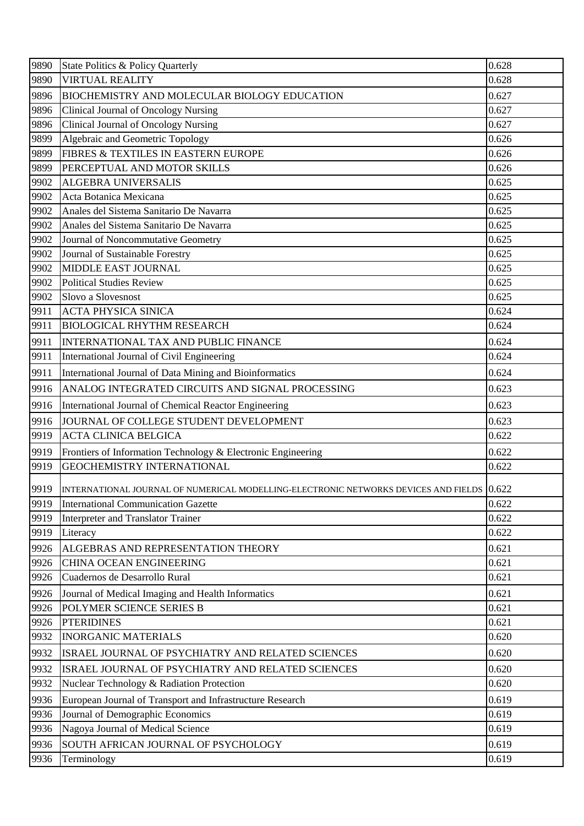| 9890<br><b>VIRTUAL REALITY</b><br>0.628<br>0.627<br>9896<br>BIOCHEMISTRY AND MOLECULAR BIOLOGY EDUCATION<br>9896<br><b>Clinical Journal of Oncology Nursing</b><br>0.627<br>0.627<br><b>Clinical Journal of Oncology Nursing</b><br>9896<br>9899<br>Algebraic and Geometric Topology<br>0.626<br>FIBRES & TEXTILES IN EASTERN EUROPE<br>0.626<br>9899<br>PERCEPTUAL AND MOTOR SKILLS<br>0.626<br>9899<br>0.625<br>9902<br><b>ALGEBRA UNIVERSALIS</b><br>9902<br>Acta Botanica Mexicana<br>0.625<br>Anales del Sistema Sanitario De Navarra<br>0.625<br>9902<br>9902<br>0.625<br>Anales del Sistema Sanitario De Navarra<br>0.625<br>9902<br>Journal of Noncommutative Geometry<br>9902<br>Journal of Sustainable Forestry<br>0.625<br>9902<br>MIDDLE EAST JOURNAL<br>0.625<br>9902<br>0.625<br><b>Political Studies Review</b><br>9902<br>Slovo a Slovesnost<br>0.625<br>0.624<br>9911<br><b>ACTA PHYSICA SINICA</b><br>9911<br><b>BIOLOGICAL RHYTHM RESEARCH</b><br>0.624<br>9911<br>0.624<br>INTERNATIONAL TAX AND PUBLIC FINANCE<br>9911<br>0.624<br>International Journal of Civil Engineering<br>9911<br>International Journal of Data Mining and Bioinformatics<br>0.624<br>ANALOG INTEGRATED CIRCUITS AND SIGNAL PROCESSING<br>0.623<br>9916<br>9916<br>International Journal of Chemical Reactor Engineering<br>0.623<br>JOURNAL OF COLLEGE STUDENT DEVELOPMENT<br>0.623<br>9916<br>9919<br><b>ACTA CLINICA BELGICA</b><br>0.622<br>9919<br>0.622<br>Frontiers of Information Technology & Electronic Engineering<br>9919<br><b>GEOCHEMISTRY INTERNATIONAL</b><br>0.622<br>9919<br>INTERNATIONAL JOURNAL OF NUMERICAL MODELLING-ELECTRONIC NETWORKS DEVICES AND FIELDS 0.622<br>9919<br>0.622<br><b>International Communication Gazette</b><br>9919<br>0.622<br>Interpreter and Translator Trainer<br>0.622<br>9919<br>Literacy<br>0.621<br>9926<br>ALGEBRAS AND REPRESENTATION THEORY<br>9926<br>CHINA OCEAN ENGINEERING<br>0.621<br>Cuadernos de Desarrollo Rural<br>0.621<br>9926 |
|----------------------------------------------------------------------------------------------------------------------------------------------------------------------------------------------------------------------------------------------------------------------------------------------------------------------------------------------------------------------------------------------------------------------------------------------------------------------------------------------------------------------------------------------------------------------------------------------------------------------------------------------------------------------------------------------------------------------------------------------------------------------------------------------------------------------------------------------------------------------------------------------------------------------------------------------------------------------------------------------------------------------------------------------------------------------------------------------------------------------------------------------------------------------------------------------------------------------------------------------------------------------------------------------------------------------------------------------------------------------------------------------------------------------------------------------------------------------------------------------------------------------------------------------------------------------------------------------------------------------------------------------------------------------------------------------------------------------------------------------------------------------------------------------------------------------------------------------------------------------------------------------------------------------------------------------------------------------------------------------|
|                                                                                                                                                                                                                                                                                                                                                                                                                                                                                                                                                                                                                                                                                                                                                                                                                                                                                                                                                                                                                                                                                                                                                                                                                                                                                                                                                                                                                                                                                                                                                                                                                                                                                                                                                                                                                                                                                                                                                                                              |
|                                                                                                                                                                                                                                                                                                                                                                                                                                                                                                                                                                                                                                                                                                                                                                                                                                                                                                                                                                                                                                                                                                                                                                                                                                                                                                                                                                                                                                                                                                                                                                                                                                                                                                                                                                                                                                                                                                                                                                                              |
|                                                                                                                                                                                                                                                                                                                                                                                                                                                                                                                                                                                                                                                                                                                                                                                                                                                                                                                                                                                                                                                                                                                                                                                                                                                                                                                                                                                                                                                                                                                                                                                                                                                                                                                                                                                                                                                                                                                                                                                              |
|                                                                                                                                                                                                                                                                                                                                                                                                                                                                                                                                                                                                                                                                                                                                                                                                                                                                                                                                                                                                                                                                                                                                                                                                                                                                                                                                                                                                                                                                                                                                                                                                                                                                                                                                                                                                                                                                                                                                                                                              |
|                                                                                                                                                                                                                                                                                                                                                                                                                                                                                                                                                                                                                                                                                                                                                                                                                                                                                                                                                                                                                                                                                                                                                                                                                                                                                                                                                                                                                                                                                                                                                                                                                                                                                                                                                                                                                                                                                                                                                                                              |
|                                                                                                                                                                                                                                                                                                                                                                                                                                                                                                                                                                                                                                                                                                                                                                                                                                                                                                                                                                                                                                                                                                                                                                                                                                                                                                                                                                                                                                                                                                                                                                                                                                                                                                                                                                                                                                                                                                                                                                                              |
|                                                                                                                                                                                                                                                                                                                                                                                                                                                                                                                                                                                                                                                                                                                                                                                                                                                                                                                                                                                                                                                                                                                                                                                                                                                                                                                                                                                                                                                                                                                                                                                                                                                                                                                                                                                                                                                                                                                                                                                              |
|                                                                                                                                                                                                                                                                                                                                                                                                                                                                                                                                                                                                                                                                                                                                                                                                                                                                                                                                                                                                                                                                                                                                                                                                                                                                                                                                                                                                                                                                                                                                                                                                                                                                                                                                                                                                                                                                                                                                                                                              |
|                                                                                                                                                                                                                                                                                                                                                                                                                                                                                                                                                                                                                                                                                                                                                                                                                                                                                                                                                                                                                                                                                                                                                                                                                                                                                                                                                                                                                                                                                                                                                                                                                                                                                                                                                                                                                                                                                                                                                                                              |
|                                                                                                                                                                                                                                                                                                                                                                                                                                                                                                                                                                                                                                                                                                                                                                                                                                                                                                                                                                                                                                                                                                                                                                                                                                                                                                                                                                                                                                                                                                                                                                                                                                                                                                                                                                                                                                                                                                                                                                                              |
|                                                                                                                                                                                                                                                                                                                                                                                                                                                                                                                                                                                                                                                                                                                                                                                                                                                                                                                                                                                                                                                                                                                                                                                                                                                                                                                                                                                                                                                                                                                                                                                                                                                                                                                                                                                                                                                                                                                                                                                              |
|                                                                                                                                                                                                                                                                                                                                                                                                                                                                                                                                                                                                                                                                                                                                                                                                                                                                                                                                                                                                                                                                                                                                                                                                                                                                                                                                                                                                                                                                                                                                                                                                                                                                                                                                                                                                                                                                                                                                                                                              |
|                                                                                                                                                                                                                                                                                                                                                                                                                                                                                                                                                                                                                                                                                                                                                                                                                                                                                                                                                                                                                                                                                                                                                                                                                                                                                                                                                                                                                                                                                                                                                                                                                                                                                                                                                                                                                                                                                                                                                                                              |
|                                                                                                                                                                                                                                                                                                                                                                                                                                                                                                                                                                                                                                                                                                                                                                                                                                                                                                                                                                                                                                                                                                                                                                                                                                                                                                                                                                                                                                                                                                                                                                                                                                                                                                                                                                                                                                                                                                                                                                                              |
|                                                                                                                                                                                                                                                                                                                                                                                                                                                                                                                                                                                                                                                                                                                                                                                                                                                                                                                                                                                                                                                                                                                                                                                                                                                                                                                                                                                                                                                                                                                                                                                                                                                                                                                                                                                                                                                                                                                                                                                              |
|                                                                                                                                                                                                                                                                                                                                                                                                                                                                                                                                                                                                                                                                                                                                                                                                                                                                                                                                                                                                                                                                                                                                                                                                                                                                                                                                                                                                                                                                                                                                                                                                                                                                                                                                                                                                                                                                                                                                                                                              |
|                                                                                                                                                                                                                                                                                                                                                                                                                                                                                                                                                                                                                                                                                                                                                                                                                                                                                                                                                                                                                                                                                                                                                                                                                                                                                                                                                                                                                                                                                                                                                                                                                                                                                                                                                                                                                                                                                                                                                                                              |
|                                                                                                                                                                                                                                                                                                                                                                                                                                                                                                                                                                                                                                                                                                                                                                                                                                                                                                                                                                                                                                                                                                                                                                                                                                                                                                                                                                                                                                                                                                                                                                                                                                                                                                                                                                                                                                                                                                                                                                                              |
|                                                                                                                                                                                                                                                                                                                                                                                                                                                                                                                                                                                                                                                                                                                                                                                                                                                                                                                                                                                                                                                                                                                                                                                                                                                                                                                                                                                                                                                                                                                                                                                                                                                                                                                                                                                                                                                                                                                                                                                              |
|                                                                                                                                                                                                                                                                                                                                                                                                                                                                                                                                                                                                                                                                                                                                                                                                                                                                                                                                                                                                                                                                                                                                                                                                                                                                                                                                                                                                                                                                                                                                                                                                                                                                                                                                                                                                                                                                                                                                                                                              |
|                                                                                                                                                                                                                                                                                                                                                                                                                                                                                                                                                                                                                                                                                                                                                                                                                                                                                                                                                                                                                                                                                                                                                                                                                                                                                                                                                                                                                                                                                                                                                                                                                                                                                                                                                                                                                                                                                                                                                                                              |
|                                                                                                                                                                                                                                                                                                                                                                                                                                                                                                                                                                                                                                                                                                                                                                                                                                                                                                                                                                                                                                                                                                                                                                                                                                                                                                                                                                                                                                                                                                                                                                                                                                                                                                                                                                                                                                                                                                                                                                                              |
|                                                                                                                                                                                                                                                                                                                                                                                                                                                                                                                                                                                                                                                                                                                                                                                                                                                                                                                                                                                                                                                                                                                                                                                                                                                                                                                                                                                                                                                                                                                                                                                                                                                                                                                                                                                                                                                                                                                                                                                              |
|                                                                                                                                                                                                                                                                                                                                                                                                                                                                                                                                                                                                                                                                                                                                                                                                                                                                                                                                                                                                                                                                                                                                                                                                                                                                                                                                                                                                                                                                                                                                                                                                                                                                                                                                                                                                                                                                                                                                                                                              |
|                                                                                                                                                                                                                                                                                                                                                                                                                                                                                                                                                                                                                                                                                                                                                                                                                                                                                                                                                                                                                                                                                                                                                                                                                                                                                                                                                                                                                                                                                                                                                                                                                                                                                                                                                                                                                                                                                                                                                                                              |
|                                                                                                                                                                                                                                                                                                                                                                                                                                                                                                                                                                                                                                                                                                                                                                                                                                                                                                                                                                                                                                                                                                                                                                                                                                                                                                                                                                                                                                                                                                                                                                                                                                                                                                                                                                                                                                                                                                                                                                                              |
|                                                                                                                                                                                                                                                                                                                                                                                                                                                                                                                                                                                                                                                                                                                                                                                                                                                                                                                                                                                                                                                                                                                                                                                                                                                                                                                                                                                                                                                                                                                                                                                                                                                                                                                                                                                                                                                                                                                                                                                              |
|                                                                                                                                                                                                                                                                                                                                                                                                                                                                                                                                                                                                                                                                                                                                                                                                                                                                                                                                                                                                                                                                                                                                                                                                                                                                                                                                                                                                                                                                                                                                                                                                                                                                                                                                                                                                                                                                                                                                                                                              |
|                                                                                                                                                                                                                                                                                                                                                                                                                                                                                                                                                                                                                                                                                                                                                                                                                                                                                                                                                                                                                                                                                                                                                                                                                                                                                                                                                                                                                                                                                                                                                                                                                                                                                                                                                                                                                                                                                                                                                                                              |
|                                                                                                                                                                                                                                                                                                                                                                                                                                                                                                                                                                                                                                                                                                                                                                                                                                                                                                                                                                                                                                                                                                                                                                                                                                                                                                                                                                                                                                                                                                                                                                                                                                                                                                                                                                                                                                                                                                                                                                                              |
|                                                                                                                                                                                                                                                                                                                                                                                                                                                                                                                                                                                                                                                                                                                                                                                                                                                                                                                                                                                                                                                                                                                                                                                                                                                                                                                                                                                                                                                                                                                                                                                                                                                                                                                                                                                                                                                                                                                                                                                              |
|                                                                                                                                                                                                                                                                                                                                                                                                                                                                                                                                                                                                                                                                                                                                                                                                                                                                                                                                                                                                                                                                                                                                                                                                                                                                                                                                                                                                                                                                                                                                                                                                                                                                                                                                                                                                                                                                                                                                                                                              |
|                                                                                                                                                                                                                                                                                                                                                                                                                                                                                                                                                                                                                                                                                                                                                                                                                                                                                                                                                                                                                                                                                                                                                                                                                                                                                                                                                                                                                                                                                                                                                                                                                                                                                                                                                                                                                                                                                                                                                                                              |
|                                                                                                                                                                                                                                                                                                                                                                                                                                                                                                                                                                                                                                                                                                                                                                                                                                                                                                                                                                                                                                                                                                                                                                                                                                                                                                                                                                                                                                                                                                                                                                                                                                                                                                                                                                                                                                                                                                                                                                                              |
| 0.621<br>9926<br>Journal of Medical Imaging and Health Informatics                                                                                                                                                                                                                                                                                                                                                                                                                                                                                                                                                                                                                                                                                                                                                                                                                                                                                                                                                                                                                                                                                                                                                                                                                                                                                                                                                                                                                                                                                                                                                                                                                                                                                                                                                                                                                                                                                                                           |
| 9926<br>POLYMER SCIENCE SERIES B<br>0.621                                                                                                                                                                                                                                                                                                                                                                                                                                                                                                                                                                                                                                                                                                                                                                                                                                                                                                                                                                                                                                                                                                                                                                                                                                                                                                                                                                                                                                                                                                                                                                                                                                                                                                                                                                                                                                                                                                                                                    |
| <b>PTERIDINES</b><br>0.621<br>9926                                                                                                                                                                                                                                                                                                                                                                                                                                                                                                                                                                                                                                                                                                                                                                                                                                                                                                                                                                                                                                                                                                                                                                                                                                                                                                                                                                                                                                                                                                                                                                                                                                                                                                                                                                                                                                                                                                                                                           |
| 9932<br><b>INORGANIC MATERIALS</b><br>0.620                                                                                                                                                                                                                                                                                                                                                                                                                                                                                                                                                                                                                                                                                                                                                                                                                                                                                                                                                                                                                                                                                                                                                                                                                                                                                                                                                                                                                                                                                                                                                                                                                                                                                                                                                                                                                                                                                                                                                  |
| 9932<br>ISRAEL JOURNAL OF PSYCHIATRY AND RELATED SCIENCES<br>0.620                                                                                                                                                                                                                                                                                                                                                                                                                                                                                                                                                                                                                                                                                                                                                                                                                                                                                                                                                                                                                                                                                                                                                                                                                                                                                                                                                                                                                                                                                                                                                                                                                                                                                                                                                                                                                                                                                                                           |
| 0.620<br>9932<br>ISRAEL JOURNAL OF PSYCHIATRY AND RELATED SCIENCES                                                                                                                                                                                                                                                                                                                                                                                                                                                                                                                                                                                                                                                                                                                                                                                                                                                                                                                                                                                                                                                                                                                                                                                                                                                                                                                                                                                                                                                                                                                                                                                                                                                                                                                                                                                                                                                                                                                           |
| 0.620<br>9932<br>Nuclear Technology & Radiation Protection                                                                                                                                                                                                                                                                                                                                                                                                                                                                                                                                                                                                                                                                                                                                                                                                                                                                                                                                                                                                                                                                                                                                                                                                                                                                                                                                                                                                                                                                                                                                                                                                                                                                                                                                                                                                                                                                                                                                   |
| 9936<br>0.619<br>European Journal of Transport and Infrastructure Research                                                                                                                                                                                                                                                                                                                                                                                                                                                                                                                                                                                                                                                                                                                                                                                                                                                                                                                                                                                                                                                                                                                                                                                                                                                                                                                                                                                                                                                                                                                                                                                                                                                                                                                                                                                                                                                                                                                   |
| Journal of Demographic Economics<br>0.619<br>9936                                                                                                                                                                                                                                                                                                                                                                                                                                                                                                                                                                                                                                                                                                                                                                                                                                                                                                                                                                                                                                                                                                                                                                                                                                                                                                                                                                                                                                                                                                                                                                                                                                                                                                                                                                                                                                                                                                                                            |
| Nagoya Journal of Medical Science<br>9936<br>0.619                                                                                                                                                                                                                                                                                                                                                                                                                                                                                                                                                                                                                                                                                                                                                                                                                                                                                                                                                                                                                                                                                                                                                                                                                                                                                                                                                                                                                                                                                                                                                                                                                                                                                                                                                                                                                                                                                                                                           |
| 0.619<br>9936<br>SOUTH AFRICAN JOURNAL OF PSYCHOLOGY                                                                                                                                                                                                                                                                                                                                                                                                                                                                                                                                                                                                                                                                                                                                                                                                                                                                                                                                                                                                                                                                                                                                                                                                                                                                                                                                                                                                                                                                                                                                                                                                                                                                                                                                                                                                                                                                                                                                         |
| 9936<br>Terminology<br>0.619                                                                                                                                                                                                                                                                                                                                                                                                                                                                                                                                                                                                                                                                                                                                                                                                                                                                                                                                                                                                                                                                                                                                                                                                                                                                                                                                                                                                                                                                                                                                                                                                                                                                                                                                                                                                                                                                                                                                                                 |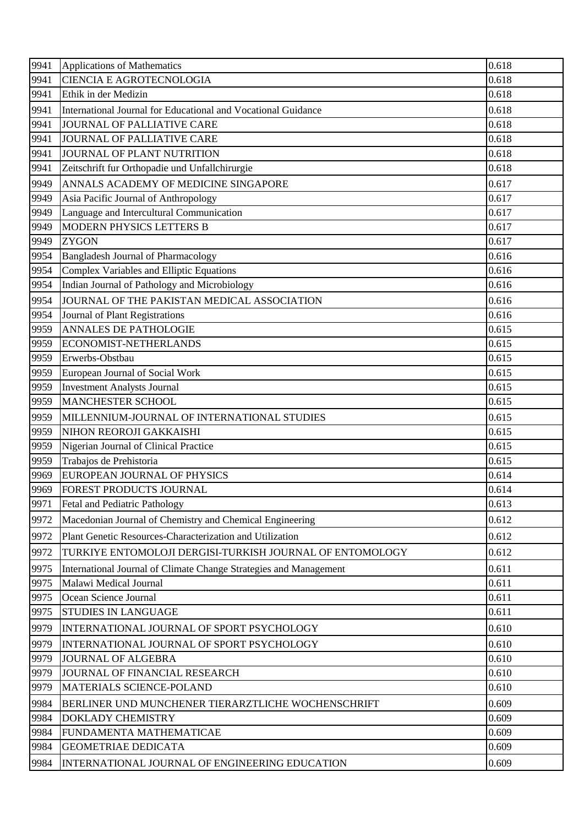| <b>CIENCIA E AGROTECNOLOGIA</b>                                           |       |
|---------------------------------------------------------------------------|-------|
| 9941                                                                      | 0.618 |
| 9941<br>Ethik in der Medizin                                              | 0.618 |
| 9941<br>International Journal for Educational and Vocational Guidance     | 0.618 |
| 9941<br><b>JOURNAL OF PALLIATIVE CARE</b>                                 | 0.618 |
| 9941<br>JOURNAL OF PALLIATIVE CARE                                        | 0.618 |
| 9941<br>JOURNAL OF PLANT NUTRITION                                        | 0.618 |
| 9941<br>Zeitschrift fur Orthopadie und Unfallchirurgie                    | 0.618 |
| 9949<br>ANNALS ACADEMY OF MEDICINE SINGAPORE                              | 0.617 |
| 9949<br>Asia Pacific Journal of Anthropology                              | 0.617 |
| 9949<br>Language and Intercultural Communication                          | 0.617 |
| MODERN PHYSICS LETTERS B<br>9949                                          | 0.617 |
| 9949<br><b>ZYGON</b>                                                      | 0.617 |
| 9954<br><b>Bangladesh Journal of Pharmacology</b>                         | 0.616 |
| Complex Variables and Elliptic Equations<br>9954                          | 0.616 |
| Indian Journal of Pathology and Microbiology<br>9954                      | 0.616 |
| 9954<br>JOURNAL OF THE PAKISTAN MEDICAL ASSOCIATION                       | 0.616 |
| 9954<br>Journal of Plant Registrations                                    | 0.616 |
| <b>ANNALES DE PATHOLOGIE</b><br>9959                                      | 0.615 |
| ECONOMIST-NETHERLANDS<br>9959                                             | 0.615 |
| 9959<br>Erwerbs-Obstbau                                                   | 0.615 |
| 9959<br>European Journal of Social Work                                   | 0.615 |
| 9959<br><b>Investment Analysts Journal</b>                                | 0.615 |
| 9959<br><b>MANCHESTER SCHOOL</b>                                          | 0.615 |
| 9959<br>MILLENNIUM-JOURNAL OF INTERNATIONAL STUDIES                       | 0.615 |
| 9959<br>NIHON REOROJI GAKKAISHI                                           | 0.615 |
| 9959<br>Nigerian Journal of Clinical Practice                             | 0.615 |
| 9959<br>Trabajos de Prehistoria                                           | 0.615 |
| EUROPEAN JOURNAL OF PHYSICS<br>9969                                       | 0.614 |
| 9969<br>FOREST PRODUCTS JOURNAL                                           | 0.614 |
| 9971<br>Fetal and Pediatric Pathology                                     | 0.613 |
| 9972<br>Macedonian Journal of Chemistry and Chemical Engineering          | 0.612 |
| Plant Genetic Resources-Characterization and Utilization<br>9972          | 0.612 |
| 9972<br>TURKIYE ENTOMOLOJI DERGISI-TURKISH JOURNAL OF ENTOMOLOGY          | 0.612 |
| 9975<br>International Journal of Climate Change Strategies and Management | 0.611 |
| Malawi Medical Journal<br>9975                                            | 0.611 |
| Ocean Science Journal<br>9975                                             | 0.611 |
| <b>STUDIES IN LANGUAGE</b><br>9975                                        | 0.611 |
| 9979<br>INTERNATIONAL JOURNAL OF SPORT PSYCHOLOGY                         | 0.610 |
| 9979<br>INTERNATIONAL JOURNAL OF SPORT PSYCHOLOGY                         | 0.610 |
| 9979<br><b>JOURNAL OF ALGEBRA</b>                                         | 0.610 |
| 9979<br>JOURNAL OF FINANCIAL RESEARCH                                     | 0.610 |
| 9979<br>MATERIALS SCIENCE-POLAND                                          | 0.610 |
| 9984<br>BERLINER UND MUNCHENER TIERARZTLICHE WOCHENSCHRIFT                | 0.609 |
| 9984<br><b>DOKLADY CHEMISTRY</b>                                          | 0.609 |
| 9984<br>FUNDAMENTA MATHEMATICAE                                           | 0.609 |
| 9984<br><b>GEOMETRIAE DEDICATA</b>                                        | 0.609 |
| 9984<br>INTERNATIONAL JOURNAL OF ENGINEERING EDUCATION                    | 0.609 |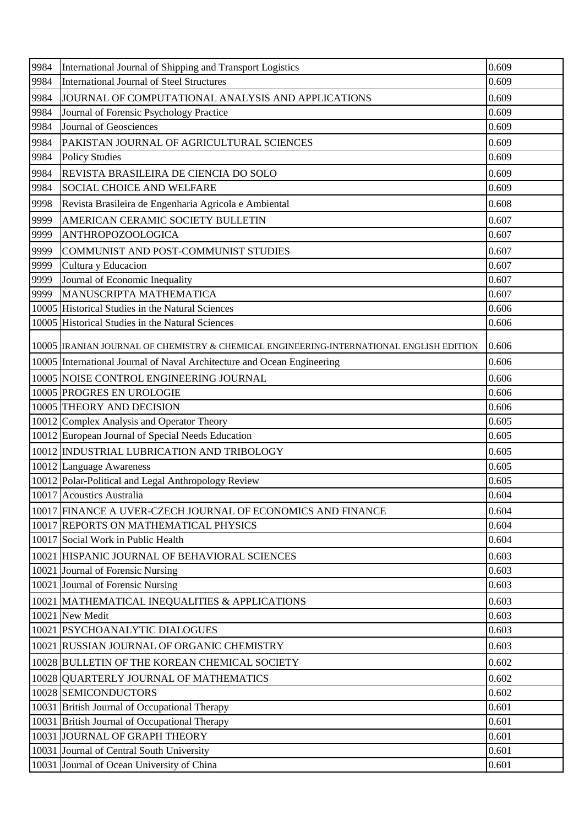| 9984 | International Journal of Shipping and Transport Logistics                                | 0.609 |
|------|------------------------------------------------------------------------------------------|-------|
| 9984 | <b>International Journal of Steel Structures</b>                                         | 0.609 |
| 9984 | JOURNAL OF COMPUTATIONAL ANALYSIS AND APPLICATIONS                                       | 0.609 |
| 9984 | Journal of Forensic Psychology Practice                                                  | 0.609 |
| 9984 | Journal of Geosciences                                                                   | 0.609 |
| 9984 | PAKISTAN JOURNAL OF AGRICULTURAL SCIENCES                                                | 0.609 |
| 9984 | <b>Policy Studies</b>                                                                    | 0.609 |
| 9984 | REVISTA BRASILEIRA DE CIENCIA DO SOLO                                                    | 0.609 |
| 9984 | SOCIAL CHOICE AND WELFARE                                                                | 0.609 |
| 9998 | Revista Brasileira de Engenharia Agricola e Ambiental                                    | 0.608 |
| 9999 | AMERICAN CERAMIC SOCIETY BULLETIN                                                        | 0.607 |
| 9999 | <b>ANTHROPOZOOLOGICA</b>                                                                 | 0.607 |
| 9999 | COMMUNIST AND POST-COMMUNIST STUDIES                                                     | 0.607 |
| 9999 | Cultura y Educacion                                                                      | 0.607 |
| 9999 | Journal of Economic Inequality                                                           | 0.607 |
| 9999 | MANUSCRIPTA MATHEMATICA                                                                  | 0.607 |
|      | 10005 Historical Studies in the Natural Sciences                                         | 0.606 |
|      | 10005 Historical Studies in the Natural Sciences                                         | 0.606 |
|      | 10005  IRANIAN JOURNAL OF CHEMISTRY & CHEMICAL ENGINEERING-INTERNATIONAL ENGLISH EDITION | 0.606 |
|      | 10005 International Journal of Naval Architecture and Ocean Engineering                  | 0.606 |
|      | 10005 NOISE CONTROL ENGINEERING JOURNAL                                                  | 0.606 |
|      | 10005 PROGRES EN UROLOGIE                                                                | 0.606 |
|      | 10005 THEORY AND DECISION                                                                | 0.606 |
|      | 10012 Complex Analysis and Operator Theory                                               | 0.605 |
|      | 10012 European Journal of Special Needs Education                                        | 0.605 |
|      | 10012 INDUSTRIAL LUBRICATION AND TRIBOLOGY                                               | 0.605 |
|      | 10012 Language Awareness                                                                 | 0.605 |
|      | 10012 Polar-Political and Legal Anthropology Review                                      | 0.605 |
|      | 10017 Acoustics Australia                                                                | 0.604 |
|      | 10017 FINANCE A UVER-CZECH JOURNAL OF ECONOMICS AND FINANCE                              | 0.604 |
|      | 10017 REPORTS ON MATHEMATICAL PHYSICS                                                    | 0.604 |
|      | 10017 Social Work in Public Health                                                       | 0.604 |
|      | 10021 HISPANIC JOURNAL OF BEHAVIORAL SCIENCES                                            | 0.603 |
|      | 10021 Journal of Forensic Nursing                                                        | 0.603 |
|      | 10021 Journal of Forensic Nursing                                                        | 0.603 |
|      | 10021   MATHEMATICAL INEQUALITIES & APPLICATIONS                                         | 0.603 |
|      | 10021 New Medit                                                                          | 0.603 |
|      | 10021 PSYCHOANALYTIC DIALOGUES                                                           | 0.603 |
|      | 10021 RUSSIAN JOURNAL OF ORGANIC CHEMISTRY                                               | 0.603 |
|      | 10028 BULLETIN OF THE KOREAN CHEMICAL SOCIETY                                            | 0.602 |
|      | 10028 QUARTERLY JOURNAL OF MATHEMATICS                                                   | 0.602 |
|      | 10028 SEMICONDUCTORS                                                                     | 0.602 |
|      | 10031 British Journal of Occupational Therapy                                            | 0.601 |
|      | 10031 British Journal of Occupational Therapy                                            | 0.601 |
|      | 10031 JOURNAL OF GRAPH THEORY                                                            | 0.601 |
|      | 10031 Journal of Central South University                                                | 0.601 |
|      | 10031 Journal of Ocean University of China                                               | 0.601 |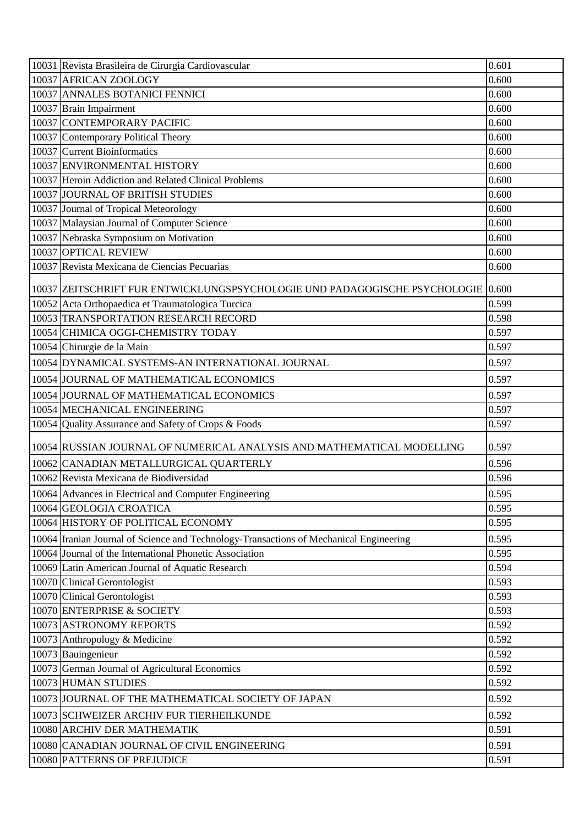| 10031 Revista Brasileira de Cirurgia Cardiovascular                                    | 0.601 |
|----------------------------------------------------------------------------------------|-------|
| 10037 AFRICAN ZOOLOGY                                                                  | 0.600 |
| 10037 ANNALES BOTANICI FENNICI                                                         | 0.600 |
| 10037 Brain Impairment                                                                 | 0.600 |
| 10037 CONTEMPORARY PACIFIC                                                             | 0.600 |
| 10037 Contemporary Political Theory                                                    | 0.600 |
| 10037 Current Bioinformatics                                                           | 0.600 |
| 10037 ENVIRONMENTAL HISTORY                                                            | 0.600 |
| 10037 Heroin Addiction and Related Clinical Problems                                   | 0.600 |
| 10037 JOURNAL OF BRITISH STUDIES                                                       | 0.600 |
| 10037 Journal of Tropical Meteorology                                                  | 0.600 |
| 10037 Malaysian Journal of Computer Science                                            | 0.600 |
| 10037 Nebraska Symposium on Motivation                                                 | 0.600 |
| 10037 OPTICAL REVIEW                                                                   | 0.600 |
| 10037 Revista Mexicana de Ciencias Pecuarias                                           | 0.600 |
| 10037   ZEITSCHRIFT FUR ENTWICKLUNGSPSYCHOLOGIE UND PADAGOGISCHE PSYCHOLOGIE   0.600   |       |
| 10052 Acta Orthopaedica et Traumatologica Turcica                                      | 0.599 |
| 10053 TRANSPORTATION RESEARCH RECORD                                                   | 0.598 |
| 10054 CHIMICA OGGI-CHEMISTRY TODAY                                                     | 0.597 |
| 10054 Chirurgie de la Main                                                             | 0.597 |
| 10054 DYNAMICAL SYSTEMS-AN INTERNATIONAL JOURNAL                                       | 0.597 |
| 10054 JOURNAL OF MATHEMATICAL ECONOMICS                                                | 0.597 |
| 10054 JOURNAL OF MATHEMATICAL ECONOMICS                                                | 0.597 |
| 10054 MECHANICAL ENGINEERING                                                           | 0.597 |
| 10054 Quality Assurance and Safety of Crops & Foods                                    | 0.597 |
| 10054 RUSSIAN JOURNAL OF NUMERICAL ANALYSIS AND MATHEMATICAL MODELLING                 | 0.597 |
| 10062 CANADIAN METALLURGICAL QUARTERLY                                                 | 0.596 |
| 10062 Revista Mexicana de Biodiversidad                                                | 0.596 |
| 10064 Advances in Electrical and Computer Engineering                                  | 0.595 |
| 10064 GEOLOGIA CROATICA                                                                | 0.595 |
| 10064 HISTORY OF POLITICAL ECONOMY                                                     | 0.595 |
| 10064 Iranian Journal of Science and Technology-Transactions of Mechanical Engineering | 0.595 |
| 10064 Journal of the International Phonetic Association                                | 0.595 |
| 10069 Latin American Journal of Aquatic Research                                       | 0.594 |
| 10070 Clinical Gerontologist                                                           | 0.593 |
| 10070 Clinical Gerontologist                                                           | 0.593 |
| 10070 ENTERPRISE & SOCIETY                                                             | 0.593 |
| 10073 ASTRONOMY REPORTS                                                                | 0.592 |
| 10073 Anthropology & Medicine                                                          | 0.592 |
| 10073 Bauingenieur                                                                     | 0.592 |
| 10073 German Journal of Agricultural Economics                                         | 0.592 |
| 10073 HUMAN STUDIES                                                                    | 0.592 |
| 10073 JJOURNAL OF THE MATHEMATICAL SOCIETY OF JAPAN                                    | 0.592 |
| 10073 SCHWEIZER ARCHIV FUR TIERHEILKUNDE                                               | 0.592 |
| 10080 ARCHIV DER MATHEMATIK                                                            | 0.591 |
| 10080 CANADIAN JOURNAL OF CIVIL ENGINEERING                                            | 0.591 |
| 10080 PATTERNS OF PREJUDICE                                                            | 0.591 |
|                                                                                        |       |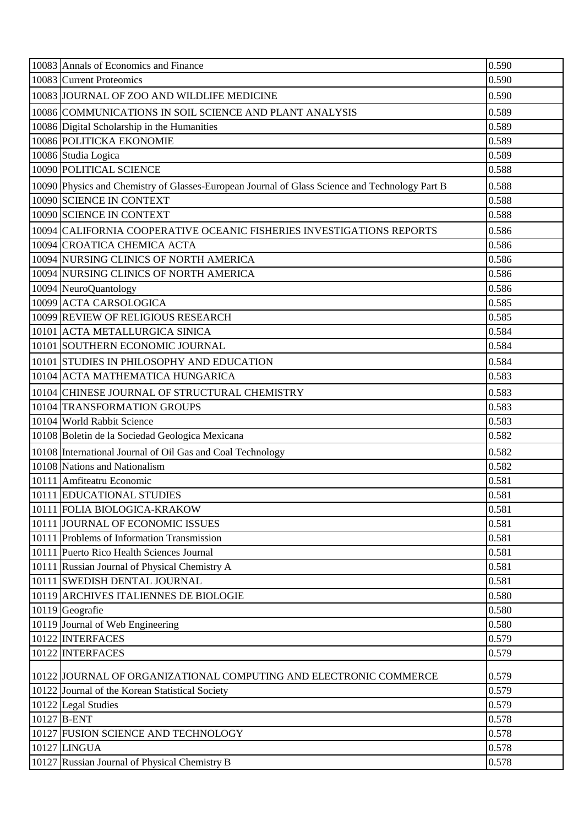| 10083 Annals of Economics and Finance                                                          | 0.590 |
|------------------------------------------------------------------------------------------------|-------|
| 10083 Current Proteomics                                                                       | 0.590 |
| 10083 JOURNAL OF ZOO AND WILDLIFE MEDICINE                                                     | 0.590 |
| 10086 COMMUNICATIONS IN SOIL SCIENCE AND PLANT ANALYSIS                                        | 0.589 |
| 10086 Digital Scholarship in the Humanities                                                    | 0.589 |
| 10086 POLITICKA EKONOMIE                                                                       | 0.589 |
| 10086 Studia Logica                                                                            | 0.589 |
| 10090 POLITICAL SCIENCE                                                                        | 0.588 |
| 10090 Physics and Chemistry of Glasses-European Journal of Glass Science and Technology Part B | 0.588 |
| 10090 SCIENCE IN CONTEXT                                                                       | 0.588 |
| 10090 SCIENCE IN CONTEXT                                                                       | 0.588 |
| 10094 CALIFORNIA COOPERATIVE OCEANIC FISHERIES INVESTIGATIONS REPORTS                          | 0.586 |
| 10094 CROATICA CHEMICA ACTA                                                                    | 0.586 |
| 10094 NURSING CLINICS OF NORTH AMERICA                                                         | 0.586 |
| 10094 NURSING CLINICS OF NORTH AMERICA                                                         | 0.586 |
| 10094 NeuroQuantology                                                                          | 0.586 |
| 10099 ACTA CARSOLOGICA                                                                         | 0.585 |
| 10099 REVIEW OF RELIGIOUS RESEARCH                                                             | 0.585 |
| 10101 ACTA METALLURGICA SINICA                                                                 | 0.584 |
| 10101 SOUTHERN ECONOMIC JOURNAL                                                                | 0.584 |
| 10101 STUDIES IN PHILOSOPHY AND EDUCATION                                                      | 0.584 |
| 10104 ACTA MATHEMATICA HUNGARICA                                                               | 0.583 |
| 10104 CHINESE JOURNAL OF STRUCTURAL CHEMISTRY                                                  | 0.583 |
| 10104 TRANSFORMATION GROUPS                                                                    | 0.583 |
| 10104 World Rabbit Science                                                                     | 0.583 |
| 10108 Boletin de la Sociedad Geologica Mexicana                                                | 0.582 |
| 10108 International Journal of Oil Gas and Coal Technology                                     | 0.582 |
| 10108 Nations and Nationalism                                                                  | 0.582 |
| 10111 Amfiteatru Economic                                                                      | 0.581 |
| 10111 EDUCATIONAL STUDIES                                                                      | 0.581 |
| 10111 FOLIA BIOLOGICA-KRAKOW                                                                   | 0.581 |
| 10111 JOURNAL OF ECONOMIC ISSUES                                                               | 0.581 |
| 10111 Problems of Information Transmission                                                     | 0.581 |
| 10111 Puerto Rico Health Sciences Journal                                                      | 0.581 |
| 10111 Russian Journal of Physical Chemistry A                                                  | 0.581 |
| 10111 SWEDISH DENTAL JOURNAL                                                                   | 0.581 |
| 10119 ARCHIVES ITALIENNES DE BIOLOGIE                                                          | 0.580 |
| 10119 Geografie                                                                                | 0.580 |
| 10119 Journal of Web Engineering                                                               | 0.580 |
| 10122 INTERFACES                                                                               | 0.579 |
| 10122 INTERFACES                                                                               | 0.579 |
| 10122 JJOURNAL OF ORGANIZATIONAL COMPUTING AND ELECTRONIC COMMERCE                             | 0.579 |
| 10122 Journal of the Korean Statistical Society                                                | 0.579 |
| 10122 Legal Studies                                                                            | 0.579 |
| 10127 B-ENT                                                                                    | 0.578 |
| 10127 FUSION SCIENCE AND TECHNOLOGY                                                            | 0.578 |
| 10127 LINGUA                                                                                   | 0.578 |
| 10127 Russian Journal of Physical Chemistry B                                                  | 0.578 |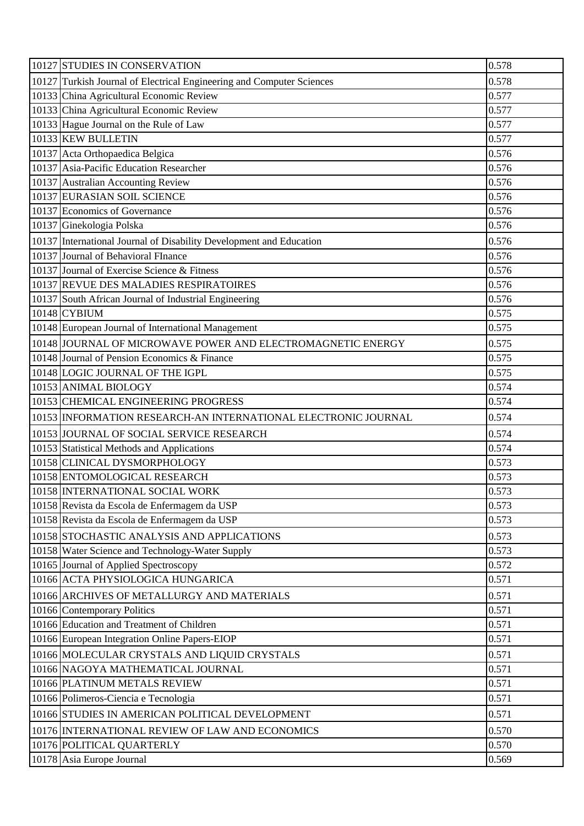| 10127 STUDIES IN CONSERVATION                                         | 0.578 |
|-----------------------------------------------------------------------|-------|
| 10127 Turkish Journal of Electrical Engineering and Computer Sciences | 0.578 |
| 10133 China Agricultural Economic Review                              | 0.577 |
| 10133 China Agricultural Economic Review                              | 0.577 |
| 10133 Hague Journal on the Rule of Law                                | 0.577 |
| 10133 KEW BULLETIN                                                    | 0.577 |
| 10137 Acta Orthopaedica Belgica                                       | 0.576 |
| 10137 Asia-Pacific Education Researcher                               | 0.576 |
| 10137 Australian Accounting Review                                    | 0.576 |
| 10137 EURASIAN SOIL SCIENCE                                           | 0.576 |
| 10137 Economics of Governance                                         | 0.576 |
| 10137 Ginekologia Polska                                              | 0.576 |
| 10137 International Journal of Disability Development and Education   | 0.576 |
| 10137 Journal of Behavioral FInance                                   | 0.576 |
| 10137 Journal of Exercise Science & Fitness                           | 0.576 |
| 10137 REVUE DES MALADIES RESPIRATOIRES                                | 0.576 |
| 10137 South African Journal of Industrial Engineering                 | 0.576 |
| 10148 CYBIUM                                                          | 0.575 |
| 10148 European Journal of International Management                    | 0.575 |
| 10148 JOURNAL OF MICROWAVE POWER AND ELECTROMAGNETIC ENERGY           | 0.575 |
| 10148 Journal of Pension Economics & Finance                          | 0.575 |
| 10148 LOGIC JOURNAL OF THE IGPL                                       | 0.575 |
| 10153 ANIMAL BIOLOGY                                                  | 0.574 |
| 10153 CHEMICAL ENGINEERING PROGRESS                                   | 0.574 |
| 10153 INFORMATION RESEARCH-AN INTERNATIONAL ELECTRONIC JOURNAL        | 0.574 |
| 10153 JOURNAL OF SOCIAL SERVICE RESEARCH                              | 0.574 |
| 10153 Statistical Methods and Applications                            | 0.574 |
| 10158 CLINICAL DYSMORPHOLOGY                                          | 0.573 |
| 10158 ENTOMOLOGICAL RESEARCH                                          | 0.573 |
| 10158 INTERNATIONAL SOCIAL WORK                                       | 0.573 |
| 10158 Revista da Escola de Enfermagem da USP                          | 0.573 |
| 10158 Revista da Escola de Enfermagem da USP                          | 0.573 |
| 10158 STOCHASTIC ANALYSIS AND APPLICATIONS                            | 0.573 |
| 10158 Water Science and Technology-Water Supply                       | 0.573 |
| 10165 Journal of Applied Spectroscopy                                 | 0.572 |
| 10166 ACTA PHYSIOLOGICA HUNGARICA                                     | 0.571 |
| 10166 ARCHIVES OF METALLURGY AND MATERIALS                            | 0.571 |
| 10166 Contemporary Politics                                           | 0.571 |
| 10166 Education and Treatment of Children                             | 0.571 |
| 10166 European Integration Online Papers-EIOP                         | 0.571 |
| 10166 MOLECULAR CRYSTALS AND LIQUID CRYSTALS                          | 0.571 |
| 10166 NAGOYA MATHEMATICAL JOURNAL                                     | 0.571 |
| 10166 PLATINUM METALS REVIEW                                          | 0.571 |
| 10166 Polimeros-Ciencia e Tecnologia                                  | 0.571 |
| 10166 STUDIES IN AMERICAN POLITICAL DEVELOPMENT                       | 0.571 |
| 10176 INTERNATIONAL REVIEW OF LAW AND ECONOMICS                       | 0.570 |
| 10176 POLITICAL QUARTERLY                                             | 0.570 |
| 10178 Asia Europe Journal                                             | 0.569 |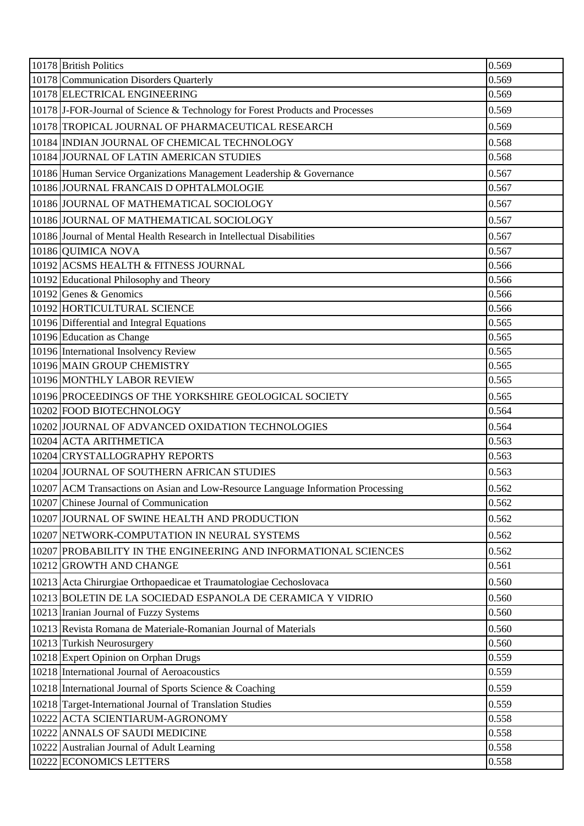| 10178 British Politics                                                           | 0.569 |
|----------------------------------------------------------------------------------|-------|
| 10178 Communication Disorders Quarterly                                          | 0.569 |
| 10178 ELECTRICAL ENGINEERING                                                     | 0.569 |
| 10178 J-FOR-Journal of Science & Technology for Forest Products and Processes    | 0.569 |
| 10178 TROPICAL JOURNAL OF PHARMACEUTICAL RESEARCH                                | 0.569 |
| 10184 INDIAN JOURNAL OF CHEMICAL TECHNOLOGY                                      | 0.568 |
| 10184 JOURNAL OF LATIN AMERICAN STUDIES                                          | 0.568 |
| 10186 Human Service Organizations Management Leadership & Governance             | 0.567 |
| 10186 JOURNAL FRANCAIS D OPHTALMOLOGIE                                           | 0.567 |
| 10186 JOURNAL OF MATHEMATICAL SOCIOLOGY                                          | 0.567 |
| 10186 JOURNAL OF MATHEMATICAL SOCIOLOGY                                          | 0.567 |
| 10186 Journal of Mental Health Research in Intellectual Disabilities             | 0.567 |
| 10186 QUIMICA NOVA                                                               | 0.567 |
| 10192 ACSMS HEALTH & FITNESS JOURNAL                                             | 0.566 |
| 10192 Educational Philosophy and Theory                                          | 0.566 |
| 10192 Genes & Genomics                                                           | 0.566 |
| 10192 HORTICULTURAL SCIENCE                                                      | 0.566 |
| 10196 Differential and Integral Equations                                        | 0.565 |
| 10196 Education as Change                                                        | 0.565 |
| 10196 International Insolvency Review                                            | 0.565 |
| 10196 MAIN GROUP CHEMISTRY                                                       | 0.565 |
| 10196 MONTHLY LABOR REVIEW                                                       | 0.565 |
| 10196 PROCEEDINGS OF THE YORKSHIRE GEOLOGICAL SOCIETY                            | 0.565 |
| 10202 FOOD BIOTECHNOLOGY                                                         | 0.564 |
| 10202 JJOURNAL OF ADVANCED OXIDATION TECHNOLOGIES                                | 0.564 |
| 10204 ACTA ARITHMETICA                                                           | 0.563 |
| 10204 CRYSTALLOGRAPHY REPORTS                                                    | 0.563 |
| 10204 JOURNAL OF SOUTHERN AFRICAN STUDIES                                        | 0.563 |
| 10207 ACM Transactions on Asian and Low-Resource Language Information Processing | 0.562 |
| 10207 Chinese Journal of Communication                                           | 0.562 |
| 10207 JOURNAL OF SWINE HEALTH AND PRODUCTION                                     | 0.562 |
| 10207 NETWORK-COMPUTATION IN NEURAL SYSTEMS                                      | 0.562 |
| 10207 PROBABILITY IN THE ENGINEERING AND INFORMATIONAL SCIENCES                  | 0.562 |
| 10212 GROWTH AND CHANGE                                                          | 0.561 |
| 10213 Acta Chirurgiae Orthopaedicae et Traumatologiae Cechoslovaca               | 0.560 |
| 10213 BOLETIN DE LA SOCIEDAD ESPANOLA DE CERAMICA Y VIDRIO                       | 0.560 |
| 10213 Iranian Journal of Fuzzy Systems                                           | 0.560 |
| 10213 Revista Romana de Materiale-Romanian Journal of Materials                  | 0.560 |
| 10213 Turkish Neurosurgery                                                       | 0.560 |
| 10218 Expert Opinion on Orphan Drugs                                             | 0.559 |
| 10218 International Journal of Aeroacoustics                                     | 0.559 |
| 10218 International Journal of Sports Science & Coaching                         | 0.559 |
| 10218 Target-International Journal of Translation Studies                        | 0.559 |
| 10222 ACTA SCIENTIARUM-AGRONOMY                                                  | 0.558 |
| 10222 ANNALS OF SAUDI MEDICINE                                                   | 0.558 |
| 10222 Australian Journal of Adult Learning                                       | 0.558 |
| 10222 ECONOMICS LETTERS                                                          | 0.558 |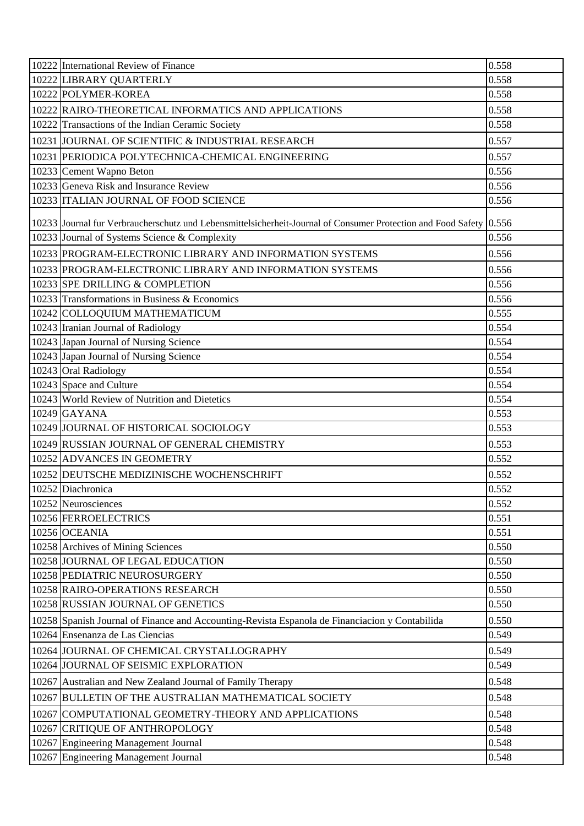| 10222 International Review of Finance                                                                               | 0.558 |
|---------------------------------------------------------------------------------------------------------------------|-------|
| 10222 LIBRARY QUARTERLY                                                                                             | 0.558 |
| 10222 POLYMER-KOREA                                                                                                 | 0.558 |
| 10222 RAIRO-THEORETICAL INFORMATICS AND APPLICATIONS                                                                | 0.558 |
| 10222 Transactions of the Indian Ceramic Society                                                                    | 0.558 |
| 10231 JOURNAL OF SCIENTIFIC & INDUSTRIAL RESEARCH                                                                   | 0.557 |
| 10231 PERIODICA POLYTECHNICA-CHEMICAL ENGINEERING                                                                   | 0.557 |
| 10233 Cement Wapno Beton                                                                                            | 0.556 |
| 10233 Geneva Risk and Insurance Review                                                                              | 0.556 |
| 10233 ITALIAN JOURNAL OF FOOD SCIENCE                                                                               | 0.556 |
| 10233 Journal fur Verbraucherschutz und Lebensmittelsicherheit-Journal of Consumer Protection and Food Safety 0.556 |       |
| 10233 Journal of Systems Science & Complexity                                                                       | 0.556 |
| 10233 PROGRAM-ELECTRONIC LIBRARY AND INFORMATION SYSTEMS                                                            | 0.556 |
| 10233 PROGRAM-ELECTRONIC LIBRARY AND INFORMATION SYSTEMS                                                            | 0.556 |
| 10233 SPE DRILLING & COMPLETION                                                                                     | 0.556 |
| 10233 Transformations in Business & Economics                                                                       | 0.556 |
| 10242 COLLOQUIUM MATHEMATICUM                                                                                       | 0.555 |
| 10243 Iranian Journal of Radiology                                                                                  | 0.554 |
| 10243 Japan Journal of Nursing Science                                                                              | 0.554 |
| 10243 Japan Journal of Nursing Science                                                                              | 0.554 |
| 10243 Oral Radiology                                                                                                | 0.554 |
| 10243 Space and Culture                                                                                             | 0.554 |
| 10243 World Review of Nutrition and Dietetics                                                                       | 0.554 |
| $10249$ GAYANA                                                                                                      | 0.553 |
| 10249 JOURNAL OF HISTORICAL SOCIOLOGY                                                                               | 0.553 |
| 10249 RUSSIAN JOURNAL OF GENERAL CHEMISTRY                                                                          | 0.553 |
| 10252 ADVANCES IN GEOMETRY                                                                                          | 0.552 |
| 10252 DEUTSCHE MEDIZINISCHE WOCHENSCHRIFT                                                                           | 0.552 |
| 10252 Diachronica                                                                                                   | 0.552 |
| 10252 Neurosciences                                                                                                 | 0.552 |
| 10256 FERROELECTRICS                                                                                                | 0.551 |
| 10256 OCEANIA                                                                                                       | 0.551 |
| 10258 Archives of Mining Sciences                                                                                   | 0.550 |
| 10258 JOURNAL OF LEGAL EDUCATION                                                                                    | 0.550 |
| 10258 PEDIATRIC NEUROSURGERY                                                                                        | 0.550 |
| 10258 RAIRO-OPERATIONS RESEARCH                                                                                     | 0.550 |
| 10258 RUSSIAN JOURNAL OF GENETICS                                                                                   | 0.550 |
| 10258 Spanish Journal of Finance and Accounting-Revista Espanola de Financiacion y Contabilida                      | 0.550 |
| 10264 Ensenanza de Las Ciencias                                                                                     | 0.549 |
| 10264 JOURNAL OF CHEMICAL CRYSTALLOGRAPHY                                                                           | 0.549 |
| 10264 JOURNAL OF SEISMIC EXPLORATION                                                                                | 0.549 |
| 10267 Australian and New Zealand Journal of Family Therapy                                                          | 0.548 |
| 10267 BULLETIN OF THE AUSTRALIAN MATHEMATICAL SOCIETY                                                               | 0.548 |
| 10267 COMPUTATIONAL GEOMETRY-THEORY AND APPLICATIONS                                                                | 0.548 |
| 10267 CRITIQUE OF ANTHROPOLOGY                                                                                      | 0.548 |
| 10267 Engineering Management Journal                                                                                | 0.548 |
| 10267 Engineering Management Journal                                                                                | 0.548 |
|                                                                                                                     |       |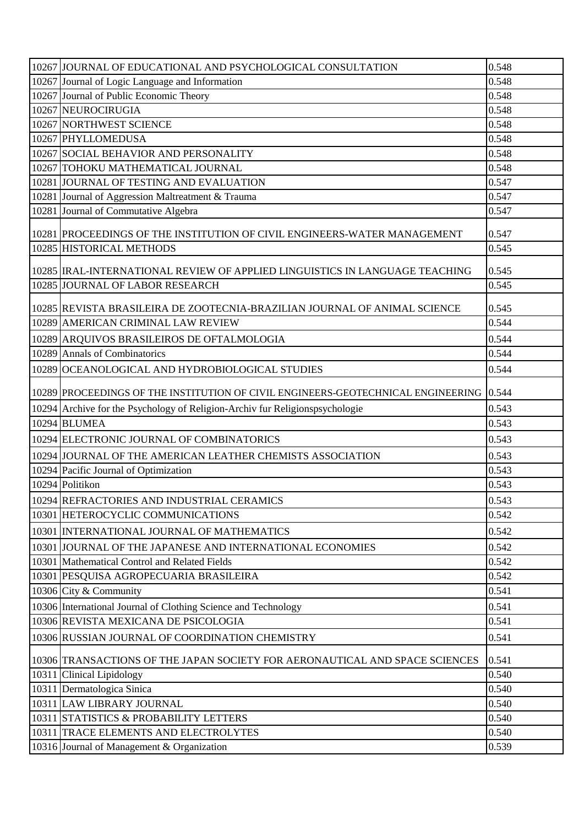| 10267 Journal of Logic Language and Information<br>0.548<br>10267 Journal of Public Economic Theory<br>0.548<br>10267 NEUROCIRUGIA<br>0.548<br>10267 NORTHWEST SCIENCE<br>0.548<br>0.548<br>10267 PHYLLOMEDUSA<br>10267 SOCIAL BEHAVIOR AND PERSONALITY<br>0.548<br>10267 TOHOKU MATHEMATICAL JOURNAL<br>0.548<br>10281 JOURNAL OF TESTING AND EVALUATION<br>0.547<br>10281 Journal of Aggression Maltreatment & Trauma<br>0.547<br>10281 Journal of Commutative Algebra<br>0.547<br>0.547<br>10281 PROCEEDINGS OF THE INSTITUTION OF CIVIL ENGINEERS-WATER MANAGEMENT<br>0.545<br>10285 HISTORICAL METHODS<br>10285  IRAL-INTERNATIONAL REVIEW OF APPLIED LINGUISTICS IN LANGUAGE TEACHING<br>0.545<br>10285 JOURNAL OF LABOR RESEARCH<br>0.545<br>10285 REVISTA BRASILEIRA DE ZOOTECNIA-BRAZILIAN JOURNAL OF ANIMAL SCIENCE<br>0.545<br>10289 AMERICAN CRIMINAL LAW REVIEW<br>0.544<br>10289 ARQUIVOS BRASILEIROS DE OFTALMOLOGIA<br>0.544<br>10289 Annals of Combinatorics<br>0.544<br>0.544<br>10289 OCEANOLOGICAL AND HYDROBIOLOGICAL STUDIES<br>10289 PROCEEDINGS OF THE INSTITUTION OF CIVIL ENGINEERS-GEOTECHNICAL ENGINEERING 0.544<br>0.543<br>10294 Archive for the Psychology of Religion-Archiv fur Religionspsychologie<br>10294 BLUMEA<br>0.543<br>10294 ELECTRONIC JOURNAL OF COMBINATORICS<br>0.543<br>0.543<br>10294 JOURNAL OF THE AMERICAN LEATHER CHEMISTS ASSOCIATION<br>10294 Pacific Journal of Optimization<br>0.543 |
|-----------------------------------------------------------------------------------------------------------------------------------------------------------------------------------------------------------------------------------------------------------------------------------------------------------------------------------------------------------------------------------------------------------------------------------------------------------------------------------------------------------------------------------------------------------------------------------------------------------------------------------------------------------------------------------------------------------------------------------------------------------------------------------------------------------------------------------------------------------------------------------------------------------------------------------------------------------------------------------------------------------------------------------------------------------------------------------------------------------------------------------------------------------------------------------------------------------------------------------------------------------------------------------------------------------------------------------------------------------------------------------------------------------------------------------------------|
|                                                                                                                                                                                                                                                                                                                                                                                                                                                                                                                                                                                                                                                                                                                                                                                                                                                                                                                                                                                                                                                                                                                                                                                                                                                                                                                                                                                                                                               |
|                                                                                                                                                                                                                                                                                                                                                                                                                                                                                                                                                                                                                                                                                                                                                                                                                                                                                                                                                                                                                                                                                                                                                                                                                                                                                                                                                                                                                                               |
|                                                                                                                                                                                                                                                                                                                                                                                                                                                                                                                                                                                                                                                                                                                                                                                                                                                                                                                                                                                                                                                                                                                                                                                                                                                                                                                                                                                                                                               |
|                                                                                                                                                                                                                                                                                                                                                                                                                                                                                                                                                                                                                                                                                                                                                                                                                                                                                                                                                                                                                                                                                                                                                                                                                                                                                                                                                                                                                                               |
|                                                                                                                                                                                                                                                                                                                                                                                                                                                                                                                                                                                                                                                                                                                                                                                                                                                                                                                                                                                                                                                                                                                                                                                                                                                                                                                                                                                                                                               |
|                                                                                                                                                                                                                                                                                                                                                                                                                                                                                                                                                                                                                                                                                                                                                                                                                                                                                                                                                                                                                                                                                                                                                                                                                                                                                                                                                                                                                                               |
|                                                                                                                                                                                                                                                                                                                                                                                                                                                                                                                                                                                                                                                                                                                                                                                                                                                                                                                                                                                                                                                                                                                                                                                                                                                                                                                                                                                                                                               |
|                                                                                                                                                                                                                                                                                                                                                                                                                                                                                                                                                                                                                                                                                                                                                                                                                                                                                                                                                                                                                                                                                                                                                                                                                                                                                                                                                                                                                                               |
|                                                                                                                                                                                                                                                                                                                                                                                                                                                                                                                                                                                                                                                                                                                                                                                                                                                                                                                                                                                                                                                                                                                                                                                                                                                                                                                                                                                                                                               |
|                                                                                                                                                                                                                                                                                                                                                                                                                                                                                                                                                                                                                                                                                                                                                                                                                                                                                                                                                                                                                                                                                                                                                                                                                                                                                                                                                                                                                                               |
|                                                                                                                                                                                                                                                                                                                                                                                                                                                                                                                                                                                                                                                                                                                                                                                                                                                                                                                                                                                                                                                                                                                                                                                                                                                                                                                                                                                                                                               |
|                                                                                                                                                                                                                                                                                                                                                                                                                                                                                                                                                                                                                                                                                                                                                                                                                                                                                                                                                                                                                                                                                                                                                                                                                                                                                                                                                                                                                                               |
|                                                                                                                                                                                                                                                                                                                                                                                                                                                                                                                                                                                                                                                                                                                                                                                                                                                                                                                                                                                                                                                                                                                                                                                                                                                                                                                                                                                                                                               |
|                                                                                                                                                                                                                                                                                                                                                                                                                                                                                                                                                                                                                                                                                                                                                                                                                                                                                                                                                                                                                                                                                                                                                                                                                                                                                                                                                                                                                                               |
|                                                                                                                                                                                                                                                                                                                                                                                                                                                                                                                                                                                                                                                                                                                                                                                                                                                                                                                                                                                                                                                                                                                                                                                                                                                                                                                                                                                                                                               |
|                                                                                                                                                                                                                                                                                                                                                                                                                                                                                                                                                                                                                                                                                                                                                                                                                                                                                                                                                                                                                                                                                                                                                                                                                                                                                                                                                                                                                                               |
|                                                                                                                                                                                                                                                                                                                                                                                                                                                                                                                                                                                                                                                                                                                                                                                                                                                                                                                                                                                                                                                                                                                                                                                                                                                                                                                                                                                                                                               |
|                                                                                                                                                                                                                                                                                                                                                                                                                                                                                                                                                                                                                                                                                                                                                                                                                                                                                                                                                                                                                                                                                                                                                                                                                                                                                                                                                                                                                                               |
|                                                                                                                                                                                                                                                                                                                                                                                                                                                                                                                                                                                                                                                                                                                                                                                                                                                                                                                                                                                                                                                                                                                                                                                                                                                                                                                                                                                                                                               |
|                                                                                                                                                                                                                                                                                                                                                                                                                                                                                                                                                                                                                                                                                                                                                                                                                                                                                                                                                                                                                                                                                                                                                                                                                                                                                                                                                                                                                                               |
|                                                                                                                                                                                                                                                                                                                                                                                                                                                                                                                                                                                                                                                                                                                                                                                                                                                                                                                                                                                                                                                                                                                                                                                                                                                                                                                                                                                                                                               |
|                                                                                                                                                                                                                                                                                                                                                                                                                                                                                                                                                                                                                                                                                                                                                                                                                                                                                                                                                                                                                                                                                                                                                                                                                                                                                                                                                                                                                                               |
|                                                                                                                                                                                                                                                                                                                                                                                                                                                                                                                                                                                                                                                                                                                                                                                                                                                                                                                                                                                                                                                                                                                                                                                                                                                                                                                                                                                                                                               |
|                                                                                                                                                                                                                                                                                                                                                                                                                                                                                                                                                                                                                                                                                                                                                                                                                                                                                                                                                                                                                                                                                                                                                                                                                                                                                                                                                                                                                                               |
|                                                                                                                                                                                                                                                                                                                                                                                                                                                                                                                                                                                                                                                                                                                                                                                                                                                                                                                                                                                                                                                                                                                                                                                                                                                                                                                                                                                                                                               |
|                                                                                                                                                                                                                                                                                                                                                                                                                                                                                                                                                                                                                                                                                                                                                                                                                                                                                                                                                                                                                                                                                                                                                                                                                                                                                                                                                                                                                                               |
| 10294 Politikon<br>0.543                                                                                                                                                                                                                                                                                                                                                                                                                                                                                                                                                                                                                                                                                                                                                                                                                                                                                                                                                                                                                                                                                                                                                                                                                                                                                                                                                                                                                      |
| 0.543<br>10294 REFRACTORIES AND INDUSTRIAL CERAMICS                                                                                                                                                                                                                                                                                                                                                                                                                                                                                                                                                                                                                                                                                                                                                                                                                                                                                                                                                                                                                                                                                                                                                                                                                                                                                                                                                                                           |
| 10301 HETEROCYCLIC COMMUNICATIONS<br>0.542                                                                                                                                                                                                                                                                                                                                                                                                                                                                                                                                                                                                                                                                                                                                                                                                                                                                                                                                                                                                                                                                                                                                                                                                                                                                                                                                                                                                    |
| 10301 INTERNATIONAL JOURNAL OF MATHEMATICS<br>0.542                                                                                                                                                                                                                                                                                                                                                                                                                                                                                                                                                                                                                                                                                                                                                                                                                                                                                                                                                                                                                                                                                                                                                                                                                                                                                                                                                                                           |
| 0.542<br>10301 JOURNAL OF THE JAPANESE AND INTERNATIONAL ECONOMIES                                                                                                                                                                                                                                                                                                                                                                                                                                                                                                                                                                                                                                                                                                                                                                                                                                                                                                                                                                                                                                                                                                                                                                                                                                                                                                                                                                            |
| 0.542<br>10301 Mathematical Control and Related Fields                                                                                                                                                                                                                                                                                                                                                                                                                                                                                                                                                                                                                                                                                                                                                                                                                                                                                                                                                                                                                                                                                                                                                                                                                                                                                                                                                                                        |
| 10301 PESQUISA AGROPECUARIA BRASILEIRA<br>0.542                                                                                                                                                                                                                                                                                                                                                                                                                                                                                                                                                                                                                                                                                                                                                                                                                                                                                                                                                                                                                                                                                                                                                                                                                                                                                                                                                                                               |
| 10306 City & Community<br>0.541                                                                                                                                                                                                                                                                                                                                                                                                                                                                                                                                                                                                                                                                                                                                                                                                                                                                                                                                                                                                                                                                                                                                                                                                                                                                                                                                                                                                               |
| 10306 International Journal of Clothing Science and Technology<br>0.541                                                                                                                                                                                                                                                                                                                                                                                                                                                                                                                                                                                                                                                                                                                                                                                                                                                                                                                                                                                                                                                                                                                                                                                                                                                                                                                                                                       |
| 10306 REVISTA MEXICANA DE PSICOLOGIA<br>0.541                                                                                                                                                                                                                                                                                                                                                                                                                                                                                                                                                                                                                                                                                                                                                                                                                                                                                                                                                                                                                                                                                                                                                                                                                                                                                                                                                                                                 |
| 0.541<br>10306 RUSSIAN JOURNAL OF COORDINATION CHEMISTRY                                                                                                                                                                                                                                                                                                                                                                                                                                                                                                                                                                                                                                                                                                                                                                                                                                                                                                                                                                                                                                                                                                                                                                                                                                                                                                                                                                                      |
| 10306 TRANSACTIONS OF THE JAPAN SOCIETY FOR AERONAUTICAL AND SPACE SCIENCES<br>0.541                                                                                                                                                                                                                                                                                                                                                                                                                                                                                                                                                                                                                                                                                                                                                                                                                                                                                                                                                                                                                                                                                                                                                                                                                                                                                                                                                          |
| 0.540<br>10311 Clinical Lipidology                                                                                                                                                                                                                                                                                                                                                                                                                                                                                                                                                                                                                                                                                                                                                                                                                                                                                                                                                                                                                                                                                                                                                                                                                                                                                                                                                                                                            |
| 10311 Dermatologica Sinica<br>0.540                                                                                                                                                                                                                                                                                                                                                                                                                                                                                                                                                                                                                                                                                                                                                                                                                                                                                                                                                                                                                                                                                                                                                                                                                                                                                                                                                                                                           |
| 10311 LAW LIBRARY JOURNAL<br>0.540                                                                                                                                                                                                                                                                                                                                                                                                                                                                                                                                                                                                                                                                                                                                                                                                                                                                                                                                                                                                                                                                                                                                                                                                                                                                                                                                                                                                            |
| 10311 STATISTICS & PROBABILITY LETTERS<br>0.540                                                                                                                                                                                                                                                                                                                                                                                                                                                                                                                                                                                                                                                                                                                                                                                                                                                                                                                                                                                                                                                                                                                                                                                                                                                                                                                                                                                               |
| 10311 TRACE ELEMENTS AND ELECTROLYTES<br>0.540                                                                                                                                                                                                                                                                                                                                                                                                                                                                                                                                                                                                                                                                                                                                                                                                                                                                                                                                                                                                                                                                                                                                                                                                                                                                                                                                                                                                |
| 0.539<br>10316 Journal of Management & Organization                                                                                                                                                                                                                                                                                                                                                                                                                                                                                                                                                                                                                                                                                                                                                                                                                                                                                                                                                                                                                                                                                                                                                                                                                                                                                                                                                                                           |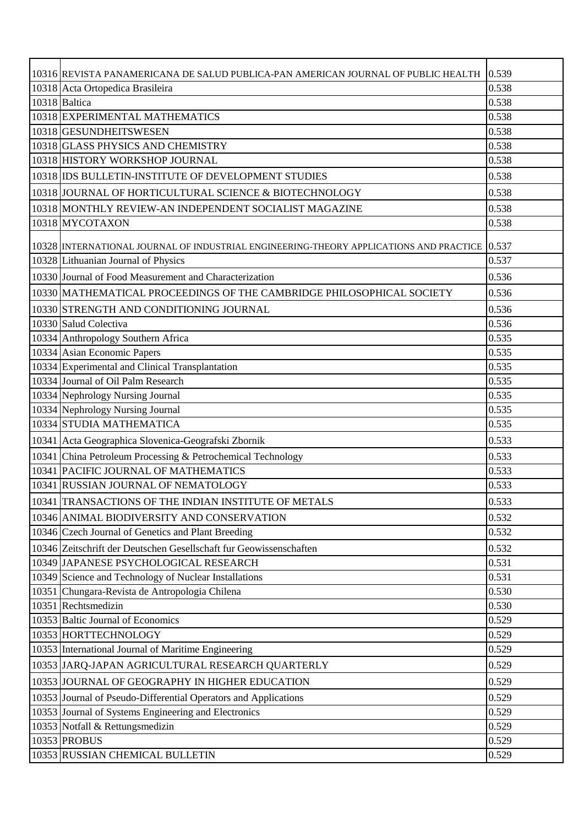| 10316 REVISTA PANAMERICANA DE SALUD PUBLICA-PAN AMERICAN JOURNAL OF PUBLIC HEALTH            | 0.539 |
|----------------------------------------------------------------------------------------------|-------|
| 10318 Acta Ortopedica Brasileira                                                             | 0.538 |
| 10318 Baltica                                                                                | 0.538 |
| 10318 EXPERIMENTAL MATHEMATICS                                                               | 0.538 |
| 10318 GESUNDHEITSWESEN                                                                       | 0.538 |
| 10318 GLASS PHYSICS AND CHEMISTRY                                                            | 0.538 |
| 10318 HISTORY WORKSHOP JOURNAL                                                               | 0.538 |
| 10318 IDS BULLETIN-INSTITUTE OF DEVELOPMENT STUDIES                                          | 0.538 |
| 10318 JOURNAL OF HORTICULTURAL SCIENCE & BIOTECHNOLOGY                                       | 0.538 |
| 10318 MONTHLY REVIEW-AN INDEPENDENT SOCIALIST MAGAZINE                                       | 0.538 |
| 10318 MYCOTAXON                                                                              | 0.538 |
| 10328 INTERNATIONAL JOURNAL OF INDUSTRIAL ENGINEERING-THEORY APPLICATIONS AND PRACTICE 0.537 |       |
| 10328 Lithuanian Journal of Physics                                                          | 0.537 |
| 10330 Journal of Food Measurement and Characterization                                       | 0.536 |
| 10330 MATHEMATICAL PROCEEDINGS OF THE CAMBRIDGE PHILOSOPHICAL SOCIETY                        | 0.536 |
| 10330 STRENGTH AND CONDITIONING JOURNAL                                                      | 0.536 |
| 10330 Salud Colectiva                                                                        | 0.536 |
| 10334 Anthropology Southern Africa                                                           | 0.535 |
| 10334 Asian Economic Papers                                                                  | 0.535 |
| 10334 Experimental and Clinical Transplantation                                              | 0.535 |
| 10334 Journal of Oil Palm Research                                                           | 0.535 |
| 10334 Nephrology Nursing Journal                                                             | 0.535 |
| 10334 Nephrology Nursing Journal                                                             | 0.535 |
| 10334 STUDIA MATHEMATICA                                                                     | 0.535 |
| 10341 Acta Geographica Slovenica-Geografski Zbornik                                          | 0.533 |
| 10341 China Petroleum Processing & Petrochemical Technology                                  | 0.533 |
| 10341   PACIFIC JOURNAL OF MATHEMATICS                                                       | 0.533 |
| 10341 RUSSIAN JOURNAL OF NEMATOLOGY                                                          | 0.533 |
| 10341 TRANSACTIONS OF THE INDIAN INSTITUTE OF METALS                                         | 0.533 |
| 10346 ANIMAL BIODIVERSITY AND CONSERVATION                                                   | 0.532 |
| 10346 Czech Journal of Genetics and Plant Breeding                                           | 0.532 |
| 10346 Zeitschrift der Deutschen Gesellschaft fur Geowissenschaften                           | 0.532 |
| 10349 JAPANESE PSYCHOLOGICAL RESEARCH                                                        | 0.531 |
| 10349 Science and Technology of Nuclear Installations                                        | 0.531 |
| 10351 Chungara-Revista de Antropologia Chilena                                               | 0.530 |
| 10351 Rechtsmedizin                                                                          | 0.530 |
| 10353 Baltic Journal of Economics                                                            | 0.529 |
| 10353 HORTTECHNOLOGY                                                                         | 0.529 |
| 10353 International Journal of Maritime Engineering                                          | 0.529 |
| 10353 JARQ-JAPAN AGRICULTURAL RESEARCH QUARTERLY                                             | 0.529 |
| 10353 JOURNAL OF GEOGRAPHY IN HIGHER EDUCATION                                               | 0.529 |
| 10353 Journal of Pseudo-Differential Operators and Applications                              | 0.529 |
| 10353 Journal of Systems Engineering and Electronics                                         | 0.529 |
| 10353 Notfall & Rettungsmedizin                                                              | 0.529 |
| 10353 PROBUS                                                                                 | 0.529 |
| 10353 RUSSIAN CHEMICAL BULLETIN                                                              | 0.529 |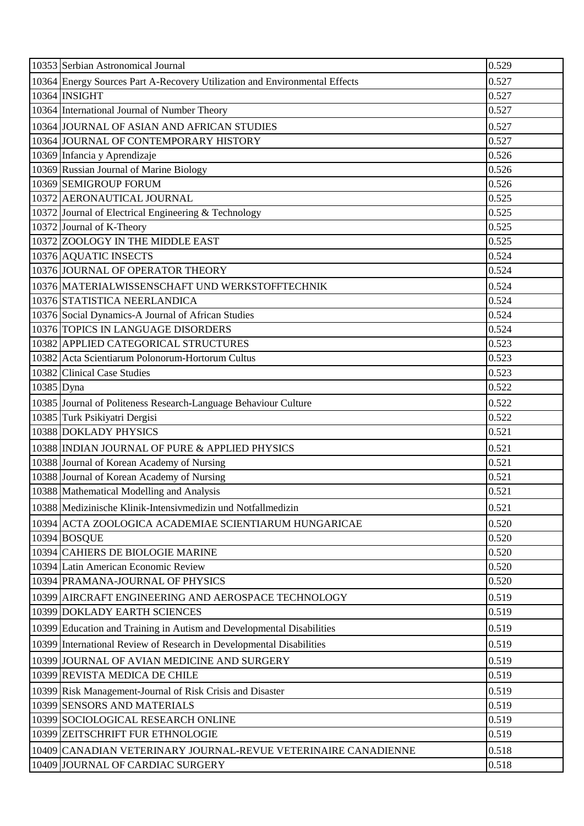|            | 10353 Serbian Astronomical Journal                                         | 0.529 |
|------------|----------------------------------------------------------------------------|-------|
|            | 10364 Energy Sources Part A-Recovery Utilization and Environmental Effects | 0.527 |
|            | 10364 INSIGHT                                                              | 0.527 |
|            | 10364 International Journal of Number Theory                               | 0.527 |
|            | 10364 JOURNAL OF ASIAN AND AFRICAN STUDIES                                 | 0.527 |
|            | 10364 JOURNAL OF CONTEMPORARY HISTORY                                      | 0.527 |
|            | 10369 Infancia y Aprendizaje                                               | 0.526 |
|            | 10369 Russian Journal of Marine Biology                                    | 0.526 |
|            | 10369 SEMIGROUP FORUM                                                      | 0.526 |
|            | 10372 AERONAUTICAL JOURNAL                                                 | 0.525 |
|            | 10372 Journal of Electrical Engineering & Technology                       | 0.525 |
|            | 10372 Journal of K-Theory                                                  | 0.525 |
|            | 10372 ZOOLOGY IN THE MIDDLE EAST                                           | 0.525 |
|            | 10376 AQUATIC INSECTS                                                      | 0.524 |
|            | 10376 JOURNAL OF OPERATOR THEORY                                           | 0.524 |
|            | 10376   MATERIALWISSENSCHAFT UND WERKSTOFFTECHNIK                          | 0.524 |
|            | 10376 STATISTICA NEERLANDICA                                               | 0.524 |
|            | 10376 Social Dynamics-A Journal of African Studies                         | 0.524 |
|            | 10376 TOPICS IN LANGUAGE DISORDERS                                         | 0.524 |
|            | 10382 APPLIED CATEGORICAL STRUCTURES                                       | 0.523 |
|            | 10382 Acta Scientiarum Polonorum-Hortorum Cultus                           | 0.523 |
|            | 10382 Clinical Case Studies                                                | 0.523 |
| 10385 Dyna |                                                                            | 0.522 |
|            | 10385 Journal of Politeness Research-Language Behaviour Culture            | 0.522 |
|            | 10385 Turk Psikiyatri Dergisi                                              | 0.522 |
|            | 10388 DOKLADY PHYSICS                                                      | 0.521 |
|            | 10388 INDIAN JOURNAL OF PURE & APPLIED PHYSICS                             | 0.521 |
|            | 10388 Journal of Korean Academy of Nursing                                 | 0.521 |
|            | 10388 Journal of Korean Academy of Nursing                                 | 0.521 |
|            | 10388 Mathematical Modelling and Analysis                                  | 0.521 |
|            | 10388 Medizinische Klinik-Intensivmedizin und Notfallmedizin               | 0.521 |
|            | 10394 ACTA ZOOLOGICA ACADEMIAE SCIENTIARUM HUNGARICAE                      | 0.520 |
|            | 10394 BOSQUE                                                               | 0.520 |
|            | 10394 CAHIERS DE BIOLOGIE MARINE                                           | 0.520 |
|            | 10394 Latin American Economic Review                                       | 0.520 |
|            | 10394 PRAMANA-JOURNAL OF PHYSICS                                           | 0.520 |
|            | 10399 AIRCRAFT ENGINEERING AND AEROSPACE TECHNOLOGY                        | 0.519 |
|            | 10399 DOKLADY EARTH SCIENCES                                               | 0.519 |
|            | 10399 Education and Training in Autism and Developmental Disabilities      | 0.519 |
|            | 10399 International Review of Research in Developmental Disabilities       | 0.519 |
|            | 10399 JOURNAL OF AVIAN MEDICINE AND SURGERY                                | 0.519 |
|            | 10399 REVISTA MEDICA DE CHILE                                              | 0.519 |
|            | 10399 Risk Management-Journal of Risk Crisis and Disaster                  | 0.519 |
|            | 10399 SENSORS AND MATERIALS                                                | 0.519 |
|            | 10399 SOCIOLOGICAL RESEARCH ONLINE                                         | 0.519 |
|            | 10399 ZEITSCHRIFT FUR ETHNOLOGIE                                           | 0.519 |
|            | 10409 CANADIAN VETERINARY JOURNAL-REVUE VETERINAIRE CANADIENNE             | 0.518 |
|            | 10409 JOURNAL OF CARDIAC SURGERY                                           | 0.518 |
|            |                                                                            |       |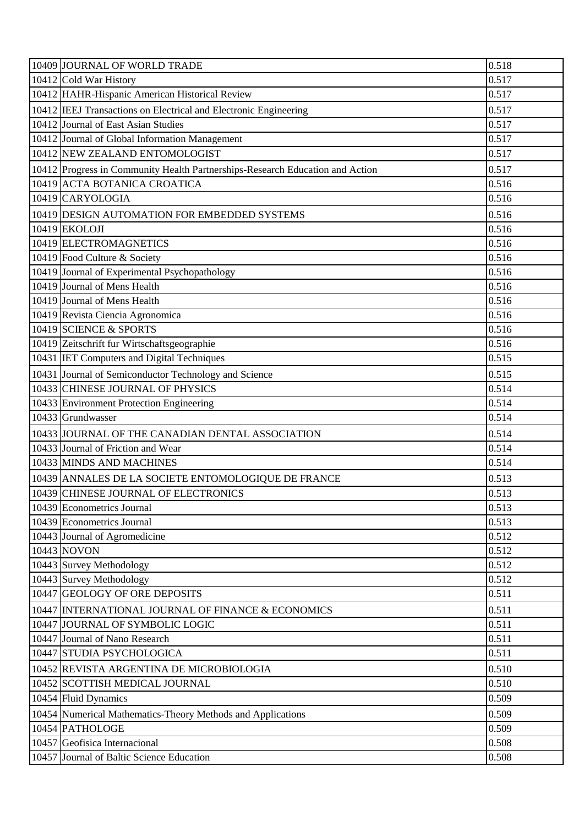| 10409 JOURNAL OF WORLD TRADE                                                  | 0.518 |
|-------------------------------------------------------------------------------|-------|
| 10412 Cold War History                                                        | 0.517 |
| 10412 HAHR-Hispanic American Historical Review                                | 0.517 |
| 10412 IEEJ Transactions on Electrical and Electronic Engineering              | 0.517 |
| 10412 Journal of East Asian Studies                                           | 0.517 |
| 10412 Journal of Global Information Management                                | 0.517 |
| 10412 NEW ZEALAND ENTOMOLOGIST                                                | 0.517 |
| 10412 Progress in Community Health Partnerships-Research Education and Action | 0.517 |
| 10419 ACTA BOTANICA CROATICA                                                  | 0.516 |
| 10419 CARYOLOGIA                                                              | 0.516 |
| 10419 DESIGN AUTOMATION FOR EMBEDDED SYSTEMS                                  | 0.516 |
| 10419 EKOLOJI                                                                 | 0.516 |
| 10419 ELECTROMAGNETICS                                                        | 0.516 |
| 10419 Food Culture & Society                                                  | 0.516 |
| 10419 Journal of Experimental Psychopathology                                 | 0.516 |
| 10419 Journal of Mens Health                                                  | 0.516 |
| 10419 Journal of Mens Health                                                  | 0.516 |
| 10419 Revista Ciencia Agronomica                                              | 0.516 |
| 10419 SCIENCE & SPORTS                                                        | 0.516 |
| 10419 Zeitschrift fur Wirtschaftsgeographie                                   | 0.516 |
| 10431 IET Computers and Digital Techniques                                    | 0.515 |
| 10431 Journal of Semiconductor Technology and Science                         | 0.515 |
| 10433 CHINESE JOURNAL OF PHYSICS                                              | 0.514 |
| 10433 Environment Protection Engineering                                      | 0.514 |
| 10433 Grundwasser                                                             | 0.514 |
| 10433 JOURNAL OF THE CANADIAN DENTAL ASSOCIATION                              | 0.514 |
| 10433 Journal of Friction and Wear                                            | 0.514 |
| 10433 MINDS AND MACHINES                                                      | 0.514 |
| 10439 ANNALES DE LA SOCIETE ENTOMOLOGIQUE DE FRANCE                           | 0.513 |
| 10439 CHINESE JOURNAL OF ELECTRONICS                                          | 0.513 |
| 10439 Econometrics Journal                                                    | 0.513 |
| 10439 Econometrics Journal                                                    | 0.513 |
| 10443 Journal of Agromedicine                                                 | 0.512 |
| 10443 NOVON                                                                   | 0.512 |
| 10443 Survey Methodology                                                      | 0.512 |
| 10443 Survey Methodology                                                      | 0.512 |
| 10447 GEOLOGY OF ORE DEPOSITS                                                 | 0.511 |
| 10447 INTERNATIONAL JOURNAL OF FINANCE & ECONOMICS                            | 0.511 |
| 10447 JOURNAL OF SYMBOLIC LOGIC                                               | 0.511 |
| 10447 Journal of Nano Research                                                | 0.511 |
| 10447 STUDIA PSYCHOLOGICA                                                     | 0.511 |
| 10452 REVISTA ARGENTINA DE MICROBIOLOGIA                                      | 0.510 |
| 10452 SCOTTISH MEDICAL JOURNAL                                                | 0.510 |
| 10454 Fluid Dynamics                                                          | 0.509 |
| 10454 Numerical Mathematics-Theory Methods and Applications                   | 0.509 |
| 10454 PATHOLOGE                                                               | 0.509 |
| 10457 Geofisica Internacional                                                 | 0.508 |
| 10457 Journal of Baltic Science Education                                     | 0.508 |
|                                                                               |       |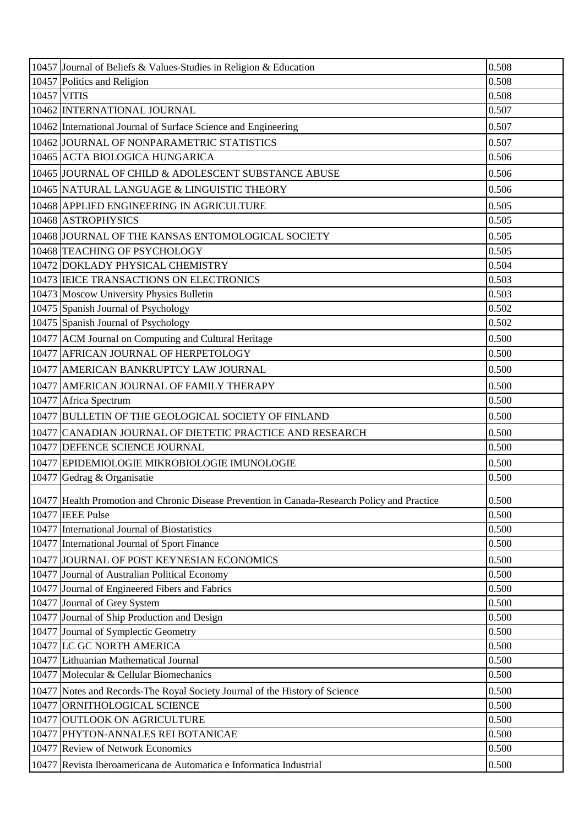| 10457 Journal of Beliefs & Values-Studies in Religion & Education                            | 0.508 |
|----------------------------------------------------------------------------------------------|-------|
| 10457 Politics and Religion                                                                  | 0.508 |
| 10457 VITIS                                                                                  | 0.508 |
| 10462 INTERNATIONAL JOURNAL                                                                  | 0.507 |
| 10462 International Journal of Surface Science and Engineering                               | 0.507 |
| 10462 JOURNAL OF NONPARAMETRIC STATISTICS                                                    | 0.507 |
| 10465 ACTA BIOLOGICA HUNGARICA                                                               | 0.506 |
| 10465 JOURNAL OF CHILD & ADOLESCENT SUBSTANCE ABUSE                                          | 0.506 |
| 10465 NATURAL LANGUAGE & LINGUISTIC THEORY                                                   | 0.506 |
| 10468 APPLIED ENGINEERING IN AGRICULTURE                                                     | 0.505 |
| 10468 ASTROPHYSICS                                                                           | 0.505 |
| 10468 JOURNAL OF THE KANSAS ENTOMOLOGICAL SOCIETY                                            | 0.505 |
| 10468 TEACHING OF PSYCHOLOGY                                                                 | 0.505 |
| 10472 DOKLADY PHYSICAL CHEMISTRY                                                             | 0.504 |
| 10473   IEICE TRANSACTIONS ON ELECTRONICS                                                    | 0.503 |
| 10473 Moscow University Physics Bulletin                                                     | 0.503 |
| 10475 Spanish Journal of Psychology                                                          | 0.502 |
| 10475 Spanish Journal of Psychology                                                          | 0.502 |
| 10477 ACM Journal on Computing and Cultural Heritage                                         | 0.500 |
| 10477 AFRICAN JOURNAL OF HERPETOLOGY                                                         | 0.500 |
| 10477 AMERICAN BANKRUPTCY LAW JOURNAL                                                        | 0.500 |
| 10477 AMERICAN JOURNAL OF FAMILY THERAPY                                                     | 0.500 |
| 10477 Africa Spectrum                                                                        | 0.500 |
| 10477 BULLETIN OF THE GEOLOGICAL SOCIETY OF FINLAND                                          | 0.500 |
| 10477 CANADIAN JOURNAL OF DIETETIC PRACTICE AND RESEARCH                                     | 0.500 |
| 10477 DEFENCE SCIENCE JOURNAL                                                                | 0.500 |
| 10477 EPIDEMIOLOGIE MIKROBIOLOGIE IMUNOLOGIE                                                 | 0.500 |
| 10477 Gedrag & Organisatie                                                                   | 0.500 |
| 10477 Health Promotion and Chronic Disease Prevention in Canada-Research Policy and Practice | 0.500 |
| 10477 IEEE Pulse                                                                             | 0.500 |
| 10477 International Journal of Biostatistics                                                 | 0.500 |
| 10477 International Journal of Sport Finance                                                 | 0.500 |
| 10477 JOURNAL OF POST KEYNESIAN ECONOMICS                                                    | 0.500 |
| 10477 Journal of Australian Political Economy                                                | 0.500 |
| 10477 Journal of Engineered Fibers and Fabrics                                               | 0.500 |
| 10477 Journal of Grey System                                                                 | 0.500 |
| 10477 Journal of Ship Production and Design                                                  | 0.500 |
| 10477 Journal of Symplectic Geometry                                                         | 0.500 |
| 10477 LC GC NORTH AMERICA                                                                    | 0.500 |
| 10477 Lithuanian Mathematical Journal                                                        | 0.500 |
| 10477 Molecular & Cellular Biomechanics                                                      | 0.500 |
| 10477 Notes and Records-The Royal Society Journal of the History of Science                  | 0.500 |
| 10477 ORNITHOLOGICAL SCIENCE                                                                 | 0.500 |
| 10477 OUTLOOK ON AGRICULTURE                                                                 | 0.500 |
| 10477 PHYTON-ANNALES REI BOTANICAE                                                           | 0.500 |
| 10477 Review of Network Economics                                                            | 0.500 |
| 10477 Revista Iberoamericana de Automatica e Informatica Industrial                          | 0.500 |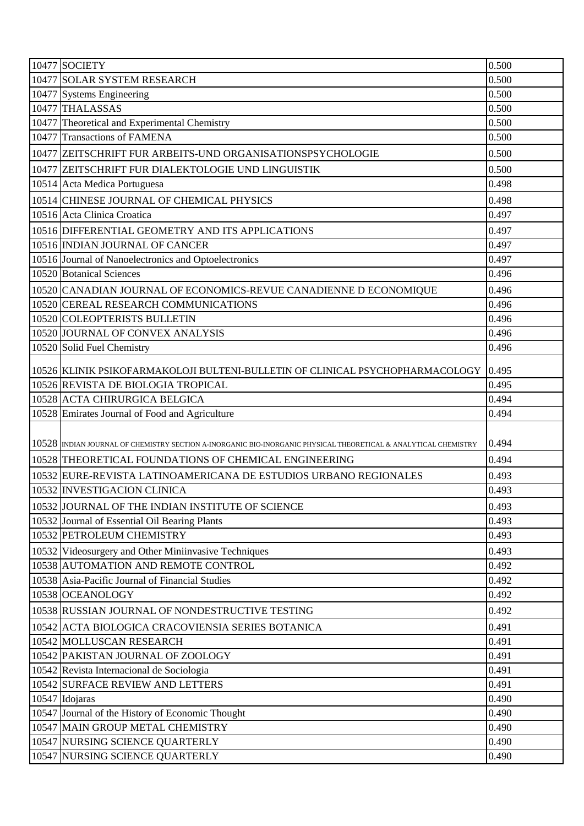| 10477 SOCIETY                                                                                                   | 0.500 |
|-----------------------------------------------------------------------------------------------------------------|-------|
| 10477 SOLAR SYSTEM RESEARCH                                                                                     | 0.500 |
| 10477 Systems Engineering                                                                                       | 0.500 |
| 10477 THALASSAS                                                                                                 | 0.500 |
| 10477 Theoretical and Experimental Chemistry                                                                    | 0.500 |
| 10477 Transactions of FAMENA                                                                                    | 0.500 |
| 10477 ZEITSCHRIFT FUR ARBEITS-UND ORGANISATIONSPSYCHOLOGIE                                                      | 0.500 |
| 10477 ZEITSCHRIFT FUR DIALEKTOLOGIE UND LINGUISTIK                                                              | 0.500 |
| 10514 Acta Medica Portuguesa                                                                                    | 0.498 |
| 10514 CHINESE JOURNAL OF CHEMICAL PHYSICS                                                                       | 0.498 |
| 10516 Acta Clinica Croatica                                                                                     | 0.497 |
| 10516 DIFFERENTIAL GEOMETRY AND ITS APPLICATIONS                                                                | 0.497 |
| 10516 INDIAN JOURNAL OF CANCER                                                                                  | 0.497 |
| 10516 Journal of Nanoelectronics and Optoelectronics                                                            | 0.497 |
| 10520 Botanical Sciences                                                                                        | 0.496 |
| 10520 CANADIAN JOURNAL OF ECONOMICS-REVUE CANADIENNE D ECONOMIQUE                                               | 0.496 |
| 10520 CEREAL RESEARCH COMMUNICATIONS                                                                            | 0.496 |
| 10520 COLEOPTERISTS BULLETIN                                                                                    | 0.496 |
| 10520 JOURNAL OF CONVEX ANALYSIS                                                                                | 0.496 |
| 10520 Solid Fuel Chemistry                                                                                      | 0.496 |
| 10526 KLINIK PSIKOFARMAKOLOJI BULTENI-BULLETIN OF CLINICAL PSYCHOPHARMACOLOGY                                   | 0.495 |
| 10526 REVISTA DE BIOLOGIA TROPICAL                                                                              | 0.495 |
| 10528 ACTA CHIRURGICA BELGICA                                                                                   | 0.494 |
| 10528 Emirates Journal of Food and Agriculture                                                                  | 0.494 |
|                                                                                                                 |       |
| 10528 INDIAN JOURNAL OF CHEMISTRY SECTION A-INORGANIC BIO-INORGANIC PHYSICAL THEORETICAL & ANALYTICAL CHEMISTRY | 0.494 |
| 10528 THEORETICAL FOUNDATIONS OF CHEMICAL ENGINEERING                                                           | 0.494 |
| 10532 EURE-REVISTA LATINOAMERICANA DE ESTUDIOS URBANO REGIONALES                                                | 0.493 |
| 10532 INVESTIGACION CLINICA                                                                                     | 0.493 |
| 10532 JOURNAL OF THE INDIAN INSTITUTE OF SCIENCE                                                                | 0.493 |
| 10532 Journal of Essential Oil Bearing Plants                                                                   | 0.493 |
| 10532 PETROLEUM CHEMISTRY                                                                                       | 0.493 |
| 10532 Videosurgery and Other Miniinvasive Techniques                                                            | 0.493 |
| 10538 AUTOMATION AND REMOTE CONTROL                                                                             | 0.492 |
| 10538 Asia-Pacific Journal of Financial Studies                                                                 | 0.492 |
| 10538 OCEANOLOGY                                                                                                | 0.492 |
| 10538 RUSSIAN JOURNAL OF NONDESTRUCTIVE TESTING                                                                 | 0.492 |
| 10542 ACTA BIOLOGICA CRACOVIENSIA SERIES BOTANICA                                                               | 0.491 |
| 10542 MOLLUSCAN RESEARCH                                                                                        | 0.491 |
| 10542 PAKISTAN JOURNAL OF ZOOLOGY                                                                               | 0.491 |
| 10542 Revista Internacional de Sociologia                                                                       | 0.491 |
| 10542 SURFACE REVIEW AND LETTERS                                                                                | 0.491 |
| 10547 Idojaras                                                                                                  | 0.490 |
| 10547 Journal of the History of Economic Thought                                                                | 0.490 |
| 10547 MAIN GROUP METAL CHEMISTRY                                                                                | 0.490 |
| 10547 NURSING SCIENCE QUARTERLY                                                                                 | 0.490 |
| 10547 NURSING SCIENCE QUARTERLY                                                                                 | 0.490 |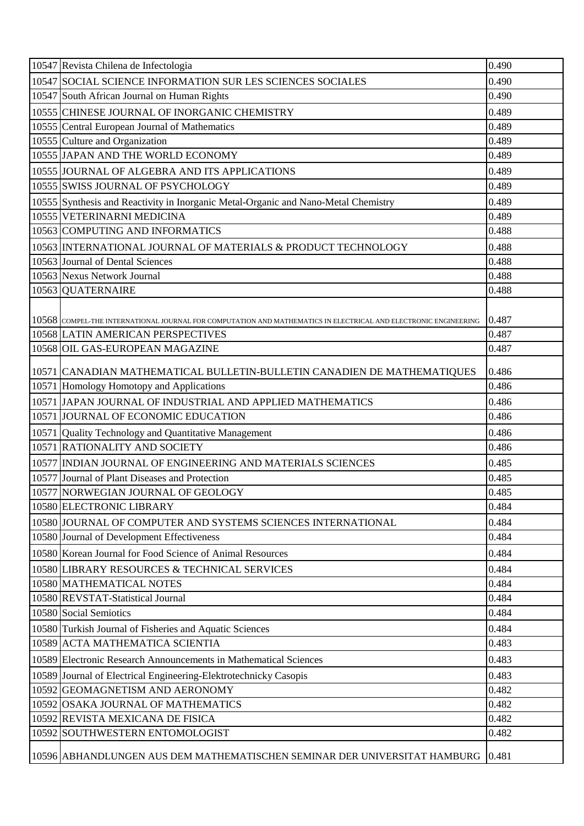| 10547 Revista Chilena de Infectologia                                                                           | 0.490 |
|-----------------------------------------------------------------------------------------------------------------|-------|
| 10547 SOCIAL SCIENCE INFORMATION SUR LES SCIENCES SOCIALES                                                      | 0.490 |
| 10547 South African Journal on Human Rights                                                                     | 0.490 |
| 10555 CHINESE JOURNAL OF INORGANIC CHEMISTRY                                                                    | 0.489 |
| 10555 Central European Journal of Mathematics                                                                   | 0.489 |
| 10555 Culture and Organization                                                                                  | 0.489 |
| 10555 JAPAN AND THE WORLD ECONOMY                                                                               | 0.489 |
| 10555 JJOURNAL OF ALGEBRA AND ITS APPLICATIONS                                                                  | 0.489 |
| 10555 SWISS JOURNAL OF PSYCHOLOGY                                                                               | 0.489 |
| 10555 Synthesis and Reactivity in Inorganic Metal-Organic and Nano-Metal Chemistry                              | 0.489 |
| 10555 VETERINARNI MEDICINA                                                                                      | 0.489 |
| 10563 COMPUTING AND INFORMATICS                                                                                 | 0.488 |
| 10563 INTERNATIONAL JOURNAL OF MATERIALS & PRODUCT TECHNOLOGY                                                   | 0.488 |
| 10563 Journal of Dental Sciences                                                                                | 0.488 |
| 10563 Nexus Network Journal                                                                                     | 0.488 |
| 10563 QUATERNAIRE                                                                                               | 0.488 |
|                                                                                                                 |       |
| 10568 COMPEL-THE INTERNATIONAL JOURNAL FOR COMPUTATION AND MATHEMATICS IN ELECTRICAL AND ELECTRONIC ENGINEERING | 0.487 |
| 10568 LATIN AMERICAN PERSPECTIVES                                                                               | 0.487 |
| 10568 OIL GAS-EUROPEAN MAGAZINE                                                                                 | 0.487 |
| 10571 CANADIAN MATHEMATICAL BULLETIN-BULLETIN CANADIEN DE MATHEMATIQUES                                         | 0.486 |
| 10571 Homology Homotopy and Applications                                                                        | 0.486 |
| 10571 JAPAN JOURNAL OF INDUSTRIAL AND APPLIED MATHEMATICS                                                       | 0.486 |
| 10571 JOURNAL OF ECONOMIC EDUCATION                                                                             | 0.486 |
| 10571 Quality Technology and Quantitative Management                                                            | 0.486 |
| 10571 RATIONALITY AND SOCIETY                                                                                   | 0.486 |
| 10577 INDIAN JOURNAL OF ENGINEERING AND MATERIALS SCIENCES                                                      | 0.485 |
| 10577 Journal of Plant Diseases and Protection                                                                  | 0.485 |
| 10577 NORWEGIAN JOURNAL OF GEOLOGY                                                                              | 0.485 |
| 10580 ELECTRONIC LIBRARY                                                                                        | 0.484 |
| 10580 JJOURNAL OF COMPUTER AND SYSTEMS SCIENCES INTERNATIONAL                                                   | 0.484 |
| 10580 Journal of Development Effectiveness                                                                      | 0.484 |
| 10580 Korean Journal for Food Science of Animal Resources                                                       | 0.484 |
| 10580 LIBRARY RESOURCES & TECHNICAL SERVICES                                                                    | 0.484 |
| 10580 MATHEMATICAL NOTES                                                                                        | 0.484 |
| 10580 REVSTAT-Statistical Journal                                                                               | 0.484 |
| 10580 Social Semiotics                                                                                          | 0.484 |
| 10580 Turkish Journal of Fisheries and Aquatic Sciences                                                         | 0.484 |
| 10589 ACTA MATHEMATICA SCIENTIA                                                                                 | 0.483 |
| 10589 Electronic Research Announcements in Mathematical Sciences                                                | 0.483 |
| 10589 Journal of Electrical Engineering-Elektrotechnicky Casopis                                                | 0.483 |
| 10592 GEOMAGNETISM AND AERONOMY                                                                                 | 0.482 |
| 10592 OSAKA JOURNAL OF MATHEMATICS                                                                              | 0.482 |
| 10592 REVISTA MEXICANA DE FISICA                                                                                | 0.482 |
| 10592 SOUTHWESTERN ENTOMOLOGIST                                                                                 | 0.482 |
| 10596 ABHANDLUNGEN AUS DEM MATHEMATISCHEN SEMINAR DER UNIVERSITAT HAMBURG                                       | 0.481 |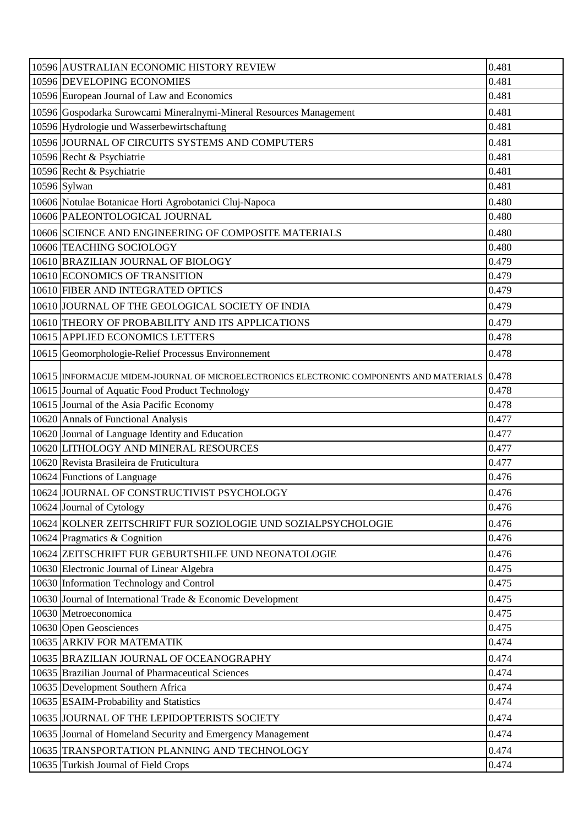| 10596 AUSTRALIAN ECONOMIC HISTORY REVIEW                                                     | 0.481 |
|----------------------------------------------------------------------------------------------|-------|
| 10596 DEVELOPING ECONOMIES                                                                   | 0.481 |
| 10596 European Journal of Law and Economics                                                  | 0.481 |
| 10596 Gospodarka Surowcami Mineralnymi-Mineral Resources Management                          | 0.481 |
| 10596 Hydrologie und Wasserbewirtschaftung                                                   | 0.481 |
| 10596 JOURNAL OF CIRCUITS SYSTEMS AND COMPUTERS                                              | 0.481 |
| 10596 Recht & Psychiatrie                                                                    | 0.481 |
| 10596 Recht & Psychiatrie                                                                    | 0.481 |
| 10596 Sylwan                                                                                 | 0.481 |
| 10606 Notulae Botanicae Horti Agrobotanici Cluj-Napoca                                       | 0.480 |
| 10606 PALEONTOLOGICAL JOURNAL                                                                | 0.480 |
| 10606 SCIENCE AND ENGINEERING OF COMPOSITE MATERIALS                                         | 0.480 |
| 10606 TEACHING SOCIOLOGY                                                                     | 0.480 |
| 10610 BRAZILIAN JOURNAL OF BIOLOGY                                                           | 0.479 |
| 10610 ECONOMICS OF TRANSITION                                                                | 0.479 |
| 10610 FIBER AND INTEGRATED OPTICS                                                            | 0.479 |
| 10610 JOURNAL OF THE GEOLOGICAL SOCIETY OF INDIA                                             | 0.479 |
| 10610 THEORY OF PROBABILITY AND ITS APPLICATIONS                                             | 0.479 |
| 10615 APPLIED ECONOMICS LETTERS                                                              | 0.478 |
| 10615 Geomorphologie-Relief Processus Environnement                                          | 0.478 |
| 10615 INFORMACUE MIDEM-JOURNAL OF MICROELECTRONICS ELECTRONIC COMPONENTS AND MATERIALS 0.478 |       |
| 10615 Journal of Aquatic Food Product Technology                                             | 0.478 |
| 10615 Journal of the Asia Pacific Economy                                                    | 0.478 |
| 10620 Annals of Functional Analysis                                                          | 0.477 |
| 10620 Journal of Language Identity and Education                                             | 0.477 |
| 10620 LITHOLOGY AND MINERAL RESOURCES                                                        | 0.477 |
| 10620 Revista Brasileira de Fruticultura                                                     | 0.477 |
| 10624 Functions of Language                                                                  | 0.476 |
| 10624 JOURNAL OF CONSTRUCTIVIST PSYCHOLOGY                                                   | 0.476 |
| 10624 Journal of Cytology                                                                    | 0.476 |
| 10624 KOLNER ZEITSCHRIFT FUR SOZIOLOGIE UND SOZIALPSYCHOLOGIE                                | 0.476 |
| 10624 Pragmatics & Cognition                                                                 | 0.476 |
| 10624 ZEITSCHRIFT FUR GEBURTSHILFE UND NEONATOLOGIE                                          | 0.476 |
| 10630 Electronic Journal of Linear Algebra                                                   | 0.475 |
| 10630 Information Technology and Control                                                     | 0.475 |
| 10630 Journal of International Trade & Economic Development                                  | 0.475 |
| 10630 Metroeconomica                                                                         | 0.475 |
| 10630 Open Geosciences                                                                       | 0.475 |
| 10635 ARKIV FOR MATEMATIK                                                                    | 0.474 |
| 10635 BRAZILIAN JOURNAL OF OCEANOGRAPHY                                                      | 0.474 |
| 10635 Brazilian Journal of Pharmaceutical Sciences                                           | 0.474 |
| 10635 Development Southern Africa                                                            | 0.474 |
| 10635 ESAIM-Probability and Statistics                                                       | 0.474 |
| 10635 JOURNAL OF THE LEPIDOPTERISTS SOCIETY                                                  | 0.474 |
| 10635 Journal of Homeland Security and Emergency Management                                  | 0.474 |
| 10635 TRANSPORTATION PLANNING AND TECHNOLOGY                                                 | 0.474 |
| 10635 Turkish Journal of Field Crops                                                         | 0.474 |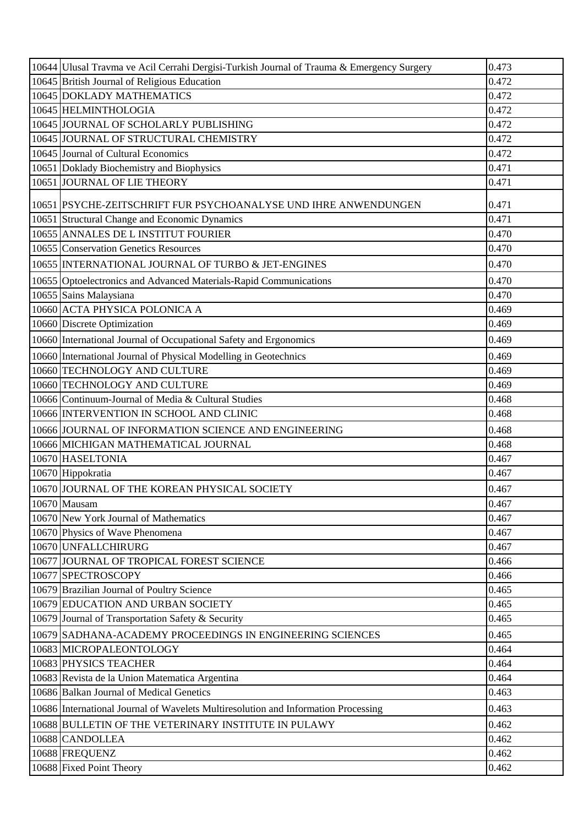| 10644 Ulusal Travma ve Acil Cerrahi Dergisi-Turkish Journal of Trauma & Emergency Surgery | 0.473 |
|-------------------------------------------------------------------------------------------|-------|
| 10645 British Journal of Religious Education                                              | 0.472 |
| 10645 DOKLADY MATHEMATICS                                                                 | 0.472 |
| 10645 HELMINTHOLOGIA                                                                      | 0.472 |
| 10645 JOURNAL OF SCHOLARLY PUBLISHING                                                     | 0.472 |
| 10645 JOURNAL OF STRUCTURAL CHEMISTRY                                                     | 0.472 |
| 10645 Journal of Cultural Economics                                                       | 0.472 |
| 10651 Doklady Biochemistry and Biophysics                                                 | 0.471 |
| 10651 JOURNAL OF LIE THEORY                                                               | 0.471 |
| 10651 PSYCHE-ZEITSCHRIFT FUR PSYCHOANALYSE UND IHRE ANWENDUNGEN                           | 0.471 |
| 10651 Structural Change and Economic Dynamics                                             | 0.471 |
| 10655 ANNALES DE L INSTITUT FOURIER                                                       | 0.470 |
| 10655 Conservation Genetics Resources                                                     | 0.470 |
| 10655   INTERNATIONAL JOURNAL OF TURBO & JET-ENGINES                                      | 0.470 |
| 10655 Optoelectronics and Advanced Materials-Rapid Communications                         | 0.470 |
| 10655 Sains Malaysiana                                                                    | 0.470 |
| 10660 ACTA PHYSICA POLONICA A                                                             | 0.469 |
| 10660 Discrete Optimization                                                               | 0.469 |
| 10660 International Journal of Occupational Safety and Ergonomics                         | 0.469 |
| 10660 International Journal of Physical Modelling in Geotechnics                          | 0.469 |
| 10660 TECHNOLOGY AND CULTURE                                                              | 0.469 |
| 10660 TECHNOLOGY AND CULTURE                                                              | 0.469 |
| 10666 Continuum-Journal of Media & Cultural Studies                                       | 0.468 |
| 10666 INTERVENTION IN SCHOOL AND CLINIC                                                   | 0.468 |
| 10666 JOURNAL OF INFORMATION SCIENCE AND ENGINEERING                                      | 0.468 |
| 10666 MICHIGAN MATHEMATICAL JOURNAL                                                       | 0.468 |
| 10670 HASELTONIA                                                                          | 0.467 |
| 10670 Hippokratia                                                                         | 0.467 |
| 10670 JOURNAL OF THE KOREAN PHYSICAL SOCIETY                                              | 0.467 |
| 10670 Mausam                                                                              | 0.467 |
| 10670 New York Journal of Mathematics                                                     | 0.467 |
| 10670 Physics of Wave Phenomena                                                           | 0.467 |
| 10670 UNFALLCHIRURG                                                                       | 0.467 |
| 10677 JOURNAL OF TROPICAL FOREST SCIENCE                                                  | 0.466 |
| 10677 SPECTROSCOPY                                                                        | 0.466 |
| 10679 Brazilian Journal of Poultry Science                                                | 0.465 |
| 10679 EDUCATION AND URBAN SOCIETY                                                         | 0.465 |
| 10679 Journal of Transportation Safety & Security                                         | 0.465 |
| 10679 SADHANA-ACADEMY PROCEEDINGS IN ENGINEERING SCIENCES                                 | 0.465 |
| 10683 MICROPALEONTOLOGY                                                                   | 0.464 |
| 10683 PHYSICS TEACHER                                                                     | 0.464 |
| 10683 Revista de la Union Matematica Argentina                                            | 0.464 |
| 10686 Balkan Journal of Medical Genetics                                                  | 0.463 |
| 10686 International Journal of Wavelets Multiresolution and Information Processing        | 0.463 |
| 10688 BULLETIN OF THE VETERINARY INSTITUTE IN PULAWY                                      | 0.462 |
| 10688 CANDOLLEA                                                                           | 0.462 |
| 10688 FREQUENZ                                                                            | 0.462 |
| 10688 Fixed Point Theory                                                                  | 0.462 |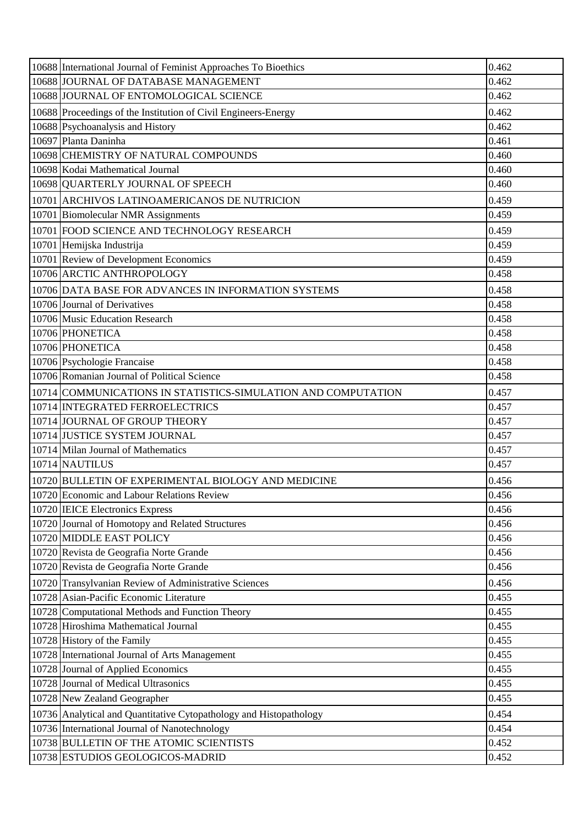| 10688 International Journal of Feminist Approaches To Bioethics    | 0.462 |
|--------------------------------------------------------------------|-------|
| 10688 JOURNAL OF DATABASE MANAGEMENT                               | 0.462 |
| 10688 JOURNAL OF ENTOMOLOGICAL SCIENCE                             | 0.462 |
| 10688 Proceedings of the Institution of Civil Engineers-Energy     | 0.462 |
| 10688 Psychoanalysis and History                                   | 0.462 |
| 10697 Planta Daninha                                               | 0.461 |
| 10698 CHEMISTRY OF NATURAL COMPOUNDS                               | 0.460 |
| 10698 Kodai Mathematical Journal                                   | 0.460 |
| 10698 QUARTERLY JOURNAL OF SPEECH                                  | 0.460 |
| 10701 ARCHIVOS LATINOAMERICANOS DE NUTRICION                       | 0.459 |
| 10701 Biomolecular NMR Assignments                                 | 0.459 |
| 10701 FOOD SCIENCE AND TECHNOLOGY RESEARCH                         | 0.459 |
| 10701 Hemijska Industrija                                          | 0.459 |
| 10701 Review of Development Economics                              | 0.459 |
| 10706 ARCTIC ANTHROPOLOGY                                          | 0.458 |
| 10706 DATA BASE FOR ADVANCES IN INFORMATION SYSTEMS                | 0.458 |
| 10706 Journal of Derivatives                                       | 0.458 |
| 10706 Music Education Research                                     | 0.458 |
| 10706 PHONETICA                                                    | 0.458 |
| 10706 PHONETICA                                                    | 0.458 |
| 10706 Psychologie Francaise                                        | 0.458 |
| 10706 Romanian Journal of Political Science                        | 0.458 |
| 10714 COMMUNICATIONS IN STATISTICS-SIMULATION AND COMPUTATION      | 0.457 |
| 10714 INTEGRATED FERROELECTRICS                                    | 0.457 |
| 10714 JOURNAL OF GROUP THEORY                                      | 0.457 |
| 10714 JUSTICE SYSTEM JOURNAL                                       | 0.457 |
| 10714 Milan Journal of Mathematics                                 | 0.457 |
| 10714 NAUTILUS                                                     | 0.457 |
| 10720 BULLETIN OF EXPERIMENTAL BIOLOGY AND MEDICINE                | 0.456 |
| 10720 Economic and Labour Relations Review                         | 0.456 |
| 10720 IEICE Electronics Express                                    | 0.456 |
| 10720 Journal of Homotopy and Related Structures                   | 0.456 |
| 10720 MIDDLE EAST POLICY                                           | 0.456 |
| 10720 Revista de Geografia Norte Grande                            | 0.456 |
| 10720 Revista de Geografia Norte Grande                            | 0.456 |
| 10720 Transylvanian Review of Administrative Sciences              | 0.456 |
| 10728 Asian-Pacific Economic Literature                            | 0.455 |
| 10728 Computational Methods and Function Theory                    | 0.455 |
| 10728 Hiroshima Mathematical Journal                               | 0.455 |
| 10728 History of the Family                                        | 0.455 |
| 10728 International Journal of Arts Management                     | 0.455 |
| 10728 Journal of Applied Economics                                 | 0.455 |
| 10728 Journal of Medical Ultrasonics                               | 0.455 |
| 10728 New Zealand Geographer                                       | 0.455 |
| 10736 Analytical and Quantitative Cytopathology and Histopathology | 0.454 |
| 10736 International Journal of Nanotechnology                      | 0.454 |
| 10738 BULLETIN OF THE ATOMIC SCIENTISTS                            | 0.452 |
| 10738 ESTUDIOS GEOLOGICOS-MADRID                                   | 0.452 |
|                                                                    |       |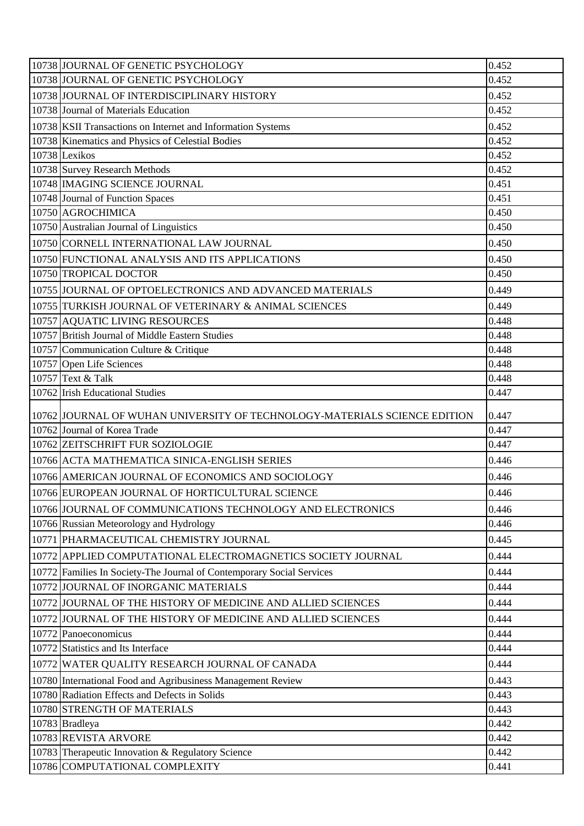| 10738 JOURNAL OF GENETIC PSYCHOLOGY                                        | 0.452 |
|----------------------------------------------------------------------------|-------|
| 10738 JOURNAL OF GENETIC PSYCHOLOGY                                        | 0.452 |
| 10738 JOURNAL OF INTERDISCIPLINARY HISTORY                                 | 0.452 |
| 10738 Journal of Materials Education                                       | 0.452 |
| 10738 KSII Transactions on Internet and Information Systems                | 0.452 |
| 10738 Kinematics and Physics of Celestial Bodies                           | 0.452 |
| 10738 Lexikos                                                              | 0.452 |
| 10738 Survey Research Methods                                              | 0.452 |
| 10748 MAGING SCIENCE JOURNAL                                               | 0.451 |
| 10748 Journal of Function Spaces                                           | 0.451 |
| 10750 AGROCHIMICA                                                          | 0.450 |
| 10750 Australian Journal of Linguistics                                    | 0.450 |
| 10750 CORNELL INTERNATIONAL LAW JOURNAL                                    | 0.450 |
| 10750 FUNCTIONAL ANALYSIS AND ITS APPLICATIONS                             | 0.450 |
| 10750 TROPICAL DOCTOR                                                      | 0.450 |
| 10755 JOURNAL OF OPTOELECTRONICS AND ADVANCED MATERIALS                    | 0.449 |
| 10755 TURKISH JOURNAL OF VETERINARY & ANIMAL SCIENCES                      | 0.449 |
| 10757 AQUATIC LIVING RESOURCES                                             | 0.448 |
| 10757 British Journal of Middle Eastern Studies                            | 0.448 |
| 10757 Communication Culture & Critique                                     | 0.448 |
| 10757 Open Life Sciences                                                   | 0.448 |
| 10757 Text & Talk                                                          | 0.448 |
| 10762 Irish Educational Studies                                            | 0.447 |
| 10762 JJOURNAL OF WUHAN UNIVERSITY OF TECHNOLOGY-MATERIALS SCIENCE EDITION | 0.447 |
| 10762 Journal of Korea Trade                                               | 0.447 |
| 10762 ZEITSCHRIFT FUR SOZIOLOGIE                                           | 0.447 |
| 10766 ACTA MATHEMATICA SINICA-ENGLISH SERIES                               | 0.446 |
| 10766 AMERICAN JOURNAL OF ECONOMICS AND SOCIOLOGY                          | 0.446 |
| 10766 EUROPEAN JOURNAL OF HORTICULTURAL SCIENCE                            | 0.446 |
| 10766 JOURNAL OF COMMUNICATIONS TECHNOLOGY AND ELECTRONICS                 | 0.446 |
| 10766 Russian Meteorology and Hydrology                                    | 0.446 |
| 10771 PHARMACEUTICAL CHEMISTRY JOURNAL                                     | 0.445 |
| 10772 APPLIED COMPUTATIONAL ELECTROMAGNETICS SOCIETY JOURNAL               | 0.444 |
| 10772 Families In Society-The Journal of Contemporary Social Services      | 0.444 |
| 10772 JOURNAL OF INORGANIC MATERIALS                                       | 0.444 |
| 10772 JOURNAL OF THE HISTORY OF MEDICINE AND ALLIED SCIENCES               | 0.444 |
| 10772 JOURNAL OF THE HISTORY OF MEDICINE AND ALLIED SCIENCES               | 0.444 |
| 10772 Panoeconomicus                                                       | 0.444 |
| 10772 Statistics and Its Interface                                         | 0.444 |
| 10772 WATER QUALITY RESEARCH JOURNAL OF CANADA                             | 0.444 |
| 10780 International Food and Agribusiness Management Review                | 0.443 |
| 10780 Radiation Effects and Defects in Solids                              | 0.443 |
| 10780 STRENGTH OF MATERIALS                                                | 0.443 |
| 10783 Bradleya                                                             | 0.442 |
| 10783 REVISTA ARVORE                                                       | 0.442 |
| 10783 Therapeutic Innovation & Regulatory Science                          | 0.442 |
| 10786 COMPUTATIONAL COMPLEXITY                                             | 0.441 |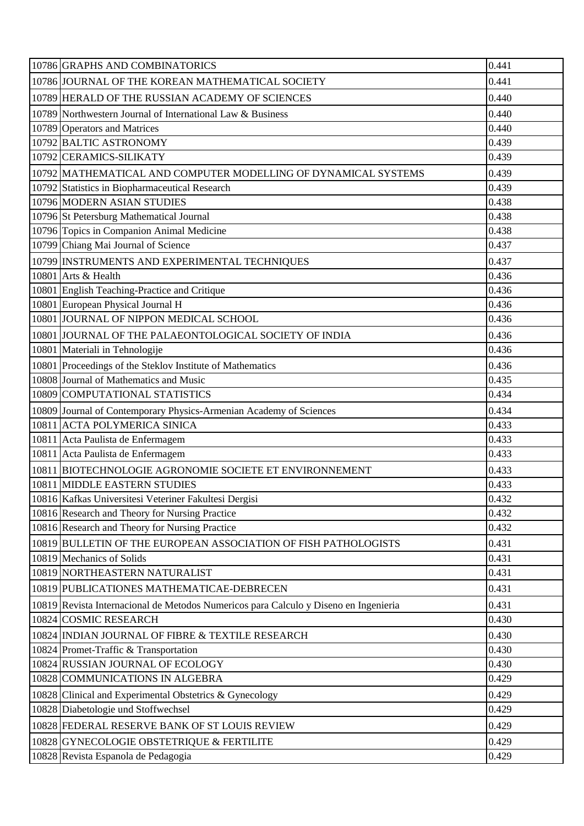| 10786 JOURNAL OF THE KOREAN MATHEMATICAL SOCIETY<br>0.441<br>0.440<br>10789 HERALD OF THE RUSSIAN ACADEMY OF SCIENCES<br>10789 Northwestern Journal of International Law & Business<br>0.440<br>10789 Operators and Matrices<br>0.440<br>10792 BALTIC ASTRONOMY<br>0.439<br>10792 CERAMICS-SILIKATY<br>0.439<br>0.439<br>10792 MATHEMATICAL AND COMPUTER MODELLING OF DYNAMICAL SYSTEMS<br>0.439<br>10792 Statistics in Biopharmaceutical Research<br>10796 MODERN ASIAN STUDIES<br>0.438<br>10796 St Petersburg Mathematical Journal<br>0.438<br>10796 Topics in Companion Animal Medicine<br>0.438<br>10799 Chiang Mai Journal of Science<br>0.437<br>0.437<br>10799 INSTRUMENTS AND EXPERIMENTAL TECHNIQUES<br>10801 Arts & Health<br>0.436<br>10801 English Teaching-Practice and Critique<br>0.436<br>10801 European Physical Journal H<br>0.436<br>10801 JOURNAL OF NIPPON MEDICAL SCHOOL<br>0.436<br>0.436<br>10801 JOURNAL OF THE PALAEONTOLOGICAL SOCIETY OF INDIA<br>0.436<br>10801 Materiali in Tehnologije<br>0.436<br>10801 Proceedings of the Steklov Institute of Mathematics<br>10808 Journal of Mathematics and Music<br>0.435<br>10809 COMPUTATIONAL STATISTICS<br>0.434<br>0.434<br>10809 Journal of Contemporary Physics-Armenian Academy of Sciences<br>10811 ACTA POLYMERICA SINICA<br>0.433<br>10811 Acta Paulista de Enfermagem<br>0.433<br>10811 Acta Paulista de Enfermagem<br>0.433<br>10811 BIOTECHNOLOGIE AGRONOMIE SOCIETE ET ENVIRONNEMENT<br>0.433<br>10811 MIDDLE EASTERN STUDIES<br>0.433<br>10816 Kafkas Universitesi Veteriner Fakultesi Dergisi<br>0.432<br>10816 Research and Theory for Nursing Practice<br>0.432<br>10816 Research and Theory for Nursing Practice<br>0.432<br>10819 BULLETIN OF THE EUROPEAN ASSOCIATION OF FISH PATHOLOGISTS<br>0.431<br>10819 Mechanics of Solids<br>0.431<br>10819 NORTHEASTERN NATURALIST<br>0.431<br>10819 PUBLICATIONES MATHEMATICAE-DEBRECEN<br>0.431<br>0.431<br>10819 Revista Internacional de Metodos Numericos para Calculo y Diseno en Ingenieria<br>10824 COSMIC RESEARCH<br>0.430<br>0.430<br>10824 INDIAN JOURNAL OF FIBRE & TEXTILE RESEARCH<br>0.430<br>10824 Promet-Traffic & Transportation<br>10824 RUSSIAN JOURNAL OF ECOLOGY<br>0.430<br>10828 COMMUNICATIONS IN ALGEBRA<br>0.429<br>0.429<br>10828 Clinical and Experimental Obstetrics & Gynecology<br>10828 Diabetologie und Stoffwechsel<br>0.429<br>10828 FEDERAL RESERVE BANK OF ST LOUIS REVIEW<br>0.429<br>0.429<br>10828 GYNECOLOGIE OBSTETRIQUE & FERTILITE<br>10828 Revista Espanola de Pedagogia<br>0.429 | 10786 GRAPHS AND COMBINATORICS | 0.441 |
|----------------------------------------------------------------------------------------------------------------------------------------------------------------------------------------------------------------------------------------------------------------------------------------------------------------------------------------------------------------------------------------------------------------------------------------------------------------------------------------------------------------------------------------------------------------------------------------------------------------------------------------------------------------------------------------------------------------------------------------------------------------------------------------------------------------------------------------------------------------------------------------------------------------------------------------------------------------------------------------------------------------------------------------------------------------------------------------------------------------------------------------------------------------------------------------------------------------------------------------------------------------------------------------------------------------------------------------------------------------------------------------------------------------------------------------------------------------------------------------------------------------------------------------------------------------------------------------------------------------------------------------------------------------------------------------------------------------------------------------------------------------------------------------------------------------------------------------------------------------------------------------------------------------------------------------------------------------------------------------------------------------------------------------------------------------------------------------------------------------------------------------------------------------------------------------------------------------------------------------------------------------------------------------------------------------------------------------------------------------------------------------------------------------------------------------------------------------------------------------------------------------------------------------------------------------------|--------------------------------|-------|
|                                                                                                                                                                                                                                                                                                                                                                                                                                                                                                                                                                                                                                                                                                                                                                                                                                                                                                                                                                                                                                                                                                                                                                                                                                                                                                                                                                                                                                                                                                                                                                                                                                                                                                                                                                                                                                                                                                                                                                                                                                                                                                                                                                                                                                                                                                                                                                                                                                                                                                                                                                      |                                |       |
|                                                                                                                                                                                                                                                                                                                                                                                                                                                                                                                                                                                                                                                                                                                                                                                                                                                                                                                                                                                                                                                                                                                                                                                                                                                                                                                                                                                                                                                                                                                                                                                                                                                                                                                                                                                                                                                                                                                                                                                                                                                                                                                                                                                                                                                                                                                                                                                                                                                                                                                                                                      |                                |       |
|                                                                                                                                                                                                                                                                                                                                                                                                                                                                                                                                                                                                                                                                                                                                                                                                                                                                                                                                                                                                                                                                                                                                                                                                                                                                                                                                                                                                                                                                                                                                                                                                                                                                                                                                                                                                                                                                                                                                                                                                                                                                                                                                                                                                                                                                                                                                                                                                                                                                                                                                                                      |                                |       |
|                                                                                                                                                                                                                                                                                                                                                                                                                                                                                                                                                                                                                                                                                                                                                                                                                                                                                                                                                                                                                                                                                                                                                                                                                                                                                                                                                                                                                                                                                                                                                                                                                                                                                                                                                                                                                                                                                                                                                                                                                                                                                                                                                                                                                                                                                                                                                                                                                                                                                                                                                                      |                                |       |
|                                                                                                                                                                                                                                                                                                                                                                                                                                                                                                                                                                                                                                                                                                                                                                                                                                                                                                                                                                                                                                                                                                                                                                                                                                                                                                                                                                                                                                                                                                                                                                                                                                                                                                                                                                                                                                                                                                                                                                                                                                                                                                                                                                                                                                                                                                                                                                                                                                                                                                                                                                      |                                |       |
|                                                                                                                                                                                                                                                                                                                                                                                                                                                                                                                                                                                                                                                                                                                                                                                                                                                                                                                                                                                                                                                                                                                                                                                                                                                                                                                                                                                                                                                                                                                                                                                                                                                                                                                                                                                                                                                                                                                                                                                                                                                                                                                                                                                                                                                                                                                                                                                                                                                                                                                                                                      |                                |       |
|                                                                                                                                                                                                                                                                                                                                                                                                                                                                                                                                                                                                                                                                                                                                                                                                                                                                                                                                                                                                                                                                                                                                                                                                                                                                                                                                                                                                                                                                                                                                                                                                                                                                                                                                                                                                                                                                                                                                                                                                                                                                                                                                                                                                                                                                                                                                                                                                                                                                                                                                                                      |                                |       |
|                                                                                                                                                                                                                                                                                                                                                                                                                                                                                                                                                                                                                                                                                                                                                                                                                                                                                                                                                                                                                                                                                                                                                                                                                                                                                                                                                                                                                                                                                                                                                                                                                                                                                                                                                                                                                                                                                                                                                                                                                                                                                                                                                                                                                                                                                                                                                                                                                                                                                                                                                                      |                                |       |
|                                                                                                                                                                                                                                                                                                                                                                                                                                                                                                                                                                                                                                                                                                                                                                                                                                                                                                                                                                                                                                                                                                                                                                                                                                                                                                                                                                                                                                                                                                                                                                                                                                                                                                                                                                                                                                                                                                                                                                                                                                                                                                                                                                                                                                                                                                                                                                                                                                                                                                                                                                      |                                |       |
|                                                                                                                                                                                                                                                                                                                                                                                                                                                                                                                                                                                                                                                                                                                                                                                                                                                                                                                                                                                                                                                                                                                                                                                                                                                                                                                                                                                                                                                                                                                                                                                                                                                                                                                                                                                                                                                                                                                                                                                                                                                                                                                                                                                                                                                                                                                                                                                                                                                                                                                                                                      |                                |       |
|                                                                                                                                                                                                                                                                                                                                                                                                                                                                                                                                                                                                                                                                                                                                                                                                                                                                                                                                                                                                                                                                                                                                                                                                                                                                                                                                                                                                                                                                                                                                                                                                                                                                                                                                                                                                                                                                                                                                                                                                                                                                                                                                                                                                                                                                                                                                                                                                                                                                                                                                                                      |                                |       |
|                                                                                                                                                                                                                                                                                                                                                                                                                                                                                                                                                                                                                                                                                                                                                                                                                                                                                                                                                                                                                                                                                                                                                                                                                                                                                                                                                                                                                                                                                                                                                                                                                                                                                                                                                                                                                                                                                                                                                                                                                                                                                                                                                                                                                                                                                                                                                                                                                                                                                                                                                                      |                                |       |
|                                                                                                                                                                                                                                                                                                                                                                                                                                                                                                                                                                                                                                                                                                                                                                                                                                                                                                                                                                                                                                                                                                                                                                                                                                                                                                                                                                                                                                                                                                                                                                                                                                                                                                                                                                                                                                                                                                                                                                                                                                                                                                                                                                                                                                                                                                                                                                                                                                                                                                                                                                      |                                |       |
|                                                                                                                                                                                                                                                                                                                                                                                                                                                                                                                                                                                                                                                                                                                                                                                                                                                                                                                                                                                                                                                                                                                                                                                                                                                                                                                                                                                                                                                                                                                                                                                                                                                                                                                                                                                                                                                                                                                                                                                                                                                                                                                                                                                                                                                                                                                                                                                                                                                                                                                                                                      |                                |       |
|                                                                                                                                                                                                                                                                                                                                                                                                                                                                                                                                                                                                                                                                                                                                                                                                                                                                                                                                                                                                                                                                                                                                                                                                                                                                                                                                                                                                                                                                                                                                                                                                                                                                                                                                                                                                                                                                                                                                                                                                                                                                                                                                                                                                                                                                                                                                                                                                                                                                                                                                                                      |                                |       |
|                                                                                                                                                                                                                                                                                                                                                                                                                                                                                                                                                                                                                                                                                                                                                                                                                                                                                                                                                                                                                                                                                                                                                                                                                                                                                                                                                                                                                                                                                                                                                                                                                                                                                                                                                                                                                                                                                                                                                                                                                                                                                                                                                                                                                                                                                                                                                                                                                                                                                                                                                                      |                                |       |
|                                                                                                                                                                                                                                                                                                                                                                                                                                                                                                                                                                                                                                                                                                                                                                                                                                                                                                                                                                                                                                                                                                                                                                                                                                                                                                                                                                                                                                                                                                                                                                                                                                                                                                                                                                                                                                                                                                                                                                                                                                                                                                                                                                                                                                                                                                                                                                                                                                                                                                                                                                      |                                |       |
|                                                                                                                                                                                                                                                                                                                                                                                                                                                                                                                                                                                                                                                                                                                                                                                                                                                                                                                                                                                                                                                                                                                                                                                                                                                                                                                                                                                                                                                                                                                                                                                                                                                                                                                                                                                                                                                                                                                                                                                                                                                                                                                                                                                                                                                                                                                                                                                                                                                                                                                                                                      |                                |       |
|                                                                                                                                                                                                                                                                                                                                                                                                                                                                                                                                                                                                                                                                                                                                                                                                                                                                                                                                                                                                                                                                                                                                                                                                                                                                                                                                                                                                                                                                                                                                                                                                                                                                                                                                                                                                                                                                                                                                                                                                                                                                                                                                                                                                                                                                                                                                                                                                                                                                                                                                                                      |                                |       |
|                                                                                                                                                                                                                                                                                                                                                                                                                                                                                                                                                                                                                                                                                                                                                                                                                                                                                                                                                                                                                                                                                                                                                                                                                                                                                                                                                                                                                                                                                                                                                                                                                                                                                                                                                                                                                                                                                                                                                                                                                                                                                                                                                                                                                                                                                                                                                                                                                                                                                                                                                                      |                                |       |
|                                                                                                                                                                                                                                                                                                                                                                                                                                                                                                                                                                                                                                                                                                                                                                                                                                                                                                                                                                                                                                                                                                                                                                                                                                                                                                                                                                                                                                                                                                                                                                                                                                                                                                                                                                                                                                                                                                                                                                                                                                                                                                                                                                                                                                                                                                                                                                                                                                                                                                                                                                      |                                |       |
|                                                                                                                                                                                                                                                                                                                                                                                                                                                                                                                                                                                                                                                                                                                                                                                                                                                                                                                                                                                                                                                                                                                                                                                                                                                                                                                                                                                                                                                                                                                                                                                                                                                                                                                                                                                                                                                                                                                                                                                                                                                                                                                                                                                                                                                                                                                                                                                                                                                                                                                                                                      |                                |       |
|                                                                                                                                                                                                                                                                                                                                                                                                                                                                                                                                                                                                                                                                                                                                                                                                                                                                                                                                                                                                                                                                                                                                                                                                                                                                                                                                                                                                                                                                                                                                                                                                                                                                                                                                                                                                                                                                                                                                                                                                                                                                                                                                                                                                                                                                                                                                                                                                                                                                                                                                                                      |                                |       |
|                                                                                                                                                                                                                                                                                                                                                                                                                                                                                                                                                                                                                                                                                                                                                                                                                                                                                                                                                                                                                                                                                                                                                                                                                                                                                                                                                                                                                                                                                                                                                                                                                                                                                                                                                                                                                                                                                                                                                                                                                                                                                                                                                                                                                                                                                                                                                                                                                                                                                                                                                                      |                                |       |
|                                                                                                                                                                                                                                                                                                                                                                                                                                                                                                                                                                                                                                                                                                                                                                                                                                                                                                                                                                                                                                                                                                                                                                                                                                                                                                                                                                                                                                                                                                                                                                                                                                                                                                                                                                                                                                                                                                                                                                                                                                                                                                                                                                                                                                                                                                                                                                                                                                                                                                                                                                      |                                |       |
|                                                                                                                                                                                                                                                                                                                                                                                                                                                                                                                                                                                                                                                                                                                                                                                                                                                                                                                                                                                                                                                                                                                                                                                                                                                                                                                                                                                                                                                                                                                                                                                                                                                                                                                                                                                                                                                                                                                                                                                                                                                                                                                                                                                                                                                                                                                                                                                                                                                                                                                                                                      |                                |       |
|                                                                                                                                                                                                                                                                                                                                                                                                                                                                                                                                                                                                                                                                                                                                                                                                                                                                                                                                                                                                                                                                                                                                                                                                                                                                                                                                                                                                                                                                                                                                                                                                                                                                                                                                                                                                                                                                                                                                                                                                                                                                                                                                                                                                                                                                                                                                                                                                                                                                                                                                                                      |                                |       |
|                                                                                                                                                                                                                                                                                                                                                                                                                                                                                                                                                                                                                                                                                                                                                                                                                                                                                                                                                                                                                                                                                                                                                                                                                                                                                                                                                                                                                                                                                                                                                                                                                                                                                                                                                                                                                                                                                                                                                                                                                                                                                                                                                                                                                                                                                                                                                                                                                                                                                                                                                                      |                                |       |
|                                                                                                                                                                                                                                                                                                                                                                                                                                                                                                                                                                                                                                                                                                                                                                                                                                                                                                                                                                                                                                                                                                                                                                                                                                                                                                                                                                                                                                                                                                                                                                                                                                                                                                                                                                                                                                                                                                                                                                                                                                                                                                                                                                                                                                                                                                                                                                                                                                                                                                                                                                      |                                |       |
|                                                                                                                                                                                                                                                                                                                                                                                                                                                                                                                                                                                                                                                                                                                                                                                                                                                                                                                                                                                                                                                                                                                                                                                                                                                                                                                                                                                                                                                                                                                                                                                                                                                                                                                                                                                                                                                                                                                                                                                                                                                                                                                                                                                                                                                                                                                                                                                                                                                                                                                                                                      |                                |       |
|                                                                                                                                                                                                                                                                                                                                                                                                                                                                                                                                                                                                                                                                                                                                                                                                                                                                                                                                                                                                                                                                                                                                                                                                                                                                                                                                                                                                                                                                                                                                                                                                                                                                                                                                                                                                                                                                                                                                                                                                                                                                                                                                                                                                                                                                                                                                                                                                                                                                                                                                                                      |                                |       |
|                                                                                                                                                                                                                                                                                                                                                                                                                                                                                                                                                                                                                                                                                                                                                                                                                                                                                                                                                                                                                                                                                                                                                                                                                                                                                                                                                                                                                                                                                                                                                                                                                                                                                                                                                                                                                                                                                                                                                                                                                                                                                                                                                                                                                                                                                                                                                                                                                                                                                                                                                                      |                                |       |
|                                                                                                                                                                                                                                                                                                                                                                                                                                                                                                                                                                                                                                                                                                                                                                                                                                                                                                                                                                                                                                                                                                                                                                                                                                                                                                                                                                                                                                                                                                                                                                                                                                                                                                                                                                                                                                                                                                                                                                                                                                                                                                                                                                                                                                                                                                                                                                                                                                                                                                                                                                      |                                |       |
|                                                                                                                                                                                                                                                                                                                                                                                                                                                                                                                                                                                                                                                                                                                                                                                                                                                                                                                                                                                                                                                                                                                                                                                                                                                                                                                                                                                                                                                                                                                                                                                                                                                                                                                                                                                                                                                                                                                                                                                                                                                                                                                                                                                                                                                                                                                                                                                                                                                                                                                                                                      |                                |       |
|                                                                                                                                                                                                                                                                                                                                                                                                                                                                                                                                                                                                                                                                                                                                                                                                                                                                                                                                                                                                                                                                                                                                                                                                                                                                                                                                                                                                                                                                                                                                                                                                                                                                                                                                                                                                                                                                                                                                                                                                                                                                                                                                                                                                                                                                                                                                                                                                                                                                                                                                                                      |                                |       |
|                                                                                                                                                                                                                                                                                                                                                                                                                                                                                                                                                                                                                                                                                                                                                                                                                                                                                                                                                                                                                                                                                                                                                                                                                                                                                                                                                                                                                                                                                                                                                                                                                                                                                                                                                                                                                                                                                                                                                                                                                                                                                                                                                                                                                                                                                                                                                                                                                                                                                                                                                                      |                                |       |
|                                                                                                                                                                                                                                                                                                                                                                                                                                                                                                                                                                                                                                                                                                                                                                                                                                                                                                                                                                                                                                                                                                                                                                                                                                                                                                                                                                                                                                                                                                                                                                                                                                                                                                                                                                                                                                                                                                                                                                                                                                                                                                                                                                                                                                                                                                                                                                                                                                                                                                                                                                      |                                |       |
|                                                                                                                                                                                                                                                                                                                                                                                                                                                                                                                                                                                                                                                                                                                                                                                                                                                                                                                                                                                                                                                                                                                                                                                                                                                                                                                                                                                                                                                                                                                                                                                                                                                                                                                                                                                                                                                                                                                                                                                                                                                                                                                                                                                                                                                                                                                                                                                                                                                                                                                                                                      |                                |       |
|                                                                                                                                                                                                                                                                                                                                                                                                                                                                                                                                                                                                                                                                                                                                                                                                                                                                                                                                                                                                                                                                                                                                                                                                                                                                                                                                                                                                                                                                                                                                                                                                                                                                                                                                                                                                                                                                                                                                                                                                                                                                                                                                                                                                                                                                                                                                                                                                                                                                                                                                                                      |                                |       |
|                                                                                                                                                                                                                                                                                                                                                                                                                                                                                                                                                                                                                                                                                                                                                                                                                                                                                                                                                                                                                                                                                                                                                                                                                                                                                                                                                                                                                                                                                                                                                                                                                                                                                                                                                                                                                                                                                                                                                                                                                                                                                                                                                                                                                                                                                                                                                                                                                                                                                                                                                                      |                                |       |
|                                                                                                                                                                                                                                                                                                                                                                                                                                                                                                                                                                                                                                                                                                                                                                                                                                                                                                                                                                                                                                                                                                                                                                                                                                                                                                                                                                                                                                                                                                                                                                                                                                                                                                                                                                                                                                                                                                                                                                                                                                                                                                                                                                                                                                                                                                                                                                                                                                                                                                                                                                      |                                |       |
|                                                                                                                                                                                                                                                                                                                                                                                                                                                                                                                                                                                                                                                                                                                                                                                                                                                                                                                                                                                                                                                                                                                                                                                                                                                                                                                                                                                                                                                                                                                                                                                                                                                                                                                                                                                                                                                                                                                                                                                                                                                                                                                                                                                                                                                                                                                                                                                                                                                                                                                                                                      |                                |       |
|                                                                                                                                                                                                                                                                                                                                                                                                                                                                                                                                                                                                                                                                                                                                                                                                                                                                                                                                                                                                                                                                                                                                                                                                                                                                                                                                                                                                                                                                                                                                                                                                                                                                                                                                                                                                                                                                                                                                                                                                                                                                                                                                                                                                                                                                                                                                                                                                                                                                                                                                                                      |                                |       |
|                                                                                                                                                                                                                                                                                                                                                                                                                                                                                                                                                                                                                                                                                                                                                                                                                                                                                                                                                                                                                                                                                                                                                                                                                                                                                                                                                                                                                                                                                                                                                                                                                                                                                                                                                                                                                                                                                                                                                                                                                                                                                                                                                                                                                                                                                                                                                                                                                                                                                                                                                                      |                                |       |
|                                                                                                                                                                                                                                                                                                                                                                                                                                                                                                                                                                                                                                                                                                                                                                                                                                                                                                                                                                                                                                                                                                                                                                                                                                                                                                                                                                                                                                                                                                                                                                                                                                                                                                                                                                                                                                                                                                                                                                                                                                                                                                                                                                                                                                                                                                                                                                                                                                                                                                                                                                      |                                |       |
|                                                                                                                                                                                                                                                                                                                                                                                                                                                                                                                                                                                                                                                                                                                                                                                                                                                                                                                                                                                                                                                                                                                                                                                                                                                                                                                                                                                                                                                                                                                                                                                                                                                                                                                                                                                                                                                                                                                                                                                                                                                                                                                                                                                                                                                                                                                                                                                                                                                                                                                                                                      |                                |       |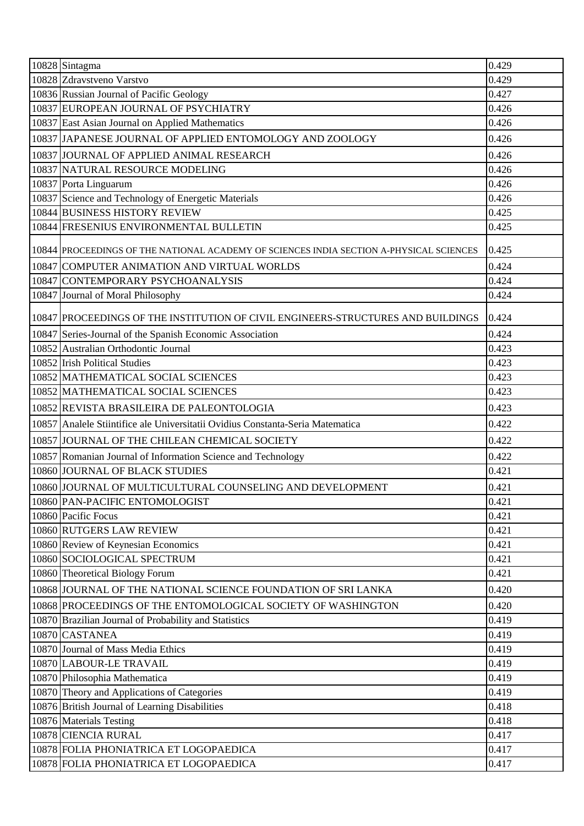| 10828 Sintagma                                                                          | 0.429 |
|-----------------------------------------------------------------------------------------|-------|
| 10828 Zdravstveno Varstvo                                                               | 0.429 |
| 10836 Russian Journal of Pacific Geology                                                | 0.427 |
| 10837 EUROPEAN JOURNAL OF PSYCHIATRY                                                    | 0.426 |
| 10837 East Asian Journal on Applied Mathematics                                         | 0.426 |
| 10837 JAPANESE JOURNAL OF APPLIED ENTOMOLOGY AND ZOOLOGY                                | 0.426 |
| 10837 JOURNAL OF APPLIED ANIMAL RESEARCH                                                | 0.426 |
| 10837 NATURAL RESOURCE MODELING                                                         | 0.426 |
| 10837 Porta Linguarum                                                                   | 0.426 |
| 10837 Science and Technology of Energetic Materials                                     | 0.426 |
| 10844 BUSINESS HISTORY REVIEW                                                           | 0.425 |
| 10844 FRESENIUS ENVIRONMENTAL BULLETIN                                                  | 0.425 |
| 10844 PROCEEDINGS OF THE NATIONAL ACADEMY OF SCIENCES INDIA SECTION A-PHYSICAL SCIENCES | 0.425 |
| 10847 COMPUTER ANIMATION AND VIRTUAL WORLDS                                             | 0.424 |
| 10847 CONTEMPORARY PSYCHOANALYSIS                                                       | 0.424 |
| 10847 Journal of Moral Philosophy                                                       | 0.424 |
| 10847 PROCEEDINGS OF THE INSTITUTION OF CIVIL ENGINEERS-STRUCTURES AND BUILDINGS        | 0.424 |
| 10847 Series-Journal of the Spanish Economic Association                                | 0.424 |
| 10852 Australian Orthodontic Journal                                                    | 0.423 |
| 10852 Irish Political Studies                                                           | 0.423 |
| 10852 MATHEMATICAL SOCIAL SCIENCES                                                      | 0.423 |
| 10852 MATHEMATICAL SOCIAL SCIENCES                                                      | 0.423 |
| 10852 REVISTA BRASILEIRA DE PALEONTOLOGIA                                               | 0.423 |
| 10857 Analele Stiintifice ale Universitatii Ovidius Constanta-Seria Matematica          | 0.422 |
| 10857 JOURNAL OF THE CHILEAN CHEMICAL SOCIETY                                           | 0.422 |
| 10857 Romanian Journal of Information Science and Technology                            | 0.422 |
| 10860 JOURNAL OF BLACK STUDIES                                                          | 0.421 |
| 10860 JOURNAL OF MULTICULTURAL COUNSELING AND DEVELOPMENT                               | 0.421 |
| 10860 PAN-PACIFIC ENTOMOLOGIST                                                          | 0.421 |
| 10860 Pacific Focus                                                                     | 0.421 |
| 10860 RUTGERS LAW REVIEW                                                                | 0.421 |
| 10860 Review of Keynesian Economics                                                     | 0.421 |
| 10860 SOCIOLOGICAL SPECTRUM                                                             | 0.421 |
| 10860 Theoretical Biology Forum                                                         | 0.421 |
| 10868 JOURNAL OF THE NATIONAL SCIENCE FOUNDATION OF SRI LANKA                           | 0.420 |
| 10868 PROCEEDINGS OF THE ENTOMOLOGICAL SOCIETY OF WASHINGTON                            | 0.420 |
| 10870 Brazilian Journal of Probability and Statistics                                   | 0.419 |
| 10870 CASTANEA                                                                          | 0.419 |
| 10870 Journal of Mass Media Ethics                                                      | 0.419 |
| 10870 LABOUR-LE TRAVAIL                                                                 | 0.419 |
| 10870 Philosophia Mathematica                                                           | 0.419 |
| 10870 Theory and Applications of Categories                                             | 0.419 |
| 10876 British Journal of Learning Disabilities                                          | 0.418 |
| 10876 Materials Testing                                                                 | 0.418 |
| 10878 CIENCIA RURAL                                                                     | 0.417 |
| 10878 FOLIA PHONIATRICA ET LOGOPAEDICA                                                  | 0.417 |
| 10878 FOLIA PHONIATRICA ET LOGOPAEDICA                                                  | 0.417 |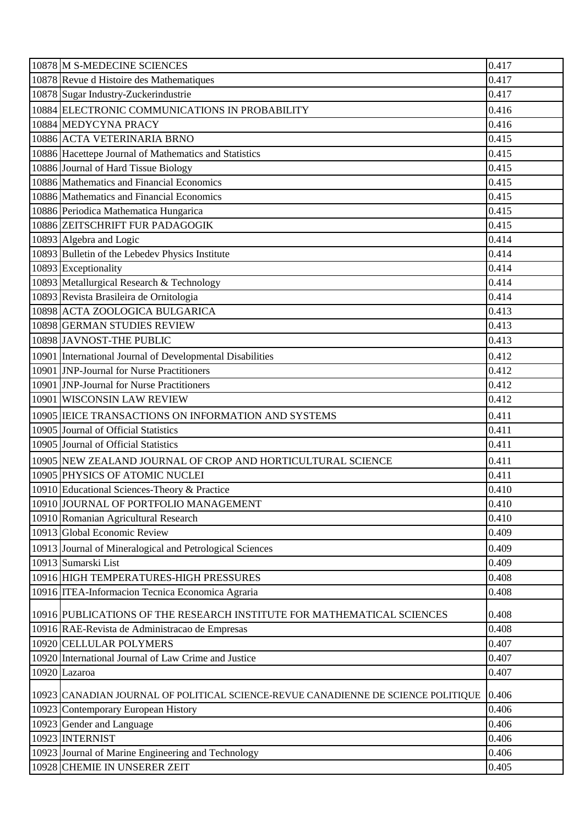| 10878 M S-MEDECINE SCIENCES                                                       | 0.417 |
|-----------------------------------------------------------------------------------|-------|
| 10878 Revue d Histoire des Mathematiques                                          | 0.417 |
| 10878 Sugar Industry-Zuckerindustrie                                              | 0.417 |
| 10884 ELECTRONIC COMMUNICATIONS IN PROBABILITY                                    | 0.416 |
| 10884 MEDYCYNA PRACY                                                              | 0.416 |
| 10886 ACTA VETERINARIA BRNO                                                       | 0.415 |
| 10886 Hacettepe Journal of Mathematics and Statistics                             | 0.415 |
| 10886 Journal of Hard Tissue Biology                                              | 0.415 |
| 10886 Mathematics and Financial Economics                                         | 0.415 |
| 10886 Mathematics and Financial Economics                                         | 0.415 |
| 10886 Periodica Mathematica Hungarica                                             | 0.415 |
| 10886 ZEITSCHRIFT FUR PADAGOGIK                                                   | 0.415 |
| 10893 Algebra and Logic                                                           | 0.414 |
| 10893 Bulletin of the Lebedev Physics Institute                                   | 0.414 |
| 10893 Exceptionality                                                              | 0.414 |
| 10893 Metallurgical Research & Technology                                         | 0.414 |
| 10893 Revista Brasileira de Ornitologia                                           | 0.414 |
| 10898 ACTA ZOOLOGICA BULGARICA                                                    | 0.413 |
| 10898 GERMAN STUDIES REVIEW                                                       | 0.413 |
| 10898 JAVNOST-THE PUBLIC                                                          | 0.413 |
| 10901 International Journal of Developmental Disabilities                         | 0.412 |
| 10901 JNP-Journal for Nurse Practitioners                                         | 0.412 |
| 10901 JNP-Journal for Nurse Practitioners                                         | 0.412 |
| 10901 WISCONSIN LAW REVIEW                                                        | 0.412 |
| 10905   IEICE TRANSACTIONS ON INFORMATION AND SYSTEMS                             | 0.411 |
| 10905 Journal of Official Statistics                                              | 0.411 |
| 10905 Journal of Official Statistics                                              | 0.411 |
| 10905 NEW ZEALAND JOURNAL OF CROP AND HORTICULTURAL SCIENCE                       | 0.411 |
| 10905 PHYSICS OF ATOMIC NUCLEI                                                    | 0.411 |
| 10910 Educational Sciences-Theory & Practice                                      | 0.410 |
| 10910 JOURNAL OF PORTFOLIO MANAGEMENT                                             | 0.410 |
| 10910 Romanian Agricultural Research                                              | 0.410 |
| 10913 Global Economic Review                                                      | 0.409 |
| 10913 Journal of Mineralogical and Petrological Sciences                          | 0.409 |
| 10913 Sumarski List                                                               | 0.409 |
| 10916 HIGH TEMPERATURES-HIGH PRESSURES                                            | 0.408 |
| 10916 ITEA-Informacion Tecnica Economica Agraria                                  | 0.408 |
| 10916 PUBLICATIONS OF THE RESEARCH INSTITUTE FOR MATHEMATICAL SCIENCES            | 0.408 |
| 10916 RAE-Revista de Administracao de Empresas                                    | 0.408 |
| 10920 CELLULAR POLYMERS                                                           | 0.407 |
| 10920 International Journal of Law Crime and Justice                              | 0.407 |
| 10920 Lazaroa                                                                     | 0.407 |
| 10923 CANADIAN JOURNAL OF POLITICAL SCIENCE-REVUE CANADIENNE DE SCIENCE POLITIQUE | 0.406 |
| 10923 Contemporary European History                                               | 0.406 |
| 10923 Gender and Language                                                         | 0.406 |
| 10923 INTERNIST                                                                   | 0.406 |
| 10923 Journal of Marine Engineering and Technology                                | 0.406 |
| 10928 CHEMIE IN UNSERER ZEIT                                                      | 0.405 |
|                                                                                   |       |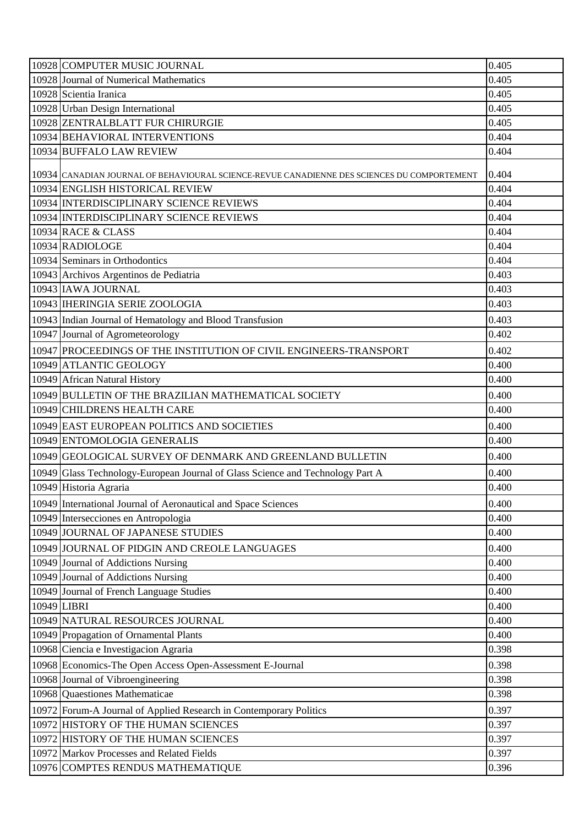| 10928 COMPUTER MUSIC JOURNAL                                                                | 0.405          |
|---------------------------------------------------------------------------------------------|----------------|
| 10928 Journal of Numerical Mathematics                                                      | 0.405          |
| 10928 Scientia Iranica                                                                      | 0.405          |
| 10928 Urban Design International                                                            | 0.405          |
| 10928 ZENTRALBLATT FUR CHIRURGIE                                                            | 0.405          |
| 10934 BEHAVIORAL INTERVENTIONS                                                              | 0.404          |
| 10934 BUFFALO LAW REVIEW                                                                    | 0.404          |
| 10934 CANADIAN JOURNAL OF BEHAVIOURAL SCIENCE-REVUE CANADIENNE DES SCIENCES DU COMPORTEMENT | 0.404          |
| 10934 ENGLISH HISTORICAL REVIEW                                                             | 0.404          |
| 10934 INTERDISCIPLINARY SCIENCE REVIEWS                                                     | 0.404          |
| 10934 INTERDISCIPLINARY SCIENCE REVIEWS                                                     | 0.404          |
| 10934 RACE & CLASS                                                                          | 0.404          |
| 10934 RADIOLOGE                                                                             | 0.404          |
| 10934 Seminars in Orthodontics                                                              | 0.404          |
| 10943 Archivos Argentinos de Pediatria                                                      | 0.403          |
| 10943 IAWA JOURNAL                                                                          | 0.403          |
| 10943   IHERINGIA SERIE ZOOLOGIA                                                            | 0.403          |
| 10943 Indian Journal of Hematology and Blood Transfusion                                    | 0.403          |
| 10947 Journal of Agrometeorology                                                            | 0.402          |
| 10947 PROCEEDINGS OF THE INSTITUTION OF CIVIL ENGINEERS-TRANSPORT                           | 0.402          |
| 10949 ATLANTIC GEOLOGY                                                                      | 0.400          |
| 10949 African Natural History                                                               | 0.400          |
| 10949 BULLETIN OF THE BRAZILIAN MATHEMATICAL SOCIETY                                        | 0.400          |
| 10949 CHILDRENS HEALTH CARE                                                                 | 0.400          |
| 10949 EAST EUROPEAN POLITICS AND SOCIETIES                                                  | 0.400          |
| 10949 ENTOMOLOGIA GENERALIS                                                                 |                |
|                                                                                             |                |
|                                                                                             | 0.400          |
| 10949 GEOLOGICAL SURVEY OF DENMARK AND GREENLAND BULLETIN                                   | 0.400          |
| 10949 Glass Technology-European Journal of Glass Science and Technology Part A              | 0.400          |
| 10949 Historia Agraria                                                                      | 0.400          |
| 10949 International Journal of Aeronautical and Space Sciences                              | 0.400          |
| 10949 Intersecciones en Antropologia                                                        | 0.400          |
| 10949 JOURNAL OF JAPANESE STUDIES                                                           | 0.400          |
| 10949 JOURNAL OF PIDGIN AND CREOLE LANGUAGES                                                | 0.400          |
| 10949 Journal of Addictions Nursing                                                         | 0.400          |
| 10949 Journal of Addictions Nursing                                                         | 0.400          |
| 10949 Journal of French Language Studies                                                    | 0.400          |
| 10949 LIBRI                                                                                 | 0.400          |
| 10949 NATURAL RESOURCES JOURNAL                                                             | 0.400          |
| 10949 Propagation of Ornamental Plants                                                      | 0.400          |
| 10968 Ciencia e Investigacion Agraria                                                       | 0.398          |
| 10968 Economics-The Open Access Open-Assessment E-Journal                                   | 0.398          |
| 10968 Journal of Vibroengineering                                                           | 0.398          |
| 10968 Quaestiones Mathematicae                                                              | 0.398          |
| 10972 Forum-A Journal of Applied Research in Contemporary Politics                          | 0.397          |
| 10972 HISTORY OF THE HUMAN SCIENCES                                                         | 0.397          |
| 10972 HISTORY OF THE HUMAN SCIENCES                                                         | 0.397          |
| 10972 Markov Processes and Related Fields<br>10976 COMPTES RENDUS MATHEMATIQUE              | 0.397<br>0.396 |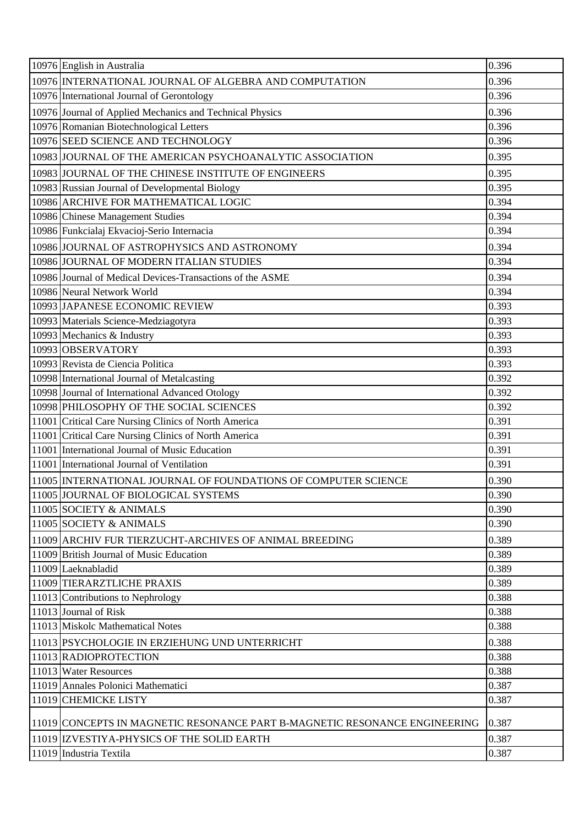| 10976 English in Australia                                                 | 0.396 |
|----------------------------------------------------------------------------|-------|
| 10976 INTERNATIONAL JOURNAL OF ALGEBRA AND COMPUTATION                     | 0.396 |
| 10976 International Journal of Gerontology                                 | 0.396 |
| 10976 Journal of Applied Mechanics and Technical Physics                   | 0.396 |
| 10976 Romanian Biotechnological Letters                                    | 0.396 |
| 10976 SEED SCIENCE AND TECHNOLOGY                                          | 0.396 |
| 10983 JOURNAL OF THE AMERICAN PSYCHOANALYTIC ASSOCIATION                   | 0.395 |
| 10983 JOURNAL OF THE CHINESE INSTITUTE OF ENGINEERS                        | 0.395 |
| 10983 Russian Journal of Developmental Biology                             | 0.395 |
| 10986 ARCHIVE FOR MATHEMATICAL LOGIC                                       | 0.394 |
| 10986 Chinese Management Studies                                           | 0.394 |
| 10986 Funkcialaj Ekvacioj-Serio Internacia                                 | 0.394 |
| 10986 JOURNAL OF ASTROPHYSICS AND ASTRONOMY                                | 0.394 |
| 10986 JOURNAL OF MODERN ITALIAN STUDIES                                    | 0.394 |
| 10986 Journal of Medical Devices-Transactions of the ASME                  | 0.394 |
| 10986 Neural Network World                                                 | 0.394 |
| 10993 JAPANESE ECONOMIC REVIEW                                             | 0.393 |
| 10993 Materials Science-Medziagotyra                                       | 0.393 |
| 10993 Mechanics & Industry                                                 | 0.393 |
| 10993 OBSERVATORY                                                          | 0.393 |
| 10993 Revista de Ciencia Politica                                          | 0.393 |
| 10998 International Journal of Metalcasting                                | 0.392 |
| 10998 Journal of International Advanced Otology                            | 0.392 |
| 10998 PHILOSOPHY OF THE SOCIAL SCIENCES                                    | 0.392 |
| 11001 Critical Care Nursing Clinics of North America                       | 0.391 |
| 11001 Critical Care Nursing Clinics of North America                       | 0.391 |
| 11001 International Journal of Music Education                             | 0.391 |
| 11001 International Journal of Ventilation                                 | 0.391 |
| 11005 INTERNATIONAL JOURNAL OF FOUNDATIONS OF COMPUTER SCIENCE             | 0.390 |
| 11005 JJOURNAL OF BIOLOGICAL SYSTEMS                                       | 0.390 |
| 11005 SOCIETY & ANIMALS                                                    | 0.390 |
| 11005 SOCIETY & ANIMALS                                                    | 0.390 |
| 11009 ARCHIV FUR TIERZUCHT-ARCHIVES OF ANIMAL BREEDING                     | 0.389 |
| 11009 British Journal of Music Education                                   | 0.389 |
| 11009 Laeknabladid                                                         | 0.389 |
| 11009 TIERARZTLICHE PRAXIS                                                 | 0.389 |
| 11013 Contributions to Nephrology                                          | 0.388 |
| 11013 Journal of Risk                                                      | 0.388 |
| 11013 Miskolc Mathematical Notes                                           | 0.388 |
| 11013 PSYCHOLOGIE IN ERZIEHUNG UND UNTERRICHT                              | 0.388 |
| 11013 RADIOPROTECTION                                                      | 0.388 |
| 11013 Water Resources                                                      | 0.388 |
| 11019 Annales Polonici Mathematici                                         | 0.387 |
| 11019 CHEMICKE LISTY                                                       | 0.387 |
| 11019 CONCEPTS IN MAGNETIC RESONANCE PART B-MAGNETIC RESONANCE ENGINEERING | 0.387 |
| 11019 IZVESTIYA-PHYSICS OF THE SOLID EARTH                                 | 0.387 |
| 11019 Industria Textila                                                    | 0.387 |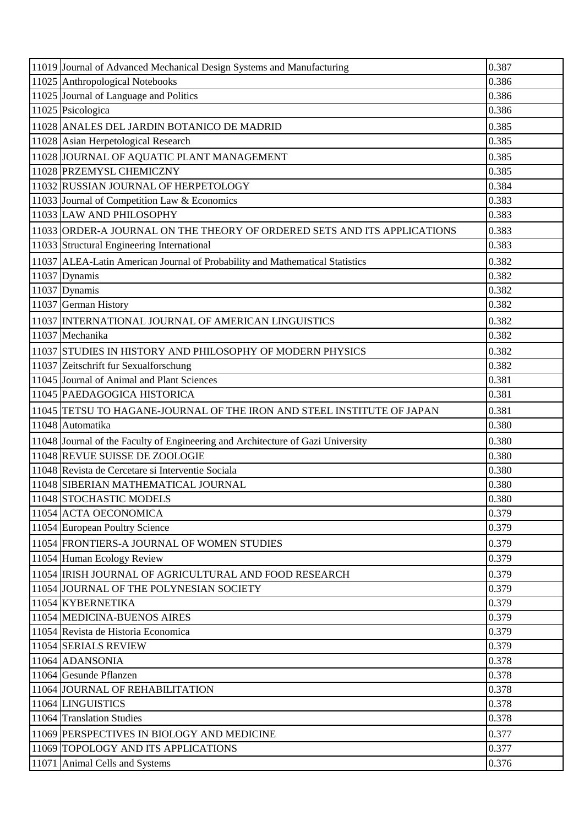| 11019 Journal of Advanced Mechanical Design Systems and Manufacturing           | 0.387 |
|---------------------------------------------------------------------------------|-------|
| 11025 Anthropological Notebooks                                                 | 0.386 |
| 11025 Journal of Language and Politics                                          | 0.386 |
| 11025 Psicologica                                                               | 0.386 |
| 11028 ANALES DEL JARDIN BOTANICO DE MADRID                                      | 0.385 |
| 11028 Asian Herpetological Research                                             | 0.385 |
| 11028 JOURNAL OF AQUATIC PLANT MANAGEMENT                                       | 0.385 |
| 11028 PRZEMYSL CHEMICZNY                                                        | 0.385 |
| 11032 RUSSIAN JOURNAL OF HERPETOLOGY                                            | 0.384 |
| 11033 Journal of Competition Law & Economics                                    | 0.383 |
| 11033 LAW AND PHILOSOPHY                                                        | 0.383 |
| 11033 ORDER-A JOURNAL ON THE THEORY OF ORDERED SETS AND ITS APPLICATIONS        | 0.383 |
| 11033 Structural Engineering International                                      | 0.383 |
| 11037 ALEA-Latin American Journal of Probability and Mathematical Statistics    | 0.382 |
| 11037 Dynamis                                                                   | 0.382 |
| 11037 Dynamis                                                                   | 0.382 |
| 11037 German History                                                            | 0.382 |
| 11037 INTERNATIONAL JOURNAL OF AMERICAN LINGUISTICS                             | 0.382 |
| 11037 Mechanika                                                                 | 0.382 |
| 11037 STUDIES IN HISTORY AND PHILOSOPHY OF MODERN PHYSICS                       | 0.382 |
| 11037 Zeitschrift fur Sexualforschung                                           | 0.382 |
| 11045 Journal of Animal and Plant Sciences                                      | 0.381 |
| 11045 PAEDAGOGICA HISTORICA                                                     | 0.381 |
| 11045 TETSU TO HAGANE-JOURNAL OF THE IRON AND STEEL INSTITUTE OF JAPAN          | 0.381 |
| 11048 Automatika                                                                | 0.380 |
| 11048 Journal of the Faculty of Engineering and Architecture of Gazi University | 0.380 |
| 11048 REVUE SUISSE DE ZOOLOGIE                                                  | 0.380 |
| 11048 Revista de Cercetare si Interventie Sociala                               | 0.380 |
| 11048 SIBERIAN MATHEMATICAL JOURNAL                                             | 0.380 |
| 11048 STOCHASTIC MODELS                                                         | 0.380 |
| 11054 ACTA OECONOMICA                                                           | 0.379 |
| 11054 European Poultry Science                                                  | 0.379 |
| 11054 FRONTIERS-A JOURNAL OF WOMEN STUDIES                                      | 0.379 |
| 11054 Human Ecology Review                                                      | 0.379 |
| 11054 IRISH JOURNAL OF AGRICULTURAL AND FOOD RESEARCH                           | 0.379 |
| 11054 JOURNAL OF THE POLYNESIAN SOCIETY                                         | 0.379 |
| 11054 KYBERNETIKA                                                               | 0.379 |
| 11054 MEDICINA-BUENOS AIRES                                                     | 0.379 |
| 11054 Revista de Historia Economica                                             | 0.379 |
| 11054 SERIALS REVIEW                                                            | 0.379 |
| 11064 ADANSONIA                                                                 | 0.378 |
| 11064 Gesunde Pflanzen                                                          | 0.378 |
| 11064 JOURNAL OF REHABILITATION                                                 | 0.378 |
| 11064 LINGUISTICS                                                               | 0.378 |
| 11064 Translation Studies                                                       | 0.378 |
| 11069 PERSPECTIVES IN BIOLOGY AND MEDICINE                                      | 0.377 |
| 11069 TOPOLOGY AND ITS APPLICATIONS                                             | 0.377 |
| 11071 Animal Cells and Systems                                                  | 0.376 |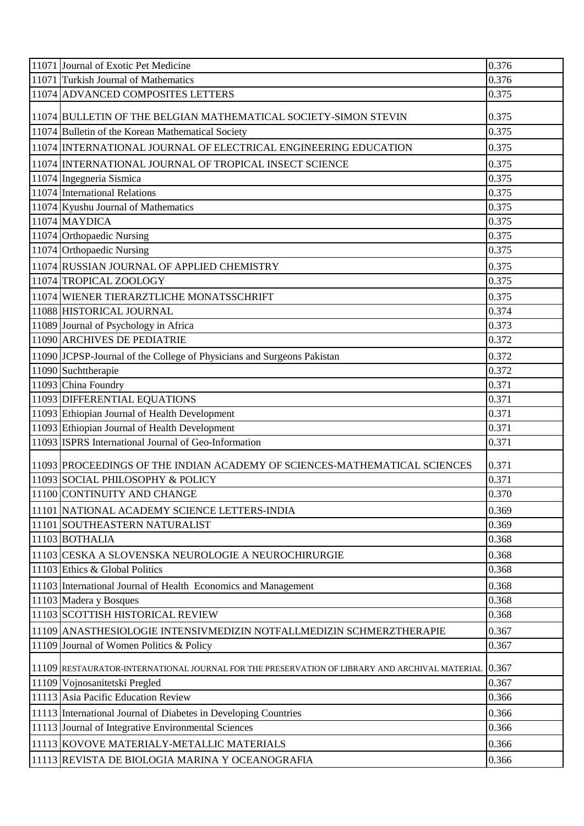| 11071 Journal of Exotic Pet Medicine                                                          | 0.376 |
|-----------------------------------------------------------------------------------------------|-------|
| 11071 Turkish Journal of Mathematics                                                          | 0.376 |
| 11074 ADVANCED COMPOSITES LETTERS                                                             | 0.375 |
| 11074 BULLETIN OF THE BELGIAN MATHEMATICAL SOCIETY-SIMON STEVIN                               | 0.375 |
| 11074 Bulletin of the Korean Mathematical Society                                             | 0.375 |
| 11074 INTERNATIONAL JOURNAL OF ELECTRICAL ENGINEERING EDUCATION                               | 0.375 |
| 11074 INTERNATIONAL JOURNAL OF TROPICAL INSECT SCIENCE                                        | 0.375 |
| 11074 Ingegneria Sismica                                                                      | 0.375 |
| 11074 International Relations                                                                 | 0.375 |
| 11074 Kyushu Journal of Mathematics                                                           | 0.375 |
| 11074 MAYDICA                                                                                 | 0.375 |
| 11074 Orthopaedic Nursing                                                                     | 0.375 |
| 11074 Orthopaedic Nursing                                                                     | 0.375 |
| 11074 RUSSIAN JOURNAL OF APPLIED CHEMISTRY                                                    | 0.375 |
| 11074 TROPICAL ZOOLOGY                                                                        | 0.375 |
| 11074 WIENER TIERARZTLICHE MONATSSCHRIFT                                                      | 0.375 |
| 11088 HISTORICAL JOURNAL                                                                      | 0.374 |
| 11089 Journal of Psychology in Africa                                                         | 0.373 |
| 11090 ARCHIVES DE PEDIATRIE                                                                   | 0.372 |
| 11090 JCPSP-Journal of the College of Physicians and Surgeons Pakistan                        | 0.372 |
| 11090 Suchttherapie                                                                           | 0.372 |
| 11093 China Foundry                                                                           | 0.371 |
| 11093 DIFFERENTIAL EQUATIONS                                                                  | 0.371 |
| 11093 Ethiopian Journal of Health Development                                                 | 0.371 |
| 11093 Ethiopian Journal of Health Development                                                 | 0.371 |
| 11093 ISPRS International Journal of Geo-Information                                          | 0.371 |
| 11093 PROCEEDINGS OF THE INDIAN ACADEMY OF SCIENCES-MATHEMATICAL SCIENCES                     | 0.371 |
| 11093 SOCIAL PHILOSOPHY & POLICY                                                              | 0.371 |
| 11100 CONTINUITY AND CHANGE                                                                   | 0.370 |
| 11101 NATIONAL ACADEMY SCIENCE LETTERS-INDIA                                                  | 0.369 |
| 11101 SOUTHEASTERN NATURALIST                                                                 | 0.369 |
| 11103 BOTHALIA                                                                                | 0.368 |
| 11103 CESKA A SLOVENSKA NEUROLOGIE A NEUROCHIRURGIE                                           | 0.368 |
| 11103 Ethics & Global Politics                                                                | 0.368 |
| 11103 International Journal of Health Economics and Management                                | 0.368 |
| 11103 Madera y Bosques                                                                        | 0.368 |
| 11103 SCOTTISH HISTORICAL REVIEW                                                              | 0.368 |
| 11109 ANASTHESIOLOGIE INTENSIVMEDIZIN NOTFALLMEDIZIN SCHMERZTHERAPIE                          | 0.367 |
| 11109 Journal of Women Politics & Policy                                                      | 0.367 |
| 11109 RESTAURATOR-INTERNATIONAL JOURNAL FOR THE PRESERVATION OF LIBRARY AND ARCHIVAL MATERIAL | 0.367 |
| 11109 Vojnosanitetski Pregled                                                                 | 0.367 |
| 11113 Asia Pacific Education Review                                                           | 0.366 |
| 11113 International Journal of Diabetes in Developing Countries                               | 0.366 |
| 11113 Journal of Integrative Environmental Sciences                                           | 0.366 |
| 11113 KOVOVE MATERIALY-METALLIC MATERIALS                                                     | 0.366 |
| 11113 REVISTA DE BIOLOGIA MARINA Y OCEANOGRAFIA                                               | 0.366 |
|                                                                                               |       |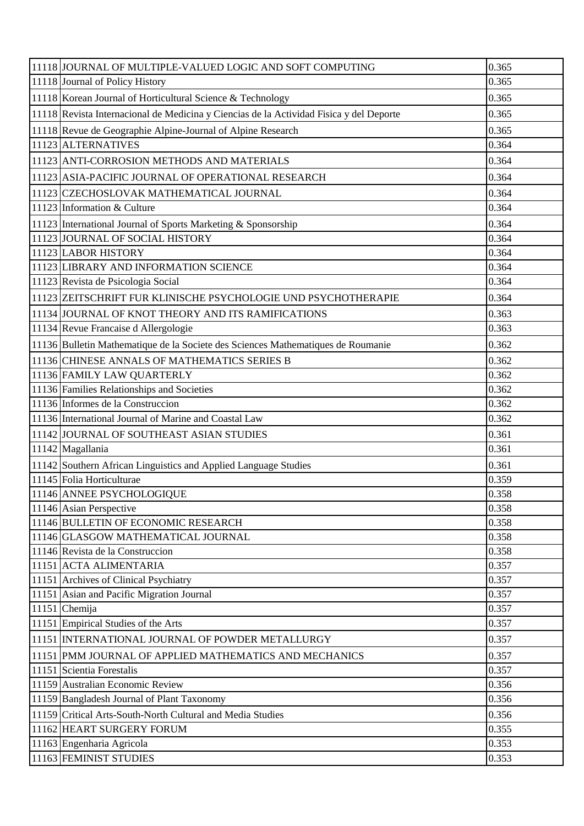| 11118 JOURNAL OF MULTIPLE-VALUED LOGIC AND SOFT COMPUTING                               | 0.365 |
|-----------------------------------------------------------------------------------------|-------|
| 11118 Journal of Policy History                                                         | 0.365 |
| 11118 Korean Journal of Horticultural Science & Technology                              | 0.365 |
| 11118 Revista Internacional de Medicina y Ciencias de la Actividad Fisica y del Deporte | 0.365 |
| 11118 Revue de Geographie Alpine-Journal of Alpine Research                             | 0.365 |
| 11123 ALTERNATIVES                                                                      | 0.364 |
| 11123 ANTI-CORROSION METHODS AND MATERIALS                                              | 0.364 |
| 11123 ASIA-PACIFIC JOURNAL OF OPERATIONAL RESEARCH                                      | 0.364 |
| 11123 CZECHOSLOVAK MATHEMATICAL JOURNAL                                                 | 0.364 |
| 11123 Information & Culture                                                             | 0.364 |
| 11123 International Journal of Sports Marketing & Sponsorship                           | 0.364 |
| 11123 JOURNAL OF SOCIAL HISTORY                                                         | 0.364 |
| 11123 LABOR HISTORY                                                                     | 0.364 |
| 11123 LIBRARY AND INFORMATION SCIENCE                                                   | 0.364 |
| 11123 Revista de Psicologia Social                                                      | 0.364 |
| 11123 ZEITSCHRIFT FUR KLINISCHE PSYCHOLOGIE UND PSYCHOTHERAPIE                          | 0.364 |
| 11134 JOURNAL OF KNOT THEORY AND ITS RAMIFICATIONS                                      | 0.363 |
| 11134 Revue Francaise d Allergologie                                                    | 0.363 |
| 11136 Bulletin Mathematique de la Societe des Sciences Mathematiques de Roumanie        | 0.362 |
| 11136 CHINESE ANNALS OF MATHEMATICS SERIES B                                            | 0.362 |
| 11136 FAMILY LAW QUARTERLY                                                              | 0.362 |
| 11136 Families Relationships and Societies                                              | 0.362 |
| 11136 Informes de la Construccion                                                       | 0.362 |
| 11136 International Journal of Marine and Coastal Law                                   | 0.362 |
| 11142 JOURNAL OF SOUTHEAST ASIAN STUDIES                                                | 0.361 |
| 11142 Magallania                                                                        | 0.361 |
| 11142 Southern African Linguistics and Applied Language Studies                         | 0.361 |
| 11145 Folia Horticulturae                                                               | 0.359 |
| 11146 ANNEE PSYCHOLOGIQUE                                                               | 0.358 |
| 11146 Asian Perspective                                                                 | 0.358 |
| 11146 BULLETIN OF ECONOMIC RESEARCH                                                     | 0.358 |
| 11146 GLASGOW MATHEMATICAL JOURNAL                                                      | 0.358 |
| 11146 Revista de la Construccion                                                        | 0.358 |
| 11151 ACTA ALIMENTARIA                                                                  | 0.357 |
| 11151 Archives of Clinical Psychiatry                                                   | 0.357 |
| 11151 Asian and Pacific Migration Journal                                               | 0.357 |
| 11151 Chemija                                                                           | 0.357 |
| 11151 Empirical Studies of the Arts                                                     | 0.357 |
| 11151 INTERNATIONAL JOURNAL OF POWDER METALLURGY                                        | 0.357 |
| 11151 PMM JOURNAL OF APPLIED MATHEMATICS AND MECHANICS                                  | 0.357 |
| 11151 Scientia Forestalis                                                               | 0.357 |
| 11159 Australian Economic Review                                                        | 0.356 |
| 11159 Bangladesh Journal of Plant Taxonomy                                              | 0.356 |
| 11159 Critical Arts-South-North Cultural and Media Studies                              | 0.356 |
| 11162 HEART SURGERY FORUM                                                               | 0.355 |
| 11163 Engenharia Agricola                                                               | 0.353 |
| 11163 FEMINIST STUDIES                                                                  | 0.353 |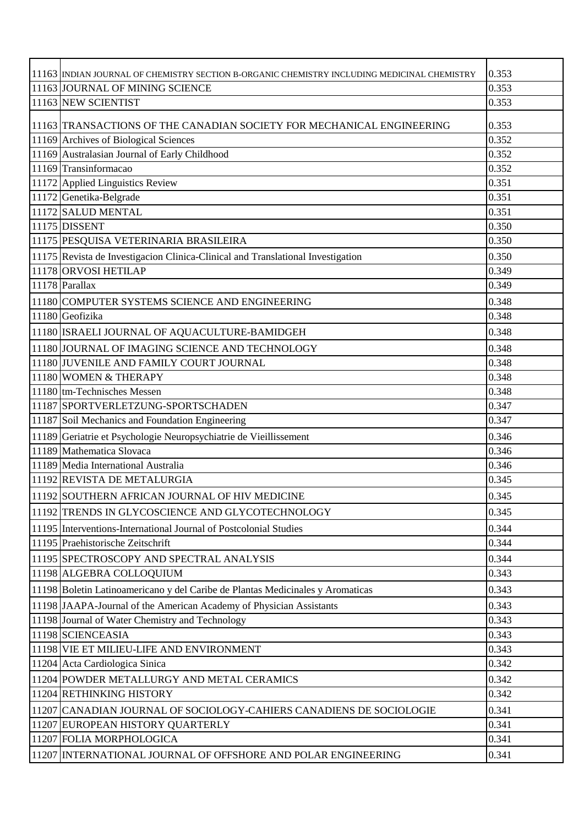| 11163 INDIAN JOURNAL OF CHEMISTRY SECTION B-ORGANIC CHEMISTRY INCLUDING MEDICINAL CHEMISTRY | 0.353 |
|---------------------------------------------------------------------------------------------|-------|
| 11163 JOURNAL OF MINING SCIENCE                                                             | 0.353 |
| 11163 NEW SCIENTIST                                                                         | 0.353 |
|                                                                                             |       |
| 11163 TRANSACTIONS OF THE CANADIAN SOCIETY FOR MECHANICAL ENGINEERING                       | 0.353 |
| 11169 Archives of Biological Sciences                                                       | 0.352 |
| 11169 Australasian Journal of Early Childhood                                               | 0.352 |
| 11169 Transinformacao                                                                       | 0.352 |
| 11172 Applied Linguistics Review                                                            | 0.351 |
| 11172 Genetika-Belgrade                                                                     | 0.351 |
| 11172 SALUD MENTAL                                                                          | 0.351 |
| 11175 DISSENT                                                                               | 0.350 |
| 11175 PESQUISA VETERINARIA BRASILEIRA                                                       | 0.350 |
| 11175 Revista de Investigacion Clinica-Clinical and Translational Investigation             | 0.350 |
| 11178 ORVOSI HETILAP                                                                        | 0.349 |
| 11178 Parallax                                                                              | 0.349 |
| 11180 COMPUTER SYSTEMS SCIENCE AND ENGINEERING                                              | 0.348 |
| 11180 Geofizika                                                                             | 0.348 |
| 11180 ISRAELI JOURNAL OF AQUACULTURE-BAMIDGEH                                               | 0.348 |
| 11180 JOURNAL OF IMAGING SCIENCE AND TECHNOLOGY                                             | 0.348 |
| 11180 JUVENILE AND FAMILY COURT JOURNAL                                                     | 0.348 |
| 11180 WOMEN & THERAPY                                                                       | 0.348 |
| $11180$  tm-Technisches Messen                                                              | 0.348 |
| 11187 SPORTVERLETZUNG-SPORTSCHADEN                                                          | 0.347 |
| 11187 Soil Mechanics and Foundation Engineering                                             | 0.347 |
| 11189 Geriatrie et Psychologie Neuropsychiatrie de Vieillissement                           | 0.346 |
| 11189 Mathematica Slovaca                                                                   | 0.346 |
| 11189 Media International Australia                                                         | 0.346 |
| 11192 REVISTA DE METALURGIA                                                                 | 0.345 |
| 11192 SOUTHERN AFRICAN JOURNAL OF HIV MEDICINE                                              | 0.345 |
| 11192 TRENDS IN GLYCOSCIENCE AND GLYCOTECHNOLOGY                                            | 0.345 |
| 11195 Interventions-International Journal of Postcolonial Studies                           | 0.344 |
| 11195 Praehistorische Zeitschrift                                                           | 0.344 |
| 11195 SPECTROSCOPY AND SPECTRAL ANALYSIS                                                    | 0.344 |
| 11198 ALGEBRA COLLOQUIUM                                                                    | 0.343 |
| 11198 Boletin Latinoamericano y del Caribe de Plantas Medicinales y Aromaticas              | 0.343 |
| 11198 JAAPA-Journal of the American Academy of Physician Assistants                         | 0.343 |
| 11198 Journal of Water Chemistry and Technology                                             | 0.343 |
| 11198 SCIENCEASIA                                                                           | 0.343 |
| 11198 VIE ET MILIEU-LIFE AND ENVIRONMENT                                                    | 0.343 |
| 11204 Acta Cardiologica Sinica                                                              | 0.342 |
| 11204 POWDER METALLURGY AND METAL CERAMICS                                                  | 0.342 |
| 11204 RETHINKING HISTORY                                                                    | 0.342 |
| 11207 CANADIAN JOURNAL OF SOCIOLOGY-CAHIERS CANADIENS DE SOCIOLOGIE                         | 0.341 |
| 11207 EUROPEAN HISTORY QUARTERLY                                                            | 0.341 |
| 11207 FOLIA MORPHOLOGICA                                                                    | 0.341 |
| 11207 INTERNATIONAL JOURNAL OF OFFSHORE AND POLAR ENGINEERING                               | 0.341 |
|                                                                                             |       |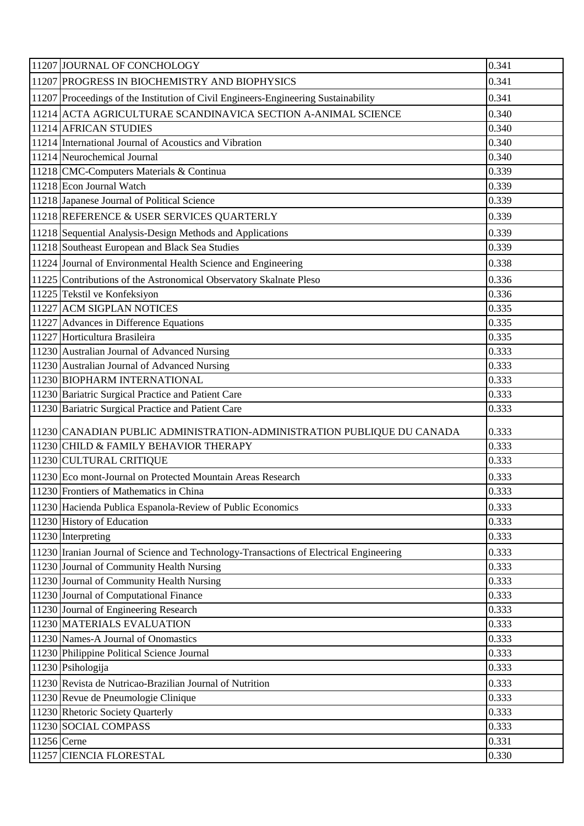| 11207 JOURNAL OF CONCHOLOGY                                                            | 0.341 |
|----------------------------------------------------------------------------------------|-------|
| 11207 PROGRESS IN BIOCHEMISTRY AND BIOPHYSICS                                          | 0.341 |
| 11207 Proceedings of the Institution of Civil Engineers-Engineering Sustainability     | 0.341 |
| 11214 ACTA AGRICULTURAE SCANDINAVICA SECTION A-ANIMAL SCIENCE                          | 0.340 |
| 11214 AFRICAN STUDIES                                                                  | 0.340 |
| 11214 International Journal of Acoustics and Vibration                                 | 0.340 |
| 11214 Neurochemical Journal                                                            | 0.340 |
| 11218 CMC-Computers Materials & Continua                                               | 0.339 |
| 11218 Econ Journal Watch                                                               | 0.339 |
| 11218 Japanese Journal of Political Science                                            | 0.339 |
| 11218 REFERENCE & USER SERVICES QUARTERLY                                              | 0.339 |
| 11218 Sequential Analysis-Design Methods and Applications                              | 0.339 |
| 11218 Southeast European and Black Sea Studies                                         | 0.339 |
| 11224 Journal of Environmental Health Science and Engineering                          | 0.338 |
| 11225 Contributions of the Astronomical Observatory Skalnate Pleso                     | 0.336 |
| 11225 Tekstil ve Konfeksiyon                                                           | 0.336 |
| 11227 ACM SIGPLAN NOTICES                                                              | 0.335 |
| 11227 Advances in Difference Equations                                                 | 0.335 |
| 11227 Horticultura Brasileira                                                          | 0.335 |
| 11230 Australian Journal of Advanced Nursing                                           | 0.333 |
| 11230 Australian Journal of Advanced Nursing                                           | 0.333 |
| 11230 BIOPHARM INTERNATIONAL                                                           | 0.333 |
| 11230 Bariatric Surgical Practice and Patient Care                                     | 0.333 |
| 11230 Bariatric Surgical Practice and Patient Care                                     | 0.333 |
|                                                                                        |       |
| 11230 CANADIAN PUBLIC ADMINISTRATION-ADMINISTRATION PUBLIQUE DU CANADA                 | 0.333 |
| 11230 CHILD & FAMILY BEHAVIOR THERAPY                                                  | 0.333 |
| 11230 CULTURAL CRITIQUE                                                                | 0.333 |
| 11230 Eco mont-Journal on Protected Mountain Areas Research                            | 0.333 |
| 11230 Frontiers of Mathematics in China                                                | 0.333 |
| 11230 Hacienda Publica Espanola-Review of Public Economics                             | 0.333 |
| 11230 History of Education                                                             | 0.333 |
| 11230 Interpreting                                                                     | 0.333 |
| 11230 Iranian Journal of Science and Technology-Transactions of Electrical Engineering | 0.333 |
| 11230 Journal of Community Health Nursing                                              | 0.333 |
| 11230 Journal of Community Health Nursing                                              | 0.333 |
| 11230 Journal of Computational Finance                                                 | 0.333 |
| 11230 Journal of Engineering Research                                                  | 0.333 |
| 11230 MATERIALS EVALUATION                                                             | 0.333 |
| 11230 Names-A Journal of Onomastics                                                    | 0.333 |
| 11230 Philippine Political Science Journal                                             | 0.333 |
| 11230 Psihologija                                                                      | 0.333 |
| 11230 Revista de Nutricao-Brazilian Journal of Nutrition                               | 0.333 |
| 11230 Revue de Pneumologie Clinique                                                    | 0.333 |
| 11230 Rhetoric Society Quarterly                                                       | 0.333 |
| 11230 SOCIAL COMPASS                                                                   | 0.333 |
| 11256 Cerne                                                                            | 0.331 |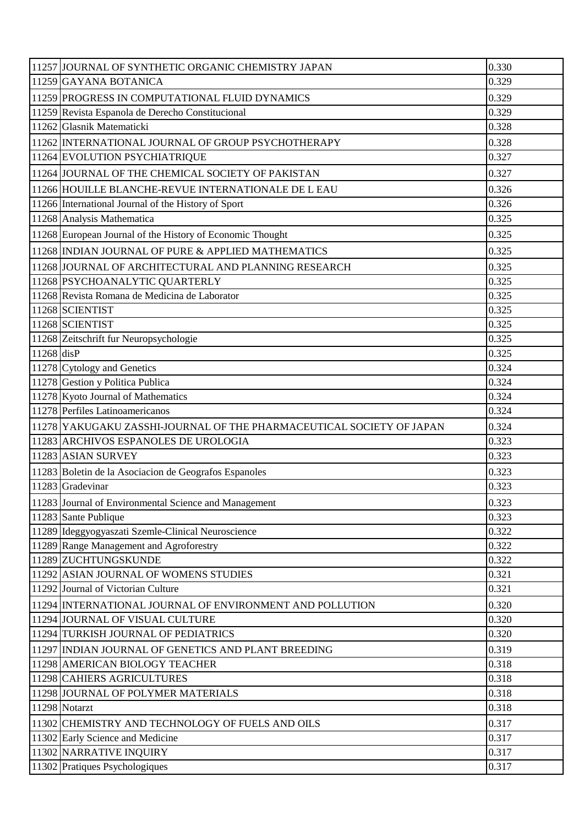| 11257 JOURNAL OF SYNTHETIC ORGANIC CHEMISTRY JAPAN                   | 0.330 |
|----------------------------------------------------------------------|-------|
| 11259 GAYANA BOTANICA                                                | 0.329 |
| 11259 PROGRESS IN COMPUTATIONAL FLUID DYNAMICS                       | 0.329 |
| 11259 Revista Espanola de Derecho Constitucional                     | 0.329 |
| 11262 Glasnik Matematicki                                            | 0.328 |
| 11262 INTERNATIONAL JOURNAL OF GROUP PSYCHOTHERAPY                   | 0.328 |
| 11264 EVOLUTION PSYCHIATRIQUE                                        | 0.327 |
| 11264 JOURNAL OF THE CHEMICAL SOCIETY OF PAKISTAN                    | 0.327 |
| 11266 HOUILLE BLANCHE-REVUE INTERNATIONALE DE L EAU                  | 0.326 |
| 11266 International Journal of the History of Sport                  | 0.326 |
| 11268 Analysis Mathematica                                           | 0.325 |
| 11268 European Journal of the History of Economic Thought            | 0.325 |
| 11268 INDIAN JOURNAL OF PURE & APPLIED MATHEMATICS                   | 0.325 |
| 11268 JOURNAL OF ARCHITECTURAL AND PLANNING RESEARCH                 | 0.325 |
| 11268 PSYCHOANALYTIC QUARTERLY                                       | 0.325 |
| 11268 Revista Romana de Medicina de Laborator                        | 0.325 |
| 11268 SCIENTIST                                                      | 0.325 |
| 11268 SCIENTIST                                                      | 0.325 |
| 11268 Zeitschrift fur Neuropsychologie                               | 0.325 |
| 11268 disP                                                           | 0.325 |
| 11278 Cytology and Genetics                                          | 0.324 |
| 11278 Gestion y Politica Publica                                     | 0.324 |
| 11278 Kyoto Journal of Mathematics                                   | 0.324 |
| 11278 Perfiles Latinoamericanos                                      | 0.324 |
| 11278 YAKUGAKU ZASSHI-JOURNAL OF THE PHARMACEUTICAL SOCIETY OF JAPAN | 0.324 |
| 11283 ARCHIVOS ESPANOLES DE UROLOGIA                                 | 0.323 |
| 11283 ASIAN SURVEY                                                   | 0.323 |
| 11283 Boletin de la Asociacion de Geografos Espanoles                | 0.323 |
| 11283 Gradevinar                                                     | 0.323 |
| 11283 Journal of Environmental Science and Management                | 0.323 |
| 11283 Sante Publique                                                 | 0.323 |
| 11289 Ideggyogyaszati Szemle-Clinical Neuroscience                   | 0.322 |
| 11289 Range Management and Agroforestry                              | 0.322 |
| 11289 ZUCHTUNGSKUNDE                                                 | 0.322 |
| 11292 ASIAN JOURNAL OF WOMENS STUDIES                                | 0.321 |
| 11292 Journal of Victorian Culture                                   | 0.321 |
| 11294 INTERNATIONAL JOURNAL OF ENVIRONMENT AND POLLUTION             | 0.320 |
| 11294 JOURNAL OF VISUAL CULTURE                                      | 0.320 |
| 11294 TURKISH JOURNAL OF PEDIATRICS                                  | 0.320 |
| 11297 INDIAN JOURNAL OF GENETICS AND PLANT BREEDING                  | 0.319 |
| 11298 AMERICAN BIOLOGY TEACHER                                       | 0.318 |
| 11298 CAHIERS AGRICULTURES                                           | 0.318 |
| 11298 JOURNAL OF POLYMER MATERIALS                                   | 0.318 |
| 11298 Notarzt                                                        | 0.318 |
| 11302 CHEMISTRY AND TECHNOLOGY OF FUELS AND OILS                     | 0.317 |
| 11302 Early Science and Medicine                                     | 0.317 |
| 11302 NARRATIVE INQUIRY                                              | 0.317 |
| 11302 Pratiques Psychologiques                                       | 0.317 |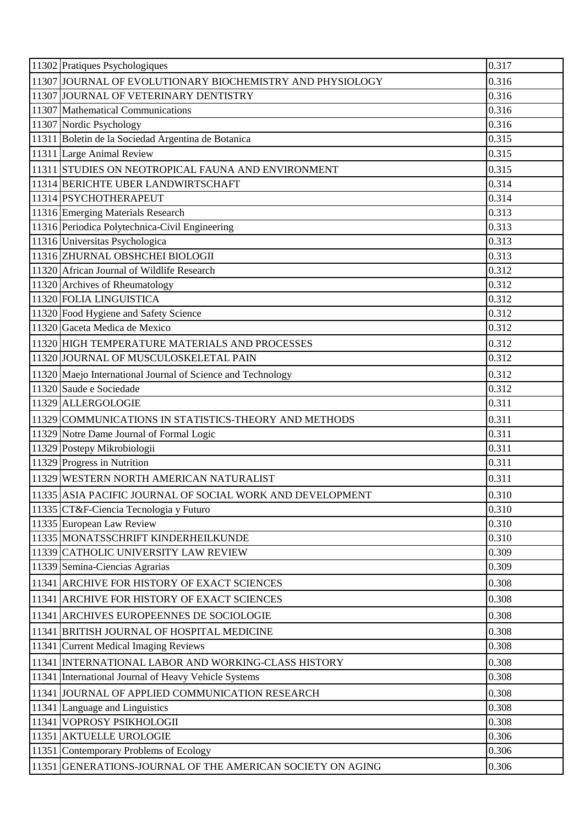| 11302 Pratiques Psychologiques    |                                                             | 0.317 |
|-----------------------------------|-------------------------------------------------------------|-------|
|                                   | 11307 JJOURNAL OF EVOLUTIONARY BIOCHEMISTRY AND PHYSIOLOGY  | 0.316 |
|                                   | 11307 JOURNAL OF VETERINARY DENTISTRY                       | 0.316 |
|                                   | 11307 Mathematical Communications                           | 0.316 |
| 11307 Nordic Psychology           |                                                             | 0.316 |
|                                   | 11311 Boletin de la Sociedad Argentina de Botanica          | 0.315 |
| 11311 Large Animal Review         |                                                             | 0.315 |
|                                   | 11311 STUDIES ON NEOTROPICAL FAUNA AND ENVIRONMENT          | 0.315 |
|                                   | 11314 BERICHTE UBER LANDWIRTSCHAFT                          | 0.314 |
| 11314 PSYCHOTHERAPEUT             |                                                             | 0.314 |
| 11316 Emerging Materials Research |                                                             | 0.313 |
|                                   | 11316 Periodica Polytechnica-Civil Engineering              | 0.313 |
| 11316 Universitas Psychologica    |                                                             | 0.313 |
|                                   | 11316 ZHURNAL OBSHCHEI BIOLOGII                             | 0.313 |
|                                   | 11320 African Journal of Wildlife Research                  | 0.312 |
| 11320 Archives of Rheumatology    |                                                             | 0.312 |
| 11320 FOLIA LINGUISTICA           |                                                             | 0.312 |
|                                   | 11320 Food Hygiene and Safety Science                       | 0.312 |
| 11320 Gaceta Medica de Mexico     |                                                             | 0.312 |
|                                   | 11320 HIGH TEMPERATURE MATERIALS AND PROCESSES              | 0.312 |
|                                   | 11320 JOURNAL OF MUSCULOSKELETAL PAIN                       | 0.312 |
|                                   | 11320 Maejo International Journal of Science and Technology | 0.312 |
| 11320 Saude e Sociedade           |                                                             | 0.312 |
| 11329 ALLERGOLOGIE                |                                                             | 0.311 |
|                                   | 11329 COMMUNICATIONS IN STATISTICS-THEORY AND METHODS       | 0.311 |
|                                   | 11329 Notre Dame Journal of Formal Logic                    | 0.311 |
| 11329 Postepy Mikrobiologii       |                                                             | 0.311 |
| 11329 Progress in Nutrition       |                                                             | 0.311 |
|                                   | 11329 WESTERN NORTH AMERICAN NATURALIST                     | 0.311 |
|                                   | 11335 ASIA PACIFIC JOURNAL OF SOCIAL WORK AND DEVELOPMENT   | 0.310 |
|                                   | 11335 CT&F-Ciencia Tecnologia y Futuro                      | 0.310 |
| 11335 European Law Review         |                                                             | 0.310 |
|                                   | 11335 MONATSSCHRIFT KINDERHEILKUNDE                         | 0.310 |
|                                   | 11339 CATHOLIC UNIVERSITY LAW REVIEW                        | 0.309 |
| 11339 Semina-Ciencias Agrarias    |                                                             | 0.309 |
|                                   | 11341 ARCHIVE FOR HISTORY OF EXACT SCIENCES                 | 0.308 |
|                                   | 11341 ARCHIVE FOR HISTORY OF EXACT SCIENCES                 | 0.308 |
|                                   | 11341 ARCHIVES EUROPEENNES DE SOCIOLOGIE                    | 0.308 |
|                                   | 11341 BRITISH JOURNAL OF HOSPITAL MEDICINE                  | 0.308 |
|                                   | 11341 Current Medical Imaging Reviews                       | 0.308 |
|                                   | 11341 INTERNATIONAL LABOR AND WORKING-CLASS HISTORY         | 0.308 |
|                                   | 11341 International Journal of Heavy Vehicle Systems        | 0.308 |
|                                   | 11341 JOURNAL OF APPLIED COMMUNICATION RESEARCH             | 0.308 |
| 11341 Language and Linguistics    |                                                             | 0.308 |
| 11341 VOPROSY PSIKHOLOGII         |                                                             | 0.308 |
| 11351 AKTUELLE UROLOGIE           |                                                             | 0.306 |
|                                   | 11351 Contemporary Problems of Ecology                      | 0.306 |
|                                   | 11351 GENERATIONS-JOURNAL OF THE AMERICAN SOCIETY ON AGING  | 0.306 |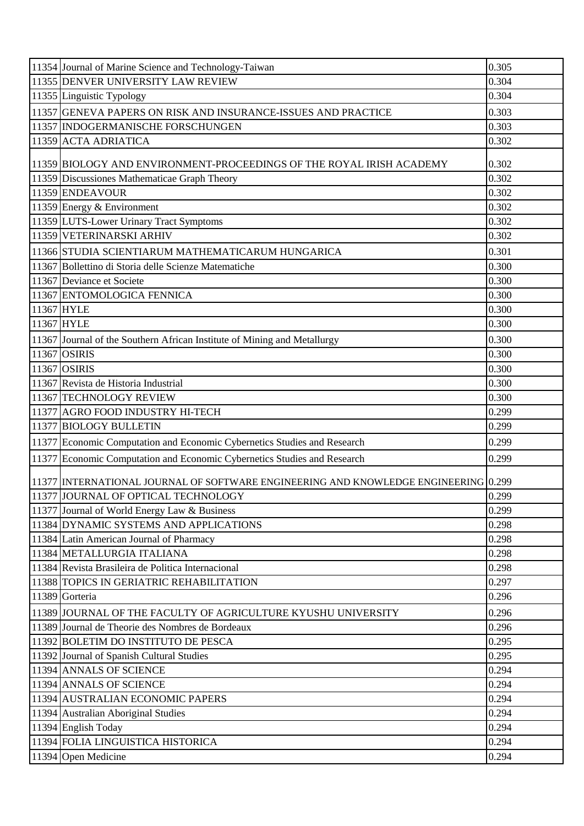| 11354 Journal of Marine Science and Technology-Taiwan                               | 0.305 |
|-------------------------------------------------------------------------------------|-------|
| 11355 DENVER UNIVERSITY LAW REVIEW                                                  | 0.304 |
| 11355 Linguistic Typology                                                           | 0.304 |
| 11357 GENEVA PAPERS ON RISK AND INSURANCE-ISSUES AND PRACTICE                       | 0.303 |
| 11357 INDOGERMANISCHE FORSCHUNGEN                                                   | 0.303 |
| 11359 ACTA ADRIATICA                                                                | 0.302 |
| 11359 BIOLOGY AND ENVIRONMENT-PROCEEDINGS OF THE ROYAL IRISH ACADEMY                | 0.302 |
| 11359 Discussiones Mathematicae Graph Theory                                        | 0.302 |
| 11359 ENDEAVOUR                                                                     | 0.302 |
| 11359 Energy & Environment                                                          | 0.302 |
| 11359 LUTS-Lower Urinary Tract Symptoms                                             | 0.302 |
| 11359 VETERINARSKI ARHIV                                                            | 0.302 |
| 11366 STUDIA SCIENTIARUM MATHEMATICARUM HUNGARICA                                   | 0.301 |
| 11367 Bollettino di Storia delle Scienze Matematiche                                | 0.300 |
| 11367 Deviance et Societe                                                           | 0.300 |
| 11367 ENTOMOLOGICA FENNICA                                                          | 0.300 |
| 11367 HYLE                                                                          | 0.300 |
| 11367 HYLE                                                                          | 0.300 |
| 11367 Journal of the Southern African Institute of Mining and Metallurgy            | 0.300 |
| 11367 OSIRIS                                                                        | 0.300 |
| 11367 OSIRIS                                                                        | 0.300 |
| 11367 Revista de Historia Industrial                                                | 0.300 |
| 11367 TECHNOLOGY REVIEW                                                             | 0.300 |
| 11377 AGRO FOOD INDUSTRY HI-TECH                                                    | 0.299 |
| 11377 BIOLOGY BULLETIN                                                              | 0.299 |
| 11377 Economic Computation and Economic Cybernetics Studies and Research            | 0.299 |
| 11377 Economic Computation and Economic Cybernetics Studies and Research            | 0.299 |
| 11377 INTERNATIONAL JOURNAL OF SOFTWARE ENGINEERING AND KNOWLEDGE ENGINEERING 0.299 |       |
| 11377 JJOURNAL OF OPTICAL TECHNOLOGY                                                | 0.299 |
| 11377 Journal of World Energy Law & Business                                        | 0.299 |
| 11384 DYNAMIC SYSTEMS AND APPLICATIONS                                              | 0.298 |
| 11384 Latin American Journal of Pharmacy                                            | 0.298 |
| 11384 METALLURGIA ITALIANA                                                          | 0.298 |
| 11384 Revista Brasileira de Politica Internacional                                  | 0.298 |
| 11388 TOPICS IN GERIATRIC REHABILITATION                                            | 0.297 |
| 11389 Gorteria                                                                      | 0.296 |
| 11389 JJOURNAL OF THE FACULTY OF AGRICULTURE KYUSHU UNIVERSITY                      | 0.296 |
| 11389 Journal de Theorie des Nombres de Bordeaux                                    | 0.296 |
| 11392 BOLETIM DO INSTITUTO DE PESCA                                                 | 0.295 |
| 11392 Journal of Spanish Cultural Studies                                           | 0.295 |
| 11394 ANNALS OF SCIENCE                                                             | 0.294 |
| 11394 ANNALS OF SCIENCE                                                             | 0.294 |
| 11394 AUSTRALIAN ECONOMIC PAPERS                                                    | 0.294 |
| 11394 Australian Aboriginal Studies                                                 | 0.294 |
| 11394 English Today                                                                 | 0.294 |
| 11394 FOLIA LINGUISTICA HISTORICA                                                   | 0.294 |
| 11394 Open Medicine                                                                 | 0.294 |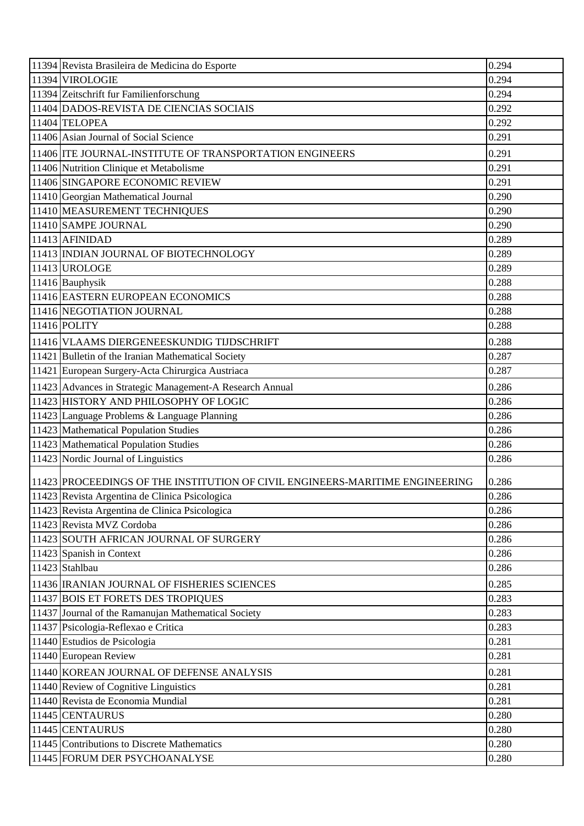| 11394 Revista Brasileira de Medicina do Esporte                              | 0.294 |
|------------------------------------------------------------------------------|-------|
| 11394 VIROLOGIE                                                              | 0.294 |
| 11394 Zeitschrift fur Familienforschung                                      | 0.294 |
| 11404 DADOS-REVISTA DE CIENCIAS SOCIAIS                                      | 0.292 |
| 11404 TELOPEA                                                                | 0.292 |
| 11406 Asian Journal of Social Science                                        | 0.291 |
| 11406 ITE JOURNAL-INSTITUTE OF TRANSPORTATION ENGINEERS                      | 0.291 |
| 11406 Nutrition Clinique et Metabolisme                                      | 0.291 |
| 11406 SINGAPORE ECONOMIC REVIEW                                              | 0.291 |
| 11410 Georgian Mathematical Journal                                          | 0.290 |
| 11410 MEASUREMENT TECHNIQUES                                                 | 0.290 |
| 11410 SAMPE JOURNAL                                                          | 0.290 |
| 11413 AFINIDAD                                                               | 0.289 |
| 11413 INDIAN JOURNAL OF BIOTECHNOLOGY                                        | 0.289 |
| 11413 UROLOGE                                                                | 0.289 |
| 11416 Bauphysik                                                              | 0.288 |
| 11416 EASTERN EUROPEAN ECONOMICS                                             | 0.288 |
| 11416 NEGOTIATION JOURNAL                                                    | 0.288 |
| 11416 POLITY                                                                 | 0.288 |
| 11416 VLAAMS DIERGENEESKUNDIG TIJDSCHRIFT                                    | 0.288 |
| 11421 Bulletin of the Iranian Mathematical Society                           | 0.287 |
| 11421 European Surgery-Acta Chirurgica Austriaca                             | 0.287 |
| 11423 Advances in Strategic Management-A Research Annual                     | 0.286 |
| 11423 HISTORY AND PHILOSOPHY OF LOGIC                                        | 0.286 |
| 11423 Language Problems & Language Planning                                  | 0.286 |
| 11423 Mathematical Population Studies                                        | 0.286 |
| 11423 Mathematical Population Studies                                        | 0.286 |
| 11423 Nordic Journal of Linguistics                                          | 0.286 |
| 11423 PROCEEDINGS OF THE INSTITUTION OF CIVIL ENGINEERS-MARITIME ENGINEERING | 0.286 |
| 11423 Revista Argentina de Clinica Psicologica                               | 0.286 |
| 11423 Revista Argentina de Clinica Psicologica                               | 0.286 |
| 11423 Revista MVZ Cordoba                                                    | 0.286 |
| 11423 SOUTH AFRICAN JOURNAL OF SURGERY                                       | 0.286 |
| 11423 Spanish in Context                                                     | 0.286 |
| 11423 Stahlbau                                                               | 0.286 |
| 11436   IRANIAN JOURNAL OF FISHERIES SCIENCES                                | 0.285 |
| 11437 BOIS ET FORETS DES TROPIQUES                                           | 0.283 |
| 11437 Journal of the Ramanujan Mathematical Society                          | 0.283 |
| 11437 Psicologia-Reflexao e Critica                                          | 0.283 |
| 11440 Estudios de Psicologia                                                 | 0.281 |
| 11440 European Review                                                        | 0.281 |
| 11440 KOREAN JOURNAL OF DEFENSE ANALYSIS                                     | 0.281 |
| 11440 Review of Cognitive Linguistics                                        | 0.281 |
| 11440 Revista de Economia Mundial                                            | 0.281 |
| 11445 CENTAURUS                                                              | 0.280 |
| 11445 CENTAURUS                                                              | 0.280 |
| 11445 Contributions to Discrete Mathematics                                  | 0.280 |
| 11445 FORUM DER PSYCHOANALYSE                                                | 0.280 |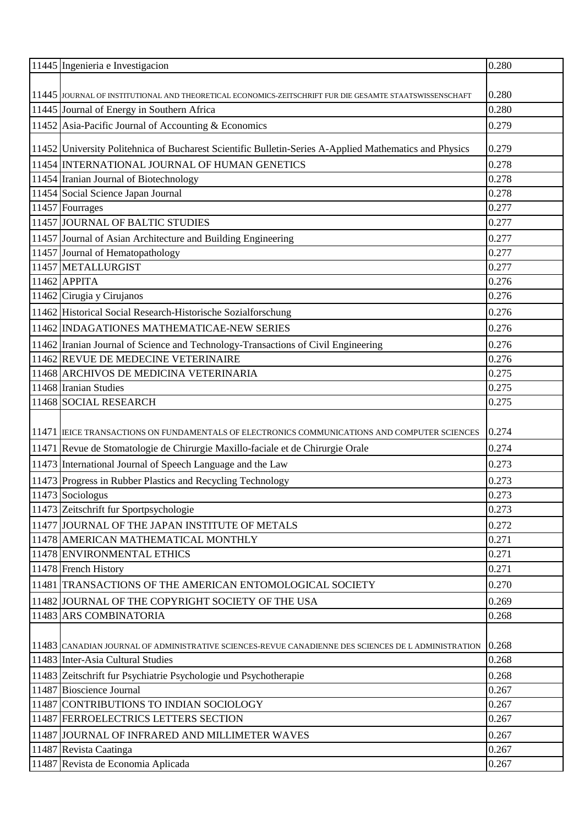| 11445 Ingenieria e Investigacion                                                                         | 0.280 |
|----------------------------------------------------------------------------------------------------------|-------|
|                                                                                                          |       |
| 11445 JJOURNAL OF INSTITUTIONAL AND THEORETICAL ECONOMICS-ZEITSCHRIFT FUR DIE GESAMTE STAATSWISSENSCHAFT | 0.280 |
| 11445 Journal of Energy in Southern Africa                                                               | 0.280 |
| 11452 Asia-Pacific Journal of Accounting & Economics                                                     | 0.279 |
| 11452 University Politehnica of Bucharest Scientific Bulletin-Series A-Applied Mathematics and Physics   | 0.279 |
| 11454 INTERNATIONAL JOURNAL OF HUMAN GENETICS                                                            | 0.278 |
| 11454 Iranian Journal of Biotechnology                                                                   | 0.278 |
| 11454 Social Science Japan Journal                                                                       | 0.278 |
| 11457 Fourrages                                                                                          | 0.277 |
| 11457 JOURNAL OF BALTIC STUDIES                                                                          | 0.277 |
| 11457 Journal of Asian Architecture and Building Engineering                                             | 0.277 |
| 11457 Journal of Hematopathology                                                                         | 0.277 |
| 11457 METALLURGIST                                                                                       | 0.277 |
| $11462$ APPITA                                                                                           | 0.276 |
| 11462 Cirugia y Cirujanos                                                                                | 0.276 |
| 11462 Historical Social Research-Historische Sozialforschung                                             | 0.276 |
| 11462 INDAGATIONES MATHEMATICAE-NEW SERIES                                                               | 0.276 |
| 11462 Iranian Journal of Science and Technology-Transactions of Civil Engineering                        | 0.276 |
| 11462 REVUE DE MEDECINE VETERINAIRE                                                                      | 0.276 |
| 11468 ARCHIVOS DE MEDICINA VETERINARIA                                                                   | 0.275 |
| 11468 Iranian Studies                                                                                    | 0.275 |
| 11468 SOCIAL RESEARCH                                                                                    | 0.275 |
|                                                                                                          |       |
| 11471  IEICE TRANSACTIONS ON FUNDAMENTALS OF ELECTRONICS COMMUNICATIONS AND COMPUTER SCIENCES            | 0.274 |
| 11471 Revue de Stomatologie de Chirurgie Maxillo-faciale et de Chirurgie Orale                           | 0.274 |
| 11473 International Journal of Speech Language and the Law                                               | 0.273 |
| 11473 Progress in Rubber Plastics and Recycling Technology                                               | 0.273 |
| 11473 Sociologus                                                                                         | 0.273 |
| 11473 Zeitschrift fur Sportpsychologie                                                                   | 0.273 |
| 11477 JOURNAL OF THE JAPAN INSTITUTE OF METALS                                                           | 0.272 |
| 11478 AMERICAN MATHEMATICAL MONTHLY                                                                      | 0.271 |
| 11478 ENVIRONMENTAL ETHICS                                                                               | 0.271 |
| 11478 French History                                                                                     | 0.271 |
| 11481 TRANSACTIONS OF THE AMERICAN ENTOMOLOGICAL SOCIETY                                                 | 0.270 |
| 11482 JOURNAL OF THE COPYRIGHT SOCIETY OF THE USA                                                        | 0.269 |
| 11483 ARS COMBINATORIA                                                                                   | 0.268 |
|                                                                                                          |       |
| 11483 CANADIAN JOURNAL OF ADMINISTRATIVE SCIENCES-REVUE CANADIENNE DES SCIENCES DE LADMINISTRATION       | 0.268 |
| 11483 Inter-Asia Cultural Studies                                                                        | 0.268 |
| 11483 Zeitschrift fur Psychiatrie Psychologie und Psychotherapie                                         | 0.268 |
| 11487 Bioscience Journal                                                                                 | 0.267 |
| 11487 CONTRIBUTIONS TO INDIAN SOCIOLOGY                                                                  | 0.267 |
| 11487 FERROELECTRICS LETTERS SECTION                                                                     | 0.267 |
| 11487 JOURNAL OF INFRARED AND MILLIMETER WAVES                                                           | 0.267 |
| 11487 Revista Caatinga                                                                                   | 0.267 |
| 11487 Revista de Economia Aplicada                                                                       | 0.267 |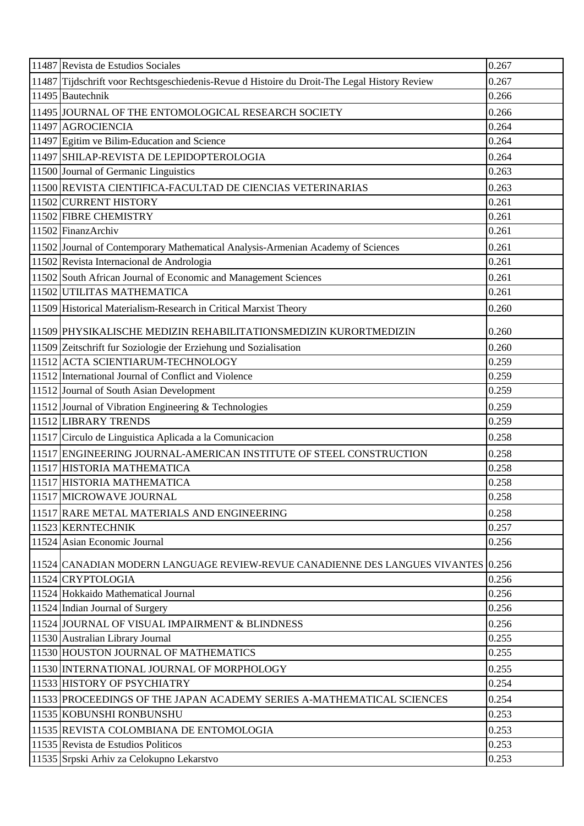| 11487 Tijdschrift voor Rechtsgeschiedenis-Revue d Histoire du Droit-The Legal History Review<br>0.267<br>11495 Bautechnik<br>0.266<br>11495 JOURNAL OF THE ENTOMOLOGICAL RESEARCH SOCIETY<br>0.266<br>0.264<br>11497 AGROCIENCIA<br>11497 Egitim ve Bilim-Education and Science<br>0.264<br>11497 SHILAP-REVISTA DE LEPIDOPTEROLOGIA<br>0.264<br>0.263<br>11500 Journal of Germanic Linguistics<br>0.263<br>11500 REVISTA CIENTIFICA-FACULTAD DE CIENCIAS VETERINARIAS<br>11502 CURRENT HISTORY<br>0.261 |
|----------------------------------------------------------------------------------------------------------------------------------------------------------------------------------------------------------------------------------------------------------------------------------------------------------------------------------------------------------------------------------------------------------------------------------------------------------------------------------------------------------|
|                                                                                                                                                                                                                                                                                                                                                                                                                                                                                                          |
|                                                                                                                                                                                                                                                                                                                                                                                                                                                                                                          |
|                                                                                                                                                                                                                                                                                                                                                                                                                                                                                                          |
|                                                                                                                                                                                                                                                                                                                                                                                                                                                                                                          |
|                                                                                                                                                                                                                                                                                                                                                                                                                                                                                                          |
|                                                                                                                                                                                                                                                                                                                                                                                                                                                                                                          |
|                                                                                                                                                                                                                                                                                                                                                                                                                                                                                                          |
|                                                                                                                                                                                                                                                                                                                                                                                                                                                                                                          |
|                                                                                                                                                                                                                                                                                                                                                                                                                                                                                                          |
| 11502 FIBRE CHEMISTRY<br>0.261                                                                                                                                                                                                                                                                                                                                                                                                                                                                           |
| 11502 FinanzArchiv<br>0.261                                                                                                                                                                                                                                                                                                                                                                                                                                                                              |
| 11502 Journal of Contemporary Mathematical Analysis-Armenian Academy of Sciences<br>0.261                                                                                                                                                                                                                                                                                                                                                                                                                |
| 11502 Revista Internacional de Andrologia<br>0.261                                                                                                                                                                                                                                                                                                                                                                                                                                                       |
| 11502 South African Journal of Economic and Management Sciences<br>0.261                                                                                                                                                                                                                                                                                                                                                                                                                                 |
| 11502 UTILITAS MATHEMATICA<br>0.261                                                                                                                                                                                                                                                                                                                                                                                                                                                                      |
| 0.260<br>11509 Historical Materialism-Research in Critical Marxist Theory                                                                                                                                                                                                                                                                                                                                                                                                                                |
| 11509 PHYSIKALISCHE MEDIZIN REHABILITATIONSMEDIZIN KURORTMEDIZIN<br>0.260                                                                                                                                                                                                                                                                                                                                                                                                                                |
| 0.260<br>11509 Zeitschrift fur Soziologie der Erziehung und Sozialisation                                                                                                                                                                                                                                                                                                                                                                                                                                |
| 11512 ACTA SCIENTIARUM-TECHNOLOGY<br>0.259                                                                                                                                                                                                                                                                                                                                                                                                                                                               |
| 11512 International Journal of Conflict and Violence<br>0.259                                                                                                                                                                                                                                                                                                                                                                                                                                            |
| 0.259<br>11512 Journal of South Asian Development                                                                                                                                                                                                                                                                                                                                                                                                                                                        |
| 0.259<br>11512 Journal of Vibration Engineering & Technologies                                                                                                                                                                                                                                                                                                                                                                                                                                           |
| 11512 LIBRARY TRENDS<br>0.259                                                                                                                                                                                                                                                                                                                                                                                                                                                                            |
| 11517 Circulo de Linguistica Aplicada a la Comunicacion<br>0.258                                                                                                                                                                                                                                                                                                                                                                                                                                         |
| 11517 ENGINEERING JOURNAL-AMERICAN INSTITUTE OF STEEL CONSTRUCTION<br>0.258                                                                                                                                                                                                                                                                                                                                                                                                                              |
| 11517 HISTORIA MATHEMATICA<br>0.258                                                                                                                                                                                                                                                                                                                                                                                                                                                                      |
| 11517 HISTORIA MATHEMATICA<br>0.258                                                                                                                                                                                                                                                                                                                                                                                                                                                                      |
| 11517 MICROWAVE JOURNAL<br>0.258                                                                                                                                                                                                                                                                                                                                                                                                                                                                         |
| 11517 RARE METAL MATERIALS AND ENGINEERING<br>0.258                                                                                                                                                                                                                                                                                                                                                                                                                                                      |
| 0.257<br>11523 KERNTECHNIK                                                                                                                                                                                                                                                                                                                                                                                                                                                                               |
| 11524 Asian Economic Journal<br>0.256                                                                                                                                                                                                                                                                                                                                                                                                                                                                    |
| 11524 CANADIAN MODERN LANGUAGE REVIEW-REVUE CANADIENNE DES LANGUES VIVANTES 0.256                                                                                                                                                                                                                                                                                                                                                                                                                        |
| 11524 CRYPTOLOGIA<br>0.256                                                                                                                                                                                                                                                                                                                                                                                                                                                                               |
| 0.256<br>11524 Hokkaido Mathematical Journal                                                                                                                                                                                                                                                                                                                                                                                                                                                             |
| 0.256<br>11524 Indian Journal of Surgery                                                                                                                                                                                                                                                                                                                                                                                                                                                                 |
| 11524 JOURNAL OF VISUAL IMPAIRMENT & BLINDNESS<br>0.256                                                                                                                                                                                                                                                                                                                                                                                                                                                  |
| 0.255<br>11530 Australian Library Journal                                                                                                                                                                                                                                                                                                                                                                                                                                                                |
| 11530 HOUSTON JOURNAL OF MATHEMATICS<br>0.255                                                                                                                                                                                                                                                                                                                                                                                                                                                            |
| 0.255<br>11530 INTERNATIONAL JOURNAL OF MORPHOLOGY                                                                                                                                                                                                                                                                                                                                                                                                                                                       |
| 0.254<br>11533 HISTORY OF PSYCHIATRY                                                                                                                                                                                                                                                                                                                                                                                                                                                                     |
| 0.254<br>11533 PROCEEDINGS OF THE JAPAN ACADEMY SERIES A-MATHEMATICAL SCIENCES                                                                                                                                                                                                                                                                                                                                                                                                                           |
| 0.253<br>11535 KOBUNSHI RONBUNSHU                                                                                                                                                                                                                                                                                                                                                                                                                                                                        |
| 0.253<br>11535 REVISTA COLOMBIANA DE ENTOMOLOGIA                                                                                                                                                                                                                                                                                                                                                                                                                                                         |
| 11535 Revista de Estudios Politicos<br>0.253                                                                                                                                                                                                                                                                                                                                                                                                                                                             |
| 11535 Srpski Arhiv za Celokupno Lekarstvo<br>0.253                                                                                                                                                                                                                                                                                                                                                                                                                                                       |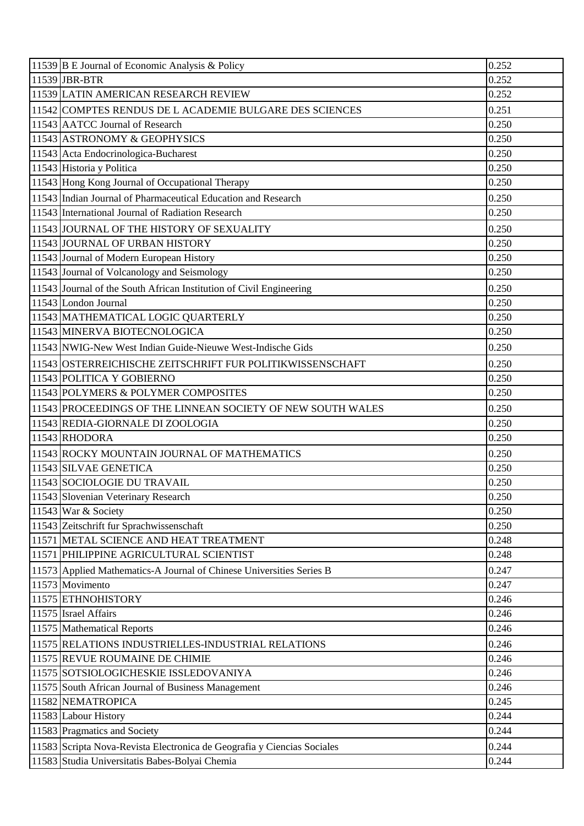| 11539 B E Journal of Economic Analysis & Policy                         | 0.252 |
|-------------------------------------------------------------------------|-------|
| 11539 JBR-BTR                                                           | 0.252 |
| 11539 LATIN AMERICAN RESEARCH REVIEW                                    | 0.252 |
| 11542 COMPTES RENDUS DE L ACADEMIE BULGARE DES SCIENCES                 | 0.251 |
| 11543 AATCC Journal of Research                                         | 0.250 |
| 11543 ASTRONOMY & GEOPHYSICS                                            | 0.250 |
| 11543 Acta Endocrinologica-Bucharest                                    | 0.250 |
| 11543 Historia y Politica                                               | 0.250 |
| 11543 Hong Kong Journal of Occupational Therapy                         | 0.250 |
| 11543 Indian Journal of Pharmaceutical Education and Research           | 0.250 |
| 11543 International Journal of Radiation Research                       | 0.250 |
| 11543 JOURNAL OF THE HISTORY OF SEXUALITY                               | 0.250 |
| 11543 JOURNAL OF URBAN HISTORY                                          | 0.250 |
| 11543 Journal of Modern European History                                | 0.250 |
| 11543 Journal of Volcanology and Seismology                             | 0.250 |
| 11543 Journal of the South African Institution of Civil Engineering     | 0.250 |
| 11543 London Journal                                                    | 0.250 |
| 11543 MATHEMATICAL LOGIC QUARTERLY                                      | 0.250 |
| 11543 MINERVA BIOTECNOLOGICA                                            | 0.250 |
| 11543 NWIG-New West Indian Guide-Nieuwe West-Indische Gids              | 0.250 |
| 11543 OSTERREICHISCHE ZEITSCHRIFT FUR POLITIKWISSENSCHAFT               | 0.250 |
| 11543 POLITICA Y GOBIERNO                                               | 0.250 |
| 11543 POLYMERS & POLYMER COMPOSITES                                     | 0.250 |
| 11543 PROCEEDINGS OF THE LINNEAN SOCIETY OF NEW SOUTH WALES             | 0.250 |
| 11543 REDIA-GIORNALE DI ZOOLOGIA                                        | 0.250 |
| 11543 RHODORA                                                           | 0.250 |
| 11543 ROCKY MOUNTAIN JOURNAL OF MATHEMATICS                             | 0.250 |
| 11543 SILVAE GENETICA                                                   | 0.250 |
| 11543 SOCIOLOGIE DU TRAVAIL                                             | 0.250 |
| 11543 Slovenian Veterinary Research                                     | 0.250 |
| 11543 War & Society                                                     | 0.250 |
| 11543 Zeitschrift fur Sprachwissenschaft                                | 0.250 |
| 11571 METAL SCIENCE AND HEAT TREATMENT                                  | 0.248 |
| 11571 PHILIPPINE AGRICULTURAL SCIENTIST                                 | 0.248 |
| 11573 Applied Mathematics-A Journal of Chinese Universities Series B    | 0.247 |
| 11573 Movimento                                                         | 0.247 |
| 11575 ETHNOHISTORY                                                      | 0.246 |
| 11575 Israel Affairs                                                    | 0.246 |
| 11575 Mathematical Reports                                              | 0.246 |
| 11575 RELATIONS INDUSTRIELLES-INDUSTRIAL RELATIONS                      | 0.246 |
| 11575 REVUE ROUMAINE DE CHIMIE                                          | 0.246 |
| 11575 SOTSIOLOGICHESKIE ISSLEDOVANIYA                                   | 0.246 |
| 11575 South African Journal of Business Management                      | 0.246 |
| 11582 NEMATROPICA                                                       | 0.245 |
| 11583 Labour History                                                    | 0.244 |
| 11583 Pragmatics and Society                                            | 0.244 |
| 11583 Scripta Nova-Revista Electronica de Geografia y Ciencias Sociales | 0.244 |
| 11583 Studia Universitatis Babes-Bolyai Chemia                          | 0.244 |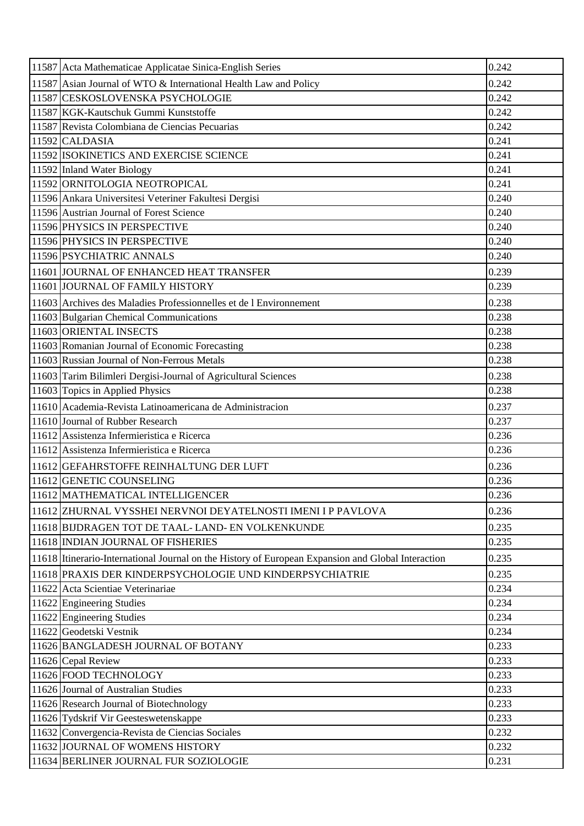| 11587 Acta Mathematicae Applicatae Sinica-English Series                                           | 0.242 |
|----------------------------------------------------------------------------------------------------|-------|
| 11587 Asian Journal of WTO & International Health Law and Policy                                   | 0.242 |
| 11587 CESKOSLOVENSKA PSYCHOLOGIE                                                                   | 0.242 |
| 11587 KGK-Kautschuk Gummi Kunststoffe                                                              | 0.242 |
| 11587 Revista Colombiana de Ciencias Pecuarias                                                     | 0.242 |
| $11592$ CALDASIA                                                                                   | 0.241 |
| 11592 ISOKINETICS AND EXERCISE SCIENCE                                                             | 0.241 |
| 11592 Inland Water Biology                                                                         | 0.241 |
| 11592 ORNITOLOGIA NEOTROPICAL                                                                      | 0.241 |
| 11596 Ankara Universitesi Veteriner Fakultesi Dergisi                                              | 0.240 |
| 11596 Austrian Journal of Forest Science                                                           | 0.240 |
| 11596 PHYSICS IN PERSPECTIVE                                                                       | 0.240 |
| 11596 PHYSICS IN PERSPECTIVE                                                                       | 0.240 |
| 11596 PSYCHIATRIC ANNALS                                                                           | 0.240 |
| 11601 JOURNAL OF ENHANCED HEAT TRANSFER                                                            | 0.239 |
| 11601 JOURNAL OF FAMILY HISTORY                                                                    | 0.239 |
| 11603 Archives des Maladies Professionnelles et de l'Environnement                                 | 0.238 |
| 11603 Bulgarian Chemical Communications                                                            | 0.238 |
| 11603 ORIENTAL INSECTS                                                                             | 0.238 |
| 11603 Romanian Journal of Economic Forecasting                                                     | 0.238 |
| 11603 Russian Journal of Non-Ferrous Metals                                                        | 0.238 |
| 11603 Tarim Bilimleri Dergisi-Journal of Agricultural Sciences                                     | 0.238 |
| 11603 Topics in Applied Physics                                                                    | 0.238 |
| 11610 Academia-Revista Latinoamericana de Administracion                                           | 0.237 |
| 11610 Journal of Rubber Research                                                                   | 0.237 |
| 11612 Assistenza Infermieristica e Ricerca                                                         | 0.236 |
| 11612 Assistenza Infermieristica e Ricerca                                                         | 0.236 |
| 11612 GEFAHRSTOFFE REINHALTUNG DER LUFT                                                            | 0.236 |
| 11612 GENETIC COUNSELING                                                                           | 0.236 |
| 11612 MATHEMATICAL INTELLIGENCER                                                                   | 0.236 |
| 11612 ZHURNAL VYSSHEI NERVNOI DEYATELNOSTI IMENI I P PAVLOVA                                       | 0.236 |
| 11618 BIJDRAGEN TOT DE TAAL-LAND- EN VOLKENKUNDE                                                   | 0.235 |
| 11618 INDIAN JOURNAL OF FISHERIES                                                                  | 0.235 |
| 11618 Itinerario-International Journal on the History of European Expansion and Global Interaction | 0.235 |
| 11618 PRAXIS DER KINDERPSYCHOLOGIE UND KINDERPSYCHIATRIE                                           | 0.235 |
| 11622 Acta Scientiae Veterinariae                                                                  | 0.234 |
| 11622 Engineering Studies                                                                          | 0.234 |
| 11622 Engineering Studies                                                                          | 0.234 |
| 11622 Geodetski Vestnik                                                                            | 0.234 |
| 11626 BANGLADESH JOURNAL OF BOTANY                                                                 | 0.233 |
| 11626 Cepal Review                                                                                 | 0.233 |
| 11626 FOOD TECHNOLOGY                                                                              | 0.233 |
| 11626 Journal of Australian Studies                                                                | 0.233 |
| 11626 Research Journal of Biotechnology                                                            | 0.233 |
| 11626 Tydskrif Vir Geesteswetenskappe                                                              | 0.233 |
| 11632 Convergencia-Revista de Ciencias Sociales                                                    | 0.232 |
| 11632 JOURNAL OF WOMENS HISTORY                                                                    | 0.232 |
| 11634 BERLINER JOURNAL FUR SOZIOLOGIE                                                              | 0.231 |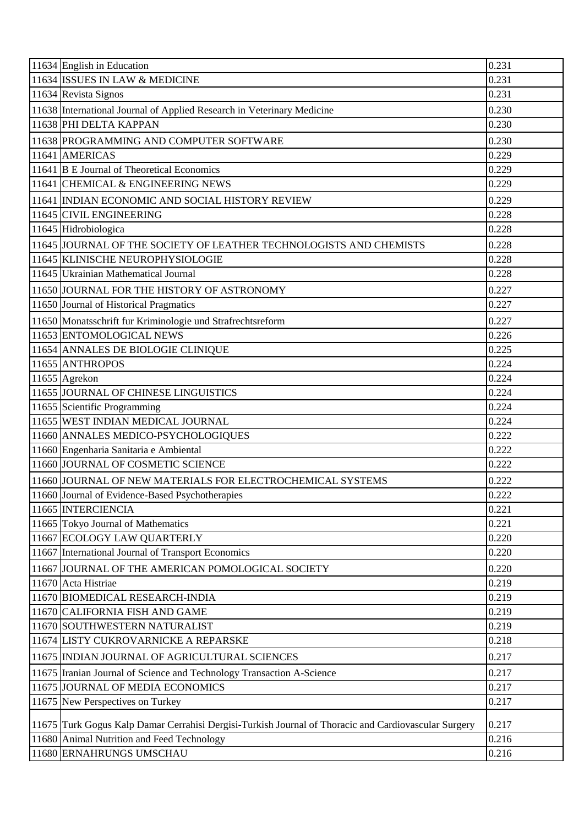| 11634 English in Education                                                                           | 0.231 |
|------------------------------------------------------------------------------------------------------|-------|
| 11634 ISSUES IN LAW & MEDICINE                                                                       | 0.231 |
| 11634 Revista Signos                                                                                 | 0.231 |
| 11638 International Journal of Applied Research in Veterinary Medicine                               | 0.230 |
| 11638 PHI DELTA KAPPAN                                                                               | 0.230 |
| 11638 PROGRAMMING AND COMPUTER SOFTWARE                                                              | 0.230 |
| 11641 AMERICAS                                                                                       | 0.229 |
| 11641 B E Journal of Theoretical Economics                                                           | 0.229 |
| 11641 CHEMICAL & ENGINEERING NEWS                                                                    | 0.229 |
| 11641 INDIAN ECONOMIC AND SOCIAL HISTORY REVIEW                                                      | 0.229 |
| 11645 CIVIL ENGINEERING                                                                              | 0.228 |
| 11645 Hidrobiologica                                                                                 | 0.228 |
| 11645 JOURNAL OF THE SOCIETY OF LEATHER TECHNOLOGISTS AND CHEMISTS                                   | 0.228 |
| 11645 KLINISCHE NEUROPHYSIOLOGIE                                                                     | 0.228 |
| 11645 Ukrainian Mathematical Journal                                                                 | 0.228 |
| 11650 JOURNAL FOR THE HISTORY OF ASTRONOMY                                                           | 0.227 |
| 11650 Journal of Historical Pragmatics                                                               | 0.227 |
| 11650 Monatsschrift fur Kriminologie und Strafrechtsreform                                           | 0.227 |
| 11653 ENTOMOLOGICAL NEWS                                                                             | 0.226 |
| 11654 ANNALES DE BIOLOGIE CLINIQUE                                                                   | 0.225 |
| 11655 ANTHROPOS                                                                                      | 0.224 |
| 11655 Agrekon                                                                                        | 0.224 |
| 11655 JOURNAL OF CHINESE LINGUISTICS                                                                 | 0.224 |
| 11655 Scientific Programming                                                                         | 0.224 |
| 11655 WEST INDIAN MEDICAL JOURNAL                                                                    | 0.224 |
| 11660 ANNALES MEDICO-PSYCHOLOGIQUES                                                                  | 0.222 |
| 11660 Engenharia Sanitaria e Ambiental                                                               | 0.222 |
| 11660 JOURNAL OF COSMETIC SCIENCE                                                                    | 0.222 |
| 11660 JOURNAL OF NEW MATERIALS FOR ELECTROCHEMICAL SYSTEMS                                           | 0.222 |
| 11660 Journal of Evidence-Based Psychotherapies                                                      | 0.222 |
| 11665 INTERCIENCIA                                                                                   | 0.221 |
| 11665 Tokyo Journal of Mathematics                                                                   | 0.221 |
| 11667 ECOLOGY LAW QUARTERLY                                                                          | 0.220 |
| 11667 International Journal of Transport Economics                                                   | 0.220 |
| 11667 JOURNAL OF THE AMERICAN POMOLOGICAL SOCIETY                                                    | 0.220 |
| 11670 Acta Histriae                                                                                  | 0.219 |
| 11670 BIOMEDICAL RESEARCH-INDIA                                                                      | 0.219 |
| 11670 CALIFORNIA FISH AND GAME                                                                       | 0.219 |
| 11670 SOUTHWESTERN NATURALIST                                                                        | 0.219 |
| 11674 LISTY CUKROVARNICKE A REPARSKE                                                                 | 0.218 |
| 11675 INDIAN JOURNAL OF AGRICULTURAL SCIENCES                                                        | 0.217 |
| 11675 Iranian Journal of Science and Technology Transaction A-Science                                | 0.217 |
| 11675 JOURNAL OF MEDIA ECONOMICS                                                                     | 0.217 |
| 11675 New Perspectives on Turkey                                                                     | 0.217 |
|                                                                                                      |       |
| 11675 Turk Gogus Kalp Damar Cerrahisi Dergisi-Turkish Journal of Thoracic and Cardiovascular Surgery | 0.217 |
| 11680 Animal Nutrition and Feed Technology                                                           | 0.216 |
| 11680 ERNAHRUNGS UMSCHAU                                                                             | 0.216 |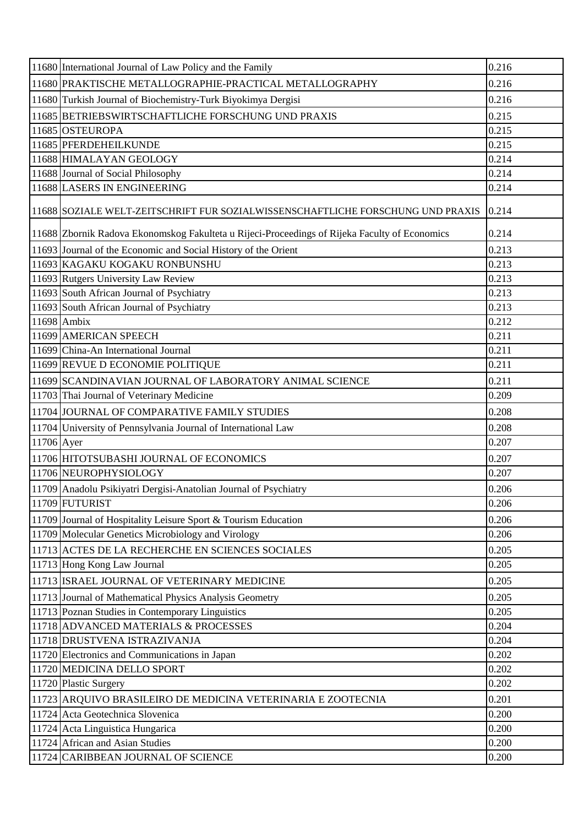|            | 11680 International Journal of Law Policy and the Family                                      | 0.216 |
|------------|-----------------------------------------------------------------------------------------------|-------|
|            | 11680 PRAKTISCHE METALLOGRAPHIE-PRACTICAL METALLOGRAPHY                                       | 0.216 |
|            | 11680 Turkish Journal of Biochemistry-Turk Biyokimya Dergisi                                  | 0.216 |
|            | 11685 BETRIEBSWIRTSCHAFTLICHE FORSCHUNG UND PRAXIS                                            | 0.215 |
|            | 11685 OSTEUROPA                                                                               | 0.215 |
|            | 11685 PFERDEHEILKUNDE                                                                         | 0.215 |
|            | 11688 HIMALAYAN GEOLOGY                                                                       | 0.214 |
|            | 11688 Journal of Social Philosophy                                                            | 0.214 |
|            | 11688 LASERS IN ENGINEERING                                                                   | 0.214 |
|            | 11688 SOZIALE WELT-ZEITSCHRIFT FUR SOZIALWISSENSCHAFTLICHE FORSCHUNG UND PRAXIS               | 0.214 |
|            | 11688 Zbornik Radova Ekonomskog Fakulteta u Rijeci-Proceedings of Rijeka Faculty of Economics | 0.214 |
|            | 11693 Journal of the Economic and Social History of the Orient                                | 0.213 |
|            | 11693 KAGAKU KOGAKU RONBUNSHU                                                                 | 0.213 |
|            | 11693 Rutgers University Law Review                                                           | 0.213 |
|            | 11693 South African Journal of Psychiatry                                                     | 0.213 |
|            | 11693 South African Journal of Psychiatry                                                     | 0.213 |
|            | 11698 Ambix                                                                                   | 0.212 |
|            | 11699 AMERICAN SPEECH                                                                         | 0.211 |
|            | 11699 China-An International Journal                                                          | 0.211 |
|            | 11699 REVUE D ECONOMIE POLITIQUE                                                              | 0.211 |
|            | 11699 SCANDINAVIAN JOURNAL OF LABORATORY ANIMAL SCIENCE                                       | 0.211 |
|            | 11703 Thai Journal of Veterinary Medicine                                                     | 0.209 |
|            | 11704 JOURNAL OF COMPARATIVE FAMILY STUDIES                                                   | 0.208 |
|            | 11704 University of Pennsylvania Journal of International Law                                 | 0.208 |
| 11706 Ayer |                                                                                               | 0.207 |
|            | 11706 HITOTSUBASHI JOURNAL OF ECONOMICS                                                       | 0.207 |
|            | 11706 NEUROPHYSIOLOGY                                                                         | 0.207 |
|            | 11709 Anadolu Psikiyatri Dergisi-Anatolian Journal of Psychiatry                              | 0.206 |
|            | 11709 FUTURIST                                                                                | 0.206 |
|            | 11709 Journal of Hospitality Leisure Sport & Tourism Education                                | 0.206 |
|            | 11709 Molecular Genetics Microbiology and Virology                                            | 0.206 |
|            | 11713 ACTES DE LA RECHERCHE EN SCIENCES SOCIALES                                              | 0.205 |
|            | 11713 Hong Kong Law Journal                                                                   | 0.205 |
|            | 11713 ISRAEL JOURNAL OF VETERINARY MEDICINE                                                   | 0.205 |
|            | 11713 Journal of Mathematical Physics Analysis Geometry                                       | 0.205 |
|            | 11713 Poznan Studies in Contemporary Linguistics                                              | 0.205 |
|            | 11718 ADVANCED MATERIALS & PROCESSES                                                          | 0.204 |
|            | 11718 DRUSTVENA ISTRAZIVANJA                                                                  | 0.204 |
|            | 11720 Electronics and Communications in Japan                                                 | 0.202 |
|            | 11720 MEDICINA DELLO SPORT                                                                    | 0.202 |
|            | 11720 Plastic Surgery                                                                         | 0.202 |
|            | 11723 ARQUIVO BRASILEIRO DE MEDICINA VETERINARIA E ZOOTECNIA                                  | 0.201 |
|            | 11724 Acta Geotechnica Slovenica                                                              | 0.200 |
|            | 11724 Acta Linguistica Hungarica                                                              | 0.200 |
|            | 11724 African and Asian Studies                                                               | 0.200 |
|            | 11724 CARIBBEAN JOURNAL OF SCIENCE                                                            | 0.200 |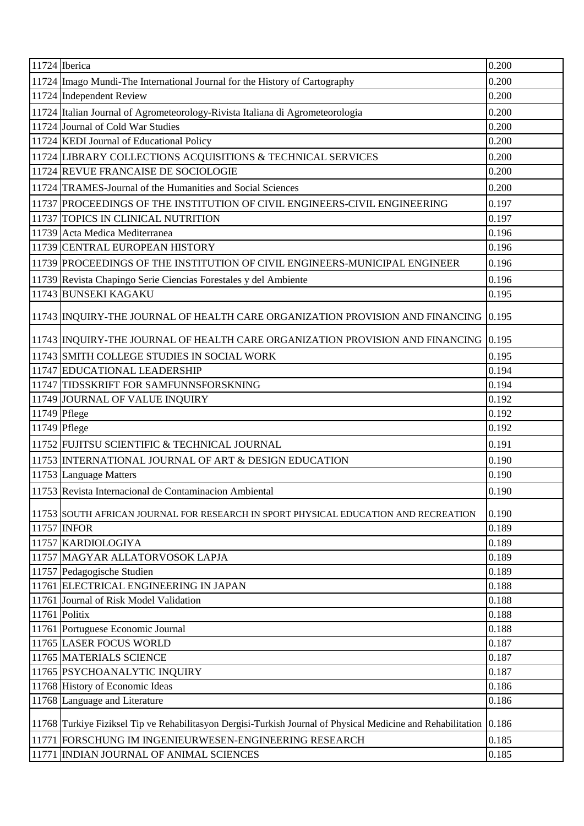| 11724 Iberica                                                                                                      | 0.200 |
|--------------------------------------------------------------------------------------------------------------------|-------|
| 11724 Imago Mundi-The International Journal for the History of Cartography                                         | 0.200 |
| 11724 Independent Review                                                                                           | 0.200 |
| 11724 Italian Journal of Agrometeorology-Rivista Italiana di Agrometeorologia                                      | 0.200 |
| 11724 Journal of Cold War Studies                                                                                  | 0.200 |
| 11724 KEDI Journal of Educational Policy                                                                           | 0.200 |
| 11724 LIBRARY COLLECTIONS ACQUISITIONS & TECHNICAL SERVICES                                                        | 0.200 |
| 11724 REVUE FRANCAISE DE SOCIOLOGIE                                                                                | 0.200 |
| 11724 TRAMES-Journal of the Humanities and Social Sciences                                                         | 0.200 |
| 11737 PROCEEDINGS OF THE INSTITUTION OF CIVIL ENGINEERS-CIVIL ENGINEERING                                          | 0.197 |
| 11737 TOPICS IN CLINICAL NUTRITION                                                                                 | 0.197 |
| 11739 Acta Medica Mediterranea                                                                                     | 0.196 |
| 11739 CENTRAL EUROPEAN HISTORY                                                                                     | 0.196 |
| 11739 PROCEEDINGS OF THE INSTITUTION OF CIVIL ENGINEERS-MUNICIPAL ENGINEER                                         | 0.196 |
| 11739 Revista Chapingo Serie Ciencias Forestales y del Ambiente                                                    | 0.196 |
| 11743 BUNSEKI KAGAKU                                                                                               | 0.195 |
| 11743 INQUIRY-THE JOURNAL OF HEALTH CARE ORGANIZATION PROVISION AND FINANCING 0.195                                |       |
| 11743 INQUIRY-THE JOURNAL OF HEALTH CARE ORGANIZATION PROVISION AND FINANCING 0.195                                |       |
| 11743 SMITH COLLEGE STUDIES IN SOCIAL WORK                                                                         | 0.195 |
| 11747 EDUCATIONAL LEADERSHIP                                                                                       | 0.194 |
| 11747 TIDSSKRIFT FOR SAMFUNNSFORSKNING                                                                             | 0.194 |
| 11749 JOURNAL OF VALUE INQUIRY                                                                                     | 0.192 |
| 11749 Pflege                                                                                                       | 0.192 |
| 11749 Pflege                                                                                                       | 0.192 |
| 11752 FUJITSU SCIENTIFIC & TECHNICAL JOURNAL                                                                       | 0.191 |
| 11753 INTERNATIONAL JOURNAL OF ART & DESIGN EDUCATION                                                              | 0.190 |
| 11753 Language Matters                                                                                             | 0.190 |
| 11753 Revista Internacional de Contaminacion Ambiental                                                             | 0.190 |
| 11753 SOUTH AFRICAN JOURNAL FOR RESEARCH IN SPORT PHYSICAL EDUCATION AND RECREATION                                | 0.190 |
| 11757 INFOR                                                                                                        | 0.189 |
| 11757 KARDIOLOGIYA                                                                                                 | 0.189 |
| 11757 MAGYAR ALLATORVOSOK LAPJA                                                                                    | 0.189 |
| 11757 Pedagogische Studien                                                                                         | 0.189 |
| 11761 ELECTRICAL ENGINEERING IN JAPAN                                                                              | 0.188 |
| 11761 Journal of Risk Model Validation                                                                             | 0.188 |
| 11761 Politix                                                                                                      | 0.188 |
| 11761 Portuguese Economic Journal                                                                                  | 0.188 |
| 11765 LASER FOCUS WORLD                                                                                            | 0.187 |
| 11765 MATERIALS SCIENCE                                                                                            | 0.187 |
| 11765 PSYCHOANALYTIC INQUIRY                                                                                       | 0.187 |
| 11768 History of Economic Ideas                                                                                    | 0.186 |
| 11768 Language and Literature                                                                                      | 0.186 |
| 11768 Turkiye Fiziksel Tip ve Rehabilitasyon Dergisi-Turkish Journal of Physical Medicine and Rehabilitation 0.186 |       |
| 11771 FORSCHUNG IM INGENIEURWESEN-ENGINEERING RESEARCH                                                             | 0.185 |
| 11771 INDIAN JOURNAL OF ANIMAL SCIENCES                                                                            | 0.185 |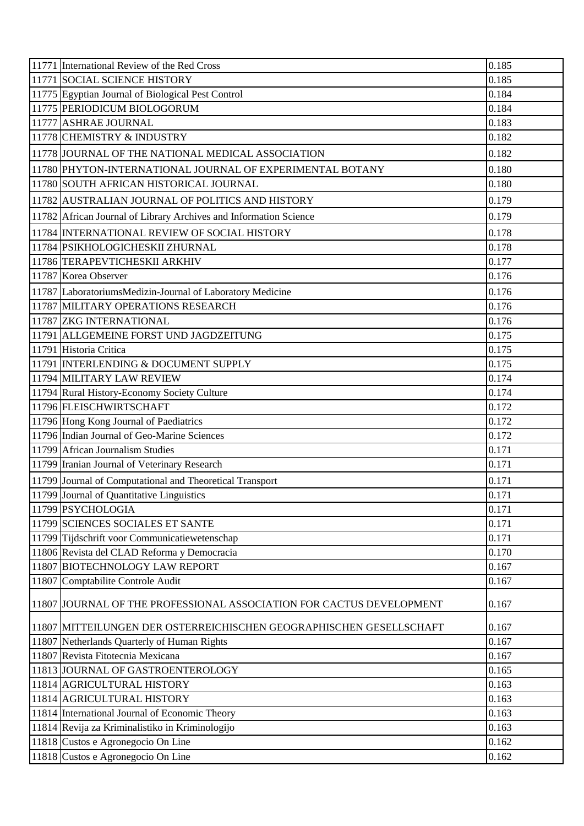| 11771 International Review of the Red Cross                          | 0.185 |
|----------------------------------------------------------------------|-------|
| 11771 SOCIAL SCIENCE HISTORY                                         | 0.185 |
| 11775 Egyptian Journal of Biological Pest Control                    | 0.184 |
| 11775 PERIODICUM BIOLOGORUM                                          | 0.184 |
| 11777 ASHRAE JOURNAL                                                 | 0.183 |
| 11778 CHEMISTRY & INDUSTRY                                           | 0.182 |
| 11778 JOURNAL OF THE NATIONAL MEDICAL ASSOCIATION                    | 0.182 |
| 11780 PHYTON-INTERNATIONAL JOURNAL OF EXPERIMENTAL BOTANY            | 0.180 |
| 11780 SOUTH AFRICAN HISTORICAL JOURNAL                               | 0.180 |
| 11782 AUSTRALIAN JOURNAL OF POLITICS AND HISTORY                     | 0.179 |
| 11782 African Journal of Library Archives and Information Science    | 0.179 |
| 11784 INTERNATIONAL REVIEW OF SOCIAL HISTORY                         | 0.178 |
| 11784 PSIKHOLOGICHESKII ZHURNAL                                      | 0.178 |
| 11786 TERAPEVTICHESKII ARKHIV                                        | 0.177 |
| 11787 Korea Observer                                                 | 0.176 |
| 11787 LaboratoriumsMedizin-Journal of Laboratory Medicine            | 0.176 |
| 11787 MILITARY OPERATIONS RESEARCH                                   | 0.176 |
| 11787 ZKG INTERNATIONAL                                              | 0.176 |
| 11791 ALLGEMEINE FORST UND JAGDZEITUNG                               | 0.175 |
| 11791 Historia Critica                                               | 0.175 |
| 11791 INTERLENDING & DOCUMENT SUPPLY                                 | 0.175 |
| 11794 MILITARY LAW REVIEW                                            | 0.174 |
| 11794 Rural History-Economy Society Culture                          | 0.174 |
| 11796 FLEISCHWIRTSCHAFT                                              | 0.172 |
| 11796 Hong Kong Journal of Paediatrics                               | 0.172 |
| 11796 Indian Journal of Geo-Marine Sciences                          | 0.172 |
| 11799 African Journalism Studies                                     | 0.171 |
| 11799 Iranian Journal of Veterinary Research                         | 0.171 |
| 11799 Journal of Computational and Theoretical Transport             | 0.171 |
| 11799 Journal of Quantitative Linguistics                            | 0.171 |
| 11799 PSYCHOLOGIA                                                    | 0.171 |
| 11799 SCIENCES SOCIALES ET SANTE                                     | 0.171 |
| 11799 Tijdschrift voor Communicatiewetenschap                        | 0.171 |
| 11806 Revista del CLAD Reforma y Democracia                          | 0.170 |
| 11807 BIOTECHNOLOGY LAW REPORT                                       | 0.167 |
| 11807 Comptabilite Controle Audit                                    | 0.167 |
| 11807 JOURNAL OF THE PROFESSIONAL ASSOCIATION FOR CACTUS DEVELOPMENT | 0.167 |
| 11807 MITTEILUNGEN DER OSTERREICHISCHEN GEOGRAPHISCHEN GESELLSCHAFT  | 0.167 |
| 11807 Netherlands Quarterly of Human Rights                          | 0.167 |
| 11807 Revista Fitotecnia Mexicana                                    | 0.167 |
| 11813 JOURNAL OF GASTROENTEROLOGY                                    | 0.165 |
| 11814 AGRICULTURAL HISTORY                                           | 0.163 |
| 11814 AGRICULTURAL HISTORY                                           | 0.163 |
| 11814 International Journal of Economic Theory                       | 0.163 |
| 11814 Revija za Kriminalistiko in Kriminologijo                      | 0.163 |
| 11818 Custos e Agronegocio On Line                                   | 0.162 |
| 11818 Custos e Agronegocio On Line                                   | 0.162 |
|                                                                      |       |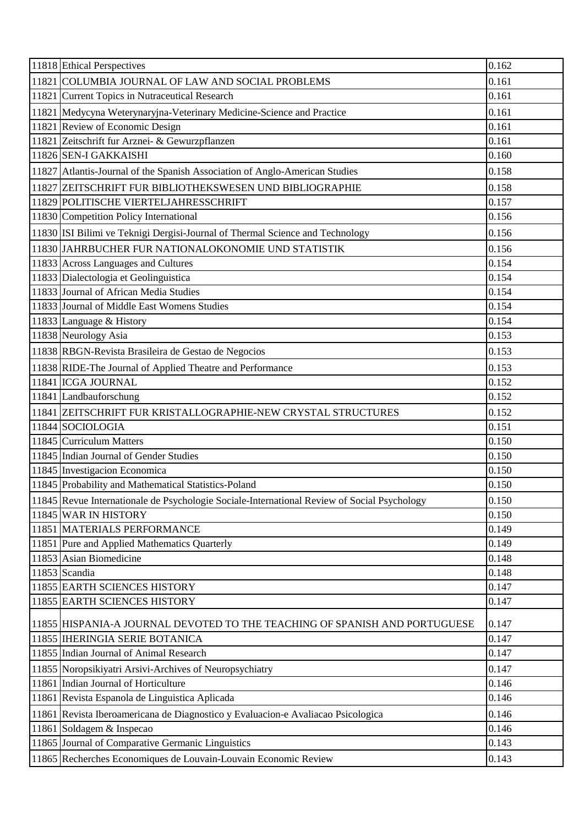| 11818 Ethical Perspectives                                                                  | 0.162 |
|---------------------------------------------------------------------------------------------|-------|
| 11821 COLUMBIA JOURNAL OF LAW AND SOCIAL PROBLEMS                                           | 0.161 |
| 11821 Current Topics in Nutraceutical Research                                              | 0.161 |
| 11821 Medycyna Weterynaryjna-Veterinary Medicine-Science and Practice                       | 0.161 |
| 11821 Review of Economic Design                                                             | 0.161 |
| 11821 Zeitschrift fur Arznei- & Gewurzpflanzen                                              | 0.161 |
| 11826 SEN-I GAKKAISHI                                                                       | 0.160 |
| 11827 Atlantis-Journal of the Spanish Association of Anglo-American Studies                 | 0.158 |
| 11827 ZEITSCHRIFT FUR BIBLIOTHEKSWESEN UND BIBLIOGRAPHIE                                    | 0.158 |
| 11829 POLITISCHE VIERTELJAHRESSCHRIFT                                                       | 0.157 |
| 11830 Competition Policy International                                                      | 0.156 |
| 11830 ISI Bilimi ve Teknigi Dergisi-Journal of Thermal Science and Technology               | 0.156 |
| 11830 JAHRBUCHER FUR NATIONALOKONOMIE UND STATISTIK                                         | 0.156 |
| 11833 Across Languages and Cultures                                                         | 0.154 |
| 11833 Dialectologia et Geolinguistica                                                       | 0.154 |
| 11833 Journal of African Media Studies                                                      | 0.154 |
| 11833 Journal of Middle East Womens Studies                                                 | 0.154 |
| 11833 Language & History                                                                    | 0.154 |
| 11838 Neurology Asia                                                                        | 0.153 |
| 11838 RBGN-Revista Brasileira de Gestao de Negocios                                         | 0.153 |
| 11838 RIDE-The Journal of Applied Theatre and Performance                                   | 0.153 |
| 11841 ICGA JOURNAL                                                                          | 0.152 |
| 11841 Landbauforschung                                                                      | 0.152 |
| 11841 ZEITSCHRIFT FUR KRISTALLOGRAPHIE-NEW CRYSTAL STRUCTURES                               | 0.152 |
| 11844 SOCIOLOGIA                                                                            | 0.151 |
| 11845 Curriculum Matters                                                                    | 0.150 |
| 11845 Indian Journal of Gender Studies                                                      | 0.150 |
| 11845 Investigacion Economica                                                               | 0.150 |
| 11845 Probability and Mathematical Statistics-Poland                                        | 0.150 |
| 11845 Revue Internationale de Psychologie Sociale-International Review of Social Psychology | 0.150 |
| 11845 WAR IN HISTORY                                                                        | 0.150 |
| 11851 MATERIALS PERFORMANCE                                                                 | 0.149 |
| 11851 Pure and Applied Mathematics Quarterly                                                | 0.149 |
| 11853 Asian Biomedicine                                                                     | 0.148 |
| 11853 Scandia                                                                               | 0.148 |
| 11855 EARTH SCIENCES HISTORY                                                                | 0.147 |
| 11855 EARTH SCIENCES HISTORY                                                                | 0.147 |
| 11855 HISPANIA-A JOURNAL DEVOTED TO THE TEACHING OF SPANISH AND PORTUGUESE                  | 0.147 |
| 11855 HERINGIA SERIE BOTANICA                                                               | 0.147 |
| 11855 Indian Journal of Animal Research                                                     | 0.147 |
| 11855 Noropsikiyatri Arsivi-Archives of Neuropsychiatry                                     | 0.147 |
| 11861 Indian Journal of Horticulture                                                        | 0.146 |
| 11861 Revista Espanola de Linguistica Aplicada                                              | 0.146 |
| 11861 Revista Iberoamericana de Diagnostico y Evaluacion-e Avaliacao Psicologica            | 0.146 |
| 11861 Soldagem & Inspecao                                                                   | 0.146 |
| 11865 Journal of Comparative Germanic Linguistics                                           | 0.143 |
| 11865 Recherches Economiques de Louvain-Louvain Economic Review                             | 0.143 |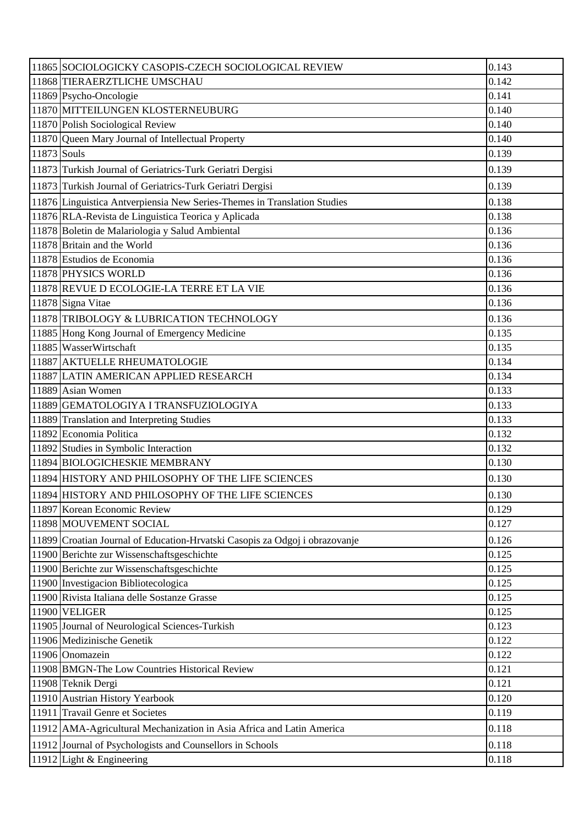|             | 11865 SOCIOLOGICKY CASOPIS-CZECH SOCIOLOGICAL REVIEW                        | 0.143 |
|-------------|-----------------------------------------------------------------------------|-------|
|             | 11868 TIERAERZTLICHE UMSCHAU                                                | 0.142 |
|             | 11869 Psycho-Oncologie                                                      | 0.141 |
|             | 11870 MITTEILUNGEN KLOSTERNEUBURG                                           | 0.140 |
|             | 11870 Polish Sociological Review                                            | 0.140 |
|             | 11870 Queen Mary Journal of Intellectual Property                           | 0.140 |
| 11873 Souls |                                                                             | 0.139 |
|             | 11873 Turkish Journal of Geriatrics-Turk Geriatri Dergisi                   | 0.139 |
|             | 11873 Turkish Journal of Geriatrics-Turk Geriatri Dergisi                   | 0.139 |
|             | 11876 Linguistica Antverpiensia New Series-Themes in Translation Studies    | 0.138 |
|             | 11876 RLA-Revista de Linguistica Teorica y Aplicada                         | 0.138 |
|             | 11878 Boletin de Malariologia y Salud Ambiental                             | 0.136 |
|             | 11878 Britain and the World                                                 | 0.136 |
|             | 11878 Estudios de Economia                                                  | 0.136 |
|             | 11878 PHYSICS WORLD                                                         | 0.136 |
|             | 11878 REVUE D ECOLOGIE-LA TERRE ET LA VIE                                   | 0.136 |
|             | 11878 Signa Vitae                                                           | 0.136 |
|             | 11878 TRIBOLOGY & LUBRICATION TECHNOLOGY                                    | 0.136 |
|             | 11885 Hong Kong Journal of Emergency Medicine                               | 0.135 |
|             | 11885 WasserWirtschaft                                                      | 0.135 |
|             | 11887 AKTUELLE RHEUMATOLOGIE                                                | 0.134 |
|             | 11887 LATIN AMERICAN APPLIED RESEARCH                                       | 0.134 |
|             | 11889 Asian Women                                                           | 0.133 |
|             | 11889 GEMATOLOGIYA I TRANSFUZIOLOGIYA                                       | 0.133 |
|             | 11889 Translation and Interpreting Studies                                  | 0.133 |
|             | 11892 Economia Politica                                                     | 0.132 |
|             | 11892 Studies in Symbolic Interaction                                       | 0.132 |
|             | 11894 BIOLOGICHESKIE MEMBRANY                                               | 0.130 |
|             | 11894 HISTORY AND PHILOSOPHY OF THE LIFE SCIENCES                           | 0.130 |
|             | 11894 HISTORY AND PHILOSOPHY OF THE LIFE SCIENCES                           | 0.130 |
|             | 11897 Korean Economic Review                                                | 0.129 |
|             | 11898 MOUVEMENT SOCIAL                                                      | 0.127 |
|             | 11899 Croatian Journal of Education-Hrvatski Casopis za Odgoj i obrazovanje | 0.126 |
|             | 11900 Berichte zur Wissenschaftsgeschichte                                  | 0.125 |
|             | 11900 Berichte zur Wissenschaftsgeschichte                                  | 0.125 |
|             | 11900 Investigacion Bibliotecologica                                        | 0.125 |
|             | 11900 Rivista Italiana delle Sostanze Grasse                                | 0.125 |
|             | 11900 VELIGER                                                               | 0.125 |
|             | 11905 Journal of Neurological Sciences-Turkish                              | 0.123 |
|             | 11906 Medizinische Genetik                                                  | 0.122 |
|             | 11906 Onomazein                                                             | 0.122 |
|             | 11908 BMGN-The Low Countries Historical Review                              | 0.121 |
|             | 11908 Teknik Dergi                                                          | 0.121 |
|             | 11910 Austrian History Yearbook                                             | 0.120 |
|             | 11911 Travail Genre et Societes                                             | 0.119 |
|             | 11912   AMA-Agricultural Mechanization in Asia Africa and Latin America     | 0.118 |
|             | 11912 Journal of Psychologists and Counsellors in Schools                   | 0.118 |
|             | 11912 Light & Engineering                                                   | 0.118 |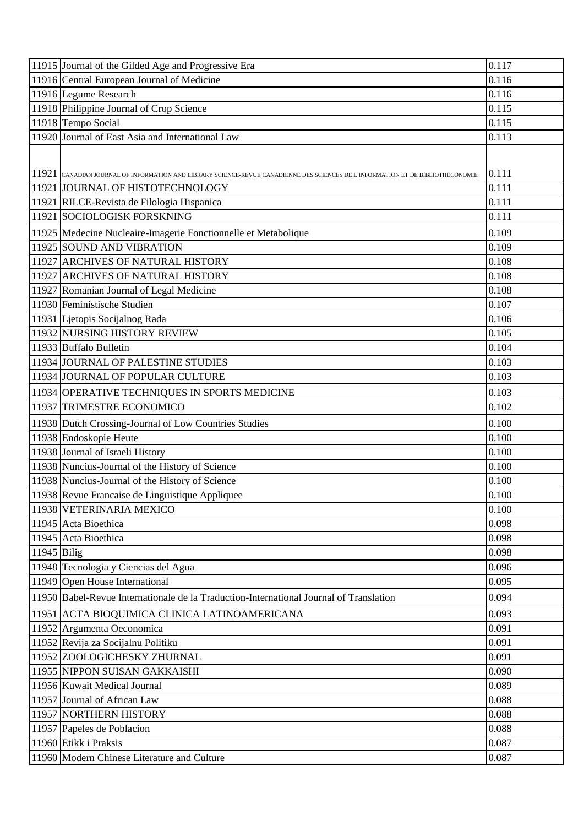|               | 11915 Journal of the Gilded Age and Progressive Era                                                                             | 0.117 |
|---------------|---------------------------------------------------------------------------------------------------------------------------------|-------|
|               | 11916 Central European Journal of Medicine                                                                                      | 0.116 |
|               | 11916 Legume Research                                                                                                           | 0.116 |
|               | 11918 Philippine Journal of Crop Science                                                                                        | 0.115 |
|               | 11918 Tempo Social                                                                                                              | 0.115 |
|               | 11920 Journal of East Asia and International Law                                                                                | 0.113 |
|               |                                                                                                                                 |       |
|               |                                                                                                                                 |       |
|               | 11921 CANADIAN JOURNAL OF INFORMATION AND LIBRARY SCIENCE-REVUE CANADIENNE DES SCIENCES DE L INFORMATION ET DE BIBLIOTHECONOMIE | 0.111 |
|               | 11921 JOURNAL OF HISTOTECHNOLOGY                                                                                                | 0.111 |
|               | 11921 RILCE-Revista de Filologia Hispanica                                                                                      | 0.111 |
|               | 11921 SOCIOLOGISK FORSKNING                                                                                                     | 0.111 |
|               | 11925   Medecine Nucleaire-Imagerie Fonctionnelle et Metabolique                                                                | 0.109 |
|               | 11925 SOUND AND VIBRATION                                                                                                       | 0.109 |
|               | 11927 ARCHIVES OF NATURAL HISTORY                                                                                               | 0.108 |
|               | 11927 ARCHIVES OF NATURAL HISTORY                                                                                               | 0.108 |
|               | 11927 Romanian Journal of Legal Medicine                                                                                        | 0.108 |
|               | 11930 Feministische Studien                                                                                                     | 0.107 |
|               | 11931 Ljetopis Socijalnog Rada                                                                                                  | 0.106 |
|               | 11932 NURSING HISTORY REVIEW                                                                                                    | 0.105 |
|               | 11933 Buffalo Bulletin                                                                                                          | 0.104 |
|               | 11934 JOURNAL OF PALESTINE STUDIES                                                                                              | 0.103 |
|               | 11934 JOURNAL OF POPULAR CULTURE                                                                                                | 0.103 |
|               | 11934 OPERATIVE TECHNIQUES IN SPORTS MEDICINE                                                                                   | 0.103 |
|               | 11937 TRIMESTRE ECONOMICO                                                                                                       | 0.102 |
|               | 11938 Dutch Crossing-Journal of Low Countries Studies                                                                           | 0.100 |
|               | 11938 Endoskopie Heute                                                                                                          | 0.100 |
|               | 11938 Journal of Israeli History                                                                                                | 0.100 |
|               | 11938 Nuncius-Journal of the History of Science                                                                                 | 0.100 |
|               | 11938 Nuncius-Journal of the History of Science                                                                                 | 0.100 |
|               | 11938 Revue Francaise de Linguistique Appliquee                                                                                 | 0.100 |
|               | 11938 VETERINARIA MEXICO                                                                                                        | 0.100 |
|               | 11945 Acta Bioethica                                                                                                            | 0.098 |
|               | 11945 Acta Bioethica                                                                                                            | 0.098 |
| $11945$ Bilig |                                                                                                                                 | 0.098 |
|               | 11948 Tecnologia y Ciencias del Agua                                                                                            | 0.096 |
|               | 11949 Open House International                                                                                                  | 0.095 |
|               | 11950 Babel-Revue Internationale de la Traduction-International Journal of Translation                                          | 0.094 |
|               | 11951 ACTA BIOQUIMICA CLINICA LATINOAMERICANA                                                                                   | 0.093 |
|               | 11952 Argumenta Oeconomica                                                                                                      | 0.091 |
|               | 11952 Revija za Socijalnu Politiku                                                                                              | 0.091 |
|               | 11952 ZOOLOGICHESKY ZHURNAL                                                                                                     | 0.091 |
|               | 11955 NIPPON SUISAN GAKKAISHI                                                                                                   | 0.090 |
|               | 11956 Kuwait Medical Journal                                                                                                    | 0.089 |
|               | 11957 Journal of African Law                                                                                                    | 0.088 |
|               | 11957 NORTHERN HISTORY                                                                                                          | 0.088 |
|               | 11957 Papeles de Poblacion                                                                                                      | 0.088 |
|               | 11960 Etikk i Praksis                                                                                                           | 0.087 |
|               | 11960 Modern Chinese Literature and Culture                                                                                     | 0.087 |
|               |                                                                                                                                 |       |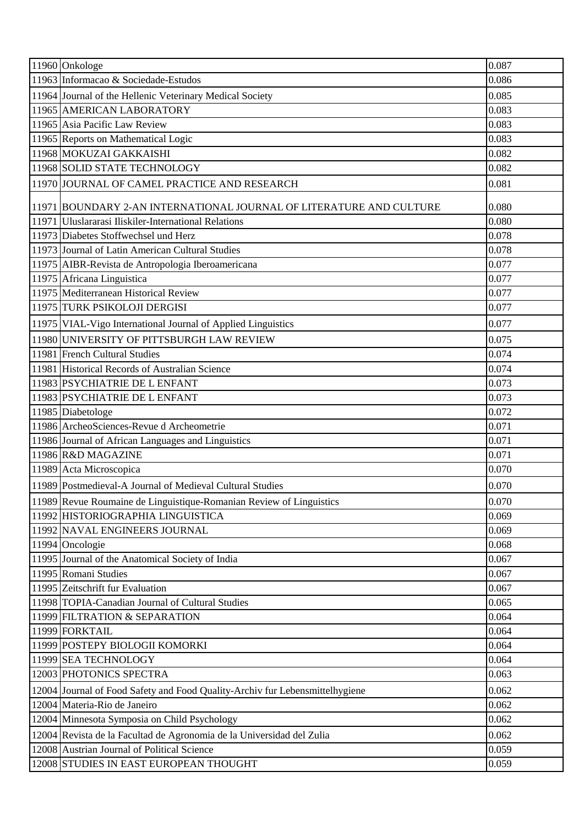| 11960 Onkologe                                                               | 0.087 |
|------------------------------------------------------------------------------|-------|
| 11963 Informacao & Sociedade-Estudos                                         | 0.086 |
| 11964 Journal of the Hellenic Veterinary Medical Society                     | 0.085 |
| 11965 AMERICAN LABORATORY                                                    | 0.083 |
| 11965 Asia Pacific Law Review                                                | 0.083 |
| 11965 Reports on Mathematical Logic                                          | 0.083 |
| 11968 MOKUZAI GAKKAISHI                                                      | 0.082 |
| 11968 SOLID STATE TECHNOLOGY                                                 | 0.082 |
| 11970 JOURNAL OF CAMEL PRACTICE AND RESEARCH                                 | 0.081 |
| 11971 BOUNDARY 2-AN INTERNATIONAL JOURNAL OF LITERATURE AND CULTURE          | 0.080 |
| 11971 Uluslararasi Iliskiler-International Relations                         | 0.080 |
| 11973 Diabetes Stoffwechsel und Herz                                         | 0.078 |
| 11973 Journal of Latin American Cultural Studies                             | 0.078 |
| 11975 AIBR-Revista de Antropologia Iberoamericana                            | 0.077 |
| 11975 Africana Linguistica                                                   | 0.077 |
| 11975 Mediterranean Historical Review                                        | 0.077 |
| 11975 TURK PSIKOLOJI DERGISI                                                 | 0.077 |
| 11975 VIAL-Vigo International Journal of Applied Linguistics                 | 0.077 |
| 11980 UNIVERSITY OF PITTSBURGH LAW REVIEW                                    | 0.075 |
| 11981 French Cultural Studies                                                | 0.074 |
| 11981 Historical Records of Australian Science                               | 0.074 |
| 11983 PSYCHIATRIE DE L ENFANT                                                | 0.073 |
| 11983 PSYCHIATRIE DE L ENFANT                                                | 0.073 |
| 11985 Diabetologe                                                            | 0.072 |
| 11986 ArcheoSciences-Revue d Archeometrie                                    | 0.071 |
| 11986 Journal of African Languages and Linguistics                           | 0.071 |
| 11986 R&D MAGAZINE                                                           | 0.071 |
| 11989 Acta Microscopica                                                      | 0.070 |
| 11989 Postmedieval-A Journal of Medieval Cultural Studies                    | 0.070 |
| 11989 Revue Roumaine de Linguistique-Romanian Review of Linguistics          | 0.070 |
| 11992 HISTORIOGRAPHIA LINGUISTICA                                            | 0.069 |
| 11992 NAVAL ENGINEERS JOURNAL                                                | 0.069 |
| 11994 Oncologie                                                              | 0.068 |
| 11995 Journal of the Anatomical Society of India                             | 0.067 |
| 11995 Romani Studies                                                         | 0.067 |
| 11995 Zeitschrift fur Evaluation                                             | 0.067 |
| 11998 TOPIA-Canadian Journal of Cultural Studies                             | 0.065 |
| 11999 FILTRATION & SEPARATION                                                | 0.064 |
| 11999 FORKTAIL                                                               | 0.064 |
| 11999 POSTEPY BIOLOGII KOMORKI                                               | 0.064 |
| 11999 SEA TECHNOLOGY                                                         | 0.064 |
| 12003 PHOTONICS SPECTRA                                                      | 0.063 |
| 12004 Journal of Food Safety and Food Quality-Archiv fur Lebensmittelhygiene | 0.062 |
| 12004 Materia-Rio de Janeiro                                                 | 0.062 |
| 12004 Minnesota Symposia on Child Psychology                                 | 0.062 |
| 12004 Revista de la Facultad de Agronomia de la Universidad del Zulia        | 0.062 |
| 12008 Austrian Journal of Political Science                                  | 0.059 |
| 12008 STUDIES IN EAST EUROPEAN THOUGHT                                       | 0.059 |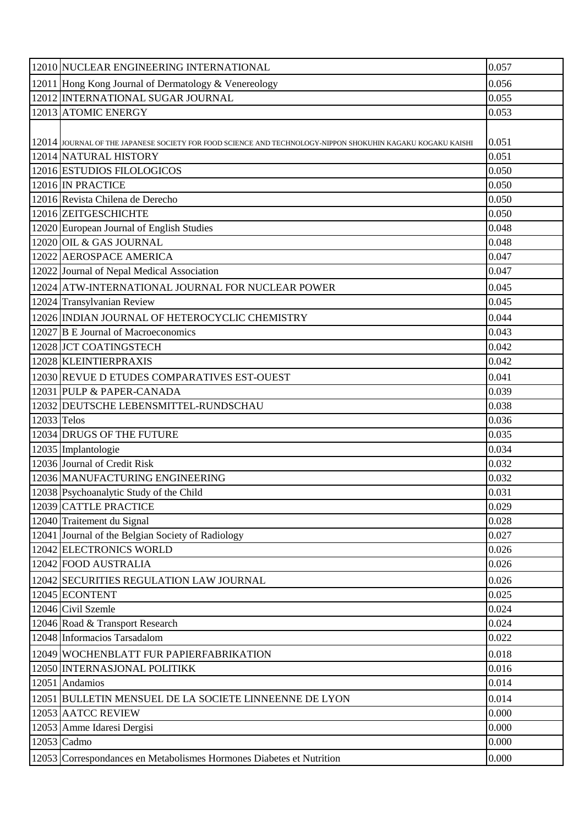|             | 12010 NUCLEAR ENGINEERING INTERNATIONAL                                                                    | 0.057 |
|-------------|------------------------------------------------------------------------------------------------------------|-------|
|             | 12011 Hong Kong Journal of Dermatology & Venereology                                                       | 0.056 |
|             | 12012 INTERNATIONAL SUGAR JOURNAL                                                                          | 0.055 |
|             | 12013 ATOMIC ENERGY                                                                                        | 0.053 |
|             |                                                                                                            |       |
|             | 12014 JOURNAL OF THE JAPANESE SOCIETY FOR FOOD SCIENCE AND TECHNOLOGY-NIPPON SHOKUHIN KAGAKU KOGAKU KAISHI | 0.051 |
|             | 12014 NATURAL HISTORY                                                                                      | 0.051 |
|             | 12016 ESTUDIOS FILOLOGICOS                                                                                 | 0.050 |
|             | 12016 IN PRACTICE                                                                                          | 0.050 |
|             | 12016 Revista Chilena de Derecho                                                                           | 0.050 |
|             | 12016 ZEITGESCHICHTE                                                                                       | 0.050 |
|             | 12020 European Journal of English Studies                                                                  | 0.048 |
|             | 12020 OIL & GAS JOURNAL                                                                                    | 0.048 |
|             | 12022 AEROSPACE AMERICA                                                                                    | 0.047 |
|             | 12022 Journal of Nepal Medical Association                                                                 | 0.047 |
|             | 12024 ATW-INTERNATIONAL JOURNAL FOR NUCLEAR POWER                                                          | 0.045 |
|             | 12024 Transylvanian Review                                                                                 | 0.045 |
|             | 12026 INDIAN JOURNAL OF HETEROCYCLIC CHEMISTRY                                                             | 0.044 |
|             | 12027 B E Journal of Macroeconomics                                                                        | 0.043 |
|             | 12028 JCT COATINGSTECH                                                                                     | 0.042 |
|             | 12028 KLEINTIERPRAXIS                                                                                      | 0.042 |
|             | 12030 REVUE D ETUDES COMPARATIVES EST-OUEST                                                                | 0.041 |
|             | 12031 PULP & PAPER-CANADA                                                                                  | 0.039 |
|             | 12032 DEUTSCHE LEBENSMITTEL-RUNDSCHAU                                                                      | 0.038 |
| 12033 Telos |                                                                                                            | 0.036 |
|             | 12034 DRUGS OF THE FUTURE                                                                                  | 0.035 |
|             | 12035 Implantologie                                                                                        | 0.034 |
|             | 12036 Journal of Credit Risk                                                                               | 0.032 |
|             | 12036 MANUFACTURING ENGINEERING                                                                            | 0.032 |
|             | 12038 Psychoanalytic Study of the Child                                                                    | 0.031 |
|             | 12039 CATTLE PRACTICE                                                                                      | 0.029 |
|             | 12040 Traitement du Signal                                                                                 | 0.028 |
|             | 12041 Journal of the Belgian Society of Radiology                                                          | 0.027 |
|             | 12042 ELECTRONICS WORLD                                                                                    | 0.026 |
|             | 12042 FOOD AUSTRALIA                                                                                       | 0.026 |
|             | 12042 SECURITIES REGULATION LAW JOURNAL                                                                    | 0.026 |
|             | 12045 ECONTENT                                                                                             | 0.025 |
|             | 12046 Civil Szemle                                                                                         | 0.024 |
|             | 12046 Road & Transport Research                                                                            | 0.024 |
|             | 12048 Informacios Tarsadalom                                                                               | 0.022 |
|             | 12049 WOCHENBLATT FUR PAPIERFABRIKATION                                                                    | 0.018 |
|             | 12050 INTERNASJONAL POLITIKK                                                                               | 0.016 |
|             | 12051 Andamios                                                                                             | 0.014 |
|             | 12051 BULLETIN MENSUEL DE LA SOCIETE LINNEENNE DE LYON                                                     | 0.014 |
|             | 12053 AATCC REVIEW                                                                                         | 0.000 |
|             | 12053 Amme Idaresi Dergisi                                                                                 | 0.000 |
|             | 12053 Cadmo                                                                                                | 0.000 |
|             | 12053 Correspondances en Metabolismes Hormones Diabetes et Nutrition                                       | 0.000 |